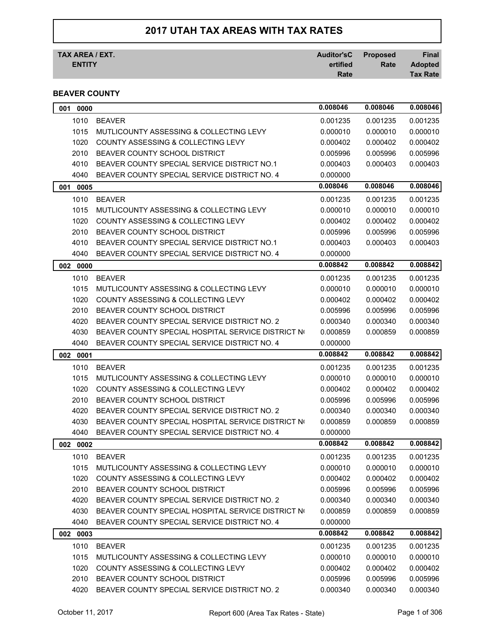# **2017 UTAH TAX AREAS WITH TAX RATES**

| TAX AREA / EXT. | Auditor'sC Proposed |      | <b>Final</b>    |
|-----------------|---------------------|------|-----------------|
| <b>ENTITY</b>   | ertified            | Rate | <b>Adopted</b>  |
|                 | Rate                |      | <b>Tax Rate</b> |

## **BEAVER COUNTY**

| 0000<br>001 |                                                    | 0.008046 | 0.008046 | 0.008046 |
|-------------|----------------------------------------------------|----------|----------|----------|
| 1010        | <b>BEAVER</b>                                      | 0.001235 | 0.001235 | 0.001235 |
| 1015        | MUTLICOUNTY ASSESSING & COLLECTING LEVY            | 0.000010 | 0.000010 | 0.000010 |
| 1020        | COUNTY ASSESSING & COLLECTING LEVY                 | 0.000402 | 0.000402 | 0.000402 |
| 2010        | BEAVER COUNTY SCHOOL DISTRICT                      | 0.005996 | 0.005996 | 0.005996 |
| 4010        | BEAVER COUNTY SPECIAL SERVICE DISTRICT NO.1        | 0.000403 | 0.000403 | 0.000403 |
| 4040        | BEAVER COUNTY SPECIAL SERVICE DISTRICT NO. 4       | 0.000000 |          |          |
| 0005<br>001 |                                                    | 0.008046 | 0.008046 | 0.008046 |
| 1010        | <b>BEAVER</b>                                      | 0.001235 | 0.001235 | 0.001235 |
| 1015        | MUTLICOUNTY ASSESSING & COLLECTING LEVY            | 0.000010 | 0.000010 | 0.000010 |
| 1020        | <b>COUNTY ASSESSING &amp; COLLECTING LEVY</b>      | 0.000402 | 0.000402 | 0.000402 |
| 2010        | <b>BEAVER COUNTY SCHOOL DISTRICT</b>               | 0.005996 | 0.005996 | 0.005996 |
| 4010        | BEAVER COUNTY SPECIAL SERVICE DISTRICT NO.1        | 0.000403 | 0.000403 | 0.000403 |
| 4040        | BEAVER COUNTY SPECIAL SERVICE DISTRICT NO. 4       | 0.000000 |          |          |
| 002<br>0000 |                                                    | 0.008842 | 0.008842 | 0.008842 |
| 1010        | <b>BEAVER</b>                                      | 0.001235 | 0.001235 | 0.001235 |
| 1015        | MUTLICOUNTY ASSESSING & COLLECTING LEVY            | 0.000010 | 0.000010 | 0.000010 |
| 1020        | <b>COUNTY ASSESSING &amp; COLLECTING LEVY</b>      | 0.000402 | 0.000402 | 0.000402 |
| 2010        | BEAVER COUNTY SCHOOL DISTRICT                      | 0.005996 | 0.005996 | 0.005996 |
| 4020        | BEAVER COUNTY SPECIAL SERVICE DISTRICT NO. 2       | 0.000340 | 0.000340 | 0.000340 |
| 4030        | BEAVER COUNTY SPECIAL HOSPITAL SERVICE DISTRICT NO | 0.000859 | 0.000859 | 0.000859 |
| 4040        | BEAVER COUNTY SPECIAL SERVICE DISTRICT NO. 4       | 0.000000 |          |          |
|             |                                                    |          |          |          |
| 002<br>0001 |                                                    | 0.008842 | 0.008842 | 0.008842 |
| 1010        | <b>BEAVER</b>                                      | 0.001235 | 0.001235 | 0.001235 |
| 1015        | MUTLICOUNTY ASSESSING & COLLECTING LEVY            | 0.000010 | 0.000010 | 0.000010 |
| 1020        | COUNTY ASSESSING & COLLECTING LEVY                 | 0.000402 | 0.000402 | 0.000402 |
| 2010        | BEAVER COUNTY SCHOOL DISTRICT                      | 0.005996 | 0.005996 | 0.005996 |
| 4020        | BEAVER COUNTY SPECIAL SERVICE DISTRICT NO. 2       | 0.000340 | 0.000340 | 0.000340 |
| 4030        | BEAVER COUNTY SPECIAL HOSPITAL SERVICE DISTRICT NO | 0.000859 | 0.000859 | 0.000859 |
| 4040        | BEAVER COUNTY SPECIAL SERVICE DISTRICT NO. 4       | 0.000000 |          |          |
| 002<br>0002 |                                                    | 0.008842 | 0.008842 | 0.008842 |
| 1010        | <b>BEAVER</b>                                      | 0.001235 | 0.001235 | 0.001235 |
| 1015        | MUTLICOUNTY ASSESSING & COLLECTING LEVY            | 0.000010 | 0.000010 | 0.000010 |
| 1020        | COUNTY ASSESSING & COLLECTING LEVY                 | 0.000402 | 0.000402 | 0.000402 |
| 2010        | BEAVER COUNTY SCHOOL DISTRICT                      | 0.005996 | 0.005996 | 0.005996 |
| 4020        | BEAVER COUNTY SPECIAL SERVICE DISTRICT NO. 2       | 0.000340 | 0.000340 | 0.000340 |
| 4030        | BEAVER COUNTY SPECIAL HOSPITAL SERVICE DISTRICT NO | 0.000859 | 0.000859 | 0.000859 |
| 4040        | BEAVER COUNTY SPECIAL SERVICE DISTRICT NO. 4       | 0.000000 |          |          |
| 002 0003    |                                                    | 0.008842 | 0.008842 | 0.008842 |
| 1010        | <b>BEAVER</b>                                      | 0.001235 | 0.001235 | 0.001235 |
| 1015        | MUTLICOUNTY ASSESSING & COLLECTING LEVY            | 0.000010 | 0.000010 | 0.000010 |
| 1020        | COUNTY ASSESSING & COLLECTING LEVY                 | 0.000402 | 0.000402 | 0.000402 |
| 2010        | BEAVER COUNTY SCHOOL DISTRICT                      | 0.005996 | 0.005996 | 0.005996 |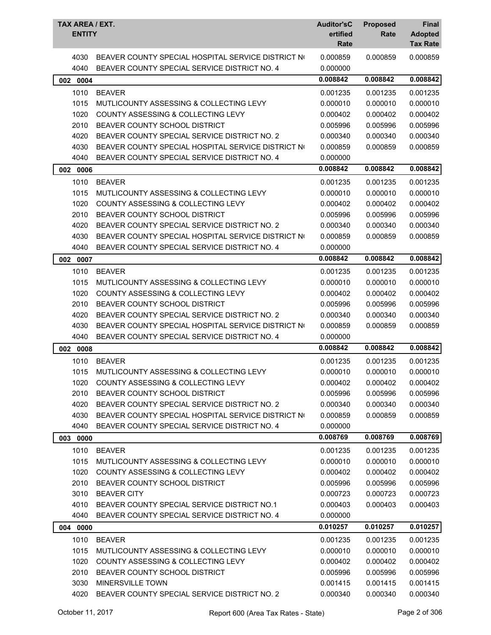| TAX AREA / EXT.<br><b>ENTITY</b> |                                                                                                    | <b>Auditor'sC</b><br>ertified<br>Rate | <b>Proposed</b><br>Rate | <b>Final</b><br><b>Adopted</b><br><b>Tax Rate</b> |
|----------------------------------|----------------------------------------------------------------------------------------------------|---------------------------------------|-------------------------|---------------------------------------------------|
| 4030<br>4040                     | BEAVER COUNTY SPECIAL HOSPITAL SERVICE DISTRICT NO<br>BEAVER COUNTY SPECIAL SERVICE DISTRICT NO. 4 | 0.000859<br>0.000000                  | 0.000859                | 0.000859                                          |
| 002 0004                         |                                                                                                    | 0.008842                              | 0.008842                | 0.008842                                          |
| 1010                             | <b>BEAVER</b>                                                                                      | 0.001235                              | 0.001235                | 0.001235                                          |
| 1015                             | MUTLICOUNTY ASSESSING & COLLECTING LEVY                                                            | 0.000010                              | 0.000010                | 0.000010                                          |
| 1020                             | COUNTY ASSESSING & COLLECTING LEVY                                                                 | 0.000402                              | 0.000402                | 0.000402                                          |
| 2010                             | BEAVER COUNTY SCHOOL DISTRICT                                                                      | 0.005996                              | 0.005996                | 0.005996                                          |
| 4020                             | BEAVER COUNTY SPECIAL SERVICE DISTRICT NO. 2                                                       | 0.000340                              | 0.000340                | 0.000340                                          |
| 4030                             | BEAVER COUNTY SPECIAL HOSPITAL SERVICE DISTRICT NO                                                 | 0.000859                              | 0.000859                | 0.000859                                          |
| 4040                             | BEAVER COUNTY SPECIAL SERVICE DISTRICT NO. 4                                                       | 0.000000                              |                         |                                                   |
| 002 0006                         |                                                                                                    | 0.008842                              | 0.008842                | 0.008842                                          |
| 1010                             | <b>BEAVER</b>                                                                                      | 0.001235                              | 0.001235                | 0.001235                                          |
| 1015                             | MUTLICOUNTY ASSESSING & COLLECTING LEVY                                                            | 0.000010                              | 0.000010                | 0.000010                                          |
| 1020                             | COUNTY ASSESSING & COLLECTING LEVY                                                                 | 0.000402                              | 0.000402                | 0.000402                                          |
| 2010                             | BEAVER COUNTY SCHOOL DISTRICT                                                                      | 0.005996                              | 0.005996                | 0.005996                                          |
| 4020                             | BEAVER COUNTY SPECIAL SERVICE DISTRICT NO. 2                                                       | 0.000340                              | 0.000340                | 0.000340                                          |
| 4030                             | BEAVER COUNTY SPECIAL HOSPITAL SERVICE DISTRICT NO                                                 | 0.000859                              | 0.000859                | 0.000859                                          |
| 4040                             | BEAVER COUNTY SPECIAL SERVICE DISTRICT NO. 4                                                       | 0.000000                              |                         |                                                   |
| 0007<br>002                      |                                                                                                    | 0.008842                              | 0.008842                | 0.008842                                          |
| 1010                             | <b>BEAVER</b>                                                                                      | 0.001235                              | 0.001235                | 0.001235                                          |
| 1015                             | MUTLICOUNTY ASSESSING & COLLECTING LEVY                                                            | 0.000010                              | 0.000010                | 0.000010                                          |
| 1020                             | COUNTY ASSESSING & COLLECTING LEVY                                                                 | 0.000402                              | 0.000402                | 0.000402                                          |
| 2010                             | BEAVER COUNTY SCHOOL DISTRICT                                                                      | 0.005996                              | 0.005996                | 0.005996                                          |
| 4020                             | BEAVER COUNTY SPECIAL SERVICE DISTRICT NO. 2                                                       | 0.000340                              | 0.000340                | 0.000340                                          |
| 4030                             | BEAVER COUNTY SPECIAL HOSPITAL SERVICE DISTRICT NO                                                 | 0.000859                              | 0.000859                | 0.000859                                          |
| 4040                             | BEAVER COUNTY SPECIAL SERVICE DISTRICT NO. 4                                                       | 0.000000                              |                         |                                                   |
| 002 0008                         |                                                                                                    | 0.008842                              | 0.008842                | 0.008842                                          |
| 1010                             | <b>BEAVER</b>                                                                                      | 0.001235                              | 0.001235                | 0.001235                                          |
| 1015                             | MUTLICOUNTY ASSESSING & COLLECTING LEVY                                                            | 0.000010                              | 0.000010                | 0.000010                                          |
| 1020                             | COUNTY ASSESSING & COLLECTING LEVY                                                                 | 0.000402                              | 0.000402                | 0.000402                                          |
| 2010                             | BEAVER COUNTY SCHOOL DISTRICT                                                                      | 0.005996                              | 0.005996                | 0.005996                                          |
| 4020                             | BEAVER COUNTY SPECIAL SERVICE DISTRICT NO. 2                                                       | 0.000340                              | 0.000340                | 0.000340                                          |
| 4030                             | BEAVER COUNTY SPECIAL HOSPITAL SERVICE DISTRICT NO                                                 | 0.000859                              | 0.000859                | 0.000859                                          |
| 4040                             | BEAVER COUNTY SPECIAL SERVICE DISTRICT NO. 4                                                       | 0.000000                              |                         |                                                   |
| 003 0000                         |                                                                                                    | 0.008769                              | 0.008769                | 0.008769                                          |
| 1010                             | <b>BEAVER</b>                                                                                      | 0.001235                              | 0.001235                | 0.001235                                          |
| 1015                             | MUTLICOUNTY ASSESSING & COLLECTING LEVY                                                            | 0.000010                              | 0.000010                | 0.000010                                          |
| 1020                             | COUNTY ASSESSING & COLLECTING LEVY                                                                 | 0.000402                              | 0.000402                | 0.000402                                          |
| 2010                             | BEAVER COUNTY SCHOOL DISTRICT                                                                      | 0.005996                              | 0.005996                | 0.005996                                          |
| 3010                             | <b>BEAVER CITY</b>                                                                                 | 0.000723                              | 0.000723                | 0.000723                                          |
| 4010                             | BEAVER COUNTY SPECIAL SERVICE DISTRICT NO.1                                                        | 0.000403                              | 0.000403                | 0.000403                                          |
| 4040                             | BEAVER COUNTY SPECIAL SERVICE DISTRICT NO. 4                                                       | 0.000000                              |                         |                                                   |
| 004 0000                         |                                                                                                    | 0.010257                              | 0.010257                | 0.010257                                          |
| 1010                             | <b>BEAVER</b>                                                                                      | 0.001235                              | 0.001235                | 0.001235                                          |
| 1015                             | MUTLICOUNTY ASSESSING & COLLECTING LEVY                                                            | 0.000010                              | 0.000010                | 0.000010                                          |
| 1020                             | <b>COUNTY ASSESSING &amp; COLLECTING LEVY</b>                                                      | 0.000402                              | 0.000402                | 0.000402                                          |
| 2010                             | BEAVER COUNTY SCHOOL DISTRICT                                                                      | 0.005996                              | 0.005996                | 0.005996                                          |
| 3030                             | MINERSVILLE TOWN                                                                                   | 0.001415                              | 0.001415                | 0.001415                                          |
| 4020                             | BEAVER COUNTY SPECIAL SERVICE DISTRICT NO. 2                                                       | 0.000340                              | 0.000340                | 0.000340                                          |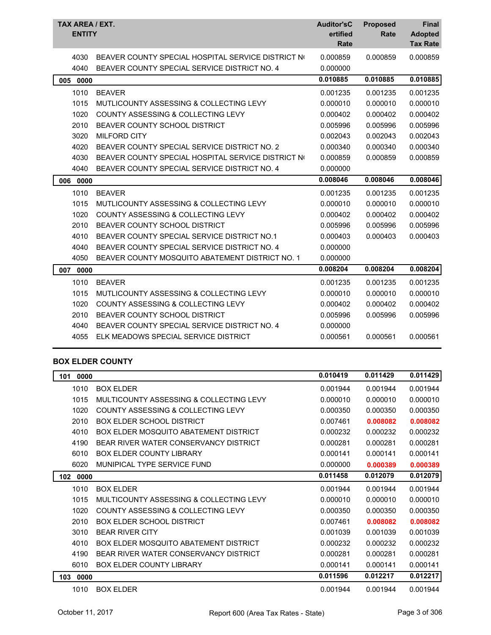| TAX AREA / EXT.<br><b>ENTITY</b> |                                                    | <b>Auditor'sC</b><br>ertified<br>Rate | <b>Proposed</b><br>Rate | <b>Final</b><br><b>Adopted</b><br><b>Tax Rate</b> |
|----------------------------------|----------------------------------------------------|---------------------------------------|-------------------------|---------------------------------------------------|
| 4030                             | BEAVER COUNTY SPECIAL HOSPITAL SERVICE DISTRICT NO | 0.000859                              | 0.000859                | 0.000859                                          |
| 4040                             | BEAVER COUNTY SPECIAL SERVICE DISTRICT NO. 4       | 0.000000                              |                         |                                                   |
| 005<br>0000                      |                                                    | 0.010885                              | 0.010885                | 0.010885                                          |
| 1010                             | <b>BEAVER</b>                                      | 0.001235                              | 0.001235                | 0.001235                                          |
| 1015                             | MUTLICOUNTY ASSESSING & COLLECTING LEVY            | 0.000010                              | 0.000010                | 0.000010                                          |
| 1020                             | <b>COUNTY ASSESSING &amp; COLLECTING LEVY</b>      | 0.000402                              | 0.000402                | 0.000402                                          |
| 2010                             | BEAVER COUNTY SCHOOL DISTRICT                      | 0.005996                              | 0.005996                | 0.005996                                          |
| 3020                             | <b>MILFORD CITY</b>                                | 0.002043                              | 0.002043                | 0.002043                                          |
| 4020                             | BEAVER COUNTY SPECIAL SERVICE DISTRICT NO. 2       | 0.000340                              | 0.000340                | 0.000340                                          |
| 4030                             | BEAVER COUNTY SPECIAL HOSPITAL SERVICE DISTRICT NO | 0.000859                              | 0.000859                | 0.000859                                          |
| 4040                             | BEAVER COUNTY SPECIAL SERVICE DISTRICT NO. 4       | 0.000000                              |                         |                                                   |
| 006<br>0000                      |                                                    | 0.008046                              | 0.008046                | 0.008046                                          |
| 1010                             | <b>BEAVER</b>                                      | 0.001235                              | 0.001235                | 0.001235                                          |
| 1015                             | MUTLICOUNTY ASSESSING & COLLECTING LEVY            | 0.000010                              | 0.000010                | 0.000010                                          |
| 1020                             | COUNTY ASSESSING & COLLECTING LEVY                 | 0.000402                              | 0.000402                | 0.000402                                          |
| 2010                             | BEAVER COUNTY SCHOOL DISTRICT                      | 0.005996                              | 0.005996                | 0.005996                                          |
| 4010                             | BEAVER COUNTY SPECIAL SERVICE DISTRICT NO.1        | 0.000403                              | 0.000403                | 0.000403                                          |
| 4040                             | BEAVER COUNTY SPECIAL SERVICE DISTRICT NO. 4       | 0.000000                              |                         |                                                   |
| 4050                             | BEAVER COUNTY MOSQUITO ABATEMENT DISTRICT NO. 1    | 0.000000                              |                         |                                                   |
| 0000<br>007                      |                                                    | 0.008204                              | 0.008204                | 0.008204                                          |
| 1010                             | <b>BEAVER</b>                                      | 0.001235                              | 0.001235                | 0.001235                                          |
| 1015                             | MUTLICOUNTY ASSESSING & COLLECTING LEVY            | 0.000010                              | 0.000010                | 0.000010                                          |
| 1020                             | COUNTY ASSESSING & COLLECTING LEVY                 | 0.000402                              | 0.000402                | 0.000402                                          |
| 2010                             | BEAVER COUNTY SCHOOL DISTRICT                      | 0.005996                              | 0.005996                | 0.005996                                          |
| 4040                             | BEAVER COUNTY SPECIAL SERVICE DISTRICT NO. 4       | 0.000000                              |                         |                                                   |
| 4055                             | ELK MEADOWS SPECIAL SERVICE DISTRICT               | 0.000561                              | 0.000561                | 0.000561                                          |

#### **BOX ELDER COUNTY**

| 0000<br>101 |                                               | 0.010419 | 0.011429 | 0.011429 |
|-------------|-----------------------------------------------|----------|----------|----------|
| 1010        | <b>BOX ELDER</b>                              | 0.001944 | 0.001944 | 0.001944 |
| 1015        | MULTICOUNTY ASSESSING & COLLECTING LEVY       | 0.000010 | 0.000010 | 0.000010 |
| 1020        | <b>COUNTY ASSESSING &amp; COLLECTING LEVY</b> | 0.000350 | 0.000350 | 0.000350 |
| 2010        | <b>BOX ELDER SCHOOL DISTRICT</b>              | 0.007461 | 0.008082 | 0.008082 |
| 4010        | BOX ELDER MOSQUITO ABATEMENT DISTRICT         | 0.000232 | 0.000232 | 0.000232 |
| 4190        | BEAR RIVER WATER CONSERVANCY DISTRICT         | 0.000281 | 0.000281 | 0.000281 |
| 6010        | <b>BOX ELDER COUNTY LIBRARY</b>               | 0.000141 | 0.000141 | 0.000141 |
| 6020        | MUNIPICAL TYPE SERVICE FUND                   | 0.000000 | 0.000389 | 0.000389 |
| 102<br>0000 |                                               | 0.011458 | 0.012079 | 0.012079 |
| 1010        | <b>BOX ELDER</b>                              | 0.001944 | 0.001944 | 0.001944 |
| 1015        | MULTICOUNTY ASSESSING & COLLECTING LEVY       | 0.000010 | 0.000010 | 0.000010 |
| 1020        | <b>COUNTY ASSESSING &amp; COLLECTING LEVY</b> | 0.000350 | 0.000350 | 0.000350 |
| 2010        | BOX FLDER SCHOOL DISTRICT                     | 0.007461 | 0.008082 | 0.008082 |
| 3010        | <b>BEAR RIVER CITY</b>                        | 0.001039 | 0.001039 | 0.001039 |
| 4010        | <b>BOX ELDER MOSQUITO ABATEMENT DISTRICT</b>  | 0.000232 | 0.000232 | 0.000232 |
| 4190        | BEAR RIVER WATER CONSERVANCY DISTRICT         | 0.000281 | 0.000281 | 0.000281 |
| 6010        | BOX ELDER COUNTY LIBRARY                      | 0.000141 | 0.000141 | 0.000141 |
| 0000<br>103 |                                               | 0.011596 | 0.012217 | 0.012217 |
| 1010        | <b>BOX ELDER</b>                              | 0.001944 | 0.001944 | 0.001944 |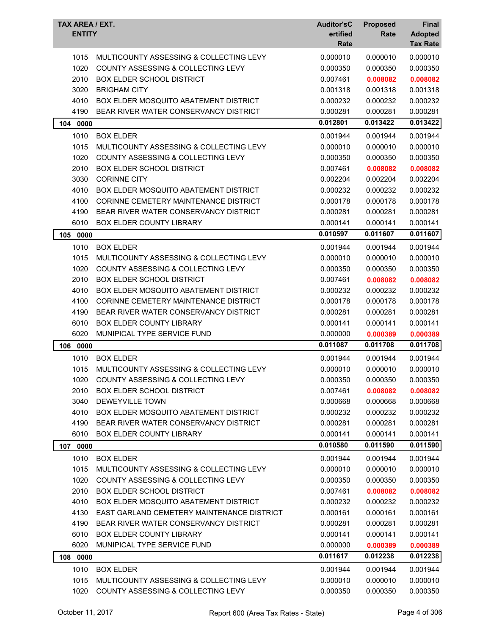|     | TAX AREA / EXT.<br><b>ENTITY</b> |                                               | <b>Auditor'sC</b><br>ertified | <b>Proposed</b><br>Rate | Final<br><b>Adopted</b> |
|-----|----------------------------------|-----------------------------------------------|-------------------------------|-------------------------|-------------------------|
|     |                                  |                                               | Rate                          |                         | <b>Tax Rate</b>         |
|     | 1015                             | MULTICOUNTY ASSESSING & COLLECTING LEVY       | 0.000010                      | 0.000010                | 0.000010                |
|     | 1020                             | COUNTY ASSESSING & COLLECTING LEVY            | 0.000350                      | 0.000350                | 0.000350                |
|     | 2010                             | <b>BOX ELDER SCHOOL DISTRICT</b>              | 0.007461                      | 0.008082                | 0.008082                |
|     | 3020                             | <b>BRIGHAM CITY</b>                           | 0.001318                      | 0.001318                | 0.001318                |
|     | 4010                             | <b>BOX ELDER MOSQUITO ABATEMENT DISTRICT</b>  | 0.000232                      | 0.000232                | 0.000232                |
|     | 4190                             | BEAR RIVER WATER CONSERVANCY DISTRICT         | 0.000281                      | 0.000281                | 0.000281                |
|     | 104 0000                         |                                               | 0.012801                      | 0.013422                | 0.013422                |
|     | 1010                             | <b>BOX ELDER</b>                              | 0.001944                      | 0.001944                | 0.001944                |
|     | 1015                             | MULTICOUNTY ASSESSING & COLLECTING LEVY       | 0.000010                      | 0.000010                | 0.000010                |
|     | 1020                             | <b>COUNTY ASSESSING &amp; COLLECTING LEVY</b> | 0.000350                      | 0.000350                | 0.000350                |
|     | 2010                             | <b>BOX ELDER SCHOOL DISTRICT</b>              | 0.007461                      | 0.008082                | 0.008082                |
|     | 3030                             | <b>CORINNE CITY</b>                           | 0.002204                      | 0.002204                | 0.002204                |
|     | 4010                             | <b>BOX ELDER MOSQUITO ABATEMENT DISTRICT</b>  | 0.000232                      | 0.000232                | 0.000232                |
|     | 4100                             | CORINNE CEMETERY MAINTENANCE DISTRICT         | 0.000178                      | 0.000178                | 0.000178                |
|     | 4190                             | BEAR RIVER WATER CONSERVANCY DISTRICT         | 0.000281                      | 0.000281                | 0.000281                |
|     | 6010                             | <b>BOX ELDER COUNTY LIBRARY</b>               | 0.000141                      | 0.000141                | 0.000141                |
|     | 105 0000                         |                                               | 0.010597                      | 0.011607                | 0.011607                |
|     | 1010                             | <b>BOX ELDER</b>                              | 0.001944                      | 0.001944                | 0.001944                |
|     | 1015                             | MULTICOUNTY ASSESSING & COLLECTING LEVY       | 0.000010                      | 0.000010                | 0.000010                |
|     | 1020                             | COUNTY ASSESSING & COLLECTING LEVY            | 0.000350                      | 0.000350                | 0.000350                |
|     | 2010                             | <b>BOX ELDER SCHOOL DISTRICT</b>              | 0.007461                      | 0.008082                | 0.008082                |
|     | 4010                             | BOX ELDER MOSQUITO ABATEMENT DISTRICT         | 0.000232                      | 0.000232                | 0.000232                |
|     | 4100                             | CORINNE CEMETERY MAINTENANCE DISTRICT         | 0.000178                      | 0.000178                | 0.000178                |
|     | 4190                             | BEAR RIVER WATER CONSERVANCY DISTRICT         | 0.000281                      | 0.000281                | 0.000281                |
|     | 6010                             | <b>BOX ELDER COUNTY LIBRARY</b>               | 0.000141                      | 0.000141                | 0.000141                |
|     | 6020                             | MUNIPICAL TYPE SERVICE FUND                   | 0.000000                      | 0.000389                | 0.000389                |
| 106 | 0000                             |                                               | 0.011087                      | 0.011708                | 0.011708                |
|     | 1010                             | <b>BOX ELDER</b>                              | 0.001944                      | 0.001944                | 0.001944                |
|     | 1015                             | MULTICOUNTY ASSESSING & COLLECTING LEVY       | 0.000010                      | 0.000010                | 0.000010                |
|     |                                  | 1020 COUNTY ASSESSING & COLLECTING LEVY       | 0.000350                      | 0.000350                | 0.000350                |
|     | 2010                             | <b>BOX ELDER SCHOOL DISTRICT</b>              | 0.007461                      | 0.008082                | 0.008082                |
|     | 3040                             | DEWEYVILLE TOWN                               | 0.000668                      | 0.000668                | 0.000668                |
|     | 4010                             | BOX ELDER MOSQUITO ABATEMENT DISTRICT         | 0.000232                      | 0.000232                | 0.000232                |
|     | 4190                             | BEAR RIVER WATER CONSERVANCY DISTRICT         | 0.000281                      | 0.000281                | 0.000281                |
|     | 6010                             | <b>BOX ELDER COUNTY LIBRARY</b>               | 0.000141                      | 0.000141                | 0.000141                |
|     | 107 0000                         |                                               | 0.010580                      | 0.011590                | 0.011590                |
|     | 1010                             | <b>BOX ELDER</b>                              | 0.001944                      | 0.001944                | 0.001944                |
|     | 1015                             | MULTICOUNTY ASSESSING & COLLECTING LEVY       | 0.000010                      | 0.000010                | 0.000010                |
|     | 1020                             | <b>COUNTY ASSESSING &amp; COLLECTING LEVY</b> | 0.000350                      | 0.000350                | 0.000350                |
|     | 2010                             | <b>BOX ELDER SCHOOL DISTRICT</b>              | 0.007461                      | 0.008082                | 0.008082                |
|     | 4010                             | <b>BOX ELDER MOSQUITO ABATEMENT DISTRICT</b>  | 0.000232                      | 0.000232                | 0.000232                |
|     | 4130                             | EAST GARLAND CEMETERY MAINTENANCE DISTRICT    | 0.000161                      | 0.000161                | 0.000161                |
|     | 4190                             | BEAR RIVER WATER CONSERVANCY DISTRICT         | 0.000281                      | 0.000281                | 0.000281                |
|     | 6010                             | <b>BOX ELDER COUNTY LIBRARY</b>               | 0.000141                      | 0.000141                | 0.000141                |
|     | 6020                             | MUNIPICAL TYPE SERVICE FUND                   | 0.000000                      | 0.000389                | 0.000389                |
|     | 108 0000                         |                                               | 0.011617                      | 0.012238                | 0.012238                |
|     | 1010                             | <b>BOX ELDER</b>                              | 0.001944                      | 0.001944                | 0.001944                |
|     | 1015                             | MULTICOUNTY ASSESSING & COLLECTING LEVY       | 0.000010                      | 0.000010                | 0.000010                |
|     | 1020                             | COUNTY ASSESSING & COLLECTING LEVY            | 0.000350                      | 0.000350                | 0.000350                |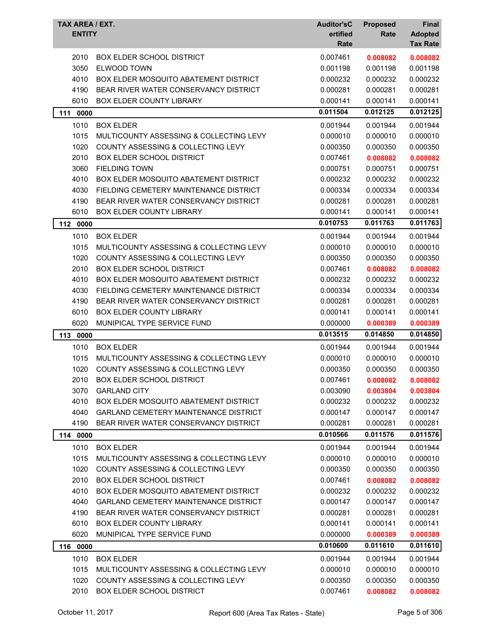| TAX AREA / EXT.<br><b>ENTITY</b> |                                               | <b>Auditor'sC</b><br>ertified<br>Rate | <b>Proposed</b><br>Rate | Final<br><b>Adopted</b><br><b>Tax Rate</b> |
|----------------------------------|-----------------------------------------------|---------------------------------------|-------------------------|--------------------------------------------|
| 2010                             | <b>BOX ELDER SCHOOL DISTRICT</b>              | 0.007461                              | 0.008082                | 0.008082                                   |
| 3050                             | <b>ELWOOD TOWN</b>                            | 0.001198                              | 0.001198                | 0.001198                                   |
| 4010                             | <b>BOX ELDER MOSQUITO ABATEMENT DISTRICT</b>  | 0.000232                              | 0.000232                | 0.000232                                   |
| 4190                             | BEAR RIVER WATER CONSERVANCY DISTRICT         | 0.000281                              | 0.000281                | 0.000281                                   |
| 6010                             | <b>BOX ELDER COUNTY LIBRARY</b>               | 0.000141                              | 0.000141                | 0.000141                                   |
| 0000<br>111                      |                                               | 0.011504                              | 0.012125                | 0.012125                                   |
| 1010                             | <b>BOX ELDER</b>                              | 0.001944                              | 0.001944                | 0.001944                                   |
| 1015                             | MULTICOUNTY ASSESSING & COLLECTING LEVY       | 0.000010                              | 0.000010                | 0.000010                                   |
| 1020                             | COUNTY ASSESSING & COLLECTING LEVY            | 0.000350                              | 0.000350                | 0.000350                                   |
| 2010                             | <b>BOX ELDER SCHOOL DISTRICT</b>              | 0.007461                              | 0.008082                | 0.008082                                   |
| 3060                             | <b>FIELDING TOWN</b>                          | 0.000751                              | 0.000751                | 0.000751                                   |
| 4010                             | BOX ELDER MOSQUITO ABATEMENT DISTRICT         | 0.000232                              | 0.000232                | 0.000232                                   |
| 4030                             | FIELDING CEMETERY MAINTENANCE DISTRICT        | 0.000334                              | 0.000334                | 0.000334                                   |
| 4190                             | BEAR RIVER WATER CONSERVANCY DISTRICT         | 0.000281                              | 0.000281                | 0.000281                                   |
| 6010                             | BOX ELDER COUNTY LIBRARY                      | 0.000141                              | 0.000141                | 0.000141                                   |
| 112 0000                         |                                               | 0.010753                              | 0.011763                | 0.011763                                   |
| 1010                             | <b>BOX ELDER</b>                              | 0.001944                              | 0.001944                | 0.001944                                   |
| 1015                             | MULTICOUNTY ASSESSING & COLLECTING LEVY       | 0.000010                              | 0.000010                | 0.000010                                   |
| 1020                             | <b>COUNTY ASSESSING &amp; COLLECTING LEVY</b> | 0.000350                              | 0.000350                | 0.000350                                   |
| 2010                             | <b>BOX ELDER SCHOOL DISTRICT</b>              | 0.007461                              | 0.008082                | 0.008082                                   |
| 4010                             | BOX ELDER MOSQUITO ABATEMENT DISTRICT         | 0.000232                              | 0.000232                | 0.000232                                   |
| 4030                             | FIELDING CEMETERY MAINTENANCE DISTRICT        | 0.000334                              | 0.000334                | 0.000334                                   |
| 4190                             | BEAR RIVER WATER CONSERVANCY DISTRICT         | 0.000281                              | 0.000281                | 0.000281                                   |
| 6010                             | <b>BOX ELDER COUNTY LIBRARY</b>               | 0.000141                              | 0.000141                | 0.000141                                   |
| 6020                             | MUNIPICAL TYPE SERVICE FUND                   | 0.000000                              | 0.000389                | 0.000389                                   |
| 113 0000                         |                                               | 0.013515                              | 0.014850                | 0.014850                                   |
| 1010                             | <b>BOX ELDER</b>                              | 0.001944                              | 0.001944                | 0.001944                                   |
| 1015                             | MULTICOUNTY ASSESSING & COLLECTING LEVY       | 0.000010                              | 0.000010                | 0.000010                                   |
| 1020                             | COUNTY ASSESSING & COLLECTING LEVY            | 0.000350                              | 0.000350                | 0.000350                                   |
| 2010                             | BOX ELDER SCHOOL DISTRICT                     | 0.007461                              | 0.008082                | 0.008082                                   |
| 3070                             | <b>GARLAND CITY</b>                           | 0.003090                              | 0.003804                | 0.003804                                   |
| 4010                             | <b>BOX ELDER MOSQUITO ABATEMENT DISTRICT</b>  | 0.000232                              | 0.000232                | 0.000232                                   |
| 4040                             | <b>GARLAND CEMETERY MAINTENANCE DISTRICT</b>  | 0.000147                              | 0.000147                | 0.000147                                   |
| 4190                             | BEAR RIVER WATER CONSERVANCY DISTRICT         | 0.000281                              | 0.000281                | 0.000281                                   |
| 114 0000                         |                                               | 0.010566                              | 0.011576                | 0.011576                                   |
| 1010                             | <b>BOX ELDER</b>                              | 0.001944                              | 0.001944                | 0.001944                                   |
| 1015                             | MULTICOUNTY ASSESSING & COLLECTING LEVY       | 0.000010                              | 0.000010                | 0.000010                                   |
| 1020                             | COUNTY ASSESSING & COLLECTING LEVY            | 0.000350                              | 0.000350                | 0.000350                                   |
| 2010                             | <b>BOX ELDER SCHOOL DISTRICT</b>              | 0.007461                              | 0.008082                | 0.008082                                   |
| 4010                             | <b>BOX ELDER MOSQUITO ABATEMENT DISTRICT</b>  | 0.000232                              | 0.000232                | 0.000232                                   |
| 4040                             | <b>GARLAND CEMETERY MAINTENANCE DISTRICT</b>  | 0.000147                              | 0.000147                | 0.000147                                   |
| 4190                             | BEAR RIVER WATER CONSERVANCY DISTRICT         | 0.000281                              | 0.000281                | 0.000281                                   |
| 6010                             | <b>BOX ELDER COUNTY LIBRARY</b>               | 0.000141                              | 0.000141                | 0.000141                                   |
| 6020                             | MUNIPICAL TYPE SERVICE FUND                   | 0.000000                              | 0.000389                | 0.000389                                   |
| 116 0000                         |                                               | 0.010600                              | 0.011610                | 0.011610                                   |
| 1010                             | <b>BOX ELDER</b>                              | 0.001944                              | 0.001944                | 0.001944                                   |
| 1015                             | MULTICOUNTY ASSESSING & COLLECTING LEVY       | 0.000010                              | 0.000010                | 0.000010                                   |
| 1020                             | <b>COUNTY ASSESSING &amp; COLLECTING LEVY</b> | 0.000350                              | 0.000350                | 0.000350                                   |
| 2010                             | <b>BOX ELDER SCHOOL DISTRICT</b>              | 0.007461                              | 0.008082                | 0.008082                                   |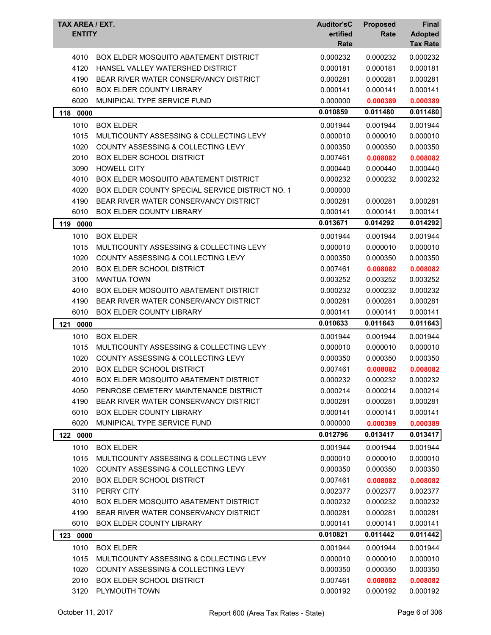| TAX AREA / EXT.<br><b>ENTITY</b> |                                                 | <b>Auditor'sC</b><br>ertified<br>Rate | <b>Proposed</b><br>Rate | Final<br><b>Adopted</b><br><b>Tax Rate</b> |
|----------------------------------|-------------------------------------------------|---------------------------------------|-------------------------|--------------------------------------------|
| 4010                             | <b>BOX ELDER MOSQUITO ABATEMENT DISTRICT</b>    | 0.000232                              | 0.000232                | 0.000232                                   |
| 4120                             | HANSEL VALLEY WATERSHED DISTRICT                | 0.000181                              | 0.000181                | 0.000181                                   |
| 4190                             | BEAR RIVER WATER CONSERVANCY DISTRICT           | 0.000281                              | 0.000281                | 0.000281                                   |
| 6010                             | BOX ELDER COUNTY LIBRARY                        | 0.000141                              | 0.000141                | 0.000141                                   |
| 6020                             | MUNIPICAL TYPE SERVICE FUND                     | 0.000000                              | 0.000389                | 0.000389                                   |
| 0000<br>118                      |                                                 | 0.010859                              | 0.011480                | 0.011480                                   |
| 1010                             | <b>BOX ELDER</b>                                | 0.001944                              | 0.001944                | 0.001944                                   |
| 1015                             | MULTICOUNTY ASSESSING & COLLECTING LEVY         | 0.000010                              | 0.000010                | 0.000010                                   |
| 1020                             | COUNTY ASSESSING & COLLECTING LEVY              | 0.000350                              | 0.000350                | 0.000350                                   |
| 2010                             | <b>BOX ELDER SCHOOL DISTRICT</b>                | 0.007461                              | 0.008082                | 0.008082                                   |
| 3090                             | <b>HOWELL CITY</b>                              | 0.000440                              | 0.000440                | 0.000440                                   |
| 4010                             | <b>BOX ELDER MOSQUITO ABATEMENT DISTRICT</b>    | 0.000232                              | 0.000232                | 0.000232                                   |
| 4020                             | BOX ELDER COUNTY SPECIAL SERVICE DISTRICT NO. 1 | 0.000000                              |                         |                                            |
| 4190                             | BEAR RIVER WATER CONSERVANCY DISTRICT           | 0.000281                              | 0.000281                | 0.000281                                   |
| 6010                             | <b>BOX ELDER COUNTY LIBRARY</b>                 | 0.000141                              | 0.000141                | 0.000141                                   |
| 0000<br>119                      |                                                 | 0.013671                              | 0.014292                | 0.014292                                   |
| 1010                             | <b>BOX ELDER</b>                                | 0.001944                              | 0.001944                | 0.001944                                   |
| 1015                             | MULTICOUNTY ASSESSING & COLLECTING LEVY         | 0.000010                              | 0.000010                | 0.000010                                   |
| 1020                             | <b>COUNTY ASSESSING &amp; COLLECTING LEVY</b>   | 0.000350                              | 0.000350                | 0.000350                                   |
| 2010                             | <b>BOX ELDER SCHOOL DISTRICT</b>                | 0.007461                              | 0.008082                | 0.008082                                   |
| 3100                             | <b>MANTUA TOWN</b>                              | 0.003252                              | 0.003252                | 0.003252                                   |
| 4010                             | <b>BOX ELDER MOSQUITO ABATEMENT DISTRICT</b>    | 0.000232                              | 0.000232                | 0.000232                                   |
| 4190                             | BEAR RIVER WATER CONSERVANCY DISTRICT           | 0.000281                              | 0.000281                | 0.000281                                   |
| 6010                             | BOX ELDER COUNTY LIBRARY                        | 0.000141                              | 0.000141                | 0.000141                                   |
| 121<br>0000                      |                                                 | 0.010633                              | 0.011643                | 0.011643                                   |
| 1010                             | <b>BOX ELDER</b>                                | 0.001944                              | 0.001944                | 0.001944                                   |
| 1015                             | MULTICOUNTY ASSESSING & COLLECTING LEVY         | 0.000010                              | 0.000010                | 0.000010                                   |
| 1020                             | COUNTY ASSESSING & COLLECTING LEVY              | 0.000350                              | 0.000350                | 0.000350                                   |
| 2010                             | <b>BOX ELDER SCHOOL DISTRICT</b>                | 0.007461                              | 0.008082                | 0.008082                                   |
| 4010                             | BOX ELDER MOSQUITO ABATEMENT DISTRICT           | 0.000232                              | 0.000232                | 0.000232                                   |
| 4050                             | PENROSE CEMETERY MAINTENANCE DISTRICT           | 0.000214                              | 0.000214                | 0.000214                                   |
| 4190                             | BEAR RIVER WATER CONSERVANCY DISTRICT           | 0.000281                              | 0.000281                | 0.000281                                   |
| 6010                             | <b>BOX ELDER COUNTY LIBRARY</b>                 | 0.000141                              | 0.000141                | 0.000141                                   |
| 6020                             | MUNIPICAL TYPE SERVICE FUND                     | 0.000000                              | 0.000389                | 0.000389                                   |
| 122 0000                         |                                                 | 0.012796                              | 0.013417                | 0.013417                                   |
| 1010                             | <b>BOX ELDER</b>                                | 0.001944                              | 0.001944                | 0.001944                                   |
| 1015                             | MULTICOUNTY ASSESSING & COLLECTING LEVY         | 0.000010                              | 0.000010                | 0.000010                                   |
| 1020                             | COUNTY ASSESSING & COLLECTING LEVY              | 0.000350                              | 0.000350                | 0.000350                                   |
| 2010                             | <b>BOX ELDER SCHOOL DISTRICT</b>                | 0.007461                              | 0.008082                | 0.008082                                   |
| 3110                             | PERRY CITY                                      | 0.002377                              | 0.002377                | 0.002377                                   |
| 4010                             | BOX ELDER MOSQUITO ABATEMENT DISTRICT           | 0.000232                              | 0.000232                | 0.000232                                   |
| 4190                             | BEAR RIVER WATER CONSERVANCY DISTRICT           | 0.000281                              | 0.000281                | 0.000281                                   |
| 6010                             | <b>BOX ELDER COUNTY LIBRARY</b>                 | 0.000141                              | 0.000141                | 0.000141                                   |
| 123 0000                         |                                                 | 0.010821                              | 0.011442                | 0.011442                                   |
| 1010                             | <b>BOX ELDER</b>                                | 0.001944                              | 0.001944                | 0.001944                                   |
| 1015                             | MULTICOUNTY ASSESSING & COLLECTING LEVY         | 0.000010                              | 0.000010                | 0.000010                                   |
| 1020                             | <b>COUNTY ASSESSING &amp; COLLECTING LEVY</b>   | 0.000350                              | 0.000350                | 0.000350                                   |
| 2010                             | <b>BOX ELDER SCHOOL DISTRICT</b>                | 0.007461                              | 0.008082                | 0.008082                                   |
| 3120                             | PLYMOUTH TOWN                                   | 0.000192                              | 0.000192                | 0.000192                                   |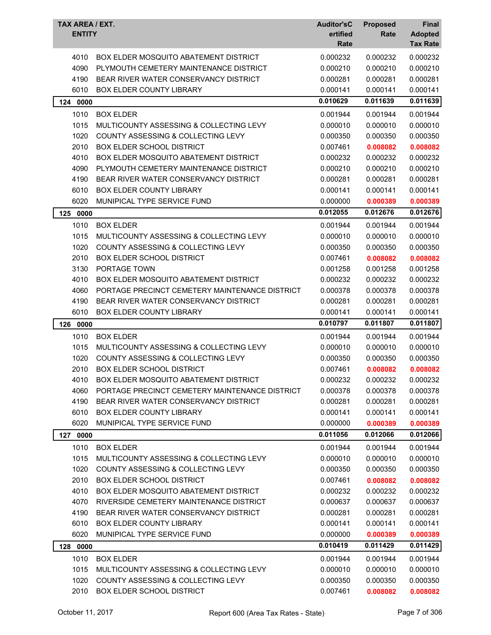| TAX AREA / EXT.<br><b>ENTITY</b> |                                                | <b>Auditor'sC</b><br>ertified<br>Rate | <b>Proposed</b><br>Rate | Final<br><b>Adopted</b><br><b>Tax Rate</b> |
|----------------------------------|------------------------------------------------|---------------------------------------|-------------------------|--------------------------------------------|
| 4010                             | BOX ELDER MOSQUITO ABATEMENT DISTRICT          | 0.000232                              | 0.000232                | 0.000232                                   |
| 4090                             | PLYMOUTH CEMETERY MAINTENANCE DISTRICT         | 0.000210                              | 0.000210                | 0.000210                                   |
| 4190                             | BEAR RIVER WATER CONSERVANCY DISTRICT          | 0.000281                              | 0.000281                | 0.000281                                   |
| 6010                             | BOX ELDER COUNTY LIBRARY                       | 0.000141                              | 0.000141                | 0.000141                                   |
| 124 0000                         |                                                | 0.010629                              | 0.011639                | 0.011639                                   |
| 1010                             | <b>BOX ELDER</b>                               | 0.001944                              | 0.001944                | 0.001944                                   |
| 1015                             | MULTICOUNTY ASSESSING & COLLECTING LEVY        | 0.000010                              | 0.000010                | 0.000010                                   |
| 1020                             | COUNTY ASSESSING & COLLECTING LEVY             | 0.000350                              | 0.000350                | 0.000350                                   |
| 2010                             | <b>BOX ELDER SCHOOL DISTRICT</b>               | 0.007461                              | 0.008082                | 0.008082                                   |
| 4010                             | BOX ELDER MOSQUITO ABATEMENT DISTRICT          | 0.000232                              | 0.000232                | 0.000232                                   |
| 4090                             | PLYMOUTH CEMETERY MAINTENANCE DISTRICT         | 0.000210                              | 0.000210                | 0.000210                                   |
| 4190                             | BEAR RIVER WATER CONSERVANCY DISTRICT          | 0.000281                              | 0.000281                | 0.000281                                   |
| 6010                             | <b>BOX ELDER COUNTY LIBRARY</b>                | 0.000141                              | 0.000141                | 0.000141                                   |
| 6020                             | MUNIPICAL TYPE SERVICE FUND                    | 0.000000                              | 0.000389                | 0.000389                                   |
| 125<br>0000                      |                                                | 0.012055                              | 0.012676                | 0.012676                                   |
| 1010                             | <b>BOX ELDER</b>                               | 0.001944                              | 0.001944                | 0.001944                                   |
| 1015                             | MULTICOUNTY ASSESSING & COLLECTING LEVY        | 0.000010                              | 0.000010                | 0.000010                                   |
| 1020                             | COUNTY ASSESSING & COLLECTING LEVY             | 0.000350                              | 0.000350                | 0.000350                                   |
| 2010                             | <b>BOX ELDER SCHOOL DISTRICT</b>               | 0.007461                              | 0.008082                | 0.008082                                   |
| 3130                             | PORTAGE TOWN                                   | 0.001258                              | 0.001258                | 0.001258                                   |
| 4010                             | BOX ELDER MOSQUITO ABATEMENT DISTRICT          | 0.000232                              | 0.000232                | 0.000232                                   |
| 4060                             | PORTAGE PRECINCT CEMETERY MAINTENANCE DISTRICT | 0.000378                              | 0.000378                | 0.000378                                   |
| 4190                             | BEAR RIVER WATER CONSERVANCY DISTRICT          | 0.000281                              | 0.000281                | 0.000281                                   |
| 6010                             | BOX ELDER COUNTY LIBRARY                       | 0.000141                              | 0.000141                | 0.000141                                   |
| 126<br>0000                      |                                                | 0.010797                              | 0.011807                | 0.011807                                   |
| 1010                             | <b>BOX ELDER</b>                               | 0.001944                              | 0.001944                | 0.001944                                   |
| 1015                             | MULTICOUNTY ASSESSING & COLLECTING LEVY        | 0.000010                              | 0.000010                | 0.000010                                   |
| 1020                             | COUNTY ASSESSING & COLLECTING LEVY             | 0.000350                              | 0.000350                | 0.000350                                   |
| 2010                             | <b>BOX ELDER SCHOOL DISTRICT</b>               | 0.007461                              | 0.008082                | 0.008082                                   |
| 4010                             | BOX ELDER MOSQUITO ABATEMENT DISTRICT          | 0.000232                              | 0.000232                | 0.000232                                   |
| 4060                             | PORTAGE PRECINCT CEMETERY MAINTENANCE DISTRICT | 0.000378                              | 0.000378                | 0.000378                                   |
| 4190                             | BEAR RIVER WATER CONSERVANCY DISTRICT          | 0.000281                              | 0.000281                | 0.000281                                   |
| 6010                             | BOX ELDER COUNTY LIBRARY                       | 0.000141                              | 0.000141                | 0.000141                                   |
| 6020                             | MUNIPICAL TYPE SERVICE FUND                    | 0.000000                              | 0.000389                | 0.000389                                   |
| 127<br>0000                      |                                                | 0.011056                              | 0.012066                | 0.012066                                   |
| 1010                             | <b>BOX ELDER</b>                               | 0.001944                              | 0.001944                | 0.001944                                   |
| 1015                             | MULTICOUNTY ASSESSING & COLLECTING LEVY        | 0.000010                              | 0.000010                | 0.000010                                   |
| 1020                             | COUNTY ASSESSING & COLLECTING LEVY             | 0.000350                              | 0.000350                | 0.000350                                   |
| 2010                             | <b>BOX ELDER SCHOOL DISTRICT</b>               | 0.007461                              | 0.008082                | 0.008082                                   |
| 4010                             | BOX ELDER MOSQUITO ABATEMENT DISTRICT          | 0.000232                              | 0.000232                | 0.000232                                   |
| 4070                             | RIVERSIDE CEMETERY MAINTENANCE DISTRICT        | 0.000637                              | 0.000637                | 0.000637                                   |
| 4190                             | BEAR RIVER WATER CONSERVANCY DISTRICT          | 0.000281                              | 0.000281                | 0.000281                                   |
| 6010                             | <b>BOX ELDER COUNTY LIBRARY</b>                | 0.000141                              | 0.000141                | 0.000141                                   |
| 6020                             | MUNIPICAL TYPE SERVICE FUND                    | 0.000000                              | 0.000389                | 0.000389                                   |
| 128<br>0000                      |                                                | 0.010419                              | 0.011429                | 0.011429                                   |
| 1010                             | <b>BOX ELDER</b>                               | 0.001944                              | 0.001944                | 0.001944                                   |
| 1015                             | MULTICOUNTY ASSESSING & COLLECTING LEVY        | 0.000010                              | 0.000010                | 0.000010                                   |
| 1020                             | COUNTY ASSESSING & COLLECTING LEVY             | 0.000350                              | 0.000350                | 0.000350                                   |
| 2010                             | BOX ELDER SCHOOL DISTRICT                      | 0.007461                              | 0.008082                | 0.008082                                   |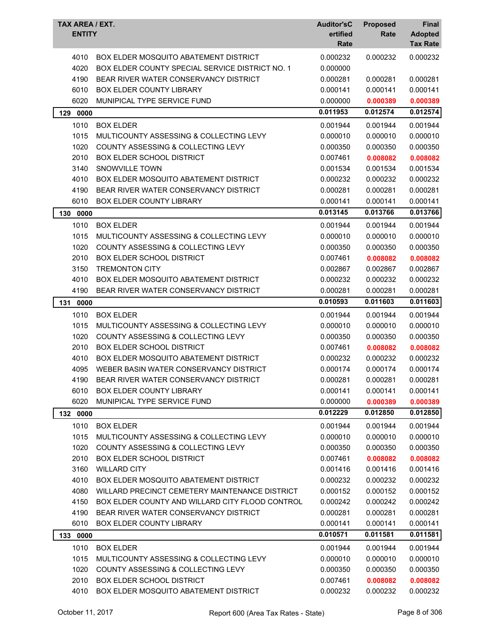| TAX AREA / EXT.<br><b>ENTITY</b> |                                                 | <b>Auditor'sC</b><br>ertified<br>Rate | <b>Proposed</b><br>Rate | Final<br><b>Adopted</b><br><b>Tax Rate</b> |
|----------------------------------|-------------------------------------------------|---------------------------------------|-------------------------|--------------------------------------------|
| 4010                             | <b>BOX ELDER MOSQUITO ABATEMENT DISTRICT</b>    | 0.000232                              | 0.000232                | 0.000232                                   |
| 4020                             | BOX ELDER COUNTY SPECIAL SERVICE DISTRICT NO. 1 | 0.000000                              |                         |                                            |
| 4190                             | BEAR RIVER WATER CONSERVANCY DISTRICT           | 0.000281                              | 0.000281                | 0.000281                                   |
| 6010                             | BOX ELDER COUNTY LIBRARY                        | 0.000141                              | 0.000141                | 0.000141                                   |
| 6020                             | MUNIPICAL TYPE SERVICE FUND                     | 0.000000                              | 0.000389                | 0.000389                                   |
| 129<br>0000                      |                                                 | 0.011953                              | 0.012574                | 0.012574                                   |
| 1010                             | <b>BOX ELDER</b>                                | 0.001944                              | 0.001944                | 0.001944                                   |
| 1015                             | MULTICOUNTY ASSESSING & COLLECTING LEVY         | 0.000010                              | 0.000010                | 0.000010                                   |
| 1020                             | COUNTY ASSESSING & COLLECTING LEVY              | 0.000350                              | 0.000350                | 0.000350                                   |
| 2010                             | <b>BOX ELDER SCHOOL DISTRICT</b>                | 0.007461                              | 0.008082                | 0.008082                                   |
| 3140                             | SNOWVILLE TOWN                                  | 0.001534                              | 0.001534                | 0.001534                                   |
| 4010                             | BOX ELDER MOSQUITO ABATEMENT DISTRICT           | 0.000232                              | 0.000232                | 0.000232                                   |
| 4190                             | BEAR RIVER WATER CONSERVANCY DISTRICT           | 0.000281                              | 0.000281                | 0.000281                                   |
| 6010                             | <b>BOX ELDER COUNTY LIBRARY</b>                 | 0.000141                              | 0.000141                | 0.000141                                   |
| 130<br>0000                      |                                                 | 0.013145                              | 0.013766                | 0.013766                                   |
| 1010                             | <b>BOX ELDER</b>                                | 0.001944                              | 0.001944                | 0.001944                                   |
| 1015                             | MULTICOUNTY ASSESSING & COLLECTING LEVY         | 0.000010                              | 0.000010                | 0.000010                                   |
| 1020                             | <b>COUNTY ASSESSING &amp; COLLECTING LEVY</b>   | 0.000350                              | 0.000350                | 0.000350                                   |
| 2010                             | <b>BOX ELDER SCHOOL DISTRICT</b>                | 0.007461                              | 0.008082                | 0.008082                                   |
| 3150                             | <b>TREMONTON CITY</b>                           | 0.002867                              | 0.002867                | 0.002867                                   |
| 4010                             | BOX ELDER MOSQUITO ABATEMENT DISTRICT           | 0.000232                              | 0.000232                | 0.000232                                   |
| 4190                             | BEAR RIVER WATER CONSERVANCY DISTRICT           | 0.000281                              | 0.000281                | 0.000281                                   |
| 131<br>0000                      |                                                 | 0.010593                              | 0.011603                | 0.011603                                   |
| 1010                             | <b>BOX ELDER</b>                                | 0.001944                              | 0.001944                | 0.001944                                   |
| 1015                             | MULTICOUNTY ASSESSING & COLLECTING LEVY         | 0.000010                              | 0.000010                | 0.000010                                   |
| 1020                             | <b>COUNTY ASSESSING &amp; COLLECTING LEVY</b>   | 0.000350                              | 0.000350                | 0.000350                                   |
| 2010                             | <b>BOX ELDER SCHOOL DISTRICT</b>                | 0.007461                              | 0.008082                | 0.008082                                   |
| 4010                             | BOX ELDER MOSQUITO ABATEMENT DISTRICT           | 0.000232                              | 0.000232                | 0.000232                                   |
| 4095                             | WEBER BASIN WATER CONSERVANCY DISTRICT          | 0.000174                              | 0.000174                | 0.000174                                   |
| 4190                             | BEAR RIVER WATER CONSERVANCY DISTRICT           | 0.000281                              | 0.000281                | 0.000281                                   |
| 6010                             | <b>BOX ELDER COUNTY LIBRARY</b>                 | 0.000141                              | 0.000141                | 0.000141                                   |
| 6020                             | MUNIPICAL TYPE SERVICE FUND                     | 0.000000                              | 0.000389                | 0.000389                                   |
| 132 0000                         |                                                 | 0.012229                              | 0.012850                | 0.012850                                   |
| 1010                             | <b>BOX ELDER</b>                                | 0.001944                              | 0.001944                | 0.001944                                   |
| 1015                             | MULTICOUNTY ASSESSING & COLLECTING LEVY         | 0.000010                              | 0.000010                | 0.000010                                   |
| 1020                             | COUNTY ASSESSING & COLLECTING LEVY              | 0.000350                              | 0.000350                | 0.000350                                   |
| 2010                             | <b>BOX ELDER SCHOOL DISTRICT</b>                | 0.007461                              | 0.008082                | 0.008082                                   |
| 3160                             | <b>WILLARD CITY</b>                             | 0.001416                              | 0.001416                | 0.001416                                   |
| 4010                             | <b>BOX ELDER MOSQUITO ABATEMENT DISTRICT</b>    | 0.000232                              | 0.000232                | 0.000232                                   |
| 4080                             | WILLARD PRECINCT CEMETERY MAINTENANCE DISTRICT  | 0.000152                              | 0.000152                | 0.000152                                   |
| 4150                             | BOX ELDER COUNTY AND WILLARD CITY FLOOD CONTROL | 0.000242                              | 0.000242                | 0.000242                                   |
| 4190                             | BEAR RIVER WATER CONSERVANCY DISTRICT           | 0.000281                              | 0.000281                | 0.000281                                   |
| 6010                             | <b>BOX ELDER COUNTY LIBRARY</b>                 | 0.000141                              | 0.000141                | 0.000141                                   |
| 133<br>0000                      |                                                 | 0.010571                              | 0.011581                | 0.011581                                   |
| 1010                             | <b>BOX ELDER</b>                                | 0.001944                              | 0.001944                | 0.001944                                   |
| 1015                             | MULTICOUNTY ASSESSING & COLLECTING LEVY         | 0.000010                              | 0.000010                | 0.000010                                   |
| 1020                             | COUNTY ASSESSING & COLLECTING LEVY              | 0.000350                              | 0.000350                | 0.000350                                   |
| 2010                             | <b>BOX ELDER SCHOOL DISTRICT</b>                | 0.007461                              | 0.008082                | 0.008082                                   |
| 4010                             | <b>BOX ELDER MOSQUITO ABATEMENT DISTRICT</b>    | 0.000232                              | 0.000232                | 0.000232                                   |
|                                  |                                                 |                                       |                         |                                            |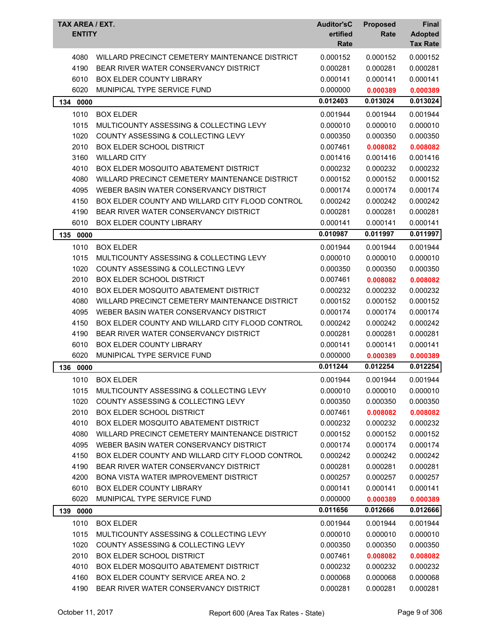| TAX AREA / EXT.<br><b>ENTITY</b> |                                                 | <b>Auditor'sC</b><br>ertified<br>Rate | <b>Proposed</b><br>Rate | Final<br><b>Adopted</b><br><b>Tax Rate</b> |
|----------------------------------|-------------------------------------------------|---------------------------------------|-------------------------|--------------------------------------------|
| 4080                             | WILLARD PRECINCT CEMETERY MAINTENANCE DISTRICT  | 0.000152                              | 0.000152                | 0.000152                                   |
| 4190                             | BEAR RIVER WATER CONSERVANCY DISTRICT           | 0.000281                              | 0.000281                | 0.000281                                   |
| 6010                             | <b>BOX ELDER COUNTY LIBRARY</b>                 | 0.000141                              | 0.000141                | 0.000141                                   |
| 6020                             | MUNIPICAL TYPE SERVICE FUND                     | 0.000000                              | 0.000389                | 0.000389                                   |
| 134 0000                         |                                                 | 0.012403                              | 0.013024                | 0.013024                                   |
| 1010                             | <b>BOX ELDER</b>                                | 0.001944                              | 0.001944                | 0.001944                                   |
| 1015                             | MULTICOUNTY ASSESSING & COLLECTING LEVY         | 0.000010                              | 0.000010                | 0.000010                                   |
| 1020                             | COUNTY ASSESSING & COLLECTING LEVY              | 0.000350                              | 0.000350                | 0.000350                                   |
| 2010                             | <b>BOX ELDER SCHOOL DISTRICT</b>                | 0.007461                              | 0.008082                | 0.008082                                   |
| 3160                             | <b>WILLARD CITY</b>                             | 0.001416                              | 0.001416                | 0.001416                                   |
| 4010                             | BOX ELDER MOSQUITO ABATEMENT DISTRICT           | 0.000232                              | 0.000232                | 0.000232                                   |
| 4080                             | WILLARD PRECINCT CEMETERY MAINTENANCE DISTRICT  | 0.000152                              | 0.000152                | 0.000152                                   |
| 4095                             | WEBER BASIN WATER CONSERVANCY DISTRICT          | 0.000174                              | 0.000174                | 0.000174                                   |
| 4150                             | BOX ELDER COUNTY AND WILLARD CITY FLOOD CONTROL | 0.000242                              | 0.000242                | 0.000242                                   |
| 4190                             | BEAR RIVER WATER CONSERVANCY DISTRICT           | 0.000281                              | 0.000281                | 0.000281                                   |
| 6010                             | BOX ELDER COUNTY LIBRARY                        | 0.000141                              | 0.000141                | 0.000141                                   |
| 135<br>0000                      |                                                 | 0.010987                              | 0.011997                | 0.011997                                   |
| 1010                             | <b>BOX ELDER</b>                                | 0.001944                              | 0.001944                | 0.001944                                   |
| 1015                             | MULTICOUNTY ASSESSING & COLLECTING LEVY         | 0.000010                              | 0.000010                | 0.000010                                   |
| 1020                             | COUNTY ASSESSING & COLLECTING LEVY              | 0.000350                              | 0.000350                | 0.000350                                   |
| 2010                             | <b>BOX ELDER SCHOOL DISTRICT</b>                | 0.007461                              | 0.008082                | 0.008082                                   |
| 4010                             | BOX ELDER MOSQUITO ABATEMENT DISTRICT           | 0.000232                              | 0.000232                | 0.000232                                   |
| 4080                             | WILLARD PRECINCT CEMETERY MAINTENANCE DISTRICT  | 0.000152                              | 0.000152                | 0.000152                                   |
| 4095                             | WEBER BASIN WATER CONSERVANCY DISTRICT          | 0.000174                              | 0.000174                | 0.000174                                   |
| 4150                             | BOX ELDER COUNTY AND WILLARD CITY FLOOD CONTROL | 0.000242                              | 0.000242                | 0.000242                                   |
| 4190                             | BEAR RIVER WATER CONSERVANCY DISTRICT           | 0.000281                              | 0.000281                | 0.000281                                   |
| 6010                             | <b>BOX ELDER COUNTY LIBRARY</b>                 | 0.000141                              | 0.000141                | 0.000141                                   |
| 6020                             | MUNIPICAL TYPE SERVICE FUND                     | 0.000000                              | 0.000389                | 0.000389                                   |
| 136<br>0000                      |                                                 | 0.011244                              | 0.012254                | 0.012254                                   |
| 1010                             | <b>BOX ELDER</b>                                | 0.001944                              | 0.001944                | 0.001944                                   |
| 1015                             | MULTICOUNTY ASSESSING & COLLECTING LEVY         | 0.000010                              | 0.000010                | 0.000010                                   |
| 1020                             | <b>COUNTY ASSESSING &amp; COLLECTING LEVY</b>   | 0.000350                              | 0.000350                | 0.000350                                   |
| 2010                             | <b>BOX ELDER SCHOOL DISTRICT</b>                | 0.007461                              | 0.008082                | 0.008082                                   |
| 4010                             | <b>BOX ELDER MOSQUITO ABATEMENT DISTRICT</b>    | 0.000232                              | 0.000232                | 0.000232                                   |
| 4080                             | WILLARD PRECINCT CEMETERY MAINTENANCE DISTRICT  | 0.000152                              | 0.000152                | 0.000152                                   |
| 4095                             | WEBER BASIN WATER CONSERVANCY DISTRICT          | 0.000174                              | 0.000174                | 0.000174                                   |
| 4150                             | BOX ELDER COUNTY AND WILLARD CITY FLOOD CONTROL | 0.000242                              | 0.000242                | 0.000242                                   |
| 4190                             | BEAR RIVER WATER CONSERVANCY DISTRICT           | 0.000281                              | 0.000281                | 0.000281                                   |
| 4200                             | BONA VISTA WATER IMPROVEMENT DISTRICT           | 0.000257                              | 0.000257                | 0.000257                                   |
| 6010                             | BOX ELDER COUNTY LIBRARY                        | 0.000141                              | 0.000141                | 0.000141                                   |
| 6020                             | MUNIPICAL TYPE SERVICE FUND                     | 0.000000                              | 0.000389                | 0.000389                                   |
| 139 0000                         |                                                 | 0.011656                              | 0.012666                | 0.012666                                   |
| 1010                             | <b>BOX ELDER</b>                                | 0.001944                              | 0.001944                | 0.001944                                   |
| 1015                             | MULTICOUNTY ASSESSING & COLLECTING LEVY         | 0.000010                              | 0.000010                | 0.000010                                   |
| 1020                             | COUNTY ASSESSING & COLLECTING LEVY              | 0.000350                              | 0.000350                | 0.000350                                   |
| 2010                             | <b>BOX ELDER SCHOOL DISTRICT</b>                | 0.007461                              | 0.008082                | 0.008082                                   |
| 4010                             | BOX ELDER MOSQUITO ABATEMENT DISTRICT           | 0.000232                              | 0.000232                | 0.000232                                   |
| 4160                             | <b>BOX ELDER COUNTY SERVICE AREA NO. 2</b>      | 0.000068                              | 0.000068                | 0.000068                                   |
| 4190                             | BEAR RIVER WATER CONSERVANCY DISTRICT           | 0.000281                              | 0.000281                | 0.000281                                   |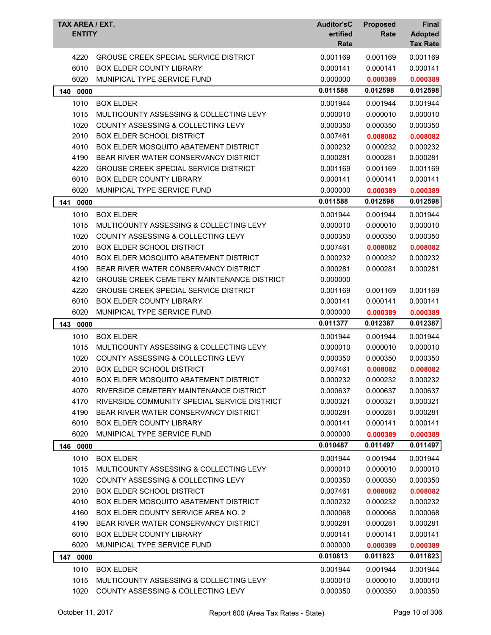| TAX AREA / EXT.<br><b>ENTITY</b> |                                                                               | <b>Auditor'sC</b><br>ertified | <b>Proposed</b><br>Rate | Final<br><b>Adopted</b> |
|----------------------------------|-------------------------------------------------------------------------------|-------------------------------|-------------------------|-------------------------|
|                                  |                                                                               | Rate                          |                         | <b>Tax Rate</b>         |
| 4220                             | <b>GROUSE CREEK SPECIAL SERVICE DISTRICT</b>                                  | 0.001169                      | 0.001169                | 0.001169                |
| 6010                             | <b>BOX ELDER COUNTY LIBRARY</b>                                               | 0.000141                      | 0.000141                | 0.000141                |
| 6020                             | MUNIPICAL TYPE SERVICE FUND                                                   | 0.000000                      | 0.000389                | 0.000389                |
| 0000<br>140                      |                                                                               | 0.011588                      | 0.012598                | 0.012598                |
| 1010                             | <b>BOX ELDER</b>                                                              | 0.001944                      | 0.001944                | 0.001944                |
| 1015                             | MULTICOUNTY ASSESSING & COLLECTING LEVY                                       | 0.000010                      | 0.000010                | 0.000010                |
| 1020                             | COUNTY ASSESSING & COLLECTING LEVY                                            | 0.000350                      | 0.000350                | 0.000350                |
| 2010                             | <b>BOX ELDER SCHOOL DISTRICT</b>                                              | 0.007461                      | 0.008082                | 0.008082                |
| 4010                             | BOX ELDER MOSQUITO ABATEMENT DISTRICT                                         | 0.000232                      | 0.000232                | 0.000232                |
| 4190                             | BEAR RIVER WATER CONSERVANCY DISTRICT                                         | 0.000281                      | 0.000281                | 0.000281                |
| 4220                             | <b>GROUSE CREEK SPECIAL SERVICE DISTRICT</b>                                  | 0.001169                      | 0.001169                | 0.001169                |
| 6010                             | <b>BOX ELDER COUNTY LIBRARY</b>                                               | 0.000141                      | 0.000141                | 0.000141                |
| 6020                             | MUNIPICAL TYPE SERVICE FUND                                                   | 0.000000                      | 0.000389                | 0.000389                |
| 141<br>0000                      |                                                                               | 0.011588                      | 0.012598                | 0.012598                |
| 1010                             | <b>BOX ELDER</b>                                                              | 0.001944                      | 0.001944                | 0.001944                |
| 1015                             | MULTICOUNTY ASSESSING & COLLECTING LEVY                                       | 0.000010                      | 0.000010                | 0.000010                |
| 1020                             | <b>COUNTY ASSESSING &amp; COLLECTING LEVY</b>                                 | 0.000350                      | 0.000350                | 0.000350                |
| 2010                             | <b>BOX ELDER SCHOOL DISTRICT</b>                                              | 0.007461                      | 0.008082                | 0.008082                |
| 4010                             | BOX ELDER MOSQUITO ABATEMENT DISTRICT                                         | 0.000232                      | 0.000232                | 0.000232                |
| 4190                             | BEAR RIVER WATER CONSERVANCY DISTRICT                                         | 0.000281                      | 0.000281                | 0.000281                |
| 4210                             | GROUSE CREEK CEMETERY MAINTENANCE DISTRICT                                    | 0.000000                      |                         |                         |
| 4220                             | <b>GROUSE CREEK SPECIAL SERVICE DISTRICT</b>                                  | 0.001169                      | 0.001169                | 0.001169                |
| 6010                             | BOX ELDER COUNTY LIBRARY                                                      | 0.000141                      | 0.000141                | 0.000141                |
| 6020                             | MUNIPICAL TYPE SERVICE FUND                                                   | 0.000000                      | 0.000389                | 0.000389                |
| 143 0000                         |                                                                               | 0.011377                      | 0.012387                | 0.012387                |
| 1010                             | <b>BOX ELDER</b>                                                              | 0.001944                      | 0.001944                | 0.001944                |
| 1015                             | MULTICOUNTY ASSESSING & COLLECTING LEVY                                       | 0.000010                      | 0.000010                | 0.000010                |
| 1020                             | COUNTY ASSESSING & COLLECTING LEVY                                            | 0.000350                      | 0.000350                | 0.000350                |
| 2010                             | <b>BOX ELDER SCHOOL DISTRICT</b>                                              | 0.007461                      | 0.008082                | 0.008082                |
| 4010                             | BOX ELDER MOSQUITO ABATEMENT DISTRICT                                         | 0.000232                      | 0.000232                | 0.000232                |
| 4070                             | RIVERSIDE CEMETERY MAINTENANCE DISTRICT                                       | 0.000637                      | 0.000637                | 0.000637                |
| 4170                             | RIVERSIDE COMMUNITY SPECIAL SERVICE DISTRICT                                  | 0.000321                      | 0.000321                | 0.000321                |
| 4190                             | BEAR RIVER WATER CONSERVANCY DISTRICT                                         | 0.000281                      | 0.000281                | 0.000281                |
| 6010                             | BOX ELDER COUNTY LIBRARY                                                      | 0.000141                      | 0.000141                | 0.000141                |
| 6020                             | MUNIPICAL TYPE SERVICE FUND                                                   | 0.000000                      | 0.000389                | 0.000389                |
| 146<br>0000                      |                                                                               | 0.010487                      | 0.011497                | 0.011497                |
| 1010                             | <b>BOX ELDER</b>                                                              | 0.001944                      | 0.001944                | 0.001944                |
| 1015                             | MULTICOUNTY ASSESSING & COLLECTING LEVY                                       | 0.000010                      | 0.000010                | 0.000010                |
| 1020                             | <b>COUNTY ASSESSING &amp; COLLECTING LEVY</b>                                 | 0.000350                      | 0.000350                | 0.000350                |
| 2010                             | <b>BOX ELDER SCHOOL DISTRICT</b>                                              | 0.007461                      | 0.008082                | 0.008082                |
| 4010                             | BOX ELDER MOSQUITO ABATEMENT DISTRICT                                         | 0.000232                      | 0.000232                | 0.000232                |
| 4160                             | BOX ELDER COUNTY SERVICE AREA NO. 2                                           | 0.000068                      | 0.000068                | 0.000068                |
| 4190                             | BEAR RIVER WATER CONSERVANCY DISTRICT                                         | 0.000281                      | 0.000281                | 0.000281                |
| 6010                             | BOX ELDER COUNTY LIBRARY                                                      | 0.000141                      | 0.000141                | 0.000141                |
| 6020                             | MUNIPICAL TYPE SERVICE FUND                                                   | 0.000000                      | 0.000389                | 0.000389                |
| 147 0000                         |                                                                               | 0.010813                      | 0.011823                | 0.011823                |
| 1010                             | <b>BOX ELDER</b>                                                              | 0.001944                      | 0.001944                | 0.001944                |
| 1015<br>1020                     | MULTICOUNTY ASSESSING & COLLECTING LEVY<br>COUNTY ASSESSING & COLLECTING LEVY | 0.000010<br>0.000350          | 0.000010<br>0.000350    | 0.000010<br>0.000350    |
|                                  |                                                                               |                               |                         |                         |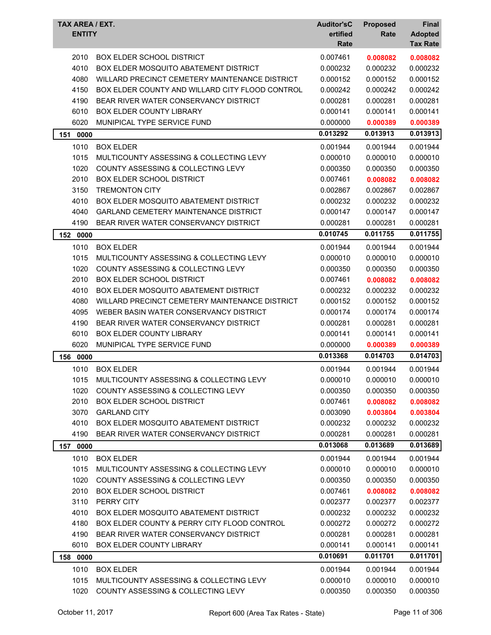| TAX AREA / EXT.<br><b>ENTITY</b> |                                                 | <b>Auditor'sC</b><br>ertified<br>Rate | <b>Proposed</b><br>Rate | Final<br><b>Adopted</b><br><b>Tax Rate</b> |
|----------------------------------|-------------------------------------------------|---------------------------------------|-------------------------|--------------------------------------------|
| 2010                             | BOX ELDER SCHOOL DISTRICT                       | 0.007461                              | 0.008082                | 0.008082                                   |
| 4010                             | BOX ELDER MOSQUITO ABATEMENT DISTRICT           | 0.000232                              | 0.000232                | 0.000232                                   |
| 4080                             | WILLARD PRECINCT CEMETERY MAINTENANCE DISTRICT  | 0.000152                              | 0.000152                | 0.000152                                   |
| 4150                             | BOX ELDER COUNTY AND WILLARD CITY FLOOD CONTROL | 0.000242                              | 0.000242                | 0.000242                                   |
| 4190                             | BEAR RIVER WATER CONSERVANCY DISTRICT           | 0.000281                              | 0.000281                | 0.000281                                   |
| 6010                             | <b>BOX ELDER COUNTY LIBRARY</b>                 | 0.000141                              | 0.000141                | 0.000141                                   |
| 6020                             | MUNIPICAL TYPE SERVICE FUND                     | 0.000000                              | 0.000389                | 0.000389                                   |
| 151<br>0000                      |                                                 | 0.013292                              | 0.013913                | 0.013913                                   |
| 1010                             | <b>BOX ELDER</b>                                | 0.001944                              | 0.001944                | 0.001944                                   |
| 1015                             | MULTICOUNTY ASSESSING & COLLECTING LEVY         | 0.000010                              | 0.000010                | 0.000010                                   |
| 1020                             | COUNTY ASSESSING & COLLECTING LEVY              | 0.000350                              | 0.000350                | 0.000350                                   |
| 2010                             | <b>BOX ELDER SCHOOL DISTRICT</b>                | 0.007461                              | 0.008082                | 0.008082                                   |
| 3150                             | <b>TREMONTON CITY</b>                           | 0.002867                              | 0.002867                | 0.002867                                   |
| 4010                             | BOX ELDER MOSQUITO ABATEMENT DISTRICT           | 0.000232                              | 0.000232                | 0.000232                                   |
| 4040                             | <b>GARLAND CEMETERY MAINTENANCE DISTRICT</b>    | 0.000147                              | 0.000147                | 0.000147                                   |
| 4190                             | BEAR RIVER WATER CONSERVANCY DISTRICT           | 0.000281                              | 0.000281                | 0.000281                                   |
| 152<br>0000                      |                                                 | 0.010745                              | 0.011755                | 0.011755                                   |
| 1010                             | <b>BOX ELDER</b>                                | 0.001944                              | 0.001944                | 0.001944                                   |
| 1015                             | MULTICOUNTY ASSESSING & COLLECTING LEVY         | 0.000010                              | 0.000010                | 0.000010                                   |
| 1020                             | <b>COUNTY ASSESSING &amp; COLLECTING LEVY</b>   | 0.000350                              | 0.000350                | 0.000350                                   |
| 2010                             | <b>BOX ELDER SCHOOL DISTRICT</b>                | 0.007461                              | 0.008082                | 0.008082                                   |
| 4010                             | BOX ELDER MOSQUITO ABATEMENT DISTRICT           | 0.000232                              | 0.000232                | 0.000232                                   |
| 4080                             | WILLARD PRECINCT CEMETERY MAINTENANCE DISTRICT  | 0.000152                              | 0.000152                | 0.000152                                   |
| 4095                             | WEBER BASIN WATER CONSERVANCY DISTRICT          | 0.000174                              | 0.000174                | 0.000174                                   |
| 4190                             | BEAR RIVER WATER CONSERVANCY DISTRICT           | 0.000281                              | 0.000281                | 0.000281                                   |
| 6010                             | <b>BOX ELDER COUNTY LIBRARY</b>                 | 0.000141                              | 0.000141                | 0.000141                                   |
| 6020                             | MUNIPICAL TYPE SERVICE FUND                     | 0.000000                              | 0.000389                | 0.000389                                   |
| 0000<br>156                      |                                                 | 0.013368                              | 0.014703                | 0.014703                                   |
| 1010                             | <b>BOX ELDER</b>                                | 0.001944                              | 0.001944                | 0.001944                                   |
| 1015                             | MULTICOUNTY ASSESSING & COLLECTING LEVY         | 0.000010                              | 0.000010                | 0.000010                                   |
| 1020                             | COUNTY ASSESSING & COLLECTING LEVY              | 0.000350                              | 0.000350                | 0.000350                                   |
| 2010                             | <b>BOX ELDER SCHOOL DISTRICT</b>                | 0.007461                              | 0.008082                | 0.008082                                   |
| 3070                             | <b>GARLAND CITY</b>                             | 0.003090                              | 0.003804                | 0.003804                                   |
| 4010                             | <b>BOX ELDER MOSQUITO ABATEMENT DISTRICT</b>    | 0.000232                              | 0.000232                | 0.000232                                   |
| 4190                             | BEAR RIVER WATER CONSERVANCY DISTRICT           | 0.000281                              | 0.000281                | 0.000281                                   |
| 157 0000                         |                                                 | 0.013068                              | 0.013689                | 0.013689                                   |
| 1010                             | <b>BOX ELDER</b>                                | 0.001944                              | 0.001944                | 0.001944                                   |
| 1015                             | MULTICOUNTY ASSESSING & COLLECTING LEVY         | 0.000010                              | 0.000010                | 0.000010                                   |
| 1020                             | <b>COUNTY ASSESSING &amp; COLLECTING LEVY</b>   | 0.000350                              | 0.000350                | 0.000350                                   |
| 2010                             | <b>BOX ELDER SCHOOL DISTRICT</b>                | 0.007461                              | 0.008082                | 0.008082                                   |
| 3110                             | PERRY CITY                                      | 0.002377                              | 0.002377                | 0.002377                                   |
| 4010                             | BOX ELDER MOSQUITO ABATEMENT DISTRICT           | 0.000232                              | 0.000232                | 0.000232                                   |
| 4180                             | BOX ELDER COUNTY & PERRY CITY FLOOD CONTROL     | 0.000272                              | 0.000272                | 0.000272                                   |
| 4190                             | BEAR RIVER WATER CONSERVANCY DISTRICT           | 0.000281                              | 0.000281                | 0.000281                                   |
| 6010                             | <b>BOX ELDER COUNTY LIBRARY</b>                 | 0.000141                              | 0.000141                | 0.000141                                   |
| 158 0000                         |                                                 | 0.010691                              | 0.011701                | 0.011701                                   |
| 1010                             | <b>BOX ELDER</b>                                | 0.001944                              | 0.001944                | 0.001944                                   |
| 1015                             | MULTICOUNTY ASSESSING & COLLECTING LEVY         | 0.000010                              | 0.000010                | 0.000010                                   |
| 1020                             | COUNTY ASSESSING & COLLECTING LEVY              | 0.000350                              | 0.000350                | 0.000350                                   |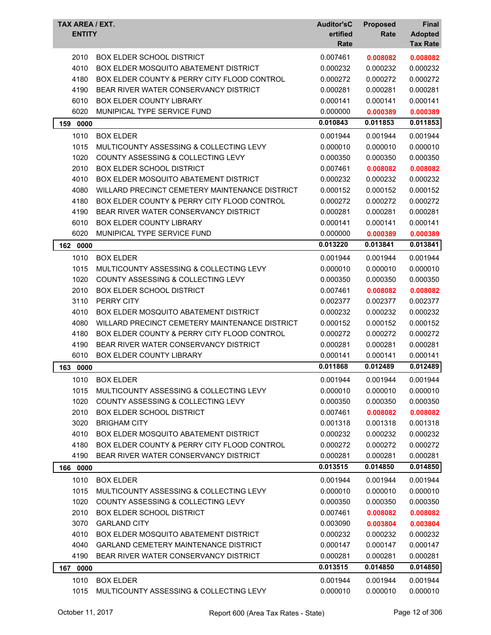| TAX AREA / EXT.<br><b>ENTITY</b> |                                                | <b>Auditor'sC</b><br>ertified<br>Rate | <b>Proposed</b><br>Rate | Final<br><b>Adopted</b><br><b>Tax Rate</b> |
|----------------------------------|------------------------------------------------|---------------------------------------|-------------------------|--------------------------------------------|
| 2010                             | <b>BOX ELDER SCHOOL DISTRICT</b>               | 0.007461                              | 0.008082                | 0.008082                                   |
| 4010                             | <b>BOX ELDER MOSQUITO ABATEMENT DISTRICT</b>   | 0.000232                              | 0.000232                | 0.000232                                   |
| 4180                             | BOX ELDER COUNTY & PERRY CITY FLOOD CONTROL    | 0.000272                              | 0.000272                | 0.000272                                   |
| 4190                             | BEAR RIVER WATER CONSERVANCY DISTRICT          | 0.000281                              | 0.000281                | 0.000281                                   |
| 6010                             | <b>BOX ELDER COUNTY LIBRARY</b>                | 0.000141                              | 0.000141                | 0.000141                                   |
| 6020                             | MUNIPICAL TYPE SERVICE FUND                    | 0.000000                              | 0.000389                | 0.000389                                   |
| 159<br>0000                      |                                                | 0.010843                              | 0.011853                | 0.011853                                   |
| 1010                             | <b>BOX ELDER</b>                               | 0.001944                              | 0.001944                | 0.001944                                   |
| 1015                             | MULTICOUNTY ASSESSING & COLLECTING LEVY        | 0.000010                              | 0.000010                | 0.000010                                   |
| 1020                             | COUNTY ASSESSING & COLLECTING LEVY             | 0.000350                              | 0.000350                | 0.000350                                   |
| 2010                             | <b>BOX ELDER SCHOOL DISTRICT</b>               | 0.007461                              | 0.008082                | 0.008082                                   |
| 4010                             | <b>BOX ELDER MOSQUITO ABATEMENT DISTRICT</b>   | 0.000232                              | 0.000232                | 0.000232                                   |
| 4080                             | WILLARD PRECINCT CEMETERY MAINTENANCE DISTRICT | 0.000152                              | 0.000152                | 0.000152                                   |
| 4180                             | BOX ELDER COUNTY & PERRY CITY FLOOD CONTROL    | 0.000272                              | 0.000272                | 0.000272                                   |
| 4190                             | BEAR RIVER WATER CONSERVANCY DISTRICT          | 0.000281                              | 0.000281                | 0.000281                                   |
| 6010                             | BOX ELDER COUNTY LIBRARY                       | 0.000141                              | 0.000141                | 0.000141                                   |
| 6020                             | MUNIPICAL TYPE SERVICE FUND                    | 0.000000                              | 0.000389                | 0.000389                                   |
| 0000<br>162                      |                                                | 0.013220                              | 0.013841                | 0.013841                                   |
| 1010                             | <b>BOX ELDER</b>                               | 0.001944                              | 0.001944                | 0.001944                                   |
| 1015                             | MULTICOUNTY ASSESSING & COLLECTING LEVY        | 0.000010                              | 0.000010                | 0.000010                                   |
| 1020                             | COUNTY ASSESSING & COLLECTING LEVY             | 0.000350                              | 0.000350                | 0.000350                                   |
| 2010                             | <b>BOX ELDER SCHOOL DISTRICT</b>               | 0.007461                              | 0.008082                | 0.008082                                   |
| 3110                             | PERRY CITY                                     | 0.002377                              | 0.002377                | 0.002377                                   |
| 4010                             | <b>BOX ELDER MOSQUITO ABATEMENT DISTRICT</b>   | 0.000232                              | 0.000232                | 0.000232                                   |
| 4080                             | WILLARD PRECINCT CEMETERY MAINTENANCE DISTRICT | 0.000152                              | 0.000152                | 0.000152                                   |
| 4180                             | BOX ELDER COUNTY & PERRY CITY FLOOD CONTROL    | 0.000272                              | 0.000272                | 0.000272                                   |
| 4190                             | BEAR RIVER WATER CONSERVANCY DISTRICT          | 0.000281                              | 0.000281                | 0.000281                                   |
| 6010                             | BOX ELDER COUNTY LIBRARY                       | 0.000141                              | 0.000141                | 0.000141                                   |
|                                  |                                                | 0.011868                              | 0.012489                | 0.012489                                   |
| 163<br>0000                      |                                                |                                       |                         |                                            |
| 1010                             | <b>BOX ELDER</b>                               | 0.001944                              | 0.001944                | 0.001944                                   |
| 1015                             | MULTICOUNTY ASSESSING & COLLECTING LEVY        | 0.000010                              | 0.000010                | 0.000010                                   |
| 1020                             | <b>COUNTY ASSESSING &amp; COLLECTING LEVY</b>  | 0.000350                              | 0.000350                | 0.000350                                   |
| 2010                             | <b>BOX ELDER SCHOOL DISTRICT</b>               | 0.007461                              | 0.008082                | 0.008082                                   |
| 3020                             | <b>BRIGHAM CITY</b>                            | 0.001318                              | 0.001318                | 0.001318                                   |
| 4010                             | <b>BOX ELDER MOSQUITO ABATEMENT DISTRICT</b>   | 0.000232                              | 0.000232                | 0.000232                                   |
| 4180                             | BOX ELDER COUNTY & PERRY CITY FLOOD CONTROL    | 0.000272                              | 0.000272                | 0.000272                                   |
| 4190                             | BEAR RIVER WATER CONSERVANCY DISTRICT          | 0.000281                              | 0.000281                | 0.000281                                   |
| 166 0000                         |                                                | 0.013515                              | 0.014850                | 0.014850                                   |
| 1010                             | <b>BOX ELDER</b>                               | 0.001944                              | 0.001944                | 0.001944                                   |
| 1015                             | MULTICOUNTY ASSESSING & COLLECTING LEVY        | 0.000010                              | 0.000010                | 0.000010                                   |
| 1020                             | COUNTY ASSESSING & COLLECTING LEVY             | 0.000350                              | 0.000350                | 0.000350                                   |
| 2010                             | <b>BOX ELDER SCHOOL DISTRICT</b>               | 0.007461                              | 0.008082                | 0.008082                                   |
| 3070                             | <b>GARLAND CITY</b>                            | 0.003090                              | 0.003804                | 0.003804                                   |
| 4010                             | <b>BOX ELDER MOSQUITO ABATEMENT DISTRICT</b>   | 0.000232                              | 0.000232                | 0.000232                                   |
| 4040                             | <b>GARLAND CEMETERY MAINTENANCE DISTRICT</b>   | 0.000147                              | 0.000147                | 0.000147                                   |
| 4190                             | BEAR RIVER WATER CONSERVANCY DISTRICT          | 0.000281                              | 0.000281                | 0.000281                                   |
| 167<br>0000                      |                                                | 0.013515                              | 0.014850                | 0.014850                                   |
| 1010                             | <b>BOX ELDER</b>                               | 0.001944                              | 0.001944                | 0.001944                                   |
| 1015                             | MULTICOUNTY ASSESSING & COLLECTING LEVY        | 0.000010                              | 0.000010                | 0.000010                                   |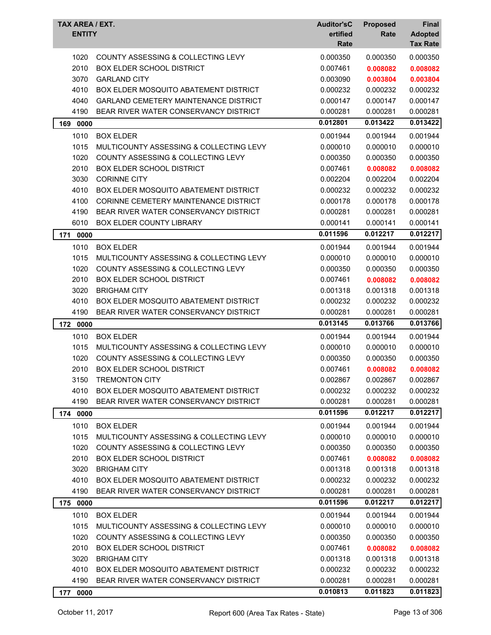| TAX AREA / EXT.<br><b>ENTITY</b> |                                               | <b>Auditor'sC</b><br>ertified<br>Rate | <b>Proposed</b><br>Rate | <b>Final</b><br><b>Adopted</b><br><b>Tax Rate</b> |
|----------------------------------|-----------------------------------------------|---------------------------------------|-------------------------|---------------------------------------------------|
| 1020                             | <b>COUNTY ASSESSING &amp; COLLECTING LEVY</b> | 0.000350                              | 0.000350                | 0.000350                                          |
| 2010                             | <b>BOX ELDER SCHOOL DISTRICT</b>              | 0.007461                              | 0.008082                | 0.008082                                          |
| 3070                             | <b>GARLAND CITY</b>                           | 0.003090                              | 0.003804                | 0.003804                                          |
| 4010                             | <b>BOX ELDER MOSQUITO ABATEMENT DISTRICT</b>  | 0.000232                              | 0.000232                | 0.000232                                          |
| 4040                             | <b>GARLAND CEMETERY MAINTENANCE DISTRICT</b>  | 0.000147                              | 0.000147                | 0.000147                                          |
| 4190                             | BEAR RIVER WATER CONSERVANCY DISTRICT         | 0.000281                              | 0.000281                | 0.000281                                          |
| 169 0000                         |                                               | 0.012801                              | 0.013422                | 0.013422                                          |
| 1010                             | <b>BOX ELDER</b>                              | 0.001944                              | 0.001944                | 0.001944                                          |
| 1015                             | MULTICOUNTY ASSESSING & COLLECTING LEVY       | 0.000010                              | 0.000010                | 0.000010                                          |
| 1020                             | COUNTY ASSESSING & COLLECTING LEVY            | 0.000350                              | 0.000350                | 0.000350                                          |
| 2010                             | <b>BOX ELDER SCHOOL DISTRICT</b>              | 0.007461                              | 0.008082                | 0.008082                                          |
| 3030                             | <b>CORINNE CITY</b>                           | 0.002204                              | 0.002204                | 0.002204                                          |
| 4010                             | BOX ELDER MOSQUITO ABATEMENT DISTRICT         | 0.000232                              | 0.000232                | 0.000232                                          |
| 4100                             | CORINNE CEMETERY MAINTENANCE DISTRICT         | 0.000178                              | 0.000178                | 0.000178                                          |
| 4190                             | BEAR RIVER WATER CONSERVANCY DISTRICT         | 0.000281                              | 0.000281                | 0.000281                                          |
| 6010                             | BOX ELDER COUNTY LIBRARY                      | 0.000141                              | 0.000141                | 0.000141                                          |
| 171<br>0000                      |                                               | 0.011596                              | 0.012217                | 0.012217                                          |
| 1010                             | <b>BOX ELDER</b>                              | 0.001944                              | 0.001944                | 0.001944                                          |
| 1015                             | MULTICOUNTY ASSESSING & COLLECTING LEVY       | 0.000010                              | 0.000010                | 0.000010                                          |
| 1020                             | COUNTY ASSESSING & COLLECTING LEVY            | 0.000350                              | 0.000350                | 0.000350                                          |
| 2010                             | <b>BOX ELDER SCHOOL DISTRICT</b>              | 0.007461                              | 0.008082                | 0.008082                                          |
| 3020                             | <b>BRIGHAM CITY</b>                           | 0.001318                              | 0.001318                | 0.001318                                          |
| 4010                             | BOX ELDER MOSQUITO ABATEMENT DISTRICT         | 0.000232                              | 0.000232                | 0.000232                                          |
| 4190                             | BEAR RIVER WATER CONSERVANCY DISTRICT         | 0.000281                              | 0.000281                | 0.000281                                          |
| 172 0000                         |                                               | 0.013145                              | 0.013766                | 0.013766                                          |
| 1010                             | <b>BOX ELDER</b>                              | 0.001944                              | 0.001944                | 0.001944                                          |
| 1015                             | MULTICOUNTY ASSESSING & COLLECTING LEVY       | 0.000010                              | 0.000010                | 0.000010                                          |
| 1020                             | <b>COUNTY ASSESSING &amp; COLLECTING LEVY</b> | 0.000350                              | 0.000350                | 0.000350                                          |
| 2010                             | <b>BOX ELDER SCHOOL DISTRICT</b>              | 0.007461                              | 0.008082                | 0.008082                                          |
| 3150                             | <b>TREMONTON CITY</b>                         | 0.002867                              | 0.002867                | 0.002867                                          |
| 4010                             | <b>BOX ELDER MOSQUITO ABATEMENT DISTRICT</b>  | 0.000232                              | 0.000232                | 0.000232                                          |
| 4190                             | BEAR RIVER WATER CONSERVANCY DISTRICT         | 0.000281                              | 0.000281                | 0.000281                                          |
| 174 0000                         |                                               | 0.011596                              | 0.012217                | 0.012217                                          |
| 1010                             | <b>BOX ELDER</b>                              | 0.001944                              | 0.001944                | 0.001944                                          |
| 1015                             | MULTICOUNTY ASSESSING & COLLECTING LEVY       | 0.000010                              | 0.000010                | 0.000010                                          |
| 1020                             | COUNTY ASSESSING & COLLECTING LEVY            | 0.000350                              | 0.000350                | 0.000350                                          |
| 2010                             | <b>BOX ELDER SCHOOL DISTRICT</b>              | 0.007461                              | 0.008082                | 0.008082                                          |
| 3020                             | <b>BRIGHAM CITY</b>                           | 0.001318                              | 0.001318                | 0.001318                                          |
| 4010                             | <b>BOX ELDER MOSQUITO ABATEMENT DISTRICT</b>  | 0.000232                              | 0.000232                | 0.000232                                          |
| 4190                             | BEAR RIVER WATER CONSERVANCY DISTRICT         | 0.000281                              | 0.000281                | 0.000281                                          |
| 175 0000                         |                                               | 0.011596                              | 0.012217                | 0.012217                                          |
| 1010                             | <b>BOX ELDER</b>                              | 0.001944                              | 0.001944                | 0.001944                                          |
| 1015                             | MULTICOUNTY ASSESSING & COLLECTING LEVY       | 0.000010                              | 0.000010                | 0.000010                                          |
| 1020                             | COUNTY ASSESSING & COLLECTING LEVY            | 0.000350                              | 0.000350                | 0.000350                                          |
| 2010                             | <b>BOX ELDER SCHOOL DISTRICT</b>              | 0.007461                              | 0.008082                | 0.008082                                          |
| 3020                             | <b>BRIGHAM CITY</b>                           | 0.001318                              | 0.001318                | 0.001318                                          |
| 4010                             | <b>BOX ELDER MOSQUITO ABATEMENT DISTRICT</b>  | 0.000232                              | 0.000232                | 0.000232                                          |
| 4190                             | BEAR RIVER WATER CONSERVANCY DISTRICT         | 0.000281                              | 0.000281                | 0.000281                                          |
| 177 0000                         |                                               | 0.010813                              | 0.011823                | 0.011823                                          |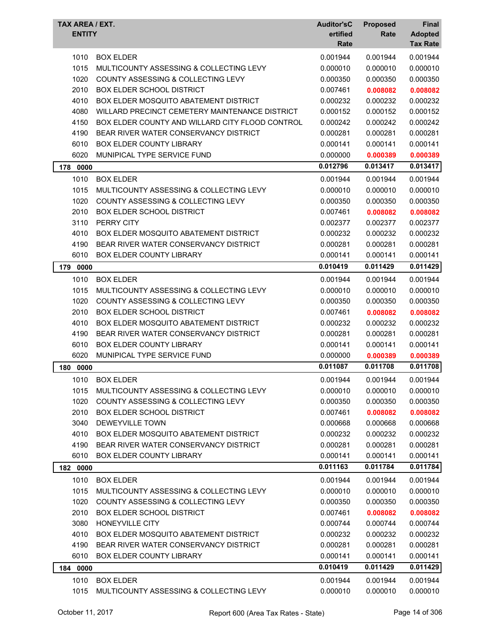| <b>TAX AREA / EXT.</b><br><b>ENTITY</b> |                                                 | <b>Auditor'sC</b><br>ertified<br>Rate | <b>Proposed</b><br>Rate | Final<br><b>Adopted</b><br><b>Tax Rate</b> |
|-----------------------------------------|-------------------------------------------------|---------------------------------------|-------------------------|--------------------------------------------|
| 1010                                    | <b>BOX ELDER</b>                                | 0.001944                              | 0.001944                | 0.001944                                   |
| 1015                                    | MULTICOUNTY ASSESSING & COLLECTING LEVY         | 0.000010                              | 0.000010                | 0.000010                                   |
| 1020                                    | COUNTY ASSESSING & COLLECTING LEVY              | 0.000350                              | 0.000350                | 0.000350                                   |
| 2010                                    | <b>BOX ELDER SCHOOL DISTRICT</b>                | 0.007461                              | 0.008082                | 0.008082                                   |
| 4010                                    | BOX ELDER MOSQUITO ABATEMENT DISTRICT           | 0.000232                              | 0.000232                | 0.000232                                   |
| 4080                                    | WILLARD PRECINCT CEMETERY MAINTENANCE DISTRICT  | 0.000152                              | 0.000152                | 0.000152                                   |
| 4150                                    | BOX ELDER COUNTY AND WILLARD CITY FLOOD CONTROL | 0.000242                              | 0.000242                | 0.000242                                   |
| 4190                                    | BEAR RIVER WATER CONSERVANCY DISTRICT           | 0.000281                              | 0.000281                | 0.000281                                   |
| 6010                                    | <b>BOX ELDER COUNTY LIBRARY</b>                 | 0.000141                              | 0.000141                | 0.000141                                   |
| 6020                                    | MUNIPICAL TYPE SERVICE FUND                     | 0.000000                              | 0.000389                | 0.000389                                   |
| 178<br>0000                             |                                                 | 0.012796                              | 0.013417                | 0.013417                                   |
| 1010                                    | <b>BOX ELDER</b>                                | 0.001944                              | 0.001944                | 0.001944                                   |
| 1015                                    | MULTICOUNTY ASSESSING & COLLECTING LEVY         | 0.000010                              | 0.000010                | 0.000010                                   |
| 1020                                    | COUNTY ASSESSING & COLLECTING LEVY              | 0.000350                              | 0.000350                | 0.000350                                   |
| 2010                                    | <b>BOX ELDER SCHOOL DISTRICT</b>                | 0.007461                              | 0.008082                | 0.008082                                   |
| 3110                                    | PERRY CITY                                      | 0.002377                              | 0.002377                | 0.002377                                   |
| 4010                                    | <b>BOX ELDER MOSQUITO ABATEMENT DISTRICT</b>    | 0.000232                              | 0.000232                | 0.000232                                   |
| 4190                                    | BEAR RIVER WATER CONSERVANCY DISTRICT           | 0.000281                              | 0.000281                | 0.000281                                   |
| 6010                                    | BOX ELDER COUNTY LIBRARY                        | 0.000141                              | 0.000141                | 0.000141                                   |
| 179<br>0000                             |                                                 | 0.010419                              | 0.011429                | 0.011429                                   |
| 1010                                    | <b>BOX ELDER</b>                                | 0.001944                              | 0.001944                | 0.001944                                   |
| 1015                                    | MULTICOUNTY ASSESSING & COLLECTING LEVY         | 0.000010                              | 0.000010                | 0.000010                                   |
| 1020                                    | <b>COUNTY ASSESSING &amp; COLLECTING LEVY</b>   | 0.000350                              | 0.000350                | 0.000350                                   |
| 2010                                    | <b>BOX ELDER SCHOOL DISTRICT</b>                | 0.007461                              | 0.008082                | 0.008082                                   |
| 4010                                    | <b>BOX ELDER MOSQUITO ABATEMENT DISTRICT</b>    | 0.000232                              | 0.000232                | 0.000232                                   |
| 4190                                    | BEAR RIVER WATER CONSERVANCY DISTRICT           | 0.000281                              | 0.000281                | 0.000281                                   |
| 6010                                    | <b>BOX ELDER COUNTY LIBRARY</b>                 | 0.000141                              | 0.000141                | 0.000141                                   |
| 6020                                    | MUNIPICAL TYPE SERVICE FUND                     | 0.000000                              | 0.000389                | 0.000389                                   |
| 180 0000                                |                                                 | 0.011087                              | 0.011708                | 0.011708                                   |
|                                         | 1010 BOX ELDER                                  | 0.001944                              | 0.001944                | 0.001944                                   |
| 1015                                    | MULTICOUNTY ASSESSING & COLLECTING LEVY         | 0.000010                              | 0.000010                | 0.000010                                   |
| 1020                                    | COUNTY ASSESSING & COLLECTING LEVY              | 0.000350                              | 0.000350                | 0.000350                                   |
| 2010                                    | <b>BOX ELDER SCHOOL DISTRICT</b>                | 0.007461                              | 0.008082                | 0.008082                                   |
| 3040                                    | DEWEYVILLE TOWN                                 | 0.000668                              | 0.000668                | 0.000668                                   |
| 4010                                    | BOX ELDER MOSQUITO ABATEMENT DISTRICT           | 0.000232                              | 0.000232                | 0.000232                                   |
| 4190                                    | BEAR RIVER WATER CONSERVANCY DISTRICT           | 0.000281                              | 0.000281                | 0.000281                                   |
| 6010                                    | <b>BOX ELDER COUNTY LIBRARY</b>                 | 0.000141                              | 0.000141                | 0.000141                                   |
| 182 0000                                |                                                 | 0.011163                              | 0.011784                | 0.011784                                   |
| 1010                                    | <b>BOX ELDER</b>                                | 0.001944                              | 0.001944                | 0.001944                                   |
| 1015                                    | MULTICOUNTY ASSESSING & COLLECTING LEVY         | 0.000010                              | 0.000010                | 0.000010                                   |
| 1020                                    | COUNTY ASSESSING & COLLECTING LEVY              | 0.000350                              | 0.000350                | 0.000350                                   |
| 2010                                    | <b>BOX ELDER SCHOOL DISTRICT</b>                | 0.007461                              | 0.008082                | 0.008082                                   |
| 3080                                    | HONEYVILLE CITY                                 | 0.000744                              | 0.000744                | 0.000744                                   |
| 4010                                    | <b>BOX ELDER MOSQUITO ABATEMENT DISTRICT</b>    | 0.000232                              | 0.000232                | 0.000232                                   |
| 4190                                    | BEAR RIVER WATER CONSERVANCY DISTRICT           | 0.000281                              | 0.000281                | 0.000281                                   |
| 6010                                    | <b>BOX ELDER COUNTY LIBRARY</b>                 | 0.000141                              | 0.000141                | 0.000141                                   |
| 184 0000                                |                                                 | 0.010419                              | 0.011429                | 0.011429                                   |
| 1010                                    | <b>BOX ELDER</b>                                | 0.001944                              | 0.001944                | 0.001944                                   |
| 1015                                    | MULTICOUNTY ASSESSING & COLLECTING LEVY         | 0.000010                              | 0.000010                | 0.000010                                   |
|                                         |                                                 |                                       |                         |                                            |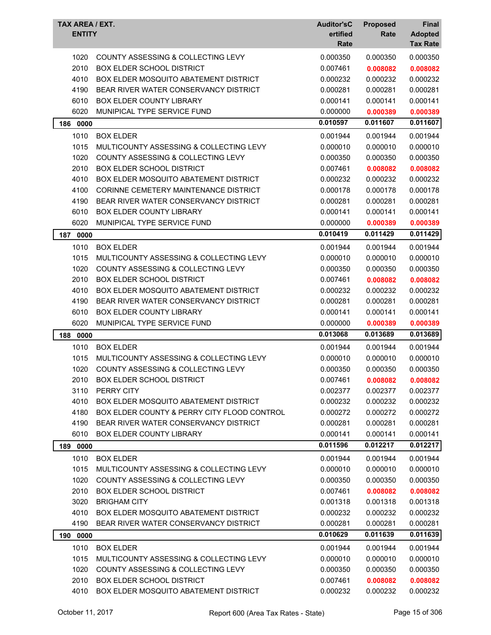| <b>COUNTY ASSESSING &amp; COLLECTING LEVY</b><br>0.000350<br>0.000350<br>1020<br>0.000350<br>2010<br><b>BOX ELDER SCHOOL DISTRICT</b><br>0.007461<br>0.008082<br>0.008082<br>0.000232<br>4010<br><b>BOX ELDER MOSQUITO ABATEMENT DISTRICT</b><br>0.000232<br>0.000232<br>4190<br>BEAR RIVER WATER CONSERVANCY DISTRICT<br>0.000281<br>0.000281<br>0.000281<br>6010<br><b>BOX ELDER COUNTY LIBRARY</b><br>0.000141<br>0.000141<br>0.000141<br>6020<br>MUNIPICAL TYPE SERVICE FUND<br>0.000000<br>0.000389<br>0.000389<br>0.011607<br>0.010597<br>0.011607<br>186 0000<br>1010<br><b>BOX ELDER</b><br>0.001944<br>0.001944<br>0.001944<br>0.000010<br>1015<br>MULTICOUNTY ASSESSING & COLLECTING LEVY<br>0.000010<br>0.000010<br>1020<br>COUNTY ASSESSING & COLLECTING LEVY<br>0.000350<br>0.000350<br>0.000350<br>2010<br><b>BOX ELDER SCHOOL DISTRICT</b><br>0.007461<br>0.008082<br>0.008082<br>4010<br>BOX ELDER MOSQUITO ABATEMENT DISTRICT<br>0.000232<br>0.000232<br>0.000232<br>4100<br>CORINNE CEMETERY MAINTENANCE DISTRICT<br>0.000178<br>0.000178<br>0.000178<br>4190<br>BEAR RIVER WATER CONSERVANCY DISTRICT<br>0.000281<br>0.000281<br>0.000281<br>6010<br>BOX ELDER COUNTY LIBRARY<br>0.000141<br>0.000141<br>0.000141<br>6020<br>MUNIPICAL TYPE SERVICE FUND<br>0.000000<br>0.000389<br>0.000389<br>0.010419<br>0.011429<br>0.011429<br>187<br>0000<br>1010<br>0.001944<br><b>BOX ELDER</b><br>0.001944<br>0.001944<br>1015<br>MULTICOUNTY ASSESSING & COLLECTING LEVY<br>0.000010<br>0.000010<br>0.000010<br>1020<br>COUNTY ASSESSING & COLLECTING LEVY<br>0.000350<br>0.000350<br>0.000350<br>2010<br><b>BOX ELDER SCHOOL DISTRICT</b><br>0.007461<br>0.008082<br>0.008082<br>4010<br>BOX ELDER MOSQUITO ABATEMENT DISTRICT<br>0.000232<br>0.000232<br>0.000232<br>4190<br>BEAR RIVER WATER CONSERVANCY DISTRICT<br>0.000281<br>0.000281<br>0.000281<br>6010<br>BOX ELDER COUNTY LIBRARY<br>0.000141<br>0.000141<br>0.000141<br>6020<br>MUNIPICAL TYPE SERVICE FUND<br>0.000000<br>0.000389<br>0.000389<br>0.013068<br>0.013689<br>0.013689<br>188 0000<br><b>BOX ELDER</b><br>0.001944<br>1010<br>0.001944<br>0.001944<br>0.000010<br>1015<br>MULTICOUNTY ASSESSING & COLLECTING LEVY<br>0.000010<br>0.000010<br>1020<br>COUNTY ASSESSING & COLLECTING LEVY<br>0.000350<br>0.000350<br>0.000350<br>2010<br>BOX ELDER SCHOOL DISTRICT<br>0.007461<br>0.008082<br>0.008082<br>3110<br>PERRY CITY<br>0.002377<br>0.002377<br>0.002377<br>4010<br><b>BOX ELDER MOSQUITO ABATEMENT DISTRICT</b><br>0.000232<br>0.000232<br>0.000232<br>4180<br>BOX ELDER COUNTY & PERRY CITY FLOOD CONTROL<br>0.000272<br>0.000272<br>0.000272<br>BEAR RIVER WATER CONSERVANCY DISTRICT<br>4190<br>0.000281<br>0.000281<br>0.000281<br>6010<br><b>BOX ELDER COUNTY LIBRARY</b><br>0.000141<br>0.000141<br>0.000141<br>0.011596<br>0.012217<br>0.012217<br>189 0000<br>1010<br>0.001944<br><b>BOX ELDER</b><br>0.001944<br>0.001944<br>1015<br>0.000010<br>0.000010<br>MULTICOUNTY ASSESSING & COLLECTING LEVY<br>0.000010<br>1020<br>COUNTY ASSESSING & COLLECTING LEVY<br>0.000350<br>0.000350<br>0.000350<br>2010<br>BOX ELDER SCHOOL DISTRICT<br>0.007461<br>0.008082<br>0.008082<br>3020<br><b>BRIGHAM CITY</b><br>0.001318<br>0.001318<br>0.001318<br>4010<br><b>BOX ELDER MOSQUITO ABATEMENT DISTRICT</b><br>0.000232<br>0.000232<br>0.000232<br>4190<br>BEAR RIVER WATER CONSERVANCY DISTRICT<br>0.000281<br>0.000281<br>0.000281<br>0.010629<br>0.011639<br>0.011639<br>0000<br>190<br>1010<br><b>BOX ELDER</b><br>0.001944<br>0.001944<br>0.001944 | TAX AREA / EXT.<br><b>ENTITY</b> |                                         | <b>Auditor'sC</b><br>ertified<br>Rate | <b>Proposed</b><br>Rate | Final<br><b>Adopted</b><br><b>Tax Rate</b> |
|----------------------------------------------------------------------------------------------------------------------------------------------------------------------------------------------------------------------------------------------------------------------------------------------------------------------------------------------------------------------------------------------------------------------------------------------------------------------------------------------------------------------------------------------------------------------------------------------------------------------------------------------------------------------------------------------------------------------------------------------------------------------------------------------------------------------------------------------------------------------------------------------------------------------------------------------------------------------------------------------------------------------------------------------------------------------------------------------------------------------------------------------------------------------------------------------------------------------------------------------------------------------------------------------------------------------------------------------------------------------------------------------------------------------------------------------------------------------------------------------------------------------------------------------------------------------------------------------------------------------------------------------------------------------------------------------------------------------------------------------------------------------------------------------------------------------------------------------------------------------------------------------------------------------------------------------------------------------------------------------------------------------------------------------------------------------------------------------------------------------------------------------------------------------------------------------------------------------------------------------------------------------------------------------------------------------------------------------------------------------------------------------------------------------------------------------------------------------------------------------------------------------------------------------------------------------------------------------------------------------------------------------------------------------------------------------------------------------------------------------------------------------------------------------------------------------------------------------------------------------------------------------------------------------------------------------------------------------------------------------------------------------------------------------------------------------------------------------------------------------------------------------------------------------------------------------------------------------------------------------------------------------------------------------------------------------------------------------------------------------------------------------------------------------------------------------------------------------------------------------------------------------------------------------------------|----------------------------------|-----------------------------------------|---------------------------------------|-------------------------|--------------------------------------------|
|                                                                                                                                                                                                                                                                                                                                                                                                                                                                                                                                                                                                                                                                                                                                                                                                                                                                                                                                                                                                                                                                                                                                                                                                                                                                                                                                                                                                                                                                                                                                                                                                                                                                                                                                                                                                                                                                                                                                                                                                                                                                                                                                                                                                                                                                                                                                                                                                                                                                                                                                                                                                                                                                                                                                                                                                                                                                                                                                                                                                                                                                                                                                                                                                                                                                                                                                                                                                                                                                                                                                                          |                                  |                                         |                                       |                         |                                            |
|                                                                                                                                                                                                                                                                                                                                                                                                                                                                                                                                                                                                                                                                                                                                                                                                                                                                                                                                                                                                                                                                                                                                                                                                                                                                                                                                                                                                                                                                                                                                                                                                                                                                                                                                                                                                                                                                                                                                                                                                                                                                                                                                                                                                                                                                                                                                                                                                                                                                                                                                                                                                                                                                                                                                                                                                                                                                                                                                                                                                                                                                                                                                                                                                                                                                                                                                                                                                                                                                                                                                                          |                                  |                                         |                                       |                         |                                            |
|                                                                                                                                                                                                                                                                                                                                                                                                                                                                                                                                                                                                                                                                                                                                                                                                                                                                                                                                                                                                                                                                                                                                                                                                                                                                                                                                                                                                                                                                                                                                                                                                                                                                                                                                                                                                                                                                                                                                                                                                                                                                                                                                                                                                                                                                                                                                                                                                                                                                                                                                                                                                                                                                                                                                                                                                                                                                                                                                                                                                                                                                                                                                                                                                                                                                                                                                                                                                                                                                                                                                                          |                                  |                                         |                                       |                         |                                            |
|                                                                                                                                                                                                                                                                                                                                                                                                                                                                                                                                                                                                                                                                                                                                                                                                                                                                                                                                                                                                                                                                                                                                                                                                                                                                                                                                                                                                                                                                                                                                                                                                                                                                                                                                                                                                                                                                                                                                                                                                                                                                                                                                                                                                                                                                                                                                                                                                                                                                                                                                                                                                                                                                                                                                                                                                                                                                                                                                                                                                                                                                                                                                                                                                                                                                                                                                                                                                                                                                                                                                                          |                                  |                                         |                                       |                         |                                            |
|                                                                                                                                                                                                                                                                                                                                                                                                                                                                                                                                                                                                                                                                                                                                                                                                                                                                                                                                                                                                                                                                                                                                                                                                                                                                                                                                                                                                                                                                                                                                                                                                                                                                                                                                                                                                                                                                                                                                                                                                                                                                                                                                                                                                                                                                                                                                                                                                                                                                                                                                                                                                                                                                                                                                                                                                                                                                                                                                                                                                                                                                                                                                                                                                                                                                                                                                                                                                                                                                                                                                                          |                                  |                                         |                                       |                         |                                            |
|                                                                                                                                                                                                                                                                                                                                                                                                                                                                                                                                                                                                                                                                                                                                                                                                                                                                                                                                                                                                                                                                                                                                                                                                                                                                                                                                                                                                                                                                                                                                                                                                                                                                                                                                                                                                                                                                                                                                                                                                                                                                                                                                                                                                                                                                                                                                                                                                                                                                                                                                                                                                                                                                                                                                                                                                                                                                                                                                                                                                                                                                                                                                                                                                                                                                                                                                                                                                                                                                                                                                                          |                                  |                                         |                                       |                         |                                            |
|                                                                                                                                                                                                                                                                                                                                                                                                                                                                                                                                                                                                                                                                                                                                                                                                                                                                                                                                                                                                                                                                                                                                                                                                                                                                                                                                                                                                                                                                                                                                                                                                                                                                                                                                                                                                                                                                                                                                                                                                                                                                                                                                                                                                                                                                                                                                                                                                                                                                                                                                                                                                                                                                                                                                                                                                                                                                                                                                                                                                                                                                                                                                                                                                                                                                                                                                                                                                                                                                                                                                                          |                                  |                                         |                                       |                         |                                            |
|                                                                                                                                                                                                                                                                                                                                                                                                                                                                                                                                                                                                                                                                                                                                                                                                                                                                                                                                                                                                                                                                                                                                                                                                                                                                                                                                                                                                                                                                                                                                                                                                                                                                                                                                                                                                                                                                                                                                                                                                                                                                                                                                                                                                                                                                                                                                                                                                                                                                                                                                                                                                                                                                                                                                                                                                                                                                                                                                                                                                                                                                                                                                                                                                                                                                                                                                                                                                                                                                                                                                                          |                                  |                                         |                                       |                         |                                            |
|                                                                                                                                                                                                                                                                                                                                                                                                                                                                                                                                                                                                                                                                                                                                                                                                                                                                                                                                                                                                                                                                                                                                                                                                                                                                                                                                                                                                                                                                                                                                                                                                                                                                                                                                                                                                                                                                                                                                                                                                                                                                                                                                                                                                                                                                                                                                                                                                                                                                                                                                                                                                                                                                                                                                                                                                                                                                                                                                                                                                                                                                                                                                                                                                                                                                                                                                                                                                                                                                                                                                                          |                                  |                                         |                                       |                         |                                            |
|                                                                                                                                                                                                                                                                                                                                                                                                                                                                                                                                                                                                                                                                                                                                                                                                                                                                                                                                                                                                                                                                                                                                                                                                                                                                                                                                                                                                                                                                                                                                                                                                                                                                                                                                                                                                                                                                                                                                                                                                                                                                                                                                                                                                                                                                                                                                                                                                                                                                                                                                                                                                                                                                                                                                                                                                                                                                                                                                                                                                                                                                                                                                                                                                                                                                                                                                                                                                                                                                                                                                                          |                                  |                                         |                                       |                         |                                            |
|                                                                                                                                                                                                                                                                                                                                                                                                                                                                                                                                                                                                                                                                                                                                                                                                                                                                                                                                                                                                                                                                                                                                                                                                                                                                                                                                                                                                                                                                                                                                                                                                                                                                                                                                                                                                                                                                                                                                                                                                                                                                                                                                                                                                                                                                                                                                                                                                                                                                                                                                                                                                                                                                                                                                                                                                                                                                                                                                                                                                                                                                                                                                                                                                                                                                                                                                                                                                                                                                                                                                                          |                                  |                                         |                                       |                         |                                            |
|                                                                                                                                                                                                                                                                                                                                                                                                                                                                                                                                                                                                                                                                                                                                                                                                                                                                                                                                                                                                                                                                                                                                                                                                                                                                                                                                                                                                                                                                                                                                                                                                                                                                                                                                                                                                                                                                                                                                                                                                                                                                                                                                                                                                                                                                                                                                                                                                                                                                                                                                                                                                                                                                                                                                                                                                                                                                                                                                                                                                                                                                                                                                                                                                                                                                                                                                                                                                                                                                                                                                                          |                                  |                                         |                                       |                         |                                            |
|                                                                                                                                                                                                                                                                                                                                                                                                                                                                                                                                                                                                                                                                                                                                                                                                                                                                                                                                                                                                                                                                                                                                                                                                                                                                                                                                                                                                                                                                                                                                                                                                                                                                                                                                                                                                                                                                                                                                                                                                                                                                                                                                                                                                                                                                                                                                                                                                                                                                                                                                                                                                                                                                                                                                                                                                                                                                                                                                                                                                                                                                                                                                                                                                                                                                                                                                                                                                                                                                                                                                                          |                                  |                                         |                                       |                         |                                            |
|                                                                                                                                                                                                                                                                                                                                                                                                                                                                                                                                                                                                                                                                                                                                                                                                                                                                                                                                                                                                                                                                                                                                                                                                                                                                                                                                                                                                                                                                                                                                                                                                                                                                                                                                                                                                                                                                                                                                                                                                                                                                                                                                                                                                                                                                                                                                                                                                                                                                                                                                                                                                                                                                                                                                                                                                                                                                                                                                                                                                                                                                                                                                                                                                                                                                                                                                                                                                                                                                                                                                                          |                                  |                                         |                                       |                         |                                            |
|                                                                                                                                                                                                                                                                                                                                                                                                                                                                                                                                                                                                                                                                                                                                                                                                                                                                                                                                                                                                                                                                                                                                                                                                                                                                                                                                                                                                                                                                                                                                                                                                                                                                                                                                                                                                                                                                                                                                                                                                                                                                                                                                                                                                                                                                                                                                                                                                                                                                                                                                                                                                                                                                                                                                                                                                                                                                                                                                                                                                                                                                                                                                                                                                                                                                                                                                                                                                                                                                                                                                                          |                                  |                                         |                                       |                         |                                            |
|                                                                                                                                                                                                                                                                                                                                                                                                                                                                                                                                                                                                                                                                                                                                                                                                                                                                                                                                                                                                                                                                                                                                                                                                                                                                                                                                                                                                                                                                                                                                                                                                                                                                                                                                                                                                                                                                                                                                                                                                                                                                                                                                                                                                                                                                                                                                                                                                                                                                                                                                                                                                                                                                                                                                                                                                                                                                                                                                                                                                                                                                                                                                                                                                                                                                                                                                                                                                                                                                                                                                                          |                                  |                                         |                                       |                         |                                            |
|                                                                                                                                                                                                                                                                                                                                                                                                                                                                                                                                                                                                                                                                                                                                                                                                                                                                                                                                                                                                                                                                                                                                                                                                                                                                                                                                                                                                                                                                                                                                                                                                                                                                                                                                                                                                                                                                                                                                                                                                                                                                                                                                                                                                                                                                                                                                                                                                                                                                                                                                                                                                                                                                                                                                                                                                                                                                                                                                                                                                                                                                                                                                                                                                                                                                                                                                                                                                                                                                                                                                                          |                                  |                                         |                                       |                         |                                            |
|                                                                                                                                                                                                                                                                                                                                                                                                                                                                                                                                                                                                                                                                                                                                                                                                                                                                                                                                                                                                                                                                                                                                                                                                                                                                                                                                                                                                                                                                                                                                                                                                                                                                                                                                                                                                                                                                                                                                                                                                                                                                                                                                                                                                                                                                                                                                                                                                                                                                                                                                                                                                                                                                                                                                                                                                                                                                                                                                                                                                                                                                                                                                                                                                                                                                                                                                                                                                                                                                                                                                                          |                                  |                                         |                                       |                         |                                            |
|                                                                                                                                                                                                                                                                                                                                                                                                                                                                                                                                                                                                                                                                                                                                                                                                                                                                                                                                                                                                                                                                                                                                                                                                                                                                                                                                                                                                                                                                                                                                                                                                                                                                                                                                                                                                                                                                                                                                                                                                                                                                                                                                                                                                                                                                                                                                                                                                                                                                                                                                                                                                                                                                                                                                                                                                                                                                                                                                                                                                                                                                                                                                                                                                                                                                                                                                                                                                                                                                                                                                                          |                                  |                                         |                                       |                         |                                            |
|                                                                                                                                                                                                                                                                                                                                                                                                                                                                                                                                                                                                                                                                                                                                                                                                                                                                                                                                                                                                                                                                                                                                                                                                                                                                                                                                                                                                                                                                                                                                                                                                                                                                                                                                                                                                                                                                                                                                                                                                                                                                                                                                                                                                                                                                                                                                                                                                                                                                                                                                                                                                                                                                                                                                                                                                                                                                                                                                                                                                                                                                                                                                                                                                                                                                                                                                                                                                                                                                                                                                                          |                                  |                                         |                                       |                         |                                            |
|                                                                                                                                                                                                                                                                                                                                                                                                                                                                                                                                                                                                                                                                                                                                                                                                                                                                                                                                                                                                                                                                                                                                                                                                                                                                                                                                                                                                                                                                                                                                                                                                                                                                                                                                                                                                                                                                                                                                                                                                                                                                                                                                                                                                                                                                                                                                                                                                                                                                                                                                                                                                                                                                                                                                                                                                                                                                                                                                                                                                                                                                                                                                                                                                                                                                                                                                                                                                                                                                                                                                                          |                                  |                                         |                                       |                         |                                            |
|                                                                                                                                                                                                                                                                                                                                                                                                                                                                                                                                                                                                                                                                                                                                                                                                                                                                                                                                                                                                                                                                                                                                                                                                                                                                                                                                                                                                                                                                                                                                                                                                                                                                                                                                                                                                                                                                                                                                                                                                                                                                                                                                                                                                                                                                                                                                                                                                                                                                                                                                                                                                                                                                                                                                                                                                                                                                                                                                                                                                                                                                                                                                                                                                                                                                                                                                                                                                                                                                                                                                                          |                                  |                                         |                                       |                         |                                            |
|                                                                                                                                                                                                                                                                                                                                                                                                                                                                                                                                                                                                                                                                                                                                                                                                                                                                                                                                                                                                                                                                                                                                                                                                                                                                                                                                                                                                                                                                                                                                                                                                                                                                                                                                                                                                                                                                                                                                                                                                                                                                                                                                                                                                                                                                                                                                                                                                                                                                                                                                                                                                                                                                                                                                                                                                                                                                                                                                                                                                                                                                                                                                                                                                                                                                                                                                                                                                                                                                                                                                                          |                                  |                                         |                                       |                         |                                            |
|                                                                                                                                                                                                                                                                                                                                                                                                                                                                                                                                                                                                                                                                                                                                                                                                                                                                                                                                                                                                                                                                                                                                                                                                                                                                                                                                                                                                                                                                                                                                                                                                                                                                                                                                                                                                                                                                                                                                                                                                                                                                                                                                                                                                                                                                                                                                                                                                                                                                                                                                                                                                                                                                                                                                                                                                                                                                                                                                                                                                                                                                                                                                                                                                                                                                                                                                                                                                                                                                                                                                                          |                                  |                                         |                                       |                         |                                            |
|                                                                                                                                                                                                                                                                                                                                                                                                                                                                                                                                                                                                                                                                                                                                                                                                                                                                                                                                                                                                                                                                                                                                                                                                                                                                                                                                                                                                                                                                                                                                                                                                                                                                                                                                                                                                                                                                                                                                                                                                                                                                                                                                                                                                                                                                                                                                                                                                                                                                                                                                                                                                                                                                                                                                                                                                                                                                                                                                                                                                                                                                                                                                                                                                                                                                                                                                                                                                                                                                                                                                                          |                                  |                                         |                                       |                         |                                            |
|                                                                                                                                                                                                                                                                                                                                                                                                                                                                                                                                                                                                                                                                                                                                                                                                                                                                                                                                                                                                                                                                                                                                                                                                                                                                                                                                                                                                                                                                                                                                                                                                                                                                                                                                                                                                                                                                                                                                                                                                                                                                                                                                                                                                                                                                                                                                                                                                                                                                                                                                                                                                                                                                                                                                                                                                                                                                                                                                                                                                                                                                                                                                                                                                                                                                                                                                                                                                                                                                                                                                                          |                                  |                                         |                                       |                         |                                            |
|                                                                                                                                                                                                                                                                                                                                                                                                                                                                                                                                                                                                                                                                                                                                                                                                                                                                                                                                                                                                                                                                                                                                                                                                                                                                                                                                                                                                                                                                                                                                                                                                                                                                                                                                                                                                                                                                                                                                                                                                                                                                                                                                                                                                                                                                                                                                                                                                                                                                                                                                                                                                                                                                                                                                                                                                                                                                                                                                                                                                                                                                                                                                                                                                                                                                                                                                                                                                                                                                                                                                                          |                                  |                                         |                                       |                         |                                            |
|                                                                                                                                                                                                                                                                                                                                                                                                                                                                                                                                                                                                                                                                                                                                                                                                                                                                                                                                                                                                                                                                                                                                                                                                                                                                                                                                                                                                                                                                                                                                                                                                                                                                                                                                                                                                                                                                                                                                                                                                                                                                                                                                                                                                                                                                                                                                                                                                                                                                                                                                                                                                                                                                                                                                                                                                                                                                                                                                                                                                                                                                                                                                                                                                                                                                                                                                                                                                                                                                                                                                                          |                                  |                                         |                                       |                         |                                            |
|                                                                                                                                                                                                                                                                                                                                                                                                                                                                                                                                                                                                                                                                                                                                                                                                                                                                                                                                                                                                                                                                                                                                                                                                                                                                                                                                                                                                                                                                                                                                                                                                                                                                                                                                                                                                                                                                                                                                                                                                                                                                                                                                                                                                                                                                                                                                                                                                                                                                                                                                                                                                                                                                                                                                                                                                                                                                                                                                                                                                                                                                                                                                                                                                                                                                                                                                                                                                                                                                                                                                                          |                                  |                                         |                                       |                         |                                            |
|                                                                                                                                                                                                                                                                                                                                                                                                                                                                                                                                                                                                                                                                                                                                                                                                                                                                                                                                                                                                                                                                                                                                                                                                                                                                                                                                                                                                                                                                                                                                                                                                                                                                                                                                                                                                                                                                                                                                                                                                                                                                                                                                                                                                                                                                                                                                                                                                                                                                                                                                                                                                                                                                                                                                                                                                                                                                                                                                                                                                                                                                                                                                                                                                                                                                                                                                                                                                                                                                                                                                                          |                                  |                                         |                                       |                         |                                            |
|                                                                                                                                                                                                                                                                                                                                                                                                                                                                                                                                                                                                                                                                                                                                                                                                                                                                                                                                                                                                                                                                                                                                                                                                                                                                                                                                                                                                                                                                                                                                                                                                                                                                                                                                                                                                                                                                                                                                                                                                                                                                                                                                                                                                                                                                                                                                                                                                                                                                                                                                                                                                                                                                                                                                                                                                                                                                                                                                                                                                                                                                                                                                                                                                                                                                                                                                                                                                                                                                                                                                                          |                                  |                                         |                                       |                         |                                            |
|                                                                                                                                                                                                                                                                                                                                                                                                                                                                                                                                                                                                                                                                                                                                                                                                                                                                                                                                                                                                                                                                                                                                                                                                                                                                                                                                                                                                                                                                                                                                                                                                                                                                                                                                                                                                                                                                                                                                                                                                                                                                                                                                                                                                                                                                                                                                                                                                                                                                                                                                                                                                                                                                                                                                                                                                                                                                                                                                                                                                                                                                                                                                                                                                                                                                                                                                                                                                                                                                                                                                                          |                                  |                                         |                                       |                         |                                            |
|                                                                                                                                                                                                                                                                                                                                                                                                                                                                                                                                                                                                                                                                                                                                                                                                                                                                                                                                                                                                                                                                                                                                                                                                                                                                                                                                                                                                                                                                                                                                                                                                                                                                                                                                                                                                                                                                                                                                                                                                                                                                                                                                                                                                                                                                                                                                                                                                                                                                                                                                                                                                                                                                                                                                                                                                                                                                                                                                                                                                                                                                                                                                                                                                                                                                                                                                                                                                                                                                                                                                                          |                                  |                                         |                                       |                         |                                            |
|                                                                                                                                                                                                                                                                                                                                                                                                                                                                                                                                                                                                                                                                                                                                                                                                                                                                                                                                                                                                                                                                                                                                                                                                                                                                                                                                                                                                                                                                                                                                                                                                                                                                                                                                                                                                                                                                                                                                                                                                                                                                                                                                                                                                                                                                                                                                                                                                                                                                                                                                                                                                                                                                                                                                                                                                                                                                                                                                                                                                                                                                                                                                                                                                                                                                                                                                                                                                                                                                                                                                                          |                                  |                                         |                                       |                         |                                            |
|                                                                                                                                                                                                                                                                                                                                                                                                                                                                                                                                                                                                                                                                                                                                                                                                                                                                                                                                                                                                                                                                                                                                                                                                                                                                                                                                                                                                                                                                                                                                                                                                                                                                                                                                                                                                                                                                                                                                                                                                                                                                                                                                                                                                                                                                                                                                                                                                                                                                                                                                                                                                                                                                                                                                                                                                                                                                                                                                                                                                                                                                                                                                                                                                                                                                                                                                                                                                                                                                                                                                                          |                                  |                                         |                                       |                         |                                            |
|                                                                                                                                                                                                                                                                                                                                                                                                                                                                                                                                                                                                                                                                                                                                                                                                                                                                                                                                                                                                                                                                                                                                                                                                                                                                                                                                                                                                                                                                                                                                                                                                                                                                                                                                                                                                                                                                                                                                                                                                                                                                                                                                                                                                                                                                                                                                                                                                                                                                                                                                                                                                                                                                                                                                                                                                                                                                                                                                                                                                                                                                                                                                                                                                                                                                                                                                                                                                                                                                                                                                                          |                                  |                                         |                                       |                         |                                            |
|                                                                                                                                                                                                                                                                                                                                                                                                                                                                                                                                                                                                                                                                                                                                                                                                                                                                                                                                                                                                                                                                                                                                                                                                                                                                                                                                                                                                                                                                                                                                                                                                                                                                                                                                                                                                                                                                                                                                                                                                                                                                                                                                                                                                                                                                                                                                                                                                                                                                                                                                                                                                                                                                                                                                                                                                                                                                                                                                                                                                                                                                                                                                                                                                                                                                                                                                                                                                                                                                                                                                                          |                                  |                                         |                                       |                         |                                            |
|                                                                                                                                                                                                                                                                                                                                                                                                                                                                                                                                                                                                                                                                                                                                                                                                                                                                                                                                                                                                                                                                                                                                                                                                                                                                                                                                                                                                                                                                                                                                                                                                                                                                                                                                                                                                                                                                                                                                                                                                                                                                                                                                                                                                                                                                                                                                                                                                                                                                                                                                                                                                                                                                                                                                                                                                                                                                                                                                                                                                                                                                                                                                                                                                                                                                                                                                                                                                                                                                                                                                                          |                                  |                                         |                                       |                         |                                            |
|                                                                                                                                                                                                                                                                                                                                                                                                                                                                                                                                                                                                                                                                                                                                                                                                                                                                                                                                                                                                                                                                                                                                                                                                                                                                                                                                                                                                                                                                                                                                                                                                                                                                                                                                                                                                                                                                                                                                                                                                                                                                                                                                                                                                                                                                                                                                                                                                                                                                                                                                                                                                                                                                                                                                                                                                                                                                                                                                                                                                                                                                                                                                                                                                                                                                                                                                                                                                                                                                                                                                                          |                                  |                                         |                                       |                         |                                            |
|                                                                                                                                                                                                                                                                                                                                                                                                                                                                                                                                                                                                                                                                                                                                                                                                                                                                                                                                                                                                                                                                                                                                                                                                                                                                                                                                                                                                                                                                                                                                                                                                                                                                                                                                                                                                                                                                                                                                                                                                                                                                                                                                                                                                                                                                                                                                                                                                                                                                                                                                                                                                                                                                                                                                                                                                                                                                                                                                                                                                                                                                                                                                                                                                                                                                                                                                                                                                                                                                                                                                                          |                                  |                                         |                                       |                         |                                            |
|                                                                                                                                                                                                                                                                                                                                                                                                                                                                                                                                                                                                                                                                                                                                                                                                                                                                                                                                                                                                                                                                                                                                                                                                                                                                                                                                                                                                                                                                                                                                                                                                                                                                                                                                                                                                                                                                                                                                                                                                                                                                                                                                                                                                                                                                                                                                                                                                                                                                                                                                                                                                                                                                                                                                                                                                                                                                                                                                                                                                                                                                                                                                                                                                                                                                                                                                                                                                                                                                                                                                                          |                                  |                                         |                                       |                         |                                            |
|                                                                                                                                                                                                                                                                                                                                                                                                                                                                                                                                                                                                                                                                                                                                                                                                                                                                                                                                                                                                                                                                                                                                                                                                                                                                                                                                                                                                                                                                                                                                                                                                                                                                                                                                                                                                                                                                                                                                                                                                                                                                                                                                                                                                                                                                                                                                                                                                                                                                                                                                                                                                                                                                                                                                                                                                                                                                                                                                                                                                                                                                                                                                                                                                                                                                                                                                                                                                                                                                                                                                                          |                                  |                                         |                                       |                         |                                            |
|                                                                                                                                                                                                                                                                                                                                                                                                                                                                                                                                                                                                                                                                                                                                                                                                                                                                                                                                                                                                                                                                                                                                                                                                                                                                                                                                                                                                                                                                                                                                                                                                                                                                                                                                                                                                                                                                                                                                                                                                                                                                                                                                                                                                                                                                                                                                                                                                                                                                                                                                                                                                                                                                                                                                                                                                                                                                                                                                                                                                                                                                                                                                                                                                                                                                                                                                                                                                                                                                                                                                                          |                                  |                                         |                                       |                         |                                            |
|                                                                                                                                                                                                                                                                                                                                                                                                                                                                                                                                                                                                                                                                                                                                                                                                                                                                                                                                                                                                                                                                                                                                                                                                                                                                                                                                                                                                                                                                                                                                                                                                                                                                                                                                                                                                                                                                                                                                                                                                                                                                                                                                                                                                                                                                                                                                                                                                                                                                                                                                                                                                                                                                                                                                                                                                                                                                                                                                                                                                                                                                                                                                                                                                                                                                                                                                                                                                                                                                                                                                                          |                                  |                                         |                                       |                         |                                            |
|                                                                                                                                                                                                                                                                                                                                                                                                                                                                                                                                                                                                                                                                                                                                                                                                                                                                                                                                                                                                                                                                                                                                                                                                                                                                                                                                                                                                                                                                                                                                                                                                                                                                                                                                                                                                                                                                                                                                                                                                                                                                                                                                                                                                                                                                                                                                                                                                                                                                                                                                                                                                                                                                                                                                                                                                                                                                                                                                                                                                                                                                                                                                                                                                                                                                                                                                                                                                                                                                                                                                                          |                                  |                                         |                                       |                         |                                            |
|                                                                                                                                                                                                                                                                                                                                                                                                                                                                                                                                                                                                                                                                                                                                                                                                                                                                                                                                                                                                                                                                                                                                                                                                                                                                                                                                                                                                                                                                                                                                                                                                                                                                                                                                                                                                                                                                                                                                                                                                                                                                                                                                                                                                                                                                                                                                                                                                                                                                                                                                                                                                                                                                                                                                                                                                                                                                                                                                                                                                                                                                                                                                                                                                                                                                                                                                                                                                                                                                                                                                                          | 1015                             | MULTICOUNTY ASSESSING & COLLECTING LEVY | 0.000010                              | 0.000010                | 0.000010                                   |
| 1020<br><b>COUNTY ASSESSING &amp; COLLECTING LEVY</b><br>0.000350<br>0.000350<br>0.000350                                                                                                                                                                                                                                                                                                                                                                                                                                                                                                                                                                                                                                                                                                                                                                                                                                                                                                                                                                                                                                                                                                                                                                                                                                                                                                                                                                                                                                                                                                                                                                                                                                                                                                                                                                                                                                                                                                                                                                                                                                                                                                                                                                                                                                                                                                                                                                                                                                                                                                                                                                                                                                                                                                                                                                                                                                                                                                                                                                                                                                                                                                                                                                                                                                                                                                                                                                                                                                                                |                                  |                                         |                                       |                         |                                            |
| 2010<br><b>BOX ELDER SCHOOL DISTRICT</b><br>0.007461<br>0.008082<br>0.008082                                                                                                                                                                                                                                                                                                                                                                                                                                                                                                                                                                                                                                                                                                                                                                                                                                                                                                                                                                                                                                                                                                                                                                                                                                                                                                                                                                                                                                                                                                                                                                                                                                                                                                                                                                                                                                                                                                                                                                                                                                                                                                                                                                                                                                                                                                                                                                                                                                                                                                                                                                                                                                                                                                                                                                                                                                                                                                                                                                                                                                                                                                                                                                                                                                                                                                                                                                                                                                                                             |                                  |                                         |                                       |                         |                                            |
| 4010<br>BOX ELDER MOSQUITO ABATEMENT DISTRICT<br>0.000232<br>0.000232<br>0.000232                                                                                                                                                                                                                                                                                                                                                                                                                                                                                                                                                                                                                                                                                                                                                                                                                                                                                                                                                                                                                                                                                                                                                                                                                                                                                                                                                                                                                                                                                                                                                                                                                                                                                                                                                                                                                                                                                                                                                                                                                                                                                                                                                                                                                                                                                                                                                                                                                                                                                                                                                                                                                                                                                                                                                                                                                                                                                                                                                                                                                                                                                                                                                                                                                                                                                                                                                                                                                                                                        |                                  |                                         |                                       |                         |                                            |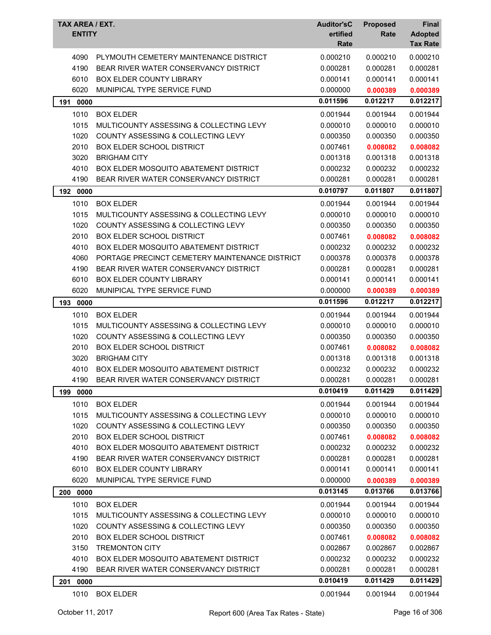| <b>TAX AREA / EXT.</b><br><b>ENTITY</b> |                                                | <b>Auditor'sC</b><br>ertified<br>Rate | <b>Proposed</b><br>Rate | <b>Final</b><br><b>Adopted</b><br><b>Tax Rate</b> |
|-----------------------------------------|------------------------------------------------|---------------------------------------|-------------------------|---------------------------------------------------|
| 4090                                    | PLYMOUTH CEMETERY MAINTENANCE DISTRICT         | 0.000210                              | 0.000210                | 0.000210                                          |
| 4190                                    | BEAR RIVER WATER CONSERVANCY DISTRICT          | 0.000281                              | 0.000281                | 0.000281                                          |
| 6010                                    | <b>BOX ELDER COUNTY LIBRARY</b>                | 0.000141                              | 0.000141                | 0.000141                                          |
| 6020                                    | MUNIPICAL TYPE SERVICE FUND                    | 0.000000                              | 0.000389                | 0.000389                                          |
| 191<br>0000                             |                                                | 0.011596                              | 0.012217                | 0.012217                                          |
| 1010                                    | <b>BOX ELDER</b>                               | 0.001944                              | 0.001944                | 0.001944                                          |
| 1015                                    | MULTICOUNTY ASSESSING & COLLECTING LEVY        | 0.000010                              | 0.000010                | 0.000010                                          |
| 1020                                    | COUNTY ASSESSING & COLLECTING LEVY             | 0.000350                              | 0.000350                | 0.000350                                          |
| 2010                                    | <b>BOX ELDER SCHOOL DISTRICT</b>               | 0.007461                              | 0.008082                | 0.008082                                          |
| 3020                                    | <b>BRIGHAM CITY</b>                            | 0.001318                              | 0.001318                | 0.001318                                          |
| 4010                                    | <b>BOX ELDER MOSQUITO ABATEMENT DISTRICT</b>   | 0.000232                              | 0.000232                | 0.000232                                          |
| 4190                                    | BEAR RIVER WATER CONSERVANCY DISTRICT          | 0.000281                              | 0.000281                | 0.000281                                          |
| 192 0000                                |                                                | 0.010797                              | 0.011807                | 0.011807                                          |
| 1010                                    | <b>BOX ELDER</b>                               | 0.001944                              | 0.001944                | 0.001944                                          |
| 1015                                    | MULTICOUNTY ASSESSING & COLLECTING LEVY        | 0.000010                              | 0.000010                | 0.000010                                          |
| 1020                                    | COUNTY ASSESSING & COLLECTING LEVY             | 0.000350                              | 0.000350                | 0.000350                                          |
| 2010                                    | <b>BOX ELDER SCHOOL DISTRICT</b>               | 0.007461                              | 0.008082                | 0.008082                                          |
| 4010                                    | <b>BOX ELDER MOSQUITO ABATEMENT DISTRICT</b>   | 0.000232                              | 0.000232                | 0.000232                                          |
| 4060                                    | PORTAGE PRECINCT CEMETERY MAINTENANCE DISTRICT | 0.000378                              | 0.000378                | 0.000378                                          |
| 4190                                    | BEAR RIVER WATER CONSERVANCY DISTRICT          | 0.000281                              | 0.000281                | 0.000281                                          |
| 6010                                    | <b>BOX ELDER COUNTY LIBRARY</b>                | 0.000141                              | 0.000141                | 0.000141                                          |
| 6020                                    | MUNIPICAL TYPE SERVICE FUND                    | 0.000000                              | 0.000389                | 0.000389                                          |
| 193 0000                                |                                                | 0.011596                              | 0.012217                | 0.012217                                          |
| 1010                                    | <b>BOX ELDER</b>                               | 0.001944                              | 0.001944                | 0.001944                                          |
| 1015                                    | MULTICOUNTY ASSESSING & COLLECTING LEVY        | 0.000010                              | 0.000010                | 0.000010                                          |
| 1020                                    | COUNTY ASSESSING & COLLECTING LEVY             | 0.000350                              | 0.000350                | 0.000350                                          |
| 2010                                    | <b>BOX ELDER SCHOOL DISTRICT</b>               | 0.007461                              | 0.008082                | 0.008082                                          |
| 3020                                    | <b>BRIGHAM CITY</b>                            | 0.001318                              | 0.001318                | 0.001318                                          |
| 4010                                    | BOX ELDER MOSQUITO ABATEMENT DISTRICT          | 0.000232                              | 0.000232                | 0.000232                                          |
| 4190                                    | BEAR RIVER WATER CONSERVANCY DISTRICT          | 0.000281                              | 0.000281                | 0.000281                                          |
| 199<br>0000                             |                                                | 0.010419                              | 0.011429                | 0.011429                                          |
| 1010                                    | <b>BOX ELDER</b>                               | 0.001944                              | 0.001944                | 0.001944                                          |
| 1015                                    | MULTICOUNTY ASSESSING & COLLECTING LEVY        | 0.000010                              | 0.000010                | 0.000010                                          |
| 1020                                    | COUNTY ASSESSING & COLLECTING LEVY             | 0.000350                              | 0.000350                | 0.000350                                          |
| 2010                                    | <b>BOX ELDER SCHOOL DISTRICT</b>               | 0.007461                              | 0.008082                | 0.008082                                          |
| 4010                                    | <b>BOX ELDER MOSQUITO ABATEMENT DISTRICT</b>   | 0.000232                              | 0.000232                | 0.000232                                          |
| 4190                                    | BEAR RIVER WATER CONSERVANCY DISTRICT          | 0.000281                              | 0.000281                | 0.000281                                          |
| 6010                                    | BOX ELDER COUNTY LIBRARY                       | 0.000141                              | 0.000141                | 0.000141                                          |
| 6020                                    | MUNIPICAL TYPE SERVICE FUND                    | 0.000000                              | 0.000389                | 0.000389                                          |
| 0000<br>200                             |                                                | 0.013145                              | 0.013766                | 0.013766                                          |
| 1010                                    | <b>BOX ELDER</b>                               | 0.001944                              | 0.001944                | 0.001944                                          |
| 1015                                    | MULTICOUNTY ASSESSING & COLLECTING LEVY        | 0.000010                              | 0.000010                | 0.000010                                          |
| 1020                                    | COUNTY ASSESSING & COLLECTING LEVY             | 0.000350                              | 0.000350                | 0.000350                                          |
| 2010                                    | <b>BOX ELDER SCHOOL DISTRICT</b>               | 0.007461                              | 0.008082                | 0.008082                                          |
| 3150                                    | <b>TREMONTON CITY</b>                          | 0.002867                              | 0.002867                | 0.002867                                          |
| 4010                                    | <b>BOX ELDER MOSQUITO ABATEMENT DISTRICT</b>   | 0.000232                              | 0.000232                | 0.000232                                          |
| 4190                                    | BEAR RIVER WATER CONSERVANCY DISTRICT          | 0.000281                              | 0.000281                | 0.000281                                          |
| 201 0000                                |                                                | 0.010419                              | 0.011429                | 0.011429                                          |
| 1010                                    | <b>BOX ELDER</b>                               | 0.001944                              | 0.001944                | 0.001944                                          |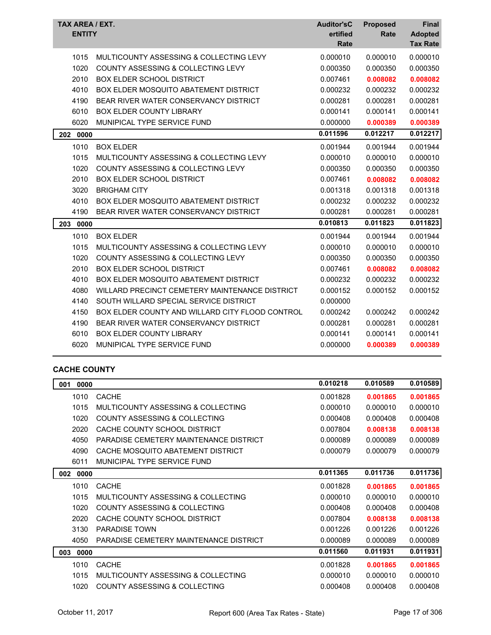| TAX AREA / EXT.<br><b>ENTITY</b> |                                                 | <b>Auditor'sC</b><br>ertified<br>Rate | <b>Proposed</b><br>Rate | Final<br><b>Adopted</b><br><b>Tax Rate</b> |
|----------------------------------|-------------------------------------------------|---------------------------------------|-------------------------|--------------------------------------------|
| 1015                             | MULTICOUNTY ASSESSING & COLLECTING LEVY         | 0.000010                              | 0.000010                | 0.000010                                   |
| 1020                             | COUNTY ASSESSING & COLLECTING LEVY              | 0.000350                              | 0.000350                | 0.000350                                   |
| 2010                             | <b>BOX ELDER SCHOOL DISTRICT</b>                | 0.007461                              | 0.008082                | 0.008082                                   |
| 4010                             | BOX ELDER MOSQUITO ABATEMENT DISTRICT           | 0.000232                              | 0.000232                | 0.000232                                   |
| 4190                             | BEAR RIVER WATER CONSERVANCY DISTRICT           | 0.000281                              | 0.000281                | 0.000281                                   |
| 6010                             | <b>BOX ELDER COUNTY LIBRARY</b>                 | 0.000141                              | 0.000141                | 0.000141                                   |
| 6020                             | MUNIPICAL TYPE SERVICE FUND                     | 0.000000                              | 0.000389                | 0.000389                                   |
| 0000<br>202                      |                                                 | 0.011596                              | 0.012217                | 0.012217                                   |
| 1010                             | <b>BOX ELDER</b>                                | 0.001944                              | 0.001944                | 0.001944                                   |
| 1015                             | MULTICOUNTY ASSESSING & COLLECTING LEVY         | 0.000010                              | 0.000010                | 0.000010                                   |
| 1020                             | <b>COUNTY ASSESSING &amp; COLLECTING LEVY</b>   | 0.000350                              | 0.000350                | 0.000350                                   |
| 2010                             | <b>BOX ELDER SCHOOL DISTRICT</b>                | 0.007461                              | 0.008082                | 0.008082                                   |
| 3020                             | <b>BRIGHAM CITY</b>                             | 0.001318                              | 0.001318                | 0.001318                                   |
| 4010                             | <b>BOX ELDER MOSQUITO ABATEMENT DISTRICT</b>    | 0.000232                              | 0.000232                | 0.000232                                   |
| 4190                             | BEAR RIVER WATER CONSERVANCY DISTRICT           | 0.000281                              | 0.000281                | 0.000281                                   |
| 203<br>0000                      |                                                 | 0.010813                              | 0.011823                | 0.011823                                   |
| 1010                             | <b>BOX ELDER</b>                                | 0.001944                              | 0.001944                | 0.001944                                   |
| 1015                             | MULTICOUNTY ASSESSING & COLLECTING LEVY         | 0.000010                              | 0.000010                | 0.000010                                   |
| 1020                             | COUNTY ASSESSING & COLLECTING LEVY              | 0.000350                              | 0.000350                | 0.000350                                   |
| 2010                             | <b>BOX ELDER SCHOOL DISTRICT</b>                | 0.007461                              | 0.008082                | 0.008082                                   |
| 4010                             | BOX ELDER MOSQUITO ABATEMENT DISTRICT           | 0.000232                              | 0.000232                | 0.000232                                   |
| 4080                             | WILLARD PRECINCT CEMETERY MAINTENANCE DISTRICT  | 0.000152                              | 0.000152                | 0.000152                                   |
| 4140                             | SOUTH WILLARD SPECIAL SERVICE DISTRICT          | 0.000000                              |                         |                                            |
| 4150                             | BOX ELDER COUNTY AND WILLARD CITY FLOOD CONTROL | 0.000242                              | 0.000242                | 0.000242                                   |
| 4190                             | BEAR RIVER WATER CONSERVANCY DISTRICT           | 0.000281                              | 0.000281                | 0.000281                                   |
| 6010                             | <b>BOX ELDER COUNTY LIBRARY</b>                 | 0.000141                              | 0.000141                | 0.000141                                   |
| 6020                             | MUNIPICAL TYPE SERVICE FUND                     | 0.000000                              | 0.000389                | 0.000389                                   |

## **CACHE COUNTY**

| 001<br>0000 |                                        | 0.010218 | 0.010589 | 0.010589 |
|-------------|----------------------------------------|----------|----------|----------|
| 1010        | <b>CACHE</b>                           | 0.001828 | 0.001865 | 0.001865 |
| 1015        | MULTICOUNTY ASSESSING & COLLECTING     | 0.000010 | 0.000010 | 0.000010 |
| 1020        | COUNTY ASSESSING & COLLECTING          | 0.000408 | 0.000408 | 0.000408 |
| 2020        | CACHE COUNTY SCHOOL DISTRICT           | 0.007804 | 0.008138 | 0.008138 |
| 4050        | PARADISE CEMETERY MAINTENANCE DISTRICT | 0.000089 | 0.000089 | 0.000089 |
| 4090        | CACHE MOSQUITO ABATEMENT DISTRICT      | 0.000079 | 0.000079 | 0.000079 |
| 6011        | MUNICIPAL TYPE SERVICE FUND            |          |          |          |
| 002<br>0000 |                                        | 0.011365 | 0.011736 | 0.011736 |
| 1010        | <b>CACHE</b>                           | 0.001828 | 0.001865 | 0.001865 |
| 1015        | MULTICOUNTY ASSESSING & COLLECTING     | 0.000010 | 0.000010 | 0.000010 |
| 1020        | COUNTY ASSESSING & COLLECTING          | 0.000408 | 0.000408 | 0.000408 |
| 2020        | CACHE COUNTY SCHOOL DISTRICT           | 0.007804 | 0.008138 | 0.008138 |
| 3130        | <b>PARADISE TOWN</b>                   | 0.001226 | 0.001226 | 0.001226 |
| 4050        | PARADISE CEMETERY MAINTENANCE DISTRICT | 0.000089 | 0.000089 | 0.000089 |
| 003<br>0000 |                                        | 0.011560 | 0.011931 | 0.011931 |
| 1010        | <b>CACHE</b>                           | 0.001828 | 0.001865 | 0.001865 |
| 1015        | MULTICOUNTY ASSESSING & COLLECTING     | 0.000010 | 0.000010 | 0.000010 |
| 1020        | COUNTY ASSESSING & COLLECTING          | 0.000408 | 0.000408 | 0.000408 |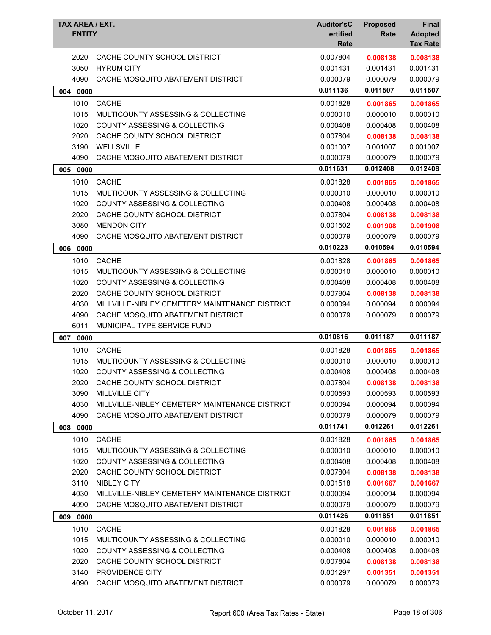| TAX AREA / EXT.<br><b>ENTITY</b> |                                                | <b>Auditor'sC</b><br>ertified<br>Rate | <b>Proposed</b><br>Rate | <b>Final</b><br><b>Adopted</b><br><b>Tax Rate</b> |
|----------------------------------|------------------------------------------------|---------------------------------------|-------------------------|---------------------------------------------------|
| 2020                             | CACHE COUNTY SCHOOL DISTRICT                   | 0.007804                              | 0.008138                | 0.008138                                          |
| 3050                             | <b>HYRUM CITY</b>                              | 0.001431                              | 0.001431                | 0.001431                                          |
| 4090                             | CACHE MOSQUITO ABATEMENT DISTRICT              | 0.000079                              | 0.000079                | 0.000079                                          |
| 004 0000                         |                                                | 0.011136                              | 0.011507                | 0.011507                                          |
| 1010                             | <b>CACHE</b>                                   | 0.001828                              | 0.001865                | 0.001865                                          |
| 1015                             | MULTICOUNTY ASSESSING & COLLECTING             | 0.000010                              | 0.000010                | 0.000010                                          |
| 1020                             | COUNTY ASSESSING & COLLECTING                  | 0.000408                              | 0.000408                | 0.000408                                          |
| 2020                             | CACHE COUNTY SCHOOL DISTRICT                   | 0.007804                              | 0.008138                | 0.008138                                          |
| 3190                             | WELLSVILLE                                     | 0.001007                              | 0.001007                | 0.001007                                          |
| 4090                             | CACHE MOSQUITO ABATEMENT DISTRICT              | 0.000079                              | 0.000079                | 0.000079                                          |
| 0000<br>005                      |                                                | 0.011631                              | 0.012408                | 0.012408                                          |
| 1010                             | <b>CACHE</b>                                   | 0.001828                              | 0.001865                | 0.001865                                          |
| 1015                             | MULTICOUNTY ASSESSING & COLLECTING             | 0.000010                              | 0.000010                | 0.000010                                          |
| 1020                             | <b>COUNTY ASSESSING &amp; COLLECTING</b>       | 0.000408                              | 0.000408                | 0.000408                                          |
| 2020                             | CACHE COUNTY SCHOOL DISTRICT                   | 0.007804                              | 0.008138                | 0.008138                                          |
| 3080                             | <b>MENDON CITY</b>                             | 0.001502                              | 0.001908                | 0.001908                                          |
| 4090                             | CACHE MOSQUITO ABATEMENT DISTRICT              | 0.000079                              | 0.000079                | 0.000079                                          |
| 006 0000                         |                                                | 0.010223                              | 0.010594                | 0.010594                                          |
| 1010                             | <b>CACHE</b>                                   | 0.001828                              | 0.001865                | 0.001865                                          |
| 1015                             | MULTICOUNTY ASSESSING & COLLECTING             | 0.000010                              | 0.000010                | 0.000010                                          |
| 1020                             | COUNTY ASSESSING & COLLECTING                  | 0.000408                              | 0.000408                | 0.000408                                          |
| 2020                             | CACHE COUNTY SCHOOL DISTRICT                   | 0.007804                              | 0.008138                | 0.008138                                          |
| 4030                             | MILLVILLE-NIBLEY CEMETERY MAINTENANCE DISTRICT | 0.000094                              | 0.000094                | 0.000094                                          |
| 4090                             | CACHE MOSQUITO ABATEMENT DISTRICT              | 0.000079                              | 0.000079                | 0.000079                                          |
| 6011                             | MUNICIPAL TYPE SERVICE FUND                    |                                       |                         |                                                   |
| 007 0000                         |                                                | 0.010816                              | 0.011187                | 0.011187                                          |
| 1010                             | <b>CACHE</b>                                   | 0.001828                              | 0.001865                | 0.001865                                          |
| 1015                             | MULTICOUNTY ASSESSING & COLLECTING             | 0.000010                              | 0.000010                | 0.000010                                          |
| 1020                             | <b>COUNTY ASSESSING &amp; COLLECTING</b>       | 0.000408                              | 0.000408                | 0.000408                                          |
| 2020                             | CACHE COUNTY SCHOOL DISTRICT                   | 0.007804                              | 0.008138                | 0.008138                                          |
| 3090                             | <b>MILLVILLE CITY</b>                          | 0.000593                              | 0.000593                | 0.000593                                          |
| 4030                             | MILLVILLE-NIBLEY CEMETERY MAINTENANCE DISTRICT | 0.000094                              | 0.000094                | 0.000094                                          |
| 4090                             | CACHE MOSQUITO ABATEMENT DISTRICT              | 0.000079                              | 0.000079                | 0.000079                                          |
| 008 0000                         |                                                | 0.011741                              | 0.012261                | 0.012261                                          |
| 1010                             | <b>CACHE</b>                                   | 0.001828                              | 0.001865                | 0.001865                                          |
| 1015                             | MULTICOUNTY ASSESSING & COLLECTING             | 0.000010                              | 0.000010                | 0.000010                                          |
| 1020                             | <b>COUNTY ASSESSING &amp; COLLECTING</b>       | 0.000408                              | 0.000408                | 0.000408                                          |
| 2020                             | CACHE COUNTY SCHOOL DISTRICT                   | 0.007804                              | 0.008138                | 0.008138                                          |
| 3110                             | <b>NIBLEY CITY</b>                             | 0.001518                              | 0.001667                | 0.001667                                          |
| 4030                             | MILLVILLE-NIBLEY CEMETERY MAINTENANCE DISTRICT | 0.000094                              | 0.000094                | 0.000094                                          |
| 4090                             | CACHE MOSQUITO ABATEMENT DISTRICT              | 0.000079                              | 0.000079                | 0.000079                                          |
| 009<br>0000                      |                                                | 0.011426                              | 0.011851                | 0.011851                                          |
| 1010                             | <b>CACHE</b>                                   | 0.001828                              | 0.001865                | 0.001865                                          |
| 1015                             | MULTICOUNTY ASSESSING & COLLECTING             | 0.000010                              | 0.000010                | 0.000010                                          |
| 1020                             | COUNTY ASSESSING & COLLECTING                  | 0.000408                              | 0.000408                | 0.000408                                          |
| 2020                             | CACHE COUNTY SCHOOL DISTRICT                   | 0.007804                              | 0.008138                | 0.008138                                          |
| 3140                             | PROVIDENCE CITY                                | 0.001297                              | 0.001351                | 0.001351                                          |
| 4090                             | CACHE MOSQUITO ABATEMENT DISTRICT              | 0.000079                              | 0.000079                | 0.000079                                          |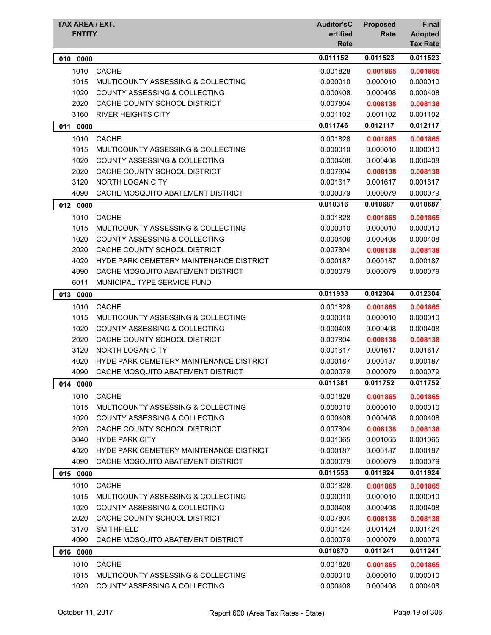| TAX AREA / EXT.<br><b>ENTITY</b> |                                          | <b>Auditor'sC</b><br>ertified<br>Rate | <b>Proposed</b><br>Rate | <b>Final</b><br><b>Adopted</b><br><b>Tax Rate</b> |
|----------------------------------|------------------------------------------|---------------------------------------|-------------------------|---------------------------------------------------|
| 0000<br>010                      |                                          | 0.011152                              | 0.011523                | 0.011523                                          |
| 1010                             | <b>CACHE</b>                             | 0.001828                              | 0.001865                | 0.001865                                          |
| 1015                             | MULTICOUNTY ASSESSING & COLLECTING       | 0.000010                              | 0.000010                | 0.000010                                          |
| 1020                             | <b>COUNTY ASSESSING &amp; COLLECTING</b> | 0.000408                              | 0.000408                | 0.000408                                          |
| 2020                             | CACHE COUNTY SCHOOL DISTRICT             | 0.007804                              | 0.008138                | 0.008138                                          |
| 3160                             | <b>RIVER HEIGHTS CITY</b>                | 0.001102                              | 0.001102                | 0.001102                                          |
| 011<br>0000                      |                                          | 0.011746                              | 0.012117                | 0.012117                                          |
| 1010                             | <b>CACHE</b>                             | 0.001828                              | 0.001865                | 0.001865                                          |
| 1015                             | MULTICOUNTY ASSESSING & COLLECTING       | 0.000010                              | 0.000010                | 0.000010                                          |
| 1020                             | COUNTY ASSESSING & COLLECTING            | 0.000408                              | 0.000408                | 0.000408                                          |
| 2020                             | CACHE COUNTY SCHOOL DISTRICT             | 0.007804                              | 0.008138                | 0.008138                                          |
| 3120                             | NORTH LOGAN CITY                         | 0.001617                              | 0.001617                | 0.001617                                          |
| 4090                             | CACHE MOSQUITO ABATEMENT DISTRICT        | 0.000079                              | 0.000079                | 0.000079                                          |
| 012 0000                         |                                          | 0.010316                              | 0.010687                | 0.010687                                          |
| 1010                             | <b>CACHE</b>                             | 0.001828                              | 0.001865                | 0.001865                                          |
| 1015                             | MULTICOUNTY ASSESSING & COLLECTING       | 0.000010                              | 0.000010                | 0.000010                                          |
| 1020                             | <b>COUNTY ASSESSING &amp; COLLECTING</b> | 0.000408                              | 0.000408                | 0.000408                                          |
| 2020                             | CACHE COUNTY SCHOOL DISTRICT             | 0.007804                              | 0.008138                | 0.008138                                          |
| 4020                             | HYDE PARK CEMETERY MAINTENANCE DISTRICT  | 0.000187                              | 0.000187                | 0.000187                                          |
| 4090                             | CACHE MOSQUITO ABATEMENT DISTRICT        | 0.000079                              | 0.000079                | 0.000079                                          |
| 6011                             | MUNICIPAL TYPE SERVICE FUND              |                                       |                         |                                                   |
| 013<br>0000                      |                                          | 0.011933                              | 0.012304                | 0.012304                                          |
| 1010                             | <b>CACHE</b>                             | 0.001828                              | 0.001865                | 0.001865                                          |
| 1015                             | MULTICOUNTY ASSESSING & COLLECTING       | 0.000010                              | 0.000010                | 0.000010                                          |
| 1020                             | <b>COUNTY ASSESSING &amp; COLLECTING</b> | 0.000408                              | 0.000408                | 0.000408                                          |
| 2020                             | CACHE COUNTY SCHOOL DISTRICT             | 0.007804                              | 0.008138                | 0.008138                                          |
| 3120                             | <b>NORTH LOGAN CITY</b>                  | 0.001617                              | 0.001617                | 0.001617                                          |
| 4020                             | HYDE PARK CEMETERY MAINTENANCE DISTRICT  | 0.000187                              | 0.000187                | 0.000187                                          |
| 4090                             | CACHE MOSQUITO ABATEMENT DISTRICT        | 0.000079                              | 0.000079                | 0.000079                                          |
| 014 0000                         |                                          | 0.011381                              | 0.011752                | 0.011752                                          |
| 1010                             | <b>CACHE</b>                             | 0.001828                              | 0.001865                | 0.001865                                          |
| 1015                             | MULTICOUNTY ASSESSING & COLLECTING       | 0.000010                              | 0.000010                | 0.000010                                          |
| 1020                             | COUNTY ASSESSING & COLLECTING            | 0.000408                              | 0.000408                | 0.000408                                          |
| 2020                             | CACHE COUNTY SCHOOL DISTRICT             | 0.007804                              | 0.008138                | 0.008138                                          |
| 3040                             | <b>HYDE PARK CITY</b>                    | 0.001065                              | 0.001065                | 0.001065                                          |
| 4020                             | HYDE PARK CEMETERY MAINTENANCE DISTRICT  | 0.000187                              | 0.000187                | 0.000187                                          |
| 4090                             | CACHE MOSQUITO ABATEMENT DISTRICT        | 0.000079                              | 0.000079                | 0.000079                                          |
| 015 0000                         |                                          | 0.011553                              | 0.011924                | 0.011924                                          |
| 1010                             | <b>CACHE</b>                             | 0.001828                              | 0.001865                | 0.001865                                          |
| 1015                             | MULTICOUNTY ASSESSING & COLLECTING       | 0.000010                              | 0.000010                | 0.000010                                          |
| 1020                             | COUNTY ASSESSING & COLLECTING            | 0.000408                              | 0.000408                | 0.000408                                          |
| 2020                             | CACHE COUNTY SCHOOL DISTRICT             | 0.007804                              | 0.008138                | 0.008138                                          |
| 3170                             | <b>SMITHFIELD</b>                        | 0.001424                              | 0.001424                | 0.001424                                          |
| 4090                             | CACHE MOSQUITO ABATEMENT DISTRICT        | 0.000079                              | 0.000079                | 0.000079                                          |
| 016 0000                         |                                          | 0.010870                              | 0.011241                | 0.011241                                          |
| 1010                             | <b>CACHE</b>                             | 0.001828                              | 0.001865                | 0.001865                                          |
| 1015                             | MULTICOUNTY ASSESSING & COLLECTING       | 0.000010                              | 0.000010                | 0.000010                                          |
| 1020                             | COUNTY ASSESSING & COLLECTING            | 0.000408                              | 0.000408                | 0.000408                                          |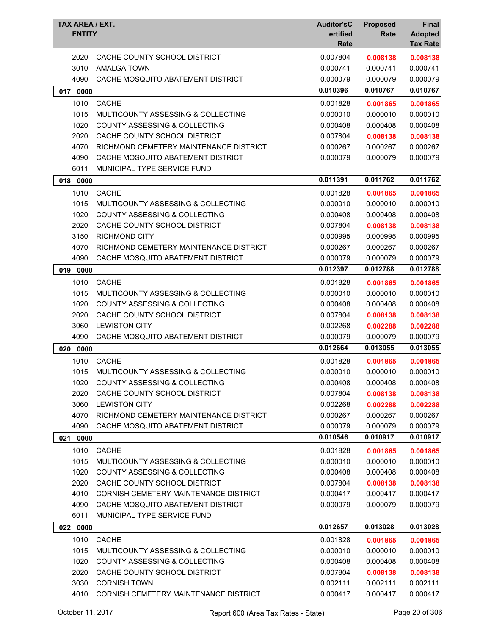| TAX AREA / EXT.<br><b>ENTITY</b> |                                          | <b>Auditor'sC</b><br>ertified<br>Rate | <b>Proposed</b><br>Rate | <b>Final</b><br><b>Adopted</b><br><b>Tax Rate</b> |
|----------------------------------|------------------------------------------|---------------------------------------|-------------------------|---------------------------------------------------|
| 2020                             | CACHE COUNTY SCHOOL DISTRICT             | 0.007804                              | 0.008138                | 0.008138                                          |
| 3010                             | <b>AMALGA TOWN</b>                       | 0.000741                              | 0.000741                | 0.000741                                          |
| 4090                             | CACHE MOSQUITO ABATEMENT DISTRICT        | 0.000079                              | 0.000079                | 0.000079                                          |
| 017 0000                         |                                          | 0.010396                              | 0.010767                | 0.010767                                          |
| 1010                             | <b>CACHE</b>                             | 0.001828                              | 0.001865                | 0.001865                                          |
| 1015                             | MULTICOUNTY ASSESSING & COLLECTING       | 0.000010                              | 0.000010                | 0.000010                                          |
| 1020                             | COUNTY ASSESSING & COLLECTING            | 0.000408                              | 0.000408                | 0.000408                                          |
| 2020                             | CACHE COUNTY SCHOOL DISTRICT             | 0.007804                              | 0.008138                | 0.008138                                          |
| 4070                             | RICHMOND CEMETERY MAINTENANCE DISTRICT   | 0.000267                              | 0.000267                | 0.000267                                          |
| 4090                             | CACHE MOSQUITO ABATEMENT DISTRICT        | 0.000079                              | 0.000079                | 0.000079                                          |
| 6011                             | MUNICIPAL TYPE SERVICE FUND              |                                       |                         |                                                   |
| 018<br>0000                      |                                          | 0.011391                              | 0.011762                | 0.011762                                          |
| 1010                             | <b>CACHE</b>                             | 0.001828                              | 0.001865                | 0.001865                                          |
| 1015                             | MULTICOUNTY ASSESSING & COLLECTING       | 0.000010                              | 0.000010                | 0.000010                                          |
| 1020                             | COUNTY ASSESSING & COLLECTING            | 0.000408                              | 0.000408                | 0.000408                                          |
| 2020                             | CACHE COUNTY SCHOOL DISTRICT             | 0.007804                              | 0.008138                | 0.008138                                          |
| 3150                             | <b>RICHMOND CITY</b>                     | 0.000995                              | 0.000995                | 0.000995                                          |
| 4070                             | RICHMOND CEMETERY MAINTENANCE DISTRICT   | 0.000267                              | 0.000267                | 0.000267                                          |
| 4090                             | CACHE MOSQUITO ABATEMENT DISTRICT        | 0.000079                              | 0.000079                | 0.000079                                          |
| 019<br>0000                      |                                          | 0.012397                              | 0.012788                | 0.012788                                          |
| 1010                             | <b>CACHE</b>                             | 0.001828                              | 0.001865                | 0.001865                                          |
| 1015                             | MULTICOUNTY ASSESSING & COLLECTING       | 0.000010                              | 0.000010                | 0.000010                                          |
| 1020                             | <b>COUNTY ASSESSING &amp; COLLECTING</b> | 0.000408                              | 0.000408                | 0.000408                                          |
| 2020                             | CACHE COUNTY SCHOOL DISTRICT             | 0.007804                              | 0.008138                | 0.008138                                          |
| 3060                             | <b>LEWISTON CITY</b>                     | 0.002268                              | 0.002288                | 0.002288                                          |
| 4090                             | CACHE MOSQUITO ABATEMENT DISTRICT        | 0.000079                              | 0.000079                | 0.000079                                          |
| 020 0000                         |                                          | 0.012664                              | 0.013055                | 0.013055                                          |
| 1010                             | <b>CACHE</b>                             | 0.001828                              | 0.001865                | 0.001865                                          |
| 1015                             | MULTICOUNTY ASSESSING & COLLECTING       | 0.000010                              | 0.000010                | 0.000010                                          |
| 1020                             | COUNTY ASSESSING & COLLECTING            | 0.000408                              | 0.000408                | 0.000408                                          |
| 2020                             | CACHE COUNTY SCHOOL DISTRICT             | 0.007804                              | 0.008138                | 0.008138                                          |
| 3060                             | <b>LEWISTON CITY</b>                     | 0.002268                              | 0.002288                | 0.002288                                          |
| 4070                             | RICHMOND CEMETERY MAINTENANCE DISTRICT   | 0.000267                              | 0.000267                | 0.000267                                          |
| 4090                             | CACHE MOSQUITO ABATEMENT DISTRICT        | 0.000079                              | 0.000079                | 0.000079                                          |
| 0000<br>021                      |                                          | 0.010546                              | 0.010917                | 0.010917                                          |
| 1010                             | <b>CACHE</b>                             | 0.001828                              | 0.001865                | 0.001865                                          |
| 1015                             | MULTICOUNTY ASSESSING & COLLECTING       | 0.000010                              | 0.000010                | 0.000010                                          |
| 1020                             | <b>COUNTY ASSESSING &amp; COLLECTING</b> | 0.000408                              | 0.000408                | 0.000408                                          |
| 2020                             | CACHE COUNTY SCHOOL DISTRICT             | 0.007804                              | 0.008138                | 0.008138                                          |
| 4010                             | CORNISH CEMETERY MAINTENANCE DISTRICT    | 0.000417                              | 0.000417                | 0.000417                                          |
| 4090                             | CACHE MOSQUITO ABATEMENT DISTRICT        | 0.000079                              | 0.000079                | 0.000079                                          |
| 6011                             | MUNICIPAL TYPE SERVICE FUND              |                                       |                         |                                                   |
| 022 0000                         |                                          | 0.012657                              | 0.013028                | 0.013028                                          |
| 1010                             | <b>CACHE</b>                             | 0.001828                              | 0.001865                | 0.001865                                          |
| 1015                             | MULTICOUNTY ASSESSING & COLLECTING       | 0.000010                              | 0.000010                | 0.000010                                          |
| 1020                             | <b>COUNTY ASSESSING &amp; COLLECTING</b> | 0.000408                              | 0.000408                | 0.000408                                          |
| 2020                             | CACHE COUNTY SCHOOL DISTRICT             | 0.007804                              | 0.008138                | 0.008138                                          |
| 3030                             | <b>CORNISH TOWN</b>                      | 0.002111                              | 0.002111                | 0.002111                                          |
| 4010                             | CORNISH CEMETERY MAINTENANCE DISTRICT    | 0.000417                              | 0.000417                | 0.000417                                          |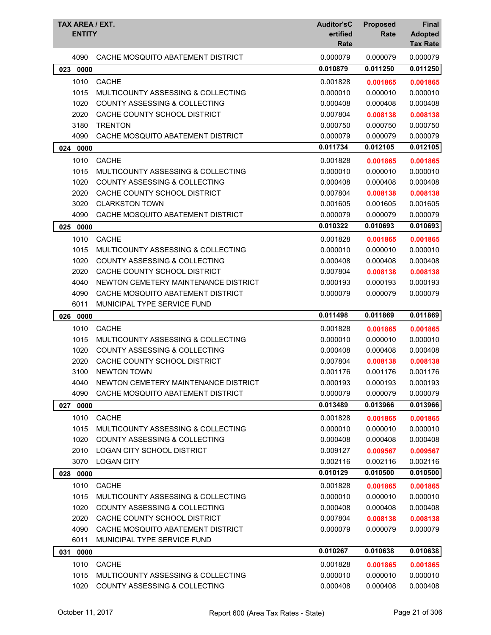| TAX AREA / EXT.<br><b>ENTITY</b> |                                          | <b>Auditor'sC</b><br>ertified<br>Rate | <b>Proposed</b><br>Rate | Final<br><b>Adopted</b><br><b>Tax Rate</b> |
|----------------------------------|------------------------------------------|---------------------------------------|-------------------------|--------------------------------------------|
| 4090                             | CACHE MOSQUITO ABATEMENT DISTRICT        | 0.000079                              | 0.000079                | 0.000079                                   |
| 023<br>0000                      |                                          | 0.010879                              | 0.011250                | 0.011250                                   |
| 1010                             | <b>CACHE</b>                             | 0.001828                              | 0.001865                | 0.001865                                   |
| 1015                             | MULTICOUNTY ASSESSING & COLLECTING       | 0.000010                              | 0.000010                | 0.000010                                   |
| 1020                             | COUNTY ASSESSING & COLLECTING            | 0.000408                              | 0.000408                | 0.000408                                   |
| 2020                             | CACHE COUNTY SCHOOL DISTRICT             | 0.007804                              | 0.008138                | 0.008138                                   |
| 3180                             | <b>TRENTON</b>                           | 0.000750                              | 0.000750                | 0.000750                                   |
| 4090                             | CACHE MOSQUITO ABATEMENT DISTRICT        | 0.000079                              | 0.000079                | 0.000079                                   |
| 0000<br>024                      |                                          | 0.011734                              | 0.012105                | 0.012105                                   |
| 1010                             | <b>CACHE</b>                             | 0.001828                              | 0.001865                | 0.001865                                   |
| 1015                             | MULTICOUNTY ASSESSING & COLLECTING       | 0.000010                              | 0.000010                | 0.000010                                   |
| 1020                             | COUNTY ASSESSING & COLLECTING            | 0.000408                              | 0.000408                | 0.000408                                   |
| 2020                             | CACHE COUNTY SCHOOL DISTRICT             | 0.007804                              | 0.008138                | 0.008138                                   |
| 3020                             | <b>CLARKSTON TOWN</b>                    | 0.001605                              | 0.001605                | 0.001605                                   |
| 4090                             | CACHE MOSQUITO ABATEMENT DISTRICT        | 0.000079                              | 0.000079                | 0.000079                                   |
| 025<br>0000                      |                                          | 0.010322                              | 0.010693                | 0.010693                                   |
| 1010                             | <b>CACHE</b>                             | 0.001828                              | 0.001865                | 0.001865                                   |
| 1015                             | MULTICOUNTY ASSESSING & COLLECTING       | 0.000010                              | 0.000010                | 0.000010                                   |
| 1020                             | COUNTY ASSESSING & COLLECTING            | 0.000408                              | 0.000408                | 0.000408                                   |
| 2020                             | CACHE COUNTY SCHOOL DISTRICT             | 0.007804                              | 0.008138                | 0.008138                                   |
| 4040                             | NEWTON CEMETERY MAINTENANCE DISTRICT     | 0.000193                              | 0.000193                | 0.000193                                   |
| 4090                             | CACHE MOSQUITO ABATEMENT DISTRICT        | 0.000079                              | 0.000079                | 0.000079                                   |
| 6011                             | MUNICIPAL TYPE SERVICE FUND              |                                       |                         |                                            |
| 0000<br>026                      |                                          | 0.011498                              | 0.011869                | 0.011869                                   |
| 1010                             | <b>CACHE</b>                             | 0.001828                              | 0.001865                | 0.001865                                   |
| 1015                             | MULTICOUNTY ASSESSING & COLLECTING       | 0.000010                              | 0.000010                | 0.000010                                   |
| 1020                             | <b>COUNTY ASSESSING &amp; COLLECTING</b> | 0.000408                              | 0.000408                | 0.000408                                   |
| 2020                             | CACHE COUNTY SCHOOL DISTRICT             | 0.007804                              | 0.008138                | 0.008138                                   |
| 3100                             | <b>NEWTON TOWN</b>                       | 0.001176                              | 0.001176                | 0.001176                                   |
| 4040                             | NEWTON CEMETERY MAINTENANCE DISTRICT     | 0.000193                              | 0.000193                | 0.000193                                   |
| 4090                             | CACHE MOSQUITO ABATEMENT DISTRICT        | 0.000079                              | 0.000079                | 0.000079                                   |
| 027 0000                         |                                          | 0.013489                              | 0.013966                | 0.013966                                   |
| 1010                             | <b>CACHE</b>                             | 0.001828                              | 0.001865                | 0.001865                                   |
| 1015                             | MULTICOUNTY ASSESSING & COLLECTING       | 0.000010                              | 0.000010                | 0.000010                                   |
| 1020                             | COUNTY ASSESSING & COLLECTING            | 0.000408                              | 0.000408                | 0.000408                                   |
| 2010                             | LOGAN CITY SCHOOL DISTRICT               | 0.009127                              | 0.009567                | 0.009567                                   |
| 3070                             | <b>LOGAN CITY</b>                        | 0.002116                              | 0.002116                | 0.002116                                   |
| 028 0000                         |                                          | 0.010129                              | 0.010500                | 0.010500                                   |
| 1010                             | <b>CACHE</b>                             | 0.001828                              | 0.001865                | 0.001865                                   |
| 1015                             | MULTICOUNTY ASSESSING & COLLECTING       | 0.000010                              | 0.000010                | 0.000010                                   |
| 1020                             | COUNTY ASSESSING & COLLECTING            | 0.000408                              | 0.000408                | 0.000408                                   |
| 2020                             | CACHE COUNTY SCHOOL DISTRICT             | 0.007804                              | 0.008138                | 0.008138                                   |
| 4090                             | CACHE MOSQUITO ABATEMENT DISTRICT        | 0.000079                              | 0.000079                | 0.000079                                   |
| 6011                             | MUNICIPAL TYPE SERVICE FUND              |                                       |                         |                                            |
| 031<br>0000                      |                                          | 0.010267                              | 0.010638                | 0.010638                                   |
| 1010                             | <b>CACHE</b>                             | 0.001828                              | 0.001865                | 0.001865                                   |
| 1015                             | MULTICOUNTY ASSESSING & COLLECTING       | 0.000010                              | 0.000010                | 0.000010                                   |
| 1020                             | COUNTY ASSESSING & COLLECTING            | 0.000408                              | 0.000408                | 0.000408                                   |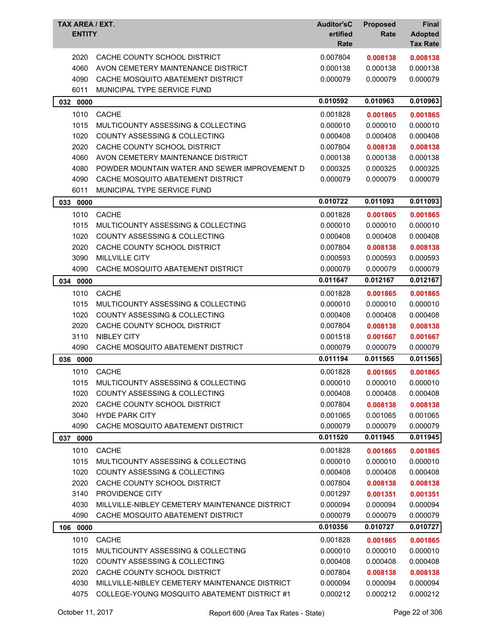| TAX AREA / EXT.<br><b>ENTITY</b> |                                                | <b>Auditor'sC</b><br>ertified<br>Rate | <b>Proposed</b><br>Rate | <b>Final</b><br><b>Adopted</b><br><b>Tax Rate</b> |
|----------------------------------|------------------------------------------------|---------------------------------------|-------------------------|---------------------------------------------------|
| 2020                             | CACHE COUNTY SCHOOL DISTRICT                   | 0.007804                              | 0.008138                | 0.008138                                          |
| 4060                             | AVON CEMETERY MAINTENANCE DISTRICT             | 0.000138                              | 0.000138                | 0.000138                                          |
| 4090                             | CACHE MOSQUITO ABATEMENT DISTRICT              | 0.000079                              | 0.000079                | 0.000079                                          |
| 6011                             | MUNICIPAL TYPE SERVICE FUND                    |                                       |                         |                                                   |
| 032 0000                         |                                                | 0.010592                              | 0.010963                | 0.010963                                          |
| 1010                             | <b>CACHE</b>                                   | 0.001828                              | 0.001865                | 0.001865                                          |
| 1015                             | MULTICOUNTY ASSESSING & COLLECTING             | 0.000010                              | 0.000010                | 0.000010                                          |
| 1020                             | COUNTY ASSESSING & COLLECTING                  | 0.000408                              | 0.000408                | 0.000408                                          |
| 2020                             | CACHE COUNTY SCHOOL DISTRICT                   | 0.007804                              | 0.008138                | 0.008138                                          |
| 4060                             | AVON CEMETERY MAINTENANCE DISTRICT             | 0.000138                              | 0.000138                | 0.000138                                          |
| 4080                             | POWDER MOUNTAIN WATER AND SEWER IMPROVEMENT D  | 0.000325                              | 0.000325                | 0.000325                                          |
| 4090                             | CACHE MOSQUITO ABATEMENT DISTRICT              | 0.000079                              | 0.000079                | 0.000079                                          |
| 6011                             | MUNICIPAL TYPE SERVICE FUND                    |                                       |                         |                                                   |
| 033<br>0000                      |                                                | 0.010722                              | 0.011093                | 0.011093                                          |
| 1010                             | <b>CACHE</b>                                   | 0.001828                              | 0.001865                | 0.001865                                          |
| 1015                             | MULTICOUNTY ASSESSING & COLLECTING             | 0.000010                              | 0.000010                | 0.000010                                          |
| 1020                             | <b>COUNTY ASSESSING &amp; COLLECTING</b>       | 0.000408                              | 0.000408                | 0.000408                                          |
| 2020                             | CACHE COUNTY SCHOOL DISTRICT                   | 0.007804                              | 0.008138                | 0.008138                                          |
| 3090                             | <b>MILLVILLE CITY</b>                          | 0.000593                              | 0.000593                | 0.000593                                          |
| 4090                             | CACHE MOSQUITO ABATEMENT DISTRICT              | 0.000079                              | 0.000079                | 0.000079                                          |
| 034<br>0000                      |                                                | 0.011647                              | 0.012167                | 0.012167                                          |
| 1010                             | <b>CACHE</b>                                   | 0.001828                              | 0.001865                | 0.001865                                          |
| 1015                             | MULTICOUNTY ASSESSING & COLLECTING             | 0.000010                              | 0.000010                | 0.000010                                          |
| 1020                             | <b>COUNTY ASSESSING &amp; COLLECTING</b>       | 0.000408                              | 0.000408                | 0.000408                                          |
| 2020                             | CACHE COUNTY SCHOOL DISTRICT                   | 0.007804                              | 0.008138                | 0.008138                                          |
| 3110                             | <b>NIBLEY CITY</b>                             | 0.001518                              | 0.001667                | 0.001667                                          |
| 4090                             | CACHE MOSQUITO ABATEMENT DISTRICT              | 0.000079                              | 0.000079                | 0.000079                                          |
| 0000<br>036                      |                                                | 0.011194                              | 0.011565                | 0.011565                                          |
| 1010                             | <b>CACHE</b>                                   | 0.001828                              | 0.001865                | 0.001865                                          |
| 1015                             | MULTICOUNTY ASSESSING & COLLECTING             | 0.000010                              | 0.000010                | 0.000010                                          |
| 1020                             | COUNTY ASSESSING & COLLECTING                  | 0.000408                              | 0.000408                | 0.000408                                          |
| 2020                             | CACHE COUNTY SCHOOL DISTRICT                   | 0.007804                              | 0.008138                | 0.008138                                          |
| 3040                             | <b>HYDE PARK CITY</b>                          | 0.001065                              | 0.001065                | 0.001065                                          |
| 4090                             | CACHE MOSQUITO ABATEMENT DISTRICT              | 0.000079                              | 0.000079                | 0.000079                                          |
| 037<br>0000                      |                                                | 0.011520                              | 0.011945                | 0.011945                                          |
| 1010                             | <b>CACHE</b>                                   | 0.001828                              | 0.001865                | 0.001865                                          |
| 1015                             | MULTICOUNTY ASSESSING & COLLECTING             | 0.000010                              | 0.000010                | 0.000010                                          |
| 1020                             | COUNTY ASSESSING & COLLECTING                  | 0.000408                              | 0.000408                | 0.000408                                          |
| 2020                             | CACHE COUNTY SCHOOL DISTRICT                   | 0.007804                              | 0.008138                | 0.008138                                          |
| 3140                             | PROVIDENCE CITY                                | 0.001297                              | 0.001351                | 0.001351                                          |
| 4030                             | MILLVILLE-NIBLEY CEMETERY MAINTENANCE DISTRICT | 0.000094                              | 0.000094                | 0.000094                                          |
| 4090                             | CACHE MOSQUITO ABATEMENT DISTRICT              | 0.000079                              | 0.000079                | 0.000079                                          |
| 106 0000                         |                                                | 0.010356                              | 0.010727                | 0.010727                                          |
| 1010                             | <b>CACHE</b>                                   | 0.001828                              | 0.001865                | 0.001865                                          |
| 1015                             | MULTICOUNTY ASSESSING & COLLECTING             | 0.000010                              | 0.000010                | 0.000010                                          |
| 1020                             | COUNTY ASSESSING & COLLECTING                  | 0.000408                              | 0.000408                | 0.000408                                          |
| 2020                             | CACHE COUNTY SCHOOL DISTRICT                   | 0.007804                              | 0.008138                | 0.008138                                          |
| 4030                             | MILLVILLE-NIBLEY CEMETERY MAINTENANCE DISTRICT | 0.000094                              | 0.000094                | 0.000094                                          |
| 4075                             | COLLEGE-YOUNG MOSQUITO ABATEMENT DISTRICT #1   | 0.000212                              | 0.000212                | 0.000212                                          |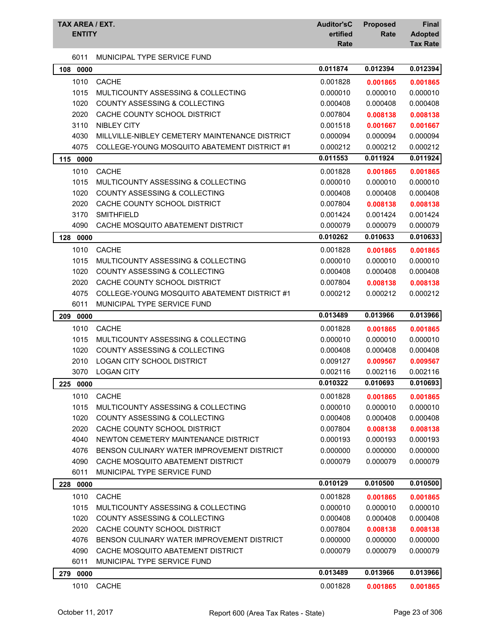| TAX AREA / EXT.<br><b>ENTITY</b> |                                                | <b>Auditor'sC</b><br>ertified<br>Rate | <b>Proposed</b><br>Rate | Final<br><b>Adopted</b><br><b>Tax Rate</b> |
|----------------------------------|------------------------------------------------|---------------------------------------|-------------------------|--------------------------------------------|
| 6011                             | MUNICIPAL TYPE SERVICE FUND                    |                                       |                         |                                            |
| 0000<br>108                      |                                                | 0.011874                              | 0.012394                | 0.012394                                   |
| 1010                             | CACHE                                          | 0.001828                              | 0.001865                | 0.001865                                   |
| 1015                             | MULTICOUNTY ASSESSING & COLLECTING             | 0.000010                              | 0.000010                | 0.000010                                   |
| 1020                             | <b>COUNTY ASSESSING &amp; COLLECTING</b>       | 0.000408                              | 0.000408                | 0.000408                                   |
| 2020                             | CACHE COUNTY SCHOOL DISTRICT                   | 0.007804                              | 0.008138                | 0.008138                                   |
| 3110                             | <b>NIBLEY CITY</b>                             | 0.001518                              | 0.001667                | 0.001667                                   |
| 4030                             | MILLVILLE-NIBLEY CEMETERY MAINTENANCE DISTRICT | 0.000094                              | 0.000094                | 0.000094                                   |
| 4075                             | COLLEGE-YOUNG MOSQUITO ABATEMENT DISTRICT #1   | 0.000212                              | 0.000212                | 0.000212                                   |
| 115 0000                         |                                                | 0.011553                              | 0.011924                | 0.011924                                   |
| 1010                             | <b>CACHE</b>                                   | 0.001828                              | 0.001865                | 0.001865                                   |
| 1015                             | MULTICOUNTY ASSESSING & COLLECTING             | 0.000010                              | 0.000010                | 0.000010                                   |
| 1020                             | <b>COUNTY ASSESSING &amp; COLLECTING</b>       | 0.000408                              | 0.000408                | 0.000408                                   |
| 2020                             | CACHE COUNTY SCHOOL DISTRICT                   | 0.007804                              | 0.008138                | 0.008138                                   |
| 3170                             | <b>SMITHFIELD</b>                              | 0.001424                              | 0.001424                | 0.001424                                   |
| 4090                             | CACHE MOSQUITO ABATEMENT DISTRICT              | 0.000079                              | 0.000079                | 0.000079                                   |
| 128<br>0000                      |                                                | 0.010262                              | 0.010633                | 0.010633                                   |
| 1010                             | <b>CACHE</b>                                   | 0.001828                              | 0.001865                | 0.001865                                   |
| 1015                             | MULTICOUNTY ASSESSING & COLLECTING             | 0.000010                              | 0.000010                | 0.000010                                   |
| 1020                             | <b>COUNTY ASSESSING &amp; COLLECTING</b>       | 0.000408                              | 0.000408                | 0.000408                                   |
| 2020                             | CACHE COUNTY SCHOOL DISTRICT                   | 0.007804                              | 0.008138                | 0.008138                                   |
| 4075                             | COLLEGE-YOUNG MOSQUITO ABATEMENT DISTRICT #1   | 0.000212                              | 0.000212                | 0.000212                                   |
| 6011                             | MUNICIPAL TYPE SERVICE FUND                    |                                       |                         |                                            |
| 0000<br>209                      |                                                | 0.013489                              | 0.013966                | 0.013966                                   |
| 1010                             | <b>CACHE</b>                                   | 0.001828                              | 0.001865                | 0.001865                                   |
| 1015                             | MULTICOUNTY ASSESSING & COLLECTING             | 0.000010                              | 0.000010                | 0.000010                                   |
| 1020                             | <b>COUNTY ASSESSING &amp; COLLECTING</b>       | 0.000408                              | 0.000408                | 0.000408                                   |
| 2010                             | <b>LOGAN CITY SCHOOL DISTRICT</b>              | 0.009127                              | 0.009567                | 0.009567                                   |
| 3070                             | <b>LOGAN CITY</b>                              | 0.002116                              | 0.002116                | 0.002116                                   |
| 225 0000                         |                                                | 0.010322                              | 0.010693                | 0.010693                                   |
| 1010                             | <b>CACHE</b>                                   | 0.001828                              | 0.001865                | 0.001865                                   |
| 1015                             | MULTICOUNTY ASSESSING & COLLECTING             | 0.000010                              | 0.000010                | 0.000010                                   |
| 1020                             | COUNTY ASSESSING & COLLECTING                  | 0.000408                              | 0.000408                | 0.000408                                   |
| 2020                             | CACHE COUNTY SCHOOL DISTRICT                   | 0.007804                              | 0.008138                | 0.008138                                   |
| 4040                             | NEWTON CEMETERY MAINTENANCE DISTRICT           | 0.000193                              | 0.000193                | 0.000193                                   |
| 4076                             | BENSON CULINARY WATER IMPROVEMENT DISTRICT     | 0.000000                              | 0.000000                | 0.000000                                   |
| 4090                             | CACHE MOSQUITO ABATEMENT DISTRICT              | 0.000079                              | 0.000079                | 0.000079                                   |
| 6011                             | MUNICIPAL TYPE SERVICE FUND                    |                                       |                         |                                            |
| 0000<br>228                      |                                                | 0.010129                              | 0.010500                | 0.010500                                   |
| 1010                             | <b>CACHE</b>                                   | 0.001828                              | 0.001865                | 0.001865                                   |
| 1015                             | MULTICOUNTY ASSESSING & COLLECTING             | 0.000010                              | 0.000010                | 0.000010                                   |
| 1020                             | <b>COUNTY ASSESSING &amp; COLLECTING</b>       | 0.000408                              | 0.000408                | 0.000408                                   |
| 2020                             | CACHE COUNTY SCHOOL DISTRICT                   | 0.007804                              | 0.008138                | 0.008138                                   |
| 4076                             | BENSON CULINARY WATER IMPROVEMENT DISTRICT     | 0.000000                              | 0.000000                | 0.000000                                   |
| 4090                             | CACHE MOSQUITO ABATEMENT DISTRICT              | 0.000079                              | 0.000079                | 0.000079                                   |
| 6011                             | MUNICIPAL TYPE SERVICE FUND                    |                                       |                         |                                            |
| 0000<br>279                      |                                                | 0.013489                              | 0.013966                | 0.013966                                   |
| 1010                             | <b>CACHE</b>                                   | 0.001828                              | 0.001865                | 0.001865                                   |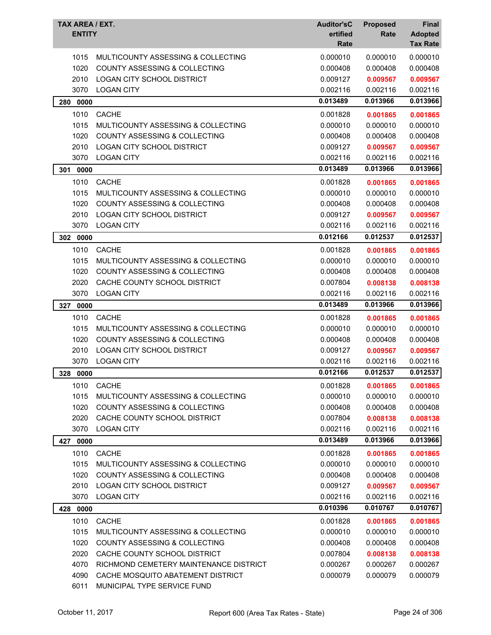| TAX AREA / EXT.<br><b>ENTITY</b> |                                          | <b>Auditor'sC</b><br>ertified<br>Rate | <b>Proposed</b><br>Rate | Final<br><b>Adopted</b><br><b>Tax Rate</b> |
|----------------------------------|------------------------------------------|---------------------------------------|-------------------------|--------------------------------------------|
| 1015                             | MULTICOUNTY ASSESSING & COLLECTING       | 0.000010                              | 0.000010                | 0.000010                                   |
| 1020                             | COUNTY ASSESSING & COLLECTING            | 0.000408                              | 0.000408                | 0.000408                                   |
| 2010                             | LOGAN CITY SCHOOL DISTRICT               | 0.009127                              | 0.009567                | 0.009567                                   |
| 3070                             | <b>LOGAN CITY</b>                        | 0.002116                              | 0.002116                | 0.002116                                   |
| 0000<br>280                      |                                          | 0.013489                              | 0.013966                | 0.013966                                   |
| 1010                             | <b>CACHE</b>                             | 0.001828                              | 0.001865                | 0.001865                                   |
| 1015                             | MULTICOUNTY ASSESSING & COLLECTING       | 0.000010                              | 0.000010                | 0.000010                                   |
| 1020                             | <b>COUNTY ASSESSING &amp; COLLECTING</b> | 0.000408                              | 0.000408                | 0.000408                                   |
| 2010                             | LOGAN CITY SCHOOL DISTRICT               | 0.009127                              | 0.009567                | 0.009567                                   |
| 3070                             | <b>LOGAN CITY</b>                        | 0.002116                              | 0.002116                | 0.002116                                   |
| 301<br>0000                      |                                          | 0.013489                              | 0.013966                | 0.013966                                   |
| 1010                             | <b>CACHE</b>                             | 0.001828                              | 0.001865                | 0.001865                                   |
| 1015                             | MULTICOUNTY ASSESSING & COLLECTING       | 0.000010                              | 0.000010                | 0.000010                                   |
| 1020                             | COUNTY ASSESSING & COLLECTING            | 0.000408                              | 0.000408                | 0.000408                                   |
| 2010                             | LOGAN CITY SCHOOL DISTRICT               | 0.009127                              | 0.009567                | 0.009567                                   |
| 3070                             | <b>LOGAN CITY</b>                        | 0.002116                              | 0.002116                | 0.002116                                   |
| 302 0000                         |                                          | 0.012166                              | 0.012537                | 0.012537                                   |
| 1010                             | <b>CACHE</b>                             | 0.001828                              | 0.001865                | 0.001865                                   |
| 1015                             | MULTICOUNTY ASSESSING & COLLECTING       | 0.000010                              | 0.000010                | 0.000010                                   |
| 1020                             | COUNTY ASSESSING & COLLECTING            | 0.000408                              | 0.000408                | 0.000408                                   |
| 2020                             | CACHE COUNTY SCHOOL DISTRICT             | 0.007804                              | 0.008138                | 0.008138                                   |
| 3070                             | <b>LOGAN CITY</b>                        | 0.002116                              | 0.002116                | 0.002116                                   |
| 327<br>0000                      |                                          | 0.013489                              | 0.013966                | 0.013966                                   |
| 1010                             | <b>CACHE</b>                             | 0.001828                              | 0.001865                | 0.001865                                   |
| 1015                             | MULTICOUNTY ASSESSING & COLLECTING       | 0.000010                              | 0.000010                | 0.000010                                   |
| 1020                             | <b>COUNTY ASSESSING &amp; COLLECTING</b> | 0.000408                              | 0.000408                | 0.000408                                   |
| 2010                             | <b>LOGAN CITY SCHOOL DISTRICT</b>        | 0.009127                              | 0.009567                | 0.009567                                   |
| 3070                             | <b>LOGAN CITY</b>                        | 0.002116                              | 0.002116                | 0.002116                                   |
| 328 0000                         |                                          | 0.012166                              | 0.012537                | 0.012537                                   |
| 1010                             | <b>CACHE</b>                             | 0.001828                              | 0.001865                | 0.001865                                   |
| 1015                             | MULTICOUNTY ASSESSING & COLLECTING       | 0.000010                              | 0.000010                | 0.000010                                   |
| 1020                             | COUNTY ASSESSING & COLLECTING            | 0.000408                              | 0.000408                | 0.000408                                   |
| 2020                             | CACHE COUNTY SCHOOL DISTRICT             | 0.007804                              | 0.008138                | 0.008138                                   |
| 3070                             | <b>LOGAN CITY</b>                        | 0.002116                              | 0.002116                | 0.002116                                   |
| 0000<br>427                      |                                          | 0.013489                              | 0.013966                | 0.013966                                   |
| 1010                             | <b>CACHE</b>                             | 0.001828                              | 0.001865                | 0.001865                                   |
| 1015                             | MULTICOUNTY ASSESSING & COLLECTING       | 0.000010                              | 0.000010                | 0.000010                                   |
| 1020                             | <b>COUNTY ASSESSING &amp; COLLECTING</b> | 0.000408                              | 0.000408                | 0.000408                                   |
| 2010                             | <b>LOGAN CITY SCHOOL DISTRICT</b>        | 0.009127                              | 0.009567                | 0.009567                                   |
| 3070                             | <b>LOGAN CITY</b>                        | 0.002116                              | 0.002116                | 0.002116                                   |
| 428<br>0000                      |                                          | 0.010396                              | 0.010767                | 0.010767                                   |
| 1010                             | <b>CACHE</b>                             | 0.001828                              | 0.001865                | 0.001865                                   |
| 1015                             | MULTICOUNTY ASSESSING & COLLECTING       | 0.000010                              | 0.000010                | 0.000010                                   |
| 1020                             | <b>COUNTY ASSESSING &amp; COLLECTING</b> | 0.000408                              | 0.000408                | 0.000408                                   |
| 2020                             | CACHE COUNTY SCHOOL DISTRICT             | 0.007804                              | 0.008138                | 0.008138                                   |
| 4070                             | RICHMOND CEMETERY MAINTENANCE DISTRICT   | 0.000267                              | 0.000267                | 0.000267                                   |
| 4090                             | CACHE MOSQUITO ABATEMENT DISTRICT        | 0.000079                              | 0.000079                | 0.000079                                   |
| 6011                             | MUNICIPAL TYPE SERVICE FUND              |                                       |                         |                                            |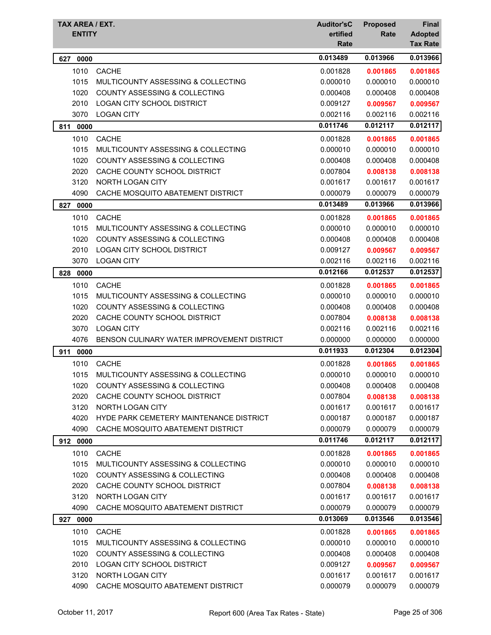| TAX AREA / EXT.<br><b>ENTITY</b> |                                                                                | <b>Auditor'sC</b><br>ertified<br>Rate | <b>Proposed</b><br>Rate | Final<br><b>Adopted</b><br><b>Tax Rate</b> |
|----------------------------------|--------------------------------------------------------------------------------|---------------------------------------|-------------------------|--------------------------------------------|
| 627<br>0000                      |                                                                                | 0.013489                              | 0.013966                | 0.013966                                   |
| 1010                             | <b>CACHE</b>                                                                   | 0.001828                              | 0.001865                | 0.001865                                   |
| 1015                             | MULTICOUNTY ASSESSING & COLLECTING                                             | 0.000010                              | 0.000010                | 0.000010                                   |
| 1020                             | <b>COUNTY ASSESSING &amp; COLLECTING</b>                                       | 0.000408                              | 0.000408                | 0.000408                                   |
| 2010                             | <b>LOGAN CITY SCHOOL DISTRICT</b>                                              | 0.009127                              | 0.009567                | 0.009567                                   |
| 3070                             | <b>LOGAN CITY</b>                                                              | 0.002116                              | 0.002116                | 0.002116                                   |
| 811<br>0000                      |                                                                                | 0.011746                              | 0.012117                | 0.012117                                   |
| 1010                             | <b>CACHE</b>                                                                   | 0.001828                              | 0.001865                | 0.001865                                   |
| 1015                             | MULTICOUNTY ASSESSING & COLLECTING                                             | 0.000010                              | 0.000010                | 0.000010                                   |
| 1020                             | <b>COUNTY ASSESSING &amp; COLLECTING</b>                                       | 0.000408                              | 0.000408                | 0.000408                                   |
| 2020                             | CACHE COUNTY SCHOOL DISTRICT                                                   | 0.007804                              | 0.008138                | 0.008138                                   |
| 3120                             | <b>NORTH LOGAN CITY</b>                                                        | 0.001617                              | 0.001617                | 0.001617                                   |
| 4090                             | CACHE MOSQUITO ABATEMENT DISTRICT                                              | 0.000079                              | 0.000079                | 0.000079                                   |
| 827<br>0000                      |                                                                                | 0.013489                              | 0.013966                | 0.013966                                   |
| 1010                             | <b>CACHE</b>                                                                   | 0.001828                              | 0.001865                | 0.001865                                   |
| 1015                             | MULTICOUNTY ASSESSING & COLLECTING                                             | 0.000010                              | 0.000010                | 0.000010                                   |
| 1020                             | COUNTY ASSESSING & COLLECTING                                                  | 0.000408                              | 0.000408                | 0.000408                                   |
| 2010                             | <b>LOGAN CITY SCHOOL DISTRICT</b>                                              | 0.009127                              | 0.009567                | 0.009567                                   |
| 3070                             | <b>LOGAN CITY</b>                                                              | 0.002116                              | 0.002116                | 0.002116                                   |
| 828<br>0000                      |                                                                                | 0.012166                              | 0.012537                | 0.012537                                   |
| 1010                             | <b>CACHE</b>                                                                   | 0.001828                              | 0.001865                | 0.001865                                   |
| 1015                             | MULTICOUNTY ASSESSING & COLLECTING                                             | 0.000010                              | 0.000010                | 0.000010                                   |
| 1020                             | <b>COUNTY ASSESSING &amp; COLLECTING</b>                                       | 0.000408                              | 0.000408                | 0.000408                                   |
| 2020                             | CACHE COUNTY SCHOOL DISTRICT                                                   | 0.007804                              | 0.008138                | 0.008138                                   |
| 3070<br>4076                     | <b>LOGAN CITY</b><br>BENSON CULINARY WATER IMPROVEMENT DISTRICT                | 0.002116<br>0.000000                  | 0.002116<br>0.000000    | 0.002116<br>0.000000                       |
|                                  |                                                                                | 0.011933                              | 0.012304                | 0.012304                                   |
| 911<br>0000                      | CACHE                                                                          |                                       |                         |                                            |
| 1010<br>1015                     |                                                                                | 0.001828<br>0.000010                  | 0.001865<br>0.000010    | 0.001865<br>0.000010                       |
| 1020                             | MULTICOUNTY ASSESSING & COLLECTING<br><b>COUNTY ASSESSING &amp; COLLECTING</b> | 0.000408                              | 0.000408                | 0.000408                                   |
| 2020                             | CACHE COUNTY SCHOOL DISTRICT                                                   | 0.007804                              | 0.008138                | 0.008138                                   |
| 3120                             | NORTH LOGAN CITY                                                               | 0.001617                              | 0.001617                | 0.001617                                   |
| 4020                             | HYDE PARK CEMETERY MAINTENANCE DISTRICT                                        | 0.000187                              | 0.000187                | 0.000187                                   |
| 4090                             | CACHE MOSQUITO ABATEMENT DISTRICT                                              | 0.000079                              | 0.000079                | 0.000079                                   |
| 912 0000                         |                                                                                | 0.011746                              | 0.012117                | 0.012117                                   |
| 1010                             | <b>CACHE</b>                                                                   | 0.001828                              | 0.001865                | 0.001865                                   |
| 1015                             | MULTICOUNTY ASSESSING & COLLECTING                                             | 0.000010                              | 0.000010                | 0.000010                                   |
| 1020                             | COUNTY ASSESSING & COLLECTING                                                  | 0.000408                              | 0.000408                | 0.000408                                   |
| 2020                             | CACHE COUNTY SCHOOL DISTRICT                                                   | 0.007804                              | 0.008138                | 0.008138                                   |
| 3120                             | NORTH LOGAN CITY                                                               | 0.001617                              | 0.001617                | 0.001617                                   |
| 4090                             | CACHE MOSQUITO ABATEMENT DISTRICT                                              | 0.000079                              | 0.000079                | 0.000079                                   |
| 0000<br>927                      |                                                                                | 0.013069                              | 0.013546                | 0.013546                                   |
| 1010                             | <b>CACHE</b>                                                                   | 0.001828                              | 0.001865                | 0.001865                                   |
| 1015                             | MULTICOUNTY ASSESSING & COLLECTING                                             | 0.000010                              | 0.000010                | 0.000010                                   |
| 1020                             | COUNTY ASSESSING & COLLECTING                                                  | 0.000408                              | 0.000408                | 0.000408                                   |
| 2010                             | LOGAN CITY SCHOOL DISTRICT                                                     | 0.009127                              | 0.009567                | 0.009567                                   |
| 3120                             | NORTH LOGAN CITY                                                               | 0.001617                              | 0.001617                | 0.001617                                   |
| 4090                             | CACHE MOSQUITO ABATEMENT DISTRICT                                              | 0.000079                              | 0.000079                | 0.000079                                   |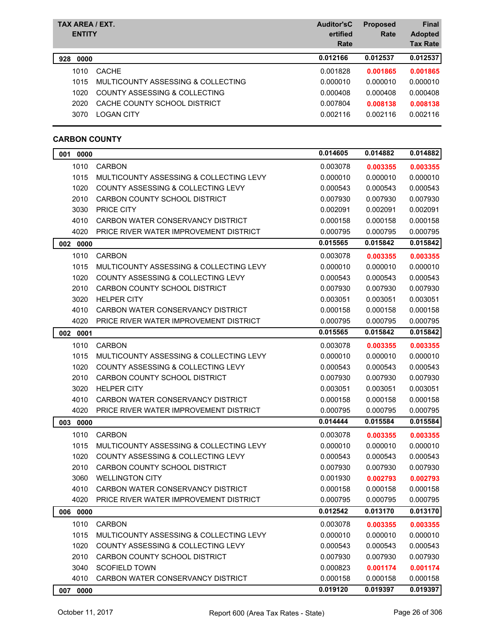| TAX AREA / EXT.<br><b>ENTITY</b> |                                    | <b>Auditor'sC</b><br>ertified<br>Rate | <b>Proposed</b><br>Rate | <b>Final</b><br><b>Adopted</b><br><b>Tax Rate</b> |
|----------------------------------|------------------------------------|---------------------------------------|-------------------------|---------------------------------------------------|
| 0000<br>928                      |                                    | 0.012166                              | 0.012537                | 0.012537                                          |
| 1010                             | <b>CACHE</b>                       | 0.001828                              | 0.001865                | 0.001865                                          |
| 1015                             | MULTICOUNTY ASSESSING & COLLECTING | 0.000010                              | 0.000010                | 0.000010                                          |
| 1020                             | COUNTY ASSESSING & COLLECTING      | 0.000408                              | 0.000408                | 0.000408                                          |
| 2020                             | CACHE COUNTY SCHOOL DISTRICT       | 0.007804                              | 0.008138                | 0.008138                                          |
| 3070                             | <b>LOGAN CITY</b>                  | 0.002116                              | 0.002116                | 0.002116                                          |

### **CARBON COUNTY**

| 001 0000 |                                         | 0.014605 | 0.014882 | 0.014882 |
|----------|-----------------------------------------|----------|----------|----------|
| 1010     | <b>CARBON</b>                           | 0.003078 | 0.003355 | 0.003355 |
| 1015     | MULTICOUNTY ASSESSING & COLLECTING LEVY | 0.000010 | 0.000010 | 0.000010 |
| 1020     | COUNTY ASSESSING & COLLECTING LEVY      | 0.000543 | 0.000543 | 0.000543 |
| 2010     | CARBON COUNTY SCHOOL DISTRICT           | 0.007930 | 0.007930 | 0.007930 |
| 3030     | PRICE CITY                              | 0.002091 | 0.002091 | 0.002091 |
| 4010     | CARBON WATER CONSERVANCY DISTRICT       | 0.000158 | 0.000158 | 0.000158 |
| 4020     | PRICE RIVER WATER IMPROVEMENT DISTRICT  | 0.000795 | 0.000795 | 0.000795 |
| 002 0000 |                                         | 0.015565 | 0.015842 | 0.015842 |
| 1010     | <b>CARBON</b>                           | 0.003078 | 0.003355 | 0.003355 |
| 1015     | MULTICOUNTY ASSESSING & COLLECTING LEVY | 0.000010 | 0.000010 | 0.000010 |
| 1020     | COUNTY ASSESSING & COLLECTING LEVY      | 0.000543 | 0.000543 | 0.000543 |
| 2010     | CARBON COUNTY SCHOOL DISTRICT           | 0.007930 | 0.007930 | 0.007930 |
| 3020     | <b>HELPER CITY</b>                      | 0.003051 | 0.003051 | 0.003051 |
| 4010     | CARBON WATER CONSERVANCY DISTRICT       | 0.000158 | 0.000158 | 0.000158 |
| 4020     | PRICE RIVER WATER IMPROVEMENT DISTRICT  | 0.000795 | 0.000795 | 0.000795 |
| 002 0001 |                                         | 0.015565 | 0.015842 | 0.015842 |
| 1010     | <b>CARBON</b>                           | 0.003078 | 0.003355 | 0.003355 |
| 1015     | MULTICOUNTY ASSESSING & COLLECTING LEVY | 0.000010 | 0.000010 | 0.000010 |
| 1020     | COUNTY ASSESSING & COLLECTING LEVY      | 0.000543 | 0.000543 | 0.000543 |
| 2010     | CARBON COUNTY SCHOOL DISTRICT           | 0.007930 | 0.007930 | 0.007930 |
| 3020     | <b>HELPER CITY</b>                      | 0.003051 | 0.003051 | 0.003051 |
| 4010     | CARBON WATER CONSERVANCY DISTRICT       | 0.000158 | 0.000158 | 0.000158 |
| 4020     | PRICE RIVER WATER IMPROVEMENT DISTRICT  | 0.000795 | 0.000795 | 0.000795 |
| 003 0000 |                                         | 0.014444 | 0.015584 | 0.015584 |
| 1010     | <b>CARBON</b>                           | 0.003078 | 0.003355 | 0.003355 |
| 1015     | MULTICOUNTY ASSESSING & COLLECTING LEVY | 0.000010 | 0.000010 | 0.000010 |
| 1020     | COUNTY ASSESSING & COLLECTING LEVY      | 0.000543 | 0.000543 | 0.000543 |
| 2010     | CARBON COUNTY SCHOOL DISTRICT           | 0.007930 | 0.007930 | 0.007930 |
| 3060     | <b>WELLINGTON CITY</b>                  | 0.001930 | 0.002793 | 0.002793 |
| 4010     | CARBON WATER CONSERVANCY DISTRICT       | 0.000158 | 0.000158 | 0.000158 |
| 4020     | PRICE RIVER WATER IMPROVEMENT DISTRICT  | 0.000795 | 0.000795 | 0.000795 |
| 006 0000 |                                         | 0.012542 | 0.013170 | 0.013170 |
| 1010     | CARBON                                  | 0.003078 | 0.003355 | 0.003355 |
| 1015     | MULTICOUNTY ASSESSING & COLLECTING LEVY | 0.000010 | 0.000010 | 0.000010 |
| 1020     | COUNTY ASSESSING & COLLECTING LEVY      | 0.000543 | 0.000543 | 0.000543 |
| 2010     | CARBON COUNTY SCHOOL DISTRICT           | 0.007930 | 0.007930 | 0.007930 |
| 3040     | <b>SCOFIELD TOWN</b>                    | 0.000823 | 0.001174 | 0.001174 |
| 4010     | CARBON WATER CONSERVANCY DISTRICT       | 0.000158 | 0.000158 | 0.000158 |
| 007 0000 |                                         | 0.019120 | 0.019397 | 0.019397 |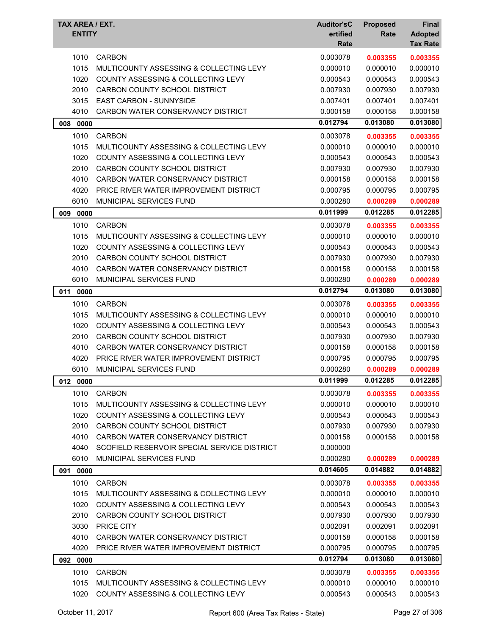| TAX AREA / EXT.<br><b>ENTITY</b> |                                               | <b>Auditor'sC</b><br>ertified<br>Rate | <b>Proposed</b><br>Rate | <b>Final</b><br><b>Adopted</b><br><b>Tax Rate</b> |
|----------------------------------|-----------------------------------------------|---------------------------------------|-------------------------|---------------------------------------------------|
| 1010                             | <b>CARBON</b>                                 | 0.003078                              | 0.003355                | 0.003355                                          |
| 1015                             | MULTICOUNTY ASSESSING & COLLECTING LEVY       | 0.000010                              | 0.000010                | 0.000010                                          |
| 1020                             | COUNTY ASSESSING & COLLECTING LEVY            | 0.000543                              | 0.000543                | 0.000543                                          |
| 2010                             | CARBON COUNTY SCHOOL DISTRICT                 | 0.007930                              | 0.007930                | 0.007930                                          |
| 3015                             | EAST CARBON - SUNNYSIDE                       | 0.007401                              | 0.007401                | 0.007401                                          |
| 4010                             | CARBON WATER CONSERVANCY DISTRICT             | 0.000158                              | 0.000158                | 0.000158                                          |
| 008 0000                         |                                               | 0.012794                              | 0.013080                | 0.013080                                          |
| 1010                             | <b>CARBON</b>                                 | 0.003078                              | 0.003355                | 0.003355                                          |
| 1015                             | MULTICOUNTY ASSESSING & COLLECTING LEVY       | 0.000010                              | 0.000010                | 0.000010                                          |
| 1020                             | <b>COUNTY ASSESSING &amp; COLLECTING LEVY</b> | 0.000543                              | 0.000543                | 0.000543                                          |
| 2010                             | CARBON COUNTY SCHOOL DISTRICT                 | 0.007930                              | 0.007930                | 0.007930                                          |
| 4010                             | CARBON WATER CONSERVANCY DISTRICT             | 0.000158                              | 0.000158                | 0.000158                                          |
| 4020                             | PRICE RIVER WATER IMPROVEMENT DISTRICT        | 0.000795                              | 0.000795                | 0.000795                                          |
| 6010                             | MUNICIPAL SERVICES FUND                       | 0.000280                              | 0.000289                | 0.000289                                          |
| 009<br>0000                      |                                               | 0.011999                              | 0.012285                | 0.012285                                          |
| 1010                             | <b>CARBON</b>                                 | 0.003078                              | 0.003355                | 0.003355                                          |
| 1015                             | MULTICOUNTY ASSESSING & COLLECTING LEVY       | 0.000010                              | 0.000010                | 0.000010                                          |
| 1020                             | <b>COUNTY ASSESSING &amp; COLLECTING LEVY</b> | 0.000543                              | 0.000543                | 0.000543                                          |
| 2010                             | CARBON COUNTY SCHOOL DISTRICT                 | 0.007930                              | 0.007930                | 0.007930                                          |
| 4010                             | CARBON WATER CONSERVANCY DISTRICT             | 0.000158                              | 0.000158                | 0.000158                                          |
| 6010                             | <b>MUNICIPAL SERVICES FUND</b>                | 0.000280                              | 0.000289                | 0.000289                                          |
| 0000<br>011                      |                                               | 0.012794                              | 0.013080                | 0.013080                                          |
| 1010                             | <b>CARBON</b>                                 | 0.003078                              | 0.003355                | 0.003355                                          |
| 1015                             | MULTICOUNTY ASSESSING & COLLECTING LEVY       | 0.000010                              | 0.000010                | 0.000010                                          |
| 1020                             | COUNTY ASSESSING & COLLECTING LEVY            | 0.000543                              | 0.000543                | 0.000543                                          |
| 2010                             | CARBON COUNTY SCHOOL DISTRICT                 | 0.007930                              | 0.007930                | 0.007930                                          |
| 4010                             | CARBON WATER CONSERVANCY DISTRICT             | 0.000158                              | 0.000158                | 0.000158                                          |
| 4020                             | PRICE RIVER WATER IMPROVEMENT DISTRICT        | 0.000795                              | 0.000795                | 0.000795                                          |
| 6010                             | MUNICIPAL SERVICES FUND                       | 0.000280                              | 0.000289                | 0.000289                                          |
| 012 0000                         |                                               | 0.011999                              | 0.012285                | 0.012285                                          |
| 1010                             | <b>CARBON</b>                                 | 0.003078                              | 0.003355                | 0.003355                                          |
| 1015                             | MULTICOUNTY ASSESSING & COLLECTING LEVY       | 0.000010                              | 0.000010                | 0.000010                                          |
| 1020                             | <b>COUNTY ASSESSING &amp; COLLECTING LEVY</b> | 0.000543                              | 0.000543                | 0.000543                                          |
| 2010                             | CARBON COUNTY SCHOOL DISTRICT                 | 0.007930                              | 0.007930                | 0.007930                                          |
| 4010                             | CARBON WATER CONSERVANCY DISTRICT             | 0.000158                              | 0.000158                | 0.000158                                          |
| 4040                             | SCOFIELD RESERVOIR SPECIAL SERVICE DISTRICT   | 0.000000                              |                         |                                                   |
| 6010                             | MUNICIPAL SERVICES FUND                       | 0.000280                              | 0.000289                | 0.000289                                          |
| 091<br>0000                      |                                               | 0.014605                              | 0.014882                | 0.014882                                          |
|                                  |                                               |                                       |                         |                                                   |
| 1010                             | <b>CARBON</b>                                 | 0.003078                              | 0.003355                | 0.003355                                          |
| 1015                             | MULTICOUNTY ASSESSING & COLLECTING LEVY       | 0.000010                              | 0.000010                | 0.000010                                          |
| 1020                             | COUNTY ASSESSING & COLLECTING LEVY            | 0.000543                              | 0.000543                | 0.000543                                          |
| 2010                             | CARBON COUNTY SCHOOL DISTRICT                 | 0.007930                              | 0.007930                | 0.007930                                          |
| 3030                             | PRICE CITY                                    | 0.002091                              | 0.002091                | 0.002091                                          |
| 4010                             | CARBON WATER CONSERVANCY DISTRICT             | 0.000158                              | 0.000158                | 0.000158                                          |
| 4020                             | PRICE RIVER WATER IMPROVEMENT DISTRICT        | 0.000795                              | 0.000795                | 0.000795                                          |
| 092 0000                         |                                               | 0.012794                              | 0.013080                | 0.013080                                          |
| 1010                             | <b>CARBON</b>                                 | 0.003078                              | 0.003355                | 0.003355                                          |
| 1015                             | MULTICOUNTY ASSESSING & COLLECTING LEVY       | 0.000010                              | 0.000010                | 0.000010                                          |
| 1020                             | COUNTY ASSESSING & COLLECTING LEVY            | 0.000543                              | 0.000543                | 0.000543                                          |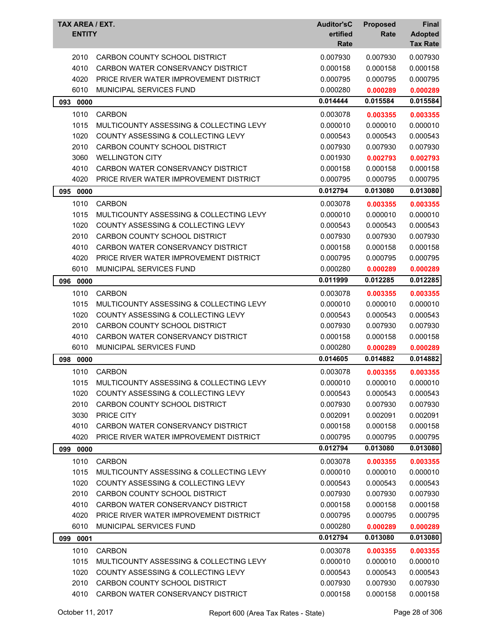| TAX AREA / EXT.<br><b>ENTITY</b> |                                               | <b>Auditor'sC</b><br>ertified<br>Rate | <b>Proposed</b><br>Rate | <b>Final</b><br><b>Adopted</b><br><b>Tax Rate</b> |
|----------------------------------|-----------------------------------------------|---------------------------------------|-------------------------|---------------------------------------------------|
| 2010                             | CARBON COUNTY SCHOOL DISTRICT                 | 0.007930                              | 0.007930                | 0.007930                                          |
| 4010                             | CARBON WATER CONSERVANCY DISTRICT             | 0.000158                              | 0.000158                | 0.000158                                          |
| 4020                             | PRICE RIVER WATER IMPROVEMENT DISTRICT        | 0.000795                              | 0.000795                | 0.000795                                          |
| 6010                             | <b>MUNICIPAL SERVICES FUND</b>                | 0.000280                              | 0.000289                | 0.000289                                          |
| 0000<br>093                      |                                               | 0.014444                              | 0.015584                | 0.015584                                          |
| 1010                             | <b>CARBON</b>                                 | 0.003078                              | 0.003355                | 0.003355                                          |
| 1015                             | MULTICOUNTY ASSESSING & COLLECTING LEVY       | 0.000010                              | 0.000010                | 0.000010                                          |
| 1020                             | COUNTY ASSESSING & COLLECTING LEVY            | 0.000543                              | 0.000543                | 0.000543                                          |
| 2010                             | CARBON COUNTY SCHOOL DISTRICT                 | 0.007930                              | 0.007930                | 0.007930                                          |
| 3060                             | <b>WELLINGTON CITY</b>                        | 0.001930                              | 0.002793                | 0.002793                                          |
| 4010                             | CARBON WATER CONSERVANCY DISTRICT             | 0.000158                              | 0.000158                | 0.000158                                          |
| 4020                             | PRICE RIVER WATER IMPROVEMENT DISTRICT        | 0.000795                              | 0.000795                | 0.000795                                          |
| 095<br>0000                      |                                               | 0.012794                              | 0.013080                | 0.013080                                          |
| 1010                             | <b>CARBON</b>                                 | 0.003078                              | 0.003355                | 0.003355                                          |
| 1015                             | MULTICOUNTY ASSESSING & COLLECTING LEVY       | 0.000010                              | 0.000010                | 0.000010                                          |
| 1020                             | COUNTY ASSESSING & COLLECTING LEVY            | 0.000543                              | 0.000543                | 0.000543                                          |
| 2010                             | CARBON COUNTY SCHOOL DISTRICT                 | 0.007930                              | 0.007930                | 0.007930                                          |
| 4010                             | CARBON WATER CONSERVANCY DISTRICT             | 0.000158                              | 0.000158                | 0.000158                                          |
| 4020                             | PRICE RIVER WATER IMPROVEMENT DISTRICT        | 0.000795                              | 0.000795                | 0.000795                                          |
| 6010                             | <b>MUNICIPAL SERVICES FUND</b>                | 0.000280                              | 0.000289                | 0.000289                                          |
| 096<br>0000                      |                                               | 0.011999                              | 0.012285                | 0.012285                                          |
| 1010                             | <b>CARBON</b>                                 | 0.003078                              | 0.003355                | 0.003355                                          |
| 1015                             | MULTICOUNTY ASSESSING & COLLECTING LEVY       | 0.000010                              | 0.000010                | 0.000010                                          |
| 1020                             | <b>COUNTY ASSESSING &amp; COLLECTING LEVY</b> | 0.000543                              | 0.000543                | 0.000543                                          |
| 2010                             | CARBON COUNTY SCHOOL DISTRICT                 | 0.007930                              | 0.007930                | 0.007930                                          |
| 4010                             | CARBON WATER CONSERVANCY DISTRICT             | 0.000158                              | 0.000158                | 0.000158                                          |
| 6010                             | MUNICIPAL SERVICES FUND                       | 0.000280                              | 0.000289                | 0.000289                                          |
| 098<br>0000                      |                                               | 0.014605                              | 0.014882                | 0.014882                                          |
| 1010                             | <b>CARBON</b>                                 | 0.003078                              | 0.003355                | 0.003355                                          |
| 1015                             | MULTICOUNTY ASSESSING & COLLECTING LEVY       | 0.000010                              | 0.000010                | 0.000010                                          |
| 1020                             | <b>COUNTY ASSESSING &amp; COLLECTING LEVY</b> | 0.000543                              | 0.000543                | 0.000543                                          |
| 2010                             | CARBON COUNTY SCHOOL DISTRICT                 | 0.007930                              | 0.007930                | 0.007930                                          |
| 3030                             | PRICE CITY                                    | 0.002091                              | 0.002091                | 0.002091                                          |
| 4010                             | CARBON WATER CONSERVANCY DISTRICT             | 0.000158                              | 0.000158                | 0.000158                                          |
| 4020                             | PRICE RIVER WATER IMPROVEMENT DISTRICT        | 0.000795                              | 0.000795                | 0.000795                                          |
| 099<br>0000                      |                                               | 0.012794                              | 0.013080                | 0.013080                                          |
| 1010                             | <b>CARBON</b>                                 | 0.003078                              | 0.003355                | 0.003355                                          |
| 1015                             | MULTICOUNTY ASSESSING & COLLECTING LEVY       | 0.000010                              | 0.000010                | 0.000010                                          |
| 1020                             | COUNTY ASSESSING & COLLECTING LEVY            | 0.000543                              | 0.000543                | 0.000543                                          |
| 2010                             | CARBON COUNTY SCHOOL DISTRICT                 | 0.007930                              | 0.007930                | 0.007930                                          |
| 4010                             | CARBON WATER CONSERVANCY DISTRICT             | 0.000158                              | 0.000158                | 0.000158                                          |
| 4020                             | PRICE RIVER WATER IMPROVEMENT DISTRICT        | 0.000795                              | 0.000795                | 0.000795                                          |
| 6010                             | MUNICIPAL SERVICES FUND                       | 0.000280                              | 0.000289                | 0.000289                                          |
| 099 0001                         |                                               | 0.012794                              | 0.013080                | 0.013080                                          |
| 1010                             | <b>CARBON</b>                                 | 0.003078                              | 0.003355                | 0.003355                                          |
| 1015                             | MULTICOUNTY ASSESSING & COLLECTING LEVY       | 0.000010                              | 0.000010                | 0.000010                                          |
| 1020                             | COUNTY ASSESSING & COLLECTING LEVY            | 0.000543                              | 0.000543                | 0.000543                                          |
| 2010                             | CARBON COUNTY SCHOOL DISTRICT                 | 0.007930                              | 0.007930                | 0.007930                                          |
| 4010                             | CARBON WATER CONSERVANCY DISTRICT             | 0.000158                              | 0.000158                | 0.000158                                          |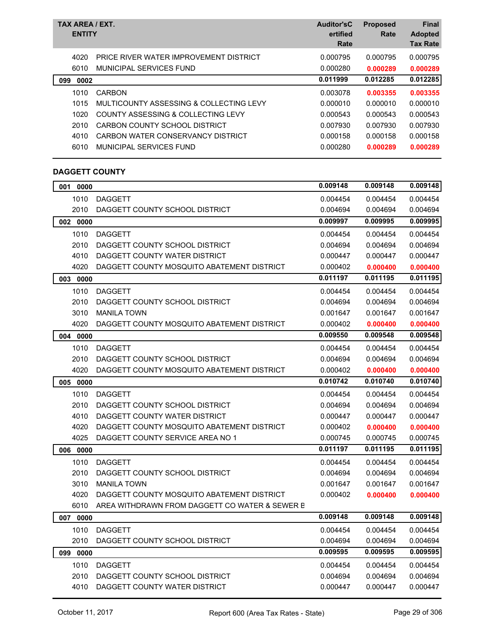| TAX AREA / EXT.<br><b>ENTITY</b> |                                         | <b>Auditor'sC</b><br>ertified<br>Rate | <b>Proposed</b><br>Rate | <b>Final</b><br><b>Adopted</b><br><b>Tax Rate</b> |
|----------------------------------|-----------------------------------------|---------------------------------------|-------------------------|---------------------------------------------------|
| 4020                             | PRICE RIVER WATER IMPROVEMENT DISTRICT  | 0.000795                              | 0.000795                | 0.000795                                          |
| 6010                             | MUNICIPAL SERVICES FUND                 | 0.000280                              | 0.000289                | 0.000289                                          |
| 0002<br>099                      |                                         | 0.011999                              | 0.012285                | 0.012285                                          |
| 1010                             | <b>CARBON</b>                           | 0.003078                              | 0.003355                | 0.003355                                          |
| 1015                             | MULTICOUNTY ASSESSING & COLLECTING LEVY | 0.000010                              | 0.000010                | 0.000010                                          |
| 1020                             | COUNTY ASSESSING & COLLECTING LEVY      | 0.000543                              | 0.000543                | 0.000543                                          |
| 2010                             | CARBON COUNTY SCHOOL DISTRICT           | 0.007930                              | 0.007930                | 0.007930                                          |
| 4010                             | CARBON WATER CONSERVANCY DISTRICT       | 0.000158                              | 0.000158                | 0.000158                                          |
| 6010                             | MUNICIPAL SERVICES FUND                 | 0.000280                              | 0.000289                | 0.000289                                          |

# **DAGGETT COUNTY**

| 001<br>0000 |                                                | 0.009148 | 0.009148 | 0.009148 |
|-------------|------------------------------------------------|----------|----------|----------|
| 1010        | <b>DAGGETT</b>                                 | 0.004454 | 0.004454 | 0.004454 |
| 2010        | DAGGETT COUNTY SCHOOL DISTRICT                 | 0.004694 | 0.004694 | 0.004694 |
| 002 0000    |                                                | 0.009997 | 0.009995 | 0.009995 |
| 1010        | <b>DAGGETT</b>                                 | 0.004454 | 0.004454 | 0.004454 |
| 2010        | DAGGETT COUNTY SCHOOL DISTRICT                 | 0.004694 | 0.004694 | 0.004694 |
| 4010        | DAGGETT COUNTY WATER DISTRICT                  | 0.000447 | 0.000447 | 0.000447 |
| 4020        | DAGGETT COUNTY MOSQUITO ABATEMENT DISTRICT     | 0.000402 | 0.000400 | 0.000400 |
| 003 0000    |                                                | 0.011197 | 0.011195 | 0.011195 |
| 1010        | <b>DAGGETT</b>                                 | 0.004454 | 0.004454 | 0.004454 |
| 2010        | DAGGETT COUNTY SCHOOL DISTRICT                 | 0.004694 | 0.004694 | 0.004694 |
| 3010        | <b>MANILA TOWN</b>                             | 0.001647 | 0.001647 | 0.001647 |
| 4020        | DAGGETT COUNTY MOSQUITO ABATEMENT DISTRICT     | 0.000402 | 0.000400 | 0.000400 |
| 004<br>0000 |                                                | 0.009550 | 0.009548 | 0.009548 |
| 1010        | <b>DAGGETT</b>                                 | 0.004454 | 0.004454 | 0.004454 |
| 2010        | DAGGETT COUNTY SCHOOL DISTRICT                 | 0.004694 | 0.004694 | 0.004694 |
| 4020        | DAGGETT COUNTY MOSQUITO ABATEMENT DISTRICT     | 0.000402 | 0.000400 | 0.000400 |
| 005<br>0000 |                                                | 0.010742 | 0.010740 | 0.010740 |
| 1010        | <b>DAGGETT</b>                                 | 0.004454 | 0.004454 | 0.004454 |
| 2010        | DAGGETT COUNTY SCHOOL DISTRICT                 | 0.004694 | 0.004694 | 0.004694 |
| 4010        | DAGGETT COUNTY WATER DISTRICT                  | 0.000447 | 0.000447 | 0.000447 |
| 4020        | DAGGETT COUNTY MOSQUITO ABATEMENT DISTRICT     | 0.000402 | 0.000400 | 0.000400 |
| 4025        | DAGGETT COUNTY SERVICE AREA NO 1               | 0.000745 | 0.000745 | 0.000745 |
| 006 0000    |                                                | 0.011197 | 0.011195 | 0.011195 |
| 1010        | <b>DAGGETT</b>                                 | 0.004454 | 0.004454 | 0.004454 |
| 2010        | DAGGETT COUNTY SCHOOL DISTRICT                 | 0.004694 | 0.004694 | 0.004694 |
| 3010        | <b>MANILA TOWN</b>                             | 0.001647 | 0.001647 | 0.001647 |
| 4020        | DAGGETT COUNTY MOSQUITO ABATEMENT DISTRICT     | 0.000402 | 0.000400 | 0.000400 |
| 6010        | AREA WITHDRAWN FROM DAGGETT CO WATER & SEWER B |          |          |          |
| 007 0000    |                                                | 0.009148 | 0.009148 | 0.009148 |
| 1010        | <b>DAGGETT</b>                                 | 0.004454 | 0.004454 | 0.004454 |
| 2010        | DAGGETT COUNTY SCHOOL DISTRICT                 | 0.004694 | 0.004694 | 0.004694 |
| 099 0000    |                                                | 0.009595 | 0.009595 | 0.009595 |
| 1010        | <b>DAGGETT</b>                                 | 0.004454 | 0.004454 | 0.004454 |
| 2010        | DAGGETT COUNTY SCHOOL DISTRICT                 | 0.004694 | 0.004694 | 0.004694 |
| 4010        | DAGGETT COUNTY WATER DISTRICT                  | 0.000447 | 0.000447 | 0.000447 |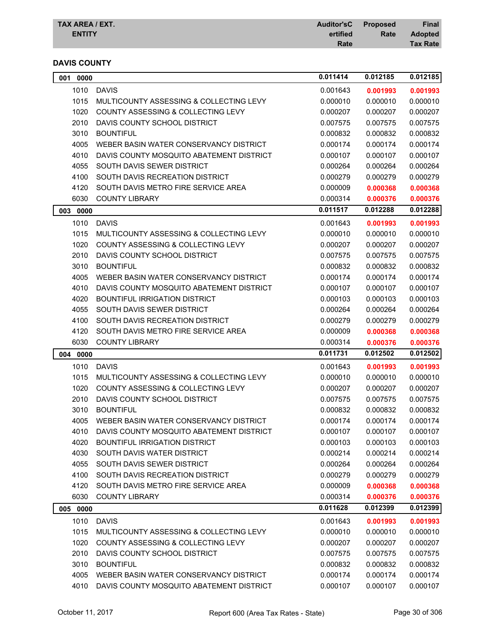| <b>TAX AREA / EXT.</b> | Auditor'sC Proposed |      | <b>Final</b>    |
|------------------------|---------------------|------|-----------------|
| <b>ENTITY</b>          | ertified            | Rate | <b>Adopted</b>  |
|                        | Rate                |      | <b>Tax Rate</b> |

## **DAVIS COUNTY**

| 001<br>0000 |                                               | 0.011414 | 0.012185             | 0.012185 |
|-------------|-----------------------------------------------|----------|----------------------|----------|
| 1010        | <b>DAVIS</b>                                  | 0.001643 | 0.001993             | 0.001993 |
| 1015        | MULTICOUNTY ASSESSING & COLLECTING LEVY       | 0.000010 | 0.000010             | 0.000010 |
| 1020        | COUNTY ASSESSING & COLLECTING LEVY            | 0.000207 | 0.000207             | 0.000207 |
| 2010        | DAVIS COUNTY SCHOOL DISTRICT                  | 0.007575 | 0.007575             | 0.007575 |
| 3010        | <b>BOUNTIFUL</b>                              | 0.000832 | 0.000832             | 0.000832 |
| 4005        | WEBER BASIN WATER CONSERVANCY DISTRICT        | 0.000174 | 0.000174             | 0.000174 |
| 4010        | DAVIS COUNTY MOSQUITO ABATEMENT DISTRICT      | 0.000107 | 0.000107             | 0.000107 |
| 4055        | SOUTH DAVIS SEWER DISTRICT                    | 0.000264 | 0.000264             | 0.000264 |
| 4100        | SOUTH DAVIS RECREATION DISTRICT               | 0.000279 | 0.000279             | 0.000279 |
| 4120        | SOUTH DAVIS METRO FIRE SERVICE AREA           | 0.000009 | 0.000368             | 0.000368 |
| 6030        | <b>COUNTY LIBRARY</b>                         | 0.000314 | 0.000376             | 0.000376 |
| 003<br>0000 |                                               | 0.011517 | 0.012288             | 0.012288 |
| 1010        | <b>DAVIS</b>                                  | 0.001643 | 0.001993             | 0.001993 |
| 1015        | MULTICOUNTY ASSESSING & COLLECTING LEVY       | 0.000010 | 0.000010             | 0.000010 |
| 1020        | COUNTY ASSESSING & COLLECTING LEVY            | 0.000207 | 0.000207             | 0.000207 |
| 2010        | DAVIS COUNTY SCHOOL DISTRICT                  | 0.007575 | 0.007575             | 0.007575 |
| 3010        | <b>BOUNTIFUL</b>                              | 0.000832 | 0.000832             | 0.000832 |
| 4005        | WEBER BASIN WATER CONSERVANCY DISTRICT        | 0.000174 | 0.000174             | 0.000174 |
| 4010        | DAVIS COUNTY MOSQUITO ABATEMENT DISTRICT      | 0.000107 | 0.000107             | 0.000107 |
| 4020        | <b>BOUNTIFUL IRRIGATION DISTRICT</b>          | 0.000103 | 0.000103             | 0.000103 |
| 4055        | SOUTH DAVIS SEWER DISTRICT                    | 0.000264 | 0.000264             | 0.000264 |
| 4100        | SOUTH DAVIS RECREATION DISTRICT               | 0.000279 | 0.000279             | 0.000279 |
| 4120        | SOUTH DAVIS METRO FIRE SERVICE AREA           | 0.000009 | 0.000368             | 0.000368 |
| 6030        | <b>COUNTY LIBRARY</b>                         | 0.000314 | 0.000376             | 0.000376 |
| 004 0000    |                                               | 0.011731 | 0.012502             | 0.012502 |
| 1010        | <b>DAVIS</b>                                  | 0.001643 | 0.001993             | 0.001993 |
| 1015        | MULTICOUNTY ASSESSING & COLLECTING LEVY       | 0.000010 | 0.000010             | 0.000010 |
| 1020        | COUNTY ASSESSING & COLLECTING LEVY            | 0.000207 | 0.000207             | 0.000207 |
| 2010        | DAVIS COUNTY SCHOOL DISTRICT                  | 0.007575 | 0.007575             | 0.007575 |
| 3010        | <b>BOUNTIFUL</b>                              | 0.000832 | 0.000832             | 0.000832 |
| 4005        | WEBER BASIN WATER CONSERVANCY DISTRICT        | 0.000174 | 0.000174             | 0.000174 |
|             | 4010 DAVIS COUNTY MOSQUITO ABATEMENT DISTRICT | 0.000107 | 0.000107             | 0.000107 |
| 4020        | <b>BOUNTIFUL IRRIGATION DISTRICT</b>          | 0.000103 | 0.000103             | 0.000103 |
| 4030        | SOUTH DAVIS WATER DISTRICT                    | 0.000214 | 0.000214             | 0.000214 |
| 4055        | SOUTH DAVIS SEWER DISTRICT                    | 0.000264 | 0.000264             | 0.000264 |
| 4100        | SOUTH DAVIS RECREATION DISTRICT               | 0.000279 | 0.000279             | 0.000279 |
| 4120        | SOUTH DAVIS METRO FIRE SERVICE AREA           | 0.000009 | 0.000368             | 0.000368 |
| 6030        | <b>COUNTY LIBRARY</b>                         | 0.000314 | 0.000376             | 0.000376 |
| 005 0000    |                                               | 0.011628 | 0.012399             | 0.012399 |
| 1010        | <b>DAVIS</b>                                  | 0.001643 |                      | 0.001993 |
| 1015        | MULTICOUNTY ASSESSING & COLLECTING LEVY       | 0.000010 | 0.001993<br>0.000010 | 0.000010 |
| 1020        | COUNTY ASSESSING & COLLECTING LEVY            | 0.000207 | 0.000207             | 0.000207 |
| 2010        | DAVIS COUNTY SCHOOL DISTRICT                  | 0.007575 | 0.007575             | 0.007575 |
| 3010        | <b>BOUNTIFUL</b>                              | 0.000832 | 0.000832             | 0.000832 |
| 4005        | WEBER BASIN WATER CONSERVANCY DISTRICT        | 0.000174 | 0.000174             | 0.000174 |
|             | 4010 DAVIS COUNTY MOSQUITO ABATEMENT DISTRICT | 0.000107 | 0.000107             | 0.000107 |
|             |                                               |          |                      |          |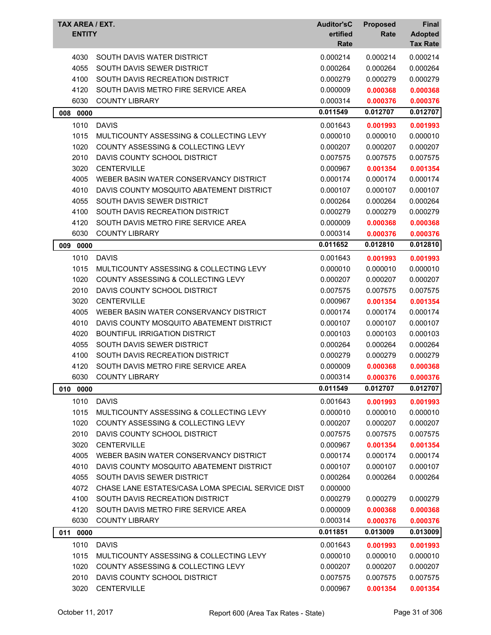| TAX AREA / EXT. |                                                   | <b>Auditor'sC</b> | <b>Proposed</b> | <b>Final</b>    |
|-----------------|---------------------------------------------------|-------------------|-----------------|-----------------|
| <b>ENTITY</b>   |                                                   | ertified          | Rate            | <b>Adopted</b>  |
|                 |                                                   | Rate              |                 | <b>Tax Rate</b> |
| 4030            | SOUTH DAVIS WATER DISTRICT                        | 0.000214          | 0.000214        | 0.000214        |
| 4055            | SOUTH DAVIS SEWER DISTRICT                        | 0.000264          | 0.000264        | 0.000264        |
| 4100            | SOUTH DAVIS RECREATION DISTRICT                   | 0.000279          | 0.000279        | 0.000279        |
| 4120            | SOUTH DAVIS METRO FIRE SERVICE AREA               | 0.000009          | 0.000368        | 0.000368        |
| 6030            | <b>COUNTY LIBRARY</b>                             | 0.000314          | 0.000376        | 0.000376        |
| 008<br>0000     |                                                   | 0.011549          | 0.012707        | 0.012707        |
| 1010            | <b>DAVIS</b>                                      | 0.001643          | 0.001993        | 0.001993        |
| 1015            | MULTICOUNTY ASSESSING & COLLECTING LEVY           | 0.000010          | 0.000010        | 0.000010        |
| 1020            | COUNTY ASSESSING & COLLECTING LEVY                | 0.000207          | 0.000207        | 0.000207        |
| 2010            | DAVIS COUNTY SCHOOL DISTRICT                      | 0.007575          | 0.007575        | 0.007575        |
| 3020            | <b>CENTERVILLE</b>                                | 0.000967          | 0.001354        | 0.001354        |
| 4005            | WEBER BASIN WATER CONSERVANCY DISTRICT            | 0.000174          | 0.000174        | 0.000174        |
| 4010            | DAVIS COUNTY MOSQUITO ABATEMENT DISTRICT          | 0.000107          | 0.000107        | 0.000107        |
| 4055            | SOUTH DAVIS SEWER DISTRICT                        | 0.000264          | 0.000264        | 0.000264        |
| 4100            | SOUTH DAVIS RECREATION DISTRICT                   | 0.000279          | 0.000279        | 0.000279        |
| 4120            | SOUTH DAVIS METRO FIRE SERVICE AREA               | 0.000009          | 0.000368        | 0.000368        |
| 6030            | <b>COUNTY LIBRARY</b>                             | 0.000314          | 0.000376        | 0.000376        |
| 0000<br>009     |                                                   | 0.011652          | 0.012810        | 0.012810        |
| 1010            | <b>DAVIS</b>                                      | 0.001643          | 0.001993        | 0.001993        |
| 1015            | MULTICOUNTY ASSESSING & COLLECTING LEVY           | 0.000010          | 0.000010        | 0.000010        |
| 1020            | COUNTY ASSESSING & COLLECTING LEVY                | 0.000207          | 0.000207        | 0.000207        |
| 2010            | DAVIS COUNTY SCHOOL DISTRICT                      | 0.007575          | 0.007575        | 0.007575        |
| 3020            | <b>CENTERVILLE</b>                                | 0.000967          | 0.001354        | 0.001354        |
| 4005            | WEBER BASIN WATER CONSERVANCY DISTRICT            | 0.000174          | 0.000174        | 0.000174        |
| 4010            | DAVIS COUNTY MOSQUITO ABATEMENT DISTRICT          | 0.000107          | 0.000107        | 0.000107        |
| 4020            | <b>BOUNTIFUL IRRIGATION DISTRICT</b>              | 0.000103          | 0.000103        | 0.000103        |
| 4055            | SOUTH DAVIS SEWER DISTRICT                        | 0.000264          | 0.000264        | 0.000264        |
| 4100            | SOUTH DAVIS RECREATION DISTRICT                   | 0.000279          | 0.000279        | 0.000279        |
| 4120            | SOUTH DAVIS METRO FIRE SERVICE AREA               | 0.000009          | 0.000368        | 0.000368        |
| 6030            | <b>COUNTY LIBRARY</b>                             | 0.000314          | 0.000376        | 0.000376        |
| 010<br>0000     |                                                   | 0.011549          | 0.012707        | 0.012707        |
| 1010            | <b>DAVIS</b>                                      | 0.001643          | 0.001993        | 0.001993        |
| 1015            | MULTICOUNTY ASSESSING & COLLECTING LEVY           | 0.000010          | 0.000010        | 0.000010        |
| 1020            | COUNTY ASSESSING & COLLECTING LEVY                | 0.000207          | 0.000207        | 0.000207        |
| 2010            | DAVIS COUNTY SCHOOL DISTRICT                      | 0.007575          | 0.007575        | 0.007575        |
| 3020            | <b>CENTERVILLE</b>                                | 0.000967          | 0.001354        | 0.001354        |
| 4005            | WEBER BASIN WATER CONSERVANCY DISTRICT            | 0.000174          | 0.000174        | 0.000174        |
| 4010            | DAVIS COUNTY MOSQUITO ABATEMENT DISTRICT          | 0.000107          | 0.000107        | 0.000107        |
| 4055            | SOUTH DAVIS SEWER DISTRICT                        | 0.000264          | 0.000264        | 0.000264        |
| 4072            | CHASE LANE ESTATES/CASA LOMA SPECIAL SERVICE DIST | 0.000000          |                 |                 |
| 4100            | SOUTH DAVIS RECREATION DISTRICT                   | 0.000279          | 0.000279        | 0.000279        |
| 4120            | SOUTH DAVIS METRO FIRE SERVICE AREA               | 0.000009          | 0.000368        | 0.000368        |
| 6030            | <b>COUNTY LIBRARY</b>                             | 0.000314          | 0.000376        | 0.000376        |
| 011 0000        |                                                   | 0.011851          | 0.013009        | 0.013009        |
| 1010            | <b>DAVIS</b>                                      | 0.001643          | 0.001993        | 0.001993        |
| 1015            | MULTICOUNTY ASSESSING & COLLECTING LEVY           | 0.000010          | 0.000010        | 0.000010        |
| 1020            | COUNTY ASSESSING & COLLECTING LEVY                | 0.000207          | 0.000207        | 0.000207        |
| 2010            | DAVIS COUNTY SCHOOL DISTRICT                      | 0.007575          | 0.007575        | 0.007575        |
| 3020            | <b>CENTERVILLE</b>                                | 0.000967          | 0.001354        | 0.001354        |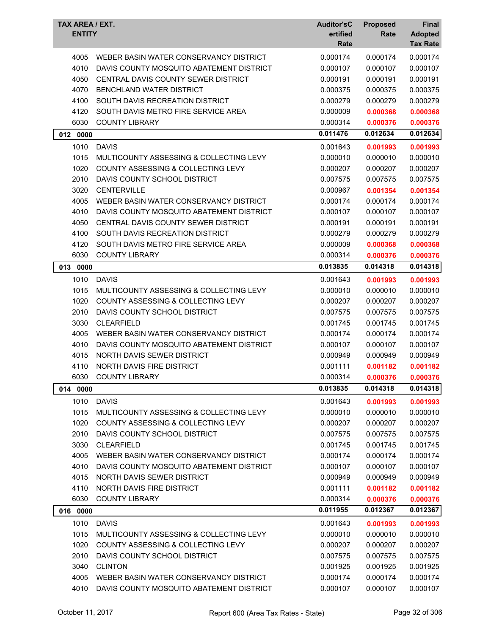| TAX AREA / EXT.<br><b>ENTITY</b> |                                               | <b>Auditor'sC</b><br>ertified<br>Rate | <b>Proposed</b><br>Rate | Final<br><b>Adopted</b><br><b>Tax Rate</b> |
|----------------------------------|-----------------------------------------------|---------------------------------------|-------------------------|--------------------------------------------|
| 4005                             | WEBER BASIN WATER CONSERVANCY DISTRICT        | 0.000174                              | 0.000174                | 0.000174                                   |
| 4010                             | DAVIS COUNTY MOSQUITO ABATEMENT DISTRICT      | 0.000107                              | 0.000107                | 0.000107                                   |
| 4050                             | CENTRAL DAVIS COUNTY SEWER DISTRICT           | 0.000191                              | 0.000191                | 0.000191                                   |
| 4070                             | BENCHLAND WATER DISTRICT                      | 0.000375                              | 0.000375                | 0.000375                                   |
| 4100                             | SOUTH DAVIS RECREATION DISTRICT               | 0.000279                              | 0.000279                | 0.000279                                   |
| 4120                             | SOUTH DAVIS METRO FIRE SERVICE AREA           | 0.000009                              | 0.000368                | 0.000368                                   |
| 6030                             | <b>COUNTY LIBRARY</b>                         | 0.000314                              | 0.000376                | 0.000376                                   |
| 012 0000                         |                                               | 0.011476                              | 0.012634                | 0.012634                                   |
| 1010                             | <b>DAVIS</b>                                  | 0.001643                              | 0.001993                | 0.001993                                   |
| 1015                             | MULTICOUNTY ASSESSING & COLLECTING LEVY       | 0.000010                              | 0.000010                | 0.000010                                   |
| 1020                             | COUNTY ASSESSING & COLLECTING LEVY            | 0.000207                              | 0.000207                | 0.000207                                   |
| 2010                             | DAVIS COUNTY SCHOOL DISTRICT                  | 0.007575                              | 0.007575                | 0.007575                                   |
| 3020                             | <b>CENTERVILLE</b>                            | 0.000967                              | 0.001354                | 0.001354                                   |
| 4005                             | WEBER BASIN WATER CONSERVANCY DISTRICT        | 0.000174                              | 0.000174                | 0.000174                                   |
| 4010                             | DAVIS COUNTY MOSQUITO ABATEMENT DISTRICT      | 0.000107                              | 0.000107                | 0.000107                                   |
| 4050                             | CENTRAL DAVIS COUNTY SEWER DISTRICT           | 0.000191                              | 0.000191                | 0.000191                                   |
| 4100                             | SOUTH DAVIS RECREATION DISTRICT               | 0.000279                              | 0.000279                | 0.000279                                   |
| 4120                             | SOUTH DAVIS METRO FIRE SERVICE AREA           | 0.000009                              | 0.000368                | 0.000368                                   |
| 6030                             | <b>COUNTY LIBRARY</b>                         | 0.000314                              | 0.000376                | 0.000376                                   |
| 013<br>0000                      |                                               | 0.013835                              | 0.014318                | 0.014318                                   |
| 1010                             | <b>DAVIS</b>                                  | 0.001643                              | 0.001993                | 0.001993                                   |
| 1015                             | MULTICOUNTY ASSESSING & COLLECTING LEVY       | 0.000010                              | 0.000010                | 0.000010                                   |
| 1020                             | <b>COUNTY ASSESSING &amp; COLLECTING LEVY</b> | 0.000207                              | 0.000207                | 0.000207                                   |
| 2010                             | DAVIS COUNTY SCHOOL DISTRICT                  | 0.007575                              | 0.007575                | 0.007575                                   |
| 3030                             | <b>CLEARFIELD</b>                             | 0.001745                              | 0.001745                | 0.001745                                   |
| 4005                             | WEBER BASIN WATER CONSERVANCY DISTRICT        | 0.000174                              | 0.000174                | 0.000174                                   |
| 4010                             | DAVIS COUNTY MOSQUITO ABATEMENT DISTRICT      | 0.000107                              | 0.000107                | 0.000107                                   |
| 4015                             | NORTH DAVIS SEWER DISTRICT                    | 0.000949                              | 0.000949                | 0.000949                                   |
| 4110                             | NORTH DAVIS FIRE DISTRICT                     | 0.001111                              | 0.001182                | 0.001182                                   |
| 6030                             | <b>COUNTY LIBRARY</b>                         | 0.000314                              | 0.000376                | 0.000376                                   |
| 014 0000                         |                                               | 0.013835                              | 0.014318                | 0.014318                                   |
|                                  |                                               |                                       |                         |                                            |
| 1010                             | <b>DAVIS</b>                                  | 0.001643                              | 0.001993                | 0.001993                                   |
| 1015                             | MULTICOUNTY ASSESSING & COLLECTING LEVY       | 0.000010                              | 0.000010                | 0.000010                                   |
| 1020                             | COUNTY ASSESSING & COLLECTING LEVY            | 0.000207                              | 0.000207                | 0.000207                                   |
| 2010                             | DAVIS COUNTY SCHOOL DISTRICT                  | 0.007575                              | 0.007575                | 0.007575                                   |
| 3030                             | <b>CLEARFIELD</b>                             | 0.001745                              | 0.001745                | 0.001745                                   |
| 4005                             | WEBER BASIN WATER CONSERVANCY DISTRICT        | 0.000174                              | 0.000174                | 0.000174                                   |
| 4010                             | DAVIS COUNTY MOSQUITO ABATEMENT DISTRICT      | 0.000107                              | 0.000107                | 0.000107                                   |
| 4015                             | NORTH DAVIS SEWER DISTRICT                    | 0.000949                              | 0.000949                | 0.000949                                   |
| 4110                             | NORTH DAVIS FIRE DISTRICT                     | 0.001111                              | 0.001182                | 0.001182                                   |
| 6030                             | <b>COUNTY LIBRARY</b>                         | 0.000314                              | 0.000376                | 0.000376                                   |
| 016 0000                         |                                               | 0.011955                              | 0.012367                | 0.012367                                   |
| 1010                             | <b>DAVIS</b>                                  | 0.001643                              | 0.001993                | 0.001993                                   |
| 1015                             | MULTICOUNTY ASSESSING & COLLECTING LEVY       | 0.000010                              | 0.000010                | 0.000010                                   |
| 1020                             | COUNTY ASSESSING & COLLECTING LEVY            | 0.000207                              | 0.000207                | 0.000207                                   |
| 2010                             | DAVIS COUNTY SCHOOL DISTRICT                  | 0.007575                              | 0.007575                | 0.007575                                   |
| 3040                             | <b>CLINTON</b>                                | 0.001925                              | 0.001925                | 0.001925                                   |
| 4005                             | WEBER BASIN WATER CONSERVANCY DISTRICT        | 0.000174                              | 0.000174                | 0.000174                                   |
| 4010                             | DAVIS COUNTY MOSQUITO ABATEMENT DISTRICT      | 0.000107                              | 0.000107                | 0.000107                                   |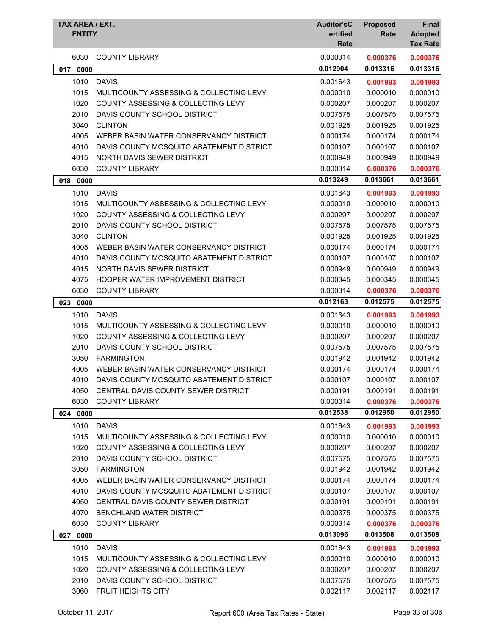| TAX AREA / EXT.<br><b>ENTITY</b> |                                          | <b>Auditor'sC</b><br>ertified<br>Rate | <b>Proposed</b><br>Rate | Final<br><b>Adopted</b><br><b>Tax Rate</b> |
|----------------------------------|------------------------------------------|---------------------------------------|-------------------------|--------------------------------------------|
| 6030                             | <b>COUNTY LIBRARY</b>                    | 0.000314                              | 0.000376                | 0.000376                                   |
| 017<br>0000                      |                                          | 0.012904                              | 0.013316                | 0.013316                                   |
| 1010                             | <b>DAVIS</b>                             | 0.001643                              | 0.001993                | 0.001993                                   |
| 1015                             | MULTICOUNTY ASSESSING & COLLECTING LEVY  | 0.000010                              | 0.000010                | 0.000010                                   |
| 1020                             | COUNTY ASSESSING & COLLECTING LEVY       | 0.000207                              | 0.000207                | 0.000207                                   |
| 2010                             | DAVIS COUNTY SCHOOL DISTRICT             | 0.007575                              | 0.007575                | 0.007575                                   |
| 3040                             | <b>CLINTON</b>                           | 0.001925                              | 0.001925                | 0.001925                                   |
| 4005                             | WEBER BASIN WATER CONSERVANCY DISTRICT   | 0.000174                              | 0.000174                | 0.000174                                   |
| 4010                             | DAVIS COUNTY MOSQUITO ABATEMENT DISTRICT | 0.000107                              | 0.000107                | 0.000107                                   |
| 4015                             | NORTH DAVIS SEWER DISTRICT               | 0.000949                              | 0.000949                | 0.000949                                   |
| 6030                             | <b>COUNTY LIBRARY</b>                    | 0.000314                              | 0.000376                | 0.000376                                   |
| 018 0000                         |                                          | 0.013249                              | 0.013661                | 0.013661                                   |
| 1010                             | <b>DAVIS</b>                             | 0.001643                              | 0.001993                | 0.001993                                   |
| 1015                             | MULTICOUNTY ASSESSING & COLLECTING LEVY  | 0.000010                              | 0.000010                | 0.000010                                   |
| 1020                             | COUNTY ASSESSING & COLLECTING LEVY       | 0.000207                              | 0.000207                | 0.000207                                   |
| 2010                             | DAVIS COUNTY SCHOOL DISTRICT             | 0.007575                              | 0.007575                | 0.007575                                   |
| 3040                             | <b>CLINTON</b>                           | 0.001925                              | 0.001925                | 0.001925                                   |
| 4005                             | WEBER BASIN WATER CONSERVANCY DISTRICT   | 0.000174                              | 0.000174                | 0.000174                                   |
| 4010                             | DAVIS COUNTY MOSQUITO ABATEMENT DISTRICT | 0.000107                              | 0.000107                | 0.000107                                   |
| 4015                             | NORTH DAVIS SEWER DISTRICT               | 0.000949                              | 0.000949                | 0.000949                                   |
| 4075                             | HOOPER WATER IMPROVEMENT DISTRICT        | 0.000345                              | 0.000345                | 0.000345                                   |
| 6030                             | <b>COUNTY LIBRARY</b>                    | 0.000314                              | 0.000376                | 0.000376                                   |
| 023 0000                         |                                          | 0.012163                              | 0.012575                | 0.012575                                   |
| 1010                             | <b>DAVIS</b>                             | 0.001643                              | 0.001993                | 0.001993                                   |
| 1015                             | MULTICOUNTY ASSESSING & COLLECTING LEVY  | 0.000010                              | 0.000010                | 0.000010                                   |
| 1020                             | COUNTY ASSESSING & COLLECTING LEVY       | 0.000207                              | 0.000207                | 0.000207                                   |
| 2010                             | DAVIS COUNTY SCHOOL DISTRICT             | 0.007575                              | 0.007575                | 0.007575                                   |
| 3050                             | <b>FARMINGTON</b>                        | 0.001942                              | 0.001942                | 0.001942                                   |
| 4005                             | WEBER BASIN WATER CONSERVANCY DISTRICT   | 0.000174                              | 0.000174                | 0.000174                                   |
| 4010                             | DAVIS COUNTY MOSQUITO ABATEMENT DISTRICT | 0.000107                              | 0.000107                | 0.000107                                   |
| 4050                             | CENTRAL DAVIS COUNTY SEWER DISTRICT      | 0.000191                              | 0.000191                | 0.000191                                   |
| 6030                             | <b>COUNTY LIBRARY</b>                    | 0.000314                              | 0.000376                | 0.000376                                   |
| 024 0000                         |                                          | 0.012538                              | 0.012950                | 0.012950                                   |
| 1010                             | <b>DAVIS</b>                             | 0.001643                              | 0.001993                | 0.001993                                   |
| 1015                             | MULTICOUNTY ASSESSING & COLLECTING LEVY  | 0.000010                              | 0.000010                | 0.000010                                   |
| 1020                             | COUNTY ASSESSING & COLLECTING LEVY       | 0.000207                              | 0.000207                | 0.000207                                   |
| 2010                             | DAVIS COUNTY SCHOOL DISTRICT             | 0.007575                              | 0.007575                | 0.007575                                   |
| 3050                             | <b>FARMINGTON</b>                        | 0.001942                              | 0.001942                | 0.001942                                   |
| 4005                             | WEBER BASIN WATER CONSERVANCY DISTRICT   | 0.000174                              | 0.000174                | 0.000174                                   |
| 4010                             | DAVIS COUNTY MOSQUITO ABATEMENT DISTRICT | 0.000107                              | 0.000107                | 0.000107                                   |
| 4050                             | CENTRAL DAVIS COUNTY SEWER DISTRICT      | 0.000191                              | 0.000191                | 0.000191                                   |
| 4070                             | BENCHLAND WATER DISTRICT                 | 0.000375                              | 0.000375                | 0.000375                                   |
| 6030                             | <b>COUNTY LIBRARY</b>                    | 0.000314                              | 0.000376                | 0.000376                                   |
| 0000<br>027                      |                                          | 0.013096                              | 0.013508                | 0.013508                                   |
| 1010                             | <b>DAVIS</b>                             | 0.001643                              | 0.001993                | 0.001993                                   |
| 1015                             | MULTICOUNTY ASSESSING & COLLECTING LEVY  | 0.000010                              | 0.000010                | 0.000010                                   |
| 1020                             | COUNTY ASSESSING & COLLECTING LEVY       | 0.000207                              | 0.000207                | 0.000207                                   |
| 2010                             | DAVIS COUNTY SCHOOL DISTRICT             | 0.007575                              | 0.007575                | 0.007575                                   |
| 3060                             | FRUIT HEIGHTS CITY                       | 0.002117                              | 0.002117                | 0.002117                                   |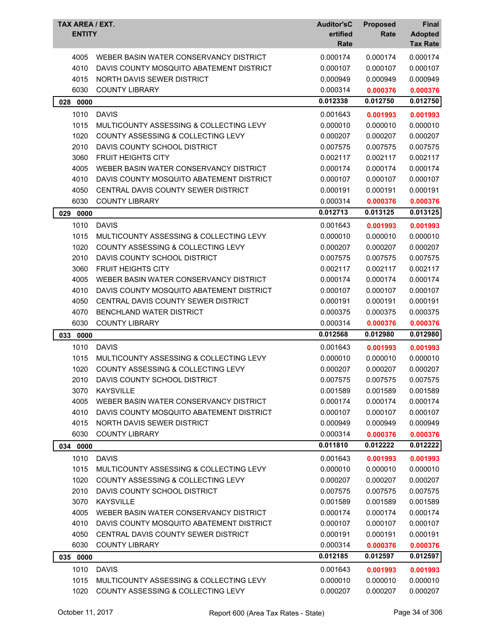| 0.000174<br>0.000174<br>4005<br>WEBER BASIN WATER CONSERVANCY DISTRICT<br>0.000174<br>4010<br>DAVIS COUNTY MOSQUITO ABATEMENT DISTRICT<br>0.000107<br>0.000107<br>0.000107<br>4015<br>NORTH DAVIS SEWER DISTRICT<br>0.000949<br>0.000949<br>0.000949<br>6030<br><b>COUNTY LIBRARY</b><br>0.000314<br>0.000376<br>0.000376<br>0.012338<br>0.012750<br>0.012750<br>028 0000<br>1010<br><b>DAVIS</b><br>0.001643<br>0.001993<br>0.001993<br>1015<br>MULTICOUNTY ASSESSING & COLLECTING LEVY<br>0.000010<br>0.000010<br>0.000010<br>1020<br>COUNTY ASSESSING & COLLECTING LEVY<br>0.000207<br>0.000207<br>0.000207<br>2010<br>DAVIS COUNTY SCHOOL DISTRICT<br>0.007575<br>0.007575<br>0.007575<br>3060<br><b>FRUIT HEIGHTS CITY</b><br>0.002117<br>0.002117<br>0.002117<br>4005<br>WEBER BASIN WATER CONSERVANCY DISTRICT<br>0.000174<br>0.000174<br>0.000174<br>4010<br>DAVIS COUNTY MOSQUITO ABATEMENT DISTRICT<br>0.000107<br>0.000107<br>0.000107<br>4050<br>CENTRAL DAVIS COUNTY SEWER DISTRICT<br>0.000191<br>0.000191<br>0.000191<br>6030<br><b>COUNTY LIBRARY</b><br>0.000314<br>0.000376<br>0.000376<br>0.012713<br>0.013125<br>0.013125<br>029<br>0000<br>1010<br><b>DAVIS</b><br>0.001643<br>0.001993<br>0.001993<br>1015<br>0.000010<br>MULTICOUNTY ASSESSING & COLLECTING LEVY<br>0.000010<br>0.000010<br>1020<br><b>COUNTY ASSESSING &amp; COLLECTING LEVY</b><br>0.000207<br>0.000207<br>0.000207<br>2010<br>DAVIS COUNTY SCHOOL DISTRICT<br>0.007575<br>0.007575<br>0.007575<br>3060<br><b>FRUIT HEIGHTS CITY</b><br>0.002117<br>0.002117<br>0.002117<br>4005<br>WEBER BASIN WATER CONSERVANCY DISTRICT<br>0.000174<br>0.000174<br>0.000174<br>0.000107<br>4010<br>DAVIS COUNTY MOSQUITO ABATEMENT DISTRICT<br>0.000107<br>0.000107<br>4050<br>CENTRAL DAVIS COUNTY SEWER DISTRICT<br>0.000191<br>0.000191<br>0.000191<br>4070<br><b>BENCHLAND WATER DISTRICT</b><br>0.000375<br>0.000375<br>0.000375<br>6030<br><b>COUNTY LIBRARY</b><br>0.000314<br>0.000376<br>0.000376<br>0.012980<br>0.012568<br>0.012980<br>033 0000<br>1010<br><b>DAVIS</b><br>0.001643<br>0.001993<br>0.001993<br>0.000010<br>1015<br>MULTICOUNTY ASSESSING & COLLECTING LEVY<br>0.000010<br>0.000010<br>1020<br>COUNTY ASSESSING & COLLECTING LEVY<br>0.000207<br>0.000207<br>0.000207<br>DAVIS COUNTY SCHOOL DISTRICT<br>2010<br>0.007575<br>0.007575<br>0.007575<br>3070<br><b>KAYSVILLE</b><br>0.001589<br>0.001589<br>0.001589<br>4005<br>WEBER BASIN WATER CONSERVANCY DISTRICT<br>0.000174<br>0.000174<br>0.000174<br>4010<br>DAVIS COUNTY MOSQUITO ABATEMENT DISTRICT<br>0.000107<br>0.000107<br>0.000107<br>4015<br>NORTH DAVIS SEWER DISTRICT<br>0.000949<br>0.000949<br>0.000949<br>6030<br><b>COUNTY LIBRARY</b><br>0.000314<br>0.000376<br>0.000376<br>0.011810<br>0.012222<br>0.012222<br>034 0000<br>1010<br><b>DAVIS</b><br>0.001643<br>0.001993<br>0.001993<br>1015<br>0.000010<br>0.000010<br>MULTICOUNTY ASSESSING & COLLECTING LEVY<br>0.000010<br>1020<br>COUNTY ASSESSING & COLLECTING LEVY<br>0.000207<br>0.000207<br>0.000207<br>2010<br>DAVIS COUNTY SCHOOL DISTRICT<br>0.007575<br>0.007575<br>0.007575<br>3070<br><b>KAYSVILLE</b><br>0.001589<br>0.001589<br>0.001589<br>4005<br>WEBER BASIN WATER CONSERVANCY DISTRICT<br>0.000174<br>0.000174<br>0.000174<br>4010<br>DAVIS COUNTY MOSQUITO ABATEMENT DISTRICT<br>0.000107<br>0.000107<br>0.000107<br>4050<br>0.000191<br>CENTRAL DAVIS COUNTY SEWER DISTRICT<br>0.000191<br>0.000191<br>6030<br><b>COUNTY LIBRARY</b><br>0.000314<br>0.000376<br>0.000376<br>0.012185<br>0.012597<br>0.012597<br>035 0000<br>1010<br><b>DAVIS</b><br>0.001643<br>0.001993<br>0.001993<br>MULTICOUNTY ASSESSING & COLLECTING LEVY<br>1015<br>0.000010<br>0.000010<br>0.000010<br>1020<br>COUNTY ASSESSING & COLLECTING LEVY<br>0.000207<br>0.000207<br>0.000207 | TAX AREA / EXT.<br><b>ENTITY</b> | <b>Auditor'sC</b><br>ertified<br>Rate | <b>Proposed</b><br>Rate | Final<br><b>Adopted</b><br><b>Tax Rate</b> |
|------------------------------------------------------------------------------------------------------------------------------------------------------------------------------------------------------------------------------------------------------------------------------------------------------------------------------------------------------------------------------------------------------------------------------------------------------------------------------------------------------------------------------------------------------------------------------------------------------------------------------------------------------------------------------------------------------------------------------------------------------------------------------------------------------------------------------------------------------------------------------------------------------------------------------------------------------------------------------------------------------------------------------------------------------------------------------------------------------------------------------------------------------------------------------------------------------------------------------------------------------------------------------------------------------------------------------------------------------------------------------------------------------------------------------------------------------------------------------------------------------------------------------------------------------------------------------------------------------------------------------------------------------------------------------------------------------------------------------------------------------------------------------------------------------------------------------------------------------------------------------------------------------------------------------------------------------------------------------------------------------------------------------------------------------------------------------------------------------------------------------------------------------------------------------------------------------------------------------------------------------------------------------------------------------------------------------------------------------------------------------------------------------------------------------------------------------------------------------------------------------------------------------------------------------------------------------------------------------------------------------------------------------------------------------------------------------------------------------------------------------------------------------------------------------------------------------------------------------------------------------------------------------------------------------------------------------------------------------------------------------------------------------------------------------------------------------------------------------------------------------------------------------------------------------------------------------------------------------------------------------------------------------------------------------------------------------------------------------------------------------------------------------------------------------------------------------------------------------------------------------------------------------------------------------------------------------------------------------------------------------------------------------------------------------------------------------------------------------------------------------------------------------------------------------------------|----------------------------------|---------------------------------------|-------------------------|--------------------------------------------|
|                                                                                                                                                                                                                                                                                                                                                                                                                                                                                                                                                                                                                                                                                                                                                                                                                                                                                                                                                                                                                                                                                                                                                                                                                                                                                                                                                                                                                                                                                                                                                                                                                                                                                                                                                                                                                                                                                                                                                                                                                                                                                                                                                                                                                                                                                                                                                                                                                                                                                                                                                                                                                                                                                                                                                                                                                                                                                                                                                                                                                                                                                                                                                                                                                                                                                                                                                                                                                                                                                                                                                                                                                                                                                                                                                                                                                  |                                  |                                       |                         |                                            |
|                                                                                                                                                                                                                                                                                                                                                                                                                                                                                                                                                                                                                                                                                                                                                                                                                                                                                                                                                                                                                                                                                                                                                                                                                                                                                                                                                                                                                                                                                                                                                                                                                                                                                                                                                                                                                                                                                                                                                                                                                                                                                                                                                                                                                                                                                                                                                                                                                                                                                                                                                                                                                                                                                                                                                                                                                                                                                                                                                                                                                                                                                                                                                                                                                                                                                                                                                                                                                                                                                                                                                                                                                                                                                                                                                                                                                  |                                  |                                       |                         |                                            |
|                                                                                                                                                                                                                                                                                                                                                                                                                                                                                                                                                                                                                                                                                                                                                                                                                                                                                                                                                                                                                                                                                                                                                                                                                                                                                                                                                                                                                                                                                                                                                                                                                                                                                                                                                                                                                                                                                                                                                                                                                                                                                                                                                                                                                                                                                                                                                                                                                                                                                                                                                                                                                                                                                                                                                                                                                                                                                                                                                                                                                                                                                                                                                                                                                                                                                                                                                                                                                                                                                                                                                                                                                                                                                                                                                                                                                  |                                  |                                       |                         |                                            |
|                                                                                                                                                                                                                                                                                                                                                                                                                                                                                                                                                                                                                                                                                                                                                                                                                                                                                                                                                                                                                                                                                                                                                                                                                                                                                                                                                                                                                                                                                                                                                                                                                                                                                                                                                                                                                                                                                                                                                                                                                                                                                                                                                                                                                                                                                                                                                                                                                                                                                                                                                                                                                                                                                                                                                                                                                                                                                                                                                                                                                                                                                                                                                                                                                                                                                                                                                                                                                                                                                                                                                                                                                                                                                                                                                                                                                  |                                  |                                       |                         |                                            |
|                                                                                                                                                                                                                                                                                                                                                                                                                                                                                                                                                                                                                                                                                                                                                                                                                                                                                                                                                                                                                                                                                                                                                                                                                                                                                                                                                                                                                                                                                                                                                                                                                                                                                                                                                                                                                                                                                                                                                                                                                                                                                                                                                                                                                                                                                                                                                                                                                                                                                                                                                                                                                                                                                                                                                                                                                                                                                                                                                                                                                                                                                                                                                                                                                                                                                                                                                                                                                                                                                                                                                                                                                                                                                                                                                                                                                  |                                  |                                       |                         |                                            |
|                                                                                                                                                                                                                                                                                                                                                                                                                                                                                                                                                                                                                                                                                                                                                                                                                                                                                                                                                                                                                                                                                                                                                                                                                                                                                                                                                                                                                                                                                                                                                                                                                                                                                                                                                                                                                                                                                                                                                                                                                                                                                                                                                                                                                                                                                                                                                                                                                                                                                                                                                                                                                                                                                                                                                                                                                                                                                                                                                                                                                                                                                                                                                                                                                                                                                                                                                                                                                                                                                                                                                                                                                                                                                                                                                                                                                  |                                  |                                       |                         |                                            |
|                                                                                                                                                                                                                                                                                                                                                                                                                                                                                                                                                                                                                                                                                                                                                                                                                                                                                                                                                                                                                                                                                                                                                                                                                                                                                                                                                                                                                                                                                                                                                                                                                                                                                                                                                                                                                                                                                                                                                                                                                                                                                                                                                                                                                                                                                                                                                                                                                                                                                                                                                                                                                                                                                                                                                                                                                                                                                                                                                                                                                                                                                                                                                                                                                                                                                                                                                                                                                                                                                                                                                                                                                                                                                                                                                                                                                  |                                  |                                       |                         |                                            |
|                                                                                                                                                                                                                                                                                                                                                                                                                                                                                                                                                                                                                                                                                                                                                                                                                                                                                                                                                                                                                                                                                                                                                                                                                                                                                                                                                                                                                                                                                                                                                                                                                                                                                                                                                                                                                                                                                                                                                                                                                                                                                                                                                                                                                                                                                                                                                                                                                                                                                                                                                                                                                                                                                                                                                                                                                                                                                                                                                                                                                                                                                                                                                                                                                                                                                                                                                                                                                                                                                                                                                                                                                                                                                                                                                                                                                  |                                  |                                       |                         |                                            |
|                                                                                                                                                                                                                                                                                                                                                                                                                                                                                                                                                                                                                                                                                                                                                                                                                                                                                                                                                                                                                                                                                                                                                                                                                                                                                                                                                                                                                                                                                                                                                                                                                                                                                                                                                                                                                                                                                                                                                                                                                                                                                                                                                                                                                                                                                                                                                                                                                                                                                                                                                                                                                                                                                                                                                                                                                                                                                                                                                                                                                                                                                                                                                                                                                                                                                                                                                                                                                                                                                                                                                                                                                                                                                                                                                                                                                  |                                  |                                       |                         |                                            |
|                                                                                                                                                                                                                                                                                                                                                                                                                                                                                                                                                                                                                                                                                                                                                                                                                                                                                                                                                                                                                                                                                                                                                                                                                                                                                                                                                                                                                                                                                                                                                                                                                                                                                                                                                                                                                                                                                                                                                                                                                                                                                                                                                                                                                                                                                                                                                                                                                                                                                                                                                                                                                                                                                                                                                                                                                                                                                                                                                                                                                                                                                                                                                                                                                                                                                                                                                                                                                                                                                                                                                                                                                                                                                                                                                                                                                  |                                  |                                       |                         |                                            |
|                                                                                                                                                                                                                                                                                                                                                                                                                                                                                                                                                                                                                                                                                                                                                                                                                                                                                                                                                                                                                                                                                                                                                                                                                                                                                                                                                                                                                                                                                                                                                                                                                                                                                                                                                                                                                                                                                                                                                                                                                                                                                                                                                                                                                                                                                                                                                                                                                                                                                                                                                                                                                                                                                                                                                                                                                                                                                                                                                                                                                                                                                                                                                                                                                                                                                                                                                                                                                                                                                                                                                                                                                                                                                                                                                                                                                  |                                  |                                       |                         |                                            |
|                                                                                                                                                                                                                                                                                                                                                                                                                                                                                                                                                                                                                                                                                                                                                                                                                                                                                                                                                                                                                                                                                                                                                                                                                                                                                                                                                                                                                                                                                                                                                                                                                                                                                                                                                                                                                                                                                                                                                                                                                                                                                                                                                                                                                                                                                                                                                                                                                                                                                                                                                                                                                                                                                                                                                                                                                                                                                                                                                                                                                                                                                                                                                                                                                                                                                                                                                                                                                                                                                                                                                                                                                                                                                                                                                                                                                  |                                  |                                       |                         |                                            |
|                                                                                                                                                                                                                                                                                                                                                                                                                                                                                                                                                                                                                                                                                                                                                                                                                                                                                                                                                                                                                                                                                                                                                                                                                                                                                                                                                                                                                                                                                                                                                                                                                                                                                                                                                                                                                                                                                                                                                                                                                                                                                                                                                                                                                                                                                                                                                                                                                                                                                                                                                                                                                                                                                                                                                                                                                                                                                                                                                                                                                                                                                                                                                                                                                                                                                                                                                                                                                                                                                                                                                                                                                                                                                                                                                                                                                  |                                  |                                       |                         |                                            |
|                                                                                                                                                                                                                                                                                                                                                                                                                                                                                                                                                                                                                                                                                                                                                                                                                                                                                                                                                                                                                                                                                                                                                                                                                                                                                                                                                                                                                                                                                                                                                                                                                                                                                                                                                                                                                                                                                                                                                                                                                                                                                                                                                                                                                                                                                                                                                                                                                                                                                                                                                                                                                                                                                                                                                                                                                                                                                                                                                                                                                                                                                                                                                                                                                                                                                                                                                                                                                                                                                                                                                                                                                                                                                                                                                                                                                  |                                  |                                       |                         |                                            |
|                                                                                                                                                                                                                                                                                                                                                                                                                                                                                                                                                                                                                                                                                                                                                                                                                                                                                                                                                                                                                                                                                                                                                                                                                                                                                                                                                                                                                                                                                                                                                                                                                                                                                                                                                                                                                                                                                                                                                                                                                                                                                                                                                                                                                                                                                                                                                                                                                                                                                                                                                                                                                                                                                                                                                                                                                                                                                                                                                                                                                                                                                                                                                                                                                                                                                                                                                                                                                                                                                                                                                                                                                                                                                                                                                                                                                  |                                  |                                       |                         |                                            |
|                                                                                                                                                                                                                                                                                                                                                                                                                                                                                                                                                                                                                                                                                                                                                                                                                                                                                                                                                                                                                                                                                                                                                                                                                                                                                                                                                                                                                                                                                                                                                                                                                                                                                                                                                                                                                                                                                                                                                                                                                                                                                                                                                                                                                                                                                                                                                                                                                                                                                                                                                                                                                                                                                                                                                                                                                                                                                                                                                                                                                                                                                                                                                                                                                                                                                                                                                                                                                                                                                                                                                                                                                                                                                                                                                                                                                  |                                  |                                       |                         |                                            |
|                                                                                                                                                                                                                                                                                                                                                                                                                                                                                                                                                                                                                                                                                                                                                                                                                                                                                                                                                                                                                                                                                                                                                                                                                                                                                                                                                                                                                                                                                                                                                                                                                                                                                                                                                                                                                                                                                                                                                                                                                                                                                                                                                                                                                                                                                                                                                                                                                                                                                                                                                                                                                                                                                                                                                                                                                                                                                                                                                                                                                                                                                                                                                                                                                                                                                                                                                                                                                                                                                                                                                                                                                                                                                                                                                                                                                  |                                  |                                       |                         |                                            |
|                                                                                                                                                                                                                                                                                                                                                                                                                                                                                                                                                                                                                                                                                                                                                                                                                                                                                                                                                                                                                                                                                                                                                                                                                                                                                                                                                                                                                                                                                                                                                                                                                                                                                                                                                                                                                                                                                                                                                                                                                                                                                                                                                                                                                                                                                                                                                                                                                                                                                                                                                                                                                                                                                                                                                                                                                                                                                                                                                                                                                                                                                                                                                                                                                                                                                                                                                                                                                                                                                                                                                                                                                                                                                                                                                                                                                  |                                  |                                       |                         |                                            |
|                                                                                                                                                                                                                                                                                                                                                                                                                                                                                                                                                                                                                                                                                                                                                                                                                                                                                                                                                                                                                                                                                                                                                                                                                                                                                                                                                                                                                                                                                                                                                                                                                                                                                                                                                                                                                                                                                                                                                                                                                                                                                                                                                                                                                                                                                                                                                                                                                                                                                                                                                                                                                                                                                                                                                                                                                                                                                                                                                                                                                                                                                                                                                                                                                                                                                                                                                                                                                                                                                                                                                                                                                                                                                                                                                                                                                  |                                  |                                       |                         |                                            |
|                                                                                                                                                                                                                                                                                                                                                                                                                                                                                                                                                                                                                                                                                                                                                                                                                                                                                                                                                                                                                                                                                                                                                                                                                                                                                                                                                                                                                                                                                                                                                                                                                                                                                                                                                                                                                                                                                                                                                                                                                                                                                                                                                                                                                                                                                                                                                                                                                                                                                                                                                                                                                                                                                                                                                                                                                                                                                                                                                                                                                                                                                                                                                                                                                                                                                                                                                                                                                                                                                                                                                                                                                                                                                                                                                                                                                  |                                  |                                       |                         |                                            |
|                                                                                                                                                                                                                                                                                                                                                                                                                                                                                                                                                                                                                                                                                                                                                                                                                                                                                                                                                                                                                                                                                                                                                                                                                                                                                                                                                                                                                                                                                                                                                                                                                                                                                                                                                                                                                                                                                                                                                                                                                                                                                                                                                                                                                                                                                                                                                                                                                                                                                                                                                                                                                                                                                                                                                                                                                                                                                                                                                                                                                                                                                                                                                                                                                                                                                                                                                                                                                                                                                                                                                                                                                                                                                                                                                                                                                  |                                  |                                       |                         |                                            |
|                                                                                                                                                                                                                                                                                                                                                                                                                                                                                                                                                                                                                                                                                                                                                                                                                                                                                                                                                                                                                                                                                                                                                                                                                                                                                                                                                                                                                                                                                                                                                                                                                                                                                                                                                                                                                                                                                                                                                                                                                                                                                                                                                                                                                                                                                                                                                                                                                                                                                                                                                                                                                                                                                                                                                                                                                                                                                                                                                                                                                                                                                                                                                                                                                                                                                                                                                                                                                                                                                                                                                                                                                                                                                                                                                                                                                  |                                  |                                       |                         |                                            |
|                                                                                                                                                                                                                                                                                                                                                                                                                                                                                                                                                                                                                                                                                                                                                                                                                                                                                                                                                                                                                                                                                                                                                                                                                                                                                                                                                                                                                                                                                                                                                                                                                                                                                                                                                                                                                                                                                                                                                                                                                                                                                                                                                                                                                                                                                                                                                                                                                                                                                                                                                                                                                                                                                                                                                                                                                                                                                                                                                                                                                                                                                                                                                                                                                                                                                                                                                                                                                                                                                                                                                                                                                                                                                                                                                                                                                  |                                  |                                       |                         |                                            |
|                                                                                                                                                                                                                                                                                                                                                                                                                                                                                                                                                                                                                                                                                                                                                                                                                                                                                                                                                                                                                                                                                                                                                                                                                                                                                                                                                                                                                                                                                                                                                                                                                                                                                                                                                                                                                                                                                                                                                                                                                                                                                                                                                                                                                                                                                                                                                                                                                                                                                                                                                                                                                                                                                                                                                                                                                                                                                                                                                                                                                                                                                                                                                                                                                                                                                                                                                                                                                                                                                                                                                                                                                                                                                                                                                                                                                  |                                  |                                       |                         |                                            |
|                                                                                                                                                                                                                                                                                                                                                                                                                                                                                                                                                                                                                                                                                                                                                                                                                                                                                                                                                                                                                                                                                                                                                                                                                                                                                                                                                                                                                                                                                                                                                                                                                                                                                                                                                                                                                                                                                                                                                                                                                                                                                                                                                                                                                                                                                                                                                                                                                                                                                                                                                                                                                                                                                                                                                                                                                                                                                                                                                                                                                                                                                                                                                                                                                                                                                                                                                                                                                                                                                                                                                                                                                                                                                                                                                                                                                  |                                  |                                       |                         |                                            |
|                                                                                                                                                                                                                                                                                                                                                                                                                                                                                                                                                                                                                                                                                                                                                                                                                                                                                                                                                                                                                                                                                                                                                                                                                                                                                                                                                                                                                                                                                                                                                                                                                                                                                                                                                                                                                                                                                                                                                                                                                                                                                                                                                                                                                                                                                                                                                                                                                                                                                                                                                                                                                                                                                                                                                                                                                                                                                                                                                                                                                                                                                                                                                                                                                                                                                                                                                                                                                                                                                                                                                                                                                                                                                                                                                                                                                  |                                  |                                       |                         |                                            |
|                                                                                                                                                                                                                                                                                                                                                                                                                                                                                                                                                                                                                                                                                                                                                                                                                                                                                                                                                                                                                                                                                                                                                                                                                                                                                                                                                                                                                                                                                                                                                                                                                                                                                                                                                                                                                                                                                                                                                                                                                                                                                                                                                                                                                                                                                                                                                                                                                                                                                                                                                                                                                                                                                                                                                                                                                                                                                                                                                                                                                                                                                                                                                                                                                                                                                                                                                                                                                                                                                                                                                                                                                                                                                                                                                                                                                  |                                  |                                       |                         |                                            |
|                                                                                                                                                                                                                                                                                                                                                                                                                                                                                                                                                                                                                                                                                                                                                                                                                                                                                                                                                                                                                                                                                                                                                                                                                                                                                                                                                                                                                                                                                                                                                                                                                                                                                                                                                                                                                                                                                                                                                                                                                                                                                                                                                                                                                                                                                                                                                                                                                                                                                                                                                                                                                                                                                                                                                                                                                                                                                                                                                                                                                                                                                                                                                                                                                                                                                                                                                                                                                                                                                                                                                                                                                                                                                                                                                                                                                  |                                  |                                       |                         |                                            |
|                                                                                                                                                                                                                                                                                                                                                                                                                                                                                                                                                                                                                                                                                                                                                                                                                                                                                                                                                                                                                                                                                                                                                                                                                                                                                                                                                                                                                                                                                                                                                                                                                                                                                                                                                                                                                                                                                                                                                                                                                                                                                                                                                                                                                                                                                                                                                                                                                                                                                                                                                                                                                                                                                                                                                                                                                                                                                                                                                                                                                                                                                                                                                                                                                                                                                                                                                                                                                                                                                                                                                                                                                                                                                                                                                                                                                  |                                  |                                       |                         |                                            |
|                                                                                                                                                                                                                                                                                                                                                                                                                                                                                                                                                                                                                                                                                                                                                                                                                                                                                                                                                                                                                                                                                                                                                                                                                                                                                                                                                                                                                                                                                                                                                                                                                                                                                                                                                                                                                                                                                                                                                                                                                                                                                                                                                                                                                                                                                                                                                                                                                                                                                                                                                                                                                                                                                                                                                                                                                                                                                                                                                                                                                                                                                                                                                                                                                                                                                                                                                                                                                                                                                                                                                                                                                                                                                                                                                                                                                  |                                  |                                       |                         |                                            |
|                                                                                                                                                                                                                                                                                                                                                                                                                                                                                                                                                                                                                                                                                                                                                                                                                                                                                                                                                                                                                                                                                                                                                                                                                                                                                                                                                                                                                                                                                                                                                                                                                                                                                                                                                                                                                                                                                                                                                                                                                                                                                                                                                                                                                                                                                                                                                                                                                                                                                                                                                                                                                                                                                                                                                                                                                                                                                                                                                                                                                                                                                                                                                                                                                                                                                                                                                                                                                                                                                                                                                                                                                                                                                                                                                                                                                  |                                  |                                       |                         |                                            |
|                                                                                                                                                                                                                                                                                                                                                                                                                                                                                                                                                                                                                                                                                                                                                                                                                                                                                                                                                                                                                                                                                                                                                                                                                                                                                                                                                                                                                                                                                                                                                                                                                                                                                                                                                                                                                                                                                                                                                                                                                                                                                                                                                                                                                                                                                                                                                                                                                                                                                                                                                                                                                                                                                                                                                                                                                                                                                                                                                                                                                                                                                                                                                                                                                                                                                                                                                                                                                                                                                                                                                                                                                                                                                                                                                                                                                  |                                  |                                       |                         |                                            |
|                                                                                                                                                                                                                                                                                                                                                                                                                                                                                                                                                                                                                                                                                                                                                                                                                                                                                                                                                                                                                                                                                                                                                                                                                                                                                                                                                                                                                                                                                                                                                                                                                                                                                                                                                                                                                                                                                                                                                                                                                                                                                                                                                                                                                                                                                                                                                                                                                                                                                                                                                                                                                                                                                                                                                                                                                                                                                                                                                                                                                                                                                                                                                                                                                                                                                                                                                                                                                                                                                                                                                                                                                                                                                                                                                                                                                  |                                  |                                       |                         |                                            |
|                                                                                                                                                                                                                                                                                                                                                                                                                                                                                                                                                                                                                                                                                                                                                                                                                                                                                                                                                                                                                                                                                                                                                                                                                                                                                                                                                                                                                                                                                                                                                                                                                                                                                                                                                                                                                                                                                                                                                                                                                                                                                                                                                                                                                                                                                                                                                                                                                                                                                                                                                                                                                                                                                                                                                                                                                                                                                                                                                                                                                                                                                                                                                                                                                                                                                                                                                                                                                                                                                                                                                                                                                                                                                                                                                                                                                  |                                  |                                       |                         |                                            |
|                                                                                                                                                                                                                                                                                                                                                                                                                                                                                                                                                                                                                                                                                                                                                                                                                                                                                                                                                                                                                                                                                                                                                                                                                                                                                                                                                                                                                                                                                                                                                                                                                                                                                                                                                                                                                                                                                                                                                                                                                                                                                                                                                                                                                                                                                                                                                                                                                                                                                                                                                                                                                                                                                                                                                                                                                                                                                                                                                                                                                                                                                                                                                                                                                                                                                                                                                                                                                                                                                                                                                                                                                                                                                                                                                                                                                  |                                  |                                       |                         |                                            |
|                                                                                                                                                                                                                                                                                                                                                                                                                                                                                                                                                                                                                                                                                                                                                                                                                                                                                                                                                                                                                                                                                                                                                                                                                                                                                                                                                                                                                                                                                                                                                                                                                                                                                                                                                                                                                                                                                                                                                                                                                                                                                                                                                                                                                                                                                                                                                                                                                                                                                                                                                                                                                                                                                                                                                                                                                                                                                                                                                                                                                                                                                                                                                                                                                                                                                                                                                                                                                                                                                                                                                                                                                                                                                                                                                                                                                  |                                  |                                       |                         |                                            |
|                                                                                                                                                                                                                                                                                                                                                                                                                                                                                                                                                                                                                                                                                                                                                                                                                                                                                                                                                                                                                                                                                                                                                                                                                                                                                                                                                                                                                                                                                                                                                                                                                                                                                                                                                                                                                                                                                                                                                                                                                                                                                                                                                                                                                                                                                                                                                                                                                                                                                                                                                                                                                                                                                                                                                                                                                                                                                                                                                                                                                                                                                                                                                                                                                                                                                                                                                                                                                                                                                                                                                                                                                                                                                                                                                                                                                  |                                  |                                       |                         |                                            |
|                                                                                                                                                                                                                                                                                                                                                                                                                                                                                                                                                                                                                                                                                                                                                                                                                                                                                                                                                                                                                                                                                                                                                                                                                                                                                                                                                                                                                                                                                                                                                                                                                                                                                                                                                                                                                                                                                                                                                                                                                                                                                                                                                                                                                                                                                                                                                                                                                                                                                                                                                                                                                                                                                                                                                                                                                                                                                                                                                                                                                                                                                                                                                                                                                                                                                                                                                                                                                                                                                                                                                                                                                                                                                                                                                                                                                  |                                  |                                       |                         |                                            |
|                                                                                                                                                                                                                                                                                                                                                                                                                                                                                                                                                                                                                                                                                                                                                                                                                                                                                                                                                                                                                                                                                                                                                                                                                                                                                                                                                                                                                                                                                                                                                                                                                                                                                                                                                                                                                                                                                                                                                                                                                                                                                                                                                                                                                                                                                                                                                                                                                                                                                                                                                                                                                                                                                                                                                                                                                                                                                                                                                                                                                                                                                                                                                                                                                                                                                                                                                                                                                                                                                                                                                                                                                                                                                                                                                                                                                  |                                  |                                       |                         |                                            |
|                                                                                                                                                                                                                                                                                                                                                                                                                                                                                                                                                                                                                                                                                                                                                                                                                                                                                                                                                                                                                                                                                                                                                                                                                                                                                                                                                                                                                                                                                                                                                                                                                                                                                                                                                                                                                                                                                                                                                                                                                                                                                                                                                                                                                                                                                                                                                                                                                                                                                                                                                                                                                                                                                                                                                                                                                                                                                                                                                                                                                                                                                                                                                                                                                                                                                                                                                                                                                                                                                                                                                                                                                                                                                                                                                                                                                  |                                  |                                       |                         |                                            |
|                                                                                                                                                                                                                                                                                                                                                                                                                                                                                                                                                                                                                                                                                                                                                                                                                                                                                                                                                                                                                                                                                                                                                                                                                                                                                                                                                                                                                                                                                                                                                                                                                                                                                                                                                                                                                                                                                                                                                                                                                                                                                                                                                                                                                                                                                                                                                                                                                                                                                                                                                                                                                                                                                                                                                                                                                                                                                                                                                                                                                                                                                                                                                                                                                                                                                                                                                                                                                                                                                                                                                                                                                                                                                                                                                                                                                  |                                  |                                       |                         |                                            |
|                                                                                                                                                                                                                                                                                                                                                                                                                                                                                                                                                                                                                                                                                                                                                                                                                                                                                                                                                                                                                                                                                                                                                                                                                                                                                                                                                                                                                                                                                                                                                                                                                                                                                                                                                                                                                                                                                                                                                                                                                                                                                                                                                                                                                                                                                                                                                                                                                                                                                                                                                                                                                                                                                                                                                                                                                                                                                                                                                                                                                                                                                                                                                                                                                                                                                                                                                                                                                                                                                                                                                                                                                                                                                                                                                                                                                  |                                  |                                       |                         |                                            |
|                                                                                                                                                                                                                                                                                                                                                                                                                                                                                                                                                                                                                                                                                                                                                                                                                                                                                                                                                                                                                                                                                                                                                                                                                                                                                                                                                                                                                                                                                                                                                                                                                                                                                                                                                                                                                                                                                                                                                                                                                                                                                                                                                                                                                                                                                                                                                                                                                                                                                                                                                                                                                                                                                                                                                                                                                                                                                                                                                                                                                                                                                                                                                                                                                                                                                                                                                                                                                                                                                                                                                                                                                                                                                                                                                                                                                  |                                  |                                       |                         |                                            |
|                                                                                                                                                                                                                                                                                                                                                                                                                                                                                                                                                                                                                                                                                                                                                                                                                                                                                                                                                                                                                                                                                                                                                                                                                                                                                                                                                                                                                                                                                                                                                                                                                                                                                                                                                                                                                                                                                                                                                                                                                                                                                                                                                                                                                                                                                                                                                                                                                                                                                                                                                                                                                                                                                                                                                                                                                                                                                                                                                                                                                                                                                                                                                                                                                                                                                                                                                                                                                                                                                                                                                                                                                                                                                                                                                                                                                  |                                  |                                       |                         |                                            |
|                                                                                                                                                                                                                                                                                                                                                                                                                                                                                                                                                                                                                                                                                                                                                                                                                                                                                                                                                                                                                                                                                                                                                                                                                                                                                                                                                                                                                                                                                                                                                                                                                                                                                                                                                                                                                                                                                                                                                                                                                                                                                                                                                                                                                                                                                                                                                                                                                                                                                                                                                                                                                                                                                                                                                                                                                                                                                                                                                                                                                                                                                                                                                                                                                                                                                                                                                                                                                                                                                                                                                                                                                                                                                                                                                                                                                  |                                  |                                       |                         |                                            |
|                                                                                                                                                                                                                                                                                                                                                                                                                                                                                                                                                                                                                                                                                                                                                                                                                                                                                                                                                                                                                                                                                                                                                                                                                                                                                                                                                                                                                                                                                                                                                                                                                                                                                                                                                                                                                                                                                                                                                                                                                                                                                                                                                                                                                                                                                                                                                                                                                                                                                                                                                                                                                                                                                                                                                                                                                                                                                                                                                                                                                                                                                                                                                                                                                                                                                                                                                                                                                                                                                                                                                                                                                                                                                                                                                                                                                  |                                  |                                       |                         |                                            |
|                                                                                                                                                                                                                                                                                                                                                                                                                                                                                                                                                                                                                                                                                                                                                                                                                                                                                                                                                                                                                                                                                                                                                                                                                                                                                                                                                                                                                                                                                                                                                                                                                                                                                                                                                                                                                                                                                                                                                                                                                                                                                                                                                                                                                                                                                                                                                                                                                                                                                                                                                                                                                                                                                                                                                                                                                                                                                                                                                                                                                                                                                                                                                                                                                                                                                                                                                                                                                                                                                                                                                                                                                                                                                                                                                                                                                  |                                  |                                       |                         |                                            |
|                                                                                                                                                                                                                                                                                                                                                                                                                                                                                                                                                                                                                                                                                                                                                                                                                                                                                                                                                                                                                                                                                                                                                                                                                                                                                                                                                                                                                                                                                                                                                                                                                                                                                                                                                                                                                                                                                                                                                                                                                                                                                                                                                                                                                                                                                                                                                                                                                                                                                                                                                                                                                                                                                                                                                                                                                                                                                                                                                                                                                                                                                                                                                                                                                                                                                                                                                                                                                                                                                                                                                                                                                                                                                                                                                                                                                  |                                  |                                       |                         |                                            |
|                                                                                                                                                                                                                                                                                                                                                                                                                                                                                                                                                                                                                                                                                                                                                                                                                                                                                                                                                                                                                                                                                                                                                                                                                                                                                                                                                                                                                                                                                                                                                                                                                                                                                                                                                                                                                                                                                                                                                                                                                                                                                                                                                                                                                                                                                                                                                                                                                                                                                                                                                                                                                                                                                                                                                                                                                                                                                                                                                                                                                                                                                                                                                                                                                                                                                                                                                                                                                                                                                                                                                                                                                                                                                                                                                                                                                  |                                  |                                       |                         |                                            |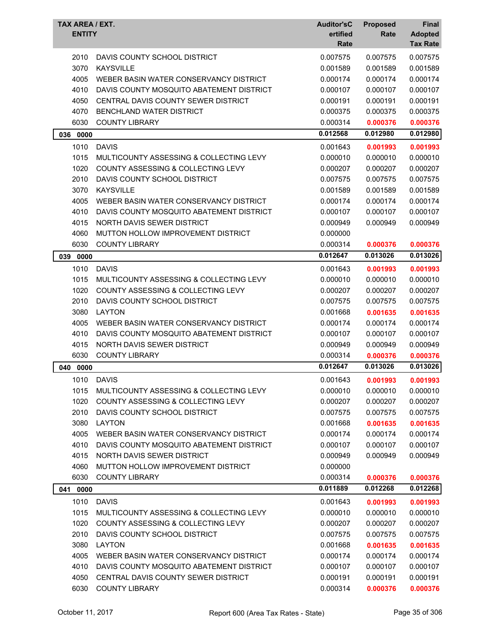| TAX AREA / EXT.<br><b>ENTITY</b> |                                               | <b>Auditor'sC</b><br>ertified<br>Rate | <b>Proposed</b><br>Rate | Final<br><b>Adopted</b><br><b>Tax Rate</b> |
|----------------------------------|-----------------------------------------------|---------------------------------------|-------------------------|--------------------------------------------|
| 2010                             | DAVIS COUNTY SCHOOL DISTRICT                  | 0.007575                              | 0.007575                | 0.007575                                   |
| 3070                             | <b>KAYSVILLE</b>                              | 0.001589                              | 0.001589                | 0.001589                                   |
| 4005                             | WEBER BASIN WATER CONSERVANCY DISTRICT        | 0.000174                              | 0.000174                | 0.000174                                   |
| 4010                             | DAVIS COUNTY MOSQUITO ABATEMENT DISTRICT      | 0.000107                              | 0.000107                | 0.000107                                   |
| 4050                             | CENTRAL DAVIS COUNTY SEWER DISTRICT           | 0.000191                              | 0.000191                | 0.000191                                   |
| 4070                             | <b>BENCHLAND WATER DISTRICT</b>               | 0.000375                              | 0.000375                | 0.000375                                   |
| 6030                             | <b>COUNTY LIBRARY</b>                         | 0.000314                              | 0.000376                | 0.000376                                   |
| 036<br>0000                      |                                               | 0.012568                              | 0.012980                | 0.012980                                   |
| 1010                             | <b>DAVIS</b>                                  | 0.001643                              | 0.001993                | 0.001993                                   |
| 1015                             | MULTICOUNTY ASSESSING & COLLECTING LEVY       | 0.000010                              | 0.000010                | 0.000010                                   |
| 1020                             | COUNTY ASSESSING & COLLECTING LEVY            | 0.000207                              | 0.000207                | 0.000207                                   |
| 2010                             | DAVIS COUNTY SCHOOL DISTRICT                  | 0.007575                              | 0.007575                | 0.007575                                   |
| 3070                             | <b>KAYSVILLE</b>                              | 0.001589                              | 0.001589                | 0.001589                                   |
| 4005                             | WEBER BASIN WATER CONSERVANCY DISTRICT        | 0.000174                              | 0.000174                | 0.000174                                   |
| 4010                             | DAVIS COUNTY MOSQUITO ABATEMENT DISTRICT      | 0.000107                              | 0.000107                | 0.000107                                   |
| 4015                             | NORTH DAVIS SEWER DISTRICT                    | 0.000949                              | 0.000949                | 0.000949                                   |
| 4060                             | MUTTON HOLLOW IMPROVEMENT DISTRICT            | 0.000000                              |                         |                                            |
| 6030                             | <b>COUNTY LIBRARY</b>                         | 0.000314                              | 0.000376                | 0.000376                                   |
| 0000<br>039                      |                                               | 0.012647                              | 0.013026                | 0.013026                                   |
| 1010                             | <b>DAVIS</b>                                  | 0.001643                              | 0.001993                | 0.001993                                   |
| 1015                             | MULTICOUNTY ASSESSING & COLLECTING LEVY       | 0.000010                              | 0.000010                | 0.000010                                   |
| 1020                             | COUNTY ASSESSING & COLLECTING LEVY            | 0.000207                              | 0.000207                | 0.000207                                   |
| 2010                             | DAVIS COUNTY SCHOOL DISTRICT                  | 0.007575                              | 0.007575                | 0.007575                                   |
| 3080                             | <b>LAYTON</b>                                 | 0.001668                              | 0.001635                | 0.001635                                   |
| 4005                             | WEBER BASIN WATER CONSERVANCY DISTRICT        | 0.000174                              | 0.000174                | 0.000174                                   |
| 4010                             | DAVIS COUNTY MOSQUITO ABATEMENT DISTRICT      | 0.000107                              | 0.000107                | 0.000107                                   |
| 4015                             | NORTH DAVIS SEWER DISTRICT                    | 0.000949                              | 0.000949                | 0.000949                                   |
| 6030                             | <b>COUNTY LIBRARY</b>                         | 0.000314                              | 0.000376                | 0.000376                                   |
| 040<br>0000                      |                                               | 0.012647                              | 0.013026                | 0.013026                                   |
| 1010                             | <b>DAVIS</b>                                  | 0.001643                              | 0.001993                | 0.001993                                   |
| 1015                             | MULTICOUNTY ASSESSING & COLLECTING LEVY       | 0.000010                              | 0.000010                | 0.000010                                   |
| 1020                             | <b>COUNTY ASSESSING &amp; COLLECTING LEVY</b> | 0.000207                              | 0.000207                | 0.000207                                   |
| 2010                             | DAVIS COUNTY SCHOOL DISTRICT                  | 0.007575                              | 0.007575                | 0.007575                                   |
| 3080                             | <b>LAYTON</b>                                 | 0.001668                              | 0.001635                | 0.001635                                   |
| 4005                             | WEBER BASIN WATER CONSERVANCY DISTRICT        | 0.000174                              | 0.000174                | 0.000174                                   |
| 4010                             | DAVIS COUNTY MOSQUITO ABATEMENT DISTRICT      | 0.000107                              | 0.000107                | 0.000107                                   |
| 4015                             | NORTH DAVIS SEWER DISTRICT                    | 0.000949                              | 0.000949                | 0.000949                                   |
| 4060                             | MUTTON HOLLOW IMPROVEMENT DISTRICT            | 0.000000                              |                         |                                            |
| 6030                             | <b>COUNTY LIBRARY</b>                         | 0.000314                              | 0.000376                | 0.000376                                   |
| 041<br>0000                      |                                               | 0.011889                              | 0.012268                | 0.012268                                   |
| 1010                             | <b>DAVIS</b>                                  | 0.001643                              | 0.001993                | 0.001993                                   |
| 1015                             | MULTICOUNTY ASSESSING & COLLECTING LEVY       | 0.000010                              | 0.000010                | 0.000010                                   |
| 1020                             | COUNTY ASSESSING & COLLECTING LEVY            | 0.000207                              | 0.000207                | 0.000207                                   |
| 2010                             | DAVIS COUNTY SCHOOL DISTRICT                  | 0.007575                              | 0.007575                | 0.007575                                   |
| 3080                             | <b>LAYTON</b>                                 | 0.001668                              | 0.001635                | 0.001635                                   |
| 4005                             | WEBER BASIN WATER CONSERVANCY DISTRICT        | 0.000174                              | 0.000174                | 0.000174                                   |
| 4010                             | DAVIS COUNTY MOSQUITO ABATEMENT DISTRICT      | 0.000107                              | 0.000107                | 0.000107                                   |
| 4050                             | CENTRAL DAVIS COUNTY SEWER DISTRICT           | 0.000191                              | 0.000191                | 0.000191                                   |
| 6030                             | <b>COUNTY LIBRARY</b>                         | 0.000314                              | 0.000376                | 0.000376                                   |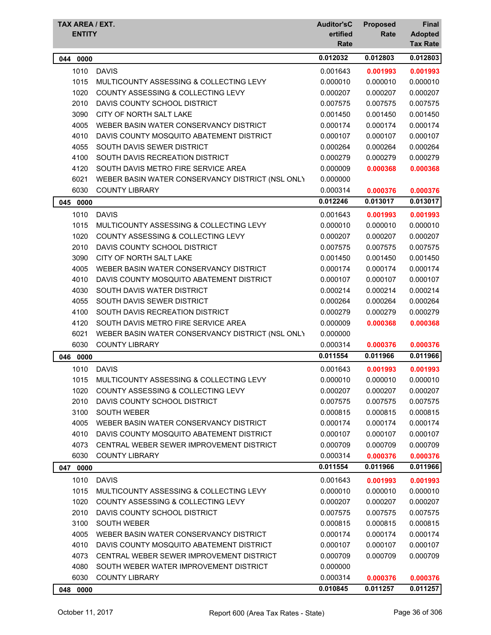| TAX AREA / EXT.<br><b>ENTITY</b> |                                                  | <b>Auditor'sC</b><br>ertified<br>Rate | <b>Proposed</b><br>Rate | Final<br><b>Adopted</b><br><b>Tax Rate</b> |
|----------------------------------|--------------------------------------------------|---------------------------------------|-------------------------|--------------------------------------------|
| 044 0000                         |                                                  | 0.012032                              | 0.012803                | 0.012803                                   |
| 1010                             | <b>DAVIS</b>                                     | 0.001643                              | 0.001993                | 0.001993                                   |
| 1015                             | MULTICOUNTY ASSESSING & COLLECTING LEVY          | 0.000010                              | 0.000010                | 0.000010                                   |
| 1020                             | COUNTY ASSESSING & COLLECTING LEVY               | 0.000207                              | 0.000207                | 0.000207                                   |
| 2010                             | DAVIS COUNTY SCHOOL DISTRICT                     | 0.007575                              | 0.007575                | 0.007575                                   |
| 3090                             | CITY OF NORTH SALT LAKE                          | 0.001450                              | 0.001450                | 0.001450                                   |
| 4005                             | WEBER BASIN WATER CONSERVANCY DISTRICT           | 0.000174                              | 0.000174                | 0.000174                                   |
| 4010                             | DAVIS COUNTY MOSQUITO ABATEMENT DISTRICT         | 0.000107                              | 0.000107                | 0.000107                                   |
| 4055                             | SOUTH DAVIS SEWER DISTRICT                       | 0.000264                              | 0.000264                | 0.000264                                   |
| 4100                             | SOUTH DAVIS RECREATION DISTRICT                  | 0.000279                              | 0.000279                | 0.000279                                   |
| 4120                             | SOUTH DAVIS METRO FIRE SERVICE AREA              | 0.000009                              | 0.000368                | 0.000368                                   |
| 6021                             | WEBER BASIN WATER CONSERVANCY DISTRICT (NSL ONLY | 0.000000                              |                         |                                            |
| 6030                             | <b>COUNTY LIBRARY</b>                            | 0.000314                              | 0.000376                | 0.000376                                   |
| 0000<br>045                      |                                                  | 0.012246                              | 0.013017                | 0.013017                                   |
| 1010                             | <b>DAVIS</b>                                     | 0.001643                              | 0.001993                | 0.001993                                   |
| 1015                             | MULTICOUNTY ASSESSING & COLLECTING LEVY          | 0.000010                              | 0.000010                | 0.000010                                   |
| 1020                             | <b>COUNTY ASSESSING &amp; COLLECTING LEVY</b>    | 0.000207                              | 0.000207                | 0.000207                                   |
| 2010                             | DAVIS COUNTY SCHOOL DISTRICT                     | 0.007575                              | 0.007575                | 0.007575                                   |
| 3090                             | CITY OF NORTH SALT LAKE                          | 0.001450                              | 0.001450                | 0.001450                                   |
| 4005                             | WEBER BASIN WATER CONSERVANCY DISTRICT           | 0.000174                              | 0.000174                | 0.000174                                   |
| 4010                             | DAVIS COUNTY MOSQUITO ABATEMENT DISTRICT         | 0.000107                              | 0.000107                | 0.000107                                   |
| 4030                             | SOUTH DAVIS WATER DISTRICT                       | 0.000214                              | 0.000214                | 0.000214                                   |
| 4055                             | SOUTH DAVIS SEWER DISTRICT                       | 0.000264                              | 0.000264                | 0.000264                                   |
| 4100                             | SOUTH DAVIS RECREATION DISTRICT                  | 0.000279                              | 0.000279                | 0.000279                                   |
| 4120                             | SOUTH DAVIS METRO FIRE SERVICE AREA              | 0.000009                              | 0.000368                | 0.000368                                   |
| 6021                             | WEBER BASIN WATER CONSERVANCY DISTRICT (NSL ONLY | 0.000000                              |                         |                                            |
| 6030                             | <b>COUNTY LIBRARY</b>                            | 0.000314                              | 0.000376                | 0.000376                                   |
| 046 0000                         |                                                  | 0.011554                              | 0.011966                | 0.011966                                   |
| 1010                             | <b>DAVIS</b>                                     | 0.001643                              | 0.001993                | 0.001993                                   |
| 1015                             | MULTICOUNTY ASSESSING & COLLECTING LEVY          | 0.000010                              | 0.000010                | 0.000010                                   |
| 1020                             | COUNTY ASSESSING & COLLECTING LEVY               | 0.000207                              | 0.000207                | 0.000207                                   |
| 2010                             | DAVIS COUNTY SCHOOL DISTRICT                     | 0.007575                              | 0.007575                | 0.007575                                   |
| 3100                             | <b>SOUTH WEBER</b>                               | 0.000815                              | 0.000815                | 0.000815                                   |
| 4005                             | WEBER BASIN WATER CONSERVANCY DISTRICT           | 0.000174                              | 0.000174                | 0.000174                                   |
| 4010                             | DAVIS COUNTY MOSQUITO ABATEMENT DISTRICT         | 0.000107                              | 0.000107                | 0.000107                                   |
| 4073                             | CENTRAL WEBER SEWER IMPROVEMENT DISTRICT         | 0.000709                              | 0.000709                | 0.000709                                   |
| 6030                             | <b>COUNTY LIBRARY</b>                            | 0.000314                              | 0.000376                | 0.000376                                   |
| 047 0000                         |                                                  | 0.011554                              | 0.011966                | 0.011966                                   |
| 1010                             | <b>DAVIS</b>                                     | 0.001643                              | 0.001993                | 0.001993                                   |
| 1015                             | MULTICOUNTY ASSESSING & COLLECTING LEVY          | 0.000010                              | 0.000010                | 0.000010                                   |
| 1020                             | <b>COUNTY ASSESSING &amp; COLLECTING LEVY</b>    | 0.000207                              | 0.000207                | 0.000207                                   |
| 2010                             | DAVIS COUNTY SCHOOL DISTRICT                     | 0.007575                              | 0.007575                | 0.007575                                   |
| 3100                             | <b>SOUTH WEBER</b>                               | 0.000815                              | 0.000815                | 0.000815                                   |
| 4005                             | WEBER BASIN WATER CONSERVANCY DISTRICT           | 0.000174                              | 0.000174                | 0.000174                                   |
| 4010                             | DAVIS COUNTY MOSQUITO ABATEMENT DISTRICT         | 0.000107                              | 0.000107                | 0.000107                                   |
| 4073                             | CENTRAL WEBER SEWER IMPROVEMENT DISTRICT         | 0.000709                              | 0.000709                | 0.000709                                   |
| 4080                             | SOUTH WEBER WATER IMPROVEMENT DISTRICT           | 0.000000                              |                         |                                            |
| 6030                             | <b>COUNTY LIBRARY</b>                            | 0.000314                              | 0.000376                | 0.000376                                   |
| 048 0000                         |                                                  | 0.010845                              | 0.011257                | 0.011257                                   |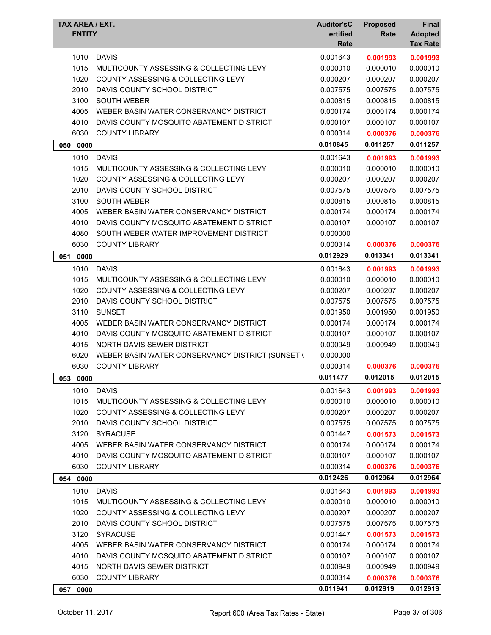| TAX AREA / EXT.<br><b>ENTITY</b> |                                                           | <b>Auditor'sC</b><br>ertified<br>Rate | <b>Proposed</b><br>Rate | Final<br><b>Adopted</b><br><b>Tax Rate</b> |
|----------------------------------|-----------------------------------------------------------|---------------------------------------|-------------------------|--------------------------------------------|
| 1010                             | <b>DAVIS</b>                                              | 0.001643                              | 0.001993                | 0.001993                                   |
| 1015                             | MULTICOUNTY ASSESSING & COLLECTING LEVY                   | 0.000010                              | 0.000010                | 0.000010                                   |
| 1020                             | COUNTY ASSESSING & COLLECTING LEVY                        | 0.000207                              | 0.000207                | 0.000207                                   |
| 2010                             | DAVIS COUNTY SCHOOL DISTRICT                              | 0.007575                              | 0.007575                | 0.007575                                   |
| 3100                             | <b>SOUTH WEBER</b>                                        | 0.000815                              | 0.000815                | 0.000815                                   |
| 4005                             | WEBER BASIN WATER CONSERVANCY DISTRICT                    | 0.000174                              | 0.000174                | 0.000174                                   |
| 4010                             | DAVIS COUNTY MOSQUITO ABATEMENT DISTRICT                  | 0.000107                              | 0.000107                | 0.000107                                   |
| 6030                             | <b>COUNTY LIBRARY</b>                                     | 0.000314                              | 0.000376                | 0.000376                                   |
| 050<br>0000                      |                                                           | 0.010845                              | 0.011257                | 0.011257                                   |
| 1010                             | <b>DAVIS</b>                                              | 0.001643                              | 0.001993                | 0.001993                                   |
| 1015                             | MULTICOUNTY ASSESSING & COLLECTING LEVY                   | 0.000010                              | 0.000010                | 0.000010                                   |
| 1020                             | COUNTY ASSESSING & COLLECTING LEVY                        | 0.000207                              | 0.000207                | 0.000207                                   |
| 2010                             | DAVIS COUNTY SCHOOL DISTRICT                              | 0.007575                              | 0.007575                | 0.007575                                   |
| 3100                             | <b>SOUTH WEBER</b>                                        | 0.000815                              | 0.000815                | 0.000815                                   |
| 4005                             | WEBER BASIN WATER CONSERVANCY DISTRICT                    | 0.000174                              | 0.000174                | 0.000174                                   |
| 4010                             | DAVIS COUNTY MOSQUITO ABATEMENT DISTRICT                  | 0.000107                              | 0.000107                | 0.000107                                   |
| 4080                             | SOUTH WEBER WATER IMPROVEMENT DISTRICT                    | 0.000000                              |                         |                                            |
| 6030                             | <b>COUNTY LIBRARY</b>                                     | 0.000314                              | 0.000376                | 0.000376                                   |
| 051<br>0000                      |                                                           | 0.012929                              | 0.013341                | 0.013341                                   |
| 1010                             | <b>DAVIS</b>                                              | 0.001643                              | 0.001993                | 0.001993                                   |
| 1015                             | MULTICOUNTY ASSESSING & COLLECTING LEVY                   | 0.000010                              | 0.000010                | 0.000010                                   |
| 1020                             | COUNTY ASSESSING & COLLECTING LEVY                        | 0.000207                              | 0.000207                | 0.000207                                   |
| 2010                             | DAVIS COUNTY SCHOOL DISTRICT                              | 0.007575                              | 0.007575                | 0.007575                                   |
| 3110                             | <b>SUNSET</b>                                             | 0.001950                              | 0.001950                | 0.001950                                   |
| 4005                             | WEBER BASIN WATER CONSERVANCY DISTRICT                    | 0.000174                              | 0.000174                | 0.000174                                   |
| 4010                             | DAVIS COUNTY MOSQUITO ABATEMENT DISTRICT                  | 0.000107                              | 0.000107                | 0.000107                                   |
| 4015                             | NORTH DAVIS SEWER DISTRICT                                | 0.000949                              | 0.000949                | 0.000949                                   |
| 6020                             | WEBER BASIN WATER CONSERVANCY DISTRICT (SUNSET (          | 0.000000                              |                         |                                            |
| 6030                             | <b>COUNTY LIBRARY</b>                                     | 0.000314                              | 0.000376                | 0.000376                                   |
| 053 0000                         |                                                           | 0.011477                              | 0.012015                | 0.012015                                   |
| 1010                             | <b>DAVIS</b>                                              | 0.001643                              | 0.001993                | 0.001993                                   |
| 1015                             | MULTICOUNTY ASSESSING & COLLECTING LEVY                   | 0.000010                              | 0.000010                | 0.000010                                   |
| 1020                             | COUNTY ASSESSING & COLLECTING LEVY                        | 0.000207                              | 0.000207                | 0.000207                                   |
| 2010                             | DAVIS COUNTY SCHOOL DISTRICT                              | 0.007575                              | 0.007575                | 0.007575                                   |
| 3120                             | <b>SYRACUSE</b>                                           | 0.001447                              | 0.001573                | 0.001573                                   |
| 4005                             | WEBER BASIN WATER CONSERVANCY DISTRICT                    | 0.000174                              | 0.000174                | 0.000174                                   |
| 4010                             | DAVIS COUNTY MOSQUITO ABATEMENT DISTRICT                  | 0.000107                              | 0.000107                | 0.000107                                   |
| 6030                             | <b>COUNTY LIBRARY</b>                                     | 0.000314                              | 0.000376                | 0.000376                                   |
| 054 0000                         |                                                           | 0.012426                              | 0.012964                | 0.012964                                   |
|                                  |                                                           |                                       |                         |                                            |
| 1010                             | <b>DAVIS</b>                                              | 0.001643                              | 0.001993                | 0.001993                                   |
| 1015                             | MULTICOUNTY ASSESSING & COLLECTING LEVY                   | 0.000010                              | 0.000010                | 0.000010                                   |
| 1020                             | COUNTY ASSESSING & COLLECTING LEVY                        | 0.000207                              | 0.000207                | 0.000207                                   |
| 2010                             | DAVIS COUNTY SCHOOL DISTRICT                              | 0.007575                              | 0.007575                | 0.007575                                   |
| 3120                             | <b>SYRACUSE</b><br>WEBER BASIN WATER CONSERVANCY DISTRICT | 0.001447                              | 0.001573                | 0.001573                                   |
| 4005<br>4010                     | DAVIS COUNTY MOSQUITO ABATEMENT DISTRICT                  | 0.000174<br>0.000107                  | 0.000174<br>0.000107    | 0.000174                                   |
| 4015                             | NORTH DAVIS SEWER DISTRICT                                | 0.000949                              | 0.000949                | 0.000107<br>0.000949                       |
| 6030                             | <b>COUNTY LIBRARY</b>                                     | 0.000314                              | 0.000376                | 0.000376                                   |
|                                  |                                                           | 0.011941                              | 0.012919                | 0.012919                                   |
| 057 0000                         |                                                           |                                       |                         |                                            |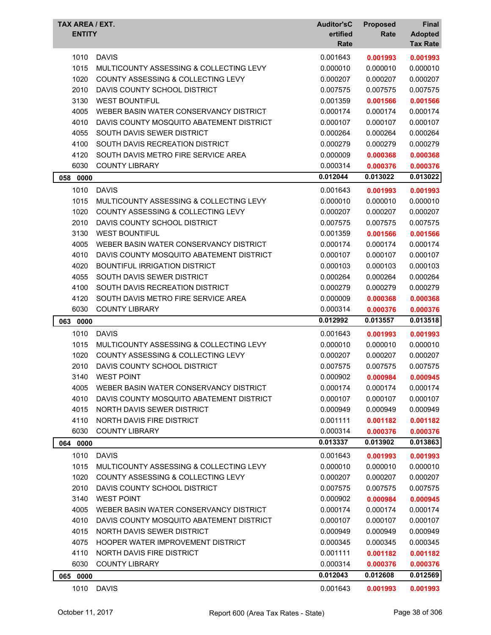| TAX AREA / EXT.<br><b>ENTITY</b> |                                               | <b>Auditor'sC</b><br>ertified<br>Rate | <b>Proposed</b><br>Rate | <b>Final</b><br><b>Adopted</b><br><b>Tax Rate</b> |
|----------------------------------|-----------------------------------------------|---------------------------------------|-------------------------|---------------------------------------------------|
| 1010                             | <b>DAVIS</b>                                  | 0.001643                              | 0.001993                | 0.001993                                          |
| 1015                             | MULTICOUNTY ASSESSING & COLLECTING LEVY       | 0.000010                              | 0.000010                | 0.000010                                          |
| 1020                             | COUNTY ASSESSING & COLLECTING LEVY            | 0.000207                              | 0.000207                | 0.000207                                          |
| 2010                             | DAVIS COUNTY SCHOOL DISTRICT                  | 0.007575                              | 0.007575                | 0.007575                                          |
| 3130                             | <b>WEST BOUNTIFUL</b>                         | 0.001359                              | 0.001566                | 0.001566                                          |
| 4005                             | WEBER BASIN WATER CONSERVANCY DISTRICT        | 0.000174                              | 0.000174                | 0.000174                                          |
| 4010                             | DAVIS COUNTY MOSQUITO ABATEMENT DISTRICT      | 0.000107                              | 0.000107                | 0.000107                                          |
| 4055                             | SOUTH DAVIS SEWER DISTRICT                    | 0.000264                              | 0.000264                | 0.000264                                          |
| 4100                             | SOUTH DAVIS RECREATION DISTRICT               | 0.000279                              | 0.000279                | 0.000279                                          |
| 4120                             | SOUTH DAVIS METRO FIRE SERVICE AREA           | 0.000009                              | 0.000368                | 0.000368                                          |
| 6030                             | <b>COUNTY LIBRARY</b>                         | 0.000314                              | 0.000376                | 0.000376                                          |
| 058 0000                         |                                               | 0.012044                              | 0.013022                | 0.013022                                          |
| 1010                             | <b>DAVIS</b>                                  | 0.001643                              | 0.001993                | 0.001993                                          |
| 1015                             | MULTICOUNTY ASSESSING & COLLECTING LEVY       | 0.000010                              | 0.000010                | 0.000010                                          |
| 1020                             | COUNTY ASSESSING & COLLECTING LEVY            | 0.000207                              | 0.000207                | 0.000207                                          |
| 2010                             | DAVIS COUNTY SCHOOL DISTRICT                  | 0.007575                              | 0.007575                | 0.007575                                          |
| 3130                             | <b>WEST BOUNTIFUL</b>                         | 0.001359                              | 0.001566                | 0.001566                                          |
| 4005                             | WEBER BASIN WATER CONSERVANCY DISTRICT        | 0.000174                              | 0.000174                | 0.000174                                          |
| 4010                             | DAVIS COUNTY MOSQUITO ABATEMENT DISTRICT      | 0.000107                              | 0.000107                | 0.000107                                          |
| 4020                             | <b>BOUNTIFUL IRRIGATION DISTRICT</b>          | 0.000103                              | 0.000103                | 0.000103                                          |
| 4055                             | SOUTH DAVIS SEWER DISTRICT                    | 0.000264                              | 0.000264                | 0.000264                                          |
| 4100                             | SOUTH DAVIS RECREATION DISTRICT               | 0.000279                              | 0.000279                | 0.000279                                          |
| 4120                             | SOUTH DAVIS METRO FIRE SERVICE AREA           | 0.000009                              | 0.000368                | 0.000368                                          |
| 6030                             | <b>COUNTY LIBRARY</b>                         | 0.000314                              | 0.000376                | 0.000376                                          |
| 063<br>0000                      |                                               | 0.012992                              | 0.013557                | 0.013518                                          |
| 1010                             | <b>DAVIS</b>                                  | 0.001643                              | 0.001993                | 0.001993                                          |
| 1015                             | MULTICOUNTY ASSESSING & COLLECTING LEVY       | 0.000010                              | 0.000010                | 0.000010                                          |
| 1020                             | <b>COUNTY ASSESSING &amp; COLLECTING LEVY</b> | 0.000207                              | 0.000207                | 0.000207                                          |
| 2010                             | DAVIS COUNTY SCHOOL DISTRICT                  | 0.007575                              | 0.007575                | 0.007575                                          |
| 3140                             | WEST POINT                                    | 0.000902                              | 0.000984                | 0.000945                                          |
| 4005                             | WEBER BASIN WATER CONSERVANCY DISTRICT        | 0.000174                              | 0.000174                | 0.000174                                          |
| 4010                             | DAVIS COUNTY MOSQUITO ABATEMENT DISTRICT      | 0.000107                              | 0.000107                | 0.000107                                          |
| 4015                             | NORTH DAVIS SEWER DISTRICT                    | 0.000949                              | 0.000949                | 0.000949                                          |
| 4110                             | NORTH DAVIS FIRE DISTRICT                     | 0.001111                              | 0.001182                | 0.001182                                          |
| 6030                             | <b>COUNTY LIBRARY</b>                         | 0.000314                              | 0.000376                | 0.000376                                          |
| 064 0000                         |                                               | 0.013337                              | 0.013902                | 0.013863                                          |
| 1010                             | <b>DAVIS</b>                                  | 0.001643                              | 0.001993                | 0.001993                                          |
| 1015                             | MULTICOUNTY ASSESSING & COLLECTING LEVY       | 0.000010                              | 0.000010                | 0.000010                                          |
| 1020                             | COUNTY ASSESSING & COLLECTING LEVY            | 0.000207                              | 0.000207                | 0.000207                                          |
| 2010                             | DAVIS COUNTY SCHOOL DISTRICT                  | 0.007575                              | 0.007575                | 0.007575                                          |
| 3140                             | <b>WEST POINT</b>                             | 0.000902                              | 0.000984                | 0.000945                                          |
| 4005                             | WEBER BASIN WATER CONSERVANCY DISTRICT        | 0.000174                              | 0.000174                | 0.000174                                          |
| 4010                             | DAVIS COUNTY MOSQUITO ABATEMENT DISTRICT      | 0.000107                              | 0.000107                | 0.000107                                          |
| 4015                             | NORTH DAVIS SEWER DISTRICT                    | 0.000949                              | 0.000949                | 0.000949                                          |
| 4075                             | HOOPER WATER IMPROVEMENT DISTRICT             | 0.000345                              | 0.000345                | 0.000345                                          |
| 4110                             | NORTH DAVIS FIRE DISTRICT                     | 0.001111                              | 0.001182                | 0.001182                                          |
| 6030                             | <b>COUNTY LIBRARY</b>                         | 0.000314                              | 0.000376                | 0.000376                                          |
| 065 0000                         |                                               | 0.012043                              | 0.012608                | 0.012569                                          |
|                                  |                                               |                                       |                         |                                                   |
|                                  | 1010 DAVIS                                    | 0.001643                              | 0.001993                | 0.001993                                          |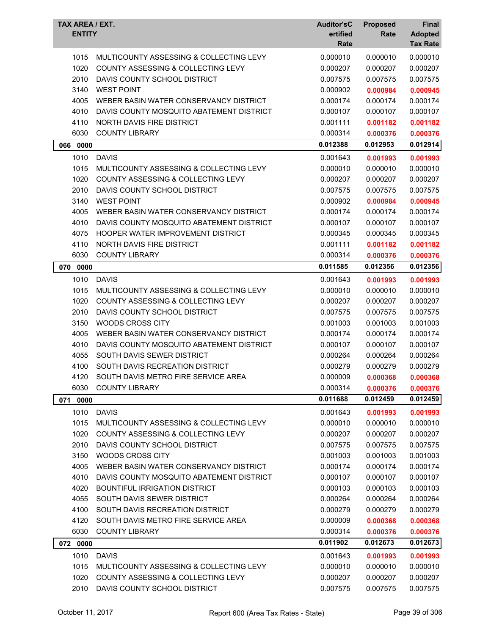| TAX AREA / EXT.<br><b>ENTITY</b> |                                                                                          | <b>Auditor'sC</b><br>ertified<br>Rate | <b>Proposed</b><br>Rate | <b>Final</b><br><b>Adopted</b><br><b>Tax Rate</b> |
|----------------------------------|------------------------------------------------------------------------------------------|---------------------------------------|-------------------------|---------------------------------------------------|
| 1015                             | MULTICOUNTY ASSESSING & COLLECTING LEVY                                                  | 0.000010                              | 0.000010                | 0.000010                                          |
| 1020                             | <b>COUNTY ASSESSING &amp; COLLECTING LEVY</b>                                            | 0.000207                              | 0.000207                | 0.000207                                          |
| 2010                             | DAVIS COUNTY SCHOOL DISTRICT                                                             | 0.007575                              | 0.007575                | 0.007575                                          |
| 3140                             | <b>WEST POINT</b>                                                                        | 0.000902                              | 0.000984                | 0.000945                                          |
| 4005                             | WEBER BASIN WATER CONSERVANCY DISTRICT                                                   | 0.000174                              | 0.000174                | 0.000174                                          |
| 4010                             | DAVIS COUNTY MOSQUITO ABATEMENT DISTRICT                                                 | 0.000107                              | 0.000107                | 0.000107                                          |
| 4110                             | NORTH DAVIS FIRE DISTRICT                                                                | 0.001111                              | 0.001182                | 0.001182                                          |
| 6030                             | <b>COUNTY LIBRARY</b>                                                                    | 0.000314                              | 0.000376                | 0.000376                                          |
| 066<br>0000                      |                                                                                          | 0.012388                              | 0.012953                | 0.012914                                          |
| 1010                             | <b>DAVIS</b>                                                                             | 0.001643                              | 0.001993                | 0.001993                                          |
| 1015                             | MULTICOUNTY ASSESSING & COLLECTING LEVY                                                  | 0.000010                              | 0.000010                | 0.000010                                          |
| 1020                             | <b>COUNTY ASSESSING &amp; COLLECTING LEVY</b>                                            | 0.000207                              | 0.000207                | 0.000207                                          |
| 2010                             | DAVIS COUNTY SCHOOL DISTRICT                                                             | 0.007575                              | 0.007575                | 0.007575                                          |
| 3140                             | <b>WEST POINT</b>                                                                        | 0.000902                              | 0.000984                | 0.000945                                          |
| 4005                             | WEBER BASIN WATER CONSERVANCY DISTRICT                                                   | 0.000174                              | 0.000174                | 0.000174                                          |
| 4010                             | DAVIS COUNTY MOSQUITO ABATEMENT DISTRICT                                                 | 0.000107                              | 0.000107                | 0.000107                                          |
| 4075                             | <b>HOOPER WATER IMPROVEMENT DISTRICT</b>                                                 | 0.000345                              | 0.000345                | 0.000345                                          |
| 4110                             | <b>NORTH DAVIS FIRE DISTRICT</b>                                                         | 0.001111                              | 0.001182                | 0.001182                                          |
| 6030                             | <b>COUNTY LIBRARY</b>                                                                    | 0.000314                              | 0.000376                | 0.000376                                          |
| 070 0000                         |                                                                                          | 0.011585                              | 0.012356                | 0.012356                                          |
| 1010                             | <b>DAVIS</b>                                                                             | 0.001643                              | 0.001993                | 0.001993                                          |
| 1015                             | MULTICOUNTY ASSESSING & COLLECTING LEVY                                                  | 0.000010                              | 0.000010                | 0.000010                                          |
| 1020                             | COUNTY ASSESSING & COLLECTING LEVY                                                       | 0.000207                              | 0.000207                | 0.000207                                          |
| 2010                             | DAVIS COUNTY SCHOOL DISTRICT                                                             | 0.007575                              | 0.007575                | 0.007575                                          |
| 3150                             | <b>WOODS CROSS CITY</b>                                                                  | 0.001003                              | 0.001003                | 0.001003                                          |
| 4005                             | WEBER BASIN WATER CONSERVANCY DISTRICT                                                   | 0.000174                              | 0.000174                | 0.000174                                          |
| 4010                             | DAVIS COUNTY MOSQUITO ABATEMENT DISTRICT                                                 | 0.000107                              | 0.000107                | 0.000107                                          |
| 4055                             | SOUTH DAVIS SEWER DISTRICT                                                               | 0.000264                              | 0.000264                | 0.000264                                          |
| 4100                             | SOUTH DAVIS RECREATION DISTRICT                                                          | 0.000279                              | 0.000279                | 0.000279                                          |
| 4120                             | SOUTH DAVIS METRO FIRE SERVICE AREA                                                      | 0.000009                              | 0.000368                | 0.000368                                          |
| 6030                             | <b>COUNTY LIBRARY</b>                                                                    | 0.000314                              | 0.000376                | 0.000376                                          |
| 071<br>0000                      |                                                                                          | 0.011688                              | 0.012459                | 0.012459                                          |
|                                  |                                                                                          |                                       |                         |                                                   |
| 1010<br>1015                     | <b>DAVIS</b>                                                                             | 0.001643                              | 0.001993                | 0.001993                                          |
| 1020                             | MULTICOUNTY ASSESSING & COLLECTING LEVY<br><b>COUNTY ASSESSING &amp; COLLECTING LEVY</b> | 0.000010<br>0.000207                  | 0.000010                | 0.000010                                          |
|                                  |                                                                                          |                                       | 0.000207<br>0.007575    | 0.000207<br>0.007575                              |
| 2010                             | DAVIS COUNTY SCHOOL DISTRICT                                                             | 0.007575                              |                         |                                                   |
| 3150                             | WOODS CROSS CITY<br>WEBER BASIN WATER CONSERVANCY DISTRICT                               | 0.001003<br>0.000174                  | 0.001003                | 0.001003                                          |
| 4005                             |                                                                                          |                                       | 0.000174                | 0.000174                                          |
| 4010                             | DAVIS COUNTY MOSQUITO ABATEMENT DISTRICT                                                 | 0.000107                              | 0.000107                | 0.000107                                          |
| 4020                             | <b>BOUNTIFUL IRRIGATION DISTRICT</b>                                                     | 0.000103                              | 0.000103                | 0.000103                                          |
| 4055                             | SOUTH DAVIS SEWER DISTRICT                                                               | 0.000264                              | 0.000264                | 0.000264                                          |
| 4100                             | SOUTH DAVIS RECREATION DISTRICT                                                          | 0.000279                              | 0.000279                | 0.000279                                          |
| 4120                             | SOUTH DAVIS METRO FIRE SERVICE AREA                                                      | 0.000009                              | 0.000368                | 0.000368                                          |
| 6030                             | <b>COUNTY LIBRARY</b>                                                                    | 0.000314                              | 0.000376                | 0.000376                                          |
| 072 0000                         |                                                                                          | 0.011902                              | 0.012673                | 0.012673                                          |
| 1010                             | <b>DAVIS</b>                                                                             | 0.001643                              | 0.001993                | 0.001993                                          |
| 1015                             | MULTICOUNTY ASSESSING & COLLECTING LEVY                                                  | 0.000010                              | 0.000010                | 0.000010                                          |
| 1020                             | COUNTY ASSESSING & COLLECTING LEVY                                                       | 0.000207                              | 0.000207                | 0.000207                                          |
| 2010                             | DAVIS COUNTY SCHOOL DISTRICT                                                             | 0.007575                              | 0.007575                | 0.007575                                          |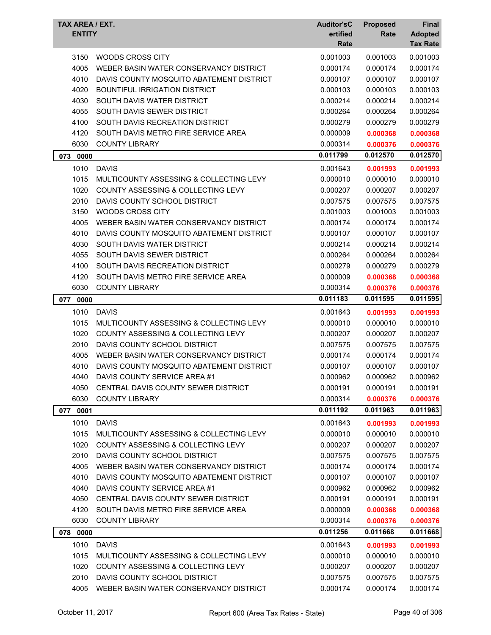| TAX AREA / EXT.<br><b>ENTITY</b> |                                                                                    | <b>Auditor'sC</b><br>ertified | <b>Proposed</b><br>Rate | Final<br><b>Adopted</b> |
|----------------------------------|------------------------------------------------------------------------------------|-------------------------------|-------------------------|-------------------------|
|                                  |                                                                                    | Rate                          |                         | <b>Tax Rate</b>         |
| 3150                             | WOODS CROSS CITY                                                                   | 0.001003                      | 0.001003                | 0.001003                |
| 4005                             | WEBER BASIN WATER CONSERVANCY DISTRICT                                             | 0.000174                      | 0.000174                | 0.000174                |
| 4010                             | DAVIS COUNTY MOSQUITO ABATEMENT DISTRICT                                           | 0.000107                      | 0.000107                | 0.000107                |
| 4020                             | <b>BOUNTIFUL IRRIGATION DISTRICT</b>                                               | 0.000103                      | 0.000103                | 0.000103                |
| 4030                             | SOUTH DAVIS WATER DISTRICT                                                         | 0.000214                      | 0.000214                | 0.000214                |
| 4055                             | SOUTH DAVIS SEWER DISTRICT                                                         | 0.000264                      | 0.000264                | 0.000264                |
| 4100                             | SOUTH DAVIS RECREATION DISTRICT                                                    | 0.000279                      | 0.000279                | 0.000279                |
| 4120                             | SOUTH DAVIS METRO FIRE SERVICE AREA                                                | 0.000009                      | 0.000368                | 0.000368                |
| 6030                             | <b>COUNTY LIBRARY</b>                                                              | 0.000314                      | 0.000376                | 0.000376                |
| 073<br>0000                      |                                                                                    | 0.011799                      | 0.012570                | 0.012570                |
| 1010                             | <b>DAVIS</b>                                                                       | 0.001643                      | 0.001993                | 0.001993                |
| 1015                             | MULTICOUNTY ASSESSING & COLLECTING LEVY                                            | 0.000010                      | 0.000010                | 0.000010                |
| 1020                             | COUNTY ASSESSING & COLLECTING LEVY                                                 | 0.000207                      | 0.000207                | 0.000207                |
| 2010                             | DAVIS COUNTY SCHOOL DISTRICT                                                       | 0.007575                      | 0.007575                | 0.007575                |
| 3150                             | <b>WOODS CROSS CITY</b>                                                            | 0.001003                      | 0.001003                | 0.001003                |
| 4005                             | WEBER BASIN WATER CONSERVANCY DISTRICT                                             | 0.000174                      | 0.000174                | 0.000174                |
| 4010                             | DAVIS COUNTY MOSQUITO ABATEMENT DISTRICT                                           | 0.000107                      | 0.000107                | 0.000107                |
| 4030                             | SOUTH DAVIS WATER DISTRICT                                                         | 0.000214                      | 0.000214                | 0.000214                |
| 4055                             | SOUTH DAVIS SEWER DISTRICT                                                         | 0.000264                      | 0.000264                | 0.000264                |
| 4100                             | SOUTH DAVIS RECREATION DISTRICT                                                    | 0.000279                      | 0.000279                | 0.000279                |
| 4120                             | SOUTH DAVIS METRO FIRE SERVICE AREA                                                | 0.000009                      | 0.000368                | 0.000368                |
| 6030                             | <b>COUNTY LIBRARY</b>                                                              | 0.000314                      | 0.000376                | 0.000376                |
| 077<br>0000                      |                                                                                    | 0.011183                      | 0.011595                | 0.011595                |
| 1010                             | <b>DAVIS</b>                                                                       | 0.001643                      |                         |                         |
| 1015                             | MULTICOUNTY ASSESSING & COLLECTING LEVY                                            | 0.000010                      | 0.001993<br>0.000010    | 0.001993<br>0.000010    |
| 1020                             | <b>COUNTY ASSESSING &amp; COLLECTING LEVY</b>                                      | 0.000207                      | 0.000207                | 0.000207                |
| 2010                             | DAVIS COUNTY SCHOOL DISTRICT                                                       | 0.007575                      | 0.007575                | 0.007575                |
| 4005                             | WEBER BASIN WATER CONSERVANCY DISTRICT                                             | 0.000174                      | 0.000174                | 0.000174                |
| 4010                             | DAVIS COUNTY MOSQUITO ABATEMENT DISTRICT                                           | 0.000107                      | 0.000107                | 0.000107                |
| 4040                             | DAVIS COUNTY SERVICE AREA #1                                                       | 0.000962                      | 0.000962                | 0.000962                |
| 4050                             | CENTRAL DAVIS COUNTY SEWER DISTRICT                                                | 0.000191                      | 0.000191                | 0.000191                |
| 6030                             | <b>COUNTY LIBRARY</b>                                                              | 0.000314                      | 0.000376                | 0.000376                |
|                                  |                                                                                    | 0.011192                      | 0.011963                | 0.011963                |
| 077 0001                         |                                                                                    |                               |                         |                         |
| 1010                             | <b>DAVIS</b>                                                                       | 0.001643                      | 0.001993                | 0.001993                |
| 1015                             | MULTICOUNTY ASSESSING & COLLECTING LEVY<br>COUNTY ASSESSING & COLLECTING LEVY      | 0.000010                      | 0.000010                | 0.000010                |
| 1020                             |                                                                                    | 0.000207                      | 0.000207                | 0.000207                |
| 2010                             | DAVIS COUNTY SCHOOL DISTRICT                                                       | 0.007575                      | 0.007575                | 0.007575                |
| 4005<br>4010                     | WEBER BASIN WATER CONSERVANCY DISTRICT<br>DAVIS COUNTY MOSQUITO ABATEMENT DISTRICT | 0.000174                      | 0.000174<br>0.000107    | 0.000174<br>0.000107    |
| 4040                             | DAVIS COUNTY SERVICE AREA #1                                                       | 0.000107                      | 0.000962                | 0.000962                |
|                                  |                                                                                    | 0.000962                      |                         |                         |
| 4050<br>4120                     | CENTRAL DAVIS COUNTY SEWER DISTRICT<br>SOUTH DAVIS METRO FIRE SERVICE AREA         | 0.000191                      | 0.000191                | 0.000191                |
| 6030                             | <b>COUNTY LIBRARY</b>                                                              | 0.000009                      | 0.000368                | 0.000368                |
|                                  |                                                                                    | 0.000314                      | 0.000376                | 0.000376                |
| 078 0000                         |                                                                                    | 0.011256                      | 0.011668                | 0.011668                |
| 1010                             | <b>DAVIS</b>                                                                       | 0.001643                      | 0.001993                | 0.001993                |
| 1015                             | MULTICOUNTY ASSESSING & COLLECTING LEVY                                            | 0.000010                      | 0.000010                | 0.000010                |
| 1020                             | COUNTY ASSESSING & COLLECTING LEVY                                                 | 0.000207                      | 0.000207                | 0.000207                |
| 2010                             | DAVIS COUNTY SCHOOL DISTRICT                                                       | 0.007575                      | 0.007575                | 0.007575                |
| 4005                             | WEBER BASIN WATER CONSERVANCY DISTRICT                                             | 0.000174                      | 0.000174                | 0.000174                |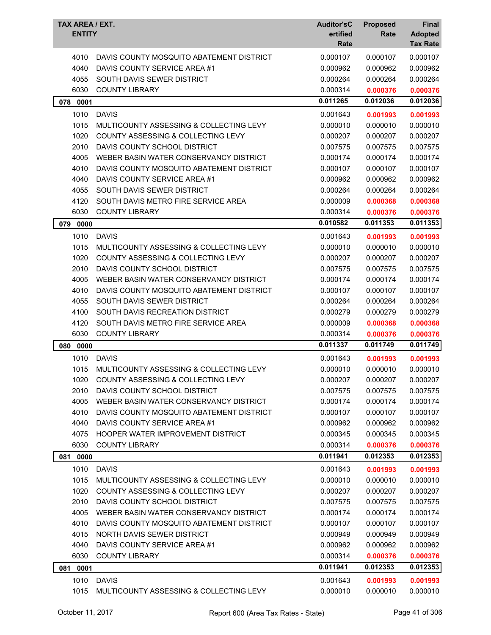| TAX AREA / EXT.<br><b>ENTITY</b> |                                               | <b>Auditor'sC</b><br>ertified<br>Rate | <b>Proposed</b><br>Rate | <b>Final</b><br><b>Adopted</b><br><b>Tax Rate</b> |
|----------------------------------|-----------------------------------------------|---------------------------------------|-------------------------|---------------------------------------------------|
| 4010                             | DAVIS COUNTY MOSQUITO ABATEMENT DISTRICT      | 0.000107                              | 0.000107                | 0.000107                                          |
| 4040                             | DAVIS COUNTY SERVICE AREA #1                  | 0.000962                              | 0.000962                | 0.000962                                          |
| 4055                             | SOUTH DAVIS SEWER DISTRICT                    | 0.000264                              | 0.000264                | 0.000264                                          |
| 6030                             | <b>COUNTY LIBRARY</b>                         | 0.000314                              | 0.000376                | 0.000376                                          |
| 078 0001                         |                                               | 0.011265                              | 0.012036                | 0.012036                                          |
| 1010                             | <b>DAVIS</b>                                  | 0.001643                              | 0.001993                | 0.001993                                          |
| 1015                             | MULTICOUNTY ASSESSING & COLLECTING LEVY       | 0.000010                              | 0.000010                | 0.000010                                          |
| 1020                             | COUNTY ASSESSING & COLLECTING LEVY            | 0.000207                              | 0.000207                | 0.000207                                          |
| 2010                             | DAVIS COUNTY SCHOOL DISTRICT                  | 0.007575                              | 0.007575                | 0.007575                                          |
| 4005                             | WEBER BASIN WATER CONSERVANCY DISTRICT        | 0.000174                              | 0.000174                | 0.000174                                          |
| 4010                             | DAVIS COUNTY MOSQUITO ABATEMENT DISTRICT      | 0.000107                              | 0.000107                | 0.000107                                          |
| 4040                             | DAVIS COUNTY SERVICE AREA #1                  | 0.000962                              | 0.000962                | 0.000962                                          |
| 4055                             | SOUTH DAVIS SEWER DISTRICT                    | 0.000264                              | 0.000264                | 0.000264                                          |
| 4120                             | SOUTH DAVIS METRO FIRE SERVICE AREA           | 0.000009                              | 0.000368                | 0.000368                                          |
| 6030                             | <b>COUNTY LIBRARY</b>                         | 0.000314                              | 0.000376                | 0.000376                                          |
| 079<br>0000                      |                                               | 0.010582                              | 0.011353                | 0.011353                                          |
| 1010                             | <b>DAVIS</b>                                  | 0.001643                              | 0.001993                | 0.001993                                          |
| 1015                             | MULTICOUNTY ASSESSING & COLLECTING LEVY       | 0.000010                              | 0.000010                | 0.000010                                          |
| 1020                             | <b>COUNTY ASSESSING &amp; COLLECTING LEVY</b> | 0.000207                              | 0.000207                | 0.000207                                          |
| 2010                             | DAVIS COUNTY SCHOOL DISTRICT                  | 0.007575                              | 0.007575                | 0.007575                                          |
| 4005                             | WEBER BASIN WATER CONSERVANCY DISTRICT        | 0.000174                              | 0.000174                | 0.000174                                          |
| 4010                             | DAVIS COUNTY MOSQUITO ABATEMENT DISTRICT      | 0.000107                              | 0.000107                | 0.000107                                          |
| 4055                             | SOUTH DAVIS SEWER DISTRICT                    | 0.000264                              | 0.000264                | 0.000264                                          |
| 4100                             | SOUTH DAVIS RECREATION DISTRICT               | 0.000279                              | 0.000279                | 0.000279                                          |
| 4120                             | SOUTH DAVIS METRO FIRE SERVICE AREA           | 0.000009                              | 0.000368                | 0.000368                                          |
| 6030                             | <b>COUNTY LIBRARY</b>                         | 0.000314                              | 0.000376                | 0.000376                                          |
| 0000<br>080                      |                                               | 0.011337                              | 0.011749                | 0.011749                                          |
| 1010                             | <b>DAVIS</b>                                  | 0.001643                              | 0.001993                | 0.001993                                          |
| 1015                             | MULTICOUNTY ASSESSING & COLLECTING LEVY       | 0.000010                              | 0.000010                | 0.000010                                          |
| 1020                             | COUNTY ASSESSING & COLLECTING LEVY            | 0.000207                              | 0.000207                | 0.000207                                          |
| 2010                             | DAVIS COUNTY SCHOOL DISTRICT                  | 0.007575                              | 0.007575                | 0.007575                                          |
| 4005                             | WEBER BASIN WATER CONSERVANCY DISTRICT        | 0.000174                              | 0.000174                | 0.000174                                          |
| 4010                             | DAVIS COUNTY MOSQUITO ABATEMENT DISTRICT      | 0.000107                              | 0.000107                | 0.000107                                          |
| 4040                             | DAVIS COUNTY SERVICE AREA #1                  | 0.000962                              | 0.000962                | 0.000962                                          |
| 4075                             | HOOPER WATER IMPROVEMENT DISTRICT             | 0.000345                              | 0.000345                | 0.000345                                          |
| 6030                             | <b>COUNTY LIBRARY</b>                         | 0.000314                              | 0.000376                | 0.000376                                          |
| 0000<br>081                      |                                               | 0.011941                              | 0.012353                | 0.012353                                          |
| 1010                             | <b>DAVIS</b>                                  | 0.001643                              | 0.001993                | 0.001993                                          |
| 1015                             | MULTICOUNTY ASSESSING & COLLECTING LEVY       | 0.000010                              | 0.000010                | 0.000010                                          |
| 1020                             | <b>COUNTY ASSESSING &amp; COLLECTING LEVY</b> | 0.000207                              | 0.000207                | 0.000207                                          |
| 2010                             | DAVIS COUNTY SCHOOL DISTRICT                  | 0.007575                              | 0.007575                | 0.007575                                          |
| 4005                             | WEBER BASIN WATER CONSERVANCY DISTRICT        | 0.000174                              | 0.000174                | 0.000174                                          |
| 4010                             | DAVIS COUNTY MOSQUITO ABATEMENT DISTRICT      | 0.000107                              | 0.000107                | 0.000107                                          |
| 4015                             | NORTH DAVIS SEWER DISTRICT                    | 0.000949                              | 0.000949                | 0.000949                                          |
| 4040                             | DAVIS COUNTY SERVICE AREA #1                  | 0.000962                              | 0.000962                | 0.000962                                          |
| 6030                             | <b>COUNTY LIBRARY</b>                         | 0.000314                              | 0.000376                | 0.000376                                          |
| 0001<br>081                      |                                               | 0.011941                              | 0.012353                | 0.012353                                          |
| 1010                             | <b>DAVIS</b>                                  | 0.001643                              | 0.001993                | 0.001993                                          |
| 1015                             | MULTICOUNTY ASSESSING & COLLECTING LEVY       | 0.000010                              | 0.000010                | 0.000010                                          |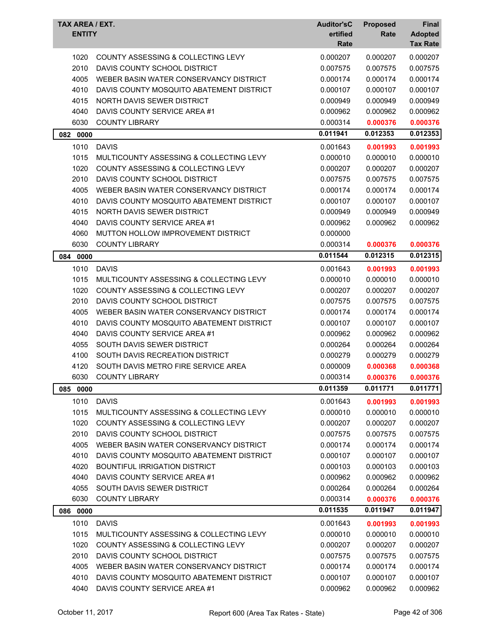| TAX AREA / EXT.<br><b>ENTITY</b> |                                               | <b>Auditor'sC</b><br>ertified<br>Rate | <b>Proposed</b><br>Rate | Final<br><b>Adopted</b><br><b>Tax Rate</b> |
|----------------------------------|-----------------------------------------------|---------------------------------------|-------------------------|--------------------------------------------|
| 1020                             | COUNTY ASSESSING & COLLECTING LEVY            | 0.000207                              | 0.000207                | 0.000207                                   |
| 2010                             | DAVIS COUNTY SCHOOL DISTRICT                  | 0.007575                              | 0.007575                | 0.007575                                   |
| 4005                             | WEBER BASIN WATER CONSERVANCY DISTRICT        | 0.000174                              | 0.000174                | 0.000174                                   |
| 4010                             | DAVIS COUNTY MOSQUITO ABATEMENT DISTRICT      | 0.000107                              | 0.000107                | 0.000107                                   |
| 4015                             | NORTH DAVIS SEWER DISTRICT                    | 0.000949                              | 0.000949                | 0.000949                                   |
| 4040                             | DAVIS COUNTY SERVICE AREA #1                  | 0.000962                              | 0.000962                | 0.000962                                   |
| 6030                             | <b>COUNTY LIBRARY</b>                         | 0.000314                              | 0.000376                | 0.000376                                   |
| 082 0000                         |                                               | 0.011941                              | 0.012353                | 0.012353                                   |
| 1010                             | <b>DAVIS</b>                                  | 0.001643                              | 0.001993                | 0.001993                                   |
| 1015                             | MULTICOUNTY ASSESSING & COLLECTING LEVY       | 0.000010                              | 0.000010                | 0.000010                                   |
| 1020                             | COUNTY ASSESSING & COLLECTING LEVY            | 0.000207                              | 0.000207                | 0.000207                                   |
| 2010                             | DAVIS COUNTY SCHOOL DISTRICT                  | 0.007575                              | 0.007575                | 0.007575                                   |
| 4005                             | WEBER BASIN WATER CONSERVANCY DISTRICT        | 0.000174                              | 0.000174                | 0.000174                                   |
| 4010                             | DAVIS COUNTY MOSQUITO ABATEMENT DISTRICT      | 0.000107                              | 0.000107                | 0.000107                                   |
| 4015                             | NORTH DAVIS SEWER DISTRICT                    | 0.000949                              | 0.000949                | 0.000949                                   |
| 4040                             | DAVIS COUNTY SERVICE AREA #1                  | 0.000962                              | 0.000962                | 0.000962                                   |
| 4060                             | MUTTON HOLLOW IMPROVEMENT DISTRICT            | 0.000000                              |                         |                                            |
| 6030                             | <b>COUNTY LIBRARY</b>                         | 0.000314                              | 0.000376                | 0.000376                                   |
| 084 0000                         |                                               | 0.011544                              | 0.012315                | 0.012315                                   |
| 1010                             | <b>DAVIS</b>                                  | 0.001643                              | 0.001993                | 0.001993                                   |
| 1015                             | MULTICOUNTY ASSESSING & COLLECTING LEVY       | 0.000010                              | 0.000010                | 0.000010                                   |
| 1020                             | <b>COUNTY ASSESSING &amp; COLLECTING LEVY</b> | 0.000207                              | 0.000207                | 0.000207                                   |
| 2010                             | DAVIS COUNTY SCHOOL DISTRICT                  | 0.007575                              | 0.007575                | 0.007575                                   |
| 4005                             | WEBER BASIN WATER CONSERVANCY DISTRICT        | 0.000174                              | 0.000174                | 0.000174                                   |
| 4010                             | DAVIS COUNTY MOSQUITO ABATEMENT DISTRICT      | 0.000107                              | 0.000107                | 0.000107                                   |
| 4040                             | DAVIS COUNTY SERVICE AREA #1                  | 0.000962                              | 0.000962                | 0.000962                                   |
| 4055                             | SOUTH DAVIS SEWER DISTRICT                    | 0.000264                              | 0.000264                | 0.000264                                   |
| 4100                             | SOUTH DAVIS RECREATION DISTRICT               | 0.000279                              | 0.000279                | 0.000279                                   |
| 4120                             | SOUTH DAVIS METRO FIRE SERVICE AREA           | 0.000009                              | 0.000368                | 0.000368                                   |
| 6030                             | <b>COUNTY LIBRARY</b>                         | 0.000314                              | 0.000376                | 0.000376                                   |
| 085 0000                         |                                               | 0.011359                              | 0.011771                | 0.011771                                   |
| 1010                             | <b>DAVIS</b>                                  | 0.001643                              | 0.001993                | 0.001993                                   |
| 1015                             | MULTICOUNTY ASSESSING & COLLECTING LEVY       | 0.000010                              | 0.000010                | 0.000010                                   |
| 1020                             | COUNTY ASSESSING & COLLECTING LEVY            | 0.000207                              | 0.000207                | 0.000207                                   |
| 2010                             | DAVIS COUNTY SCHOOL DISTRICT                  | 0.007575                              | 0.007575                | 0.007575                                   |
| 4005                             | WEBER BASIN WATER CONSERVANCY DISTRICT        | 0.000174                              | 0.000174                | 0.000174                                   |
| 4010                             | DAVIS COUNTY MOSQUITO ABATEMENT DISTRICT      | 0.000107                              | 0.000107                | 0.000107                                   |
| 4020                             | <b>BOUNTIFUL IRRIGATION DISTRICT</b>          | 0.000103                              | 0.000103                | 0.000103                                   |
| 4040                             | DAVIS COUNTY SERVICE AREA #1                  | 0.000962                              | 0.000962                | 0.000962                                   |
| 4055                             | SOUTH DAVIS SEWER DISTRICT                    | 0.000264                              | 0.000264                | 0.000264                                   |
| 6030                             | <b>COUNTY LIBRARY</b>                         | 0.000314                              | 0.000376                | 0.000376                                   |
| 086 0000                         |                                               | 0.011535                              | 0.011947                | 0.011947                                   |
| 1010                             | <b>DAVIS</b>                                  | 0.001643                              | 0.001993                | 0.001993                                   |
| 1015                             | MULTICOUNTY ASSESSING & COLLECTING LEVY       | 0.000010                              | 0.000010                | 0.000010                                   |
| 1020                             | COUNTY ASSESSING & COLLECTING LEVY            | 0.000207                              | 0.000207                | 0.000207                                   |
| 2010                             | DAVIS COUNTY SCHOOL DISTRICT                  | 0.007575                              | 0.007575                | 0.007575                                   |
| 4005                             | WEBER BASIN WATER CONSERVANCY DISTRICT        | 0.000174                              | 0.000174                | 0.000174                                   |
| 4010                             | DAVIS COUNTY MOSQUITO ABATEMENT DISTRICT      | 0.000107                              | 0.000107                | 0.000107                                   |
| 4040                             | DAVIS COUNTY SERVICE AREA #1                  | 0.000962                              | 0.000962                | 0.000962                                   |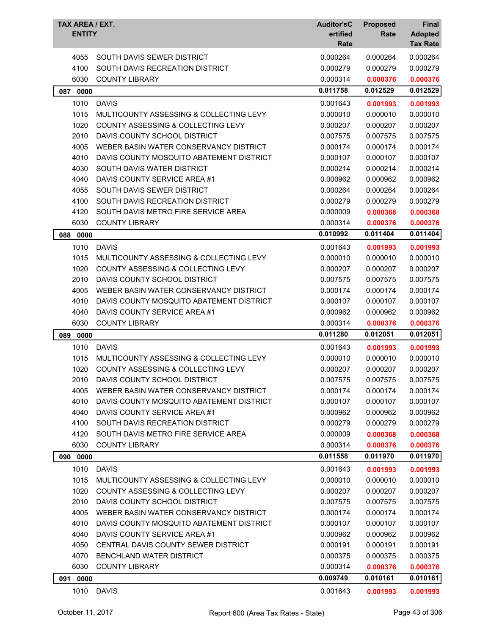| TAX AREA / EXT.<br><b>ENTITY</b> |                                               | <b>Auditor'sC</b><br>ertified<br>Rate | <b>Proposed</b><br>Rate | Final<br><b>Adopted</b><br><b>Tax Rate</b> |
|----------------------------------|-----------------------------------------------|---------------------------------------|-------------------------|--------------------------------------------|
| 4055                             | SOUTH DAVIS SEWER DISTRICT                    | 0.000264                              | 0.000264                | 0.000264                                   |
| 4100                             | SOUTH DAVIS RECREATION DISTRICT               | 0.000279                              | 0.000279                | 0.000279                                   |
| 6030                             | <b>COUNTY LIBRARY</b>                         | 0.000314                              | 0.000376                | 0.000376                                   |
| 087<br>0000                      |                                               | 0.011758                              | 0.012529                | 0.012529                                   |
| 1010                             | <b>DAVIS</b>                                  | 0.001643                              | 0.001993                | 0.001993                                   |
| 1015                             | MULTICOUNTY ASSESSING & COLLECTING LEVY       | 0.000010                              | 0.000010                | 0.000010                                   |
| 1020                             | COUNTY ASSESSING & COLLECTING LEVY            | 0.000207                              | 0.000207                | 0.000207                                   |
| 2010                             | DAVIS COUNTY SCHOOL DISTRICT                  | 0.007575                              | 0.007575                | 0.007575                                   |
| 4005                             | WEBER BASIN WATER CONSERVANCY DISTRICT        | 0.000174                              | 0.000174                | 0.000174                                   |
| 4010                             | DAVIS COUNTY MOSQUITO ABATEMENT DISTRICT      | 0.000107                              | 0.000107                | 0.000107                                   |
| 4030                             | SOUTH DAVIS WATER DISTRICT                    | 0.000214                              | 0.000214                | 0.000214                                   |
| 4040                             | DAVIS COUNTY SERVICE AREA #1                  | 0.000962                              | 0.000962                | 0.000962                                   |
| 4055                             | SOUTH DAVIS SEWER DISTRICT                    | 0.000264                              | 0.000264                | 0.000264                                   |
| 4100                             | SOUTH DAVIS RECREATION DISTRICT               | 0.000279                              | 0.000279                | 0.000279                                   |
| 4120                             | SOUTH DAVIS METRO FIRE SERVICE AREA           | 0.000009                              | 0.000368                | 0.000368                                   |
| 6030                             | <b>COUNTY LIBRARY</b>                         | 0.000314                              | 0.000376                | 0.000376                                   |
| 088 0000                         |                                               | 0.010992                              | 0.011404                | 0.011404                                   |
| 1010                             | <b>DAVIS</b>                                  | 0.001643                              | 0.001993                | 0.001993                                   |
| 1015                             | MULTICOUNTY ASSESSING & COLLECTING LEVY       | 0.000010                              | 0.000010                | 0.000010                                   |
| 1020                             | <b>COUNTY ASSESSING &amp; COLLECTING LEVY</b> | 0.000207                              | 0.000207                | 0.000207                                   |
| 2010                             | DAVIS COUNTY SCHOOL DISTRICT                  | 0.007575                              | 0.007575                | 0.007575                                   |
| 4005                             | WEBER BASIN WATER CONSERVANCY DISTRICT        | 0.000174                              | 0.000174                | 0.000174                                   |
| 4010                             | DAVIS COUNTY MOSQUITO ABATEMENT DISTRICT      | 0.000107                              | 0.000107                | 0.000107                                   |
| 4040                             | DAVIS COUNTY SERVICE AREA #1                  | 0.000962                              | 0.000962                | 0.000962                                   |
| 6030                             | <b>COUNTY LIBRARY</b>                         | 0.000314                              | 0.000376                | 0.000376                                   |
| 089<br>0000                      |                                               | 0.011280                              | 0.012051                | 0.012051                                   |
| 1010                             | <b>DAVIS</b>                                  | 0.001643                              | 0.001993                | 0.001993                                   |
| 1015                             | MULTICOUNTY ASSESSING & COLLECTING LEVY       | 0.000010                              | 0.000010                | 0.000010                                   |
| 1020                             | COUNTY ASSESSING & COLLECTING LEVY            | 0.000207                              | 0.000207                | 0.000207                                   |
| 2010                             | DAVIS COUNTY SCHOOL DISTRICT                  | 0.007575                              | 0.007575                | 0.007575                                   |
| 4005                             | WEBER BASIN WATER CONSERVANCY DISTRICT        | 0.000174                              | 0.000174                | 0.000174                                   |
| 4010                             | DAVIS COUNTY MOSQUITO ABATEMENT DISTRICT      | 0.000107                              | 0.000107                | 0.000107                                   |
| 4040                             | DAVIS COUNTY SERVICE AREA #1                  | 0.000962                              | 0.000962                | 0.000962                                   |
| 4100                             | SOUTH DAVIS RECREATION DISTRICT               | 0.000279                              | 0.000279                | 0.000279                                   |
| 4120                             | SOUTH DAVIS METRO FIRE SERVICE AREA           | 0.000009                              | 0.000368                | 0.000368                                   |
| 6030                             | <b>COUNTY LIBRARY</b>                         | 0.000314                              | 0.000376                | 0.000376                                   |
| 090 0000                         |                                               | 0.011558                              | 0.011970                | 0.011970                                   |
| 1010                             | <b>DAVIS</b>                                  | 0.001643                              | 0.001993                | 0.001993                                   |
| 1015                             | MULTICOUNTY ASSESSING & COLLECTING LEVY       | 0.000010                              | 0.000010                | 0.000010                                   |
| 1020                             | COUNTY ASSESSING & COLLECTING LEVY            | 0.000207                              | 0.000207                | 0.000207                                   |
| 2010                             | DAVIS COUNTY SCHOOL DISTRICT                  | 0.007575                              | 0.007575                | 0.007575                                   |
| 4005                             | WEBER BASIN WATER CONSERVANCY DISTRICT        | 0.000174                              | 0.000174                | 0.000174                                   |
| 4010                             | DAVIS COUNTY MOSQUITO ABATEMENT DISTRICT      | 0.000107                              | 0.000107                | 0.000107                                   |
| 4040                             | DAVIS COUNTY SERVICE AREA #1                  | 0.000962                              | 0.000962                | 0.000962                                   |
| 4050                             | CENTRAL DAVIS COUNTY SEWER DISTRICT           | 0.000191                              | 0.000191                | 0.000191                                   |
| 4070                             | BENCHLAND WATER DISTRICT                      | 0.000375                              | 0.000375                | 0.000375                                   |
| 6030                             | <b>COUNTY LIBRARY</b>                         | 0.000314                              | 0.000376                | 0.000376                                   |
| 091 0000                         |                                               | 0.009749                              | 0.010161                | 0.010161                                   |
| 1010                             | <b>DAVIS</b>                                  | 0.001643                              | 0.001993                | 0.001993                                   |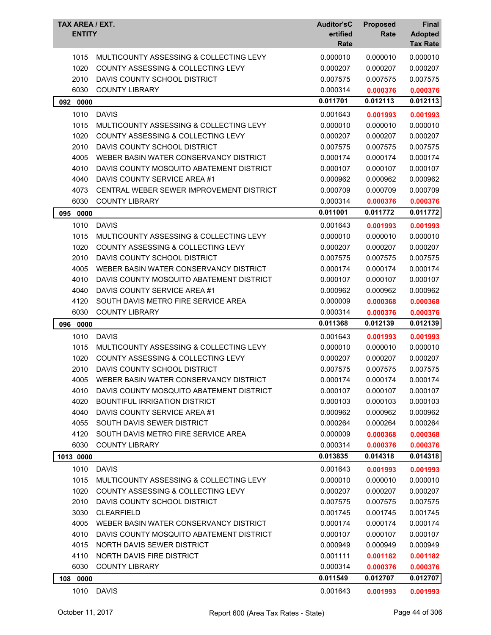| TAX AREA / EXT.<br><b>ENTITY</b> |                                               | <b>Auditor'sC</b><br>ertified<br>Rate | <b>Proposed</b><br>Rate | Final<br><b>Adopted</b><br><b>Tax Rate</b> |
|----------------------------------|-----------------------------------------------|---------------------------------------|-------------------------|--------------------------------------------|
| 1015                             | MULTICOUNTY ASSESSING & COLLECTING LEVY       | 0.000010                              | 0.000010                | 0.000010                                   |
| 1020                             | COUNTY ASSESSING & COLLECTING LEVY            | 0.000207                              | 0.000207                | 0.000207                                   |
| 2010                             | DAVIS COUNTY SCHOOL DISTRICT                  | 0.007575                              | 0.007575                | 0.007575                                   |
| 6030                             | <b>COUNTY LIBRARY</b>                         | 0.000314                              | 0.000376                | 0.000376                                   |
| 092 0000                         |                                               | 0.011701                              | 0.012113                | 0.012113                                   |
| 1010                             | <b>DAVIS</b>                                  | 0.001643                              | 0.001993                | 0.001993                                   |
| 1015                             | MULTICOUNTY ASSESSING & COLLECTING LEVY       | 0.000010                              | 0.000010                | 0.000010                                   |
| 1020                             | COUNTY ASSESSING & COLLECTING LEVY            | 0.000207                              | 0.000207                | 0.000207                                   |
| 2010                             | DAVIS COUNTY SCHOOL DISTRICT                  | 0.007575                              | 0.007575                | 0.007575                                   |
| 4005                             | WEBER BASIN WATER CONSERVANCY DISTRICT        | 0.000174                              | 0.000174                | 0.000174                                   |
| 4010                             | DAVIS COUNTY MOSQUITO ABATEMENT DISTRICT      | 0.000107                              | 0.000107                | 0.000107                                   |
| 4040                             | DAVIS COUNTY SERVICE AREA #1                  | 0.000962                              | 0.000962                | 0.000962                                   |
| 4073                             | CENTRAL WEBER SEWER IMPROVEMENT DISTRICT      | 0.000709                              | 0.000709                | 0.000709                                   |
| 6030                             | <b>COUNTY LIBRARY</b>                         | 0.000314                              | 0.000376                | 0.000376                                   |
| 095<br>0000                      |                                               | 0.011001                              | 0.011772                | 0.011772                                   |
| 1010                             | <b>DAVIS</b>                                  | 0.001643                              | 0.001993                | 0.001993                                   |
| 1015                             | MULTICOUNTY ASSESSING & COLLECTING LEVY       | 0.000010                              | 0.000010                | 0.000010                                   |
| 1020                             | <b>COUNTY ASSESSING &amp; COLLECTING LEVY</b> | 0.000207                              | 0.000207                | 0.000207                                   |
| 2010                             | DAVIS COUNTY SCHOOL DISTRICT                  | 0.007575                              | 0.007575                | 0.007575                                   |
| 4005                             | WEBER BASIN WATER CONSERVANCY DISTRICT        | 0.000174                              | 0.000174                | 0.000174                                   |
| 4010                             | DAVIS COUNTY MOSQUITO ABATEMENT DISTRICT      | 0.000107                              | 0.000107                | 0.000107                                   |
| 4040                             | DAVIS COUNTY SERVICE AREA #1                  | 0.000962                              | 0.000962                | 0.000962                                   |
| 4120                             | SOUTH DAVIS METRO FIRE SERVICE AREA           | 0.000009                              | 0.000368                | 0.000368                                   |
| 6030                             | <b>COUNTY LIBRARY</b>                         | 0.000314                              | 0.000376                | 0.000376                                   |
| 096<br>0000                      |                                               | 0.011368                              | 0.012139                | 0.012139                                   |
| 1010                             | <b>DAVIS</b>                                  | 0.001643                              | 0.001993                | 0.001993                                   |
| 1015                             | MULTICOUNTY ASSESSING & COLLECTING LEVY       | 0.000010                              | 0.000010                | 0.000010                                   |
| 1020                             | <b>COUNTY ASSESSING &amp; COLLECTING LEVY</b> | 0.000207                              | 0.000207                | 0.000207                                   |
| 2010                             | DAVIS COUNTY SCHOOL DISTRICT                  |                                       |                         |                                            |
| 4005                             |                                               | 0.007575                              | 0.007575                | 0.007575                                   |
|                                  | WEBER BASIN WATER CONSERVANCY DISTRICT        | 0.000174                              | 0.000174                | 0.000174                                   |
| 4010                             | DAVIS COUNTY MOSQUITO ABATEMENT DISTRICT      | 0.000107                              | 0.000107                | 0.000107                                   |
| 4020                             | <b>BOUNTIFUL IRRIGATION DISTRICT</b>          | 0.000103                              | 0.000103                | 0.000103                                   |
| 4040                             | DAVIS COUNTY SERVICE AREA #1                  | 0.000962                              | 0.000962                | 0.000962                                   |
| 4055                             | SOUTH DAVIS SEWER DISTRICT                    | 0.000264                              | 0.000264                | 0.000264                                   |
| 4120                             | SOUTH DAVIS METRO FIRE SERVICE AREA           | 0.000009                              | 0.000368                | 0.000368                                   |
| 6030                             | <b>COUNTY LIBRARY</b>                         | 0.000314                              | 0.000376                | 0.000376                                   |
| 1013 0000                        |                                               | 0.013835                              | 0.014318                | 0.014318                                   |
| 1010                             | <b>DAVIS</b>                                  | 0.001643                              | 0.001993                | 0.001993                                   |
| 1015                             | MULTICOUNTY ASSESSING & COLLECTING LEVY       | 0.000010                              | 0.000010                | 0.000010                                   |
| 1020                             | COUNTY ASSESSING & COLLECTING LEVY            | 0.000207                              | 0.000207                | 0.000207                                   |
| 2010                             | DAVIS COUNTY SCHOOL DISTRICT                  | 0.007575                              | 0.007575                | 0.007575                                   |
| 3030                             | <b>CLEARFIELD</b>                             | 0.001745                              | 0.001745                | 0.001745                                   |
| 4005                             | WEBER BASIN WATER CONSERVANCY DISTRICT        | 0.000174                              | 0.000174                | 0.000174                                   |
| 4010                             | DAVIS COUNTY MOSQUITO ABATEMENT DISTRICT      | 0.000107                              | 0.000107                | 0.000107                                   |
| 4015                             | NORTH DAVIS SEWER DISTRICT                    | 0.000949                              | 0.000949                | 0.000949                                   |
| 4110                             | NORTH DAVIS FIRE DISTRICT                     | 0.001111                              | 0.001182                | 0.001182                                   |
| 6030                             | <b>COUNTY LIBRARY</b>                         | 0.000314                              | 0.000376                | 0.000376                                   |
| 108 0000                         |                                               | 0.011549                              | 0.012707                | 0.012707                                   |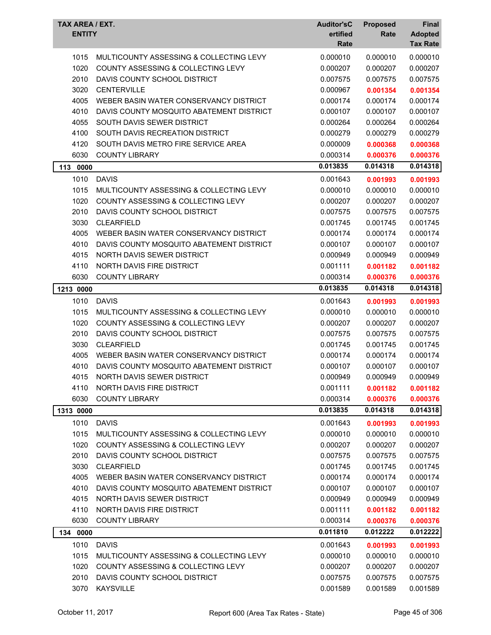| TAX AREA / EXT.<br><b>ENTITY</b> |                                               | <b>Auditor'sC</b><br>ertified<br>Rate | <b>Proposed</b><br>Rate | Final<br><b>Adopted</b><br><b>Tax Rate</b> |
|----------------------------------|-----------------------------------------------|---------------------------------------|-------------------------|--------------------------------------------|
| 1015                             | MULTICOUNTY ASSESSING & COLLECTING LEVY       | 0.000010                              | 0.000010                | 0.000010                                   |
| 1020                             | COUNTY ASSESSING & COLLECTING LEVY            | 0.000207                              | 0.000207                | 0.000207                                   |
| 2010                             | DAVIS COUNTY SCHOOL DISTRICT                  | 0.007575                              | 0.007575                | 0.007575                                   |
| 3020                             | <b>CENTERVILLE</b>                            | 0.000967                              |                         |                                            |
| 4005                             | WEBER BASIN WATER CONSERVANCY DISTRICT        | 0.000174                              | 0.001354<br>0.000174    | 0.001354<br>0.000174                       |
| 4010                             | DAVIS COUNTY MOSQUITO ABATEMENT DISTRICT      | 0.000107                              | 0.000107                | 0.000107                                   |
| 4055                             | SOUTH DAVIS SEWER DISTRICT                    | 0.000264                              | 0.000264                | 0.000264                                   |
| 4100                             | SOUTH DAVIS RECREATION DISTRICT               | 0.000279                              | 0.000279                | 0.000279                                   |
| 4120                             | SOUTH DAVIS METRO FIRE SERVICE AREA           | 0.000009                              |                         |                                            |
| 6030                             | <b>COUNTY LIBRARY</b>                         | 0.000314                              | 0.000368                | 0.000368                                   |
|                                  |                                               |                                       | 0.000376                | 0.000376                                   |
| 113 0000                         |                                               | 0.013835                              | 0.014318                | 0.014318                                   |
| 1010                             | <b>DAVIS</b>                                  | 0.001643                              | 0.001993                | 0.001993                                   |
| 1015                             | MULTICOUNTY ASSESSING & COLLECTING LEVY       | 0.000010                              | 0.000010                | 0.000010                                   |
| 1020                             | COUNTY ASSESSING & COLLECTING LEVY            | 0.000207                              | 0.000207                | 0.000207                                   |
| 2010                             | DAVIS COUNTY SCHOOL DISTRICT                  | 0.007575                              | 0.007575                | 0.007575                                   |
| 3030                             | <b>CLEARFIELD</b>                             | 0.001745                              | 0.001745                | 0.001745                                   |
| 4005                             | WEBER BASIN WATER CONSERVANCY DISTRICT        | 0.000174                              | 0.000174                | 0.000174                                   |
| 4010                             | DAVIS COUNTY MOSQUITO ABATEMENT DISTRICT      | 0.000107                              | 0.000107                | 0.000107                                   |
| 4015                             | NORTH DAVIS SEWER DISTRICT                    | 0.000949                              | 0.000949                | 0.000949                                   |
| 4110                             | <b>NORTH DAVIS FIRE DISTRICT</b>              | 0.001111                              | 0.001182                | 0.001182                                   |
| 6030                             | <b>COUNTY LIBRARY</b>                         | 0.000314                              | 0.000376                | 0.000376                                   |
| 1213 0000                        |                                               | 0.013835                              | 0.014318                | 0.014318                                   |
| 1010                             | <b>DAVIS</b>                                  | 0.001643                              | 0.001993                | 0.001993                                   |
| 1015                             | MULTICOUNTY ASSESSING & COLLECTING LEVY       | 0.000010                              | 0.000010                | 0.000010                                   |
| 1020                             | <b>COUNTY ASSESSING &amp; COLLECTING LEVY</b> | 0.000207                              | 0.000207                | 0.000207                                   |
| 2010                             | DAVIS COUNTY SCHOOL DISTRICT                  | 0.007575                              | 0.007575                | 0.007575                                   |
| 3030                             | <b>CLEARFIELD</b>                             | 0.001745                              | 0.001745                | 0.001745                                   |
| 4005                             | WEBER BASIN WATER CONSERVANCY DISTRICT        | 0.000174                              | 0.000174                | 0.000174                                   |
| 4010                             | DAVIS COUNTY MOSQUITO ABATEMENT DISTRICT      | 0.000107                              | 0.000107                | 0.000107                                   |
| 4015                             | NORTH DAVIS SEWER DISTRICT                    | 0.000949                              | 0.000949                | 0.000949                                   |
| 4110                             | NORTH DAVIS FIRE DISTRICT                     | 0.001111                              | 0.001182                | 0.001182                                   |
| 6030                             | <b>COUNTY LIBRARY</b>                         | 0.000314                              | 0.000376                | 0.000376                                   |
| 1313 0000                        |                                               | 0.013835                              | 0.014318                | 0.014318                                   |
| 1010                             | <b>DAVIS</b>                                  | 0.001643                              | 0.001993                | 0.001993                                   |
| 1015                             | MULTICOUNTY ASSESSING & COLLECTING LEVY       | 0.000010                              | 0.000010                | 0.000010                                   |
| 1020                             | COUNTY ASSESSING & COLLECTING LEVY            | 0.000207                              | 0.000207                | 0.000207                                   |
| 2010                             | DAVIS COUNTY SCHOOL DISTRICT                  | 0.007575                              | 0.007575                | 0.007575                                   |
| 3030                             | <b>CLEARFIELD</b>                             | 0.001745                              | 0.001745                | 0.001745                                   |
| 4005                             | WEBER BASIN WATER CONSERVANCY DISTRICT        | 0.000174                              | 0.000174                | 0.000174                                   |
| 4010                             | DAVIS COUNTY MOSQUITO ABATEMENT DISTRICT      | 0.000107                              | 0.000107                | 0.000107                                   |
| 4015                             | NORTH DAVIS SEWER DISTRICT                    | 0.000949                              | 0.000949                | 0.000949                                   |
| 4110                             | NORTH DAVIS FIRE DISTRICT                     | 0.001111                              | 0.001182                | 0.001182                                   |
| 6030                             | <b>COUNTY LIBRARY</b>                         | 0.000314                              | 0.000376                | 0.000376                                   |
| 134 0000                         |                                               | 0.011810                              | 0.012222                | 0.012222                                   |
|                                  |                                               |                                       |                         |                                            |
| 1010                             | <b>DAVIS</b>                                  | 0.001643                              | 0.001993                | 0.001993                                   |
| 1015                             | MULTICOUNTY ASSESSING & COLLECTING LEVY       | 0.000010                              | 0.000010                | 0.000010                                   |
| 1020                             | COUNTY ASSESSING & COLLECTING LEVY            | 0.000207                              | 0.000207                | 0.000207                                   |
| 2010<br>3070                     | DAVIS COUNTY SCHOOL DISTRICT                  | 0.007575                              | 0.007575                | 0.007575                                   |
|                                  | <b>KAYSVILLE</b>                              | 0.001589                              | 0.001589                | 0.001589                                   |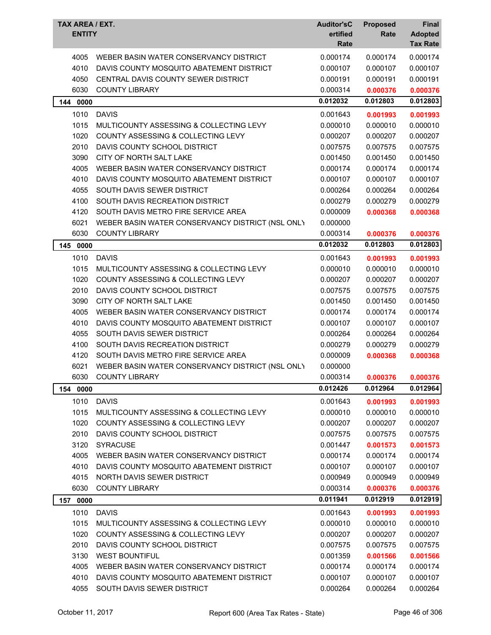| TAX AREA / EXT.<br><b>ENTITY</b> |                                                  | <b>Auditor'sC</b><br>ertified<br>Rate | <b>Proposed</b><br>Rate | Final<br><b>Adopted</b><br><b>Tax Rate</b> |
|----------------------------------|--------------------------------------------------|---------------------------------------|-------------------------|--------------------------------------------|
| 4005                             | WEBER BASIN WATER CONSERVANCY DISTRICT           | 0.000174                              | 0.000174                | 0.000174                                   |
| 4010                             | DAVIS COUNTY MOSQUITO ABATEMENT DISTRICT         | 0.000107                              | 0.000107                | 0.000107                                   |
| 4050                             | CENTRAL DAVIS COUNTY SEWER DISTRICT              | 0.000191                              | 0.000191                | 0.000191                                   |
| 6030                             | <b>COUNTY LIBRARY</b>                            | 0.000314                              | 0.000376                | 0.000376                                   |
| 144 0000                         |                                                  | 0.012032                              | 0.012803                | 0.012803                                   |
| 1010                             | <b>DAVIS</b>                                     | 0.001643                              | 0.001993                | 0.001993                                   |
| 1015                             | MULTICOUNTY ASSESSING & COLLECTING LEVY          | 0.000010                              | 0.000010                | 0.000010                                   |
| 1020                             | COUNTY ASSESSING & COLLECTING LEVY               | 0.000207                              | 0.000207                | 0.000207                                   |
| 2010                             | DAVIS COUNTY SCHOOL DISTRICT                     | 0.007575                              | 0.007575                | 0.007575                                   |
| 3090                             | CITY OF NORTH SALT LAKE                          | 0.001450                              | 0.001450                | 0.001450                                   |
| 4005                             | WEBER BASIN WATER CONSERVANCY DISTRICT           | 0.000174                              | 0.000174                | 0.000174                                   |
| 4010                             | DAVIS COUNTY MOSQUITO ABATEMENT DISTRICT         | 0.000107                              | 0.000107                | 0.000107                                   |
| 4055                             | SOUTH DAVIS SEWER DISTRICT                       | 0.000264                              | 0.000264                | 0.000264                                   |
| 4100                             | SOUTH DAVIS RECREATION DISTRICT                  | 0.000279                              | 0.000279                | 0.000279                                   |
| 4120                             | SOUTH DAVIS METRO FIRE SERVICE AREA              | 0.000009                              | 0.000368                | 0.000368                                   |
| 6021                             | WEBER BASIN WATER CONSERVANCY DISTRICT (NSL ONLY | 0.000000                              |                         |                                            |
| 6030                             | <b>COUNTY LIBRARY</b>                            | 0.000314                              | 0.000376                | 0.000376                                   |
| 145 0000                         |                                                  | 0.012032                              | 0.012803                | 0.012803                                   |
| 1010                             | <b>DAVIS</b>                                     | 0.001643                              | 0.001993                | 0.001993                                   |
| 1015                             | MULTICOUNTY ASSESSING & COLLECTING LEVY          | 0.000010                              | 0.000010                | 0.000010                                   |
| 1020                             | COUNTY ASSESSING & COLLECTING LEVY               | 0.000207                              | 0.000207                | 0.000207                                   |
| 2010                             | DAVIS COUNTY SCHOOL DISTRICT                     | 0.007575                              | 0.007575                | 0.007575                                   |
| 3090                             | CITY OF NORTH SALT LAKE                          | 0.001450                              | 0.001450                | 0.001450                                   |
| 4005                             | WEBER BASIN WATER CONSERVANCY DISTRICT           | 0.000174                              | 0.000174                | 0.000174                                   |
| 4010                             | DAVIS COUNTY MOSQUITO ABATEMENT DISTRICT         | 0.000107                              | 0.000107                | 0.000107                                   |
| 4055                             | SOUTH DAVIS SEWER DISTRICT                       | 0.000264                              | 0.000264                | 0.000264                                   |
| 4100                             | SOUTH DAVIS RECREATION DISTRICT                  | 0.000279                              | 0.000279                | 0.000279                                   |
| 4120                             | SOUTH DAVIS METRO FIRE SERVICE AREA              | 0.000009                              | 0.000368                | 0.000368                                   |
| 6021                             | WEBER BASIN WATER CONSERVANCY DISTRICT (NSL ONLY | 0.000000                              |                         |                                            |
| 6030                             | <b>COUNTY LIBRARY</b>                            | 0.000314                              | 0.000376                | 0.000376                                   |
| 154<br>0000                      |                                                  | 0.012426                              | 0.012964                | 0.012964                                   |
| 1010                             | <b>DAVIS</b>                                     | 0.001643                              | 0.001993                | 0.001993                                   |
| 1015                             | MULTICOUNTY ASSESSING & COLLECTING LEVY          | 0.000010                              | 0.000010                | 0.000010                                   |
| 1020                             | COUNTY ASSESSING & COLLECTING LEVY               | 0.000207                              | 0.000207                | 0.000207                                   |
| 2010                             | DAVIS COUNTY SCHOOL DISTRICT                     | 0.007575                              | 0.007575                | 0.007575                                   |
| 3120                             | <b>SYRACUSE</b>                                  | 0.001447                              | 0.001573                | 0.001573                                   |
| 4005                             | WEBER BASIN WATER CONSERVANCY DISTRICT           | 0.000174                              | 0.000174                | 0.000174                                   |
| 4010                             | DAVIS COUNTY MOSQUITO ABATEMENT DISTRICT         | 0.000107                              | 0.000107                | 0.000107                                   |
| 4015                             | NORTH DAVIS SEWER DISTRICT                       | 0.000949                              | 0.000949                | 0.000949                                   |
| 6030                             | <b>COUNTY LIBRARY</b>                            | 0.000314                              | 0.000376                | 0.000376                                   |
| 157 0000                         |                                                  | 0.011941                              | 0.012919                | 0.012919                                   |
| 1010                             | <b>DAVIS</b>                                     | 0.001643                              | 0.001993                | 0.001993                                   |
| 1015                             | MULTICOUNTY ASSESSING & COLLECTING LEVY          | 0.000010                              | 0.000010                | 0.000010                                   |
| 1020                             | COUNTY ASSESSING & COLLECTING LEVY               | 0.000207                              | 0.000207                | 0.000207                                   |
| 2010                             | DAVIS COUNTY SCHOOL DISTRICT                     | 0.007575                              | 0.007575                | 0.007575                                   |
| 3130                             | <b>WEST BOUNTIFUL</b>                            | 0.001359                              | 0.001566                | 0.001566                                   |
| 4005                             | WEBER BASIN WATER CONSERVANCY DISTRICT           | 0.000174                              | 0.000174                | 0.000174                                   |
| 4010                             | DAVIS COUNTY MOSQUITO ABATEMENT DISTRICT         | 0.000107                              | 0.000107                | 0.000107                                   |
| 4055                             | SOUTH DAVIS SEWER DISTRICT                       | 0.000264                              | 0.000264                | 0.000264                                   |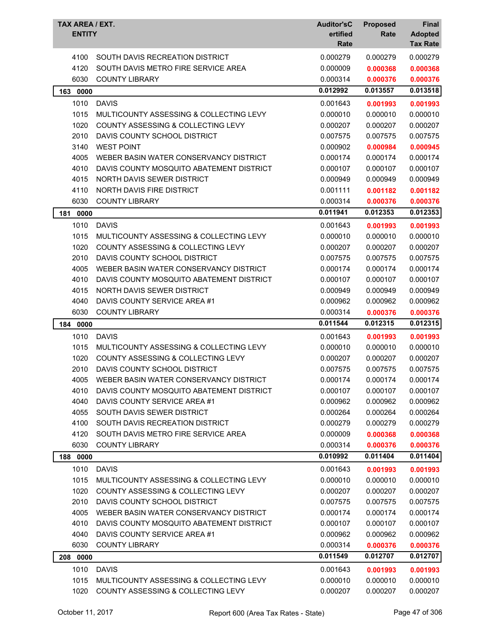| TAX AREA / EXT.<br><b>ENTITY</b> |                                                                               | <b>Auditor'sC</b><br>ertified<br>Rate | <b>Proposed</b><br>Rate | Final<br><b>Adopted</b><br><b>Tax Rate</b> |
|----------------------------------|-------------------------------------------------------------------------------|---------------------------------------|-------------------------|--------------------------------------------|
| 4100                             | SOUTH DAVIS RECREATION DISTRICT                                               | 0.000279                              | 0.000279                | 0.000279                                   |
| 4120                             | SOUTH DAVIS METRO FIRE SERVICE AREA                                           | 0.000009                              | 0.000368                | 0.000368                                   |
| 6030                             | <b>COUNTY LIBRARY</b>                                                         | 0.000314                              | 0.000376                | 0.000376                                   |
| 163 0000                         |                                                                               | 0.012992                              | 0.013557                | 0.013518                                   |
| 1010                             | <b>DAVIS</b>                                                                  | 0.001643                              | 0.001993                | 0.001993                                   |
| 1015                             | MULTICOUNTY ASSESSING & COLLECTING LEVY                                       | 0.000010                              | 0.000010                | 0.000010                                   |
| 1020                             | COUNTY ASSESSING & COLLECTING LEVY                                            | 0.000207                              | 0.000207                | 0.000207                                   |
| 2010                             | DAVIS COUNTY SCHOOL DISTRICT                                                  | 0.007575                              | 0.007575                | 0.007575                                   |
| 3140                             | <b>WEST POINT</b>                                                             | 0.000902                              | 0.000984                | 0.000945                                   |
| 4005                             | WEBER BASIN WATER CONSERVANCY DISTRICT                                        | 0.000174                              | 0.000174                | 0.000174                                   |
| 4010                             | DAVIS COUNTY MOSQUITO ABATEMENT DISTRICT                                      | 0.000107                              | 0.000107                | 0.000107                                   |
| 4015                             | NORTH DAVIS SEWER DISTRICT                                                    | 0.000949                              | 0.000949                | 0.000949                                   |
| 4110                             | NORTH DAVIS FIRE DISTRICT                                                     | 0.001111                              | 0.001182                | 0.001182                                   |
| 6030                             | <b>COUNTY LIBRARY</b>                                                         | 0.000314                              | 0.000376                | 0.000376                                   |
| 181<br>0000                      |                                                                               | 0.011941                              | 0.012353                | 0.012353                                   |
| 1010                             | <b>DAVIS</b>                                                                  | 0.001643                              | 0.001993                | 0.001993                                   |
| 1015                             | MULTICOUNTY ASSESSING & COLLECTING LEVY                                       | 0.000010                              | 0.000010                | 0.000010                                   |
| 1020                             | <b>COUNTY ASSESSING &amp; COLLECTING LEVY</b>                                 | 0.000207                              | 0.000207                | 0.000207                                   |
| 2010                             | DAVIS COUNTY SCHOOL DISTRICT                                                  | 0.007575                              | 0.007575                | 0.007575                                   |
| 4005                             | WEBER BASIN WATER CONSERVANCY DISTRICT                                        | 0.000174                              | 0.000174                | 0.000174                                   |
| 4010                             | DAVIS COUNTY MOSQUITO ABATEMENT DISTRICT                                      | 0.000107                              | 0.000107                | 0.000107                                   |
| 4015                             | NORTH DAVIS SEWER DISTRICT                                                    | 0.000949                              | 0.000949                | 0.000949                                   |
| 4040                             | DAVIS COUNTY SERVICE AREA #1                                                  | 0.000962                              | 0.000962                | 0.000962                                   |
| 6030                             | <b>COUNTY LIBRARY</b>                                                         | 0.000314                              | 0.000376                | 0.000376                                   |
| 184 0000                         |                                                                               | 0.011544                              | 0.012315                | 0.012315                                   |
| 1010                             | <b>DAVIS</b>                                                                  | 0.001643                              | 0.001993                | 0.001993                                   |
| 1015                             | MULTICOUNTY ASSESSING & COLLECTING LEVY                                       | 0.000010                              | 0.000010                | 0.000010                                   |
| 1020                             | COUNTY ASSESSING & COLLECTING LEVY                                            | 0.000207                              | 0.000207                | 0.000207                                   |
| 2010                             | DAVIS COUNTY SCHOOL DISTRICT                                                  | 0.007575                              | 0.007575                | 0.007575                                   |
| 4005                             | WEBER BASIN WATER CONSERVANCY DISTRICT                                        | 0.000174                              | 0.000174                | 0.000174                                   |
| 4010                             | DAVIS COUNTY MOSQUITO ABATEMENT DISTRICT                                      | 0.000107                              | 0.000107                | 0.000107                                   |
| 4040                             | DAVIS COUNTY SERVICE AREA #1                                                  | 0.000962                              | 0.000962                | 0.000962                                   |
| 4055                             | SOUTH DAVIS SEWER DISTRICT                                                    | 0.000264                              | 0.000264                | 0.000264                                   |
| 4100                             | SOUTH DAVIS RECREATION DISTRICT                                               | 0.000279                              | 0.000279                | 0.000279                                   |
| 4120                             | SOUTH DAVIS METRO FIRE SERVICE AREA                                           | 0.000009                              | 0.000368                | 0.000368                                   |
| 6030                             | <b>COUNTY LIBRARY</b>                                                         | 0.000314                              | 0.000376                | 0.000376                                   |
| 0000<br>188                      |                                                                               | 0.010992                              | 0.011404                | 0.011404                                   |
| 1010                             | <b>DAVIS</b>                                                                  | 0.001643                              | 0.001993                | 0.001993                                   |
| 1015                             | MULTICOUNTY ASSESSING & COLLECTING LEVY                                       | 0.000010                              | 0.000010                | 0.000010                                   |
| 1020                             | <b>COUNTY ASSESSING &amp; COLLECTING LEVY</b>                                 | 0.000207                              | 0.000207                | 0.000207                                   |
| 2010                             | DAVIS COUNTY SCHOOL DISTRICT                                                  | 0.007575                              | 0.007575                | 0.007575                                   |
| 4005                             | WEBER BASIN WATER CONSERVANCY DISTRICT                                        | 0.000174                              | 0.000174                | 0.000174                                   |
| 4010                             |                                                                               |                                       |                         |                                            |
|                                  | DAVIS COUNTY MOSQUITO ABATEMENT DISTRICT                                      | 0.000107                              | 0.000107                | 0.000107                                   |
| 4040                             | DAVIS COUNTY SERVICE AREA #1                                                  | 0.000962                              | 0.000962                | 0.000962                                   |
| 6030                             | <b>COUNTY LIBRARY</b>                                                         | 0.000314                              | 0.000376                | 0.000376                                   |
| 0000<br>208                      |                                                                               | 0.011549                              | 0.012707                | 0.012707                                   |
| 1010                             | <b>DAVIS</b>                                                                  | 0.001643                              | 0.001993                | 0.001993                                   |
| 1015<br>1020                     | MULTICOUNTY ASSESSING & COLLECTING LEVY<br>COUNTY ASSESSING & COLLECTING LEVY | 0.000010<br>0.000207                  | 0.000010<br>0.000207    | 0.000010<br>0.000207                       |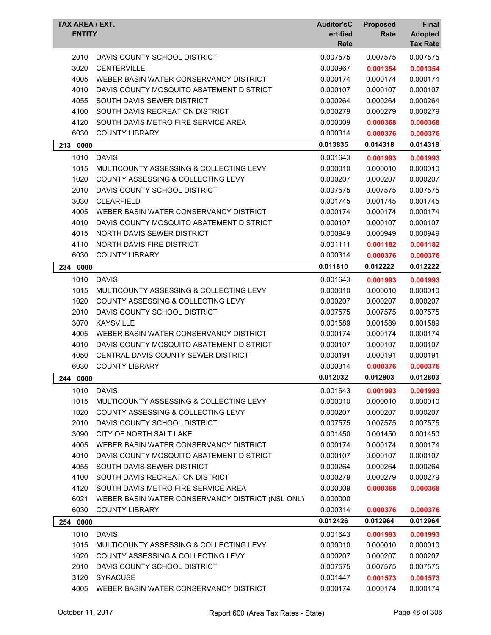| TAX AREA / EXT.<br><b>ENTITY</b> |                                                  | <b>Auditor'sC</b><br>ertified<br>Rate | <b>Proposed</b><br>Rate | Final<br><b>Adopted</b><br><b>Tax Rate</b> |
|----------------------------------|--------------------------------------------------|---------------------------------------|-------------------------|--------------------------------------------|
|                                  |                                                  |                                       |                         |                                            |
| 2010                             | DAVIS COUNTY SCHOOL DISTRICT                     | 0.007575                              | 0.007575                | 0.007575                                   |
| 3020                             | <b>CENTERVILLE</b>                               | 0.000967                              | 0.001354                | 0.001354                                   |
| 4005                             | WEBER BASIN WATER CONSERVANCY DISTRICT           | 0.000174                              | 0.000174                | 0.000174                                   |
| 4010                             | DAVIS COUNTY MOSQUITO ABATEMENT DISTRICT         | 0.000107                              | 0.000107                | 0.000107                                   |
| 4055                             | SOUTH DAVIS SEWER DISTRICT                       | 0.000264                              | 0.000264                | 0.000264                                   |
| 4100                             | SOUTH DAVIS RECREATION DISTRICT                  | 0.000279                              | 0.000279                | 0.000279                                   |
| 4120                             | SOUTH DAVIS METRO FIRE SERVICE AREA              | 0.000009                              | 0.000368                | 0.000368                                   |
| 6030                             | <b>COUNTY LIBRARY</b>                            | 0.000314<br>0.013835                  | 0.000376<br>0.014318    | 0.000376                                   |
| 213 0000                         |                                                  |                                       |                         | 0.014318                                   |
| 1010                             | <b>DAVIS</b>                                     | 0.001643                              | 0.001993                | 0.001993                                   |
| 1015                             | MULTICOUNTY ASSESSING & COLLECTING LEVY          | 0.000010                              | 0.000010                | 0.000010                                   |
| 1020                             | <b>COUNTY ASSESSING &amp; COLLECTING LEVY</b>    | 0.000207                              | 0.000207                | 0.000207                                   |
| 2010                             | DAVIS COUNTY SCHOOL DISTRICT                     | 0.007575                              | 0.007575                | 0.007575                                   |
| 3030                             | <b>CLEARFIELD</b>                                | 0.001745                              | 0.001745                | 0.001745                                   |
| 4005                             | WEBER BASIN WATER CONSERVANCY DISTRICT           | 0.000174                              | 0.000174                | 0.000174                                   |
| 4010                             | DAVIS COUNTY MOSQUITO ABATEMENT DISTRICT         | 0.000107                              | 0.000107                | 0.000107                                   |
| 4015                             | NORTH DAVIS SEWER DISTRICT                       | 0.000949                              | 0.000949                | 0.000949                                   |
| 4110                             | <b>NORTH DAVIS FIRE DISTRICT</b>                 | 0.001111                              | 0.001182                | 0.001182                                   |
| 6030                             | <b>COUNTY LIBRARY</b>                            | 0.000314                              | 0.000376                | 0.000376                                   |
| 0000<br>234                      |                                                  | 0.011810                              | 0.012222                | 0.012222                                   |
| 1010                             | <b>DAVIS</b>                                     | 0.001643                              | 0.001993                | 0.001993                                   |
| 1015                             | MULTICOUNTY ASSESSING & COLLECTING LEVY          | 0.000010                              | 0.000010                | 0.000010                                   |
| 1020                             | <b>COUNTY ASSESSING &amp; COLLECTING LEVY</b>    | 0.000207                              | 0.000207                | 0.000207                                   |
| 2010                             | DAVIS COUNTY SCHOOL DISTRICT                     | 0.007575                              | 0.007575                | 0.007575                                   |
| 3070                             | <b>KAYSVILLE</b>                                 | 0.001589                              | 0.001589                | 0.001589                                   |
| 4005                             | WEBER BASIN WATER CONSERVANCY DISTRICT           | 0.000174                              | 0.000174                | 0.000174                                   |
| 4010                             | DAVIS COUNTY MOSQUITO ABATEMENT DISTRICT         | 0.000107                              | 0.000107                | 0.000107                                   |
| 4050                             | CENTRAL DAVIS COUNTY SEWER DISTRICT              | 0.000191                              | 0.000191                | 0.000191                                   |
| 6030                             | <b>COUNTY LIBRARY</b>                            | 0.000314                              | 0.000376                | 0.000376                                   |
| 244 0000                         |                                                  | 0.012032                              | 0.012803                | 0.012803                                   |
| 1010                             | <b>DAVIS</b>                                     | 0.001643                              | 0.001993                | 0.001993                                   |
| 1015                             | MULTICOUNTY ASSESSING & COLLECTING LEVY          | 0.000010                              | 0.000010                | 0.000010                                   |
| 1020                             | COUNTY ASSESSING & COLLECTING LEVY               | 0.000207                              | 0.000207                | 0.000207                                   |
| 2010                             | DAVIS COUNTY SCHOOL DISTRICT                     | 0.007575                              | 0.007575                | 0.007575                                   |
| 3090                             | CITY OF NORTH SALT LAKE                          | 0.001450                              | 0.001450                | 0.001450                                   |
| 4005                             | WEBER BASIN WATER CONSERVANCY DISTRICT           | 0.000174                              | 0.000174                | 0.000174                                   |
| 4010                             | DAVIS COUNTY MOSQUITO ABATEMENT DISTRICT         | 0.000107                              | 0.000107                | 0.000107                                   |
| 4055                             | SOUTH DAVIS SEWER DISTRICT                       | 0.000264                              | 0.000264                | 0.000264                                   |
| 4100                             | SOUTH DAVIS RECREATION DISTRICT                  | 0.000279                              | 0.000279                | 0.000279                                   |
| 4120                             | SOUTH DAVIS METRO FIRE SERVICE AREA              | 0.000009                              | 0.000368                | 0.000368                                   |
| 6021                             | WEBER BASIN WATER CONSERVANCY DISTRICT (NSL ONLY | 0.000000                              |                         |                                            |
| 6030                             | <b>COUNTY LIBRARY</b>                            | 0.000314                              | 0.000376                | 0.000376                                   |
| 254 0000                         |                                                  | 0.012426                              | 0.012964                | 0.012964                                   |
|                                  |                                                  |                                       |                         |                                            |
| 1010                             | <b>DAVIS</b>                                     | 0.001643                              | 0.001993                | 0.001993                                   |
| 1015                             | MULTICOUNTY ASSESSING & COLLECTING LEVY          | 0.000010                              | 0.000010                | 0.000010                                   |
| 1020                             | COUNTY ASSESSING & COLLECTING LEVY               | 0.000207                              | 0.000207                | 0.000207                                   |
| 2010                             | DAVIS COUNTY SCHOOL DISTRICT                     | 0.007575                              | 0.007575                | 0.007575                                   |
| 3120                             | <b>SYRACUSE</b>                                  | 0.001447                              | 0.001573                | 0.001573                                   |
| 4005                             | WEBER BASIN WATER CONSERVANCY DISTRICT           | 0.000174                              | 0.000174                | 0.000174                                   |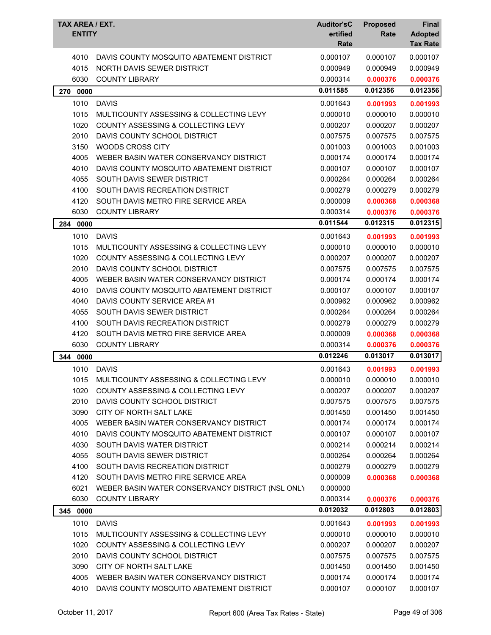| TAX AREA / EXT.<br><b>ENTITY</b> |                                                         | <b>Auditor'sC</b><br>ertified<br>Rate | <b>Proposed</b><br>Rate | Final<br><b>Adopted</b><br><b>Tax Rate</b> |
|----------------------------------|---------------------------------------------------------|---------------------------------------|-------------------------|--------------------------------------------|
| 4010                             | DAVIS COUNTY MOSQUITO ABATEMENT DISTRICT                | 0.000107                              | 0.000107                | 0.000107                                   |
| 4015                             | NORTH DAVIS SEWER DISTRICT                              | 0.000949                              | 0.000949                | 0.000949                                   |
| 6030                             | <b>COUNTY LIBRARY</b>                                   | 0.000314                              | 0.000376                | 0.000376                                   |
| 0000<br>270                      |                                                         | 0.011585                              | 0.012356                | 0.012356                                   |
| 1010                             | <b>DAVIS</b>                                            | 0.001643                              | 0.001993                | 0.001993                                   |
| 1015                             | MULTICOUNTY ASSESSING & COLLECTING LEVY                 | 0.000010                              | 0.000010                | 0.000010                                   |
| 1020                             | COUNTY ASSESSING & COLLECTING LEVY                      | 0.000207                              | 0.000207                | 0.000207                                   |
| 2010                             | DAVIS COUNTY SCHOOL DISTRICT                            | 0.007575                              | 0.007575                | 0.007575                                   |
| 3150                             | <b>WOODS CROSS CITY</b>                                 | 0.001003                              | 0.001003                | 0.001003                                   |
| 4005                             | WEBER BASIN WATER CONSERVANCY DISTRICT                  | 0.000174                              | 0.000174                | 0.000174                                   |
| 4010                             | DAVIS COUNTY MOSQUITO ABATEMENT DISTRICT                | 0.000107                              | 0.000107                | 0.000107                                   |
| 4055                             | SOUTH DAVIS SEWER DISTRICT                              | 0.000264                              | 0.000264                | 0.000264                                   |
| 4100                             | SOUTH DAVIS RECREATION DISTRICT                         | 0.000279                              | 0.000279                | 0.000279                                   |
| 4120                             | SOUTH DAVIS METRO FIRE SERVICE AREA                     | 0.000009                              | 0.000368                | 0.000368                                   |
| 6030                             | <b>COUNTY LIBRARY</b>                                   | 0.000314                              | 0.000376                | 0.000376                                   |
| 0000<br>284                      |                                                         | 0.011544                              | 0.012315                | 0.012315                                   |
| 1010                             | <b>DAVIS</b>                                            | 0.001643                              |                         | 0.001993                                   |
| 1015                             | MULTICOUNTY ASSESSING & COLLECTING LEVY                 | 0.000010                              | 0.001993<br>0.000010    | 0.000010                                   |
| 1020                             | <b>COUNTY ASSESSING &amp; COLLECTING LEVY</b>           | 0.000207                              | 0.000207                | 0.000207                                   |
| 2010                             | DAVIS COUNTY SCHOOL DISTRICT                            | 0.007575                              | 0.007575                | 0.007575                                   |
| 4005                             | WEBER BASIN WATER CONSERVANCY DISTRICT                  | 0.000174                              | 0.000174                | 0.000174                                   |
| 4010                             | DAVIS COUNTY MOSQUITO ABATEMENT DISTRICT                | 0.000107                              | 0.000107                | 0.000107                                   |
| 4040                             | DAVIS COUNTY SERVICE AREA #1                            | 0.000962                              | 0.000962                | 0.000962                                   |
| 4055                             | SOUTH DAVIS SEWER DISTRICT                              | 0.000264                              | 0.000264                | 0.000264                                   |
| 4100                             | SOUTH DAVIS RECREATION DISTRICT                         | 0.000279                              | 0.000279                | 0.000279                                   |
| 4120                             | SOUTH DAVIS METRO FIRE SERVICE AREA                     | 0.000009                              | 0.000368                | 0.000368                                   |
| 6030                             | <b>COUNTY LIBRARY</b>                                   | 0.000314                              | 0.000376                | 0.000376                                   |
| 0000                             |                                                         | 0.012246                              | 0.013017                | 0.013017                                   |
| 344                              |                                                         |                                       |                         |                                            |
| 1010                             | <b>DAVIS</b><br>MULTICOUNTY ASSESSING & COLLECTING LEVY | 0.001643                              | 0.001993                | 0.001993                                   |
| 1015                             |                                                         | 0.000010                              | 0.000010                | 0.000010                                   |
| 1020                             | <b>COUNTY ASSESSING &amp; COLLECTING LEVY</b>           | 0.000207                              | 0.000207                | 0.000207                                   |
| 2010                             | DAVIS COUNTY SCHOOL DISTRICT<br>CITY OF NORTH SALT LAKE | 0.007575                              | 0.007575                | 0.007575                                   |
| 3090                             | WEBER BASIN WATER CONSERVANCY DISTRICT                  | 0.001450                              | 0.001450                | 0.001450                                   |
| 4005                             | DAVIS COUNTY MOSQUITO ABATEMENT DISTRICT                | 0.000174                              | 0.000174                | 0.000174                                   |
| 4010<br>4030                     | SOUTH DAVIS WATER DISTRICT                              | 0.000107                              | 0.000107<br>0.000214    | 0.000107<br>0.000214                       |
| 4055                             | SOUTH DAVIS SEWER DISTRICT                              | 0.000214                              |                         | 0.000264                                   |
| 4100                             | SOUTH DAVIS RECREATION DISTRICT                         | 0.000264<br>0.000279                  | 0.000264                |                                            |
| 4120                             | SOUTH DAVIS METRO FIRE SERVICE AREA                     |                                       | 0.000279                | 0.000279                                   |
| 6021                             | WEBER BASIN WATER CONSERVANCY DISTRICT (NSL ONLY        | 0.000009                              | 0.000368                | 0.000368                                   |
| 6030                             | <b>COUNTY LIBRARY</b>                                   | 0.000000<br>0.000314                  |                         |                                            |
|                                  |                                                         | 0.012032                              | 0.000376<br>0.012803    | 0.000376<br>0.012803                       |
| 345 0000                         |                                                         |                                       |                         |                                            |
| 1010                             | <b>DAVIS</b>                                            | 0.001643                              | 0.001993                | 0.001993                                   |
| 1015                             | MULTICOUNTY ASSESSING & COLLECTING LEVY                 | 0.000010                              | 0.000010                | 0.000010                                   |
| 1020                             | COUNTY ASSESSING & COLLECTING LEVY                      | 0.000207                              | 0.000207                | 0.000207                                   |
| 2010                             | DAVIS COUNTY SCHOOL DISTRICT                            | 0.007575                              | 0.007575                | 0.007575                                   |
| 3090                             | CITY OF NORTH SALT LAKE                                 | 0.001450                              | 0.001450                | 0.001450                                   |
| 4005                             | WEBER BASIN WATER CONSERVANCY DISTRICT                  | 0.000174                              | 0.000174                | 0.000174                                   |
| 4010                             | DAVIS COUNTY MOSQUITO ABATEMENT DISTRICT                | 0.000107                              | 0.000107                | 0.000107                                   |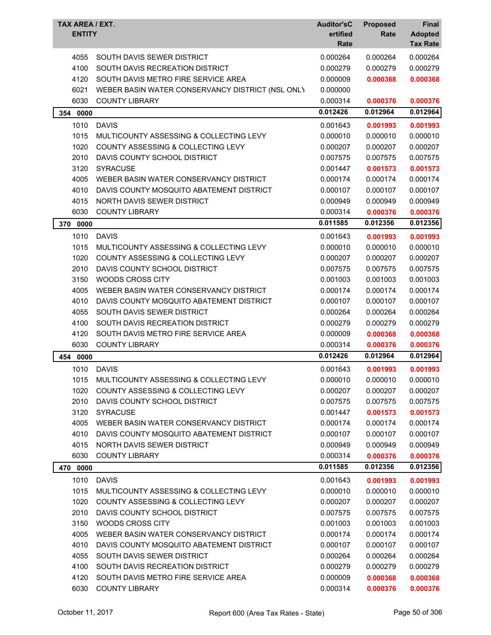| TAX AREA / EXT.<br><b>ENTITY</b> |                                                  | <b>Auditor'sC</b><br>ertified<br>Rate | <b>Proposed</b><br>Rate | Final<br><b>Adopted</b><br><b>Tax Rate</b> |
|----------------------------------|--------------------------------------------------|---------------------------------------|-------------------------|--------------------------------------------|
| 4055                             | SOUTH DAVIS SEWER DISTRICT                       | 0.000264                              | 0.000264                | 0.000264                                   |
| 4100                             | SOUTH DAVIS RECREATION DISTRICT                  | 0.000279                              | 0.000279                | 0.000279                                   |
| 4120                             | SOUTH DAVIS METRO FIRE SERVICE AREA              | 0.000009                              | 0.000368                | 0.000368                                   |
| 6021                             | WEBER BASIN WATER CONSERVANCY DISTRICT (NSL ONLY | 0.000000                              |                         |                                            |
| 6030                             | <b>COUNTY LIBRARY</b>                            | 0.000314                              | 0.000376                | 0.000376                                   |
| 354<br>0000                      |                                                  | 0.012426                              | 0.012964                | 0.012964                                   |
| 1010                             | <b>DAVIS</b>                                     | 0.001643                              | 0.001993                | 0.001993                                   |
| 1015                             | MULTICOUNTY ASSESSING & COLLECTING LEVY          | 0.000010                              | 0.000010                | 0.000010                                   |
| 1020                             | COUNTY ASSESSING & COLLECTING LEVY               | 0.000207                              | 0.000207                | 0.000207                                   |
| 2010                             | DAVIS COUNTY SCHOOL DISTRICT                     | 0.007575                              | 0.007575                | 0.007575                                   |
| 3120                             | <b>SYRACUSE</b>                                  | 0.001447                              | 0.001573                | 0.001573                                   |
| 4005                             | WEBER BASIN WATER CONSERVANCY DISTRICT           | 0.000174                              | 0.000174                | 0.000174                                   |
| 4010                             | DAVIS COUNTY MOSQUITO ABATEMENT DISTRICT         | 0.000107                              | 0.000107                | 0.000107                                   |
| 4015                             | NORTH DAVIS SEWER DISTRICT                       | 0.000949                              | 0.000949                | 0.000949                                   |
| 6030                             | <b>COUNTY LIBRARY</b>                            | 0.000314                              | 0.000376                | 0.000376                                   |
| 370<br>0000                      |                                                  | 0.011585                              | 0.012356                | 0.012356                                   |
| 1010                             | <b>DAVIS</b>                                     | 0.001643                              | 0.001993                | 0.001993                                   |
| 1015                             | MULTICOUNTY ASSESSING & COLLECTING LEVY          | 0.000010                              | 0.000010                | 0.000010                                   |
| 1020                             | COUNTY ASSESSING & COLLECTING LEVY               | 0.000207                              | 0.000207                | 0.000207                                   |
| 2010                             | DAVIS COUNTY SCHOOL DISTRICT                     | 0.007575                              | 0.007575                | 0.007575                                   |
| 3150                             | <b>WOODS CROSS CITY</b>                          | 0.001003                              | 0.001003                | 0.001003                                   |
| 4005                             | WEBER BASIN WATER CONSERVANCY DISTRICT           | 0.000174                              | 0.000174                | 0.000174                                   |
| 4010                             | DAVIS COUNTY MOSQUITO ABATEMENT DISTRICT         | 0.000107                              | 0.000107                | 0.000107                                   |
| 4055                             | SOUTH DAVIS SEWER DISTRICT                       | 0.000264                              | 0.000264                | 0.000264                                   |
| 4100                             | SOUTH DAVIS RECREATION DISTRICT                  | 0.000279                              | 0.000279                | 0.000279                                   |
| 4120                             | SOUTH DAVIS METRO FIRE SERVICE AREA              | 0.000009                              | 0.000368                | 0.000368                                   |
| 6030                             | <b>COUNTY LIBRARY</b>                            | 0.000314                              | 0.000376                | 0.000376                                   |
| 454<br>0000                      |                                                  | 0.012426                              | 0.012964                | 0.012964                                   |
| 1010                             | <b>DAVIS</b>                                     | 0.001643                              | 0.001993                | 0.001993                                   |
| 1015                             | MULTICOUNTY ASSESSING & COLLECTING LEVY          | 0.000010                              | 0.000010                | 0.000010                                   |
| 1020                             | COUNTY ASSESSING & COLLECTING LEVY               | 0.000207                              | 0.000207                | 0.000207                                   |
| 2010                             | DAVIS COUNTY SCHOOL DISTRICT                     | 0.007575                              | 0.007575                | 0.007575                                   |
| 3120                             | <b>SYRACUSE</b>                                  | 0.001447                              | 0.001573                | 0.001573                                   |
| 4005                             | WEBER BASIN WATER CONSERVANCY DISTRICT           | 0.000174                              | 0.000174                | 0.000174                                   |
| 4010                             | DAVIS COUNTY MOSQUITO ABATEMENT DISTRICT         | 0.000107                              | 0.000107                | 0.000107                                   |
| 4015                             | NORTH DAVIS SEWER DISTRICT                       | 0.000949                              | 0.000949                | 0.000949                                   |
| 6030                             | <b>COUNTY LIBRARY</b>                            | 0.000314                              | 0.000376                | 0.000376                                   |
| 470<br>0000                      |                                                  | 0.011585                              | 0.012356                | 0.012356                                   |
| 1010                             | <b>DAVIS</b>                                     | 0.001643                              | 0.001993                | 0.001993                                   |
| 1015                             | MULTICOUNTY ASSESSING & COLLECTING LEVY          | 0.000010                              | 0.000010                | 0.000010                                   |
| 1020                             | <b>COUNTY ASSESSING &amp; COLLECTING LEVY</b>    | 0.000207                              | 0.000207                | 0.000207                                   |
| 2010                             | DAVIS COUNTY SCHOOL DISTRICT                     | 0.007575                              | 0.007575                | 0.007575                                   |
| 3150                             | WOODS CROSS CITY                                 | 0.001003                              | 0.001003                | 0.001003                                   |
| 4005                             | WEBER BASIN WATER CONSERVANCY DISTRICT           | 0.000174                              | 0.000174                | 0.000174                                   |
| 4010                             | DAVIS COUNTY MOSQUITO ABATEMENT DISTRICT         | 0.000107                              | 0.000107                | 0.000107                                   |
| 4055                             | SOUTH DAVIS SEWER DISTRICT                       | 0.000264                              | 0.000264                | 0.000264                                   |
| 4100                             | SOUTH DAVIS RECREATION DISTRICT                  | 0.000279                              | 0.000279                | 0.000279                                   |
| 4120                             | SOUTH DAVIS METRO FIRE SERVICE AREA              | 0.000009                              | 0.000368                | 0.000368                                   |
| 6030                             | <b>COUNTY LIBRARY</b>                            | 0.000314                              | 0.000376                | 0.000376                                   |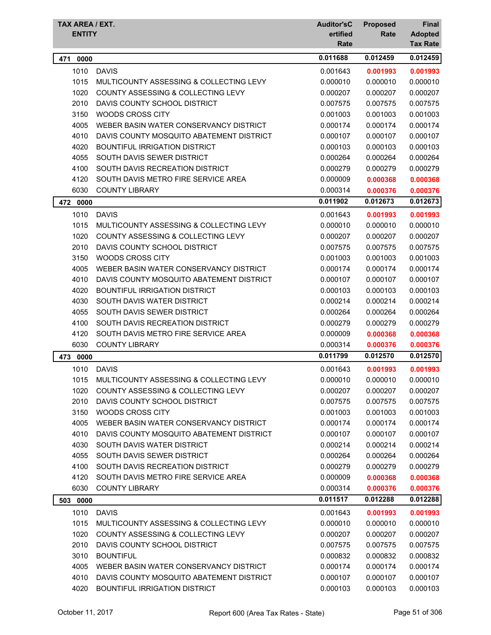| TAX AREA / EXT. |                                               | <b>Auditor'sC</b> | <b>Proposed</b> | Final                             |
|-----------------|-----------------------------------------------|-------------------|-----------------|-----------------------------------|
| <b>ENTITY</b>   |                                               | ertified<br>Rate  | Rate            | <b>Adopted</b><br><b>Tax Rate</b> |
| 0000<br>471     |                                               | 0.011688          | 0.012459        | 0.012459                          |
| 1010            | <b>DAVIS</b>                                  | 0.001643          | 0.001993        | 0.001993                          |
| 1015            | MULTICOUNTY ASSESSING & COLLECTING LEVY       | 0.000010          | 0.000010        | 0.000010                          |
| 1020            | <b>COUNTY ASSESSING &amp; COLLECTING LEVY</b> | 0.000207          | 0.000207        | 0.000207                          |
| 2010            | DAVIS COUNTY SCHOOL DISTRICT                  | 0.007575          | 0.007575        | 0.007575                          |
| 3150            | <b>WOODS CROSS CITY</b>                       | 0.001003          | 0.001003        | 0.001003                          |
| 4005            | WEBER BASIN WATER CONSERVANCY DISTRICT        | 0.000174          | 0.000174        | 0.000174                          |
| 4010            | DAVIS COUNTY MOSQUITO ABATEMENT DISTRICT      | 0.000107          | 0.000107        | 0.000107                          |
| 4020            | <b>BOUNTIFUL IRRIGATION DISTRICT</b>          | 0.000103          | 0.000103        | 0.000103                          |
| 4055            | SOUTH DAVIS SEWER DISTRICT                    | 0.000264          | 0.000264        | 0.000264                          |
| 4100            | SOUTH DAVIS RECREATION DISTRICT               | 0.000279          | 0.000279        | 0.000279                          |
| 4120            | SOUTH DAVIS METRO FIRE SERVICE AREA           | 0.000009          | 0.000368        | 0.000368                          |
| 6030            | <b>COUNTY LIBRARY</b>                         | 0.000314          | 0.000376        | 0.000376                          |
| 472<br>0000     |                                               | 0.011902          | 0.012673        | 0.012673                          |
| 1010            | <b>DAVIS</b>                                  | 0.001643          | 0.001993        | 0.001993                          |
| 1015            | MULTICOUNTY ASSESSING & COLLECTING LEVY       | 0.000010          | 0.000010        | 0.000010                          |
| 1020            | <b>COUNTY ASSESSING &amp; COLLECTING LEVY</b> | 0.000207          | 0.000207        | 0.000207                          |
| 2010            | DAVIS COUNTY SCHOOL DISTRICT                  | 0.007575          | 0.007575        | 0.007575                          |
| 3150            | WOODS CROSS CITY                              | 0.001003          | 0.001003        | 0.001003                          |
| 4005            | WEBER BASIN WATER CONSERVANCY DISTRICT        | 0.000174          | 0.000174        | 0.000174                          |
| 4010            | DAVIS COUNTY MOSQUITO ABATEMENT DISTRICT      | 0.000107          | 0.000107        | 0.000107                          |
| 4020            | <b>BOUNTIFUL IRRIGATION DISTRICT</b>          | 0.000103          | 0.000103        | 0.000103                          |
| 4030            | SOUTH DAVIS WATER DISTRICT                    | 0.000214          | 0.000214        | 0.000214                          |
| 4055            | SOUTH DAVIS SEWER DISTRICT                    | 0.000264          | 0.000264        | 0.000264                          |
| 4100            | SOUTH DAVIS RECREATION DISTRICT               | 0.000279          | 0.000279        | 0.000279                          |
| 4120            | SOUTH DAVIS METRO FIRE SERVICE AREA           | 0.000009          | 0.000368        | 0.000368                          |
| 6030            | <b>COUNTY LIBRARY</b>                         | 0.000314          | 0.000376        | 0.000376                          |
| 0000<br>473     |                                               | 0.011799          | 0.012570        | 0.012570                          |
| 1010            | <b>DAVIS</b>                                  | 0.001643          | 0.001993        | 0.001993                          |
| 1015            | MULTICOUNTY ASSESSING & COLLECTING LEVY       | 0.000010          | 0.000010        | 0.000010                          |
| 1020            | <b>COUNTY ASSESSING &amp; COLLECTING LEVY</b> | 0.000207          | 0.000207        | 0.000207                          |
| 2010            | DAVIS COUNTY SCHOOL DISTRICT                  | 0.007575          | 0.007575        | 0.007575                          |
| 3150            | WOODS CROSS CITY                              | 0.001003          | 0.001003        | 0.001003                          |
| 4005            | WEBER BASIN WATER CONSERVANCY DISTRICT        | 0.000174          | 0.000174        | 0.000174                          |
| 4010            | DAVIS COUNTY MOSQUITO ABATEMENT DISTRICT      | 0.000107          | 0.000107        | 0.000107                          |
| 4030            | SOUTH DAVIS WATER DISTRICT                    | 0.000214          | 0.000214        | 0.000214                          |
| 4055            | SOUTH DAVIS SEWER DISTRICT                    | 0.000264          | 0.000264        | 0.000264                          |
| 4100            | SOUTH DAVIS RECREATION DISTRICT               | 0.000279          | 0.000279        | 0.000279                          |
| 4120            | SOUTH DAVIS METRO FIRE SERVICE AREA           | 0.000009          | 0.000368        | 0.000368                          |
| 6030            | <b>COUNTY LIBRARY</b>                         | 0.000314          | 0.000376        | 0.000376                          |
| 503 0000        |                                               | 0.011517          | 0.012288        | 0.012288                          |
| 1010            | <b>DAVIS</b>                                  | 0.001643          | 0.001993        | 0.001993                          |
| 1015            | MULTICOUNTY ASSESSING & COLLECTING LEVY       | 0.000010          | 0.000010        | 0.000010                          |
| 1020            | COUNTY ASSESSING & COLLECTING LEVY            | 0.000207          | 0.000207        | 0.000207                          |
| 2010            | DAVIS COUNTY SCHOOL DISTRICT                  | 0.007575          | 0.007575        | 0.007575                          |
| 3010            | <b>BOUNTIFUL</b>                              | 0.000832          | 0.000832        | 0.000832                          |
| 4005            | WEBER BASIN WATER CONSERVANCY DISTRICT        | 0.000174          | 0.000174        | 0.000174                          |
| 4010            | DAVIS COUNTY MOSQUITO ABATEMENT DISTRICT      | 0.000107          | 0.000107        | 0.000107                          |
| 4020            | BOUNTIFUL IRRIGATION DISTRICT                 | 0.000103          | 0.000103        | 0.000103                          |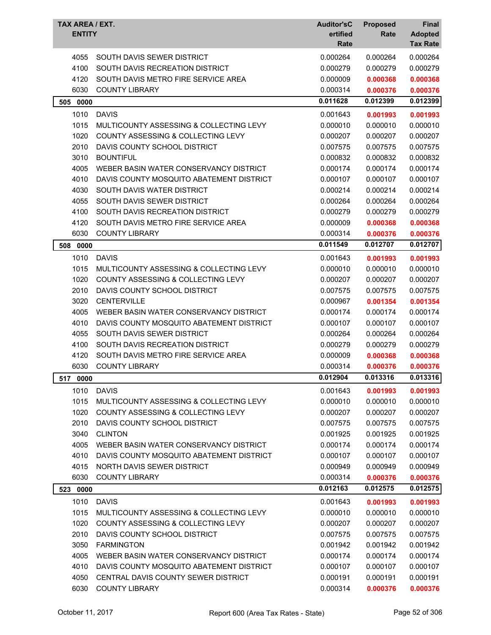| TAX AREA / EXT.<br><b>ENTITY</b> |                                               | <b>Auditor'sC</b><br>ertified<br>Rate | <b>Proposed</b><br>Rate | Final<br><b>Adopted</b><br><b>Tax Rate</b> |
|----------------------------------|-----------------------------------------------|---------------------------------------|-------------------------|--------------------------------------------|
| 4055                             | SOUTH DAVIS SEWER DISTRICT                    | 0.000264                              | 0.000264                | 0.000264                                   |
| 4100                             | SOUTH DAVIS RECREATION DISTRICT               | 0.000279                              | 0.000279                | 0.000279                                   |
| 4120                             | SOUTH DAVIS METRO FIRE SERVICE AREA           | 0.000009                              | 0.000368                | 0.000368                                   |
| 6030                             | <b>COUNTY LIBRARY</b>                         | 0.000314                              | 0.000376                | 0.000376                                   |
| 0000<br>505                      |                                               | 0.011628                              | 0.012399                | 0.012399                                   |
| 1010                             | <b>DAVIS</b>                                  | 0.001643                              | 0.001993                | 0.001993                                   |
| 1015                             | MULTICOUNTY ASSESSING & COLLECTING LEVY       | 0.000010                              | 0.000010                | 0.000010                                   |
| 1020                             | <b>COUNTY ASSESSING &amp; COLLECTING LEVY</b> | 0.000207                              | 0.000207                | 0.000207                                   |
| 2010                             | DAVIS COUNTY SCHOOL DISTRICT                  | 0.007575                              | 0.007575                | 0.007575                                   |
| 3010                             | <b>BOUNTIFUL</b>                              | 0.000832                              | 0.000832                | 0.000832                                   |
| 4005                             | WEBER BASIN WATER CONSERVANCY DISTRICT        | 0.000174                              | 0.000174                | 0.000174                                   |
| 4010                             | DAVIS COUNTY MOSQUITO ABATEMENT DISTRICT      | 0.000107                              | 0.000107                | 0.000107                                   |
| 4030                             | SOUTH DAVIS WATER DISTRICT                    | 0.000214                              | 0.000214                | 0.000214                                   |
| 4055                             | SOUTH DAVIS SEWER DISTRICT                    | 0.000264                              | 0.000264                | 0.000264                                   |
| 4100                             | SOUTH DAVIS RECREATION DISTRICT               | 0.000279                              | 0.000279                | 0.000279                                   |
| 4120                             | SOUTH DAVIS METRO FIRE SERVICE AREA           | 0.000009                              | 0.000368                | 0.000368                                   |
| 6030                             | <b>COUNTY LIBRARY</b>                         | 0.000314                              | 0.000376                | 0.000376                                   |
| 508 0000                         |                                               | 0.011549                              | 0.012707                | 0.012707                                   |
| 1010                             | <b>DAVIS</b>                                  | 0.001643                              | 0.001993                | 0.001993                                   |
| 1015                             | MULTICOUNTY ASSESSING & COLLECTING LEVY       | 0.000010                              | 0.000010                | 0.000010                                   |
| 1020                             | COUNTY ASSESSING & COLLECTING LEVY            | 0.000207                              | 0.000207                | 0.000207                                   |
| 2010                             | DAVIS COUNTY SCHOOL DISTRICT                  | 0.007575                              | 0.007575                | 0.007575                                   |
| 3020                             | <b>CENTERVILLE</b>                            | 0.000967                              | 0.001354                | 0.001354                                   |
| 4005                             | WEBER BASIN WATER CONSERVANCY DISTRICT        | 0.000174                              | 0.000174                | 0.000174                                   |
| 4010                             | DAVIS COUNTY MOSQUITO ABATEMENT DISTRICT      | 0.000107                              | 0.000107                | 0.000107                                   |
| 4055                             | SOUTH DAVIS SEWER DISTRICT                    | 0.000264                              | 0.000264                | 0.000264                                   |
| 4100                             | SOUTH DAVIS RECREATION DISTRICT               | 0.000279                              | 0.000279                | 0.000279                                   |
| 4120                             | SOUTH DAVIS METRO FIRE SERVICE AREA           | 0.000009                              | 0.000368                | 0.000368                                   |
| 6030                             | <b>COUNTY LIBRARY</b>                         | 0.000314                              | 0.000376                | 0.000376                                   |
| 517 0000                         |                                               | 0.012904                              | 0.013316                | 0.013316                                   |
| 1010                             | <b>DAVIS</b>                                  | 0.001643                              | 0.001993                | 0.001993                                   |
| 1015                             | MULTICOUNTY ASSESSING & COLLECTING LEVY       | 0.000010                              | 0.000010                | 0.000010                                   |
| 1020                             | COUNTY ASSESSING & COLLECTING LEVY            | 0.000207                              | 0.000207                | 0.000207                                   |
| 2010                             | DAVIS COUNTY SCHOOL DISTRICT                  | 0.007575                              | 0.007575                | 0.007575                                   |
| 3040                             | <b>CLINTON</b>                                | 0.001925                              | 0.001925                | 0.001925                                   |
| 4005                             | WEBER BASIN WATER CONSERVANCY DISTRICT        | 0.000174                              | 0.000174                | 0.000174                                   |
| 4010                             | DAVIS COUNTY MOSQUITO ABATEMENT DISTRICT      | 0.000107                              | 0.000107                | 0.000107                                   |
| 4015                             | NORTH DAVIS SEWER DISTRICT                    | 0.000949                              | 0.000949                | 0.000949                                   |
| 6030                             | <b>COUNTY LIBRARY</b>                         | 0.000314                              | 0.000376                | 0.000376                                   |
| 523 0000                         |                                               | 0.012163                              | 0.012575                | 0.012575                                   |
| 1010                             | <b>DAVIS</b>                                  | 0.001643                              | 0.001993                | 0.001993                                   |
| 1015                             | MULTICOUNTY ASSESSING & COLLECTING LEVY       | 0.000010                              | 0.000010                | 0.000010                                   |
| 1020                             | COUNTY ASSESSING & COLLECTING LEVY            | 0.000207                              | 0.000207                | 0.000207                                   |
| 2010                             | DAVIS COUNTY SCHOOL DISTRICT                  | 0.007575                              | 0.007575                | 0.007575                                   |
| 3050                             | <b>FARMINGTON</b>                             | 0.001942                              | 0.001942                | 0.001942                                   |
| 4005                             | WEBER BASIN WATER CONSERVANCY DISTRICT        | 0.000174                              | 0.000174                | 0.000174                                   |
| 4010                             | DAVIS COUNTY MOSQUITO ABATEMENT DISTRICT      | 0.000107                              | 0.000107                | 0.000107                                   |
| 4050                             | CENTRAL DAVIS COUNTY SEWER DISTRICT           | 0.000191                              | 0.000191                | 0.000191                                   |
| 6030                             | <b>COUNTY LIBRARY</b>                         | 0.000314                              | 0.000376                | 0.000376                                   |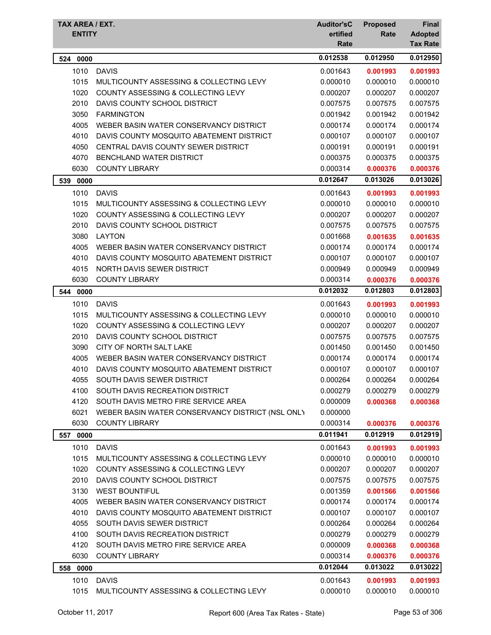| TAX AREA / EXT.<br><b>ENTITY</b> |                                                  | <b>Auditor'sC</b><br>ertified<br>Rate | <b>Proposed</b><br>Rate | <b>Final</b><br><b>Adopted</b><br><b>Tax Rate</b> |
|----------------------------------|--------------------------------------------------|---------------------------------------|-------------------------|---------------------------------------------------|
| 524<br>0000                      |                                                  | 0.012538                              | 0.012950                | 0.012950                                          |
| 1010                             | <b>DAVIS</b>                                     | 0.001643                              | 0.001993                | 0.001993                                          |
| 1015                             | MULTICOUNTY ASSESSING & COLLECTING LEVY          | 0.000010                              | 0.000010                | 0.000010                                          |
| 1020                             | <b>COUNTY ASSESSING &amp; COLLECTING LEVY</b>    | 0.000207                              | 0.000207                | 0.000207                                          |
| 2010                             | DAVIS COUNTY SCHOOL DISTRICT                     | 0.007575                              | 0.007575                | 0.007575                                          |
| 3050                             | <b>FARMINGTON</b>                                | 0.001942                              | 0.001942                | 0.001942                                          |
| 4005                             | WEBER BASIN WATER CONSERVANCY DISTRICT           | 0.000174                              | 0.000174                | 0.000174                                          |
| 4010                             | DAVIS COUNTY MOSQUITO ABATEMENT DISTRICT         | 0.000107                              | 0.000107                | 0.000107                                          |
| 4050                             | CENTRAL DAVIS COUNTY SEWER DISTRICT              | 0.000191                              | 0.000191                | 0.000191                                          |
| 4070                             | <b>BENCHLAND WATER DISTRICT</b>                  | 0.000375                              | 0.000375                | 0.000375                                          |
| 6030                             | <b>COUNTY LIBRARY</b>                            | 0.000314                              | 0.000376                | 0.000376                                          |
| 0000<br>539                      |                                                  | 0.012647                              | 0.013026                | 0.013026                                          |
| 1010                             | <b>DAVIS</b>                                     | 0.001643                              | 0.001993                | 0.001993                                          |
| 1015                             | MULTICOUNTY ASSESSING & COLLECTING LEVY          | 0.000010                              | 0.000010                | 0.000010                                          |
| 1020                             | COUNTY ASSESSING & COLLECTING LEVY               | 0.000207                              | 0.000207                | 0.000207                                          |
| 2010                             | DAVIS COUNTY SCHOOL DISTRICT                     | 0.007575                              | 0.007575                | 0.007575                                          |
| 3080                             | <b>LAYTON</b>                                    | 0.001668                              | 0.001635                | 0.001635                                          |
| 4005                             | WEBER BASIN WATER CONSERVANCY DISTRICT           | 0.000174                              | 0.000174                | 0.000174                                          |
| 4010                             | DAVIS COUNTY MOSQUITO ABATEMENT DISTRICT         | 0.000107                              | 0.000107                | 0.000107                                          |
| 4015                             | NORTH DAVIS SEWER DISTRICT                       | 0.000949                              | 0.000949                | 0.000949                                          |
| 6030                             | <b>COUNTY LIBRARY</b>                            | 0.000314                              | 0.000376                | 0.000376                                          |
| 544<br>0000                      |                                                  | 0.012032                              | 0.012803                | 0.012803                                          |
| 1010                             | <b>DAVIS</b>                                     | 0.001643                              | 0.001993                | 0.001993                                          |
| 1015                             | MULTICOUNTY ASSESSING & COLLECTING LEVY          | 0.000010                              | 0.000010                | 0.000010                                          |
| 1020                             | <b>COUNTY ASSESSING &amp; COLLECTING LEVY</b>    | 0.000207                              | 0.000207                | 0.000207                                          |
| 2010                             | DAVIS COUNTY SCHOOL DISTRICT                     | 0.007575                              | 0.007575                | 0.007575                                          |
| 3090                             | CITY OF NORTH SALT LAKE                          | 0.001450                              | 0.001450                | 0.001450                                          |
| 4005                             | WEBER BASIN WATER CONSERVANCY DISTRICT           | 0.000174                              | 0.000174                | 0.000174                                          |
| 4010                             | DAVIS COUNTY MOSQUITO ABATEMENT DISTRICT         | 0.000107                              | 0.000107                | 0.000107                                          |
| 4055                             | SOUTH DAVIS SEWER DISTRICT                       | 0.000264                              | 0.000264                | 0.000264                                          |
| 4100                             | SOUTH DAVIS RECREATION DISTRICT                  | 0.000279                              | 0.000279                | 0.000279                                          |
| 4120                             | SOUTH DAVIS METRO FIRE SERVICE AREA              | 0.000009                              | 0.000368                | 0.000368                                          |
| 6021                             | WEBER BASIN WATER CONSERVANCY DISTRICT (NSL ONLY | 0.000000                              |                         |                                                   |
| 6030                             | <b>COUNTY LIBRARY</b>                            | 0.000314                              | 0.000376                | 0.000376                                          |
| 557<br>0000                      |                                                  | 0.011941                              | 0.012919                | 0.012919                                          |
| 1010                             | <b>DAVIS</b>                                     | 0.001643                              | 0.001993                | 0.001993                                          |
| 1015                             | MULTICOUNTY ASSESSING & COLLECTING LEVY          | 0.000010                              | 0.000010                | 0.000010                                          |
| 1020                             | COUNTY ASSESSING & COLLECTING LEVY               | 0.000207                              | 0.000207                | 0.000207                                          |
| 2010                             | DAVIS COUNTY SCHOOL DISTRICT                     | 0.007575                              | 0.007575                | 0.007575                                          |
| 3130                             | <b>WEST BOUNTIFUL</b>                            | 0.001359                              | 0.001566                | 0.001566                                          |
| 4005                             | WEBER BASIN WATER CONSERVANCY DISTRICT           | 0.000174                              | 0.000174                | 0.000174                                          |
| 4010                             | DAVIS COUNTY MOSQUITO ABATEMENT DISTRICT         | 0.000107                              | 0.000107                | 0.000107                                          |
| 4055                             | SOUTH DAVIS SEWER DISTRICT                       | 0.000264                              | 0.000264                | 0.000264                                          |
| 4100                             | SOUTH DAVIS RECREATION DISTRICT                  | 0.000279                              | 0.000279                | 0.000279                                          |
| 4120                             | SOUTH DAVIS METRO FIRE SERVICE AREA              | 0.000009                              | 0.000368                | 0.000368                                          |
| 6030                             | <b>COUNTY LIBRARY</b>                            | 0.000314                              | 0.000376                | 0.000376                                          |
| 558 0000                         |                                                  | 0.012044                              | 0.013022                | 0.013022                                          |
| 1010                             | <b>DAVIS</b>                                     | 0.001643                              | 0.001993                | 0.001993                                          |
| 1015                             | MULTICOUNTY ASSESSING & COLLECTING LEVY          | 0.000010                              | 0.000010                | 0.000010                                          |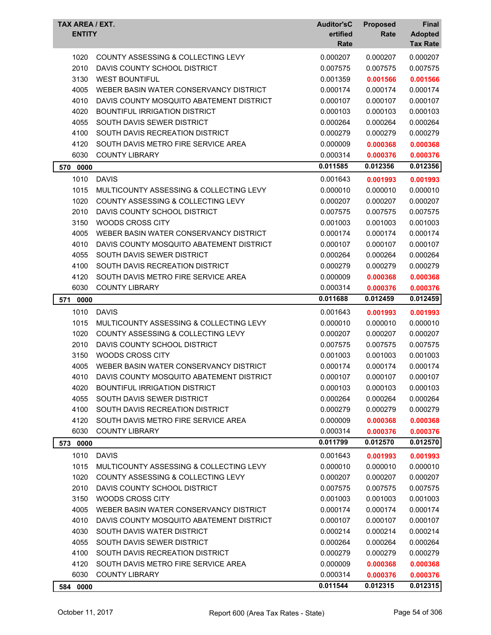| TAX AREA / EXT.<br><b>ENTITY</b> |                                               | <b>Auditor'sC</b><br>ertified<br>Rate | <b>Proposed</b><br>Rate | Final<br><b>Adopted</b><br><b>Tax Rate</b> |
|----------------------------------|-----------------------------------------------|---------------------------------------|-------------------------|--------------------------------------------|
| 1020                             | COUNTY ASSESSING & COLLECTING LEVY            | 0.000207                              | 0.000207                | 0.000207                                   |
| 2010                             | DAVIS COUNTY SCHOOL DISTRICT                  | 0.007575                              | 0.007575                | 0.007575                                   |
| 3130                             | <b>WEST BOUNTIFUL</b>                         | 0.001359                              | 0.001566                | 0.001566                                   |
| 4005                             | WEBER BASIN WATER CONSERVANCY DISTRICT        | 0.000174                              | 0.000174                | 0.000174                                   |
| 4010                             | DAVIS COUNTY MOSQUITO ABATEMENT DISTRICT      | 0.000107                              | 0.000107                | 0.000107                                   |
| 4020                             | <b>BOUNTIFUL IRRIGATION DISTRICT</b>          | 0.000103                              | 0.000103                | 0.000103                                   |
| 4055                             | SOUTH DAVIS SEWER DISTRICT                    | 0.000264                              | 0.000264                | 0.000264                                   |
| 4100                             | SOUTH DAVIS RECREATION DISTRICT               | 0.000279                              | 0.000279                | 0.000279                                   |
| 4120                             | SOUTH DAVIS METRO FIRE SERVICE AREA           | 0.000009                              | 0.000368                | 0.000368                                   |
| 6030                             | <b>COUNTY LIBRARY</b>                         | 0.000314                              | 0.000376                | 0.000376                                   |
| 570 0000                         |                                               | 0.011585                              | 0.012356                | 0.012356                                   |
| 1010                             | <b>DAVIS</b>                                  | 0.001643                              | 0.001993                | 0.001993                                   |
| 1015                             | MULTICOUNTY ASSESSING & COLLECTING LEVY       | 0.000010                              | 0.000010                | 0.000010                                   |
| 1020                             | <b>COUNTY ASSESSING &amp; COLLECTING LEVY</b> | 0.000207                              | 0.000207                | 0.000207                                   |
| 2010                             | DAVIS COUNTY SCHOOL DISTRICT                  | 0.007575                              | 0.007575                | 0.007575                                   |
| 3150                             | <b>WOODS CROSS CITY</b>                       | 0.001003                              | 0.001003                | 0.001003                                   |
| 4005                             | WEBER BASIN WATER CONSERVANCY DISTRICT        | 0.000174                              | 0.000174                | 0.000174                                   |
| 4010                             | DAVIS COUNTY MOSQUITO ABATEMENT DISTRICT      | 0.000107                              | 0.000107                | 0.000107                                   |
| 4055                             | SOUTH DAVIS SEWER DISTRICT                    | 0.000264                              | 0.000264                | 0.000264                                   |
| 4100                             | SOUTH DAVIS RECREATION DISTRICT               | 0.000279                              | 0.000279                | 0.000279                                   |
| 4120                             | SOUTH DAVIS METRO FIRE SERVICE AREA           | 0.000009                              | 0.000368                | 0.000368                                   |
| 6030                             | <b>COUNTY LIBRARY</b>                         | 0.000314                              | 0.000376                | 0.000376                                   |
| 571<br>0000                      |                                               | 0.011688                              | 0.012459                | 0.012459                                   |
| 1010                             | <b>DAVIS</b>                                  | 0.001643                              | 0.001993                | 0.001993                                   |
| 1015                             | MULTICOUNTY ASSESSING & COLLECTING LEVY       | 0.000010                              | 0.000010                | 0.000010                                   |
| 1020                             | COUNTY ASSESSING & COLLECTING LEVY            | 0.000207                              | 0.000207                | 0.000207                                   |
| 2010                             | DAVIS COUNTY SCHOOL DISTRICT                  | 0.007575                              | 0.007575                | 0.007575                                   |
| 3150                             | <b>WOODS CROSS CITY</b>                       | 0.001003                              | 0.001003                | 0.001003                                   |
| 4005                             | WEBER BASIN WATER CONSERVANCY DISTRICT        | 0.000174                              | 0.000174                | 0.000174                                   |
| 4010                             | DAVIS COUNTY MOSQUITO ABATEMENT DISTRICT      | 0.000107                              | 0.000107                | 0.000107                                   |
| 4020                             | <b>BOUNTIFUL IRRIGATION DISTRICT</b>          | 0.000103                              | 0.000103                | 0.000103                                   |
| 4055                             | SOUTH DAVIS SEWER DISTRICT                    | 0.000264                              | 0.000264                | 0.000264                                   |
| 4100                             | SOUTH DAVIS RECREATION DISTRICT               | 0.000279                              | 0.000279                | 0.000279                                   |
| 4120                             | SOUTH DAVIS METRO FIRE SERVICE AREA           | 0.000009                              | 0.000368                | 0.000368                                   |
| 6030                             | <b>COUNTY LIBRARY</b>                         | 0.000314                              | 0.000376                | 0.000376                                   |
| 573 0000                         |                                               | 0.011799                              | 0.012570                | 0.012570                                   |
| 1010                             | <b>DAVIS</b>                                  | 0.001643                              | 0.001993                | 0.001993                                   |
| 1015                             | MULTICOUNTY ASSESSING & COLLECTING LEVY       | 0.000010                              | 0.000010                | 0.000010                                   |
| 1020                             | COUNTY ASSESSING & COLLECTING LEVY            | 0.000207                              | 0.000207                | 0.000207                                   |
| 2010                             | DAVIS COUNTY SCHOOL DISTRICT                  | 0.007575                              | 0.007575                | 0.007575                                   |
| 3150                             | WOODS CROSS CITY                              | 0.001003                              | 0.001003                | 0.001003                                   |
| 4005                             | WEBER BASIN WATER CONSERVANCY DISTRICT        | 0.000174                              | 0.000174                | 0.000174                                   |
| 4010                             | DAVIS COUNTY MOSQUITO ABATEMENT DISTRICT      | 0.000107                              | 0.000107                | 0.000107                                   |
| 4030                             | SOUTH DAVIS WATER DISTRICT                    | 0.000214                              | 0.000214                | 0.000214                                   |
| 4055                             | SOUTH DAVIS SEWER DISTRICT                    | 0.000264                              | 0.000264                | 0.000264                                   |
| 4100                             | SOUTH DAVIS RECREATION DISTRICT               | 0.000279                              | 0.000279                | 0.000279                                   |
| 4120                             | SOUTH DAVIS METRO FIRE SERVICE AREA           | 0.000009                              | 0.000368                | 0.000368                                   |
| 6030                             | <b>COUNTY LIBRARY</b>                         | 0.000314                              | 0.000376                | 0.000376                                   |
| 584 0000                         |                                               | 0.011544                              | 0.012315                | 0.012315                                   |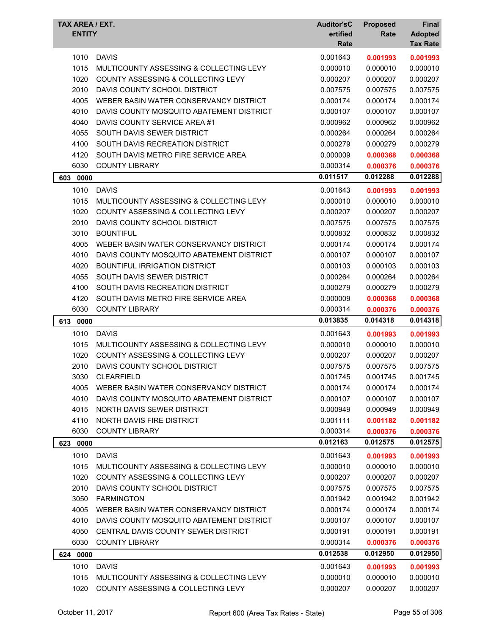| TAX AREA / EXT.<br><b>ENTITY</b> |                                                             | <b>Auditor'sC</b><br>ertified<br>Rate | <b>Proposed</b><br>Rate | <b>Final</b><br><b>Adopted</b><br><b>Tax Rate</b> |
|----------------------------------|-------------------------------------------------------------|---------------------------------------|-------------------------|---------------------------------------------------|
| 1010                             | <b>DAVIS</b>                                                | 0.001643                              | 0.001993                | 0.001993                                          |
| 1015                             | MULTICOUNTY ASSESSING & COLLECTING LEVY                     | 0.000010                              | 0.000010                | 0.000010                                          |
| 1020                             | <b>COUNTY ASSESSING &amp; COLLECTING LEVY</b>               | 0.000207                              | 0.000207                | 0.000207                                          |
| 2010                             | DAVIS COUNTY SCHOOL DISTRICT                                | 0.007575                              | 0.007575                | 0.007575                                          |
| 4005                             | WEBER BASIN WATER CONSERVANCY DISTRICT                      | 0.000174                              | 0.000174                | 0.000174                                          |
| 4010                             | DAVIS COUNTY MOSQUITO ABATEMENT DISTRICT                    | 0.000107                              | 0.000107                | 0.000107                                          |
| 4040                             | DAVIS COUNTY SERVICE AREA #1                                | 0.000962                              | 0.000962                | 0.000962                                          |
| 4055                             | SOUTH DAVIS SEWER DISTRICT                                  | 0.000264                              | 0.000264                | 0.000264                                          |
| 4100                             | SOUTH DAVIS RECREATION DISTRICT                             | 0.000279                              | 0.000279                | 0.000279                                          |
| 4120                             | SOUTH DAVIS METRO FIRE SERVICE AREA                         | 0.000009                              | 0.000368                | 0.000368                                          |
| 6030                             | <b>COUNTY LIBRARY</b>                                       | 0.000314                              | 0.000376                | 0.000376                                          |
| 603 0000                         |                                                             | 0.011517                              | 0.012288                | 0.012288                                          |
| 1010                             | <b>DAVIS</b>                                                | 0.001643                              | 0.001993                | 0.001993                                          |
| 1015                             | MULTICOUNTY ASSESSING & COLLECTING LEVY                     | 0.000010                              | 0.000010                | 0.000010                                          |
| 1020                             | COUNTY ASSESSING & COLLECTING LEVY                          | 0.000207                              | 0.000207                | 0.000207                                          |
| 2010                             | DAVIS COUNTY SCHOOL DISTRICT                                | 0.007575                              | 0.007575                | 0.007575                                          |
| 3010                             | <b>BOUNTIFUL</b>                                            | 0.000832                              | 0.000832                | 0.000832                                          |
| 4005                             | WEBER BASIN WATER CONSERVANCY DISTRICT                      | 0.000174                              | 0.000174                | 0.000174                                          |
| 4010                             | DAVIS COUNTY MOSQUITO ABATEMENT DISTRICT                    | 0.000107                              | 0.000107                | 0.000107                                          |
| 4020                             | <b>BOUNTIFUL IRRIGATION DISTRICT</b>                        | 0.000103                              | 0.000103                | 0.000103                                          |
| 4055                             | SOUTH DAVIS SEWER DISTRICT                                  | 0.000264                              | 0.000264                | 0.000264                                          |
| 4100                             | SOUTH DAVIS RECREATION DISTRICT                             | 0.000279                              | 0.000279                | 0.000279                                          |
| 4120                             | SOUTH DAVIS METRO FIRE SERVICE AREA                         | 0.000009                              | 0.000368                | 0.000368                                          |
| 6030                             | <b>COUNTY LIBRARY</b>                                       | 0.000314                              | 0.000376                | 0.000376                                          |
| 613 0000                         |                                                             | 0.013835                              | 0.014318                | 0.014318                                          |
| 1010                             | <b>DAVIS</b>                                                | 0.001643                              | 0.001993                | 0.001993                                          |
| 1015                             | MULTICOUNTY ASSESSING & COLLECTING LEVY                     | 0.000010                              | 0.000010                | 0.000010                                          |
| 1020                             | <b>COUNTY ASSESSING &amp; COLLECTING LEVY</b>               | 0.000207                              | 0.000207                | 0.000207                                          |
| 2010                             | DAVIS COUNTY SCHOOL DISTRICT                                | 0.007575                              | 0.007575                | 0.007575                                          |
| 3030                             | CLEARFIFLD                                                  | 0.001745                              | 0.001745                | 0.001745                                          |
| 4005                             | WEBER BASIN WATER CONSERVANCY DISTRICT                      | 0.000174                              | 0.000174                | 0.000174                                          |
| 4010                             | DAVIS COUNTY MOSQUITO ABATEMENT DISTRICT                    | 0.000107                              | 0.000107                | 0.000107                                          |
| 4015                             | NORTH DAVIS SEWER DISTRICT                                  | 0.000949                              | 0.000949                | 0.000949                                          |
| 4110                             | NORTH DAVIS FIRE DISTRICT                                   | 0.001111                              | 0.001182                | 0.001182                                          |
| 6030                             | <b>COUNTY LIBRARY</b>                                       | 0.000314                              | 0.000376                | 0.000376                                          |
| 623 0000                         |                                                             |                                       |                         |                                                   |
| 1010                             |                                                             | 0.012163                              | 0.012575                | 0.012575                                          |
|                                  |                                                             |                                       |                         |                                                   |
|                                  | <b>DAVIS</b>                                                | 0.001643                              | 0.001993                | 0.001993                                          |
| 1015                             | MULTICOUNTY ASSESSING & COLLECTING LEVY                     | 0.000010                              | 0.000010                | 0.000010                                          |
| 1020                             | COUNTY ASSESSING & COLLECTING LEVY                          | 0.000207                              | 0.000207                | 0.000207                                          |
| 2010                             | DAVIS COUNTY SCHOOL DISTRICT                                | 0.007575                              | 0.007575                | 0.007575                                          |
| 3050<br>4005                     | <b>FARMINGTON</b><br>WEBER BASIN WATER CONSERVANCY DISTRICT | 0.001942<br>0.000174                  | 0.001942<br>0.000174    | 0.001942<br>0.000174                              |
| 4010                             | DAVIS COUNTY MOSQUITO ABATEMENT DISTRICT                    | 0.000107                              | 0.000107                | 0.000107                                          |
| 4050                             | CENTRAL DAVIS COUNTY SEWER DISTRICT                         | 0.000191                              | 0.000191                | 0.000191                                          |
| 6030                             | <b>COUNTY LIBRARY</b>                                       | 0.000314                              | 0.000376                | 0.000376                                          |
|                                  |                                                             | 0.012538                              | 0.012950                | 0.012950                                          |
| 624 0000                         |                                                             |                                       |                         |                                                   |
| 1010<br>1015                     | <b>DAVIS</b><br>MULTICOUNTY ASSESSING & COLLECTING LEVY     | 0.001643<br>0.000010                  | 0.001993<br>0.000010    | 0.001993<br>0.000010                              |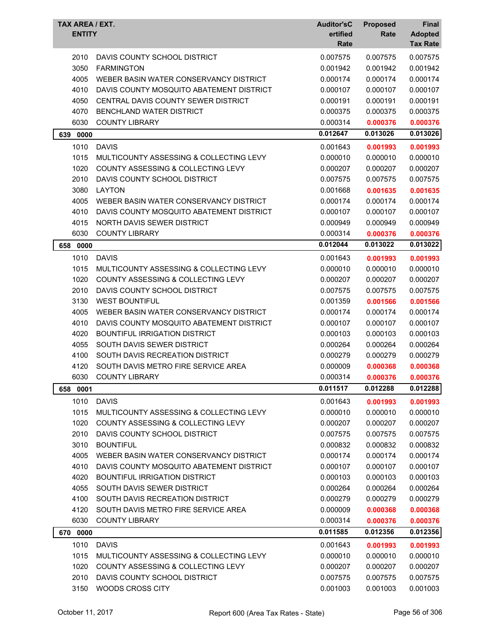| TAX AREA / EXT.<br><b>ENTITY</b> |                                               | <b>Auditor'sC</b><br>ertified | <b>Proposed</b><br>Rate | Final<br><b>Adopted</b> |
|----------------------------------|-----------------------------------------------|-------------------------------|-------------------------|-------------------------|
|                                  |                                               | Rate                          |                         | <b>Tax Rate</b>         |
| 2010                             | DAVIS COUNTY SCHOOL DISTRICT                  | 0.007575                      | 0.007575                | 0.007575                |
| 3050                             | <b>FARMINGTON</b>                             | 0.001942                      | 0.001942                | 0.001942                |
| 4005                             | WEBER BASIN WATER CONSERVANCY DISTRICT        | 0.000174                      | 0.000174                | 0.000174                |
| 4010                             | DAVIS COUNTY MOSQUITO ABATEMENT DISTRICT      | 0.000107                      | 0.000107                | 0.000107                |
| 4050                             | CENTRAL DAVIS COUNTY SEWER DISTRICT           | 0.000191                      | 0.000191                | 0.000191                |
| 4070                             | <b>BENCHLAND WATER DISTRICT</b>               | 0.000375                      | 0.000375                | 0.000375                |
| 6030                             | <b>COUNTY LIBRARY</b>                         | 0.000314                      | 0.000376                | 0.000376                |
| 0000<br>639                      |                                               | 0.012647                      | 0.013026                | 0.013026                |
| 1010                             | <b>DAVIS</b>                                  | 0.001643                      | 0.001993                | 0.001993                |
| 1015                             | MULTICOUNTY ASSESSING & COLLECTING LEVY       | 0.000010                      | 0.000010                | 0.000010                |
| 1020                             | COUNTY ASSESSING & COLLECTING LEVY            | 0.000207                      | 0.000207                | 0.000207                |
| 2010                             | DAVIS COUNTY SCHOOL DISTRICT                  | 0.007575                      | 0.007575                | 0.007575                |
| 3080                             | <b>LAYTON</b>                                 | 0.001668                      | 0.001635                | 0.001635                |
| 4005                             | WEBER BASIN WATER CONSERVANCY DISTRICT        | 0.000174                      | 0.000174                | 0.000174                |
| 4010                             | DAVIS COUNTY MOSQUITO ABATEMENT DISTRICT      | 0.000107                      | 0.000107                | 0.000107                |
| 4015                             | <b>NORTH DAVIS SEWER DISTRICT</b>             | 0.000949                      | 0.000949                | 0.000949                |
| 6030                             | <b>COUNTY LIBRARY</b>                         | 0.000314                      | 0.000376                | 0.000376                |
| 0000<br>658                      |                                               | 0.012044                      | 0.013022                | 0.013022                |
| 1010                             | <b>DAVIS</b>                                  | 0.001643                      | 0.001993                | 0.001993                |
| 1015                             | MULTICOUNTY ASSESSING & COLLECTING LEVY       | 0.000010                      | 0.000010                | 0.000010                |
| 1020                             | <b>COUNTY ASSESSING &amp; COLLECTING LEVY</b> | 0.000207                      | 0.000207                | 0.000207                |
| 2010                             | DAVIS COUNTY SCHOOL DISTRICT                  | 0.007575                      | 0.007575                | 0.007575                |
| 3130                             | <b>WEST BOUNTIFUL</b>                         | 0.001359                      | 0.001566                | 0.001566                |
| 4005                             | WEBER BASIN WATER CONSERVANCY DISTRICT        | 0.000174                      | 0.000174                | 0.000174                |
| 4010                             | DAVIS COUNTY MOSQUITO ABATEMENT DISTRICT      | 0.000107                      | 0.000107                | 0.000107                |
| 4020                             | <b>BOUNTIFUL IRRIGATION DISTRICT</b>          | 0.000103                      | 0.000103                | 0.000103                |
| 4055                             | SOUTH DAVIS SEWER DISTRICT                    | 0.000264                      | 0.000264                | 0.000264                |
| 4100                             | SOUTH DAVIS RECREATION DISTRICT               | 0.000279                      | 0.000279                | 0.000279                |
| 4120                             | SOUTH DAVIS METRO FIRE SERVICE AREA           | 0.000009                      | 0.000368                | 0.000368                |
| 6030                             | <b>COUNTY LIBRARY</b>                         | 0.000314                      | 0.000376                | 0.000376                |
| 658<br>0001                      |                                               | 0.011517                      | 0.012288                | 0.012288                |
| 1010                             | <b>DAVIS</b>                                  | 0.001643                      | 0.001993                | 0.001993                |
| 1015                             | MULTICOUNTY ASSESSING & COLLECTING LEVY       | 0.000010                      | 0.000010                | 0.000010                |
| 1020                             | COUNTY ASSESSING & COLLECTING LEVY            | 0.000207                      | 0.000207                | 0.000207                |
| 2010                             | DAVIS COUNTY SCHOOL DISTRICT                  | 0.007575                      | 0.007575                | 0.007575                |
| 3010                             | <b>BOUNTIFUL</b>                              | 0.000832                      | 0.000832                | 0.000832                |
| 4005                             | WEBER BASIN WATER CONSERVANCY DISTRICT        | 0.000174                      | 0.000174                | 0.000174                |
| 4010                             | DAVIS COUNTY MOSQUITO ABATEMENT DISTRICT      | 0.000107                      | 0.000107                | 0.000107                |
| 4020                             | BOUNTIFUL IRRIGATION DISTRICT                 | 0.000103                      | 0.000103                | 0.000103                |
| 4055                             | SOUTH DAVIS SEWER DISTRICT                    | 0.000264                      | 0.000264                | 0.000264                |
| 4100                             | SOUTH DAVIS RECREATION DISTRICT               | 0.000279                      | 0.000279                | 0.000279                |
| 4120                             | SOUTH DAVIS METRO FIRE SERVICE AREA           | 0.000009                      | 0.000368                | 0.000368                |
| 6030                             | <b>COUNTY LIBRARY</b>                         | 0.000314                      | 0.000376                | 0.000376                |
| 670 0000                         |                                               | 0.011585                      | 0.012356                | 0.012356                |
| 1010                             | <b>DAVIS</b>                                  | 0.001643                      | 0.001993                | 0.001993                |
| 1015                             | MULTICOUNTY ASSESSING & COLLECTING LEVY       | 0.000010                      | 0.000010                | 0.000010                |
| 1020                             | COUNTY ASSESSING & COLLECTING LEVY            | 0.000207                      | 0.000207                | 0.000207                |
| 2010                             | DAVIS COUNTY SCHOOL DISTRICT                  | 0.007575                      | 0.007575                | 0.007575                |
| 3150                             | WOODS CROSS CITY                              | 0.001003                      | 0.001003                | 0.001003                |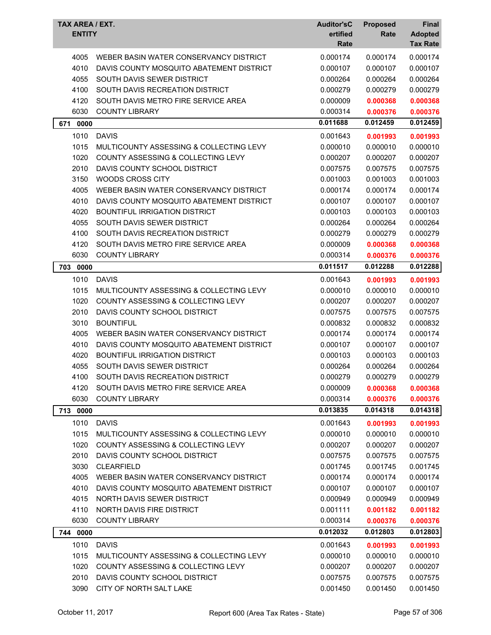|     | <b>ENTITY</b> | TAX AREA / EXT.                               | <b>Auditor'sC</b><br>ertified<br>Rate | <b>Proposed</b><br>Rate | Final<br><b>Adopted</b><br><b>Tax Rate</b> |
|-----|---------------|-----------------------------------------------|---------------------------------------|-------------------------|--------------------------------------------|
|     | 4005          | WEBER BASIN WATER CONSERVANCY DISTRICT        | 0.000174                              | 0.000174                | 0.000174                                   |
|     | 4010          | DAVIS COUNTY MOSQUITO ABATEMENT DISTRICT      | 0.000107                              | 0.000107                | 0.000107                                   |
|     | 4055          | SOUTH DAVIS SEWER DISTRICT                    | 0.000264                              | 0.000264                | 0.000264                                   |
|     | 4100          | SOUTH DAVIS RECREATION DISTRICT               | 0.000279                              | 0.000279                | 0.000279                                   |
|     | 4120          | SOUTH DAVIS METRO FIRE SERVICE AREA           | 0.000009                              | 0.000368                | 0.000368                                   |
|     | 6030          | <b>COUNTY LIBRARY</b>                         | 0.000314                              | 0.000376                | 0.000376                                   |
| 671 | 0000          |                                               | 0.011688                              | 0.012459                | 0.012459                                   |
|     | 1010          | <b>DAVIS</b>                                  | 0.001643                              | 0.001993                | 0.001993                                   |
|     | 1015          | MULTICOUNTY ASSESSING & COLLECTING LEVY       | 0.000010                              | 0.000010                | 0.000010                                   |
|     | 1020          | COUNTY ASSESSING & COLLECTING LEVY            | 0.000207                              | 0.000207                | 0.000207                                   |
|     | 2010          | DAVIS COUNTY SCHOOL DISTRICT                  | 0.007575                              | 0.007575                | 0.007575                                   |
|     | 3150          | <b>WOODS CROSS CITY</b>                       | 0.001003                              | 0.001003                | 0.001003                                   |
|     | 4005          | WEBER BASIN WATER CONSERVANCY DISTRICT        | 0.000174                              | 0.000174                | 0.000174                                   |
|     | 4010          | DAVIS COUNTY MOSQUITO ABATEMENT DISTRICT      | 0.000107                              | 0.000107                | 0.000107                                   |
|     | 4020          | <b>BOUNTIFUL IRRIGATION DISTRICT</b>          | 0.000103                              | 0.000103                | 0.000103                                   |
|     | 4055          | SOUTH DAVIS SEWER DISTRICT                    | 0.000264                              | 0.000264                | 0.000264                                   |
|     | 4100          | SOUTH DAVIS RECREATION DISTRICT               | 0.000279                              | 0.000279                | 0.000279                                   |
|     | 4120          | SOUTH DAVIS METRO FIRE SERVICE AREA           | 0.000009                              | 0.000368                | 0.000368                                   |
|     | 6030          | <b>COUNTY LIBRARY</b>                         | 0.000314                              | 0.000376                | 0.000376                                   |
| 703 | 0000          |                                               | 0.011517                              | 0.012288                | 0.012288                                   |
|     | 1010          | <b>DAVIS</b>                                  | 0.001643                              | 0.001993                | 0.001993                                   |
|     | 1015          | MULTICOUNTY ASSESSING & COLLECTING LEVY       | 0.000010                              | 0.000010                | 0.000010                                   |
|     | 1020          | <b>COUNTY ASSESSING &amp; COLLECTING LEVY</b> | 0.000207                              | 0.000207                | 0.000207                                   |
|     | 2010          | DAVIS COUNTY SCHOOL DISTRICT                  | 0.007575                              | 0.007575                | 0.007575                                   |
|     | 3010          | <b>BOUNTIFUL</b>                              | 0.000832                              | 0.000832                | 0.000832                                   |
|     | 4005          | WEBER BASIN WATER CONSERVANCY DISTRICT        | 0.000174                              | 0.000174                | 0.000174                                   |
|     | 4010          | DAVIS COUNTY MOSQUITO ABATEMENT DISTRICT      | 0.000107                              | 0.000107                | 0.000107                                   |
|     | 4020          | <b>BOUNTIFUL IRRIGATION DISTRICT</b>          | 0.000103                              | 0.000103                | 0.000103                                   |
|     | 4055          | SOUTH DAVIS SEWER DISTRICT                    | 0.000264                              | 0.000264                | 0.000264                                   |
|     | 4100          | SOUTH DAVIS RECREATION DISTRICT               | 0.000279                              | 0.000279                | 0.000279                                   |
|     | 4120          | SOUTH DAVIS METRO FIRE SERVICE AREA           | 0.000009                              | 0.000368                | 0.000368                                   |
|     | 6030          | <b>COUNTY LIBRARY</b>                         | 0.000314                              | 0.000376                | 0.000376                                   |
|     | 713 0000      |                                               | 0.013835                              | 0.014318                | 0.014318                                   |
|     | 1010          | <b>DAVIS</b>                                  | 0.001643                              | 0.001993                | 0.001993                                   |
|     | 1015          | MULTICOUNTY ASSESSING & COLLECTING LEVY       | 0.000010                              | 0.000010                | 0.000010                                   |
|     | 1020          | COUNTY ASSESSING & COLLECTING LEVY            | 0.000207                              | 0.000207                | 0.000207                                   |
|     | 2010          | DAVIS COUNTY SCHOOL DISTRICT                  | 0.007575                              | 0.007575                | 0.007575                                   |
|     | 3030          | <b>CLEARFIELD</b>                             | 0.001745                              | 0.001745                | 0.001745                                   |
|     | 4005          | WEBER BASIN WATER CONSERVANCY DISTRICT        | 0.000174                              | 0.000174                | 0.000174                                   |
|     | 4010          | DAVIS COUNTY MOSQUITO ABATEMENT DISTRICT      | 0.000107                              | 0.000107                | 0.000107                                   |
|     | 4015          | NORTH DAVIS SEWER DISTRICT                    | 0.000949                              | 0.000949                | 0.000949                                   |
|     | 4110          | <b>NORTH DAVIS FIRE DISTRICT</b>              | 0.001111                              | 0.001182                | 0.001182                                   |
|     | 6030          | <b>COUNTY LIBRARY</b>                         | 0.000314                              | 0.000376                | 0.000376                                   |
|     | 744 0000      |                                               | 0.012032                              | 0.012803                | 0.012803                                   |
|     | 1010          | <b>DAVIS</b>                                  | 0.001643                              | 0.001993                | 0.001993                                   |
|     | 1015          | MULTICOUNTY ASSESSING & COLLECTING LEVY       | 0.000010                              | 0.000010                | 0.000010                                   |
|     |               | COUNTY ASSESSING & COLLECTING LEVY            |                                       |                         |                                            |
|     | 1020<br>2010  | DAVIS COUNTY SCHOOL DISTRICT                  | 0.000207<br>0.007575                  | 0.000207                | 0.000207                                   |
|     | 3090          | CITY OF NORTH SALT LAKE                       | 0.001450                              | 0.007575<br>0.001450    | 0.007575<br>0.001450                       |
|     |               |                                               |                                       |                         |                                            |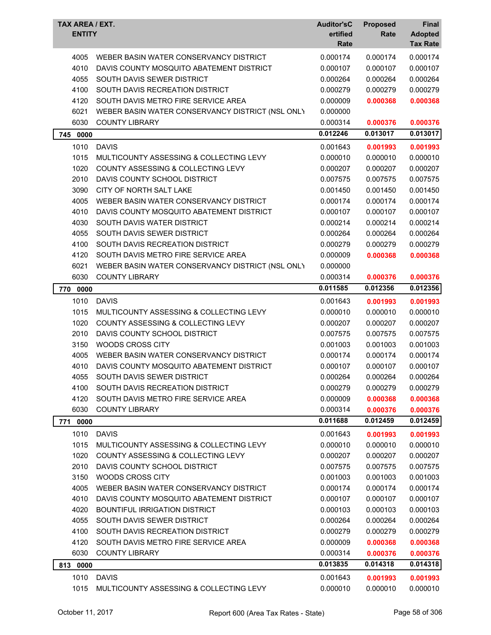| <b>TAX AREA / EXT.</b><br><b>ENTITY</b> |                                                  | <b>Auditor'sC</b><br>ertified<br>Rate | <b>Proposed</b><br>Rate | Final<br><b>Adopted</b><br><b>Tax Rate</b> |
|-----------------------------------------|--------------------------------------------------|---------------------------------------|-------------------------|--------------------------------------------|
| 4005                                    | WEBER BASIN WATER CONSERVANCY DISTRICT           | 0.000174                              | 0.000174                | 0.000174                                   |
| 4010                                    | DAVIS COUNTY MOSQUITO ABATEMENT DISTRICT         | 0.000107                              | 0.000107                | 0.000107                                   |
| 4055                                    | SOUTH DAVIS SEWER DISTRICT                       | 0.000264                              | 0.000264                | 0.000264                                   |
| 4100                                    | SOUTH DAVIS RECREATION DISTRICT                  | 0.000279                              | 0.000279                | 0.000279                                   |
| 4120                                    | SOUTH DAVIS METRO FIRE SERVICE AREA              | 0.000009                              | 0.000368                | 0.000368                                   |
| 6021                                    | WEBER BASIN WATER CONSERVANCY DISTRICT (NSL ONLY | 0.000000                              |                         |                                            |
| 6030                                    | <b>COUNTY LIBRARY</b>                            | 0.000314                              | 0.000376                | 0.000376                                   |
| 745<br>0000                             |                                                  | 0.012246                              | 0.013017                | 0.013017                                   |
| 1010                                    | <b>DAVIS</b>                                     | 0.001643                              | 0.001993                | 0.001993                                   |
| 1015                                    | MULTICOUNTY ASSESSING & COLLECTING LEVY          | 0.000010                              | 0.000010                | 0.000010                                   |
| 1020                                    | COUNTY ASSESSING & COLLECTING LEVY               | 0.000207                              | 0.000207                | 0.000207                                   |
| 2010                                    | DAVIS COUNTY SCHOOL DISTRICT                     | 0.007575                              | 0.007575                | 0.007575                                   |
| 3090                                    | CITY OF NORTH SALT LAKE                          | 0.001450                              | 0.001450                | 0.001450                                   |
| 4005                                    | WEBER BASIN WATER CONSERVANCY DISTRICT           | 0.000174                              | 0.000174                | 0.000174                                   |
| 4010                                    | DAVIS COUNTY MOSQUITO ABATEMENT DISTRICT         | 0.000107                              | 0.000107                | 0.000107                                   |
| 4030                                    | SOUTH DAVIS WATER DISTRICT                       | 0.000214                              | 0.000214                | 0.000214                                   |
| 4055                                    | SOUTH DAVIS SEWER DISTRICT                       | 0.000264                              | 0.000264                | 0.000264                                   |
| 4100                                    | SOUTH DAVIS RECREATION DISTRICT                  | 0.000279                              | 0.000279                | 0.000279                                   |
| 4120                                    | SOUTH DAVIS METRO FIRE SERVICE AREA              | 0.000009                              | 0.000368                | 0.000368                                   |
| 6021                                    | WEBER BASIN WATER CONSERVANCY DISTRICT (NSL ONLY | 0.000000                              |                         |                                            |
| 6030                                    | <b>COUNTY LIBRARY</b>                            | 0.000314                              | 0.000376                | 0.000376                                   |
| 770<br>0000                             |                                                  | 0.011585                              | 0.012356                | 0.012356                                   |
| 1010                                    | <b>DAVIS</b>                                     | 0.001643                              | 0.001993                | 0.001993                                   |
| 1015                                    | MULTICOUNTY ASSESSING & COLLECTING LEVY          | 0.000010                              | 0.000010                | 0.000010                                   |
| 1020                                    | COUNTY ASSESSING & COLLECTING LEVY               | 0.000207                              | 0.000207                | 0.000207                                   |
| 2010                                    | DAVIS COUNTY SCHOOL DISTRICT                     | 0.007575                              | 0.007575                | 0.007575                                   |
| 3150                                    | <b>WOODS CROSS CITY</b>                          | 0.001003                              | 0.001003                | 0.001003                                   |
| 4005                                    | WEBER BASIN WATER CONSERVANCY DISTRICT           | 0.000174                              | 0.000174                | 0.000174                                   |
| 4010                                    | DAVIS COUNTY MOSQUITO ABATEMENT DISTRICT         | 0.000107                              | 0.000107                | 0.000107                                   |
| 4055                                    | SOUTH DAVIS SEWER DISTRICT                       | 0.000264                              | 0.000264                | 0.000264                                   |
| 4100                                    | SOUTH DAVIS RECREATION DISTRICT                  | 0.000279                              | 0.000279                | 0.000279                                   |
| 4120                                    | SOUTH DAVIS METRO FIRE SERVICE AREA              | 0.000009                              | 0.000368                | 0.000368                                   |
| 6030                                    | <b>COUNTY LIBRARY</b>                            | 0.000314                              | 0.000376                | 0.000376                                   |
| 771 0000                                |                                                  | 0.011688                              | 0.012459                | 0.012459                                   |
|                                         |                                                  |                                       |                         |                                            |
| 1010                                    | <b>DAVIS</b>                                     | 0.001643                              | 0.001993                | 0.001993                                   |
| 1015                                    | MULTICOUNTY ASSESSING & COLLECTING LEVY          | 0.000010                              | 0.000010                | 0.000010                                   |
| 1020                                    | COUNTY ASSESSING & COLLECTING LEVY               | 0.000207                              | 0.000207                | 0.000207                                   |
| 2010                                    | DAVIS COUNTY SCHOOL DISTRICT                     | 0.007575                              | 0.007575                | 0.007575                                   |
| 3150                                    | WOODS CROSS CITY                                 | 0.001003                              | 0.001003                | 0.001003                                   |
| 4005                                    | WEBER BASIN WATER CONSERVANCY DISTRICT           | 0.000174                              | 0.000174                | 0.000174                                   |
| 4010                                    | DAVIS COUNTY MOSQUITO ABATEMENT DISTRICT         | 0.000107                              | 0.000107                | 0.000107                                   |
| 4020                                    | <b>BOUNTIFUL IRRIGATION DISTRICT</b>             | 0.000103                              | 0.000103                | 0.000103                                   |
| 4055                                    | SOUTH DAVIS SEWER DISTRICT                       | 0.000264                              | 0.000264                | 0.000264                                   |
| 4100                                    | SOUTH DAVIS RECREATION DISTRICT                  | 0.000279                              | 0.000279                | 0.000279                                   |
| 4120                                    | SOUTH DAVIS METRO FIRE SERVICE AREA              | 0.000009                              | 0.000368                | 0.000368                                   |
| 6030                                    | <b>COUNTY LIBRARY</b>                            | 0.000314                              | 0.000376                | 0.000376                                   |
| 813 0000                                |                                                  | 0.013835                              | 0.014318                | 0.014318                                   |
| 1010                                    | <b>DAVIS</b>                                     | 0.001643                              | 0.001993                | 0.001993                                   |
| 1015                                    | MULTICOUNTY ASSESSING & COLLECTING LEVY          | 0.000010                              | 0.000010                | 0.000010                                   |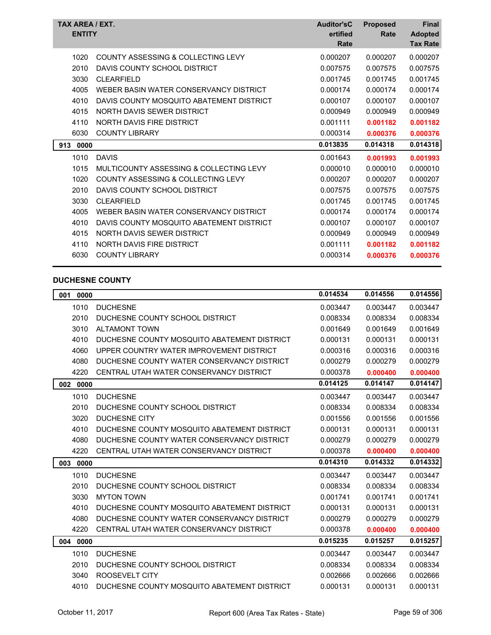| TAX AREA / EXT.<br><b>ENTITY</b> |                                          | <b>Auditor'sC</b><br>ertified<br>Rate | <b>Proposed</b><br>Rate | <b>Final</b><br><b>Adopted</b><br><b>Tax Rate</b> |
|----------------------------------|------------------------------------------|---------------------------------------|-------------------------|---------------------------------------------------|
| 1020                             | COUNTY ASSESSING & COLLECTING LEVY       | 0.000207                              | 0.000207                | 0.000207                                          |
| 2010                             | DAVIS COUNTY SCHOOL DISTRICT             | 0.007575                              | 0.007575                | 0.007575                                          |
| 3030                             | <b>CLEARFIELD</b>                        | 0.001745                              | 0.001745                | 0.001745                                          |
| 4005                             | WEBER BASIN WATER CONSERVANCY DISTRICT   | 0.000174                              | 0.000174                | 0.000174                                          |
| 4010                             | DAVIS COUNTY MOSQUITO ABATEMENT DISTRICT | 0.000107                              | 0.000107                | 0.000107                                          |
| 4015                             | NORTH DAVIS SEWER DISTRICT               | 0.000949                              | 0.000949                | 0.000949                                          |
| 4110                             | NORTH DAVIS FIRE DISTRICT                | 0.001111                              | 0.001182                | 0.001182                                          |
| 6030                             | <b>COUNTY LIBRARY</b>                    | 0.000314                              | 0.000376                | 0.000376                                          |
| 913<br>0000                      |                                          | 0.013835                              | 0.014318                | 0.014318                                          |
|                                  |                                          |                                       |                         |                                                   |
| 1010                             | <b>DAVIS</b>                             | 0.001643                              | 0.001993                | 0.001993                                          |
| 1015                             | MULTICOUNTY ASSESSING & COLLECTING LEVY  | 0.000010                              | 0.000010                | 0.000010                                          |
| 1020                             | COUNTY ASSESSING & COLLECTING LEVY       | 0.000207                              | 0.000207                | 0.000207                                          |
| 2010                             | DAVIS COUNTY SCHOOL DISTRICT             | 0.007575                              | 0.007575                | 0.007575                                          |
| 3030                             | <b>CLEARFIELD</b>                        | 0.001745                              | 0.001745                | 0.001745                                          |
| 4005                             | WEBER BASIN WATER CONSERVANCY DISTRICT   | 0.000174                              | 0.000174                | 0.000174                                          |
| 4010                             | DAVIS COUNTY MOSQUITO ABATEMENT DISTRICT | 0.000107                              | 0.000107                | 0.000107                                          |
| 4015                             | NORTH DAVIS SEWER DISTRICT               | 0.000949                              | 0.000949                | 0.000949                                          |
| 4110                             | NORTH DAVIS FIRE DISTRICT                | 0.001111                              | 0.001182                | 0.001182                                          |
| 6030                             | <b>COUNTY LIBRARY</b>                    | 0.000314                              | 0.000376                | 0.000376                                          |

## **DUCHESNE COUNTY**

| 0000<br>001 |                                             | 0.014534 | 0.014556 | 0.014556 |
|-------------|---------------------------------------------|----------|----------|----------|
| 1010        | <b>DUCHESNE</b>                             | 0.003447 | 0.003447 | 0.003447 |
| 2010        | DUCHESNE COUNTY SCHOOL DISTRICT             | 0.008334 | 0.008334 | 0.008334 |
| 3010        | <b>ALTAMONT TOWN</b>                        | 0.001649 | 0.001649 | 0.001649 |
| 4010        | DUCHESNE COUNTY MOSQUITO ABATEMENT DISTRICT | 0.000131 | 0.000131 | 0.000131 |
| 4060        | UPPER COUNTRY WATER IMPROVEMENT DISTRICT    | 0.000316 | 0.000316 | 0.000316 |
| 4080        | DUCHESNE COUNTY WATER CONSERVANCY DISTRICT  | 0.000279 | 0.000279 | 0.000279 |
| 4220        | CENTRAL UTAH WATER CONSERVANCY DISTRICT     | 0.000378 | 0.000400 | 0.000400 |
| 002 0000    |                                             | 0.014125 | 0.014147 | 0.014147 |
| 1010        | <b>DUCHESNE</b>                             | 0.003447 | 0.003447 | 0.003447 |
| 2010        | DUCHESNE COUNTY SCHOOL DISTRICT             | 0.008334 | 0.008334 | 0.008334 |
| 3020        | <b>DUCHESNE CITY</b>                        | 0.001556 | 0.001556 | 0.001556 |
| 4010        | DUCHESNE COUNTY MOSQUITO ABATEMENT DISTRICT | 0.000131 | 0.000131 | 0.000131 |
| 4080        | DUCHESNE COUNTY WATER CONSERVANCY DISTRICT  | 0.000279 | 0.000279 | 0.000279 |
| 4220        | CENTRAL UTAH WATER CONSERVANCY DISTRICT     | 0.000378 | 0.000400 | 0.000400 |
| 003 0000    |                                             | 0.014310 | 0.014332 | 0.014332 |
| 1010        | <b>DUCHESNE</b>                             | 0.003447 | 0.003447 | 0.003447 |
| 2010        | DUCHESNE COUNTY SCHOOL DISTRICT             | 0.008334 | 0.008334 | 0.008334 |
| 3030        | <b>MYTON TOWN</b>                           | 0.001741 | 0.001741 | 0.001741 |
| 4010        | DUCHESNE COUNTY MOSQUITO ABATEMENT DISTRICT | 0.000131 | 0.000131 | 0.000131 |
| 4080        | DUCHESNE COUNTY WATER CONSERVANCY DISTRICT  | 0.000279 | 0.000279 | 0.000279 |
| 4220        | CENTRAL UTAH WATER CONSERVANCY DISTRICT     | 0.000378 | 0.000400 | 0.000400 |
| 0000<br>004 |                                             | 0.015235 | 0.015257 | 0.015257 |
| 1010        | <b>DUCHESNE</b>                             | 0.003447 | 0.003447 | 0.003447 |
| 2010        | DUCHESNE COUNTY SCHOOL DISTRICT             | 0.008334 | 0.008334 | 0.008334 |
| 3040        | ROOSEVELT CITY                              | 0.002666 | 0.002666 | 0.002666 |
| 4010        | DUCHESNE COUNTY MOSQUITO ABATEMENT DISTRICT | 0.000131 | 0.000131 | 0.000131 |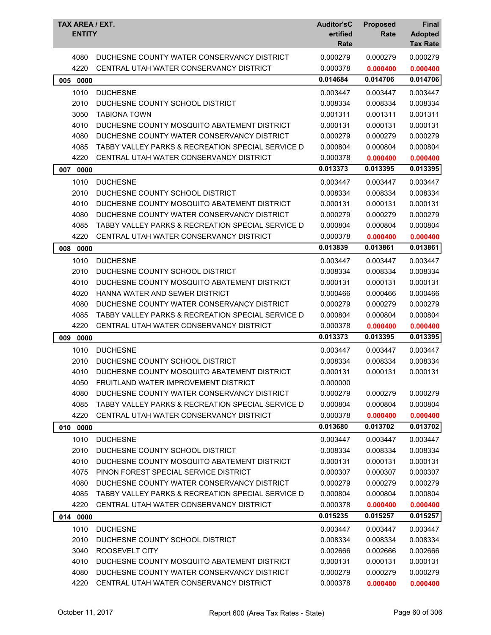| TAX AREA / EXT.<br><b>ENTITY</b> |                                                   | <b>Auditor'sC</b><br>ertified<br>Rate | <b>Proposed</b><br>Rate | <b>Final</b><br><b>Adopted</b><br><b>Tax Rate</b> |
|----------------------------------|---------------------------------------------------|---------------------------------------|-------------------------|---------------------------------------------------|
| 4080                             | DUCHESNE COUNTY WATER CONSERVANCY DISTRICT        | 0.000279                              | 0.000279                | 0.000279                                          |
| 4220                             | CENTRAL UTAH WATER CONSERVANCY DISTRICT           | 0.000378                              | 0.000400                | 0.000400                                          |
| 005 0000                         |                                                   | 0.014684                              | 0.014706                | 0.014706                                          |
| 1010                             | <b>DUCHESNE</b>                                   | 0.003447                              | 0.003447                | 0.003447                                          |
| 2010                             | DUCHESNE COUNTY SCHOOL DISTRICT                   | 0.008334                              | 0.008334                | 0.008334                                          |
| 3050                             | <b>TABIONA TOWN</b>                               | 0.001311                              | 0.001311                | 0.001311                                          |
| 4010                             | DUCHESNE COUNTY MOSQUITO ABATEMENT DISTRICT       | 0.000131                              | 0.000131                | 0.000131                                          |
| 4080                             | DUCHESNE COUNTY WATER CONSERVANCY DISTRICT        | 0.000279                              | 0.000279                | 0.000279                                          |
| 4085                             | TABBY VALLEY PARKS & RECREATION SPECIAL SERVICE D | 0.000804                              | 0.000804                | 0.000804                                          |
| 4220                             | CENTRAL UTAH WATER CONSERVANCY DISTRICT           | 0.000378                              | 0.000400                | 0.000400                                          |
| 0000<br>007                      |                                                   | 0.013373                              | 0.013395                | 0.013395                                          |
| 1010                             | <b>DUCHESNE</b>                                   | 0.003447                              | 0.003447                | 0.003447                                          |
| 2010                             | DUCHESNE COUNTY SCHOOL DISTRICT                   | 0.008334                              | 0.008334                | 0.008334                                          |
| 4010                             | DUCHESNE COUNTY MOSQUITO ABATEMENT DISTRICT       | 0.000131                              | 0.000131                | 0.000131                                          |
| 4080                             | DUCHESNE COUNTY WATER CONSERVANCY DISTRICT        | 0.000279                              | 0.000279                | 0.000279                                          |
| 4085                             | TABBY VALLEY PARKS & RECREATION SPECIAL SERVICE D | 0.000804                              | 0.000804                | 0.000804                                          |
| 4220                             | CENTRAL UTAH WATER CONSERVANCY DISTRICT           | 0.000378                              | 0.000400                | 0.000400                                          |
| 008<br>0000                      |                                                   | 0.013839                              | 0.013861                | 0.013861                                          |
| 1010                             | <b>DUCHESNE</b>                                   | 0.003447                              | 0.003447                | 0.003447                                          |
| 2010                             | DUCHESNE COUNTY SCHOOL DISTRICT                   | 0.008334                              | 0.008334                | 0.008334                                          |
| 4010                             | DUCHESNE COUNTY MOSQUITO ABATEMENT DISTRICT       | 0.000131                              | 0.000131                | 0.000131                                          |
| 4020                             | HANNA WATER AND SEWER DISTRICT                    | 0.000466                              | 0.000466                | 0.000466                                          |
| 4080                             | DUCHESNE COUNTY WATER CONSERVANCY DISTRICT        | 0.000279                              | 0.000279                | 0.000279                                          |
| 4085                             | TABBY VALLEY PARKS & RECREATION SPECIAL SERVICE D | 0.000804                              | 0.000804                | 0.000804                                          |
| 4220                             | CENTRAL UTAH WATER CONSERVANCY DISTRICT           | 0.000378                              | 0.000400                | 0.000400                                          |
| 0000<br>009                      |                                                   | 0.013373                              | 0.013395                | 0.013395                                          |
| 1010                             | <b>DUCHESNE</b>                                   | 0.003447                              | 0.003447                | 0.003447                                          |
| 2010                             | DUCHESNE COUNTY SCHOOL DISTRICT                   | 0.008334                              | 0.008334                | 0.008334                                          |
| 4010                             | DUCHESNE COUNTY MOSQUITO ABATEMENT DISTRICT       | 0.000131                              | 0.000131                | 0.000131                                          |
| 4050                             | FRUITLAND WATER IMPROVEMENT DISTRICT              | 0.000000                              |                         |                                                   |
| 4080                             | DUCHESNE COUNTY WATER CONSERVANCY DISTRICT        | 0.000279                              | 0.000279                | 0.000279                                          |
| 4085                             | TABBY VALLEY PARKS & RECREATION SPECIAL SERVICE D | 0.000804                              | 0.000804                | 0.000804                                          |
| 4220                             | CENTRAL UTAH WATER CONSERVANCY DISTRICT           | 0.000378                              | 0.000400                | 0.000400                                          |
| 010 0000                         |                                                   | 0.013680                              | 0.013702                | 0.013702                                          |
| 1010                             | <b>DUCHESNE</b>                                   | 0.003447                              | 0.003447                | 0.003447                                          |
| 2010                             | DUCHESNE COUNTY SCHOOL DISTRICT                   | 0.008334                              | 0.008334                | 0.008334                                          |
| 4010                             | DUCHESNE COUNTY MOSQUITO ABATEMENT DISTRICT       | 0.000131                              | 0.000131                | 0.000131                                          |
| 4075                             | PINON FOREST SPECIAL SERVICE DISTRICT             | 0.000307                              | 0.000307                | 0.000307                                          |
| 4080                             | DUCHESNE COUNTY WATER CONSERVANCY DISTRICT        | 0.000279                              | 0.000279                | 0.000279                                          |
| 4085                             | TABBY VALLEY PARKS & RECREATION SPECIAL SERVICE D | 0.000804                              | 0.000804                | 0.000804                                          |
| 4220                             | CENTRAL UTAH WATER CONSERVANCY DISTRICT           | 0.000378                              | 0.000400                | 0.000400                                          |
| 014 0000                         |                                                   | 0.015235                              | 0.015257                | 0.015257                                          |
| 1010                             | <b>DUCHESNE</b>                                   | 0.003447                              | 0.003447                | 0.003447                                          |
| 2010                             | DUCHESNE COUNTY SCHOOL DISTRICT                   | 0.008334                              | 0.008334                | 0.008334                                          |
| 3040                             | ROOSEVELT CITY                                    | 0.002666                              | 0.002666                | 0.002666                                          |
| 4010                             | DUCHESNE COUNTY MOSQUITO ABATEMENT DISTRICT       | 0.000131                              | 0.000131                | 0.000131                                          |
| 4080                             | DUCHESNE COUNTY WATER CONSERVANCY DISTRICT        | 0.000279                              | 0.000279                | 0.000279                                          |
| 4220                             | CENTRAL UTAH WATER CONSERVANCY DISTRICT           | 0.000378                              | 0.000400                | 0.000400                                          |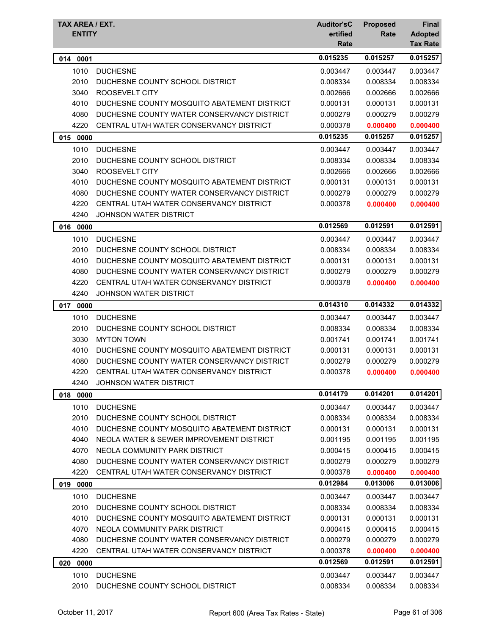| TAX AREA / EXT.<br><b>ENTITY</b> |                                                                                       | <b>Auditor'sC</b><br>ertified<br>Rate | <b>Proposed</b><br>Rate | <b>Final</b><br><b>Adopted</b><br><b>Tax Rate</b> |
|----------------------------------|---------------------------------------------------------------------------------------|---------------------------------------|-------------------------|---------------------------------------------------|
| 014 0001                         |                                                                                       | 0.015235                              | 0.015257                | 0.015257                                          |
| 1010                             | <b>DUCHESNE</b>                                                                       | 0.003447                              | 0.003447                | 0.003447                                          |
| 2010                             | DUCHESNE COUNTY SCHOOL DISTRICT                                                       | 0.008334                              | 0.008334                | 0.008334                                          |
| 3040                             | ROOSEVELT CITY                                                                        | 0.002666                              | 0.002666                | 0.002666                                          |
| 4010                             | DUCHESNE COUNTY MOSQUITO ABATEMENT DISTRICT                                           | 0.000131                              | 0.000131                | 0.000131                                          |
| 4080                             | DUCHESNE COUNTY WATER CONSERVANCY DISTRICT                                            | 0.000279                              | 0.000279                | 0.000279                                          |
| 4220                             | CENTRAL UTAH WATER CONSERVANCY DISTRICT                                               | 0.000378                              | 0.000400                | 0.000400                                          |
| 015<br>0000                      |                                                                                       | 0.015235                              | 0.015257                | 0.015257                                          |
| 1010                             | <b>DUCHESNE</b>                                                                       | 0.003447                              | 0.003447                | 0.003447                                          |
| 2010                             | DUCHESNE COUNTY SCHOOL DISTRICT                                                       | 0.008334                              | 0.008334                | 0.008334                                          |
| 3040                             | ROOSEVELT CITY                                                                        | 0.002666                              | 0.002666                | 0.002666                                          |
| 4010                             | DUCHESNE COUNTY MOSQUITO ABATEMENT DISTRICT                                           | 0.000131                              | 0.000131                | 0.000131                                          |
| 4080                             | DUCHESNE COUNTY WATER CONSERVANCY DISTRICT                                            | 0.000279                              | 0.000279                | 0.000279                                          |
| 4220                             | CENTRAL UTAH WATER CONSERVANCY DISTRICT                                               | 0.000378                              | 0.000400                | 0.000400                                          |
| 4240                             | <b>JOHNSON WATER DISTRICT</b>                                                         |                                       |                         |                                                   |
| 016 0000                         |                                                                                       | 0.012569                              | 0.012591                | 0.012591                                          |
| 1010                             | <b>DUCHESNE</b>                                                                       | 0.003447                              | 0.003447                | 0.003447                                          |
| 2010                             | DUCHESNE COUNTY SCHOOL DISTRICT                                                       | 0.008334                              | 0.008334                | 0.008334                                          |
| 4010                             | DUCHESNE COUNTY MOSQUITO ABATEMENT DISTRICT                                           | 0.000131                              | 0.000131                | 0.000131                                          |
| 4080                             | DUCHESNE COUNTY WATER CONSERVANCY DISTRICT                                            | 0.000279                              | 0.000279                | 0.000279                                          |
| 4220                             | CENTRAL UTAH WATER CONSERVANCY DISTRICT                                               | 0.000378                              | 0.000400                | 0.000400                                          |
| 4240                             | <b>JOHNSON WATER DISTRICT</b>                                                         |                                       |                         |                                                   |
| 0000<br>017                      |                                                                                       | 0.014310                              | 0.014332                | 0.014332                                          |
| 1010                             | <b>DUCHESNE</b>                                                                       | 0.003447                              | 0.003447                | 0.003447                                          |
| 2010                             | DUCHESNE COUNTY SCHOOL DISTRICT                                                       | 0.008334                              | 0.008334                | 0.008334                                          |
| 3030                             | <b>MYTON TOWN</b>                                                                     | 0.001741                              | 0.001741                | 0.001741                                          |
| 4010                             | DUCHESNE COUNTY MOSQUITO ABATEMENT DISTRICT                                           | 0.000131                              | 0.000131                | 0.000131                                          |
| 4080                             | DUCHESNE COUNTY WATER CONSERVANCY DISTRICT                                            | 0.000279                              | 0.000279                | 0.000279                                          |
| 4220                             | CENTRAL UTAH WATER CONSERVANCY DISTRICT                                               | 0.000378                              | 0.000400                | 0.000400                                          |
| 4240                             | JOHNSON WATER DISTRICT                                                                |                                       |                         |                                                   |
| 018 0000                         |                                                                                       | 0.014179                              | 0.014201                | 0.014201                                          |
| 1010                             | <b>DUCHESNE</b>                                                                       | 0.003447                              | 0.003447                | 0.003447                                          |
| 2010                             | DUCHESNE COUNTY SCHOOL DISTRICT                                                       | 0.008334                              | 0.008334                | 0.008334                                          |
| 4010                             | DUCHESNE COUNTY MOSQUITO ABATEMENT DISTRICT                                           | 0.000131                              | 0.000131                | 0.000131                                          |
| 4040                             | NEOLA WATER & SEWER IMPROVEMENT DISTRICT                                              | 0.001195                              | 0.001195                | 0.001195                                          |
| 4070                             | NEOLA COMMUNITY PARK DISTRICT                                                         | 0.000415                              | 0.000415                | 0.000415                                          |
| 4080                             | DUCHESNE COUNTY WATER CONSERVANCY DISTRICT<br>CENTRAL UTAH WATER CONSERVANCY DISTRICT | 0.000279                              | 0.000279                | 0.000279                                          |
| 4220                             |                                                                                       | 0.000378                              | 0.000400                | 0.000400                                          |
| 019 0000                         |                                                                                       | 0.012984                              | 0.013006                | 0.013006                                          |
| 1010                             | <b>DUCHESNE</b>                                                                       | 0.003447                              | 0.003447                | 0.003447                                          |
| 2010                             | DUCHESNE COUNTY SCHOOL DISTRICT                                                       | 0.008334                              | 0.008334                | 0.008334                                          |
| 4010                             | DUCHESNE COUNTY MOSQUITO ABATEMENT DISTRICT                                           | 0.000131                              | 0.000131                | 0.000131                                          |
| 4070                             | NEOLA COMMUNITY PARK DISTRICT                                                         | 0.000415                              | 0.000415                | 0.000415                                          |
| 4080<br>4220                     | DUCHESNE COUNTY WATER CONSERVANCY DISTRICT<br>CENTRAL UTAH WATER CONSERVANCY DISTRICT | 0.000279<br>0.000378                  | 0.000279                | 0.000279                                          |
|                                  |                                                                                       | 0.012569                              | 0.000400<br>0.012591    | 0.000400<br>0.012591                              |
| 020<br>0000                      |                                                                                       |                                       |                         |                                                   |
| 1010                             | <b>DUCHESNE</b>                                                                       | 0.003447                              | 0.003447                | 0.003447                                          |
| 2010                             | DUCHESNE COUNTY SCHOOL DISTRICT                                                       | 0.008334                              | 0.008334                | 0.008334                                          |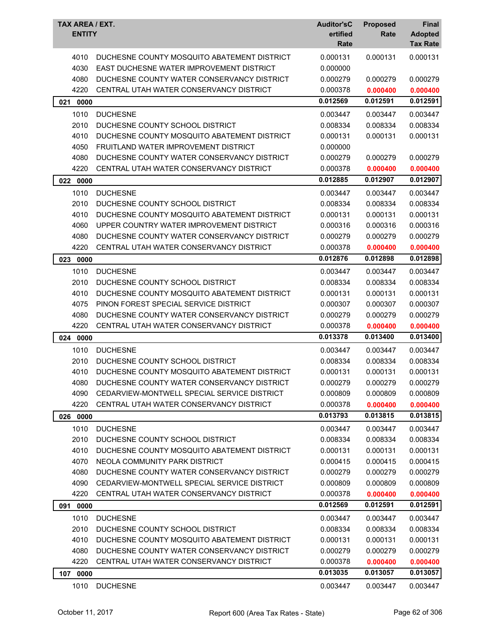| TAX AREA / EXT.<br><b>ENTITY</b> |                                                                                        | <b>Auditor'sC</b><br>ertified<br>Rate | <b>Proposed</b><br>Rate | Final<br><b>Adopted</b><br><b>Tax Rate</b> |
|----------------------------------|----------------------------------------------------------------------------------------|---------------------------------------|-------------------------|--------------------------------------------|
|                                  |                                                                                        |                                       |                         |                                            |
| 4010                             | DUCHESNE COUNTY MOSQUITO ABATEMENT DISTRICT                                            | 0.000131                              | 0.000131                | 0.000131                                   |
| 4030<br>4080                     | EAST DUCHESNE WATER IMPROVEMENT DISTRICT<br>DUCHESNE COUNTY WATER CONSERVANCY DISTRICT | 0.000000<br>0.000279                  | 0.000279                | 0.000279                                   |
| 4220                             | CENTRAL UTAH WATER CONSERVANCY DISTRICT                                                | 0.000378                              | 0.000400                | 0.000400                                   |
|                                  |                                                                                        | 0.012569                              | 0.012591                | 0.012591                                   |
| 0000<br>021                      |                                                                                        |                                       |                         |                                            |
| 1010                             | <b>DUCHESNE</b>                                                                        | 0.003447                              | 0.003447                | 0.003447                                   |
| 2010                             | DUCHESNE COUNTY SCHOOL DISTRICT                                                        | 0.008334                              | 0.008334                | 0.008334                                   |
| 4010                             | DUCHESNE COUNTY MOSQUITO ABATEMENT DISTRICT                                            | 0.000131                              | 0.000131                | 0.000131                                   |
| 4050                             | FRUITLAND WATER IMPROVEMENT DISTRICT                                                   | 0.000000                              |                         |                                            |
| 4080                             | DUCHESNE COUNTY WATER CONSERVANCY DISTRICT                                             | 0.000279                              | 0.000279                | 0.000279                                   |
| 4220                             | CENTRAL UTAH WATER CONSERVANCY DISTRICT                                                | 0.000378                              | 0.000400                | 0.000400                                   |
| 022<br>0000                      |                                                                                        | 0.012885                              | 0.012907                | 0.012907                                   |
| 1010                             | <b>DUCHESNE</b>                                                                        | 0.003447                              | 0.003447                | 0.003447                                   |
| 2010                             | DUCHESNE COUNTY SCHOOL DISTRICT                                                        | 0.008334                              | 0.008334                | 0.008334                                   |
| 4010                             | DUCHESNE COUNTY MOSQUITO ABATEMENT DISTRICT                                            | 0.000131                              | 0.000131                | 0.000131                                   |
| 4060                             | UPPER COUNTRY WATER IMPROVEMENT DISTRICT                                               | 0.000316                              | 0.000316                | 0.000316                                   |
| 4080                             | DUCHESNE COUNTY WATER CONSERVANCY DISTRICT                                             | 0.000279                              | 0.000279                | 0.000279                                   |
| 4220                             | CENTRAL UTAH WATER CONSERVANCY DISTRICT                                                | 0.000378                              | 0.000400                | 0.000400                                   |
| 023<br>0000                      |                                                                                        | 0.012876                              | 0.012898                | 0.012898                                   |
| 1010                             | <b>DUCHESNE</b>                                                                        | 0.003447                              | 0.003447                | 0.003447                                   |
| 2010                             | DUCHESNE COUNTY SCHOOL DISTRICT                                                        | 0.008334                              | 0.008334                | 0.008334                                   |
| 4010                             | DUCHESNE COUNTY MOSQUITO ABATEMENT DISTRICT                                            | 0.000131                              | 0.000131                | 0.000131                                   |
| 4075                             | PINON FOREST SPECIAL SERVICE DISTRICT                                                  | 0.000307                              | 0.000307                | 0.000307                                   |
| 4080                             | DUCHESNE COUNTY WATER CONSERVANCY DISTRICT                                             | 0.000279                              | 0.000279                | 0.000279                                   |
| 4220                             | CENTRAL UTAH WATER CONSERVANCY DISTRICT                                                | 0.000378                              | 0.000400                | 0.000400                                   |
| 0000<br>024                      |                                                                                        | 0.013378                              | 0.013400                | 0.013400                                   |
| 1010                             | <b>DUCHESNE</b>                                                                        | 0.003447                              | 0.003447                | 0.003447                                   |
| 2010                             | DUCHESNE COUNTY SCHOOL DISTRICT                                                        | 0.008334                              | 0.008334                | 0.008334                                   |
| 4010                             | DUCHESNE COUNTY MOSQUITO ABATEMENT DISTRICT                                            | 0.000131                              | 0.000131                | 0.000131                                   |
| 4080                             | DUCHESNE COUNTY WATER CONSERVANCY DISTRICT                                             | 0.000279                              | 0.000279                | 0.000279                                   |
| 4090                             | CEDARVIEW-MONTWELL SPECIAL SERVICE DISTRICT                                            | 0.000809                              | 0.000809                | 0.000809                                   |
| 4220                             | CENTRAL UTAH WATER CONSERVANCY DISTRICT                                                | 0.000378                              | 0.000400                | 0.000400                                   |
| 026 0000                         |                                                                                        | 0.013793                              | 0.013815                | 0.013815                                   |
| 1010                             | <b>DUCHESNE</b>                                                                        | 0.003447                              | 0.003447                | 0.003447                                   |
| 2010                             | DUCHESNE COUNTY SCHOOL DISTRICT                                                        | 0.008334                              | 0.008334                | 0.008334                                   |
| 4010                             | DUCHESNE COUNTY MOSQUITO ABATEMENT DISTRICT                                            | 0.000131                              | 0.000131                | 0.000131                                   |
| 4070                             | NEOLA COMMUNITY PARK DISTRICT                                                          | 0.000415                              | 0.000415                | 0.000415                                   |
| 4080                             | DUCHESNE COUNTY WATER CONSERVANCY DISTRICT                                             | 0.000279                              | 0.000279                | 0.000279                                   |
| 4090                             | CEDARVIEW-MONTWELL SPECIAL SERVICE DISTRICT                                            | 0.000809                              | 0.000809                | 0.000809                                   |
| 4220                             | CENTRAL UTAH WATER CONSERVANCY DISTRICT                                                | 0.000378                              | 0.000400                | 0.000400                                   |
| 0000<br>091                      |                                                                                        | 0.012569                              | 0.012591                | 0.012591                                   |
| 1010                             | <b>DUCHESNE</b>                                                                        | 0.003447                              | 0.003447                | 0.003447                                   |
| 2010                             | DUCHESNE COUNTY SCHOOL DISTRICT                                                        | 0.008334                              | 0.008334                | 0.008334                                   |
| 4010                             | DUCHESNE COUNTY MOSQUITO ABATEMENT DISTRICT                                            | 0.000131                              | 0.000131                | 0.000131                                   |
| 4080                             | DUCHESNE COUNTY WATER CONSERVANCY DISTRICT                                             | 0.000279                              | 0.000279                | 0.000279                                   |
| 4220                             | CENTRAL UTAH WATER CONSERVANCY DISTRICT                                                | 0.000378                              | 0.000400                | 0.000400                                   |
| 107 0000                         |                                                                                        | 0.013035                              | 0.013057                | 0.013057                                   |
| 1010                             | <b>DUCHESNE</b>                                                                        | 0.003447                              | 0.003447                | 0.003447                                   |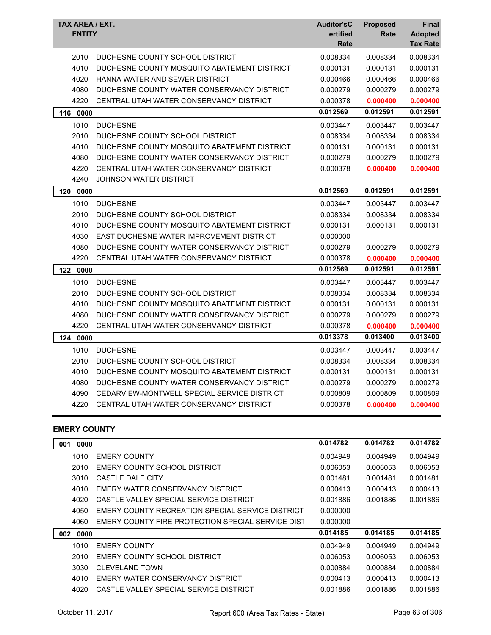| TAX AREA / EXT.<br><b>ENTITY</b> |                                             | <b>Auditor'sC</b><br>ertified<br>Rate | <b>Proposed</b><br>Rate | Final<br><b>Adopted</b><br><b>Tax Rate</b> |
|----------------------------------|---------------------------------------------|---------------------------------------|-------------------------|--------------------------------------------|
| 2010                             | DUCHESNE COUNTY SCHOOL DISTRICT             | 0.008334                              | 0.008334                | 0.008334                                   |
| 4010                             | DUCHESNE COUNTY MOSQUITO ABATEMENT DISTRICT | 0.000131                              | 0.000131                | 0.000131                                   |
| 4020                             | HANNA WATER AND SEWER DISTRICT              | 0.000466                              | 0.000466                | 0.000466                                   |
| 4080                             | DUCHESNE COUNTY WATER CONSERVANCY DISTRICT  | 0.000279                              | 0.000279                | 0.000279                                   |
| 4220                             | CENTRAL UTAH WATER CONSERVANCY DISTRICT     | 0.000378                              | 0.000400                | 0.000400                                   |
| 116<br>0000                      |                                             | 0.012569                              | 0.012591                | 0.012591                                   |
| 1010                             | <b>DUCHESNE</b>                             | 0.003447                              | 0.003447                | 0.003447                                   |
| 2010                             | DUCHESNE COUNTY SCHOOL DISTRICT             | 0.008334                              | 0.008334                | 0.008334                                   |
| 4010                             | DUCHESNE COUNTY MOSQUITO ABATEMENT DISTRICT | 0.000131                              | 0.000131                | 0.000131                                   |
| 4080                             | DUCHESNE COUNTY WATER CONSERVANCY DISTRICT  | 0.000279                              | 0.000279                | 0.000279                                   |
| 4220                             | CENTRAL UTAH WATER CONSERVANCY DISTRICT     | 0.000378                              | 0.000400                | 0.000400                                   |
| 4240                             | <b>JOHNSON WATER DISTRICT</b>               |                                       |                         |                                            |
| 120<br>0000                      |                                             | 0.012569                              | 0.012591                | 0.012591                                   |
| 1010                             | <b>DUCHESNE</b>                             | 0.003447                              | 0.003447                | 0.003447                                   |
| 2010                             | DUCHESNE COUNTY SCHOOL DISTRICT             | 0.008334                              | 0.008334                | 0.008334                                   |
| 4010                             | DUCHESNE COUNTY MOSQUITO ABATEMENT DISTRICT | 0.000131                              | 0.000131                | 0.000131                                   |
| 4030                             | EAST DUCHESNE WATER IMPROVEMENT DISTRICT    | 0.000000                              |                         |                                            |
| 4080                             | DUCHESNE COUNTY WATER CONSERVANCY DISTRICT  | 0.000279                              | 0.000279                | 0.000279                                   |
| 4220                             | CENTRAL UTAH WATER CONSERVANCY DISTRICT     | 0.000378                              | 0.000400                | 0.000400                                   |
| 122<br>0000                      |                                             | 0.012569                              | 0.012591                | 0.012591                                   |
| 1010                             | <b>DUCHESNE</b>                             | 0.003447                              | 0.003447                | 0.003447                                   |
| 2010                             | DUCHESNE COUNTY SCHOOL DISTRICT             | 0.008334                              | 0.008334                | 0.008334                                   |
| 4010                             | DUCHESNE COUNTY MOSQUITO ABATEMENT DISTRICT | 0.000131                              | 0.000131                | 0.000131                                   |
| 4080                             | DUCHESNE COUNTY WATER CONSERVANCY DISTRICT  | 0.000279                              | 0.000279                | 0.000279                                   |
| 4220                             | CENTRAL UTAH WATER CONSERVANCY DISTRICT     | 0.000378                              | 0.000400                | 0.000400                                   |
| 124<br>0000                      |                                             | 0.013378                              | 0.013400                | 0.013400                                   |
| 1010                             | <b>DUCHESNE</b>                             | 0.003447                              | 0.003447                | 0.003447                                   |
| 2010                             | DUCHESNE COUNTY SCHOOL DISTRICT             | 0.008334                              | 0.008334                | 0.008334                                   |
| 4010                             | DUCHESNE COUNTY MOSQUITO ABATEMENT DISTRICT | 0.000131                              | 0.000131                | 0.000131                                   |
| 4080                             | DUCHESNE COUNTY WATER CONSERVANCY DISTRICT  | 0.000279                              | 0.000279                | 0.000279                                   |
| 4090                             | CEDARVIEW-MONTWELL SPECIAL SERVICE DISTRICT | 0.000809                              | 0.000809                | 0.000809                                   |
| 4220                             | CENTRAL UTAH WATER CONSERVANCY DISTRICT     | 0.000378                              | 0.000400                | 0.000400                                   |

### **EMERY COUNTY**

| 001<br>0000 |                                                   | 0.014782 | 0.014782 | 0.014782 |
|-------------|---------------------------------------------------|----------|----------|----------|
| 1010        | <b>EMERY COUNTY</b>                               | 0.004949 | 0.004949 | 0.004949 |
| 2010        | EMERY COUNTY SCHOOL DISTRICT                      | 0.006053 | 0.006053 | 0.006053 |
| 3010        | CASTLE DALE CITY                                  | 0.001481 | 0.001481 | 0.001481 |
| 4010        | EMERY WATER CONSERVANCY DISTRICT                  | 0.000413 | 0.000413 | 0.000413 |
| 4020        | CASTLE VALLEY SPECIAL SERVICE DISTRICT            | 0.001886 | 0.001886 | 0.001886 |
| 4050        | EMERY COUNTY RECREATION SPECIAL SERVICE DISTRICT  | 0.000000 |          |          |
| 4060        | EMERY COUNTY FIRE PROTECTION SPECIAL SERVICE DIST | 0.000000 |          |          |
| 0000<br>002 |                                                   | 0.014185 | 0.014185 | 0.014185 |
| 1010        | <b>EMERY COUNTY</b>                               | 0.004949 | 0.004949 | 0.004949 |
| 2010        | EMERY COUNTY SCHOOL DISTRICT                      | 0.006053 | 0.006053 | 0.006053 |
| 3030        | CLEVELAND TOWN                                    | 0.000884 | 0.000884 | 0.000884 |
| 4010        | EMERY WATER CONSERVANCY DISTRICT                  | 0.000413 | 0.000413 | 0.000413 |
| 4020        | CASTLE VALLEY SPECIAL SERVICE DISTRICT            | 0.001886 | 0.001886 | 0.001886 |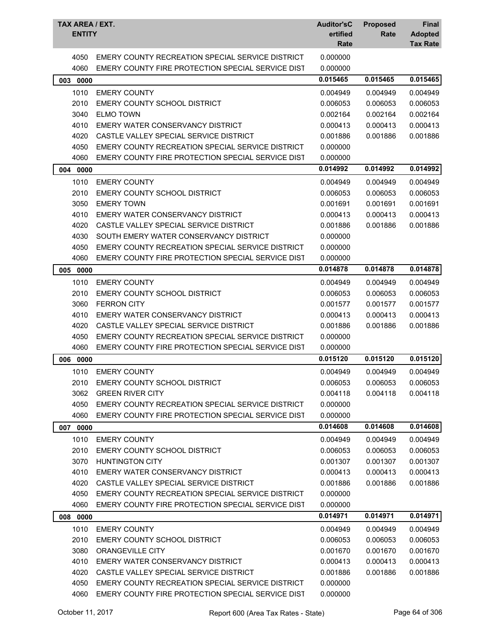| TAX AREA / EXT.<br><b>ENTITY</b> |                                                   | <b>Auditor'sC</b><br>ertified<br>Rate | <b>Proposed</b><br>Rate | <b>Final</b><br><b>Adopted</b><br><b>Tax Rate</b> |
|----------------------------------|---------------------------------------------------|---------------------------------------|-------------------------|---------------------------------------------------|
| 4050                             | EMERY COUNTY RECREATION SPECIAL SERVICE DISTRICT  | 0.000000                              |                         |                                                   |
| 4060                             | EMERY COUNTY FIRE PROTECTION SPECIAL SERVICE DIST | 0.000000                              |                         |                                                   |
| 003<br>0000                      |                                                   | 0.015465                              | 0.015465                | 0.015465                                          |
| 1010                             | <b>EMERY COUNTY</b>                               | 0.004949                              | 0.004949                | 0.004949                                          |
| 2010                             | EMERY COUNTY SCHOOL DISTRICT                      | 0.006053                              | 0.006053                | 0.006053                                          |
| 3040                             | <b>ELMO TOWN</b>                                  | 0.002164                              | 0.002164                | 0.002164                                          |
| 4010                             | EMERY WATER CONSERVANCY DISTRICT                  | 0.000413                              | 0.000413                | 0.000413                                          |
| 4020                             | CASTLE VALLEY SPECIAL SERVICE DISTRICT            | 0.001886                              | 0.001886                | 0.001886                                          |
| 4050                             | EMERY COUNTY RECREATION SPECIAL SERVICE DISTRICT  | 0.000000                              |                         |                                                   |
| 4060                             | EMERY COUNTY FIRE PROTECTION SPECIAL SERVICE DIST | 0.000000                              |                         |                                                   |
| 004 0000                         |                                                   | 0.014992                              | 0.014992                | 0.014992                                          |
| 1010                             | <b>EMERY COUNTY</b>                               | 0.004949                              | 0.004949                | 0.004949                                          |
| 2010                             | <b>EMERY COUNTY SCHOOL DISTRICT</b>               | 0.006053                              | 0.006053                | 0.006053                                          |
| 3050                             | <b>EMERY TOWN</b>                                 | 0.001691                              | 0.001691                | 0.001691                                          |
| 4010                             | EMERY WATER CONSERVANCY DISTRICT                  | 0.000413                              | 0.000413                | 0.000413                                          |
| 4020                             | CASTLE VALLEY SPECIAL SERVICE DISTRICT            | 0.001886                              | 0.001886                | 0.001886                                          |
| 4030                             | SOUTH EMERY WATER CONSERVANCY DISTRICT            | 0.000000                              |                         |                                                   |
| 4050                             | EMERY COUNTY RECREATION SPECIAL SERVICE DISTRICT  | 0.000000                              |                         |                                                   |
| 4060                             | EMERY COUNTY FIRE PROTECTION SPECIAL SERVICE DIST | 0.000000                              |                         |                                                   |
| 005 0000                         |                                                   | 0.014878                              | 0.014878                | 0.014878                                          |
| 1010                             | <b>EMERY COUNTY</b>                               | 0.004949                              | 0.004949                | 0.004949                                          |
| 2010                             | <b>EMERY COUNTY SCHOOL DISTRICT</b>               | 0.006053                              | 0.006053                | 0.006053                                          |
| 3060                             | <b>FERRON CITY</b>                                | 0.001577                              | 0.001577                | 0.001577                                          |
| 4010                             | EMERY WATER CONSERVANCY DISTRICT                  | 0.000413                              | 0.000413                | 0.000413                                          |
| 4020                             | CASTLE VALLEY SPECIAL SERVICE DISTRICT            | 0.001886                              | 0.001886                | 0.001886                                          |
| 4050                             | EMERY COUNTY RECREATION SPECIAL SERVICE DISTRICT  | 0.000000                              |                         |                                                   |
| 4060                             | EMERY COUNTY FIRE PROTECTION SPECIAL SERVICE DIST | 0.000000                              |                         |                                                   |
| 0000<br>006                      |                                                   | 0.015120                              | 0.015120                | 0.015120                                          |
| 1010                             | <b>EMERY COUNTY</b>                               | 0.004949                              | 0.004949                | 0.004949                                          |
| 2010                             | EMERY COUNTY SCHOOL DISTRICT                      | 0.006053                              | 0.006053                | 0.006053                                          |
| 3062                             | <b>GREEN RIVER CITY</b>                           | 0.004118                              | 0.004118                | 0.004118                                          |
| 4050                             | EMERY COUNTY RECREATION SPECIAL SERVICE DISTRICT  | 0.000000                              |                         |                                                   |
| 4060                             | EMERY COUNTY FIRE PROTECTION SPECIAL SERVICE DIST | 0.000000                              |                         |                                                   |
| 0000<br>007                      |                                                   | 0.014608                              | 0.014608                | 0.014608                                          |
| 1010                             | <b>EMERY COUNTY</b>                               | 0.004949                              | 0.004949                | 0.004949                                          |
| 2010                             | EMERY COUNTY SCHOOL DISTRICT                      | 0.006053                              | 0.006053                | 0.006053                                          |
| 3070                             | <b>HUNTINGTON CITY</b>                            | 0.001307                              | 0.001307                | 0.001307                                          |
| 4010                             | EMERY WATER CONSERVANCY DISTRICT                  | 0.000413                              | 0.000413                | 0.000413                                          |
| 4020                             | CASTLE VALLEY SPECIAL SERVICE DISTRICT            | 0.001886                              | 0.001886                | 0.001886                                          |
| 4050                             | EMERY COUNTY RECREATION SPECIAL SERVICE DISTRICT  | 0.000000                              |                         |                                                   |
| 4060                             | EMERY COUNTY FIRE PROTECTION SPECIAL SERVICE DIST | 0.000000                              |                         |                                                   |
| 008 0000                         |                                                   | 0.014971                              | 0.014971                | 0.014971                                          |
| 1010                             | <b>EMERY COUNTY</b>                               | 0.004949                              | 0.004949                | 0.004949                                          |
| 2010                             | EMERY COUNTY SCHOOL DISTRICT                      | 0.006053                              | 0.006053                | 0.006053                                          |
| 3080                             | ORANGEVILLE CITY                                  | 0.001670                              | 0.001670                | 0.001670                                          |
| 4010                             | EMERY WATER CONSERVANCY DISTRICT                  | 0.000413                              | 0.000413                | 0.000413                                          |
| 4020                             | CASTLE VALLEY SPECIAL SERVICE DISTRICT            | 0.001886                              | 0.001886                | 0.001886                                          |
| 4050                             | EMERY COUNTY RECREATION SPECIAL SERVICE DISTRICT  | 0.000000                              |                         |                                                   |
| 4060                             | EMERY COUNTY FIRE PROTECTION SPECIAL SERVICE DIST | 0.000000                              |                         |                                                   |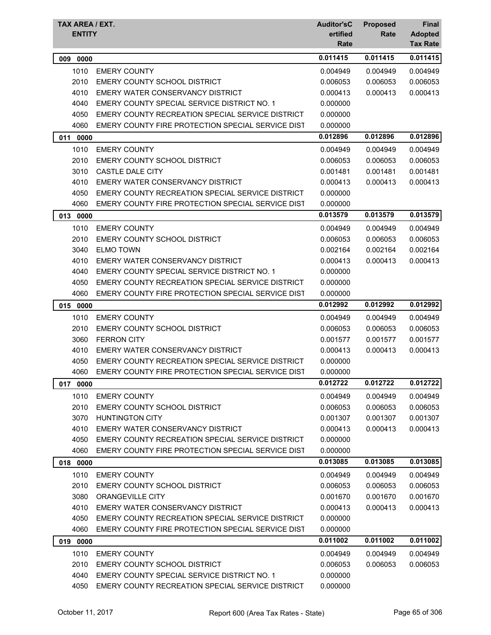| <b>TAX AREA / EXT.</b><br><b>ENTITY</b> |                                                   | <b>Auditor'sC</b><br>ertified<br>Rate | <b>Proposed</b><br>Rate | Final<br><b>Adopted</b><br><b>Tax Rate</b> |
|-----------------------------------------|---------------------------------------------------|---------------------------------------|-------------------------|--------------------------------------------|
| 009<br>0000                             |                                                   | 0.011415                              | 0.011415                | 0.011415                                   |
| 1010                                    | <b>EMERY COUNTY</b>                               | 0.004949                              | 0.004949                | 0.004949                                   |
| 2010                                    | EMERY COUNTY SCHOOL DISTRICT                      | 0.006053                              | 0.006053                | 0.006053                                   |
| 4010                                    | EMERY WATER CONSERVANCY DISTRICT                  | 0.000413                              | 0.000413                | 0.000413                                   |
| 4040                                    | EMERY COUNTY SPECIAL SERVICE DISTRICT NO. 1       | 0.000000                              |                         |                                            |
| 4050                                    | EMERY COUNTY RECREATION SPECIAL SERVICE DISTRICT  | 0.000000                              |                         |                                            |
| 4060                                    | EMERY COUNTY FIRE PROTECTION SPECIAL SERVICE DIST | 0.000000                              |                         |                                            |
| 011<br>0000                             |                                                   | 0.012896                              | 0.012896                | 0.012896                                   |
| 1010                                    | <b>EMERY COUNTY</b>                               | 0.004949                              | 0.004949                | 0.004949                                   |
| 2010                                    | EMERY COUNTY SCHOOL DISTRICT                      | 0.006053                              | 0.006053                | 0.006053                                   |
| 3010                                    | CASTLE DALE CITY                                  | 0.001481                              | 0.001481                | 0.001481                                   |
| 4010                                    | EMERY WATER CONSERVANCY DISTRICT                  | 0.000413                              | 0.000413                | 0.000413                                   |
| 4050                                    | EMERY COUNTY RECREATION SPECIAL SERVICE DISTRICT  | 0.000000                              |                         |                                            |
| 4060                                    | EMERY COUNTY FIRE PROTECTION SPECIAL SERVICE DIST | 0.000000                              |                         |                                            |
| 013 0000                                |                                                   | 0.013579                              | 0.013579                | 0.013579                                   |
| 1010                                    | <b>EMERY COUNTY</b>                               | 0.004949                              | 0.004949                | 0.004949                                   |
| 2010                                    | <b>EMERY COUNTY SCHOOL DISTRICT</b>               | 0.006053                              | 0.006053                | 0.006053                                   |
| 3040                                    | <b>ELMO TOWN</b>                                  | 0.002164                              | 0.002164                | 0.002164                                   |
| 4010                                    | EMERY WATER CONSERVANCY DISTRICT                  | 0.000413                              | 0.000413                | 0.000413                                   |
| 4040                                    | EMERY COUNTY SPECIAL SERVICE DISTRICT NO. 1       | 0.000000                              |                         |                                            |
| 4050                                    | EMERY COUNTY RECREATION SPECIAL SERVICE DISTRICT  | 0.000000                              |                         |                                            |
| 4060                                    | EMERY COUNTY FIRE PROTECTION SPECIAL SERVICE DIST | 0.000000                              |                         |                                            |
| 015<br>0000                             |                                                   | 0.012992                              | 0.012992                | 0.012992                                   |
| 1010                                    | <b>EMERY COUNTY</b>                               | 0.004949                              | 0.004949                | 0.004949                                   |
| 2010                                    | EMERY COUNTY SCHOOL DISTRICT                      | 0.006053                              | 0.006053                | 0.006053                                   |
| 3060                                    | <b>FERRON CITY</b>                                | 0.001577                              | 0.001577                | 0.001577                                   |
| 4010                                    | EMERY WATER CONSERVANCY DISTRICT                  | 0.000413                              | 0.000413                | 0.000413                                   |
| 4050                                    | EMERY COUNTY RECREATION SPECIAL SERVICE DISTRICT  | 0.000000                              |                         |                                            |
| 4060                                    | EMERY COUNTY FIRE PROTECTION SPECIAL SERVICE DIST | 0.000000                              |                         |                                            |
| 017<br>0000                             |                                                   | 0.012722                              | 0.012722                | 0.012722                                   |
| 1010                                    | <b>EMERY COUNTY</b>                               | 0.004949                              | 0.004949                | 0.004949                                   |
| 2010                                    | EMERY COUNTY SCHOOL DISTRICT                      | 0.006053                              | 0.006053                | 0.006053                                   |
| 3070                                    | <b>HUNTINGTON CITY</b>                            | 0.001307                              | 0.001307                | 0.001307                                   |
| 4010                                    | EMERY WATER CONSERVANCY DISTRICT                  | 0.000413                              | 0.000413                | 0.000413                                   |
| 4050                                    | EMERY COUNTY RECREATION SPECIAL SERVICE DISTRICT  | 0.000000                              |                         |                                            |
| 4060                                    | EMERY COUNTY FIRE PROTECTION SPECIAL SERVICE DIST | 0.000000                              |                         |                                            |
| 018 0000                                |                                                   | 0.013085                              | 0.013085                | 0.013085                                   |
| 1010                                    | <b>EMERY COUNTY</b>                               | 0.004949                              | 0.004949                | 0.004949                                   |
| 2010                                    | EMERY COUNTY SCHOOL DISTRICT                      | 0.006053                              | 0.006053                | 0.006053                                   |
| 3080                                    | ORANGEVILLE CITY                                  | 0.001670                              | 0.001670                | 0.001670                                   |
| 4010                                    | EMERY WATER CONSERVANCY DISTRICT                  | 0.000413                              | 0.000413                | 0.000413                                   |
| 4050                                    | EMERY COUNTY RECREATION SPECIAL SERVICE DISTRICT  | 0.000000                              |                         |                                            |
| 4060                                    | EMERY COUNTY FIRE PROTECTION SPECIAL SERVICE DIST | 0.000000                              |                         |                                            |
| 019 0000                                |                                                   | 0.011002                              | 0.011002                | 0.011002                                   |
| 1010                                    | <b>EMERY COUNTY</b>                               | 0.004949                              | 0.004949                | 0.004949                                   |
| 2010                                    | EMERY COUNTY SCHOOL DISTRICT                      | 0.006053                              | 0.006053                | 0.006053                                   |
| 4040                                    | EMERY COUNTY SPECIAL SERVICE DISTRICT NO. 1       | 0.000000                              |                         |                                            |
| 4050                                    | EMERY COUNTY RECREATION SPECIAL SERVICE DISTRICT  | 0.000000                              |                         |                                            |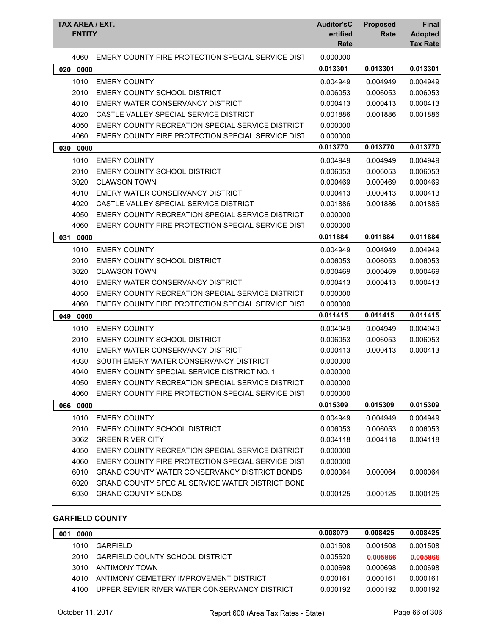| TAX AREA / EXT.<br><b>ENTITY</b> |                                                         | <b>Auditor'sC</b><br>ertified<br>Rate | <b>Proposed</b><br>Rate | <b>Final</b><br><b>Adopted</b><br><b>Tax Rate</b> |
|----------------------------------|---------------------------------------------------------|---------------------------------------|-------------------------|---------------------------------------------------|
| 4060                             | EMERY COUNTY FIRE PROTECTION SPECIAL SERVICE DIST       | 0.000000                              |                         |                                                   |
| 0000<br>020                      |                                                         | 0.013301                              | 0.013301                | 0.013301                                          |
| 1010                             | <b>EMERY COUNTY</b>                                     | 0.004949                              | 0.004949                | 0.004949                                          |
| 2010                             | EMERY COUNTY SCHOOL DISTRICT                            | 0.006053                              | 0.006053                | 0.006053                                          |
| 4010                             | EMERY WATER CONSERVANCY DISTRICT                        | 0.000413                              | 0.000413                | 0.000413                                          |
| 4020                             | CASTLE VALLEY SPECIAL SERVICE DISTRICT                  | 0.001886                              | 0.001886                | 0.001886                                          |
| 4050                             | EMERY COUNTY RECREATION SPECIAL SERVICE DISTRICT        | 0.000000                              |                         |                                                   |
| 4060                             | EMERY COUNTY FIRE PROTECTION SPECIAL SERVICE DIST       | 0.000000                              |                         |                                                   |
| 0000<br>030                      |                                                         | 0.013770                              | 0.013770                | 0.013770                                          |
| 1010                             | <b>EMERY COUNTY</b>                                     | 0.004949                              | 0.004949                | 0.004949                                          |
| 2010                             | <b>EMERY COUNTY SCHOOL DISTRICT</b>                     | 0.006053                              | 0.006053                | 0.006053                                          |
| 3020                             | <b>CLAWSON TOWN</b>                                     | 0.000469                              | 0.000469                | 0.000469                                          |
| 4010                             | EMERY WATER CONSERVANCY DISTRICT                        | 0.000413                              | 0.000413                | 0.000413                                          |
| 4020                             | CASTLE VALLEY SPECIAL SERVICE DISTRICT                  | 0.001886                              | 0.001886                | 0.001886                                          |
| 4050                             | EMERY COUNTY RECREATION SPECIAL SERVICE DISTRICT        | 0.000000                              |                         |                                                   |
| 4060                             | EMERY COUNTY FIRE PROTECTION SPECIAL SERVICE DIST       | 0.000000                              |                         |                                                   |
| 031<br>0000                      |                                                         | 0.011884                              | 0.011884                | 0.011884                                          |
| 1010                             | <b>EMERY COUNTY</b>                                     | 0.004949                              | 0.004949                | 0.004949                                          |
| 2010                             | EMERY COUNTY SCHOOL DISTRICT                            | 0.006053                              | 0.006053                | 0.006053                                          |
| 3020                             | <b>CLAWSON TOWN</b>                                     | 0.000469                              | 0.000469                | 0.000469                                          |
| 4010                             | EMERY WATER CONSERVANCY DISTRICT                        | 0.000413                              | 0.000413                | 0.000413                                          |
| 4050                             | EMERY COUNTY RECREATION SPECIAL SERVICE DISTRICT        | 0.000000                              |                         |                                                   |
| 4060                             | EMERY COUNTY FIRE PROTECTION SPECIAL SERVICE DIST       | 0.000000                              |                         |                                                   |
| 049<br>0000                      |                                                         | 0.011415                              | 0.011415                | 0.011415                                          |
| 1010                             | <b>EMERY COUNTY</b>                                     | 0.004949                              | 0.004949                | 0.004949                                          |
| 2010                             | EMERY COUNTY SCHOOL DISTRICT                            | 0.006053                              | 0.006053                | 0.006053                                          |
| 4010                             | EMERY WATER CONSERVANCY DISTRICT                        | 0.000413                              | 0.000413                | 0.000413                                          |
| 4030                             | SOUTH EMERY WATER CONSERVANCY DISTRICT                  | 0.000000                              |                         |                                                   |
| 4040                             | EMERY COUNTY SPECIAL SERVICE DISTRICT NO. 1             | 0.000000                              |                         |                                                   |
| 4050                             | EMERY COUNTY RECREATION SPECIAL SERVICE DISTRICT        | 0.000000                              |                         |                                                   |
| 4060                             | EMERY COUNTY FIRE PROTECTION SPECIAL SERVICE DIST       | 0.000000                              |                         |                                                   |
| 066 0000                         |                                                         | 0.015309                              | 0.015309                | 0.015309                                          |
| 1010                             | <b>EMERY COUNTY</b>                                     | 0.004949                              | 0.004949                | 0.004949                                          |
| 2010                             | EMERY COUNTY SCHOOL DISTRICT                            | 0.006053                              | 0.006053                | 0.006053                                          |
| 3062                             | <b>GREEN RIVER CITY</b>                                 | 0.004118                              | 0.004118                | 0.004118                                          |
| 4050                             | EMERY COUNTY RECREATION SPECIAL SERVICE DISTRICT        | 0.000000                              |                         |                                                   |
| 4060                             | EMERY COUNTY FIRE PROTECTION SPECIAL SERVICE DIST       | 0.000000                              |                         |                                                   |
| 6010                             | <b>GRAND COUNTY WATER CONSERVANCY DISTRICT BONDS</b>    | 0.000064                              | 0.000064                | 0.000064                                          |
| 6020                             | <b>GRAND COUNTY SPECIAL SERVICE WATER DISTRICT BONE</b> |                                       |                         |                                                   |
| 6030                             | <b>GRAND COUNTY BONDS</b>                               | 0.000125                              | 0.000125                | 0.000125                                          |

## **GARFIELD COUNTY**

| 0000<br>001 |                                               | 0.008079 | 0.008425 | 0.008425 |
|-------------|-----------------------------------------------|----------|----------|----------|
| 1010        | GARFIFI D                                     | 0.001508 | 0.001508 | 0.001508 |
| 2010        | <b>GARFIELD COUNTY SCHOOL DISTRICT</b>        | 0.005520 | 0.005866 | 0.005866 |
| 3010        | ANTIMONY TOWN                                 | 0.000698 | 0.000698 | 0.000698 |
| 4010        | ANTIMONY CEMETERY IMPROVEMENT DISTRICT        | 0.000161 | 0.000161 | 0.000161 |
| 4100        | UPPER SEVIER RIVER WATER CONSERVANCY DISTRICT | 0.000192 | 0.000192 | 0.000192 |
|             |                                               |          |          |          |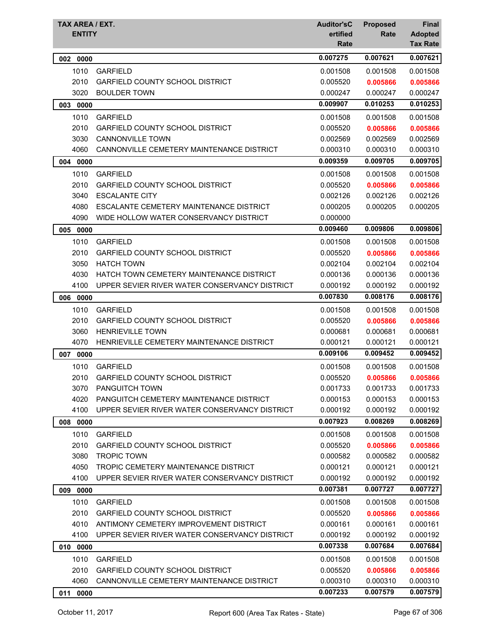| 0.007275<br>0.007621<br>0000<br>002<br>1010<br><b>GARFIELD</b><br>0.001508<br>0.001508<br>2010<br>GARFIELD COUNTY SCHOOL DISTRICT<br>0.005520<br>0.005866<br>3020<br><b>BOULDER TOWN</b><br>0.000247<br>0.000247<br>0.010253<br>0.009907<br>0000<br>003<br>1010<br><b>GARFIELD</b><br>0.001508<br>0.001508<br>2010<br><b>GARFIELD COUNTY SCHOOL DISTRICT</b><br>0.005520<br>0.005866<br>3030<br><b>CANNONVILLE TOWN</b><br>0.002569<br>0.002569<br>4060<br>CANNONVILLE CEMETERY MAINTENANCE DISTRICT<br>0.000310<br>0.000310<br>0.009359<br>0.009705<br>0000<br>004<br>1010<br><b>GARFIELD</b><br>0.001508<br>0.001508<br>2010<br><b>GARFIELD COUNTY SCHOOL DISTRICT</b><br>0.005520<br>0.005866<br>3040<br><b>ESCALANTE CITY</b><br>0.002126<br>0.002126<br>4080<br>ESCALANTE CEMETERY MAINTENANCE DISTRICT<br>0.000205<br>0.000205<br>4090<br>WIDE HOLLOW WATER CONSERVANCY DISTRICT<br>0.000000<br>0.009460<br>0.009806<br>005<br>0000<br>1010<br><b>GARFIELD</b><br>0.001508<br>0.001508<br>2010<br><b>GARFIELD COUNTY SCHOOL DISTRICT</b><br>0.005520<br>0.005866<br>3050<br><b>HATCH TOWN</b><br>0.002104<br>0.002104<br>4030<br>HATCH TOWN CEMETERY MAINTENANCE DISTRICT<br>0.000136<br>0.000136<br>4100<br>UPPER SEVIER RIVER WATER CONSERVANCY DISTRICT<br>0.000192<br>0.000192<br>0.008176<br>0.007830<br>0.008176<br>006<br>0000<br>1010<br><b>GARFIELD</b><br>0.001508<br>0.001508<br>2010<br><b>GARFIELD COUNTY SCHOOL DISTRICT</b><br>0.005520<br>0.005866<br>3060<br><b>HENRIEVILLE TOWN</b><br>0.000681<br>0.000681<br>0.000681<br>4070<br>HENRIEVILLE CEMETERY MAINTENANCE DISTRICT<br>0.000121<br>0.000121<br>0.000121<br>0.009106<br>0.009452<br>0.009452<br>007<br>0000<br>1010<br><b>GARFIELD</b><br>0.001508<br>0.001508<br>2010 GARFIELD COUNTY SCHOOL DISTRICT<br>0.005520<br>0.005866<br><b>PANGUITCH TOWN</b><br>3070<br>0.001733<br>0.001733<br>4020<br>PANGUITCH CEMETERY MAINTENANCE DISTRICT<br>0.000153<br>0.000153<br>UPPER SEVIER RIVER WATER CONSERVANCY DISTRICT<br>0.000192<br>0.000192<br>4100<br>0.000192<br>0.008269<br>0.007923<br>0.008269<br>008<br>0000<br>1010<br><b>GARFIELD</b><br>0.001508<br>0.001508<br>2010<br><b>GARFIELD COUNTY SCHOOL DISTRICT</b><br>0.005520<br>0.005866<br>3080<br><b>TROPIC TOWN</b><br>0.000582<br>0.000582<br>0.000582<br>TROPIC CEMETERY MAINTENANCE DISTRICT<br>4050<br>0.000121<br>0.000121<br>0.000121<br>4100<br>UPPER SEVIER RIVER WATER CONSERVANCY DISTRICT<br>0.000192<br>0.000192<br>0.000192<br>0.007381<br>0.007727<br>0.007727<br>009<br>0000<br>1010<br><b>GARFIELD</b><br>0.001508<br>0.001508<br>0.001508<br>2010<br><b>GARFIELD COUNTY SCHOOL DISTRICT</b><br>0.005520<br>0.005866<br>0.005866<br>4010<br>ANTIMONY CEMETERY IMPROVEMENT DISTRICT<br>0.000161<br>0.000161<br>0.000161<br>4100<br>UPPER SEVIER RIVER WATER CONSERVANCY DISTRICT<br>0.000192<br>0.000192<br>0.000192<br>0.007338<br>0.007684<br>0.007684<br>0000<br>010<br>1010<br><b>GARFIELD</b><br>0.001508<br>0.001508<br>0.001508<br>2010<br><b>GARFIELD COUNTY SCHOOL DISTRICT</b><br>0.005520<br>0.005866<br>0.005866<br>4060<br>CANNONVILLE CEMETERY MAINTENANCE DISTRICT<br>0.000310<br>0.000310<br>0.000310<br>0.007233<br>0.007579<br>0.007579<br>0000<br>011 | <b>TAX AREA / EXT.</b><br><b>ENTITY</b> | <b>Auditor'sC</b><br>ertified<br>Rate | <b>Proposed</b><br>Rate | Final<br><b>Adopted</b><br><b>Tax Rate</b> |
|-----------------------------------------------------------------------------------------------------------------------------------------------------------------------------------------------------------------------------------------------------------------------------------------------------------------------------------------------------------------------------------------------------------------------------------------------------------------------------------------------------------------------------------------------------------------------------------------------------------------------------------------------------------------------------------------------------------------------------------------------------------------------------------------------------------------------------------------------------------------------------------------------------------------------------------------------------------------------------------------------------------------------------------------------------------------------------------------------------------------------------------------------------------------------------------------------------------------------------------------------------------------------------------------------------------------------------------------------------------------------------------------------------------------------------------------------------------------------------------------------------------------------------------------------------------------------------------------------------------------------------------------------------------------------------------------------------------------------------------------------------------------------------------------------------------------------------------------------------------------------------------------------------------------------------------------------------------------------------------------------------------------------------------------------------------------------------------------------------------------------------------------------------------------------------------------------------------------------------------------------------------------------------------------------------------------------------------------------------------------------------------------------------------------------------------------------------------------------------------------------------------------------------------------------------------------------------------------------------------------------------------------------------------------------------------------------------------------------------------------------------------------------------------------------------------------------------------------------------------------------------------------------------------------------------------------------------------------------------------------------------------------------------------------------------------------------------------------------------------------------------------------------------------------------------------------------------------------------------------|-----------------------------------------|---------------------------------------|-------------------------|--------------------------------------------|
|                                                                                                                                                                                                                                                                                                                                                                                                                                                                                                                                                                                                                                                                                                                                                                                                                                                                                                                                                                                                                                                                                                                                                                                                                                                                                                                                                                                                                                                                                                                                                                                                                                                                                                                                                                                                                                                                                                                                                                                                                                                                                                                                                                                                                                                                                                                                                                                                                                                                                                                                                                                                                                                                                                                                                                                                                                                                                                                                                                                                                                                                                                                                                                                                                                   |                                         |                                       |                         | 0.007621                                   |
|                                                                                                                                                                                                                                                                                                                                                                                                                                                                                                                                                                                                                                                                                                                                                                                                                                                                                                                                                                                                                                                                                                                                                                                                                                                                                                                                                                                                                                                                                                                                                                                                                                                                                                                                                                                                                                                                                                                                                                                                                                                                                                                                                                                                                                                                                                                                                                                                                                                                                                                                                                                                                                                                                                                                                                                                                                                                                                                                                                                                                                                                                                                                                                                                                                   |                                         |                                       |                         | 0.001508                                   |
|                                                                                                                                                                                                                                                                                                                                                                                                                                                                                                                                                                                                                                                                                                                                                                                                                                                                                                                                                                                                                                                                                                                                                                                                                                                                                                                                                                                                                                                                                                                                                                                                                                                                                                                                                                                                                                                                                                                                                                                                                                                                                                                                                                                                                                                                                                                                                                                                                                                                                                                                                                                                                                                                                                                                                                                                                                                                                                                                                                                                                                                                                                                                                                                                                                   |                                         |                                       |                         | 0.005866                                   |
|                                                                                                                                                                                                                                                                                                                                                                                                                                                                                                                                                                                                                                                                                                                                                                                                                                                                                                                                                                                                                                                                                                                                                                                                                                                                                                                                                                                                                                                                                                                                                                                                                                                                                                                                                                                                                                                                                                                                                                                                                                                                                                                                                                                                                                                                                                                                                                                                                                                                                                                                                                                                                                                                                                                                                                                                                                                                                                                                                                                                                                                                                                                                                                                                                                   |                                         |                                       |                         | 0.000247                                   |
|                                                                                                                                                                                                                                                                                                                                                                                                                                                                                                                                                                                                                                                                                                                                                                                                                                                                                                                                                                                                                                                                                                                                                                                                                                                                                                                                                                                                                                                                                                                                                                                                                                                                                                                                                                                                                                                                                                                                                                                                                                                                                                                                                                                                                                                                                                                                                                                                                                                                                                                                                                                                                                                                                                                                                                                                                                                                                                                                                                                                                                                                                                                                                                                                                                   |                                         |                                       |                         | 0.010253                                   |
|                                                                                                                                                                                                                                                                                                                                                                                                                                                                                                                                                                                                                                                                                                                                                                                                                                                                                                                                                                                                                                                                                                                                                                                                                                                                                                                                                                                                                                                                                                                                                                                                                                                                                                                                                                                                                                                                                                                                                                                                                                                                                                                                                                                                                                                                                                                                                                                                                                                                                                                                                                                                                                                                                                                                                                                                                                                                                                                                                                                                                                                                                                                                                                                                                                   |                                         |                                       |                         | 0.001508                                   |
|                                                                                                                                                                                                                                                                                                                                                                                                                                                                                                                                                                                                                                                                                                                                                                                                                                                                                                                                                                                                                                                                                                                                                                                                                                                                                                                                                                                                                                                                                                                                                                                                                                                                                                                                                                                                                                                                                                                                                                                                                                                                                                                                                                                                                                                                                                                                                                                                                                                                                                                                                                                                                                                                                                                                                                                                                                                                                                                                                                                                                                                                                                                                                                                                                                   |                                         |                                       |                         | 0.005866                                   |
|                                                                                                                                                                                                                                                                                                                                                                                                                                                                                                                                                                                                                                                                                                                                                                                                                                                                                                                                                                                                                                                                                                                                                                                                                                                                                                                                                                                                                                                                                                                                                                                                                                                                                                                                                                                                                                                                                                                                                                                                                                                                                                                                                                                                                                                                                                                                                                                                                                                                                                                                                                                                                                                                                                                                                                                                                                                                                                                                                                                                                                                                                                                                                                                                                                   |                                         |                                       |                         | 0.002569                                   |
|                                                                                                                                                                                                                                                                                                                                                                                                                                                                                                                                                                                                                                                                                                                                                                                                                                                                                                                                                                                                                                                                                                                                                                                                                                                                                                                                                                                                                                                                                                                                                                                                                                                                                                                                                                                                                                                                                                                                                                                                                                                                                                                                                                                                                                                                                                                                                                                                                                                                                                                                                                                                                                                                                                                                                                                                                                                                                                                                                                                                                                                                                                                                                                                                                                   |                                         |                                       |                         | 0.000310                                   |
|                                                                                                                                                                                                                                                                                                                                                                                                                                                                                                                                                                                                                                                                                                                                                                                                                                                                                                                                                                                                                                                                                                                                                                                                                                                                                                                                                                                                                                                                                                                                                                                                                                                                                                                                                                                                                                                                                                                                                                                                                                                                                                                                                                                                                                                                                                                                                                                                                                                                                                                                                                                                                                                                                                                                                                                                                                                                                                                                                                                                                                                                                                                                                                                                                                   |                                         |                                       |                         | 0.009705                                   |
|                                                                                                                                                                                                                                                                                                                                                                                                                                                                                                                                                                                                                                                                                                                                                                                                                                                                                                                                                                                                                                                                                                                                                                                                                                                                                                                                                                                                                                                                                                                                                                                                                                                                                                                                                                                                                                                                                                                                                                                                                                                                                                                                                                                                                                                                                                                                                                                                                                                                                                                                                                                                                                                                                                                                                                                                                                                                                                                                                                                                                                                                                                                                                                                                                                   |                                         |                                       |                         | 0.001508                                   |
|                                                                                                                                                                                                                                                                                                                                                                                                                                                                                                                                                                                                                                                                                                                                                                                                                                                                                                                                                                                                                                                                                                                                                                                                                                                                                                                                                                                                                                                                                                                                                                                                                                                                                                                                                                                                                                                                                                                                                                                                                                                                                                                                                                                                                                                                                                                                                                                                                                                                                                                                                                                                                                                                                                                                                                                                                                                                                                                                                                                                                                                                                                                                                                                                                                   |                                         |                                       |                         | 0.005866                                   |
|                                                                                                                                                                                                                                                                                                                                                                                                                                                                                                                                                                                                                                                                                                                                                                                                                                                                                                                                                                                                                                                                                                                                                                                                                                                                                                                                                                                                                                                                                                                                                                                                                                                                                                                                                                                                                                                                                                                                                                                                                                                                                                                                                                                                                                                                                                                                                                                                                                                                                                                                                                                                                                                                                                                                                                                                                                                                                                                                                                                                                                                                                                                                                                                                                                   |                                         |                                       |                         | 0.002126                                   |
|                                                                                                                                                                                                                                                                                                                                                                                                                                                                                                                                                                                                                                                                                                                                                                                                                                                                                                                                                                                                                                                                                                                                                                                                                                                                                                                                                                                                                                                                                                                                                                                                                                                                                                                                                                                                                                                                                                                                                                                                                                                                                                                                                                                                                                                                                                                                                                                                                                                                                                                                                                                                                                                                                                                                                                                                                                                                                                                                                                                                                                                                                                                                                                                                                                   |                                         |                                       |                         | 0.000205                                   |
|                                                                                                                                                                                                                                                                                                                                                                                                                                                                                                                                                                                                                                                                                                                                                                                                                                                                                                                                                                                                                                                                                                                                                                                                                                                                                                                                                                                                                                                                                                                                                                                                                                                                                                                                                                                                                                                                                                                                                                                                                                                                                                                                                                                                                                                                                                                                                                                                                                                                                                                                                                                                                                                                                                                                                                                                                                                                                                                                                                                                                                                                                                                                                                                                                                   |                                         |                                       |                         |                                            |
|                                                                                                                                                                                                                                                                                                                                                                                                                                                                                                                                                                                                                                                                                                                                                                                                                                                                                                                                                                                                                                                                                                                                                                                                                                                                                                                                                                                                                                                                                                                                                                                                                                                                                                                                                                                                                                                                                                                                                                                                                                                                                                                                                                                                                                                                                                                                                                                                                                                                                                                                                                                                                                                                                                                                                                                                                                                                                                                                                                                                                                                                                                                                                                                                                                   |                                         |                                       |                         | 0.009806                                   |
|                                                                                                                                                                                                                                                                                                                                                                                                                                                                                                                                                                                                                                                                                                                                                                                                                                                                                                                                                                                                                                                                                                                                                                                                                                                                                                                                                                                                                                                                                                                                                                                                                                                                                                                                                                                                                                                                                                                                                                                                                                                                                                                                                                                                                                                                                                                                                                                                                                                                                                                                                                                                                                                                                                                                                                                                                                                                                                                                                                                                                                                                                                                                                                                                                                   |                                         |                                       |                         | 0.001508                                   |
|                                                                                                                                                                                                                                                                                                                                                                                                                                                                                                                                                                                                                                                                                                                                                                                                                                                                                                                                                                                                                                                                                                                                                                                                                                                                                                                                                                                                                                                                                                                                                                                                                                                                                                                                                                                                                                                                                                                                                                                                                                                                                                                                                                                                                                                                                                                                                                                                                                                                                                                                                                                                                                                                                                                                                                                                                                                                                                                                                                                                                                                                                                                                                                                                                                   |                                         |                                       |                         | 0.005866                                   |
|                                                                                                                                                                                                                                                                                                                                                                                                                                                                                                                                                                                                                                                                                                                                                                                                                                                                                                                                                                                                                                                                                                                                                                                                                                                                                                                                                                                                                                                                                                                                                                                                                                                                                                                                                                                                                                                                                                                                                                                                                                                                                                                                                                                                                                                                                                                                                                                                                                                                                                                                                                                                                                                                                                                                                                                                                                                                                                                                                                                                                                                                                                                                                                                                                                   |                                         |                                       |                         | 0.002104                                   |
|                                                                                                                                                                                                                                                                                                                                                                                                                                                                                                                                                                                                                                                                                                                                                                                                                                                                                                                                                                                                                                                                                                                                                                                                                                                                                                                                                                                                                                                                                                                                                                                                                                                                                                                                                                                                                                                                                                                                                                                                                                                                                                                                                                                                                                                                                                                                                                                                                                                                                                                                                                                                                                                                                                                                                                                                                                                                                                                                                                                                                                                                                                                                                                                                                                   |                                         |                                       |                         | 0.000136                                   |
|                                                                                                                                                                                                                                                                                                                                                                                                                                                                                                                                                                                                                                                                                                                                                                                                                                                                                                                                                                                                                                                                                                                                                                                                                                                                                                                                                                                                                                                                                                                                                                                                                                                                                                                                                                                                                                                                                                                                                                                                                                                                                                                                                                                                                                                                                                                                                                                                                                                                                                                                                                                                                                                                                                                                                                                                                                                                                                                                                                                                                                                                                                                                                                                                                                   |                                         |                                       |                         | 0.000192                                   |
|                                                                                                                                                                                                                                                                                                                                                                                                                                                                                                                                                                                                                                                                                                                                                                                                                                                                                                                                                                                                                                                                                                                                                                                                                                                                                                                                                                                                                                                                                                                                                                                                                                                                                                                                                                                                                                                                                                                                                                                                                                                                                                                                                                                                                                                                                                                                                                                                                                                                                                                                                                                                                                                                                                                                                                                                                                                                                                                                                                                                                                                                                                                                                                                                                                   |                                         |                                       |                         |                                            |
|                                                                                                                                                                                                                                                                                                                                                                                                                                                                                                                                                                                                                                                                                                                                                                                                                                                                                                                                                                                                                                                                                                                                                                                                                                                                                                                                                                                                                                                                                                                                                                                                                                                                                                                                                                                                                                                                                                                                                                                                                                                                                                                                                                                                                                                                                                                                                                                                                                                                                                                                                                                                                                                                                                                                                                                                                                                                                                                                                                                                                                                                                                                                                                                                                                   |                                         |                                       |                         | 0.001508                                   |
|                                                                                                                                                                                                                                                                                                                                                                                                                                                                                                                                                                                                                                                                                                                                                                                                                                                                                                                                                                                                                                                                                                                                                                                                                                                                                                                                                                                                                                                                                                                                                                                                                                                                                                                                                                                                                                                                                                                                                                                                                                                                                                                                                                                                                                                                                                                                                                                                                                                                                                                                                                                                                                                                                                                                                                                                                                                                                                                                                                                                                                                                                                                                                                                                                                   |                                         |                                       |                         | 0.005866                                   |
|                                                                                                                                                                                                                                                                                                                                                                                                                                                                                                                                                                                                                                                                                                                                                                                                                                                                                                                                                                                                                                                                                                                                                                                                                                                                                                                                                                                                                                                                                                                                                                                                                                                                                                                                                                                                                                                                                                                                                                                                                                                                                                                                                                                                                                                                                                                                                                                                                                                                                                                                                                                                                                                                                                                                                                                                                                                                                                                                                                                                                                                                                                                                                                                                                                   |                                         |                                       |                         |                                            |
|                                                                                                                                                                                                                                                                                                                                                                                                                                                                                                                                                                                                                                                                                                                                                                                                                                                                                                                                                                                                                                                                                                                                                                                                                                                                                                                                                                                                                                                                                                                                                                                                                                                                                                                                                                                                                                                                                                                                                                                                                                                                                                                                                                                                                                                                                                                                                                                                                                                                                                                                                                                                                                                                                                                                                                                                                                                                                                                                                                                                                                                                                                                                                                                                                                   |                                         |                                       |                         |                                            |
|                                                                                                                                                                                                                                                                                                                                                                                                                                                                                                                                                                                                                                                                                                                                                                                                                                                                                                                                                                                                                                                                                                                                                                                                                                                                                                                                                                                                                                                                                                                                                                                                                                                                                                                                                                                                                                                                                                                                                                                                                                                                                                                                                                                                                                                                                                                                                                                                                                                                                                                                                                                                                                                                                                                                                                                                                                                                                                                                                                                                                                                                                                                                                                                                                                   |                                         |                                       |                         |                                            |
|                                                                                                                                                                                                                                                                                                                                                                                                                                                                                                                                                                                                                                                                                                                                                                                                                                                                                                                                                                                                                                                                                                                                                                                                                                                                                                                                                                                                                                                                                                                                                                                                                                                                                                                                                                                                                                                                                                                                                                                                                                                                                                                                                                                                                                                                                                                                                                                                                                                                                                                                                                                                                                                                                                                                                                                                                                                                                                                                                                                                                                                                                                                                                                                                                                   |                                         |                                       |                         | 0.001508                                   |
|                                                                                                                                                                                                                                                                                                                                                                                                                                                                                                                                                                                                                                                                                                                                                                                                                                                                                                                                                                                                                                                                                                                                                                                                                                                                                                                                                                                                                                                                                                                                                                                                                                                                                                                                                                                                                                                                                                                                                                                                                                                                                                                                                                                                                                                                                                                                                                                                                                                                                                                                                                                                                                                                                                                                                                                                                                                                                                                                                                                                                                                                                                                                                                                                                                   |                                         |                                       |                         | 0.005866                                   |
|                                                                                                                                                                                                                                                                                                                                                                                                                                                                                                                                                                                                                                                                                                                                                                                                                                                                                                                                                                                                                                                                                                                                                                                                                                                                                                                                                                                                                                                                                                                                                                                                                                                                                                                                                                                                                                                                                                                                                                                                                                                                                                                                                                                                                                                                                                                                                                                                                                                                                                                                                                                                                                                                                                                                                                                                                                                                                                                                                                                                                                                                                                                                                                                                                                   |                                         |                                       |                         | 0.001733                                   |
|                                                                                                                                                                                                                                                                                                                                                                                                                                                                                                                                                                                                                                                                                                                                                                                                                                                                                                                                                                                                                                                                                                                                                                                                                                                                                                                                                                                                                                                                                                                                                                                                                                                                                                                                                                                                                                                                                                                                                                                                                                                                                                                                                                                                                                                                                                                                                                                                                                                                                                                                                                                                                                                                                                                                                                                                                                                                                                                                                                                                                                                                                                                                                                                                                                   |                                         |                                       |                         | 0.000153                                   |
|                                                                                                                                                                                                                                                                                                                                                                                                                                                                                                                                                                                                                                                                                                                                                                                                                                                                                                                                                                                                                                                                                                                                                                                                                                                                                                                                                                                                                                                                                                                                                                                                                                                                                                                                                                                                                                                                                                                                                                                                                                                                                                                                                                                                                                                                                                                                                                                                                                                                                                                                                                                                                                                                                                                                                                                                                                                                                                                                                                                                                                                                                                                                                                                                                                   |                                         |                                       |                         |                                            |
|                                                                                                                                                                                                                                                                                                                                                                                                                                                                                                                                                                                                                                                                                                                                                                                                                                                                                                                                                                                                                                                                                                                                                                                                                                                                                                                                                                                                                                                                                                                                                                                                                                                                                                                                                                                                                                                                                                                                                                                                                                                                                                                                                                                                                                                                                                                                                                                                                                                                                                                                                                                                                                                                                                                                                                                                                                                                                                                                                                                                                                                                                                                                                                                                                                   |                                         |                                       |                         |                                            |
|                                                                                                                                                                                                                                                                                                                                                                                                                                                                                                                                                                                                                                                                                                                                                                                                                                                                                                                                                                                                                                                                                                                                                                                                                                                                                                                                                                                                                                                                                                                                                                                                                                                                                                                                                                                                                                                                                                                                                                                                                                                                                                                                                                                                                                                                                                                                                                                                                                                                                                                                                                                                                                                                                                                                                                                                                                                                                                                                                                                                                                                                                                                                                                                                                                   |                                         |                                       |                         | 0.001508                                   |
|                                                                                                                                                                                                                                                                                                                                                                                                                                                                                                                                                                                                                                                                                                                                                                                                                                                                                                                                                                                                                                                                                                                                                                                                                                                                                                                                                                                                                                                                                                                                                                                                                                                                                                                                                                                                                                                                                                                                                                                                                                                                                                                                                                                                                                                                                                                                                                                                                                                                                                                                                                                                                                                                                                                                                                                                                                                                                                                                                                                                                                                                                                                                                                                                                                   |                                         |                                       |                         | 0.005866                                   |
|                                                                                                                                                                                                                                                                                                                                                                                                                                                                                                                                                                                                                                                                                                                                                                                                                                                                                                                                                                                                                                                                                                                                                                                                                                                                                                                                                                                                                                                                                                                                                                                                                                                                                                                                                                                                                                                                                                                                                                                                                                                                                                                                                                                                                                                                                                                                                                                                                                                                                                                                                                                                                                                                                                                                                                                                                                                                                                                                                                                                                                                                                                                                                                                                                                   |                                         |                                       |                         |                                            |
|                                                                                                                                                                                                                                                                                                                                                                                                                                                                                                                                                                                                                                                                                                                                                                                                                                                                                                                                                                                                                                                                                                                                                                                                                                                                                                                                                                                                                                                                                                                                                                                                                                                                                                                                                                                                                                                                                                                                                                                                                                                                                                                                                                                                                                                                                                                                                                                                                                                                                                                                                                                                                                                                                                                                                                                                                                                                                                                                                                                                                                                                                                                                                                                                                                   |                                         |                                       |                         |                                            |
|                                                                                                                                                                                                                                                                                                                                                                                                                                                                                                                                                                                                                                                                                                                                                                                                                                                                                                                                                                                                                                                                                                                                                                                                                                                                                                                                                                                                                                                                                                                                                                                                                                                                                                                                                                                                                                                                                                                                                                                                                                                                                                                                                                                                                                                                                                                                                                                                                                                                                                                                                                                                                                                                                                                                                                                                                                                                                                                                                                                                                                                                                                                                                                                                                                   |                                         |                                       |                         |                                            |
|                                                                                                                                                                                                                                                                                                                                                                                                                                                                                                                                                                                                                                                                                                                                                                                                                                                                                                                                                                                                                                                                                                                                                                                                                                                                                                                                                                                                                                                                                                                                                                                                                                                                                                                                                                                                                                                                                                                                                                                                                                                                                                                                                                                                                                                                                                                                                                                                                                                                                                                                                                                                                                                                                                                                                                                                                                                                                                                                                                                                                                                                                                                                                                                                                                   |                                         |                                       |                         |                                            |
|                                                                                                                                                                                                                                                                                                                                                                                                                                                                                                                                                                                                                                                                                                                                                                                                                                                                                                                                                                                                                                                                                                                                                                                                                                                                                                                                                                                                                                                                                                                                                                                                                                                                                                                                                                                                                                                                                                                                                                                                                                                                                                                                                                                                                                                                                                                                                                                                                                                                                                                                                                                                                                                                                                                                                                                                                                                                                                                                                                                                                                                                                                                                                                                                                                   |                                         |                                       |                         |                                            |
|                                                                                                                                                                                                                                                                                                                                                                                                                                                                                                                                                                                                                                                                                                                                                                                                                                                                                                                                                                                                                                                                                                                                                                                                                                                                                                                                                                                                                                                                                                                                                                                                                                                                                                                                                                                                                                                                                                                                                                                                                                                                                                                                                                                                                                                                                                                                                                                                                                                                                                                                                                                                                                                                                                                                                                                                                                                                                                                                                                                                                                                                                                                                                                                                                                   |                                         |                                       |                         |                                            |
|                                                                                                                                                                                                                                                                                                                                                                                                                                                                                                                                                                                                                                                                                                                                                                                                                                                                                                                                                                                                                                                                                                                                                                                                                                                                                                                                                                                                                                                                                                                                                                                                                                                                                                                                                                                                                                                                                                                                                                                                                                                                                                                                                                                                                                                                                                                                                                                                                                                                                                                                                                                                                                                                                                                                                                                                                                                                                                                                                                                                                                                                                                                                                                                                                                   |                                         |                                       |                         |                                            |
|                                                                                                                                                                                                                                                                                                                                                                                                                                                                                                                                                                                                                                                                                                                                                                                                                                                                                                                                                                                                                                                                                                                                                                                                                                                                                                                                                                                                                                                                                                                                                                                                                                                                                                                                                                                                                                                                                                                                                                                                                                                                                                                                                                                                                                                                                                                                                                                                                                                                                                                                                                                                                                                                                                                                                                                                                                                                                                                                                                                                                                                                                                                                                                                                                                   |                                         |                                       |                         |                                            |
|                                                                                                                                                                                                                                                                                                                                                                                                                                                                                                                                                                                                                                                                                                                                                                                                                                                                                                                                                                                                                                                                                                                                                                                                                                                                                                                                                                                                                                                                                                                                                                                                                                                                                                                                                                                                                                                                                                                                                                                                                                                                                                                                                                                                                                                                                                                                                                                                                                                                                                                                                                                                                                                                                                                                                                                                                                                                                                                                                                                                                                                                                                                                                                                                                                   |                                         |                                       |                         |                                            |
|                                                                                                                                                                                                                                                                                                                                                                                                                                                                                                                                                                                                                                                                                                                                                                                                                                                                                                                                                                                                                                                                                                                                                                                                                                                                                                                                                                                                                                                                                                                                                                                                                                                                                                                                                                                                                                                                                                                                                                                                                                                                                                                                                                                                                                                                                                                                                                                                                                                                                                                                                                                                                                                                                                                                                                                                                                                                                                                                                                                                                                                                                                                                                                                                                                   |                                         |                                       |                         |                                            |
|                                                                                                                                                                                                                                                                                                                                                                                                                                                                                                                                                                                                                                                                                                                                                                                                                                                                                                                                                                                                                                                                                                                                                                                                                                                                                                                                                                                                                                                                                                                                                                                                                                                                                                                                                                                                                                                                                                                                                                                                                                                                                                                                                                                                                                                                                                                                                                                                                                                                                                                                                                                                                                                                                                                                                                                                                                                                                                                                                                                                                                                                                                                                                                                                                                   |                                         |                                       |                         |                                            |
|                                                                                                                                                                                                                                                                                                                                                                                                                                                                                                                                                                                                                                                                                                                                                                                                                                                                                                                                                                                                                                                                                                                                                                                                                                                                                                                                                                                                                                                                                                                                                                                                                                                                                                                                                                                                                                                                                                                                                                                                                                                                                                                                                                                                                                                                                                                                                                                                                                                                                                                                                                                                                                                                                                                                                                                                                                                                                                                                                                                                                                                                                                                                                                                                                                   |                                         |                                       |                         |                                            |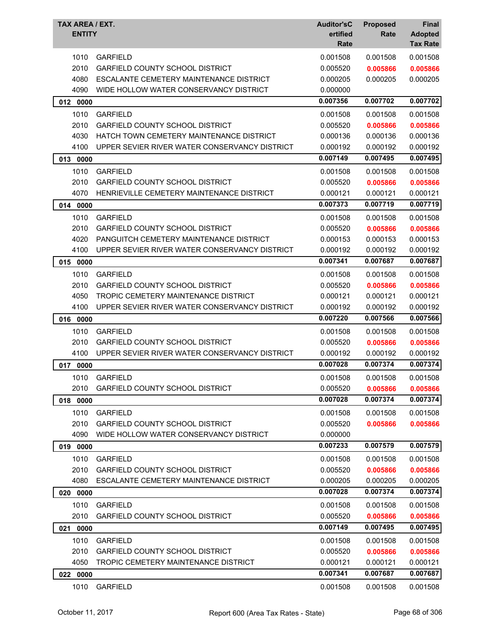| TAX AREA / EXT.<br><b>ENTITY</b> |                                               | <b>Auditor'sC</b><br>ertified<br>Rate | <b>Proposed</b><br>Rate | Final<br><b>Adopted</b><br><b>Tax Rate</b> |
|----------------------------------|-----------------------------------------------|---------------------------------------|-------------------------|--------------------------------------------|
| 1010                             | <b>GARFIELD</b>                               | 0.001508                              | 0.001508                | 0.001508                                   |
| 2010                             | <b>GARFIELD COUNTY SCHOOL DISTRICT</b>        | 0.005520                              | 0.005866                | 0.005866                                   |
| 4080                             | ESCALANTE CEMETERY MAINTENANCE DISTRICT       | 0.000205                              | 0.000205                | 0.000205                                   |
| 4090                             | WIDE HOLLOW WATER CONSERVANCY DISTRICT        | 0.000000                              |                         |                                            |
| 012 0000                         |                                               | 0.007356                              | 0.007702                | 0.007702                                   |
| 1010                             | <b>GARFIELD</b>                               | 0.001508                              | 0.001508                | 0.001508                                   |
| 2010                             | <b>GARFIELD COUNTY SCHOOL DISTRICT</b>        | 0.005520                              | 0.005866                | 0.005866                                   |
| 4030                             | HATCH TOWN CEMETERY MAINTENANCE DISTRICT      | 0.000136                              | 0.000136                | 0.000136                                   |
| 4100                             | UPPER SEVIER RIVER WATER CONSERVANCY DISTRICT | 0.000192                              | 0.000192                | 0.000192                                   |
| 013 0000                         |                                               | 0.007149                              | 0.007495                | 0.007495                                   |
| 1010                             | <b>GARFIELD</b>                               | 0.001508                              | 0.001508                | 0.001508                                   |
| 2010                             | <b>GARFIELD COUNTY SCHOOL DISTRICT</b>        | 0.005520                              | 0.005866                | 0.005866                                   |
| 4070                             | HENRIEVILLE CEMETERY MAINTENANCE DISTRICT     | 0.000121                              | 0.000121                | 0.000121                                   |
| 014 0000                         |                                               | 0.007373                              | 0.007719                | 0.007719                                   |
| 1010                             | <b>GARFIELD</b>                               | 0.001508                              | 0.001508                | 0.001508                                   |
| 2010                             | <b>GARFIELD COUNTY SCHOOL DISTRICT</b>        | 0.005520                              | 0.005866                | 0.005866                                   |
| 4020                             | PANGUITCH CEMETERY MAINTENANCE DISTRICT       | 0.000153                              | 0.000153                | 0.000153                                   |
| 4100                             | UPPER SEVIER RIVER WATER CONSERVANCY DISTRICT | 0.000192                              | 0.000192                | 0.000192                                   |
| 015<br>0000                      |                                               | 0.007341                              | 0.007687                | 0.007687                                   |
| 1010                             | <b>GARFIELD</b>                               | 0.001508                              | 0.001508                | 0.001508                                   |
| 2010                             | <b>GARFIELD COUNTY SCHOOL DISTRICT</b>        | 0.005520                              | 0.005866                | 0.005866                                   |
| 4050                             | TROPIC CEMETERY MAINTENANCE DISTRICT          | 0.000121                              | 0.000121                | 0.000121                                   |
| 4100                             | UPPER SEVIER RIVER WATER CONSERVANCY DISTRICT | 0.000192                              | 0.000192                | 0.000192                                   |
| 016 0000                         |                                               | 0.007220                              | 0.007566                | 0.007566                                   |
| 1010                             | <b>GARFIELD</b>                               | 0.001508                              | 0.001508                | 0.001508                                   |
| 2010                             | <b>GARFIELD COUNTY SCHOOL DISTRICT</b>        | 0.005520                              | 0.005866                | 0.005866                                   |
| 4100                             | UPPER SEVIER RIVER WATER CONSERVANCY DISTRICT | 0.000192                              | 0.000192                | 0.000192                                   |
| 017<br>0000                      |                                               | 0.007028                              | 0.007374                | 0.007374                                   |
|                                  | 1010 GARFIELD                                 | 0.001508                              | 0.001508                | 0.001508                                   |
| 2010                             | <b>GARFIELD COUNTY SCHOOL DISTRICT</b>        | 0.005520                              | 0.005866                | 0.005866                                   |
| 018 0000                         |                                               | 0.007028                              | 0.007374                | 0.007374                                   |
| 1010                             | <b>GARFIELD</b>                               | 0.001508                              | 0.001508                | 0.001508                                   |
| 2010                             | <b>GARFIELD COUNTY SCHOOL DISTRICT</b>        | 0.005520                              | 0.005866                | 0.005866                                   |
| 4090                             | WIDE HOLLOW WATER CONSERVANCY DISTRICT        | 0.000000                              |                         |                                            |
| 019 0000                         |                                               | 0.007233                              | 0.007579                | 0.007579                                   |
| 1010                             | <b>GARFIELD</b>                               | 0.001508                              | 0.001508                | 0.001508                                   |
| 2010                             | <b>GARFIELD COUNTY SCHOOL DISTRICT</b>        | 0.005520                              | 0.005866                | 0.005866                                   |
| 4080                             | ESCALANTE CEMETERY MAINTENANCE DISTRICT       | 0.000205                              | 0.000205                | 0.000205                                   |
| 020 0000                         |                                               | 0.007028                              | 0.007374                | 0.007374                                   |
| 1010                             | <b>GARFIELD</b>                               | 0.001508                              | 0.001508                | 0.001508                                   |
| 2010                             | <b>GARFIELD COUNTY SCHOOL DISTRICT</b>        | 0.005520                              | 0.005866                | 0.005866                                   |
| 021 0000                         |                                               | 0.007149                              | 0.007495                | 0.007495                                   |
| 1010                             | <b>GARFIELD</b>                               | 0.001508                              | 0.001508                | 0.001508                                   |
| 2010                             | <b>GARFIELD COUNTY SCHOOL DISTRICT</b>        | 0.005520                              | 0.005866                | 0.005866                                   |
| 4050                             | TROPIC CEMETERY MAINTENANCE DISTRICT          | 0.000121                              | 0.000121                | 0.000121                                   |
| 022 0000                         |                                               | 0.007341                              | 0.007687                | 0.007687                                   |
|                                  |                                               |                                       |                         |                                            |
| 1010                             | <b>GARFIELD</b>                               | 0.001508                              | 0.001508                | 0.001508                                   |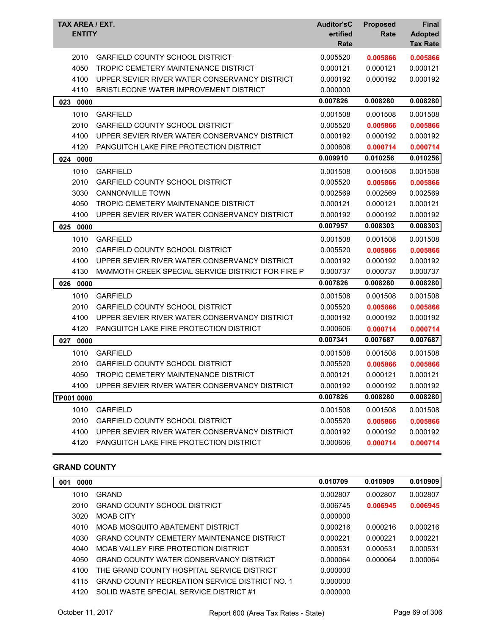| TAX AREA / EXT.<br><b>ENTITY</b> |                                                   | <b>Auditor'sC</b><br>ertified<br>Rate | <b>Proposed</b><br>Rate | <b>Final</b><br><b>Adopted</b><br><b>Tax Rate</b> |
|----------------------------------|---------------------------------------------------|---------------------------------------|-------------------------|---------------------------------------------------|
| 2010                             | <b>GARFIELD COUNTY SCHOOL DISTRICT</b>            | 0.005520                              | 0.005866                | 0.005866                                          |
| 4050                             | TROPIC CEMETERY MAINTENANCE DISTRICT              | 0.000121                              | 0.000121                | 0.000121                                          |
| 4100                             | UPPER SEVIER RIVER WATER CONSERVANCY DISTRICT     | 0.000192                              | 0.000192                | 0.000192                                          |
| 4110                             | BRISTLECONE WATER IMPROVEMENT DISTRICT            | 0.000000                              |                         |                                                   |
| 023 0000                         |                                                   | 0.007826                              | 0.008280                | 0.008280                                          |
| 1010                             | <b>GARFIELD</b>                                   | 0.001508                              | 0.001508                | 0.001508                                          |
| 2010                             | <b>GARFIELD COUNTY SCHOOL DISTRICT</b>            | 0.005520                              | 0.005866                | 0.005866                                          |
| 4100                             | UPPER SEVIER RIVER WATER CONSERVANCY DISTRICT     | 0.000192                              | 0.000192                | 0.000192                                          |
| 4120                             | <b>PANGUITCH LAKE FIRE PROTECTION DISTRICT</b>    | 0.000606                              | 0.000714                | 0.000714                                          |
| 024<br>0000                      |                                                   | 0.009910                              | 0.010256                | 0.010256                                          |
| 1010                             | <b>GARFIELD</b>                                   | 0.001508                              | 0.001508                | 0.001508                                          |
| 2010                             | GARFIELD COUNTY SCHOOL DISTRICT                   | 0.005520                              | 0.005866                | 0.005866                                          |
| 3030                             | <b>CANNONVILLE TOWN</b>                           | 0.002569                              | 0.002569                | 0.002569                                          |
| 4050                             | TROPIC CEMETERY MAINTENANCE DISTRICT              | 0.000121                              | 0.000121                | 0.000121                                          |
| 4100                             | UPPER SEVIER RIVER WATER CONSERVANCY DISTRICT     | 0.000192                              | 0.000192                | 0.000192                                          |
| 025<br>0000                      |                                                   | 0.007957                              | 0.008303                | 0.008303                                          |
| 1010                             | <b>GARFIELD</b>                                   | 0.001508                              | 0.001508                | 0.001508                                          |
| 2010                             | <b>GARFIELD COUNTY SCHOOL DISTRICT</b>            | 0.005520                              | 0.005866                | 0.005866                                          |
| 4100                             | UPPER SEVIER RIVER WATER CONSERVANCY DISTRICT     | 0.000192                              | 0.000192                | 0.000192                                          |
| 4130                             | MAMMOTH CREEK SPECIAL SERVICE DISTRICT FOR FIRE P | 0.000737                              | 0.000737                | 0.000737                                          |
| 026 0000                         |                                                   | 0.007826                              | 0.008280                | 0.008280                                          |
| 1010                             | <b>GARFIELD</b>                                   | 0.001508                              | 0.001508                | 0.001508                                          |
| 2010                             | <b>GARFIELD COUNTY SCHOOL DISTRICT</b>            | 0.005520                              | 0.005866                | 0.005866                                          |
| 4100                             | UPPER SEVIER RIVER WATER CONSERVANCY DISTRICT     | 0.000192                              | 0.000192                | 0.000192                                          |
| 4120                             | PANGUITCH LAKE FIRE PROTECTION DISTRICT           | 0.000606                              | 0.000714                | 0.000714                                          |
| 027<br>0000                      |                                                   | 0.007341                              | 0.007687                | 0.007687                                          |
| 1010                             | <b>GARFIELD</b>                                   | 0.001508                              | 0.001508                | 0.001508                                          |
| 2010                             | <b>GARFIELD COUNTY SCHOOL DISTRICT</b>            | 0.005520                              | 0.005866                | 0.005866                                          |
| 4050                             | TROPIC CEMETERY MAINTENANCE DISTRICT              | 0.000121                              | 0.000121                | 0.000121                                          |
| 4100                             | UPPER SEVIER RIVER WATER CONSERVANCY DISTRICT     | 0.000192                              | 0.000192                | 0.000192                                          |
| TP001 0000                       |                                                   | 0.007826                              | 0.008280                | 0.008280                                          |
| 1010                             | <b>GARFIELD</b>                                   | 0.001508                              | 0.001508                | 0.001508                                          |
| 2010                             | <b>GARFIELD COUNTY SCHOOL DISTRICT</b>            | 0.005520                              | 0.005866                | 0.005866                                          |
| 4100                             | UPPER SEVIER RIVER WATER CONSERVANCY DISTRICT     | 0.000192                              | 0.000192                | 0.000192                                          |
| 4120                             | PANGUITCH LAKE FIRE PROTECTION DISTRICT           | 0.000606                              | 0.000714                | 0.000714                                          |

#### **GRAND COUNTY**

| 0000<br>001 |                                                       | 0.010709 | 0.010909 | 0.010909 |
|-------------|-------------------------------------------------------|----------|----------|----------|
| 1010        | GRAND                                                 | 0.002807 | 0.002807 | 0.002807 |
| 2010        | <b>GRAND COUNTY SCHOOL DISTRICT</b>                   | 0.006745 | 0.006945 | 0.006945 |
| 3020        | <b>MOAR CITY</b>                                      | 0.000000 |          |          |
| 4010        | MOAB MOSQUITO ABATEMENT DISTRICT                      | 0.000216 | 0.000216 | 0.000216 |
| 4030        | <b>GRAND COUNTY CEMETERY MAINTENANCE DISTRICT</b>     | 0.000221 | 0.000221 | 0.000221 |
| 4040        | MOAB VALLEY FIRE PROTECTION DISTRICT                  | 0.000531 | 0.000531 | 0.000531 |
| 4050        | GRAND COUNTY WATER CONSERVANCY DISTRICT               | 0.000064 | 0.000064 | 0.000064 |
| 4100        | THE GRAND COUNTY HOSPITAL SERVICE DISTRICT            | 0.000000 |          |          |
| 4115        | <b>GRAND COUNTY RECREATION SERVICE DISTRICT NO. 1</b> | 0.000000 |          |          |
| 4120        | SOLID WASTE SPECIAL SERVICE DISTRICT #1               | 0.000000 |          |          |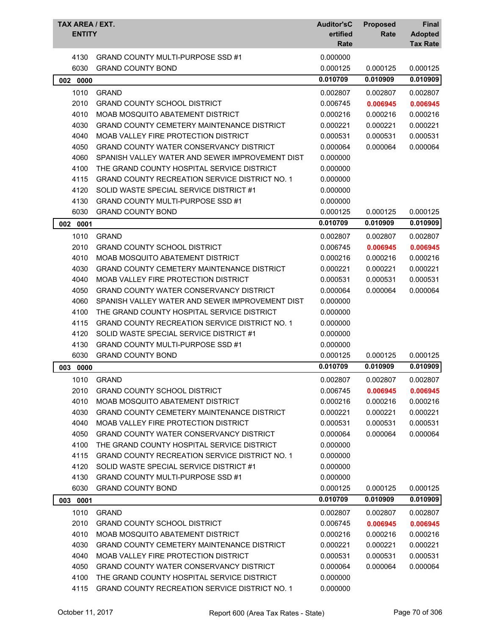| TAX AREA / EXT.<br><b>ENTITY</b> |                                                       | <b>Auditor'sC</b><br>ertified<br>Rate | <b>Proposed</b><br>Rate | <b>Final</b><br><b>Adopted</b><br><b>Tax Rate</b> |
|----------------------------------|-------------------------------------------------------|---------------------------------------|-------------------------|---------------------------------------------------|
| 4130                             | <b>GRAND COUNTY MULTI-PURPOSE SSD #1</b>              | 0.000000                              |                         |                                                   |
| 6030                             | <b>GRAND COUNTY BOND</b>                              | 0.000125                              | 0.000125                | 0.000125                                          |
| 002<br>0000                      |                                                       | 0.010709                              | 0.010909                | 0.010909                                          |
| 1010                             | <b>GRAND</b>                                          | 0.002807                              | 0.002807                | 0.002807                                          |
| 2010                             | <b>GRAND COUNTY SCHOOL DISTRICT</b>                   | 0.006745                              | 0.006945                | 0.006945                                          |
| 4010                             | MOAB MOSQUITO ABATEMENT DISTRICT                      | 0.000216                              | 0.000216                | 0.000216                                          |
| 4030                             | <b>GRAND COUNTY CEMETERY MAINTENANCE DISTRICT</b>     | 0.000221                              | 0.000221                | 0.000221                                          |
| 4040                             | MOAB VALLEY FIRE PROTECTION DISTRICT                  | 0.000531                              | 0.000531                | 0.000531                                          |
| 4050                             | GRAND COUNTY WATER CONSERVANCY DISTRICT               | 0.000064                              | 0.000064                | 0.000064                                          |
| 4060                             | SPANISH VALLEY WATER AND SEWER IMPROVEMENT DIST       | 0.000000                              |                         |                                                   |
| 4100                             | THE GRAND COUNTY HOSPITAL SERVICE DISTRICT            | 0.000000                              |                         |                                                   |
| 4115                             | <b>GRAND COUNTY RECREATION SERVICE DISTRICT NO. 1</b> | 0.000000                              |                         |                                                   |
| 4120                             | SOLID WASTE SPECIAL SERVICE DISTRICT #1               | 0.000000                              |                         |                                                   |
| 4130                             | <b>GRAND COUNTY MULTI-PURPOSE SSD #1</b>              | 0.000000                              |                         |                                                   |
| 6030                             | <b>GRAND COUNTY BOND</b>                              | 0.000125                              | 0.000125                | 0.000125                                          |
| 002 0001                         |                                                       | 0.010709                              | 0.010909                | 0.010909                                          |
| 1010                             | <b>GRAND</b>                                          |                                       |                         |                                                   |
|                                  |                                                       | 0.002807                              | 0.002807                | 0.002807                                          |
| 2010                             | <b>GRAND COUNTY SCHOOL DISTRICT</b>                   | 0.006745                              | 0.006945                | 0.006945                                          |
| 4010                             | MOAB MOSQUITO ABATEMENT DISTRICT                      | 0.000216                              | 0.000216                | 0.000216                                          |
| 4030                             | <b>GRAND COUNTY CEMETERY MAINTENANCE DISTRICT</b>     | 0.000221                              | 0.000221                | 0.000221                                          |
| 4040                             | MOAB VALLEY FIRE PROTECTION DISTRICT                  | 0.000531                              | 0.000531                | 0.000531                                          |
| 4050                             | GRAND COUNTY WATER CONSERVANCY DISTRICT               | 0.000064                              | 0.000064                | 0.000064                                          |
| 4060                             | SPANISH VALLEY WATER AND SEWER IMPROVEMENT DIST       | 0.000000                              |                         |                                                   |
| 4100                             | THE GRAND COUNTY HOSPITAL SERVICE DISTRICT            | 0.000000                              |                         |                                                   |
| 4115                             | <b>GRAND COUNTY RECREATION SERVICE DISTRICT NO. 1</b> | 0.000000                              |                         |                                                   |
| 4120                             | SOLID WASTE SPECIAL SERVICE DISTRICT #1               | 0.000000                              |                         |                                                   |
| 4130                             | <b>GRAND COUNTY MULTI-PURPOSE SSD #1</b>              | 0.000000                              |                         | 0.000125                                          |
| 6030                             | <b>GRAND COUNTY BOND</b>                              | 0.000125<br>0.010709                  | 0.000125<br>0.010909    | 0.010909                                          |
| 003 0000                         |                                                       |                                       |                         |                                                   |
| 1010                             | <b>GRAND</b>                                          | 0.002807                              | 0.002807                | 0.002807                                          |
| 2010                             | <b>GRAND COUNTY SCHOOL DISTRICT</b>                   | 0.006745                              | 0.006945                | 0.006945                                          |
| 4010                             | MOAB MOSQUITO ABATEMENT DISTRICT                      | 0.000216                              | 0.000216                | 0.000216                                          |
| 4030                             | <b>GRAND COUNTY CEMETERY MAINTENANCE DISTRICT</b>     | 0.000221                              | 0.000221                | 0.000221                                          |
| 4040                             | MOAB VALLEY FIRE PROTECTION DISTRICT                  | 0.000531                              | 0.000531                | 0.000531                                          |
| 4050                             | <b>GRAND COUNTY WATER CONSERVANCY DISTRICT</b>        | 0.000064                              | 0.000064                | 0.000064                                          |
| 4100                             | THE GRAND COUNTY HOSPITAL SERVICE DISTRICT            | 0.000000                              |                         |                                                   |
| 4115                             | <b>GRAND COUNTY RECREATION SERVICE DISTRICT NO. 1</b> | 0.000000                              |                         |                                                   |
| 4120                             | SOLID WASTE SPECIAL SERVICE DISTRICT #1               | 0.000000                              |                         |                                                   |
| 4130                             | <b>GRAND COUNTY MULTI-PURPOSE SSD #1</b>              | 0.000000                              |                         |                                                   |
| 6030                             | <b>GRAND COUNTY BOND</b>                              | 0.000125                              | 0.000125                | 0.000125                                          |
| 0001<br>003                      |                                                       | 0.010709                              | 0.010909                | 0.010909                                          |
| 1010                             | <b>GRAND</b>                                          | 0.002807                              | 0.002807                | 0.002807                                          |
| 2010                             | <b>GRAND COUNTY SCHOOL DISTRICT</b>                   | 0.006745                              | 0.006945                | 0.006945                                          |
| 4010                             | MOAB MOSQUITO ABATEMENT DISTRICT                      | 0.000216                              | 0.000216                | 0.000216                                          |
| 4030                             | <b>GRAND COUNTY CEMETERY MAINTENANCE DISTRICT</b>     | 0.000221                              | 0.000221                | 0.000221                                          |
| 4040                             | MOAB VALLEY FIRE PROTECTION DISTRICT                  | 0.000531                              | 0.000531                | 0.000531                                          |
| 4050                             | GRAND COUNTY WATER CONSERVANCY DISTRICT               | 0.000064                              | 0.000064                | 0.000064                                          |
| 4100                             | THE GRAND COUNTY HOSPITAL SERVICE DISTRICT            | 0.000000                              |                         |                                                   |
| 4115                             | GRAND COUNTY RECREATION SERVICE DISTRICT NO. 1        | 0.000000                              |                         |                                                   |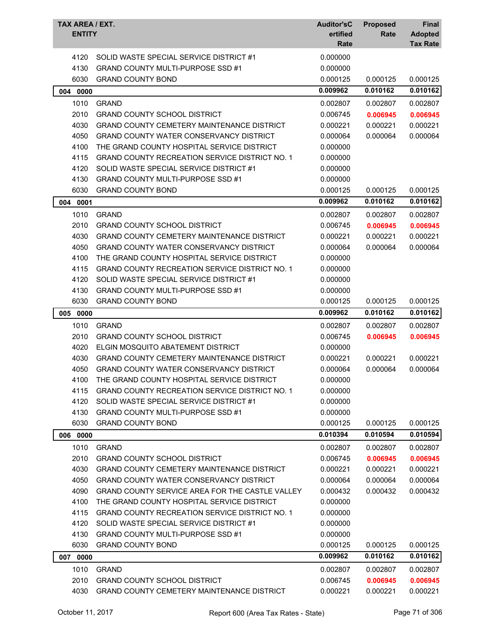| TAX AREA / EXT.<br><b>ENTITY</b> |                                                       | <b>Auditor'sC</b><br>ertified<br>Rate | <b>Proposed</b><br>Rate | Final<br><b>Adopted</b><br><b>Tax Rate</b> |
|----------------------------------|-------------------------------------------------------|---------------------------------------|-------------------------|--------------------------------------------|
| 4120                             | SOLID WASTE SPECIAL SERVICE DISTRICT #1               | 0.000000                              |                         |                                            |
| 4130                             | <b>GRAND COUNTY MULTI-PURPOSE SSD #1</b>              | 0.000000                              |                         |                                            |
| 6030                             | <b>GRAND COUNTY BOND</b>                              | 0.000125                              | 0.000125                | 0.000125                                   |
| 004 0000                         |                                                       | 0.009962                              | 0.010162                | 0.010162                                   |
| 1010                             | <b>GRAND</b>                                          | 0.002807                              | 0.002807                | 0.002807                                   |
| 2010                             | <b>GRAND COUNTY SCHOOL DISTRICT</b>                   | 0.006745                              | 0.006945                | 0.006945                                   |
| 4030                             | <b>GRAND COUNTY CEMETERY MAINTENANCE DISTRICT</b>     | 0.000221                              | 0.000221                | 0.000221                                   |
| 4050                             | <b>GRAND COUNTY WATER CONSERVANCY DISTRICT</b>        | 0.000064                              | 0.000064                | 0.000064                                   |
| 4100                             | THE GRAND COUNTY HOSPITAL SERVICE DISTRICT            | 0.000000                              |                         |                                            |
| 4115                             | <b>GRAND COUNTY RECREATION SERVICE DISTRICT NO. 1</b> | 0.000000                              |                         |                                            |
| 4120                             | SOLID WASTE SPECIAL SERVICE DISTRICT #1               | 0.000000                              |                         |                                            |
| 4130                             | <b>GRAND COUNTY MULTI-PURPOSE SSD #1</b>              | 0.000000                              |                         |                                            |
| 6030                             | <b>GRAND COUNTY BOND</b>                              | 0.000125                              | 0.000125                | 0.000125                                   |
| 004 0001                         |                                                       | 0.009962                              | 0.010162                | 0.010162                                   |
| 1010                             | <b>GRAND</b>                                          | 0.002807                              | 0.002807                | 0.002807                                   |
| 2010                             | <b>GRAND COUNTY SCHOOL DISTRICT</b>                   | 0.006745                              | 0.006945                | 0.006945                                   |
| 4030                             | <b>GRAND COUNTY CEMETERY MAINTENANCE DISTRICT</b>     | 0.000221                              | 0.000221                | 0.000221                                   |
| 4050                             | <b>GRAND COUNTY WATER CONSERVANCY DISTRICT</b>        | 0.000064                              | 0.000064                | 0.000064                                   |
| 4100                             | THE GRAND COUNTY HOSPITAL SERVICE DISTRICT            | 0.000000                              |                         |                                            |
| 4115                             | <b>GRAND COUNTY RECREATION SERVICE DISTRICT NO. 1</b> | 0.000000                              |                         |                                            |
| 4120                             | SOLID WASTE SPECIAL SERVICE DISTRICT #1               | 0.000000                              |                         |                                            |
| 4130                             | <b>GRAND COUNTY MULTI-PURPOSE SSD #1</b>              | 0.000000                              |                         |                                            |
| 6030                             | <b>GRAND COUNTY BOND</b>                              | 0.000125                              | 0.000125                | 0.000125                                   |
| 005 0000                         |                                                       | 0.009962                              | 0.010162                | 0.010162                                   |
| 1010                             | <b>GRAND</b>                                          | 0.002807                              | 0.002807                | 0.002807                                   |
| 2010                             | <b>GRAND COUNTY SCHOOL DISTRICT</b>                   | 0.006745                              | 0.006945                | 0.006945                                   |
| 4020                             | ELGIN MOSQUITO ABATEMENT DISTRICT                     | 0.000000                              |                         |                                            |
| 4030                             | <b>GRAND COUNTY CEMETERY MAINTENANCE DISTRICT</b>     | 0.000221                              | 0.000221                | 0.000221                                   |
| 4050                             | <b>GRAND COUNTY WATER CONSERVANCY DISTRICT</b>        | 0.000064                              | 0.000064                | 0.000064                                   |
| 4100                             | THE GRAND COUNTY HOSPITAL SERVICE DISTRICT            | 0.000000                              |                         |                                            |
| 4115                             | <b>GRAND COUNTY RECREATION SERVICE DISTRICT NO. 1</b> | 0.000000                              |                         |                                            |
| 4120                             | SOLID WASTE SPECIAL SERVICE DISTRICT #1               | 0.000000                              |                         |                                            |
| 4130                             | <b>GRAND COUNTY MULTI-PURPOSE SSD #1</b>              | 0.000000                              |                         |                                            |
| 6030                             | <b>GRAND COUNTY BOND</b>                              | 0.000125                              | 0.000125                | 0.000125                                   |
| 006 0000                         |                                                       | 0.010394                              | 0.010594                | 0.010594                                   |
| 1010                             | <b>GRAND</b>                                          | 0.002807                              | 0.002807                | 0.002807                                   |
| 2010                             | <b>GRAND COUNTY SCHOOL DISTRICT</b>                   | 0.006745                              | 0.006945                | 0.006945                                   |
| 4030                             | GRAND COUNTY CEMETERY MAINTENANCE DISTRICT            | 0.000221                              | 0.000221                | 0.000221                                   |
| 4050                             | <b>GRAND COUNTY WATER CONSERVANCY DISTRICT</b>        | 0.000064                              | 0.000064                | 0.000064                                   |
| 4090                             | GRAND COUNTY SERVICE AREA FOR THE CASTLE VALLEY       | 0.000432                              | 0.000432                | 0.000432                                   |
| 4100                             | THE GRAND COUNTY HOSPITAL SERVICE DISTRICT            | 0.000000                              |                         |                                            |
| 4115                             | GRAND COUNTY RECREATION SERVICE DISTRICT NO. 1        | 0.000000                              |                         |                                            |
| 4120                             | SOLID WASTE SPECIAL SERVICE DISTRICT #1               | 0.000000                              |                         |                                            |
| 4130                             | <b>GRAND COUNTY MULTI-PURPOSE SSD #1</b>              | 0.000000                              |                         |                                            |
| 6030                             | <b>GRAND COUNTY BOND</b>                              | 0.000125                              | 0.000125                | 0.000125                                   |
| 007 0000                         |                                                       | 0.009962                              | 0.010162                | 0.010162                                   |
| 1010                             | <b>GRAND</b>                                          | 0.002807                              | 0.002807                | 0.002807                                   |
| 2010                             | <b>GRAND COUNTY SCHOOL DISTRICT</b>                   | 0.006745                              | 0.006945                | 0.006945                                   |
| 4030                             | GRAND COUNTY CEMETERY MAINTENANCE DISTRICT            | 0.000221                              | 0.000221                | 0.000221                                   |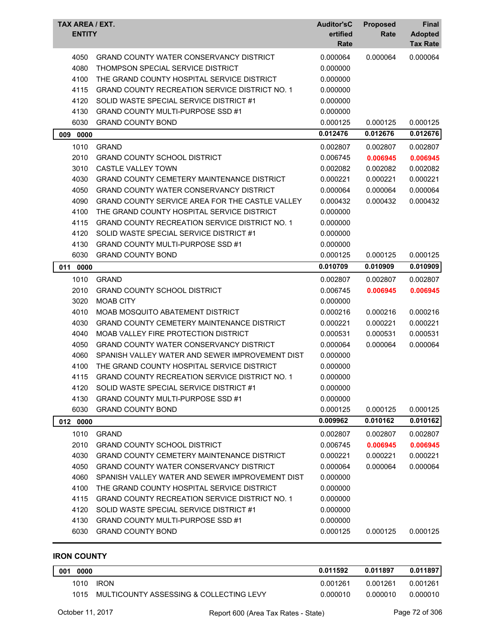| TAX AREA / EXT.<br><b>ENTITY</b> |                                                       | <b>Auditor'sC</b><br>ertified<br>Rate | <b>Proposed</b><br>Rate | <b>Final</b><br><b>Adopted</b><br><b>Tax Rate</b> |
|----------------------------------|-------------------------------------------------------|---------------------------------------|-------------------------|---------------------------------------------------|
| 4050                             | GRAND COUNTY WATER CONSERVANCY DISTRICT               | 0.000064                              | 0.000064                | 0.000064                                          |
| 4080                             | THOMPSON SPECIAL SERVICE DISTRICT                     | 0.000000                              |                         |                                                   |
| 4100                             | THE GRAND COUNTY HOSPITAL SERVICE DISTRICT            | 0.000000                              |                         |                                                   |
| 4115                             | <b>GRAND COUNTY RECREATION SERVICE DISTRICT NO. 1</b> | 0.000000                              |                         |                                                   |
| 4120                             | SOLID WASTE SPECIAL SERVICE DISTRICT #1               | 0.000000                              |                         |                                                   |
| 4130                             | <b>GRAND COUNTY MULTI-PURPOSE SSD #1</b>              | 0.000000                              |                         |                                                   |
| 6030                             | <b>GRAND COUNTY BOND</b>                              | 0.000125                              | 0.000125                | 0.000125                                          |
| 009<br>0000                      |                                                       | 0.012476                              | 0.012676                | 0.012676                                          |
| 1010                             | <b>GRAND</b>                                          | 0.002807                              | 0.002807                | 0.002807                                          |
| 2010                             | <b>GRAND COUNTY SCHOOL DISTRICT</b>                   | 0.006745                              | 0.006945                | 0.006945                                          |
| 3010                             | <b>CASTLE VALLEY TOWN</b>                             | 0.002082                              | 0.002082                | 0.002082                                          |
| 4030                             | <b>GRAND COUNTY CEMETERY MAINTENANCE DISTRICT</b>     | 0.000221                              | 0.000221                | 0.000221                                          |
| 4050                             | <b>GRAND COUNTY WATER CONSERVANCY DISTRICT</b>        | 0.000064                              | 0.000064                | 0.000064                                          |
| 4090                             | GRAND COUNTY SERVICE AREA FOR THE CASTLE VALLEY       | 0.000432                              | 0.000432                | 0.000432                                          |
| 4100                             | THE GRAND COUNTY HOSPITAL SERVICE DISTRICT            | 0.000000                              |                         |                                                   |
| 4115                             | <b>GRAND COUNTY RECREATION SERVICE DISTRICT NO. 1</b> | 0.000000                              |                         |                                                   |
| 4120                             | SOLID WASTE SPECIAL SERVICE DISTRICT #1               | 0.000000                              |                         |                                                   |
| 4130                             | <b>GRAND COUNTY MULTI-PURPOSE SSD #1</b>              | 0.000000                              |                         |                                                   |
| 6030                             | <b>GRAND COUNTY BOND</b>                              | 0.000125                              | 0.000125                | 0.000125                                          |
| 011<br>0000                      |                                                       | 0.010709                              | 0.010909                | 0.010909                                          |
| 1010                             | <b>GRAND</b>                                          | 0.002807                              | 0.002807                | 0.002807                                          |
| 2010                             | <b>GRAND COUNTY SCHOOL DISTRICT</b>                   | 0.006745                              | 0.006945                | 0.006945                                          |
| 3020                             | <b>MOAB CITY</b>                                      | 0.000000                              |                         |                                                   |
| 4010                             | MOAB MOSQUITO ABATEMENT DISTRICT                      | 0.000216                              | 0.000216                | 0.000216                                          |
| 4030                             | GRAND COUNTY CEMETERY MAINTENANCE DISTRICT            | 0.000221                              | 0.000221                | 0.000221                                          |
| 4040                             | MOAB VALLEY FIRE PROTECTION DISTRICT                  | 0.000531                              | 0.000531                | 0.000531                                          |
| 4050                             | GRAND COUNTY WATER CONSERVANCY DISTRICT               | 0.000064                              | 0.000064                | 0.000064                                          |
| 4060                             | SPANISH VALLEY WATER AND SEWER IMPROVEMENT DIST       | 0.000000                              |                         |                                                   |
| 4100                             | THE GRAND COUNTY HOSPITAL SERVICE DISTRICT            | 0.000000                              |                         |                                                   |
| 4115                             | <b>GRAND COUNTY RECREATION SERVICE DISTRICT NO. 1</b> | 0.000000                              |                         |                                                   |
| 4120                             | SOLID WASTE SPECIAL SERVICE DISTRICT #1               | 0.000000                              |                         |                                                   |
| 4130                             | <b>GRAND COUNTY MULTI-PURPOSE SSD #1</b>              | 0.000000                              |                         |                                                   |
| 6030                             | <b>GRAND COUNTY BOND</b>                              | 0.000125                              | 0.000125                | 0.000125                                          |
| 012 0000                         |                                                       | 0.009962                              | 0.010162                | 0.010162                                          |
| 1010                             | <b>GRAND</b>                                          | 0.002807                              | 0.002807                | 0.002807                                          |
| 2010                             | <b>GRAND COUNTY SCHOOL DISTRICT</b>                   | 0.006745                              | 0.006945                | 0.006945                                          |
| 4030                             | <b>GRAND COUNTY CEMETERY MAINTENANCE DISTRICT</b>     | 0.000221                              | 0.000221                | 0.000221                                          |
| 4050                             | <b>GRAND COUNTY WATER CONSERVANCY DISTRICT</b>        | 0.000064                              | 0.000064                | 0.000064                                          |
| 4060                             | SPANISH VALLEY WATER AND SEWER IMPROVEMENT DIST       | 0.000000                              |                         |                                                   |
| 4100                             | THE GRAND COUNTY HOSPITAL SERVICE DISTRICT            | 0.000000                              |                         |                                                   |
| 4115                             | <b>GRAND COUNTY RECREATION SERVICE DISTRICT NO. 1</b> | 0.000000                              |                         |                                                   |
| 4120                             | SOLID WASTE SPECIAL SERVICE DISTRICT #1               | 0.000000                              |                         |                                                   |
| 4130                             | <b>GRAND COUNTY MULTI-PURPOSE SSD #1</b>              | 0.000000                              |                         |                                                   |
| 6030                             | <b>GRAND COUNTY BOND</b>                              | 0.000125                              | 0.000125                | 0.000125                                          |

# **IRON COUNTY**

| 001  | 0000                                    | 0.011592 | 0.011897 | 0.011897 |
|------|-----------------------------------------|----------|----------|----------|
| 1010 | <b>IRON</b>                             | 0.001261 | 0.001261 | 0.001261 |
| 1015 | MULTICOUNTY ASSESSING & COLLECTING LEVY | 0.000010 | 0.000010 | 0.000010 |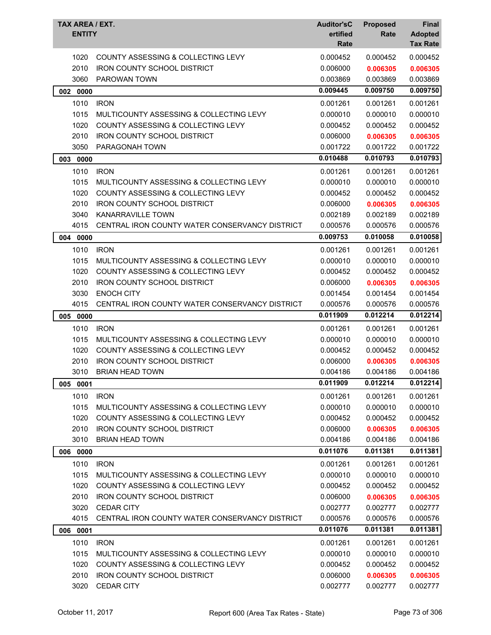| TAX AREA / EXT.<br><b>ENTITY</b> |                                                                               | <b>Auditor'sC</b><br>ertified<br>Rate | <b>Proposed</b><br>Rate | <b>Final</b><br><b>Adopted</b><br><b>Tax Rate</b> |
|----------------------------------|-------------------------------------------------------------------------------|---------------------------------------|-------------------------|---------------------------------------------------|
| 1020                             | COUNTY ASSESSING & COLLECTING LEVY                                            | 0.000452                              | 0.000452                | 0.000452                                          |
| 2010                             | <b>IRON COUNTY SCHOOL DISTRICT</b>                                            | 0.006000                              | 0.006305                | 0.006305                                          |
| 3060                             | PAROWAN TOWN                                                                  | 0.003869                              | 0.003869                | 0.003869                                          |
| 002 0000                         |                                                                               | 0.009445                              | 0.009750                | 0.009750                                          |
| 1010                             | <b>IRON</b>                                                                   | 0.001261                              | 0.001261                | 0.001261                                          |
| 1015                             | MULTICOUNTY ASSESSING & COLLECTING LEVY                                       | 0.000010                              | 0.000010                | 0.000010                                          |
| 1020                             | COUNTY ASSESSING & COLLECTING LEVY                                            | 0.000452                              | 0.000452                | 0.000452                                          |
| 2010                             | <b>IRON COUNTY SCHOOL DISTRICT</b>                                            | 0.006000                              | 0.006305                | 0.006305                                          |
| 3050                             | PARAGONAH TOWN                                                                | 0.001722                              | 0.001722                | 0.001722                                          |
| 003 0000                         |                                                                               | 0.010488                              | 0.010793                | 0.010793                                          |
| 1010                             | <b>IRON</b>                                                                   | 0.001261                              | 0.001261                | 0.001261                                          |
| 1015                             | MULTICOUNTY ASSESSING & COLLECTING LEVY                                       | 0.000010                              | 0.000010                | 0.000010                                          |
| 1020                             | COUNTY ASSESSING & COLLECTING LEVY                                            | 0.000452                              | 0.000452                | 0.000452                                          |
| 2010                             | <b>IRON COUNTY SCHOOL DISTRICT</b>                                            | 0.006000                              | 0.006305                | 0.006305                                          |
| 3040                             | KANARRAVILLE TOWN                                                             | 0.002189                              | 0.002189                | 0.002189                                          |
| 4015                             | CENTRAL IRON COUNTY WATER CONSERVANCY DISTRICT                                | 0.000576                              | 0.000576                | 0.000576                                          |
| 004 0000                         |                                                                               | 0.009753                              | 0.010058                | 0.010058                                          |
| 1010                             | <b>IRON</b>                                                                   | 0.001261                              |                         | 0.001261                                          |
| 1015                             | MULTICOUNTY ASSESSING & COLLECTING LEVY                                       | 0.000010                              | 0.001261<br>0.000010    | 0.000010                                          |
| 1020                             | COUNTY ASSESSING & COLLECTING LEVY                                            | 0.000452                              | 0.000452                | 0.000452                                          |
| 2010                             | <b>IRON COUNTY SCHOOL DISTRICT</b>                                            | 0.006000                              | 0.006305                | 0.006305                                          |
| 3030                             | <b>ENOCH CITY</b>                                                             | 0.001454                              | 0.001454                | 0.001454                                          |
| 4015                             | CENTRAL IRON COUNTY WATER CONSERVANCY DISTRICT                                | 0.000576                              | 0.000576                | 0.000576                                          |
| 005 0000                         |                                                                               | 0.011909                              | 0.012214                | 0.012214                                          |
| 1010                             | <b>IRON</b>                                                                   | 0.001261                              | 0.001261                | 0.001261                                          |
| 1015                             | MULTICOUNTY ASSESSING & COLLECTING LEVY                                       | 0.000010                              | 0.000010                | 0.000010                                          |
| 1020                             | COUNTY ASSESSING & COLLECTING LEVY                                            | 0.000452                              | 0.000452                | 0.000452                                          |
| 2010                             | <b>IRON COUNTY SCHOOL DISTRICT</b>                                            | 0.006000                              | 0.006305                | 0.006305                                          |
| 3010                             | <b>BRIAN HEAD TOWN</b>                                                        | 0.004186                              | 0.004186                | 0.004186                                          |
| 005<br>0001                      |                                                                               | 0.011909                              | 0.012214                | 0.012214                                          |
| 1010                             | <b>IRON</b>                                                                   | 0.001261                              | 0.001261                | 0.001261                                          |
| 1015                             | MULTICOUNTY ASSESSING & COLLECTING LEVY                                       | 0.000010                              | 0.000010                | 0.000010                                          |
| 1020                             | <b>COUNTY ASSESSING &amp; COLLECTING LEVY</b>                                 | 0.000452                              | 0.000452                | 0.000452                                          |
| 2010                             | <b>IRON COUNTY SCHOOL DISTRICT</b>                                            | 0.006000                              | 0.006305                | 0.006305                                          |
| 3010                             | <b>BRIAN HEAD TOWN</b>                                                        | 0.004186                              | 0.004186                | 0.004186                                          |
| 006 0000                         |                                                                               | 0.011076                              | 0.011381                | 0.011381                                          |
|                                  |                                                                               |                                       |                         |                                                   |
| 1010                             | <b>IRON</b><br>MULTICOUNTY ASSESSING & COLLECTING LEVY                        | 0.001261                              | 0.001261                | 0.001261                                          |
| 1015                             |                                                                               | 0.000010                              | 0.000010                | 0.000010                                          |
| 1020<br>2010                     | COUNTY ASSESSING & COLLECTING LEVY<br><b>IRON COUNTY SCHOOL DISTRICT</b>      | 0.000452<br>0.006000                  | 0.000452<br>0.006305    | 0.000452<br>0.006305                              |
| 3020                             | <b>CEDAR CITY</b>                                                             | 0.002777                              | 0.002777                | 0.002777                                          |
| 4015                             | CENTRAL IRON COUNTY WATER CONSERVANCY DISTRICT                                | 0.000576                              | 0.000576                | 0.000576                                          |
|                                  |                                                                               | 0.011076                              | 0.011381                | 0.011381                                          |
| 006 0001                         |                                                                               |                                       |                         |                                                   |
| 1010                             | <b>IRON</b>                                                                   | 0.001261                              | 0.001261                | 0.001261                                          |
| 1015<br>1020                     | MULTICOUNTY ASSESSING & COLLECTING LEVY<br>COUNTY ASSESSING & COLLECTING LEVY | 0.000010<br>0.000452                  | 0.000010<br>0.000452    | 0.000010<br>0.000452                              |
| 2010                             | <b>IRON COUNTY SCHOOL DISTRICT</b>                                            | 0.006000                              | 0.006305                | 0.006305                                          |
| 3020                             | CEDAR CITY                                                                    | 0.002777                              | 0.002777                | 0.002777                                          |
|                                  |                                                                               |                                       |                         |                                                   |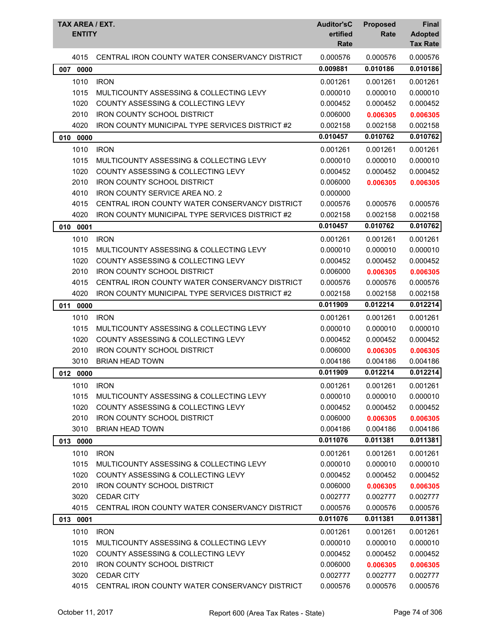| TAX AREA / EXT.<br><b>ENTITY</b> |                                                        | <b>Auditor'sC</b><br>ertified<br>Rate | <b>Proposed</b><br>Rate | <b>Final</b><br><b>Adopted</b><br><b>Tax Rate</b> |
|----------------------------------|--------------------------------------------------------|---------------------------------------|-------------------------|---------------------------------------------------|
| 4015                             | CENTRAL IRON COUNTY WATER CONSERVANCY DISTRICT         | 0.000576                              | 0.000576                | 0.000576                                          |
| 007 0000                         |                                                        | 0.009881                              | 0.010186                | 0.010186                                          |
| 1010                             | <b>IRON</b>                                            | 0.001261                              | 0.001261                | 0.001261                                          |
| 1015                             | MULTICOUNTY ASSESSING & COLLECTING LEVY                | 0.000010                              | 0.000010                | 0.000010                                          |
| 1020                             | COUNTY ASSESSING & COLLECTING LEVY                     | 0.000452                              | 0.000452                | 0.000452                                          |
| 2010                             | <b>IRON COUNTY SCHOOL DISTRICT</b>                     | 0.006000                              | 0.006305                | 0.006305                                          |
| 4020                             | <b>IRON COUNTY MUNICIPAL TYPE SERVICES DISTRICT #2</b> | 0.002158                              | 0.002158                | 0.002158                                          |
| 0000<br>010                      |                                                        | 0.010457                              | 0.010762                | 0.010762                                          |
| 1010                             | <b>IRON</b>                                            | 0.001261                              | 0.001261                | 0.001261                                          |
| 1015                             | MULTICOUNTY ASSESSING & COLLECTING LEVY                | 0.000010                              | 0.000010                | 0.000010                                          |
| 1020                             | <b>COUNTY ASSESSING &amp; COLLECTING LEVY</b>          | 0.000452                              | 0.000452                | 0.000452                                          |
| 2010                             | <b>IRON COUNTY SCHOOL DISTRICT</b>                     | 0.006000                              | 0.006305                | 0.006305                                          |
| 4010                             | <b>IRON COUNTY SERVICE AREA NO. 2</b>                  | 0.000000                              |                         |                                                   |
| 4015                             | CENTRAL IRON COUNTY WATER CONSERVANCY DISTRICT         | 0.000576                              | 0.000576                | 0.000576                                          |
| 4020                             | <b>IRON COUNTY MUNICIPAL TYPE SERVICES DISTRICT #2</b> | 0.002158                              | 0.002158                | 0.002158                                          |
| 0001<br>010                      |                                                        | 0.010457                              | 0.010762                | 0.010762                                          |
| 1010                             | <b>IRON</b>                                            | 0.001261                              | 0.001261                | 0.001261                                          |
| 1015                             | MULTICOUNTY ASSESSING & COLLECTING LEVY                | 0.000010                              | 0.000010                | 0.000010                                          |
| 1020                             | COUNTY ASSESSING & COLLECTING LEVY                     | 0.000452                              | 0.000452                | 0.000452                                          |
| 2010                             | <b>IRON COUNTY SCHOOL DISTRICT</b>                     | 0.006000                              | 0.006305                | 0.006305                                          |
| 4015                             | CENTRAL IRON COUNTY WATER CONSERVANCY DISTRICT         | 0.000576                              | 0.000576                | 0.000576                                          |
| 4020                             | <b>IRON COUNTY MUNICIPAL TYPE SERVICES DISTRICT #2</b> | 0.002158                              | 0.002158                | 0.002158                                          |
| 011<br>0000                      |                                                        | 0.011909                              | 0.012214                | 0.012214                                          |
| 1010                             | <b>IRON</b>                                            | 0.001261                              | 0.001261                | 0.001261                                          |
| 1015                             | MULTICOUNTY ASSESSING & COLLECTING LEVY                | 0.000010                              | 0.000010                | 0.000010                                          |
| 1020                             | <b>COUNTY ASSESSING &amp; COLLECTING LEVY</b>          | 0.000452                              | 0.000452                | 0.000452                                          |
| 2010                             | <b>IRON COUNTY SCHOOL DISTRICT</b>                     | 0.006000                              | 0.006305                | 0.006305                                          |
| 3010                             | <b>BRIAN HEAD TOWN</b>                                 | 0.004186                              | 0.004186                | 0.004186                                          |
| 012 0000                         |                                                        | 0.011909                              | 0.012214                | 0.012214                                          |
| 1010                             | <b>IRON</b>                                            | 0.001261                              | 0.001261                | 0.001261                                          |
| 1015                             | MULTICOUNTY ASSESSING & COLLECTING LEVY                | 0.000010                              | 0.000010                | 0.000010                                          |
| 1020                             | COUNTY ASSESSING & COLLECTING LEVY                     | 0.000452                              | 0.000452                | 0.000452                                          |
| 2010                             | <b>IRON COUNTY SCHOOL DISTRICT</b>                     | 0.006000                              | 0.006305                | 0.006305                                          |
| 3010                             | <b>BRIAN HEAD TOWN</b>                                 | 0.004186                              | 0.004186                | 0.004186                                          |
| 013 0000                         |                                                        | 0.011076                              | 0.011381                | 0.011381                                          |
| 1010                             | <b>IRON</b>                                            | 0.001261                              | 0.001261                | 0.001261                                          |
| 1015                             | MULTICOUNTY ASSESSING & COLLECTING LEVY                | 0.000010                              | 0.000010                | 0.000010                                          |
| 1020                             | COUNTY ASSESSING & COLLECTING LEVY                     | 0.000452                              | 0.000452                | 0.000452                                          |
| 2010                             | <b>IRON COUNTY SCHOOL DISTRICT</b>                     | 0.006000                              | 0.006305                | 0.006305                                          |
| 3020                             | <b>CEDAR CITY</b>                                      | 0.002777                              | 0.002777                | 0.002777                                          |
| 4015                             | CENTRAL IRON COUNTY WATER CONSERVANCY DISTRICT         | 0.000576                              | 0.000576                | 0.000576                                          |
| 013 0001                         |                                                        | 0.011076                              | 0.011381                | 0.011381                                          |
| 1010                             | <b>IRON</b>                                            | 0.001261                              | 0.001261                | 0.001261                                          |
| 1015                             | MULTICOUNTY ASSESSING & COLLECTING LEVY                | 0.000010                              | 0.000010                | 0.000010                                          |
| 1020                             | COUNTY ASSESSING & COLLECTING LEVY                     | 0.000452                              | 0.000452                | 0.000452                                          |
| 2010                             | <b>IRON COUNTY SCHOOL DISTRICT</b>                     | 0.006000                              | 0.006305                | 0.006305                                          |
| 3020                             | <b>CEDAR CITY</b>                                      | 0.002777                              | 0.002777                | 0.002777                                          |
| 4015                             | CENTRAL IRON COUNTY WATER CONSERVANCY DISTRICT         | 0.000576                              | 0.000576                | 0.000576                                          |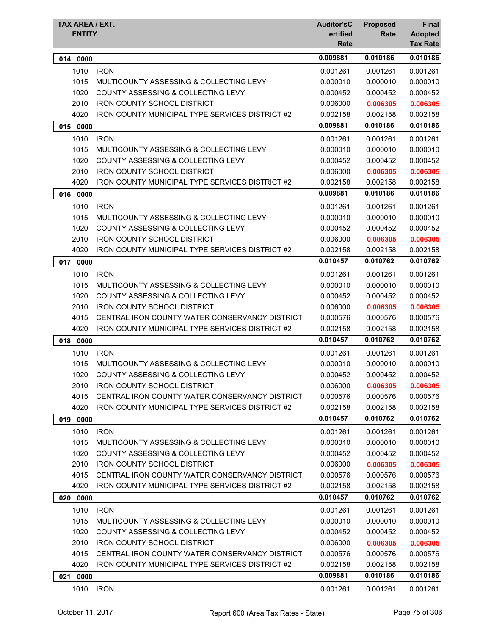|             | TAX AREA / EXT.<br><b>ENTITY</b>                       |          | <b>Proposed</b><br><b>Rate</b> | <b>Final</b><br><b>Adopted</b><br><b>Tax Rate</b> |
|-------------|--------------------------------------------------------|----------|--------------------------------|---------------------------------------------------|
| 014 0000    |                                                        | 0.009881 | 0.010186                       | 0.010186                                          |
| 1010        | <b>IRON</b>                                            | 0.001261 | 0.001261                       | 0.001261                                          |
| 1015        | MULTICOUNTY ASSESSING & COLLECTING LEVY                | 0.000010 | 0.000010                       | 0.000010                                          |
| 1020        | COUNTY ASSESSING & COLLECTING LEVY                     | 0.000452 | 0.000452                       | 0.000452                                          |
| 2010        | <b>IRON COUNTY SCHOOL DISTRICT</b>                     | 0.006000 | 0.006305                       | 0.006305                                          |
| 4020        | IRON COUNTY MUNICIPAL TYPE SERVICES DISTRICT #2        | 0.002158 | 0.002158                       | 0.002158                                          |
| 015<br>0000 |                                                        | 0.009881 | 0.010186                       | 0.010186                                          |
| 1010        | <b>IRON</b>                                            | 0.001261 | 0.001261                       | 0.001261                                          |
| 1015        | MULTICOUNTY ASSESSING & COLLECTING LEVY                | 0.000010 | 0.000010                       | 0.000010                                          |
| 1020        | <b>COUNTY ASSESSING &amp; COLLECTING LEVY</b>          | 0.000452 | 0.000452                       | 0.000452                                          |
| 2010        | <b>IRON COUNTY SCHOOL DISTRICT</b>                     | 0.006000 | 0.006305                       | 0.006305                                          |
| 4020        | <b>IRON COUNTY MUNICIPAL TYPE SERVICES DISTRICT #2</b> | 0.002158 | 0.002158                       | 0.002158                                          |
| 016 0000    |                                                        | 0.009881 | 0.010186                       | 0.010186                                          |
| 1010        | <b>IRON</b>                                            | 0.001261 | 0.001261                       | 0.001261                                          |
| 1015        | MULTICOUNTY ASSESSING & COLLECTING LEVY                | 0.000010 | 0.000010                       | 0.000010                                          |
| 1020        | <b>COUNTY ASSESSING &amp; COLLECTING LEVY</b>          | 0.000452 | 0.000452                       | 0.000452                                          |
| 2010        | <b>IRON COUNTY SCHOOL DISTRICT</b>                     | 0.006000 | 0.006305                       | 0.006305                                          |
| 4020        | <b>IRON COUNTY MUNICIPAL TYPE SERVICES DISTRICT #2</b> | 0.002158 | 0.002158                       | 0.002158                                          |
| 017 0000    |                                                        | 0.010457 | 0.010762                       | 0.010762                                          |
| 1010        | <b>IRON</b>                                            | 0.001261 | 0.001261                       | 0.001261                                          |
| 1015        | MULTICOUNTY ASSESSING & COLLECTING LEVY                | 0.000010 | 0.000010                       | 0.000010                                          |
| 1020        | <b>COUNTY ASSESSING &amp; COLLECTING LEVY</b>          | 0.000452 | 0.000452                       | 0.000452                                          |
| 2010        | <b>IRON COUNTY SCHOOL DISTRICT</b>                     | 0.006000 | 0.006305                       | 0.006305                                          |
| 4015        | CENTRAL IRON COUNTY WATER CONSERVANCY DISTRICT         | 0.000576 | 0.000576                       | 0.000576                                          |
| 4020        | <b>IRON COUNTY MUNICIPAL TYPE SERVICES DISTRICT #2</b> | 0.002158 | 0.002158                       | 0.002158                                          |
| 018 0000    |                                                        | 0.010457 | 0.010762                       | 0.010762                                          |
| 1010        | <b>IRON</b>                                            | 0.001261 | 0.001261                       | 0.001261                                          |
| 1015        | MULTICOUNTY ASSESSING & COLLECTING LEVY                | 0.000010 | 0.000010                       | 0.000010                                          |
| 1020        | COUNTY ASSESSING & COLLECTING LEVY                     | 0.000452 | 0.000452                       | 0.000452                                          |
| 2010        | <b>IRON COUNTY SCHOOL DISTRICT</b>                     | 0.006000 | 0.006305                       | 0.006305                                          |
| 4015        | CENTRAL IRON COUNTY WATER CONSERVANCY DISTRICT         | 0.000576 | 0.000576                       | 0.000576                                          |
| 4020        | <b>IRON COUNTY MUNICIPAL TYPE SERVICES DISTRICT #2</b> | 0.002158 | 0.002158                       | 0.002158                                          |
| 019 0000    |                                                        | 0.010457 | 0.010762                       | 0.010762                                          |
| 1010        | <b>IRON</b>                                            | 0.001261 | 0.001261                       | 0.001261                                          |
| 1015        | MULTICOUNTY ASSESSING & COLLECTING LEVY                | 0.000010 | 0.000010                       | 0.000010                                          |
| 1020        | COUNTY ASSESSING & COLLECTING LEVY                     | 0.000452 | 0.000452                       | 0.000452                                          |
| 2010        | <b>IRON COUNTY SCHOOL DISTRICT</b>                     | 0.006000 | 0.006305                       | 0.006305                                          |
| 4015        | CENTRAL IRON COUNTY WATER CONSERVANCY DISTRICT         | 0.000576 | 0.000576                       | 0.000576                                          |
| 4020        | <b>IRON COUNTY MUNICIPAL TYPE SERVICES DISTRICT #2</b> | 0.002158 | 0.002158                       | 0.002158                                          |
| 0000<br>020 |                                                        | 0.010457 | 0.010762                       | 0.010762                                          |
| 1010        | <b>IRON</b>                                            | 0.001261 | 0.001261                       | 0.001261                                          |
| 1015        | MULTICOUNTY ASSESSING & COLLECTING LEVY                | 0.000010 | 0.000010                       | 0.000010                                          |
| 1020        | <b>COUNTY ASSESSING &amp; COLLECTING LEVY</b>          | 0.000452 | 0.000452                       | 0.000452                                          |
| 2010        | <b>IRON COUNTY SCHOOL DISTRICT</b>                     | 0.006000 | 0.006305                       | 0.006305                                          |
| 4015        | CENTRAL IRON COUNTY WATER CONSERVANCY DISTRICT         | 0.000576 | 0.000576                       | 0.000576                                          |
| 4020        | IRON COUNTY MUNICIPAL TYPE SERVICES DISTRICT #2        | 0.002158 | 0.002158                       | 0.002158                                          |
| 021 0000    |                                                        | 0.009881 | 0.010186                       | 0.010186                                          |
| 1010        | <b>IRON</b>                                            | 0.001261 | 0.001261                       | 0.001261                                          |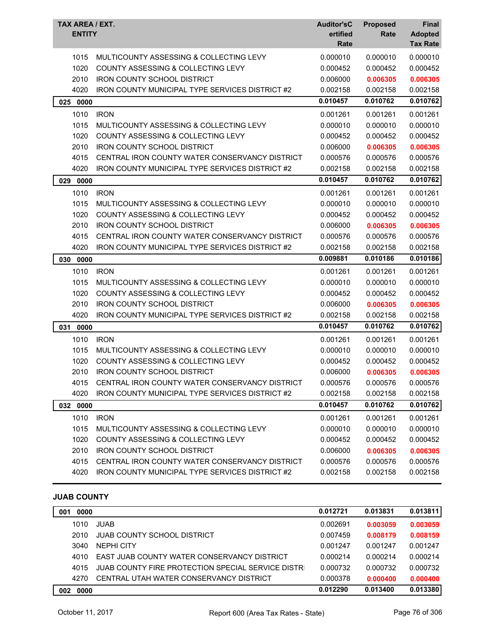| TAX AREA / EXT.<br><b>ENTITY</b> |                                                        | <b>Auditor'sC</b><br>ertified<br>Rate | <b>Proposed</b><br>Rate | <b>Final</b><br><b>Adopted</b><br><b>Tax Rate</b> |
|----------------------------------|--------------------------------------------------------|---------------------------------------|-------------------------|---------------------------------------------------|
| 1015                             | MULTICOUNTY ASSESSING & COLLECTING LEVY                | 0.000010                              | 0.000010                | 0.000010                                          |
| 1020                             | <b>COUNTY ASSESSING &amp; COLLECTING LEVY</b>          | 0.000452                              | 0.000452                | 0.000452                                          |
| 2010                             | <b>IRON COUNTY SCHOOL DISTRICT</b>                     | 0.006000                              | 0.006305                | 0.006305                                          |
| 4020                             | <b>IRON COUNTY MUNICIPAL TYPE SERVICES DISTRICT #2</b> | 0.002158                              | 0.002158                | 0.002158                                          |
| 025<br>0000                      |                                                        | 0.010457                              | 0.010762                | 0.010762                                          |
| 1010                             | <b>IRON</b>                                            | 0.001261                              | 0.001261                | 0.001261                                          |
| 1015                             | MULTICOUNTY ASSESSING & COLLECTING LEVY                | 0.000010                              | 0.000010                | 0.000010                                          |
| 1020                             | COUNTY ASSESSING & COLLECTING LEVY                     | 0.000452                              | 0.000452                | 0.000452                                          |
| 2010                             | <b>IRON COUNTY SCHOOL DISTRICT</b>                     | 0.006000                              | 0.006305                | 0.006305                                          |
| 4015                             | CENTRAL IRON COUNTY WATER CONSERVANCY DISTRICT         | 0.000576                              | 0.000576                | 0.000576                                          |
| 4020                             | IRON COUNTY MUNICIPAL TYPE SERVICES DISTRICT #2        | 0.002158                              | 0.002158                | 0.002158                                          |
| 029<br>0000                      |                                                        | 0.010457                              | 0.010762                | 0.010762                                          |
| 1010                             | <b>IRON</b>                                            | 0.001261                              | 0.001261                | 0.001261                                          |
| 1015                             | MULTICOUNTY ASSESSING & COLLECTING LEVY                | 0.000010                              | 0.000010                | 0.000010                                          |
| 1020                             | <b>COUNTY ASSESSING &amp; COLLECTING LEVY</b>          | 0.000452                              | 0.000452                | 0.000452                                          |
| 2010                             | <b>IRON COUNTY SCHOOL DISTRICT</b>                     | 0.006000                              | 0.006305                | 0.006305                                          |
| 4015                             | CENTRAL IRON COUNTY WATER CONSERVANCY DISTRICT         | 0.000576                              | 0.000576                | 0.000576                                          |
| 4020                             | IRON COUNTY MUNICIPAL TYPE SERVICES DISTRICT #2        | 0.002158                              | 0.002158                | 0.002158                                          |
| 030<br>0000                      |                                                        | 0.009881                              | 0.010186                | 0.010186                                          |
| 1010                             | <b>IRON</b>                                            | 0.001261                              | 0.001261                | 0.001261                                          |
| 1015                             | MULTICOUNTY ASSESSING & COLLECTING LEVY                | 0.000010                              | 0.000010                | 0.000010                                          |
| 1020                             | <b>COUNTY ASSESSING &amp; COLLECTING LEVY</b>          | 0.000452                              | 0.000452                | 0.000452                                          |
| 2010                             | <b>IRON COUNTY SCHOOL DISTRICT</b>                     | 0.006000                              | 0.006305                | 0.006305                                          |
| 4020                             | IRON COUNTY MUNICIPAL TYPE SERVICES DISTRICT #2        | 0.002158                              | 0.002158                | 0.002158                                          |
| 031<br>0000                      |                                                        | 0.010457                              | 0.010762                | 0.010762                                          |
| 1010                             | <b>IRON</b>                                            | 0.001261                              | 0.001261                | 0.001261                                          |
| 1015                             | MULTICOUNTY ASSESSING & COLLECTING LEVY                | 0.000010                              | 0.000010                | 0.000010                                          |
| 1020                             | COUNTY ASSESSING & COLLECTING LEVY                     | 0.000452                              | 0.000452                | 0.000452                                          |
| 2010                             | <b>IRON COUNTY SCHOOL DISTRICT</b>                     | 0.006000                              | 0.006305                | 0.006305                                          |
| 4015                             | CENTRAL IRON COUNTY WATER CONSERVANCY DISTRICT         | 0.000576                              | 0.000576                | 0.000576                                          |
| 4020                             | <b>IRON COUNTY MUNICIPAL TYPE SERVICES DISTRICT #2</b> | 0.002158                              | 0.002158                | 0.002158                                          |
| 032 0000                         |                                                        | 0.010457                              | 0.010762                | 0.010762                                          |
| 1010                             | <b>IRON</b>                                            | 0.001261                              | 0.001261                | 0.001261                                          |
| 1015                             | MULTICOUNTY ASSESSING & COLLECTING LEVY                | 0.000010                              | 0.000010                | 0.000010                                          |
| 1020                             | COUNTY ASSESSING & COLLECTING LEVY                     | 0.000452                              | 0.000452                | 0.000452                                          |
| 2010                             | <b>IRON COUNTY SCHOOL DISTRICT</b>                     | 0.006000                              | 0.006305                | 0.006305                                          |
| 4015                             | CENTRAL IRON COUNTY WATER CONSERVANCY DISTRICT         | 0.000576                              | 0.000576                | 0.000576                                          |
| 4020                             | IRON COUNTY MUNICIPAL TYPE SERVICES DISTRICT #2        | 0.002158                              | 0.002158                | 0.002158                                          |

### **JUAB COUNTY**

| 0000<br>001 |                                                           | 0.012721 | 0.013831 | 0.013811 |
|-------------|-----------------------------------------------------------|----------|----------|----------|
| 1010        | <b>JUAB</b>                                               | 0.002691 | 0.003059 | 0.003059 |
| 2010        | <b>JUAB COUNTY SCHOOL DISTRICT</b>                        | 0.007459 | 0.008179 | 0.008159 |
| 3040        | NFPHI CITY                                                | 0.001247 | 0.001247 | 0.001247 |
| 4010        | EAST JUAB COUNTY WATER CONSERVANCY DISTRICT               | 0.000214 | 0.000214 | 0.000214 |
| 4015        | <b>JUAB COUNTY FIRE PROTECTION SPECIAL SERVICE DISTRI</b> | 0.000732 | 0.000732 | 0.000732 |
| 4270        | CENTRAL UTAH WATER CONSERVANCY DISTRICT                   | 0.000378 | 0.000400 | 0.000400 |
| 0000<br>002 |                                                           | 0.012290 | 0.013400 | 0.013380 |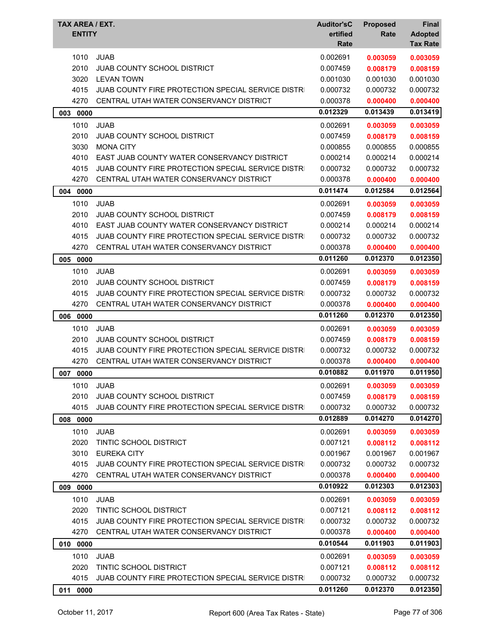| <b>TAX AREA / EXT.</b><br><b>ENTITY</b> |                                                           | <b>Auditor'sC</b><br>ertified<br>Rate | <b>Proposed</b><br>Rate | Final<br><b>Adopted</b><br><b>Tax Rate</b> |
|-----------------------------------------|-----------------------------------------------------------|---------------------------------------|-------------------------|--------------------------------------------|
| 1010                                    | <b>JUAB</b>                                               | 0.002691                              | 0.003059                | 0.003059                                   |
| 2010                                    | JUAB COUNTY SCHOOL DISTRICT                               | 0.007459                              | 0.008179                | 0.008159                                   |
| 3020                                    | <b>LEVAN TOWN</b>                                         | 0.001030                              | 0.001030                | 0.001030                                   |
| 4015                                    | JUAB COUNTY FIRE PROTECTION SPECIAL SERVICE DISTRI        | 0.000732                              | 0.000732                | 0.000732                                   |
| 4270                                    | CENTRAL UTAH WATER CONSERVANCY DISTRICT                   | 0.000378                              | 0.000400                | 0.000400                                   |
| 003<br>0000                             |                                                           | 0.012329                              | 0.013439                | 0.013419                                   |
| 1010                                    | <b>JUAB</b>                                               | 0.002691                              | 0.003059                | 0.003059                                   |
| 2010                                    | JUAB COUNTY SCHOOL DISTRICT                               | 0.007459                              | 0.008179                | 0.008159                                   |
| 3030                                    | <b>MONA CITY</b>                                          | 0.000855                              | 0.000855                | 0.000855                                   |
| 4010                                    | EAST JUAB COUNTY WATER CONSERVANCY DISTRICT               | 0.000214                              | 0.000214                | 0.000214                                   |
| 4015                                    | JUAB COUNTY FIRE PROTECTION SPECIAL SERVICE DISTRI        | 0.000732                              | 0.000732                | 0.000732                                   |
| 4270                                    | CENTRAL UTAH WATER CONSERVANCY DISTRICT                   | 0.000378                              | 0.000400                | 0.000400                                   |
| 0000<br>004                             |                                                           | 0.011474                              | 0.012584                | 0.012564                                   |
| 1010                                    | <b>JUAB</b>                                               | 0.002691                              | 0.003059                | 0.003059                                   |
| 2010                                    | <b>JUAB COUNTY SCHOOL DISTRICT</b>                        | 0.007459                              | 0.008179                | 0.008159                                   |
| 4010                                    | EAST JUAB COUNTY WATER CONSERVANCY DISTRICT               | 0.000214                              | 0.000214                | 0.000214                                   |
| 4015                                    | <b>JUAB COUNTY FIRE PROTECTION SPECIAL SERVICE DISTRI</b> | 0.000732                              | 0.000732                | 0.000732                                   |
| 4270                                    | CENTRAL UTAH WATER CONSERVANCY DISTRICT                   | 0.000378                              | 0.000400                | 0.000400                                   |
| 0000<br>005                             |                                                           | 0.011260                              | 0.012370                | 0.012350                                   |
| 1010                                    | <b>JUAB</b>                                               | 0.002691                              | 0.003059                | 0.003059                                   |
| 2010                                    | <b>JUAB COUNTY SCHOOL DISTRICT</b>                        | 0.007459                              | 0.008179                | 0.008159                                   |
| 4015                                    | JUAB COUNTY FIRE PROTECTION SPECIAL SERVICE DISTRI        | 0.000732                              | 0.000732                | 0.000732                                   |
| 4270                                    | CENTRAL UTAH WATER CONSERVANCY DISTRICT                   | 0.000378                              | 0.000400                | 0.000400                                   |
| 0000<br>006                             |                                                           | 0.011260                              | 0.012370                | 0.012350                                   |
| 1010                                    | <b>JUAB</b>                                               | 0.002691                              | 0.003059                | 0.003059                                   |
| 2010                                    | <b>JUAB COUNTY SCHOOL DISTRICT</b>                        | 0.007459                              | 0.008179                | 0.008159                                   |
| 4015                                    | JUAB COUNTY FIRE PROTECTION SPECIAL SERVICE DISTRI        | 0.000732                              | 0.000732                | 0.000732                                   |
| 4270                                    | CENTRAL UTAH WATER CONSERVANCY DISTRICT                   | 0.000378                              | 0.000400                | 0.000400                                   |
| 007<br>0000                             |                                                           | 0.010882                              | 0.011970                | 0.011950                                   |
| 1010                                    | <b>JUAB</b>                                               | 0.002691                              | 0.003059                | 0.003059                                   |
| 2010                                    | <b>JUAB COUNTY SCHOOL DISTRICT</b>                        | 0.007459                              | 0.008179                | 0.008159                                   |
| 4015                                    | JUAB COUNTY FIRE PROTECTION SPECIAL SERVICE DISTRI        | 0.000732                              | 0.000732                | 0.000732                                   |
| 008 0000                                |                                                           | 0.012889                              | 0.014270                | 0.014270                                   |
| 1010                                    | <b>JUAB</b>                                               | 0.002691                              | 0.003059                | 0.003059                                   |
| 2020                                    | TINTIC SCHOOL DISTRICT                                    | 0.007121                              | 0.008112                | 0.008112                                   |
| 3010                                    | <b>EUREKA CITY</b>                                        | 0.001967                              | 0.001967                | 0.001967                                   |
| 4015                                    | JUAB COUNTY FIRE PROTECTION SPECIAL SERVICE DISTRI        | 0.000732                              | 0.000732                | 0.000732                                   |
| 4270                                    | CENTRAL UTAH WATER CONSERVANCY DISTRICT                   | 0.000378                              | 0.000400                | 0.000400                                   |
| 0000<br>009                             |                                                           | 0.010922                              | 0.012303                | 0.012303                                   |
| 1010                                    | <b>JUAB</b>                                               | 0.002691                              | 0.003059                | 0.003059                                   |
| 2020                                    | TINTIC SCHOOL DISTRICT                                    | 0.007121                              | 0.008112                | 0.008112                                   |
| 4015                                    | JUAB COUNTY FIRE PROTECTION SPECIAL SERVICE DISTRI        | 0.000732                              | 0.000732                | 0.000732                                   |
| 4270                                    | CENTRAL UTAH WATER CONSERVANCY DISTRICT                   | 0.000378                              | 0.000400                | 0.000400                                   |
|                                         |                                                           | 0.010544                              | 0.011903                | 0.011903                                   |
| 010<br>0000                             |                                                           |                                       |                         |                                            |
| 1010                                    | <b>JUAB</b>                                               | 0.002691                              | 0.003059                | 0.003059                                   |
| 2020<br>4015                            | TINTIC SCHOOL DISTRICT                                    | 0.007121                              | 0.008112                | 0.008112                                   |
|                                         | JUAB COUNTY FIRE PROTECTION SPECIAL SERVICE DISTRI        | 0.000732                              | 0.000732                | 0.000732                                   |
| 0000<br>011                             |                                                           | 0.011260                              | 0.012370                | 0.012350                                   |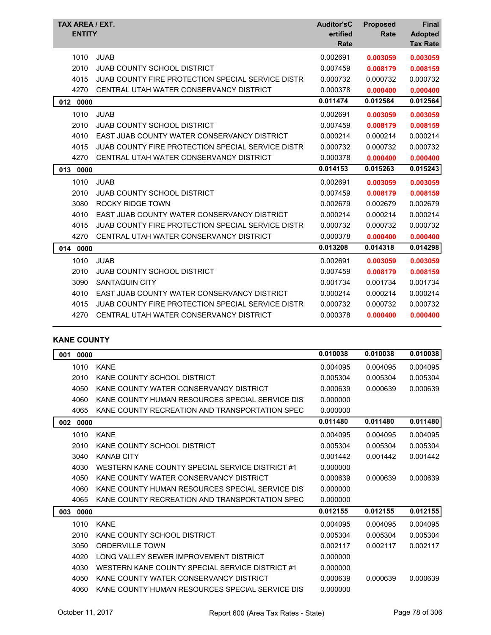| TAX AREA / EXT.<br><b>ENTITY</b> |                                                           | <b>Auditor'sC</b><br>ertified<br><b>Rate</b> | <b>Proposed</b><br>Rate | <b>Final</b><br><b>Adopted</b><br><b>Tax Rate</b> |
|----------------------------------|-----------------------------------------------------------|----------------------------------------------|-------------------------|---------------------------------------------------|
| 1010                             | <b>JUAB</b>                                               | 0.002691                                     | 0.003059                | 0.003059                                          |
| 2010                             | <b>JUAB COUNTY SCHOOL DISTRICT</b>                        | 0.007459                                     | 0.008179                | 0.008159                                          |
| 4015                             | JUAB COUNTY FIRE PROTECTION SPECIAL SERVICE DISTRI        | 0.000732                                     | 0.000732                | 0.000732                                          |
| 4270                             | CENTRAL UTAH WATER CONSERVANCY DISTRICT                   | 0.000378                                     | 0.000400                | 0.000400                                          |
| 012<br>0000                      |                                                           | 0.011474                                     | 0.012584                | 0.012564                                          |
| 1010                             | <b>JUAB</b>                                               | 0.002691                                     | 0.003059                | 0.003059                                          |
| 2010                             | <b>JUAB COUNTY SCHOOL DISTRICT</b>                        | 0.007459                                     | 0.008179                | 0.008159                                          |
| 4010                             | EAST JUAB COUNTY WATER CONSERVANCY DISTRICT               | 0.000214                                     | 0.000214                | 0.000214                                          |
| 4015                             | JUAB COUNTY FIRE PROTECTION SPECIAL SERVICE DISTRI        | 0.000732                                     | 0.000732                | 0.000732                                          |
| 4270                             | CENTRAL UTAH WATER CONSERVANCY DISTRICT                   | 0.000378                                     | 0.000400                | 0.000400                                          |
| 013<br>0000                      |                                                           | 0.014153                                     | 0.015263                | 0.015243                                          |
| 1010                             | <b>JUAB</b>                                               | 0.002691                                     | 0.003059                | 0.003059                                          |
| 2010                             | <b>JUAB COUNTY SCHOOL DISTRICT</b>                        | 0.007459                                     | 0.008179                | 0.008159                                          |
| 3080                             | <b>ROCKY RIDGE TOWN</b>                                   | 0.002679                                     | 0.002679                | 0.002679                                          |
| 4010                             | EAST JUAB COUNTY WATER CONSERVANCY DISTRICT               | 0.000214                                     | 0.000214                | 0.000214                                          |
| 4015                             | <b>JUAB COUNTY FIRE PROTECTION SPECIAL SERVICE DISTRI</b> | 0.000732                                     | 0.000732                | 0.000732                                          |
| 4270                             | CENTRAL UTAH WATER CONSERVANCY DISTRICT                   | 0.000378                                     | 0.000400                | 0.000400                                          |
| 0000<br>014                      |                                                           | 0.013208                                     | 0.014318                | 0.014298                                          |
| 1010                             | <b>JUAB</b>                                               | 0.002691                                     | 0.003059                | 0.003059                                          |
| 2010                             | <b>JUAB COUNTY SCHOOL DISTRICT</b>                        | 0.007459                                     | 0.008179                | 0.008159                                          |
| 3090                             | SANTAQUIN CITY                                            | 0.001734                                     | 0.001734                | 0.001734                                          |
| 4010                             | EAST JUAB COUNTY WATER CONSERVANCY DISTRICT               | 0.000214                                     | 0.000214                | 0.000214                                          |
| 4015                             | JUAB COUNTY FIRE PROTECTION SPECIAL SERVICE DISTRI        | 0.000732                                     | 0.000732                | 0.000732                                          |
| 4270                             | CENTRAL UTAH WATER CONSERVANCY DISTRICT                   | 0.000378                                     | 0.000400                | 0.000400                                          |

### **KANE COUNTY**

| 0000<br>001 |                                                  | 0.010038 | 0.010038 | 0.010038 |
|-------------|--------------------------------------------------|----------|----------|----------|
| 1010        | <b>KANE</b>                                      | 0.004095 | 0.004095 | 0.004095 |
| 2010        | KANE COUNTY SCHOOL DISTRICT                      | 0.005304 | 0.005304 | 0.005304 |
| 4050        | KANE COUNTY WATER CONSERVANCY DISTRICT           | 0.000639 | 0.000639 | 0.000639 |
| 4060        | KANE COUNTY HUMAN RESOURCES SPECIAL SERVICE DIST | 0.000000 |          |          |
| 4065        | KANE COUNTY RECREATION AND TRANSPORTATION SPEC   | 0.000000 |          |          |
| 002<br>0000 |                                                  | 0.011480 | 0.011480 | 0.011480 |
| 1010        | <b>KANE</b>                                      | 0.004095 | 0.004095 | 0.004095 |
| 2010        | KANE COUNTY SCHOOL DISTRICT                      | 0.005304 | 0.005304 | 0.005304 |
| 3040        | <b>KANAB CITY</b>                                | 0.001442 | 0.001442 | 0.001442 |
| 4030        | WESTERN KANE COUNTY SPECIAL SERVICE DISTRICT #1  | 0.000000 |          |          |
| 4050        | KANE COUNTY WATER CONSERVANCY DISTRICT           | 0.000639 | 0.000639 | 0.000639 |
| 4060        | KANE COUNTY HUMAN RESOURCES SPECIAL SERVICE DIST | 0.000000 |          |          |
| 4065        | KANE COUNTY RECREATION AND TRANSPORTATION SPEC   | 0.000000 |          |          |
| 003<br>0000 |                                                  | 0.012155 | 0.012155 | 0.012155 |
| 1010        | <b>KANE</b>                                      | 0.004095 | 0.004095 | 0.004095 |
| 2010        | KANE COUNTY SCHOOL DISTRICT                      | 0.005304 | 0.005304 | 0.005304 |
| 3050        | <b>ORDERVILLE TOWN</b>                           | 0.002117 | 0.002117 | 0.002117 |
| 4020        | LONG VALLEY SEWER IMPROVEMENT DISTRICT           | 0.000000 |          |          |
| 4030        | WESTERN KANE COUNTY SPECIAL SERVICE DISTRICT #1  | 0.000000 |          |          |
| 4050        | KANE COUNTY WATER CONSERVANCY DISTRICT           | 0.000639 | 0.000639 | 0.000639 |
| 4060        | KANE COUNTY HUMAN RESOURCES SPECIAL SERVICE DIST | 0.000000 |          |          |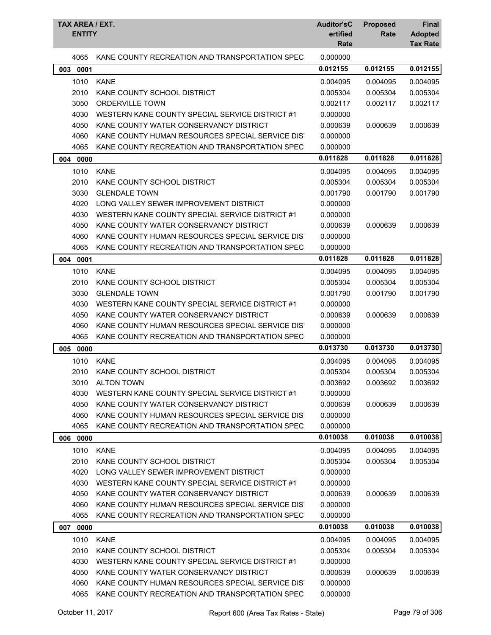|             | <b>TAX AREA / EXT.</b><br><b>Auditor'sC</b><br><b>ENTITY</b> |          | <b>Proposed</b><br>Rate | <b>Final</b><br><b>Adopted</b><br><b>Tax Rate</b> |
|-------------|--------------------------------------------------------------|----------|-------------------------|---------------------------------------------------|
| 4065        | KANE COUNTY RECREATION AND TRANSPORTATION SPEC               | 0.000000 |                         |                                                   |
| 003<br>0001 |                                                              | 0.012155 | 0.012155                | 0.012155                                          |
| 1010        | <b>KANE</b>                                                  | 0.004095 | 0.004095                | 0.004095                                          |
| 2010        | KANE COUNTY SCHOOL DISTRICT                                  | 0.005304 | 0.005304                | 0.005304                                          |
| 3050        | <b>ORDERVILLE TOWN</b>                                       | 0.002117 | 0.002117                | 0.002117                                          |
| 4030        | WESTERN KANE COUNTY SPECIAL SERVICE DISTRICT #1              | 0.000000 |                         |                                                   |
| 4050        | KANE COUNTY WATER CONSERVANCY DISTRICT                       | 0.000639 | 0.000639                | 0.000639                                          |
| 4060        | KANE COUNTY HUMAN RESOURCES SPECIAL SERVICE DIST             | 0.000000 |                         |                                                   |
| 4065        | KANE COUNTY RECREATION AND TRANSPORTATION SPEC               | 0.000000 |                         |                                                   |
| 004 0000    |                                                              | 0.011828 | 0.011828                | 0.011828                                          |
| 1010        | <b>KANE</b>                                                  | 0.004095 | 0.004095                | 0.004095                                          |
| 2010        | KANE COUNTY SCHOOL DISTRICT                                  | 0.005304 | 0.005304                | 0.005304                                          |
| 3030        | <b>GLENDALE TOWN</b>                                         | 0.001790 | 0.001790                | 0.001790                                          |
| 4020        | LONG VALLEY SEWER IMPROVEMENT DISTRICT                       | 0.000000 |                         |                                                   |
| 4030        | WESTERN KANE COUNTY SPECIAL SERVICE DISTRICT #1              | 0.000000 |                         |                                                   |
| 4050        | KANE COUNTY WATER CONSERVANCY DISTRICT                       | 0.000639 | 0.000639                | 0.000639                                          |
| 4060        | KANE COUNTY HUMAN RESOURCES SPECIAL SERVICE DIST             | 0.000000 |                         |                                                   |
| 4065        | KANE COUNTY RECREATION AND TRANSPORTATION SPEC               | 0.000000 |                         |                                                   |
| 004<br>0001 |                                                              | 0.011828 | 0.011828                | 0.011828                                          |
| 1010        | <b>KANE</b>                                                  | 0.004095 | 0.004095                | 0.004095                                          |
| 2010        | KANE COUNTY SCHOOL DISTRICT                                  | 0.005304 | 0.005304                | 0.005304                                          |
| 3030        | <b>GLENDALE TOWN</b>                                         | 0.001790 | 0.001790                | 0.001790                                          |
| 4030        | WESTERN KANE COUNTY SPECIAL SERVICE DISTRICT #1              | 0.000000 |                         |                                                   |
| 4050        | KANE COUNTY WATER CONSERVANCY DISTRICT                       | 0.000639 | 0.000639                | 0.000639                                          |
| 4060        | KANE COUNTY HUMAN RESOURCES SPECIAL SERVICE DIST             | 0.000000 |                         |                                                   |
| 4065        | KANE COUNTY RECREATION AND TRANSPORTATION SPEC               | 0.000000 |                         |                                                   |
| 005 0000    |                                                              | 0.013730 | 0.013730                | 0.013730                                          |
| 1010        | <b>KANE</b>                                                  | 0.004095 | 0.004095                | 0.004095                                          |
| 2010        | KANE COUNTY SCHOOL DISTRICT                                  | 0.005304 | 0.005304                | 0.005304                                          |
| 3010        | <b>ALTON TOWN</b>                                            | 0.003692 | 0.003692                | 0.003692                                          |
| 4030        | WESTERN KANE COUNTY SPECIAL SERVICE DISTRICT #1              | 0.000000 |                         |                                                   |
| 4050        | KANE COUNTY WATER CONSERVANCY DISTRICT                       | 0.000639 | 0.000639                | 0.000639                                          |
| 4060        | KANE COUNTY HUMAN RESOURCES SPECIAL SERVICE DIST             | 0.000000 |                         |                                                   |
| 4065        | KANE COUNTY RECREATION AND TRANSPORTATION SPEC               | 0.000000 |                         |                                                   |
| 0000<br>006 |                                                              | 0.010038 | 0.010038                | 0.010038                                          |
| 1010        | <b>KANE</b>                                                  | 0.004095 | 0.004095                | 0.004095                                          |
| 2010        | KANE COUNTY SCHOOL DISTRICT                                  | 0.005304 | 0.005304                | 0.005304                                          |
| 4020        | LONG VALLEY SEWER IMPROVEMENT DISTRICT                       | 0.000000 |                         |                                                   |
| 4030        | WESTERN KANE COUNTY SPECIAL SERVICE DISTRICT #1              | 0.000000 |                         |                                                   |
| 4050        | KANE COUNTY WATER CONSERVANCY DISTRICT                       | 0.000639 | 0.000639                | 0.000639                                          |
| 4060        | KANE COUNTY HUMAN RESOURCES SPECIAL SERVICE DIST             | 0.000000 |                         |                                                   |
| 4065        | KANE COUNTY RECREATION AND TRANSPORTATION SPEC               | 0.000000 |                         |                                                   |
| 007 0000    |                                                              | 0.010038 | 0.010038                | 0.010038                                          |
| 1010        | <b>KANE</b>                                                  | 0.004095 | 0.004095                | 0.004095                                          |
| 2010        | KANE COUNTY SCHOOL DISTRICT                                  | 0.005304 | 0.005304                | 0.005304                                          |
| 4030        | WESTERN KANE COUNTY SPECIAL SERVICE DISTRICT #1              | 0.000000 |                         |                                                   |
| 4050        | KANE COUNTY WATER CONSERVANCY DISTRICT                       | 0.000639 | 0.000639                | 0.000639                                          |
| 4060        | KANE COUNTY HUMAN RESOURCES SPECIAL SERVICE DIST             | 0.000000 |                         |                                                   |
| 4065        | KANE COUNTY RECREATION AND TRANSPORTATION SPEC               | 0.000000 |                         |                                                   |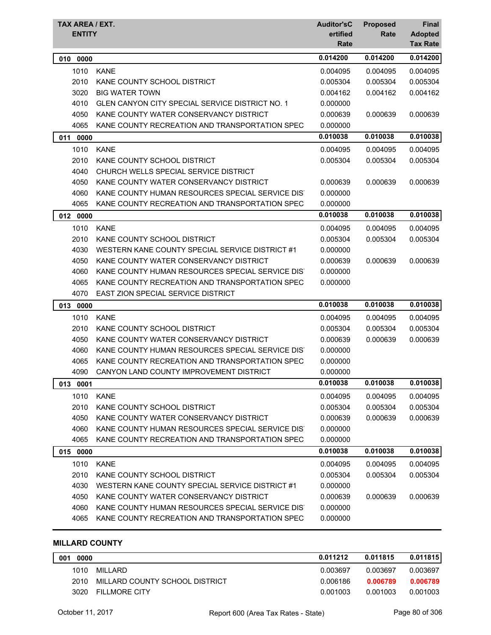| TAX AREA / EXT.<br><b>ENTITY</b> |                                                  | <b>Auditor'sC</b><br>ertified<br>Rate | <b>Proposed</b><br>Rate | Final<br><b>Adopted</b><br><b>Tax Rate</b> |
|----------------------------------|--------------------------------------------------|---------------------------------------|-------------------------|--------------------------------------------|
| 010 0000                         |                                                  | 0.014200                              | 0.014200                | 0.014200                                   |
| 1010                             | <b>KANE</b>                                      | 0.004095                              | 0.004095                | 0.004095                                   |
| 2010                             | KANE COUNTY SCHOOL DISTRICT                      | 0.005304                              | 0.005304                | 0.005304                                   |
| 3020                             | <b>BIG WATER TOWN</b>                            | 0.004162                              | 0.004162                | 0.004162                                   |
| 4010                             | GLEN CANYON CITY SPECIAL SERVICE DISTRICT NO. 1  | 0.000000                              |                         |                                            |
| 4050                             | KANE COUNTY WATER CONSERVANCY DISTRICT           | 0.000639                              | 0.000639                | 0.000639                                   |
| 4065                             | KANE COUNTY RECREATION AND TRANSPORTATION SPEC   | 0.000000                              |                         |                                            |
| 011<br>0000                      |                                                  | 0.010038                              | 0.010038                | 0.010038                                   |
| 1010                             | <b>KANE</b>                                      | 0.004095                              | 0.004095                | 0.004095                                   |
| 2010                             | KANE COUNTY SCHOOL DISTRICT                      | 0.005304                              | 0.005304                | 0.005304                                   |
| 4040                             | CHURCH WELLS SPECIAL SERVICE DISTRICT            |                                       |                         |                                            |
| 4050                             | KANE COUNTY WATER CONSERVANCY DISTRICT           | 0.000639                              | 0.000639                | 0.000639                                   |
| 4060                             | KANE COUNTY HUMAN RESOURCES SPECIAL SERVICE DIST | 0.000000                              |                         |                                            |
| 4065                             | KANE COUNTY RECREATION AND TRANSPORTATION SPEC   | 0.000000                              |                         |                                            |
| 012 0000                         |                                                  | 0.010038                              | 0.010038                | 0.010038                                   |
| 1010                             | <b>KANE</b>                                      | 0.004095                              | 0.004095                | 0.004095                                   |
| 2010                             | KANE COUNTY SCHOOL DISTRICT                      | 0.005304                              | 0.005304                | 0.005304                                   |
| 4030                             | WESTERN KANE COUNTY SPECIAL SERVICE DISTRICT #1  | 0.000000                              |                         |                                            |
| 4050                             | KANE COUNTY WATER CONSERVANCY DISTRICT           | 0.000639                              | 0.000639                | 0.000639                                   |
| 4060                             | KANE COUNTY HUMAN RESOURCES SPECIAL SERVICE DIST | 0.000000                              |                         |                                            |
| 4065                             | KANE COUNTY RECREATION AND TRANSPORTATION SPEC   | 0.000000                              |                         |                                            |
| 4070                             | <b>EAST ZION SPECIAL SERVICE DISTRICT</b>        |                                       |                         |                                            |
| 013 0000                         |                                                  | 0.010038                              | 0.010038                | 0.010038                                   |
| 1010                             | <b>KANE</b>                                      | 0.004095                              | 0.004095                | 0.004095                                   |
| 2010                             | KANE COUNTY SCHOOL DISTRICT                      | 0.005304                              | 0.005304                | 0.005304                                   |
| 4050                             | KANE COUNTY WATER CONSERVANCY DISTRICT           | 0.000639                              | 0.000639                | 0.000639                                   |
| 4060                             | KANE COUNTY HUMAN RESOURCES SPECIAL SERVICE DIST | 0.000000                              |                         |                                            |
| 4065                             | KANE COUNTY RECREATION AND TRANSPORTATION SPEC   | 0.000000                              |                         |                                            |
| 4090                             | CANYON LAND COUNTY IMPROVEMENT DISTRICT          | 0.000000                              |                         |                                            |
| 013 0001                         |                                                  | 0.010038                              | 0.010038                | 0.010038                                   |
| 1010                             | <b>KANE</b>                                      | 0.004095                              | 0.004095                | 0.004095                                   |
| 2010                             | KANE COUNTY SCHOOL DISTRICT                      | 0.005304                              | 0.005304                | 0.005304                                   |
| 4050                             | KANE COUNTY WATER CONSERVANCY DISTRICT           | 0.000639                              | 0.000639                | 0.000639                                   |
| 4060                             | KANE COUNTY HUMAN RESOURCES SPECIAL SERVICE DIST | 0.000000                              |                         |                                            |
| 4065                             | KANE COUNTY RECREATION AND TRANSPORTATION SPEC   | 0.000000                              |                         |                                            |
| 015 0000                         |                                                  | 0.010038                              | 0.010038                | 0.010038                                   |
| 1010                             | <b>KANE</b>                                      | 0.004095                              | 0.004095                | 0.004095                                   |
| 2010                             | KANE COUNTY SCHOOL DISTRICT                      | 0.005304                              | 0.005304                | 0.005304                                   |
| 4030                             | WESTERN KANE COUNTY SPECIAL SERVICE DISTRICT #1  | 0.000000                              |                         |                                            |
| 4050                             | KANE COUNTY WATER CONSERVANCY DISTRICT           | 0.000639                              | 0.000639                | 0.000639                                   |
| 4060                             | KANE COUNTY HUMAN RESOURCES SPECIAL SERVICE DIS  | 0.000000                              |                         |                                            |
| 4065                             | KANE COUNTY RECREATION AND TRANSPORTATION SPEC   | 0.000000                              |                         |                                            |

# **MILLARD COUNTY**

| 001<br>0000 |                                | 0.011212 | 0.011815 | 0.011815 |
|-------------|--------------------------------|----------|----------|----------|
| 1010        | MILLARD                        | 0.003697 | 0.003697 | 0.003697 |
| 2010        | MILLARD COUNTY SCHOOL DISTRICT | 0.006186 | 0.006789 | 0.006789 |
| 3020        | <b>FILLMORE CITY</b>           | 0.001003 | 0.001003 | 0.001003 |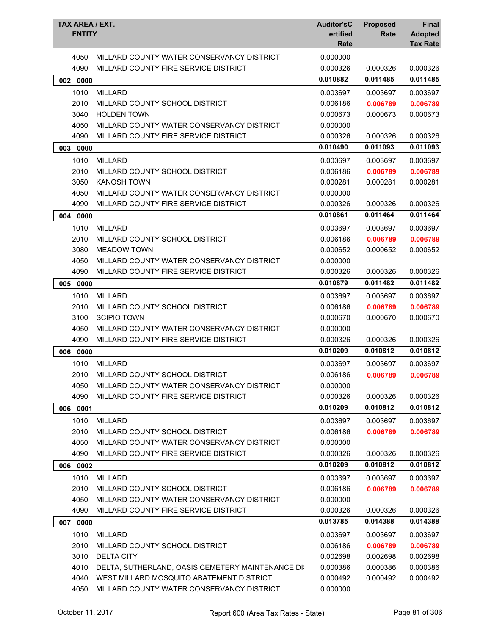| TAX AREA / EXT.<br><b>ENTITY</b> |                                                   | <b>Auditor'sC</b><br>ertified<br>Rate | <b>Proposed</b><br>Rate | <b>Final</b><br><b>Adopted</b><br><b>Tax Rate</b> |
|----------------------------------|---------------------------------------------------|---------------------------------------|-------------------------|---------------------------------------------------|
| 4050                             | MILLARD COUNTY WATER CONSERVANCY DISTRICT         | 0.000000                              |                         |                                                   |
| 4090                             | MILLARD COUNTY FIRE SERVICE DISTRICT              | 0.000326                              | 0.000326                | 0.000326                                          |
| 002 0000                         |                                                   | 0.010882                              | 0.011485                | 0.011485                                          |
| 1010                             | <b>MILLARD</b>                                    | 0.003697                              | 0.003697                | 0.003697                                          |
| 2010                             | MILLARD COUNTY SCHOOL DISTRICT                    | 0.006186                              | 0.006789                | 0.006789                                          |
| 3040                             | <b>HOLDEN TOWN</b>                                | 0.000673                              | 0.000673                | 0.000673                                          |
| 4050                             | MILLARD COUNTY WATER CONSERVANCY DISTRICT         | 0.000000                              |                         |                                                   |
| 4090                             | MILLARD COUNTY FIRE SERVICE DISTRICT              | 0.000326                              | 0.000326                | 0.000326                                          |
| 003 0000                         |                                                   | 0.010490                              | 0.011093                | 0.011093                                          |
| 1010                             | <b>MILLARD</b>                                    | 0.003697                              | 0.003697                | 0.003697                                          |
| 2010                             | MILLARD COUNTY SCHOOL DISTRICT                    | 0.006186                              | 0.006789                | 0.006789                                          |
| 3050                             | <b>KANOSH TOWN</b>                                | 0.000281                              | 0.000281                | 0.000281                                          |
| 4050                             | MILLARD COUNTY WATER CONSERVANCY DISTRICT         | 0.000000                              |                         |                                                   |
| 4090                             | MILLARD COUNTY FIRE SERVICE DISTRICT              | 0.000326                              | 0.000326                | 0.000326                                          |
| 004 0000                         |                                                   | 0.010861                              | 0.011464                | 0.011464                                          |
| 1010                             | <b>MILLARD</b>                                    | 0.003697                              | 0.003697                | 0.003697                                          |
| 2010                             | MILLARD COUNTY SCHOOL DISTRICT                    | 0.006186                              | 0.006789                | 0.006789                                          |
| 3080                             | <b>MEADOW TOWN</b>                                | 0.000652                              | 0.000652                | 0.000652                                          |
| 4050                             | MILLARD COUNTY WATER CONSERVANCY DISTRICT         | 0.000000                              |                         |                                                   |
| 4090                             | MILLARD COUNTY FIRE SERVICE DISTRICT              | 0.000326                              | 0.000326                | 0.000326                                          |
| 0000<br>005                      |                                                   | 0.010879                              | 0.011482                | 0.011482                                          |
| 1010                             | <b>MILLARD</b>                                    | 0.003697                              | 0.003697                | 0.003697                                          |
| 2010                             | MILLARD COUNTY SCHOOL DISTRICT                    | 0.006186                              | 0.006789                | 0.006789                                          |
| 3100                             | <b>SCIPIO TOWN</b>                                | 0.000670                              | 0.000670                | 0.000670                                          |
| 4050                             | MILLARD COUNTY WATER CONSERVANCY DISTRICT         | 0.000000                              |                         |                                                   |
| 4090                             | MILLARD COUNTY FIRE SERVICE DISTRICT              | 0.000326                              | 0.000326                | 0.000326                                          |
| 006 0000                         |                                                   | 0.010209                              | 0.010812                | 0.010812                                          |
| 1010                             | <b>MILLARD</b>                                    | 0.003697                              | 0.003697                | 0.003697                                          |
| 2010                             | MILLARD COUNTY SCHOOL DISTRICT                    | 0.006186                              | 0.006789                | 0.006789                                          |
| 4050                             | MILLARD COUNTY WATER CONSERVANCY DISTRICT         | 0.000000                              |                         |                                                   |
| 4090                             | MILLARD COUNTY FIRE SERVICE DISTRICT              | 0.000326                              | 0.000326                | 0.000326                                          |
| 006 0001                         |                                                   | 0.010209                              | 0.010812                | 0.010812                                          |
| 1010                             | <b>MILLARD</b>                                    | 0.003697                              | 0.003697                | 0.003697                                          |
| 2010                             | MILLARD COUNTY SCHOOL DISTRICT                    | 0.006186                              | 0.006789                | 0.006789                                          |
| 4050                             | MILLARD COUNTY WATER CONSERVANCY DISTRICT         | 0.000000                              |                         |                                                   |
| 4090                             | MILLARD COUNTY FIRE SERVICE DISTRICT              | 0.000326                              | 0.000326                | 0.000326                                          |
| 006 0002                         |                                                   | 0.010209                              | 0.010812                | 0.010812                                          |
| 1010                             | <b>MILLARD</b>                                    | 0.003697                              | 0.003697                | 0.003697                                          |
| 2010                             | MILLARD COUNTY SCHOOL DISTRICT                    | 0.006186                              | 0.006789                | 0.006789                                          |
| 4050                             | MILLARD COUNTY WATER CONSERVANCY DISTRICT         | 0.000000                              |                         |                                                   |
| 4090                             | MILLARD COUNTY FIRE SERVICE DISTRICT              | 0.000326                              | 0.000326                | 0.000326                                          |
| 007 0000                         |                                                   | 0.013785                              | 0.014388                | 0.014388                                          |
| 1010                             | <b>MILLARD</b>                                    | 0.003697                              | 0.003697                | 0.003697                                          |
| 2010                             | MILLARD COUNTY SCHOOL DISTRICT                    | 0.006186                              | 0.006789                | 0.006789                                          |
| 3010                             | <b>DELTA CITY</b>                                 | 0.002698                              | 0.002698                | 0.002698                                          |
| 4010                             | DELTA, SUTHERLAND, OASIS CEMETERY MAINTENANCE DI: | 0.000386                              | 0.000386                | 0.000386                                          |
| 4040                             | WEST MILLARD MOSQUITO ABATEMENT DISTRICT          | 0.000492                              | 0.000492                | 0.000492                                          |
| 4050                             | MILLARD COUNTY WATER CONSERVANCY DISTRICT         | 0.000000                              |                         |                                                   |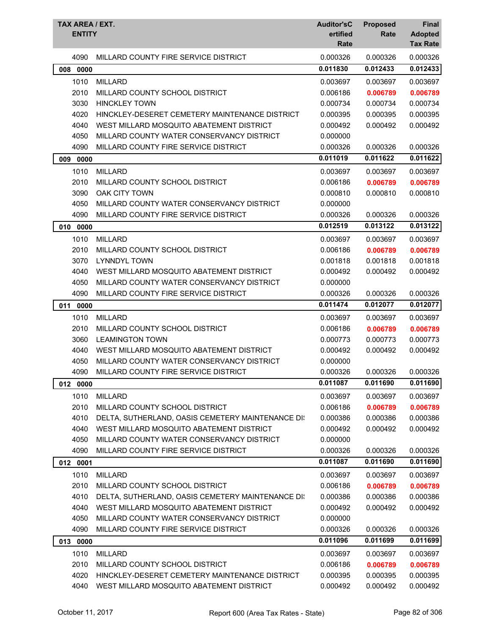| TAX AREA / EXT.<br><b>ENTITY</b> |                                                   | <b>Auditor'sC</b><br>ertified<br>Rate | <b>Proposed</b><br>Rate | Final<br><b>Adopted</b><br><b>Tax Rate</b> |
|----------------------------------|---------------------------------------------------|---------------------------------------|-------------------------|--------------------------------------------|
| 4090                             | MILLARD COUNTY FIRE SERVICE DISTRICT              | 0.000326                              | 0.000326                | 0.000326                                   |
| 0000<br>008                      |                                                   | 0.011830                              | 0.012433                | 0.012433                                   |
| 1010                             | <b>MILLARD</b>                                    | 0.003697                              | 0.003697                | 0.003697                                   |
| 2010                             | MILLARD COUNTY SCHOOL DISTRICT                    | 0.006186                              | 0.006789                | 0.006789                                   |
| 3030                             | <b>HINCKLEY TOWN</b>                              | 0.000734                              | 0.000734                | 0.000734                                   |
| 4020                             | HINCKLEY-DESERET CEMETERY MAINTENANCE DISTRICT    | 0.000395                              | 0.000395                | 0.000395                                   |
| 4040                             | WEST MILLARD MOSQUITO ABATEMENT DISTRICT          | 0.000492                              | 0.000492                | 0.000492                                   |
| 4050                             | MILLARD COUNTY WATER CONSERVANCY DISTRICT         | 0.000000                              |                         |                                            |
| 4090                             | MILLARD COUNTY FIRE SERVICE DISTRICT              | 0.000326                              | 0.000326                | 0.000326                                   |
| 009 0000                         |                                                   | 0.011019                              | 0.011622                | 0.011622                                   |
| 1010                             | <b>MILLARD</b>                                    | 0.003697                              | 0.003697                | 0.003697                                   |
| 2010                             | MILLARD COUNTY SCHOOL DISTRICT                    | 0.006186                              | 0.006789                | 0.006789                                   |
| 3090                             | OAK CITY TOWN                                     | 0.000810                              | 0.000810                | 0.000810                                   |
| 4050                             | MILLARD COUNTY WATER CONSERVANCY DISTRICT         | 0.000000                              |                         |                                            |
| 4090                             | MILLARD COUNTY FIRE SERVICE DISTRICT              | 0.000326                              | 0.000326                | 0.000326                                   |
| 010 0000                         |                                                   | 0.012519                              | 0.013122                | 0.013122                                   |
| 1010                             | <b>MILLARD</b>                                    | 0.003697                              | 0.003697                | 0.003697                                   |
| 2010                             | MILLARD COUNTY SCHOOL DISTRICT                    | 0.006186                              | 0.006789                | 0.006789                                   |
| 3070                             | <b>LYNNDYL TOWN</b>                               | 0.001818                              | 0.001818                | 0.001818                                   |
| 4040                             | WEST MILLARD MOSQUITO ABATEMENT DISTRICT          | 0.000492                              | 0.000492                | 0.000492                                   |
| 4050                             | MILLARD COUNTY WATER CONSERVANCY DISTRICT         | 0.000000                              |                         |                                            |
| 4090                             | MILLARD COUNTY FIRE SERVICE DISTRICT              | 0.000326                              | 0.000326                | 0.000326                                   |
| 011<br>0000                      |                                                   | 0.011474                              | 0.012077                | 0.012077                                   |
| 1010                             | <b>MILLARD</b>                                    | 0.003697                              | 0.003697                | 0.003697                                   |
| 2010                             | MILLARD COUNTY SCHOOL DISTRICT                    | 0.006186                              | 0.006789                | 0.006789                                   |
| 3060                             | <b>LEAMINGTON TOWN</b>                            | 0.000773                              | 0.000773                | 0.000773                                   |
| 4040                             | WEST MILLARD MOSQUITO ABATEMENT DISTRICT          | 0.000492                              | 0.000492                | 0.000492                                   |
| 4050                             | MILLARD COUNTY WATER CONSERVANCY DISTRICT         | 0.000000                              |                         |                                            |
| 4090                             | MILLARD COUNTY FIRE SERVICE DISTRICT              | 0.000326                              | 0.000326                | 0.000326                                   |
| 012 0000                         |                                                   | 0.011087                              | 0.011690                | 0.011690                                   |
| 1010                             | <b>MILLARD</b>                                    | 0.003697                              | 0.003697                | 0.003697                                   |
| 2010                             | MILLARD COUNTY SCHOOL DISTRICT                    | 0.006186                              | 0.006789                | 0.006789                                   |
| 4010                             | DELTA, SUTHERLAND, OASIS CEMETERY MAINTENANCE DI: | 0.000386                              | 0.000386                | 0.000386                                   |
| 4040                             | WEST MILLARD MOSQUITO ABATEMENT DISTRICT          | 0.000492                              | 0.000492                | 0.000492                                   |
| 4050                             | MILLARD COUNTY WATER CONSERVANCY DISTRICT         | 0.000000                              |                         |                                            |
| 4090                             | MILLARD COUNTY FIRE SERVICE DISTRICT              | 0.000326                              | 0.000326                | 0.000326                                   |
| 012 0001                         |                                                   | 0.011087                              | 0.011690                | 0.011690                                   |
| 1010                             | <b>MILLARD</b>                                    | 0.003697                              | 0.003697                | 0.003697                                   |
| 2010                             | MILLARD COUNTY SCHOOL DISTRICT                    | 0.006186                              | 0.006789                | 0.006789                                   |
| 4010                             | DELTA, SUTHERLAND, OASIS CEMETERY MAINTENANCE DI: | 0.000386                              | 0.000386                | 0.000386                                   |
| 4040                             | WEST MILLARD MOSQUITO ABATEMENT DISTRICT          | 0.000492                              | 0.000492                | 0.000492                                   |
| 4050                             | MILLARD COUNTY WATER CONSERVANCY DISTRICT         | 0.000000                              |                         |                                            |
| 4090                             | MILLARD COUNTY FIRE SERVICE DISTRICT              | 0.000326                              | 0.000326                | 0.000326                                   |
| 013 0000                         |                                                   | 0.011096                              | 0.011699                | 0.011699                                   |
| 1010                             | <b>MILLARD</b>                                    | 0.003697                              | 0.003697                | 0.003697                                   |
| 2010                             | MILLARD COUNTY SCHOOL DISTRICT                    | 0.006186                              | 0.006789                | 0.006789                                   |
| 4020                             | HINCKLEY-DESERET CEMETERY MAINTENANCE DISTRICT    | 0.000395                              | 0.000395                | 0.000395                                   |
| 4040                             | WEST MILLARD MOSQUITO ABATEMENT DISTRICT          | 0.000492                              | 0.000492                | 0.000492                                   |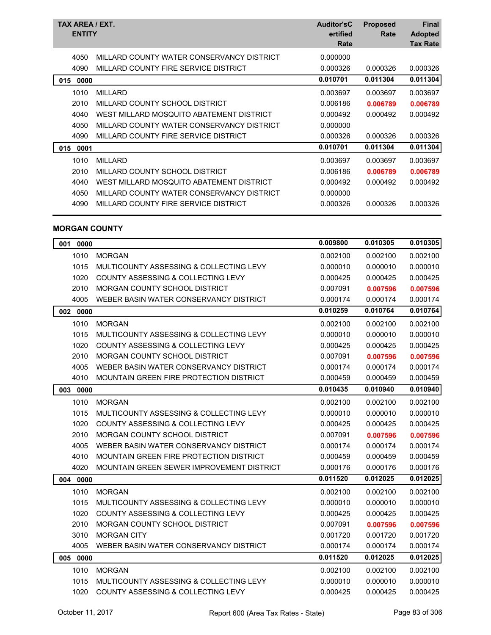| TAX AREA / EXT.<br><b>ENTITY</b> |                                           | <b>Auditor'sC</b><br>ertified<br>Rate | <b>Proposed</b><br>Rate | <b>Final</b><br><b>Adopted</b><br><b>Tax Rate</b> |
|----------------------------------|-------------------------------------------|---------------------------------------|-------------------------|---------------------------------------------------|
| 4050                             | MILLARD COUNTY WATER CONSERVANCY DISTRICT | 0.000000                              |                         |                                                   |
| 4090                             | MILLARD COUNTY FIRE SERVICE DISTRICT      | 0.000326                              | 0.000326                | 0.000326                                          |
| 015<br>0000                      |                                           | 0.010701                              | 0.011304                | 0.011304                                          |
| 1010                             | <b>MILLARD</b>                            | 0.003697                              | 0.003697                | 0.003697                                          |
| 2010                             | MILLARD COUNTY SCHOOL DISTRICT            | 0.006186                              | 0.006789                | 0.006789                                          |
| 4040                             | WEST MILLARD MOSQUITO ABATEMENT DISTRICT  | 0.000492                              | 0.000492                | 0.000492                                          |
| 4050                             | MILLARD COUNTY WATER CONSERVANCY DISTRICT | 0.000000                              |                         |                                                   |
| 4090                             | MILLARD COUNTY FIRE SERVICE DISTRICT      | 0.000326                              | 0.000326                | 0.000326                                          |
| 015<br>0001                      |                                           | 0.010701                              | 0.011304                | 0.011304                                          |
| 1010                             | <b>MILLARD</b>                            | 0.003697                              | 0.003697                | 0.003697                                          |
| 2010                             | MILLARD COUNTY SCHOOL DISTRICT            | 0.006186                              | 0.006789                | 0.006789                                          |
| 4040                             | WEST MILLARD MOSQUITO ABATEMENT DISTRICT  | 0.000492                              | 0.000492                | 0.000492                                          |
| 4050                             | MILLARD COUNTY WATER CONSERVANCY DISTRICT | 0.000000                              |                         |                                                   |
| 4090                             | MILLARD COUNTY FIRE SERVICE DISTRICT      | 0.000326                              | 0.000326                | 0.000326                                          |
|                                  |                                           |                                       |                         |                                                   |

### **MORGAN COUNTY**

| 001 0000    |                                                | 0.009800 | 0.010305 | 0.010305 |
|-------------|------------------------------------------------|----------|----------|----------|
| 1010        | <b>MORGAN</b>                                  | 0.002100 | 0.002100 | 0.002100 |
| 1015        | MULTICOUNTY ASSESSING & COLLECTING LEVY        | 0.000010 | 0.000010 | 0.000010 |
| 1020        | COUNTY ASSESSING & COLLECTING LEVY             | 0.000425 | 0.000425 | 0.000425 |
| 2010        | <b>MORGAN COUNTY SCHOOL DISTRICT</b>           | 0.007091 | 0.007596 | 0.007596 |
| 4005        | WEBER BASIN WATER CONSERVANCY DISTRICT         | 0.000174 | 0.000174 | 0.000174 |
| 002 0000    |                                                | 0.010259 | 0.010764 | 0.010764 |
| 1010        | <b>MORGAN</b>                                  | 0.002100 | 0.002100 | 0.002100 |
| 1015        | MULTICOUNTY ASSESSING & COLLECTING LEVY        | 0.000010 | 0.000010 | 0.000010 |
| 1020        | <b>COUNTY ASSESSING &amp; COLLECTING LEVY</b>  | 0.000425 | 0.000425 | 0.000425 |
| 2010        | <b>MORGAN COUNTY SCHOOL DISTRICT</b>           | 0.007091 | 0.007596 | 0.007596 |
| 4005        | WEBER BASIN WATER CONSERVANCY DISTRICT         | 0.000174 | 0.000174 | 0.000174 |
| 4010        | <b>MOUNTAIN GREEN FIRE PROTECTION DISTRICT</b> | 0.000459 | 0.000459 | 0.000459 |
| 003<br>0000 |                                                | 0.010435 | 0.010940 | 0.010940 |
| 1010        | <b>MORGAN</b>                                  | 0.002100 | 0.002100 | 0.002100 |
| 1015        | MULTICOUNTY ASSESSING & COLLECTING LEVY        | 0.000010 | 0.000010 | 0.000010 |
| 1020        | <b>COUNTY ASSESSING &amp; COLLECTING LEVY</b>  | 0.000425 | 0.000425 | 0.000425 |
| 2010        | MORGAN COUNTY SCHOOL DISTRICT                  | 0.007091 | 0.007596 | 0.007596 |
| 4005        | WEBER BASIN WATER CONSERVANCY DISTRICT         | 0.000174 | 0.000174 | 0.000174 |
| 4010        | MOUNTAIN GREEN FIRE PROTECTION DISTRICT        | 0.000459 | 0.000459 | 0.000459 |
| 4020        | MOUNTAIN GREEN SEWER IMPROVEMENT DISTRICT      | 0.000176 | 0.000176 | 0.000176 |
| 004<br>0000 |                                                | 0.011520 | 0.012025 | 0.012025 |
| 1010        | <b>MORGAN</b>                                  | 0.002100 | 0.002100 | 0.002100 |
| 1015        | MULTICOUNTY ASSESSING & COLLECTING LEVY        | 0.000010 | 0.000010 | 0.000010 |
| 1020        | <b>COUNTY ASSESSING &amp; COLLECTING LEVY</b>  | 0.000425 | 0.000425 | 0.000425 |
| 2010        | MORGAN COUNTY SCHOOL DISTRICT                  | 0.007091 | 0.007596 | 0.007596 |
| 3010        | <b>MORGAN CITY</b>                             | 0.001720 | 0.001720 | 0.001720 |
| 4005        | WEBER BASIN WATER CONSERVANCY DISTRICT         | 0.000174 | 0.000174 | 0.000174 |
| 005 0000    |                                                | 0.011520 | 0.012025 | 0.012025 |
| 1010        | <b>MORGAN</b>                                  | 0.002100 | 0.002100 | 0.002100 |
| 1015        | MULTICOUNTY ASSESSING & COLLECTING LEVY        | 0.000010 | 0.000010 | 0.000010 |
| 1020        | COUNTY ASSESSING & COLLECTING LEVY             | 0.000425 | 0.000425 | 0.000425 |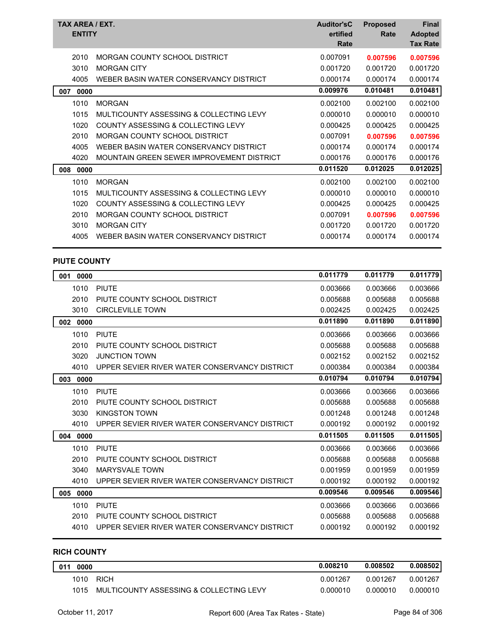|     | <b>ENTITY</b> | TAX AREA / EXT.                               | <b>Auditor'sC</b><br>ertified | <b>Proposed</b><br>Rate | <b>Final</b><br><b>Adopted</b> |
|-----|---------------|-----------------------------------------------|-------------------------------|-------------------------|--------------------------------|
|     |               |                                               | Rate                          |                         | <b>Tax Rate</b>                |
|     | 2010          | MORGAN COUNTY SCHOOL DISTRICT                 | 0.007091                      | 0.007596                | 0.007596                       |
|     | 3010          | <b>MORGAN CITY</b>                            | 0.001720                      | 0.001720                | 0.001720                       |
|     | 4005          | WEBER BASIN WATER CONSERVANCY DISTRICT        | 0.000174                      | 0.000174                | 0.000174                       |
| 007 | 0000          |                                               | 0.009976                      | 0.010481                | 0.010481                       |
|     | 1010          | <b>MORGAN</b>                                 | 0.002100                      | 0.002100                | 0.002100                       |
|     | 1015          | MULTICOUNTY ASSESSING & COLLECTING LEVY       | 0.000010                      | 0.000010                | 0.000010                       |
|     | 1020          | <b>COUNTY ASSESSING &amp; COLLECTING LEVY</b> | 0.000425                      | 0.000425                | 0.000425                       |
|     | 2010          | <b>MORGAN COUNTY SCHOOL DISTRICT</b>          | 0.007091                      | 0.007596                | 0.007596                       |
|     | 4005          | WEBER BASIN WATER CONSERVANCY DISTRICT        | 0.000174                      | 0.000174                | 0.000174                       |
|     | 4020          | MOUNTAIN GREEN SEWER IMPROVEMENT DISTRICT     | 0.000176                      | 0.000176                | 0.000176                       |
| 008 | 0000          |                                               | 0.011520                      | 0.012025                | 0.012025                       |
|     | 1010          | <b>MORGAN</b>                                 | 0.002100                      | 0.002100                | 0.002100                       |
|     | 1015          | MULTICOUNTY ASSESSING & COLLECTING LEVY       | 0.000010                      | 0.000010                | 0.000010                       |
|     | 1020          | <b>COUNTY ASSESSING &amp; COLLECTING LEVY</b> | 0.000425                      | 0.000425                | 0.000425                       |
|     | 2010          | <b>MORGAN COUNTY SCHOOL DISTRICT</b>          | 0.007091                      | 0.007596                | 0.007596                       |
|     | 3010          | <b>MORGAN CITY</b>                            | 0.001720                      | 0.001720                | 0.001720                       |
|     | 4005          | WEBER BASIN WATER CONSERVANCY DISTRICT        | 0.000174                      | 0.000174                | 0.000174                       |
|     |               |                                               |                               |                         |                                |

#### **PIUTE COUNTY**

| 001<br>0000 |                                               | 0.011779 | 0.011779 | 0.011779 |
|-------------|-----------------------------------------------|----------|----------|----------|
| 1010        | <b>PIUTE</b>                                  | 0.003666 | 0.003666 | 0.003666 |
| 2010        | PIUTE COUNTY SCHOOL DISTRICT                  | 0.005688 | 0.005688 | 0.005688 |
| 3010        | <b>CIRCLEVILLE TOWN</b>                       | 0.002425 | 0.002425 | 0.002425 |
| 002<br>0000 |                                               | 0.011890 | 0.011890 | 0.011890 |
| 1010        | <b>PIUTE</b>                                  | 0.003666 | 0.003666 | 0.003666 |
| 2010        | PIUTE COUNTY SCHOOL DISTRICT                  | 0.005688 | 0.005688 | 0.005688 |
| 3020        | <b>JUNCTION TOWN</b>                          | 0.002152 | 0.002152 | 0.002152 |
| 4010        | UPPER SEVIER RIVER WATER CONSERVANCY DISTRICT | 0.000384 | 0.000384 | 0.000384 |
| 003<br>0000 |                                               | 0.010794 | 0.010794 | 0.010794 |
| 1010        | <b>PIUTE</b>                                  | 0.003666 | 0.003666 | 0.003666 |
| 2010        | PIUTE COUNTY SCHOOL DISTRICT                  | 0.005688 | 0.005688 | 0.005688 |
| 3030        | <b>KINGSTON TOWN</b>                          | 0.001248 | 0.001248 | 0.001248 |
| 4010        | UPPER SEVIER RIVER WATER CONSERVANCY DISTRICT | 0.000192 | 0.000192 | 0.000192 |
| 0000<br>004 |                                               | 0.011505 | 0.011505 | 0.011505 |
| 1010        | <b>PIUTE</b>                                  | 0.003666 | 0.003666 | 0.003666 |
| 2010        | PIUTE COUNTY SCHOOL DISTRICT                  | 0.005688 | 0.005688 | 0.005688 |
| 3040        | <b>MARYSVALE TOWN</b>                         | 0.001959 | 0.001959 | 0.001959 |
| 4010        | UPPER SEVIER RIVER WATER CONSERVANCY DISTRICT | 0.000192 | 0.000192 | 0.000192 |
| 0000<br>005 |                                               | 0.009546 | 0.009546 | 0.009546 |
| 1010        | <b>PIUTE</b>                                  | 0.003666 | 0.003666 | 0.003666 |
| 2010        | PIUTE COUNTY SCHOOL DISTRICT                  | 0.005688 | 0.005688 | 0.005688 |
| 4010        | UPPER SEVIER RIVER WATER CONSERVANCY DISTRICT | 0.000192 | 0.000192 | 0.000192 |

# **RICH COUNTY**

| 011<br>0000 |                                         | 0.008210 | 0.008502 | 0.008502 |
|-------------|-----------------------------------------|----------|----------|----------|
| 1010        | <b>RICH</b>                             | 0.001267 | 0.001267 | 0.001267 |
| 1015        | MULTICOUNTY ASSESSING & COLLECTING LEVY | 0.000010 | 0.000010 | 0.000010 |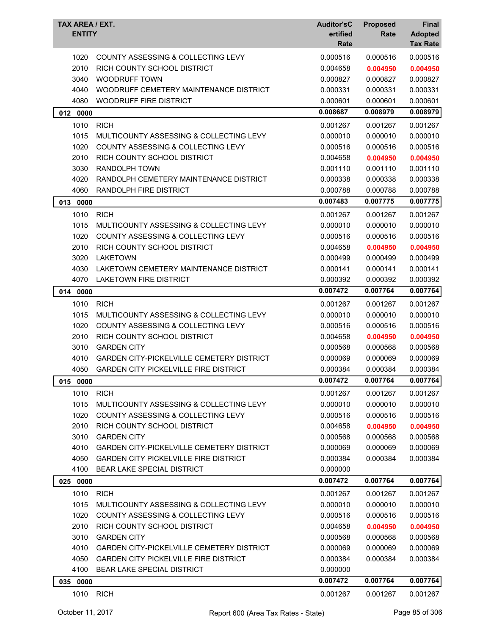| TAX AREA / EXT.<br><b>ENTITY</b> |                                                                                   | <b>Auditor'sC</b><br>ertified<br>Rate | <b>Proposed</b><br>Rate | Final<br><b>Adopted</b><br><b>Tax Rate</b> |
|----------------------------------|-----------------------------------------------------------------------------------|---------------------------------------|-------------------------|--------------------------------------------|
| 1020                             | COUNTY ASSESSING & COLLECTING LEVY                                                | 0.000516                              | 0.000516                | 0.000516                                   |
| 2010                             | RICH COUNTY SCHOOL DISTRICT                                                       | 0.004658                              | 0.004950                | 0.004950                                   |
| 3040                             | <b>WOODRUFF TOWN</b>                                                              | 0.000827                              | 0.000827                | 0.000827                                   |
| 4040                             | WOODRUFF CEMETERY MAINTENANCE DISTRICT                                            | 0.000331                              | 0.000331                | 0.000331                                   |
| 4080                             | <b>WOODRUFF FIRE DISTRICT</b>                                                     | 0.000601                              | 0.000601                | 0.000601                                   |
| 012<br>0000                      |                                                                                   | 0.008687                              | 0.008979                | 0.008979                                   |
| 1010                             | <b>RICH</b>                                                                       | 0.001267                              | 0.001267                | 0.001267                                   |
| 1015                             | MULTICOUNTY ASSESSING & COLLECTING LEVY                                           | 0.000010                              | 0.000010                | 0.000010                                   |
| 1020                             | COUNTY ASSESSING & COLLECTING LEVY                                                | 0.000516                              | 0.000516                | 0.000516                                   |
| 2010                             | RICH COUNTY SCHOOL DISTRICT                                                       | 0.004658                              | 0.004950                | 0.004950                                   |
| 3030                             | <b>RANDOLPH TOWN</b>                                                              | 0.001110                              | 0.001110                | 0.001110                                   |
| 4020                             | RANDOLPH CEMETERY MAINTENANCE DISTRICT                                            | 0.000338                              | 0.000338                | 0.000338                                   |
| 4060                             | <b>RANDOLPH FIRE DISTRICT</b>                                                     | 0.000788                              | 0.000788                | 0.000788                                   |
| 013<br>0000                      |                                                                                   | 0.007483                              | 0.007775                | 0.007775                                   |
| 1010                             | <b>RICH</b>                                                                       | 0.001267                              | 0.001267                | 0.001267                                   |
| 1015                             | MULTICOUNTY ASSESSING & COLLECTING LEVY                                           | 0.000010                              | 0.000010                | 0.000010                                   |
| 1020                             | COUNTY ASSESSING & COLLECTING LEVY                                                | 0.000516                              | 0.000516                | 0.000516                                   |
| 2010                             | RICH COUNTY SCHOOL DISTRICT                                                       | 0.004658                              | 0.004950                | 0.004950                                   |
| 3020                             | <b>LAKETOWN</b>                                                                   | 0.000499                              | 0.000499                | 0.000499                                   |
| 4030                             | LAKETOWN CEMETERY MAINTENANCE DISTRICT                                            | 0.000141                              | 0.000141                | 0.000141                                   |
| 4070                             | <b>LAKETOWN FIRE DISTRICT</b>                                                     | 0.000392                              | 0.000392                | 0.000392                                   |
| 014<br>0000                      |                                                                                   | 0.007472                              | 0.007764                | 0.007764                                   |
|                                  |                                                                                   |                                       |                         |                                            |
| 1010<br>1015                     | <b>RICH</b>                                                                       | 0.001267<br>0.000010                  | 0.001267                | 0.001267                                   |
| 1020                             | MULTICOUNTY ASSESSING & COLLECTING LEVY<br>COUNTY ASSESSING & COLLECTING LEVY     | 0.000516                              | 0.000010<br>0.000516    | 0.000010<br>0.000516                       |
| 2010                             | RICH COUNTY SCHOOL DISTRICT                                                       | 0.004658                              | 0.004950                |                                            |
| 3010                             | <b>GARDEN CITY</b>                                                                | 0.000568                              | 0.000568                | 0.004950<br>0.000568                       |
| 4010                             | <b>GARDEN CITY-PICKELVILLE CEMETERY DISTRICT</b>                                  | 0.000069                              | 0.000069                | 0.000069                                   |
| 4050                             | <b>GARDEN CITY PICKELVILLE FIRE DISTRICT</b>                                      | 0.000384                              | 0.000384                | 0.000384                                   |
|                                  |                                                                                   | 0.007472                              | 0.007764                | 0.007764                                   |
| 015<br>0000                      |                                                                                   |                                       |                         |                                            |
| 1010                             | <b>RICH</b>                                                                       | 0.001267                              | 0.001267                | 0.001267                                   |
| 1015                             | MULTICOUNTY ASSESSING & COLLECTING LEVY                                           | 0.000010                              | 0.000010                | 0.000010                                   |
| 1020                             | COUNTY ASSESSING & COLLECTING LEVY                                                | 0.000516                              | 0.000516                | 0.000516                                   |
| 2010                             | RICH COUNTY SCHOOL DISTRICT                                                       | 0.004658                              | 0.004950                | 0.004950                                   |
| 3010                             | <b>GARDEN CITY</b>                                                                | 0.000568                              | 0.000568                | 0.000568                                   |
| 4010                             | <b>GARDEN CITY-PICKELVILLE CEMETERY DISTRICT</b>                                  | 0.000069                              | 0.000069                | 0.000069                                   |
| 4050                             | <b>GARDEN CITY PICKELVILLE FIRE DISTRICT</b><br><b>BEAR LAKE SPECIAL DISTRICT</b> | 0.000384                              | 0.000384                | 0.000384                                   |
| 4100                             |                                                                                   | 0.000000                              |                         |                                            |
| 025 0000                         |                                                                                   | 0.007472                              | 0.007764                | 0.007764                                   |
| 1010                             | <b>RICH</b>                                                                       | 0.001267                              | 0.001267                | 0.001267                                   |
| 1015                             | MULTICOUNTY ASSESSING & COLLECTING LEVY                                           | 0.000010                              | 0.000010                | 0.000010                                   |
| 1020                             | COUNTY ASSESSING & COLLECTING LEVY                                                | 0.000516                              | 0.000516                | 0.000516                                   |
| 2010                             | RICH COUNTY SCHOOL DISTRICT                                                       | 0.004658                              | 0.004950                | 0.004950                                   |
| 3010                             | <b>GARDEN CITY</b>                                                                | 0.000568                              | 0.000568                | 0.000568                                   |
| 4010                             | <b>GARDEN CITY-PICKELVILLE CEMETERY DISTRICT</b>                                  | 0.000069                              | 0.000069                | 0.000069                                   |
| 4050                             | <b>GARDEN CITY PICKELVILLE FIRE DISTRICT</b>                                      | 0.000384                              | 0.000384                | 0.000384                                   |
| 4100                             | <b>BEAR LAKE SPECIAL DISTRICT</b>                                                 | 0.000000                              |                         |                                            |
| 0000<br>035                      |                                                                                   | 0.007472                              | 0.007764                | 0.007764                                   |
| 1010                             | <b>RICH</b>                                                                       | 0.001267                              | 0.001267                | 0.001267                                   |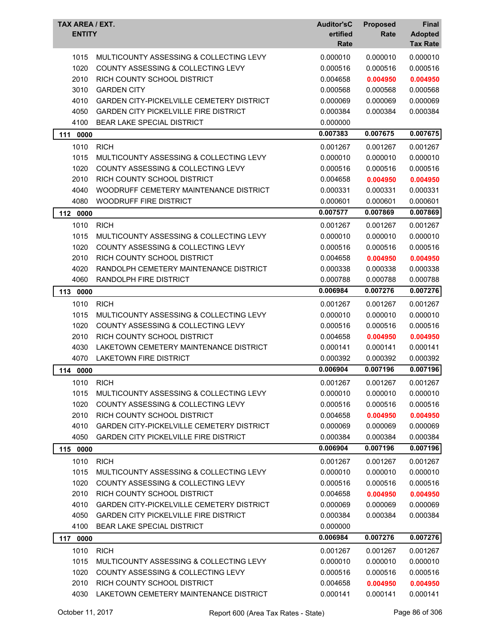| TAX AREA / EXT.<br><b>ENTITY</b> |                                                  | <b>Auditor'sC</b><br>ertified<br>Rate | <b>Proposed</b><br>Rate | <b>Final</b><br><b>Adopted</b><br><b>Tax Rate</b> |
|----------------------------------|--------------------------------------------------|---------------------------------------|-------------------------|---------------------------------------------------|
| 1015                             | MULTICOUNTY ASSESSING & COLLECTING LEVY          | 0.000010                              | 0.000010                | 0.000010                                          |
| 1020                             | COUNTY ASSESSING & COLLECTING LEVY               | 0.000516                              | 0.000516                | 0.000516                                          |
| 2010                             | RICH COUNTY SCHOOL DISTRICT                      | 0.004658                              | 0.004950                | 0.004950                                          |
| 3010                             | <b>GARDEN CITY</b>                               | 0.000568                              | 0.000568                | 0.000568                                          |
| 4010                             | <b>GARDEN CITY-PICKELVILLE CEMETERY DISTRICT</b> | 0.000069                              | 0.000069                | 0.000069                                          |
| 4050                             | <b>GARDEN CITY PICKELVILLE FIRE DISTRICT</b>     | 0.000384                              | 0.000384                | 0.000384                                          |
| 4100                             | <b>BEAR LAKE SPECIAL DISTRICT</b>                | 0.000000                              |                         |                                                   |
| 111<br>0000                      |                                                  | 0.007383                              | 0.007675                | 0.007675                                          |
| 1010                             | <b>RICH</b>                                      | 0.001267                              | 0.001267                | 0.001267                                          |
| 1015                             | MULTICOUNTY ASSESSING & COLLECTING LEVY          | 0.000010                              | 0.000010                | 0.000010                                          |
| 1020                             | COUNTY ASSESSING & COLLECTING LEVY               | 0.000516                              | 0.000516                | 0.000516                                          |
| 2010                             | RICH COUNTY SCHOOL DISTRICT                      | 0.004658                              | 0.004950                | 0.004950                                          |
| 4040                             | WOODRUFF CEMETERY MAINTENANCE DISTRICT           | 0.000331                              | 0.000331                | 0.000331                                          |
| 4080                             | WOODRUFF FIRE DISTRICT                           | 0.000601                              | 0.000601                | 0.000601                                          |
| 112<br>0000                      |                                                  | 0.007577                              | 0.007869                | 0.007869                                          |
| 1010                             | <b>RICH</b>                                      | 0.001267                              | 0.001267                | 0.001267                                          |
| 1015                             | MULTICOUNTY ASSESSING & COLLECTING LEVY          | 0.000010                              | 0.000010                | 0.000010                                          |
| 1020                             | <b>COUNTY ASSESSING &amp; COLLECTING LEVY</b>    | 0.000516                              | 0.000516                | 0.000516                                          |
| 2010                             | RICH COUNTY SCHOOL DISTRICT                      | 0.004658                              | 0.004950                | 0.004950                                          |
| 4020                             | RANDOLPH CEMETERY MAINTENANCE DISTRICT           | 0.000338                              | 0.000338                | 0.000338                                          |
| 4060                             | RANDOLPH FIRE DISTRICT                           | 0.000788                              | 0.000788                | 0.000788                                          |
| 0000<br>113                      |                                                  | 0.006984                              | 0.007276                | 0.007276                                          |
| 1010                             | <b>RICH</b>                                      | 0.001267                              | 0.001267                | 0.001267                                          |
| 1015                             | MULTICOUNTY ASSESSING & COLLECTING LEVY          | 0.000010                              | 0.000010                | 0.000010                                          |
| 1020                             | COUNTY ASSESSING & COLLECTING LEVY               | 0.000516                              | 0.000516                | 0.000516                                          |
| 2010                             | RICH COUNTY SCHOOL DISTRICT                      | 0.004658                              | 0.004950                | 0.004950                                          |
| 4030                             | LAKETOWN CEMETERY MAINTENANCE DISTRICT           | 0.000141                              | 0.000141                | 0.000141                                          |
| 4070                             | <b>LAKETOWN FIRE DISTRICT</b>                    | 0.000392                              | 0.000392                | 0.000392                                          |
| 114 0000                         |                                                  | 0.006904                              | 0.007196                | 0.007196                                          |
| 1010                             | <b>RICH</b>                                      | 0.001267                              | 0.001267                | 0.001267                                          |
| 1015                             | MULTICOUNTY ASSESSING & COLLECTING LEVY          | 0.000010                              | 0.000010                | 0.000010                                          |
| 1020                             | COUNTY ASSESSING & COLLECTING LEVY               | 0.000516                              | 0.000516                | 0.000516                                          |
| 2010                             | RICH COUNTY SCHOOL DISTRICT                      | 0.004658                              | 0.004950                | 0.004950                                          |
| 4010                             | GARDEN CITY-PICKELVILLE CEMETERY DISTRICT        | 0.000069                              | 0.000069                | 0.000069                                          |
| 4050                             | <b>GARDEN CITY PICKELVILLE FIRE DISTRICT</b>     | 0.000384                              | 0.000384                | 0.000384                                          |
| 115 0000                         |                                                  | 0.006904                              | 0.007196                | 0.007196                                          |
| 1010                             | <b>RICH</b>                                      | 0.001267                              | 0.001267                | 0.001267                                          |
| 1015                             | MULTICOUNTY ASSESSING & COLLECTING LEVY          | 0.000010                              | 0.000010                | 0.000010                                          |
| 1020                             | <b>COUNTY ASSESSING &amp; COLLECTING LEVY</b>    | 0.000516                              | 0.000516                | 0.000516                                          |
| 2010                             | RICH COUNTY SCHOOL DISTRICT                      | 0.004658                              | 0.004950                | 0.004950                                          |
| 4010                             | GARDEN CITY-PICKELVILLE CEMETERY DISTRICT        | 0.000069                              | 0.000069                | 0.000069                                          |
| 4050                             | <b>GARDEN CITY PICKELVILLE FIRE DISTRICT</b>     | 0.000384                              | 0.000384                | 0.000384                                          |
| 4100                             | <b>BEAR LAKE SPECIAL DISTRICT</b>                | 0.000000                              |                         |                                                   |
| 117 0000                         |                                                  | 0.006984                              | 0.007276                | 0.007276                                          |
| 1010                             | <b>RICH</b>                                      | 0.001267                              | 0.001267                | 0.001267                                          |
| 1015                             | MULTICOUNTY ASSESSING & COLLECTING LEVY          | 0.000010                              | 0.000010                | 0.000010                                          |
| 1020                             | COUNTY ASSESSING & COLLECTING LEVY               | 0.000516                              | 0.000516                | 0.000516                                          |
| 2010                             | RICH COUNTY SCHOOL DISTRICT                      | 0.004658                              | 0.004950                | 0.004950                                          |
| 4030                             | LAKETOWN CEMETERY MAINTENANCE DISTRICT           | 0.000141                              | 0.000141                | 0.000141                                          |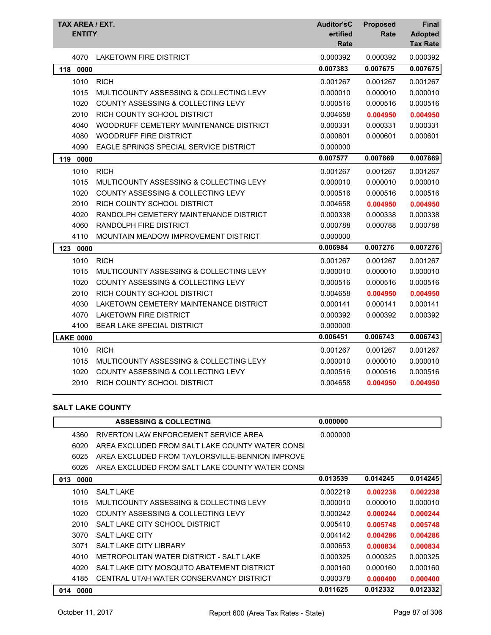| TAX AREA / EXT.<br><b>ENTITY</b> |                                               | <b>Auditor'sC</b><br>ertified<br>Rate | <b>Proposed</b><br>Rate | <b>Final</b><br><b>Adopted</b><br><b>Tax Rate</b> |
|----------------------------------|-----------------------------------------------|---------------------------------------|-------------------------|---------------------------------------------------|
| 4070                             | <b>LAKETOWN FIRE DISTRICT</b>                 | 0.000392                              | 0.000392                | 0.000392                                          |
| 118<br>0000                      |                                               | 0.007383                              | 0.007675                | 0.007675                                          |
| 1010                             | <b>RICH</b>                                   | 0.001267                              | 0.001267                | 0.001267                                          |
| 1015                             | MULTICOUNTY ASSESSING & COLLECTING LEVY       | 0.000010                              | 0.000010                | 0.000010                                          |
| 1020                             | <b>COUNTY ASSESSING &amp; COLLECTING LEVY</b> | 0.000516                              | 0.000516                | 0.000516                                          |
| 2010                             | RICH COUNTY SCHOOL DISTRICT                   | 0.004658                              | 0.004950                | 0.004950                                          |
| 4040                             | WOODRUFF CEMETERY MAINTENANCE DISTRICT        | 0.000331                              | 0.000331                | 0.000331                                          |
| 4080                             | WOODRUFF FIRE DISTRICT                        | 0.000601                              | 0.000601                | 0.000601                                          |
| 4090                             | EAGLE SPRINGS SPECIAL SERVICE DISTRICT        | 0.000000                              |                         |                                                   |
| 119<br>0000                      |                                               | 0.007577                              | 0.007869                | 0.007869                                          |
| 1010                             | <b>RICH</b>                                   | 0.001267                              | 0.001267                | 0.001267                                          |
| 1015                             | MULTICOUNTY ASSESSING & COLLECTING LEVY       | 0.000010                              | 0.000010                | 0.000010                                          |
| 1020                             | COUNTY ASSESSING & COLLECTING LEVY            | 0.000516                              | 0.000516                | 0.000516                                          |
| 2010                             | RICH COUNTY SCHOOL DISTRICT                   | 0.004658                              | 0.004950                | 0.004950                                          |
| 4020                             | RANDOLPH CEMETERY MAINTENANCE DISTRICT        | 0.000338                              | 0.000338                | 0.000338                                          |
| 4060                             | RANDOLPH FIRE DISTRICT                        | 0.000788                              | 0.000788                | 0.000788                                          |
| 4110                             | MOUNTAIN MEADOW IMPROVEMENT DISTRICT          | 0.000000                              |                         |                                                   |
| 123<br>0000                      |                                               | 0.006984                              | 0.007276                | 0.007276                                          |
| 1010                             | <b>RICH</b>                                   | 0.001267                              | 0.001267                | 0.001267                                          |
| 1015                             | MULTICOUNTY ASSESSING & COLLECTING LEVY       | 0.000010                              | 0.000010                | 0.000010                                          |
| 1020                             | COUNTY ASSESSING & COLLECTING LEVY            | 0.000516                              | 0.000516                | 0.000516                                          |
| 2010                             | RICH COUNTY SCHOOL DISTRICT                   | 0.004658                              | 0.004950                | 0.004950                                          |
| 4030                             | LAKETOWN CEMETERY MAINTENANCE DISTRICT        | 0.000141                              | 0.000141                | 0.000141                                          |
| 4070                             | <b>LAKETOWN FIRE DISTRICT</b>                 | 0.000392                              | 0.000392                | 0.000392                                          |
| 4100                             | <b>BEAR LAKE SPECIAL DISTRICT</b>             | 0.000000                              |                         |                                                   |
| <b>LAKE 0000</b>                 |                                               | 0.006451                              | 0.006743                | 0.006743                                          |
| 1010                             | <b>RICH</b>                                   | 0.001267                              | 0.001267                | 0.001267                                          |
| 1015                             | MULTICOUNTY ASSESSING & COLLECTING LEVY       | 0.000010                              | 0.000010                | 0.000010                                          |
| 1020                             | <b>COUNTY ASSESSING &amp; COLLECTING LEVY</b> | 0.000516                              | 0.000516                | 0.000516                                          |
| 2010                             | RICH COUNTY SCHOOL DISTRICT                   | 0.004658                              | 0.004950                | 0.004950                                          |
|                                  |                                               |                                       |                         |                                                   |

## **SALT LAKE COUNTY**

|             | <b>ASSESSING &amp; COLLECTING</b>               | 0.000000 |          |          |
|-------------|-------------------------------------------------|----------|----------|----------|
| 4360        | RIVERTON LAW ENFORCEMENT SERVICE AREA           | 0.000000 |          |          |
| 6020        | AREA EXCLUDED FROM SALT LAKE COUNTY WATER CONSI |          |          |          |
| 6025        | AREA EXCLUDED FROM TAYLORSVILLE-BENNION IMPROVE |          |          |          |
| 6026        | AREA EXCLUDED FROM SALT LAKE COUNTY WATER CONSI |          |          |          |
| 013<br>0000 |                                                 | 0.013539 | 0.014245 | 0.014245 |
| 1010        | <b>SALT LAKE</b>                                | 0.002219 | 0.002238 | 0.002238 |
| 1015        | MULTICOUNTY ASSESSING & COLLECTING LEVY         | 0.000010 | 0.000010 | 0.000010 |
| 1020        | COUNTY ASSESSING & COLLECTING LEVY              | 0.000242 | 0.000244 | 0.000244 |
| 2010        | SALT LAKE CITY SCHOOL DISTRICT                  | 0.005410 | 0.005748 | 0.005748 |
| 3070        | SALT LAKE CITY                                  | 0.004142 | 0.004286 | 0.004286 |
| 3071        | SALT LAKE CITY LIBRARY                          | 0.000653 | 0.000834 | 0.000834 |
| 4010        | METROPOLITAN WATER DISTRICT - SALT LAKE         | 0.000325 | 0.000325 | 0.000325 |
| 4020        | SALT LAKE CITY MOSQUITO ABATEMENT DISTRICT      | 0.000160 | 0.000160 | 0.000160 |
| 4185        | CENTRAL UTAH WATER CONSERVANCY DISTRICT         | 0.000378 | 0.000400 | 0.000400 |
| 0000<br>014 |                                                 | 0.011625 | 0.012332 | 0.012332 |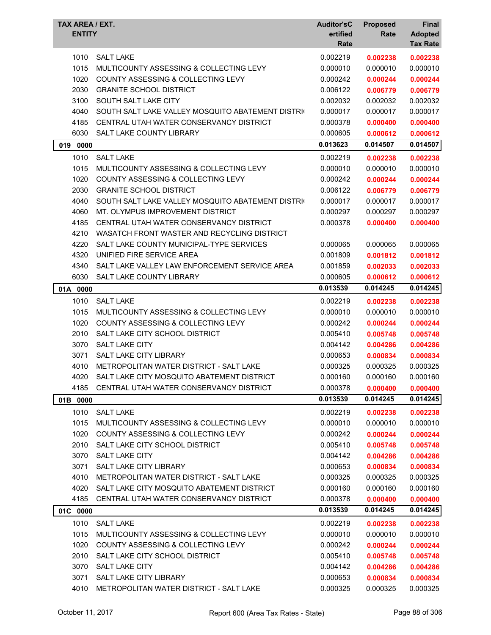| TAX AREA / EXT.<br><b>ENTITY</b> |                                                   | <b>Auditor'sC</b><br>ertified<br>Rate | <b>Proposed</b><br>Rate | <b>Final</b><br><b>Adopted</b><br><b>Tax Rate</b> |
|----------------------------------|---------------------------------------------------|---------------------------------------|-------------------------|---------------------------------------------------|
| 1010                             | <b>SALT LAKE</b>                                  | 0.002219                              | 0.002238                | 0.002238                                          |
| 1015                             | MULTICOUNTY ASSESSING & COLLECTING LEVY           | 0.000010                              | 0.000010                | 0.000010                                          |
| 1020                             | <b>COUNTY ASSESSING &amp; COLLECTING LEVY</b>     | 0.000242                              | 0.000244                | 0.000244                                          |
| 2030                             | <b>GRANITE SCHOOL DISTRICT</b>                    | 0.006122                              | 0.006779                | 0.006779                                          |
| 3100                             | SOUTH SALT LAKE CITY                              | 0.002032                              | 0.002032                | 0.002032                                          |
| 4040                             | SOUTH SALT LAKE VALLEY MOSQUITO ABATEMENT DISTRIC | 0.000017                              | 0.000017                | 0.000017                                          |
| 4185                             | CENTRAL UTAH WATER CONSERVANCY DISTRICT           | 0.000378                              | 0.000400                | 0.000400                                          |
| 6030                             | <b>SALT LAKE COUNTY LIBRARY</b>                   | 0.000605                              | 0.000612                | 0.000612                                          |
| 019<br>0000                      |                                                   | 0.013623                              | 0.014507                | 0.014507                                          |
| 1010                             | <b>SALT LAKE</b>                                  | 0.002219                              | 0.002238                | 0.002238                                          |
| 1015                             | MULTICOUNTY ASSESSING & COLLECTING LEVY           | 0.000010                              | 0.000010                | 0.000010                                          |
| 1020                             | <b>COUNTY ASSESSING &amp; COLLECTING LEVY</b>     | 0.000242                              | 0.000244                | 0.000244                                          |
| 2030                             | <b>GRANITE SCHOOL DISTRICT</b>                    | 0.006122                              | 0.006779                | 0.006779                                          |
| 4040                             | SOUTH SALT LAKE VALLEY MOSQUITO ABATEMENT DISTRIC | 0.000017                              | 0.000017                | 0.000017                                          |
| 4060                             | MT. OLYMPUS IMPROVEMENT DISTRICT                  | 0.000297                              | 0.000297                | 0.000297                                          |
| 4185                             | CENTRAL UTAH WATER CONSERVANCY DISTRICT           | 0.000378                              | 0.000400                | 0.000400                                          |
| 4210                             | WASATCH FRONT WASTER AND RECYCLING DISTRICT       |                                       |                         |                                                   |
| 4220                             | SALT LAKE COUNTY MUNICIPAL-TYPE SERVICES          | 0.000065                              | 0.000065                | 0.000065                                          |
| 4320                             | UNIFIED FIRE SERVICE AREA                         | 0.001809                              | 0.001812                | 0.001812                                          |
| 4340                             | SALT LAKE VALLEY LAW ENFORCEMENT SERVICE AREA     | 0.001859                              | 0.002033                | 0.002033                                          |
| 6030                             | SALT LAKE COUNTY LIBRARY                          | 0.000605                              | 0.000612                | 0.000612                                          |
| 01A 0000                         |                                                   | 0.013539                              | 0.014245                | 0.014245                                          |
| 1010                             | <b>SALT LAKE</b>                                  | 0.002219                              | 0.002238                | 0.002238                                          |
| 1015                             | MULTICOUNTY ASSESSING & COLLECTING LEVY           | 0.000010                              | 0.000010                | 0.000010                                          |
| 1020                             | <b>COUNTY ASSESSING &amp; COLLECTING LEVY</b>     | 0.000242                              | 0.000244                | 0.000244                                          |
| 2010                             | SALT LAKE CITY SCHOOL DISTRICT                    | 0.005410                              | 0.005748                | 0.005748                                          |
| 3070                             | <b>SALT LAKE CITY</b>                             | 0.004142                              | 0.004286                | 0.004286                                          |
| 3071                             | SALT LAKE CITY LIBRARY                            | 0.000653                              | 0.000834                | 0.000834                                          |
| 4010                             | METROPOLITAN WATER DISTRICT - SALT LAKE           | 0.000325                              | 0.000325                | 0.000325                                          |
| 4020                             | SALT LAKE CITY MOSQUITO ABATEMENT DISTRICT        | 0.000160                              | 0.000160                | 0.000160                                          |
| 4185                             | CENTRAL UTAH WATER CONSERVANCY DISTRICT           | 0.000378                              | 0.000400                | 0.000400                                          |
| 01B 0000                         |                                                   | 0.013539                              | 0.014245                | 0.014245                                          |
| 1010                             | <b>SALT LAKE</b>                                  | 0.002219                              | 0.002238                | 0.002238                                          |
| 1015                             | MULTICOUNTY ASSESSING & COLLECTING LEVY           | 0.000010                              | 0.000010                | 0.000010                                          |
| 1020                             | COUNTY ASSESSING & COLLECTING LEVY                | 0.000242                              | 0.000244                | 0.000244                                          |
| 2010                             | SALT LAKE CITY SCHOOL DISTRICT                    | 0.005410                              | 0.005748                | 0.005748                                          |
| 3070                             | SALT LAKE CITY                                    | 0.004142                              | 0.004286                | 0.004286                                          |
| 3071                             | SALT LAKE CITY LIBRARY                            | 0.000653                              | 0.000834                | 0.000834                                          |
| 4010                             | METROPOLITAN WATER DISTRICT - SALT LAKE           | 0.000325                              | 0.000325                | 0.000325                                          |
| 4020                             | SALT LAKE CITY MOSQUITO ABATEMENT DISTRICT        | 0.000160                              | 0.000160                | 0.000160                                          |
| 4185                             | CENTRAL UTAH WATER CONSERVANCY DISTRICT           | 0.000378                              | 0.000400                | 0.000400                                          |
| 01C 0000                         |                                                   | 0.013539                              | 0.014245                | 0.014245                                          |
| 1010                             | <b>SALT LAKE</b>                                  | 0.002219                              | 0.002238                | 0.002238                                          |
| 1015                             | MULTICOUNTY ASSESSING & COLLECTING LEVY           | 0.000010                              | 0.000010                | 0.000010                                          |
| 1020                             | COUNTY ASSESSING & COLLECTING LEVY                | 0.000242                              | 0.000244                | 0.000244                                          |
| 2010                             | SALT LAKE CITY SCHOOL DISTRICT                    | 0.005410                              | 0.005748                | 0.005748                                          |
| 3070                             | SALT LAKE CITY                                    | 0.004142                              | 0.004286                | 0.004286                                          |
| 3071                             | <b>SALT LAKE CITY LIBRARY</b>                     | 0.000653                              | 0.000834                | 0.000834                                          |
| 4010                             | METROPOLITAN WATER DISTRICT - SALT LAKE           | 0.000325                              | 0.000325                | 0.000325                                          |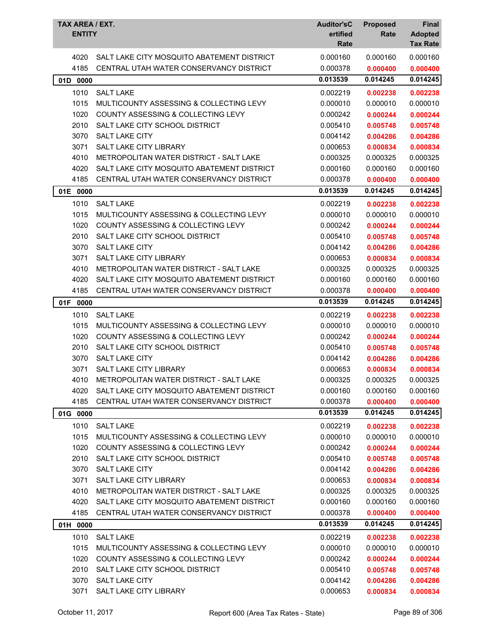| TAX AREA / EXT.<br><b>ENTITY</b> |                                               | <b>Auditor'sC</b><br>ertified<br>Rate | <b>Proposed</b><br>Rate | <b>Final</b><br><b>Adopted</b><br><b>Tax Rate</b> |
|----------------------------------|-----------------------------------------------|---------------------------------------|-------------------------|---------------------------------------------------|
| 4020                             | SALT LAKE CITY MOSQUITO ABATEMENT DISTRICT    | 0.000160                              | 0.000160                | 0.000160                                          |
| 4185                             | CENTRAL UTAH WATER CONSERVANCY DISTRICT       | 0.000378                              | 0.000400                | 0.000400                                          |
| 01D<br>0000                      |                                               | 0.013539                              | 0.014245                | 0.014245                                          |
| 1010                             | <b>SALT LAKE</b>                              | 0.002219                              | 0.002238                | 0.002238                                          |
| 1015                             | MULTICOUNTY ASSESSING & COLLECTING LEVY       | 0.000010                              | 0.000010                | 0.000010                                          |
| 1020                             | <b>COUNTY ASSESSING &amp; COLLECTING LEVY</b> | 0.000242                              | 0.000244                | 0.000244                                          |
| 2010                             | SALT LAKE CITY SCHOOL DISTRICT                | 0.005410                              | 0.005748                | 0.005748                                          |
| 3070                             | <b>SALT LAKE CITY</b>                         | 0.004142                              | 0.004286                | 0.004286                                          |
| 3071                             | SALT LAKE CITY LIBRARY                        | 0.000653                              | 0.000834                | 0.000834                                          |
| 4010                             | METROPOLITAN WATER DISTRICT - SALT LAKE       | 0.000325                              | 0.000325                | 0.000325                                          |
| 4020                             | SALT LAKE CITY MOSQUITO ABATEMENT DISTRICT    | 0.000160                              | 0.000160                | 0.000160                                          |
| 4185                             | CENTRAL UTAH WATER CONSERVANCY DISTRICT       | 0.000378                              | 0.000400                | 0.000400                                          |
| 01E 0000                         |                                               | 0.013539                              | 0.014245                | 0.014245                                          |
| 1010                             | <b>SALT LAKE</b>                              | 0.002219                              | 0.002238                | 0.002238                                          |
| 1015                             | MULTICOUNTY ASSESSING & COLLECTING LEVY       | 0.000010                              | 0.000010                | 0.000010                                          |
| 1020                             | COUNTY ASSESSING & COLLECTING LEVY            | 0.000242                              | 0.000244                | 0.000244                                          |
| 2010                             | SALT LAKE CITY SCHOOL DISTRICT                | 0.005410                              | 0.005748                | 0.005748                                          |
| 3070                             | <b>SALT LAKE CITY</b>                         | 0.004142                              | 0.004286                | 0.004286                                          |
| 3071                             | <b>SALT LAKE CITY LIBRARY</b>                 | 0.000653                              | 0.000834                | 0.000834                                          |
| 4010                             | METROPOLITAN WATER DISTRICT - SALT LAKE       | 0.000325                              | 0.000325                | 0.000325                                          |
| 4020                             | SALT LAKE CITY MOSQUITO ABATEMENT DISTRICT    | 0.000160                              | 0.000160                | 0.000160                                          |
| 4185                             | CENTRAL UTAH WATER CONSERVANCY DISTRICT       | 0.000378                              | 0.000400                | 0.000400                                          |
| 01F<br>0000                      |                                               | 0.013539                              | 0.014245                | 0.014245                                          |
| 1010                             | <b>SALT LAKE</b>                              | 0.002219                              | 0.002238                | 0.002238                                          |
| 1015                             | MULTICOUNTY ASSESSING & COLLECTING LEVY       | 0.000010                              | 0.000010                | 0.000010                                          |
| 1020                             | COUNTY ASSESSING & COLLECTING LEVY            | 0.000242                              | 0.000244                | 0.000244                                          |
| 2010                             | SALT LAKE CITY SCHOOL DISTRICT                | 0.005410                              | 0.005748                | 0.005748                                          |
| 3070                             | <b>SALT LAKE CITY</b>                         | 0.004142                              | 0.004286                | 0.004286                                          |
| 3071                             | SALT LAKE CITY LIBRARY                        | 0.000653                              | 0.000834                | 0.000834                                          |
| 4010                             | METROPOLITAN WATER DISTRICT - SALT LAKE       | 0.000325                              | 0.000325                | 0.000325                                          |
| 4020                             | SALT LAKE CITY MOSQUITO ABATEMENT DISTRICT    | 0.000160                              | 0.000160                | 0.000160                                          |
| 4185                             | CENTRAL UTAH WATER CONSERVANCY DISTRICT       | 0.000378                              | 0.000400                | 0.000400                                          |
| 01G 0000                         |                                               | 0.013539                              | 0.014245                | 0.014245                                          |
| 1010                             | <b>SALT LAKE</b>                              | 0.002219                              | 0.002238                | 0.002238                                          |
| 1015                             | MULTICOUNTY ASSESSING & COLLECTING LEVY       | 0.000010                              | 0.000010                | 0.000010                                          |
| 1020                             | COUNTY ASSESSING & COLLECTING LEVY            | 0.000242                              | 0.000244                | 0.000244                                          |
| 2010                             | SALT LAKE CITY SCHOOL DISTRICT                | 0.005410                              | 0.005748                | 0.005748                                          |
| 3070                             | SALT LAKE CITY                                | 0.004142                              | 0.004286                | 0.004286                                          |
| 3071                             | SALT LAKE CITY LIBRARY                        | 0.000653                              | 0.000834                | 0.000834                                          |
| 4010                             | METROPOLITAN WATER DISTRICT - SALT LAKE       | 0.000325                              | 0.000325                | 0.000325                                          |
| 4020                             | SALT LAKE CITY MOSQUITO ABATEMENT DISTRICT    | 0.000160                              | 0.000160                | 0.000160                                          |
| 4185                             | CENTRAL UTAH WATER CONSERVANCY DISTRICT       | 0.000378                              | 0.000400                | 0.000400                                          |
| 01H 0000                         |                                               | 0.013539                              | 0.014245                | 0.014245                                          |
| 1010                             | <b>SALT LAKE</b>                              | 0.002219                              | 0.002238                | 0.002238                                          |
| 1015                             | MULTICOUNTY ASSESSING & COLLECTING LEVY       | 0.000010                              | 0.000010                | 0.000010                                          |
| 1020                             | <b>COUNTY ASSESSING &amp; COLLECTING LEVY</b> | 0.000242                              | 0.000244                | 0.000244                                          |
| 2010                             | SALT LAKE CITY SCHOOL DISTRICT                | 0.005410                              | 0.005748                | 0.005748                                          |
| 3070                             | <b>SALT LAKE CITY</b>                         | 0.004142                              | 0.004286                | 0.004286                                          |
| 3071                             | SALT LAKE CITY LIBRARY                        | 0.000653                              | 0.000834                | 0.000834                                          |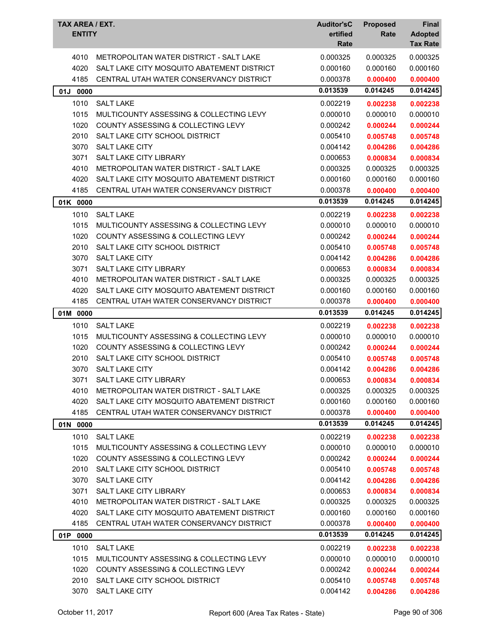| <b>TAX AREA / EXT.</b><br><b>ENTITY</b> |                                                | <b>Auditor'sC</b><br>ertified<br>Rate | <b>Proposed</b><br>Rate | <b>Final</b><br><b>Adopted</b><br><b>Tax Rate</b> |
|-----------------------------------------|------------------------------------------------|---------------------------------------|-------------------------|---------------------------------------------------|
| 4010                                    | METROPOLITAN WATER DISTRICT - SALT LAKE        | 0.000325                              | 0.000325                | 0.000325                                          |
| 4020                                    | SALT LAKE CITY MOSQUITO ABATEMENT DISTRICT     | 0.000160                              | 0.000160                | 0.000160                                          |
| 4185                                    | CENTRAL UTAH WATER CONSERVANCY DISTRICT        | 0.000378                              | 0.000400                | 0.000400                                          |
| 01J<br>0000                             |                                                | 0.013539                              | 0.014245                | 0.014245                                          |
| 1010                                    | <b>SALT LAKE</b>                               | 0.002219                              | 0.002238                | 0.002238                                          |
| 1015                                    | MULTICOUNTY ASSESSING & COLLECTING LEVY        | 0.000010                              | 0.000010                | 0.000010                                          |
| 1020                                    | COUNTY ASSESSING & COLLECTING LEVY             | 0.000242                              | 0.000244                | 0.000244                                          |
| 2010                                    | SALT LAKE CITY SCHOOL DISTRICT                 | 0.005410                              | 0.005748                | 0.005748                                          |
| 3070                                    | <b>SALT LAKE CITY</b>                          | 0.004142                              | 0.004286                | 0.004286                                          |
| 3071                                    | SALT LAKE CITY LIBRARY                         | 0.000653                              | 0.000834                | 0.000834                                          |
| 4010                                    | <b>METROPOLITAN WATER DISTRICT - SALT LAKE</b> | 0.000325                              | 0.000325                | 0.000325                                          |
| 4020                                    | SALT LAKE CITY MOSQUITO ABATEMENT DISTRICT     | 0.000160                              | 0.000160                | 0.000160                                          |
| 4185                                    | CENTRAL UTAH WATER CONSERVANCY DISTRICT        | 0.000378                              | 0.000400                | 0.000400                                          |
| 01K 0000                                |                                                | 0.013539                              | 0.014245                | 0.014245                                          |
| 1010                                    | <b>SALT LAKE</b>                               | 0.002219                              | 0.002238                | 0.002238                                          |
| 1015                                    | MULTICOUNTY ASSESSING & COLLECTING LEVY        | 0.000010                              | 0.000010                | 0.000010                                          |
| 1020                                    | <b>COUNTY ASSESSING &amp; COLLECTING LEVY</b>  | 0.000242                              | 0.000244                | 0.000244                                          |
| 2010                                    | SALT LAKE CITY SCHOOL DISTRICT                 | 0.005410                              | 0.005748                | 0.005748                                          |
| 3070                                    | <b>SALT LAKE CITY</b>                          | 0.004142                              | 0.004286                | 0.004286                                          |
| 3071                                    | <b>SALT LAKE CITY LIBRARY</b>                  | 0.000653                              | 0.000834                | 0.000834                                          |
| 4010                                    | <b>METROPOLITAN WATER DISTRICT - SALT LAKE</b> | 0.000325                              | 0.000325                | 0.000325                                          |
| 4020                                    | SALT LAKE CITY MOSQUITO ABATEMENT DISTRICT     | 0.000160                              | 0.000160                | 0.000160                                          |
| 4185                                    | CENTRAL UTAH WATER CONSERVANCY DISTRICT        | 0.000378                              | 0.000400                | 0.000400                                          |
| 01M 0000                                |                                                | 0.013539                              | 0.014245                | 0.014245                                          |
| 1010                                    | <b>SALT LAKE</b>                               | 0.002219                              | 0.002238                | 0.002238                                          |
| 1015                                    | MULTICOUNTY ASSESSING & COLLECTING LEVY        | 0.000010                              | 0.000010                | 0.000010                                          |
| 1020                                    | COUNTY ASSESSING & COLLECTING LEVY             | 0.000242                              | 0.000244                | 0.000244                                          |
| 2010                                    | SALT LAKE CITY SCHOOL DISTRICT                 | 0.005410                              | 0.005748                | 0.005748                                          |
| 3070                                    | <b>SALT LAKE CITY</b>                          | 0.004142                              | 0.004286                | 0.004286                                          |
| 3071                                    |                                                |                                       |                         |                                                   |
|                                         | SALT LAKE CITY LIBRARY                         | 0.000653                              | 0.000834                | 0.000834                                          |
| 4010                                    | METROPOLITAN WATER DISTRICT - SALT LAKE        | 0.000325                              | 0.000325                | 0.000325                                          |
| 4020                                    | SALT LAKE CITY MOSQUITO ABATEMENT DISTRICT     | 0.000160                              | 0.000160                | 0.000160                                          |
| 4185                                    | CENTRAL UTAH WATER CONSERVANCY DISTRICT        | 0.000378                              | 0.000400                | 0.000400                                          |
| 01N 0000                                |                                                | 0.013539                              | 0.014245                | 0.014245                                          |
| 1010                                    | <b>SALT LAKE</b>                               | 0.002219                              | 0.002238                | 0.002238                                          |
| 1015                                    | MULTICOUNTY ASSESSING & COLLECTING LEVY        | 0.000010                              | 0.000010                | 0.000010                                          |
| 1020                                    | COUNTY ASSESSING & COLLECTING LEVY             | 0.000242                              | 0.000244                | 0.000244                                          |
| 2010                                    | SALT LAKE CITY SCHOOL DISTRICT                 | 0.005410                              | 0.005748                | 0.005748                                          |
| 3070                                    | <b>SALT LAKE CITY</b>                          | 0.004142                              | 0.004286                | 0.004286                                          |
| 3071                                    | <b>SALT LAKE CITY LIBRARY</b>                  | 0.000653                              | 0.000834                | 0.000834                                          |
| 4010                                    | <b>METROPOLITAN WATER DISTRICT - SALT LAKE</b> | 0.000325                              | 0.000325                | 0.000325                                          |
| 4020                                    | SALT LAKE CITY MOSQUITO ABATEMENT DISTRICT     | 0.000160                              | 0.000160                | 0.000160                                          |
| 4185                                    | CENTRAL UTAH WATER CONSERVANCY DISTRICT        | 0.000378                              | 0.000400                | 0.000400                                          |
| 01P<br>0000                             |                                                | 0.013539                              | 0.014245                | 0.014245                                          |
| 1010                                    | <b>SALT LAKE</b>                               | 0.002219                              | 0.002238                | 0.002238                                          |
| 1015                                    | MULTICOUNTY ASSESSING & COLLECTING LEVY        | 0.000010                              | 0.000010                | 0.000010                                          |
| 1020                                    | <b>COUNTY ASSESSING &amp; COLLECTING LEVY</b>  | 0.000242                              | 0.000244                | 0.000244                                          |
| 2010                                    | SALT LAKE CITY SCHOOL DISTRICT                 | 0.005410                              | 0.005748                | 0.005748                                          |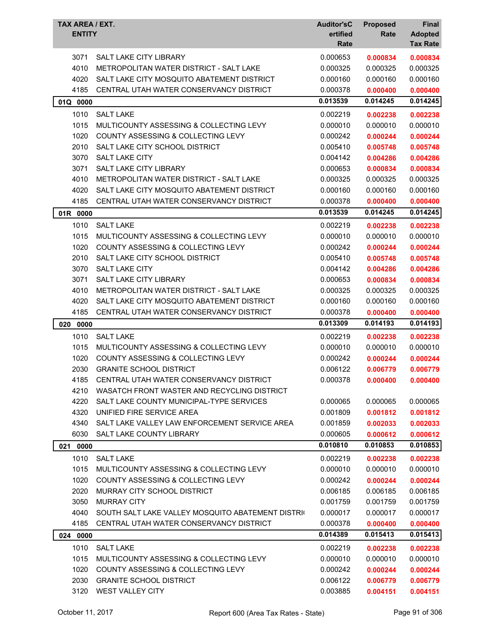| <b>SALT LAKE CITY LIBRARY</b><br>0.000653<br>3071<br>0.000834<br>0.000834<br>4010<br><b>METROPOLITAN WATER DISTRICT - SALT LAKE</b><br>0.000325<br>0.000325<br>0.000325<br>4020<br>SALT LAKE CITY MOSQUITO ABATEMENT DISTRICT<br>0.000160<br>0.000160<br>0.000160<br>4185<br>CENTRAL UTAH WATER CONSERVANCY DISTRICT<br>0.000378<br>0.000400<br>0.000400<br>0.013539<br>0.014245<br>0.014245<br>01Q 0000<br>1010<br><b>SALT LAKE</b><br>0.002219<br>0.002238<br>0.002238<br>1015<br>MULTICOUNTY ASSESSING & COLLECTING LEVY<br>0.000010<br>0.000010<br>0.000010<br>1020<br>COUNTY ASSESSING & COLLECTING LEVY<br>0.000242<br>0.000244<br>0.000244<br>2010<br>SALT LAKE CITY SCHOOL DISTRICT<br>0.005410<br>0.005748<br>0.005748<br>3070<br>SALT LAKE CITY<br>0.004142<br>0.004286<br>0.004286<br>3071<br>SALT LAKE CITY LIBRARY<br>0.000653<br>0.000834<br>0.000834<br>4010<br>METROPOLITAN WATER DISTRICT - SALT LAKE<br>0.000325<br>0.000325<br>0.000325<br>4020<br>SALT LAKE CITY MOSQUITO ABATEMENT DISTRICT<br>0.000160<br>0.000160<br>0.000160<br>4185<br>CENTRAL UTAH WATER CONSERVANCY DISTRICT<br>0.000378<br>0.000400<br>0.000400<br>0.014245<br>0.013539<br>0.014245<br>01R 0000<br>1010<br><b>SALT LAKE</b><br>0.002219<br>0.002238<br>0.002238<br>1015<br>0.000010<br>MULTICOUNTY ASSESSING & COLLECTING LEVY<br>0.000010<br>0.000010<br>1020<br>COUNTY ASSESSING & COLLECTING LEVY<br>0.000242<br>0.000244<br>0.000244<br>2010<br>SALT LAKE CITY SCHOOL DISTRICT<br>0.005410<br>0.005748<br>0.005748<br>3070<br><b>SALT LAKE CITY</b><br>0.004142<br>0.004286<br>0.004286<br>SALT LAKE CITY LIBRARY<br>3071<br>0.000653<br>0.000834<br>0.000834<br>METROPOLITAN WATER DISTRICT - SALT LAKE<br>4010<br>0.000325<br>0.000325<br>0.000325<br>4020<br>SALT LAKE CITY MOSQUITO ABATEMENT DISTRICT<br>0.000160<br>0.000160<br>0.000160<br>4185<br>CENTRAL UTAH WATER CONSERVANCY DISTRICT<br>0.000378<br>0.000400<br>0.000400<br>0.014193<br>0.013309<br>0.014193<br>020<br>0000<br>1010<br><b>SALT LAKE</b><br>0.002219<br>0.002238<br>0.002238<br>1015<br>MULTICOUNTY ASSESSING & COLLECTING LEVY<br>0.000010<br>0.000010<br>0.000010<br>1020<br>COUNTY ASSESSING & COLLECTING LEVY<br>0.000242<br>0.000244<br>0.000244<br>2030<br><b>GRANITE SCHOOL DISTRICT</b><br>0.006122<br>0.006779<br>0.006779<br>4185<br>CENTRAL UTAH WATER CONSERVANCY DISTRICT<br>0.000378<br>0.000400<br>0.000400<br>4210<br>WASATCH FRONT WASTER AND RECYCLING DISTRICT<br>4220<br>SALT LAKE COUNTY MUNICIPAL-TYPE SERVICES<br>0.000065<br>0.000065<br>0.000065<br>4320<br>UNIFIED FIRE SERVICE AREA<br>0.001809<br>0.001812<br>0.001812<br>4340<br>SALT LAKE VALLEY LAW ENFORCEMENT SERVICE AREA<br>0.001859<br>0.002033<br>0.002033<br>6030<br>SALT LAKE COUNTY LIBRARY<br>0.000605<br>0.000612<br>0.000612<br>0.010810<br>0.010853<br>0.010853<br>0000<br>021<br>1010<br><b>SALT LAKE</b><br>0.002219<br>0.002238<br>0.002238<br>1015<br>MULTICOUNTY ASSESSING & COLLECTING LEVY<br>0.000010<br>0.000010<br>0.000010<br>1020<br>COUNTY ASSESSING & COLLECTING LEVY<br>0.000242<br>0.000244<br>0.000244<br>2020<br>MURRAY CITY SCHOOL DISTRICT<br>0.006185<br>0.006185<br>0.006185<br>3050<br><b>MURRAY CITY</b><br>0.001759<br>0.001759<br>0.001759<br>4040<br>SOUTH SALT LAKE VALLEY MOSQUITO ABATEMENT DISTRIC<br>0.000017<br>0.000017<br>0.000017<br>4185<br>CENTRAL UTAH WATER CONSERVANCY DISTRICT<br>0.000378<br>0.000400<br>0.000400<br>0.014389<br>0.015413<br>0.015413<br>024<br>0000<br>1010<br><b>SALT LAKE</b><br>0.002219<br>0.002238<br>0.002238<br>1015<br>MULTICOUNTY ASSESSING & COLLECTING LEVY<br>0.000010<br>0.000010<br>0.000010<br>1020<br><b>COUNTY ASSESSING &amp; COLLECTING LEVY</b><br>0.000242<br>0.000244<br>0.000244<br>2030<br><b>GRANITE SCHOOL DISTRICT</b><br>0.006122<br>0.006779<br>0.006779 | TAX AREA / EXT.<br><b>ENTITY</b> |                  | <b>Auditor'sC</b><br>ertified | <b>Proposed</b><br>Rate | Final<br><b>Adopted</b> |
|---------------------------------------------------------------------------------------------------------------------------------------------------------------------------------------------------------------------------------------------------------------------------------------------------------------------------------------------------------------------------------------------------------------------------------------------------------------------------------------------------------------------------------------------------------------------------------------------------------------------------------------------------------------------------------------------------------------------------------------------------------------------------------------------------------------------------------------------------------------------------------------------------------------------------------------------------------------------------------------------------------------------------------------------------------------------------------------------------------------------------------------------------------------------------------------------------------------------------------------------------------------------------------------------------------------------------------------------------------------------------------------------------------------------------------------------------------------------------------------------------------------------------------------------------------------------------------------------------------------------------------------------------------------------------------------------------------------------------------------------------------------------------------------------------------------------------------------------------------------------------------------------------------------------------------------------------------------------------------------------------------------------------------------------------------------------------------------------------------------------------------------------------------------------------------------------------------------------------------------------------------------------------------------------------------------------------------------------------------------------------------------------------------------------------------------------------------------------------------------------------------------------------------------------------------------------------------------------------------------------------------------------------------------------------------------------------------------------------------------------------------------------------------------------------------------------------------------------------------------------------------------------------------------------------------------------------------------------------------------------------------------------------------------------------------------------------------------------------------------------------------------------------------------------------------------------------------------------------------------------------------------------------------------------------------------------------------------------------------------------------------------------------------------------------------------------------------------------------------------------------------------------------------------------------------------------------------------------------------------------------------------------------------------------------------------------------------------------------------------------------------------------------------------------------------------------------|----------------------------------|------------------|-------------------------------|-------------------------|-------------------------|
|                                                                                                                                                                                                                                                                                                                                                                                                                                                                                                                                                                                                                                                                                                                                                                                                                                                                                                                                                                                                                                                                                                                                                                                                                                                                                                                                                                                                                                                                                                                                                                                                                                                                                                                                                                                                                                                                                                                                                                                                                                                                                                                                                                                                                                                                                                                                                                                                                                                                                                                                                                                                                                                                                                                                                                                                                                                                                                                                                                                                                                                                                                                                                                                                                                                                                                                                                                                                                                                                                                                                                                                                                                                                                                                                                                                                                           |                                  |                  | Rate                          |                         | <b>Tax Rate</b>         |
|                                                                                                                                                                                                                                                                                                                                                                                                                                                                                                                                                                                                                                                                                                                                                                                                                                                                                                                                                                                                                                                                                                                                                                                                                                                                                                                                                                                                                                                                                                                                                                                                                                                                                                                                                                                                                                                                                                                                                                                                                                                                                                                                                                                                                                                                                                                                                                                                                                                                                                                                                                                                                                                                                                                                                                                                                                                                                                                                                                                                                                                                                                                                                                                                                                                                                                                                                                                                                                                                                                                                                                                                                                                                                                                                                                                                                           |                                  |                  |                               |                         |                         |
|                                                                                                                                                                                                                                                                                                                                                                                                                                                                                                                                                                                                                                                                                                                                                                                                                                                                                                                                                                                                                                                                                                                                                                                                                                                                                                                                                                                                                                                                                                                                                                                                                                                                                                                                                                                                                                                                                                                                                                                                                                                                                                                                                                                                                                                                                                                                                                                                                                                                                                                                                                                                                                                                                                                                                                                                                                                                                                                                                                                                                                                                                                                                                                                                                                                                                                                                                                                                                                                                                                                                                                                                                                                                                                                                                                                                                           |                                  |                  |                               |                         |                         |
|                                                                                                                                                                                                                                                                                                                                                                                                                                                                                                                                                                                                                                                                                                                                                                                                                                                                                                                                                                                                                                                                                                                                                                                                                                                                                                                                                                                                                                                                                                                                                                                                                                                                                                                                                                                                                                                                                                                                                                                                                                                                                                                                                                                                                                                                                                                                                                                                                                                                                                                                                                                                                                                                                                                                                                                                                                                                                                                                                                                                                                                                                                                                                                                                                                                                                                                                                                                                                                                                                                                                                                                                                                                                                                                                                                                                                           |                                  |                  |                               |                         |                         |
|                                                                                                                                                                                                                                                                                                                                                                                                                                                                                                                                                                                                                                                                                                                                                                                                                                                                                                                                                                                                                                                                                                                                                                                                                                                                                                                                                                                                                                                                                                                                                                                                                                                                                                                                                                                                                                                                                                                                                                                                                                                                                                                                                                                                                                                                                                                                                                                                                                                                                                                                                                                                                                                                                                                                                                                                                                                                                                                                                                                                                                                                                                                                                                                                                                                                                                                                                                                                                                                                                                                                                                                                                                                                                                                                                                                                                           |                                  |                  |                               |                         |                         |
|                                                                                                                                                                                                                                                                                                                                                                                                                                                                                                                                                                                                                                                                                                                                                                                                                                                                                                                                                                                                                                                                                                                                                                                                                                                                                                                                                                                                                                                                                                                                                                                                                                                                                                                                                                                                                                                                                                                                                                                                                                                                                                                                                                                                                                                                                                                                                                                                                                                                                                                                                                                                                                                                                                                                                                                                                                                                                                                                                                                                                                                                                                                                                                                                                                                                                                                                                                                                                                                                                                                                                                                                                                                                                                                                                                                                                           |                                  |                  |                               |                         |                         |
|                                                                                                                                                                                                                                                                                                                                                                                                                                                                                                                                                                                                                                                                                                                                                                                                                                                                                                                                                                                                                                                                                                                                                                                                                                                                                                                                                                                                                                                                                                                                                                                                                                                                                                                                                                                                                                                                                                                                                                                                                                                                                                                                                                                                                                                                                                                                                                                                                                                                                                                                                                                                                                                                                                                                                                                                                                                                                                                                                                                                                                                                                                                                                                                                                                                                                                                                                                                                                                                                                                                                                                                                                                                                                                                                                                                                                           |                                  |                  |                               |                         |                         |
|                                                                                                                                                                                                                                                                                                                                                                                                                                                                                                                                                                                                                                                                                                                                                                                                                                                                                                                                                                                                                                                                                                                                                                                                                                                                                                                                                                                                                                                                                                                                                                                                                                                                                                                                                                                                                                                                                                                                                                                                                                                                                                                                                                                                                                                                                                                                                                                                                                                                                                                                                                                                                                                                                                                                                                                                                                                                                                                                                                                                                                                                                                                                                                                                                                                                                                                                                                                                                                                                                                                                                                                                                                                                                                                                                                                                                           |                                  |                  |                               |                         |                         |
|                                                                                                                                                                                                                                                                                                                                                                                                                                                                                                                                                                                                                                                                                                                                                                                                                                                                                                                                                                                                                                                                                                                                                                                                                                                                                                                                                                                                                                                                                                                                                                                                                                                                                                                                                                                                                                                                                                                                                                                                                                                                                                                                                                                                                                                                                                                                                                                                                                                                                                                                                                                                                                                                                                                                                                                                                                                                                                                                                                                                                                                                                                                                                                                                                                                                                                                                                                                                                                                                                                                                                                                                                                                                                                                                                                                                                           |                                  |                  |                               |                         |                         |
|                                                                                                                                                                                                                                                                                                                                                                                                                                                                                                                                                                                                                                                                                                                                                                                                                                                                                                                                                                                                                                                                                                                                                                                                                                                                                                                                                                                                                                                                                                                                                                                                                                                                                                                                                                                                                                                                                                                                                                                                                                                                                                                                                                                                                                                                                                                                                                                                                                                                                                                                                                                                                                                                                                                                                                                                                                                                                                                                                                                                                                                                                                                                                                                                                                                                                                                                                                                                                                                                                                                                                                                                                                                                                                                                                                                                                           |                                  |                  |                               |                         |                         |
|                                                                                                                                                                                                                                                                                                                                                                                                                                                                                                                                                                                                                                                                                                                                                                                                                                                                                                                                                                                                                                                                                                                                                                                                                                                                                                                                                                                                                                                                                                                                                                                                                                                                                                                                                                                                                                                                                                                                                                                                                                                                                                                                                                                                                                                                                                                                                                                                                                                                                                                                                                                                                                                                                                                                                                                                                                                                                                                                                                                                                                                                                                                                                                                                                                                                                                                                                                                                                                                                                                                                                                                                                                                                                                                                                                                                                           |                                  |                  |                               |                         |                         |
|                                                                                                                                                                                                                                                                                                                                                                                                                                                                                                                                                                                                                                                                                                                                                                                                                                                                                                                                                                                                                                                                                                                                                                                                                                                                                                                                                                                                                                                                                                                                                                                                                                                                                                                                                                                                                                                                                                                                                                                                                                                                                                                                                                                                                                                                                                                                                                                                                                                                                                                                                                                                                                                                                                                                                                                                                                                                                                                                                                                                                                                                                                                                                                                                                                                                                                                                                                                                                                                                                                                                                                                                                                                                                                                                                                                                                           |                                  |                  |                               |                         |                         |
|                                                                                                                                                                                                                                                                                                                                                                                                                                                                                                                                                                                                                                                                                                                                                                                                                                                                                                                                                                                                                                                                                                                                                                                                                                                                                                                                                                                                                                                                                                                                                                                                                                                                                                                                                                                                                                                                                                                                                                                                                                                                                                                                                                                                                                                                                                                                                                                                                                                                                                                                                                                                                                                                                                                                                                                                                                                                                                                                                                                                                                                                                                                                                                                                                                                                                                                                                                                                                                                                                                                                                                                                                                                                                                                                                                                                                           |                                  |                  |                               |                         |                         |
|                                                                                                                                                                                                                                                                                                                                                                                                                                                                                                                                                                                                                                                                                                                                                                                                                                                                                                                                                                                                                                                                                                                                                                                                                                                                                                                                                                                                                                                                                                                                                                                                                                                                                                                                                                                                                                                                                                                                                                                                                                                                                                                                                                                                                                                                                                                                                                                                                                                                                                                                                                                                                                                                                                                                                                                                                                                                                                                                                                                                                                                                                                                                                                                                                                                                                                                                                                                                                                                                                                                                                                                                                                                                                                                                                                                                                           |                                  |                  |                               |                         |                         |
|                                                                                                                                                                                                                                                                                                                                                                                                                                                                                                                                                                                                                                                                                                                                                                                                                                                                                                                                                                                                                                                                                                                                                                                                                                                                                                                                                                                                                                                                                                                                                                                                                                                                                                                                                                                                                                                                                                                                                                                                                                                                                                                                                                                                                                                                                                                                                                                                                                                                                                                                                                                                                                                                                                                                                                                                                                                                                                                                                                                                                                                                                                                                                                                                                                                                                                                                                                                                                                                                                                                                                                                                                                                                                                                                                                                                                           |                                  |                  |                               |                         |                         |
|                                                                                                                                                                                                                                                                                                                                                                                                                                                                                                                                                                                                                                                                                                                                                                                                                                                                                                                                                                                                                                                                                                                                                                                                                                                                                                                                                                                                                                                                                                                                                                                                                                                                                                                                                                                                                                                                                                                                                                                                                                                                                                                                                                                                                                                                                                                                                                                                                                                                                                                                                                                                                                                                                                                                                                                                                                                                                                                                                                                                                                                                                                                                                                                                                                                                                                                                                                                                                                                                                                                                                                                                                                                                                                                                                                                                                           |                                  |                  |                               |                         |                         |
|                                                                                                                                                                                                                                                                                                                                                                                                                                                                                                                                                                                                                                                                                                                                                                                                                                                                                                                                                                                                                                                                                                                                                                                                                                                                                                                                                                                                                                                                                                                                                                                                                                                                                                                                                                                                                                                                                                                                                                                                                                                                                                                                                                                                                                                                                                                                                                                                                                                                                                                                                                                                                                                                                                                                                                                                                                                                                                                                                                                                                                                                                                                                                                                                                                                                                                                                                                                                                                                                                                                                                                                                                                                                                                                                                                                                                           |                                  |                  |                               |                         |                         |
|                                                                                                                                                                                                                                                                                                                                                                                                                                                                                                                                                                                                                                                                                                                                                                                                                                                                                                                                                                                                                                                                                                                                                                                                                                                                                                                                                                                                                                                                                                                                                                                                                                                                                                                                                                                                                                                                                                                                                                                                                                                                                                                                                                                                                                                                                                                                                                                                                                                                                                                                                                                                                                                                                                                                                                                                                                                                                                                                                                                                                                                                                                                                                                                                                                                                                                                                                                                                                                                                                                                                                                                                                                                                                                                                                                                                                           |                                  |                  |                               |                         |                         |
|                                                                                                                                                                                                                                                                                                                                                                                                                                                                                                                                                                                                                                                                                                                                                                                                                                                                                                                                                                                                                                                                                                                                                                                                                                                                                                                                                                                                                                                                                                                                                                                                                                                                                                                                                                                                                                                                                                                                                                                                                                                                                                                                                                                                                                                                                                                                                                                                                                                                                                                                                                                                                                                                                                                                                                                                                                                                                                                                                                                                                                                                                                                                                                                                                                                                                                                                                                                                                                                                                                                                                                                                                                                                                                                                                                                                                           |                                  |                  |                               |                         |                         |
|                                                                                                                                                                                                                                                                                                                                                                                                                                                                                                                                                                                                                                                                                                                                                                                                                                                                                                                                                                                                                                                                                                                                                                                                                                                                                                                                                                                                                                                                                                                                                                                                                                                                                                                                                                                                                                                                                                                                                                                                                                                                                                                                                                                                                                                                                                                                                                                                                                                                                                                                                                                                                                                                                                                                                                                                                                                                                                                                                                                                                                                                                                                                                                                                                                                                                                                                                                                                                                                                                                                                                                                                                                                                                                                                                                                                                           |                                  |                  |                               |                         |                         |
|                                                                                                                                                                                                                                                                                                                                                                                                                                                                                                                                                                                                                                                                                                                                                                                                                                                                                                                                                                                                                                                                                                                                                                                                                                                                                                                                                                                                                                                                                                                                                                                                                                                                                                                                                                                                                                                                                                                                                                                                                                                                                                                                                                                                                                                                                                                                                                                                                                                                                                                                                                                                                                                                                                                                                                                                                                                                                                                                                                                                                                                                                                                                                                                                                                                                                                                                                                                                                                                                                                                                                                                                                                                                                                                                                                                                                           |                                  |                  |                               |                         |                         |
|                                                                                                                                                                                                                                                                                                                                                                                                                                                                                                                                                                                                                                                                                                                                                                                                                                                                                                                                                                                                                                                                                                                                                                                                                                                                                                                                                                                                                                                                                                                                                                                                                                                                                                                                                                                                                                                                                                                                                                                                                                                                                                                                                                                                                                                                                                                                                                                                                                                                                                                                                                                                                                                                                                                                                                                                                                                                                                                                                                                                                                                                                                                                                                                                                                                                                                                                                                                                                                                                                                                                                                                                                                                                                                                                                                                                                           |                                  |                  |                               |                         |                         |
|                                                                                                                                                                                                                                                                                                                                                                                                                                                                                                                                                                                                                                                                                                                                                                                                                                                                                                                                                                                                                                                                                                                                                                                                                                                                                                                                                                                                                                                                                                                                                                                                                                                                                                                                                                                                                                                                                                                                                                                                                                                                                                                                                                                                                                                                                                                                                                                                                                                                                                                                                                                                                                                                                                                                                                                                                                                                                                                                                                                                                                                                                                                                                                                                                                                                                                                                                                                                                                                                                                                                                                                                                                                                                                                                                                                                                           |                                  |                  |                               |                         |                         |
|                                                                                                                                                                                                                                                                                                                                                                                                                                                                                                                                                                                                                                                                                                                                                                                                                                                                                                                                                                                                                                                                                                                                                                                                                                                                                                                                                                                                                                                                                                                                                                                                                                                                                                                                                                                                                                                                                                                                                                                                                                                                                                                                                                                                                                                                                                                                                                                                                                                                                                                                                                                                                                                                                                                                                                                                                                                                                                                                                                                                                                                                                                                                                                                                                                                                                                                                                                                                                                                                                                                                                                                                                                                                                                                                                                                                                           |                                  |                  |                               |                         |                         |
|                                                                                                                                                                                                                                                                                                                                                                                                                                                                                                                                                                                                                                                                                                                                                                                                                                                                                                                                                                                                                                                                                                                                                                                                                                                                                                                                                                                                                                                                                                                                                                                                                                                                                                                                                                                                                                                                                                                                                                                                                                                                                                                                                                                                                                                                                                                                                                                                                                                                                                                                                                                                                                                                                                                                                                                                                                                                                                                                                                                                                                                                                                                                                                                                                                                                                                                                                                                                                                                                                                                                                                                                                                                                                                                                                                                                                           |                                  |                  |                               |                         |                         |
|                                                                                                                                                                                                                                                                                                                                                                                                                                                                                                                                                                                                                                                                                                                                                                                                                                                                                                                                                                                                                                                                                                                                                                                                                                                                                                                                                                                                                                                                                                                                                                                                                                                                                                                                                                                                                                                                                                                                                                                                                                                                                                                                                                                                                                                                                                                                                                                                                                                                                                                                                                                                                                                                                                                                                                                                                                                                                                                                                                                                                                                                                                                                                                                                                                                                                                                                                                                                                                                                                                                                                                                                                                                                                                                                                                                                                           |                                  |                  |                               |                         |                         |
|                                                                                                                                                                                                                                                                                                                                                                                                                                                                                                                                                                                                                                                                                                                                                                                                                                                                                                                                                                                                                                                                                                                                                                                                                                                                                                                                                                                                                                                                                                                                                                                                                                                                                                                                                                                                                                                                                                                                                                                                                                                                                                                                                                                                                                                                                                                                                                                                                                                                                                                                                                                                                                                                                                                                                                                                                                                                                                                                                                                                                                                                                                                                                                                                                                                                                                                                                                                                                                                                                                                                                                                                                                                                                                                                                                                                                           |                                  |                  |                               |                         |                         |
|                                                                                                                                                                                                                                                                                                                                                                                                                                                                                                                                                                                                                                                                                                                                                                                                                                                                                                                                                                                                                                                                                                                                                                                                                                                                                                                                                                                                                                                                                                                                                                                                                                                                                                                                                                                                                                                                                                                                                                                                                                                                                                                                                                                                                                                                                                                                                                                                                                                                                                                                                                                                                                                                                                                                                                                                                                                                                                                                                                                                                                                                                                                                                                                                                                                                                                                                                                                                                                                                                                                                                                                                                                                                                                                                                                                                                           |                                  |                  |                               |                         |                         |
|                                                                                                                                                                                                                                                                                                                                                                                                                                                                                                                                                                                                                                                                                                                                                                                                                                                                                                                                                                                                                                                                                                                                                                                                                                                                                                                                                                                                                                                                                                                                                                                                                                                                                                                                                                                                                                                                                                                                                                                                                                                                                                                                                                                                                                                                                                                                                                                                                                                                                                                                                                                                                                                                                                                                                                                                                                                                                                                                                                                                                                                                                                                                                                                                                                                                                                                                                                                                                                                                                                                                                                                                                                                                                                                                                                                                                           |                                  |                  |                               |                         |                         |
|                                                                                                                                                                                                                                                                                                                                                                                                                                                                                                                                                                                                                                                                                                                                                                                                                                                                                                                                                                                                                                                                                                                                                                                                                                                                                                                                                                                                                                                                                                                                                                                                                                                                                                                                                                                                                                                                                                                                                                                                                                                                                                                                                                                                                                                                                                                                                                                                                                                                                                                                                                                                                                                                                                                                                                                                                                                                                                                                                                                                                                                                                                                                                                                                                                                                                                                                                                                                                                                                                                                                                                                                                                                                                                                                                                                                                           |                                  |                  |                               |                         |                         |
|                                                                                                                                                                                                                                                                                                                                                                                                                                                                                                                                                                                                                                                                                                                                                                                                                                                                                                                                                                                                                                                                                                                                                                                                                                                                                                                                                                                                                                                                                                                                                                                                                                                                                                                                                                                                                                                                                                                                                                                                                                                                                                                                                                                                                                                                                                                                                                                                                                                                                                                                                                                                                                                                                                                                                                                                                                                                                                                                                                                                                                                                                                                                                                                                                                                                                                                                                                                                                                                                                                                                                                                                                                                                                                                                                                                                                           |                                  |                  |                               |                         |                         |
|                                                                                                                                                                                                                                                                                                                                                                                                                                                                                                                                                                                                                                                                                                                                                                                                                                                                                                                                                                                                                                                                                                                                                                                                                                                                                                                                                                                                                                                                                                                                                                                                                                                                                                                                                                                                                                                                                                                                                                                                                                                                                                                                                                                                                                                                                                                                                                                                                                                                                                                                                                                                                                                                                                                                                                                                                                                                                                                                                                                                                                                                                                                                                                                                                                                                                                                                                                                                                                                                                                                                                                                                                                                                                                                                                                                                                           |                                  |                  |                               |                         |                         |
|                                                                                                                                                                                                                                                                                                                                                                                                                                                                                                                                                                                                                                                                                                                                                                                                                                                                                                                                                                                                                                                                                                                                                                                                                                                                                                                                                                                                                                                                                                                                                                                                                                                                                                                                                                                                                                                                                                                                                                                                                                                                                                                                                                                                                                                                                                                                                                                                                                                                                                                                                                                                                                                                                                                                                                                                                                                                                                                                                                                                                                                                                                                                                                                                                                                                                                                                                                                                                                                                                                                                                                                                                                                                                                                                                                                                                           |                                  |                  |                               |                         |                         |
|                                                                                                                                                                                                                                                                                                                                                                                                                                                                                                                                                                                                                                                                                                                                                                                                                                                                                                                                                                                                                                                                                                                                                                                                                                                                                                                                                                                                                                                                                                                                                                                                                                                                                                                                                                                                                                                                                                                                                                                                                                                                                                                                                                                                                                                                                                                                                                                                                                                                                                                                                                                                                                                                                                                                                                                                                                                                                                                                                                                                                                                                                                                                                                                                                                                                                                                                                                                                                                                                                                                                                                                                                                                                                                                                                                                                                           |                                  |                  |                               |                         |                         |
|                                                                                                                                                                                                                                                                                                                                                                                                                                                                                                                                                                                                                                                                                                                                                                                                                                                                                                                                                                                                                                                                                                                                                                                                                                                                                                                                                                                                                                                                                                                                                                                                                                                                                                                                                                                                                                                                                                                                                                                                                                                                                                                                                                                                                                                                                                                                                                                                                                                                                                                                                                                                                                                                                                                                                                                                                                                                                                                                                                                                                                                                                                                                                                                                                                                                                                                                                                                                                                                                                                                                                                                                                                                                                                                                                                                                                           |                                  |                  |                               |                         |                         |
|                                                                                                                                                                                                                                                                                                                                                                                                                                                                                                                                                                                                                                                                                                                                                                                                                                                                                                                                                                                                                                                                                                                                                                                                                                                                                                                                                                                                                                                                                                                                                                                                                                                                                                                                                                                                                                                                                                                                                                                                                                                                                                                                                                                                                                                                                                                                                                                                                                                                                                                                                                                                                                                                                                                                                                                                                                                                                                                                                                                                                                                                                                                                                                                                                                                                                                                                                                                                                                                                                                                                                                                                                                                                                                                                                                                                                           |                                  |                  |                               |                         |                         |
|                                                                                                                                                                                                                                                                                                                                                                                                                                                                                                                                                                                                                                                                                                                                                                                                                                                                                                                                                                                                                                                                                                                                                                                                                                                                                                                                                                                                                                                                                                                                                                                                                                                                                                                                                                                                                                                                                                                                                                                                                                                                                                                                                                                                                                                                                                                                                                                                                                                                                                                                                                                                                                                                                                                                                                                                                                                                                                                                                                                                                                                                                                                                                                                                                                                                                                                                                                                                                                                                                                                                                                                                                                                                                                                                                                                                                           |                                  |                  |                               |                         |                         |
|                                                                                                                                                                                                                                                                                                                                                                                                                                                                                                                                                                                                                                                                                                                                                                                                                                                                                                                                                                                                                                                                                                                                                                                                                                                                                                                                                                                                                                                                                                                                                                                                                                                                                                                                                                                                                                                                                                                                                                                                                                                                                                                                                                                                                                                                                                                                                                                                                                                                                                                                                                                                                                                                                                                                                                                                                                                                                                                                                                                                                                                                                                                                                                                                                                                                                                                                                                                                                                                                                                                                                                                                                                                                                                                                                                                                                           |                                  |                  |                               |                         |                         |
|                                                                                                                                                                                                                                                                                                                                                                                                                                                                                                                                                                                                                                                                                                                                                                                                                                                                                                                                                                                                                                                                                                                                                                                                                                                                                                                                                                                                                                                                                                                                                                                                                                                                                                                                                                                                                                                                                                                                                                                                                                                                                                                                                                                                                                                                                                                                                                                                                                                                                                                                                                                                                                                                                                                                                                                                                                                                                                                                                                                                                                                                                                                                                                                                                                                                                                                                                                                                                                                                                                                                                                                                                                                                                                                                                                                                                           |                                  |                  |                               |                         |                         |
|                                                                                                                                                                                                                                                                                                                                                                                                                                                                                                                                                                                                                                                                                                                                                                                                                                                                                                                                                                                                                                                                                                                                                                                                                                                                                                                                                                                                                                                                                                                                                                                                                                                                                                                                                                                                                                                                                                                                                                                                                                                                                                                                                                                                                                                                                                                                                                                                                                                                                                                                                                                                                                                                                                                                                                                                                                                                                                                                                                                                                                                                                                                                                                                                                                                                                                                                                                                                                                                                                                                                                                                                                                                                                                                                                                                                                           |                                  |                  |                               |                         |                         |
|                                                                                                                                                                                                                                                                                                                                                                                                                                                                                                                                                                                                                                                                                                                                                                                                                                                                                                                                                                                                                                                                                                                                                                                                                                                                                                                                                                                                                                                                                                                                                                                                                                                                                                                                                                                                                                                                                                                                                                                                                                                                                                                                                                                                                                                                                                                                                                                                                                                                                                                                                                                                                                                                                                                                                                                                                                                                                                                                                                                                                                                                                                                                                                                                                                                                                                                                                                                                                                                                                                                                                                                                                                                                                                                                                                                                                           |                                  |                  |                               |                         |                         |
|                                                                                                                                                                                                                                                                                                                                                                                                                                                                                                                                                                                                                                                                                                                                                                                                                                                                                                                                                                                                                                                                                                                                                                                                                                                                                                                                                                                                                                                                                                                                                                                                                                                                                                                                                                                                                                                                                                                                                                                                                                                                                                                                                                                                                                                                                                                                                                                                                                                                                                                                                                                                                                                                                                                                                                                                                                                                                                                                                                                                                                                                                                                                                                                                                                                                                                                                                                                                                                                                                                                                                                                                                                                                                                                                                                                                                           |                                  |                  |                               |                         |                         |
|                                                                                                                                                                                                                                                                                                                                                                                                                                                                                                                                                                                                                                                                                                                                                                                                                                                                                                                                                                                                                                                                                                                                                                                                                                                                                                                                                                                                                                                                                                                                                                                                                                                                                                                                                                                                                                                                                                                                                                                                                                                                                                                                                                                                                                                                                                                                                                                                                                                                                                                                                                                                                                                                                                                                                                                                                                                                                                                                                                                                                                                                                                                                                                                                                                                                                                                                                                                                                                                                                                                                                                                                                                                                                                                                                                                                                           |                                  |                  |                               |                         |                         |
|                                                                                                                                                                                                                                                                                                                                                                                                                                                                                                                                                                                                                                                                                                                                                                                                                                                                                                                                                                                                                                                                                                                                                                                                                                                                                                                                                                                                                                                                                                                                                                                                                                                                                                                                                                                                                                                                                                                                                                                                                                                                                                                                                                                                                                                                                                                                                                                                                                                                                                                                                                                                                                                                                                                                                                                                                                                                                                                                                                                                                                                                                                                                                                                                                                                                                                                                                                                                                                                                                                                                                                                                                                                                                                                                                                                                                           |                                  |                  |                               |                         |                         |
|                                                                                                                                                                                                                                                                                                                                                                                                                                                                                                                                                                                                                                                                                                                                                                                                                                                                                                                                                                                                                                                                                                                                                                                                                                                                                                                                                                                                                                                                                                                                                                                                                                                                                                                                                                                                                                                                                                                                                                                                                                                                                                                                                                                                                                                                                                                                                                                                                                                                                                                                                                                                                                                                                                                                                                                                                                                                                                                                                                                                                                                                                                                                                                                                                                                                                                                                                                                                                                                                                                                                                                                                                                                                                                                                                                                                                           |                                  |                  |                               |                         |                         |
|                                                                                                                                                                                                                                                                                                                                                                                                                                                                                                                                                                                                                                                                                                                                                                                                                                                                                                                                                                                                                                                                                                                                                                                                                                                                                                                                                                                                                                                                                                                                                                                                                                                                                                                                                                                                                                                                                                                                                                                                                                                                                                                                                                                                                                                                                                                                                                                                                                                                                                                                                                                                                                                                                                                                                                                                                                                                                                                                                                                                                                                                                                                                                                                                                                                                                                                                                                                                                                                                                                                                                                                                                                                                                                                                                                                                                           |                                  |                  |                               |                         |                         |
|                                                                                                                                                                                                                                                                                                                                                                                                                                                                                                                                                                                                                                                                                                                                                                                                                                                                                                                                                                                                                                                                                                                                                                                                                                                                                                                                                                                                                                                                                                                                                                                                                                                                                                                                                                                                                                                                                                                                                                                                                                                                                                                                                                                                                                                                                                                                                                                                                                                                                                                                                                                                                                                                                                                                                                                                                                                                                                                                                                                                                                                                                                                                                                                                                                                                                                                                                                                                                                                                                                                                                                                                                                                                                                                                                                                                                           |                                  |                  |                               |                         |                         |
|                                                                                                                                                                                                                                                                                                                                                                                                                                                                                                                                                                                                                                                                                                                                                                                                                                                                                                                                                                                                                                                                                                                                                                                                                                                                                                                                                                                                                                                                                                                                                                                                                                                                                                                                                                                                                                                                                                                                                                                                                                                                                                                                                                                                                                                                                                                                                                                                                                                                                                                                                                                                                                                                                                                                                                                                                                                                                                                                                                                                                                                                                                                                                                                                                                                                                                                                                                                                                                                                                                                                                                                                                                                                                                                                                                                                                           |                                  |                  |                               |                         |                         |
|                                                                                                                                                                                                                                                                                                                                                                                                                                                                                                                                                                                                                                                                                                                                                                                                                                                                                                                                                                                                                                                                                                                                                                                                                                                                                                                                                                                                                                                                                                                                                                                                                                                                                                                                                                                                                                                                                                                                                                                                                                                                                                                                                                                                                                                                                                                                                                                                                                                                                                                                                                                                                                                                                                                                                                                                                                                                                                                                                                                                                                                                                                                                                                                                                                                                                                                                                                                                                                                                                                                                                                                                                                                                                                                                                                                                                           |                                  |                  |                               |                         |                         |
|                                                                                                                                                                                                                                                                                                                                                                                                                                                                                                                                                                                                                                                                                                                                                                                                                                                                                                                                                                                                                                                                                                                                                                                                                                                                                                                                                                                                                                                                                                                                                                                                                                                                                                                                                                                                                                                                                                                                                                                                                                                                                                                                                                                                                                                                                                                                                                                                                                                                                                                                                                                                                                                                                                                                                                                                                                                                                                                                                                                                                                                                                                                                                                                                                                                                                                                                                                                                                                                                                                                                                                                                                                                                                                                                                                                                                           | 3120                             | WEST VALLEY CITY | 0.003885                      | 0.004151                | 0.004151                |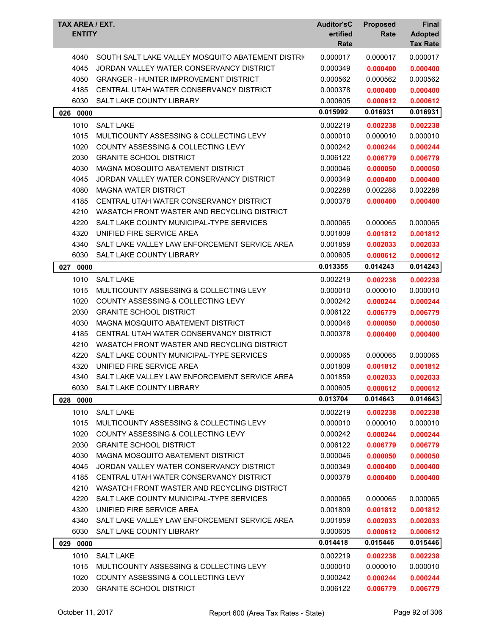| TAX AREA / EXT.<br><b>ENTITY</b> |                                                   | <b>Auditor'sC</b><br>ertified<br>Rate | <b>Proposed</b><br>Rate | Final<br><b>Adopted</b><br><b>Tax Rate</b> |
|----------------------------------|---------------------------------------------------|---------------------------------------|-------------------------|--------------------------------------------|
| 4040                             | SOUTH SALT LAKE VALLEY MOSQUITO ABATEMENT DISTRIC | 0.000017                              | 0.000017                | 0.000017                                   |
| 4045                             | JORDAN VALLEY WATER CONSERVANCY DISTRICT          | 0.000349                              | 0.000400                | 0.000400                                   |
| 4050                             | <b>GRANGER - HUNTER IMPROVEMENT DISTRICT</b>      | 0.000562                              | 0.000562                | 0.000562                                   |
| 4185                             | CENTRAL UTAH WATER CONSERVANCY DISTRICT           | 0.000378                              | 0.000400                | 0.000400                                   |
| 6030                             | SALT LAKE COUNTY LIBRARY                          | 0.000605                              | 0.000612                | 0.000612                                   |
| 026 0000                         |                                                   | 0.015992                              | 0.016931                | 0.016931                                   |
| 1010                             | <b>SALT LAKE</b>                                  | 0.002219                              | 0.002238                | 0.002238                                   |
| 1015                             | MULTICOUNTY ASSESSING & COLLECTING LEVY           | 0.000010                              | 0.000010                | 0.000010                                   |
| 1020                             | COUNTY ASSESSING & COLLECTING LEVY                | 0.000242                              | 0.000244                | 0.000244                                   |
| 2030                             | <b>GRANITE SCHOOL DISTRICT</b>                    | 0.006122                              | 0.006779                | 0.006779                                   |
| 4030                             | MAGNA MOSQUITO ABATEMENT DISTRICT                 | 0.000046                              | 0.000050                | 0.000050                                   |
| 4045                             | JORDAN VALLEY WATER CONSERVANCY DISTRICT          | 0.000349                              | 0.000400                | 0.000400                                   |
| 4080                             | <b>MAGNA WATER DISTRICT</b>                       | 0.002288                              | 0.002288                | 0.002288                                   |
| 4185                             | CENTRAL UTAH WATER CONSERVANCY DISTRICT           | 0.000378                              | 0.000400                | 0.000400                                   |
| 4210                             | WASATCH FRONT WASTER AND RECYCLING DISTRICT       |                                       |                         |                                            |
| 4220                             | SALT LAKE COUNTY MUNICIPAL-TYPE SERVICES          | 0.000065                              | 0.000065                | 0.000065                                   |
| 4320                             | UNIFIED FIRE SERVICE AREA                         | 0.001809                              | 0.001812                | 0.001812                                   |
| 4340                             | SALT LAKE VALLEY LAW ENFORCEMENT SERVICE AREA     | 0.001859                              | 0.002033                | 0.002033                                   |
| 6030                             | SALT LAKE COUNTY LIBRARY                          | 0.000605                              | 0.000612                | 0.000612                                   |
| 027<br>0000                      |                                                   | 0.013355                              | 0.014243                | 0.014243                                   |
| 1010                             | <b>SALT LAKE</b>                                  | 0.002219                              | 0.002238                | 0.002238                                   |
| 1015                             | MULTICOUNTY ASSESSING & COLLECTING LEVY           | 0.000010                              | 0.000010                | 0.000010                                   |
| 1020                             | <b>COUNTY ASSESSING &amp; COLLECTING LEVY</b>     | 0.000242                              | 0.000244                | 0.000244                                   |
| 2030                             | <b>GRANITE SCHOOL DISTRICT</b>                    | 0.006122                              | 0.006779                | 0.006779                                   |
| 4030                             | MAGNA MOSQUITO ABATEMENT DISTRICT                 | 0.000046                              | 0.000050                | 0.000050                                   |
| 4185                             | CENTRAL UTAH WATER CONSERVANCY DISTRICT           | 0.000378                              | 0.000400                | 0.000400                                   |
| 4210                             | WASATCH FRONT WASTER AND RECYCLING DISTRICT       |                                       |                         |                                            |
| 4220                             | SALT LAKE COUNTY MUNICIPAL-TYPE SERVICES          | 0.000065                              | 0.000065                | 0.000065                                   |
| 4320                             | UNIFIED FIRE SERVICE AREA                         | 0.001809                              | 0.001812                | 0.001812                                   |
| 4340                             | SALT LAKE VALLEY LAW ENFORCEMENT SERVICE AREA     | 0.001859                              | 0.002033                | 0.002033                                   |
| 6030                             | SALT LAKE COUNTY LIBRARY                          | 0.000605                              | 0.000612                | 0.000612                                   |
| 028 0000                         |                                                   | 0.013704                              | 0.014643                | 0.014643                                   |
| 1010                             | <b>SALT LAKE</b>                                  | 0.002219                              | 0.002238                | 0.002238                                   |
| 1015                             | MULTICOUNTY ASSESSING & COLLECTING LEVY           | 0.000010                              | 0.000010                | 0.000010                                   |
| 1020                             | COUNTY ASSESSING & COLLECTING LEVY                | 0.000242                              | 0.000244                | 0.000244                                   |
| 2030                             | <b>GRANITE SCHOOL DISTRICT</b>                    | 0.006122                              | 0.006779                | 0.006779                                   |
| 4030                             | MAGNA MOSQUITO ABATEMENT DISTRICT                 | 0.000046                              | 0.000050                | 0.000050                                   |
| 4045                             | JORDAN VALLEY WATER CONSERVANCY DISTRICT          | 0.000349                              | 0.000400                | 0.000400                                   |
| 4185                             | CENTRAL UTAH WATER CONSERVANCY DISTRICT           | 0.000378                              | 0.000400                | 0.000400                                   |
| 4210                             | WASATCH FRONT WASTER AND RECYCLING DISTRICT       |                                       |                         |                                            |
| 4220                             | SALT LAKE COUNTY MUNICIPAL-TYPE SERVICES          | 0.000065                              | 0.000065                | 0.000065                                   |
| 4320                             | UNIFIED FIRE SERVICE AREA                         | 0.001809                              | 0.001812                | 0.001812                                   |
| 4340                             | SALT LAKE VALLEY LAW ENFORCEMENT SERVICE AREA     | 0.001859                              | 0.002033                | 0.002033                                   |
| 6030                             | SALT LAKE COUNTY LIBRARY                          | 0.000605                              | 0.000612                | 0.000612                                   |
| 029 0000                         |                                                   | 0.014418                              | 0.015446                | 0.015446                                   |
| 1010                             | <b>SALT LAKE</b>                                  | 0.002219                              | 0.002238                | 0.002238                                   |
| 1015                             | MULTICOUNTY ASSESSING & COLLECTING LEVY           | 0.000010                              | 0.000010                | 0.000010                                   |
| 1020                             | COUNTY ASSESSING & COLLECTING LEVY                | 0.000242                              | 0.000244                | 0.000244                                   |
| 2030                             | <b>GRANITE SCHOOL DISTRICT</b>                    | 0.006122                              | 0.006779                | 0.006779                                   |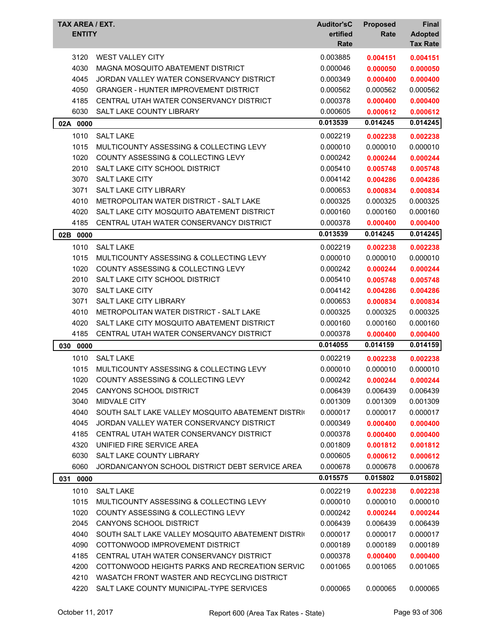| TAX AREA / EXT.<br><b>ENTITY</b> |                                                   | <b>Auditor'sC</b><br>ertified<br>Rate | <b>Proposed</b><br>Rate | Final<br><b>Adopted</b><br><b>Tax Rate</b> |
|----------------------------------|---------------------------------------------------|---------------------------------------|-------------------------|--------------------------------------------|
| 3120                             | <b>WEST VALLEY CITY</b>                           | 0.003885                              | 0.004151                | 0.004151                                   |
| 4030                             | MAGNA MOSQUITO ABATEMENT DISTRICT                 | 0.000046                              | 0.000050                | 0.000050                                   |
| 4045                             | JORDAN VALLEY WATER CONSERVANCY DISTRICT          | 0.000349                              | 0.000400                | 0.000400                                   |
| 4050                             | <b>GRANGER - HUNTER IMPROVEMENT DISTRICT</b>      | 0.000562                              | 0.000562                | 0.000562                                   |
| 4185                             | CENTRAL UTAH WATER CONSERVANCY DISTRICT           | 0.000378                              | 0.000400                | 0.000400                                   |
| 6030                             | SALT LAKE COUNTY LIBRARY                          | 0.000605                              | 0.000612                | 0.000612                                   |
| 02A 0000                         |                                                   | 0.013539                              | 0.014245                | 0.014245                                   |
| 1010                             | <b>SALT LAKE</b>                                  | 0.002219                              | 0.002238                | 0.002238                                   |
| 1015                             | MULTICOUNTY ASSESSING & COLLECTING LEVY           | 0.000010                              | 0.000010                | 0.000010                                   |
| 1020                             | <b>COUNTY ASSESSING &amp; COLLECTING LEVY</b>     | 0.000242                              | 0.000244                | 0.000244                                   |
| 2010                             | SALT LAKE CITY SCHOOL DISTRICT                    | 0.005410                              | 0.005748                | 0.005748                                   |
| 3070                             | <b>SALT LAKE CITY</b>                             | 0.004142                              | 0.004286                | 0.004286                                   |
| 3071                             | SALT LAKE CITY LIBRARY                            | 0.000653                              | 0.000834                | 0.000834                                   |
| 4010                             | METROPOLITAN WATER DISTRICT - SALT LAKE           | 0.000325                              | 0.000325                | 0.000325                                   |
| 4020                             | SALT LAKE CITY MOSQUITO ABATEMENT DISTRICT        | 0.000160                              | 0.000160                | 0.000160                                   |
| 4185                             | CENTRAL UTAH WATER CONSERVANCY DISTRICT           | 0.000378                              | 0.000400                | 0.000400                                   |
| 02B 0000                         |                                                   | 0.013539                              | 0.014245                | 0.014245                                   |
|                                  |                                                   |                                       |                         |                                            |
| 1010                             | <b>SALT LAKE</b>                                  | 0.002219                              | 0.002238                | 0.002238                                   |
| 1015                             | MULTICOUNTY ASSESSING & COLLECTING LEVY           | 0.000010                              | 0.000010                | 0.000010                                   |
| 1020                             | <b>COUNTY ASSESSING &amp; COLLECTING LEVY</b>     | 0.000242                              | 0.000244                | 0.000244                                   |
| 2010                             | SALT LAKE CITY SCHOOL DISTRICT                    | 0.005410                              | 0.005748                | 0.005748                                   |
| 3070                             | <b>SALT LAKE CITY</b>                             | 0.004142                              | 0.004286                | 0.004286                                   |
| 3071                             | <b>SALT LAKE CITY LIBRARY</b>                     | 0.000653                              | 0.000834                | 0.000834                                   |
| 4010                             | METROPOLITAN WATER DISTRICT - SALT LAKE           | 0.000325                              | 0.000325                | 0.000325                                   |
| 4020                             | SALT LAKE CITY MOSQUITO ABATEMENT DISTRICT        | 0.000160                              | 0.000160                | 0.000160                                   |
| 4185                             | CENTRAL UTAH WATER CONSERVANCY DISTRICT           | 0.000378                              | 0.000400                | 0.000400                                   |
| 0000<br>030                      |                                                   | 0.014055                              | 0.014159                | 0.014159                                   |
| 1010                             | <b>SALT LAKE</b>                                  | 0.002219                              | 0.002238                | 0.002238                                   |
| 1015                             | MULTICOUNTY ASSESSING & COLLECTING LEVY           | 0.000010                              | 0.000010                | 0.000010                                   |
| 1020                             | COUNTY ASSESSING & COLLECTING LEVY                | 0.000242                              | 0.000244                | 0.000244                                   |
| 2045                             | CANYONS SCHOOL DISTRICT                           | 0.006439                              | 0.006439                | 0.006439                                   |
| 3040                             | MIDVALE CITY                                      | 0.001309                              | 0.001309                | 0.001309                                   |
| 4040                             | SOUTH SALT LAKE VALLEY MOSQUITO ABATEMENT DISTRIC | 0.000017                              | 0.000017                | 0.000017                                   |
| 4045                             | JORDAN VALLEY WATER CONSERVANCY DISTRICT          | 0.000349                              | 0.000400                | 0.000400                                   |
| 4185                             | CENTRAL UTAH WATER CONSERVANCY DISTRICT           | 0.000378                              | 0.000400                | 0.000400                                   |
| 4320                             | UNIFIED FIRE SERVICE AREA                         | 0.001809                              | 0.001812                | 0.001812                                   |
| 6030                             | SALT LAKE COUNTY LIBRARY                          | 0.000605                              | 0.000612                | 0.000612                                   |
| 6060                             | JORDAN/CANYON SCHOOL DISTRICT DEBT SERVICE AREA   | 0.000678                              | 0.000678                | 0.000678                                   |
| 031<br>0000                      |                                                   | 0.015575                              | 0.015802                | 0.015802                                   |
| 1010                             | <b>SALT LAKE</b>                                  | 0.002219                              | 0.002238                | 0.002238                                   |
| 1015                             | MULTICOUNTY ASSESSING & COLLECTING LEVY           | 0.000010                              | 0.000010                | 0.000010                                   |
| 1020                             | COUNTY ASSESSING & COLLECTING LEVY                | 0.000242                              | 0.000244                | 0.000244                                   |
| 2045                             | CANYONS SCHOOL DISTRICT                           | 0.006439                              | 0.006439                | 0.006439                                   |
| 4040                             | SOUTH SALT LAKE VALLEY MOSQUITO ABATEMENT DISTRIC | 0.000017                              | 0.000017                | 0.000017                                   |
| 4090                             | COTTONWOOD IMPROVEMENT DISTRICT                   | 0.000189                              | 0.000189                | 0.000189                                   |
| 4185                             | CENTRAL UTAH WATER CONSERVANCY DISTRICT           | 0.000378                              | 0.000400                | 0.000400                                   |
| 4200                             | COTTONWOOD HEIGHTS PARKS AND RECREATION SERVIC    | 0.001065                              | 0.001065                | 0.001065                                   |
| 4210                             | WASATCH FRONT WASTER AND RECYCLING DISTRICT       |                                       |                         |                                            |
| 4220                             | SALT LAKE COUNTY MUNICIPAL-TYPE SERVICES          | 0.000065                              | 0.000065                | 0.000065                                   |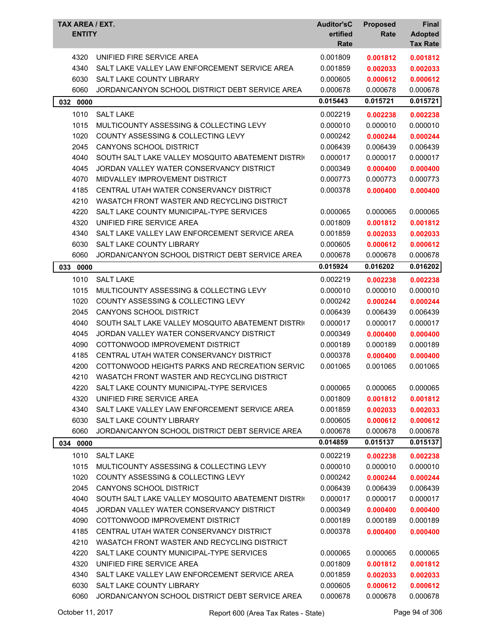| TAX AREA / EXT.<br><b>ENTITY</b> |                                                   | <b>Auditor'sC</b><br>ertified<br>Rate | <b>Proposed</b><br>Rate | <b>Final</b><br><b>Adopted</b><br><b>Tax Rate</b> |
|----------------------------------|---------------------------------------------------|---------------------------------------|-------------------------|---------------------------------------------------|
| 4320                             | UNIFIED FIRE SERVICE AREA                         | 0.001809                              | 0.001812                | 0.001812                                          |
| 4340                             | SALT LAKE VALLEY LAW ENFORCEMENT SERVICE AREA     | 0.001859                              | 0.002033                | 0.002033                                          |
| 6030                             | <b>SALT LAKE COUNTY LIBRARY</b>                   | 0.000605                              | 0.000612                | 0.000612                                          |
| 6060                             | JORDAN/CANYON SCHOOL DISTRICT DEBT SERVICE AREA   | 0.000678                              | 0.000678                | 0.000678                                          |
| 032 0000                         |                                                   | 0.015443                              | 0.015721                | 0.015721                                          |
| 1010                             | <b>SALT LAKE</b>                                  | 0.002219                              | 0.002238                | 0.002238                                          |
| 1015                             | MULTICOUNTY ASSESSING & COLLECTING LEVY           | 0.000010                              | 0.000010                | 0.000010                                          |
| 1020                             | COUNTY ASSESSING & COLLECTING LEVY                | 0.000242                              | 0.000244                | 0.000244                                          |
| 2045                             | <b>CANYONS SCHOOL DISTRICT</b>                    | 0.006439                              | 0.006439                | 0.006439                                          |
| 4040                             | SOUTH SALT LAKE VALLEY MOSQUITO ABATEMENT DISTRIC | 0.000017                              | 0.000017                | 0.000017                                          |
| 4045                             | JORDAN VALLEY WATER CONSERVANCY DISTRICT          | 0.000349                              | 0.000400                | 0.000400                                          |
| 4070                             | MIDVALLEY IMPROVEMENT DISTRICT                    | 0.000773                              | 0.000773                | 0.000773                                          |
| 4185                             | CENTRAL UTAH WATER CONSERVANCY DISTRICT           | 0.000378                              | 0.000400                | 0.000400                                          |
| 4210                             | WASATCH FRONT WASTER AND RECYCLING DISTRICT       |                                       |                         |                                                   |
| 4220                             | SALT LAKE COUNTY MUNICIPAL-TYPE SERVICES          | 0.000065                              | 0.000065                | 0.000065                                          |
| 4320                             | UNIFIED FIRE SERVICE AREA                         | 0.001809                              | 0.001812                | 0.001812                                          |
| 4340                             | SALT LAKE VALLEY LAW ENFORCEMENT SERVICE AREA     | 0.001859                              | 0.002033                | 0.002033                                          |
| 6030                             | <b>SALT LAKE COUNTY LIBRARY</b>                   | 0.000605                              | 0.000612                | 0.000612                                          |
| 6060                             | JORDAN/CANYON SCHOOL DISTRICT DEBT SERVICE AREA   | 0.000678                              | 0.000678                | 0.000678                                          |
| 033<br>0000                      |                                                   | 0.015924                              | 0.016202                | 0.016202                                          |
| 1010                             | <b>SALT LAKE</b>                                  | 0.002219                              | 0.002238                | 0.002238                                          |
| 1015                             | MULTICOUNTY ASSESSING & COLLECTING LEVY           | 0.000010                              | 0.000010                | 0.000010                                          |
| 1020                             | <b>COUNTY ASSESSING &amp; COLLECTING LEVY</b>     | 0.000242                              | 0.000244                | 0.000244                                          |
| 2045                             | <b>CANYONS SCHOOL DISTRICT</b>                    | 0.006439                              | 0.006439                | 0.006439                                          |
| 4040                             | SOUTH SALT LAKE VALLEY MOSQUITO ABATEMENT DISTRIC | 0.000017                              | 0.000017                | 0.000017                                          |
| 4045                             | JORDAN VALLEY WATER CONSERVANCY DISTRICT          | 0.000349                              | 0.000400                | 0.000400                                          |
| 4090                             | COTTONWOOD IMPROVEMENT DISTRICT                   | 0.000189                              | 0.000189                | 0.000189                                          |
| 4185                             | CENTRAL UTAH WATER CONSERVANCY DISTRICT           | 0.000378                              | 0.000400                | 0.000400                                          |
| 4200                             | COTTONWOOD HEIGHTS PARKS AND RECREATION SERVIC    | 0.001065                              | 0.001065                | 0.001065                                          |
| 4210                             | WASATCH FRONT WASTER AND RECYCLING DISTRICT       |                                       |                         |                                                   |
| 4220                             | SALT LAKE COUNTY MUNICIPAL-TYPE SERVICES          | 0.000065                              | 0.000065                | 0.000065                                          |
| 4320                             | UNIFIED FIRE SERVICE AREA                         | 0.001809                              | 0.001812                | 0.001812                                          |
| 4340                             | SALT LAKE VALLEY LAW ENFORCEMENT SERVICE AREA     | 0.001859                              | 0.002033                | 0.002033                                          |
| 6030                             | <b>SALT LAKE COUNTY LIBRARY</b>                   | 0.000605                              | 0.000612                | 0.000612                                          |
| 6060                             | JORDAN/CANYON SCHOOL DISTRICT DEBT SERVICE AREA   | 0.000678                              | 0.000678                | 0.000678                                          |
| 034 0000                         |                                                   | 0.014859                              | 0.015137                | 0.015137                                          |
| 1010                             | <b>SALT LAKE</b>                                  | 0.002219                              | 0.002238                | 0.002238                                          |
| 1015                             | MULTICOUNTY ASSESSING & COLLECTING LEVY           | 0.000010                              | 0.000010                | 0.000010                                          |
| 1020                             | <b>COUNTY ASSESSING &amp; COLLECTING LEVY</b>     | 0.000242                              | 0.000244                | 0.000244                                          |
| 2045                             | <b>CANYONS SCHOOL DISTRICT</b>                    | 0.006439                              | 0.006439                | 0.006439                                          |
| 4040                             | SOUTH SALT LAKE VALLEY MOSQUITO ABATEMENT DISTRIC | 0.000017                              | 0.000017                | 0.000017                                          |
| 4045                             | JORDAN VALLEY WATER CONSERVANCY DISTRICT          | 0.000349                              | 0.000400                | 0.000400                                          |
| 4090                             | COTTONWOOD IMPROVEMENT DISTRICT                   | 0.000189                              | 0.000189                | 0.000189                                          |
| 4185                             | CENTRAL UTAH WATER CONSERVANCY DISTRICT           | 0.000378                              | 0.000400                | 0.000400                                          |
| 4210                             | WASATCH FRONT WASTER AND RECYCLING DISTRICT       |                                       |                         |                                                   |
| 4220                             | SALT LAKE COUNTY MUNICIPAL-TYPE SERVICES          | 0.000065                              | 0.000065                | 0.000065                                          |
| 4320                             | UNIFIED FIRE SERVICE AREA                         | 0.001809                              | 0.001812                | 0.001812                                          |
| 4340                             | SALT LAKE VALLEY LAW ENFORCEMENT SERVICE AREA     | 0.001859                              | 0.002033                | 0.002033                                          |
| 6030                             | SALT LAKE COUNTY LIBRARY                          | 0.000605                              | 0.000612                | 0.000612                                          |
| 6060                             | JORDAN/CANYON SCHOOL DISTRICT DEBT SERVICE AREA   | 0.000678                              | 0.000678                | 0.000678                                          |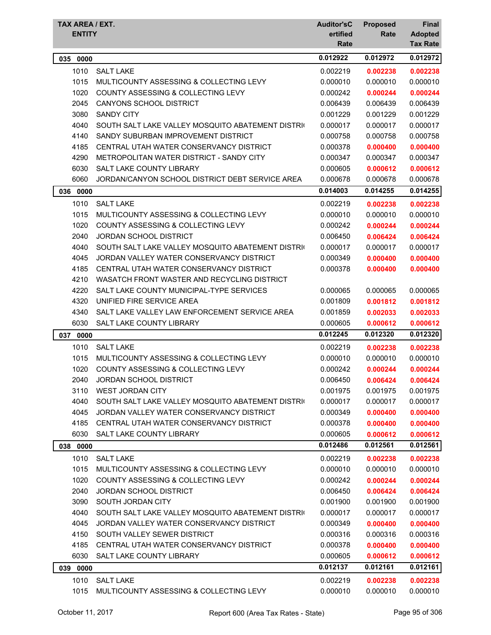| TAX AREA / EXT.<br><b>ENTITY</b> |                                                   | <b>Auditor'sC</b><br>ertified<br>Rate | <b>Proposed</b><br>Rate | <b>Final</b><br><b>Adopted</b><br><b>Tax Rate</b> |
|----------------------------------|---------------------------------------------------|---------------------------------------|-------------------------|---------------------------------------------------|
| 035<br>0000                      |                                                   | 0.012922                              | 0.012972                | 0.012972                                          |
| 1010                             | <b>SALT LAKE</b>                                  | 0.002219                              | 0.002238                | 0.002238                                          |
| 1015                             | MULTICOUNTY ASSESSING & COLLECTING LEVY           | 0.000010                              | 0.000010                | 0.000010                                          |
| 1020                             | <b>COUNTY ASSESSING &amp; COLLECTING LEVY</b>     | 0.000242                              | 0.000244                | 0.000244                                          |
| 2045                             | CANYONS SCHOOL DISTRICT                           | 0.006439                              | 0.006439                | 0.006439                                          |
| 3080                             | <b>SANDY CITY</b>                                 | 0.001229                              | 0.001229                | 0.001229                                          |
| 4040                             | SOUTH SALT LAKE VALLEY MOSQUITO ABATEMENT DISTRIC | 0.000017                              | 0.000017                | 0.000017                                          |
| 4140                             | SANDY SUBURBAN IMPROVEMENT DISTRICT               | 0.000758                              | 0.000758                | 0.000758                                          |
| 4185                             | CENTRAL UTAH WATER CONSERVANCY DISTRICT           | 0.000378                              | 0.000400                | 0.000400                                          |
| 4290                             | METROPOLITAN WATER DISTRICT - SANDY CITY          | 0.000347                              | 0.000347                | 0.000347                                          |
| 6030                             | SALT LAKE COUNTY LIBRARY                          | 0.000605                              | 0.000612                | 0.000612                                          |
| 6060                             | JORDAN/CANYON SCHOOL DISTRICT DEBT SERVICE AREA   | 0.000678                              | 0.000678                | 0.000678                                          |
| 036 0000                         |                                                   | 0.014003                              | 0.014255                | 0.014255                                          |
| 1010                             | <b>SALT LAKE</b>                                  | 0.002219                              | 0.002238                | 0.002238                                          |
| 1015                             | MULTICOUNTY ASSESSING & COLLECTING LEVY           | 0.000010                              | 0.000010                | 0.000010                                          |
| 1020                             | COUNTY ASSESSING & COLLECTING LEVY                | 0.000242                              | 0.000244                | 0.000244                                          |
| 2040                             | <b>JORDAN SCHOOL DISTRICT</b>                     | 0.006450                              | 0.006424                | 0.006424                                          |
| 4040                             | SOUTH SALT LAKE VALLEY MOSQUITO ABATEMENT DISTRIC | 0.000017                              | 0.000017                | 0.000017                                          |
| 4045                             | JORDAN VALLEY WATER CONSERVANCY DISTRICT          | 0.000349                              | 0.000400                | 0.000400                                          |
| 4185                             | CENTRAL UTAH WATER CONSERVANCY DISTRICT           | 0.000378                              | 0.000400                | 0.000400                                          |
| 4210                             | WASATCH FRONT WASTER AND RECYCLING DISTRICT       |                                       |                         |                                                   |
| 4220                             | SALT LAKE COUNTY MUNICIPAL-TYPE SERVICES          | 0.000065                              | 0.000065                | 0.000065                                          |
| 4320                             | UNIFIED FIRE SERVICE AREA                         | 0.001809                              | 0.001812                | 0.001812                                          |
| 4340                             | SALT LAKE VALLEY LAW ENFORCEMENT SERVICE AREA     | 0.001859                              | 0.002033                | 0.002033                                          |
| 6030                             | SALT LAKE COUNTY LIBRARY                          | 0.000605                              | 0.000612                | 0.000612                                          |
| 037 0000                         |                                                   | 0.012245                              | 0.012320                | 0.012320                                          |
| 1010                             | <b>SALT LAKE</b>                                  | 0.002219                              | 0.002238                | 0.002238                                          |
| 1015                             | MULTICOUNTY ASSESSING & COLLECTING LEVY           | 0.000010                              | 0.000010                | 0.000010                                          |
| 1020                             | <b>COUNTY ASSESSING &amp; COLLECTING LEVY</b>     | 0.000242                              | 0.000244                | 0.000244                                          |
| 2040                             | JORDAN SCHOOL DISTRICT                            | 0.006450                              | 0.006424                | 0.006424                                          |
| 3110                             | <b>WEST JORDAN CITY</b>                           | 0.001975                              | 0.001975                | 0.001975                                          |
| 4040                             | SOUTH SALT LAKE VALLEY MOSQUITO ABATEMENT DISTRIC | 0.000017                              | 0.000017                | 0.000017                                          |
| 4045                             | JORDAN VALLEY WATER CONSERVANCY DISTRICT          | 0.000349                              | 0.000400                | 0.000400                                          |
| 4185                             | CENTRAL UTAH WATER CONSERVANCY DISTRICT           | 0.000378                              | 0.000400                | 0.000400                                          |
| 6030                             | SALT LAKE COUNTY LIBRARY                          | 0.000605                              | 0.000612                | 0.000612                                          |
| 038 0000                         |                                                   | 0.012486                              | 0.012561                | 0.012561                                          |
| 1010                             | <b>SALT LAKE</b>                                  | 0.002219                              | 0.002238                | 0.002238                                          |
| 1015                             | MULTICOUNTY ASSESSING & COLLECTING LEVY           | 0.000010                              | 0.000010                | 0.000010                                          |
| 1020                             | COUNTY ASSESSING & COLLECTING LEVY                | 0.000242                              | 0.000244                | 0.000244                                          |
| 2040                             | <b>JORDAN SCHOOL DISTRICT</b>                     | 0.006450                              | 0.006424                | 0.006424                                          |
| 3090                             | SOUTH JORDAN CITY                                 | 0.001900                              | 0.001900                | 0.001900                                          |
| 4040                             | SOUTH SALT LAKE VALLEY MOSQUITO ABATEMENT DISTRIC | 0.000017                              | 0.000017                | 0.000017                                          |
| 4045                             | JORDAN VALLEY WATER CONSERVANCY DISTRICT          | 0.000349                              | 0.000400                | 0.000400                                          |
| 4150                             | SOUTH VALLEY SEWER DISTRICT                       | 0.000316                              | 0.000316                | 0.000316                                          |
| 4185                             | CENTRAL UTAH WATER CONSERVANCY DISTRICT           | 0.000378                              | 0.000400                | 0.000400                                          |
| 6030                             | SALT LAKE COUNTY LIBRARY                          | 0.000605                              | 0.000612                | 0.000612                                          |
|                                  |                                                   | 0.012137                              | 0.012161                | 0.012161                                          |
| 039<br>0000                      |                                                   |                                       |                         |                                                   |
| 1010                             | <b>SALT LAKE</b>                                  | 0.002219                              | 0.002238                | 0.002238                                          |
| 1015                             | MULTICOUNTY ASSESSING & COLLECTING LEVY           | 0.000010                              | 0.000010                | 0.000010                                          |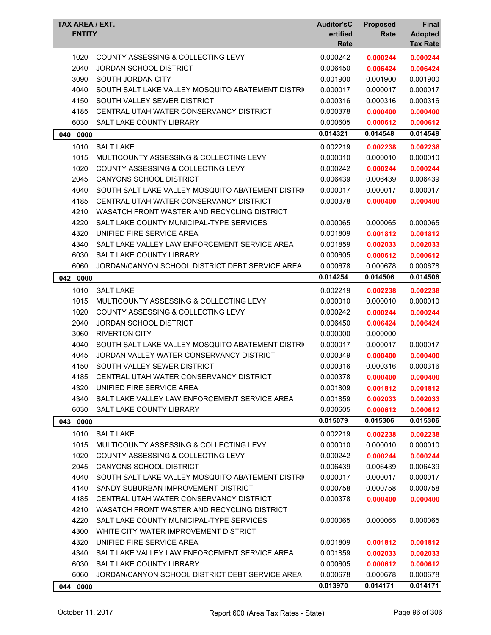| TAX AREA / EXT.<br><b>ENTITY</b> |                                                   | <b>Auditor'sC</b><br>ertified<br>Rate | <b>Proposed</b><br>Rate | Final<br><b>Adopted</b><br><b>Tax Rate</b> |
|----------------------------------|---------------------------------------------------|---------------------------------------|-------------------------|--------------------------------------------|
| 1020                             | COUNTY ASSESSING & COLLECTING LEVY                | 0.000242                              | 0.000244                | 0.000244                                   |
| 2040                             | JORDAN SCHOOL DISTRICT                            | 0.006450                              | 0.006424                | 0.006424                                   |
| 3090                             | SOUTH JORDAN CITY                                 | 0.001900                              | 0.001900                | 0.001900                                   |
| 4040                             | SOUTH SALT LAKE VALLEY MOSQUITO ABATEMENT DISTRIC | 0.000017                              | 0.000017                | 0.000017                                   |
| 4150                             | SOUTH VALLEY SEWER DISTRICT                       | 0.000316                              | 0.000316                | 0.000316                                   |
| 4185                             | CENTRAL UTAH WATER CONSERVANCY DISTRICT           | 0.000378                              | 0.000400                | 0.000400                                   |
| 6030                             | SALT LAKE COUNTY LIBRARY                          | 0.000605                              | 0.000612                | 0.000612                                   |
| 040 0000                         |                                                   | 0.014321                              | 0.014548                | 0.014548                                   |
| 1010                             | <b>SALT LAKE</b>                                  | 0.002219                              | 0.002238                | 0.002238                                   |
| 1015                             | MULTICOUNTY ASSESSING & COLLECTING LEVY           | 0.000010                              | 0.000010                | 0.000010                                   |
| 1020                             | COUNTY ASSESSING & COLLECTING LEVY                | 0.000242                              | 0.000244                | 0.000244                                   |
| 2045                             | <b>CANYONS SCHOOL DISTRICT</b>                    | 0.006439                              | 0.006439                | 0.006439                                   |
| 4040                             | SOUTH SALT LAKE VALLEY MOSQUITO ABATEMENT DISTRIC | 0.000017                              | 0.000017                | 0.000017                                   |
| 4185                             | CENTRAL UTAH WATER CONSERVANCY DISTRICT           | 0.000378                              | 0.000400                | 0.000400                                   |
| 4210                             | WASATCH FRONT WASTER AND RECYCLING DISTRICT       |                                       |                         |                                            |
| 4220                             | SALT LAKE COUNTY MUNICIPAL-TYPE SERVICES          | 0.000065                              | 0.000065                | 0.000065                                   |
| 4320                             | UNIFIED FIRE SERVICE AREA                         | 0.001809                              | 0.001812                | 0.001812                                   |
| 4340                             | SALT LAKE VALLEY LAW ENFORCEMENT SERVICE AREA     | 0.001859                              | 0.002033                | 0.002033                                   |
| 6030                             | <b>SALT LAKE COUNTY LIBRARY</b>                   | 0.000605                              | 0.000612                | 0.000612                                   |
| 6060                             | JORDAN/CANYON SCHOOL DISTRICT DEBT SERVICE AREA   | 0.000678                              | 0.000678                | 0.000678                                   |
| 042 0000                         |                                                   | 0.014254                              | 0.014506                | 0.014506                                   |
| 1010                             | <b>SALT LAKE</b>                                  | 0.002219                              | 0.002238                | 0.002238                                   |
| 1015                             | MULTICOUNTY ASSESSING & COLLECTING LEVY           | 0.000010                              | 0.000010                | 0.000010                                   |
| 1020                             | <b>COUNTY ASSESSING &amp; COLLECTING LEVY</b>     | 0.000242                              | 0.000244                | 0.000244                                   |
| 2040                             | <b>JORDAN SCHOOL DISTRICT</b>                     | 0.006450                              | 0.006424                | 0.006424                                   |
| 3060                             | <b>RIVERTON CITY</b>                              | 0.000000                              | 0.000000                |                                            |
| 4040                             | SOUTH SALT LAKE VALLEY MOSQUITO ABATEMENT DISTRIC | 0.000017                              | 0.000017                | 0.000017                                   |
| 4045                             | JORDAN VALLEY WATER CONSERVANCY DISTRICT          | 0.000349                              | 0.000400                | 0.000400                                   |
| 4150                             | SOUTH VALLEY SEWER DISTRICT                       | 0.000316                              | 0.000316                | 0.000316                                   |
| 4185                             | CENTRAL UTAH WATER CONSERVANCY DISTRICT           | 0.000378                              | 0.000400                | 0.000400                                   |
| 4320                             | UNIFIED FIRE SERVICE AREA                         | 0.001809                              | 0.001812                | 0.001812                                   |
| 4340                             | SALT LAKE VALLEY LAW ENFORCEMENT SERVICE AREA     | 0.001859                              | 0.002033                | 0.002033                                   |
| 6030                             | SALT LAKE COUNTY LIBRARY                          | 0.000605                              | 0.000612                | 0.000612                                   |
| 043 0000                         |                                                   | 0.015079                              | 0.015306                | 0.015306                                   |
| 1010                             | <b>SALT LAKE</b>                                  | 0.002219                              | 0.002238                | 0.002238                                   |
| 1015                             | MULTICOUNTY ASSESSING & COLLECTING LEVY           | 0.000010                              | 0.000010                | 0.000010                                   |
| 1020                             | COUNTY ASSESSING & COLLECTING LEVY                | 0.000242                              | 0.000244                | 0.000244                                   |
| 2045                             | CANYONS SCHOOL DISTRICT                           | 0.006439                              | 0.006439                | 0.006439                                   |
| 4040                             | SOUTH SALT LAKE VALLEY MOSQUITO ABATEMENT DISTRIC | 0.000017                              | 0.000017                | 0.000017                                   |
| 4140                             | SANDY SUBURBAN IMPROVEMENT DISTRICT               | 0.000758                              | 0.000758                | 0.000758                                   |
| 4185                             | CENTRAL UTAH WATER CONSERVANCY DISTRICT           | 0.000378                              | 0.000400                | 0.000400                                   |
| 4210                             | WASATCH FRONT WASTER AND RECYCLING DISTRICT       |                                       |                         |                                            |
| 4220                             | SALT LAKE COUNTY MUNICIPAL-TYPE SERVICES          | 0.000065                              | 0.000065                | 0.000065                                   |
| 4300                             | WHITE CITY WATER IMPROVEMENT DISTRICT             |                                       |                         |                                            |
| 4320                             | UNIFIED FIRE SERVICE AREA                         | 0.001809                              | 0.001812                | 0.001812                                   |
| 4340                             | SALT LAKE VALLEY LAW ENFORCEMENT SERVICE AREA     | 0.001859                              | 0.002033                | 0.002033                                   |
| 6030                             | SALT LAKE COUNTY LIBRARY                          | 0.000605                              | 0.000612                | 0.000612                                   |
| 6060                             | JORDAN/CANYON SCHOOL DISTRICT DEBT SERVICE AREA   | 0.000678                              | 0.000678                | 0.000678                                   |
| 044 0000                         |                                                   | 0.013970                              | 0.014171                | 0.014171                                   |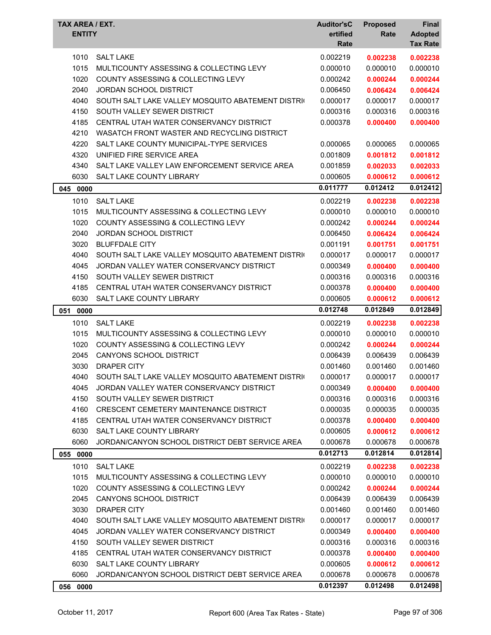| TAX AREA / EXT.<br><b>ENTITY</b> |                                                   | <b>Auditor'sC</b><br>ertified<br>Rate | <b>Proposed</b><br>Rate | Final<br><b>Adopted</b><br><b>Tax Rate</b> |
|----------------------------------|---------------------------------------------------|---------------------------------------|-------------------------|--------------------------------------------|
| 1010                             | <b>SALT LAKE</b>                                  | 0.002219                              | 0.002238                | 0.002238                                   |
| 1015                             | MULTICOUNTY ASSESSING & COLLECTING LEVY           | 0.000010                              | 0.000010                | 0.000010                                   |
| 1020                             | COUNTY ASSESSING & COLLECTING LEVY                | 0.000242                              | 0.000244                | 0.000244                                   |
| 2040                             | <b>JORDAN SCHOOL DISTRICT</b>                     | 0.006450                              | 0.006424                | 0.006424                                   |
| 4040                             | SOUTH SALT LAKE VALLEY MOSQUITO ABATEMENT DISTRIC | 0.000017                              | 0.000017                | 0.000017                                   |
| 4150                             | SOUTH VALLEY SEWER DISTRICT                       | 0.000316                              | 0.000316                | 0.000316                                   |
| 4185                             | CENTRAL UTAH WATER CONSERVANCY DISTRICT           | 0.000378                              | 0.000400                | 0.000400                                   |
| 4210                             | WASATCH FRONT WASTER AND RECYCLING DISTRICT       |                                       |                         |                                            |
| 4220                             | SALT LAKE COUNTY MUNICIPAL-TYPE SERVICES          | 0.000065                              | 0.000065                | 0.000065                                   |
| 4320                             | UNIFIED FIRE SERVICE AREA                         | 0.001809                              | 0.001812                | 0.001812                                   |
| 4340                             | SALT LAKE VALLEY LAW ENFORCEMENT SERVICE AREA     | 0.001859                              | 0.002033                | 0.002033                                   |
| 6030                             | <b>SALT LAKE COUNTY LIBRARY</b>                   | 0.000605                              | 0.000612                | 0.000612                                   |
| 045 0000                         |                                                   | 0.011777                              | 0.012412                | 0.012412                                   |
| 1010                             | <b>SALT LAKE</b>                                  | 0.002219                              | 0.002238                | 0.002238                                   |
| 1015                             | MULTICOUNTY ASSESSING & COLLECTING LEVY           | 0.000010                              | 0.000010                | 0.000010                                   |
| 1020                             | COUNTY ASSESSING & COLLECTING LEVY                | 0.000242                              | 0.000244                | 0.000244                                   |
| 2040                             | <b>JORDAN SCHOOL DISTRICT</b>                     | 0.006450                              | 0.006424                | 0.006424                                   |
| 3020                             | <b>BLUFFDALE CITY</b>                             | 0.001191                              | 0.001751                | 0.001751                                   |
| 4040                             | SOUTH SALT LAKE VALLEY MOSQUITO ABATEMENT DISTRIC | 0.000017                              | 0.000017                | 0.000017                                   |
| 4045                             | JORDAN VALLEY WATER CONSERVANCY DISTRICT          | 0.000349                              | 0.000400                | 0.000400                                   |
| 4150                             | SOUTH VALLEY SEWER DISTRICT                       | 0.000316                              | 0.000316                | 0.000316                                   |
| 4185                             | CENTRAL UTAH WATER CONSERVANCY DISTRICT           | 0.000378                              | 0.000400                | 0.000400                                   |
| 6030                             | SALT LAKE COUNTY LIBRARY                          | 0.000605                              | 0.000612                | 0.000612                                   |
| 051 0000                         |                                                   | 0.012748                              | 0.012849                | 0.012849                                   |
| 1010                             | <b>SALT LAKE</b>                                  | 0.002219                              | 0.002238                | 0.002238                                   |
| 1015                             | MULTICOUNTY ASSESSING & COLLECTING LEVY           | 0.000010                              | 0.000010                | 0.000010                                   |
| 1020                             | COUNTY ASSESSING & COLLECTING LEVY                | 0.000242                              | 0.000244                | 0.000244                                   |
| 2045                             | CANYONS SCHOOL DISTRICT                           | 0.006439                              | 0.006439                | 0.006439                                   |
| 3030                             | <b>DRAPER CITY</b>                                | 0.001460                              | 0.001460                | 0.001460                                   |
| 4040                             | SOUTH SALT LAKE VALLEY MOSQUITO ABATEMENT DISTRIC | 0.000017                              | 0.000017                | 0.000017                                   |
| 4045                             | JORDAN VALLEY WATER CONSERVANCY DISTRICT          | 0.000349                              | 0.000400                | 0.000400                                   |
| 4150                             | SOUTH VALLEY SEWER DISTRICT                       | 0.000316                              | 0.000316                | 0.000316                                   |
| 4160                             | CRESCENT CEMETERY MAINTENANCE DISTRICT            | 0.000035                              | 0.000035                | 0.000035                                   |
| 4185                             | CENTRAL UTAH WATER CONSERVANCY DISTRICT           | 0.000378                              | 0.000400                | 0.000400                                   |
| 6030                             | SALT LAKE COUNTY LIBRARY                          | 0.000605                              | 0.000612                | 0.000612                                   |
| 6060                             | JORDAN/CANYON SCHOOL DISTRICT DEBT SERVICE AREA   | 0.000678                              | 0.000678                | 0.000678                                   |
| 055 0000                         |                                                   | 0.012713                              | 0.012814                | 0.012814                                   |
|                                  |                                                   |                                       |                         |                                            |
| 1010                             | <b>SALT LAKE</b>                                  | 0.002219                              | 0.002238<br>0.000010    | 0.002238                                   |
| 1015                             | MULTICOUNTY ASSESSING & COLLECTING LEVY           | 0.000010                              |                         | 0.000010                                   |
| 1020                             | COUNTY ASSESSING & COLLECTING LEVY                | 0.000242                              | 0.000244                | 0.000244                                   |
| 2045                             | <b>CANYONS SCHOOL DISTRICT</b>                    | 0.006439                              | 0.006439                | 0.006439                                   |
| 3030                             | DRAPER CITY                                       | 0.001460                              | 0.001460                | 0.001460                                   |
| 4040                             | SOUTH SALT LAKE VALLEY MOSQUITO ABATEMENT DISTRIC | 0.000017                              | 0.000017                | 0.000017                                   |
| 4045                             | JORDAN VALLEY WATER CONSERVANCY DISTRICT          | 0.000349                              | 0.000400                | 0.000400                                   |
| 4150                             | SOUTH VALLEY SEWER DISTRICT                       | 0.000316                              | 0.000316                | 0.000316                                   |
| 4185                             | CENTRAL UTAH WATER CONSERVANCY DISTRICT           | 0.000378                              | 0.000400                | 0.000400                                   |
| 6030                             | SALT LAKE COUNTY LIBRARY                          | 0.000605                              | 0.000612                | 0.000612                                   |
| 6060                             | JORDAN/CANYON SCHOOL DISTRICT DEBT SERVICE AREA   | 0.000678                              | 0.000678                | 0.000678                                   |
| 056 0000                         |                                                   | 0.012397                              | 0.012498                | 0.012498                                   |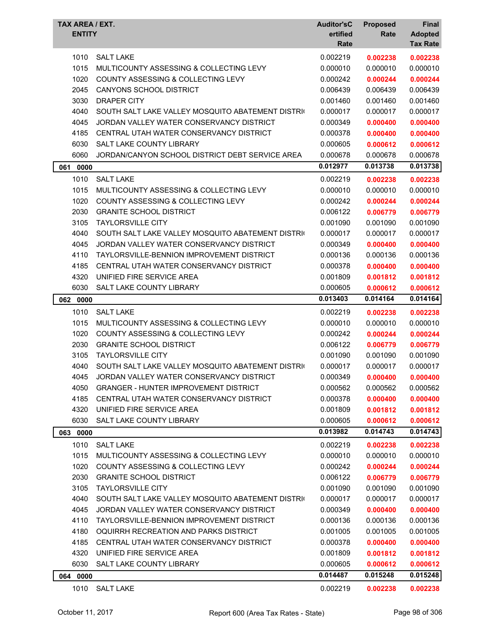| TAX AREA / EXT.<br><b>ENTITY</b> |                                                   | <b>Auditor'sC</b><br>ertified<br>Rate | <b>Proposed</b><br>Rate | <b>Final</b><br><b>Adopted</b><br><b>Tax Rate</b> |
|----------------------------------|---------------------------------------------------|---------------------------------------|-------------------------|---------------------------------------------------|
| 1010                             | <b>SALT LAKE</b>                                  | 0.002219                              | 0.002238                | 0.002238                                          |
| 1015                             | MULTICOUNTY ASSESSING & COLLECTING LEVY           | 0.000010                              | 0.000010                | 0.000010                                          |
| 1020                             | COUNTY ASSESSING & COLLECTING LEVY                | 0.000242                              | 0.000244                | 0.000244                                          |
| 2045                             | CANYONS SCHOOL DISTRICT                           | 0.006439                              | 0.006439                | 0.006439                                          |
| 3030                             | <b>DRAPER CITY</b>                                | 0.001460                              | 0.001460                | 0.001460                                          |
| 4040                             | SOUTH SALT LAKE VALLEY MOSQUITO ABATEMENT DISTRIC | 0.000017                              | 0.000017                | 0.000017                                          |
| 4045                             | JORDAN VALLEY WATER CONSERVANCY DISTRICT          | 0.000349                              | 0.000400                | 0.000400                                          |
| 4185                             | CENTRAL UTAH WATER CONSERVANCY DISTRICT           | 0.000378                              | 0.000400                | 0.000400                                          |
| 6030                             | SALT LAKE COUNTY LIBRARY                          | 0.000605                              | 0.000612                | 0.000612                                          |
| 6060                             | JORDAN/CANYON SCHOOL DISTRICT DEBT SERVICE AREA   | 0.000678                              | 0.000678                | 0.000678                                          |
| 061<br>0000                      |                                                   | 0.012977                              | 0.013738                | 0.013738                                          |
| 1010                             | <b>SALT LAKE</b>                                  | 0.002219                              | 0.002238                | 0.002238                                          |
| 1015                             | MULTICOUNTY ASSESSING & COLLECTING LEVY           | 0.000010                              | 0.000010                | 0.000010                                          |
| 1020                             | <b>COUNTY ASSESSING &amp; COLLECTING LEVY</b>     | 0.000242                              | 0.000244                | 0.000244                                          |
| 2030                             | <b>GRANITE SCHOOL DISTRICT</b>                    | 0.006122                              | 0.006779                | 0.006779                                          |
| 3105                             | <b>TAYLORSVILLE CITY</b>                          | 0.001090                              | 0.001090                | 0.001090                                          |
| 4040                             | SOUTH SALT LAKE VALLEY MOSQUITO ABATEMENT DISTRIC | 0.000017                              | 0.000017                | 0.000017                                          |
| 4045                             | JORDAN VALLEY WATER CONSERVANCY DISTRICT          | 0.000349                              | 0.000400                | 0.000400                                          |
| 4110                             | TAYLORSVILLE-BENNION IMPROVEMENT DISTRICT         | 0.000136                              | 0.000136                | 0.000136                                          |
| 4185                             | CENTRAL UTAH WATER CONSERVANCY DISTRICT           | 0.000378                              | 0.000400                | 0.000400                                          |
| 4320                             | UNIFIED FIRE SERVICE AREA                         | 0.001809                              | 0.001812                | 0.001812                                          |
| 6030                             | SALT LAKE COUNTY LIBRARY                          | 0.000605                              | 0.000612                | 0.000612                                          |
| 062 0000                         |                                                   | 0.013403                              | 0.014164                | 0.014164                                          |
| 1010                             | <b>SALT LAKE</b>                                  | 0.002219                              | 0.002238                | 0.002238                                          |
| 1015                             | MULTICOUNTY ASSESSING & COLLECTING LEVY           | 0.000010                              | 0.000010                | 0.000010                                          |
| 1020                             | <b>COUNTY ASSESSING &amp; COLLECTING LEVY</b>     | 0.000242                              | 0.000244                | 0.000244                                          |
| 2030                             | <b>GRANITE SCHOOL DISTRICT</b>                    | 0.006122                              | 0.006779                | 0.006779                                          |
| 3105                             | <b>TAYLORSVILLE CITY</b>                          | 0.001090                              | 0.001090                | 0.001090                                          |
| 4040                             | SOUTH SALT LAKE VALLEY MOSQUITO ABATEMENT DISTRIC | 0.000017                              | 0.000017                | 0.000017                                          |
| 4045                             | JORDAN VALLEY WATER CONSERVANCY DISTRICT          | 0.000349                              | 0.000400                | 0.000400                                          |
| 4050                             | <b>GRANGER - HUNTER IMPROVEMENT DISTRICT</b>      | 0.000562                              | 0.000562                | 0.000562                                          |
| 4185                             | CENTRAL UTAH WATER CONSERVANCY DISTRICT           | 0.000378                              | 0.000400                | 0.000400                                          |
| 4320                             | UNIFIED FIRE SERVICE AREA                         | 0.001809                              | 0.001812                | 0.001812                                          |
| 6030                             | SALT LAKE COUNTY LIBRARY                          | 0.000605                              | 0.000612                | 0.000612                                          |
| 063 0000                         |                                                   | 0.013982                              | 0.014743                | 0.014743                                          |
| 1010                             | <b>SALT LAKE</b>                                  | 0.002219                              | 0.002238                | 0.002238                                          |
| 1015                             | MULTICOUNTY ASSESSING & COLLECTING LEVY           | 0.000010                              | 0.000010                | 0.000010                                          |
| 1020                             | COUNTY ASSESSING & COLLECTING LEVY                | 0.000242                              | 0.000244                | 0.000244                                          |
| 2030                             | <b>GRANITE SCHOOL DISTRICT</b>                    | 0.006122                              | 0.006779                | 0.006779                                          |
| 3105                             | <b>TAYLORSVILLE CITY</b>                          | 0.001090                              | 0.001090                | 0.001090                                          |
| 4040                             | SOUTH SALT LAKE VALLEY MOSQUITO ABATEMENT DISTRIC | 0.000017                              | 0.000017                | 0.000017                                          |
| 4045                             | JORDAN VALLEY WATER CONSERVANCY DISTRICT          | 0.000349                              | 0.000400                | 0.000400                                          |
| 4110                             | TAYLORSVILLE-BENNION IMPROVEMENT DISTRICT         | 0.000136                              | 0.000136                | 0.000136                                          |
| 4180                             | OQUIRRH RECREATION AND PARKS DISTRICT             | 0.001005                              | 0.001005                | 0.001005                                          |
| 4185                             | CENTRAL UTAH WATER CONSERVANCY DISTRICT           | 0.000378                              | 0.000400                | 0.000400                                          |
| 4320                             | UNIFIED FIRE SERVICE AREA                         | 0.001809                              | 0.001812                | 0.001812                                          |
| 6030                             | SALT LAKE COUNTY LIBRARY                          | 0.000605                              | 0.000612                | 0.000612                                          |
| 064 0000                         |                                                   | 0.014487                              | 0.015248                | 0.015248                                          |
| 1010                             | <b>SALT LAKE</b>                                  | 0.002219                              | 0.002238                | 0.002238                                          |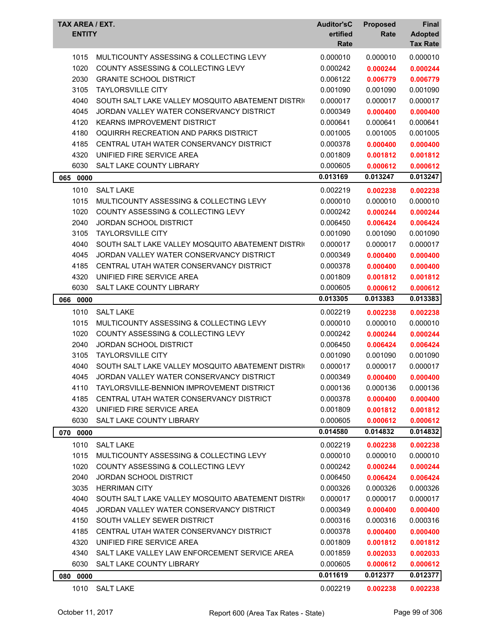| <b>TAX AREA / EXT.</b><br><b>ENTITY</b> |                                                   | <b>Auditor'sC</b><br>ertified<br>Rate | <b>Proposed</b><br>Rate | <b>Final</b><br><b>Adopted</b><br><b>Tax Rate</b> |
|-----------------------------------------|---------------------------------------------------|---------------------------------------|-------------------------|---------------------------------------------------|
| 1015                                    | MULTICOUNTY ASSESSING & COLLECTING LEVY           | 0.000010                              | 0.000010                | 0.000010                                          |
| 1020                                    | COUNTY ASSESSING & COLLECTING LEVY                | 0.000242                              | 0.000244                | 0.000244                                          |
| 2030                                    | <b>GRANITE SCHOOL DISTRICT</b>                    | 0.006122                              | 0.006779                | 0.006779                                          |
| 3105                                    | <b>TAYLORSVILLE CITY</b>                          | 0.001090                              | 0.001090                | 0.001090                                          |
| 4040                                    | SOUTH SALT LAKE VALLEY MOSQUITO ABATEMENT DISTRIC | 0.000017                              | 0.000017                | 0.000017                                          |
| 4045                                    | JORDAN VALLEY WATER CONSERVANCY DISTRICT          | 0.000349                              | 0.000400                | 0.000400                                          |
| 4120                                    | <b>KEARNS IMPROVEMENT DISTRICT</b>                | 0.000641                              | 0.000641                | 0.000641                                          |
| 4180                                    | OQUIRRH RECREATION AND PARKS DISTRICT             | 0.001005                              | 0.001005                | 0.001005                                          |
| 4185                                    | CENTRAL UTAH WATER CONSERVANCY DISTRICT           | 0.000378                              | 0.000400                | 0.000400                                          |
| 4320                                    | UNIFIED FIRE SERVICE AREA                         | 0.001809                              | 0.001812                | 0.001812                                          |
| 6030                                    | SALT LAKE COUNTY LIBRARY                          | 0.000605                              | 0.000612                | 0.000612                                          |
| 065 0000                                |                                                   | 0.013169                              | 0.013247                | 0.013247                                          |
| 1010                                    | <b>SALT LAKE</b>                                  | 0.002219                              | 0.002238                | 0.002238                                          |
| 1015                                    | MULTICOUNTY ASSESSING & COLLECTING LEVY           | 0.000010                              | 0.000010                | 0.000010                                          |
| 1020                                    | <b>COUNTY ASSESSING &amp; COLLECTING LEVY</b>     | 0.000242                              | 0.000244                | 0.000244                                          |
| 2040                                    | <b>JORDAN SCHOOL DISTRICT</b>                     | 0.006450                              | 0.006424                | 0.006424                                          |
| 3105                                    | <b>TAYLORSVILLE CITY</b>                          | 0.001090                              | 0.001090                | 0.001090                                          |
| 4040                                    | SOUTH SALT LAKE VALLEY MOSQUITO ABATEMENT DISTRIC | 0.000017                              | 0.000017                | 0.000017                                          |
| 4045                                    | JORDAN VALLEY WATER CONSERVANCY DISTRICT          | 0.000349                              | 0.000400                | 0.000400                                          |
| 4185                                    | CENTRAL UTAH WATER CONSERVANCY DISTRICT           | 0.000378                              | 0.000400                | 0.000400                                          |
| 4320                                    | UNIFIED FIRE SERVICE AREA                         | 0.001809                              | 0.001812                | 0.001812                                          |
| 6030                                    | SALT LAKE COUNTY LIBRARY                          | 0.000605                              | 0.000612                | 0.000612                                          |
| 066<br>0000                             |                                                   | 0.013305                              | 0.013383                | 0.013383                                          |
| 1010                                    | <b>SALT LAKE</b>                                  | 0.002219                              | 0.002238                | 0.002238                                          |
| 1015                                    | MULTICOUNTY ASSESSING & COLLECTING LEVY           | 0.000010                              | 0.000010                | 0.000010                                          |
| 1020                                    | COUNTY ASSESSING & COLLECTING LEVY                | 0.000242                              | 0.000244                | 0.000244                                          |
| 2040                                    | <b>JORDAN SCHOOL DISTRICT</b>                     | 0.006450                              | 0.006424                | 0.006424                                          |
| 3105                                    | <b>TAYLORSVILLE CITY</b>                          | 0.001090                              | 0.001090                | 0.001090                                          |
| 4040                                    | SOUTH SALT LAKE VALLEY MOSQUITO ABATEMENT DISTRIC | 0.000017                              | 0.000017                | 0.000017                                          |
| 4045                                    | JORDAN VALLEY WATER CONSERVANCY DISTRICT          | 0.000349                              | 0.000400                | 0.000400                                          |
| 4110                                    | TAYLORSVILLE-BENNION IMPROVEMENT DISTRICT         | 0.000136                              | 0.000136                | 0.000136                                          |
| 4185                                    | CENTRAL UTAH WATER CONSERVANCY DISTRICT           | 0.000378                              | 0.000400                | 0.000400                                          |
| 4320                                    | UNIFIED FIRE SERVICE AREA                         | 0.001809                              | 0.001812                | 0.001812                                          |
| 6030                                    | SALT LAKE COUNTY LIBRARY                          | 0.000605                              | 0.000612                | 0.000612                                          |
| 070 0000                                |                                                   | 0.014580                              | 0.014832                | 0.014832                                          |
| 1010                                    | <b>SALT LAKE</b>                                  | 0.002219                              | 0.002238                | 0.002238                                          |
| 1015                                    | MULTICOUNTY ASSESSING & COLLECTING LEVY           | 0.000010                              | 0.000010                | 0.000010                                          |
| 1020                                    | COUNTY ASSESSING & COLLECTING LEVY                | 0.000242                              | 0.000244                | 0.000244                                          |
| 2040                                    | JORDAN SCHOOL DISTRICT                            | 0.006450                              | 0.006424                | 0.006424                                          |
| 3035                                    | <b>HERRIMAN CITY</b>                              | 0.000326                              | 0.000326                | 0.000326                                          |
| 4040                                    | SOUTH SALT LAKE VALLEY MOSQUITO ABATEMENT DISTRIC | 0.000017                              | 0.000017                | 0.000017                                          |
| 4045                                    | JORDAN VALLEY WATER CONSERVANCY DISTRICT          | 0.000349                              | 0.000400                | 0.000400                                          |
| 4150                                    | SOUTH VALLEY SEWER DISTRICT                       | 0.000316                              | 0.000316                | 0.000316                                          |
| 4185                                    | CENTRAL UTAH WATER CONSERVANCY DISTRICT           | 0.000378                              | 0.000400                | 0.000400                                          |
| 4320                                    | UNIFIED FIRE SERVICE AREA                         | 0.001809                              | 0.001812                | 0.001812                                          |
| 4340                                    | SALT LAKE VALLEY LAW ENFORCEMENT SERVICE AREA     | 0.001859                              | 0.002033                | 0.002033                                          |
| 6030                                    | SALT LAKE COUNTY LIBRARY                          | 0.000605                              | 0.000612                | 0.000612                                          |
| 080 0000                                |                                                   | 0.011619                              | 0.012377                | 0.012377                                          |
| 1010                                    | <b>SALT LAKE</b>                                  | 0.002219                              | 0.002238                | 0.002238                                          |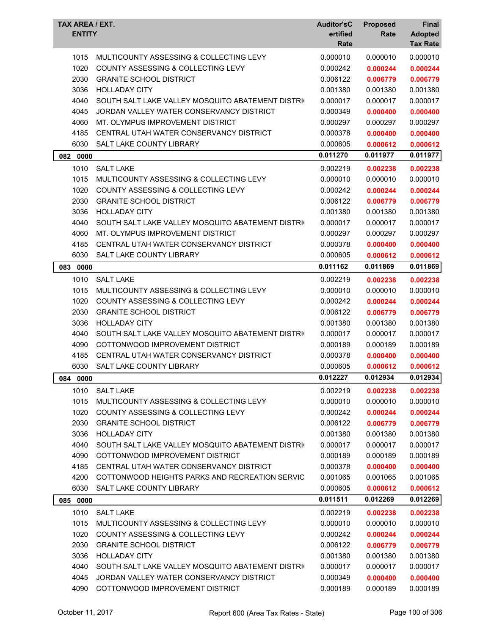| TAX AREA / EXT.<br><b>ENTITY</b> |                                                   | <b>Auditor'sC</b><br>ertified<br>Rate | <b>Proposed</b><br>Rate | Final<br><b>Adopted</b><br><b>Tax Rate</b> |
|----------------------------------|---------------------------------------------------|---------------------------------------|-------------------------|--------------------------------------------|
| 1015                             | MULTICOUNTY ASSESSING & COLLECTING LEVY           | 0.000010                              | 0.000010                | 0.000010                                   |
| 1020                             | COUNTY ASSESSING & COLLECTING LEVY                | 0.000242                              | 0.000244                | 0.000244                                   |
| 2030                             | <b>GRANITE SCHOOL DISTRICT</b>                    | 0.006122                              | 0.006779                | 0.006779                                   |
| 3036                             | <b>HOLLADAY CITY</b>                              | 0.001380                              | 0.001380                | 0.001380                                   |
| 4040                             | SOUTH SALT LAKE VALLEY MOSQUITO ABATEMENT DISTRIC | 0.000017                              | 0.000017                | 0.000017                                   |
| 4045                             | JORDAN VALLEY WATER CONSERVANCY DISTRICT          | 0.000349                              | 0.000400                | 0.000400                                   |
| 4060                             | MT. OLYMPUS IMPROVEMENT DISTRICT                  | 0.000297                              | 0.000297                | 0.000297                                   |
| 4185                             | CENTRAL UTAH WATER CONSERVANCY DISTRICT           | 0.000378                              | 0.000400                | 0.000400                                   |
| 6030                             | SALT LAKE COUNTY LIBRARY                          | 0.000605                              | 0.000612                | 0.000612                                   |
| 082<br>0000                      |                                                   | 0.011270                              | 0.011977                | 0.011977                                   |
| 1010                             | <b>SALT LAKE</b>                                  | 0.002219                              | 0.002238                | 0.002238                                   |
| 1015                             | MULTICOUNTY ASSESSING & COLLECTING LEVY           | 0.000010                              | 0.000010                | 0.000010                                   |
| 1020                             | COUNTY ASSESSING & COLLECTING LEVY                | 0.000242                              | 0.000244                | 0.000244                                   |
| 2030                             | <b>GRANITE SCHOOL DISTRICT</b>                    | 0.006122                              | 0.006779                | 0.006779                                   |
| 3036                             | <b>HOLLADAY CITY</b>                              | 0.001380                              | 0.001380                | 0.001380                                   |
| 4040                             | SOUTH SALT LAKE VALLEY MOSQUITO ABATEMENT DISTRIC | 0.000017                              | 0.000017                | 0.000017                                   |
| 4060                             | MT. OLYMPUS IMPROVEMENT DISTRICT                  | 0.000297                              | 0.000297                | 0.000297                                   |
| 4185                             | CENTRAL UTAH WATER CONSERVANCY DISTRICT           | 0.000378                              | 0.000400                | 0.000400                                   |
| 6030                             | SALT LAKE COUNTY LIBRARY                          | 0.000605                              | 0.000612                | 0.000612                                   |
| 0000<br>083                      |                                                   | 0.011162                              | 0.011869                | 0.011869                                   |
| 1010                             | <b>SALT LAKE</b>                                  | 0.002219                              | 0.002238                | 0.002238                                   |
| 1015                             | MULTICOUNTY ASSESSING & COLLECTING LEVY           | 0.000010                              | 0.000010                | 0.000010                                   |
| 1020                             | COUNTY ASSESSING & COLLECTING LEVY                | 0.000242                              | 0.000244                | 0.000244                                   |
| 2030                             | <b>GRANITE SCHOOL DISTRICT</b>                    | 0.006122                              | 0.006779                | 0.006779                                   |
| 3036                             | <b>HOLLADAY CITY</b>                              | 0.001380                              | 0.001380                | 0.001380                                   |
| 4040                             | SOUTH SALT LAKE VALLEY MOSQUITO ABATEMENT DISTRIC | 0.000017                              | 0.000017                | 0.000017                                   |
| 4090                             | COTTONWOOD IMPROVEMENT DISTRICT                   | 0.000189                              | 0.000189                | 0.000189                                   |
| 4185                             | CENTRAL UTAH WATER CONSERVANCY DISTRICT           | 0.000378                              | 0.000400                | 0.000400                                   |
| 6030                             | SALT LAKE COUNTY LIBRARY                          | 0.000605                              | 0.000612                | 0.000612                                   |
| 084 0000                         |                                                   | 0.012227                              | 0.012934                | 0.012934                                   |
| 1010                             | <b>SALT LAKE</b>                                  | 0.002219                              | 0.002238                | 0.002238                                   |
| 1015                             | MULTICOUNTY ASSESSING & COLLECTING LEVY           | 0.000010                              | 0.000010                | 0.000010                                   |
| 1020                             | COUNTY ASSESSING & COLLECTING LEVY                | 0.000242                              | 0.000244                | 0.000244                                   |
| 2030                             | <b>GRANITE SCHOOL DISTRICT</b>                    | 0.006122                              | 0.006779                | 0.006779                                   |
| 3036                             | <b>HOLLADAY CITY</b>                              | 0.001380                              | 0.001380                | 0.001380                                   |
| 4040                             | SOUTH SALT LAKE VALLEY MOSQUITO ABATEMENT DISTRIC | 0.000017                              | 0.000017                | 0.000017                                   |
| 4090                             | COTTONWOOD IMPROVEMENT DISTRICT                   | 0.000189                              | 0.000189                | 0.000189                                   |
| 4185                             | CENTRAL UTAH WATER CONSERVANCY DISTRICT           | 0.000378                              | 0.000400                | 0.000400                                   |
| 4200                             | COTTONWOOD HEIGHTS PARKS AND RECREATION SERVIC    | 0.001065                              | 0.001065                | 0.001065                                   |
| 6030                             | SALT LAKE COUNTY LIBRARY                          | 0.000605                              | 0.000612                | 0.000612                                   |
| 085 0000                         |                                                   | 0.011511                              | 0.012269                | 0.012269                                   |
| 1010                             | <b>SALT LAKE</b>                                  | 0.002219                              | 0.002238                | 0.002238                                   |
| 1015                             | MULTICOUNTY ASSESSING & COLLECTING LEVY           | 0.000010                              | 0.000010                | 0.000010                                   |
| 1020                             | COUNTY ASSESSING & COLLECTING LEVY                | 0.000242                              | 0.000244                | 0.000244                                   |
| 2030                             | <b>GRANITE SCHOOL DISTRICT</b>                    | 0.006122                              | 0.006779                | 0.006779                                   |
| 3036                             | <b>HOLLADAY CITY</b>                              | 0.001380                              | 0.001380                | 0.001380                                   |
| 4040                             | SOUTH SALT LAKE VALLEY MOSQUITO ABATEMENT DISTRIC | 0.000017                              | 0.000017                | 0.000017                                   |
| 4045                             | JORDAN VALLEY WATER CONSERVANCY DISTRICT          | 0.000349                              | 0.000400                | 0.000400                                   |
| 4090                             | COTTONWOOD IMPROVEMENT DISTRICT                   | 0.000189                              | 0.000189                | 0.000189                                   |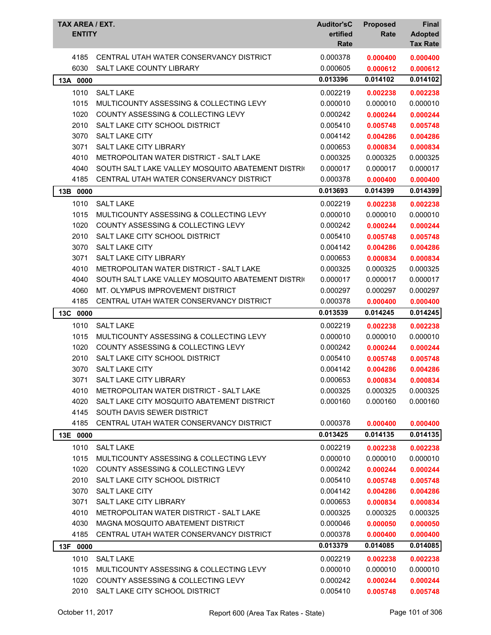| TAX AREA / EXT.<br><b>ENTITY</b> |                                                   | <b>Auditor'sC</b><br>ertified<br>Rate | <b>Proposed</b><br>Rate | Final<br><b>Adopted</b><br><b>Tax Rate</b> |
|----------------------------------|---------------------------------------------------|---------------------------------------|-------------------------|--------------------------------------------|
| 4185                             | CENTRAL UTAH WATER CONSERVANCY DISTRICT           | 0.000378                              | 0.000400                | 0.000400                                   |
| 6030                             | SALT LAKE COUNTY LIBRARY                          | 0.000605                              | 0.000612                | 0.000612                                   |
| 13A 0000                         |                                                   | 0.013396                              | 0.014102                | 0.014102                                   |
| 1010                             | <b>SALT LAKE</b>                                  | 0.002219                              | 0.002238                | 0.002238                                   |
| 1015                             | MULTICOUNTY ASSESSING & COLLECTING LEVY           | 0.000010                              | 0.000010                | 0.000010                                   |
| 1020                             | COUNTY ASSESSING & COLLECTING LEVY                | 0.000242                              | 0.000244                | 0.000244                                   |
| 2010                             | SALT LAKE CITY SCHOOL DISTRICT                    | 0.005410                              | 0.005748                | 0.005748                                   |
| 3070                             | SALT LAKE CITY                                    | 0.004142                              | 0.004286                | 0.004286                                   |
| 3071                             | SALT LAKE CITY LIBRARY                            | 0.000653                              | 0.000834                | 0.000834                                   |
| 4010                             | METROPOLITAN WATER DISTRICT - SALT LAKE           | 0.000325                              | 0.000325                | 0.000325                                   |
| 4040                             | SOUTH SALT LAKE VALLEY MOSQUITO ABATEMENT DISTRIC | 0.000017                              | 0.000017                | 0.000017                                   |
| 4185                             | CENTRAL UTAH WATER CONSERVANCY DISTRICT           | 0.000378                              | 0.000400                | 0.000400                                   |
| 13B 0000                         |                                                   | 0.013693                              | 0.014399                | 0.014399                                   |
| 1010                             | <b>SALT LAKE</b>                                  | 0.002219                              | 0.002238                | 0.002238                                   |
| 1015                             | MULTICOUNTY ASSESSING & COLLECTING LEVY           | 0.000010                              | 0.000010                | 0.000010                                   |
| 1020                             | <b>COUNTY ASSESSING &amp; COLLECTING LEVY</b>     | 0.000242                              | 0.000244                | 0.000244                                   |
| 2010                             | SALT LAKE CITY SCHOOL DISTRICT                    | 0.005410                              | 0.005748                | 0.005748                                   |
| 3070                             | <b>SALT LAKE CITY</b>                             | 0.004142                              | 0.004286                | 0.004286                                   |
| 3071                             | <b>SALT LAKE CITY LIBRARY</b>                     | 0.000653                              | 0.000834                | 0.000834                                   |
| 4010                             | METROPOLITAN WATER DISTRICT - SALT LAKE           | 0.000325                              | 0.000325                | 0.000325                                   |
| 4040                             | SOUTH SALT LAKE VALLEY MOSQUITO ABATEMENT DISTRIC | 0.000017                              | 0.000017                | 0.000017                                   |
| 4060                             | MT. OLYMPUS IMPROVEMENT DISTRICT                  | 0.000297                              | 0.000297                | 0.000297                                   |
| 4185                             | CENTRAL UTAH WATER CONSERVANCY DISTRICT           | 0.000378                              | 0.000400                | 0.000400                                   |
| 13C 0000                         |                                                   | 0.013539                              | 0.014245                | 0.014245                                   |
| 1010                             | <b>SALT LAKE</b>                                  | 0.002219                              | 0.002238                | 0.002238                                   |
| 1015                             | MULTICOUNTY ASSESSING & COLLECTING LEVY           | 0.000010                              | 0.000010                | 0.000010                                   |
| 1020                             | <b>COUNTY ASSESSING &amp; COLLECTING LEVY</b>     | 0.000242                              | 0.000244                | 0.000244                                   |
| 2010                             | SALT LAKE CITY SCHOOL DISTRICT                    | 0.005410                              | 0.005748                | 0.005748                                   |
| 3070                             | <b>SALT LAKE CITY</b>                             | 0.004142                              | 0.004286                | 0.004286                                   |
| 3071                             | SALT LAKE CITY LIBRARY                            | 0.000653                              | 0.000834                | 0.000834                                   |
| 4010                             | METROPOLITAN WATER DISTRICT - SALT LAKE           | 0.000325                              | 0.000325                | 0.000325                                   |
| 4020                             | SALT LAKE CITY MOSQUITO ABATEMENT DISTRICT        | 0.000160                              | 0.000160                | 0.000160                                   |
| 4145                             | SOUTH DAVIS SEWER DISTRICT                        |                                       |                         |                                            |
| 4185                             | CENTRAL UTAH WATER CONSERVANCY DISTRICT           | 0.000378                              | 0.000400                | 0.000400                                   |
| 13E 0000                         |                                                   | 0.013425                              | 0.014135                | 0.014135                                   |
| 1010                             | <b>SALT LAKE</b>                                  | 0.002219                              | 0.002238                | 0.002238                                   |
| 1015                             | MULTICOUNTY ASSESSING & COLLECTING LEVY           | 0.000010                              | 0.000010                | 0.000010                                   |
| 1020                             | COUNTY ASSESSING & COLLECTING LEVY                | 0.000242                              | 0.000244                | 0.000244                                   |
| 2010                             | SALT LAKE CITY SCHOOL DISTRICT                    | 0.005410                              | 0.005748                | 0.005748                                   |
| 3070                             | <b>SALT LAKE CITY</b>                             | 0.004142                              | 0.004286                | 0.004286                                   |
| 3071                             | <b>SALT LAKE CITY LIBRARY</b>                     | 0.000653                              | 0.000834                | 0.000834                                   |
| 4010                             | METROPOLITAN WATER DISTRICT - SALT LAKE           | 0.000325                              | 0.000325                | 0.000325                                   |
| 4030                             | MAGNA MOSQUITO ABATEMENT DISTRICT                 | 0.000046                              | 0.000050                | 0.000050                                   |
| 4185                             | CENTRAL UTAH WATER CONSERVANCY DISTRICT           | 0.000378                              | 0.000400                | 0.000400                                   |
| 13F<br>0000                      |                                                   | 0.013379                              | 0.014085                | 0.014085                                   |
| 1010                             | <b>SALT LAKE</b>                                  | 0.002219                              | 0.002238                | 0.002238                                   |
| 1015                             | MULTICOUNTY ASSESSING & COLLECTING LEVY           | 0.000010                              | 0.000010                | 0.000010                                   |
|                                  |                                                   |                                       |                         |                                            |
| 1020                             | <b>COUNTY ASSESSING &amp; COLLECTING LEVY</b>     | 0.000242                              | 0.000244                | 0.000244                                   |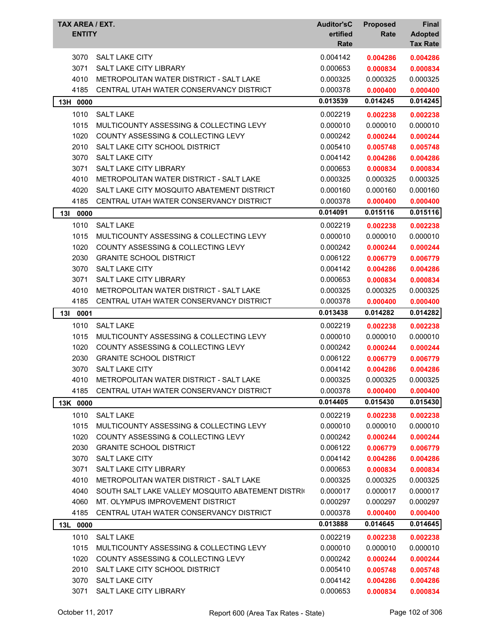| 3070<br><b>SALT LAKE CITY</b><br>0.004142<br>0.004286<br>0.004286<br>3071<br><b>SALT LAKE CITY LIBRARY</b><br>0.000653<br>0.000834<br>0.000834<br>4010<br>METROPOLITAN WATER DISTRICT - SALT LAKE<br>0.000325<br>0.000325<br>0.000325<br>4185<br>CENTRAL UTAH WATER CONSERVANCY DISTRICT<br>0.000378<br>0.000400<br>0.000400<br>0.014245<br>0.013539<br>0.014245<br>13H 0000<br>1010<br><b>SALT LAKE</b><br>0.002219<br>0.002238<br>0.002238<br>1015<br>MULTICOUNTY ASSESSING & COLLECTING LEVY<br>0.000010<br>0.000010<br>0.000010<br>1020<br>COUNTY ASSESSING & COLLECTING LEVY<br>0.000242<br>0.000244<br>0.000244<br>2010<br>SALT LAKE CITY SCHOOL DISTRICT<br>0.005410<br>0.005748<br>0.005748<br>3070<br><b>SALT LAKE CITY</b><br>0.004142<br>0.004286<br>0.004286<br>3071<br>SALT LAKE CITY LIBRARY<br>0.000653<br>0.000834<br>0.000834<br>4010<br>METROPOLITAN WATER DISTRICT - SALT LAKE<br>0.000325<br>0.000325<br>0.000325<br>4020<br>SALT LAKE CITY MOSQUITO ABATEMENT DISTRICT<br>0.000160<br>0.000160<br>0.000160<br>4185<br>CENTRAL UTAH WATER CONSERVANCY DISTRICT<br>0.000378<br>0.000400<br>0.000400<br>0.015116<br>0.014091<br>0.015116<br>13I<br>0000<br><b>SALT LAKE</b><br>1010<br>0.002219<br>0.002238<br>0.002238<br>1015<br>0.000010<br>MULTICOUNTY ASSESSING & COLLECTING LEVY<br>0.000010<br>0.000010<br>1020<br><b>COUNTY ASSESSING &amp; COLLECTING LEVY</b><br>0.000242<br>0.000244<br>0.000244<br>2030<br><b>GRANITE SCHOOL DISTRICT</b><br>0.006122<br>0.006779<br>0.006779<br>3070<br><b>SALT LAKE CITY</b><br>0.004142<br>0.004286<br>0.004286<br>3071<br><b>SALT LAKE CITY LIBRARY</b><br>0.000653<br>0.000834<br>0.000834<br>4010<br>METROPOLITAN WATER DISTRICT - SALT LAKE<br>0.000325<br>0.000325<br>0.000325<br>4185<br>CENTRAL UTAH WATER CONSERVANCY DISTRICT<br>0.000378<br>0.000400<br>0.000400<br>0.013438<br>0.014282<br>0.014282<br>13I<br>0001<br>1010<br><b>SALT LAKE</b><br>0.002219<br>0.002238<br>0.002238<br>MULTICOUNTY ASSESSING & COLLECTING LEVY<br>0.000010<br>1015<br>0.000010<br>0.000010<br>1020<br>COUNTY ASSESSING & COLLECTING LEVY<br>0.000242<br>0.000244<br>0.000244<br>2030<br><b>GRANITE SCHOOL DISTRICT</b><br>0.006122<br>0.006779<br>0.006779<br>3070<br><b>SALT LAKE CITY</b><br>0.004142<br>0.004286<br>0.004286<br>METROPOLITAN WATER DISTRICT - SALT LAKE<br>4010<br>0.000325<br>0.000325<br>0.000325<br>4185<br>CENTRAL UTAH WATER CONSERVANCY DISTRICT<br>0.000378<br>0.000400<br>0.000400<br>0.014405<br>0.015430<br>0.015430<br>13K 0000<br>1010<br><b>SALT LAKE</b><br>0.002219<br>0.002238<br>0.002238<br>MULTICOUNTY ASSESSING & COLLECTING LEVY<br>1015<br>0.000010<br>0.000010<br>0.000010<br>1020<br>COUNTY ASSESSING & COLLECTING LEVY<br>0.000242<br>0.000244<br>0.000244<br>2030<br><b>GRANITE SCHOOL DISTRICT</b><br>0.006122<br>0.006779<br>0.006779<br>3070<br><b>SALT LAKE CITY</b><br>0.004142<br>0.004286<br>0.004286<br>3071<br><b>SALT LAKE CITY LIBRARY</b><br>0.000653<br>0.000834<br>0.000834<br>4010<br>METROPOLITAN WATER DISTRICT - SALT LAKE<br>0.000325<br>0.000325<br>0.000325<br>4040<br>SOUTH SALT LAKE VALLEY MOSQUITO ABATEMENT DISTRIC<br>0.000017<br>0.000017<br>0.000017<br>MT. OLYMPUS IMPROVEMENT DISTRICT<br>4060<br>0.000297<br>0.000297<br>0.000297<br>4185<br>CENTRAL UTAH WATER CONSERVANCY DISTRICT<br>0.000378<br>0.000400<br>0.000400<br>0.013888<br>0.014645<br>0.014645<br>13L 0000<br>1010<br><b>SALT LAKE</b><br>0.002219<br>0.002238<br>0.002238<br>1015<br>MULTICOUNTY ASSESSING & COLLECTING LEVY<br>0.000010<br>0.000010<br>0.000010<br>1020<br>COUNTY ASSESSING & COLLECTING LEVY<br>0.000242<br>0.000244<br>0.000244<br>2010<br>SALT LAKE CITY SCHOOL DISTRICT<br>0.005410<br>0.005748<br>0.005748<br>3070<br>SALT LAKE CITY<br>0.004142<br>0.004286<br>0.004286<br>3071<br><b>SALT LAKE CITY LIBRARY</b><br>0.000653<br>0.000834<br>0.000834 | TAX AREA / EXT.<br><b>ENTITY</b> | <b>Auditor'sC</b><br>ertified<br>Rate | <b>Proposed</b><br>Rate | Final<br><b>Adopted</b><br><b>Tax Rate</b> |
|------------------------------------------------------------------------------------------------------------------------------------------------------------------------------------------------------------------------------------------------------------------------------------------------------------------------------------------------------------------------------------------------------------------------------------------------------------------------------------------------------------------------------------------------------------------------------------------------------------------------------------------------------------------------------------------------------------------------------------------------------------------------------------------------------------------------------------------------------------------------------------------------------------------------------------------------------------------------------------------------------------------------------------------------------------------------------------------------------------------------------------------------------------------------------------------------------------------------------------------------------------------------------------------------------------------------------------------------------------------------------------------------------------------------------------------------------------------------------------------------------------------------------------------------------------------------------------------------------------------------------------------------------------------------------------------------------------------------------------------------------------------------------------------------------------------------------------------------------------------------------------------------------------------------------------------------------------------------------------------------------------------------------------------------------------------------------------------------------------------------------------------------------------------------------------------------------------------------------------------------------------------------------------------------------------------------------------------------------------------------------------------------------------------------------------------------------------------------------------------------------------------------------------------------------------------------------------------------------------------------------------------------------------------------------------------------------------------------------------------------------------------------------------------------------------------------------------------------------------------------------------------------------------------------------------------------------------------------------------------------------------------------------------------------------------------------------------------------------------------------------------------------------------------------------------------------------------------------------------------------------------------------------------------------------------------------------------------------------------------------------------------------------------------------------------------------------------------------------------------------------------------------------------------------------------------------------------------------------------------------------------------------------------------------------------------------------------------------------------------------------------------------------------------------------------------------------------------------------------------------------------|----------------------------------|---------------------------------------|-------------------------|--------------------------------------------|
|                                                                                                                                                                                                                                                                                                                                                                                                                                                                                                                                                                                                                                                                                                                                                                                                                                                                                                                                                                                                                                                                                                                                                                                                                                                                                                                                                                                                                                                                                                                                                                                                                                                                                                                                                                                                                                                                                                                                                                                                                                                                                                                                                                                                                                                                                                                                                                                                                                                                                                                                                                                                                                                                                                                                                                                                                                                                                                                                                                                                                                                                                                                                                                                                                                                                                                                                                                                                                                                                                                                                                                                                                                                                                                                                                                                                                                                                                    |                                  |                                       |                         |                                            |
|                                                                                                                                                                                                                                                                                                                                                                                                                                                                                                                                                                                                                                                                                                                                                                                                                                                                                                                                                                                                                                                                                                                                                                                                                                                                                                                                                                                                                                                                                                                                                                                                                                                                                                                                                                                                                                                                                                                                                                                                                                                                                                                                                                                                                                                                                                                                                                                                                                                                                                                                                                                                                                                                                                                                                                                                                                                                                                                                                                                                                                                                                                                                                                                                                                                                                                                                                                                                                                                                                                                                                                                                                                                                                                                                                                                                                                                                                    |                                  |                                       |                         |                                            |
|                                                                                                                                                                                                                                                                                                                                                                                                                                                                                                                                                                                                                                                                                                                                                                                                                                                                                                                                                                                                                                                                                                                                                                                                                                                                                                                                                                                                                                                                                                                                                                                                                                                                                                                                                                                                                                                                                                                                                                                                                                                                                                                                                                                                                                                                                                                                                                                                                                                                                                                                                                                                                                                                                                                                                                                                                                                                                                                                                                                                                                                                                                                                                                                                                                                                                                                                                                                                                                                                                                                                                                                                                                                                                                                                                                                                                                                                                    |                                  |                                       |                         |                                            |
|                                                                                                                                                                                                                                                                                                                                                                                                                                                                                                                                                                                                                                                                                                                                                                                                                                                                                                                                                                                                                                                                                                                                                                                                                                                                                                                                                                                                                                                                                                                                                                                                                                                                                                                                                                                                                                                                                                                                                                                                                                                                                                                                                                                                                                                                                                                                                                                                                                                                                                                                                                                                                                                                                                                                                                                                                                                                                                                                                                                                                                                                                                                                                                                                                                                                                                                                                                                                                                                                                                                                                                                                                                                                                                                                                                                                                                                                                    |                                  |                                       |                         |                                            |
|                                                                                                                                                                                                                                                                                                                                                                                                                                                                                                                                                                                                                                                                                                                                                                                                                                                                                                                                                                                                                                                                                                                                                                                                                                                                                                                                                                                                                                                                                                                                                                                                                                                                                                                                                                                                                                                                                                                                                                                                                                                                                                                                                                                                                                                                                                                                                                                                                                                                                                                                                                                                                                                                                                                                                                                                                                                                                                                                                                                                                                                                                                                                                                                                                                                                                                                                                                                                                                                                                                                                                                                                                                                                                                                                                                                                                                                                                    |                                  |                                       |                         |                                            |
|                                                                                                                                                                                                                                                                                                                                                                                                                                                                                                                                                                                                                                                                                                                                                                                                                                                                                                                                                                                                                                                                                                                                                                                                                                                                                                                                                                                                                                                                                                                                                                                                                                                                                                                                                                                                                                                                                                                                                                                                                                                                                                                                                                                                                                                                                                                                                                                                                                                                                                                                                                                                                                                                                                                                                                                                                                                                                                                                                                                                                                                                                                                                                                                                                                                                                                                                                                                                                                                                                                                                                                                                                                                                                                                                                                                                                                                                                    |                                  |                                       |                         |                                            |
|                                                                                                                                                                                                                                                                                                                                                                                                                                                                                                                                                                                                                                                                                                                                                                                                                                                                                                                                                                                                                                                                                                                                                                                                                                                                                                                                                                                                                                                                                                                                                                                                                                                                                                                                                                                                                                                                                                                                                                                                                                                                                                                                                                                                                                                                                                                                                                                                                                                                                                                                                                                                                                                                                                                                                                                                                                                                                                                                                                                                                                                                                                                                                                                                                                                                                                                                                                                                                                                                                                                                                                                                                                                                                                                                                                                                                                                                                    |                                  |                                       |                         |                                            |
|                                                                                                                                                                                                                                                                                                                                                                                                                                                                                                                                                                                                                                                                                                                                                                                                                                                                                                                                                                                                                                                                                                                                                                                                                                                                                                                                                                                                                                                                                                                                                                                                                                                                                                                                                                                                                                                                                                                                                                                                                                                                                                                                                                                                                                                                                                                                                                                                                                                                                                                                                                                                                                                                                                                                                                                                                                                                                                                                                                                                                                                                                                                                                                                                                                                                                                                                                                                                                                                                                                                                                                                                                                                                                                                                                                                                                                                                                    |                                  |                                       |                         |                                            |
|                                                                                                                                                                                                                                                                                                                                                                                                                                                                                                                                                                                                                                                                                                                                                                                                                                                                                                                                                                                                                                                                                                                                                                                                                                                                                                                                                                                                                                                                                                                                                                                                                                                                                                                                                                                                                                                                                                                                                                                                                                                                                                                                                                                                                                                                                                                                                                                                                                                                                                                                                                                                                                                                                                                                                                                                                                                                                                                                                                                                                                                                                                                                                                                                                                                                                                                                                                                                                                                                                                                                                                                                                                                                                                                                                                                                                                                                                    |                                  |                                       |                         |                                            |
|                                                                                                                                                                                                                                                                                                                                                                                                                                                                                                                                                                                                                                                                                                                                                                                                                                                                                                                                                                                                                                                                                                                                                                                                                                                                                                                                                                                                                                                                                                                                                                                                                                                                                                                                                                                                                                                                                                                                                                                                                                                                                                                                                                                                                                                                                                                                                                                                                                                                                                                                                                                                                                                                                                                                                                                                                                                                                                                                                                                                                                                                                                                                                                                                                                                                                                                                                                                                                                                                                                                                                                                                                                                                                                                                                                                                                                                                                    |                                  |                                       |                         |                                            |
|                                                                                                                                                                                                                                                                                                                                                                                                                                                                                                                                                                                                                                                                                                                                                                                                                                                                                                                                                                                                                                                                                                                                                                                                                                                                                                                                                                                                                                                                                                                                                                                                                                                                                                                                                                                                                                                                                                                                                                                                                                                                                                                                                                                                                                                                                                                                                                                                                                                                                                                                                                                                                                                                                                                                                                                                                                                                                                                                                                                                                                                                                                                                                                                                                                                                                                                                                                                                                                                                                                                                                                                                                                                                                                                                                                                                                                                                                    |                                  |                                       |                         |                                            |
|                                                                                                                                                                                                                                                                                                                                                                                                                                                                                                                                                                                                                                                                                                                                                                                                                                                                                                                                                                                                                                                                                                                                                                                                                                                                                                                                                                                                                                                                                                                                                                                                                                                                                                                                                                                                                                                                                                                                                                                                                                                                                                                                                                                                                                                                                                                                                                                                                                                                                                                                                                                                                                                                                                                                                                                                                                                                                                                                                                                                                                                                                                                                                                                                                                                                                                                                                                                                                                                                                                                                                                                                                                                                                                                                                                                                                                                                                    |                                  |                                       |                         |                                            |
|                                                                                                                                                                                                                                                                                                                                                                                                                                                                                                                                                                                                                                                                                                                                                                                                                                                                                                                                                                                                                                                                                                                                                                                                                                                                                                                                                                                                                                                                                                                                                                                                                                                                                                                                                                                                                                                                                                                                                                                                                                                                                                                                                                                                                                                                                                                                                                                                                                                                                                                                                                                                                                                                                                                                                                                                                                                                                                                                                                                                                                                                                                                                                                                                                                                                                                                                                                                                                                                                                                                                                                                                                                                                                                                                                                                                                                                                                    |                                  |                                       |                         |                                            |
|                                                                                                                                                                                                                                                                                                                                                                                                                                                                                                                                                                                                                                                                                                                                                                                                                                                                                                                                                                                                                                                                                                                                                                                                                                                                                                                                                                                                                                                                                                                                                                                                                                                                                                                                                                                                                                                                                                                                                                                                                                                                                                                                                                                                                                                                                                                                                                                                                                                                                                                                                                                                                                                                                                                                                                                                                                                                                                                                                                                                                                                                                                                                                                                                                                                                                                                                                                                                                                                                                                                                                                                                                                                                                                                                                                                                                                                                                    |                                  |                                       |                         |                                            |
|                                                                                                                                                                                                                                                                                                                                                                                                                                                                                                                                                                                                                                                                                                                                                                                                                                                                                                                                                                                                                                                                                                                                                                                                                                                                                                                                                                                                                                                                                                                                                                                                                                                                                                                                                                                                                                                                                                                                                                                                                                                                                                                                                                                                                                                                                                                                                                                                                                                                                                                                                                                                                                                                                                                                                                                                                                                                                                                                                                                                                                                                                                                                                                                                                                                                                                                                                                                                                                                                                                                                                                                                                                                                                                                                                                                                                                                                                    |                                  |                                       |                         |                                            |
|                                                                                                                                                                                                                                                                                                                                                                                                                                                                                                                                                                                                                                                                                                                                                                                                                                                                                                                                                                                                                                                                                                                                                                                                                                                                                                                                                                                                                                                                                                                                                                                                                                                                                                                                                                                                                                                                                                                                                                                                                                                                                                                                                                                                                                                                                                                                                                                                                                                                                                                                                                                                                                                                                                                                                                                                                                                                                                                                                                                                                                                                                                                                                                                                                                                                                                                                                                                                                                                                                                                                                                                                                                                                                                                                                                                                                                                                                    |                                  |                                       |                         |                                            |
|                                                                                                                                                                                                                                                                                                                                                                                                                                                                                                                                                                                                                                                                                                                                                                                                                                                                                                                                                                                                                                                                                                                                                                                                                                                                                                                                                                                                                                                                                                                                                                                                                                                                                                                                                                                                                                                                                                                                                                                                                                                                                                                                                                                                                                                                                                                                                                                                                                                                                                                                                                                                                                                                                                                                                                                                                                                                                                                                                                                                                                                                                                                                                                                                                                                                                                                                                                                                                                                                                                                                                                                                                                                                                                                                                                                                                                                                                    |                                  |                                       |                         |                                            |
|                                                                                                                                                                                                                                                                                                                                                                                                                                                                                                                                                                                                                                                                                                                                                                                                                                                                                                                                                                                                                                                                                                                                                                                                                                                                                                                                                                                                                                                                                                                                                                                                                                                                                                                                                                                                                                                                                                                                                                                                                                                                                                                                                                                                                                                                                                                                                                                                                                                                                                                                                                                                                                                                                                                                                                                                                                                                                                                                                                                                                                                                                                                                                                                                                                                                                                                                                                                                                                                                                                                                                                                                                                                                                                                                                                                                                                                                                    |                                  |                                       |                         |                                            |
|                                                                                                                                                                                                                                                                                                                                                                                                                                                                                                                                                                                                                                                                                                                                                                                                                                                                                                                                                                                                                                                                                                                                                                                                                                                                                                                                                                                                                                                                                                                                                                                                                                                                                                                                                                                                                                                                                                                                                                                                                                                                                                                                                                                                                                                                                                                                                                                                                                                                                                                                                                                                                                                                                                                                                                                                                                                                                                                                                                                                                                                                                                                                                                                                                                                                                                                                                                                                                                                                                                                                                                                                                                                                                                                                                                                                                                                                                    |                                  |                                       |                         |                                            |
|                                                                                                                                                                                                                                                                                                                                                                                                                                                                                                                                                                                                                                                                                                                                                                                                                                                                                                                                                                                                                                                                                                                                                                                                                                                                                                                                                                                                                                                                                                                                                                                                                                                                                                                                                                                                                                                                                                                                                                                                                                                                                                                                                                                                                                                                                                                                                                                                                                                                                                                                                                                                                                                                                                                                                                                                                                                                                                                                                                                                                                                                                                                                                                                                                                                                                                                                                                                                                                                                                                                                                                                                                                                                                                                                                                                                                                                                                    |                                  |                                       |                         |                                            |
|                                                                                                                                                                                                                                                                                                                                                                                                                                                                                                                                                                                                                                                                                                                                                                                                                                                                                                                                                                                                                                                                                                                                                                                                                                                                                                                                                                                                                                                                                                                                                                                                                                                                                                                                                                                                                                                                                                                                                                                                                                                                                                                                                                                                                                                                                                                                                                                                                                                                                                                                                                                                                                                                                                                                                                                                                                                                                                                                                                                                                                                                                                                                                                                                                                                                                                                                                                                                                                                                                                                                                                                                                                                                                                                                                                                                                                                                                    |                                  |                                       |                         |                                            |
|                                                                                                                                                                                                                                                                                                                                                                                                                                                                                                                                                                                                                                                                                                                                                                                                                                                                                                                                                                                                                                                                                                                                                                                                                                                                                                                                                                                                                                                                                                                                                                                                                                                                                                                                                                                                                                                                                                                                                                                                                                                                                                                                                                                                                                                                                                                                                                                                                                                                                                                                                                                                                                                                                                                                                                                                                                                                                                                                                                                                                                                                                                                                                                                                                                                                                                                                                                                                                                                                                                                                                                                                                                                                                                                                                                                                                                                                                    |                                  |                                       |                         |                                            |
|                                                                                                                                                                                                                                                                                                                                                                                                                                                                                                                                                                                                                                                                                                                                                                                                                                                                                                                                                                                                                                                                                                                                                                                                                                                                                                                                                                                                                                                                                                                                                                                                                                                                                                                                                                                                                                                                                                                                                                                                                                                                                                                                                                                                                                                                                                                                                                                                                                                                                                                                                                                                                                                                                                                                                                                                                                                                                                                                                                                                                                                                                                                                                                                                                                                                                                                                                                                                                                                                                                                                                                                                                                                                                                                                                                                                                                                                                    |                                  |                                       |                         |                                            |
|                                                                                                                                                                                                                                                                                                                                                                                                                                                                                                                                                                                                                                                                                                                                                                                                                                                                                                                                                                                                                                                                                                                                                                                                                                                                                                                                                                                                                                                                                                                                                                                                                                                                                                                                                                                                                                                                                                                                                                                                                                                                                                                                                                                                                                                                                                                                                                                                                                                                                                                                                                                                                                                                                                                                                                                                                                                                                                                                                                                                                                                                                                                                                                                                                                                                                                                                                                                                                                                                                                                                                                                                                                                                                                                                                                                                                                                                                    |                                  |                                       |                         |                                            |
|                                                                                                                                                                                                                                                                                                                                                                                                                                                                                                                                                                                                                                                                                                                                                                                                                                                                                                                                                                                                                                                                                                                                                                                                                                                                                                                                                                                                                                                                                                                                                                                                                                                                                                                                                                                                                                                                                                                                                                                                                                                                                                                                                                                                                                                                                                                                                                                                                                                                                                                                                                                                                                                                                                                                                                                                                                                                                                                                                                                                                                                                                                                                                                                                                                                                                                                                                                                                                                                                                                                                                                                                                                                                                                                                                                                                                                                                                    |                                  |                                       |                         |                                            |
|                                                                                                                                                                                                                                                                                                                                                                                                                                                                                                                                                                                                                                                                                                                                                                                                                                                                                                                                                                                                                                                                                                                                                                                                                                                                                                                                                                                                                                                                                                                                                                                                                                                                                                                                                                                                                                                                                                                                                                                                                                                                                                                                                                                                                                                                                                                                                                                                                                                                                                                                                                                                                                                                                                                                                                                                                                                                                                                                                                                                                                                                                                                                                                                                                                                                                                                                                                                                                                                                                                                                                                                                                                                                                                                                                                                                                                                                                    |                                  |                                       |                         |                                            |
|                                                                                                                                                                                                                                                                                                                                                                                                                                                                                                                                                                                                                                                                                                                                                                                                                                                                                                                                                                                                                                                                                                                                                                                                                                                                                                                                                                                                                                                                                                                                                                                                                                                                                                                                                                                                                                                                                                                                                                                                                                                                                                                                                                                                                                                                                                                                                                                                                                                                                                                                                                                                                                                                                                                                                                                                                                                                                                                                                                                                                                                                                                                                                                                                                                                                                                                                                                                                                                                                                                                                                                                                                                                                                                                                                                                                                                                                                    |                                  |                                       |                         |                                            |
|                                                                                                                                                                                                                                                                                                                                                                                                                                                                                                                                                                                                                                                                                                                                                                                                                                                                                                                                                                                                                                                                                                                                                                                                                                                                                                                                                                                                                                                                                                                                                                                                                                                                                                                                                                                                                                                                                                                                                                                                                                                                                                                                                                                                                                                                                                                                                                                                                                                                                                                                                                                                                                                                                                                                                                                                                                                                                                                                                                                                                                                                                                                                                                                                                                                                                                                                                                                                                                                                                                                                                                                                                                                                                                                                                                                                                                                                                    |                                  |                                       |                         |                                            |
|                                                                                                                                                                                                                                                                                                                                                                                                                                                                                                                                                                                                                                                                                                                                                                                                                                                                                                                                                                                                                                                                                                                                                                                                                                                                                                                                                                                                                                                                                                                                                                                                                                                                                                                                                                                                                                                                                                                                                                                                                                                                                                                                                                                                                                                                                                                                                                                                                                                                                                                                                                                                                                                                                                                                                                                                                                                                                                                                                                                                                                                                                                                                                                                                                                                                                                                                                                                                                                                                                                                                                                                                                                                                                                                                                                                                                                                                                    |                                  |                                       |                         |                                            |
|                                                                                                                                                                                                                                                                                                                                                                                                                                                                                                                                                                                                                                                                                                                                                                                                                                                                                                                                                                                                                                                                                                                                                                                                                                                                                                                                                                                                                                                                                                                                                                                                                                                                                                                                                                                                                                                                                                                                                                                                                                                                                                                                                                                                                                                                                                                                                                                                                                                                                                                                                                                                                                                                                                                                                                                                                                                                                                                                                                                                                                                                                                                                                                                                                                                                                                                                                                                                                                                                                                                                                                                                                                                                                                                                                                                                                                                                                    |                                  |                                       |                         |                                            |
|                                                                                                                                                                                                                                                                                                                                                                                                                                                                                                                                                                                                                                                                                                                                                                                                                                                                                                                                                                                                                                                                                                                                                                                                                                                                                                                                                                                                                                                                                                                                                                                                                                                                                                                                                                                                                                                                                                                                                                                                                                                                                                                                                                                                                                                                                                                                                                                                                                                                                                                                                                                                                                                                                                                                                                                                                                                                                                                                                                                                                                                                                                                                                                                                                                                                                                                                                                                                                                                                                                                                                                                                                                                                                                                                                                                                                                                                                    |                                  |                                       |                         |                                            |
|                                                                                                                                                                                                                                                                                                                                                                                                                                                                                                                                                                                                                                                                                                                                                                                                                                                                                                                                                                                                                                                                                                                                                                                                                                                                                                                                                                                                                                                                                                                                                                                                                                                                                                                                                                                                                                                                                                                                                                                                                                                                                                                                                                                                                                                                                                                                                                                                                                                                                                                                                                                                                                                                                                                                                                                                                                                                                                                                                                                                                                                                                                                                                                                                                                                                                                                                                                                                                                                                                                                                                                                                                                                                                                                                                                                                                                                                                    |                                  |                                       |                         |                                            |
|                                                                                                                                                                                                                                                                                                                                                                                                                                                                                                                                                                                                                                                                                                                                                                                                                                                                                                                                                                                                                                                                                                                                                                                                                                                                                                                                                                                                                                                                                                                                                                                                                                                                                                                                                                                                                                                                                                                                                                                                                                                                                                                                                                                                                                                                                                                                                                                                                                                                                                                                                                                                                                                                                                                                                                                                                                                                                                                                                                                                                                                                                                                                                                                                                                                                                                                                                                                                                                                                                                                                                                                                                                                                                                                                                                                                                                                                                    |                                  |                                       |                         |                                            |
|                                                                                                                                                                                                                                                                                                                                                                                                                                                                                                                                                                                                                                                                                                                                                                                                                                                                                                                                                                                                                                                                                                                                                                                                                                                                                                                                                                                                                                                                                                                                                                                                                                                                                                                                                                                                                                                                                                                                                                                                                                                                                                                                                                                                                                                                                                                                                                                                                                                                                                                                                                                                                                                                                                                                                                                                                                                                                                                                                                                                                                                                                                                                                                                                                                                                                                                                                                                                                                                                                                                                                                                                                                                                                                                                                                                                                                                                                    |                                  |                                       |                         |                                            |
|                                                                                                                                                                                                                                                                                                                                                                                                                                                                                                                                                                                                                                                                                                                                                                                                                                                                                                                                                                                                                                                                                                                                                                                                                                                                                                                                                                                                                                                                                                                                                                                                                                                                                                                                                                                                                                                                                                                                                                                                                                                                                                                                                                                                                                                                                                                                                                                                                                                                                                                                                                                                                                                                                                                                                                                                                                                                                                                                                                                                                                                                                                                                                                                                                                                                                                                                                                                                                                                                                                                                                                                                                                                                                                                                                                                                                                                                                    |                                  |                                       |                         |                                            |
|                                                                                                                                                                                                                                                                                                                                                                                                                                                                                                                                                                                                                                                                                                                                                                                                                                                                                                                                                                                                                                                                                                                                                                                                                                                                                                                                                                                                                                                                                                                                                                                                                                                                                                                                                                                                                                                                                                                                                                                                                                                                                                                                                                                                                                                                                                                                                                                                                                                                                                                                                                                                                                                                                                                                                                                                                                                                                                                                                                                                                                                                                                                                                                                                                                                                                                                                                                                                                                                                                                                                                                                                                                                                                                                                                                                                                                                                                    |                                  |                                       |                         |                                            |
|                                                                                                                                                                                                                                                                                                                                                                                                                                                                                                                                                                                                                                                                                                                                                                                                                                                                                                                                                                                                                                                                                                                                                                                                                                                                                                                                                                                                                                                                                                                                                                                                                                                                                                                                                                                                                                                                                                                                                                                                                                                                                                                                                                                                                                                                                                                                                                                                                                                                                                                                                                                                                                                                                                                                                                                                                                                                                                                                                                                                                                                                                                                                                                                                                                                                                                                                                                                                                                                                                                                                                                                                                                                                                                                                                                                                                                                                                    |                                  |                                       |                         |                                            |
|                                                                                                                                                                                                                                                                                                                                                                                                                                                                                                                                                                                                                                                                                                                                                                                                                                                                                                                                                                                                                                                                                                                                                                                                                                                                                                                                                                                                                                                                                                                                                                                                                                                                                                                                                                                                                                                                                                                                                                                                                                                                                                                                                                                                                                                                                                                                                                                                                                                                                                                                                                                                                                                                                                                                                                                                                                                                                                                                                                                                                                                                                                                                                                                                                                                                                                                                                                                                                                                                                                                                                                                                                                                                                                                                                                                                                                                                                    |                                  |                                       |                         |                                            |
|                                                                                                                                                                                                                                                                                                                                                                                                                                                                                                                                                                                                                                                                                                                                                                                                                                                                                                                                                                                                                                                                                                                                                                                                                                                                                                                                                                                                                                                                                                                                                                                                                                                                                                                                                                                                                                                                                                                                                                                                                                                                                                                                                                                                                                                                                                                                                                                                                                                                                                                                                                                                                                                                                                                                                                                                                                                                                                                                                                                                                                                                                                                                                                                                                                                                                                                                                                                                                                                                                                                                                                                                                                                                                                                                                                                                                                                                                    |                                  |                                       |                         |                                            |
|                                                                                                                                                                                                                                                                                                                                                                                                                                                                                                                                                                                                                                                                                                                                                                                                                                                                                                                                                                                                                                                                                                                                                                                                                                                                                                                                                                                                                                                                                                                                                                                                                                                                                                                                                                                                                                                                                                                                                                                                                                                                                                                                                                                                                                                                                                                                                                                                                                                                                                                                                                                                                                                                                                                                                                                                                                                                                                                                                                                                                                                                                                                                                                                                                                                                                                                                                                                                                                                                                                                                                                                                                                                                                                                                                                                                                                                                                    |                                  |                                       |                         |                                            |
|                                                                                                                                                                                                                                                                                                                                                                                                                                                                                                                                                                                                                                                                                                                                                                                                                                                                                                                                                                                                                                                                                                                                                                                                                                                                                                                                                                                                                                                                                                                                                                                                                                                                                                                                                                                                                                                                                                                                                                                                                                                                                                                                                                                                                                                                                                                                                                                                                                                                                                                                                                                                                                                                                                                                                                                                                                                                                                                                                                                                                                                                                                                                                                                                                                                                                                                                                                                                                                                                                                                                                                                                                                                                                                                                                                                                                                                                                    |                                  |                                       |                         |                                            |
|                                                                                                                                                                                                                                                                                                                                                                                                                                                                                                                                                                                                                                                                                                                                                                                                                                                                                                                                                                                                                                                                                                                                                                                                                                                                                                                                                                                                                                                                                                                                                                                                                                                                                                                                                                                                                                                                                                                                                                                                                                                                                                                                                                                                                                                                                                                                                                                                                                                                                                                                                                                                                                                                                                                                                                                                                                                                                                                                                                                                                                                                                                                                                                                                                                                                                                                                                                                                                                                                                                                                                                                                                                                                                                                                                                                                                                                                                    |                                  |                                       |                         |                                            |
|                                                                                                                                                                                                                                                                                                                                                                                                                                                                                                                                                                                                                                                                                                                                                                                                                                                                                                                                                                                                                                                                                                                                                                                                                                                                                                                                                                                                                                                                                                                                                                                                                                                                                                                                                                                                                                                                                                                                                                                                                                                                                                                                                                                                                                                                                                                                                                                                                                                                                                                                                                                                                                                                                                                                                                                                                                                                                                                                                                                                                                                                                                                                                                                                                                                                                                                                                                                                                                                                                                                                                                                                                                                                                                                                                                                                                                                                                    |                                  |                                       |                         |                                            |
|                                                                                                                                                                                                                                                                                                                                                                                                                                                                                                                                                                                                                                                                                                                                                                                                                                                                                                                                                                                                                                                                                                                                                                                                                                                                                                                                                                                                                                                                                                                                                                                                                                                                                                                                                                                                                                                                                                                                                                                                                                                                                                                                                                                                                                                                                                                                                                                                                                                                                                                                                                                                                                                                                                                                                                                                                                                                                                                                                                                                                                                                                                                                                                                                                                                                                                                                                                                                                                                                                                                                                                                                                                                                                                                                                                                                                                                                                    |                                  |                                       |                         |                                            |
|                                                                                                                                                                                                                                                                                                                                                                                                                                                                                                                                                                                                                                                                                                                                                                                                                                                                                                                                                                                                                                                                                                                                                                                                                                                                                                                                                                                                                                                                                                                                                                                                                                                                                                                                                                                                                                                                                                                                                                                                                                                                                                                                                                                                                                                                                                                                                                                                                                                                                                                                                                                                                                                                                                                                                                                                                                                                                                                                                                                                                                                                                                                                                                                                                                                                                                                                                                                                                                                                                                                                                                                                                                                                                                                                                                                                                                                                                    |                                  |                                       |                         |                                            |
|                                                                                                                                                                                                                                                                                                                                                                                                                                                                                                                                                                                                                                                                                                                                                                                                                                                                                                                                                                                                                                                                                                                                                                                                                                                                                                                                                                                                                                                                                                                                                                                                                                                                                                                                                                                                                                                                                                                                                                                                                                                                                                                                                                                                                                                                                                                                                                                                                                                                                                                                                                                                                                                                                                                                                                                                                                                                                                                                                                                                                                                                                                                                                                                                                                                                                                                                                                                                                                                                                                                                                                                                                                                                                                                                                                                                                                                                                    |                                  |                                       |                         |                                            |
|                                                                                                                                                                                                                                                                                                                                                                                                                                                                                                                                                                                                                                                                                                                                                                                                                                                                                                                                                                                                                                                                                                                                                                                                                                                                                                                                                                                                                                                                                                                                                                                                                                                                                                                                                                                                                                                                                                                                                                                                                                                                                                                                                                                                                                                                                                                                                                                                                                                                                                                                                                                                                                                                                                                                                                                                                                                                                                                                                                                                                                                                                                                                                                                                                                                                                                                                                                                                                                                                                                                                                                                                                                                                                                                                                                                                                                                                                    |                                  |                                       |                         |                                            |
|                                                                                                                                                                                                                                                                                                                                                                                                                                                                                                                                                                                                                                                                                                                                                                                                                                                                                                                                                                                                                                                                                                                                                                                                                                                                                                                                                                                                                                                                                                                                                                                                                                                                                                                                                                                                                                                                                                                                                                                                                                                                                                                                                                                                                                                                                                                                                                                                                                                                                                                                                                                                                                                                                                                                                                                                                                                                                                                                                                                                                                                                                                                                                                                                                                                                                                                                                                                                                                                                                                                                                                                                                                                                                                                                                                                                                                                                                    |                                  |                                       |                         |                                            |
|                                                                                                                                                                                                                                                                                                                                                                                                                                                                                                                                                                                                                                                                                                                                                                                                                                                                                                                                                                                                                                                                                                                                                                                                                                                                                                                                                                                                                                                                                                                                                                                                                                                                                                                                                                                                                                                                                                                                                                                                                                                                                                                                                                                                                                                                                                                                                                                                                                                                                                                                                                                                                                                                                                                                                                                                                                                                                                                                                                                                                                                                                                                                                                                                                                                                                                                                                                                                                                                                                                                                                                                                                                                                                                                                                                                                                                                                                    |                                  |                                       |                         |                                            |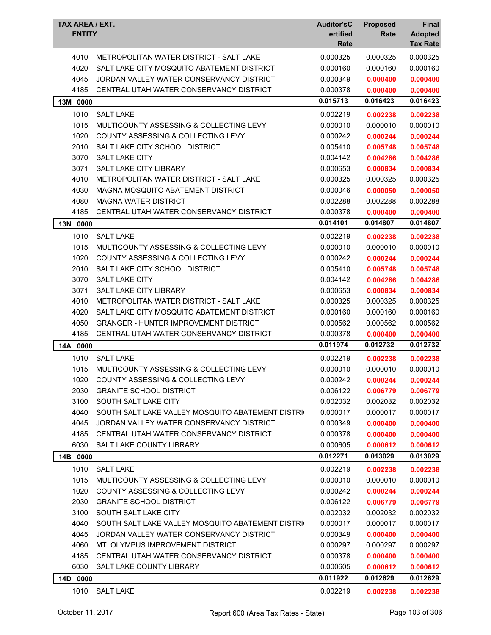| TAX AREA / EXT.<br><b>ENTITY</b> |                                                   | <b>Auditor'sC</b><br>ertified<br>Rate | <b>Proposed</b><br>Rate | Final<br><b>Adopted</b><br><b>Tax Rate</b> |
|----------------------------------|---------------------------------------------------|---------------------------------------|-------------------------|--------------------------------------------|
| 4010                             | METROPOLITAN WATER DISTRICT - SALT LAKE           | 0.000325                              | 0.000325                | 0.000325                                   |
| 4020                             | SALT LAKE CITY MOSQUITO ABATEMENT DISTRICT        | 0.000160                              | 0.000160                | 0.000160                                   |
| 4045                             | JORDAN VALLEY WATER CONSERVANCY DISTRICT          | 0.000349                              | 0.000400                | 0.000400                                   |
| 4185                             | CENTRAL UTAH WATER CONSERVANCY DISTRICT           | 0.000378                              | 0.000400                | 0.000400                                   |
| 13M 0000                         |                                                   | 0.015713                              | 0.016423                | 0.016423                                   |
| 1010                             | <b>SALT LAKE</b>                                  | 0.002219                              | 0.002238                | 0.002238                                   |
| 1015                             | MULTICOUNTY ASSESSING & COLLECTING LEVY           | 0.000010                              | 0.000010                | 0.000010                                   |
| 1020                             | COUNTY ASSESSING & COLLECTING LEVY                | 0.000242                              | 0.000244                | 0.000244                                   |
| 2010                             | SALT LAKE CITY SCHOOL DISTRICT                    | 0.005410                              | 0.005748                | 0.005748                                   |
| 3070                             | <b>SALT LAKE CITY</b>                             | 0.004142                              | 0.004286                | 0.004286                                   |
| 3071                             | <b>SALT LAKE CITY LIBRARY</b>                     | 0.000653                              | 0.000834                | 0.000834                                   |
| 4010                             | METROPOLITAN WATER DISTRICT - SALT LAKE           | 0.000325                              | 0.000325                | 0.000325                                   |
| 4030                             | MAGNA MOSQUITO ABATEMENT DISTRICT                 | 0.000046                              | 0.000050                | 0.000050                                   |
| 4080                             | <b>MAGNA WATER DISTRICT</b>                       | 0.002288                              | 0.002288                | 0.002288                                   |
| 4185                             | CENTRAL UTAH WATER CONSERVANCY DISTRICT           | 0.000378                              | 0.000400                | 0.000400                                   |
| 13N 0000                         |                                                   | 0.014101                              | 0.014807                | 0.014807                                   |
| 1010                             | <b>SALT LAKE</b>                                  | 0.002219                              | 0.002238                | 0.002238                                   |
| 1015                             | MULTICOUNTY ASSESSING & COLLECTING LEVY           | 0.000010                              | 0.000010                | 0.000010                                   |
| 1020                             | COUNTY ASSESSING & COLLECTING LEVY                | 0.000242                              | 0.000244                | 0.000244                                   |
| 2010                             | SALT LAKE CITY SCHOOL DISTRICT                    | 0.005410                              | 0.005748                | 0.005748                                   |
| 3070                             | <b>SALT LAKE CITY</b>                             | 0.004142                              | 0.004286                | 0.004286                                   |
| 3071                             | <b>SALT LAKE CITY LIBRARY</b>                     | 0.000653                              | 0.000834                | 0.000834                                   |
| 4010                             | METROPOLITAN WATER DISTRICT - SALT LAKE           | 0.000325                              | 0.000325                | 0.000325                                   |
| 4020                             | SALT LAKE CITY MOSQUITO ABATEMENT DISTRICT        | 0.000160                              | 0.000160                | 0.000160                                   |
| 4050                             | <b>GRANGER - HUNTER IMPROVEMENT DISTRICT</b>      | 0.000562                              | 0.000562                | 0.000562                                   |
| 4185                             | CENTRAL UTAH WATER CONSERVANCY DISTRICT           | 0.000378                              | 0.000400                | 0.000400                                   |
| 0000<br>14A                      |                                                   | 0.011974                              | 0.012732                | 0.012732                                   |
| 1010                             | <b>SALT LAKE</b>                                  | 0.002219                              | 0.002238                | 0.002238                                   |
| 1015                             | MULTICOUNTY ASSESSING & COLLECTING LEVY           | 0.000010                              | 0.000010                | 0.000010                                   |
| 1020                             | COUNTY ASSESSING & COLLECTING LEVY                | 0.000242                              | 0.000244                | 0.000244                                   |
| 2030                             | <b>GRANITE SCHOOL DISTRICT</b>                    | 0.006122                              | 0.006779                | 0.006779                                   |
| 3100                             | SOUTH SALT LAKE CITY                              | 0.002032                              | 0.002032                | 0.002032                                   |
| 4040                             | SOUTH SALT LAKE VALLEY MOSQUITO ABATEMENT DISTRIC | 0.000017                              | 0.000017                | 0.000017                                   |
| 4045                             | JORDAN VALLEY WATER CONSERVANCY DISTRICT          | 0.000349                              | 0.000400                | 0.000400                                   |
| 4185                             | CENTRAL UTAH WATER CONSERVANCY DISTRICT           | 0.000378                              | 0.000400                | 0.000400                                   |
| 6030                             | SALT LAKE COUNTY LIBRARY                          | 0.000605                              | 0.000612                | 0.000612                                   |
| 14B 0000                         |                                                   | 0.012271                              | 0.013029                | 0.013029                                   |
| 1010                             | <b>SALT LAKE</b>                                  | 0.002219                              | 0.002238                | 0.002238                                   |
| 1015                             | MULTICOUNTY ASSESSING & COLLECTING LEVY           | 0.000010                              | 0.000010                | 0.000010                                   |
| 1020                             | COUNTY ASSESSING & COLLECTING LEVY                | 0.000242                              | 0.000244                | 0.000244                                   |
| 2030                             | <b>GRANITE SCHOOL DISTRICT</b>                    | 0.006122                              | 0.006779                | 0.006779                                   |
| 3100                             | SOUTH SALT LAKE CITY                              | 0.002032                              | 0.002032                | 0.002032                                   |
| 4040                             | SOUTH SALT LAKE VALLEY MOSQUITO ABATEMENT DISTRIC | 0.000017                              | 0.000017                | 0.000017                                   |
| 4045                             | JORDAN VALLEY WATER CONSERVANCY DISTRICT          | 0.000349                              | 0.000400                | 0.000400                                   |
| 4060                             | MT. OLYMPUS IMPROVEMENT DISTRICT                  | 0.000297                              | 0.000297                | 0.000297                                   |
| 4185                             | CENTRAL UTAH WATER CONSERVANCY DISTRICT           | 0.000378                              | 0.000400                |                                            |
| 6030                             | SALT LAKE COUNTY LIBRARY                          | 0.000605                              |                         | 0.000400                                   |
|                                  |                                                   | 0.011922                              | 0.000612<br>0.012629    | 0.000612<br>0.012629                       |
| 14D 0000                         |                                                   |                                       |                         |                                            |
| 1010                             | <b>SALT LAKE</b>                                  | 0.002219                              | 0.002238                | 0.002238                                   |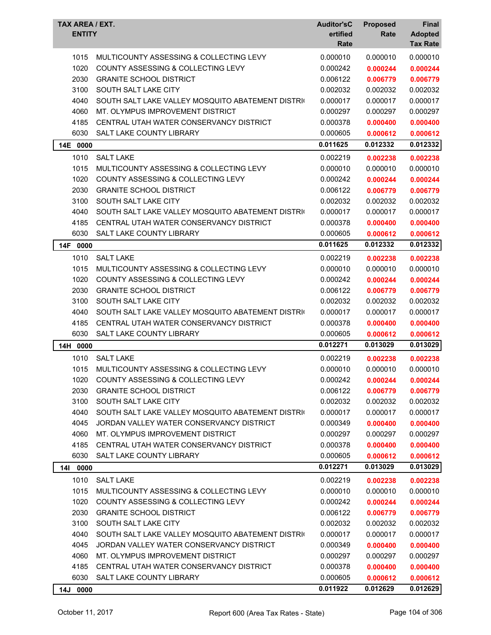| TAX AREA / EXT.<br><b>ENTITY</b> |                                                   | <b>Auditor'sC</b><br>ertified<br>Rate | <b>Proposed</b><br>Rate | Final<br><b>Adopted</b><br><b>Tax Rate</b> |
|----------------------------------|---------------------------------------------------|---------------------------------------|-------------------------|--------------------------------------------|
| 1015                             | MULTICOUNTY ASSESSING & COLLECTING LEVY           | 0.000010                              | 0.000010                | 0.000010                                   |
| 1020                             | <b>COUNTY ASSESSING &amp; COLLECTING LEVY</b>     | 0.000242                              | 0.000244                | 0.000244                                   |
| 2030                             | <b>GRANITE SCHOOL DISTRICT</b>                    | 0.006122                              | 0.006779                | 0.006779                                   |
| 3100                             | SOUTH SALT LAKE CITY                              | 0.002032                              | 0.002032                | 0.002032                                   |
| 4040                             | SOUTH SALT LAKE VALLEY MOSQUITO ABATEMENT DISTRIC | 0.000017                              | 0.000017                | 0.000017                                   |
| 4060                             | MT. OLYMPUS IMPROVEMENT DISTRICT                  | 0.000297                              | 0.000297                | 0.000297                                   |
| 4185                             | CENTRAL UTAH WATER CONSERVANCY DISTRICT           | 0.000378                              | 0.000400                | 0.000400                                   |
| 6030                             | SALT LAKE COUNTY LIBRARY                          | 0.000605                              | 0.000612                | 0.000612                                   |
| 14E 0000                         |                                                   | 0.011625                              | 0.012332                | 0.012332                                   |
| 1010                             | <b>SALT LAKE</b>                                  | 0.002219                              | 0.002238                | 0.002238                                   |
| 1015                             | MULTICOUNTY ASSESSING & COLLECTING LEVY           | 0.000010                              | 0.000010                | 0.000010                                   |
| 1020                             | <b>COUNTY ASSESSING &amp; COLLECTING LEVY</b>     | 0.000242                              | 0.000244                | 0.000244                                   |
| 2030                             | <b>GRANITE SCHOOL DISTRICT</b>                    | 0.006122                              | 0.006779                | 0.006779                                   |
| 3100                             | SOUTH SALT LAKE CITY                              | 0.002032                              | 0.002032                | 0.002032                                   |
| 4040                             | SOUTH SALT LAKE VALLEY MOSQUITO ABATEMENT DISTRIC | 0.000017                              | 0.000017                | 0.000017                                   |
| 4185                             | CENTRAL UTAH WATER CONSERVANCY DISTRICT           | 0.000378                              | 0.000400                | 0.000400                                   |
| 6030                             | SALT LAKE COUNTY LIBRARY                          | 0.000605                              | 0.000612                | 0.000612                                   |
| 14F 0000                         |                                                   | 0.011625                              | 0.012332                | 0.012332                                   |
| 1010                             | <b>SALT LAKE</b>                                  | 0.002219                              | 0.002238                | 0.002238                                   |
| 1015                             | MULTICOUNTY ASSESSING & COLLECTING LEVY           | 0.000010                              | 0.000010                | 0.000010                                   |
| 1020                             | <b>COUNTY ASSESSING &amp; COLLECTING LEVY</b>     | 0.000242                              | 0.000244                | 0.000244                                   |
| 2030                             | <b>GRANITE SCHOOL DISTRICT</b>                    | 0.006122                              | 0.006779                | 0.006779                                   |
| 3100                             | SOUTH SALT LAKE CITY                              | 0.002032                              | 0.002032                | 0.002032                                   |
| 4040                             | SOUTH SALT LAKE VALLEY MOSQUITO ABATEMENT DISTRIC | 0.000017                              | 0.000017                | 0.000017                                   |
| 4185                             | CENTRAL UTAH WATER CONSERVANCY DISTRICT           | 0.000378                              | 0.000400                | 0.000400                                   |
| 6030                             | SALT LAKE COUNTY LIBRARY                          | 0.000605                              | 0.000612                | 0.000612                                   |
| 14H 0000                         |                                                   | 0.012271                              | 0.013029                | 0.013029                                   |
| 1010                             | <b>SALT LAKE</b>                                  | 0.002219                              | 0.002238                | 0.002238                                   |
| 1015                             | MULTICOUNTY ASSESSING & COLLECTING LEVY           | 0.000010                              | 0.000010                | 0.000010                                   |
| 1020                             | COUNTY ASSESSING & COLLECTING LEVY                | 0.000242                              | 0.000244                | 0.000244                                   |
| 2030                             | <b>GRANITE SCHOOL DISTRICT</b>                    | 0.006122                              | 0.006779                | 0.006779                                   |
| 3100                             | SOUTH SALT LAKE CITY                              | 0.002032                              | 0.002032                | 0.002032                                   |
| 4040                             | SOUTH SALT LAKE VALLEY MOSQUITO ABATEMENT DISTRIC | 0.000017                              | 0.000017                | 0.000017                                   |
| 4045                             | JORDAN VALLEY WATER CONSERVANCY DISTRICT          | 0.000349                              | 0.000400                | 0.000400                                   |
| 4060                             | MT. OLYMPUS IMPROVEMENT DISTRICT                  | 0.000297                              | 0.000297                | 0.000297                                   |
| 4185                             | CENTRAL UTAH WATER CONSERVANCY DISTRICT           | 0.000378                              | 0.000400                | 0.000400                                   |
| 6030                             | SALT LAKE COUNTY LIBRARY                          | 0.000605                              | 0.000612                | 0.000612                                   |
| 14 <sup>1</sup><br>0000          |                                                   | 0.012271                              | 0.013029                | 0.013029                                   |
| 1010                             | <b>SALT LAKE</b>                                  | 0.002219                              | 0.002238                | 0.002238                                   |
| 1015                             | MULTICOUNTY ASSESSING & COLLECTING LEVY           | 0.000010                              | 0.000010                | 0.000010                                   |
| 1020                             | <b>COUNTY ASSESSING &amp; COLLECTING LEVY</b>     | 0.000242                              | 0.000244                | 0.000244                                   |
| 2030                             | <b>GRANITE SCHOOL DISTRICT</b>                    | 0.006122                              | 0.006779                | 0.006779                                   |
| 3100                             | SOUTH SALT LAKE CITY                              | 0.002032                              | 0.002032                | 0.002032                                   |
| 4040                             | SOUTH SALT LAKE VALLEY MOSQUITO ABATEMENT DISTRIC | 0.000017                              | 0.000017                | 0.000017                                   |
| 4045                             | JORDAN VALLEY WATER CONSERVANCY DISTRICT          | 0.000349                              | 0.000400                | 0.000400                                   |
| 4060                             | MT. OLYMPUS IMPROVEMENT DISTRICT                  | 0.000297                              | 0.000297                | 0.000297                                   |
| 4185                             | CENTRAL UTAH WATER CONSERVANCY DISTRICT           | 0.000378                              | 0.000400                | 0.000400                                   |
| 6030                             | SALT LAKE COUNTY LIBRARY                          | 0.000605                              | 0.000612                | 0.000612                                   |
| 14J 0000                         |                                                   | 0.011922                              | 0.012629                | 0.012629                                   |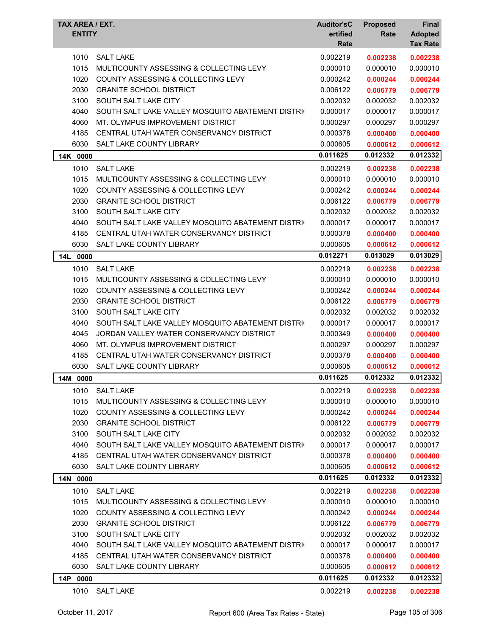| TAX AREA / EXT.<br><b>ENTITY</b> |                                                   | <b>Auditor'sC</b><br>ertified<br>Rate | <b>Proposed</b><br>Rate | Final<br><b>Adopted</b><br><b>Tax Rate</b> |
|----------------------------------|---------------------------------------------------|---------------------------------------|-------------------------|--------------------------------------------|
| 1010                             | <b>SALT LAKE</b>                                  | 0.002219                              | 0.002238                | 0.002238                                   |
| 1015                             | MULTICOUNTY ASSESSING & COLLECTING LEVY           | 0.000010                              | 0.000010                | 0.000010                                   |
| 1020                             | COUNTY ASSESSING & COLLECTING LEVY                | 0.000242                              | 0.000244                | 0.000244                                   |
| 2030                             | <b>GRANITE SCHOOL DISTRICT</b>                    | 0.006122                              | 0.006779                | 0.006779                                   |
| 3100                             | SOUTH SALT LAKE CITY                              | 0.002032                              | 0.002032                | 0.002032                                   |
| 4040                             | SOUTH SALT LAKE VALLEY MOSQUITO ABATEMENT DISTRIC | 0.000017                              | 0.000017                | 0.000017                                   |
| 4060                             | MT. OLYMPUS IMPROVEMENT DISTRICT                  | 0.000297                              | 0.000297                | 0.000297                                   |
| 4185                             | CENTRAL UTAH WATER CONSERVANCY DISTRICT           | 0.000378                              | 0.000400                | 0.000400                                   |
| 6030                             | SALT LAKE COUNTY LIBRARY                          | 0.000605                              | 0.000612                | 0.000612                                   |
| 14K 0000                         |                                                   | 0.011625                              | 0.012332                | 0.012332                                   |
| 1010                             | <b>SALT LAKE</b>                                  | 0.002219                              | 0.002238                | 0.002238                                   |
| 1015                             | MULTICOUNTY ASSESSING & COLLECTING LEVY           | 0.000010                              | 0.000010                | 0.000010                                   |
| 1020                             | <b>COUNTY ASSESSING &amp; COLLECTING LEVY</b>     | 0.000242                              | 0.000244                | 0.000244                                   |
| 2030                             | <b>GRANITE SCHOOL DISTRICT</b>                    | 0.006122                              | 0.006779                | 0.006779                                   |
| 3100                             | SOUTH SALT LAKE CITY                              | 0.002032                              | 0.002032                | 0.002032                                   |
| 4040                             | SOUTH SALT LAKE VALLEY MOSQUITO ABATEMENT DISTRIC | 0.000017                              | 0.000017                | 0.000017                                   |
| 4185                             | CENTRAL UTAH WATER CONSERVANCY DISTRICT           | 0.000378                              | 0.000400                | 0.000400                                   |
| 6030                             | SALT LAKE COUNTY LIBRARY                          | 0.000605                              | 0.000612                | 0.000612                                   |
| <b>14L</b><br>0000               |                                                   | 0.012271                              | 0.013029                | 0.013029                                   |
| 1010                             | <b>SALT LAKE</b>                                  | 0.002219                              | 0.002238                | 0.002238                                   |
| 1015                             | MULTICOUNTY ASSESSING & COLLECTING LEVY           | 0.000010                              | 0.000010                | 0.000010                                   |
| 1020                             | <b>COUNTY ASSESSING &amp; COLLECTING LEVY</b>     | 0.000242                              | 0.000244                | 0.000244                                   |
| 2030                             | <b>GRANITE SCHOOL DISTRICT</b>                    | 0.006122                              | 0.006779                | 0.006779                                   |
| 3100                             | SOUTH SALT LAKE CITY                              | 0.002032                              | 0.002032                | 0.002032                                   |
| 4040                             | SOUTH SALT LAKE VALLEY MOSQUITO ABATEMENT DISTRIC | 0.000017                              | 0.000017                | 0.000017                                   |
| 4045                             | JORDAN VALLEY WATER CONSERVANCY DISTRICT          | 0.000349                              | 0.000400                | 0.000400                                   |
| 4060                             | MT. OLYMPUS IMPROVEMENT DISTRICT                  | 0.000297                              | 0.000297                | 0.000297                                   |
| 4185                             | CENTRAL UTAH WATER CONSERVANCY DISTRICT           | 0.000378                              | 0.000400                | 0.000400                                   |
| 6030                             | SALT LAKE COUNTY LIBRARY                          | 0.000605                              | 0.000612                | 0.000612                                   |
| 14M 0000                         |                                                   | 0.011625                              | 0.012332                | 0.012332                                   |
| 1010                             | <b>SALT LAKE</b>                                  | 0.002219                              | 0.002238                | 0.002238                                   |
| 1015                             | MULTICOUNTY ASSESSING & COLLECTING LEVY           | 0.000010                              | 0.000010                | 0.000010                                   |
| 1020                             | COUNTY ASSESSING & COLLECTING LEVY                | 0.000242                              | 0.000244                | 0.000244                                   |
| 2030                             | <b>GRANITE SCHOOL DISTRICT</b>                    | 0.006122                              | 0.006779                | 0.006779                                   |
| 3100                             | SOUTH SALT LAKE CITY                              | 0.002032                              | 0.002032                | 0.002032                                   |
| 4040                             | SOUTH SALT LAKE VALLEY MOSQUITO ABATEMENT DISTRIC | 0.000017                              | 0.000017                | 0.000017                                   |
| 4185                             | CENTRAL UTAH WATER CONSERVANCY DISTRICT           | 0.000378                              | 0.000400                | 0.000400                                   |
| 6030                             | SALT LAKE COUNTY LIBRARY                          | 0.000605                              | 0.000612                | 0.000612                                   |
| 14N 0000                         |                                                   | 0.011625                              | 0.012332                | 0.012332                                   |
| 1010                             | <b>SALT LAKE</b>                                  | 0.002219                              | 0.002238                | 0.002238                                   |
| 1015                             | MULTICOUNTY ASSESSING & COLLECTING LEVY           | 0.000010                              | 0.000010                | 0.000010                                   |
| 1020                             | COUNTY ASSESSING & COLLECTING LEVY                | 0.000242                              | 0.000244                | 0.000244                                   |
| 2030                             | <b>GRANITE SCHOOL DISTRICT</b>                    | 0.006122                              | 0.006779                | 0.006779                                   |
| 3100                             | SOUTH SALT LAKE CITY                              | 0.002032                              | 0.002032                | 0.002032                                   |
| 4040                             | SOUTH SALT LAKE VALLEY MOSQUITO ABATEMENT DISTRIC | 0.000017                              | 0.000017                | 0.000017                                   |
| 4185                             | CENTRAL UTAH WATER CONSERVANCY DISTRICT           | 0.000378                              | 0.000400                | 0.000400                                   |
| 6030                             | SALT LAKE COUNTY LIBRARY                          | 0.000605                              | 0.000612                | 0.000612                                   |
| 14P 0000                         |                                                   | 0.011625                              | 0.012332                | 0.012332                                   |
| 1010                             | SALT LAKE                                         | 0.002219                              | 0.002238                | 0.002238                                   |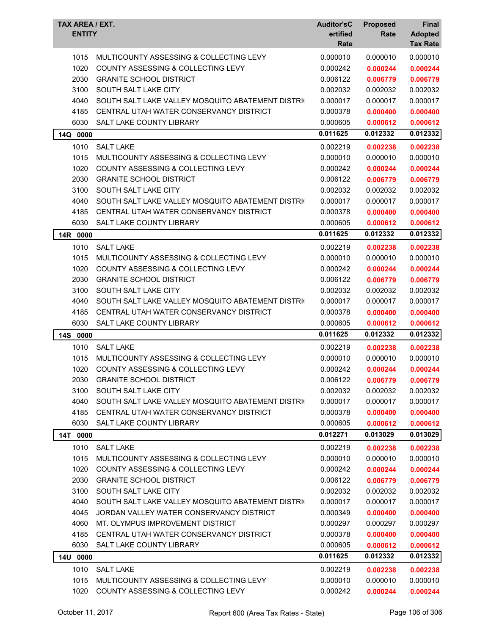| TAX AREA / EXT.<br><b>ENTITY</b> |                                                   | <b>Auditor'sC</b><br>ertified<br>Rate | <b>Proposed</b><br>Rate | Final<br><b>Adopted</b><br><b>Tax Rate</b> |
|----------------------------------|---------------------------------------------------|---------------------------------------|-------------------------|--------------------------------------------|
| 1015                             | MULTICOUNTY ASSESSING & COLLECTING LEVY           | 0.000010                              | 0.000010                | 0.000010                                   |
| 1020                             | <b>COUNTY ASSESSING &amp; COLLECTING LEVY</b>     | 0.000242                              | 0.000244                | 0.000244                                   |
| 2030                             | <b>GRANITE SCHOOL DISTRICT</b>                    | 0.006122                              | 0.006779                | 0.006779                                   |
| 3100                             | SOUTH SALT LAKE CITY                              | 0.002032                              | 0.002032                | 0.002032                                   |
| 4040                             | SOUTH SALT LAKE VALLEY MOSQUITO ABATEMENT DISTRIC | 0.000017                              | 0.000017                | 0.000017                                   |
| 4185                             | CENTRAL UTAH WATER CONSERVANCY DISTRICT           | 0.000378                              | 0.000400                | 0.000400                                   |
| 6030                             | <b>SALT LAKE COUNTY LIBRARY</b>                   | 0.000605                              | 0.000612                | 0.000612                                   |
| 14Q 0000                         |                                                   | 0.011625                              | 0.012332                | 0.012332                                   |
| 1010                             | <b>SALT LAKE</b>                                  | 0.002219                              | 0.002238                | 0.002238                                   |
| 1015                             | MULTICOUNTY ASSESSING & COLLECTING LEVY           | 0.000010                              | 0.000010                | 0.000010                                   |
| 1020                             | <b>COUNTY ASSESSING &amp; COLLECTING LEVY</b>     | 0.000242                              | 0.000244                | 0.000244                                   |
| 2030                             | <b>GRANITE SCHOOL DISTRICT</b>                    | 0.006122                              | 0.006779                | 0.006779                                   |
| 3100                             | SOUTH SALT LAKE CITY                              | 0.002032                              | 0.002032                | 0.002032                                   |
| 4040                             | SOUTH SALT LAKE VALLEY MOSQUITO ABATEMENT DISTRIC | 0.000017                              | 0.000017                | 0.000017                                   |
| 4185                             | CENTRAL UTAH WATER CONSERVANCY DISTRICT           | 0.000378                              | 0.000400                | 0.000400                                   |
| 6030                             | <b>SALT LAKE COUNTY LIBRARY</b>                   | 0.000605                              | 0.000612                | 0.000612                                   |
| 14R 0000                         |                                                   | 0.011625                              | 0.012332                | 0.012332                                   |
| 1010                             | <b>SALT LAKE</b>                                  | 0.002219                              | 0.002238                | 0.002238                                   |
| 1015                             | MULTICOUNTY ASSESSING & COLLECTING LEVY           | 0.000010                              | 0.000010                | 0.000010                                   |
| 1020                             | <b>COUNTY ASSESSING &amp; COLLECTING LEVY</b>     | 0.000242                              | 0.000244                | 0.000244                                   |
| 2030                             | <b>GRANITE SCHOOL DISTRICT</b>                    | 0.006122                              | 0.006779                | 0.006779                                   |
| 3100                             | SOUTH SALT LAKE CITY                              | 0.002032                              | 0.002032                | 0.002032                                   |
| 4040                             | SOUTH SALT LAKE VALLEY MOSQUITO ABATEMENT DISTRIC | 0.000017                              | 0.000017                | 0.000017                                   |
| 4185                             | CENTRAL UTAH WATER CONSERVANCY DISTRICT           | 0.000378                              | 0.000400                | 0.000400                                   |
| 6030                             | SALT LAKE COUNTY LIBRARY                          | 0.000605                              | 0.000612                | 0.000612                                   |
| 14S 0000                         |                                                   | 0.011625                              | 0.012332                | 0.012332                                   |
| 1010                             | <b>SALT LAKE</b>                                  | 0.002219                              | 0.002238                | 0.002238                                   |
| 1015                             | MULTICOUNTY ASSESSING & COLLECTING LEVY           | 0.000010                              | 0.000010                | 0.000010                                   |
| 1020                             | COUNTY ASSESSING & COLLECTING LEVY                | 0.000242                              | 0.000244                | 0.000244                                   |
| 2030                             | <b>GRANITE SCHOOL DISTRICT</b>                    | 0.006122                              | 0.006779                | 0.006779                                   |
| 3100                             | SOUTH SALT LAKE CITY                              | 0.002032                              | 0.002032                | 0.002032                                   |
| 4040                             | SOUTH SALT LAKE VALLEY MOSQUITO ABATEMENT DISTRIC | 0.000017                              | 0.000017                | 0.000017                                   |
| 4185                             | CENTRAL UTAH WATER CONSERVANCY DISTRICT           | 0.000378                              | 0.000400                | 0.000400                                   |
| 6030                             | SALT LAKE COUNTY LIBRARY                          | 0.000605                              | 0.000612                | 0.000612                                   |
| 14T 0000                         |                                                   | 0.012271                              | 0.013029                | 0.013029                                   |
| 1010                             | <b>SALT LAKE</b>                                  | 0.002219                              | 0.002238                | 0.002238                                   |
| 1015                             | MULTICOUNTY ASSESSING & COLLECTING LEVY           | 0.000010                              | 0.000010                | 0.000010                                   |
| 1020                             | COUNTY ASSESSING & COLLECTING LEVY                | 0.000242                              | 0.000244                | 0.000244                                   |
| 2030                             | <b>GRANITE SCHOOL DISTRICT</b>                    | 0.006122                              | 0.006779                | 0.006779                                   |
| 3100                             | SOUTH SALT LAKE CITY                              | 0.002032                              | 0.002032                | 0.002032                                   |
| 4040                             | SOUTH SALT LAKE VALLEY MOSQUITO ABATEMENT DISTRIC | 0.000017                              | 0.000017                | 0.000017                                   |
| 4045                             | JORDAN VALLEY WATER CONSERVANCY DISTRICT          | 0.000349                              | 0.000400                | 0.000400                                   |
| 4060                             | MT. OLYMPUS IMPROVEMENT DISTRICT                  | 0.000297                              | 0.000297                | 0.000297                                   |
| 4185                             | CENTRAL UTAH WATER CONSERVANCY DISTRICT           | 0.000378                              | 0.000400                | 0.000400                                   |
| 6030                             | SALT LAKE COUNTY LIBRARY                          | 0.000605                              | 0.000612                | 0.000612                                   |
| 14U 0000                         |                                                   | 0.011625                              | 0.012332                | 0.012332                                   |
| 1010                             | <b>SALT LAKE</b>                                  | 0.002219                              | 0.002238                | 0.002238                                   |
| 1015                             | MULTICOUNTY ASSESSING & COLLECTING LEVY           | 0.000010                              | 0.000010                | 0.000010                                   |
| 1020                             | COUNTY ASSESSING & COLLECTING LEVY                | 0.000242                              | 0.000244                | 0.000244                                   |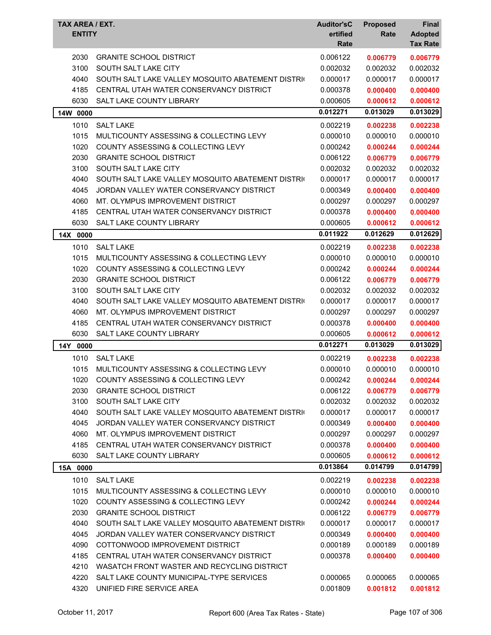| <b>TAX AREA / EXT.</b><br><b>ENTITY</b> |                                                   | <b>Auditor'sC</b><br>ertified<br>Rate | <b>Proposed</b><br>Rate | Final<br><b>Adopted</b><br><b>Tax Rate</b> |
|-----------------------------------------|---------------------------------------------------|---------------------------------------|-------------------------|--------------------------------------------|
| 2030                                    | <b>GRANITE SCHOOL DISTRICT</b>                    | 0.006122                              | 0.006779                | 0.006779                                   |
| 3100                                    | SOUTH SALT LAKE CITY                              | 0.002032                              | 0.002032                | 0.002032                                   |
| 4040                                    | SOUTH SALT LAKE VALLEY MOSQUITO ABATEMENT DISTRIC | 0.000017                              | 0.000017                | 0.000017                                   |
| 4185                                    | CENTRAL UTAH WATER CONSERVANCY DISTRICT           | 0.000378                              | 0.000400                | 0.000400                                   |
| 6030                                    | SALT LAKE COUNTY LIBRARY                          | 0.000605                              | 0.000612                | 0.000612                                   |
| 14W 0000                                |                                                   | 0.012271                              | 0.013029                | 0.013029                                   |
| 1010                                    | <b>SALT LAKE</b>                                  | 0.002219                              | 0.002238                | 0.002238                                   |
| 1015                                    | MULTICOUNTY ASSESSING & COLLECTING LEVY           | 0.000010                              | 0.000010                | 0.000010                                   |
| 1020                                    | COUNTY ASSESSING & COLLECTING LEVY                | 0.000242                              | 0.000244                | 0.000244                                   |
| 2030                                    | <b>GRANITE SCHOOL DISTRICT</b>                    | 0.006122                              | 0.006779                | 0.006779                                   |
| 3100                                    | SOUTH SALT LAKE CITY                              | 0.002032                              | 0.002032                | 0.002032                                   |
| 4040                                    | SOUTH SALT LAKE VALLEY MOSQUITO ABATEMENT DISTRIC | 0.000017                              | 0.000017                | 0.000017                                   |
| 4045                                    | JORDAN VALLEY WATER CONSERVANCY DISTRICT          | 0.000349                              | 0.000400                | 0.000400                                   |
| 4060                                    | MT. OLYMPUS IMPROVEMENT DISTRICT                  | 0.000297                              | 0.000297                | 0.000297                                   |
| 4185                                    | CENTRAL UTAH WATER CONSERVANCY DISTRICT           | 0.000378                              | 0.000400                | 0.000400                                   |
| 6030                                    | SALT LAKE COUNTY LIBRARY                          | 0.000605                              | 0.000612                | 0.000612                                   |
| 14X 0000                                |                                                   | 0.011922                              | 0.012629                | 0.012629                                   |
| 1010                                    | <b>SALT LAKE</b>                                  | 0.002219                              | 0.002238                | 0.002238                                   |
| 1015                                    | MULTICOUNTY ASSESSING & COLLECTING LEVY           | 0.000010                              | 0.000010                | 0.000010                                   |
| 1020                                    | <b>COUNTY ASSESSING &amp; COLLECTING LEVY</b>     | 0.000242                              | 0.000244                | 0.000244                                   |
| 2030                                    | <b>GRANITE SCHOOL DISTRICT</b>                    | 0.006122                              | 0.006779                | 0.006779                                   |
| 3100                                    | SOUTH SALT LAKE CITY                              | 0.002032                              | 0.002032                | 0.002032                                   |
| 4040                                    | SOUTH SALT LAKE VALLEY MOSQUITO ABATEMENT DISTRIC | 0.000017                              | 0.000017                | 0.000017                                   |
| 4060                                    | MT. OLYMPUS IMPROVEMENT DISTRICT                  | 0.000297                              | 0.000297                | 0.000297                                   |
| 4185                                    | CENTRAL UTAH WATER CONSERVANCY DISTRICT           | 0.000378                              | 0.000400                | 0.000400                                   |
| 6030                                    | SALT LAKE COUNTY LIBRARY                          | 0.000605                              | 0.000612                | 0.000612                                   |
| 14Y 0000                                |                                                   | 0.012271                              | 0.013029                | 0.013029                                   |
| 1010                                    | <b>SALT LAKE</b>                                  | 0.002219                              | 0.002238                | 0.002238                                   |
| 1015                                    | MULTICOUNTY ASSESSING & COLLECTING LEVY           | 0.000010                              | 0.000010                | 0.000010                                   |
| 1020                                    | COUNTY ASSESSING & COLLECTING LEVY                | 0.000242                              | 0.000244                | 0.000244                                   |
| 2030                                    | <b>GRANITE SCHOOL DISTRICT</b>                    | 0.006122                              | 0.006779                | 0.006779                                   |
| 3100                                    | SOUTH SALT LAKE CITY                              | 0.002032                              | 0.002032                | 0.002032                                   |
| 4040                                    | SOUTH SALT LAKE VALLEY MOSQUITO ABATEMENT DISTRIC | 0.000017                              | 0.000017                | 0.000017                                   |
| 4045                                    | JORDAN VALLEY WATER CONSERVANCY DISTRICT          | 0.000349                              | 0.000400                | 0.000400                                   |
| 4060                                    | MT. OLYMPUS IMPROVEMENT DISTRICT                  | 0.000297                              | 0.000297                | 0.000297                                   |
| 4185                                    | CENTRAL UTAH WATER CONSERVANCY DISTRICT           | 0.000378                              | 0.000400                | 0.000400                                   |
| 6030                                    | SALT LAKE COUNTY LIBRARY                          | 0.000605                              | 0.000612                | 0.000612                                   |
| 15A 0000                                |                                                   | 0.013864                              | 0.014799                | 0.014799                                   |
| 1010                                    | <b>SALT LAKE</b>                                  | 0.002219                              | 0.002238                | 0.002238                                   |
| 1015                                    | MULTICOUNTY ASSESSING & COLLECTING LEVY           | 0.000010                              | 0.000010                | 0.000010                                   |
| 1020                                    | COUNTY ASSESSING & COLLECTING LEVY                | 0.000242                              | 0.000244                | 0.000244                                   |
| 2030                                    | <b>GRANITE SCHOOL DISTRICT</b>                    | 0.006122                              | 0.006779                | 0.006779                                   |
| 4040                                    | SOUTH SALT LAKE VALLEY MOSQUITO ABATEMENT DISTRIC | 0.000017                              | 0.000017                | 0.000017                                   |
| 4045                                    | JORDAN VALLEY WATER CONSERVANCY DISTRICT          | 0.000349                              | 0.000400                | 0.000400                                   |
| 4090                                    | COTTONWOOD IMPROVEMENT DISTRICT                   | 0.000189                              | 0.000189                | 0.000189                                   |
| 4185                                    | CENTRAL UTAH WATER CONSERVANCY DISTRICT           | 0.000378                              | 0.000400                | 0.000400                                   |
| 4210                                    | WASATCH FRONT WASTER AND RECYCLING DISTRICT       |                                       |                         |                                            |
| 4220                                    | SALT LAKE COUNTY MUNICIPAL-TYPE SERVICES          | 0.000065                              | 0.000065                | 0.000065                                   |
| 4320                                    | UNIFIED FIRE SERVICE AREA                         | 0.001809                              | 0.001812                | 0.001812                                   |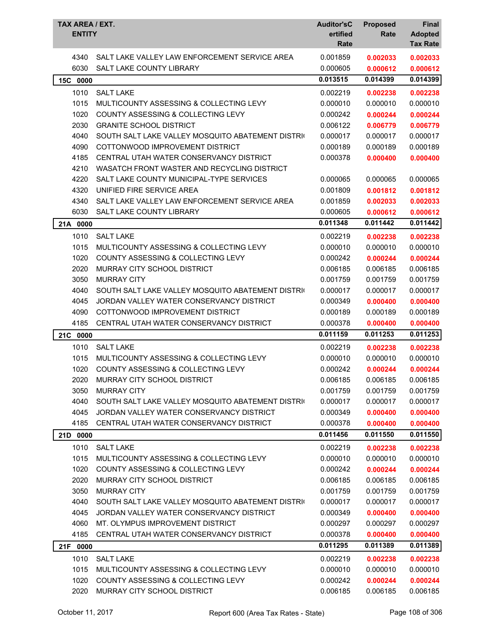| TAX AREA / EXT.<br><b>ENTITY</b> |                                                                            | <b>Auditor'sC</b><br>ertified<br>Rate | <b>Proposed</b><br>Rate | <b>Final</b><br><b>Adopted</b><br><b>Tax Rate</b> |
|----------------------------------|----------------------------------------------------------------------------|---------------------------------------|-------------------------|---------------------------------------------------|
|                                  |                                                                            |                                       |                         |                                                   |
| 4340                             | SALT LAKE VALLEY LAW ENFORCEMENT SERVICE AREA                              | 0.001859                              | 0.002033                | 0.002033                                          |
| 6030                             | <b>SALT LAKE COUNTY LIBRARY</b>                                            | 0.000605                              | 0.000612                | 0.000612                                          |
| 15C<br>0000                      |                                                                            | 0.013515                              | 0.014399                | 0.014399                                          |
| 1010                             | <b>SALT LAKE</b>                                                           | 0.002219                              | 0.002238                | 0.002238                                          |
| 1015                             | MULTICOUNTY ASSESSING & COLLECTING LEVY                                    | 0.000010                              | 0.000010                | 0.000010                                          |
| 1020                             | <b>COUNTY ASSESSING &amp; COLLECTING LEVY</b>                              | 0.000242                              | 0.000244                | 0.000244                                          |
| 2030                             | <b>GRANITE SCHOOL DISTRICT</b>                                             | 0.006122                              | 0.006779                | 0.006779                                          |
| 4040                             | SOUTH SALT LAKE VALLEY MOSQUITO ABATEMENT DISTRIC                          | 0.000017                              | 0.000017                | 0.000017                                          |
| 4090<br>4185                     | COTTONWOOD IMPROVEMENT DISTRICT<br>CENTRAL UTAH WATER CONSERVANCY DISTRICT | 0.000189<br>0.000378                  | 0.000189                | 0.000189                                          |
| 4210                             | WASATCH FRONT WASTER AND RECYCLING DISTRICT                                |                                       | 0.000400                | 0.000400                                          |
| 4220                             | SALT LAKE COUNTY MUNICIPAL-TYPE SERVICES                                   | 0.000065                              | 0.000065                | 0.000065                                          |
| 4320                             | UNIFIED FIRE SERVICE AREA                                                  | 0.001809                              | 0.001812                | 0.001812                                          |
| 4340                             | SALT LAKE VALLEY LAW ENFORCEMENT SERVICE AREA                              | 0.001859                              | 0.002033                | 0.002033                                          |
| 6030                             | <b>SALT LAKE COUNTY LIBRARY</b>                                            | 0.000605                              | 0.000612                | 0.000612                                          |
| 21A 0000                         |                                                                            | 0.011348                              | 0.011442                | 0.011442                                          |
| 1010                             | <b>SALT LAKE</b>                                                           | 0.002219                              | 0.002238                |                                                   |
| 1015                             | MULTICOUNTY ASSESSING & COLLECTING LEVY                                    | 0.000010                              | 0.000010                | 0.002238<br>0.000010                              |
| 1020                             | COUNTY ASSESSING & COLLECTING LEVY                                         | 0.000242                              | 0.000244                | 0.000244                                          |
| 2020                             | MURRAY CITY SCHOOL DISTRICT                                                | 0.006185                              | 0.006185                | 0.006185                                          |
| 3050                             | <b>MURRAY CITY</b>                                                         | 0.001759                              | 0.001759                | 0.001759                                          |
| 4040                             | SOUTH SALT LAKE VALLEY MOSQUITO ABATEMENT DISTRIC                          | 0.000017                              | 0.000017                | 0.000017                                          |
| 4045                             | JORDAN VALLEY WATER CONSERVANCY DISTRICT                                   | 0.000349                              | 0.000400                | 0.000400                                          |
| 4090                             | COTTONWOOD IMPROVEMENT DISTRICT                                            | 0.000189                              | 0.000189                | 0.000189                                          |
| 4185                             | CENTRAL UTAH WATER CONSERVANCY DISTRICT                                    | 0.000378                              | 0.000400                | 0.000400                                          |
| 21C 0000                         |                                                                            | 0.011159                              | 0.011253                | 0.011253                                          |
| 1010                             | <b>SALT LAKE</b>                                                           | 0.002219                              | 0.002238                | 0.002238                                          |
| 1015                             | MULTICOUNTY ASSESSING & COLLECTING LEVY                                    | 0.000010                              | 0.000010                | 0.000010                                          |
| 1020                             | COUNTY ASSESSING & COLLECTING LEVY                                         | 0.000242                              | 0.000244                | 0.000244                                          |
| 2020                             | MURRAY CITY SCHOOL DISTRICT                                                | 0.006185                              | 0.006185                | 0.006185                                          |
| 3050                             | <b>MURRAY CITY</b>                                                         | 0.001759                              | 0.001759                | 0.001759                                          |
| 4040                             | SOUTH SALT LAKE VALLEY MOSQUITO ABATEMENT DISTRIC                          | 0.000017                              | 0.000017                | 0.000017                                          |
| 4045                             | JORDAN VALLEY WATER CONSERVANCY DISTRICT                                   | 0.000349                              | 0.000400                | 0.000400                                          |
| 4185                             | CENTRAL UTAH WATER CONSERVANCY DISTRICT                                    | 0.000378                              | 0.000400                | 0.000400                                          |
| 21D 0000                         |                                                                            | 0.011456                              | 0.011550                | 0.011550                                          |
| 1010                             | <b>SALT LAKE</b>                                                           | 0.002219                              | 0.002238                | 0.002238                                          |
| 1015                             | MULTICOUNTY ASSESSING & COLLECTING LEVY                                    | 0.000010                              | 0.000010                | 0.000010                                          |
| 1020                             | COUNTY ASSESSING & COLLECTING LEVY                                         | 0.000242                              | 0.000244                | 0.000244                                          |
| 2020                             | MURRAY CITY SCHOOL DISTRICT                                                | 0.006185                              | 0.006185                | 0.006185                                          |
| 3050                             | <b>MURRAY CITY</b>                                                         | 0.001759                              | 0.001759                | 0.001759                                          |
| 4040                             | SOUTH SALT LAKE VALLEY MOSQUITO ABATEMENT DISTRIC                          | 0.000017                              | 0.000017                | 0.000017                                          |
| 4045                             | JORDAN VALLEY WATER CONSERVANCY DISTRICT                                   | 0.000349                              | 0.000400                | 0.000400                                          |
| 4060                             | MT. OLYMPUS IMPROVEMENT DISTRICT                                           | 0.000297                              | 0.000297                | 0.000297                                          |
| 4185                             | CENTRAL UTAH WATER CONSERVANCY DISTRICT                                    | 0.000378                              | 0.000400                | 0.000400                                          |
| 21F 0000                         |                                                                            | 0.011295                              | 0.011389                | 0.011389                                          |
| 1010                             | <b>SALT LAKE</b>                                                           | 0.002219                              | 0.002238                | 0.002238                                          |
| 1015                             | MULTICOUNTY ASSESSING & COLLECTING LEVY                                    | 0.000010                              | 0.000010                | 0.000010                                          |
| 1020                             | COUNTY ASSESSING & COLLECTING LEVY                                         | 0.000242                              | 0.000244                | 0.000244                                          |
| 2020                             | MURRAY CITY SCHOOL DISTRICT                                                | 0.006185                              | 0.006185                | 0.006185                                          |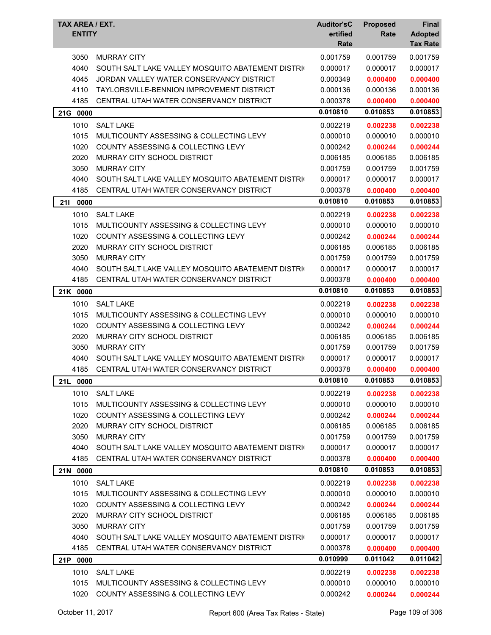|     | <b>TAX AREA / EXT.</b><br><b>ENTITY</b> |                                                   | <b>Auditor'sC</b><br>ertified<br>Rate | <b>Proposed</b><br>Rate | <b>Final</b><br><b>Adopted</b><br><b>Tax Rate</b> |
|-----|-----------------------------------------|---------------------------------------------------|---------------------------------------|-------------------------|---------------------------------------------------|
|     | 3050                                    | <b>MURRAY CITY</b>                                | 0.001759                              | 0.001759                | 0.001759                                          |
|     | 4040                                    | SOUTH SALT LAKE VALLEY MOSQUITO ABATEMENT DISTRIC | 0.000017                              | 0.000017                | 0.000017                                          |
|     | 4045                                    | JORDAN VALLEY WATER CONSERVANCY DISTRICT          | 0.000349                              | 0.000400                | 0.000400                                          |
|     | 4110                                    | TAYLORSVILLE-BENNION IMPROVEMENT DISTRICT         | 0.000136                              | 0.000136                | 0.000136                                          |
|     | 4185                                    | CENTRAL UTAH WATER CONSERVANCY DISTRICT           | 0.000378                              | 0.000400                | 0.000400                                          |
|     | 21G 0000                                |                                                   | 0.010810                              | 0.010853                | 0.010853                                          |
|     | 1010                                    | <b>SALT LAKE</b>                                  | 0.002219                              | 0.002238                | 0.002238                                          |
|     | 1015                                    | MULTICOUNTY ASSESSING & COLLECTING LEVY           | 0.000010                              | 0.000010                | 0.000010                                          |
|     | 1020                                    | COUNTY ASSESSING & COLLECTING LEVY                | 0.000242                              | 0.000244                | 0.000244                                          |
|     | 2020                                    | MURRAY CITY SCHOOL DISTRICT                       | 0.006185                              | 0.006185                | 0.006185                                          |
|     | 3050                                    | <b>MURRAY CITY</b>                                | 0.001759                              | 0.001759                | 0.001759                                          |
|     | 4040                                    | SOUTH SALT LAKE VALLEY MOSQUITO ABATEMENT DISTRIC | 0.000017                              | 0.000017                | 0.000017                                          |
|     | 4185                                    | CENTRAL UTAH WATER CONSERVANCY DISTRICT           | 0.000378                              | 0.000400                | 0.000400                                          |
| 211 | 0000                                    |                                                   | 0.010810                              | 0.010853                | 0.010853                                          |
|     | 1010                                    | <b>SALT LAKE</b>                                  | 0.002219                              | 0.002238                | 0.002238                                          |
|     | 1015                                    | MULTICOUNTY ASSESSING & COLLECTING LEVY           | 0.000010                              | 0.000010                | 0.000010                                          |
|     | 1020                                    | COUNTY ASSESSING & COLLECTING LEVY                | 0.000242                              | 0.000244                | 0.000244                                          |
|     | 2020                                    | MURRAY CITY SCHOOL DISTRICT                       | 0.006185                              | 0.006185                | 0.006185                                          |
|     | 3050                                    | <b>MURRAY CITY</b>                                | 0.001759                              | 0.001759                | 0.001759                                          |
|     | 4040                                    | SOUTH SALT LAKE VALLEY MOSQUITO ABATEMENT DISTRIC | 0.000017                              | 0.000017                | 0.000017                                          |
|     | 4185                                    | CENTRAL UTAH WATER CONSERVANCY DISTRICT           | 0.000378                              | 0.000400                | 0.000400                                          |
|     | 21K 0000                                |                                                   | 0.010810                              | 0.010853                | 0.010853                                          |
|     | 1010                                    | <b>SALT LAKE</b>                                  | 0.002219                              | 0.002238                | 0.002238                                          |
|     | 1015                                    | MULTICOUNTY ASSESSING & COLLECTING LEVY           | 0.000010                              | 0.000010                | 0.000010                                          |
|     | 1020                                    | COUNTY ASSESSING & COLLECTING LEVY                | 0.000242                              | 0.000244                | 0.000244                                          |
|     | 2020                                    | MURRAY CITY SCHOOL DISTRICT                       | 0.006185                              | 0.006185                | 0.006185                                          |
|     | 3050                                    | <b>MURRAY CITY</b>                                | 0.001759                              | 0.001759                | 0.001759                                          |
|     | 4040                                    | SOUTH SALT LAKE VALLEY MOSQUITO ABATEMENT DISTRIC | 0.000017                              | 0.000017                | 0.000017                                          |
|     | 4185                                    | CENTRAL UTAH WATER CONSERVANCY DISTRICT           | 0.000378                              | 0.000400                | 0.000400                                          |
| 21L | 0000                                    |                                                   | 0.010810                              | 0.010853                | 0.010853                                          |
|     | 1010                                    | <b>SALT LAKE</b>                                  | 0.002219                              | 0.002238                | 0.002238                                          |
|     | 1015                                    | MULTICOUNTY ASSESSING & COLLECTING LEVY           | 0.000010                              | 0.000010                | 0.000010                                          |
|     | 1020                                    | <b>COUNTY ASSESSING &amp; COLLECTING LEVY</b>     | 0.000242                              | 0.000244                | 0.000244                                          |
|     | 2020                                    | MURRAY CITY SCHOOL DISTRICT                       | 0.006185                              | 0.006185                | 0.006185                                          |
|     | 3050                                    | <b>MURRAY CITY</b>                                | 0.001759                              | 0.001759                | 0.001759                                          |
|     | 4040                                    | SOUTH SALT LAKE VALLEY MOSQUITO ABATEMENT DISTRIC | 0.000017                              | 0.000017                | 0.000017                                          |
|     | 4185                                    | CENTRAL UTAH WATER CONSERVANCY DISTRICT           | 0.000378                              | 0.000400                | 0.000400                                          |
|     | 21N 0000                                |                                                   | 0.010810                              | 0.010853                | 0.010853                                          |
|     | 1010                                    | <b>SALT LAKE</b>                                  | 0.002219                              | 0.002238                | 0.002238                                          |
|     | 1015                                    | MULTICOUNTY ASSESSING & COLLECTING LEVY           | 0.000010                              | 0.000010                | 0.000010                                          |
|     | 1020                                    | COUNTY ASSESSING & COLLECTING LEVY                | 0.000242                              | 0.000244                | 0.000244                                          |
|     | 2020                                    | MURRAY CITY SCHOOL DISTRICT                       | 0.006185                              | 0.006185                | 0.006185                                          |
|     | 3050                                    | <b>MURRAY CITY</b>                                | 0.001759                              | 0.001759                | 0.001759                                          |
|     | 4040                                    | SOUTH SALT LAKE VALLEY MOSQUITO ABATEMENT DISTRIC | 0.000017                              | 0.000017                | 0.000017                                          |
|     | 4185                                    | CENTRAL UTAH WATER CONSERVANCY DISTRICT           | 0.000378                              | 0.000400                | 0.000400                                          |
|     | 21P 0000                                |                                                   | 0.010999                              | 0.011042                | 0.011042                                          |
|     | 1010                                    | <b>SALT LAKE</b>                                  | 0.002219                              | 0.002238                | 0.002238                                          |
|     | 1015                                    | MULTICOUNTY ASSESSING & COLLECTING LEVY           | 0.000010                              | 0.000010                | 0.000010                                          |
|     | 1020                                    | COUNTY ASSESSING & COLLECTING LEVY                | 0.000242                              | 0.000244                | 0.000244                                          |
|     |                                         |                                                   |                                       |                         |                                                   |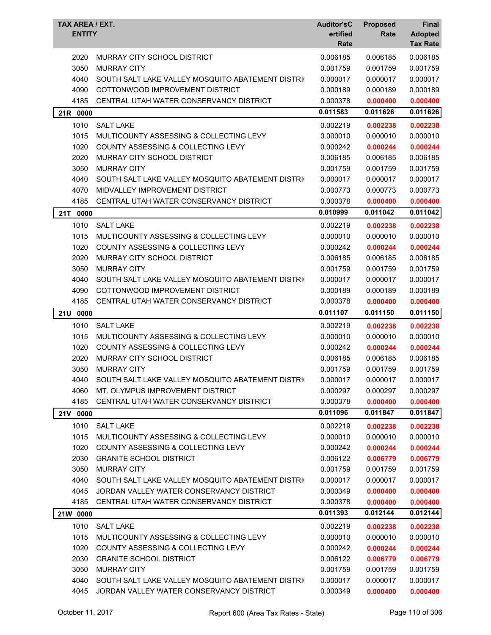| TAX AREA / EXT.<br><b>ENTITY</b> |                                                   | <b>Auditor'sC</b><br>ertified<br>Rate | <b>Proposed</b><br>Rate | Final<br><b>Adopted</b><br><b>Tax Rate</b> |
|----------------------------------|---------------------------------------------------|---------------------------------------|-------------------------|--------------------------------------------|
| 2020                             | MURRAY CITY SCHOOL DISTRICT                       | 0.006185                              | 0.006185                | 0.006185                                   |
| 3050                             | <b>MURRAY CITY</b>                                | 0.001759                              | 0.001759                | 0.001759                                   |
| 4040                             | SOUTH SALT LAKE VALLEY MOSQUITO ABATEMENT DISTRIC | 0.000017                              | 0.000017                | 0.000017                                   |
| 4090                             | COTTONWOOD IMPROVEMENT DISTRICT                   | 0.000189                              | 0.000189                | 0.000189                                   |
| 4185                             | CENTRAL UTAH WATER CONSERVANCY DISTRICT           | 0.000378                              | 0.000400                | 0.000400                                   |
| 21R 0000                         |                                                   | 0.011583                              | 0.011626                | 0.011626                                   |
| 1010                             | <b>SALT LAKE</b>                                  | 0.002219                              | 0.002238                | 0.002238                                   |
| 1015                             | MULTICOUNTY ASSESSING & COLLECTING LEVY           | 0.000010                              | 0.000010                | 0.000010                                   |
| 1020                             | COUNTY ASSESSING & COLLECTING LEVY                | 0.000242                              | 0.000244                | 0.000244                                   |
| 2020                             | MURRAY CITY SCHOOL DISTRICT                       | 0.006185                              | 0.006185                | 0.006185                                   |
| 3050                             | <b>MURRAY CITY</b>                                | 0.001759                              | 0.001759                | 0.001759                                   |
| 4040                             | SOUTH SALT LAKE VALLEY MOSQUITO ABATEMENT DISTRIC | 0.000017                              | 0.000017                | 0.000017                                   |
| 4070                             | MIDVALLEY IMPROVEMENT DISTRICT                    | 0.000773                              | 0.000773                | 0.000773                                   |
| 4185                             | CENTRAL UTAH WATER CONSERVANCY DISTRICT           | 0.000378                              | 0.000400                | 0.000400                                   |
| 21T<br>0000                      |                                                   | 0.010999                              | 0.011042                | 0.011042                                   |
| 1010                             | <b>SALT LAKE</b>                                  | 0.002219                              | 0.002238                | 0.002238                                   |
| 1015                             | MULTICOUNTY ASSESSING & COLLECTING LEVY           | 0.000010                              | 0.000010                | 0.000010                                   |
| 1020                             | <b>COUNTY ASSESSING &amp; COLLECTING LEVY</b>     | 0.000242                              | 0.000244                | 0.000244                                   |
| 2020                             | MURRAY CITY SCHOOL DISTRICT                       | 0.006185                              | 0.006185                | 0.006185                                   |
| 3050                             | <b>MURRAY CITY</b>                                | 0.001759                              | 0.001759                | 0.001759                                   |
| 4040                             | SOUTH SALT LAKE VALLEY MOSQUITO ABATEMENT DISTRIC | 0.000017                              | 0.000017                | 0.000017                                   |
| 4090                             | COTTONWOOD IMPROVEMENT DISTRICT                   | 0.000189                              | 0.000189                | 0.000189                                   |
| 4185                             | CENTRAL UTAH WATER CONSERVANCY DISTRICT           | 0.000378                              | 0.000400                | 0.000400                                   |
| 21U 0000                         |                                                   | 0.011107                              | 0.011150                | 0.011150                                   |
| 1010                             | <b>SALT LAKE</b>                                  | 0.002219                              | 0.002238                | 0.002238                                   |
| 1015                             | MULTICOUNTY ASSESSING & COLLECTING LEVY           | 0.000010                              | 0.000010                | 0.000010                                   |
| 1020                             | COUNTY ASSESSING & COLLECTING LEVY                | 0.000242                              | 0.000244                | 0.000244                                   |
| 2020                             | MURRAY CITY SCHOOL DISTRICT                       | 0.006185                              | 0.006185                | 0.006185                                   |
| 3050                             | <b>MURRAY CITY</b>                                | 0.001759                              | 0.001759                | 0.001759                                   |
| 4040                             | SOUTH SALT LAKE VALLEY MOSQUITO ABATEMENT DISTRIC | 0.000017                              | 0.000017                | 0.000017                                   |
| 4060                             | MT. OLYMPUS IMPROVEMENT DISTRICT                  | 0.000297                              | 0.000297                | 0.000297                                   |
| 4185                             | CENTRAL UTAH WATER CONSERVANCY DISTRICT           | 0.000378                              | 0.000400                | 0.000400                                   |
| 21V 0000                         |                                                   | 0.011096                              | 0.011847                | 0.011847                                   |
| 1010                             | <b>SALT LAKE</b>                                  | 0.002219                              | 0.002238                | 0.002238                                   |
| 1015                             | MULTICOUNTY ASSESSING & COLLECTING LEVY           | 0.000010                              | 0.000010                | 0.000010                                   |
| 1020                             | COUNTY ASSESSING & COLLECTING LEVY                | 0.000242                              | 0.000244                | 0.000244                                   |
| 2030                             | <b>GRANITE SCHOOL DISTRICT</b>                    | 0.006122                              | 0.006779                | 0.006779                                   |
| 3050                             | <b>MURRAY CITY</b>                                | 0.001759                              | 0.001759                | 0.001759                                   |
| 4040                             | SOUTH SALT LAKE VALLEY MOSQUITO ABATEMENT DISTRIC | 0.000017                              | 0.000017                | 0.000017                                   |
| 4045                             | JORDAN VALLEY WATER CONSERVANCY DISTRICT          | 0.000349                              | 0.000400                | 0.000400                                   |
| 4185                             | CENTRAL UTAH WATER CONSERVANCY DISTRICT           | 0.000378                              | 0.000400                | 0.000400                                   |
| 21W 0000                         |                                                   | 0.011393                              | 0.012144                | 0.012144                                   |
| 1010                             | <b>SALT LAKE</b>                                  | 0.002219                              | 0.002238                | 0.002238                                   |
| 1015                             | MULTICOUNTY ASSESSING & COLLECTING LEVY           | 0.000010                              | 0.000010                | 0.000010                                   |
| 1020                             | COUNTY ASSESSING & COLLECTING LEVY                | 0.000242                              | 0.000244                | 0.000244                                   |
| 2030                             | <b>GRANITE SCHOOL DISTRICT</b>                    | 0.006122                              | 0.006779                | 0.006779                                   |
| 3050                             | <b>MURRAY CITY</b>                                | 0.001759                              | 0.001759                | 0.001759                                   |
| 4040                             | SOUTH SALT LAKE VALLEY MOSQUITO ABATEMENT DISTRI  | 0.000017                              | 0.000017                | 0.000017                                   |
| 4045                             | JORDAN VALLEY WATER CONSERVANCY DISTRICT          | 0.000349                              | 0.000400                | 0.000400                                   |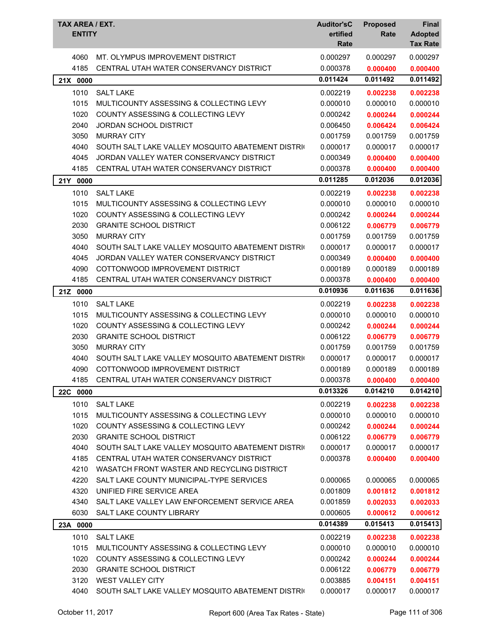| TAX AREA / EXT.<br><b>ENTITY</b> |                                                                                              | <b>Auditor'sC</b><br>ertified<br>Rate | <b>Proposed</b><br>Rate | <b>Final</b><br><b>Adopted</b><br><b>Tax Rate</b> |
|----------------------------------|----------------------------------------------------------------------------------------------|---------------------------------------|-------------------------|---------------------------------------------------|
| 4060<br>4185                     | MT. OLYMPUS IMPROVEMENT DISTRICT<br>CENTRAL UTAH WATER CONSERVANCY DISTRICT                  | 0.000297<br>0.000378                  | 0.000297<br>0.000400    | 0.000297<br>0.000400                              |
| 21X 0000                         |                                                                                              | 0.011424                              | 0.011492                | 0.011492                                          |
| 1010                             | <b>SALT LAKE</b>                                                                             | 0.002219                              | 0.002238                | 0.002238                                          |
| 1015                             | MULTICOUNTY ASSESSING & COLLECTING LEVY                                                      | 0.000010                              | 0.000010                | 0.000010                                          |
| 1020                             | COUNTY ASSESSING & COLLECTING LEVY                                                           | 0.000242                              | 0.000244                | 0.000244                                          |
| 2040                             | <b>JORDAN SCHOOL DISTRICT</b>                                                                | 0.006450                              | 0.006424                | 0.006424                                          |
| 3050                             | <b>MURRAY CITY</b>                                                                           | 0.001759                              | 0.001759                | 0.001759                                          |
| 4040                             | SOUTH SALT LAKE VALLEY MOSQUITO ABATEMENT DISTRIC                                            | 0.000017                              | 0.000017                | 0.000017                                          |
| 4045                             | JORDAN VALLEY WATER CONSERVANCY DISTRICT                                                     | 0.000349                              | 0.000400                | 0.000400                                          |
| 4185                             | CENTRAL UTAH WATER CONSERVANCY DISTRICT                                                      | 0.000378                              | 0.000400                | 0.000400                                          |
| 21Y 0000                         |                                                                                              | 0.011285                              | 0.012036                | 0.012036                                          |
|                                  |                                                                                              |                                       |                         |                                                   |
| 1010<br>1015                     | <b>SALT LAKE</b><br>MULTICOUNTY ASSESSING & COLLECTING LEVY                                  | 0.002219                              | 0.002238                | 0.002238                                          |
|                                  |                                                                                              | 0.000010                              | 0.000010                | 0.000010                                          |
| 1020                             | COUNTY ASSESSING & COLLECTING LEVY                                                           | 0.000242                              | 0.000244                | 0.000244                                          |
| 2030<br>3050                     | <b>GRANITE SCHOOL DISTRICT</b><br><b>MURRAY CITY</b>                                         | 0.006122<br>0.001759                  | 0.006779<br>0.001759    | 0.006779<br>0.001759                              |
| 4040                             | SOUTH SALT LAKE VALLEY MOSQUITO ABATEMENT DISTRIC                                            | 0.000017                              | 0.000017                | 0.000017                                          |
| 4045                             | JORDAN VALLEY WATER CONSERVANCY DISTRICT                                                     | 0.000349                              | 0.000400                | 0.000400                                          |
| 4090                             | COTTONWOOD IMPROVEMENT DISTRICT                                                              | 0.000189                              | 0.000189                | 0.000189                                          |
| 4185                             | CENTRAL UTAH WATER CONSERVANCY DISTRICT                                                      | 0.000378                              | 0.000400                | 0.000400                                          |
| 21Z 0000                         |                                                                                              | 0.010936                              | 0.011636                | 0.011636                                          |
| 1010                             |                                                                                              |                                       |                         |                                                   |
| 1015                             | <b>SALT LAKE</b>                                                                             | 0.002219                              | 0.002238                | 0.002238                                          |
|                                  | MULTICOUNTY ASSESSING & COLLECTING LEVY<br><b>COUNTY ASSESSING &amp; COLLECTING LEVY</b>     | 0.000010                              | 0.000010                | 0.000010                                          |
| 1020<br>2030                     | <b>GRANITE SCHOOL DISTRICT</b>                                                               | 0.000242<br>0.006122                  | 0.000244                | 0.000244                                          |
| 3050                             | <b>MURRAY CITY</b>                                                                           | 0.001759                              | 0.006779<br>0.001759    | 0.006779<br>0.001759                              |
| 4040                             | SOUTH SALT LAKE VALLEY MOSQUITO ABATEMENT DISTRIC                                            | 0.000017                              | 0.000017                | 0.000017                                          |
| 4090                             | COTTONWOOD IMPROVEMENT DISTRICT                                                              | 0.000189                              | 0.000189                | 0.000189                                          |
| 4185                             | CENTRAL UTAH WATER CONSERVANCY DISTRICT                                                      | 0.000378                              | 0.000400                | 0.000400                                          |
|                                  |                                                                                              | 0.013326                              | 0.014210                | 0.014210                                          |
| 22C 0000                         |                                                                                              |                                       |                         |                                                   |
| 1010                             | <b>SALT LAKE</b>                                                                             | 0.002219                              | 0.002238                | 0.002238                                          |
| 1015                             | MULTICOUNTY ASSESSING & COLLECTING LEVY                                                      | 0.000010                              | 0.000010                | 0.000010                                          |
| 1020                             | COUNTY ASSESSING & COLLECTING LEVY                                                           | 0.000242                              | 0.000244                | 0.000244                                          |
| 2030                             | <b>GRANITE SCHOOL DISTRICT</b>                                                               | 0.006122                              | 0.006779                | 0.006779                                          |
| 4040                             | SOUTH SALT LAKE VALLEY MOSQUITO ABATEMENT DISTRIC<br>CENTRAL UTAH WATER CONSERVANCY DISTRICT | 0.000017                              | 0.000017                | 0.000017                                          |
| 4185<br>4210                     | WASATCH FRONT WASTER AND RECYCLING DISTRICT                                                  | 0.000378                              | 0.000400                | 0.000400                                          |
| 4220                             | SALT LAKE COUNTY MUNICIPAL-TYPE SERVICES                                                     | 0.000065                              | 0.000065                | 0.000065                                          |
| 4320                             | UNIFIED FIRE SERVICE AREA                                                                    | 0.001809                              | 0.001812                | 0.001812                                          |
| 4340                             | SALT LAKE VALLEY LAW ENFORCEMENT SERVICE AREA                                                | 0.001859                              | 0.002033                | 0.002033                                          |
| 6030                             | SALT LAKE COUNTY LIBRARY                                                                     | 0.000605                              | 0.000612                | 0.000612                                          |
| 23A 0000                         |                                                                                              | 0.014389                              | 0.015413                | 0.015413                                          |
| 1010                             | <b>SALT LAKE</b>                                                                             | 0.002219                              |                         |                                                   |
| 1015                             | MULTICOUNTY ASSESSING & COLLECTING LEVY                                                      | 0.000010                              | 0.002238<br>0.000010    | 0.002238<br>0.000010                              |
| 1020                             | COUNTY ASSESSING & COLLECTING LEVY                                                           | 0.000242                              | 0.000244                | 0.000244                                          |
| 2030                             | <b>GRANITE SCHOOL DISTRICT</b>                                                               | 0.006122                              | 0.006779                | 0.006779                                          |
| 3120                             | <b>WEST VALLEY CITY</b>                                                                      | 0.003885                              | 0.004151                | 0.004151                                          |
| 4040                             | SOUTH SALT LAKE VALLEY MOSQUITO ABATEMENT DISTRIC                                            | 0.000017                              | 0.000017                | 0.000017                                          |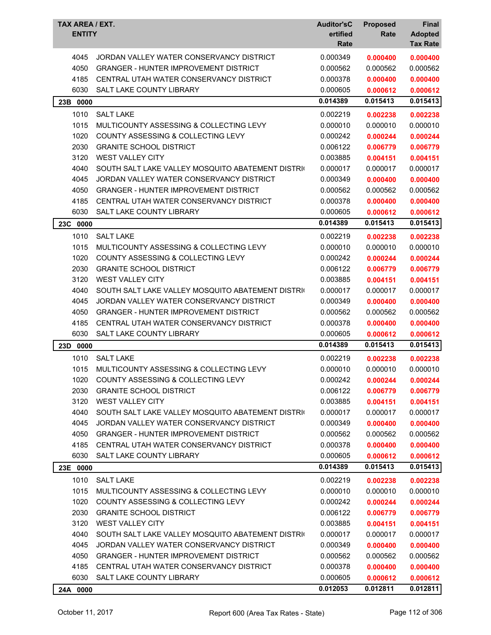| TAX AREA / EXT.<br><b>ENTITY</b> |                                                   | <b>Auditor'sC</b><br>ertified<br>Rate | <b>Proposed</b><br>Rate | <b>Final</b><br><b>Adopted</b><br><b>Tax Rate</b> |
|----------------------------------|---------------------------------------------------|---------------------------------------|-------------------------|---------------------------------------------------|
| 4045                             | JORDAN VALLEY WATER CONSERVANCY DISTRICT          | 0.000349                              | 0.000400                | 0.000400                                          |
| 4050                             | <b>GRANGER - HUNTER IMPROVEMENT DISTRICT</b>      | 0.000562                              | 0.000562                | 0.000562                                          |
| 4185                             | CENTRAL UTAH WATER CONSERVANCY DISTRICT           | 0.000378                              | 0.000400                | 0.000400                                          |
| 6030                             | SALT LAKE COUNTY LIBRARY                          | 0.000605                              | 0.000612                | 0.000612                                          |
| 23B 0000                         |                                                   | 0.014389                              | 0.015413                | 0.015413                                          |
| 1010                             | <b>SALT LAKE</b>                                  | 0.002219                              | 0.002238                | 0.002238                                          |
| 1015                             | MULTICOUNTY ASSESSING & COLLECTING LEVY           | 0.000010                              | 0.000010                | 0.000010                                          |
| 1020                             | COUNTY ASSESSING & COLLECTING LEVY                | 0.000242                              | 0.000244                | 0.000244                                          |
| 2030                             | <b>GRANITE SCHOOL DISTRICT</b>                    | 0.006122                              | 0.006779                | 0.006779                                          |
| 3120                             | <b>WEST VALLEY CITY</b>                           | 0.003885                              | 0.004151                | 0.004151                                          |
| 4040                             | SOUTH SALT LAKE VALLEY MOSQUITO ABATEMENT DISTRIC | 0.000017                              | 0.000017                | 0.000017                                          |
| 4045                             | JORDAN VALLEY WATER CONSERVANCY DISTRICT          | 0.000349                              | 0.000400                | 0.000400                                          |
| 4050                             | <b>GRANGER - HUNTER IMPROVEMENT DISTRICT</b>      | 0.000562                              | 0.000562                | 0.000562                                          |
| 4185                             | CENTRAL UTAH WATER CONSERVANCY DISTRICT           | 0.000378                              | 0.000400                | 0.000400                                          |
| 6030                             | <b>SALT LAKE COUNTY LIBRARY</b>                   | 0.000605                              | 0.000612                | 0.000612                                          |
| 23C 0000                         |                                                   | 0.014389                              | 0.015413                | 0.015413                                          |
| 1010                             | <b>SALT LAKE</b>                                  | 0.002219                              | 0.002238                | 0.002238                                          |
| 1015                             | MULTICOUNTY ASSESSING & COLLECTING LEVY           | 0.000010                              | 0.000010                | 0.000010                                          |
| 1020                             | COUNTY ASSESSING & COLLECTING LEVY                | 0.000242                              | 0.000244                | 0.000244                                          |
| 2030                             | <b>GRANITE SCHOOL DISTRICT</b>                    | 0.006122                              | 0.006779                | 0.006779                                          |
| 3120                             | <b>WEST VALLEY CITY</b>                           | 0.003885                              | 0.004151                | 0.004151                                          |
| 4040                             | SOUTH SALT LAKE VALLEY MOSQUITO ABATEMENT DISTRIC | 0.000017                              | 0.000017                | 0.000017                                          |
| 4045                             | JORDAN VALLEY WATER CONSERVANCY DISTRICT          | 0.000349                              | 0.000400                | 0.000400                                          |
| 4050                             | <b>GRANGER - HUNTER IMPROVEMENT DISTRICT</b>      | 0.000562                              | 0.000562                | 0.000562                                          |
| 4185                             | CENTRAL UTAH WATER CONSERVANCY DISTRICT           | 0.000378                              | 0.000400                | 0.000400                                          |
| 6030                             | SALT LAKE COUNTY LIBRARY                          | 0.000605                              | 0.000612                | 0.000612                                          |
| 0000<br>23D                      |                                                   | 0.014389                              | 0.015413                | 0.015413                                          |
| 1010                             | <b>SALT LAKE</b>                                  | 0.002219                              | 0.002238                | 0.002238                                          |
| 1015                             | MULTICOUNTY ASSESSING & COLLECTING LEVY           | 0.000010                              | 0.000010                | 0.000010                                          |
| 1020                             | COUNTY ASSESSING & COLLECTING LEVY                | 0.000242                              | 0.000244                | 0.000244                                          |
| 2030                             | <b>GRANITE SCHOOL DISTRICT</b>                    | 0.006122                              | 0.006779                | 0.006779                                          |
| 3120                             | <b>WEST VALLEY CITY</b>                           | 0.003885                              | 0.004151                | 0.004151                                          |
| 4040                             | SOUTH SALT LAKE VALLEY MOSQUITO ABATEMENT DISTRIC | 0.000017                              | 0.000017                | 0.000017                                          |
| 4045                             | JORDAN VALLEY WATER CONSERVANCY DISTRICT          | 0.000349                              | 0.000400                | 0.000400                                          |
| 4050                             | <b>GRANGER - HUNTER IMPROVEMENT DISTRICT</b>      | 0.000562                              | 0.000562                | 0.000562                                          |
| 4185                             | CENTRAL UTAH WATER CONSERVANCY DISTRICT           | 0.000378                              | 0.000400                | 0.000400                                          |
| 6030                             | SALT LAKE COUNTY LIBRARY                          | 0.000605                              | 0.000612                | 0.000612                                          |
| 23E 0000                         |                                                   | 0.014389                              | 0.015413                | 0.015413                                          |
| 1010                             | <b>SALT LAKE</b>                                  | 0.002219                              | 0.002238                | 0.002238                                          |
| 1015                             | MULTICOUNTY ASSESSING & COLLECTING LEVY           | 0.000010                              | 0.000010                | 0.000010                                          |
| 1020                             | <b>COUNTY ASSESSING &amp; COLLECTING LEVY</b>     | 0.000242                              | 0.000244                | 0.000244                                          |
| 2030                             | <b>GRANITE SCHOOL DISTRICT</b>                    | 0.006122                              | 0.006779                | 0.006779                                          |
| 3120                             | <b>WEST VALLEY CITY</b>                           | 0.003885                              | 0.004151                | 0.004151                                          |
| 4040                             | SOUTH SALT LAKE VALLEY MOSQUITO ABATEMENT DISTRIC | 0.000017                              | 0.000017                | 0.000017                                          |
| 4045                             | JORDAN VALLEY WATER CONSERVANCY DISTRICT          | 0.000349                              | 0.000400                | 0.000400                                          |
| 4050                             | <b>GRANGER - HUNTER IMPROVEMENT DISTRICT</b>      | 0.000562                              | 0.000562                | 0.000562                                          |
| 4185                             | CENTRAL UTAH WATER CONSERVANCY DISTRICT           | 0.000378                              | 0.000400                | 0.000400                                          |
| 6030                             | SALT LAKE COUNTY LIBRARY                          | 0.000605                              | 0.000612                | 0.000612                                          |
| 24A 0000                         |                                                   | 0.012053                              | 0.012811                | 0.012811                                          |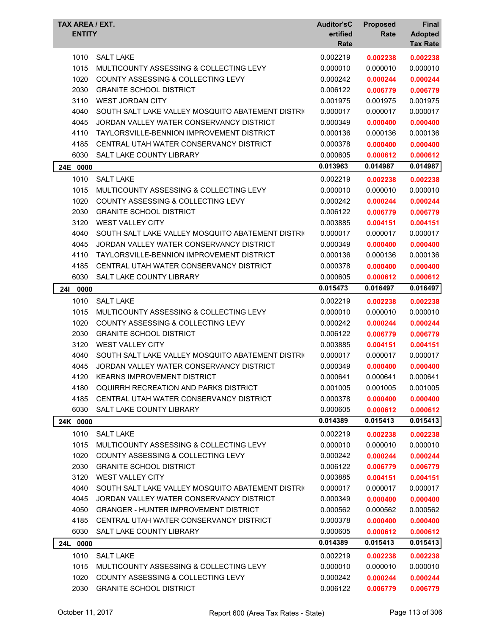| TAX AREA / EXT.<br><b>ENTITY</b> |                                                   | <b>Auditor'sC</b><br>ertified<br>Rate | <b>Proposed</b><br>Rate | Final<br><b>Adopted</b><br><b>Tax Rate</b> |
|----------------------------------|---------------------------------------------------|---------------------------------------|-------------------------|--------------------------------------------|
| 1010                             | <b>SALT LAKE</b>                                  | 0.002219                              | 0.002238                | 0.002238                                   |
| 1015                             | MULTICOUNTY ASSESSING & COLLECTING LEVY           | 0.000010                              | 0.000010                | 0.000010                                   |
| 1020                             | COUNTY ASSESSING & COLLECTING LEVY                | 0.000242                              | 0.000244                | 0.000244                                   |
| 2030                             | <b>GRANITE SCHOOL DISTRICT</b>                    | 0.006122                              | 0.006779                | 0.006779                                   |
| 3110                             | <b>WEST JORDAN CITY</b>                           | 0.001975                              | 0.001975                | 0.001975                                   |
| 4040                             | SOUTH SALT LAKE VALLEY MOSQUITO ABATEMENT DISTRIC | 0.000017                              | 0.000017                | 0.000017                                   |
| 4045                             | JORDAN VALLEY WATER CONSERVANCY DISTRICT          | 0.000349                              | 0.000400                | 0.000400                                   |
| 4110                             | TAYLORSVILLE-BENNION IMPROVEMENT DISTRICT         | 0.000136                              | 0.000136                | 0.000136                                   |
| 4185                             | CENTRAL UTAH WATER CONSERVANCY DISTRICT           | 0.000378                              | 0.000400                | 0.000400                                   |
| 6030                             | SALT LAKE COUNTY LIBRARY                          | 0.000605                              | 0.000612                | 0.000612                                   |
| 24E 0000                         |                                                   | 0.013963                              | 0.014987                | 0.014987                                   |
| 1010                             | <b>SALT LAKE</b>                                  | 0.002219                              | 0.002238                | 0.002238                                   |
| 1015                             | MULTICOUNTY ASSESSING & COLLECTING LEVY           | 0.000010                              | 0.000010                | 0.000010                                   |
| 1020                             | <b>COUNTY ASSESSING &amp; COLLECTING LEVY</b>     | 0.000242                              | 0.000244                | 0.000244                                   |
| 2030                             | <b>GRANITE SCHOOL DISTRICT</b>                    | 0.006122                              | 0.006779                | 0.006779                                   |
| 3120                             | <b>WEST VALLEY CITY</b>                           | 0.003885                              | 0.004151                | 0.004151                                   |
| 4040                             | SOUTH SALT LAKE VALLEY MOSQUITO ABATEMENT DISTRIC | 0.000017                              | 0.000017                | 0.000017                                   |
| 4045                             | JORDAN VALLEY WATER CONSERVANCY DISTRICT          | 0.000349                              | 0.000400                | 0.000400                                   |
| 4110                             | TAYLORSVILLE-BENNION IMPROVEMENT DISTRICT         | 0.000136                              | 0.000136                | 0.000136                                   |
| 4185                             | CENTRAL UTAH WATER CONSERVANCY DISTRICT           | 0.000378                              | 0.000400                | 0.000400                                   |
| 6030                             | SALT LAKE COUNTY LIBRARY                          | 0.000605                              | 0.000612                | 0.000612                                   |
| <b>241</b><br>0000               |                                                   | 0.015473                              | 0.016497                | 0.016497                                   |
| 1010                             | <b>SALT LAKE</b>                                  | 0.002219                              | 0.002238                | 0.002238                                   |
| 1015                             | MULTICOUNTY ASSESSING & COLLECTING LEVY           | 0.000010                              | 0.000010                | 0.000010                                   |
| 1020                             | <b>COUNTY ASSESSING &amp; COLLECTING LEVY</b>     | 0.000242                              | 0.000244                | 0.000244                                   |
| 2030                             | <b>GRANITE SCHOOL DISTRICT</b>                    | 0.006122                              | 0.006779                | 0.006779                                   |
| 3120                             | <b>WEST VALLEY CITY</b>                           | 0.003885                              | 0.004151                | 0.004151                                   |
| 4040                             | SOUTH SALT LAKE VALLEY MOSQUITO ABATEMENT DISTRIC | 0.000017                              | 0.000017                | 0.000017                                   |
| 4045                             | JORDAN VALLEY WATER CONSERVANCY DISTRICT          | 0.000349                              | 0.000400                | 0.000400                                   |
| 4120                             | KEARNS IMPROVEMENT DISTRICT                       | 0.000641                              | 0.000641                | 0.000641                                   |
| 4180                             | OQUIRRH RECREATION AND PARKS DISTRICT             | 0.001005                              | 0.001005                | 0.001005                                   |
| 4185                             | CENTRAL UTAH WATER CONSERVANCY DISTRICT           | 0.000378                              | 0.000400                | 0.000400                                   |
| 6030                             | SALT LAKE COUNTY LIBRARY                          | 0.000605                              | 0.000612                | 0.000612                                   |
| 24K 0000                         |                                                   | 0.014389                              | 0.015413                | 0.015413                                   |
| 1010                             | <b>SALT LAKE</b>                                  | 0.002219                              | 0.002238                | 0.002238                                   |
| 1015                             | MULTICOUNTY ASSESSING & COLLECTING LEVY           | 0.000010                              | 0.000010                | 0.000010                                   |
| 1020                             | <b>COUNTY ASSESSING &amp; COLLECTING LEVY</b>     | 0.000242                              | 0.000244                | 0.000244                                   |
| 2030                             | <b>GRANITE SCHOOL DISTRICT</b>                    | 0.006122                              | 0.006779                | 0.006779                                   |
| 3120                             | <b>WEST VALLEY CITY</b>                           | 0.003885                              | 0.004151                | 0.004151                                   |
| 4040                             | SOUTH SALT LAKE VALLEY MOSQUITO ABATEMENT DISTRIC | 0.000017                              | 0.000017                | 0.000017                                   |
| 4045                             | JORDAN VALLEY WATER CONSERVANCY DISTRICT          | 0.000349                              | 0.000400                | 0.000400                                   |
| 4050                             | <b>GRANGER - HUNTER IMPROVEMENT DISTRICT</b>      | 0.000562                              | 0.000562                | 0.000562                                   |
| 4185                             | CENTRAL UTAH WATER CONSERVANCY DISTRICT           | 0.000378                              | 0.000400                | 0.000400                                   |
| 6030                             | SALT LAKE COUNTY LIBRARY                          | 0.000605                              | 0.000612                | 0.000612                                   |
| 24L 0000                         |                                                   | 0.014389                              | 0.015413                | 0.015413                                   |
| 1010                             | <b>SALT LAKE</b>                                  | 0.002219                              | 0.002238                | 0.002238                                   |
| 1015                             | MULTICOUNTY ASSESSING & COLLECTING LEVY           | 0.000010                              | 0.000010                | 0.000010                                   |
| 1020                             | COUNTY ASSESSING & COLLECTING LEVY                | 0.000242                              | 0.000244                | 0.000244                                   |
| 2030                             | <b>GRANITE SCHOOL DISTRICT</b>                    | 0.006122                              | 0.006779                | 0.006779                                   |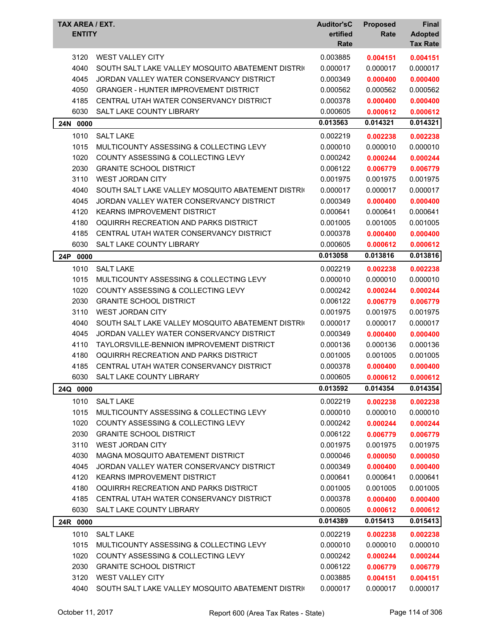| TAX AREA / EXT.<br><b>ENTITY</b> |                                                   | <b>Auditor'sC</b><br>ertified<br>Rate | <b>Proposed</b><br>Rate | <b>Final</b><br><b>Adopted</b><br><b>Tax Rate</b> |
|----------------------------------|---------------------------------------------------|---------------------------------------|-------------------------|---------------------------------------------------|
| 3120                             | <b>WEST VALLEY CITY</b>                           | 0.003885                              | 0.004151                | 0.004151                                          |
| 4040                             | SOUTH SALT LAKE VALLEY MOSQUITO ABATEMENT DISTRIC | 0.000017                              | 0.000017                | 0.000017                                          |
| 4045                             | JORDAN VALLEY WATER CONSERVANCY DISTRICT          | 0.000349                              | 0.000400                | 0.000400                                          |
| 4050                             | <b>GRANGER - HUNTER IMPROVEMENT DISTRICT</b>      | 0.000562                              | 0.000562                | 0.000562                                          |
| 4185                             | CENTRAL UTAH WATER CONSERVANCY DISTRICT           | 0.000378                              | 0.000400                | 0.000400                                          |
| 6030                             | SALT LAKE COUNTY LIBRARY                          | 0.000605                              | 0.000612                | 0.000612                                          |
| 24N 0000                         |                                                   | 0.013563                              | 0.014321                | 0.014321                                          |
| 1010                             | <b>SALT LAKE</b>                                  | 0.002219                              | 0.002238                | 0.002238                                          |
| 1015                             | MULTICOUNTY ASSESSING & COLLECTING LEVY           | 0.000010                              | 0.000010                | 0.000010                                          |
| 1020                             | <b>COUNTY ASSESSING &amp; COLLECTING LEVY</b>     | 0.000242                              | 0.000244                | 0.000244                                          |
| 2030                             | <b>GRANITE SCHOOL DISTRICT</b>                    | 0.006122                              | 0.006779                | 0.006779                                          |
| 3110                             | <b>WEST JORDAN CITY</b>                           | 0.001975                              | 0.001975                | 0.001975                                          |
| 4040                             | SOUTH SALT LAKE VALLEY MOSQUITO ABATEMENT DISTRIC | 0.000017                              | 0.000017                | 0.000017                                          |
| 4045                             | JORDAN VALLEY WATER CONSERVANCY DISTRICT          | 0.000349                              | 0.000400                | 0.000400                                          |
| 4120                             | <b>KEARNS IMPROVEMENT DISTRICT</b>                | 0.000641                              | 0.000641                | 0.000641                                          |
| 4180                             | OQUIRRH RECREATION AND PARKS DISTRICT             | 0.001005                              | 0.001005                | 0.001005                                          |
| 4185                             | CENTRAL UTAH WATER CONSERVANCY DISTRICT           | 0.000378                              | 0.000400                | 0.000400                                          |
| 6030                             | SALT LAKE COUNTY LIBRARY                          | 0.000605                              | 0.000612                | 0.000612                                          |
| 24P<br>0000                      |                                                   | 0.013058                              | 0.013816                | 0.013816                                          |
| 1010                             | <b>SALT LAKE</b>                                  | 0.002219                              | 0.002238                | 0.002238                                          |
| 1015                             | MULTICOUNTY ASSESSING & COLLECTING LEVY           | 0.000010                              | 0.000010                | 0.000010                                          |
| 1020                             | COUNTY ASSESSING & COLLECTING LEVY                | 0.000242                              | 0.000244                | 0.000244                                          |
| 2030                             | <b>GRANITE SCHOOL DISTRICT</b>                    | 0.006122                              | 0.006779                | 0.006779                                          |
| 3110                             | <b>WEST JORDAN CITY</b>                           | 0.001975                              | 0.001975                | 0.001975                                          |
| 4040                             | SOUTH SALT LAKE VALLEY MOSQUITO ABATEMENT DISTRIC | 0.000017                              | 0.000017                | 0.000017                                          |
| 4045                             | JORDAN VALLEY WATER CONSERVANCY DISTRICT          | 0.000349                              | 0.000400                | 0.000400                                          |
| 4110                             | TAYLORSVILLE-BENNION IMPROVEMENT DISTRICT         | 0.000136                              | 0.000136                | 0.000136                                          |
| 4180                             | OQUIRRH RECREATION AND PARKS DISTRICT             | 0.001005                              | 0.001005                | 0.001005                                          |
| 4185                             | CENTRAL UTAH WATER CONSERVANCY DISTRICT           | 0.000378                              | 0.000400                | 0.000400                                          |
| 6030                             | SALT LAKE COUNTY LIBRARY                          | 0.000605                              | 0.000612                | 0.000612                                          |
| 24Q 0000                         |                                                   | 0.013592                              | 0.014354                | 0.014354                                          |
| 1010                             | <b>SALT LAKE</b>                                  | 0.002219                              | 0.002238                | 0.002238                                          |
| 1015                             | MULTICOUNTY ASSESSING & COLLECTING LEVY           | 0.000010                              | 0.000010                | 0.000010                                          |
| 1020                             | COUNTY ASSESSING & COLLECTING LEVY                | 0.000242                              | 0.000244                | 0.000244                                          |
| 2030                             | <b>GRANITE SCHOOL DISTRICT</b>                    | 0.006122                              | 0.006779                | 0.006779                                          |
| 3110                             | WEST JORDAN CITY                                  | 0.001975                              | 0.001975                | 0.001975                                          |
| 4030                             | MAGNA MOSQUITO ABATEMENT DISTRICT                 | 0.000046                              | 0.000050                | 0.000050                                          |
| 4045                             | JORDAN VALLEY WATER CONSERVANCY DISTRICT          | 0.000349                              | 0.000400                | 0.000400                                          |
| 4120                             | KEARNS IMPROVEMENT DISTRICT                       | 0.000641                              | 0.000641                | 0.000641                                          |
| 4180                             | OQUIRRH RECREATION AND PARKS DISTRICT             | 0.001005                              | 0.001005                | 0.001005                                          |
| 4185                             | CENTRAL UTAH WATER CONSERVANCY DISTRICT           | 0.000378                              | 0.000400                | 0.000400                                          |
| 6030                             | SALT LAKE COUNTY LIBRARY                          | 0.000605                              | 0.000612                | 0.000612                                          |
| 24R 0000                         |                                                   | 0.014389                              | 0.015413                | 0.015413                                          |
| 1010                             | <b>SALT LAKE</b>                                  | 0.002219                              | 0.002238                | 0.002238                                          |
| 1015                             | MULTICOUNTY ASSESSING & COLLECTING LEVY           | 0.000010                              | 0.000010                | 0.000010                                          |
| 1020                             | COUNTY ASSESSING & COLLECTING LEVY                | 0.000242                              | 0.000244                | 0.000244                                          |
| 2030                             | <b>GRANITE SCHOOL DISTRICT</b>                    | 0.006122                              | 0.006779                | 0.006779                                          |
| 3120                             | <b>WEST VALLEY CITY</b>                           | 0.003885                              | 0.004151                | 0.004151                                          |
| 4040                             | SOUTH SALT LAKE VALLEY MOSQUITO ABATEMENT DISTRIC | 0.000017                              | 0.000017                | 0.000017                                          |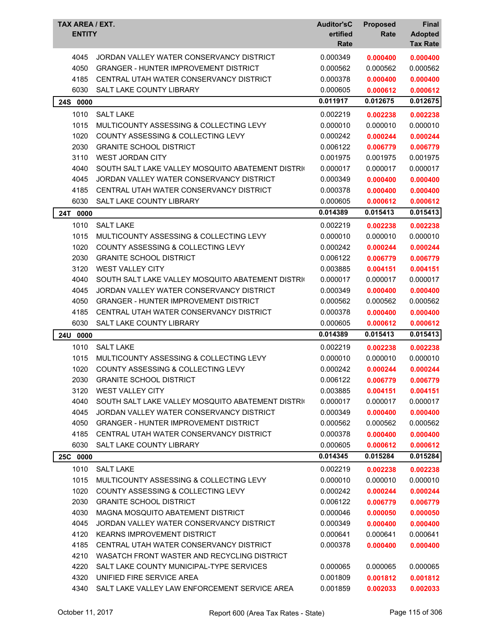| 4045<br>JORDAN VALLEY WATER CONSERVANCY DISTRICT<br>0.000349<br>0.000400<br>0.000400<br>4050<br><b>GRANGER - HUNTER IMPROVEMENT DISTRICT</b><br>0.000562<br>0.000562<br>0.000562<br>4185<br>CENTRAL UTAH WATER CONSERVANCY DISTRICT<br>0.000378<br>0.000400<br>0.000400<br>6030<br>SALT LAKE COUNTY LIBRARY<br>0.000605<br>0.000612<br>0.000612<br>0.011917<br>0.012675<br>0.012675<br>24S 0000<br>1010<br><b>SALT LAKE</b><br>0.002219<br>0.002238<br>0.002238<br>1015<br>MULTICOUNTY ASSESSING & COLLECTING LEVY<br>0.000010<br>0.000010<br>0.000010<br>1020<br><b>COUNTY ASSESSING &amp; COLLECTING LEVY</b><br>0.000242<br>0.000244<br>0.000244<br>2030<br><b>GRANITE SCHOOL DISTRICT</b><br>0.006122<br>0.006779<br>0.006779<br>3110<br><b>WEST JORDAN CITY</b><br>0.001975<br>0.001975<br>0.001975<br>4040<br>0.000017<br>SOUTH SALT LAKE VALLEY MOSQUITO ABATEMENT DISTRIC<br>0.000017<br>0.000017<br>4045<br>JORDAN VALLEY WATER CONSERVANCY DISTRICT<br>0.000349<br>0.000400<br>0.000400<br>4185<br>CENTRAL UTAH WATER CONSERVANCY DISTRICT<br>0.000378<br>0.000400<br>0.000400<br>6030<br><b>SALT LAKE COUNTY LIBRARY</b><br>0.000605<br>0.000612<br>0.000612<br>0.014389<br>0.015413<br>0.015413<br>24T<br>0000<br>1010<br><b>SALT LAKE</b><br>0.002219<br>0.002238<br>0.002238<br>1015<br>MULTICOUNTY ASSESSING & COLLECTING LEVY<br>0.000010<br>0.000010<br>0.000010<br>1020<br>COUNTY ASSESSING & COLLECTING LEVY<br>0.000242<br>0.000244<br>0.000244<br>2030<br><b>GRANITE SCHOOL DISTRICT</b><br>0.006122<br>0.006779<br>0.006779<br>3120<br><b>WEST VALLEY CITY</b><br>0.003885<br>0.004151<br>0.004151<br>4040<br>SOUTH SALT LAKE VALLEY MOSQUITO ABATEMENT DISTRIC<br>0.000017<br>0.000017<br>0.000017<br>4045<br>JORDAN VALLEY WATER CONSERVANCY DISTRICT<br>0.000349<br>0.000400<br>0.000400<br>4050<br><b>GRANGER - HUNTER IMPROVEMENT DISTRICT</b><br>0.000562<br>0.000562<br>0.000562<br>4185<br>CENTRAL UTAH WATER CONSERVANCY DISTRICT<br>0.000378<br>0.000400<br>0.000400<br>6030<br>SALT LAKE COUNTY LIBRARY<br>0.000605<br>0.000612<br>0.000612<br>0.015413<br>0.014389<br>0.015413<br><b>24U</b><br>0000<br>1010<br><b>SALT LAKE</b><br>0.002219<br>0.002238<br>0.002238<br>1015<br>MULTICOUNTY ASSESSING & COLLECTING LEVY<br>0.000010<br>0.000010<br>0.000010<br>1020<br><b>COUNTY ASSESSING &amp; COLLECTING LEVY</b><br>0.000242<br>0.000244<br>0.000244<br><b>GRANITE SCHOOL DISTRICT</b><br>0.006122<br>2030<br>0.006779<br>0.006779<br>3120<br><b>WEST VALLEY CITY</b><br>0.003885<br>0.004151<br>0.004151<br>4040<br>SOUTH SALT LAKE VALLEY MOSQUITO ABATEMENT DISTRIC<br>0.000017<br>0.000017<br>0.000017<br>4045<br>JORDAN VALLEY WATER CONSERVANCY DISTRICT<br>0.000349<br>0.000400<br>0.000400<br>4050<br><b>GRANGER - HUNTER IMPROVEMENT DISTRICT</b><br>0.000562<br>0.000562<br>0.000562<br>4185<br>CENTRAL UTAH WATER CONSERVANCY DISTRICT<br>0.000378<br>0.000400<br>0.000400<br>6030<br>SALT LAKE COUNTY LIBRARY<br>0.000605<br>0.000612<br>0.000612<br>0.014345<br>0.015284<br>0.015284<br>25C 0000<br>1010<br><b>SALT LAKE</b><br>0.002219<br>0.002238<br>0.002238<br>1015<br>MULTICOUNTY ASSESSING & COLLECTING LEVY<br>0.000010<br>0.000010<br>0.000010<br>1020<br>COUNTY ASSESSING & COLLECTING LEVY<br>0.000242<br>0.000244<br>0.000244<br>2030<br><b>GRANITE SCHOOL DISTRICT</b><br>0.006122<br>0.006779<br>0.006779<br>4030<br>MAGNA MOSQUITO ABATEMENT DISTRICT<br>0.000046<br>0.000050<br>0.000050<br>JORDAN VALLEY WATER CONSERVANCY DISTRICT<br>4045<br>0.000349<br>0.000400<br>0.000400<br><b>KEARNS IMPROVEMENT DISTRICT</b><br>4120<br>0.000641<br>0.000641<br>0.000641<br>4185<br>CENTRAL UTAH WATER CONSERVANCY DISTRICT<br>0.000378<br>0.000400<br>0.000400<br>4210<br>WASATCH FRONT WASTER AND RECYCLING DISTRICT<br>4220<br>SALT LAKE COUNTY MUNICIPAL-TYPE SERVICES<br>0.000065<br>0.000065<br>0.000065<br>4320<br>UNIFIED FIRE SERVICE AREA<br>0.001809<br>0.001812<br>0.001812<br>4340<br>SALT LAKE VALLEY LAW ENFORCEMENT SERVICE AREA<br>0.001859<br>0.002033<br>0.002033 | TAX AREA / EXT.<br><b>ENTITY</b> | <b>Auditor'sC</b><br>ertified<br>Rate | <b>Proposed</b><br>Rate | Final<br><b>Adopted</b><br><b>Tax Rate</b> |
|---------------------------------------------------------------------------------------------------------------------------------------------------------------------------------------------------------------------------------------------------------------------------------------------------------------------------------------------------------------------------------------------------------------------------------------------------------------------------------------------------------------------------------------------------------------------------------------------------------------------------------------------------------------------------------------------------------------------------------------------------------------------------------------------------------------------------------------------------------------------------------------------------------------------------------------------------------------------------------------------------------------------------------------------------------------------------------------------------------------------------------------------------------------------------------------------------------------------------------------------------------------------------------------------------------------------------------------------------------------------------------------------------------------------------------------------------------------------------------------------------------------------------------------------------------------------------------------------------------------------------------------------------------------------------------------------------------------------------------------------------------------------------------------------------------------------------------------------------------------------------------------------------------------------------------------------------------------------------------------------------------------------------------------------------------------------------------------------------------------------------------------------------------------------------------------------------------------------------------------------------------------------------------------------------------------------------------------------------------------------------------------------------------------------------------------------------------------------------------------------------------------------------------------------------------------------------------------------------------------------------------------------------------------------------------------------------------------------------------------------------------------------------------------------------------------------------------------------------------------------------------------------------------------------------------------------------------------------------------------------------------------------------------------------------------------------------------------------------------------------------------------------------------------------------------------------------------------------------------------------------------------------------------------------------------------------------------------------------------------------------------------------------------------------------------------------------------------------------------------------------------------------------------------------------------------------------------------------------------------------------------------------------------------------------------------------------------------------------------------------------------------------------------------------------------------------------------------------------------------------------------------------------------------------------------------------------------------------------------------------------------------------------------------------------|----------------------------------|---------------------------------------|-------------------------|--------------------------------------------|
|                                                                                                                                                                                                                                                                                                                                                                                                                                                                                                                                                                                                                                                                                                                                                                                                                                                                                                                                                                                                                                                                                                                                                                                                                                                                                                                                                                                                                                                                                                                                                                                                                                                                                                                                                                                                                                                                                                                                                                                                                                                                                                                                                                                                                                                                                                                                                                                                                                                                                                                                                                                                                                                                                                                                                                                                                                                                                                                                                                                                                                                                                                                                                                                                                                                                                                                                                                                                                                                                                                                                                                                                                                                                                                                                                                                                                                                                                                                                                                                                                                                   |                                  |                                       |                         |                                            |
|                                                                                                                                                                                                                                                                                                                                                                                                                                                                                                                                                                                                                                                                                                                                                                                                                                                                                                                                                                                                                                                                                                                                                                                                                                                                                                                                                                                                                                                                                                                                                                                                                                                                                                                                                                                                                                                                                                                                                                                                                                                                                                                                                                                                                                                                                                                                                                                                                                                                                                                                                                                                                                                                                                                                                                                                                                                                                                                                                                                                                                                                                                                                                                                                                                                                                                                                                                                                                                                                                                                                                                                                                                                                                                                                                                                                                                                                                                                                                                                                                                                   |                                  |                                       |                         |                                            |
|                                                                                                                                                                                                                                                                                                                                                                                                                                                                                                                                                                                                                                                                                                                                                                                                                                                                                                                                                                                                                                                                                                                                                                                                                                                                                                                                                                                                                                                                                                                                                                                                                                                                                                                                                                                                                                                                                                                                                                                                                                                                                                                                                                                                                                                                                                                                                                                                                                                                                                                                                                                                                                                                                                                                                                                                                                                                                                                                                                                                                                                                                                                                                                                                                                                                                                                                                                                                                                                                                                                                                                                                                                                                                                                                                                                                                                                                                                                                                                                                                                                   |                                  |                                       |                         |                                            |
|                                                                                                                                                                                                                                                                                                                                                                                                                                                                                                                                                                                                                                                                                                                                                                                                                                                                                                                                                                                                                                                                                                                                                                                                                                                                                                                                                                                                                                                                                                                                                                                                                                                                                                                                                                                                                                                                                                                                                                                                                                                                                                                                                                                                                                                                                                                                                                                                                                                                                                                                                                                                                                                                                                                                                                                                                                                                                                                                                                                                                                                                                                                                                                                                                                                                                                                                                                                                                                                                                                                                                                                                                                                                                                                                                                                                                                                                                                                                                                                                                                                   |                                  |                                       |                         |                                            |
|                                                                                                                                                                                                                                                                                                                                                                                                                                                                                                                                                                                                                                                                                                                                                                                                                                                                                                                                                                                                                                                                                                                                                                                                                                                                                                                                                                                                                                                                                                                                                                                                                                                                                                                                                                                                                                                                                                                                                                                                                                                                                                                                                                                                                                                                                                                                                                                                                                                                                                                                                                                                                                                                                                                                                                                                                                                                                                                                                                                                                                                                                                                                                                                                                                                                                                                                                                                                                                                                                                                                                                                                                                                                                                                                                                                                                                                                                                                                                                                                                                                   |                                  |                                       |                         |                                            |
|                                                                                                                                                                                                                                                                                                                                                                                                                                                                                                                                                                                                                                                                                                                                                                                                                                                                                                                                                                                                                                                                                                                                                                                                                                                                                                                                                                                                                                                                                                                                                                                                                                                                                                                                                                                                                                                                                                                                                                                                                                                                                                                                                                                                                                                                                                                                                                                                                                                                                                                                                                                                                                                                                                                                                                                                                                                                                                                                                                                                                                                                                                                                                                                                                                                                                                                                                                                                                                                                                                                                                                                                                                                                                                                                                                                                                                                                                                                                                                                                                                                   |                                  |                                       |                         |                                            |
|                                                                                                                                                                                                                                                                                                                                                                                                                                                                                                                                                                                                                                                                                                                                                                                                                                                                                                                                                                                                                                                                                                                                                                                                                                                                                                                                                                                                                                                                                                                                                                                                                                                                                                                                                                                                                                                                                                                                                                                                                                                                                                                                                                                                                                                                                                                                                                                                                                                                                                                                                                                                                                                                                                                                                                                                                                                                                                                                                                                                                                                                                                                                                                                                                                                                                                                                                                                                                                                                                                                                                                                                                                                                                                                                                                                                                                                                                                                                                                                                                                                   |                                  |                                       |                         |                                            |
|                                                                                                                                                                                                                                                                                                                                                                                                                                                                                                                                                                                                                                                                                                                                                                                                                                                                                                                                                                                                                                                                                                                                                                                                                                                                                                                                                                                                                                                                                                                                                                                                                                                                                                                                                                                                                                                                                                                                                                                                                                                                                                                                                                                                                                                                                                                                                                                                                                                                                                                                                                                                                                                                                                                                                                                                                                                                                                                                                                                                                                                                                                                                                                                                                                                                                                                                                                                                                                                                                                                                                                                                                                                                                                                                                                                                                                                                                                                                                                                                                                                   |                                  |                                       |                         |                                            |
|                                                                                                                                                                                                                                                                                                                                                                                                                                                                                                                                                                                                                                                                                                                                                                                                                                                                                                                                                                                                                                                                                                                                                                                                                                                                                                                                                                                                                                                                                                                                                                                                                                                                                                                                                                                                                                                                                                                                                                                                                                                                                                                                                                                                                                                                                                                                                                                                                                                                                                                                                                                                                                                                                                                                                                                                                                                                                                                                                                                                                                                                                                                                                                                                                                                                                                                                                                                                                                                                                                                                                                                                                                                                                                                                                                                                                                                                                                                                                                                                                                                   |                                  |                                       |                         |                                            |
|                                                                                                                                                                                                                                                                                                                                                                                                                                                                                                                                                                                                                                                                                                                                                                                                                                                                                                                                                                                                                                                                                                                                                                                                                                                                                                                                                                                                                                                                                                                                                                                                                                                                                                                                                                                                                                                                                                                                                                                                                                                                                                                                                                                                                                                                                                                                                                                                                                                                                                                                                                                                                                                                                                                                                                                                                                                                                                                                                                                                                                                                                                                                                                                                                                                                                                                                                                                                                                                                                                                                                                                                                                                                                                                                                                                                                                                                                                                                                                                                                                                   |                                  |                                       |                         |                                            |
|                                                                                                                                                                                                                                                                                                                                                                                                                                                                                                                                                                                                                                                                                                                                                                                                                                                                                                                                                                                                                                                                                                                                                                                                                                                                                                                                                                                                                                                                                                                                                                                                                                                                                                                                                                                                                                                                                                                                                                                                                                                                                                                                                                                                                                                                                                                                                                                                                                                                                                                                                                                                                                                                                                                                                                                                                                                                                                                                                                                                                                                                                                                                                                                                                                                                                                                                                                                                                                                                                                                                                                                                                                                                                                                                                                                                                                                                                                                                                                                                                                                   |                                  |                                       |                         |                                            |
|                                                                                                                                                                                                                                                                                                                                                                                                                                                                                                                                                                                                                                                                                                                                                                                                                                                                                                                                                                                                                                                                                                                                                                                                                                                                                                                                                                                                                                                                                                                                                                                                                                                                                                                                                                                                                                                                                                                                                                                                                                                                                                                                                                                                                                                                                                                                                                                                                                                                                                                                                                                                                                                                                                                                                                                                                                                                                                                                                                                                                                                                                                                                                                                                                                                                                                                                                                                                                                                                                                                                                                                                                                                                                                                                                                                                                                                                                                                                                                                                                                                   |                                  |                                       |                         |                                            |
|                                                                                                                                                                                                                                                                                                                                                                                                                                                                                                                                                                                                                                                                                                                                                                                                                                                                                                                                                                                                                                                                                                                                                                                                                                                                                                                                                                                                                                                                                                                                                                                                                                                                                                                                                                                                                                                                                                                                                                                                                                                                                                                                                                                                                                                                                                                                                                                                                                                                                                                                                                                                                                                                                                                                                                                                                                                                                                                                                                                                                                                                                                                                                                                                                                                                                                                                                                                                                                                                                                                                                                                                                                                                                                                                                                                                                                                                                                                                                                                                                                                   |                                  |                                       |                         |                                            |
|                                                                                                                                                                                                                                                                                                                                                                                                                                                                                                                                                                                                                                                                                                                                                                                                                                                                                                                                                                                                                                                                                                                                                                                                                                                                                                                                                                                                                                                                                                                                                                                                                                                                                                                                                                                                                                                                                                                                                                                                                                                                                                                                                                                                                                                                                                                                                                                                                                                                                                                                                                                                                                                                                                                                                                                                                                                                                                                                                                                                                                                                                                                                                                                                                                                                                                                                                                                                                                                                                                                                                                                                                                                                                                                                                                                                                                                                                                                                                                                                                                                   |                                  |                                       |                         |                                            |
|                                                                                                                                                                                                                                                                                                                                                                                                                                                                                                                                                                                                                                                                                                                                                                                                                                                                                                                                                                                                                                                                                                                                                                                                                                                                                                                                                                                                                                                                                                                                                                                                                                                                                                                                                                                                                                                                                                                                                                                                                                                                                                                                                                                                                                                                                                                                                                                                                                                                                                                                                                                                                                                                                                                                                                                                                                                                                                                                                                                                                                                                                                                                                                                                                                                                                                                                                                                                                                                                                                                                                                                                                                                                                                                                                                                                                                                                                                                                                                                                                                                   |                                  |                                       |                         |                                            |
|                                                                                                                                                                                                                                                                                                                                                                                                                                                                                                                                                                                                                                                                                                                                                                                                                                                                                                                                                                                                                                                                                                                                                                                                                                                                                                                                                                                                                                                                                                                                                                                                                                                                                                                                                                                                                                                                                                                                                                                                                                                                                                                                                                                                                                                                                                                                                                                                                                                                                                                                                                                                                                                                                                                                                                                                                                                                                                                                                                                                                                                                                                                                                                                                                                                                                                                                                                                                                                                                                                                                                                                                                                                                                                                                                                                                                                                                                                                                                                                                                                                   |                                  |                                       |                         |                                            |
|                                                                                                                                                                                                                                                                                                                                                                                                                                                                                                                                                                                                                                                                                                                                                                                                                                                                                                                                                                                                                                                                                                                                                                                                                                                                                                                                                                                                                                                                                                                                                                                                                                                                                                                                                                                                                                                                                                                                                                                                                                                                                                                                                                                                                                                                                                                                                                                                                                                                                                                                                                                                                                                                                                                                                                                                                                                                                                                                                                                                                                                                                                                                                                                                                                                                                                                                                                                                                                                                                                                                                                                                                                                                                                                                                                                                                                                                                                                                                                                                                                                   |                                  |                                       |                         |                                            |
|                                                                                                                                                                                                                                                                                                                                                                                                                                                                                                                                                                                                                                                                                                                                                                                                                                                                                                                                                                                                                                                                                                                                                                                                                                                                                                                                                                                                                                                                                                                                                                                                                                                                                                                                                                                                                                                                                                                                                                                                                                                                                                                                                                                                                                                                                                                                                                                                                                                                                                                                                                                                                                                                                                                                                                                                                                                                                                                                                                                                                                                                                                                                                                                                                                                                                                                                                                                                                                                                                                                                                                                                                                                                                                                                                                                                                                                                                                                                                                                                                                                   |                                  |                                       |                         |                                            |
|                                                                                                                                                                                                                                                                                                                                                                                                                                                                                                                                                                                                                                                                                                                                                                                                                                                                                                                                                                                                                                                                                                                                                                                                                                                                                                                                                                                                                                                                                                                                                                                                                                                                                                                                                                                                                                                                                                                                                                                                                                                                                                                                                                                                                                                                                                                                                                                                                                                                                                                                                                                                                                                                                                                                                                                                                                                                                                                                                                                                                                                                                                                                                                                                                                                                                                                                                                                                                                                                                                                                                                                                                                                                                                                                                                                                                                                                                                                                                                                                                                                   |                                  |                                       |                         |                                            |
|                                                                                                                                                                                                                                                                                                                                                                                                                                                                                                                                                                                                                                                                                                                                                                                                                                                                                                                                                                                                                                                                                                                                                                                                                                                                                                                                                                                                                                                                                                                                                                                                                                                                                                                                                                                                                                                                                                                                                                                                                                                                                                                                                                                                                                                                                                                                                                                                                                                                                                                                                                                                                                                                                                                                                                                                                                                                                                                                                                                                                                                                                                                                                                                                                                                                                                                                                                                                                                                                                                                                                                                                                                                                                                                                                                                                                                                                                                                                                                                                                                                   |                                  |                                       |                         |                                            |
|                                                                                                                                                                                                                                                                                                                                                                                                                                                                                                                                                                                                                                                                                                                                                                                                                                                                                                                                                                                                                                                                                                                                                                                                                                                                                                                                                                                                                                                                                                                                                                                                                                                                                                                                                                                                                                                                                                                                                                                                                                                                                                                                                                                                                                                                                                                                                                                                                                                                                                                                                                                                                                                                                                                                                                                                                                                                                                                                                                                                                                                                                                                                                                                                                                                                                                                                                                                                                                                                                                                                                                                                                                                                                                                                                                                                                                                                                                                                                                                                                                                   |                                  |                                       |                         |                                            |
|                                                                                                                                                                                                                                                                                                                                                                                                                                                                                                                                                                                                                                                                                                                                                                                                                                                                                                                                                                                                                                                                                                                                                                                                                                                                                                                                                                                                                                                                                                                                                                                                                                                                                                                                                                                                                                                                                                                                                                                                                                                                                                                                                                                                                                                                                                                                                                                                                                                                                                                                                                                                                                                                                                                                                                                                                                                                                                                                                                                                                                                                                                                                                                                                                                                                                                                                                                                                                                                                                                                                                                                                                                                                                                                                                                                                                                                                                                                                                                                                                                                   |                                  |                                       |                         |                                            |
|                                                                                                                                                                                                                                                                                                                                                                                                                                                                                                                                                                                                                                                                                                                                                                                                                                                                                                                                                                                                                                                                                                                                                                                                                                                                                                                                                                                                                                                                                                                                                                                                                                                                                                                                                                                                                                                                                                                                                                                                                                                                                                                                                                                                                                                                                                                                                                                                                                                                                                                                                                                                                                                                                                                                                                                                                                                                                                                                                                                                                                                                                                                                                                                                                                                                                                                                                                                                                                                                                                                                                                                                                                                                                                                                                                                                                                                                                                                                                                                                                                                   |                                  |                                       |                         |                                            |
|                                                                                                                                                                                                                                                                                                                                                                                                                                                                                                                                                                                                                                                                                                                                                                                                                                                                                                                                                                                                                                                                                                                                                                                                                                                                                                                                                                                                                                                                                                                                                                                                                                                                                                                                                                                                                                                                                                                                                                                                                                                                                                                                                                                                                                                                                                                                                                                                                                                                                                                                                                                                                                                                                                                                                                                                                                                                                                                                                                                                                                                                                                                                                                                                                                                                                                                                                                                                                                                                                                                                                                                                                                                                                                                                                                                                                                                                                                                                                                                                                                                   |                                  |                                       |                         |                                            |
|                                                                                                                                                                                                                                                                                                                                                                                                                                                                                                                                                                                                                                                                                                                                                                                                                                                                                                                                                                                                                                                                                                                                                                                                                                                                                                                                                                                                                                                                                                                                                                                                                                                                                                                                                                                                                                                                                                                                                                                                                                                                                                                                                                                                                                                                                                                                                                                                                                                                                                                                                                                                                                                                                                                                                                                                                                                                                                                                                                                                                                                                                                                                                                                                                                                                                                                                                                                                                                                                                                                                                                                                                                                                                                                                                                                                                                                                                                                                                                                                                                                   |                                  |                                       |                         |                                            |
|                                                                                                                                                                                                                                                                                                                                                                                                                                                                                                                                                                                                                                                                                                                                                                                                                                                                                                                                                                                                                                                                                                                                                                                                                                                                                                                                                                                                                                                                                                                                                                                                                                                                                                                                                                                                                                                                                                                                                                                                                                                                                                                                                                                                                                                                                                                                                                                                                                                                                                                                                                                                                                                                                                                                                                                                                                                                                                                                                                                                                                                                                                                                                                                                                                                                                                                                                                                                                                                                                                                                                                                                                                                                                                                                                                                                                                                                                                                                                                                                                                                   |                                  |                                       |                         |                                            |
|                                                                                                                                                                                                                                                                                                                                                                                                                                                                                                                                                                                                                                                                                                                                                                                                                                                                                                                                                                                                                                                                                                                                                                                                                                                                                                                                                                                                                                                                                                                                                                                                                                                                                                                                                                                                                                                                                                                                                                                                                                                                                                                                                                                                                                                                                                                                                                                                                                                                                                                                                                                                                                                                                                                                                                                                                                                                                                                                                                                                                                                                                                                                                                                                                                                                                                                                                                                                                                                                                                                                                                                                                                                                                                                                                                                                                                                                                                                                                                                                                                                   |                                  |                                       |                         |                                            |
|                                                                                                                                                                                                                                                                                                                                                                                                                                                                                                                                                                                                                                                                                                                                                                                                                                                                                                                                                                                                                                                                                                                                                                                                                                                                                                                                                                                                                                                                                                                                                                                                                                                                                                                                                                                                                                                                                                                                                                                                                                                                                                                                                                                                                                                                                                                                                                                                                                                                                                                                                                                                                                                                                                                                                                                                                                                                                                                                                                                                                                                                                                                                                                                                                                                                                                                                                                                                                                                                                                                                                                                                                                                                                                                                                                                                                                                                                                                                                                                                                                                   |                                  |                                       |                         |                                            |
|                                                                                                                                                                                                                                                                                                                                                                                                                                                                                                                                                                                                                                                                                                                                                                                                                                                                                                                                                                                                                                                                                                                                                                                                                                                                                                                                                                                                                                                                                                                                                                                                                                                                                                                                                                                                                                                                                                                                                                                                                                                                                                                                                                                                                                                                                                                                                                                                                                                                                                                                                                                                                                                                                                                                                                                                                                                                                                                                                                                                                                                                                                                                                                                                                                                                                                                                                                                                                                                                                                                                                                                                                                                                                                                                                                                                                                                                                                                                                                                                                                                   |                                  |                                       |                         |                                            |
|                                                                                                                                                                                                                                                                                                                                                                                                                                                                                                                                                                                                                                                                                                                                                                                                                                                                                                                                                                                                                                                                                                                                                                                                                                                                                                                                                                                                                                                                                                                                                                                                                                                                                                                                                                                                                                                                                                                                                                                                                                                                                                                                                                                                                                                                                                                                                                                                                                                                                                                                                                                                                                                                                                                                                                                                                                                                                                                                                                                                                                                                                                                                                                                                                                                                                                                                                                                                                                                                                                                                                                                                                                                                                                                                                                                                                                                                                                                                                                                                                                                   |                                  |                                       |                         |                                            |
|                                                                                                                                                                                                                                                                                                                                                                                                                                                                                                                                                                                                                                                                                                                                                                                                                                                                                                                                                                                                                                                                                                                                                                                                                                                                                                                                                                                                                                                                                                                                                                                                                                                                                                                                                                                                                                                                                                                                                                                                                                                                                                                                                                                                                                                                                                                                                                                                                                                                                                                                                                                                                                                                                                                                                                                                                                                                                                                                                                                                                                                                                                                                                                                                                                                                                                                                                                                                                                                                                                                                                                                                                                                                                                                                                                                                                                                                                                                                                                                                                                                   |                                  |                                       |                         |                                            |
|                                                                                                                                                                                                                                                                                                                                                                                                                                                                                                                                                                                                                                                                                                                                                                                                                                                                                                                                                                                                                                                                                                                                                                                                                                                                                                                                                                                                                                                                                                                                                                                                                                                                                                                                                                                                                                                                                                                                                                                                                                                                                                                                                                                                                                                                                                                                                                                                                                                                                                                                                                                                                                                                                                                                                                                                                                                                                                                                                                                                                                                                                                                                                                                                                                                                                                                                                                                                                                                                                                                                                                                                                                                                                                                                                                                                                                                                                                                                                                                                                                                   |                                  |                                       |                         |                                            |
|                                                                                                                                                                                                                                                                                                                                                                                                                                                                                                                                                                                                                                                                                                                                                                                                                                                                                                                                                                                                                                                                                                                                                                                                                                                                                                                                                                                                                                                                                                                                                                                                                                                                                                                                                                                                                                                                                                                                                                                                                                                                                                                                                                                                                                                                                                                                                                                                                                                                                                                                                                                                                                                                                                                                                                                                                                                                                                                                                                                                                                                                                                                                                                                                                                                                                                                                                                                                                                                                                                                                                                                                                                                                                                                                                                                                                                                                                                                                                                                                                                                   |                                  |                                       |                         |                                            |
|                                                                                                                                                                                                                                                                                                                                                                                                                                                                                                                                                                                                                                                                                                                                                                                                                                                                                                                                                                                                                                                                                                                                                                                                                                                                                                                                                                                                                                                                                                                                                                                                                                                                                                                                                                                                                                                                                                                                                                                                                                                                                                                                                                                                                                                                                                                                                                                                                                                                                                                                                                                                                                                                                                                                                                                                                                                                                                                                                                                                                                                                                                                                                                                                                                                                                                                                                                                                                                                                                                                                                                                                                                                                                                                                                                                                                                                                                                                                                                                                                                                   |                                  |                                       |                         |                                            |
|                                                                                                                                                                                                                                                                                                                                                                                                                                                                                                                                                                                                                                                                                                                                                                                                                                                                                                                                                                                                                                                                                                                                                                                                                                                                                                                                                                                                                                                                                                                                                                                                                                                                                                                                                                                                                                                                                                                                                                                                                                                                                                                                                                                                                                                                                                                                                                                                                                                                                                                                                                                                                                                                                                                                                                                                                                                                                                                                                                                                                                                                                                                                                                                                                                                                                                                                                                                                                                                                                                                                                                                                                                                                                                                                                                                                                                                                                                                                                                                                                                                   |                                  |                                       |                         |                                            |
|                                                                                                                                                                                                                                                                                                                                                                                                                                                                                                                                                                                                                                                                                                                                                                                                                                                                                                                                                                                                                                                                                                                                                                                                                                                                                                                                                                                                                                                                                                                                                                                                                                                                                                                                                                                                                                                                                                                                                                                                                                                                                                                                                                                                                                                                                                                                                                                                                                                                                                                                                                                                                                                                                                                                                                                                                                                                                                                                                                                                                                                                                                                                                                                                                                                                                                                                                                                                                                                                                                                                                                                                                                                                                                                                                                                                                                                                                                                                                                                                                                                   |                                  |                                       |                         |                                            |
|                                                                                                                                                                                                                                                                                                                                                                                                                                                                                                                                                                                                                                                                                                                                                                                                                                                                                                                                                                                                                                                                                                                                                                                                                                                                                                                                                                                                                                                                                                                                                                                                                                                                                                                                                                                                                                                                                                                                                                                                                                                                                                                                                                                                                                                                                                                                                                                                                                                                                                                                                                                                                                                                                                                                                                                                                                                                                                                                                                                                                                                                                                                                                                                                                                                                                                                                                                                                                                                                                                                                                                                                                                                                                                                                                                                                                                                                                                                                                                                                                                                   |                                  |                                       |                         |                                            |
|                                                                                                                                                                                                                                                                                                                                                                                                                                                                                                                                                                                                                                                                                                                                                                                                                                                                                                                                                                                                                                                                                                                                                                                                                                                                                                                                                                                                                                                                                                                                                                                                                                                                                                                                                                                                                                                                                                                                                                                                                                                                                                                                                                                                                                                                                                                                                                                                                                                                                                                                                                                                                                                                                                                                                                                                                                                                                                                                                                                                                                                                                                                                                                                                                                                                                                                                                                                                                                                                                                                                                                                                                                                                                                                                                                                                                                                                                                                                                                                                                                                   |                                  |                                       |                         |                                            |
|                                                                                                                                                                                                                                                                                                                                                                                                                                                                                                                                                                                                                                                                                                                                                                                                                                                                                                                                                                                                                                                                                                                                                                                                                                                                                                                                                                                                                                                                                                                                                                                                                                                                                                                                                                                                                                                                                                                                                                                                                                                                                                                                                                                                                                                                                                                                                                                                                                                                                                                                                                                                                                                                                                                                                                                                                                                                                                                                                                                                                                                                                                                                                                                                                                                                                                                                                                                                                                                                                                                                                                                                                                                                                                                                                                                                                                                                                                                                                                                                                                                   |                                  |                                       |                         |                                            |
|                                                                                                                                                                                                                                                                                                                                                                                                                                                                                                                                                                                                                                                                                                                                                                                                                                                                                                                                                                                                                                                                                                                                                                                                                                                                                                                                                                                                                                                                                                                                                                                                                                                                                                                                                                                                                                                                                                                                                                                                                                                                                                                                                                                                                                                                                                                                                                                                                                                                                                                                                                                                                                                                                                                                                                                                                                                                                                                                                                                                                                                                                                                                                                                                                                                                                                                                                                                                                                                                                                                                                                                                                                                                                                                                                                                                                                                                                                                                                                                                                                                   |                                  |                                       |                         |                                            |
|                                                                                                                                                                                                                                                                                                                                                                                                                                                                                                                                                                                                                                                                                                                                                                                                                                                                                                                                                                                                                                                                                                                                                                                                                                                                                                                                                                                                                                                                                                                                                                                                                                                                                                                                                                                                                                                                                                                                                                                                                                                                                                                                                                                                                                                                                                                                                                                                                                                                                                                                                                                                                                                                                                                                                                                                                                                                                                                                                                                                                                                                                                                                                                                                                                                                                                                                                                                                                                                                                                                                                                                                                                                                                                                                                                                                                                                                                                                                                                                                                                                   |                                  |                                       |                         |                                            |
|                                                                                                                                                                                                                                                                                                                                                                                                                                                                                                                                                                                                                                                                                                                                                                                                                                                                                                                                                                                                                                                                                                                                                                                                                                                                                                                                                                                                                                                                                                                                                                                                                                                                                                                                                                                                                                                                                                                                                                                                                                                                                                                                                                                                                                                                                                                                                                                                                                                                                                                                                                                                                                                                                                                                                                                                                                                                                                                                                                                                                                                                                                                                                                                                                                                                                                                                                                                                                                                                                                                                                                                                                                                                                                                                                                                                                                                                                                                                                                                                                                                   |                                  |                                       |                         |                                            |
|                                                                                                                                                                                                                                                                                                                                                                                                                                                                                                                                                                                                                                                                                                                                                                                                                                                                                                                                                                                                                                                                                                                                                                                                                                                                                                                                                                                                                                                                                                                                                                                                                                                                                                                                                                                                                                                                                                                                                                                                                                                                                                                                                                                                                                                                                                                                                                                                                                                                                                                                                                                                                                                                                                                                                                                                                                                                                                                                                                                                                                                                                                                                                                                                                                                                                                                                                                                                                                                                                                                                                                                                                                                                                                                                                                                                                                                                                                                                                                                                                                                   |                                  |                                       |                         |                                            |
|                                                                                                                                                                                                                                                                                                                                                                                                                                                                                                                                                                                                                                                                                                                                                                                                                                                                                                                                                                                                                                                                                                                                                                                                                                                                                                                                                                                                                                                                                                                                                                                                                                                                                                                                                                                                                                                                                                                                                                                                                                                                                                                                                                                                                                                                                                                                                                                                                                                                                                                                                                                                                                                                                                                                                                                                                                                                                                                                                                                                                                                                                                                                                                                                                                                                                                                                                                                                                                                                                                                                                                                                                                                                                                                                                                                                                                                                                                                                                                                                                                                   |                                  |                                       |                         |                                            |
|                                                                                                                                                                                                                                                                                                                                                                                                                                                                                                                                                                                                                                                                                                                                                                                                                                                                                                                                                                                                                                                                                                                                                                                                                                                                                                                                                                                                                                                                                                                                                                                                                                                                                                                                                                                                                                                                                                                                                                                                                                                                                                                                                                                                                                                                                                                                                                                                                                                                                                                                                                                                                                                                                                                                                                                                                                                                                                                                                                                                                                                                                                                                                                                                                                                                                                                                                                                                                                                                                                                                                                                                                                                                                                                                                                                                                                                                                                                                                                                                                                                   |                                  |                                       |                         |                                            |
|                                                                                                                                                                                                                                                                                                                                                                                                                                                                                                                                                                                                                                                                                                                                                                                                                                                                                                                                                                                                                                                                                                                                                                                                                                                                                                                                                                                                                                                                                                                                                                                                                                                                                                                                                                                                                                                                                                                                                                                                                                                                                                                                                                                                                                                                                                                                                                                                                                                                                                                                                                                                                                                                                                                                                                                                                                                                                                                                                                                                                                                                                                                                                                                                                                                                                                                                                                                                                                                                                                                                                                                                                                                                                                                                                                                                                                                                                                                                                                                                                                                   |                                  |                                       |                         |                                            |
|                                                                                                                                                                                                                                                                                                                                                                                                                                                                                                                                                                                                                                                                                                                                                                                                                                                                                                                                                                                                                                                                                                                                                                                                                                                                                                                                                                                                                                                                                                                                                                                                                                                                                                                                                                                                                                                                                                                                                                                                                                                                                                                                                                                                                                                                                                                                                                                                                                                                                                                                                                                                                                                                                                                                                                                                                                                                                                                                                                                                                                                                                                                                                                                                                                                                                                                                                                                                                                                                                                                                                                                                                                                                                                                                                                                                                                                                                                                                                                                                                                                   |                                  |                                       |                         |                                            |
|                                                                                                                                                                                                                                                                                                                                                                                                                                                                                                                                                                                                                                                                                                                                                                                                                                                                                                                                                                                                                                                                                                                                                                                                                                                                                                                                                                                                                                                                                                                                                                                                                                                                                                                                                                                                                                                                                                                                                                                                                                                                                                                                                                                                                                                                                                                                                                                                                                                                                                                                                                                                                                                                                                                                                                                                                                                                                                                                                                                                                                                                                                                                                                                                                                                                                                                                                                                                                                                                                                                                                                                                                                                                                                                                                                                                                                                                                                                                                                                                                                                   |                                  |                                       |                         |                                            |
|                                                                                                                                                                                                                                                                                                                                                                                                                                                                                                                                                                                                                                                                                                                                                                                                                                                                                                                                                                                                                                                                                                                                                                                                                                                                                                                                                                                                                                                                                                                                                                                                                                                                                                                                                                                                                                                                                                                                                                                                                                                                                                                                                                                                                                                                                                                                                                                                                                                                                                                                                                                                                                                                                                                                                                                                                                                                                                                                                                                                                                                                                                                                                                                                                                                                                                                                                                                                                                                                                                                                                                                                                                                                                                                                                                                                                                                                                                                                                                                                                                                   |                                  |                                       |                         |                                            |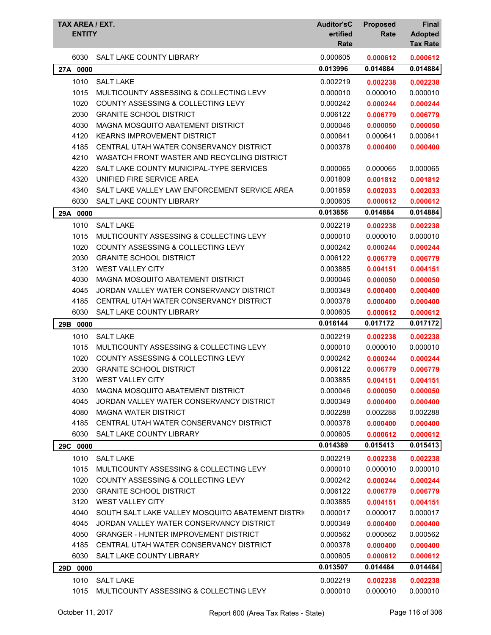| TAX AREA / EXT.<br><b>ENTITY</b> |                                                   | <b>Auditor'sC</b><br>ertified<br>Rate | <b>Proposed</b><br>Rate | Final<br><b>Adopted</b><br><b>Tax Rate</b> |
|----------------------------------|---------------------------------------------------|---------------------------------------|-------------------------|--------------------------------------------|
| 6030                             | <b>SALT LAKE COUNTY LIBRARY</b>                   | 0.000605                              | 0.000612                | 0.000612                                   |
| 27A 0000                         |                                                   | 0.013996                              | 0.014884                | 0.014884                                   |
| 1010                             | <b>SALT LAKE</b>                                  | 0.002219                              | 0.002238                | 0.002238                                   |
| 1015                             | MULTICOUNTY ASSESSING & COLLECTING LEVY           | 0.000010                              | 0.000010                | 0.000010                                   |
| 1020                             | <b>COUNTY ASSESSING &amp; COLLECTING LEVY</b>     | 0.000242                              | 0.000244                | 0.000244                                   |
| 2030                             | <b>GRANITE SCHOOL DISTRICT</b>                    | 0.006122                              | 0.006779                | 0.006779                                   |
| 4030                             | MAGNA MOSQUITO ABATEMENT DISTRICT                 | 0.000046                              | 0.000050                | 0.000050                                   |
| 4120                             | <b>KEARNS IMPROVEMENT DISTRICT</b>                | 0.000641                              | 0.000641                | 0.000641                                   |
| 4185                             | CENTRAL UTAH WATER CONSERVANCY DISTRICT           | 0.000378                              | 0.000400                | 0.000400                                   |
| 4210                             | WASATCH FRONT WASTER AND RECYCLING DISTRICT       |                                       |                         |                                            |
| 4220                             | SALT LAKE COUNTY MUNICIPAL-TYPE SERVICES          | 0.000065                              | 0.000065                | 0.000065                                   |
| 4320                             | UNIFIED FIRE SERVICE AREA                         | 0.001809                              | 0.001812                | 0.001812                                   |
| 4340                             | SALT LAKE VALLEY LAW ENFORCEMENT SERVICE AREA     | 0.001859                              | 0.002033                | 0.002033                                   |
| 6030                             | SALT LAKE COUNTY LIBRARY                          | 0.000605                              | 0.000612                | 0.000612                                   |
| 29A 0000                         |                                                   | 0.013856                              | 0.014884                | 0.014884                                   |
| 1010                             | <b>SALT LAKE</b>                                  | 0.002219                              | 0.002238                | 0.002238                                   |
| 1015                             | MULTICOUNTY ASSESSING & COLLECTING LEVY           | 0.000010                              | 0.000010                | 0.000010                                   |
| 1020                             | <b>COUNTY ASSESSING &amp; COLLECTING LEVY</b>     | 0.000242                              | 0.000244                | 0.000244                                   |
| 2030                             | <b>GRANITE SCHOOL DISTRICT</b>                    | 0.006122                              | 0.006779                | 0.006779                                   |
| 3120                             | <b>WEST VALLEY CITY</b>                           | 0.003885                              | 0.004151                | 0.004151                                   |
| 4030                             | MAGNA MOSQUITO ABATEMENT DISTRICT                 | 0.000046                              | 0.000050                | 0.000050                                   |
| 4045                             | JORDAN VALLEY WATER CONSERVANCY DISTRICT          | 0.000349                              | 0.000400                | 0.000400                                   |
| 4185                             | CENTRAL UTAH WATER CONSERVANCY DISTRICT           | 0.000378                              | 0.000400                | 0.000400                                   |
| 6030                             | SALT LAKE COUNTY LIBRARY                          | 0.000605                              | 0.000612                | 0.000612                                   |
| 29B 0000                         |                                                   | 0.016144                              | 0.017172                | 0.017172                                   |
| 1010                             | <b>SALT LAKE</b>                                  | 0.002219                              | 0.002238                | 0.002238                                   |
| 1015                             | MULTICOUNTY ASSESSING & COLLECTING LEVY           | 0.000010                              | 0.000010                | 0.000010                                   |
| 1020                             | <b>COUNTY ASSESSING &amp; COLLECTING LEVY</b>     | 0.000242                              | 0.000244                | 0.000244                                   |
| 2030                             | <b>GRANITE SCHOOL DISTRICT</b>                    | 0.006122                              | 0.006779                | 0.006779                                   |
| 3120                             | <b>WEST VALLEY CITY</b>                           | 0.003885                              | 0.004151                | 0.004151                                   |
| 4030                             | MAGNA MOSQUITO ABATEMENT DISTRICT                 | 0.000046                              | 0.000050                | 0.000050                                   |
| 4045                             | JORDAN VALLEY WATER CONSERVANCY DISTRICT          | 0.000349                              | 0.000400                | 0.000400                                   |
| 4080                             | MAGNA WATER DISTRICT                              | 0.002288                              | 0.002288                | 0.002288                                   |
| 4185                             | CENTRAL UTAH WATER CONSERVANCY DISTRICT           | 0.000378                              | 0.000400                | 0.000400                                   |
| 6030                             | SALT LAKE COUNTY LIBRARY                          | 0.000605                              | 0.000612                | 0.000612                                   |
| 29C 0000                         |                                                   | 0.014389                              | 0.015413                | 0.015413                                   |
| 1010                             | <b>SALT LAKE</b>                                  | 0.002219                              | 0.002238                | 0.002238                                   |
| 1015                             | MULTICOUNTY ASSESSING & COLLECTING LEVY           | 0.000010                              | 0.000010                | 0.000010                                   |
| 1020                             | COUNTY ASSESSING & COLLECTING LEVY                | 0.000242                              | 0.000244                | 0.000244                                   |
| 2030                             | <b>GRANITE SCHOOL DISTRICT</b>                    | 0.006122                              | 0.006779                | 0.006779                                   |
| 3120                             | <b>WEST VALLEY CITY</b>                           | 0.003885                              | 0.004151                | 0.004151                                   |
| 4040                             | SOUTH SALT LAKE VALLEY MOSQUITO ABATEMENT DISTRIC | 0.000017                              | 0.000017                | 0.000017                                   |
| 4045                             | JORDAN VALLEY WATER CONSERVANCY DISTRICT          | 0.000349                              | 0.000400                | 0.000400                                   |
| 4050                             | <b>GRANGER - HUNTER IMPROVEMENT DISTRICT</b>      | 0.000562                              | 0.000562                | 0.000562                                   |
| 4185                             | CENTRAL UTAH WATER CONSERVANCY DISTRICT           | 0.000378                              | 0.000400                | 0.000400                                   |
| 6030                             | SALT LAKE COUNTY LIBRARY                          | 0.000605                              | 0.000612                | 0.000612                                   |
| 29D 0000                         |                                                   | 0.013507                              | 0.014484                | 0.014484                                   |
| 1010                             | <b>SALT LAKE</b>                                  | 0.002219                              | 0.002238                | 0.002238                                   |
| 1015                             | MULTICOUNTY ASSESSING & COLLECTING LEVY           | 0.000010                              | 0.000010                | 0.000010                                   |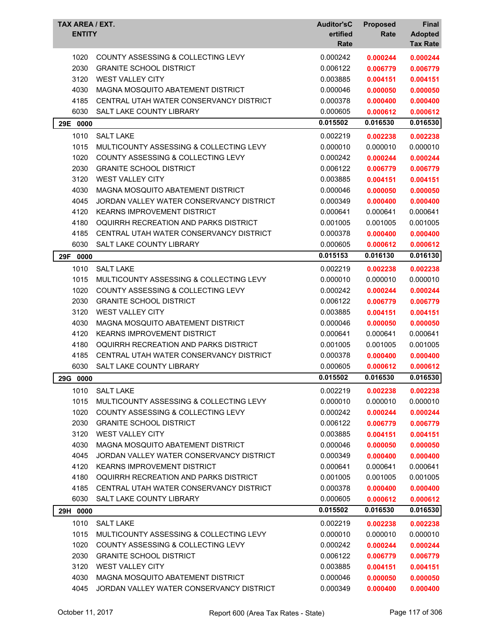| TAX AREA / EXT.<br><b>ENTITY</b> |                                                                      | <b>Auditor'sC</b><br>ertified<br>Rate | <b>Proposed</b><br>Rate | <b>Final</b><br><b>Adopted</b><br><b>Tax Rate</b> |
|----------------------------------|----------------------------------------------------------------------|---------------------------------------|-------------------------|---------------------------------------------------|
|                                  |                                                                      |                                       |                         |                                                   |
| 1020<br>2030                     | COUNTY ASSESSING & COLLECTING LEVY<br><b>GRANITE SCHOOL DISTRICT</b> | 0.000242<br>0.006122                  | 0.000244<br>0.006779    | 0.000244<br>0.006779                              |
| 3120                             | <b>WEST VALLEY CITY</b>                                              | 0.003885                              | 0.004151                | 0.004151                                          |
| 4030                             | MAGNA MOSQUITO ABATEMENT DISTRICT                                    | 0.000046                              |                         |                                                   |
| 4185                             | CENTRAL UTAH WATER CONSERVANCY DISTRICT                              | 0.000378                              | 0.000050<br>0.000400    | 0.000050                                          |
| 6030                             | SALT LAKE COUNTY LIBRARY                                             | 0.000605                              | 0.000612                | 0.000400<br>0.000612                              |
|                                  |                                                                      | 0.015502                              | 0.016530                | 0.016530                                          |
| 29E 0000                         |                                                                      |                                       |                         |                                                   |
| 1010                             | <b>SALT LAKE</b>                                                     | 0.002219                              | 0.002238                | 0.002238                                          |
| 1015                             | MULTICOUNTY ASSESSING & COLLECTING LEVY                              | 0.000010                              | 0.000010                | 0.000010                                          |
| 1020                             | COUNTY ASSESSING & COLLECTING LEVY                                   | 0.000242                              | 0.000244                | 0.000244                                          |
| 2030                             | <b>GRANITE SCHOOL DISTRICT</b>                                       | 0.006122                              | 0.006779                | 0.006779                                          |
| 3120                             | <b>WEST VALLEY CITY</b>                                              | 0.003885                              | 0.004151                | 0.004151                                          |
| 4030                             | MAGNA MOSQUITO ABATEMENT DISTRICT                                    | 0.000046                              | 0.000050                | 0.000050                                          |
| 4045                             | JORDAN VALLEY WATER CONSERVANCY DISTRICT                             | 0.000349                              | 0.000400                | 0.000400                                          |
| 4120                             | <b>KEARNS IMPROVEMENT DISTRICT</b>                                   | 0.000641                              | 0.000641                | 0.000641                                          |
| 4180                             | OQUIRRH RECREATION AND PARKS DISTRICT                                | 0.001005                              | 0.001005                | 0.001005                                          |
| 4185                             | CENTRAL UTAH WATER CONSERVANCY DISTRICT                              | 0.000378                              | 0.000400                | 0.000400                                          |
| 6030                             | SALT LAKE COUNTY LIBRARY                                             | 0.000605                              | 0.000612                | 0.000612                                          |
| 29F<br>0000                      |                                                                      | 0.015153                              | 0.016130                | 0.016130                                          |
| 1010                             | <b>SALT LAKE</b>                                                     | 0.002219                              | 0.002238                | 0.002238                                          |
| 1015                             | MULTICOUNTY ASSESSING & COLLECTING LEVY                              | 0.000010                              | 0.000010                | 0.000010                                          |
| 1020                             | <b>COUNTY ASSESSING &amp; COLLECTING LEVY</b>                        | 0.000242                              | 0.000244                | 0.000244                                          |
| 2030                             | <b>GRANITE SCHOOL DISTRICT</b>                                       | 0.006122                              | 0.006779                | 0.006779                                          |
| 3120                             | <b>WEST VALLEY CITY</b>                                              | 0.003885                              | 0.004151                | 0.004151                                          |
| 4030                             | MAGNA MOSQUITO ABATEMENT DISTRICT                                    | 0.000046                              | 0.000050                | 0.000050                                          |
| 4120                             | <b>KEARNS IMPROVEMENT DISTRICT</b>                                   | 0.000641                              | 0.000641                | 0.000641                                          |
| 4180                             | OQUIRRH RECREATION AND PARKS DISTRICT                                | 0.001005                              | 0.001005                | 0.001005                                          |
| 4185                             | CENTRAL UTAH WATER CONSERVANCY DISTRICT                              | 0.000378                              | 0.000400                | 0.000400                                          |
| 6030                             | SALT LAKE COUNTY LIBRARY                                             | 0.000605                              | 0.000612                | 0.000612                                          |
| 29G 0000                         |                                                                      | 0.015502                              | 0.016530                | 0.016530                                          |
| 1010                             | <b>SALT LAKE</b>                                                     | 0.002219                              | 0.002238                | 0.002238                                          |
| 1015                             | MULTICOUNTY ASSESSING & COLLECTING LEVY                              | 0.000010                              | 0.000010                | 0.000010                                          |
| 1020                             | COUNTY ASSESSING & COLLECTING LEVY                                   | 0.000242                              | 0.000244                | 0.000244                                          |
| 2030                             | <b>GRANITE SCHOOL DISTRICT</b>                                       | 0.006122                              | 0.006779                | 0.006779                                          |
| 3120                             | <b>WEST VALLEY CITY</b>                                              | 0.003885                              | 0.004151                | 0.004151                                          |
| 4030                             | MAGNA MOSQUITO ABATEMENT DISTRICT                                    | 0.000046                              | 0.000050                | 0.000050                                          |
| 4045                             | JORDAN VALLEY WATER CONSERVANCY DISTRICT                             | 0.000349                              | 0.000400                | 0.000400                                          |
| 4120                             | <b>KEARNS IMPROVEMENT DISTRICT</b>                                   | 0.000641                              | 0.000641                | 0.000641                                          |
| 4180                             | OQUIRRH RECREATION AND PARKS DISTRICT                                | 0.001005                              | 0.001005                | 0.001005                                          |
| 4185                             | CENTRAL UTAH WATER CONSERVANCY DISTRICT                              | 0.000378                              | 0.000400                | 0.000400                                          |
| 6030                             | SALT LAKE COUNTY LIBRARY                                             | 0.000605                              | 0.000612                | 0.000612                                          |
| 29H 0000                         |                                                                      | 0.015502                              | 0.016530                | 0.016530                                          |
| 1010                             | <b>SALT LAKE</b>                                                     | 0.002219                              | 0.002238                | 0.002238                                          |
| 1015                             | MULTICOUNTY ASSESSING & COLLECTING LEVY                              | 0.000010                              | 0.000010                | 0.000010                                          |
| 1020                             | COUNTY ASSESSING & COLLECTING LEVY                                   | 0.000242                              | 0.000244                | 0.000244                                          |
| 2030                             | <b>GRANITE SCHOOL DISTRICT</b>                                       | 0.006122                              | 0.006779                | 0.006779                                          |
| 3120                             | <b>WEST VALLEY CITY</b>                                              | 0.003885                              | 0.004151                | 0.004151                                          |
| 4030                             | MAGNA MOSQUITO ABATEMENT DISTRICT                                    | 0.000046                              | 0.000050                | 0.000050                                          |
| 4045                             | JORDAN VALLEY WATER CONSERVANCY DISTRICT                             | 0.000349                              | 0.000400                | 0.000400                                          |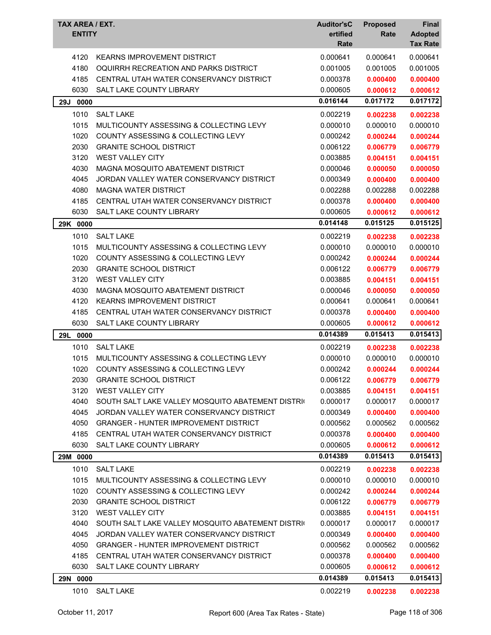| TAX AREA / EXT.<br><b>ENTITY</b> |                                                   | <b>Auditor'sC</b><br>ertified<br>Rate | <b>Proposed</b><br>Rate | Final<br><b>Adopted</b><br><b>Tax Rate</b> |
|----------------------------------|---------------------------------------------------|---------------------------------------|-------------------------|--------------------------------------------|
| 4120                             | <b>KEARNS IMPROVEMENT DISTRICT</b>                | 0.000641                              | 0.000641                | 0.000641                                   |
| 4180                             | OQUIRRH RECREATION AND PARKS DISTRICT             | 0.001005                              | 0.001005                | 0.001005                                   |
| 4185                             | CENTRAL UTAH WATER CONSERVANCY DISTRICT           | 0.000378                              | 0.000400                | 0.000400                                   |
| 6030                             | SALT LAKE COUNTY LIBRARY                          | 0.000605                              | 0.000612                | 0.000612                                   |
| 29J 0000                         |                                                   | 0.016144                              | 0.017172                | 0.017172                                   |
| 1010                             | <b>SALT LAKE</b>                                  | 0.002219                              | 0.002238                | 0.002238                                   |
| 1015                             | MULTICOUNTY ASSESSING & COLLECTING LEVY           | 0.000010                              | 0.000010                | 0.000010                                   |
| 1020                             | COUNTY ASSESSING & COLLECTING LEVY                | 0.000242                              | 0.000244                | 0.000244                                   |
| 2030                             | <b>GRANITE SCHOOL DISTRICT</b>                    | 0.006122                              | 0.006779                | 0.006779                                   |
| 3120                             | <b>WEST VALLEY CITY</b>                           | 0.003885                              | 0.004151                | 0.004151                                   |
| 4030                             | MAGNA MOSQUITO ABATEMENT DISTRICT                 | 0.000046                              | 0.000050                | 0.000050                                   |
| 4045                             | JORDAN VALLEY WATER CONSERVANCY DISTRICT          | 0.000349                              | 0.000400                | 0.000400                                   |
| 4080                             | <b>MAGNA WATER DISTRICT</b>                       | 0.002288                              | 0.002288                | 0.002288                                   |
| 4185                             | CENTRAL UTAH WATER CONSERVANCY DISTRICT           | 0.000378                              | 0.000400                | 0.000400                                   |
| 6030                             | SALT LAKE COUNTY LIBRARY                          | 0.000605                              | 0.000612                | 0.000612                                   |
| 29K 0000                         |                                                   | 0.014148                              | 0.015125                | 0.015125                                   |
| 1010                             | <b>SALT LAKE</b>                                  | 0.002219                              | 0.002238                | 0.002238                                   |
| 1015                             | MULTICOUNTY ASSESSING & COLLECTING LEVY           | 0.000010                              | 0.000010                | 0.000010                                   |
| 1020                             | <b>COUNTY ASSESSING &amp; COLLECTING LEVY</b>     | 0.000242                              | 0.000244                | 0.000244                                   |
| 2030                             | <b>GRANITE SCHOOL DISTRICT</b>                    | 0.006122                              | 0.006779                | 0.006779                                   |
| 3120                             | <b>WEST VALLEY CITY</b>                           | 0.003885                              | 0.004151                | 0.004151                                   |
| 4030                             | MAGNA MOSQUITO ABATEMENT DISTRICT                 | 0.000046                              | 0.000050                | 0.000050                                   |
| 4120                             | <b>KEARNS IMPROVEMENT DISTRICT</b>                | 0.000641                              | 0.000641                | 0.000641                                   |
| 4185                             | CENTRAL UTAH WATER CONSERVANCY DISTRICT           | 0.000378                              | 0.000400                | 0.000400                                   |
| 6030                             | <b>SALT LAKE COUNTY LIBRARY</b>                   | 0.000605                              | 0.000612                | 0.000612                                   |
| 0000<br>29L                      |                                                   | 0.014389                              | 0.015413                | 0.015413                                   |
| 1010                             | <b>SALT LAKE</b>                                  | 0.002219                              | 0.002238                | 0.002238                                   |
| 1015                             | MULTICOUNTY ASSESSING & COLLECTING LEVY           | 0.000010                              | 0.000010                | 0.000010                                   |
| 1020                             | COUNTY ASSESSING & COLLECTING LEVY                | 0.000242                              | 0.000244                | 0.000244                                   |
| 2030                             | <b>GRANITE SCHOOL DISTRICT</b>                    | 0.006122                              | 0.006779                | 0.006779                                   |
| 3120                             | <b>WEST VALLEY CITY</b>                           | 0.003885                              | 0.004151                | 0.004151                                   |
| 4040                             | SOUTH SALT LAKE VALLEY MOSQUITO ABATEMENT DISTRIC | 0.000017                              | 0.000017                | 0.000017                                   |
| 4045                             | JORDAN VALLEY WATER CONSERVANCY DISTRICT          | 0.000349                              | 0.000400                | 0.000400                                   |
| 4050                             | <b>GRANGER - HUNTER IMPROVEMENT DISTRICT</b>      | 0.000562                              | 0.000562                | 0.000562                                   |
| 4185                             | CENTRAL UTAH WATER CONSERVANCY DISTRICT           | 0.000378                              | 0.000400                | 0.000400                                   |
| 6030                             | SALT LAKE COUNTY LIBRARY                          | 0.000605                              | 0.000612                | 0.000612                                   |
| 29M 0000                         |                                                   | 0.014389                              | 0.015413                | 0.015413                                   |
| 1010                             | <b>SALT LAKE</b>                                  | 0.002219                              | 0.002238                | 0.002238                                   |
| 1015                             | MULTICOUNTY ASSESSING & COLLECTING LEVY           | 0.000010                              | 0.000010                | 0.000010                                   |
| 1020                             | COUNTY ASSESSING & COLLECTING LEVY                | 0.000242                              | 0.000244                | 0.000244                                   |
| 2030                             | <b>GRANITE SCHOOL DISTRICT</b>                    | 0.006122                              | 0.006779                | 0.006779                                   |
| 3120                             | <b>WEST VALLEY CITY</b>                           | 0.003885                              | 0.004151                | 0.004151                                   |
| 4040                             | SOUTH SALT LAKE VALLEY MOSQUITO ABATEMENT DISTRIC | 0.000017                              | 0.000017                | 0.000017                                   |
| 4045                             | JORDAN VALLEY WATER CONSERVANCY DISTRICT          | 0.000349                              | 0.000400                | 0.000400                                   |
| 4050                             | <b>GRANGER - HUNTER IMPROVEMENT DISTRICT</b>      | 0.000562                              | 0.000562                | 0.000562                                   |
| 4185                             | CENTRAL UTAH WATER CONSERVANCY DISTRICT           | 0.000378                              | 0.000400                | 0.000400                                   |
| 6030                             | SALT LAKE COUNTY LIBRARY                          | 0.000605                              | 0.000612                | 0.000612                                   |
| 29N 0000                         |                                                   | 0.014389                              | 0.015413                | 0.015413                                   |
| 1010                             | <b>SALT LAKE</b>                                  | 0.002219                              | 0.002238                | 0.002238                                   |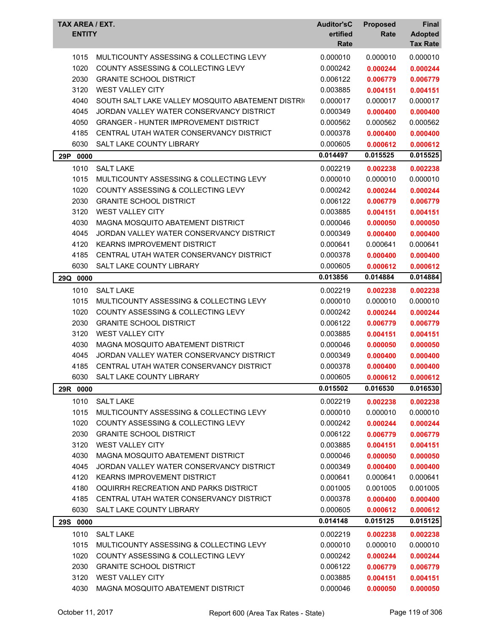| TAX AREA / EXT.<br><b>ENTITY</b> |                                                   | <b>Auditor'sC</b><br>ertified<br>Rate | <b>Proposed</b><br>Rate | <b>Final</b><br><b>Adopted</b><br><b>Tax Rate</b> |
|----------------------------------|---------------------------------------------------|---------------------------------------|-------------------------|---------------------------------------------------|
| 1015                             | MULTICOUNTY ASSESSING & COLLECTING LEVY           | 0.000010                              | 0.000010                | 0.000010                                          |
| 1020                             | <b>COUNTY ASSESSING &amp; COLLECTING LEVY</b>     | 0.000242                              | 0.000244                | 0.000244                                          |
| 2030                             | <b>GRANITE SCHOOL DISTRICT</b>                    | 0.006122                              | 0.006779                | 0.006779                                          |
| 3120                             | <b>WEST VALLEY CITY</b>                           | 0.003885                              | 0.004151                | 0.004151                                          |
| 4040                             | SOUTH SALT LAKE VALLEY MOSQUITO ABATEMENT DISTRIC | 0.000017                              | 0.000017                | 0.000017                                          |
| 4045                             | JORDAN VALLEY WATER CONSERVANCY DISTRICT          | 0.000349                              | 0.000400                | 0.000400                                          |
| 4050                             | <b>GRANGER - HUNTER IMPROVEMENT DISTRICT</b>      | 0.000562                              | 0.000562                | 0.000562                                          |
| 4185                             | CENTRAL UTAH WATER CONSERVANCY DISTRICT           | 0.000378                              | 0.000400                | 0.000400                                          |
| 6030                             | <b>SALT LAKE COUNTY LIBRARY</b>                   | 0.000605                              | 0.000612                | 0.000612                                          |
| 29P<br>0000                      |                                                   | 0.014497                              | 0.015525                | 0.015525                                          |
| 1010                             | <b>SALT LAKE</b>                                  | 0.002219                              | 0.002238                | 0.002238                                          |
| 1015                             | MULTICOUNTY ASSESSING & COLLECTING LEVY           | 0.000010                              | 0.000010                | 0.000010                                          |
| 1020                             | <b>COUNTY ASSESSING &amp; COLLECTING LEVY</b>     | 0.000242                              | 0.000244                | 0.000244                                          |
| 2030                             | <b>GRANITE SCHOOL DISTRICT</b>                    | 0.006122                              | 0.006779                | 0.006779                                          |
| 3120                             | <b>WEST VALLEY CITY</b>                           | 0.003885                              | 0.004151                | 0.004151                                          |
| 4030                             | MAGNA MOSQUITO ABATEMENT DISTRICT                 | 0.000046                              | 0.000050                | 0.000050                                          |
| 4045                             | JORDAN VALLEY WATER CONSERVANCY DISTRICT          | 0.000349                              | 0.000400                | 0.000400                                          |
| 4120                             | <b>KEARNS IMPROVEMENT DISTRICT</b>                | 0.000641                              | 0.000641                | 0.000641                                          |
| 4185                             | CENTRAL UTAH WATER CONSERVANCY DISTRICT           | 0.000378                              | 0.000400                | 0.000400                                          |
| 6030                             | <b>SALT LAKE COUNTY LIBRARY</b>                   | 0.000605                              | 0.000612                | 0.000612                                          |
| 29Q<br>0000                      |                                                   | 0.013856                              | 0.014884                | 0.014884                                          |
| 1010                             | <b>SALT LAKE</b>                                  | 0.002219                              | 0.002238                | 0.002238                                          |
| 1015                             | MULTICOUNTY ASSESSING & COLLECTING LEVY           | 0.000010                              | 0.000010                | 0.000010                                          |
| 1020                             | COUNTY ASSESSING & COLLECTING LEVY                | 0.000242                              | 0.000244                | 0.000244                                          |
| 2030                             | <b>GRANITE SCHOOL DISTRICT</b>                    | 0.006122                              | 0.006779                | 0.006779                                          |
| 3120                             | WEST VALLEY CITY                                  | 0.003885                              | 0.004151                | 0.004151                                          |
| 4030                             | MAGNA MOSQUITO ABATEMENT DISTRICT                 | 0.000046                              | 0.000050                | 0.000050                                          |
| 4045                             | JORDAN VALLEY WATER CONSERVANCY DISTRICT          | 0.000349                              | 0.000400                | 0.000400                                          |
| 4185                             | CENTRAL UTAH WATER CONSERVANCY DISTRICT           | 0.000378                              | 0.000400                | 0.000400                                          |
| 6030                             | SALT LAKE COUNTY LIBRARY                          | 0.000605                              | 0.000612                | 0.000612                                          |
| 29R 0000                         |                                                   | 0.015502                              | 0.016530                | 0.016530                                          |
| 1010                             | <b>SALT LAKE</b>                                  | 0.002219                              | 0.002238                | 0.002238                                          |
| 1015                             | MULTICOUNTY ASSESSING & COLLECTING LEVY           | 0.000010                              | 0.000010                | 0.000010                                          |
| 1020                             | <b>COUNTY ASSESSING &amp; COLLECTING LEVY</b>     | 0.000242                              | 0.000244                | 0.000244                                          |
| 2030                             | <b>GRANITE SCHOOL DISTRICT</b>                    | 0.006122                              | 0.006779                | 0.006779                                          |
| 3120                             | <b>WEST VALLEY CITY</b>                           | 0.003885                              | 0.004151                | 0.004151                                          |
| 4030                             | MAGNA MOSQUITO ABATEMENT DISTRICT                 | 0.000046                              | 0.000050                | 0.000050                                          |
| 4045                             | JORDAN VALLEY WATER CONSERVANCY DISTRICT          | 0.000349                              | 0.000400                | 0.000400                                          |
| 4120                             | <b>KEARNS IMPROVEMENT DISTRICT</b>                | 0.000641                              | 0.000641                | 0.000641                                          |
| 4180                             | OQUIRRH RECREATION AND PARKS DISTRICT             | 0.001005                              | 0.001005                | 0.001005                                          |
| 4185                             | CENTRAL UTAH WATER CONSERVANCY DISTRICT           | 0.000378                              | 0.000400                | 0.000400                                          |
| 6030                             | SALT LAKE COUNTY LIBRARY                          | 0.000605                              | 0.000612                | 0.000612                                          |
| 29S 0000                         |                                                   | 0.014148                              | 0.015125                | 0.015125                                          |
| 1010                             | <b>SALT LAKE</b>                                  | 0.002219                              | 0.002238                | 0.002238                                          |
| 1015                             | MULTICOUNTY ASSESSING & COLLECTING LEVY           | 0.000010                              | 0.000010                | 0.000010                                          |
| 1020                             | COUNTY ASSESSING & COLLECTING LEVY                | 0.000242                              | 0.000244                | 0.000244                                          |
| 2030                             | <b>GRANITE SCHOOL DISTRICT</b>                    | 0.006122                              | 0.006779                | 0.006779                                          |
| 3120                             | WEST VALLEY CITY                                  | 0.003885                              | 0.004151                | 0.004151                                          |
| 4030                             | MAGNA MOSQUITO ABATEMENT DISTRICT                 | 0.000046                              | 0.000050                | 0.000050                                          |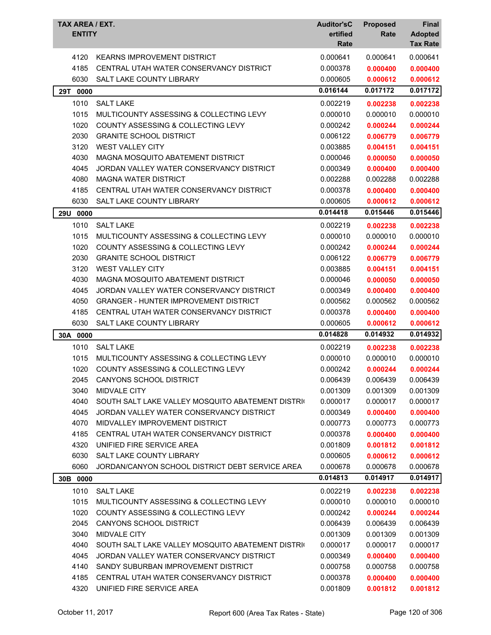| TAX AREA / EXT.<br><b>ENTITY</b> |                                                   | <b>Auditor'sC</b><br>ertified<br>Rate | <b>Proposed</b><br>Rate | <b>Final</b><br><b>Adopted</b><br><b>Tax Rate</b> |
|----------------------------------|---------------------------------------------------|---------------------------------------|-------------------------|---------------------------------------------------|
| 4120                             | <b>KEARNS IMPROVEMENT DISTRICT</b>                | 0.000641                              | 0.000641                | 0.000641                                          |
| 4185                             | CENTRAL UTAH WATER CONSERVANCY DISTRICT           | 0.000378                              | 0.000400                | 0.000400                                          |
| 6030                             | SALT LAKE COUNTY LIBRARY                          | 0.000605                              | 0.000612                | 0.000612                                          |
| 29T<br>0000                      |                                                   | 0.016144                              | 0.017172                | 0.017172                                          |
| 1010                             | <b>SALT LAKE</b>                                  | 0.002219                              | 0.002238                | 0.002238                                          |
| 1015                             | MULTICOUNTY ASSESSING & COLLECTING LEVY           | 0.000010                              | 0.000010                | 0.000010                                          |
| 1020                             | <b>COUNTY ASSESSING &amp; COLLECTING LEVY</b>     | 0.000242                              | 0.000244                | 0.000244                                          |
| 2030                             | <b>GRANITE SCHOOL DISTRICT</b>                    | 0.006122                              | 0.006779                | 0.006779                                          |
| 3120                             | <b>WEST VALLEY CITY</b>                           | 0.003885                              | 0.004151                | 0.004151                                          |
| 4030                             | MAGNA MOSQUITO ABATEMENT DISTRICT                 | 0.000046                              | 0.000050                | 0.000050                                          |
| 4045                             | JORDAN VALLEY WATER CONSERVANCY DISTRICT          | 0.000349                              | 0.000400                | 0.000400                                          |
| 4080                             | <b>MAGNA WATER DISTRICT</b>                       | 0.002288                              | 0.002288                | 0.002288                                          |
| 4185                             | CENTRAL UTAH WATER CONSERVANCY DISTRICT           | 0.000378                              | 0.000400                | 0.000400                                          |
| 6030                             | SALT LAKE COUNTY LIBRARY                          | 0.000605                              | 0.000612                | 0.000612                                          |
| 29U 0000                         |                                                   | 0.014418                              | 0.015446                | 0.015446                                          |
| 1010                             | <b>SALT LAKE</b>                                  | 0.002219                              | 0.002238                | 0.002238                                          |
| 1015                             | MULTICOUNTY ASSESSING & COLLECTING LEVY           | 0.000010                              | 0.000010                | 0.000010                                          |
| 1020                             | <b>COUNTY ASSESSING &amp; COLLECTING LEVY</b>     | 0.000242                              | 0.000244                | 0.000244                                          |
| 2030                             | <b>GRANITE SCHOOL DISTRICT</b>                    | 0.006122                              | 0.006779                | 0.006779                                          |
| 3120                             | <b>WEST VALLEY CITY</b>                           | 0.003885                              | 0.004151                | 0.004151                                          |
| 4030                             | MAGNA MOSQUITO ABATEMENT DISTRICT                 | 0.000046                              | 0.000050                | 0.000050                                          |
| 4045                             | JORDAN VALLEY WATER CONSERVANCY DISTRICT          | 0.000349                              | 0.000400                | 0.000400                                          |
| 4050                             | <b>GRANGER - HUNTER IMPROVEMENT DISTRICT</b>      | 0.000562                              | 0.000562                | 0.000562                                          |
| 4185                             | CENTRAL UTAH WATER CONSERVANCY DISTRICT           | 0.000378                              | 0.000400                | 0.000400                                          |
| 6030                             | SALT LAKE COUNTY LIBRARY                          | 0.000605                              | 0.000612                | 0.000612                                          |
| 30A 0000                         |                                                   | 0.014828                              | 0.014932                | 0.014932                                          |
| 1010                             | <b>SALT LAKE</b>                                  | 0.002219                              | 0.002238                | 0.002238                                          |
| 1015                             | MULTICOUNTY ASSESSING & COLLECTING LEVY           | 0.000010                              | 0.000010                | 0.000010                                          |
| 1020                             | COUNTY ASSESSING & COLLECTING LEVY                | 0.000242                              | 0.000244                | 0.000244                                          |
| 2045                             | <b>CANYONS SCHOOL DISTRICT</b>                    | 0.006439                              | 0.006439                | 0.006439                                          |
| 3040                             | <b>MIDVALE CITY</b>                               | 0.001309                              | 0.001309                | 0.001309                                          |
| 4040                             | SOUTH SALT LAKE VALLEY MOSQUITO ABATEMENT DISTRIC | 0.000017                              | 0.000017                | 0.000017                                          |
| 4045                             | JORDAN VALLEY WATER CONSERVANCY DISTRICT          | 0.000349                              | 0.000400                | 0.000400                                          |
| 4070                             | MIDVALLEY IMPROVEMENT DISTRICT                    | 0.000773                              | 0.000773                | 0.000773                                          |
| 4185                             | CENTRAL UTAH WATER CONSERVANCY DISTRICT           | 0.000378                              | 0.000400                | 0.000400                                          |
| 4320                             | UNIFIED FIRE SERVICE AREA                         | 0.001809                              | 0.001812                | 0.001812                                          |
| 6030                             | SALT LAKE COUNTY LIBRARY                          | 0.000605                              | 0.000612                | 0.000612                                          |
| 6060                             | JORDAN/CANYON SCHOOL DISTRICT DEBT SERVICE AREA   | 0.000678                              | 0.000678                | 0.000678                                          |
| 30B 0000                         |                                                   | 0.014813                              | 0.014917                | 0.014917                                          |
| 1010                             | <b>SALT LAKE</b>                                  | 0.002219                              | 0.002238                | 0.002238                                          |
| 1015                             | MULTICOUNTY ASSESSING & COLLECTING LEVY           | 0.000010                              | 0.000010                | 0.000010                                          |
| 1020                             | COUNTY ASSESSING & COLLECTING LEVY                | 0.000242                              | 0.000244                | 0.000244                                          |
| 2045                             | <b>CANYONS SCHOOL DISTRICT</b>                    | 0.006439                              | 0.006439                | 0.006439                                          |
| 3040                             | MIDVALE CITY                                      | 0.001309                              | 0.001309                | 0.001309                                          |
| 4040                             | SOUTH SALT LAKE VALLEY MOSQUITO ABATEMENT DISTRIC | 0.000017                              | 0.000017                | 0.000017                                          |
| 4045                             | JORDAN VALLEY WATER CONSERVANCY DISTRICT          | 0.000349                              | 0.000400                | 0.000400                                          |
| 4140                             | SANDY SUBURBAN IMPROVEMENT DISTRICT               | 0.000758                              | 0.000758                | 0.000758                                          |
| 4185                             | CENTRAL UTAH WATER CONSERVANCY DISTRICT           | 0.000378                              | 0.000400                | 0.000400                                          |
| 4320                             | UNIFIED FIRE SERVICE AREA                         | 0.001809                              | 0.001812                | 0.001812                                          |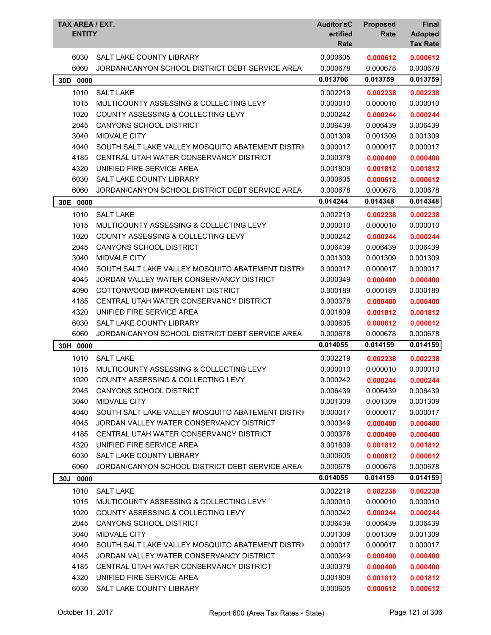| TAX AREA / EXT.<br><b>ENTITY</b> |                                                   | <b>Auditor'sC</b><br>ertified<br>Rate | <b>Proposed</b><br>Rate | <b>Final</b><br><b>Adopted</b><br><b>Tax Rate</b> |
|----------------------------------|---------------------------------------------------|---------------------------------------|-------------------------|---------------------------------------------------|
| 6030                             | SALT LAKE COUNTY LIBRARY                          | 0.000605                              | 0.000612                | 0.000612                                          |
| 6060                             | JORDAN/CANYON SCHOOL DISTRICT DEBT SERVICE AREA   | 0.000678                              | 0.000678                | 0.000678                                          |
| 30D 0000                         |                                                   | 0.013706                              | 0.013759                | 0.013759                                          |
| 1010                             | <b>SALT LAKE</b>                                  | 0.002219                              | 0.002238                | 0.002238                                          |
| 1015                             | MULTICOUNTY ASSESSING & COLLECTING LEVY           | 0.000010                              | 0.000010                | 0.000010                                          |
| 1020                             | <b>COUNTY ASSESSING &amp; COLLECTING LEVY</b>     | 0.000242                              | 0.000244                | 0.000244                                          |
| 2045                             | CANYONS SCHOOL DISTRICT                           | 0.006439                              | 0.006439                | 0.006439                                          |
| 3040                             | <b>MIDVALE CITY</b>                               | 0.001309                              | 0.001309                | 0.001309                                          |
| 4040                             | SOUTH SALT LAKE VALLEY MOSQUITO ABATEMENT DISTRIC | 0.000017                              | 0.000017                | 0.000017                                          |
| 4185                             | CENTRAL UTAH WATER CONSERVANCY DISTRICT           | 0.000378                              | 0.000400                | 0.000400                                          |
| 4320                             | UNIFIED FIRE SERVICE AREA                         | 0.001809                              | 0.001812                | 0.001812                                          |
| 6030                             | <b>SALT LAKE COUNTY LIBRARY</b>                   | 0.000605                              | 0.000612                | 0.000612                                          |
| 6060                             | JORDAN/CANYON SCHOOL DISTRICT DEBT SERVICE AREA   | 0.000678                              | 0.000678                | 0.000678                                          |
| 30E<br>0000                      |                                                   | 0.014244                              | 0.014348                | 0.014348                                          |
| 1010                             | <b>SALT LAKE</b>                                  | 0.002219                              | 0.002238                | 0.002238                                          |
| 1015                             | MULTICOUNTY ASSESSING & COLLECTING LEVY           | 0.000010                              | 0.000010                | 0.000010                                          |
| 1020                             | <b>COUNTY ASSESSING &amp; COLLECTING LEVY</b>     | 0.000242                              | 0.000244                | 0.000244                                          |
| 2045                             | <b>CANYONS SCHOOL DISTRICT</b>                    | 0.006439                              | 0.006439                | 0.006439                                          |
| 3040                             | <b>MIDVALE CITY</b>                               | 0.001309                              | 0.001309                | 0.001309                                          |
| 4040                             | SOUTH SALT LAKE VALLEY MOSQUITO ABATEMENT DISTRIC | 0.000017                              | 0.000017                | 0.000017                                          |
| 4045                             | JORDAN VALLEY WATER CONSERVANCY DISTRICT          | 0.000349                              | 0.000400                | 0.000400                                          |
| 4090                             | COTTONWOOD IMPROVEMENT DISTRICT                   | 0.000189                              | 0.000189                | 0.000189                                          |
| 4185                             | CENTRAL UTAH WATER CONSERVANCY DISTRICT           | 0.000378                              | 0.000400                | 0.000400                                          |
| 4320                             | UNIFIED FIRE SERVICE AREA                         | 0.001809                              | 0.001812                | 0.001812                                          |
| 6030                             | <b>SALT LAKE COUNTY LIBRARY</b>                   | 0.000605                              | 0.000612                | 0.000612                                          |
| 6060                             | JORDAN/CANYON SCHOOL DISTRICT DEBT SERVICE AREA   | 0.000678                              | 0.000678                | 0.000678                                          |
| 30H 0000                         |                                                   | 0.014055                              | 0.014159                | 0.014159                                          |
| 1010                             | <b>SALT LAKE</b>                                  | 0.002219                              | 0.002238                | 0.002238                                          |
| 1015                             | MULTICOUNTY ASSESSING & COLLECTING LEVY           | 0.000010                              | 0.000010                | 0.000010                                          |
| 1020                             | COUNTY ASSESSING & COLLECTING LEVY                | 0.000242                              | 0.000244                | 0.000244                                          |
| 2045                             | CANYONS SCHOOL DISTRICT                           | 0.006439                              | 0.006439                | 0.006439                                          |
| 3040                             | MIDVALE CITY                                      | 0.001309                              | 0.001309                | 0.001309                                          |
| 4040                             | SOUTH SALT LAKE VALLEY MOSQUITO ABATEMENT DISTRIC | 0.000017                              | 0.000017                | 0.000017                                          |
| 4045                             | JORDAN VALLEY WATER CONSERVANCY DISTRICT          | 0.000349                              | 0.000400                | 0.000400                                          |
| 4185                             | CENTRAL UTAH WATER CONSERVANCY DISTRICT           | 0.000378                              | 0.000400                | 0.000400                                          |
| 4320                             | UNIFIED FIRE SERVICE AREA                         | 0.001809                              | 0.001812                | 0.001812                                          |
| 6030                             | SALT LAKE COUNTY LIBRARY                          | 0.000605                              | 0.000612                | 0.000612                                          |
| 6060                             | JORDAN/CANYON SCHOOL DISTRICT DEBT SERVICE AREA   | 0.000678                              | 0.000678                | 0.000678                                          |
| 30J 0000                         |                                                   | 0.014055                              | 0.014159                | 0.014159                                          |
| 1010                             | <b>SALT LAKE</b>                                  | 0.002219                              | 0.002238                | 0.002238                                          |
| 1015                             | MULTICOUNTY ASSESSING & COLLECTING LEVY           | 0.000010                              | 0.000010                | 0.000010                                          |
| 1020                             | COUNTY ASSESSING & COLLECTING LEVY                | 0.000242                              | 0.000244                | 0.000244                                          |
| 2045                             | CANYONS SCHOOL DISTRICT                           | 0.006439                              | 0.006439                | 0.006439                                          |
| 3040                             | MIDVALE CITY                                      | 0.001309                              | 0.001309                | 0.001309                                          |
| 4040                             | SOUTH SALT LAKE VALLEY MOSQUITO ABATEMENT DISTRIC | 0.000017                              | 0.000017                | 0.000017                                          |
| 4045                             | JORDAN VALLEY WATER CONSERVANCY DISTRICT          | 0.000349                              | 0.000400                | 0.000400                                          |
| 4185                             | CENTRAL UTAH WATER CONSERVANCY DISTRICT           | 0.000378                              | 0.000400                | 0.000400                                          |
| 4320                             | UNIFIED FIRE SERVICE AREA                         | 0.001809                              | 0.001812                | 0.001812                                          |
| 6030                             | SALT LAKE COUNTY LIBRARY                          | 0.000605                              | 0.000612                | 0.000612                                          |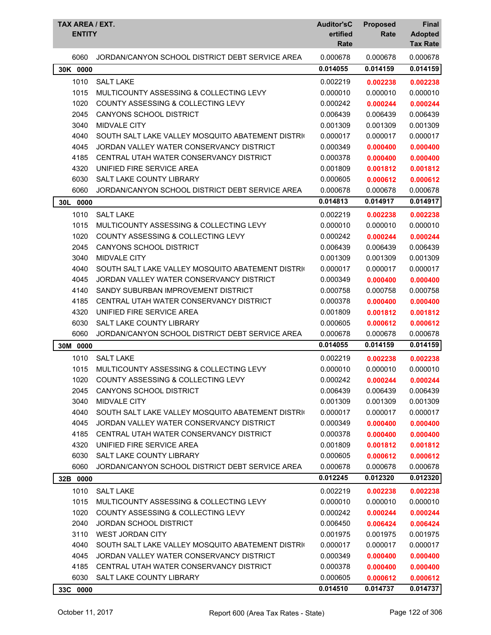| TAX AREA / EXT.<br><b>ENTITY</b> |                                                   | <b>Auditor'sC</b><br>ertified<br>Rate | <b>Proposed</b><br>Rate | <b>Final</b><br><b>Adopted</b><br><b>Tax Rate</b> |
|----------------------------------|---------------------------------------------------|---------------------------------------|-------------------------|---------------------------------------------------|
| 6060                             | JORDAN/CANYON SCHOOL DISTRICT DEBT SERVICE AREA   | 0.000678                              | 0.000678                | 0.000678                                          |
| 30K 0000                         |                                                   | 0.014055                              | 0.014159                | 0.014159                                          |
| 1010                             | <b>SALT LAKE</b>                                  | 0.002219                              | 0.002238                | 0.002238                                          |
| 1015                             | MULTICOUNTY ASSESSING & COLLECTING LEVY           | 0.000010                              | 0.000010                | 0.000010                                          |
| 1020                             | <b>COUNTY ASSESSING &amp; COLLECTING LEVY</b>     | 0.000242                              | 0.000244                | 0.000244                                          |
| 2045                             | CANYONS SCHOOL DISTRICT                           | 0.006439                              | 0.006439                | 0.006439                                          |
| 3040                             | <b>MIDVALE CITY</b>                               | 0.001309                              | 0.001309                | 0.001309                                          |
| 4040                             | SOUTH SALT LAKE VALLEY MOSQUITO ABATEMENT DISTRIC | 0.000017                              | 0.000017                | 0.000017                                          |
| 4045                             | JORDAN VALLEY WATER CONSERVANCY DISTRICT          | 0.000349                              | 0.000400                | 0.000400                                          |
| 4185                             | CENTRAL UTAH WATER CONSERVANCY DISTRICT           | 0.000378                              | 0.000400                | 0.000400                                          |
| 4320                             | UNIFIED FIRE SERVICE AREA                         | 0.001809                              | 0.001812                | 0.001812                                          |
| 6030                             | <b>SALT LAKE COUNTY LIBRARY</b>                   | 0.000605                              | 0.000612                | 0.000612                                          |
| 6060                             | JORDAN/CANYON SCHOOL DISTRICT DEBT SERVICE AREA   | 0.000678                              | 0.000678                | 0.000678                                          |
| 30L<br>0000                      |                                                   | 0.014813                              | 0.014917                | 0.014917                                          |
| 1010                             | <b>SALT LAKE</b>                                  | 0.002219                              | 0.002238                | 0.002238                                          |
| 1015                             | MULTICOUNTY ASSESSING & COLLECTING LEVY           | 0.000010                              | 0.000010                | 0.000010                                          |
| 1020                             | <b>COUNTY ASSESSING &amp; COLLECTING LEVY</b>     | 0.000242                              | 0.000244                | 0.000244                                          |
| 2045                             | <b>CANYONS SCHOOL DISTRICT</b>                    | 0.006439                              | 0.006439                | 0.006439                                          |
| 3040                             | <b>MIDVALE CITY</b>                               | 0.001309                              | 0.001309                | 0.001309                                          |
| 4040                             | SOUTH SALT LAKE VALLEY MOSQUITO ABATEMENT DISTRIC | 0.000017                              | 0.000017                | 0.000017                                          |
| 4045                             | JORDAN VALLEY WATER CONSERVANCY DISTRICT          | 0.000349                              | 0.000400                | 0.000400                                          |
| 4140                             | SANDY SUBURBAN IMPROVEMENT DISTRICT               | 0.000758                              | 0.000758                | 0.000758                                          |
| 4185                             | CENTRAL UTAH WATER CONSERVANCY DISTRICT           | 0.000378                              | 0.000400                | 0.000400                                          |
| 4320                             | UNIFIED FIRE SERVICE AREA                         | 0.001809                              | 0.001812                | 0.001812                                          |
| 6030                             | <b>SALT LAKE COUNTY LIBRARY</b>                   | 0.000605                              | 0.000612                | 0.000612                                          |
| 6060                             | JORDAN/CANYON SCHOOL DISTRICT DEBT SERVICE AREA   | 0.000678                              | 0.000678                | 0.000678                                          |
| 30M 0000                         |                                                   | 0.014055                              | 0.014159                | 0.014159                                          |
| 1010                             | <b>SALT LAKE</b>                                  | 0.002219                              | 0.002238                | 0.002238                                          |
| 1015                             | MULTICOUNTY ASSESSING & COLLECTING LEVY           | 0.000010                              | 0.000010                | 0.000010                                          |
| 1020                             | COUNTY ASSESSING & COLLECTING LEVY                | 0.000242                              | 0.000244                | 0.000244                                          |
| 2045                             | <b>CANYONS SCHOOL DISTRICT</b>                    | 0.006439                              | 0.006439                | 0.006439                                          |
| 3040                             | <b>MIDVALE CITY</b>                               | 0.001309                              | 0.001309                | 0.001309                                          |
| 4040                             | SOUTH SALT LAKE VALLEY MOSQUITO ABATEMENT DISTRIC | 0.000017                              | 0.000017                | 0.000017                                          |
| 4045                             | JORDAN VALLEY WATER CONSERVANCY DISTRICT          | 0.000349                              | 0.000400                | 0.000400                                          |
| 4185                             | CENTRAL UTAH WATER CONSERVANCY DISTRICT           | 0.000378                              | 0.000400                | 0.000400                                          |
| 4320                             | UNIFIED FIRE SERVICE AREA                         | 0.001809                              | 0.001812                | 0.001812                                          |
| 6030                             | SALT LAKE COUNTY LIBRARY                          | 0.000605                              | 0.000612                | 0.000612                                          |
| 6060                             | JORDAN/CANYON SCHOOL DISTRICT DEBT SERVICE AREA   | 0.000678                              | 0.000678                | 0.000678                                          |
| 32B 0000                         |                                                   | 0.012245                              | 0.012320                | 0.012320                                          |
| 1010                             | <b>SALT LAKE</b>                                  | 0.002219                              | 0.002238                | 0.002238                                          |
| 1015                             | MULTICOUNTY ASSESSING & COLLECTING LEVY           | 0.000010                              | 0.000010                | 0.000010                                          |
| 1020                             | COUNTY ASSESSING & COLLECTING LEVY                | 0.000242                              | 0.000244                | 0.000244                                          |
| 2040                             | JORDAN SCHOOL DISTRICT                            | 0.006450                              | 0.006424                | 0.006424                                          |
| 3110                             | <b>WEST JORDAN CITY</b>                           | 0.001975                              | 0.001975                | 0.001975                                          |
| 4040                             | SOUTH SALT LAKE VALLEY MOSQUITO ABATEMENT DISTRIC | 0.000017                              | 0.000017                | 0.000017                                          |
| 4045                             | JORDAN VALLEY WATER CONSERVANCY DISTRICT          | 0.000349                              | 0.000400                | 0.000400                                          |
| 4185                             | CENTRAL UTAH WATER CONSERVANCY DISTRICT           | 0.000378                              | 0.000400                | 0.000400                                          |
| 6030                             | SALT LAKE COUNTY LIBRARY                          | 0.000605                              | 0.000612                | 0.000612                                          |
| 33C 0000                         |                                                   | 0.014510                              | 0.014737                | 0.014737                                          |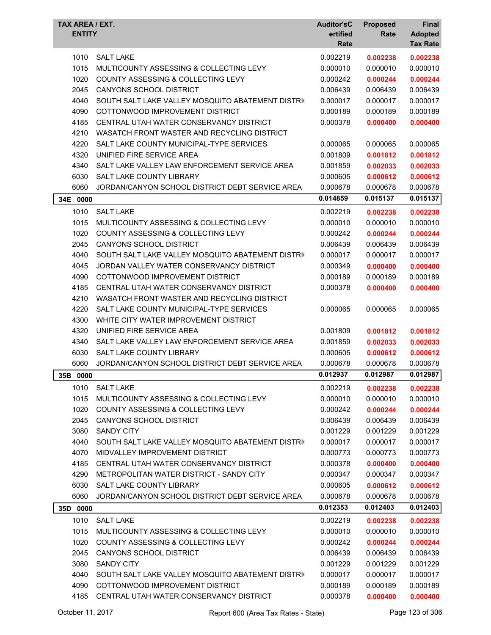| TAX AREA / EXT.<br><b>ENTITY</b> |                                                   | <b>Auditor'sC</b><br>ertified | <b>Proposed</b><br>Rate | <b>Final</b><br><b>Adopted</b> |
|----------------------------------|---------------------------------------------------|-------------------------------|-------------------------|--------------------------------|
|                                  |                                                   | Rate                          |                         | <b>Tax Rate</b>                |
| 1010                             | <b>SALT LAKE</b>                                  | 0.002219                      | 0.002238                | 0.002238                       |
| 1015                             | MULTICOUNTY ASSESSING & COLLECTING LEVY           | 0.000010                      | 0.000010                | 0.000010                       |
| 1020                             | COUNTY ASSESSING & COLLECTING LEVY                | 0.000242                      | 0.000244                | 0.000244                       |
| 2045                             | CANYONS SCHOOL DISTRICT                           | 0.006439                      | 0.006439                | 0.006439                       |
| 4040                             | SOUTH SALT LAKE VALLEY MOSQUITO ABATEMENT DISTRIC | 0.000017                      | 0.000017                | 0.000017                       |
| 4090                             | COTTONWOOD IMPROVEMENT DISTRICT                   | 0.000189                      | 0.000189                | 0.000189                       |
| 4185                             | CENTRAL UTAH WATER CONSERVANCY DISTRICT           | 0.000378                      | 0.000400                | 0.000400                       |
| 4210                             | WASATCH FRONT WASTER AND RECYCLING DISTRICT       |                               |                         |                                |
| 4220                             | SALT LAKE COUNTY MUNICIPAL-TYPE SERVICES          | 0.000065                      | 0.000065                | 0.000065                       |
| 4320                             | UNIFIED FIRE SERVICE AREA                         | 0.001809                      | 0.001812                | 0.001812                       |
| 4340                             | SALT LAKE VALLEY LAW ENFORCEMENT SERVICE AREA     | 0.001859                      | 0.002033                | 0.002033                       |
| 6030                             | SALT LAKE COUNTY LIBRARY                          | 0.000605                      | 0.000612                | 0.000612                       |
| 6060                             | JORDAN/CANYON SCHOOL DISTRICT DEBT SERVICE AREA   | 0.000678                      | 0.000678                | 0.000678                       |
| 34E 0000                         |                                                   | 0.014859                      | 0.015137                | 0.015137                       |
| 1010                             | <b>SALT LAKE</b>                                  | 0.002219                      | 0.002238                | 0.002238                       |
| 1015                             | MULTICOUNTY ASSESSING & COLLECTING LEVY           | 0.000010                      | 0.000010                | 0.000010                       |
| 1020                             | COUNTY ASSESSING & COLLECTING LEVY                | 0.000242                      | 0.000244                | 0.000244                       |
| 2045                             | <b>CANYONS SCHOOL DISTRICT</b>                    | 0.006439                      | 0.006439                | 0.006439                       |
| 4040                             | SOUTH SALT LAKE VALLEY MOSQUITO ABATEMENT DISTRIC | 0.000017                      | 0.000017                | 0.000017                       |
| 4045                             | JORDAN VALLEY WATER CONSERVANCY DISTRICT          | 0.000349                      | 0.000400                | 0.000400                       |
| 4090                             | COTTONWOOD IMPROVEMENT DISTRICT                   | 0.000189                      | 0.000189                | 0.000189                       |
| 4185                             | CENTRAL UTAH WATER CONSERVANCY DISTRICT           | 0.000378                      | 0.000400                | 0.000400                       |
| 4210                             | WASATCH FRONT WASTER AND RECYCLING DISTRICT       |                               |                         |                                |
| 4220                             | SALT LAKE COUNTY MUNICIPAL-TYPE SERVICES          | 0.000065                      | 0.000065                | 0.000065                       |
| 4300                             | WHITE CITY WATER IMPROVEMENT DISTRICT             |                               |                         |                                |
| 4320                             | UNIFIED FIRE SERVICE AREA                         | 0.001809                      | 0.001812                | 0.001812                       |
| 4340                             | SALT LAKE VALLEY LAW ENFORCEMENT SERVICE AREA     | 0.001859                      | 0.002033                | 0.002033                       |
| 6030                             | SALT LAKE COUNTY LIBRARY                          | 0.000605                      | 0.000612                | 0.000612                       |
| 6060                             | JORDAN/CANYON SCHOOL DISTRICT DEBT SERVICE AREA   | 0.000678                      | 0.000678                | 0.000678                       |
| 35B<br>0000                      |                                                   | 0.012937                      | 0.012987                | 0.012987                       |
| 1010                             | <b>SALT LAKE</b>                                  | 0.002219                      | 0.002238                | 0.002238                       |
| 1015                             | MULTICOUNTY ASSESSING & COLLECTING LEVY           | 0.000010                      | 0.000010                | 0.000010                       |
| 1020                             | COUNTY ASSESSING & COLLECTING LEVY                | 0.000242                      | 0.000244                | 0.000244                       |
| 2045                             | CANYONS SCHOOL DISTRICT                           | 0.006439                      | 0.006439                | 0.006439                       |
| 3080                             | <b>SANDY CITY</b>                                 | 0.001229                      | 0.001229                | 0.001229                       |
| 4040                             | SOUTH SALT LAKE VALLEY MOSQUITO ABATEMENT DISTRIC | 0.000017                      | 0.000017                | 0.000017                       |
| 4070                             | MIDVALLEY IMPROVEMENT DISTRICT                    | 0.000773                      | 0.000773                | 0.000773                       |
| 4185                             | CENTRAL UTAH WATER CONSERVANCY DISTRICT           | 0.000378                      | 0.000400                | 0.000400                       |
| 4290                             | METROPOLITAN WATER DISTRICT - SANDY CITY          | 0.000347                      | 0.000347                | 0.000347                       |
| 6030                             | SALT LAKE COUNTY LIBRARY                          | 0.000605                      | 0.000612                | 0.000612                       |
| 6060                             | JORDAN/CANYON SCHOOL DISTRICT DEBT SERVICE AREA   | 0.000678                      | 0.000678                | 0.000678                       |
| 35D 0000                         |                                                   | 0.012353                      | 0.012403                | 0.012403                       |
| 1010                             | <b>SALT LAKE</b>                                  | 0.002219                      | 0.002238                | 0.002238                       |
| 1015                             | MULTICOUNTY ASSESSING & COLLECTING LEVY           | 0.000010                      | 0.000010                | 0.000010                       |
| 1020                             | COUNTY ASSESSING & COLLECTING LEVY                | 0.000242                      | 0.000244                | 0.000244                       |
| 2045                             | CANYONS SCHOOL DISTRICT                           | 0.006439                      | 0.006439                | 0.006439                       |
| 3080                             | <b>SANDY CITY</b>                                 | 0.001229                      | 0.001229                | 0.001229                       |
| 4040                             | SOUTH SALT LAKE VALLEY MOSQUITO ABATEMENT DISTRIC | 0.000017                      | 0.000017                | 0.000017                       |
| 4090                             | COTTONWOOD IMPROVEMENT DISTRICT                   | 0.000189                      | 0.000189                | 0.000189                       |
| 4185                             | CENTRAL UTAH WATER CONSERVANCY DISTRICT           | 0.000378                      | 0.000400                | 0.000400                       |
|                                  |                                                   |                               |                         |                                |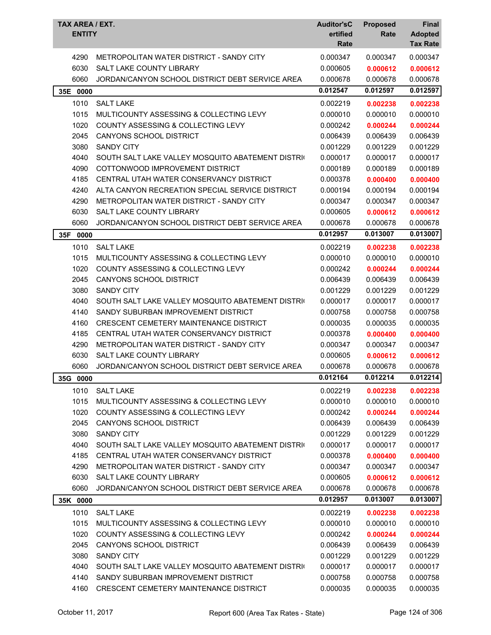| 4290<br>0.000347<br>0.000347<br>METROPOLITAN WATER DISTRICT - SANDY CITY<br>0.000347<br>6030<br>SALT LAKE COUNTY LIBRARY<br>0.000605<br>0.000612<br>0.000612<br>6060<br>JORDAN/CANYON SCHOOL DISTRICT DEBT SERVICE AREA<br>0.000678<br>0.000678<br>0.000678<br>0.012547<br>0.012597<br>0.012597<br>35E 0000<br>1010<br><b>SALT LAKE</b><br>0.002219<br>0.002238<br>0.002238<br>1015<br>MULTICOUNTY ASSESSING & COLLECTING LEVY<br>0.000010<br>0.000010<br>0.000010<br>1020<br>COUNTY ASSESSING & COLLECTING LEVY<br>0.000242<br>0.000244<br>0.000244<br>2045<br>CANYONS SCHOOL DISTRICT<br>0.006439<br>0.006439<br>0.006439<br>3080<br><b>SANDY CITY</b><br>0.001229<br>0.001229<br>0.001229<br>4040<br>0.000017<br>SOUTH SALT LAKE VALLEY MOSQUITO ABATEMENT DISTRIC<br>0.000017<br>0.000017<br>4090<br>COTTONWOOD IMPROVEMENT DISTRICT<br>0.000189<br>0.000189<br>0.000189<br>4185<br>CENTRAL UTAH WATER CONSERVANCY DISTRICT<br>0.000378<br>0.000400<br>0.000400<br>4240<br>ALTA CANYON RECREATION SPECIAL SERVICE DISTRICT<br>0.000194<br>0.000194<br>0.000194<br>4290<br>METROPOLITAN WATER DISTRICT - SANDY CITY<br>0.000347<br>0.000347<br>0.000347<br>6030<br>SALT LAKE COUNTY LIBRARY<br>0.000605<br>0.000612<br>0.000612<br>6060<br>JORDAN/CANYON SCHOOL DISTRICT DEBT SERVICE AREA<br>0.000678<br>0.000678<br>0.000678<br>0.013007<br>0.013007<br>0.012957<br>35F<br>0000<br>1010<br>0.002219<br><b>SALT LAKE</b><br>0.002238<br>0.002238<br>0.000010<br>1015<br>MULTICOUNTY ASSESSING & COLLECTING LEVY<br>0.000010<br>0.000010<br>1020<br>COUNTY ASSESSING & COLLECTING LEVY<br>0.000242<br>0.000244<br>0.000244<br>2045<br>CANYONS SCHOOL DISTRICT<br>0.006439<br>0.006439<br>0.006439<br>3080<br><b>SANDY CITY</b><br>0.001229<br>0.001229<br>0.001229<br>4040<br>0.000017<br>SOUTH SALT LAKE VALLEY MOSQUITO ABATEMENT DISTRIC<br>0.000017<br>0.000017<br>4140<br>SANDY SUBURBAN IMPROVEMENT DISTRICT<br>0.000758<br>0.000758<br>0.000758<br>4160<br>CRESCENT CEMETERY MAINTENANCE DISTRICT<br>0.000035<br>0.000035<br>0.000035 |
|-------------------------------------------------------------------------------------------------------------------------------------------------------------------------------------------------------------------------------------------------------------------------------------------------------------------------------------------------------------------------------------------------------------------------------------------------------------------------------------------------------------------------------------------------------------------------------------------------------------------------------------------------------------------------------------------------------------------------------------------------------------------------------------------------------------------------------------------------------------------------------------------------------------------------------------------------------------------------------------------------------------------------------------------------------------------------------------------------------------------------------------------------------------------------------------------------------------------------------------------------------------------------------------------------------------------------------------------------------------------------------------------------------------------------------------------------------------------------------------------------------------------------------------------------------------------------------------------------------------------------------------------------------------------------------------------------------------------------------------------------------------------------------------------------------------------------------------------------------------------------------------------------------------------------------------------------------------------------------------------------------------------------------------------------|
|                                                                                                                                                                                                                                                                                                                                                                                                                                                                                                                                                                                                                                                                                                                                                                                                                                                                                                                                                                                                                                                                                                                                                                                                                                                                                                                                                                                                                                                                                                                                                                                                                                                                                                                                                                                                                                                                                                                                                                                                                                                 |
|                                                                                                                                                                                                                                                                                                                                                                                                                                                                                                                                                                                                                                                                                                                                                                                                                                                                                                                                                                                                                                                                                                                                                                                                                                                                                                                                                                                                                                                                                                                                                                                                                                                                                                                                                                                                                                                                                                                                                                                                                                                 |
|                                                                                                                                                                                                                                                                                                                                                                                                                                                                                                                                                                                                                                                                                                                                                                                                                                                                                                                                                                                                                                                                                                                                                                                                                                                                                                                                                                                                                                                                                                                                                                                                                                                                                                                                                                                                                                                                                                                                                                                                                                                 |
|                                                                                                                                                                                                                                                                                                                                                                                                                                                                                                                                                                                                                                                                                                                                                                                                                                                                                                                                                                                                                                                                                                                                                                                                                                                                                                                                                                                                                                                                                                                                                                                                                                                                                                                                                                                                                                                                                                                                                                                                                                                 |
|                                                                                                                                                                                                                                                                                                                                                                                                                                                                                                                                                                                                                                                                                                                                                                                                                                                                                                                                                                                                                                                                                                                                                                                                                                                                                                                                                                                                                                                                                                                                                                                                                                                                                                                                                                                                                                                                                                                                                                                                                                                 |
|                                                                                                                                                                                                                                                                                                                                                                                                                                                                                                                                                                                                                                                                                                                                                                                                                                                                                                                                                                                                                                                                                                                                                                                                                                                                                                                                                                                                                                                                                                                                                                                                                                                                                                                                                                                                                                                                                                                                                                                                                                                 |
|                                                                                                                                                                                                                                                                                                                                                                                                                                                                                                                                                                                                                                                                                                                                                                                                                                                                                                                                                                                                                                                                                                                                                                                                                                                                                                                                                                                                                                                                                                                                                                                                                                                                                                                                                                                                                                                                                                                                                                                                                                                 |
|                                                                                                                                                                                                                                                                                                                                                                                                                                                                                                                                                                                                                                                                                                                                                                                                                                                                                                                                                                                                                                                                                                                                                                                                                                                                                                                                                                                                                                                                                                                                                                                                                                                                                                                                                                                                                                                                                                                                                                                                                                                 |
|                                                                                                                                                                                                                                                                                                                                                                                                                                                                                                                                                                                                                                                                                                                                                                                                                                                                                                                                                                                                                                                                                                                                                                                                                                                                                                                                                                                                                                                                                                                                                                                                                                                                                                                                                                                                                                                                                                                                                                                                                                                 |
|                                                                                                                                                                                                                                                                                                                                                                                                                                                                                                                                                                                                                                                                                                                                                                                                                                                                                                                                                                                                                                                                                                                                                                                                                                                                                                                                                                                                                                                                                                                                                                                                                                                                                                                                                                                                                                                                                                                                                                                                                                                 |
|                                                                                                                                                                                                                                                                                                                                                                                                                                                                                                                                                                                                                                                                                                                                                                                                                                                                                                                                                                                                                                                                                                                                                                                                                                                                                                                                                                                                                                                                                                                                                                                                                                                                                                                                                                                                                                                                                                                                                                                                                                                 |
|                                                                                                                                                                                                                                                                                                                                                                                                                                                                                                                                                                                                                                                                                                                                                                                                                                                                                                                                                                                                                                                                                                                                                                                                                                                                                                                                                                                                                                                                                                                                                                                                                                                                                                                                                                                                                                                                                                                                                                                                                                                 |
|                                                                                                                                                                                                                                                                                                                                                                                                                                                                                                                                                                                                                                                                                                                                                                                                                                                                                                                                                                                                                                                                                                                                                                                                                                                                                                                                                                                                                                                                                                                                                                                                                                                                                                                                                                                                                                                                                                                                                                                                                                                 |
|                                                                                                                                                                                                                                                                                                                                                                                                                                                                                                                                                                                                                                                                                                                                                                                                                                                                                                                                                                                                                                                                                                                                                                                                                                                                                                                                                                                                                                                                                                                                                                                                                                                                                                                                                                                                                                                                                                                                                                                                                                                 |
|                                                                                                                                                                                                                                                                                                                                                                                                                                                                                                                                                                                                                                                                                                                                                                                                                                                                                                                                                                                                                                                                                                                                                                                                                                                                                                                                                                                                                                                                                                                                                                                                                                                                                                                                                                                                                                                                                                                                                                                                                                                 |
|                                                                                                                                                                                                                                                                                                                                                                                                                                                                                                                                                                                                                                                                                                                                                                                                                                                                                                                                                                                                                                                                                                                                                                                                                                                                                                                                                                                                                                                                                                                                                                                                                                                                                                                                                                                                                                                                                                                                                                                                                                                 |
|                                                                                                                                                                                                                                                                                                                                                                                                                                                                                                                                                                                                                                                                                                                                                                                                                                                                                                                                                                                                                                                                                                                                                                                                                                                                                                                                                                                                                                                                                                                                                                                                                                                                                                                                                                                                                                                                                                                                                                                                                                                 |
|                                                                                                                                                                                                                                                                                                                                                                                                                                                                                                                                                                                                                                                                                                                                                                                                                                                                                                                                                                                                                                                                                                                                                                                                                                                                                                                                                                                                                                                                                                                                                                                                                                                                                                                                                                                                                                                                                                                                                                                                                                                 |
|                                                                                                                                                                                                                                                                                                                                                                                                                                                                                                                                                                                                                                                                                                                                                                                                                                                                                                                                                                                                                                                                                                                                                                                                                                                                                                                                                                                                                                                                                                                                                                                                                                                                                                                                                                                                                                                                                                                                                                                                                                                 |
|                                                                                                                                                                                                                                                                                                                                                                                                                                                                                                                                                                                                                                                                                                                                                                                                                                                                                                                                                                                                                                                                                                                                                                                                                                                                                                                                                                                                                                                                                                                                                                                                                                                                                                                                                                                                                                                                                                                                                                                                                                                 |
|                                                                                                                                                                                                                                                                                                                                                                                                                                                                                                                                                                                                                                                                                                                                                                                                                                                                                                                                                                                                                                                                                                                                                                                                                                                                                                                                                                                                                                                                                                                                                                                                                                                                                                                                                                                                                                                                                                                                                                                                                                                 |
|                                                                                                                                                                                                                                                                                                                                                                                                                                                                                                                                                                                                                                                                                                                                                                                                                                                                                                                                                                                                                                                                                                                                                                                                                                                                                                                                                                                                                                                                                                                                                                                                                                                                                                                                                                                                                                                                                                                                                                                                                                                 |
|                                                                                                                                                                                                                                                                                                                                                                                                                                                                                                                                                                                                                                                                                                                                                                                                                                                                                                                                                                                                                                                                                                                                                                                                                                                                                                                                                                                                                                                                                                                                                                                                                                                                                                                                                                                                                                                                                                                                                                                                                                                 |
|                                                                                                                                                                                                                                                                                                                                                                                                                                                                                                                                                                                                                                                                                                                                                                                                                                                                                                                                                                                                                                                                                                                                                                                                                                                                                                                                                                                                                                                                                                                                                                                                                                                                                                                                                                                                                                                                                                                                                                                                                                                 |
|                                                                                                                                                                                                                                                                                                                                                                                                                                                                                                                                                                                                                                                                                                                                                                                                                                                                                                                                                                                                                                                                                                                                                                                                                                                                                                                                                                                                                                                                                                                                                                                                                                                                                                                                                                                                                                                                                                                                                                                                                                                 |
| 4185<br>CENTRAL UTAH WATER CONSERVANCY DISTRICT<br>0.000378<br>0.000400<br>0.000400                                                                                                                                                                                                                                                                                                                                                                                                                                                                                                                                                                                                                                                                                                                                                                                                                                                                                                                                                                                                                                                                                                                                                                                                                                                                                                                                                                                                                                                                                                                                                                                                                                                                                                                                                                                                                                                                                                                                                             |
| 4290<br>METROPOLITAN WATER DISTRICT - SANDY CITY<br>0.000347<br>0.000347<br>0.000347                                                                                                                                                                                                                                                                                                                                                                                                                                                                                                                                                                                                                                                                                                                                                                                                                                                                                                                                                                                                                                                                                                                                                                                                                                                                                                                                                                                                                                                                                                                                                                                                                                                                                                                                                                                                                                                                                                                                                            |
| 6030<br>SALT LAKE COUNTY LIBRARY<br>0.000605<br>0.000612<br>0.000612                                                                                                                                                                                                                                                                                                                                                                                                                                                                                                                                                                                                                                                                                                                                                                                                                                                                                                                                                                                                                                                                                                                                                                                                                                                                                                                                                                                                                                                                                                                                                                                                                                                                                                                                                                                                                                                                                                                                                                            |
| 6060<br>JORDAN/CANYON SCHOOL DISTRICT DEBT SERVICE AREA<br>0.000678<br>0.000678<br>0.000678                                                                                                                                                                                                                                                                                                                                                                                                                                                                                                                                                                                                                                                                                                                                                                                                                                                                                                                                                                                                                                                                                                                                                                                                                                                                                                                                                                                                                                                                                                                                                                                                                                                                                                                                                                                                                                                                                                                                                     |
| 0.012214<br>0.012164<br>0.012214<br>35G 0000                                                                                                                                                                                                                                                                                                                                                                                                                                                                                                                                                                                                                                                                                                                                                                                                                                                                                                                                                                                                                                                                                                                                                                                                                                                                                                                                                                                                                                                                                                                                                                                                                                                                                                                                                                                                                                                                                                                                                                                                    |
| 1010<br><b>SALT LAKE</b><br>0.002219<br>0.002238<br>0.002238                                                                                                                                                                                                                                                                                                                                                                                                                                                                                                                                                                                                                                                                                                                                                                                                                                                                                                                                                                                                                                                                                                                                                                                                                                                                                                                                                                                                                                                                                                                                                                                                                                                                                                                                                                                                                                                                                                                                                                                    |
| 1015<br>MULTICOUNTY ASSESSING & COLLECTING LEVY<br>0.000010<br>0.000010<br>0.000010                                                                                                                                                                                                                                                                                                                                                                                                                                                                                                                                                                                                                                                                                                                                                                                                                                                                                                                                                                                                                                                                                                                                                                                                                                                                                                                                                                                                                                                                                                                                                                                                                                                                                                                                                                                                                                                                                                                                                             |
| 1020<br>COUNTY ASSESSING & COLLECTING LEVY<br>0.000242<br>0.000244<br>0.000244                                                                                                                                                                                                                                                                                                                                                                                                                                                                                                                                                                                                                                                                                                                                                                                                                                                                                                                                                                                                                                                                                                                                                                                                                                                                                                                                                                                                                                                                                                                                                                                                                                                                                                                                                                                                                                                                                                                                                                  |
| 2045<br><b>CANYONS SCHOOL DISTRICT</b><br>0.006439<br>0.006439<br>0.006439                                                                                                                                                                                                                                                                                                                                                                                                                                                                                                                                                                                                                                                                                                                                                                                                                                                                                                                                                                                                                                                                                                                                                                                                                                                                                                                                                                                                                                                                                                                                                                                                                                                                                                                                                                                                                                                                                                                                                                      |
| 3080<br><b>SANDY CITY</b><br>0.001229<br>0.001229<br>0.001229                                                                                                                                                                                                                                                                                                                                                                                                                                                                                                                                                                                                                                                                                                                                                                                                                                                                                                                                                                                                                                                                                                                                                                                                                                                                                                                                                                                                                                                                                                                                                                                                                                                                                                                                                                                                                                                                                                                                                                                   |
| 4040<br>SOUTH SALT LAKE VALLEY MOSQUITO ABATEMENT DISTRIC<br>0.000017<br>0.000017<br>0.000017                                                                                                                                                                                                                                                                                                                                                                                                                                                                                                                                                                                                                                                                                                                                                                                                                                                                                                                                                                                                                                                                                                                                                                                                                                                                                                                                                                                                                                                                                                                                                                                                                                                                                                                                                                                                                                                                                                                                                   |
| 4185<br>CENTRAL UTAH WATER CONSERVANCY DISTRICT<br>0.000378<br>0.000400<br>0.000400                                                                                                                                                                                                                                                                                                                                                                                                                                                                                                                                                                                                                                                                                                                                                                                                                                                                                                                                                                                                                                                                                                                                                                                                                                                                                                                                                                                                                                                                                                                                                                                                                                                                                                                                                                                                                                                                                                                                                             |
| 4290<br>METROPOLITAN WATER DISTRICT - SANDY CITY<br>0.000347<br>0.000347<br>0.000347                                                                                                                                                                                                                                                                                                                                                                                                                                                                                                                                                                                                                                                                                                                                                                                                                                                                                                                                                                                                                                                                                                                                                                                                                                                                                                                                                                                                                                                                                                                                                                                                                                                                                                                                                                                                                                                                                                                                                            |
| SALT LAKE COUNTY LIBRARY<br>6030<br>0.000605<br>0.000612<br>0.000612                                                                                                                                                                                                                                                                                                                                                                                                                                                                                                                                                                                                                                                                                                                                                                                                                                                                                                                                                                                                                                                                                                                                                                                                                                                                                                                                                                                                                                                                                                                                                                                                                                                                                                                                                                                                                                                                                                                                                                            |
| 6060<br>JORDAN/CANYON SCHOOL DISTRICT DEBT SERVICE AREA<br>0.000678<br>0.000678<br>0.000678                                                                                                                                                                                                                                                                                                                                                                                                                                                                                                                                                                                                                                                                                                                                                                                                                                                                                                                                                                                                                                                                                                                                                                                                                                                                                                                                                                                                                                                                                                                                                                                                                                                                                                                                                                                                                                                                                                                                                     |
| 0.012957<br>0.013007<br>0.013007<br>35K 0000                                                                                                                                                                                                                                                                                                                                                                                                                                                                                                                                                                                                                                                                                                                                                                                                                                                                                                                                                                                                                                                                                                                                                                                                                                                                                                                                                                                                                                                                                                                                                                                                                                                                                                                                                                                                                                                                                                                                                                                                    |
| 1010<br><b>SALT LAKE</b><br>0.002219                                                                                                                                                                                                                                                                                                                                                                                                                                                                                                                                                                                                                                                                                                                                                                                                                                                                                                                                                                                                                                                                                                                                                                                                                                                                                                                                                                                                                                                                                                                                                                                                                                                                                                                                                                                                                                                                                                                                                                                                            |
| 0.002238<br>0.002238<br>1015<br>MULTICOUNTY ASSESSING & COLLECTING LEVY<br>0.000010<br>0.000010<br>0.000010                                                                                                                                                                                                                                                                                                                                                                                                                                                                                                                                                                                                                                                                                                                                                                                                                                                                                                                                                                                                                                                                                                                                                                                                                                                                                                                                                                                                                                                                                                                                                                                                                                                                                                                                                                                                                                                                                                                                     |
| COUNTY ASSESSING & COLLECTING LEVY<br>1020<br>0.000242<br>0.000244<br>0.000244                                                                                                                                                                                                                                                                                                                                                                                                                                                                                                                                                                                                                                                                                                                                                                                                                                                                                                                                                                                                                                                                                                                                                                                                                                                                                                                                                                                                                                                                                                                                                                                                                                                                                                                                                                                                                                                                                                                                                                  |
| 2045<br>CANYONS SCHOOL DISTRICT<br>0.006439<br>0.006439<br>0.006439                                                                                                                                                                                                                                                                                                                                                                                                                                                                                                                                                                                                                                                                                                                                                                                                                                                                                                                                                                                                                                                                                                                                                                                                                                                                                                                                                                                                                                                                                                                                                                                                                                                                                                                                                                                                                                                                                                                                                                             |
| 3080<br><b>SANDY CITY</b><br>0.001229<br>0.001229<br>0.001229                                                                                                                                                                                                                                                                                                                                                                                                                                                                                                                                                                                                                                                                                                                                                                                                                                                                                                                                                                                                                                                                                                                                                                                                                                                                                                                                                                                                                                                                                                                                                                                                                                                                                                                                                                                                                                                                                                                                                                                   |
| 4040<br>SOUTH SALT LAKE VALLEY MOSQUITO ABATEMENT DISTRIC<br>0.000017<br>0.000017<br>0.000017                                                                                                                                                                                                                                                                                                                                                                                                                                                                                                                                                                                                                                                                                                                                                                                                                                                                                                                                                                                                                                                                                                                                                                                                                                                                                                                                                                                                                                                                                                                                                                                                                                                                                                                                                                                                                                                                                                                                                   |
| 4140<br>SANDY SUBURBAN IMPROVEMENT DISTRICT<br>0.000758<br>0.000758<br>0.000758                                                                                                                                                                                                                                                                                                                                                                                                                                                                                                                                                                                                                                                                                                                                                                                                                                                                                                                                                                                                                                                                                                                                                                                                                                                                                                                                                                                                                                                                                                                                                                                                                                                                                                                                                                                                                                                                                                                                                                 |
|                                                                                                                                                                                                                                                                                                                                                                                                                                                                                                                                                                                                                                                                                                                                                                                                                                                                                                                                                                                                                                                                                                                                                                                                                                                                                                                                                                                                                                                                                                                                                                                                                                                                                                                                                                                                                                                                                                                                                                                                                                                 |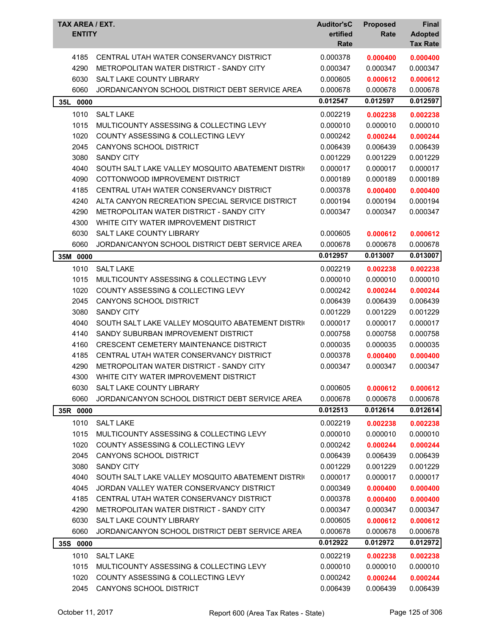| TAX AREA / EXT.<br><b>ENTITY</b> |                                                   | <b>Auditor'sC</b><br>ertified<br>Rate | <b>Proposed</b><br>Rate | <b>Final</b><br><b>Adopted</b><br><b>Tax Rate</b> |
|----------------------------------|---------------------------------------------------|---------------------------------------|-------------------------|---------------------------------------------------|
| 4185                             | CENTRAL UTAH WATER CONSERVANCY DISTRICT           | 0.000378                              | 0.000400                | 0.000400                                          |
| 4290                             | METROPOLITAN WATER DISTRICT - SANDY CITY          | 0.000347                              | 0.000347                | 0.000347                                          |
| 6030                             | SALT LAKE COUNTY LIBRARY                          | 0.000605                              | 0.000612                | 0.000612                                          |
| 6060                             | JORDAN/CANYON SCHOOL DISTRICT DEBT SERVICE AREA   | 0.000678                              | 0.000678                | 0.000678                                          |
| 35L<br>0000                      |                                                   | 0.012547                              | 0.012597                | 0.012597                                          |
| 1010                             | <b>SALT LAKE</b>                                  | 0.002219                              | 0.002238                | 0.002238                                          |
| 1015                             | MULTICOUNTY ASSESSING & COLLECTING LEVY           | 0.000010                              | 0.000010                | 0.000010                                          |
| 1020                             | <b>COUNTY ASSESSING &amp; COLLECTING LEVY</b>     | 0.000242                              | 0.000244                | 0.000244                                          |
| 2045                             | CANYONS SCHOOL DISTRICT                           | 0.006439                              | 0.006439                | 0.006439                                          |
| 3080                             | <b>SANDY CITY</b>                                 | 0.001229                              | 0.001229                | 0.001229                                          |
| 4040                             | SOUTH SALT LAKE VALLEY MOSQUITO ABATEMENT DISTRIC | 0.000017                              | 0.000017                | 0.000017                                          |
| 4090                             | COTTONWOOD IMPROVEMENT DISTRICT                   | 0.000189                              | 0.000189                | 0.000189                                          |
| 4185                             | CENTRAL UTAH WATER CONSERVANCY DISTRICT           | 0.000378                              | 0.000400                | 0.000400                                          |
| 4240                             | ALTA CANYON RECREATION SPECIAL SERVICE DISTRICT   | 0.000194                              | 0.000194                | 0.000194                                          |
| 4290                             | METROPOLITAN WATER DISTRICT - SANDY CITY          | 0.000347                              | 0.000347                | 0.000347                                          |
| 4300                             | WHITE CITY WATER IMPROVEMENT DISTRICT             |                                       |                         |                                                   |
| 6030                             | SALT LAKE COUNTY LIBRARY                          | 0.000605                              | 0.000612                | 0.000612                                          |
| 6060                             | JORDAN/CANYON SCHOOL DISTRICT DEBT SERVICE AREA   | 0.000678                              | 0.000678                | 0.000678                                          |
| 35M 0000                         |                                                   | 0.012957                              | 0.013007                | 0.013007                                          |
| 1010                             | <b>SALT LAKE</b>                                  | 0.002219                              | 0.002238                | 0.002238                                          |
| 1015                             | MULTICOUNTY ASSESSING & COLLECTING LEVY           | 0.000010                              | 0.000010                | 0.000010                                          |
| 1020                             | COUNTY ASSESSING & COLLECTING LEVY                | 0.000242                              | 0.000244                | 0.000244                                          |
| 2045                             | CANYONS SCHOOL DISTRICT                           | 0.006439                              | 0.006439                | 0.006439                                          |
| 3080                             | <b>SANDY CITY</b>                                 | 0.001229                              | 0.001229                | 0.001229                                          |
| 4040                             | SOUTH SALT LAKE VALLEY MOSQUITO ABATEMENT DISTRIC | 0.000017                              | 0.000017                | 0.000017                                          |
| 4140                             | SANDY SUBURBAN IMPROVEMENT DISTRICT               | 0.000758                              | 0.000758                | 0.000758                                          |
| 4160                             | CRESCENT CEMETERY MAINTENANCE DISTRICT            | 0.000035                              | 0.000035                | 0.000035                                          |
| 4185                             | CENTRAL UTAH WATER CONSERVANCY DISTRICT           | 0.000378                              | 0.000400                | 0.000400                                          |
| 4290                             | METROPOLITAN WATER DISTRICT - SANDY CITY          | 0.000347                              | 0.000347                | 0.000347                                          |
| 4300                             | WHITE CITY WATER IMPROVEMENT DISTRICT             |                                       |                         |                                                   |
| 6030                             | SALT LAKE COUNTY LIBRARY                          | 0.000605                              | 0.000612                | 0.000612                                          |
| 6060                             | JORDAN/CANYON SCHOOL DISTRICT DEBT SERVICE AREA   | 0.000678                              | 0.000678                | 0.000678                                          |
| 35R 0000                         |                                                   | 0.012513                              | 0.012614                | 0.012614                                          |
| 1010                             | <b>SALT LAKE</b>                                  | 0.002219                              | 0.002238                | 0.002238                                          |
| 1015                             | MULTICOUNTY ASSESSING & COLLECTING LEVY           | 0.000010                              | 0.000010                | 0.000010                                          |
| 1020                             | COUNTY ASSESSING & COLLECTING LEVY                | 0.000242                              | 0.000244                | 0.000244                                          |
| 2045                             | CANYONS SCHOOL DISTRICT                           | 0.006439                              | 0.006439                | 0.006439                                          |
| 3080                             | <b>SANDY CITY</b>                                 | 0.001229                              | 0.001229                | 0.001229                                          |
| 4040                             | SOUTH SALT LAKE VALLEY MOSQUITO ABATEMENT DISTRIC | 0.000017                              | 0.000017                | 0.000017                                          |
| 4045                             | JORDAN VALLEY WATER CONSERVANCY DISTRICT          | 0.000349                              | 0.000400                | 0.000400                                          |
| 4185                             | CENTRAL UTAH WATER CONSERVANCY DISTRICT           | 0.000378                              | 0.000400                | 0.000400                                          |
| 4290                             | METROPOLITAN WATER DISTRICT - SANDY CITY          | 0.000347                              | 0.000347                | 0.000347                                          |
| 6030                             | SALT LAKE COUNTY LIBRARY                          | 0.000605                              | 0.000612                | 0.000612                                          |
| 6060                             | JORDAN/CANYON SCHOOL DISTRICT DEBT SERVICE AREA   | 0.000678                              | 0.000678                | 0.000678                                          |
| 35S 0000                         |                                                   | 0.012922                              | 0.012972                | 0.012972                                          |
| 1010                             | <b>SALT LAKE</b>                                  | 0.002219                              | 0.002238                | 0.002238                                          |
| 1015                             | MULTICOUNTY ASSESSING & COLLECTING LEVY           | 0.000010                              | 0.000010                | 0.000010                                          |
| 1020                             | COUNTY ASSESSING & COLLECTING LEVY                | 0.000242                              | 0.000244                | 0.000244                                          |
| 2045                             | CANYONS SCHOOL DISTRICT                           | 0.006439                              | 0.006439                | 0.006439                                          |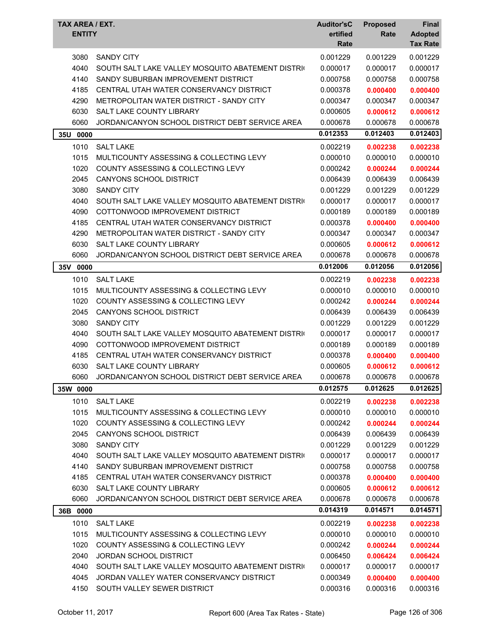| TAX AREA / EXT.<br><b>ENTITY</b> |                                                             | <b>Auditor'sC</b><br>ertified<br>Rate | <b>Proposed</b><br>Rate | Final<br><b>Adopted</b><br><b>Tax Rate</b> |
|----------------------------------|-------------------------------------------------------------|---------------------------------------|-------------------------|--------------------------------------------|
| 3080                             | <b>SANDY CITY</b>                                           | 0.001229                              | 0.001229                | 0.001229                                   |
| 4040                             | SOUTH SALT LAKE VALLEY MOSQUITO ABATEMENT DISTRIC           | 0.000017                              | 0.000017                | 0.000017                                   |
| 4140                             | SANDY SUBURBAN IMPROVEMENT DISTRICT                         | 0.000758                              | 0.000758                | 0.000758                                   |
| 4185                             | CENTRAL UTAH WATER CONSERVANCY DISTRICT                     | 0.000378                              | 0.000400                | 0.000400                                   |
| 4290                             | METROPOLITAN WATER DISTRICT - SANDY CITY                    | 0.000347                              | 0.000347                | 0.000347                                   |
| 6030                             | SALT LAKE COUNTY LIBRARY                                    | 0.000605                              | 0.000612                | 0.000612                                   |
| 6060                             | JORDAN/CANYON SCHOOL DISTRICT DEBT SERVICE AREA             | 0.000678                              | 0.000678                | 0.000678                                   |
| 35U 0000                         |                                                             | 0.012353                              | 0.012403                | 0.012403                                   |
| 1010                             | <b>SALT LAKE</b>                                            | 0.002219                              | 0.002238                | 0.002238                                   |
| 1015                             | MULTICOUNTY ASSESSING & COLLECTING LEVY                     | 0.000010                              | 0.000010                | 0.000010                                   |
| 1020                             | COUNTY ASSESSING & COLLECTING LEVY                          | 0.000242                              | 0.000244                | 0.000244                                   |
| 2045                             | CANYONS SCHOOL DISTRICT                                     | 0.006439                              | 0.006439                | 0.006439                                   |
| 3080                             | <b>SANDY CITY</b>                                           | 0.001229                              | 0.001229                | 0.001229                                   |
| 4040                             | SOUTH SALT LAKE VALLEY MOSQUITO ABATEMENT DISTRIC           | 0.000017                              | 0.000017                | 0.000017                                   |
| 4090                             | COTTONWOOD IMPROVEMENT DISTRICT                             | 0.000189                              | 0.000189                | 0.000189                                   |
| 4185                             | CENTRAL UTAH WATER CONSERVANCY DISTRICT                     | 0.000378                              | 0.000400                | 0.000400                                   |
| 4290                             | METROPOLITAN WATER DISTRICT - SANDY CITY                    | 0.000347                              | 0.000347                | 0.000347                                   |
| 6030                             | <b>SALT LAKE COUNTY LIBRARY</b>                             | 0.000605                              | 0.000612                | 0.000612                                   |
| 6060                             | JORDAN/CANYON SCHOOL DISTRICT DEBT SERVICE AREA             | 0.000678                              | 0.000678                | 0.000678                                   |
| 35V 0000                         |                                                             | 0.012006                              | 0.012056                | 0.012056                                   |
| 1010                             | <b>SALT LAKE</b>                                            | 0.002219                              | 0.002238                | 0.002238                                   |
| 1015                             | MULTICOUNTY ASSESSING & COLLECTING LEVY                     | 0.000010                              | 0.000010                | 0.000010                                   |
| 1020                             | COUNTY ASSESSING & COLLECTING LEVY                          | 0.000242                              | 0.000244                | 0.000244                                   |
| 2045                             | <b>CANYONS SCHOOL DISTRICT</b>                              | 0.006439                              | 0.006439                | 0.006439                                   |
| 3080                             | <b>SANDY CITY</b>                                           | 0.001229                              | 0.001229                | 0.001229                                   |
| 4040                             | SOUTH SALT LAKE VALLEY MOSQUITO ABATEMENT DISTRIC           | 0.000017                              | 0.000017                | 0.000017                                   |
| 4090                             | COTTONWOOD IMPROVEMENT DISTRICT                             | 0.000189                              | 0.000189                | 0.000189                                   |
| 4185                             | CENTRAL UTAH WATER CONSERVANCY DISTRICT                     | 0.000378                              | 0.000400                | 0.000400                                   |
| 6030                             | SALT LAKE COUNTY LIBRARY                                    | 0.000605                              | 0.000612                | 0.000612                                   |
| 6060                             | JORDAN/CANYON SCHOOL DISTRICT DEBT SERVICE AREA             | 0.000678                              | 0.000678                | 0.000678                                   |
| 35W 0000                         |                                                             | 0.012575                              | 0.012625                | 0.012625                                   |
| 1010                             | <b>SALT LAKE</b>                                            | 0.002219                              | 0.002238                | 0.002238                                   |
| 1015                             | MULTICOUNTY ASSESSING & COLLECTING LEVY                     | 0.000010                              | 0.000010                | 0.000010                                   |
| 1020                             | COUNTY ASSESSING & COLLECTING LEVY                          | 0.000242                              | 0.000244                | 0.000244                                   |
| 2045                             | CANYONS SCHOOL DISTRICT                                     | 0.006439                              | 0.006439                | 0.006439                                   |
| 3080                             | <b>SANDY CITY</b>                                           | 0.001229                              | 0.001229                | 0.001229                                   |
| 4040                             | SOUTH SALT LAKE VALLEY MOSQUITO ABATEMENT DISTRIC           | 0.000017                              | 0.000017                | 0.000017                                   |
| 4140                             | SANDY SUBURBAN IMPROVEMENT DISTRICT                         | 0.000758                              | 0.000758                | 0.000758                                   |
| 4185                             | CENTRAL UTAH WATER CONSERVANCY DISTRICT                     | 0.000378                              | 0.000400                | 0.000400                                   |
| 6030                             | SALT LAKE COUNTY LIBRARY                                    | 0.000605                              | 0.000612                | 0.000612                                   |
| 6060                             | JORDAN/CANYON SCHOOL DISTRICT DEBT SERVICE AREA             | 0.000678                              | 0.000678                | 0.000678                                   |
| 36B 0000                         |                                                             | 0.014319                              | 0.014571                | 0.014571                                   |
|                                  |                                                             |                                       |                         |                                            |
| 1010<br>1015                     | <b>SALT LAKE</b><br>MULTICOUNTY ASSESSING & COLLECTING LEVY | 0.002219                              | 0.002238                | 0.002238                                   |
| 1020                             | COUNTY ASSESSING & COLLECTING LEVY                          | 0.000010<br>0.000242                  | 0.000010                | 0.000010                                   |
| 2040                             | <b>JORDAN SCHOOL DISTRICT</b>                               | 0.006450                              | 0.000244<br>0.006424    | 0.000244<br>0.006424                       |
| 4040                             | SOUTH SALT LAKE VALLEY MOSQUITO ABATEMENT DISTRIC           | 0.000017                              | 0.000017                |                                            |
| 4045                             | JORDAN VALLEY WATER CONSERVANCY DISTRICT                    | 0.000349                              | 0.000400                | 0.000017<br>0.000400                       |
| 4150                             | SOUTH VALLEY SEWER DISTRICT                                 | 0.000316                              | 0.000316                | 0.000316                                   |
|                                  |                                                             |                                       |                         |                                            |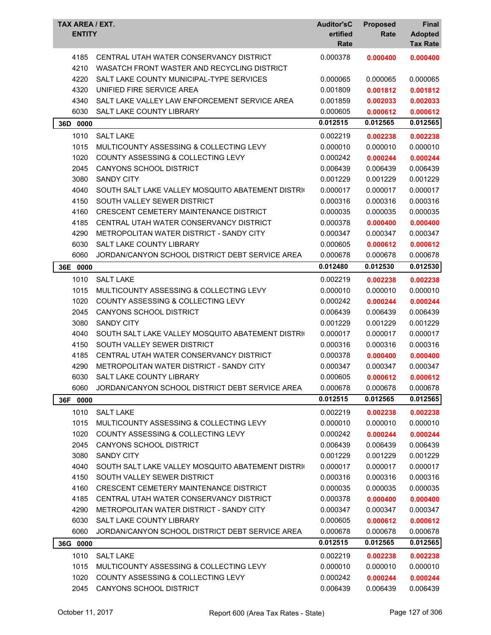| TAX AREA / EXT.<br><b>ENTITY</b> |                                                                                        | <b>Auditor'sC</b><br>ertified<br>Rate | <b>Proposed</b><br>Rate | <b>Final</b><br><b>Adopted</b><br><b>Tax Rate</b> |
|----------------------------------|----------------------------------------------------------------------------------------|---------------------------------------|-------------------------|---------------------------------------------------|
| 4185<br>4210                     | CENTRAL UTAH WATER CONSERVANCY DISTRICT<br>WASATCH FRONT WASTER AND RECYCLING DISTRICT | 0.000378                              | 0.000400                | 0.000400                                          |
| 4220                             | SALT LAKE COUNTY MUNICIPAL-TYPE SERVICES                                               | 0.000065                              | 0.000065                | 0.000065                                          |
| 4320                             | UNIFIED FIRE SERVICE AREA                                                              | 0.001809                              | 0.001812                | 0.001812                                          |
| 4340                             | SALT LAKE VALLEY LAW ENFORCEMENT SERVICE AREA                                          | 0.001859                              | 0.002033                | 0.002033                                          |
| 6030                             | SALT LAKE COUNTY LIBRARY                                                               | 0.000605                              | 0.000612                | 0.000612                                          |
| 36D<br>0000                      |                                                                                        | 0.012515                              | 0.012565                | 0.012565                                          |
| 1010                             | <b>SALT LAKE</b>                                                                       | 0.002219                              | 0.002238                | 0.002238                                          |
| 1015                             | MULTICOUNTY ASSESSING & COLLECTING LEVY                                                | 0.000010                              | 0.000010                | 0.000010                                          |
| 1020                             | <b>COUNTY ASSESSING &amp; COLLECTING LEVY</b>                                          | 0.000242                              | 0.000244                | 0.000244                                          |
| 2045                             | <b>CANYONS SCHOOL DISTRICT</b>                                                         | 0.006439                              | 0.006439                | 0.006439                                          |
| 3080                             | <b>SANDY CITY</b>                                                                      | 0.001229                              | 0.001229                | 0.001229                                          |
| 4040                             | SOUTH SALT LAKE VALLEY MOSQUITO ABATEMENT DISTRIC                                      | 0.000017                              | 0.000017                | 0.000017                                          |
| 4150                             | SOUTH VALLEY SEWER DISTRICT                                                            | 0.000316                              | 0.000316                | 0.000316                                          |
| 4160                             | CRESCENT CEMETERY MAINTENANCE DISTRICT                                                 | 0.000035                              | 0.000035                | 0.000035                                          |
| 4185                             | CENTRAL UTAH WATER CONSERVANCY DISTRICT                                                | 0.000378                              | 0.000400                | 0.000400                                          |
| 4290                             | METROPOLITAN WATER DISTRICT - SANDY CITY                                               | 0.000347                              | 0.000347                | 0.000347                                          |
| 6030                             | <b>SALT LAKE COUNTY LIBRARY</b>                                                        | 0.000605                              | 0.000612                | 0.000612                                          |
| 6060                             | JORDAN/CANYON SCHOOL DISTRICT DEBT SERVICE AREA                                        | 0.000678                              | 0.000678                | 0.000678                                          |
| 36E 0000                         |                                                                                        | 0.012480                              | 0.012530                | 0.012530                                          |
| 1010                             | <b>SALT LAKE</b>                                                                       | 0.002219                              | 0.002238                | 0.002238                                          |
| 1015                             | MULTICOUNTY ASSESSING & COLLECTING LEVY                                                | 0.000010                              | 0.000010                | 0.000010                                          |
| 1020                             | COUNTY ASSESSING & COLLECTING LEVY                                                     | 0.000242                              | 0.000244                | 0.000244                                          |
| 2045                             | CANYONS SCHOOL DISTRICT                                                                | 0.006439                              | 0.006439                | 0.006439                                          |
| 3080                             | <b>SANDY CITY</b>                                                                      | 0.001229                              | 0.001229                | 0.001229                                          |
| 4040                             | SOUTH SALT LAKE VALLEY MOSQUITO ABATEMENT DISTRIC                                      | 0.000017                              | 0.000017                | 0.000017                                          |
| 4150                             | SOUTH VALLEY SEWER DISTRICT                                                            | 0.000316                              | 0.000316                | 0.000316                                          |
| 4185                             | CENTRAL UTAH WATER CONSERVANCY DISTRICT                                                | 0.000378                              | 0.000400                | 0.000400                                          |
| 4290                             | METROPOLITAN WATER DISTRICT - SANDY CITY                                               | 0.000347                              | 0.000347                | 0.000347                                          |
| 6030                             | SALT LAKE COUNTY LIBRARY                                                               | 0.000605                              | 0.000612                | 0.000612                                          |
| 6060                             | JORDAN/CANYON SCHOOL DISTRICT DEBT SERVICE AREA                                        | 0.000678                              | 0.000678                | 0.000678                                          |
| 36F 0000                         |                                                                                        | 0.012515                              | 0.012565                | 0.012565                                          |
| 1010                             | <b>SALT LAKE</b>                                                                       | 0.002219                              | 0.002238                | 0.002238                                          |
| 1015                             | MULTICOUNTY ASSESSING & COLLECTING LEVY                                                | 0.000010                              | 0.000010                | 0.000010                                          |
| 1020                             | COUNTY ASSESSING & COLLECTING LEVY                                                     | 0.000242                              | 0.000244                | 0.000244                                          |
| 2045                             | CANYONS SCHOOL DISTRICT                                                                | 0.006439                              | 0.006439                | 0.006439                                          |
| 3080                             | <b>SANDY CITY</b>                                                                      | 0.001229                              | 0.001229                | 0.001229                                          |
| 4040                             | SOUTH SALT LAKE VALLEY MOSQUITO ABATEMENT DISTRIC                                      | 0.000017                              | 0.000017                | 0.000017                                          |
| 4150                             | SOUTH VALLEY SEWER DISTRICT                                                            | 0.000316                              | 0.000316                | 0.000316                                          |
| 4160                             | CRESCENT CEMETERY MAINTENANCE DISTRICT                                                 | 0.000035                              | 0.000035                | 0.000035                                          |
| 4185                             | CENTRAL UTAH WATER CONSERVANCY DISTRICT                                                | 0.000378                              | 0.000400                | 0.000400                                          |
| 4290                             | METROPOLITAN WATER DISTRICT - SANDY CITY                                               | 0.000347                              | 0.000347                | 0.000347                                          |
| 6030                             | SALT LAKE COUNTY LIBRARY                                                               | 0.000605                              | 0.000612                | 0.000612                                          |
| 6060                             | JORDAN/CANYON SCHOOL DISTRICT DEBT SERVICE AREA                                        | 0.000678                              | 0.000678                | 0.000678                                          |
| 36G 0000                         |                                                                                        | 0.012515                              | 0.012565                | 0.012565                                          |
|                                  |                                                                                        |                                       |                         |                                                   |
| 1010                             | <b>SALT LAKE</b>                                                                       | 0.002219                              | 0.002238                | 0.002238                                          |
| 1015                             | MULTICOUNTY ASSESSING & COLLECTING LEVY                                                | 0.000010                              | 0.000010                | 0.000010                                          |
| 1020<br>2045                     | COUNTY ASSESSING & COLLECTING LEVY                                                     | 0.000242                              | 0.000244                | 0.000244                                          |
|                                  | CANYONS SCHOOL DISTRICT                                                                | 0.006439                              | 0.006439                | 0.006439                                          |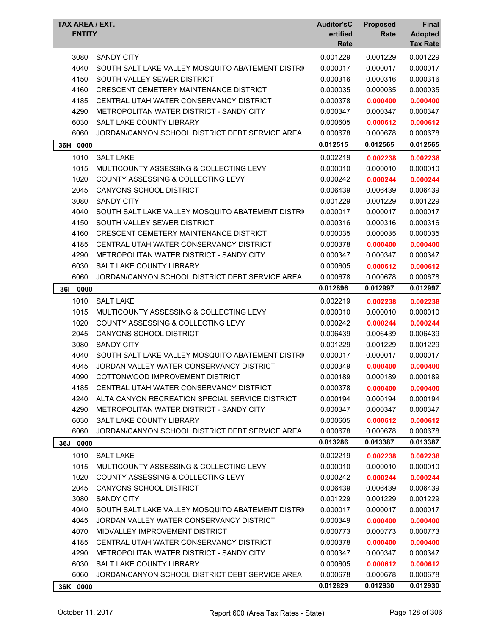| TAX AREA / EXT.<br><b>ENTITY</b> |                                                   | <b>Auditor'sC</b><br>ertified<br>Rate | <b>Proposed</b><br>Rate | Final<br><b>Adopted</b><br><b>Tax Rate</b> |
|----------------------------------|---------------------------------------------------|---------------------------------------|-------------------------|--------------------------------------------|
| 3080                             | <b>SANDY CITY</b>                                 | 0.001229                              | 0.001229                | 0.001229                                   |
| 4040                             | SOUTH SALT LAKE VALLEY MOSQUITO ABATEMENT DISTRIC | 0.000017                              | 0.000017                | 0.000017                                   |
| 4150                             | SOUTH VALLEY SEWER DISTRICT                       | 0.000316                              | 0.000316                | 0.000316                                   |
| 4160                             | <b>CRESCENT CEMETERY MAINTENANCE DISTRICT</b>     | 0.000035                              | 0.000035                | 0.000035                                   |
| 4185                             | CENTRAL UTAH WATER CONSERVANCY DISTRICT           | 0.000378                              | 0.000400                | 0.000400                                   |
| 4290                             | METROPOLITAN WATER DISTRICT - SANDY CITY          | 0.000347                              | 0.000347                | 0.000347                                   |
| 6030                             | SALT LAKE COUNTY LIBRARY                          | 0.000605                              | 0.000612                | 0.000612                                   |
| 6060                             | JORDAN/CANYON SCHOOL DISTRICT DEBT SERVICE AREA   | 0.000678                              | 0.000678                | 0.000678                                   |
| 36H 0000                         |                                                   | 0.012515                              | 0.012565                | 0.012565                                   |
| 1010                             | <b>SALT LAKE</b>                                  | 0.002219                              | 0.002238                | 0.002238                                   |
| 1015                             | MULTICOUNTY ASSESSING & COLLECTING LEVY           | 0.000010                              | 0.000010                | 0.000010                                   |
| 1020                             | <b>COUNTY ASSESSING &amp; COLLECTING LEVY</b>     | 0.000242                              | 0.000244                | 0.000244                                   |
| 2045                             | CANYONS SCHOOL DISTRICT                           | 0.006439                              | 0.006439                | 0.006439                                   |
| 3080                             | <b>SANDY CITY</b>                                 | 0.001229                              | 0.001229                | 0.001229                                   |
| 4040                             | SOUTH SALT LAKE VALLEY MOSQUITO ABATEMENT DISTRIC | 0.000017                              | 0.000017                | 0.000017                                   |
| 4150                             | SOUTH VALLEY SEWER DISTRICT                       | 0.000316                              | 0.000316                | 0.000316                                   |
| 4160                             | CRESCENT CEMETERY MAINTENANCE DISTRICT            | 0.000035                              | 0.000035                | 0.000035                                   |
| 4185                             | CENTRAL UTAH WATER CONSERVANCY DISTRICT           | 0.000378                              | 0.000400                | 0.000400                                   |
| 4290                             | METROPOLITAN WATER DISTRICT - SANDY CITY          | 0.000347                              | 0.000347                | 0.000347                                   |
| 6030                             | SALT LAKE COUNTY LIBRARY                          | 0.000605                              | 0.000612                | 0.000612                                   |
| 6060                             | JORDAN/CANYON SCHOOL DISTRICT DEBT SERVICE AREA   | 0.000678                              | 0.000678                | 0.000678                                   |
| <b>361</b><br>0000               |                                                   | 0.012896                              | 0.012997                | 0.012997                                   |
| 1010                             | <b>SALT LAKE</b>                                  | 0.002219                              | 0.002238                | 0.002238                                   |
| 1015                             | MULTICOUNTY ASSESSING & COLLECTING LEVY           | 0.000010                              | 0.000010                | 0.000010                                   |
| 1020                             | <b>COUNTY ASSESSING &amp; COLLECTING LEVY</b>     | 0.000242                              | 0.000244                | 0.000244                                   |
| 2045                             | CANYONS SCHOOL DISTRICT                           | 0.006439                              | 0.006439                | 0.006439                                   |
| 3080                             | <b>SANDY CITY</b>                                 | 0.001229                              | 0.001229                | 0.001229                                   |
| 4040                             | SOUTH SALT LAKE VALLEY MOSQUITO ABATEMENT DISTRIC | 0.000017                              | 0.000017                | 0.000017                                   |
| 4045                             | JORDAN VALLEY WATER CONSERVANCY DISTRICT          | 0.000349                              | 0.000400                | 0.000400                                   |
| 4090                             | COTTONWOOD IMPROVEMENT DISTRICT                   | 0.000189                              | 0.000189                | 0.000189                                   |
| 4185                             | CENTRAL UTAH WATER CONSERVANCY DISTRICT           | 0.000378                              | 0.000400                | 0.000400                                   |
| 4240                             | ALTA CANYON RECREATION SPECIAL SERVICE DISTRICT   | 0.000194                              | 0.000194                | 0.000194                                   |
| 4290                             | METROPOLITAN WATER DISTRICT - SANDY CITY          | 0.000347                              | 0.000347                | 0.000347                                   |
| 6030                             | <b>SALT LAKE COUNTY LIBRARY</b>                   | 0.000605                              | 0.000612                | 0.000612                                   |
| 6060                             | JORDAN/CANYON SCHOOL DISTRICT DEBT SERVICE AREA   | 0.000678                              | 0.000678                | 0.000678                                   |
| 36J 0000                         |                                                   | 0.013286                              | 0.013387                | 0.013387                                   |
| 1010                             | <b>SALT LAKE</b>                                  | 0.002219                              | 0.002238                | 0.002238                                   |
| 1015                             | MULTICOUNTY ASSESSING & COLLECTING LEVY           | 0.000010                              | 0.000010                | 0.000010                                   |
| 1020                             | COUNTY ASSESSING & COLLECTING LEVY                | 0.000242                              | 0.000244                | 0.000244                                   |
| 2045                             | CANYONS SCHOOL DISTRICT                           | 0.006439                              | 0.006439                | 0.006439                                   |
| 3080                             | <b>SANDY CITY</b>                                 | 0.001229                              | 0.001229                | 0.001229                                   |
| 4040                             | SOUTH SALT LAKE VALLEY MOSQUITO ABATEMENT DISTRIC | 0.000017                              | 0.000017                | 0.000017                                   |
| 4045                             | JORDAN VALLEY WATER CONSERVANCY DISTRICT          | 0.000349                              | 0.000400                | 0.000400                                   |
| 4070                             | MIDVALLEY IMPROVEMENT DISTRICT                    | 0.000773                              | 0.000773                | 0.000773                                   |
| 4185                             | CENTRAL UTAH WATER CONSERVANCY DISTRICT           | 0.000378                              | 0.000400                | 0.000400                                   |
| 4290                             | METROPOLITAN WATER DISTRICT - SANDY CITY          | 0.000347                              | 0.000347                | 0.000347                                   |
| 6030                             | SALT LAKE COUNTY LIBRARY                          | 0.000605                              | 0.000612                | 0.000612                                   |
| 6060                             | JORDAN/CANYON SCHOOL DISTRICT DEBT SERVICE AREA   | 0.000678                              | 0.000678                | 0.000678                                   |
| 36K 0000                         |                                                   | 0.012829                              | 0.012930                | 0.012930                                   |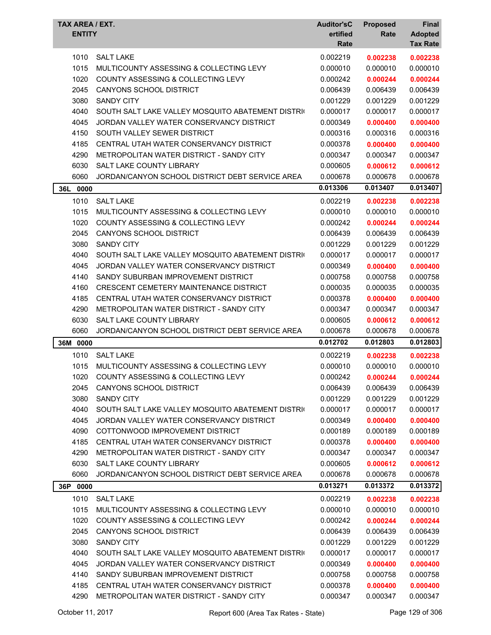| <b>TAX AREA / EXT.</b><br><b>ENTITY</b> |                                                   | <b>Auditor'sC</b><br>ertified<br>Rate | <b>Proposed</b><br>Rate | <b>Final</b><br><b>Adopted</b><br><b>Tax Rate</b> |
|-----------------------------------------|---------------------------------------------------|---------------------------------------|-------------------------|---------------------------------------------------|
| 1010                                    | <b>SALT LAKE</b>                                  | 0.002219                              | 0.002238                | 0.002238                                          |
| 1015                                    | MULTICOUNTY ASSESSING & COLLECTING LEVY           | 0.000010                              | 0.000010                | 0.000010                                          |
| 1020                                    | COUNTY ASSESSING & COLLECTING LEVY                | 0.000242                              | 0.000244                | 0.000244                                          |
| 2045                                    | CANYONS SCHOOL DISTRICT                           | 0.006439                              | 0.006439                | 0.006439                                          |
| 3080                                    | <b>SANDY CITY</b>                                 | 0.001229                              | 0.001229                | 0.001229                                          |
| 4040                                    | SOUTH SALT LAKE VALLEY MOSQUITO ABATEMENT DISTRIC | 0.000017                              | 0.000017                | 0.000017                                          |
| 4045                                    | JORDAN VALLEY WATER CONSERVANCY DISTRICT          | 0.000349                              | 0.000400                | 0.000400                                          |
| 4150                                    | SOUTH VALLEY SEWER DISTRICT                       | 0.000316                              | 0.000316                | 0.000316                                          |
| 4185                                    | CENTRAL UTAH WATER CONSERVANCY DISTRICT           | 0.000378                              | 0.000400                | 0.000400                                          |
| 4290                                    | METROPOLITAN WATER DISTRICT - SANDY CITY          | 0.000347                              | 0.000347                | 0.000347                                          |
| 6030                                    | SALT LAKE COUNTY LIBRARY                          | 0.000605                              | 0.000612                | 0.000612                                          |
| 6060                                    | JORDAN/CANYON SCHOOL DISTRICT DEBT SERVICE AREA   | 0.000678                              | 0.000678                | 0.000678                                          |
| 36L 0000                                |                                                   | 0.013306                              | 0.013407                | 0.013407                                          |
| 1010                                    | <b>SALT LAKE</b>                                  | 0.002219                              | 0.002238                | 0.002238                                          |
| 1015                                    | MULTICOUNTY ASSESSING & COLLECTING LEVY           | 0.000010                              | 0.000010                | 0.000010                                          |
| 1020                                    | COUNTY ASSESSING & COLLECTING LEVY                | 0.000242                              | 0.000244                | 0.000244                                          |
| 2045                                    | CANYONS SCHOOL DISTRICT                           | 0.006439                              | 0.006439                | 0.006439                                          |
| 3080                                    | <b>SANDY CITY</b>                                 | 0.001229                              | 0.001229                | 0.001229                                          |
| 4040                                    | SOUTH SALT LAKE VALLEY MOSQUITO ABATEMENT DISTRIC | 0.000017                              | 0.000017                | 0.000017                                          |
| 4045                                    | JORDAN VALLEY WATER CONSERVANCY DISTRICT          | 0.000349                              | 0.000400                | 0.000400                                          |
| 4140                                    | SANDY SUBURBAN IMPROVEMENT DISTRICT               | 0.000758                              | 0.000758                | 0.000758                                          |
| 4160                                    | CRESCENT CEMETERY MAINTENANCE DISTRICT            | 0.000035                              | 0.000035                | 0.000035                                          |
| 4185                                    | CENTRAL UTAH WATER CONSERVANCY DISTRICT           | 0.000378                              | 0.000400                | 0.000400                                          |
| 4290                                    | METROPOLITAN WATER DISTRICT - SANDY CITY          | 0.000347                              | 0.000347                | 0.000347                                          |
| 6030                                    | SALT LAKE COUNTY LIBRARY                          | 0.000605                              | 0.000612                | 0.000612                                          |
| 6060                                    | JORDAN/CANYON SCHOOL DISTRICT DEBT SERVICE AREA   | 0.000678                              | 0.000678                | 0.000678                                          |
| 36M 0000                                |                                                   | 0.012702                              | 0.012803                | 0.012803                                          |
| 1010                                    | <b>SALT LAKE</b>                                  | 0.002219                              | 0.002238                | 0.002238                                          |
| 1015                                    | MULTICOUNTY ASSESSING & COLLECTING LEVY           | 0.000010                              | 0.000010                | 0.000010                                          |
| 1020                                    | COUNTY ASSESSING & COLLECTING LEVY                | 0.000242                              | 0.000244                | 0.000244                                          |
| 2045                                    | <b>CANYONS SCHOOL DISTRICT</b>                    | 0.006439                              | 0.006439                | 0.006439                                          |
| 3080                                    | <b>SANDY CITY</b>                                 | 0.001229                              | 0.001229                | 0.001229                                          |
| 4040                                    | SOUTH SALT LAKE VALLEY MOSQUITO ABATEMENT DISTRIC | 0.000017                              | 0.000017                | 0.000017                                          |
| 4045                                    | JORDAN VALLEY WATER CONSERVANCY DISTRICT          | 0.000349                              | 0.000400                | 0.000400                                          |
| 4090                                    | COTTONWOOD IMPROVEMENT DISTRICT                   | 0.000189                              | 0.000189                | 0.000189                                          |
| 4185                                    | CENTRAL UTAH WATER CONSERVANCY DISTRICT           | 0.000378                              | 0.000400                | 0.000400                                          |
| 4290                                    | METROPOLITAN WATER DISTRICT - SANDY CITY          | 0.000347                              | 0.000347                | 0.000347                                          |
| 6030                                    | SALT LAKE COUNTY LIBRARY                          | 0.000605                              | 0.000612                | 0.000612                                          |
| 6060                                    | JORDAN/CANYON SCHOOL DISTRICT DEBT SERVICE AREA   | 0.000678                              | 0.000678                | 0.000678                                          |
| 36P 0000                                |                                                   | 0.013271                              | 0.013372                | 0.013372                                          |
| 1010                                    | <b>SALT LAKE</b>                                  | 0.002219                              | 0.002238                | 0.002238                                          |
| 1015                                    | MULTICOUNTY ASSESSING & COLLECTING LEVY           | 0.000010                              | 0.000010                | 0.000010                                          |
| 1020                                    | COUNTY ASSESSING & COLLECTING LEVY                | 0.000242                              | 0.000244                | 0.000244                                          |
| 2045                                    | CANYONS SCHOOL DISTRICT                           | 0.006439                              | 0.006439                | 0.006439                                          |
| 3080                                    | SANDY CITY                                        | 0.001229                              | 0.001229                | 0.001229                                          |
| 4040                                    | SOUTH SALT LAKE VALLEY MOSQUITO ABATEMENT DISTRIC | 0.000017                              | 0.000017                | 0.000017                                          |
| 4045                                    | JORDAN VALLEY WATER CONSERVANCY DISTRICT          | 0.000349                              | 0.000400                | 0.000400                                          |
| 4140                                    | SANDY SUBURBAN IMPROVEMENT DISTRICT               | 0.000758                              | 0.000758                | 0.000758                                          |
| 4185                                    | CENTRAL UTAH WATER CONSERVANCY DISTRICT           | 0.000378                              | 0.000400                | 0.000400                                          |
| 4290                                    | METROPOLITAN WATER DISTRICT - SANDY CITY          | 0.000347                              | 0.000347                | 0.000347                                          |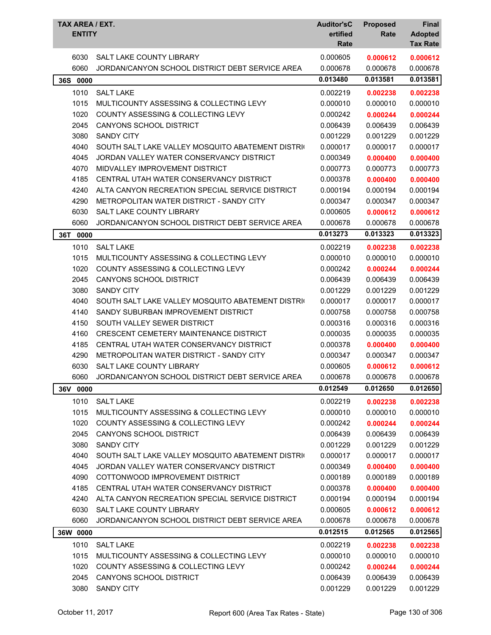| TAX AREA / EXT.<br><b>ENTITY</b> |                                                                                             | <b>Auditor'sC</b><br>ertified<br>Rate | <b>Proposed</b><br>Rate | Final<br><b>Adopted</b><br><b>Tax Rate</b> |
|----------------------------------|---------------------------------------------------------------------------------------------|---------------------------------------|-------------------------|--------------------------------------------|
| 6030                             | SALT LAKE COUNTY LIBRARY                                                                    | 0.000605                              | 0.000612                | 0.000612                                   |
| 6060                             | JORDAN/CANYON SCHOOL DISTRICT DEBT SERVICE AREA                                             | 0.000678<br>0.013480                  | 0.000678<br>0.013581    | 0.000678<br>0.013581                       |
| 36S<br>0000                      |                                                                                             |                                       |                         |                                            |
| 1010                             | <b>SALT LAKE</b>                                                                            | 0.002219                              | 0.002238                | 0.002238                                   |
| 1015                             | MULTICOUNTY ASSESSING & COLLECTING LEVY                                                     | 0.000010                              | 0.000010                | 0.000010                                   |
| 1020                             | <b>COUNTY ASSESSING &amp; COLLECTING LEVY</b>                                               | 0.000242                              | 0.000244                | 0.000244                                   |
| 2045                             | <b>CANYONS SCHOOL DISTRICT</b>                                                              | 0.006439                              | 0.006439                | 0.006439                                   |
| 3080                             | <b>SANDY CITY</b>                                                                           | 0.001229                              | 0.001229                | 0.001229                                   |
| 4040                             | SOUTH SALT LAKE VALLEY MOSQUITO ABATEMENT DISTRIC                                           | 0.000017                              | 0.000017                | 0.000017                                   |
| 4045                             | JORDAN VALLEY WATER CONSERVANCY DISTRICT                                                    | 0.000349                              | 0.000400                | 0.000400                                   |
| 4070                             | MIDVALLEY IMPROVEMENT DISTRICT                                                              | 0.000773<br>0.000378                  | 0.000773                | 0.000773                                   |
| 4185<br>4240                     | CENTRAL UTAH WATER CONSERVANCY DISTRICT                                                     |                                       | 0.000400                | 0.000400                                   |
|                                  | ALTA CANYON RECREATION SPECIAL SERVICE DISTRICT<br>METROPOLITAN WATER DISTRICT - SANDY CITY | 0.000194<br>0.000347                  | 0.000194<br>0.000347    | 0.000194                                   |
| 4290                             | SALT LAKE COUNTY LIBRARY                                                                    |                                       |                         | 0.000347                                   |
| 6030<br>6060                     | JORDAN/CANYON SCHOOL DISTRICT DEBT SERVICE AREA                                             | 0.000605                              | 0.000612                | 0.000612                                   |
|                                  |                                                                                             | 0.000678                              | 0.000678                | 0.000678                                   |
| 36T 0000                         |                                                                                             | 0.013273                              | 0.013323                | 0.013323                                   |
| 1010                             | <b>SALT LAKE</b>                                                                            | 0.002219                              | 0.002238                | 0.002238                                   |
| 1015                             | MULTICOUNTY ASSESSING & COLLECTING LEVY                                                     | 0.000010                              | 0.000010                | 0.000010                                   |
| 1020                             | COUNTY ASSESSING & COLLECTING LEVY                                                          | 0.000242                              | 0.000244                | 0.000244                                   |
| 2045                             | CANYONS SCHOOL DISTRICT                                                                     | 0.006439                              | 0.006439                | 0.006439                                   |
| 3080                             | <b>SANDY CITY</b>                                                                           | 0.001229                              | 0.001229                | 0.001229                                   |
| 4040                             | SOUTH SALT LAKE VALLEY MOSQUITO ABATEMENT DISTRIC                                           | 0.000017                              | 0.000017                | 0.000017                                   |
| 4140                             | SANDY SUBURBAN IMPROVEMENT DISTRICT                                                         | 0.000758                              | 0.000758                | 0.000758                                   |
| 4150                             | SOUTH VALLEY SEWER DISTRICT                                                                 | 0.000316                              | 0.000316                | 0.000316                                   |
| 4160                             | CRESCENT CEMETERY MAINTENANCE DISTRICT                                                      | 0.000035                              | 0.000035                | 0.000035                                   |
| 4185                             | CENTRAL UTAH WATER CONSERVANCY DISTRICT                                                     | 0.000378                              | 0.000400                | 0.000400                                   |
| 4290                             | METROPOLITAN WATER DISTRICT - SANDY CITY                                                    | 0.000347                              | 0.000347                | 0.000347                                   |
| 6030                             | SALT LAKE COUNTY LIBRARY                                                                    | 0.000605                              | 0.000612                | 0.000612                                   |
| 6060                             | JORDAN/CANYON SCHOOL DISTRICT DEBT SERVICE AREA                                             | 0.000678                              | 0.000678                | 0.000678                                   |
| 36V 0000                         |                                                                                             | 0.012549                              | 0.012650                | 0.012650                                   |
| 1010                             | <b>SALT LAKE</b>                                                                            | 0.002219                              | 0.002238                | 0.002238                                   |
| 1015                             | MULTICOUNTY ASSESSING & COLLECTING LEVY                                                     | 0.000010                              | 0.000010                | 0.000010                                   |
| 1020                             | <b>COUNTY ASSESSING &amp; COLLECTING LEVY</b>                                               | 0.000242                              | 0.000244                | 0.000244                                   |
| 2045                             | <b>CANYONS SCHOOL DISTRICT</b>                                                              | 0.006439                              | 0.006439                | 0.006439                                   |
| 3080                             | <b>SANDY CITY</b>                                                                           | 0.001229                              | 0.001229                | 0.001229                                   |
| 4040                             | SOUTH SALT LAKE VALLEY MOSQUITO ABATEMENT DISTRIC                                           | 0.000017                              | 0.000017                | 0.000017                                   |
| 4045                             | JORDAN VALLEY WATER CONSERVANCY DISTRICT                                                    | 0.000349                              | 0.000400                | 0.000400                                   |
| 4090                             | COTTONWOOD IMPROVEMENT DISTRICT                                                             | 0.000189                              | 0.000189                | 0.000189                                   |
| 4185                             | CENTRAL UTAH WATER CONSERVANCY DISTRICT                                                     | 0.000378                              | 0.000400                | 0.000400                                   |
| 4240                             | ALTA CANYON RECREATION SPECIAL SERVICE DISTRICT                                             | 0.000194                              | 0.000194                | 0.000194                                   |
| 6030                             | SALT LAKE COUNTY LIBRARY                                                                    | 0.000605                              | 0.000612                | 0.000612                                   |
| 6060                             | JORDAN/CANYON SCHOOL DISTRICT DEBT SERVICE AREA                                             | 0.000678                              | 0.000678                | 0.000678                                   |
| 36W 0000                         |                                                                                             | 0.012515                              | 0.012565                | 0.012565                                   |
| 1010                             | <b>SALT LAKE</b>                                                                            | 0.002219                              | 0.002238                | 0.002238                                   |
| 1015                             | MULTICOUNTY ASSESSING & COLLECTING LEVY                                                     | 0.000010                              | 0.000010                | 0.000010                                   |
| 1020                             | COUNTY ASSESSING & COLLECTING LEVY                                                          | 0.000242                              | 0.000244                | 0.000244                                   |
| 2045                             | <b>CANYONS SCHOOL DISTRICT</b>                                                              | 0.006439                              | 0.006439                | 0.006439                                   |
| 3080                             | <b>SANDY CITY</b>                                                                           | 0.001229                              | 0.001229                | 0.001229                                   |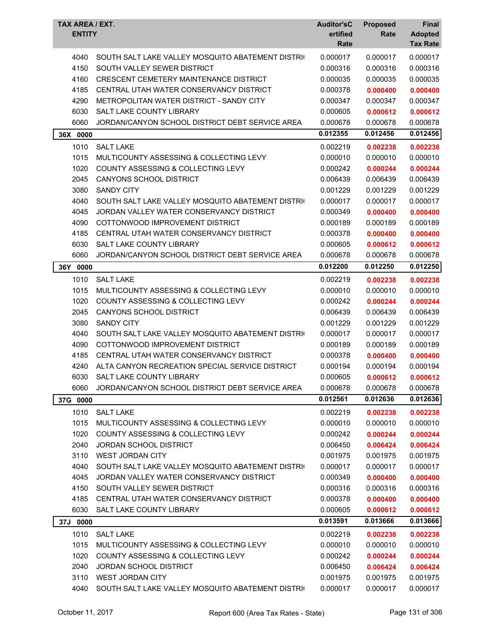| <b>TAX AREA / EXT.</b><br><b>ENTITY</b> |                                                   | <b>Auditor'sC</b><br>ertified<br>Rate | <b>Proposed</b><br>Rate | <b>Final</b><br><b>Adopted</b><br><b>Tax Rate</b> |
|-----------------------------------------|---------------------------------------------------|---------------------------------------|-------------------------|---------------------------------------------------|
| 4040                                    | SOUTH SALT LAKE VALLEY MOSQUITO ABATEMENT DISTRIC | 0.000017                              | 0.000017                | 0.000017                                          |
| 4150                                    | SOUTH VALLEY SEWER DISTRICT                       | 0.000316                              | 0.000316                | 0.000316                                          |
| 4160                                    | <b>CRESCENT CEMETERY MAINTENANCE DISTRICT</b>     | 0.000035                              | 0.000035                | 0.000035                                          |
| 4185                                    | CENTRAL UTAH WATER CONSERVANCY DISTRICT           | 0.000378                              | 0.000400                | 0.000400                                          |
| 4290                                    | METROPOLITAN WATER DISTRICT - SANDY CITY          | 0.000347                              | 0.000347                | 0.000347                                          |
| 6030                                    | SALT LAKE COUNTY LIBRARY                          | 0.000605                              | 0.000612                | 0.000612                                          |
| 6060                                    | JORDAN/CANYON SCHOOL DISTRICT DEBT SERVICE AREA   | 0.000678                              | 0.000678                | 0.000678                                          |
| 36X 0000                                |                                                   | 0.012355                              | 0.012456                | 0.012456                                          |
| 1010                                    | <b>SALT LAKE</b>                                  | 0.002219                              | 0.002238                | 0.002238                                          |
| 1015                                    | MULTICOUNTY ASSESSING & COLLECTING LEVY           | 0.000010                              | 0.000010                | 0.000010                                          |
| 1020                                    | <b>COUNTY ASSESSING &amp; COLLECTING LEVY</b>     | 0.000242                              | 0.000244                | 0.000244                                          |
| 2045                                    | CANYONS SCHOOL DISTRICT                           | 0.006439                              | 0.006439                | 0.006439                                          |
| 3080                                    | <b>SANDY CITY</b>                                 | 0.001229                              | 0.001229                | 0.001229                                          |
| 4040                                    | SOUTH SALT LAKE VALLEY MOSQUITO ABATEMENT DISTRIC | 0.000017                              | 0.000017                | 0.000017                                          |
| 4045                                    | JORDAN VALLEY WATER CONSERVANCY DISTRICT          | 0.000349                              | 0.000400                | 0.000400                                          |
| 4090                                    | COTTONWOOD IMPROVEMENT DISTRICT                   | 0.000189                              | 0.000189                | 0.000189                                          |
| 4185                                    | CENTRAL UTAH WATER CONSERVANCY DISTRICT           | 0.000378                              | 0.000400                | 0.000400                                          |
| 6030                                    | SALT LAKE COUNTY LIBRARY                          | 0.000605                              | 0.000612                | 0.000612                                          |
| 6060                                    | JORDAN/CANYON SCHOOL DISTRICT DEBT SERVICE AREA   | 0.000678                              | 0.000678                | 0.000678                                          |
| 36Y 0000                                |                                                   | 0.012200                              | 0.012250                | 0.012250                                          |
| 1010                                    | <b>SALT LAKE</b>                                  | 0.002219                              | 0.002238                | 0.002238                                          |
| 1015                                    | MULTICOUNTY ASSESSING & COLLECTING LEVY           | 0.000010                              | 0.000010                | 0.000010                                          |
| 1020                                    | <b>COUNTY ASSESSING &amp; COLLECTING LEVY</b>     | 0.000242                              | 0.000244                | 0.000244                                          |
| 2045                                    | CANYONS SCHOOL DISTRICT                           | 0.006439                              | 0.006439                | 0.006439                                          |
| 3080                                    | <b>SANDY CITY</b>                                 | 0.001229                              | 0.001229                | 0.001229                                          |
| 4040                                    | SOUTH SALT LAKE VALLEY MOSQUITO ABATEMENT DISTRIC | 0.000017                              | 0.000017                | 0.000017                                          |
| 4090                                    | COTTONWOOD IMPROVEMENT DISTRICT                   | 0.000189                              | 0.000189                | 0.000189                                          |
| 4185                                    | CENTRAL UTAH WATER CONSERVANCY DISTRICT           | 0.000378                              | 0.000400                | 0.000400                                          |
| 4240                                    | ALTA CANYON RECREATION SPECIAL SERVICE DISTRICT   | 0.000194                              | 0.000194                | 0.000194                                          |
| 6030                                    | SALT LAKE COUNTY LIBRARY                          | 0.000605                              | 0.000612                | 0.000612                                          |
| 6060                                    | JORDAN/CANYON SCHOOL DISTRICT DEBT SERVICE AREA   | 0.000678                              | 0.000678                | 0.000678                                          |
| 37G 0000                                |                                                   | 0.012561                              | 0.012636                | 0.012636                                          |
| 1010                                    | <b>SALT LAKE</b>                                  | 0.002219                              | 0.002238                | 0.002238                                          |
| 1015                                    | MULTICOUNTY ASSESSING & COLLECTING LEVY           | 0.000010                              | 0.000010                | 0.000010                                          |
| 1020                                    | COUNTY ASSESSING & COLLECTING LEVY                | 0.000242                              | 0.000244                | 0.000244                                          |
| 2040                                    | <b>JORDAN SCHOOL DISTRICT</b>                     | 0.006450                              | 0.006424                | 0.006424                                          |
| 3110                                    | WEST JORDAN CITY                                  | 0.001975                              | 0.001975                | 0.001975                                          |
| 4040                                    | SOUTH SALT LAKE VALLEY MOSQUITO ABATEMENT DISTRIC | 0.000017                              | 0.000017                | 0.000017                                          |
| 4045                                    | JORDAN VALLEY WATER CONSERVANCY DISTRICT          | 0.000349                              | 0.000400                | 0.000400                                          |
| 4150                                    | SOUTH VALLEY SEWER DISTRICT                       | 0.000316                              | 0.000316                | 0.000316                                          |
| 4185                                    | CENTRAL UTAH WATER CONSERVANCY DISTRICT           | 0.000378                              | 0.000400                | 0.000400                                          |
| 6030                                    | SALT LAKE COUNTY LIBRARY                          | 0.000605                              | 0.000612                | 0.000612                                          |
| 37J 0000                                |                                                   | 0.013591                              | 0.013666                | 0.013666                                          |
| 1010                                    | <b>SALT LAKE</b>                                  | 0.002219                              | 0.002238                | 0.002238                                          |
| 1015                                    | MULTICOUNTY ASSESSING & COLLECTING LEVY           | 0.000010                              | 0.000010                | 0.000010                                          |
| 1020                                    | COUNTY ASSESSING & COLLECTING LEVY                | 0.000242                              | 0.000244                | 0.000244                                          |
| 2040                                    | <b>JORDAN SCHOOL DISTRICT</b>                     | 0.006450                              | 0.006424                | 0.006424                                          |
| 3110                                    | WEST JORDAN CITY                                  | 0.001975                              | 0.001975                | 0.001975                                          |
| 4040                                    | SOUTH SALT LAKE VALLEY MOSQUITO ABATEMENT DISTRIC | 0.000017                              | 0.000017                | 0.000017                                          |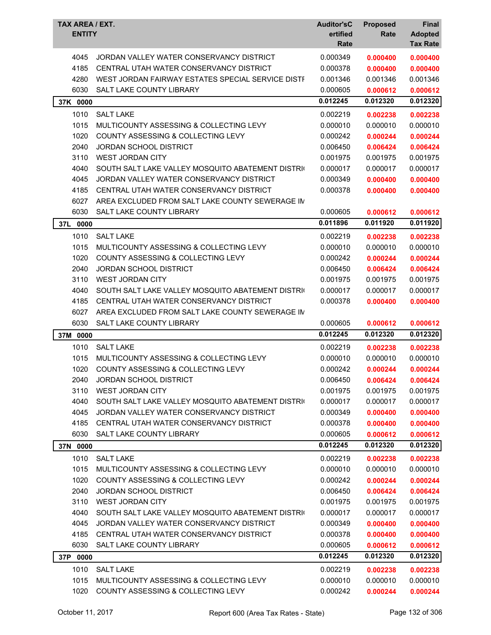| TAX AREA / EXT.<br><b>ENTITY</b> |                                                   | <b>Auditor'sC</b><br>ertified<br>Rate | <b>Proposed</b><br>Rate | Final<br><b>Adopted</b><br><b>Tax Rate</b> |
|----------------------------------|---------------------------------------------------|---------------------------------------|-------------------------|--------------------------------------------|
| 4045                             | JORDAN VALLEY WATER CONSERVANCY DISTRICT          | 0.000349                              | 0.000400                | 0.000400                                   |
| 4185                             | CENTRAL UTAH WATER CONSERVANCY DISTRICT           | 0.000378                              | 0.000400                | 0.000400                                   |
| 4280                             | WEST JORDAN FAIRWAY ESTATES SPECIAL SERVICE DISTF | 0.001346                              | 0.001346                | 0.001346                                   |
| 6030                             | SALT LAKE COUNTY LIBRARY                          | 0.000605                              | 0.000612                | 0.000612                                   |
| 37K 0000                         |                                                   | 0.012245                              | 0.012320                | 0.012320                                   |
| 1010                             | <b>SALT LAKE</b>                                  | 0.002219                              | 0.002238                | 0.002238                                   |
| 1015                             | MULTICOUNTY ASSESSING & COLLECTING LEVY           | 0.000010                              | 0.000010                | 0.000010                                   |
| 1020                             | COUNTY ASSESSING & COLLECTING LEVY                | 0.000242                              | 0.000244                | 0.000244                                   |
| 2040                             | <b>JORDAN SCHOOL DISTRICT</b>                     | 0.006450                              | 0.006424                | 0.006424                                   |
| 3110                             | <b>WEST JORDAN CITY</b>                           | 0.001975                              | 0.001975                | 0.001975                                   |
| 4040                             | SOUTH SALT LAKE VALLEY MOSQUITO ABATEMENT DISTRIC | 0.000017                              | 0.000017                | 0.000017                                   |
| 4045                             | JORDAN VALLEY WATER CONSERVANCY DISTRICT          | 0.000349                              | 0.000400                | 0.000400                                   |
| 4185                             | CENTRAL UTAH WATER CONSERVANCY DISTRICT           | 0.000378                              | 0.000400                | 0.000400                                   |
| 6027                             | AREA EXCLUDED FROM SALT LAKE COUNTY SEWERAGE IN   |                                       |                         |                                            |
| 6030                             | SALT LAKE COUNTY LIBRARY                          | 0.000605                              | 0.000612                | 0.000612                                   |
| 37L<br>0000                      |                                                   | 0.011896                              | 0.011920                | 0.011920                                   |
| 1010                             | <b>SALT LAKE</b>                                  | 0.002219                              | 0.002238                | 0.002238                                   |
| 1015                             | MULTICOUNTY ASSESSING & COLLECTING LEVY           | 0.000010                              | 0.000010                | 0.000010                                   |
| 1020                             | COUNTY ASSESSING & COLLECTING LEVY                | 0.000242                              | 0.000244                | 0.000244                                   |
| 2040                             | <b>JORDAN SCHOOL DISTRICT</b>                     | 0.006450                              | 0.006424                | 0.006424                                   |
| 3110                             | <b>WEST JORDAN CITY</b>                           | 0.001975                              | 0.001975                | 0.001975                                   |
| 4040                             | SOUTH SALT LAKE VALLEY MOSQUITO ABATEMENT DISTRIC | 0.000017                              | 0.000017                | 0.000017                                   |
| 4185                             | CENTRAL UTAH WATER CONSERVANCY DISTRICT           | 0.000378                              | 0.000400                | 0.000400                                   |
| 6027                             | AREA EXCLUDED FROM SALT LAKE COUNTY SEWERAGE IN   |                                       |                         |                                            |
| 6030                             | <b>SALT LAKE COUNTY LIBRARY</b>                   | 0.000605                              | 0.000612                | 0.000612                                   |
| 37M 0000                         |                                                   | 0.012245                              | 0.012320                | 0.012320                                   |
| 1010                             | <b>SALT LAKE</b>                                  | 0.002219                              | 0.002238                | 0.002238                                   |
| 1015                             | MULTICOUNTY ASSESSING & COLLECTING LEVY           | 0.000010                              | 0.000010                | 0.000010                                   |
| 1020                             | COUNTY ASSESSING & COLLECTING LEVY                | 0.000242                              | 0.000244                | 0.000244                                   |
| 2040                             | JORDAN SCHOOL DISTRICT                            | 0.006450                              | 0.006424                | 0.006424                                   |
| 3110                             | <b>WEST JORDAN CITY</b>                           | 0.001975                              | 0.001975                | 0.001975                                   |
| 4040                             | SOUTH SALT LAKE VALLEY MOSQUITO ABATEMENT DISTRIC | 0.000017                              | 0.000017                | 0.000017                                   |
| 4045                             | JORDAN VALLEY WATER CONSERVANCY DISTRICT          | 0.000349                              | 0.000400                | 0.000400                                   |
| 4185                             | CENTRAL UTAH WATER CONSERVANCY DISTRICT           | 0.000378                              | 0.000400                | 0.000400                                   |
| 6030                             | SALT LAKE COUNTY LIBRARY                          | 0.000605                              | 0.000612                | 0.000612                                   |
| 37N 0000                         |                                                   | 0.012245                              | 0.012320                | 0.012320                                   |
| 1010                             | <b>SALT LAKE</b>                                  | 0.002219                              | 0.002238                | 0.002238                                   |
| 1015                             | MULTICOUNTY ASSESSING & COLLECTING LEVY           | 0.000010                              | 0.000010                | 0.000010                                   |
| 1020                             | COUNTY ASSESSING & COLLECTING LEVY                | 0.000242                              | 0.000244                | 0.000244                                   |
| 2040                             | JORDAN SCHOOL DISTRICT                            | 0.006450                              | 0.006424                | 0.006424                                   |
| 3110                             | <b>WEST JORDAN CITY</b>                           | 0.001975                              | 0.001975                | 0.001975                                   |
| 4040                             | SOUTH SALT LAKE VALLEY MOSQUITO ABATEMENT DISTRIC | 0.000017                              | 0.000017                | 0.000017                                   |
| 4045                             | JORDAN VALLEY WATER CONSERVANCY DISTRICT          | 0.000349                              | 0.000400                | 0.000400                                   |
| 4185                             | CENTRAL UTAH WATER CONSERVANCY DISTRICT           | 0.000378                              | 0.000400                | 0.000400                                   |
| 6030                             | SALT LAKE COUNTY LIBRARY                          | 0.000605                              | 0.000612                | 0.000612                                   |
| 0000<br>37P                      |                                                   | 0.012245                              | 0.012320                | 0.012320                                   |
| 1010                             | <b>SALT LAKE</b>                                  | 0.002219                              | 0.002238                | 0.002238                                   |
| 1015                             | MULTICOUNTY ASSESSING & COLLECTING LEVY           | 0.000010                              | 0.000010                | 0.000010                                   |
| 1020                             | COUNTY ASSESSING & COLLECTING LEVY                | 0.000242                              | 0.000244                | 0.000244                                   |
|                                  |                                                   |                                       |                         |                                            |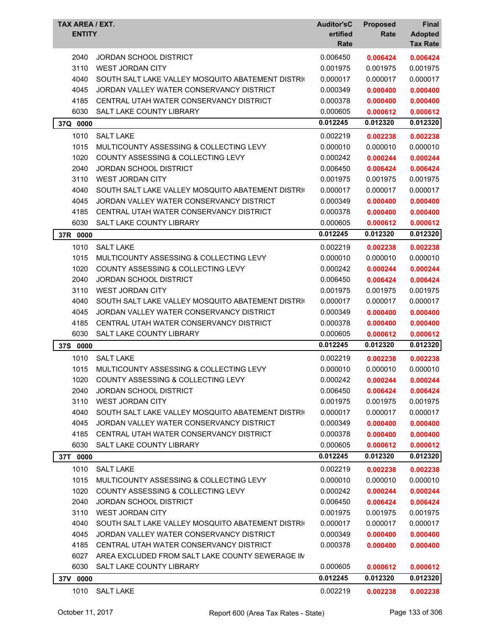| <b>TAX AREA / EXT.</b><br><b>ENTITY</b> |                                                   | <b>Auditor'sC</b><br>ertified<br>Rate | <b>Proposed</b><br>Rate | Final<br><b>Adopted</b><br><b>Tax Rate</b> |
|-----------------------------------------|---------------------------------------------------|---------------------------------------|-------------------------|--------------------------------------------|
| 2040                                    | JORDAN SCHOOL DISTRICT                            | 0.006450                              | 0.006424                | 0.006424                                   |
| 3110                                    | <b>WEST JORDAN CITY</b>                           | 0.001975                              | 0.001975                | 0.001975                                   |
| 4040                                    | SOUTH SALT LAKE VALLEY MOSQUITO ABATEMENT DISTRIC | 0.000017                              | 0.000017                | 0.000017                                   |
| 4045                                    | JORDAN VALLEY WATER CONSERVANCY DISTRICT          | 0.000349                              | 0.000400                | 0.000400                                   |
| 4185                                    | CENTRAL UTAH WATER CONSERVANCY DISTRICT           | 0.000378                              | 0.000400                | 0.000400                                   |
| 6030                                    | <b>SALT LAKE COUNTY LIBRARY</b>                   | 0.000605                              | 0.000612                | 0.000612                                   |
| 37Q 0000                                |                                                   | 0.012245                              | 0.012320                | 0.012320                                   |
| 1010                                    | <b>SALT LAKE</b>                                  | 0.002219                              | 0.002238                | 0.002238                                   |
| 1015                                    | MULTICOUNTY ASSESSING & COLLECTING LEVY           | 0.000010                              | 0.000010                | 0.000010                                   |
| 1020                                    | <b>COUNTY ASSESSING &amp; COLLECTING LEVY</b>     | 0.000242                              | 0.000244                | 0.000244                                   |
| 2040                                    | <b>JORDAN SCHOOL DISTRICT</b>                     | 0.006450                              | 0.006424                | 0.006424                                   |
| 3110                                    | <b>WEST JORDAN CITY</b>                           | 0.001975                              | 0.001975                | 0.001975                                   |
| 4040                                    | SOUTH SALT LAKE VALLEY MOSQUITO ABATEMENT DISTRIC | 0.000017                              | 0.000017                | 0.000017                                   |
| 4045                                    | JORDAN VALLEY WATER CONSERVANCY DISTRICT          | 0.000349                              | 0.000400                | 0.000400                                   |
| 4185                                    | CENTRAL UTAH WATER CONSERVANCY DISTRICT           | 0.000378                              | 0.000400                | 0.000400                                   |
| 6030                                    | <b>SALT LAKE COUNTY LIBRARY</b>                   | 0.000605                              | 0.000612                | 0.000612                                   |
| 37R 0000                                |                                                   | 0.012245                              | 0.012320                | 0.012320                                   |
| 1010                                    | <b>SALT LAKE</b>                                  | 0.002219                              | 0.002238                | 0.002238                                   |
| 1015                                    | MULTICOUNTY ASSESSING & COLLECTING LEVY           | 0.000010                              | 0.000010                | 0.000010                                   |
| 1020                                    | <b>COUNTY ASSESSING &amp; COLLECTING LEVY</b>     | 0.000242                              | 0.000244                | 0.000244                                   |
| 2040                                    | <b>JORDAN SCHOOL DISTRICT</b>                     | 0.006450                              | 0.006424                | 0.006424                                   |
| 3110                                    | <b>WEST JORDAN CITY</b>                           | 0.001975                              | 0.001975                | 0.001975                                   |
| 4040                                    | SOUTH SALT LAKE VALLEY MOSQUITO ABATEMENT DISTRIC | 0.000017                              | 0.000017                | 0.000017                                   |
| 4045                                    | JORDAN VALLEY WATER CONSERVANCY DISTRICT          | 0.000349                              | 0.000400                | 0.000400                                   |
| 4185                                    | CENTRAL UTAH WATER CONSERVANCY DISTRICT           | 0.000378                              | 0.000400                | 0.000400                                   |
| 6030                                    | SALT LAKE COUNTY LIBRARY                          | 0.000605                              | 0.000612                | 0.000612                                   |
| 37S<br>0000                             |                                                   | 0.012245                              | 0.012320                | 0.012320                                   |
| 1010                                    | <b>SALT LAKE</b>                                  | 0.002219                              | 0.002238                | 0.002238                                   |
| 1015                                    | MULTICOUNTY ASSESSING & COLLECTING LEVY           | 0.000010                              | 0.000010                | 0.000010                                   |
| 1020                                    | COUNTY ASSESSING & COLLECTING LEVY                | 0.000242                              | 0.000244                | 0.000244                                   |
| 2040                                    | <b>JORDAN SCHOOL DISTRICT</b>                     | 0.006450                              | 0.006424                | 0.006424                                   |
| 3110                                    | WEST JORDAN CITY                                  | 0.001975                              | 0.001975                | 0.001975                                   |
| 4040                                    | SOUTH SALT LAKE VALLEY MOSQUITO ABATEMENT DISTRIC | 0.000017                              | 0.000017                | 0.000017                                   |
| 4045                                    | JORDAN VALLEY WATER CONSERVANCY DISTRICT          | 0.000349                              | 0.000400                | 0.000400                                   |
| 4185                                    | CENTRAL UTAH WATER CONSERVANCY DISTRICT           | 0.000378                              | 0.000400                | 0.000400                                   |
| 6030                                    | <b>SALT LAKE COUNTY LIBRARY</b>                   | 0.000605                              | 0.000612                | 0.000612                                   |
| 37T 0000                                |                                                   | 0.012245                              | 0.012320                | 0.012320                                   |
| 1010                                    | <b>SALT LAKE</b>                                  | 0.002219                              | 0.002238                | 0.002238                                   |
| 1015                                    | MULTICOUNTY ASSESSING & COLLECTING LEVY           | 0.000010                              | 0.000010                | 0.000010                                   |
| 1020                                    | COUNTY ASSESSING & COLLECTING LEVY                | 0.000242                              | 0.000244                | 0.000244                                   |
| 2040                                    | <b>JORDAN SCHOOL DISTRICT</b>                     | 0.006450                              | 0.006424                | 0.006424                                   |
| 3110                                    | <b>WEST JORDAN CITY</b>                           | 0.001975                              | 0.001975                | 0.001975                                   |
| 4040                                    | SOUTH SALT LAKE VALLEY MOSQUITO ABATEMENT DISTRIC | 0.000017                              | 0.000017                | 0.000017                                   |
| 4045                                    | JORDAN VALLEY WATER CONSERVANCY DISTRICT          | 0.000349                              | 0.000400                | 0.000400                                   |
| 4185                                    | CENTRAL UTAH WATER CONSERVANCY DISTRICT           | 0.000378                              | 0.000400                | 0.000400                                   |
| 6027                                    | AREA EXCLUDED FROM SALT LAKE COUNTY SEWERAGE IN   |                                       |                         |                                            |
| 6030                                    | SALT LAKE COUNTY LIBRARY                          | 0.000605                              | 0.000612                | 0.000612                                   |
| 37V 0000                                |                                                   | 0.012245                              | 0.012320                | 0.012320                                   |
| 1010                                    | SALT LAKE                                         | 0.002219                              | 0.002238                | 0.002238                                   |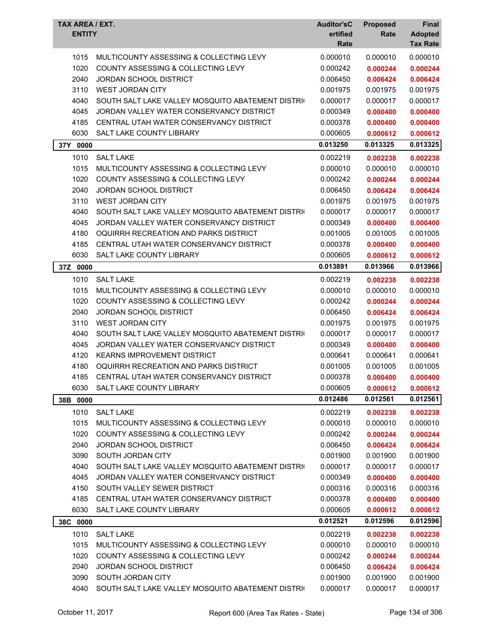| MULTICOUNTY ASSESSING & COLLECTING LEVY<br>0.000010<br>0.000010<br>1015<br>0.000010<br>1020<br><b>COUNTY ASSESSING &amp; COLLECTING LEVY</b><br>0.000242<br>0.000244<br>0.000244<br>2040<br><b>JORDAN SCHOOL DISTRICT</b><br>0.006450<br>0.006424<br>0.006424<br>3110<br><b>WEST JORDAN CITY</b><br>0.001975<br>0.001975<br>0.001975<br>4040<br>0.000017<br>SOUTH SALT LAKE VALLEY MOSQUITO ABATEMENT DISTRIC<br>0.000017<br>0.000017<br>4045<br>JORDAN VALLEY WATER CONSERVANCY DISTRICT<br>0.000349<br>0.000400<br>0.000400<br>4185<br>CENTRAL UTAH WATER CONSERVANCY DISTRICT<br>0.000378<br>0.000400<br>0.000400<br>6030<br>SALT LAKE COUNTY LIBRARY<br>0.000605<br>0.000612<br>0.000612<br>0.013250<br>0.013325<br>0.013325<br>37Y<br>0000<br><b>SALT LAKE</b><br>1010<br>0.002219<br>0.002238<br>0.002238<br>1015<br>0.000010<br>0.000010<br>MULTICOUNTY ASSESSING & COLLECTING LEVY<br>0.000010<br>1020<br><b>COUNTY ASSESSING &amp; COLLECTING LEVY</b><br>0.000242<br>0.000244<br>0.000244<br>2040<br><b>JORDAN SCHOOL DISTRICT</b><br>0.006450<br>0.006424<br>0.006424<br>3110<br><b>WEST JORDAN CITY</b><br>0.001975<br>0.001975<br>0.001975<br>4040<br>SOUTH SALT LAKE VALLEY MOSQUITO ABATEMENT DISTRIC<br>0.000017<br>0.000017<br>0.000017<br>4045<br>JORDAN VALLEY WATER CONSERVANCY DISTRICT<br>0.000349<br>0.000400<br>0.000400<br>4180<br>OQUIRRH RECREATION AND PARKS DISTRICT<br>0.001005<br>0.001005<br>0.001005<br>4185<br>CENTRAL UTAH WATER CONSERVANCY DISTRICT<br>0.000378<br>0.000400<br>0.000400<br>6030<br>SALT LAKE COUNTY LIBRARY<br>0.000605<br>0.000612<br>0.000612<br>0.013966<br>0.013891<br>0.013966<br>37Z 0000<br>1010<br><b>SALT LAKE</b><br>0.002219<br>0.002238<br>0.002238<br>1015<br>MULTICOUNTY ASSESSING & COLLECTING LEVY<br>0.000010<br>0.000010<br>0.000010<br>1020<br><b>COUNTY ASSESSING &amp; COLLECTING LEVY</b><br>0.000242<br>0.000244<br>0.000244<br>2040<br><b>JORDAN SCHOOL DISTRICT</b><br>0.006450<br>0.006424<br>0.006424<br>3110<br><b>WEST JORDAN CITY</b><br>0.001975<br>0.001975<br>0.001975<br>4040<br>SOUTH SALT LAKE VALLEY MOSQUITO ABATEMENT DISTRIC<br>0.000017<br>0.000017<br>0.000017<br>JORDAN VALLEY WATER CONSERVANCY DISTRICT<br>4045<br>0.000349<br>0.000400<br>0.000400<br><b>KEARNS IMPROVEMENT DISTRICT</b><br>0.000641<br>4120<br>0.000641<br>0.000641<br>4180<br>OQUIRRH RECREATION AND PARKS DISTRICT<br>0.001005<br>0.001005<br>0.001005<br>CENTRAL UTAH WATER CONSERVANCY DISTRICT<br>4185<br>0.000378<br>0.000400<br>0.000400<br>SALT LAKE COUNTY LIBRARY<br>6030<br>0.000605<br>0.000612<br>0.000612<br>0.012486<br>0.012561<br>0.012561<br>38B 0000<br>1010<br><b>SALT LAKE</b><br>0.002219<br>0.002238<br>0.002238<br>1015<br>MULTICOUNTY ASSESSING & COLLECTING LEVY<br>0.000010<br>0.000010<br>0.000010<br>1020<br>COUNTY ASSESSING & COLLECTING LEVY<br>0.000242<br>0.000244<br>0.000244<br>2040<br><b>JORDAN SCHOOL DISTRICT</b><br>0.006450<br>0.006424<br>0.006424<br>3090<br>SOUTH JORDAN CITY<br>0.001900<br>0.001900<br>0.001900<br>4040<br>SOUTH SALT LAKE VALLEY MOSQUITO ABATEMENT DISTRIC<br>0.000017<br>0.000017<br>0.000017<br>4045<br>JORDAN VALLEY WATER CONSERVANCY DISTRICT<br>0.000349<br>0.000400<br>0.000400<br>4150<br>SOUTH VALLEY SEWER DISTRICT<br>0.000316<br>0.000316<br>0.000316<br>4185<br>CENTRAL UTAH WATER CONSERVANCY DISTRICT<br>0.000378<br>0.000400<br>0.000400<br>6030<br>SALT LAKE COUNTY LIBRARY<br>0.000605<br>0.000612<br>0.000612<br>0.012596<br>0.012521<br>0.012596<br>38C 0000<br>1010<br><b>SALT LAKE</b><br>0.002219<br>0.002238<br>0.002238<br>1015<br>MULTICOUNTY ASSESSING & COLLECTING LEVY<br>0.000010<br>0.000010<br>0.000010<br>1020<br>COUNTY ASSESSING & COLLECTING LEVY<br>0.000242<br>0.000244<br>0.000244<br>2040<br><b>JORDAN SCHOOL DISTRICT</b><br>0.006450<br>0.006424<br>0.006424<br>3090<br>SOUTH JORDAN CITY<br>0.001900<br>0.001900<br>0.001900 | TAX AREA / EXT.<br><b>ENTITY</b> |                                                   | <b>Auditor'sC</b><br>ertified<br>Rate | <b>Proposed</b><br>Rate | <b>Final</b><br><b>Adopted</b><br><b>Tax Rate</b> |
|--------------------------------------------------------------------------------------------------------------------------------------------------------------------------------------------------------------------------------------------------------------------------------------------------------------------------------------------------------------------------------------------------------------------------------------------------------------------------------------------------------------------------------------------------------------------------------------------------------------------------------------------------------------------------------------------------------------------------------------------------------------------------------------------------------------------------------------------------------------------------------------------------------------------------------------------------------------------------------------------------------------------------------------------------------------------------------------------------------------------------------------------------------------------------------------------------------------------------------------------------------------------------------------------------------------------------------------------------------------------------------------------------------------------------------------------------------------------------------------------------------------------------------------------------------------------------------------------------------------------------------------------------------------------------------------------------------------------------------------------------------------------------------------------------------------------------------------------------------------------------------------------------------------------------------------------------------------------------------------------------------------------------------------------------------------------------------------------------------------------------------------------------------------------------------------------------------------------------------------------------------------------------------------------------------------------------------------------------------------------------------------------------------------------------------------------------------------------------------------------------------------------------------------------------------------------------------------------------------------------------------------------------------------------------------------------------------------------------------------------------------------------------------------------------------------------------------------------------------------------------------------------------------------------------------------------------------------------------------------------------------------------------------------------------------------------------------------------------------------------------------------------------------------------------------------------------------------------------------------------------------------------------------------------------------------------------------------------------------------------------------------------------------------------------------------------------------------------------------------------------------------------------------------------------------------------------------------------------------------------------------------------------------------------------------------------------------------------------------------------------------------------------------------------------------------------------------------------------------------------------------------------------------------|----------------------------------|---------------------------------------------------|---------------------------------------|-------------------------|---------------------------------------------------|
|                                                                                                                                                                                                                                                                                                                                                                                                                                                                                                                                                                                                                                                                                                                                                                                                                                                                                                                                                                                                                                                                                                                                                                                                                                                                                                                                                                                                                                                                                                                                                                                                                                                                                                                                                                                                                                                                                                                                                                                                                                                                                                                                                                                                                                                                                                                                                                                                                                                                                                                                                                                                                                                                                                                                                                                                                                                                                                                                                                                                                                                                                                                                                                                                                                                                                                                                                                                                                                                                                                                                                                                                                                                                                                                                                                                                                                                                                                              |                                  |                                                   |                                       |                         |                                                   |
|                                                                                                                                                                                                                                                                                                                                                                                                                                                                                                                                                                                                                                                                                                                                                                                                                                                                                                                                                                                                                                                                                                                                                                                                                                                                                                                                                                                                                                                                                                                                                                                                                                                                                                                                                                                                                                                                                                                                                                                                                                                                                                                                                                                                                                                                                                                                                                                                                                                                                                                                                                                                                                                                                                                                                                                                                                                                                                                                                                                                                                                                                                                                                                                                                                                                                                                                                                                                                                                                                                                                                                                                                                                                                                                                                                                                                                                                                                              |                                  |                                                   |                                       |                         |                                                   |
|                                                                                                                                                                                                                                                                                                                                                                                                                                                                                                                                                                                                                                                                                                                                                                                                                                                                                                                                                                                                                                                                                                                                                                                                                                                                                                                                                                                                                                                                                                                                                                                                                                                                                                                                                                                                                                                                                                                                                                                                                                                                                                                                                                                                                                                                                                                                                                                                                                                                                                                                                                                                                                                                                                                                                                                                                                                                                                                                                                                                                                                                                                                                                                                                                                                                                                                                                                                                                                                                                                                                                                                                                                                                                                                                                                                                                                                                                                              |                                  |                                                   |                                       |                         |                                                   |
|                                                                                                                                                                                                                                                                                                                                                                                                                                                                                                                                                                                                                                                                                                                                                                                                                                                                                                                                                                                                                                                                                                                                                                                                                                                                                                                                                                                                                                                                                                                                                                                                                                                                                                                                                                                                                                                                                                                                                                                                                                                                                                                                                                                                                                                                                                                                                                                                                                                                                                                                                                                                                                                                                                                                                                                                                                                                                                                                                                                                                                                                                                                                                                                                                                                                                                                                                                                                                                                                                                                                                                                                                                                                                                                                                                                                                                                                                                              |                                  |                                                   |                                       |                         |                                                   |
|                                                                                                                                                                                                                                                                                                                                                                                                                                                                                                                                                                                                                                                                                                                                                                                                                                                                                                                                                                                                                                                                                                                                                                                                                                                                                                                                                                                                                                                                                                                                                                                                                                                                                                                                                                                                                                                                                                                                                                                                                                                                                                                                                                                                                                                                                                                                                                                                                                                                                                                                                                                                                                                                                                                                                                                                                                                                                                                                                                                                                                                                                                                                                                                                                                                                                                                                                                                                                                                                                                                                                                                                                                                                                                                                                                                                                                                                                                              |                                  |                                                   |                                       |                         |                                                   |
|                                                                                                                                                                                                                                                                                                                                                                                                                                                                                                                                                                                                                                                                                                                                                                                                                                                                                                                                                                                                                                                                                                                                                                                                                                                                                                                                                                                                                                                                                                                                                                                                                                                                                                                                                                                                                                                                                                                                                                                                                                                                                                                                                                                                                                                                                                                                                                                                                                                                                                                                                                                                                                                                                                                                                                                                                                                                                                                                                                                                                                                                                                                                                                                                                                                                                                                                                                                                                                                                                                                                                                                                                                                                                                                                                                                                                                                                                                              |                                  |                                                   |                                       |                         |                                                   |
|                                                                                                                                                                                                                                                                                                                                                                                                                                                                                                                                                                                                                                                                                                                                                                                                                                                                                                                                                                                                                                                                                                                                                                                                                                                                                                                                                                                                                                                                                                                                                                                                                                                                                                                                                                                                                                                                                                                                                                                                                                                                                                                                                                                                                                                                                                                                                                                                                                                                                                                                                                                                                                                                                                                                                                                                                                                                                                                                                                                                                                                                                                                                                                                                                                                                                                                                                                                                                                                                                                                                                                                                                                                                                                                                                                                                                                                                                                              |                                  |                                                   |                                       |                         |                                                   |
|                                                                                                                                                                                                                                                                                                                                                                                                                                                                                                                                                                                                                                                                                                                                                                                                                                                                                                                                                                                                                                                                                                                                                                                                                                                                                                                                                                                                                                                                                                                                                                                                                                                                                                                                                                                                                                                                                                                                                                                                                                                                                                                                                                                                                                                                                                                                                                                                                                                                                                                                                                                                                                                                                                                                                                                                                                                                                                                                                                                                                                                                                                                                                                                                                                                                                                                                                                                                                                                                                                                                                                                                                                                                                                                                                                                                                                                                                                              |                                  |                                                   |                                       |                         |                                                   |
|                                                                                                                                                                                                                                                                                                                                                                                                                                                                                                                                                                                                                                                                                                                                                                                                                                                                                                                                                                                                                                                                                                                                                                                                                                                                                                                                                                                                                                                                                                                                                                                                                                                                                                                                                                                                                                                                                                                                                                                                                                                                                                                                                                                                                                                                                                                                                                                                                                                                                                                                                                                                                                                                                                                                                                                                                                                                                                                                                                                                                                                                                                                                                                                                                                                                                                                                                                                                                                                                                                                                                                                                                                                                                                                                                                                                                                                                                                              |                                  |                                                   |                                       |                         |                                                   |
|                                                                                                                                                                                                                                                                                                                                                                                                                                                                                                                                                                                                                                                                                                                                                                                                                                                                                                                                                                                                                                                                                                                                                                                                                                                                                                                                                                                                                                                                                                                                                                                                                                                                                                                                                                                                                                                                                                                                                                                                                                                                                                                                                                                                                                                                                                                                                                                                                                                                                                                                                                                                                                                                                                                                                                                                                                                                                                                                                                                                                                                                                                                                                                                                                                                                                                                                                                                                                                                                                                                                                                                                                                                                                                                                                                                                                                                                                                              |                                  |                                                   |                                       |                         |                                                   |
|                                                                                                                                                                                                                                                                                                                                                                                                                                                                                                                                                                                                                                                                                                                                                                                                                                                                                                                                                                                                                                                                                                                                                                                                                                                                                                                                                                                                                                                                                                                                                                                                                                                                                                                                                                                                                                                                                                                                                                                                                                                                                                                                                                                                                                                                                                                                                                                                                                                                                                                                                                                                                                                                                                                                                                                                                                                                                                                                                                                                                                                                                                                                                                                                                                                                                                                                                                                                                                                                                                                                                                                                                                                                                                                                                                                                                                                                                                              |                                  |                                                   |                                       |                         |                                                   |
|                                                                                                                                                                                                                                                                                                                                                                                                                                                                                                                                                                                                                                                                                                                                                                                                                                                                                                                                                                                                                                                                                                                                                                                                                                                                                                                                                                                                                                                                                                                                                                                                                                                                                                                                                                                                                                                                                                                                                                                                                                                                                                                                                                                                                                                                                                                                                                                                                                                                                                                                                                                                                                                                                                                                                                                                                                                                                                                                                                                                                                                                                                                                                                                                                                                                                                                                                                                                                                                                                                                                                                                                                                                                                                                                                                                                                                                                                                              |                                  |                                                   |                                       |                         |                                                   |
|                                                                                                                                                                                                                                                                                                                                                                                                                                                                                                                                                                                                                                                                                                                                                                                                                                                                                                                                                                                                                                                                                                                                                                                                                                                                                                                                                                                                                                                                                                                                                                                                                                                                                                                                                                                                                                                                                                                                                                                                                                                                                                                                                                                                                                                                                                                                                                                                                                                                                                                                                                                                                                                                                                                                                                                                                                                                                                                                                                                                                                                                                                                                                                                                                                                                                                                                                                                                                                                                                                                                                                                                                                                                                                                                                                                                                                                                                                              |                                  |                                                   |                                       |                         |                                                   |
|                                                                                                                                                                                                                                                                                                                                                                                                                                                                                                                                                                                                                                                                                                                                                                                                                                                                                                                                                                                                                                                                                                                                                                                                                                                                                                                                                                                                                                                                                                                                                                                                                                                                                                                                                                                                                                                                                                                                                                                                                                                                                                                                                                                                                                                                                                                                                                                                                                                                                                                                                                                                                                                                                                                                                                                                                                                                                                                                                                                                                                                                                                                                                                                                                                                                                                                                                                                                                                                                                                                                                                                                                                                                                                                                                                                                                                                                                                              |                                  |                                                   |                                       |                         |                                                   |
|                                                                                                                                                                                                                                                                                                                                                                                                                                                                                                                                                                                                                                                                                                                                                                                                                                                                                                                                                                                                                                                                                                                                                                                                                                                                                                                                                                                                                                                                                                                                                                                                                                                                                                                                                                                                                                                                                                                                                                                                                                                                                                                                                                                                                                                                                                                                                                                                                                                                                                                                                                                                                                                                                                                                                                                                                                                                                                                                                                                                                                                                                                                                                                                                                                                                                                                                                                                                                                                                                                                                                                                                                                                                                                                                                                                                                                                                                                              |                                  |                                                   |                                       |                         |                                                   |
|                                                                                                                                                                                                                                                                                                                                                                                                                                                                                                                                                                                                                                                                                                                                                                                                                                                                                                                                                                                                                                                                                                                                                                                                                                                                                                                                                                                                                                                                                                                                                                                                                                                                                                                                                                                                                                                                                                                                                                                                                                                                                                                                                                                                                                                                                                                                                                                                                                                                                                                                                                                                                                                                                                                                                                                                                                                                                                                                                                                                                                                                                                                                                                                                                                                                                                                                                                                                                                                                                                                                                                                                                                                                                                                                                                                                                                                                                                              |                                  |                                                   |                                       |                         |                                                   |
|                                                                                                                                                                                                                                                                                                                                                                                                                                                                                                                                                                                                                                                                                                                                                                                                                                                                                                                                                                                                                                                                                                                                                                                                                                                                                                                                                                                                                                                                                                                                                                                                                                                                                                                                                                                                                                                                                                                                                                                                                                                                                                                                                                                                                                                                                                                                                                                                                                                                                                                                                                                                                                                                                                                                                                                                                                                                                                                                                                                                                                                                                                                                                                                                                                                                                                                                                                                                                                                                                                                                                                                                                                                                                                                                                                                                                                                                                                              |                                  |                                                   |                                       |                         |                                                   |
|                                                                                                                                                                                                                                                                                                                                                                                                                                                                                                                                                                                                                                                                                                                                                                                                                                                                                                                                                                                                                                                                                                                                                                                                                                                                                                                                                                                                                                                                                                                                                                                                                                                                                                                                                                                                                                                                                                                                                                                                                                                                                                                                                                                                                                                                                                                                                                                                                                                                                                                                                                                                                                                                                                                                                                                                                                                                                                                                                                                                                                                                                                                                                                                                                                                                                                                                                                                                                                                                                                                                                                                                                                                                                                                                                                                                                                                                                                              |                                  |                                                   |                                       |                         |                                                   |
|                                                                                                                                                                                                                                                                                                                                                                                                                                                                                                                                                                                                                                                                                                                                                                                                                                                                                                                                                                                                                                                                                                                                                                                                                                                                                                                                                                                                                                                                                                                                                                                                                                                                                                                                                                                                                                                                                                                                                                                                                                                                                                                                                                                                                                                                                                                                                                                                                                                                                                                                                                                                                                                                                                                                                                                                                                                                                                                                                                                                                                                                                                                                                                                                                                                                                                                                                                                                                                                                                                                                                                                                                                                                                                                                                                                                                                                                                                              |                                  |                                                   |                                       |                         |                                                   |
|                                                                                                                                                                                                                                                                                                                                                                                                                                                                                                                                                                                                                                                                                                                                                                                                                                                                                                                                                                                                                                                                                                                                                                                                                                                                                                                                                                                                                                                                                                                                                                                                                                                                                                                                                                                                                                                                                                                                                                                                                                                                                                                                                                                                                                                                                                                                                                                                                                                                                                                                                                                                                                                                                                                                                                                                                                                                                                                                                                                                                                                                                                                                                                                                                                                                                                                                                                                                                                                                                                                                                                                                                                                                                                                                                                                                                                                                                                              |                                  |                                                   |                                       |                         |                                                   |
|                                                                                                                                                                                                                                                                                                                                                                                                                                                                                                                                                                                                                                                                                                                                                                                                                                                                                                                                                                                                                                                                                                                                                                                                                                                                                                                                                                                                                                                                                                                                                                                                                                                                                                                                                                                                                                                                                                                                                                                                                                                                                                                                                                                                                                                                                                                                                                                                                                                                                                                                                                                                                                                                                                                                                                                                                                                                                                                                                                                                                                                                                                                                                                                                                                                                                                                                                                                                                                                                                                                                                                                                                                                                                                                                                                                                                                                                                                              |                                  |                                                   |                                       |                         |                                                   |
|                                                                                                                                                                                                                                                                                                                                                                                                                                                                                                                                                                                                                                                                                                                                                                                                                                                                                                                                                                                                                                                                                                                                                                                                                                                                                                                                                                                                                                                                                                                                                                                                                                                                                                                                                                                                                                                                                                                                                                                                                                                                                                                                                                                                                                                                                                                                                                                                                                                                                                                                                                                                                                                                                                                                                                                                                                                                                                                                                                                                                                                                                                                                                                                                                                                                                                                                                                                                                                                                                                                                                                                                                                                                                                                                                                                                                                                                                                              |                                  |                                                   |                                       |                         |                                                   |
|                                                                                                                                                                                                                                                                                                                                                                                                                                                                                                                                                                                                                                                                                                                                                                                                                                                                                                                                                                                                                                                                                                                                                                                                                                                                                                                                                                                                                                                                                                                                                                                                                                                                                                                                                                                                                                                                                                                                                                                                                                                                                                                                                                                                                                                                                                                                                                                                                                                                                                                                                                                                                                                                                                                                                                                                                                                                                                                                                                                                                                                                                                                                                                                                                                                                                                                                                                                                                                                                                                                                                                                                                                                                                                                                                                                                                                                                                                              |                                  |                                                   |                                       |                         |                                                   |
|                                                                                                                                                                                                                                                                                                                                                                                                                                                                                                                                                                                                                                                                                                                                                                                                                                                                                                                                                                                                                                                                                                                                                                                                                                                                                                                                                                                                                                                                                                                                                                                                                                                                                                                                                                                                                                                                                                                                                                                                                                                                                                                                                                                                                                                                                                                                                                                                                                                                                                                                                                                                                                                                                                                                                                                                                                                                                                                                                                                                                                                                                                                                                                                                                                                                                                                                                                                                                                                                                                                                                                                                                                                                                                                                                                                                                                                                                                              |                                  |                                                   |                                       |                         |                                                   |
|                                                                                                                                                                                                                                                                                                                                                                                                                                                                                                                                                                                                                                                                                                                                                                                                                                                                                                                                                                                                                                                                                                                                                                                                                                                                                                                                                                                                                                                                                                                                                                                                                                                                                                                                                                                                                                                                                                                                                                                                                                                                                                                                                                                                                                                                                                                                                                                                                                                                                                                                                                                                                                                                                                                                                                                                                                                                                                                                                                                                                                                                                                                                                                                                                                                                                                                                                                                                                                                                                                                                                                                                                                                                                                                                                                                                                                                                                                              |                                  |                                                   |                                       |                         |                                                   |
|                                                                                                                                                                                                                                                                                                                                                                                                                                                                                                                                                                                                                                                                                                                                                                                                                                                                                                                                                                                                                                                                                                                                                                                                                                                                                                                                                                                                                                                                                                                                                                                                                                                                                                                                                                                                                                                                                                                                                                                                                                                                                                                                                                                                                                                                                                                                                                                                                                                                                                                                                                                                                                                                                                                                                                                                                                                                                                                                                                                                                                                                                                                                                                                                                                                                                                                                                                                                                                                                                                                                                                                                                                                                                                                                                                                                                                                                                                              |                                  |                                                   |                                       |                         |                                                   |
|                                                                                                                                                                                                                                                                                                                                                                                                                                                                                                                                                                                                                                                                                                                                                                                                                                                                                                                                                                                                                                                                                                                                                                                                                                                                                                                                                                                                                                                                                                                                                                                                                                                                                                                                                                                                                                                                                                                                                                                                                                                                                                                                                                                                                                                                                                                                                                                                                                                                                                                                                                                                                                                                                                                                                                                                                                                                                                                                                                                                                                                                                                                                                                                                                                                                                                                                                                                                                                                                                                                                                                                                                                                                                                                                                                                                                                                                                                              |                                  |                                                   |                                       |                         |                                                   |
|                                                                                                                                                                                                                                                                                                                                                                                                                                                                                                                                                                                                                                                                                                                                                                                                                                                                                                                                                                                                                                                                                                                                                                                                                                                                                                                                                                                                                                                                                                                                                                                                                                                                                                                                                                                                                                                                                                                                                                                                                                                                                                                                                                                                                                                                                                                                                                                                                                                                                                                                                                                                                                                                                                                                                                                                                                                                                                                                                                                                                                                                                                                                                                                                                                                                                                                                                                                                                                                                                                                                                                                                                                                                                                                                                                                                                                                                                                              |                                  |                                                   |                                       |                         |                                                   |
|                                                                                                                                                                                                                                                                                                                                                                                                                                                                                                                                                                                                                                                                                                                                                                                                                                                                                                                                                                                                                                                                                                                                                                                                                                                                                                                                                                                                                                                                                                                                                                                                                                                                                                                                                                                                                                                                                                                                                                                                                                                                                                                                                                                                                                                                                                                                                                                                                                                                                                                                                                                                                                                                                                                                                                                                                                                                                                                                                                                                                                                                                                                                                                                                                                                                                                                                                                                                                                                                                                                                                                                                                                                                                                                                                                                                                                                                                                              |                                  |                                                   |                                       |                         |                                                   |
|                                                                                                                                                                                                                                                                                                                                                                                                                                                                                                                                                                                                                                                                                                                                                                                                                                                                                                                                                                                                                                                                                                                                                                                                                                                                                                                                                                                                                                                                                                                                                                                                                                                                                                                                                                                                                                                                                                                                                                                                                                                                                                                                                                                                                                                                                                                                                                                                                                                                                                                                                                                                                                                                                                                                                                                                                                                                                                                                                                                                                                                                                                                                                                                                                                                                                                                                                                                                                                                                                                                                                                                                                                                                                                                                                                                                                                                                                                              |                                  |                                                   |                                       |                         |                                                   |
|                                                                                                                                                                                                                                                                                                                                                                                                                                                                                                                                                                                                                                                                                                                                                                                                                                                                                                                                                                                                                                                                                                                                                                                                                                                                                                                                                                                                                                                                                                                                                                                                                                                                                                                                                                                                                                                                                                                                                                                                                                                                                                                                                                                                                                                                                                                                                                                                                                                                                                                                                                                                                                                                                                                                                                                                                                                                                                                                                                                                                                                                                                                                                                                                                                                                                                                                                                                                                                                                                                                                                                                                                                                                                                                                                                                                                                                                                                              |                                  |                                                   |                                       |                         |                                                   |
|                                                                                                                                                                                                                                                                                                                                                                                                                                                                                                                                                                                                                                                                                                                                                                                                                                                                                                                                                                                                                                                                                                                                                                                                                                                                                                                                                                                                                                                                                                                                                                                                                                                                                                                                                                                                                                                                                                                                                                                                                                                                                                                                                                                                                                                                                                                                                                                                                                                                                                                                                                                                                                                                                                                                                                                                                                                                                                                                                                                                                                                                                                                                                                                                                                                                                                                                                                                                                                                                                                                                                                                                                                                                                                                                                                                                                                                                                                              |                                  |                                                   |                                       |                         |                                                   |
|                                                                                                                                                                                                                                                                                                                                                                                                                                                                                                                                                                                                                                                                                                                                                                                                                                                                                                                                                                                                                                                                                                                                                                                                                                                                                                                                                                                                                                                                                                                                                                                                                                                                                                                                                                                                                                                                                                                                                                                                                                                                                                                                                                                                                                                                                                                                                                                                                                                                                                                                                                                                                                                                                                                                                                                                                                                                                                                                                                                                                                                                                                                                                                                                                                                                                                                                                                                                                                                                                                                                                                                                                                                                                                                                                                                                                                                                                                              |                                  |                                                   |                                       |                         |                                                   |
|                                                                                                                                                                                                                                                                                                                                                                                                                                                                                                                                                                                                                                                                                                                                                                                                                                                                                                                                                                                                                                                                                                                                                                                                                                                                                                                                                                                                                                                                                                                                                                                                                                                                                                                                                                                                                                                                                                                                                                                                                                                                                                                                                                                                                                                                                                                                                                                                                                                                                                                                                                                                                                                                                                                                                                                                                                                                                                                                                                                                                                                                                                                                                                                                                                                                                                                                                                                                                                                                                                                                                                                                                                                                                                                                                                                                                                                                                                              |                                  |                                                   |                                       |                         |                                                   |
|                                                                                                                                                                                                                                                                                                                                                                                                                                                                                                                                                                                                                                                                                                                                                                                                                                                                                                                                                                                                                                                                                                                                                                                                                                                                                                                                                                                                                                                                                                                                                                                                                                                                                                                                                                                                                                                                                                                                                                                                                                                                                                                                                                                                                                                                                                                                                                                                                                                                                                                                                                                                                                                                                                                                                                                                                                                                                                                                                                                                                                                                                                                                                                                                                                                                                                                                                                                                                                                                                                                                                                                                                                                                                                                                                                                                                                                                                                              |                                  |                                                   |                                       |                         |                                                   |
|                                                                                                                                                                                                                                                                                                                                                                                                                                                                                                                                                                                                                                                                                                                                                                                                                                                                                                                                                                                                                                                                                                                                                                                                                                                                                                                                                                                                                                                                                                                                                                                                                                                                                                                                                                                                                                                                                                                                                                                                                                                                                                                                                                                                                                                                                                                                                                                                                                                                                                                                                                                                                                                                                                                                                                                                                                                                                                                                                                                                                                                                                                                                                                                                                                                                                                                                                                                                                                                                                                                                                                                                                                                                                                                                                                                                                                                                                                              |                                  |                                                   |                                       |                         |                                                   |
|                                                                                                                                                                                                                                                                                                                                                                                                                                                                                                                                                                                                                                                                                                                                                                                                                                                                                                                                                                                                                                                                                                                                                                                                                                                                                                                                                                                                                                                                                                                                                                                                                                                                                                                                                                                                                                                                                                                                                                                                                                                                                                                                                                                                                                                                                                                                                                                                                                                                                                                                                                                                                                                                                                                                                                                                                                                                                                                                                                                                                                                                                                                                                                                                                                                                                                                                                                                                                                                                                                                                                                                                                                                                                                                                                                                                                                                                                                              |                                  |                                                   |                                       |                         |                                                   |
|                                                                                                                                                                                                                                                                                                                                                                                                                                                                                                                                                                                                                                                                                                                                                                                                                                                                                                                                                                                                                                                                                                                                                                                                                                                                                                                                                                                                                                                                                                                                                                                                                                                                                                                                                                                                                                                                                                                                                                                                                                                                                                                                                                                                                                                                                                                                                                                                                                                                                                                                                                                                                                                                                                                                                                                                                                                                                                                                                                                                                                                                                                                                                                                                                                                                                                                                                                                                                                                                                                                                                                                                                                                                                                                                                                                                                                                                                                              |                                  |                                                   |                                       |                         |                                                   |
|                                                                                                                                                                                                                                                                                                                                                                                                                                                                                                                                                                                                                                                                                                                                                                                                                                                                                                                                                                                                                                                                                                                                                                                                                                                                                                                                                                                                                                                                                                                                                                                                                                                                                                                                                                                                                                                                                                                                                                                                                                                                                                                                                                                                                                                                                                                                                                                                                                                                                                                                                                                                                                                                                                                                                                                                                                                                                                                                                                                                                                                                                                                                                                                                                                                                                                                                                                                                                                                                                                                                                                                                                                                                                                                                                                                                                                                                                                              |                                  |                                                   |                                       |                         |                                                   |
|                                                                                                                                                                                                                                                                                                                                                                                                                                                                                                                                                                                                                                                                                                                                                                                                                                                                                                                                                                                                                                                                                                                                                                                                                                                                                                                                                                                                                                                                                                                                                                                                                                                                                                                                                                                                                                                                                                                                                                                                                                                                                                                                                                                                                                                                                                                                                                                                                                                                                                                                                                                                                                                                                                                                                                                                                                                                                                                                                                                                                                                                                                                                                                                                                                                                                                                                                                                                                                                                                                                                                                                                                                                                                                                                                                                                                                                                                                              |                                  |                                                   |                                       |                         |                                                   |
|                                                                                                                                                                                                                                                                                                                                                                                                                                                                                                                                                                                                                                                                                                                                                                                                                                                                                                                                                                                                                                                                                                                                                                                                                                                                                                                                                                                                                                                                                                                                                                                                                                                                                                                                                                                                                                                                                                                                                                                                                                                                                                                                                                                                                                                                                                                                                                                                                                                                                                                                                                                                                                                                                                                                                                                                                                                                                                                                                                                                                                                                                                                                                                                                                                                                                                                                                                                                                                                                                                                                                                                                                                                                                                                                                                                                                                                                                                              |                                  |                                                   |                                       |                         |                                                   |
|                                                                                                                                                                                                                                                                                                                                                                                                                                                                                                                                                                                                                                                                                                                                                                                                                                                                                                                                                                                                                                                                                                                                                                                                                                                                                                                                                                                                                                                                                                                                                                                                                                                                                                                                                                                                                                                                                                                                                                                                                                                                                                                                                                                                                                                                                                                                                                                                                                                                                                                                                                                                                                                                                                                                                                                                                                                                                                                                                                                                                                                                                                                                                                                                                                                                                                                                                                                                                                                                                                                                                                                                                                                                                                                                                                                                                                                                                                              |                                  |                                                   |                                       |                         |                                                   |
|                                                                                                                                                                                                                                                                                                                                                                                                                                                                                                                                                                                                                                                                                                                                                                                                                                                                                                                                                                                                                                                                                                                                                                                                                                                                                                                                                                                                                                                                                                                                                                                                                                                                                                                                                                                                                                                                                                                                                                                                                                                                                                                                                                                                                                                                                                                                                                                                                                                                                                                                                                                                                                                                                                                                                                                                                                                                                                                                                                                                                                                                                                                                                                                                                                                                                                                                                                                                                                                                                                                                                                                                                                                                                                                                                                                                                                                                                                              |                                  |                                                   |                                       |                         |                                                   |
|                                                                                                                                                                                                                                                                                                                                                                                                                                                                                                                                                                                                                                                                                                                                                                                                                                                                                                                                                                                                                                                                                                                                                                                                                                                                                                                                                                                                                                                                                                                                                                                                                                                                                                                                                                                                                                                                                                                                                                                                                                                                                                                                                                                                                                                                                                                                                                                                                                                                                                                                                                                                                                                                                                                                                                                                                                                                                                                                                                                                                                                                                                                                                                                                                                                                                                                                                                                                                                                                                                                                                                                                                                                                                                                                                                                                                                                                                                              |                                  |                                                   |                                       |                         |                                                   |
|                                                                                                                                                                                                                                                                                                                                                                                                                                                                                                                                                                                                                                                                                                                                                                                                                                                                                                                                                                                                                                                                                                                                                                                                                                                                                                                                                                                                                                                                                                                                                                                                                                                                                                                                                                                                                                                                                                                                                                                                                                                                                                                                                                                                                                                                                                                                                                                                                                                                                                                                                                                                                                                                                                                                                                                                                                                                                                                                                                                                                                                                                                                                                                                                                                                                                                                                                                                                                                                                                                                                                                                                                                                                                                                                                                                                                                                                                                              |                                  |                                                   |                                       |                         |                                                   |
|                                                                                                                                                                                                                                                                                                                                                                                                                                                                                                                                                                                                                                                                                                                                                                                                                                                                                                                                                                                                                                                                                                                                                                                                                                                                                                                                                                                                                                                                                                                                                                                                                                                                                                                                                                                                                                                                                                                                                                                                                                                                                                                                                                                                                                                                                                                                                                                                                                                                                                                                                                                                                                                                                                                                                                                                                                                                                                                                                                                                                                                                                                                                                                                                                                                                                                                                                                                                                                                                                                                                                                                                                                                                                                                                                                                                                                                                                                              |                                  |                                                   |                                       |                         |                                                   |
|                                                                                                                                                                                                                                                                                                                                                                                                                                                                                                                                                                                                                                                                                                                                                                                                                                                                                                                                                                                                                                                                                                                                                                                                                                                                                                                                                                                                                                                                                                                                                                                                                                                                                                                                                                                                                                                                                                                                                                                                                                                                                                                                                                                                                                                                                                                                                                                                                                                                                                                                                                                                                                                                                                                                                                                                                                                                                                                                                                                                                                                                                                                                                                                                                                                                                                                                                                                                                                                                                                                                                                                                                                                                                                                                                                                                                                                                                                              |                                  |                                                   |                                       |                         |                                                   |
|                                                                                                                                                                                                                                                                                                                                                                                                                                                                                                                                                                                                                                                                                                                                                                                                                                                                                                                                                                                                                                                                                                                                                                                                                                                                                                                                                                                                                                                                                                                                                                                                                                                                                                                                                                                                                                                                                                                                                                                                                                                                                                                                                                                                                                                                                                                                                                                                                                                                                                                                                                                                                                                                                                                                                                                                                                                                                                                                                                                                                                                                                                                                                                                                                                                                                                                                                                                                                                                                                                                                                                                                                                                                                                                                                                                                                                                                                                              |                                  |                                                   |                                       |                         |                                                   |
|                                                                                                                                                                                                                                                                                                                                                                                                                                                                                                                                                                                                                                                                                                                                                                                                                                                                                                                                                                                                                                                                                                                                                                                                                                                                                                                                                                                                                                                                                                                                                                                                                                                                                                                                                                                                                                                                                                                                                                                                                                                                                                                                                                                                                                                                                                                                                                                                                                                                                                                                                                                                                                                                                                                                                                                                                                                                                                                                                                                                                                                                                                                                                                                                                                                                                                                                                                                                                                                                                                                                                                                                                                                                                                                                                                                                                                                                                                              | 4040                             | SOUTH SALT LAKE VALLEY MOSQUITO ABATEMENT DISTRIC | 0.000017                              | 0.000017                | 0.000017                                          |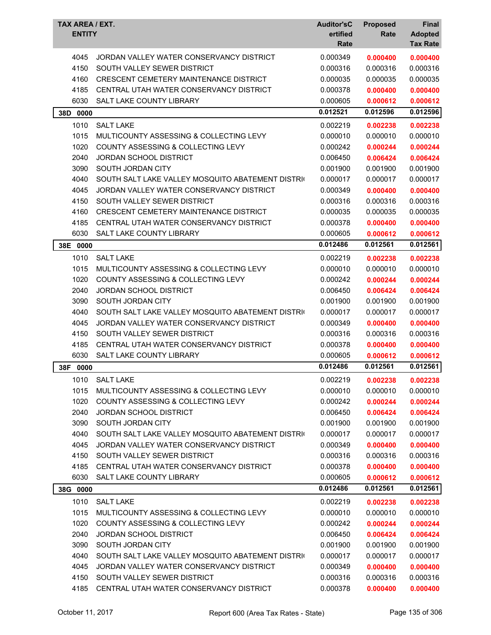| TAX AREA / EXT.<br><b>ENTITY</b> |                                                   | <b>Auditor'sC</b><br>ertified<br>Rate | <b>Proposed</b><br>Rate | Final<br><b>Adopted</b><br><b>Tax Rate</b> |
|----------------------------------|---------------------------------------------------|---------------------------------------|-------------------------|--------------------------------------------|
| 4045                             | JORDAN VALLEY WATER CONSERVANCY DISTRICT          | 0.000349                              | 0.000400                | 0.000400                                   |
| 4150                             | SOUTH VALLEY SEWER DISTRICT                       | 0.000316                              | 0.000316                | 0.000316                                   |
| 4160                             | <b>CRESCENT CEMETERY MAINTENANCE DISTRICT</b>     | 0.000035                              | 0.000035                | 0.000035                                   |
| 4185                             | CENTRAL UTAH WATER CONSERVANCY DISTRICT           | 0.000378                              | 0.000400                | 0.000400                                   |
| 6030                             | SALT LAKE COUNTY LIBRARY                          | 0.000605                              | 0.000612                | 0.000612                                   |
| 38D 0000                         |                                                   | 0.012521                              | 0.012596                | 0.012596                                   |
| 1010                             | <b>SALT LAKE</b>                                  | 0.002219                              | 0.002238                | 0.002238                                   |
| 1015                             | MULTICOUNTY ASSESSING & COLLECTING LEVY           | 0.000010                              | 0.000010                | 0.000010                                   |
| 1020                             | COUNTY ASSESSING & COLLECTING LEVY                | 0.000242                              | 0.000244                | 0.000244                                   |
| 2040                             | <b>JORDAN SCHOOL DISTRICT</b>                     | 0.006450                              | 0.006424                | 0.006424                                   |
| 3090                             | SOUTH JORDAN CITY                                 | 0.001900                              | 0.001900                | 0.001900                                   |
| 4040                             | SOUTH SALT LAKE VALLEY MOSQUITO ABATEMENT DISTRIC | 0.000017                              | 0.000017                | 0.000017                                   |
| 4045                             | JORDAN VALLEY WATER CONSERVANCY DISTRICT          | 0.000349                              | 0.000400                | 0.000400                                   |
| 4150                             | SOUTH VALLEY SEWER DISTRICT                       | 0.000316                              | 0.000316                | 0.000316                                   |
| 4160                             | CRESCENT CEMETERY MAINTENANCE DISTRICT            | 0.000035                              | 0.000035                | 0.000035                                   |
| 4185                             | CENTRAL UTAH WATER CONSERVANCY DISTRICT           | 0.000378                              | 0.000400                | 0.000400                                   |
| 6030                             | SALT LAKE COUNTY LIBRARY                          | 0.000605                              | 0.000612                | 0.000612                                   |
| 38E 0000                         |                                                   | 0.012486                              | 0.012561                | 0.012561                                   |
| 1010                             | <b>SALT LAKE</b>                                  | 0.002219                              | 0.002238                | 0.002238                                   |
| 1015                             | MULTICOUNTY ASSESSING & COLLECTING LEVY           | 0.000010                              | 0.000010                | 0.000010                                   |
| 1020                             | <b>COUNTY ASSESSING &amp; COLLECTING LEVY</b>     | 0.000242                              | 0.000244                | 0.000244                                   |
| 2040                             | JORDAN SCHOOL DISTRICT                            | 0.006450                              | 0.006424                | 0.006424                                   |
| 3090                             | SOUTH JORDAN CITY                                 | 0.001900                              | 0.001900                | 0.001900                                   |
| 4040                             | SOUTH SALT LAKE VALLEY MOSQUITO ABATEMENT DISTRIC | 0.000017                              | 0.000017                | 0.000017                                   |
| 4045                             | JORDAN VALLEY WATER CONSERVANCY DISTRICT          | 0.000349                              | 0.000400                | 0.000400                                   |
| 4150                             | SOUTH VALLEY SEWER DISTRICT                       | 0.000316                              | 0.000316                | 0.000316                                   |
| 4185                             | CENTRAL UTAH WATER CONSERVANCY DISTRICT           | 0.000378                              | 0.000400                | 0.000400                                   |
| 6030                             | SALT LAKE COUNTY LIBRARY                          | 0.000605                              | 0.000612                | 0.000612                                   |
| 38F<br>0000                      |                                                   | 0.012486                              | 0.012561                | 0.012561                                   |
| 1010                             | <b>SALT LAKE</b>                                  | 0.002219                              | 0.002238                | 0.002238                                   |
| 1015                             | MULTICOUNTY ASSESSING & COLLECTING LEVY           | 0.000010                              | 0.000010                | 0.000010                                   |
| 1020                             | COUNTY ASSESSING & COLLECTING LEVY                | 0.000242                              | 0.000244                | 0.000244                                   |
| 2040                             | JORDAN SCHOOL DISTRICT                            | 0.006450                              | 0.006424                | 0.006424                                   |
| 3090                             | SOUTH JORDAN CITY                                 | 0.001900                              | 0.001900                | 0.001900                                   |
| 4040                             | SOUTH SALT LAKE VALLEY MOSQUITO ABATEMENT DISTRIC | 0.000017                              | 0.000017                | 0.000017                                   |
| 4045                             | JORDAN VALLEY WATER CONSERVANCY DISTRICT          | 0.000349                              | 0.000400                | 0.000400                                   |
| 4150                             | SOUTH VALLEY SEWER DISTRICT                       | 0.000316                              | 0.000316                | 0.000316                                   |
| 4185                             | CENTRAL UTAH WATER CONSERVANCY DISTRICT           | 0.000378                              | 0.000400                | 0.000400                                   |
| 6030                             | SALT LAKE COUNTY LIBRARY                          | 0.000605                              | 0.000612                | 0.000612                                   |
| 38G 0000                         |                                                   | 0.012486                              | 0.012561                | 0.012561                                   |
| 1010                             | <b>SALT LAKE</b>                                  | 0.002219                              | 0.002238                | 0.002238                                   |
| 1015                             | MULTICOUNTY ASSESSING & COLLECTING LEVY           | 0.000010                              | 0.000010                | 0.000010                                   |
| 1020                             | COUNTY ASSESSING & COLLECTING LEVY                | 0.000242                              | 0.000244                | 0.000244                                   |
| 2040                             | JORDAN SCHOOL DISTRICT                            | 0.006450                              | 0.006424                | 0.006424                                   |
| 3090                             | SOUTH JORDAN CITY                                 | 0.001900                              | 0.001900                | 0.001900                                   |
| 4040                             | SOUTH SALT LAKE VALLEY MOSQUITO ABATEMENT DISTRIC | 0.000017                              | 0.000017                | 0.000017                                   |
| 4045                             | JORDAN VALLEY WATER CONSERVANCY DISTRICT          | 0.000349                              | 0.000400                | 0.000400                                   |
| 4150                             | SOUTH VALLEY SEWER DISTRICT                       | 0.000316                              | 0.000316                | 0.000316                                   |
| 4185                             | CENTRAL UTAH WATER CONSERVANCY DISTRICT           | 0.000378                              | 0.000400                | 0.000400                                   |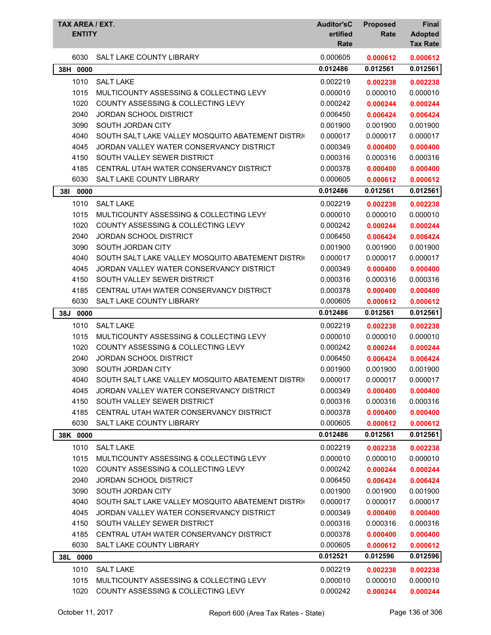| TAX AREA / EXT.<br><b>ENTITY</b> |                                                   | <b>Auditor'sC</b><br>ertified<br>Rate | <b>Proposed</b><br>Rate | <b>Final</b><br><b>Adopted</b><br><b>Tax Rate</b> |
|----------------------------------|---------------------------------------------------|---------------------------------------|-------------------------|---------------------------------------------------|
| 6030                             | <b>SALT LAKE COUNTY LIBRARY</b>                   | 0.000605                              | 0.000612                | 0.000612                                          |
| 38H 0000                         |                                                   | 0.012486                              | 0.012561                | 0.012561                                          |
| 1010                             | <b>SALT LAKE</b>                                  | 0.002219                              | 0.002238                | 0.002238                                          |
| 1015                             | MULTICOUNTY ASSESSING & COLLECTING LEVY           | 0.000010                              | 0.000010                | 0.000010                                          |
| 1020                             | <b>COUNTY ASSESSING &amp; COLLECTING LEVY</b>     | 0.000242                              | 0.000244                | 0.000244                                          |
| 2040                             | JORDAN SCHOOL DISTRICT                            | 0.006450                              | 0.006424                | 0.006424                                          |
| 3090                             | SOUTH JORDAN CITY                                 | 0.001900                              | 0.001900                | 0.001900                                          |
| 4040                             | SOUTH SALT LAKE VALLEY MOSQUITO ABATEMENT DISTRIC | 0.000017                              | 0.000017                | 0.000017                                          |
| 4045                             | JORDAN VALLEY WATER CONSERVANCY DISTRICT          | 0.000349                              | 0.000400                | 0.000400                                          |
| 4150                             | SOUTH VALLEY SEWER DISTRICT                       | 0.000316                              | 0.000316                | 0.000316                                          |
| 4185                             | CENTRAL UTAH WATER CONSERVANCY DISTRICT           | 0.000378                              | 0.000400                | 0.000400                                          |
| 6030                             | SALT LAKE COUNTY LIBRARY                          | 0.000605                              | 0.000612                | 0.000612                                          |
| 381<br>0000                      |                                                   | 0.012486                              | 0.012561                | 0.012561                                          |
| 1010                             | <b>SALT LAKE</b>                                  | 0.002219                              | 0.002238                | 0.002238                                          |
| 1015                             | MULTICOUNTY ASSESSING & COLLECTING LEVY           | 0.000010                              | 0.000010                | 0.000010                                          |
| 1020                             | <b>COUNTY ASSESSING &amp; COLLECTING LEVY</b>     | 0.000242                              | 0.000244                | 0.000244                                          |
| 2040                             | JORDAN SCHOOL DISTRICT                            | 0.006450                              | 0.006424                | 0.006424                                          |
| 3090                             | SOUTH JORDAN CITY                                 | 0.001900                              | 0.001900                | 0.001900                                          |
| 4040                             | SOUTH SALT LAKE VALLEY MOSQUITO ABATEMENT DISTRI  | 0.000017                              | 0.000017                | 0.000017                                          |
| 4045                             | JORDAN VALLEY WATER CONSERVANCY DISTRICT          | 0.000349                              | 0.000400                | 0.000400                                          |
| 4150                             | SOUTH VALLEY SEWER DISTRICT                       | 0.000316                              | 0.000316                | 0.000316                                          |
| 4185                             | CENTRAL UTAH WATER CONSERVANCY DISTRICT           | 0.000378                              | 0.000400                | 0.000400                                          |
| 6030                             | <b>SALT LAKE COUNTY LIBRARY</b>                   | 0.000605                              | 0.000612                | 0.000612                                          |
| 38J<br>0000                      |                                                   | 0.012486                              | 0.012561                | 0.012561                                          |
| 1010                             | <b>SALT LAKE</b>                                  | 0.002219                              | 0.002238                | 0.002238                                          |
| 1015                             | MULTICOUNTY ASSESSING & COLLECTING LEVY           | 0.000010                              | 0.000010                | 0.000010                                          |
| 1020                             | COUNTY ASSESSING & COLLECTING LEVY                | 0.000242                              | 0.000244                | 0.000244                                          |
| 2040                             | <b>JORDAN SCHOOL DISTRICT</b>                     | 0.006450                              | 0.006424                | 0.006424                                          |
| 3090                             | SOUTH JORDAN CITY                                 | 0.001900                              | 0.001900                | 0.001900                                          |
| 4040                             | SOUTH SALT LAKE VALLEY MOSQUITO ABATEMENT DISTRIC | 0.000017                              | 0.000017                | 0.000017                                          |
| 4045                             | JORDAN VALLEY WATER CONSERVANCY DISTRICT          | 0.000349                              | 0.000400                | 0.000400                                          |
| 4150                             | SOUTH VALLEY SEWER DISTRICT                       | 0.000316                              | 0.000316                | 0.000316                                          |
| 4185                             | CENTRAL UTAH WATER CONSERVANCY DISTRICT           | 0.000378                              | 0.000400                | 0.000400                                          |
| 6030                             | SALT LAKE COUNTY LIBRARY                          | 0.000605                              | 0.000612                | 0.000612                                          |
| 38K 0000                         |                                                   | 0.012486                              | 0.012561                | 0.012561                                          |
| 1010                             | <b>SALT LAKE</b>                                  | 0.002219                              | 0.002238                | 0.002238                                          |
| 1015                             | MULTICOUNTY ASSESSING & COLLECTING LEVY           | 0.000010                              | 0.000010                | 0.000010                                          |
| 1020                             | COUNTY ASSESSING & COLLECTING LEVY                | 0.000242                              | 0.000244                | 0.000244                                          |
| 2040                             | <b>JORDAN SCHOOL DISTRICT</b>                     | 0.006450                              | 0.006424                | 0.006424                                          |
| 3090                             | SOUTH JORDAN CITY                                 | 0.001900                              | 0.001900                | 0.001900                                          |
| 4040                             | SOUTH SALT LAKE VALLEY MOSQUITO ABATEMENT DISTRIC | 0.000017                              | 0.000017                | 0.000017                                          |
| 4045                             | JORDAN VALLEY WATER CONSERVANCY DISTRICT          | 0.000349                              | 0.000400                | 0.000400                                          |
| 4150                             | SOUTH VALLEY SEWER DISTRICT                       | 0.000316                              | 0.000316                | 0.000316                                          |
| 4185                             | CENTRAL UTAH WATER CONSERVANCY DISTRICT           | 0.000378                              | 0.000400                | 0.000400                                          |
| 6030                             | SALT LAKE COUNTY LIBRARY                          | 0.000605                              | 0.000612                | 0.000612                                          |
| 38L 0000                         |                                                   | 0.012521                              | 0.012596                | 0.012596                                          |
| 1010                             | <b>SALT LAKE</b>                                  | 0.002219                              | 0.002238                | 0.002238                                          |
| 1015                             | MULTICOUNTY ASSESSING & COLLECTING LEVY           | 0.000010                              | 0.000010                | 0.000010                                          |
| 1020                             | COUNTY ASSESSING & COLLECTING LEVY                | 0.000242                              | 0.000244                | 0.000244                                          |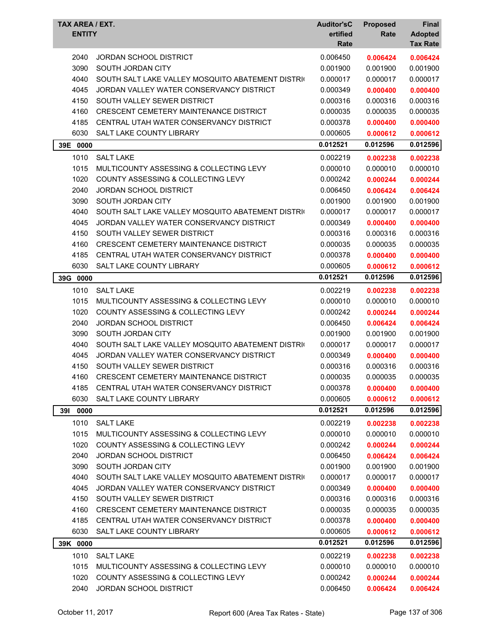| TAX AREA / EXT.<br><b>ENTITY</b> |                                                   | <b>Auditor'sC</b><br>ertified<br>Rate | <b>Proposed</b><br>Rate | Final<br><b>Adopted</b><br><b>Tax Rate</b> |
|----------------------------------|---------------------------------------------------|---------------------------------------|-------------------------|--------------------------------------------|
| 2040                             | JORDAN SCHOOL DISTRICT                            | 0.006450                              | 0.006424                | 0.006424                                   |
| 3090                             | SOUTH JORDAN CITY                                 | 0.001900                              | 0.001900                | 0.001900                                   |
| 4040                             | SOUTH SALT LAKE VALLEY MOSQUITO ABATEMENT DISTRIC | 0.000017                              | 0.000017                | 0.000017                                   |
| 4045                             | JORDAN VALLEY WATER CONSERVANCY DISTRICT          | 0.000349                              | 0.000400                | 0.000400                                   |
| 4150                             | SOUTH VALLEY SEWER DISTRICT                       | 0.000316                              | 0.000316                | 0.000316                                   |
| 4160                             | <b>CRESCENT CEMETERY MAINTENANCE DISTRICT</b>     | 0.000035                              | 0.000035                | 0.000035                                   |
| 4185                             | CENTRAL UTAH WATER CONSERVANCY DISTRICT           | 0.000378                              | 0.000400                | 0.000400                                   |
| 6030                             | SALT LAKE COUNTY LIBRARY                          | 0.000605                              | 0.000612                | 0.000612                                   |
| 39E<br>0000                      |                                                   | 0.012521                              | 0.012596                | 0.012596                                   |
| 1010                             | <b>SALT LAKE</b>                                  | 0.002219                              | 0.002238                | 0.002238                                   |
| 1015                             | MULTICOUNTY ASSESSING & COLLECTING LEVY           | 0.000010                              | 0.000010                | 0.000010                                   |
| 1020                             | <b>COUNTY ASSESSING &amp; COLLECTING LEVY</b>     | 0.000242                              | 0.000244                | 0.000244                                   |
| 2040                             | <b>JORDAN SCHOOL DISTRICT</b>                     | 0.006450                              | 0.006424                | 0.006424                                   |
| 3090                             | SOUTH JORDAN CITY                                 | 0.001900                              | 0.001900                | 0.001900                                   |
| 4040                             | SOUTH SALT LAKE VALLEY MOSQUITO ABATEMENT DISTRIC | 0.000017                              | 0.000017                | 0.000017                                   |
| 4045                             | JORDAN VALLEY WATER CONSERVANCY DISTRICT          | 0.000349                              | 0.000400                | 0.000400                                   |
| 4150                             | SOUTH VALLEY SEWER DISTRICT                       | 0.000316                              | 0.000316                | 0.000316                                   |
| 4160                             | <b>CRESCENT CEMETERY MAINTENANCE DISTRICT</b>     | 0.000035                              | 0.000035                | 0.000035                                   |
| 4185                             | CENTRAL UTAH WATER CONSERVANCY DISTRICT           | 0.000378                              | 0.000400                | 0.000400                                   |
| 6030                             | <b>SALT LAKE COUNTY LIBRARY</b>                   | 0.000605                              | 0.000612                | 0.000612                                   |
| 39G 0000                         |                                                   | 0.012521                              | 0.012596                | 0.012596                                   |
| 1010                             | <b>SALT LAKE</b>                                  | 0.002219                              | 0.002238                | 0.002238                                   |
| 1015                             | MULTICOUNTY ASSESSING & COLLECTING LEVY           | 0.000010                              | 0.000010                | 0.000010                                   |
| 1020                             | COUNTY ASSESSING & COLLECTING LEVY                | 0.000242                              | 0.000244                | 0.000244                                   |
| 2040                             | <b>JORDAN SCHOOL DISTRICT</b>                     | 0.006450                              | 0.006424                | 0.006424                                   |
| 3090                             | SOUTH JORDAN CITY                                 | 0.001900                              | 0.001900                | 0.001900                                   |
| 4040                             | SOUTH SALT LAKE VALLEY MOSQUITO ABATEMENT DISTRIC | 0.000017                              | 0.000017                | 0.000017                                   |
| 4045                             | JORDAN VALLEY WATER CONSERVANCY DISTRICT          | 0.000349                              | 0.000400                | 0.000400                                   |
| 4150                             | SOUTH VALLEY SEWER DISTRICT                       | 0.000316                              | 0.000316                | 0.000316                                   |
| 4160                             | CRESCENT CEMETERY MAINTENANCE DISTRICT            | 0.000035                              | 0.000035                | 0.000035                                   |
| 4185                             | CENTRAL UTAH WATER CONSERVANCY DISTRICT           | 0.000378                              | 0.000400                | 0.000400                                   |
| 6030                             | SALT LAKE COUNTY LIBRARY                          | 0.000605                              | 0.000612                | 0.000612                                   |
| <b>391</b><br>0000               |                                                   | 0.012521                              | 0.012596                | 0.012596                                   |
| 1010                             | <b>SALT LAKE</b>                                  | 0.002219                              | 0.002238                | 0.002238                                   |
| 1015                             | MULTICOUNTY ASSESSING & COLLECTING LEVY           | 0.000010                              | 0.000010                | 0.000010                                   |
| 1020                             | COUNTY ASSESSING & COLLECTING LEVY                | 0.000242                              | 0.000244                | 0.000244                                   |
| 2040                             | <b>JORDAN SCHOOL DISTRICT</b>                     | 0.006450                              | 0.006424                | 0.006424                                   |
| 3090                             | SOUTH JORDAN CITY                                 | 0.001900                              | 0.001900                | 0.001900                                   |
| 4040                             | SOUTH SALT LAKE VALLEY MOSQUITO ABATEMENT DISTRIC | 0.000017                              | 0.000017                | 0.000017                                   |
| 4045                             | JORDAN VALLEY WATER CONSERVANCY DISTRICT          | 0.000349                              | 0.000400                | 0.000400                                   |
| 4150                             | SOUTH VALLEY SEWER DISTRICT                       | 0.000316                              | 0.000316                | 0.000316                                   |
| 4160                             | <b>CRESCENT CEMETERY MAINTENANCE DISTRICT</b>     | 0.000035                              | 0.000035                | 0.000035                                   |
| 4185                             | CENTRAL UTAH WATER CONSERVANCY DISTRICT           | 0.000378                              | 0.000400                | 0.000400                                   |
| 6030                             | SALT LAKE COUNTY LIBRARY                          | 0.000605                              | 0.000612                | 0.000612                                   |
| 39K 0000                         |                                                   | 0.012521                              | 0.012596                | 0.012596                                   |
| 1010                             | <b>SALT LAKE</b>                                  | 0.002219                              | 0.002238                | 0.002238                                   |
| 1015                             | MULTICOUNTY ASSESSING & COLLECTING LEVY           | 0.000010                              | 0.000010                | 0.000010                                   |
| 1020                             | COUNTY ASSESSING & COLLECTING LEVY                | 0.000242                              | 0.000244                | 0.000244                                   |
| 2040                             | <b>JORDAN SCHOOL DISTRICT</b>                     | 0.006450                              | 0.006424                | 0.006424                                   |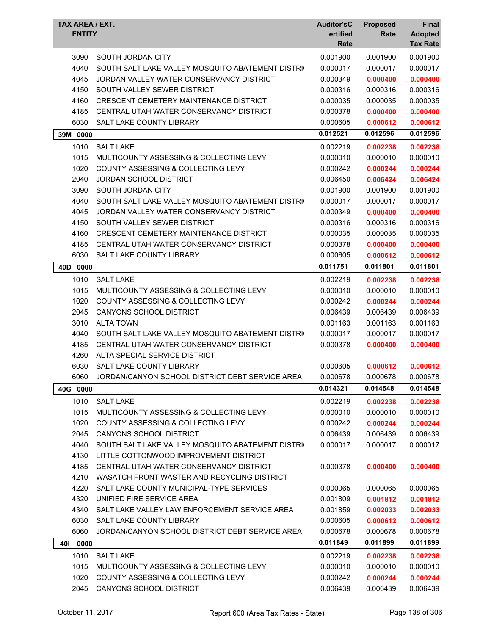| TAX AREA / EXT.<br><b>ENTITY</b> |                                                   | <b>Auditor'sC</b><br>ertified<br>Rate | <b>Proposed</b><br>Rate | Final<br><b>Adopted</b><br><b>Tax Rate</b> |
|----------------------------------|---------------------------------------------------|---------------------------------------|-------------------------|--------------------------------------------|
| 3090                             | SOUTH JORDAN CITY                                 | 0.001900                              | 0.001900                | 0.001900                                   |
| 4040                             | SOUTH SALT LAKE VALLEY MOSQUITO ABATEMENT DISTRIC | 0.000017                              | 0.000017                | 0.000017                                   |
| 4045                             | JORDAN VALLEY WATER CONSERVANCY DISTRICT          | 0.000349                              | 0.000400                | 0.000400                                   |
| 4150                             | SOUTH VALLEY SEWER DISTRICT                       | 0.000316                              | 0.000316                | 0.000316                                   |
| 4160                             | <b>CRESCENT CEMETERY MAINTENANCE DISTRICT</b>     | 0.000035                              | 0.000035                | 0.000035                                   |
| 4185                             | CENTRAL UTAH WATER CONSERVANCY DISTRICT           | 0.000378                              | 0.000400                | 0.000400                                   |
| 6030                             | <b>SALT LAKE COUNTY LIBRARY</b>                   | 0.000605                              | 0.000612                | 0.000612                                   |
| 39M 0000                         |                                                   | 0.012521                              | 0.012596                | 0.012596                                   |
|                                  |                                                   |                                       |                         |                                            |
| 1010                             | <b>SALT LAKE</b>                                  | 0.002219                              | 0.002238                | 0.002238                                   |
| 1015                             | MULTICOUNTY ASSESSING & COLLECTING LEVY           | 0.000010                              | 0.000010                | 0.000010                                   |
| 1020                             | <b>COUNTY ASSESSING &amp; COLLECTING LEVY</b>     | 0.000242                              | 0.000244                | 0.000244                                   |
| 2040                             | <b>JORDAN SCHOOL DISTRICT</b>                     | 0.006450                              | 0.006424                | 0.006424                                   |
| 3090                             | SOUTH JORDAN CITY                                 | 0.001900                              | 0.001900                | 0.001900                                   |
| 4040                             | SOUTH SALT LAKE VALLEY MOSQUITO ABATEMENT DISTRIC | 0.000017                              | 0.000017                | 0.000017                                   |
| 4045                             | JORDAN VALLEY WATER CONSERVANCY DISTRICT          | 0.000349                              | 0.000400                | 0.000400                                   |
| 4150                             | SOUTH VALLEY SEWER DISTRICT                       | 0.000316                              | 0.000316                | 0.000316                                   |
| 4160                             | CRESCENT CEMETERY MAINTENANCE DISTRICT            | 0.000035                              | 0.000035                | 0.000035                                   |
| 4185                             | CENTRAL UTAH WATER CONSERVANCY DISTRICT           | 0.000378                              | 0.000400                | 0.000400                                   |
| 6030                             | SALT LAKE COUNTY LIBRARY                          | 0.000605                              | 0.000612                | 0.000612                                   |
| 40D 0000                         |                                                   | 0.011751                              | 0.011801                | 0.011801                                   |
| 1010                             | <b>SALT LAKE</b>                                  | 0.002219                              | 0.002238                | 0.002238                                   |
| 1015                             | MULTICOUNTY ASSESSING & COLLECTING LEVY           | 0.000010                              | 0.000010                | 0.000010                                   |
| 1020                             | <b>COUNTY ASSESSING &amp; COLLECTING LEVY</b>     | 0.000242                              | 0.000244                | 0.000244                                   |
| 2045                             | <b>CANYONS SCHOOL DISTRICT</b>                    | 0.006439                              | 0.006439                | 0.006439                                   |
| 3010                             | <b>ALTA TOWN</b>                                  | 0.001163                              | 0.001163                | 0.001163                                   |
| 4040                             | SOUTH SALT LAKE VALLEY MOSQUITO ABATEMENT DISTRIC | 0.000017                              | 0.000017                | 0.000017                                   |
| 4185                             | CENTRAL UTAH WATER CONSERVANCY DISTRICT           | 0.000378                              | 0.000400                | 0.000400                                   |
| 4260                             | ALTA SPECIAL SERVICE DISTRICT                     |                                       |                         |                                            |
| 6030                             | SALT LAKE COUNTY LIBRARY                          | 0.000605                              | 0.000612                | 0.000612                                   |
| 6060                             | JORDAN/CANYON SCHOOL DISTRICT DEBT SERVICE AREA   | 0.000678                              | 0.000678                | 0.000678                                   |
| 40G 0000                         |                                                   | 0.014321                              | 0.014548                | 0.014548                                   |
| 1010                             | <b>SALT LAKE</b>                                  | 0.002219                              | 0.002238                | 0.002238                                   |
| 1015                             | MULTICOUNTY ASSESSING & COLLECTING LEVY           | 0.000010                              | 0.000010                | 0.000010                                   |
| 1020                             | COUNTY ASSESSING & COLLECTING LEVY                | 0.000242                              | 0.000244                | 0.000244                                   |
| 2045                             | <b>CANYONS SCHOOL DISTRICT</b>                    | 0.006439                              | 0.006439                | 0.006439                                   |
| 4040                             | SOUTH SALT LAKE VALLEY MOSQUITO ABATEMENT DISTRIC | 0.000017                              | 0.000017                | 0.000017                                   |
| 4130                             | LITTLE COTTONWOOD IMPROVEMENT DISTRICT            |                                       |                         |                                            |
| 4185                             | CENTRAL UTAH WATER CONSERVANCY DISTRICT           | 0.000378                              | 0.000400                | 0.000400                                   |
| 4210                             | WASATCH FRONT WASTER AND RECYCLING DISTRICT       |                                       |                         |                                            |
| 4220                             | SALT LAKE COUNTY MUNICIPAL-TYPE SERVICES          | 0.000065                              | 0.000065                | 0.000065                                   |
| 4320                             | UNIFIED FIRE SERVICE AREA                         | 0.001809                              | 0.001812                | 0.001812                                   |
| 4340                             | SALT LAKE VALLEY LAW ENFORCEMENT SERVICE AREA     | 0.001859                              | 0.002033                | 0.002033                                   |
| 6030                             | SALT LAKE COUNTY LIBRARY                          | 0.000605                              | 0.000612                | 0.000612                                   |
| 6060                             | JORDAN/CANYON SCHOOL DISTRICT DEBT SERVICE AREA   | 0.000678                              | 0.000678                | 0.000678                                   |
| 40I<br>0000                      |                                                   | 0.011849                              | 0.011899                | 0.011899                                   |
| 1010                             | <b>SALT LAKE</b>                                  | 0.002219                              | 0.002238                | 0.002238                                   |
| 1015                             | MULTICOUNTY ASSESSING & COLLECTING LEVY           | 0.000010                              | 0.000010                | 0.000010                                   |
| 1020                             | COUNTY ASSESSING & COLLECTING LEVY                | 0.000242                              | 0.000244                | 0.000244                                   |
| 2045                             | CANYONS SCHOOL DISTRICT                           | 0.006439                              | 0.006439                | 0.006439                                   |
|                                  |                                                   |                                       |                         |                                            |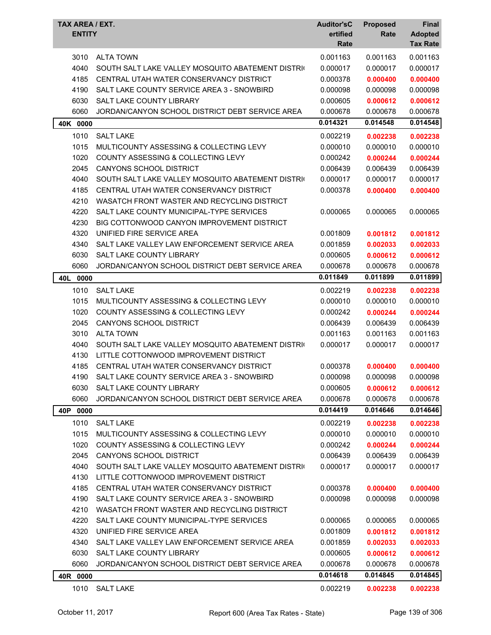| TAX AREA / EXT.<br><b>ENTITY</b> |                                                   | <b>Auditor'sC</b><br>ertified<br>Rate | <b>Proposed</b><br>Rate | Final<br><b>Adopted</b><br><b>Tax Rate</b> |
|----------------------------------|---------------------------------------------------|---------------------------------------|-------------------------|--------------------------------------------|
| 3010                             | <b>ALTA TOWN</b>                                  | 0.001163                              | 0.001163                | 0.001163                                   |
| 4040                             | SOUTH SALT LAKE VALLEY MOSQUITO ABATEMENT DISTRIC | 0.000017                              | 0.000017                | 0.000017                                   |
| 4185                             | CENTRAL UTAH WATER CONSERVANCY DISTRICT           | 0.000378                              | 0.000400                | 0.000400                                   |
| 4190                             | SALT LAKE COUNTY SERVICE AREA 3 - SNOWBIRD        | 0.000098                              | 0.000098                | 0.000098                                   |
| 6030                             | <b>SALT LAKE COUNTY LIBRARY</b>                   | 0.000605                              | 0.000612                | 0.000612                                   |
| 6060                             | JORDAN/CANYON SCHOOL DISTRICT DEBT SERVICE AREA   | 0.000678                              | 0.000678                | 0.000678                                   |
| 40K 0000                         |                                                   | 0.014321                              | 0.014548                | 0.014548                                   |
| 1010                             | <b>SALT LAKE</b>                                  | 0.002219                              | 0.002238                | 0.002238                                   |
| 1015                             | MULTICOUNTY ASSESSING & COLLECTING LEVY           | 0.000010                              | 0.000010                | 0.000010                                   |
| 1020                             | <b>COUNTY ASSESSING &amp; COLLECTING LEVY</b>     | 0.000242                              | 0.000244                | 0.000244                                   |
| 2045                             | <b>CANYONS SCHOOL DISTRICT</b>                    | 0.006439                              | 0.006439                | 0.006439                                   |
| 4040                             | SOUTH SALT LAKE VALLEY MOSQUITO ABATEMENT DISTRIC | 0.000017                              | 0.000017                | 0.000017                                   |
| 4185                             | CENTRAL UTAH WATER CONSERVANCY DISTRICT           | 0.000378                              | 0.000400                | 0.000400                                   |
| 4210                             | WASATCH FRONT WASTER AND RECYCLING DISTRICT       |                                       |                         |                                            |
| 4220                             | SALT LAKE COUNTY MUNICIPAL-TYPE SERVICES          | 0.000065                              | 0.000065                | 0.000065                                   |
| 4230                             | BIG COTTONWOOD CANYON IMPROVEMENT DISTRICT        |                                       |                         |                                            |
| 4320                             | UNIFIED FIRE SERVICE AREA                         | 0.001809                              | 0.001812                | 0.001812                                   |
| 4340                             | SALT LAKE VALLEY LAW ENFORCEMENT SERVICE AREA     | 0.001859                              | 0.002033                | 0.002033                                   |
| 6030                             | SALT LAKE COUNTY LIBRARY                          | 0.000605                              | 0.000612                | 0.000612                                   |
| 6060                             | JORDAN/CANYON SCHOOL DISTRICT DEBT SERVICE AREA   | 0.000678                              | 0.000678                | 0.000678                                   |
| 40L<br>0000                      |                                                   | 0.011849                              | 0.011899                | 0.011899                                   |
| 1010                             | <b>SALT LAKE</b>                                  | 0.002219                              | 0.002238                | 0.002238                                   |
| 1015                             | MULTICOUNTY ASSESSING & COLLECTING LEVY           | 0.000010                              | 0.000010                | 0.000010                                   |
| 1020                             | COUNTY ASSESSING & COLLECTING LEVY                | 0.000242                              | 0.000244                | 0.000244                                   |
| 2045                             | CANYONS SCHOOL DISTRICT                           | 0.006439                              | 0.006439                | 0.006439                                   |
| 3010                             | <b>ALTA TOWN</b>                                  | 0.001163                              | 0.001163                | 0.001163                                   |
| 4040                             | SOUTH SALT LAKE VALLEY MOSQUITO ABATEMENT DISTRIC | 0.000017                              | 0.000017                | 0.000017                                   |
| 4130                             | LITTLE COTTONWOOD IMPROVEMENT DISTRICT            |                                       |                         |                                            |
| 4185                             | CENTRAL UTAH WATER CONSERVANCY DISTRICT           | 0.000378                              | 0.000400                | 0.000400                                   |
| 4190                             | SALT LAKE COUNTY SERVICE AREA 3 - SNOWBIRD        | 0.000098                              | 0.000098                | 0.000098                                   |
| 6030                             | SALT LAKE COUNTY LIBRARY                          | 0.000605                              | 0.000612                | 0.000612                                   |
| 6060                             | JORDAN/CANYON SCHOOL DISTRICT DEBT SERVICE AREA   | 0.000678                              | 0.000678                | 0.000678                                   |
| 40P 0000                         |                                                   | 0.014419                              | 0.014646                | 0.014646                                   |
| 1010                             | <b>SALT LAKE</b>                                  | 0.002219                              | 0.002238                | 0.002238                                   |
| 1015                             | MULTICOUNTY ASSESSING & COLLECTING LEVY           | 0.000010                              | 0.000010                | 0.000010                                   |
| 1020                             | COUNTY ASSESSING & COLLECTING LEVY                | 0.000242                              | 0.000244                | 0.000244                                   |
| 2045                             | <b>CANYONS SCHOOL DISTRICT</b>                    | 0.006439                              | 0.006439                | 0.006439                                   |
| 4040                             | SOUTH SALT LAKE VALLEY MOSQUITO ABATEMENT DISTRIC | 0.000017                              | 0.000017                | 0.000017                                   |
| 4130                             | LITTLE COTTONWOOD IMPROVEMENT DISTRICT            |                                       |                         |                                            |
| 4185                             | CENTRAL UTAH WATER CONSERVANCY DISTRICT           | 0.000378                              | 0.000400                | 0.000400                                   |
| 4190                             | SALT LAKE COUNTY SERVICE AREA 3 - SNOWBIRD        | 0.000098                              | 0.000098                | 0.000098                                   |
| 4210                             | WASATCH FRONT WASTER AND RECYCLING DISTRICT       |                                       |                         |                                            |
| 4220                             | SALT LAKE COUNTY MUNICIPAL-TYPE SERVICES          | 0.000065                              | 0.000065                | 0.000065                                   |
| 4320                             | UNIFIED FIRE SERVICE AREA                         | 0.001809                              | 0.001812                | 0.001812                                   |
| 4340                             | SALT LAKE VALLEY LAW ENFORCEMENT SERVICE AREA     | 0.001859                              | 0.002033                | 0.002033                                   |
| 6030                             | SALT LAKE COUNTY LIBRARY                          | 0.000605                              | 0.000612                | 0.000612                                   |
| 6060                             | JORDAN/CANYON SCHOOL DISTRICT DEBT SERVICE AREA   | 0.000678                              | 0.000678                | 0.000678                                   |
| 40R 0000                         |                                                   | 0.014618                              | 0.014845                | 0.014845                                   |
| 1010                             | SALT LAKE                                         | 0.002219                              | 0.002238                | 0.002238                                   |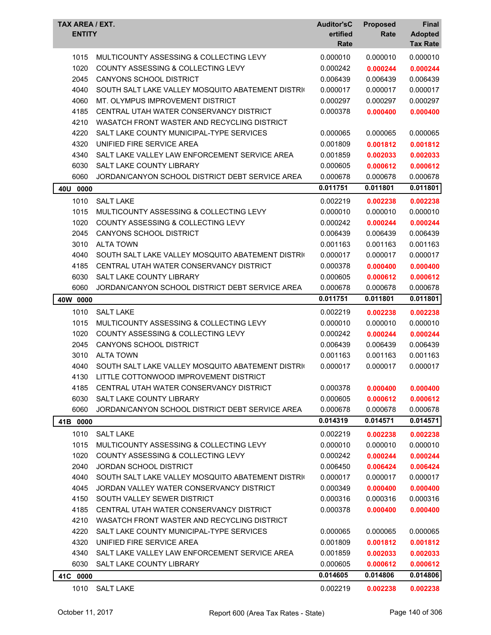| TAX AREA / EXT.<br><b>ENTITY</b> |                                                   | <b>Auditor'sC</b><br>ertified<br>Rate | <b>Proposed</b><br>Rate | Final<br><b>Adopted</b><br><b>Tax Rate</b> |
|----------------------------------|---------------------------------------------------|---------------------------------------|-------------------------|--------------------------------------------|
| 1015                             | MULTICOUNTY ASSESSING & COLLECTING LEVY           | 0.000010                              | 0.000010                | 0.000010                                   |
| 1020                             | COUNTY ASSESSING & COLLECTING LEVY                | 0.000242                              | 0.000244                | 0.000244                                   |
| 2045                             | CANYONS SCHOOL DISTRICT                           | 0.006439                              | 0.006439                | 0.006439                                   |
| 4040                             | SOUTH SALT LAKE VALLEY MOSQUITO ABATEMENT DISTRIC | 0.000017                              | 0.000017                | 0.000017                                   |
| 4060                             | MT. OLYMPUS IMPROVEMENT DISTRICT                  | 0.000297                              | 0.000297                | 0.000297                                   |
| 4185                             | CENTRAL UTAH WATER CONSERVANCY DISTRICT           | 0.000378                              | 0.000400                | 0.000400                                   |
| 4210                             | WASATCH FRONT WASTER AND RECYCLING DISTRICT       |                                       |                         |                                            |
| 4220                             | SALT LAKE COUNTY MUNICIPAL-TYPE SERVICES          | 0.000065                              | 0.000065                | 0.000065                                   |
| 4320                             | UNIFIED FIRE SERVICE AREA                         | 0.001809                              | 0.001812                | 0.001812                                   |
| 4340                             | SALT LAKE VALLEY LAW ENFORCEMENT SERVICE AREA     | 0.001859                              | 0.002033                | 0.002033                                   |
| 6030                             | <b>SALT LAKE COUNTY LIBRARY</b>                   | 0.000605                              | 0.000612                | 0.000612                                   |
| 6060                             | JORDAN/CANYON SCHOOL DISTRICT DEBT SERVICE AREA   | 0.000678                              | 0.000678                | 0.000678                                   |
| 40U 0000                         |                                                   | 0.011751                              | 0.011801                | 0.011801                                   |
| 1010                             | <b>SALT LAKE</b>                                  | 0.002219                              | 0.002238                | 0.002238                                   |
| 1015                             | MULTICOUNTY ASSESSING & COLLECTING LEVY           | 0.000010                              | 0.000010                | 0.000010                                   |
| 1020                             | <b>COUNTY ASSESSING &amp; COLLECTING LEVY</b>     | 0.000242                              | 0.000244                | 0.000244                                   |
| 2045                             | CANYONS SCHOOL DISTRICT                           | 0.006439                              | 0.006439                | 0.006439                                   |
| 3010                             | <b>ALTA TOWN</b>                                  | 0.001163                              | 0.001163                | 0.001163                                   |
| 4040                             | SOUTH SALT LAKE VALLEY MOSQUITO ABATEMENT DISTRIC | 0.000017                              | 0.000017                | 0.000017                                   |
| 4185                             | CENTRAL UTAH WATER CONSERVANCY DISTRICT           | 0.000378                              | 0.000400                | 0.000400                                   |
| 6030                             | <b>SALT LAKE COUNTY LIBRARY</b>                   | 0.000605                              | 0.000612                | 0.000612                                   |
| 6060                             | JORDAN/CANYON SCHOOL DISTRICT DEBT SERVICE AREA   | 0.000678                              | 0.000678                | 0.000678                                   |
| 40W 0000                         |                                                   | 0.011751                              | 0.011801                | 0.011801                                   |
| 1010                             | <b>SALT LAKE</b>                                  | 0.002219                              | 0.002238                | 0.002238                                   |
| 1015                             | MULTICOUNTY ASSESSING & COLLECTING LEVY           | 0.000010                              | 0.000010                | 0.000010                                   |
| 1020                             | <b>COUNTY ASSESSING &amp; COLLECTING LEVY</b>     | 0.000242                              | 0.000244                | 0.000244                                   |
| 2045                             | CANYONS SCHOOL DISTRICT                           | 0.006439                              | 0.006439                | 0.006439                                   |
| 3010                             | <b>ALTA TOWN</b>                                  | 0.001163                              | 0.001163                | 0.001163                                   |
| 4040                             | SOUTH SALT LAKE VALLEY MOSQUITO ABATEMENT DISTRIC | 0.000017                              | 0.000017                | 0.000017                                   |
| 4130                             | LITTLE COTTONWOOD IMPROVEMENT DISTRICT            |                                       |                         |                                            |
| 4185                             | CENTRAL UTAH WATER CONSERVANCY DISTRICT           | 0.000378                              | 0.000400                | 0.000400                                   |
| 6030                             | <b>SALT LAKE COUNTY LIBRARY</b>                   | 0.000605                              | 0.000612                | 0.000612                                   |
| 6060                             | JORDAN/CANYON SCHOOL DISTRICT DEBT SERVICE AREA   | 0.000678                              | 0.000678                | 0.000678                                   |
| 41B 0000                         |                                                   | 0.014319                              | 0.014571                | 0.014571                                   |
| 1010                             | <b>SALT LAKE</b>                                  | 0.002219                              | 0.002238                | 0.002238                                   |
| 1015                             | MULTICOUNTY ASSESSING & COLLECTING LEVY           | 0.000010                              | 0.000010                | 0.000010                                   |
| 1020                             | COUNTY ASSESSING & COLLECTING LEVY                | 0.000242                              | 0.000244                | 0.000244                                   |
| 2040                             | <b>JORDAN SCHOOL DISTRICT</b>                     | 0.006450                              | 0.006424                | 0.006424                                   |
| 4040                             | SOUTH SALT LAKE VALLEY MOSQUITO ABATEMENT DISTRIC | 0.000017                              | 0.000017                | 0.000017                                   |
| 4045                             | JORDAN VALLEY WATER CONSERVANCY DISTRICT          | 0.000349                              | 0.000400                | 0.000400                                   |
| 4150                             | SOUTH VALLEY SEWER DISTRICT                       | 0.000316                              | 0.000316                | 0.000316                                   |
| 4185                             | CENTRAL UTAH WATER CONSERVANCY DISTRICT           | 0.000378                              | 0.000400                | 0.000400                                   |
| 4210                             | WASATCH FRONT WASTER AND RECYCLING DISTRICT       |                                       |                         |                                            |
| 4220                             | SALT LAKE COUNTY MUNICIPAL-TYPE SERVICES          | 0.000065                              | 0.000065                | 0.000065                                   |
| 4320                             | UNIFIED FIRE SERVICE AREA                         | 0.001809                              | 0.001812                | 0.001812                                   |
| 4340                             | SALT LAKE VALLEY LAW ENFORCEMENT SERVICE AREA     | 0.001859                              | 0.002033                | 0.002033                                   |
| 6030                             | SALT LAKE COUNTY LIBRARY                          | 0.000605                              | 0.000612                | 0.000612                                   |
| 41C 0000                         |                                                   | 0.014605                              | 0.014806                | 0.014806                                   |
| 1010                             | <b>SALT LAKE</b>                                  | 0.002219                              | 0.002238                | 0.002238                                   |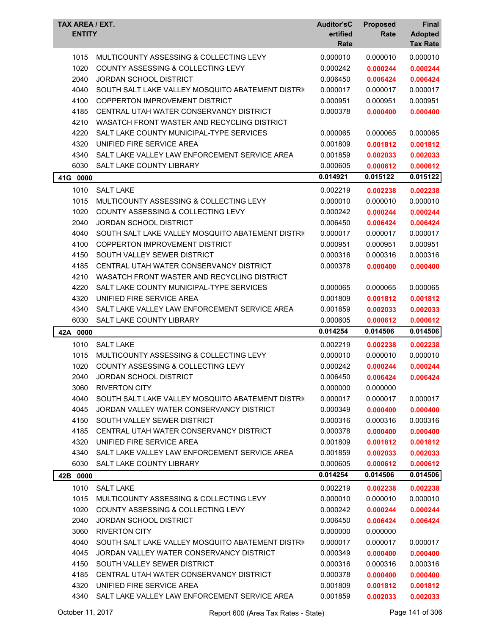| TAX AREA / EXT.<br><b>ENTITY</b> |                                                   | <b>Auditor'sC</b><br>ertified<br>Rate | <b>Proposed</b><br>Rate | Final<br><b>Adopted</b><br><b>Tax Rate</b> |
|----------------------------------|---------------------------------------------------|---------------------------------------|-------------------------|--------------------------------------------|
| 1015                             | MULTICOUNTY ASSESSING & COLLECTING LEVY           | 0.000010                              | 0.000010                | 0.000010                                   |
| 1020                             | COUNTY ASSESSING & COLLECTING LEVY                | 0.000242                              | 0.000244                | 0.000244                                   |
| 2040                             | <b>JORDAN SCHOOL DISTRICT</b>                     | 0.006450                              | 0.006424                | 0.006424                                   |
| 4040                             | SOUTH SALT LAKE VALLEY MOSQUITO ABATEMENT DISTRIC | 0.000017                              | 0.000017                | 0.000017                                   |
| 4100                             | <b>COPPERTON IMPROVEMENT DISTRICT</b>             | 0.000951                              | 0.000951                | 0.000951                                   |
| 4185                             | CENTRAL UTAH WATER CONSERVANCY DISTRICT           | 0.000378                              | 0.000400                | 0.000400                                   |
| 4210                             | WASATCH FRONT WASTER AND RECYCLING DISTRICT       |                                       |                         |                                            |
| 4220                             | SALT LAKE COUNTY MUNICIPAL-TYPE SERVICES          | 0.000065                              | 0.000065                | 0.000065                                   |
| 4320                             | UNIFIED FIRE SERVICE AREA                         | 0.001809                              | 0.001812                | 0.001812                                   |
| 4340                             | SALT LAKE VALLEY LAW ENFORCEMENT SERVICE AREA     | 0.001859                              | 0.002033                | 0.002033                                   |
| 6030                             | SALT LAKE COUNTY LIBRARY                          | 0.000605                              | 0.000612                | 0.000612                                   |
| 41G 0000                         |                                                   | 0.014921                              | 0.015122                | 0.015122                                   |
|                                  |                                                   |                                       |                         |                                            |
| 1010                             | <b>SALT LAKE</b>                                  | 0.002219                              | 0.002238                | 0.002238                                   |
| 1015                             | MULTICOUNTY ASSESSING & COLLECTING LEVY           | 0.000010                              | 0.000010                | 0.000010                                   |
| 1020                             | <b>COUNTY ASSESSING &amp; COLLECTING LEVY</b>     | 0.000242                              | 0.000244                | 0.000244                                   |
| 2040                             | <b>JORDAN SCHOOL DISTRICT</b>                     | 0.006450                              | 0.006424                | 0.006424                                   |
| 4040                             | SOUTH SALT LAKE VALLEY MOSQUITO ABATEMENT DISTRIC | 0.000017                              | 0.000017                | 0.000017                                   |
| 4100                             | <b>COPPERTON IMPROVEMENT DISTRICT</b>             | 0.000951                              | 0.000951                | 0.000951                                   |
| 4150                             | SOUTH VALLEY SEWER DISTRICT                       | 0.000316                              | 0.000316                | 0.000316                                   |
| 4185                             | CENTRAL UTAH WATER CONSERVANCY DISTRICT           | 0.000378                              | 0.000400                | 0.000400                                   |
| 4210                             | WASATCH FRONT WASTER AND RECYCLING DISTRICT       |                                       |                         |                                            |
| 4220                             | SALT LAKE COUNTY MUNICIPAL-TYPE SERVICES          | 0.000065                              | 0.000065                | 0.000065                                   |
| 4320                             | UNIFIED FIRE SERVICE AREA                         | 0.001809                              | 0.001812                | 0.001812                                   |
| 4340                             | SALT LAKE VALLEY LAW ENFORCEMENT SERVICE AREA     | 0.001859                              | 0.002033                | 0.002033                                   |
| 6030                             | SALT LAKE COUNTY LIBRARY                          | 0.000605                              | 0.000612                | 0.000612                                   |
| 42A 0000                         |                                                   | 0.014254                              | 0.014506                | 0.014506                                   |
| 1010                             | <b>SALT LAKE</b>                                  | 0.002219                              | 0.002238                | 0.002238                                   |
| 1015                             | MULTICOUNTY ASSESSING & COLLECTING LEVY           | 0.000010                              | 0.000010                | 0.000010                                   |
| 1020                             | COUNTY ASSESSING & COLLECTING LEVY                | 0.000242                              | 0.000244                | 0.000244                                   |
| 2040                             | JORDAN SCHOOL DISTRICT                            | 0.006450                              | 0.006424                | 0.006424                                   |
| 3060                             | <b>RIVERTON CITY</b>                              | 0.000000                              | 0.000000                |                                            |
| 4040                             | SOUTH SALT LAKE VALLEY MOSQUITO ABATEMENT DISTRIC | 0.000017                              | 0.000017                | 0.000017                                   |
| 4045                             | JORDAN VALLEY WATER CONSERVANCY DISTRICT          | 0.000349                              | 0.000400                | 0.000400                                   |
| 4150                             | SOUTH VALLEY SEWER DISTRICT                       | 0.000316                              | 0.000316                | 0.000316                                   |
| 4185                             | CENTRAL UTAH WATER CONSERVANCY DISTRICT           | 0.000378                              | 0.000400                | 0.000400                                   |
| 4320                             | UNIFIED FIRE SERVICE AREA                         | 0.001809                              | 0.001812                | 0.001812                                   |
| 4340                             | SALT LAKE VALLEY LAW ENFORCEMENT SERVICE AREA     | 0.001859                              | 0.002033                | 0.002033                                   |
| 6030                             | SALT LAKE COUNTY LIBRARY                          | 0.000605                              | 0.000612                | 0.000612                                   |
| 42B 0000                         |                                                   | 0.014254                              | 0.014506                | 0.014506                                   |
| 1010                             | <b>SALT LAKE</b>                                  | 0.002219                              | 0.002238                | 0.002238                                   |
| 1015                             | MULTICOUNTY ASSESSING & COLLECTING LEVY           | 0.000010                              | 0.000010                | 0.000010                                   |
| 1020                             | COUNTY ASSESSING & COLLECTING LEVY                | 0.000242                              | 0.000244                | 0.000244                                   |
| 2040                             | <b>JORDAN SCHOOL DISTRICT</b>                     | 0.006450                              | 0.006424                | 0.006424                                   |
| 3060                             | <b>RIVERTON CITY</b>                              | 0.000000                              | 0.000000                |                                            |
| 4040                             | SOUTH SALT LAKE VALLEY MOSQUITO ABATEMENT DISTRIC | 0.000017                              | 0.000017                | 0.000017                                   |
| 4045                             | JORDAN VALLEY WATER CONSERVANCY DISTRICT          | 0.000349                              | 0.000400                | 0.000400                                   |
| 4150                             | SOUTH VALLEY SEWER DISTRICT                       | 0.000316                              | 0.000316                | 0.000316                                   |
| 4185                             | CENTRAL UTAH WATER CONSERVANCY DISTRICT           | 0.000378                              | 0.000400                | 0.000400                                   |
| 4320                             | UNIFIED FIRE SERVICE AREA                         | 0.001809                              | 0.001812                | 0.001812                                   |
| 4340                             | SALT LAKE VALLEY LAW ENFORCEMENT SERVICE AREA     | 0.001859                              | 0.002033                | 0.002033                                   |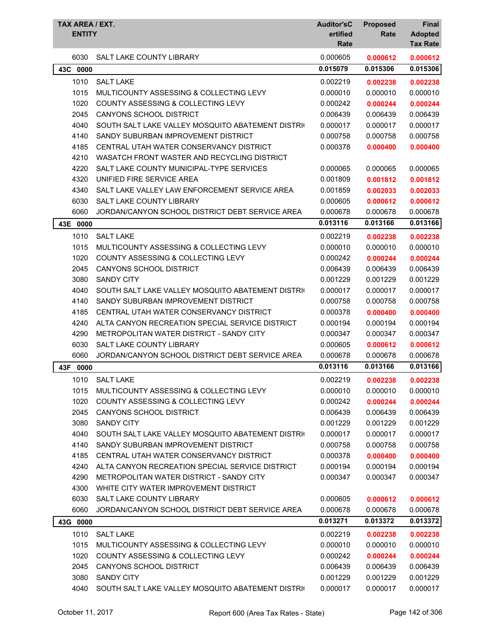| TAX AREA / EXT.<br><b>ENTITY</b> |                                                   | <b>Auditor'sC</b><br>ertified<br>Rate | <b>Proposed</b><br>Rate | <b>Final</b><br><b>Adopted</b><br><b>Tax Rate</b> |
|----------------------------------|---------------------------------------------------|---------------------------------------|-------------------------|---------------------------------------------------|
| 6030                             | <b>SALT LAKE COUNTY LIBRARY</b>                   | 0.000605                              | 0.000612                | 0.000612                                          |
| 43C 0000                         |                                                   | 0.015079                              | 0.015306                | 0.015306                                          |
| 1010                             | <b>SALT LAKE</b>                                  | 0.002219                              | 0.002238                | 0.002238                                          |
| 1015                             | MULTICOUNTY ASSESSING & COLLECTING LEVY           | 0.000010                              | 0.000010                | 0.000010                                          |
| 1020                             | <b>COUNTY ASSESSING &amp; COLLECTING LEVY</b>     | 0.000242                              | 0.000244                | 0.000244                                          |
| 2045                             | <b>CANYONS SCHOOL DISTRICT</b>                    | 0.006439                              | 0.006439                | 0.006439                                          |
| 4040                             | SOUTH SALT LAKE VALLEY MOSQUITO ABATEMENT DISTRIC | 0.000017                              | 0.000017                | 0.000017                                          |
| 4140                             | SANDY SUBURBAN IMPROVEMENT DISTRICT               | 0.000758                              | 0.000758                | 0.000758                                          |
| 4185                             | CENTRAL UTAH WATER CONSERVANCY DISTRICT           | 0.000378                              | 0.000400                | 0.000400                                          |
| 4210                             | WASATCH FRONT WASTER AND RECYCLING DISTRICT       |                                       |                         |                                                   |
| 4220                             | SALT LAKE COUNTY MUNICIPAL-TYPE SERVICES          | 0.000065                              | 0.000065                | 0.000065                                          |
| 4320                             | UNIFIED FIRE SERVICE AREA                         | 0.001809                              | 0.001812                | 0.001812                                          |
| 4340                             | SALT LAKE VALLEY LAW ENFORCEMENT SERVICE AREA     | 0.001859                              | 0.002033                | 0.002033                                          |
| 6030                             | SALT LAKE COUNTY LIBRARY                          | 0.000605                              | 0.000612                | 0.000612                                          |
| 6060                             | JORDAN/CANYON SCHOOL DISTRICT DEBT SERVICE AREA   | 0.000678                              | 0.000678                | 0.000678                                          |
| 43E 0000                         |                                                   | 0.013116                              | 0.013166                | 0.013166                                          |
| 1010                             | <b>SALT LAKE</b>                                  | 0.002219                              | 0.002238                | 0.002238                                          |
| 1015                             | MULTICOUNTY ASSESSING & COLLECTING LEVY           | 0.000010                              | 0.000010                | 0.000010                                          |
| 1020                             | COUNTY ASSESSING & COLLECTING LEVY                | 0.000242                              | 0.000244                | 0.000244                                          |
| 2045                             | CANYONS SCHOOL DISTRICT                           | 0.006439                              | 0.006439                | 0.006439                                          |
| 3080                             | <b>SANDY CITY</b>                                 | 0.001229                              | 0.001229                | 0.001229                                          |
| 4040                             | SOUTH SALT LAKE VALLEY MOSQUITO ABATEMENT DISTRIC | 0.000017                              | 0.000017                | 0.000017                                          |
| 4140                             | SANDY SUBURBAN IMPROVEMENT DISTRICT               | 0.000758                              | 0.000758                | 0.000758                                          |
| 4185                             | CENTRAL UTAH WATER CONSERVANCY DISTRICT           | 0.000378                              | 0.000400                | 0.000400                                          |
| 4240                             | ALTA CANYON RECREATION SPECIAL SERVICE DISTRICT   | 0.000194                              | 0.000194                | 0.000194                                          |
| 4290                             | METROPOLITAN WATER DISTRICT - SANDY CITY          | 0.000347                              | 0.000347                | 0.000347                                          |
| 6030                             | <b>SALT LAKE COUNTY LIBRARY</b>                   | 0.000605                              | 0.000612                | 0.000612                                          |
| 6060                             | JORDAN/CANYON SCHOOL DISTRICT DEBT SERVICE AREA   | 0.000678                              | 0.000678                | 0.000678                                          |
| 43F<br>0000                      |                                                   | 0.013116                              | 0.013166                | 0.013166                                          |
| 1010                             | <b>SALT LAKE</b>                                  | 0.002219                              | 0.002238                | 0.002238                                          |
| 1015                             | MULTICOUNTY ASSESSING & COLLECTING LEVY           | 0.000010                              | 0.000010                | 0.000010                                          |
| 1020                             | COUNTY ASSESSING & COLLECTING LEVY                | 0.000242                              | 0.000244                | 0.000244                                          |
| 2045                             | CANYONS SCHOOL DISTRICT                           | 0.006439                              | 0.006439                | 0.006439                                          |
| 3080                             | <b>SANDY CITY</b>                                 | 0.001229                              | 0.001229                | 0.001229                                          |
| 4040                             | SOUTH SALT LAKE VALLEY MOSQUITO ABATEMENT DISTRIC | 0.000017                              | 0.000017                | 0.000017                                          |
| 4140                             | SANDY SUBURBAN IMPROVEMENT DISTRICT               | 0.000758                              | 0.000758                | 0.000758                                          |
| 4185                             | CENTRAL UTAH WATER CONSERVANCY DISTRICT           | 0.000378                              | 0.000400                | 0.000400                                          |
| 4240                             | ALTA CANYON RECREATION SPECIAL SERVICE DISTRICT   | 0.000194                              | 0.000194                | 0.000194                                          |
| 4290                             | METROPOLITAN WATER DISTRICT - SANDY CITY          | 0.000347                              | 0.000347                | 0.000347                                          |
| 4300                             | WHITE CITY WATER IMPROVEMENT DISTRICT             |                                       |                         |                                                   |
| 6030                             | SALT LAKE COUNTY LIBRARY                          | 0.000605                              | 0.000612                | 0.000612                                          |
| 6060                             | JORDAN/CANYON SCHOOL DISTRICT DEBT SERVICE AREA   | 0.000678                              | 0.000678                | 0.000678                                          |
| 43G 0000                         |                                                   | 0.013271                              | 0.013372                | 0.013372                                          |
| 1010                             | <b>SALT LAKE</b>                                  | 0.002219                              | 0.002238                | 0.002238                                          |
| 1015                             | MULTICOUNTY ASSESSING & COLLECTING LEVY           | 0.000010                              | 0.000010                | 0.000010                                          |
| 1020                             | COUNTY ASSESSING & COLLECTING LEVY                | 0.000242                              | 0.000244                | 0.000244                                          |
| 2045                             | CANYONS SCHOOL DISTRICT                           | 0.006439                              | 0.006439                | 0.006439                                          |
| 3080                             | <b>SANDY CITY</b>                                 | 0.001229                              | 0.001229                | 0.001229                                          |
| 4040                             | SOUTH SALT LAKE VALLEY MOSQUITO ABATEMENT DISTRIC | 0.000017                              | 0.000017                | 0.000017                                          |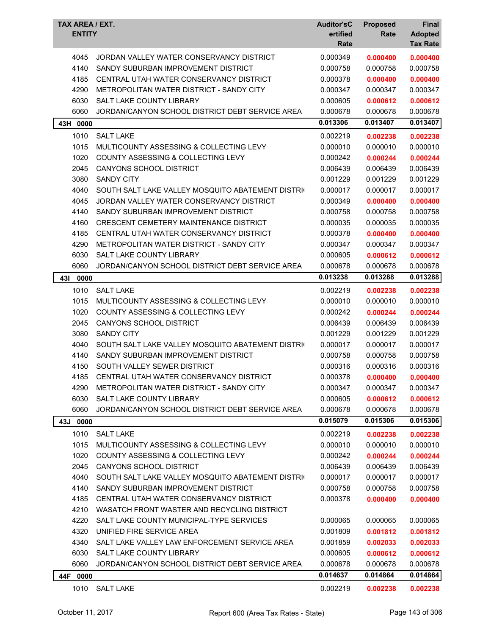| TAX AREA / EXT.<br><b>ENTITY</b> |                                                   | <b>Auditor'sC</b><br>ertified<br>Rate | <b>Proposed</b><br>Rate | Final<br><b>Adopted</b><br><b>Tax Rate</b> |
|----------------------------------|---------------------------------------------------|---------------------------------------|-------------------------|--------------------------------------------|
| 4045                             | JORDAN VALLEY WATER CONSERVANCY DISTRICT          | 0.000349                              | 0.000400                | 0.000400                                   |
| 4140                             | SANDY SUBURBAN IMPROVEMENT DISTRICT               | 0.000758                              | 0.000758                | 0.000758                                   |
| 4185                             | CENTRAL UTAH WATER CONSERVANCY DISTRICT           | 0.000378                              | 0.000400                | 0.000400                                   |
| 4290                             | METROPOLITAN WATER DISTRICT - SANDY CITY          | 0.000347                              | 0.000347                | 0.000347                                   |
| 6030                             | <b>SALT LAKE COUNTY LIBRARY</b>                   | 0.000605                              | 0.000612                | 0.000612                                   |
| 6060                             | JORDAN/CANYON SCHOOL DISTRICT DEBT SERVICE AREA   | 0.000678                              | 0.000678                | 0.000678                                   |
| 43H 0000                         |                                                   | 0.013306                              | 0.013407                | 0.013407                                   |
| 1010                             | <b>SALT LAKE</b>                                  | 0.002219                              | 0.002238                | 0.002238                                   |
| 1015                             | MULTICOUNTY ASSESSING & COLLECTING LEVY           | 0.000010                              | 0.000010                | 0.000010                                   |
| 1020                             | <b>COUNTY ASSESSING &amp; COLLECTING LEVY</b>     | 0.000242                              | 0.000244                | 0.000244                                   |
| 2045                             | <b>CANYONS SCHOOL DISTRICT</b>                    | 0.006439                              | 0.006439                | 0.006439                                   |
| 3080                             | <b>SANDY CITY</b>                                 | 0.001229                              | 0.001229                | 0.001229                                   |
| 4040                             | SOUTH SALT LAKE VALLEY MOSQUITO ABATEMENT DISTRIC | 0.000017                              | 0.000017                | 0.000017                                   |
| 4045                             | JORDAN VALLEY WATER CONSERVANCY DISTRICT          | 0.000349                              | 0.000400                | 0.000400                                   |
| 4140                             | SANDY SUBURBAN IMPROVEMENT DISTRICT               | 0.000758                              | 0.000758                | 0.000758                                   |
| 4160                             | <b>CRESCENT CEMETERY MAINTENANCE DISTRICT</b>     | 0.000035                              | 0.000035                | 0.000035                                   |
| 4185                             | CENTRAL UTAH WATER CONSERVANCY DISTRICT           | 0.000378                              | 0.000400                | 0.000400                                   |
| 4290                             | METROPOLITAN WATER DISTRICT - SANDY CITY          | 0.000347                              | 0.000347                | 0.000347                                   |
| 6030                             | <b>SALT LAKE COUNTY LIBRARY</b>                   | 0.000605                              | 0.000612                | 0.000612                                   |
| 6060                             | JORDAN/CANYON SCHOOL DISTRICT DEBT SERVICE AREA   | 0.000678                              | 0.000678                | 0.000678                                   |
| 431<br>0000                      |                                                   | 0.013238                              | 0.013288                | 0.013288                                   |
| 1010                             | <b>SALT LAKE</b>                                  | 0.002219                              | 0.002238                | 0.002238                                   |
| 1015                             | MULTICOUNTY ASSESSING & COLLECTING LEVY           | 0.000010                              | 0.000010                | 0.000010                                   |
| 1020                             | <b>COUNTY ASSESSING &amp; COLLECTING LEVY</b>     | 0.000242                              | 0.000244                | 0.000244                                   |
| 2045                             | <b>CANYONS SCHOOL DISTRICT</b>                    | 0.006439                              | 0.006439                | 0.006439                                   |
| 3080                             | <b>SANDY CITY</b>                                 | 0.001229                              | 0.001229                | 0.001229                                   |
| 4040                             | SOUTH SALT LAKE VALLEY MOSQUITO ABATEMENT DISTRIC | 0.000017                              | 0.000017                | 0.000017                                   |
| 4140                             | SANDY SUBURBAN IMPROVEMENT DISTRICT               | 0.000758                              | 0.000758                | 0.000758                                   |
| 4150                             | SOUTH VALLEY SEWER DISTRICT                       | 0.000316                              | 0.000316                | 0.000316                                   |
| 4185                             | CENTRAL UTAH WATER CONSERVANCY DISTRICT           | 0.000378                              | 0.000400                | 0.000400                                   |
| 4290                             | METROPOLITAN WATER DISTRICT - SANDY CITY          | 0.000347                              | 0.000347                | 0.000347                                   |
| 6030                             | <b>SALT LAKE COUNTY LIBRARY</b>                   | 0.000605                              | 0.000612                | 0.000612                                   |
| 6060                             | JORDAN/CANYON SCHOOL DISTRICT DEBT SERVICE AREA   | 0.000678                              | 0.000678                | 0.000678                                   |
| 43J 0000                         |                                                   | 0.015079                              | 0.015306                | 0.015306                                   |
| 1010                             | <b>SALT LAKE</b>                                  | 0.002219                              | 0.002238                | 0.002238                                   |
| 1015                             | MULTICOUNTY ASSESSING & COLLECTING LEVY           | 0.000010                              | 0.000010                | 0.000010                                   |
| 1020                             | <b>COUNTY ASSESSING &amp; COLLECTING LEVY</b>     | 0.000242                              | 0.000244                | 0.000244                                   |
| 2045                             | CANYONS SCHOOL DISTRICT                           | 0.006439                              | 0.006439                | 0.006439                                   |
| 4040                             | SOUTH SALT LAKE VALLEY MOSQUITO ABATEMENT DISTRIC | 0.000017                              | 0.000017                | 0.000017                                   |
| 4140                             | SANDY SUBURBAN IMPROVEMENT DISTRICT               | 0.000758                              | 0.000758                | 0.000758                                   |
| 4185                             | CENTRAL UTAH WATER CONSERVANCY DISTRICT           | 0.000378                              | 0.000400                | 0.000400                                   |
| 4210                             | WASATCH FRONT WASTER AND RECYCLING DISTRICT       |                                       |                         |                                            |
| 4220                             | SALT LAKE COUNTY MUNICIPAL-TYPE SERVICES          | 0.000065                              | 0.000065                | 0.000065                                   |
| 4320                             | UNIFIED FIRE SERVICE AREA                         | 0.001809                              | 0.001812                | 0.001812                                   |
| 4340                             | SALT LAKE VALLEY LAW ENFORCEMENT SERVICE AREA     | 0.001859                              | 0.002033                | 0.002033                                   |
| 6030                             | SALT LAKE COUNTY LIBRARY                          | 0.000605                              | 0.000612                | 0.000612                                   |
| 6060                             | JORDAN/CANYON SCHOOL DISTRICT DEBT SERVICE AREA   | 0.000678                              | 0.000678                | 0.000678                                   |
| 44F 0000                         |                                                   | 0.014637                              | 0.014864                | 0.014864                                   |
| 1010                             | <b>SALT LAKE</b>                                  | 0.002219                              | 0.002238                | 0.002238                                   |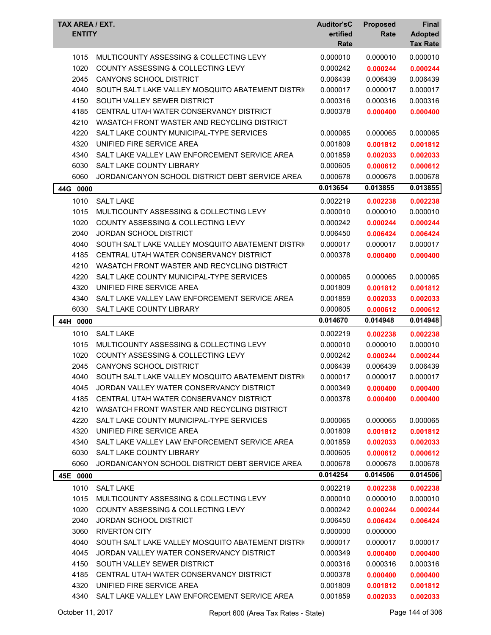| <b>ENTITY</b> | <b>TAX AREA / EXT.</b>                            | <b>Auditor'sC</b><br>ertified<br>Rate | <b>Proposed</b><br>Rate | Final<br><b>Adopted</b><br><b>Tax Rate</b> |
|---------------|---------------------------------------------------|---------------------------------------|-------------------------|--------------------------------------------|
| 1015          | MULTICOUNTY ASSESSING & COLLECTING LEVY           | 0.000010                              | 0.000010                | 0.000010                                   |
| 1020          | COUNTY ASSESSING & COLLECTING LEVY                | 0.000242                              | 0.000244                | 0.000244                                   |
| 2045          | <b>CANYONS SCHOOL DISTRICT</b>                    | 0.006439                              | 0.006439                | 0.006439                                   |
| 4040          | SOUTH SALT LAKE VALLEY MOSQUITO ABATEMENT DISTRIC | 0.000017                              | 0.000017                | 0.000017                                   |
| 4150          | SOUTH VALLEY SEWER DISTRICT                       | 0.000316                              | 0.000316                | 0.000316                                   |
| 4185          | CENTRAL UTAH WATER CONSERVANCY DISTRICT           | 0.000378                              | 0.000400                | 0.000400                                   |
| 4210          | WASATCH FRONT WASTER AND RECYCLING DISTRICT       |                                       |                         |                                            |
| 4220          | SALT LAKE COUNTY MUNICIPAL-TYPE SERVICES          | 0.000065                              | 0.000065                | 0.000065                                   |
| 4320          | UNIFIED FIRE SERVICE AREA                         | 0.001809                              | 0.001812                | 0.001812                                   |
| 4340          | SALT LAKE VALLEY LAW ENFORCEMENT SERVICE AREA     | 0.001859                              | 0.002033                | 0.002033                                   |
| 6030          | <b>SALT LAKE COUNTY LIBRARY</b>                   | 0.000605                              | 0.000612                | 0.000612                                   |
| 6060          | JORDAN/CANYON SCHOOL DISTRICT DEBT SERVICE AREA   | 0.000678                              | 0.000678                | 0.000678                                   |
| 44G 0000      |                                                   | 0.013654                              | 0.013855                | 0.013855                                   |
| 1010          | <b>SALT LAKE</b>                                  | 0.002219                              | 0.002238                | 0.002238                                   |
| 1015          | MULTICOUNTY ASSESSING & COLLECTING LEVY           | 0.000010                              | 0.000010                | 0.000010                                   |
| 1020          | COUNTY ASSESSING & COLLECTING LEVY                | 0.000242                              | 0.000244                | 0.000244                                   |
| 2040          | <b>JORDAN SCHOOL DISTRICT</b>                     | 0.006450                              | 0.006424                | 0.006424                                   |
| 4040          | SOUTH SALT LAKE VALLEY MOSQUITO ABATEMENT DISTRIC | 0.000017                              | 0.000017                | 0.000017                                   |
| 4185          | CENTRAL UTAH WATER CONSERVANCY DISTRICT           | 0.000378                              | 0.000400                | 0.000400                                   |
| 4210          | WASATCH FRONT WASTER AND RECYCLING DISTRICT       |                                       |                         |                                            |
| 4220          | SALT LAKE COUNTY MUNICIPAL-TYPE SERVICES          | 0.000065                              | 0.000065                | 0.000065                                   |
| 4320          | UNIFIED FIRE SERVICE AREA                         | 0.001809                              | 0.001812                | 0.001812                                   |
| 4340          | SALT LAKE VALLEY LAW ENFORCEMENT SERVICE AREA     | 0.001859                              | 0.002033                | 0.002033                                   |
| 6030          | SALT LAKE COUNTY LIBRARY                          | 0.000605                              | 0.000612                | 0.000612                                   |
|               |                                                   |                                       |                         |                                            |
| 44H 0000      |                                                   | 0.014670                              | 0.014948                | 0.014948                                   |
| 1010          | <b>SALT LAKE</b>                                  | 0.002219                              | 0.002238                | 0.002238                                   |
| 1015          | MULTICOUNTY ASSESSING & COLLECTING LEVY           | 0.000010                              | 0.000010                | 0.000010                                   |
| 1020          | <b>COUNTY ASSESSING &amp; COLLECTING LEVY</b>     | 0.000242                              | 0.000244                | 0.000244                                   |
| 2045          | <b>CANYONS SCHOOL DISTRICT</b>                    | 0.006439                              | 0.006439                | 0.006439                                   |
| 4040          | SOUTH SALT LAKE VALLEY MOSQUITO ABATEMENT DISTRIC | 0.000017                              | 0.000017                | 0.000017                                   |
| 4045          | JORDAN VALLEY WATER CONSERVANCY DISTRICT          | 0.000349                              | 0.000400                | 0.000400                                   |
| 4185          | CENTRAL UTAH WATER CONSERVANCY DISTRICT           | 0.000378                              | 0.000400                | 0.000400                                   |
| 4210          | WASATCH FRONT WASTER AND RECYCLING DISTRICT       |                                       |                         |                                            |
| 4220          | SALT LAKE COUNTY MUNICIPAL-TYPE SERVICES          | 0.000065                              | 0.000065                | 0.000065                                   |
| 4320          | UNIFIED FIRE SERVICE AREA                         | 0.001809                              | 0.001812                | 0.001812                                   |
| 4340          | SALT LAKE VALLEY LAW ENFORCEMENT SERVICE AREA     | 0.001859                              | 0.002033                | 0.002033                                   |
| 6030          | <b>SALT LAKE COUNTY LIBRARY</b>                   | 0.000605                              | 0.000612                | 0.000612                                   |
| 6060          | JORDAN/CANYON SCHOOL DISTRICT DEBT SERVICE AREA   | 0.000678                              | 0.000678                | 0.000678                                   |
| 45E 0000      |                                                   | 0.014254                              | 0.014506                | 0.014506                                   |
| 1010          | <b>SALT LAKE</b>                                  | 0.002219                              | 0.002238                | 0.002238                                   |
| 1015          | MULTICOUNTY ASSESSING & COLLECTING LEVY           | 0.000010                              | 0.000010                | 0.000010                                   |
| 1020          | COUNTY ASSESSING & COLLECTING LEVY                | 0.000242                              | 0.000244                | 0.000244                                   |
| 2040          | JORDAN SCHOOL DISTRICT                            | 0.006450                              | 0.006424                | 0.006424                                   |
| 3060          | <b>RIVERTON CITY</b>                              | 0.000000                              | 0.000000                |                                            |
| 4040          | SOUTH SALT LAKE VALLEY MOSQUITO ABATEMENT DISTRIC | 0.000017                              | 0.000017                | 0.000017                                   |
| 4045          | JORDAN VALLEY WATER CONSERVANCY DISTRICT          | 0.000349                              | 0.000400                | 0.000400                                   |
| 4150          | SOUTH VALLEY SEWER DISTRICT                       | 0.000316                              | 0.000316                | 0.000316                                   |
| 4185          | CENTRAL UTAH WATER CONSERVANCY DISTRICT           | 0.000378                              | 0.000400                | 0.000400                                   |
| 4320          | UNIFIED FIRE SERVICE AREA                         | 0.001809                              | 0.001812                | 0.001812                                   |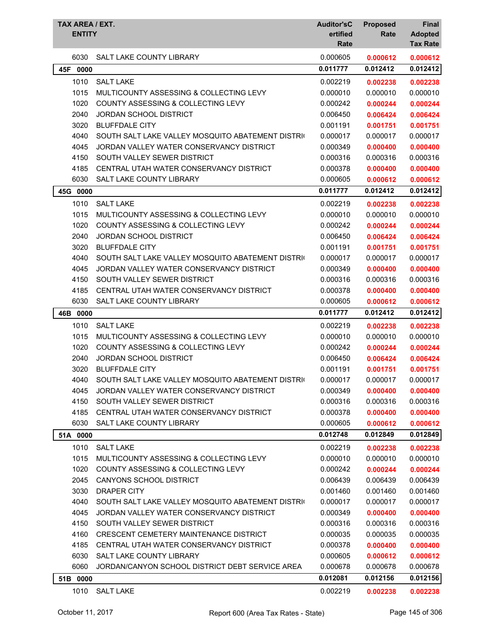| TAX AREA / EXT.<br><b>ENTITY</b> |                                                   | <b>Auditor'sC</b><br>ertified<br>Rate | <b>Proposed</b><br>Rate | <b>Final</b><br><b>Adopted</b><br><b>Tax Rate</b> |
|----------------------------------|---------------------------------------------------|---------------------------------------|-------------------------|---------------------------------------------------|
| 6030                             | SALT LAKE COUNTY LIBRARY                          | 0.000605                              | 0.000612                | 0.000612                                          |
| 45F<br>0000                      |                                                   | 0.011777                              | 0.012412                | 0.012412                                          |
| 1010                             | <b>SALT LAKE</b>                                  | 0.002219                              | 0.002238                | 0.002238                                          |
| 1015                             | MULTICOUNTY ASSESSING & COLLECTING LEVY           | 0.000010                              | 0.000010                | 0.000010                                          |
| 1020                             | <b>COUNTY ASSESSING &amp; COLLECTING LEVY</b>     | 0.000242                              | 0.000244                | 0.000244                                          |
| 2040                             | <b>JORDAN SCHOOL DISTRICT</b>                     | 0.006450                              | 0.006424                | 0.006424                                          |
| 3020                             | <b>BLUFFDALE CITY</b>                             | 0.001191                              | 0.001751                | 0.001751                                          |
| 4040                             | SOUTH SALT LAKE VALLEY MOSQUITO ABATEMENT DISTRIC | 0.000017                              | 0.000017                | 0.000017                                          |
| 4045                             | JORDAN VALLEY WATER CONSERVANCY DISTRICT          | 0.000349                              | 0.000400                | 0.000400                                          |
| 4150                             | SOUTH VALLEY SEWER DISTRICT                       | 0.000316                              | 0.000316                | 0.000316                                          |
| 4185                             | CENTRAL UTAH WATER CONSERVANCY DISTRICT           | 0.000378                              | 0.000400                | 0.000400                                          |
| 6030                             | SALT LAKE COUNTY LIBRARY                          | 0.000605                              | 0.000612                | 0.000612                                          |
| 45G 0000                         |                                                   | 0.011777                              | 0.012412                | 0.012412                                          |
| 1010                             | <b>SALT LAKE</b>                                  | 0.002219                              | 0.002238                | 0.002238                                          |
| 1015                             | MULTICOUNTY ASSESSING & COLLECTING LEVY           | 0.000010                              | 0.000010                | 0.000010                                          |
| 1020                             | <b>COUNTY ASSESSING &amp; COLLECTING LEVY</b>     | 0.000242                              | 0.000244                | 0.000244                                          |
| 2040                             | <b>JORDAN SCHOOL DISTRICT</b>                     | 0.006450                              | 0.006424                | 0.006424                                          |
| 3020                             | <b>BLUFFDALE CITY</b>                             | 0.001191                              | 0.001751                | 0.001751                                          |
| 4040                             | SOUTH SALT LAKE VALLEY MOSQUITO ABATEMENT DISTRIC | 0.000017                              | 0.000017                | 0.000017                                          |
| 4045                             | JORDAN VALLEY WATER CONSERVANCY DISTRICT          | 0.000349                              | 0.000400                | 0.000400                                          |
| 4150                             | SOUTH VALLEY SEWER DISTRICT                       | 0.000316                              | 0.000316                | 0.000316                                          |
| 4185                             | CENTRAL UTAH WATER CONSERVANCY DISTRICT           | 0.000378                              | 0.000400                | 0.000400                                          |
| 6030                             | SALT LAKE COUNTY LIBRARY                          | 0.000605                              | 0.000612                | 0.000612                                          |
| 46B 0000                         |                                                   | 0.011777                              | 0.012412                | 0.012412                                          |
| 1010                             | <b>SALT LAKE</b>                                  | 0.002219                              | 0.002238                | 0.002238                                          |
| 1015                             | MULTICOUNTY ASSESSING & COLLECTING LEVY           | 0.000010                              | 0.000010                | 0.000010                                          |
| 1020                             | COUNTY ASSESSING & COLLECTING LEVY                | 0.000242                              | 0.000244                | 0.000244                                          |
| 2040                             | <b>JORDAN SCHOOL DISTRICT</b>                     | 0.006450                              | 0.006424                | 0.006424                                          |
| 3020                             | <b>BLUFFDALE CITY</b>                             | 0.001191                              | 0.001751                | 0.001751                                          |
| 4040                             | SOUTH SALT LAKE VALLEY MOSQUITO ABATEMENT DISTRIC | 0.000017                              | 0.000017                | 0.000017                                          |
| 4045                             | JORDAN VALLEY WATER CONSERVANCY DISTRICT          | 0.000349                              | 0.000400                | 0.000400                                          |
| 4150                             | SOUTH VALLEY SEWER DISTRICT                       | 0.000316                              | 0.000316                | 0.000316                                          |
| 4185                             | CENTRAL UTAH WATER CONSERVANCY DISTRICT           | 0.000378                              | 0.000400                | 0.000400                                          |
| 6030                             | SALT LAKE COUNTY LIBRARY                          | 0.000605                              | 0.000612                | 0.000612                                          |
| 51A 0000                         |                                                   | 0.012748                              | 0.012849                | 0.012849                                          |
| 1010                             | <b>SALT LAKE</b>                                  | 0.002219                              | 0.002238                | 0.002238                                          |
| 1015                             | MULTICOUNTY ASSESSING & COLLECTING LEVY           | 0.000010                              | 0.000010                | 0.000010                                          |
| 1020                             | COUNTY ASSESSING & COLLECTING LEVY                | 0.000242                              | 0.000244                | 0.000244                                          |
| 2045                             | CANYONS SCHOOL DISTRICT                           | 0.006439                              | 0.006439                | 0.006439                                          |
| 3030                             | <b>DRAPER CITY</b>                                | 0.001460                              | 0.001460                | 0.001460                                          |
| 4040                             | SOUTH SALT LAKE VALLEY MOSQUITO ABATEMENT DISTRIC | 0.000017                              | 0.000017                | 0.000017                                          |
| 4045                             | JORDAN VALLEY WATER CONSERVANCY DISTRICT          | 0.000349                              | 0.000400                | 0.000400                                          |
| 4150                             | SOUTH VALLEY SEWER DISTRICT                       | 0.000316                              | 0.000316                | 0.000316                                          |
| 4160                             | CRESCENT CEMETERY MAINTENANCE DISTRICT            | 0.000035                              | 0.000035                | 0.000035                                          |
| 4185                             | CENTRAL UTAH WATER CONSERVANCY DISTRICT           | 0.000378                              | 0.000400                | 0.000400                                          |
| 6030                             | SALT LAKE COUNTY LIBRARY                          | 0.000605                              | 0.000612                | 0.000612                                          |
| 6060                             | JORDAN/CANYON SCHOOL DISTRICT DEBT SERVICE AREA   | 0.000678                              | 0.000678                | 0.000678                                          |
| 51B 0000                         |                                                   | 0.012081                              | 0.012156                | 0.012156                                          |
| 1010                             | <b>SALT LAKE</b>                                  | 0.002219                              | 0.002238                | 0.002238                                          |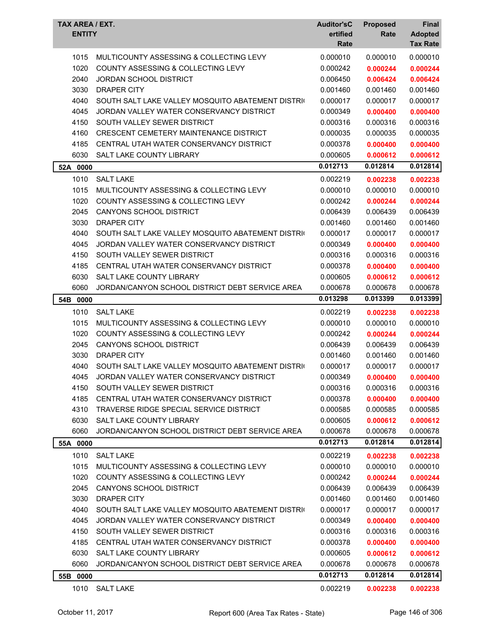| <b>TAX AREA / EXT.</b><br><b>ENTITY</b> |                                                                             | <b>Auditor'sC</b><br>ertified<br>Rate | <b>Proposed</b><br>Rate | <b>Final</b><br><b>Adopted</b><br><b>Tax Rate</b> |
|-----------------------------------------|-----------------------------------------------------------------------------|---------------------------------------|-------------------------|---------------------------------------------------|
| 1015                                    | MULTICOUNTY ASSESSING & COLLECTING LEVY                                     | 0.000010                              | 0.000010                | 0.000010                                          |
| 1020                                    | <b>COUNTY ASSESSING &amp; COLLECTING LEVY</b>                               | 0.000242                              | 0.000244                | 0.000244                                          |
| 2040                                    | <b>JORDAN SCHOOL DISTRICT</b>                                               | 0.006450                              | 0.006424                | 0.006424                                          |
| 3030                                    | <b>DRAPER CITY</b>                                                          | 0.001460                              | 0.001460                | 0.001460                                          |
| 4040                                    | SOUTH SALT LAKE VALLEY MOSQUITO ABATEMENT DISTRIC                           | 0.000017                              | 0.000017                | 0.000017                                          |
| 4045                                    | JORDAN VALLEY WATER CONSERVANCY DISTRICT                                    | 0.000349                              | 0.000400                | 0.000400                                          |
| 4150                                    | SOUTH VALLEY SEWER DISTRICT                                                 | 0.000316                              | 0.000316                | 0.000316                                          |
| 4160                                    | <b>CRESCENT CEMETERY MAINTENANCE DISTRICT</b>                               | 0.000035                              | 0.000035                | 0.000035                                          |
| 4185                                    | CENTRAL UTAH WATER CONSERVANCY DISTRICT                                     | 0.000378                              | 0.000400                | 0.000400                                          |
| 6030                                    | SALT LAKE COUNTY LIBRARY                                                    | 0.000605                              | 0.000612                | 0.000612                                          |
| 52A 0000                                |                                                                             | 0.012713                              | 0.012814                | 0.012814                                          |
| 1010                                    | <b>SALT LAKE</b>                                                            | 0.002219                              | 0.002238                | 0.002238                                          |
| 1015                                    | MULTICOUNTY ASSESSING & COLLECTING LEVY                                     | 0.000010                              | 0.000010                | 0.000010                                          |
| 1020                                    | <b>COUNTY ASSESSING &amp; COLLECTING LEVY</b>                               | 0.000242                              | 0.000244                | 0.000244                                          |
| 2045                                    | <b>CANYONS SCHOOL DISTRICT</b>                                              | 0.006439                              | 0.006439                | 0.006439                                          |
| 3030                                    | <b>DRAPER CITY</b>                                                          | 0.001460                              | 0.001460                | 0.001460                                          |
| 4040                                    | SOUTH SALT LAKE VALLEY MOSQUITO ABATEMENT DISTRIC                           | 0.000017                              | 0.000017                | 0.000017                                          |
| 4045                                    | JORDAN VALLEY WATER CONSERVANCY DISTRICT                                    | 0.000349                              | 0.000400                | 0.000400                                          |
| 4150                                    | SOUTH VALLEY SEWER DISTRICT                                                 | 0.000316                              | 0.000316                | 0.000316                                          |
| 4185                                    | CENTRAL UTAH WATER CONSERVANCY DISTRICT                                     | 0.000378                              | 0.000400                | 0.000400                                          |
| 6030                                    | SALT LAKE COUNTY LIBRARY<br>JORDAN/CANYON SCHOOL DISTRICT DEBT SERVICE AREA | 0.000605                              | 0.000612                | 0.000612                                          |
| 6060                                    |                                                                             | 0.000678<br>0.013298                  | 0.000678<br>0.013399    | 0.000678<br>0.013399                              |
| 54B 0000                                |                                                                             |                                       |                         |                                                   |
| 1010                                    | <b>SALT LAKE</b>                                                            | 0.002219                              | 0.002238                | 0.002238                                          |
| 1015                                    | MULTICOUNTY ASSESSING & COLLECTING LEVY                                     | 0.000010                              | 0.000010                | 0.000010                                          |
| 1020                                    | <b>COUNTY ASSESSING &amp; COLLECTING LEVY</b>                               | 0.000242                              | 0.000244                | 0.000244                                          |
| 2045                                    | <b>CANYONS SCHOOL DISTRICT</b>                                              | 0.006439                              | 0.006439                | 0.006439                                          |
| 3030<br>4040                            | <b>DRAPER CITY</b><br>SOUTH SALT LAKE VALLEY MOSQUITO ABATEMENT DISTRIC     | 0.001460<br>0.000017                  | 0.001460<br>0.000017    | 0.001460<br>0.000017                              |
| 4045                                    | JORDAN VALLEY WATER CONSERVANCY DISTRICT                                    | 0.000349                              | 0.000400                |                                                   |
| 4150                                    | SOUTH VALLEY SEWER DISTRICT                                                 | 0.000316                              | 0.000316                | 0.000400<br>0.000316                              |
| 4185                                    | CENTRAL UTAH WATER CONSERVANCY DISTRICT                                     | 0.000378                              | 0.000400                | 0.000400                                          |
| 4310                                    | TRAVERSE RIDGE SPECIAL SERVICE DISTRICT                                     | 0.000585                              | 0.000585                | 0.000585                                          |
| 6030                                    | SALT LAKE COUNTY LIBRARY                                                    | 0.000605                              | 0.000612                | 0.000612                                          |
| 6060                                    | JORDAN/CANYON SCHOOL DISTRICT DEBT SERVICE AREA                             | 0.000678                              | 0.000678                | 0.000678                                          |
| 55A 0000                                |                                                                             | 0.012713                              | 0.012814                | 0.012814                                          |
| 1010                                    | <b>SALT LAKE</b>                                                            | 0.002219                              | 0.002238                | 0.002238                                          |
| 1015                                    | MULTICOUNTY ASSESSING & COLLECTING LEVY                                     | 0.000010                              | 0.000010                | 0.000010                                          |
| 1020                                    | COUNTY ASSESSING & COLLECTING LEVY                                          | 0.000242                              | 0.000244                | 0.000244                                          |
| 2045                                    | CANYONS SCHOOL DISTRICT                                                     | 0.006439                              | 0.006439                | 0.006439                                          |
| 3030                                    | DRAPER CITY                                                                 | 0.001460                              | 0.001460                | 0.001460                                          |
| 4040                                    | SOUTH SALT LAKE VALLEY MOSQUITO ABATEMENT DISTRIC                           | 0.000017                              | 0.000017                | 0.000017                                          |
| 4045                                    | JORDAN VALLEY WATER CONSERVANCY DISTRICT                                    | 0.000349                              | 0.000400                | 0.000400                                          |
| 4150                                    | SOUTH VALLEY SEWER DISTRICT                                                 | 0.000316                              | 0.000316                | 0.000316                                          |
| 4185                                    | CENTRAL UTAH WATER CONSERVANCY DISTRICT                                     | 0.000378                              | 0.000400                | 0.000400                                          |
| 6030                                    | SALT LAKE COUNTY LIBRARY                                                    | 0.000605                              | 0.000612                | 0.000612                                          |
| 6060                                    | JORDAN/CANYON SCHOOL DISTRICT DEBT SERVICE AREA                             | 0.000678                              | 0.000678                | 0.000678                                          |
| 55B 0000                                |                                                                             | 0.012713                              | 0.012814                | 0.012814                                          |
| 1010                                    | SALT LAKE                                                                   | 0.002219                              | 0.002238                | 0.002238                                          |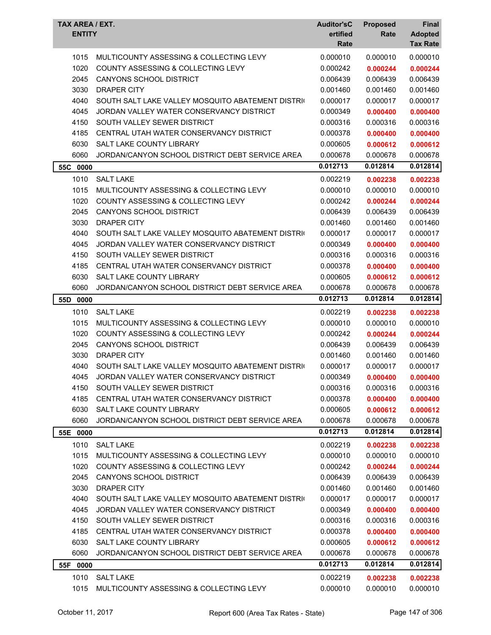| <b>TAX AREA / EXT.</b><br><b>ENTITY</b> |                                                                             | <b>Auditor'sC</b><br>ertified<br>Rate | <b>Proposed</b><br>Rate | Final<br><b>Adopted</b><br><b>Tax Rate</b> |
|-----------------------------------------|-----------------------------------------------------------------------------|---------------------------------------|-------------------------|--------------------------------------------|
| 1015                                    | MULTICOUNTY ASSESSING & COLLECTING LEVY                                     | 0.000010                              | 0.000010                | 0.000010                                   |
| 1020                                    | <b>COUNTY ASSESSING &amp; COLLECTING LEVY</b>                               | 0.000242                              | 0.000244                | 0.000244                                   |
| 2045                                    | <b>CANYONS SCHOOL DISTRICT</b>                                              | 0.006439                              | 0.006439                | 0.006439                                   |
| 3030                                    | <b>DRAPER CITY</b>                                                          | 0.001460                              | 0.001460                | 0.001460                                   |
| 4040                                    | SOUTH SALT LAKE VALLEY MOSQUITO ABATEMENT DISTRIC                           | 0.000017                              | 0.000017                | 0.000017                                   |
| 4045                                    | JORDAN VALLEY WATER CONSERVANCY DISTRICT                                    | 0.000349                              | 0.000400                | 0.000400                                   |
| 4150                                    | SOUTH VALLEY SEWER DISTRICT                                                 | 0.000316                              | 0.000316                | 0.000316                                   |
| 4185                                    | CENTRAL UTAH WATER CONSERVANCY DISTRICT                                     | 0.000378                              | 0.000400                | 0.000400                                   |
| 6030                                    | SALT LAKE COUNTY LIBRARY                                                    | 0.000605                              | 0.000612                | 0.000612                                   |
| 6060                                    | JORDAN/CANYON SCHOOL DISTRICT DEBT SERVICE AREA                             | 0.000678                              | 0.000678                | 0.000678                                   |
| 55C<br>0000                             |                                                                             | 0.012713                              | 0.012814                | 0.012814                                   |
| 1010                                    | <b>SALT LAKE</b>                                                            | 0.002219                              | 0.002238                | 0.002238                                   |
| 1015                                    | MULTICOUNTY ASSESSING & COLLECTING LEVY                                     | 0.000010                              | 0.000010                | 0.000010                                   |
| 1020                                    | <b>COUNTY ASSESSING &amp; COLLECTING LEVY</b>                               | 0.000242                              | 0.000244                | 0.000244                                   |
| 2045                                    | <b>CANYONS SCHOOL DISTRICT</b>                                              | 0.006439                              | 0.006439                | 0.006439                                   |
| 3030                                    | <b>DRAPER CITY</b>                                                          | 0.001460                              | 0.001460                | 0.001460                                   |
| 4040                                    | SOUTH SALT LAKE VALLEY MOSQUITO ABATEMENT DISTRIC                           | 0.000017                              | 0.000017                | 0.000017                                   |
| 4045                                    | JORDAN VALLEY WATER CONSERVANCY DISTRICT                                    | 0.000349                              | 0.000400                | 0.000400                                   |
| 4150                                    | SOUTH VALLEY SEWER DISTRICT                                                 | 0.000316                              | 0.000316                | 0.000316                                   |
| 4185                                    | CENTRAL UTAH WATER CONSERVANCY DISTRICT                                     | 0.000378                              | 0.000400                | 0.000400                                   |
| 6030<br>6060                            | SALT LAKE COUNTY LIBRARY<br>JORDAN/CANYON SCHOOL DISTRICT DEBT SERVICE AREA | 0.000605<br>0.000678                  | 0.000612<br>0.000678    | 0.000612<br>0.000678                       |
|                                         |                                                                             | 0.012713                              | 0.012814                | 0.012814                                   |
| 55D<br>0000                             |                                                                             |                                       |                         |                                            |
| 1010                                    | <b>SALT LAKE</b>                                                            | 0.002219                              | 0.002238                | 0.002238                                   |
| 1015                                    | MULTICOUNTY ASSESSING & COLLECTING LEVY                                     | 0.000010                              | 0.000010                | 0.000010                                   |
| 1020                                    | COUNTY ASSESSING & COLLECTING LEVY                                          | 0.000242                              | 0.000244                | 0.000244                                   |
| 2045                                    | CANYONS SCHOOL DISTRICT<br><b>DRAPER CITY</b>                               | 0.006439                              | 0.006439<br>0.001460    | 0.006439                                   |
| 3030<br>4040                            | SOUTH SALT LAKE VALLEY MOSQUITO ABATEMENT DISTRIC                           | 0.001460<br>0.000017                  | 0.000017                | 0.001460<br>0.000017                       |
| 4045                                    | JORDAN VALLEY WATER CONSERVANCY DISTRICT                                    | 0.000349                              | 0.000400                | 0.000400                                   |
| 4150                                    | SOUTH VALLEY SEWER DISTRICT                                                 | 0.000316                              | 0.000316                | 0.000316                                   |
| 4185                                    | CENTRAL UTAH WATER CONSERVANCY DISTRICT                                     | 0.000378                              | 0.000400                | 0.000400                                   |
| 6030                                    | SALT LAKE COUNTY LIBRARY                                                    | 0.000605                              | 0.000612                | 0.000612                                   |
| 6060                                    | JORDAN/CANYON SCHOOL DISTRICT DEBT SERVICE AREA                             | 0.000678                              | 0.000678                | 0.000678                                   |
| 55E 0000                                |                                                                             | 0.012713                              | 0.012814                | 0.012814                                   |
| 1010                                    | <b>SALT LAKE</b>                                                            | 0.002219                              | 0.002238                | 0.002238                                   |
| 1015                                    | MULTICOUNTY ASSESSING & COLLECTING LEVY                                     | 0.000010                              | 0.000010                | 0.000010                                   |
| 1020                                    | <b>COUNTY ASSESSING &amp; COLLECTING LEVY</b>                               | 0.000242                              | 0.000244                | 0.000244                                   |
| 2045                                    | <b>CANYONS SCHOOL DISTRICT</b>                                              | 0.006439                              | 0.006439                | 0.006439                                   |
| 3030                                    | <b>DRAPER CITY</b>                                                          | 0.001460                              | 0.001460                | 0.001460                                   |
| 4040                                    | SOUTH SALT LAKE VALLEY MOSQUITO ABATEMENT DISTRIC                           | 0.000017                              | 0.000017                | 0.000017                                   |
| 4045                                    | JORDAN VALLEY WATER CONSERVANCY DISTRICT                                    | 0.000349                              | 0.000400                | 0.000400                                   |
| 4150                                    | SOUTH VALLEY SEWER DISTRICT                                                 | 0.000316                              | 0.000316                | 0.000316                                   |
| 4185                                    | CENTRAL UTAH WATER CONSERVANCY DISTRICT                                     | 0.000378                              | 0.000400                | 0.000400                                   |
| 6030                                    | <b>SALT LAKE COUNTY LIBRARY</b>                                             | 0.000605                              | 0.000612                | 0.000612                                   |
| 6060                                    | JORDAN/CANYON SCHOOL DISTRICT DEBT SERVICE AREA                             | 0.000678                              | 0.000678                | 0.000678                                   |
| 55F<br>0000                             |                                                                             | 0.012713                              | 0.012814                | 0.012814                                   |
| 1010                                    | <b>SALT LAKE</b>                                                            | 0.002219                              | 0.002238                | 0.002238                                   |
| 1015                                    | MULTICOUNTY ASSESSING & COLLECTING LEVY                                     | 0.000010                              | 0.000010                | 0.000010                                   |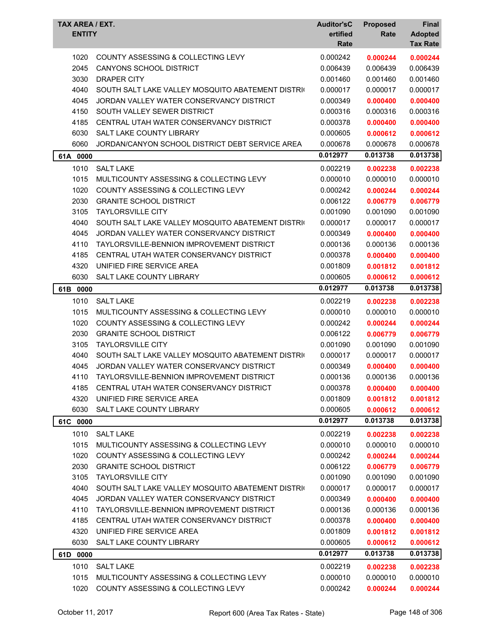| TAX AREA / EXT.<br><b>ENTITY</b> |                                                   | <b>Auditor'sC</b><br>ertified<br>Rate | <b>Proposed</b><br>Rate | Final<br><b>Adopted</b><br><b>Tax Rate</b> |
|----------------------------------|---------------------------------------------------|---------------------------------------|-------------------------|--------------------------------------------|
| 1020                             | COUNTY ASSESSING & COLLECTING LEVY                | 0.000242                              | 0.000244                | 0.000244                                   |
| 2045                             | <b>CANYONS SCHOOL DISTRICT</b>                    | 0.006439                              | 0.006439                | 0.006439                                   |
| 3030                             | <b>DRAPER CITY</b>                                | 0.001460                              | 0.001460                | 0.001460                                   |
| 4040                             | SOUTH SALT LAKE VALLEY MOSQUITO ABATEMENT DISTRIC | 0.000017                              | 0.000017                | 0.000017                                   |
| 4045                             | JORDAN VALLEY WATER CONSERVANCY DISTRICT          | 0.000349                              | 0.000400                | 0.000400                                   |
| 4150                             | SOUTH VALLEY SEWER DISTRICT                       | 0.000316                              | 0.000316                | 0.000316                                   |
| 4185                             | CENTRAL UTAH WATER CONSERVANCY DISTRICT           | 0.000378                              | 0.000400                | 0.000400                                   |
| 6030                             | <b>SALT LAKE COUNTY LIBRARY</b>                   | 0.000605                              | 0.000612                | 0.000612                                   |
| 6060                             | JORDAN/CANYON SCHOOL DISTRICT DEBT SERVICE AREA   | 0.000678                              | 0.000678                | 0.000678                                   |
| 61A 0000                         |                                                   | 0.012977                              | 0.013738                | 0.013738                                   |
| 1010                             | <b>SALT LAKE</b>                                  | 0.002219                              | 0.002238                | 0.002238                                   |
| 1015                             | MULTICOUNTY ASSESSING & COLLECTING LEVY           | 0.000010                              | 0.000010                | 0.000010                                   |
| 1020                             | COUNTY ASSESSING & COLLECTING LEVY                | 0.000242                              | 0.000244                | 0.000244                                   |
| 2030                             | <b>GRANITE SCHOOL DISTRICT</b>                    | 0.006122                              | 0.006779                | 0.006779                                   |
| 3105                             | <b>TAYLORSVILLE CITY</b>                          | 0.001090                              | 0.001090                | 0.001090                                   |
| 4040                             | SOUTH SALT LAKE VALLEY MOSQUITO ABATEMENT DISTRIC | 0.000017                              | 0.000017                | 0.000017                                   |
| 4045                             | JORDAN VALLEY WATER CONSERVANCY DISTRICT          | 0.000349                              | 0.000400                | 0.000400                                   |
| 4110                             | TAYLORSVILLE-BENNION IMPROVEMENT DISTRICT         | 0.000136                              | 0.000136                | 0.000136                                   |
| 4185                             | CENTRAL UTAH WATER CONSERVANCY DISTRICT           | 0.000378                              | 0.000400                | 0.000400                                   |
| 4320                             | UNIFIED FIRE SERVICE AREA                         | 0.001809                              | 0.001812                | 0.001812                                   |
| 6030                             | SALT LAKE COUNTY LIBRARY                          | 0.000605                              | 0.000612                | 0.000612                                   |
| 61B<br>0000                      |                                                   | 0.012977                              | 0.013738                | 0.013738                                   |
| 1010                             | <b>SALT LAKE</b>                                  | 0.002219                              | 0.002238                | 0.002238                                   |
| 1015                             | MULTICOUNTY ASSESSING & COLLECTING LEVY           | 0.000010                              | 0.000010                | 0.000010                                   |
| 1020                             | <b>COUNTY ASSESSING &amp; COLLECTING LEVY</b>     | 0.000242                              | 0.000244                | 0.000244                                   |
| 2030                             | <b>GRANITE SCHOOL DISTRICT</b>                    | 0.006122                              | 0.006779                | 0.006779                                   |
| 3105                             | <b>TAYLORSVILLE CITY</b>                          | 0.001090                              | 0.001090                | 0.001090                                   |
| 4040                             | SOUTH SALT LAKE VALLEY MOSQUITO ABATEMENT DISTRIC | 0.000017                              | 0.000017                | 0.000017                                   |
| 4045                             | JORDAN VALLEY WATER CONSERVANCY DISTRICT          | 0.000349                              | 0.000400                | 0.000400                                   |
| 4110                             | TAYI ORSVILLE-BENNION IMPROVEMENT DISTRICT        | 0.000136                              | 0.000136                | 0.000136                                   |
| 4185                             | CENTRAL UTAH WATER CONSERVANCY DISTRICT           | 0.000378                              | 0.000400                | 0.000400                                   |
| 4320                             | UNIFIED FIRE SERVICE AREA                         | 0.001809                              | 0.001812                | 0.001812                                   |
| 6030                             | SALT LAKE COUNTY LIBRARY                          | 0.000605                              | 0.000612                | 0.000612                                   |
| 61C 0000                         |                                                   | 0.012977                              | 0.013738                | 0.013738                                   |
| 1010                             | <b>SALT LAKE</b>                                  | 0.002219                              | 0.002238                | 0.002238                                   |
| 1015                             | MULTICOUNTY ASSESSING & COLLECTING LEVY           | 0.000010                              | 0.000010                | 0.000010                                   |
| 1020                             | <b>COUNTY ASSESSING &amp; COLLECTING LEVY</b>     | 0.000242                              | 0.000244                | 0.000244                                   |
| 2030                             | <b>GRANITE SCHOOL DISTRICT</b>                    | 0.006122                              | 0.006779                | 0.006779                                   |
| 3105                             | <b>TAYLORSVILLE CITY</b>                          | 0.001090                              | 0.001090                | 0.001090                                   |
| 4040                             | SOUTH SALT LAKE VALLEY MOSQUITO ABATEMENT DISTRIC | 0.000017                              | 0.000017                | 0.000017                                   |
| 4045                             | JORDAN VALLEY WATER CONSERVANCY DISTRICT          | 0.000349                              | 0.000400                | 0.000400                                   |
| 4110                             | TAYLORSVILLE-BENNION IMPROVEMENT DISTRICT         | 0.000136                              | 0.000136                | 0.000136                                   |
| 4185                             | CENTRAL UTAH WATER CONSERVANCY DISTRICT           | 0.000378                              | 0.000400                | 0.000400                                   |
| 4320                             | UNIFIED FIRE SERVICE AREA                         | 0.001809                              | 0.001812                | 0.001812                                   |
| 6030                             | SALT LAKE COUNTY LIBRARY                          | 0.000605                              | 0.000612                | 0.000612                                   |
| 61D 0000                         |                                                   | 0.012977                              | 0.013738                | 0.013738                                   |
| 1010                             | <b>SALT LAKE</b>                                  | 0.002219                              | 0.002238                | 0.002238                                   |
| 1015                             | MULTICOUNTY ASSESSING & COLLECTING LEVY           | 0.000010                              | 0.000010                | 0.000010                                   |
| 1020                             | COUNTY ASSESSING & COLLECTING LEVY                | 0.000242                              | 0.000244                | 0.000244                                   |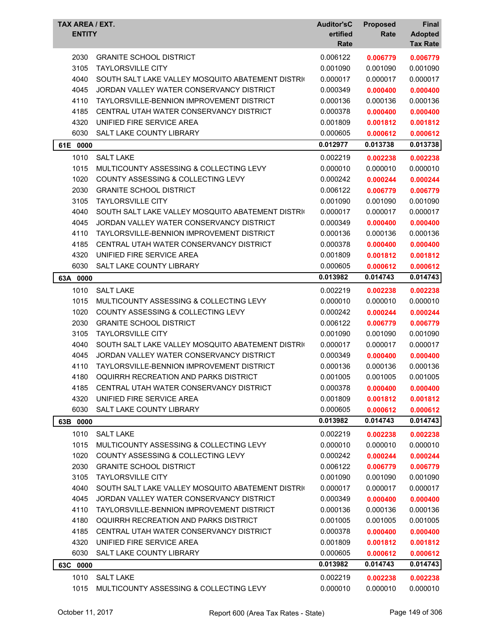| TAX AREA / EXT.<br><b>ENTITY</b> |                                                   | <b>Auditor'sC</b><br>ertified<br>Rate | <b>Proposed</b><br>Rate | Final<br><b>Adopted</b><br><b>Tax Rate</b> |
|----------------------------------|---------------------------------------------------|---------------------------------------|-------------------------|--------------------------------------------|
| 2030                             | <b>GRANITE SCHOOL DISTRICT</b>                    | 0.006122                              | 0.006779                | 0.006779                                   |
| 3105                             | <b>TAYLORSVILLE CITY</b>                          | 0.001090                              | 0.001090                | 0.001090                                   |
| 4040                             | SOUTH SALT LAKE VALLEY MOSQUITO ABATEMENT DISTRIC | 0.000017                              | 0.000017                | 0.000017                                   |
| 4045                             | JORDAN VALLEY WATER CONSERVANCY DISTRICT          | 0.000349                              | 0.000400                | 0.000400                                   |
| 4110                             | <b>TAYLORSVILLE-BENNION IMPROVEMENT DISTRICT</b>  | 0.000136                              | 0.000136                | 0.000136                                   |
| 4185                             | CENTRAL UTAH WATER CONSERVANCY DISTRICT           | 0.000378                              | 0.000400                | 0.000400                                   |
| 4320                             | UNIFIED FIRE SERVICE AREA                         | 0.001809                              | 0.001812                | 0.001812                                   |
| 6030                             | SALT LAKE COUNTY LIBRARY                          | 0.000605                              | 0.000612                | 0.000612                                   |
| 61E 0000                         |                                                   | 0.012977                              | 0.013738                | 0.013738                                   |
| 1010                             | <b>SALT LAKE</b>                                  | 0.002219                              | 0.002238                | 0.002238                                   |
| 1015                             | MULTICOUNTY ASSESSING & COLLECTING LEVY           | 0.000010                              | 0.000010                | 0.000010                                   |
| 1020                             | <b>COUNTY ASSESSING &amp; COLLECTING LEVY</b>     | 0.000242                              | 0.000244                | 0.000244                                   |
| 2030                             | <b>GRANITE SCHOOL DISTRICT</b>                    | 0.006122                              | 0.006779                | 0.006779                                   |
| 3105                             | <b>TAYLORSVILLE CITY</b>                          | 0.001090                              | 0.001090                | 0.001090                                   |
| 4040                             | SOUTH SALT LAKE VALLEY MOSQUITO ABATEMENT DISTRIC | 0.000017                              | 0.000017                | 0.000017                                   |
| 4045                             | JORDAN VALLEY WATER CONSERVANCY DISTRICT          | 0.000349                              | 0.000400                | 0.000400                                   |
| 4110                             | TAYLORSVILLE-BENNION IMPROVEMENT DISTRICT         | 0.000136                              | 0.000136                | 0.000136                                   |
| 4185                             | CENTRAL UTAH WATER CONSERVANCY DISTRICT           | 0.000378                              | 0.000400                | 0.000400                                   |
| 4320                             | UNIFIED FIRE SERVICE AREA                         | 0.001809                              | 0.001812                | 0.001812                                   |
| 6030                             | SALT LAKE COUNTY LIBRARY                          | 0.000605                              | 0.000612                | 0.000612                                   |
| 63A 0000                         |                                                   | 0.013982                              | 0.014743                | 0.014743                                   |
| 1010                             | <b>SALT LAKE</b>                                  | 0.002219                              | 0.002238                | 0.002238                                   |
| 1015                             | MULTICOUNTY ASSESSING & COLLECTING LEVY           | 0.000010                              | 0.000010                | 0.000010                                   |
| 1020                             | COUNTY ASSESSING & COLLECTING LEVY                | 0.000242                              | 0.000244                | 0.000244                                   |
| 2030                             | <b>GRANITE SCHOOL DISTRICT</b>                    | 0.006122                              | 0.006779                | 0.006779                                   |
| 3105                             | <b>TAYLORSVILLE CITY</b>                          | 0.001090                              | 0.001090                | 0.001090                                   |
| 4040                             | SOUTH SALT LAKE VALLEY MOSQUITO ABATEMENT DISTRIC | 0.000017                              | 0.000017                | 0.000017                                   |
| 4045                             | JORDAN VALLEY WATER CONSERVANCY DISTRICT          | 0.000349                              | 0.000400                | 0.000400                                   |
| 4110                             | TAYLORSVILLE-BENNION IMPROVEMENT DISTRICT         | 0.000136                              | 0.000136                | 0.000136                                   |
| 4180                             | OQUIRRH RECREATION AND PARKS DISTRICT             | 0.001005                              | 0.001005                | 0.001005                                   |
| 4185                             | CENTRAL UTAH WATER CONSERVANCY DISTRICT           | 0.000378                              | 0.000400                | 0.000400                                   |
| 4320                             | UNIFIED FIRE SERVICE AREA                         | 0.001809                              | 0.001812                | 0.001812                                   |
| 6030                             | SALT LAKE COUNTY LIBRARY                          | 0.000605                              | 0.000612                | 0.000612                                   |
| 63B 0000                         |                                                   | 0.013982                              | 0.014743                | 0.014743                                   |
| 1010                             | <b>SALT LAKE</b>                                  | 0.002219                              | 0.002238                | 0.002238                                   |
| 1015                             | MULTICOUNTY ASSESSING & COLLECTING LEVY           | 0.000010                              | 0.000010                | 0.000010                                   |
| 1020                             | COUNTY ASSESSING & COLLECTING LEVY                | 0.000242                              | 0.000244                | 0.000244                                   |
| 2030                             | <b>GRANITE SCHOOL DISTRICT</b>                    | 0.006122                              | 0.006779                | 0.006779                                   |
| 3105                             | <b>TAYLORSVILLE CITY</b>                          | 0.001090                              | 0.001090                | 0.001090                                   |
| 4040                             | SOUTH SALT LAKE VALLEY MOSQUITO ABATEMENT DISTRIC | 0.000017                              | 0.000017                | 0.000017                                   |
| 4045                             | JORDAN VALLEY WATER CONSERVANCY DISTRICT          | 0.000349                              | 0.000400                | 0.000400                                   |
| 4110                             | TAYLORSVILLE-BENNION IMPROVEMENT DISTRICT         | 0.000136                              | 0.000136                | 0.000136                                   |
| 4180                             | OQUIRRH RECREATION AND PARKS DISTRICT             | 0.001005                              | 0.001005                | 0.001005                                   |
| 4185                             | CENTRAL UTAH WATER CONSERVANCY DISTRICT           | 0.000378                              | 0.000400                | 0.000400                                   |
| 4320                             | UNIFIED FIRE SERVICE AREA                         | 0.001809                              | 0.001812                | 0.001812                                   |
| 6030                             | SALT LAKE COUNTY LIBRARY                          | 0.000605                              | 0.000612                | 0.000612                                   |
| 63C 0000                         |                                                   | 0.013982                              | 0.014743                | 0.014743                                   |
| 1010                             | <b>SALT LAKE</b>                                  | 0.002219                              | 0.002238                | 0.002238                                   |
| 1015                             | MULTICOUNTY ASSESSING & COLLECTING LEVY           | 0.000010                              | 0.000010                | 0.000010                                   |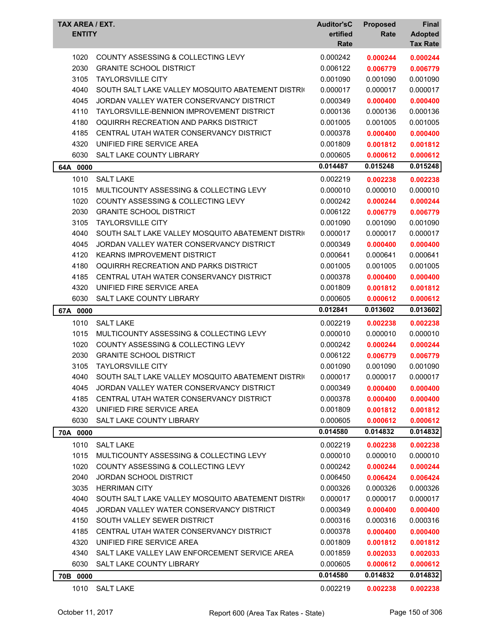| TAX AREA / EXT.<br><b>ENTITY</b> |                                                   | <b>Auditor'sC</b><br>ertified<br>Rate | <b>Proposed</b><br>Rate | Final<br><b>Adopted</b><br><b>Tax Rate</b> |
|----------------------------------|---------------------------------------------------|---------------------------------------|-------------------------|--------------------------------------------|
| 1020                             | COUNTY ASSESSING & COLLECTING LEVY                | 0.000242                              | 0.000244                | 0.000244                                   |
| 2030                             | <b>GRANITE SCHOOL DISTRICT</b>                    | 0.006122                              | 0.006779                | 0.006779                                   |
| 3105                             | <b>TAYLORSVILLE CITY</b>                          | 0.001090                              | 0.001090                | 0.001090                                   |
| 4040                             | SOUTH SALT LAKE VALLEY MOSQUITO ABATEMENT DISTRIC | 0.000017                              | 0.000017                | 0.000017                                   |
| 4045                             | JORDAN VALLEY WATER CONSERVANCY DISTRICT          | 0.000349                              | 0.000400                | 0.000400                                   |
| 4110                             | <b>TAYLORSVILLE-BENNION IMPROVEMENT DISTRICT</b>  | 0.000136                              | 0.000136                | 0.000136                                   |
| 4180                             | OQUIRRH RECREATION AND PARKS DISTRICT             | 0.001005                              | 0.001005                | 0.001005                                   |
| 4185                             | CENTRAL UTAH WATER CONSERVANCY DISTRICT           | 0.000378                              | 0.000400                | 0.000400                                   |
| 4320                             | UNIFIED FIRE SERVICE AREA                         | 0.001809                              | 0.001812                | 0.001812                                   |
| 6030                             | <b>SALT LAKE COUNTY LIBRARY</b>                   | 0.000605                              | 0.000612                | 0.000612                                   |
| 64A 0000                         |                                                   | 0.014487                              | 0.015248                | 0.015248                                   |
| 1010                             | <b>SALT LAKE</b>                                  | 0.002219                              | 0.002238                | 0.002238                                   |
| 1015                             | MULTICOUNTY ASSESSING & COLLECTING LEVY           | 0.000010                              | 0.000010                | 0.000010                                   |
| 1020                             | COUNTY ASSESSING & COLLECTING LEVY                | 0.000242                              | 0.000244                | 0.000244                                   |
| 2030                             | <b>GRANITE SCHOOL DISTRICT</b>                    | 0.006122                              | 0.006779                | 0.006779                                   |
| 3105                             | <b>TAYLORSVILLE CITY</b>                          | 0.001090                              | 0.001090                | 0.001090                                   |
| 4040                             | SOUTH SALT LAKE VALLEY MOSQUITO ABATEMENT DISTRIC | 0.000017                              | 0.000017                | 0.000017                                   |
| 4045                             | JORDAN VALLEY WATER CONSERVANCY DISTRICT          | 0.000349                              | 0.000400                | 0.000400                                   |
| 4120                             | KEARNS IMPROVEMENT DISTRICT                       | 0.000641                              | 0.000641                | 0.000641                                   |
| 4180                             | OQUIRRH RECREATION AND PARKS DISTRICT             | 0.001005                              | 0.001005                | 0.001005                                   |
| 4185                             | CENTRAL UTAH WATER CONSERVANCY DISTRICT           | 0.000378                              | 0.000400                | 0.000400                                   |
| 4320                             | UNIFIED FIRE SERVICE AREA                         | 0.001809                              | 0.001812                | 0.001812                                   |
| 6030                             | SALT LAKE COUNTY LIBRARY                          | 0.000605                              | 0.000612                | 0.000612                                   |
| 67A 0000                         |                                                   | 0.012841                              | 0.013602                | 0.013602                                   |
| 1010                             | <b>SALT LAKE</b>                                  | 0.002219                              | 0.002238                | 0.002238                                   |
| 1015                             | MULTICOUNTY ASSESSING & COLLECTING LEVY           | 0.000010                              | 0.000010                | 0.000010                                   |
| 1020                             | COUNTY ASSESSING & COLLECTING LEVY                | 0.000242                              | 0.000244                | 0.000244                                   |
| 2030                             | <b>GRANITE SCHOOL DISTRICT</b>                    | 0.006122                              | 0.006779                | 0.006779                                   |
| 3105                             | <b>TAYLORSVILLE CITY</b>                          | 0.001090                              | 0.001090                | 0.001090                                   |
| 4040                             | SOUTH SALT LAKE VALLEY MOSOUITO ABATEMENT DISTRIC | 0.000017                              | 0.000017                | 0.000017                                   |
| 4045                             | JORDAN VALLEY WATER CONSERVANCY DISTRICT          | 0.000349                              | 0.000400                | 0.000400                                   |
| 4185                             | CENTRAL UTAH WATER CONSERVANCY DISTRICT           | 0.000378                              | 0.000400                | 0.000400                                   |
| 4320                             | UNIFIED FIRE SERVICE AREA                         | 0.001809                              | 0.001812                | 0.001812                                   |
| 6030                             | SALT LAKE COUNTY LIBRARY                          | 0.000605                              | 0.000612                | 0.000612                                   |
| 70A 0000                         |                                                   | 0.014580                              | 0.014832                | 0.014832                                   |
| 1010                             | <b>SALT LAKE</b>                                  | 0.002219                              | 0.002238                | 0.002238                                   |
| 1015                             | MULTICOUNTY ASSESSING & COLLECTING LEVY           | 0.000010                              | 0.000010                | 0.000010                                   |
| 1020                             | <b>COUNTY ASSESSING &amp; COLLECTING LEVY</b>     | 0.000242                              | 0.000244                | 0.000244                                   |
| 2040                             | <b>JORDAN SCHOOL DISTRICT</b>                     | 0.006450                              | 0.006424                | 0.006424                                   |
| 3035                             | <b>HERRIMAN CITY</b>                              | 0.000326                              | 0.000326                | 0.000326                                   |
| 4040                             | SOUTH SALT LAKE VALLEY MOSQUITO ABATEMENT DISTRIC | 0.000017                              | 0.000017                | 0.000017                                   |
| 4045                             | JORDAN VALLEY WATER CONSERVANCY DISTRICT          | 0.000349                              | 0.000400                | 0.000400                                   |
| 4150                             | SOUTH VALLEY SEWER DISTRICT                       | 0.000316                              | 0.000316                | 0.000316                                   |
| 4185                             | CENTRAL UTAH WATER CONSERVANCY DISTRICT           | 0.000378                              | 0.000400                | 0.000400                                   |
| 4320                             | UNIFIED FIRE SERVICE AREA                         | 0.001809                              | 0.001812                | 0.001812                                   |
| 4340                             | SALT LAKE VALLEY LAW ENFORCEMENT SERVICE AREA     | 0.001859                              | 0.002033                | 0.002033                                   |
| 6030                             | SALT LAKE COUNTY LIBRARY                          | 0.000605                              | 0.000612                | 0.000612                                   |
| 70B 0000                         |                                                   | 0.014580                              | 0.014832                | 0.014832                                   |
| 1010                             | <b>SALT LAKE</b>                                  | 0.002219                              | 0.002238                | 0.002238                                   |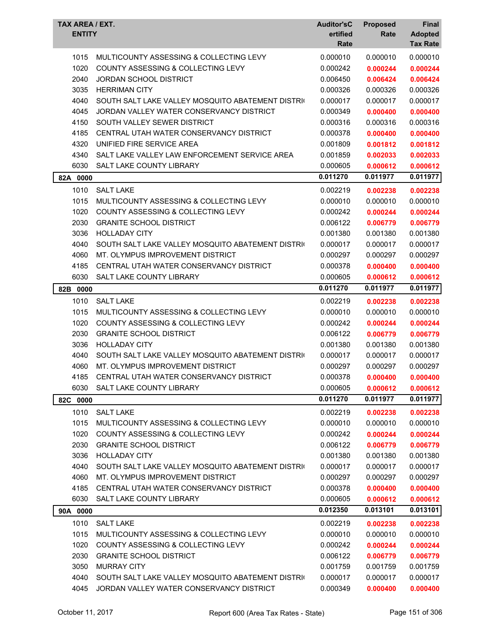| TAX AREA / EXT.<br><b>Auditor'sC</b><br><b>Proposed</b><br><b>ENTITY</b><br>ertified<br>Rate | <b>Final</b><br><b>Adopted</b> |
|----------------------------------------------------------------------------------------------|--------------------------------|
| Rate                                                                                         | <b>Tax Rate</b>                |
| 0.000010<br>1015<br>MULTICOUNTY ASSESSING & COLLECTING LEVY<br>0.000010                      | 0.000010                       |
| 1020<br>COUNTY ASSESSING & COLLECTING LEVY<br>0.000242<br>0.000244                           | 0.000244                       |
| 2040<br><b>JORDAN SCHOOL DISTRICT</b><br>0.006450<br>0.006424                                | 0.006424                       |
| 3035<br><b>HERRIMAN CITY</b><br>0.000326<br>0.000326                                         | 0.000326                       |
| 4040<br>0.000017<br>SOUTH SALT LAKE VALLEY MOSQUITO ABATEMENT DISTRIC<br>0.000017            | 0.000017                       |
| 4045<br>JORDAN VALLEY WATER CONSERVANCY DISTRICT<br>0.000349<br>0.000400                     | 0.000400                       |
| 4150<br>SOUTH VALLEY SEWER DISTRICT<br>0.000316<br>0.000316                                  | 0.000316                       |
| 4185<br>CENTRAL UTAH WATER CONSERVANCY DISTRICT<br>0.000378<br>0.000400                      | 0.000400                       |
| 4320<br>UNIFIED FIRE SERVICE AREA<br>0.001809<br>0.001812                                    | 0.001812                       |
| 4340<br>SALT LAKE VALLEY LAW ENFORCEMENT SERVICE AREA<br>0.001859<br>0.002033                | 0.002033                       |
| 6030<br>SALT LAKE COUNTY LIBRARY<br>0.000605<br>0.000612                                     | 0.000612                       |
| 0.011270<br>0.011977<br>82A 0000                                                             | 0.011977                       |
| 1010<br><b>SALT LAKE</b><br>0.002219<br>0.002238                                             | 0.002238                       |
| MULTICOUNTY ASSESSING & COLLECTING LEVY<br>1015<br>0.000010<br>0.000010                      | 0.000010                       |
| 1020<br>COUNTY ASSESSING & COLLECTING LEVY<br>0.000242<br>0.000244                           | 0.000244                       |
| 2030<br><b>GRANITE SCHOOL DISTRICT</b><br>0.006122<br>0.006779                               | 0.006779                       |
| 3036<br><b>HOLLADAY CITY</b><br>0.001380<br>0.001380                                         | 0.001380                       |
| 4040<br>SOUTH SALT LAKE VALLEY MOSQUITO ABATEMENT DISTRIC<br>0.000017<br>0.000017            | 0.000017                       |
| 4060<br>MT. OLYMPUS IMPROVEMENT DISTRICT<br>0.000297<br>0.000297                             | 0.000297                       |
| 4185<br>CENTRAL UTAH WATER CONSERVANCY DISTRICT<br>0.000378<br>0.000400                      | 0.000400                       |
| 6030<br>SALT LAKE COUNTY LIBRARY<br>0.000605<br>0.000612                                     | 0.000612                       |
| 0.011270<br>0.011977<br>82B<br>0000                                                          | 0.011977                       |
| 1010<br><b>SALT LAKE</b><br>0.002219<br>0.002238                                             | 0.002238                       |
| 1015<br>MULTICOUNTY ASSESSING & COLLECTING LEVY<br>0.000010<br>0.000010                      | 0.000010                       |
| 1020<br><b>COUNTY ASSESSING &amp; COLLECTING LEVY</b><br>0.000242<br>0.000244                | 0.000244                       |
| 2030<br><b>GRANITE SCHOOL DISTRICT</b><br>0.006122<br>0.006779                               | 0.006779                       |
| 3036<br><b>HOLLADAY CITY</b><br>0.001380<br>0.001380                                         | 0.001380                       |
| SOUTH SALT LAKE VALLEY MOSQUITO ABATEMENT DISTRIC<br>4040<br>0.000017<br>0.000017            | 0.000017                       |
| 4060<br>MT. OLYMPUS IMPROVEMENT DISTRICT<br>0.000297<br>0.000297                             | 0.000297                       |
| CENTRAL UTAH WATER CONSERVANCY DISTRICT<br>4185<br>0.000378<br>0.000400                      | 0.000400                       |
| SALT LAKE COUNTY LIBRARY<br>0.000605<br>6030<br>0.000612                                     | 0.000612                       |
| 0.011270<br>0.011977<br>82C 0000                                                             | 0.011977                       |
| 1010<br><b>SALT LAKE</b><br>0.002219<br>0.002238                                             | 0.002238                       |
| 1015<br>MULTICOUNTY ASSESSING & COLLECTING LEVY<br>0.000010<br>0.000010                      | 0.000010                       |
| 1020<br>COUNTY ASSESSING & COLLECTING LEVY<br>0.000242<br>0.000244                           | 0.000244                       |
| 2030<br><b>GRANITE SCHOOL DISTRICT</b><br>0.006122<br>0.006779                               | 0.006779                       |
| 3036<br><b>HOLLADAY CITY</b><br>0.001380<br>0.001380                                         | 0.001380                       |
| 4040<br>SOUTH SALT LAKE VALLEY MOSQUITO ABATEMENT DISTRIC<br>0.000017<br>0.000017            | 0.000017                       |
| MT. OLYMPUS IMPROVEMENT DISTRICT<br>4060<br>0.000297<br>0.000297                             | 0.000297                       |
| 4185<br>CENTRAL UTAH WATER CONSERVANCY DISTRICT<br>0.000378<br>0.000400                      | 0.000400                       |
| 6030<br>SALT LAKE COUNTY LIBRARY<br>0.000605<br>0.000612                                     | 0.000612                       |
| 0.012350<br>0.013101<br>90A 0000                                                             | 0.013101                       |
| 1010<br><b>SALT LAKE</b><br>0.002219<br>0.002238                                             | 0.002238                       |
| 1015<br>MULTICOUNTY ASSESSING & COLLECTING LEVY<br>0.000010<br>0.000010                      | 0.000010                       |
| 1020<br>COUNTY ASSESSING & COLLECTING LEVY<br>0.000242<br>0.000244                           | 0.000244                       |
| 2030<br><b>GRANITE SCHOOL DISTRICT</b><br>0.006122<br>0.006779                               | 0.006779                       |
| 3050<br><b>MURRAY CITY</b><br>0.001759<br>0.001759                                           | 0.001759                       |
| 4040<br>SOUTH SALT LAKE VALLEY MOSQUITO ABATEMENT DISTRIC<br>0.000017<br>0.000017            | 0.000017                       |
| 4045<br>JORDAN VALLEY WATER CONSERVANCY DISTRICT<br>0.000349<br>0.000400                     | 0.000400                       |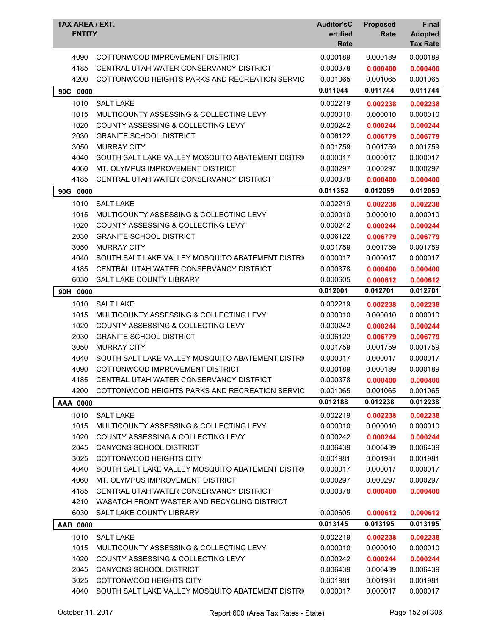| <b>TAX AREA / EXT.</b><br><b>ENTITY</b> |                                                   | <b>Auditor'sC</b><br>ertified<br>Rate | <b>Proposed</b><br>Rate | <b>Final</b><br><b>Adopted</b><br><b>Tax Rate</b> |
|-----------------------------------------|---------------------------------------------------|---------------------------------------|-------------------------|---------------------------------------------------|
| 4090                                    | COTTONWOOD IMPROVEMENT DISTRICT                   | 0.000189                              | 0.000189                | 0.000189                                          |
| 4185                                    | CENTRAL UTAH WATER CONSERVANCY DISTRICT           | 0.000378                              | 0.000400                | 0.000400                                          |
| 4200                                    | COTTONWOOD HEIGHTS PARKS AND RECREATION SERVIC    | 0.001065                              | 0.001065                | 0.001065                                          |
| 90C<br>0000                             |                                                   | 0.011044                              | 0.011744                | 0.011744                                          |
| 1010                                    | <b>SALT LAKE</b>                                  | 0.002219                              | 0.002238                | 0.002238                                          |
| 1015                                    | MULTICOUNTY ASSESSING & COLLECTING LEVY           | 0.000010                              | 0.000010                | 0.000010                                          |
| 1020                                    | COUNTY ASSESSING & COLLECTING LEVY                | 0.000242                              | 0.000244                | 0.000244                                          |
| 2030                                    | <b>GRANITE SCHOOL DISTRICT</b>                    | 0.006122                              | 0.006779                | 0.006779                                          |
| 3050                                    | <b>MURRAY CITY</b>                                | 0.001759                              | 0.001759                | 0.001759                                          |
| 4040                                    | SOUTH SALT LAKE VALLEY MOSQUITO ABATEMENT DISTRIC | 0.000017                              | 0.000017                | 0.000017                                          |
| 4060                                    | MT. OLYMPUS IMPROVEMENT DISTRICT                  | 0.000297                              | 0.000297                | 0.000297                                          |
| 4185                                    | CENTRAL UTAH WATER CONSERVANCY DISTRICT           | 0.000378                              | 0.000400                | 0.000400                                          |
| 90G 0000                                |                                                   | 0.011352                              | 0.012059                | 0.012059                                          |
| 1010                                    | <b>SALT LAKE</b>                                  | 0.002219                              | 0.002238                | 0.002238                                          |
| 1015                                    | MULTICOUNTY ASSESSING & COLLECTING LEVY           | 0.000010                              | 0.000010                | 0.000010                                          |
| 1020                                    | <b>COUNTY ASSESSING &amp; COLLECTING LEVY</b>     | 0.000242                              | 0.000244                | 0.000244                                          |
| 2030                                    | <b>GRANITE SCHOOL DISTRICT</b>                    | 0.006122                              | 0.006779                | 0.006779                                          |
| 3050                                    | <b>MURRAY CITY</b>                                | 0.001759                              | 0.001759                | 0.001759                                          |
| 4040                                    | SOUTH SALT LAKE VALLEY MOSQUITO ABATEMENT DISTRIC | 0.000017                              | 0.000017                | 0.000017                                          |
| 4185                                    | CENTRAL UTAH WATER CONSERVANCY DISTRICT           | 0.000378                              | 0.000400                | 0.000400                                          |
| 6030                                    | SALT LAKE COUNTY LIBRARY                          | 0.000605                              | 0.000612                | 0.000612                                          |
| 90H 0000                                |                                                   | 0.012001                              | 0.012701                | 0.012701                                          |
| 1010                                    | <b>SALT LAKE</b>                                  | 0.002219                              | 0.002238                | 0.002238                                          |
| 1015                                    | MULTICOUNTY ASSESSING & COLLECTING LEVY           | 0.000010                              | 0.000010                | 0.000010                                          |
| 1020                                    | <b>COUNTY ASSESSING &amp; COLLECTING LEVY</b>     | 0.000242                              | 0.000244                | 0.000244                                          |
| 2030                                    | <b>GRANITE SCHOOL DISTRICT</b>                    | 0.006122                              | 0.006779                | 0.006779                                          |
| 3050                                    | <b>MURRAY CITY</b>                                | 0.001759                              | 0.001759                | 0.001759                                          |
| 4040                                    | SOUTH SALT LAKE VALLEY MOSQUITO ABATEMENT DISTRIC | 0.000017                              | 0.000017                | 0.000017                                          |
| 4090                                    | COTTONWOOD IMPROVEMENT DISTRICT                   | 0.000189                              | 0.000189                | 0.000189                                          |
| 4185                                    | CENTRAL UTAH WATER CONSERVANCY DISTRICT           | 0.000378                              | 0.000400                | 0.000400                                          |
| 4200                                    | COTTONWOOD HEIGHTS PARKS AND RECREATION SERVIC    | 0.001065                              | 0.001065                | 0.001065                                          |
| AAA 0000                                |                                                   | 0.012188                              | 0.012238                | 0.012238                                          |
| 1010                                    | <b>SALT LAKE</b>                                  | 0.002219                              | 0.002238                | 0.002238                                          |
| 1015                                    | MULTICOUNTY ASSESSING & COLLECTING LEVY           | 0.000010                              | 0.000010                | 0.000010                                          |
| 1020                                    | COUNTY ASSESSING & COLLECTING LEVY                | 0.000242                              | 0.000244                | 0.000244                                          |
| 2045                                    | CANYONS SCHOOL DISTRICT                           | 0.006439                              | 0.006439                | 0.006439                                          |
| 3025                                    | COTTONWOOD HEIGHTS CITY                           | 0.001981                              | 0.001981                | 0.001981                                          |
| 4040                                    | SOUTH SALT LAKE VALLEY MOSQUITO ABATEMENT DISTRIC | 0.000017                              | 0.000017                | 0.000017                                          |
| 4060                                    | MT. OLYMPUS IMPROVEMENT DISTRICT                  | 0.000297                              | 0.000297                | 0.000297                                          |
| 4185                                    | CENTRAL UTAH WATER CONSERVANCY DISTRICT           | 0.000378                              | 0.000400                | 0.000400                                          |
| 4210                                    | WASATCH FRONT WASTER AND RECYCLING DISTRICT       |                                       |                         |                                                   |
| 6030                                    | SALT LAKE COUNTY LIBRARY                          | 0.000605                              | 0.000612                | 0.000612                                          |
| AAB 0000                                |                                                   | 0.013145                              | 0.013195                | 0.013195                                          |
| 1010                                    | <b>SALT LAKE</b>                                  | 0.002219                              |                         |                                                   |
| 1015                                    | MULTICOUNTY ASSESSING & COLLECTING LEVY           | 0.000010                              | 0.002238<br>0.000010    | 0.002238<br>0.000010                              |
| 1020                                    | <b>COUNTY ASSESSING &amp; COLLECTING LEVY</b>     | 0.000242                              | 0.000244                | 0.000244                                          |
| 2045                                    | CANYONS SCHOOL DISTRICT                           | 0.006439                              | 0.006439                | 0.006439                                          |
| 3025                                    | COTTONWOOD HEIGHTS CITY                           | 0.001981                              | 0.001981                | 0.001981                                          |
| 4040                                    | SOUTH SALT LAKE VALLEY MOSQUITO ABATEMENT DISTRIC | 0.000017                              | 0.000017                | 0.000017                                          |
|                                         |                                                   |                                       |                         |                                                   |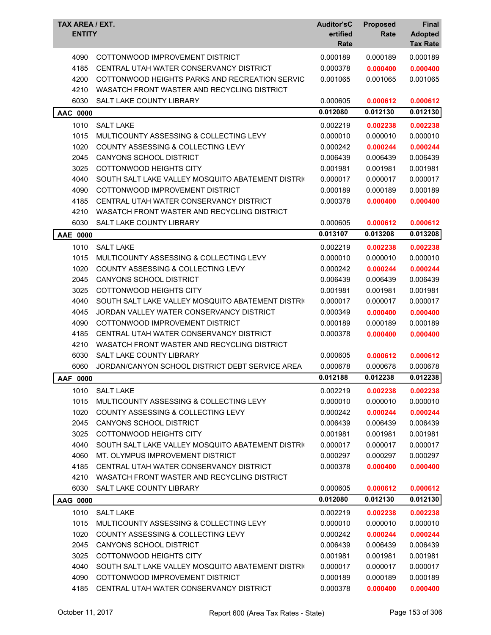| TAX AREA / EXT.<br><b>ENTITY</b> |                                                   | <b>Auditor'sC</b><br>ertified<br>Rate | <b>Proposed</b><br>Rate | <b>Final</b><br><b>Adopted</b><br><b>Tax Rate</b> |
|----------------------------------|---------------------------------------------------|---------------------------------------|-------------------------|---------------------------------------------------|
| 4090                             | COTTONWOOD IMPROVEMENT DISTRICT                   | 0.000189                              | 0.000189                | 0.000189                                          |
| 4185                             | CENTRAL UTAH WATER CONSERVANCY DISTRICT           | 0.000378                              | 0.000400                | 0.000400                                          |
| 4200                             | COTTONWOOD HEIGHTS PARKS AND RECREATION SERVIC    | 0.001065                              | 0.001065                | 0.001065                                          |
| 4210                             | WASATCH FRONT WASTER AND RECYCLING DISTRICT       |                                       |                         |                                                   |
| 6030                             | SALT LAKE COUNTY LIBRARY                          | 0.000605                              | 0.000612                | 0.000612                                          |
| <b>AAC 0000</b>                  |                                                   | 0.012080                              | 0.012130                | 0.012130                                          |
| 1010                             | <b>SALT LAKE</b>                                  | 0.002219                              | 0.002238                | 0.002238                                          |
| 1015                             | MULTICOUNTY ASSESSING & COLLECTING LEVY           | 0.000010                              | 0.000010                | 0.000010                                          |
| 1020                             | COUNTY ASSESSING & COLLECTING LEVY                | 0.000242                              | 0.000244                | 0.000244                                          |
| 2045                             | <b>CANYONS SCHOOL DISTRICT</b>                    | 0.006439                              | 0.006439                | 0.006439                                          |
| 3025                             | <b>COTTONWOOD HEIGHTS CITY</b>                    | 0.001981                              | 0.001981                | 0.001981                                          |
| 4040                             | SOUTH SALT LAKE VALLEY MOSQUITO ABATEMENT DISTRIC | 0.000017                              | 0.000017                | 0.000017                                          |
| 4090                             | COTTONWOOD IMPROVEMENT DISTRICT                   | 0.000189                              | 0.000189                | 0.000189                                          |
| 4185                             | CENTRAL UTAH WATER CONSERVANCY DISTRICT           | 0.000378                              | 0.000400                | 0.000400                                          |
| 4210                             | WASATCH FRONT WASTER AND RECYCLING DISTRICT       |                                       |                         |                                                   |
| 6030                             | SALT LAKE COUNTY LIBRARY                          | 0.000605                              | 0.000612                | 0.000612                                          |
| AAE 0000                         |                                                   | 0.013107                              | 0.013208                | 0.013208                                          |
| 1010                             | <b>SALT LAKE</b>                                  | 0.002219                              | 0.002238                | 0.002238                                          |
| 1015                             | MULTICOUNTY ASSESSING & COLLECTING LEVY           | 0.000010                              | 0.000010                | 0.000010                                          |
| 1020                             | COUNTY ASSESSING & COLLECTING LEVY                | 0.000242                              | 0.000244                | 0.000244                                          |
| 2045                             | CANYONS SCHOOL DISTRICT                           | 0.006439                              | 0.006439                | 0.006439                                          |
| 3025                             | COTTONWOOD HEIGHTS CITY                           | 0.001981                              | 0.001981                | 0.001981                                          |
| 4040                             | SOUTH SALT LAKE VALLEY MOSQUITO ABATEMENT DISTRIC | 0.000017                              | 0.000017                | 0.000017                                          |
| 4045                             | JORDAN VALLEY WATER CONSERVANCY DISTRICT          | 0.000349                              | 0.000400                | 0.000400                                          |
| 4090                             | COTTONWOOD IMPROVEMENT DISTRICT                   | 0.000189                              | 0.000189                | 0.000189                                          |
| 4185                             | CENTRAL UTAH WATER CONSERVANCY DISTRICT           | 0.000378                              | 0.000400                | 0.000400                                          |
| 4210                             | WASATCH FRONT WASTER AND RECYCLING DISTRICT       |                                       |                         |                                                   |
| 6030                             | SALT LAKE COUNTY LIBRARY                          | 0.000605                              | 0.000612                | 0.000612                                          |
| 6060                             | JORDAN/CANYON SCHOOL DISTRICT DEBT SERVICE AREA   | 0.000678                              | 0.000678                | 0.000678                                          |
| AAF 0000                         |                                                   | 0.012188                              | 0.012238                | 0.012238                                          |
| 1010                             | <b>SALT LAKE</b>                                  | 0.002219                              | 0.002238                | 0.002238                                          |
| 1015                             | MULTICOUNTY ASSESSING & COLLECTING LEVY           | 0.000010                              | 0.000010                | 0.000010                                          |
| 1020                             | COUNTY ASSESSING & COLLECTING LEVY                | 0.000242                              | 0.000244                | 0.000244                                          |
| 2045                             | CANYONS SCHOOL DISTRICT                           | 0.006439                              | 0.006439                | 0.006439                                          |
| 3025                             | COTTONWOOD HEIGHTS CITY                           | 0.001981                              | 0.001981                | 0.001981                                          |
| 4040                             | SOUTH SALT LAKE VALLEY MOSQUITO ABATEMENT DISTRIC | 0.000017                              | 0.000017                | 0.000017                                          |
| 4060                             | MT. OLYMPUS IMPROVEMENT DISTRICT                  | 0.000297                              | 0.000297                | 0.000297                                          |
| 4185                             | CENTRAL UTAH WATER CONSERVANCY DISTRICT           | 0.000378                              | 0.000400                | 0.000400                                          |
| 4210                             | WASATCH FRONT WASTER AND RECYCLING DISTRICT       |                                       |                         |                                                   |
| 6030                             | SALT LAKE COUNTY LIBRARY                          | 0.000605                              | 0.000612                | 0.000612                                          |
| AAG 0000                         |                                                   | 0.012080                              | 0.012130                | 0.012130                                          |
| 1010                             | <b>SALT LAKE</b>                                  | 0.002219                              | 0.002238                | 0.002238                                          |
| 1015                             | MULTICOUNTY ASSESSING & COLLECTING LEVY           | 0.000010                              | 0.000010                | 0.000010                                          |
| 1020                             | COUNTY ASSESSING & COLLECTING LEVY                | 0.000242                              | 0.000244                | 0.000244                                          |
| 2045                             | CANYONS SCHOOL DISTRICT                           | 0.006439                              | 0.006439                | 0.006439                                          |
| 3025                             | COTTONWOOD HEIGHTS CITY                           | 0.001981                              | 0.001981                | 0.001981                                          |
| 4040                             | SOUTH SALT LAKE VALLEY MOSQUITO ABATEMENT DISTRIC | 0.000017                              | 0.000017                | 0.000017                                          |
| 4090                             | COTTONWOOD IMPROVEMENT DISTRICT                   | 0.000189                              | 0.000189                | 0.000189                                          |
| 4185                             | CENTRAL UTAH WATER CONSERVANCY DISTRICT           | 0.000378                              | 0.000400                | 0.000400                                          |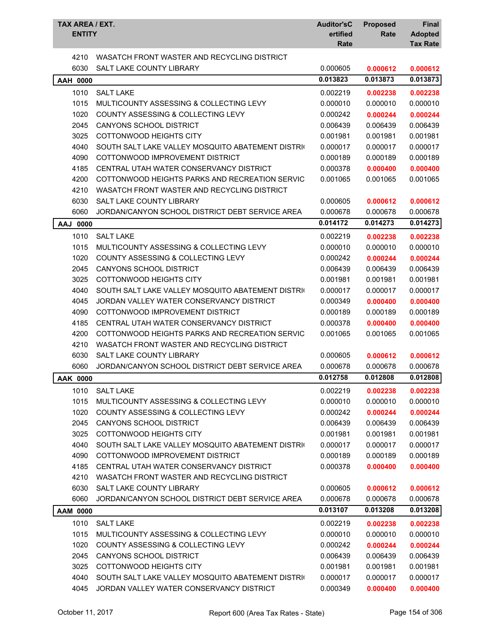| TAX AREA / EXT.<br><b>ENTITY</b> |                                                   | <b>Auditor'sC</b><br>ertified<br>Rate | <b>Proposed</b><br>Rate | <b>Final</b><br><b>Adopted</b><br><b>Tax Rate</b> |
|----------------------------------|---------------------------------------------------|---------------------------------------|-------------------------|---------------------------------------------------|
| 4210                             | WASATCH FRONT WASTER AND RECYCLING DISTRICT       |                                       |                         |                                                   |
| 6030                             | SALT LAKE COUNTY LIBRARY                          | 0.000605                              | 0.000612                | 0.000612                                          |
| <b>AAH 0000</b>                  |                                                   | 0.013823                              | 0.013873                | 0.013873                                          |
| 1010                             | <b>SALT LAKE</b>                                  | 0.002219                              | 0.002238                | 0.002238                                          |
| 1015                             | MULTICOUNTY ASSESSING & COLLECTING LEVY           | 0.000010                              | 0.000010                | 0.000010                                          |
| 1020                             | COUNTY ASSESSING & COLLECTING LEVY                | 0.000242                              | 0.000244                | 0.000244                                          |
| 2045                             | CANYONS SCHOOL DISTRICT                           | 0.006439                              | 0.006439                | 0.006439                                          |
| 3025                             | COTTONWOOD HEIGHTS CITY                           | 0.001981                              | 0.001981                | 0.001981                                          |
| 4040                             | SOUTH SALT LAKE VALLEY MOSQUITO ABATEMENT DISTRIC | 0.000017                              | 0.000017                | 0.000017                                          |
| 4090                             | COTTONWOOD IMPROVEMENT DISTRICT                   | 0.000189                              | 0.000189                | 0.000189                                          |
| 4185                             | CENTRAL UTAH WATER CONSERVANCY DISTRICT           | 0.000378                              | 0.000400                | 0.000400                                          |
| 4200                             | COTTONWOOD HEIGHTS PARKS AND RECREATION SERVIC    | 0.001065                              | 0.001065                | 0.001065                                          |
| 4210                             | WASATCH FRONT WASTER AND RECYCLING DISTRICT       |                                       |                         |                                                   |
| 6030                             | SALT LAKE COUNTY LIBRARY                          | 0.000605                              | 0.000612                | 0.000612                                          |
| 6060                             | JORDAN/CANYON SCHOOL DISTRICT DEBT SERVICE AREA   | 0.000678                              | 0.000678                | 0.000678                                          |
| AAJ 0000                         |                                                   | 0.014172                              | 0.014273                | 0.014273                                          |
| 1010                             | <b>SALT LAKE</b>                                  | 0.002219                              | 0.002238                | 0.002238                                          |
| 1015                             | MULTICOUNTY ASSESSING & COLLECTING LEVY           | 0.000010                              | 0.000010                | 0.000010                                          |
| 1020                             | <b>COUNTY ASSESSING &amp; COLLECTING LEVY</b>     | 0.000242                              | 0.000244                | 0.000244                                          |
| 2045                             | CANYONS SCHOOL DISTRICT                           | 0.006439                              | 0.006439                | 0.006439                                          |
| 3025                             | COTTONWOOD HEIGHTS CITY                           | 0.001981                              | 0.001981                | 0.001981                                          |
| 4040                             | SOUTH SALT LAKE VALLEY MOSQUITO ABATEMENT DISTRIC | 0.000017                              | 0.000017                | 0.000017                                          |
| 4045                             | JORDAN VALLEY WATER CONSERVANCY DISTRICT          | 0.000349                              | 0.000400                | 0.000400                                          |
| 4090                             | COTTONWOOD IMPROVEMENT DISTRICT                   | 0.000189                              | 0.000189                | 0.000189                                          |
| 4185                             | CENTRAL UTAH WATER CONSERVANCY DISTRICT           | 0.000378                              | 0.000400                | 0.000400                                          |
| 4200                             | COTTONWOOD HEIGHTS PARKS AND RECREATION SERVIC    | 0.001065                              | 0.001065                | 0.001065                                          |
| 4210                             | WASATCH FRONT WASTER AND RECYCLING DISTRICT       |                                       |                         |                                                   |
| 6030                             | SALT LAKE COUNTY LIBRARY                          | 0.000605                              | 0.000612                | 0.000612                                          |
| 6060                             | JORDAN/CANYON SCHOOL DISTRICT DEBT SERVICE AREA   | 0.000678                              | 0.000678                | 0.000678                                          |
| <b>AAK 0000</b>                  |                                                   | 0.012758                              | 0.012808                | 0.012808                                          |
| 1010                             | <b>SALT LAKE</b>                                  | 0.002219                              | 0.002238                | 0.002238                                          |
| 1015                             | MULTICOUNTY ASSESSING & COLLECTING LEVY           | 0.000010                              | 0.000010                | 0.000010                                          |
| 1020                             | <b>COUNTY ASSESSING &amp; COLLECTING LEVY</b>     | 0.000242                              | 0.000244                | 0.000244                                          |
| 2045                             | <b>CANYONS SCHOOL DISTRICT</b>                    | 0.006439                              | 0.006439                | 0.006439                                          |
| 3025                             | COTTONWOOD HEIGHTS CITY                           | 0.001981                              | 0.001981                | 0.001981                                          |
| 4040                             | SOUTH SALT LAKE VALLEY MOSQUITO ABATEMENT DISTRIC | 0.000017                              | 0.000017                | 0.000017                                          |
| 4090                             | COTTONWOOD IMPROVEMENT DISTRICT                   | 0.000189                              | 0.000189                | 0.000189                                          |
| 4185                             | CENTRAL UTAH WATER CONSERVANCY DISTRICT           | 0.000378                              | 0.000400                | 0.000400                                          |
| 4210                             | WASATCH FRONT WASTER AND RECYCLING DISTRICT       |                                       |                         |                                                   |
| 6030                             | <b>SALT LAKE COUNTY LIBRARY</b>                   | 0.000605                              | 0.000612                | 0.000612                                          |
| 6060                             | JORDAN/CANYON SCHOOL DISTRICT DEBT SERVICE AREA   | 0.000678                              | 0.000678                | 0.000678                                          |
| <b>AAM 0000</b>                  |                                                   | 0.013107                              | 0.013208                | 0.013208                                          |
| 1010                             | <b>SALT LAKE</b>                                  | 0.002219                              | 0.002238                | 0.002238                                          |
| 1015                             | MULTICOUNTY ASSESSING & COLLECTING LEVY           | 0.000010                              | 0.000010                | 0.000010                                          |
| 1020                             | COUNTY ASSESSING & COLLECTING LEVY                | 0.000242                              | 0.000244                | 0.000244                                          |
| 2045                             | <b>CANYONS SCHOOL DISTRICT</b>                    | 0.006439                              | 0.006439                | 0.006439                                          |
| 3025                             | COTTONWOOD HEIGHTS CITY                           | 0.001981                              | 0.001981                | 0.001981                                          |
| 4040                             | SOUTH SALT LAKE VALLEY MOSQUITO ABATEMENT DISTRIC | 0.000017                              | 0.000017                | 0.000017                                          |
| 4045                             | JORDAN VALLEY WATER CONSERVANCY DISTRICT          | 0.000349                              | 0.000400                | 0.000400                                          |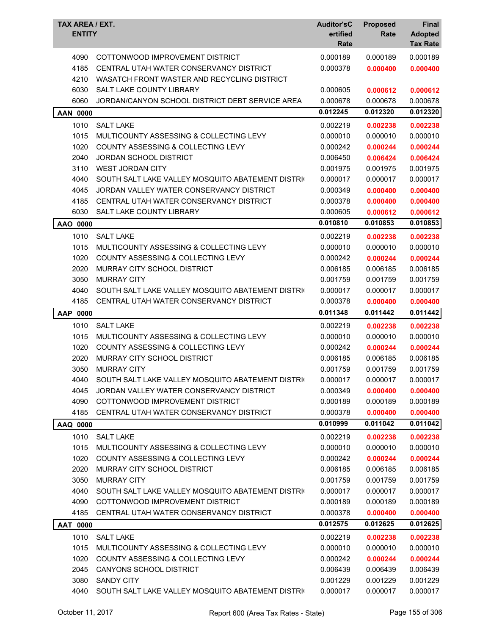| <b>ENTITY</b>   | TAX AREA / EXT.                                   | <b>Auditor'sC</b><br>ertified<br>Rate | <b>Proposed</b><br>Rate | Final<br><b>Adopted</b><br><b>Tax Rate</b> |
|-----------------|---------------------------------------------------|---------------------------------------|-------------------------|--------------------------------------------|
| 4090            | COTTONWOOD IMPROVEMENT DISTRICT                   | 0.000189                              | 0.000189                | 0.000189                                   |
| 4185            | CENTRAL UTAH WATER CONSERVANCY DISTRICT           | 0.000378                              | 0.000400                | 0.000400                                   |
| 4210            | WASATCH FRONT WASTER AND RECYCLING DISTRICT       |                                       |                         |                                            |
| 6030            | SALT LAKE COUNTY LIBRARY                          | 0.000605                              | 0.000612                | 0.000612                                   |
| 6060            | JORDAN/CANYON SCHOOL DISTRICT DEBT SERVICE AREA   | 0.000678                              | 0.000678                | 0.000678                                   |
| <b>AAN 0000</b> |                                                   | 0.012245                              | 0.012320                | 0.012320                                   |
| 1010            | <b>SALT LAKE</b>                                  | 0.002219                              | 0.002238                | 0.002238                                   |
| 1015            | MULTICOUNTY ASSESSING & COLLECTING LEVY           | 0.000010                              | 0.000010                | 0.000010                                   |
| 1020            | COUNTY ASSESSING & COLLECTING LEVY                | 0.000242                              | 0.000244                | 0.000244                                   |
| 2040            | JORDAN SCHOOL DISTRICT                            | 0.006450                              | 0.006424                | 0.006424                                   |
| 3110            | <b>WEST JORDAN CITY</b>                           | 0.001975                              | 0.001975                | 0.001975                                   |
| 4040            | SOUTH SALT LAKE VALLEY MOSQUITO ABATEMENT DISTRIC | 0.000017                              | 0.000017                | 0.000017                                   |
| 4045            | JORDAN VALLEY WATER CONSERVANCY DISTRICT          | 0.000349                              | 0.000400                | 0.000400                                   |
| 4185            | CENTRAL UTAH WATER CONSERVANCY DISTRICT           | 0.000378                              | 0.000400                | 0.000400                                   |
| 6030            | SALT LAKE COUNTY LIBRARY                          | 0.000605                              | 0.000612                | 0.000612                                   |
| AAO 0000        |                                                   | 0.010810                              | 0.010853                | 0.010853                                   |
| 1010            | <b>SALT LAKE</b>                                  | 0.002219                              | 0.002238                | 0.002238                                   |
| 1015            | MULTICOUNTY ASSESSING & COLLECTING LEVY           | 0.000010                              | 0.000010                | 0.000010                                   |
| 1020            | COUNTY ASSESSING & COLLECTING LEVY                | 0.000242                              | 0.000244                | 0.000244                                   |
| 2020            | MURRAY CITY SCHOOL DISTRICT                       | 0.006185                              | 0.006185                | 0.006185                                   |
| 3050            | <b>MURRAY CITY</b>                                | 0.001759                              | 0.001759                | 0.001759                                   |
| 4040            | SOUTH SALT LAKE VALLEY MOSQUITO ABATEMENT DISTRIC | 0.000017                              | 0.000017                | 0.000017                                   |
| 4185            | CENTRAL UTAH WATER CONSERVANCY DISTRICT           | 0.000378                              | 0.000400                | 0.000400                                   |
| AAP 0000        |                                                   | 0.011348                              | 0.011442                | 0.011442                                   |
| 1010            | <b>SALT LAKE</b>                                  | 0.002219                              | 0.002238                | 0.002238                                   |
| 1015            | MULTICOUNTY ASSESSING & COLLECTING LEVY           | 0.000010                              | 0.000010                | 0.000010                                   |
| 1020            | <b>COUNTY ASSESSING &amp; COLLECTING LEVY</b>     | 0.000242                              | 0.000244                | 0.000244                                   |
| 2020            | MURRAY CITY SCHOOL DISTRICT                       | 0.006185                              | 0.006185                | 0.006185                                   |
| 3050            | <b>MURRAY CITY</b>                                | 0.001759                              | 0.001759                | 0.001759                                   |
| 4040            | SOUTH SALT LAKE VALLEY MOSQUITO ABATEMENT DISTRIC | 0.000017                              | 0.000017                | 0.000017                                   |
| 4045            | JORDAN VALLEY WATER CONSERVANCY DISTRICT          | 0.000349                              | 0.000400                | 0.000400                                   |
| 4090            | COTTONWOOD IMPROVEMENT DISTRICT                   | 0.000189                              | 0.000189                | 0.000189                                   |
| 4185            | CENTRAL UTAH WATER CONSERVANCY DISTRICT           | 0.000378                              | 0.000400                | 0.000400                                   |
| AAQ 0000        |                                                   | 0.010999                              | 0.011042                | 0.011042                                   |
| 1010            | <b>SALT LAKE</b>                                  | 0.002219                              | 0.002238                | 0.002238                                   |
| 1015            | MULTICOUNTY ASSESSING & COLLECTING LEVY           | 0.000010                              | 0.000010                | 0.000010                                   |
| 1020            | COUNTY ASSESSING & COLLECTING LEVY                | 0.000242                              | 0.000244                | 0.000244                                   |
| 2020            | MURRAY CITY SCHOOL DISTRICT                       | 0.006185                              | 0.006185                | 0.006185                                   |
| 3050            | <b>MURRAY CITY</b>                                | 0.001759                              | 0.001759                | 0.001759                                   |
| 4040            | SOUTH SALT LAKE VALLEY MOSQUITO ABATEMENT DISTRIC | 0.000017                              | 0.000017                | 0.000017                                   |
| 4090            | COTTONWOOD IMPROVEMENT DISTRICT                   | 0.000189                              | 0.000189                | 0.000189                                   |
| 4185            | CENTRAL UTAH WATER CONSERVANCY DISTRICT           | 0.000378                              | 0.000400                | 0.000400                                   |
| <b>AAT 0000</b> |                                                   | 0.012575                              | 0.012625                | 0.012625                                   |
| 1010            | <b>SALT LAKE</b>                                  | 0.002219                              | 0.002238                | 0.002238                                   |
| 1015            | MULTICOUNTY ASSESSING & COLLECTING LEVY           | 0.000010                              | 0.000010                | 0.000010                                   |
| 1020            | COUNTY ASSESSING & COLLECTING LEVY                | 0.000242                              | 0.000244                | 0.000244                                   |
| 2045            | CANYONS SCHOOL DISTRICT                           | 0.006439                              | 0.006439                | 0.006439                                   |
| 3080            | <b>SANDY CITY</b>                                 | 0.001229                              | 0.001229                | 0.001229                                   |
| 4040            | SOUTH SALT LAKE VALLEY MOSQUITO ABATEMENT DISTRIC | 0.000017                              | 0.000017                | 0.000017                                   |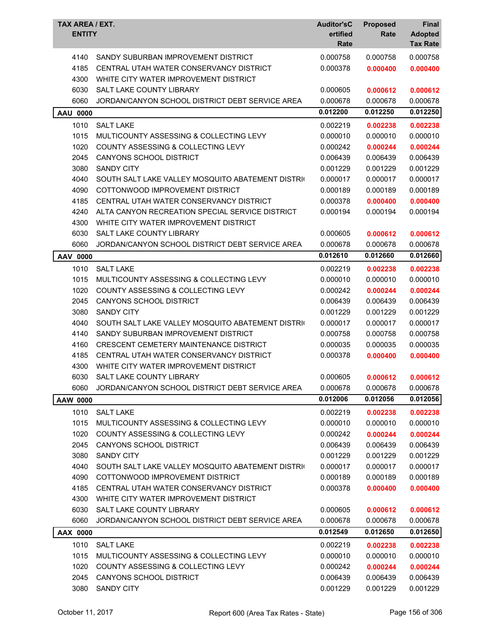| TAX AREA / EXT.<br><b>ENTITY</b> |                                                   | <b>Auditor'sC</b><br>ertified<br>Rate | <b>Proposed</b><br>Rate | <b>Final</b><br><b>Adopted</b><br><b>Tax Rate</b> |
|----------------------------------|---------------------------------------------------|---------------------------------------|-------------------------|---------------------------------------------------|
| 4140                             | SANDY SUBURBAN IMPROVEMENT DISTRICT               | 0.000758                              | 0.000758                | 0.000758                                          |
| 4185                             | CENTRAL UTAH WATER CONSERVANCY DISTRICT           | 0.000378                              | 0.000400                | 0.000400                                          |
| 4300                             | WHITE CITY WATER IMPROVEMENT DISTRICT             |                                       |                         |                                                   |
| 6030                             | <b>SALT LAKE COUNTY LIBRARY</b>                   | 0.000605                              | 0.000612                | 0.000612                                          |
| 6060                             | JORDAN/CANYON SCHOOL DISTRICT DEBT SERVICE AREA   | 0.000678                              | 0.000678                | 0.000678                                          |
| <b>AAU 0000</b>                  |                                                   | 0.012200                              | 0.012250                | 0.012250                                          |
| 1010                             | <b>SALT LAKE</b>                                  | 0.002219                              | 0.002238                | 0.002238                                          |
| 1015                             | MULTICOUNTY ASSESSING & COLLECTING LEVY           | 0.000010                              | 0.000010                | 0.000010                                          |
| 1020                             | COUNTY ASSESSING & COLLECTING LEVY                | 0.000242                              | 0.000244                | 0.000244                                          |
| 2045                             | <b>CANYONS SCHOOL DISTRICT</b>                    | 0.006439                              | 0.006439                | 0.006439                                          |
| 3080                             | <b>SANDY CITY</b>                                 | 0.001229                              | 0.001229                | 0.001229                                          |
| 4040                             | SOUTH SALT LAKE VALLEY MOSQUITO ABATEMENT DISTRIC | 0.000017                              | 0.000017                | 0.000017                                          |
| 4090                             | COTTONWOOD IMPROVEMENT DISTRICT                   | 0.000189                              | 0.000189                | 0.000189                                          |
| 4185                             | CENTRAL UTAH WATER CONSERVANCY DISTRICT           | 0.000378                              | 0.000400                | 0.000400                                          |
| 4240                             | ALTA CANYON RECREATION SPECIAL SERVICE DISTRICT   | 0.000194                              | 0.000194                | 0.000194                                          |
| 4300                             | WHITE CITY WATER IMPROVEMENT DISTRICT             |                                       |                         |                                                   |
| 6030                             | SALT LAKE COUNTY LIBRARY                          | 0.000605                              | 0.000612                | 0.000612                                          |
| 6060                             | JORDAN/CANYON SCHOOL DISTRICT DEBT SERVICE AREA   | 0.000678                              | 0.000678                | 0.000678                                          |
| AAV 0000                         |                                                   | 0.012610                              | 0.012660                | 0.012660                                          |
| 1010                             | <b>SALT LAKE</b>                                  | 0.002219                              | 0.002238                | 0.002238                                          |
| 1015                             | MULTICOUNTY ASSESSING & COLLECTING LEVY           | 0.000010                              | 0.000010                | 0.000010                                          |
| 1020                             | COUNTY ASSESSING & COLLECTING LEVY                | 0.000242                              | 0.000244                | 0.000244                                          |
| 2045                             | CANYONS SCHOOL DISTRICT                           | 0.006439                              | 0.006439                | 0.006439                                          |
| 3080                             | <b>SANDY CITY</b>                                 | 0.001229                              | 0.001229                | 0.001229                                          |
| 4040                             | SOUTH SALT LAKE VALLEY MOSQUITO ABATEMENT DISTRIC | 0.000017                              | 0.000017                | 0.000017                                          |
| 4140                             | SANDY SUBURBAN IMPROVEMENT DISTRICT               | 0.000758                              | 0.000758                | 0.000758                                          |
| 4160                             | <b>CRESCENT CEMETERY MAINTENANCE DISTRICT</b>     | 0.000035                              | 0.000035                | 0.000035                                          |
| 4185                             | CENTRAL UTAH WATER CONSERVANCY DISTRICT           | 0.000378                              | 0.000400                | 0.000400                                          |
| 4300                             | WHITE CITY WATER IMPROVEMENT DISTRICT             |                                       |                         |                                                   |
| 6030                             | SALT LAKE COUNTY LIBRARY                          | 0.000605                              | 0.000612                | 0.000612                                          |
| 6060                             | JORDAN/CANYON SCHOOL DISTRICT DEBT SERVICE AREA   | 0.000678                              | 0.000678                | 0.000678                                          |
| AAW 0000                         |                                                   | 0.012006                              | 0.012056                | 0.012056                                          |
| 1010                             | <b>SALT LAKE</b>                                  | 0.002219                              | 0.002238                | 0.002238                                          |
| 1015                             | MULTICOUNTY ASSESSING & COLLECTING LEVY           | 0.000010                              | 0.000010                | 0.000010                                          |
| 1020                             | COUNTY ASSESSING & COLLECTING LEVY                | 0.000242                              | 0.000244                | 0.000244                                          |
| 2045                             | <b>CANYONS SCHOOL DISTRICT</b>                    | 0.006439                              | 0.006439                | 0.006439                                          |
| 3080                             | <b>SANDY CITY</b>                                 | 0.001229                              | 0.001229                | 0.001229                                          |
| 4040                             | SOUTH SALT LAKE VALLEY MOSQUITO ABATEMENT DISTRIC | 0.000017                              | 0.000017                | 0.000017                                          |
| 4090                             | COTTONWOOD IMPROVEMENT DISTRICT                   | 0.000189                              | 0.000189                | 0.000189                                          |
| 4185                             | CENTRAL UTAH WATER CONSERVANCY DISTRICT           | 0.000378                              | 0.000400                | 0.000400                                          |
| 4300                             | WHITE CITY WATER IMPROVEMENT DISTRICT             |                                       |                         |                                                   |
| 6030                             | SALT LAKE COUNTY LIBRARY                          | 0.000605                              | 0.000612                | 0.000612                                          |
| 6060                             | JORDAN/CANYON SCHOOL DISTRICT DEBT SERVICE AREA   | 0.000678                              | 0.000678                | 0.000678                                          |
| AAX 0000                         |                                                   | 0.012549                              | 0.012650                | 0.012650                                          |
| 1010                             | <b>SALT LAKE</b>                                  | 0.002219                              | 0.002238                | 0.002238                                          |
| 1015                             | MULTICOUNTY ASSESSING & COLLECTING LEVY           | 0.000010                              | 0.000010                | 0.000010                                          |
| 1020                             | COUNTY ASSESSING & COLLECTING LEVY                | 0.000242                              | 0.000244                | 0.000244                                          |
| 2045                             | CANYONS SCHOOL DISTRICT                           | 0.006439                              | 0.006439                | 0.006439                                          |
| 3080                             | <b>SANDY CITY</b>                                 | 0.001229                              | 0.001229                | 0.001229                                          |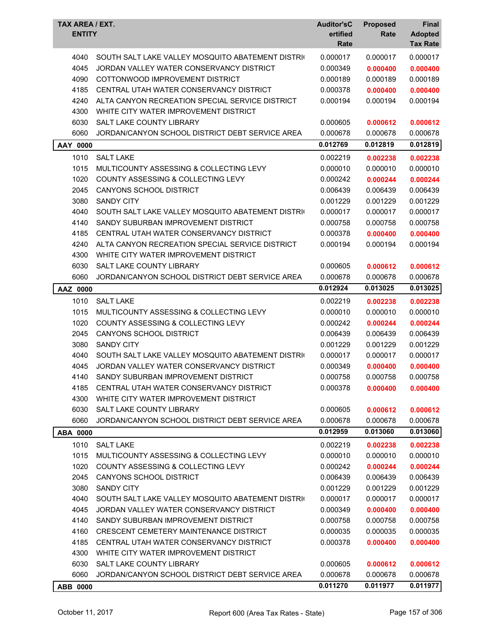| TAX AREA / EXT.<br><b>ENTITY</b> |                                                   | <b>Auditor'sC</b><br>ertified<br>Rate | <b>Proposed</b><br>Rate | <b>Final</b><br><b>Adopted</b><br><b>Tax Rate</b> |
|----------------------------------|---------------------------------------------------|---------------------------------------|-------------------------|---------------------------------------------------|
| 4040                             | SOUTH SALT LAKE VALLEY MOSQUITO ABATEMENT DISTRIC | 0.000017                              | 0.000017                | 0.000017                                          |
| 4045                             | JORDAN VALLEY WATER CONSERVANCY DISTRICT          | 0.000349                              | 0.000400                | 0.000400                                          |
| 4090                             | COTTONWOOD IMPROVEMENT DISTRICT                   | 0.000189                              | 0.000189                | 0.000189                                          |
| 4185                             | CENTRAL UTAH WATER CONSERVANCY DISTRICT           | 0.000378                              | 0.000400                | 0.000400                                          |
| 4240                             | ALTA CANYON RECREATION SPECIAL SERVICE DISTRICT   | 0.000194                              | 0.000194                | 0.000194                                          |
| 4300                             | WHITE CITY WATER IMPROVEMENT DISTRICT             |                                       |                         |                                                   |
| 6030                             | SALT LAKE COUNTY LIBRARY                          | 0.000605                              | 0.000612                | 0.000612                                          |
| 6060                             | JORDAN/CANYON SCHOOL DISTRICT DEBT SERVICE AREA   | 0.000678                              | 0.000678                | 0.000678                                          |
| AAY 0000                         |                                                   | 0.012769                              | 0.012819                | 0.012819                                          |
| 1010                             | <b>SALT LAKE</b>                                  | 0.002219                              | 0.002238                | 0.002238                                          |
| 1015                             | MULTICOUNTY ASSESSING & COLLECTING LEVY           | 0.000010                              | 0.000010                | 0.000010                                          |
| 1020                             | <b>COUNTY ASSESSING &amp; COLLECTING LEVY</b>     | 0.000242                              | 0.000244                | 0.000244                                          |
| 2045                             | <b>CANYONS SCHOOL DISTRICT</b>                    | 0.006439                              | 0.006439                | 0.006439                                          |
| 3080                             | <b>SANDY CITY</b>                                 | 0.001229                              | 0.001229                | 0.001229                                          |
| 4040                             | SOUTH SALT LAKE VALLEY MOSQUITO ABATEMENT DISTRIC | 0.000017                              | 0.000017                | 0.000017                                          |
| 4140                             | SANDY SUBURBAN IMPROVEMENT DISTRICT               | 0.000758                              | 0.000758                | 0.000758                                          |
| 4185                             | CENTRAL UTAH WATER CONSERVANCY DISTRICT           | 0.000378                              | 0.000400                | 0.000400                                          |
| 4240                             | ALTA CANYON RECREATION SPECIAL SERVICE DISTRICT   | 0.000194                              | 0.000194                | 0.000194                                          |
| 4300                             | WHITE CITY WATER IMPROVEMENT DISTRICT             |                                       |                         |                                                   |
| 6030                             | <b>SALT LAKE COUNTY LIBRARY</b>                   | 0.000605                              | 0.000612                | 0.000612                                          |
| 6060                             | JORDAN/CANYON SCHOOL DISTRICT DEBT SERVICE AREA   | 0.000678                              | 0.000678                | 0.000678                                          |
| AAZ 0000                         |                                                   | 0.012924                              | 0.013025                | 0.013025                                          |
| 1010                             | <b>SALT LAKE</b>                                  | 0.002219                              | 0.002238                | 0.002238                                          |
| 1015                             | MULTICOUNTY ASSESSING & COLLECTING LEVY           | 0.000010                              | 0.000010                | 0.000010                                          |
| 1020                             | <b>COUNTY ASSESSING &amp; COLLECTING LEVY</b>     | 0.000242                              | 0.000244                | 0.000244                                          |
| 2045                             | <b>CANYONS SCHOOL DISTRICT</b>                    | 0.006439                              | 0.006439                | 0.006439                                          |
| 3080                             | <b>SANDY CITY</b>                                 | 0.001229                              | 0.001229                | 0.001229                                          |
| 4040                             | SOUTH SALT LAKE VALLEY MOSQUITO ABATEMENT DISTRIC | 0.000017                              | 0.000017                | 0.000017                                          |
| 4045                             | JORDAN VALLEY WATER CONSERVANCY DISTRICT          | 0.000349                              | 0.000400                | 0.000400                                          |
| 4140                             | SANDY SUBURBAN IMPROVEMENT DISTRICT               | 0.000758                              | 0.000758                | 0.000758                                          |
| 4185                             | CENTRAL UTAH WATER CONSERVANCY DISTRICT           | 0.000378                              | 0.000400                | 0.000400                                          |
| 4300                             | WHITE CITY WATER IMPROVEMENT DISTRICT             |                                       |                         |                                                   |
| 6030                             | SALT LAKE COUNTY LIBRARY                          | 0.000605                              | 0.000612                | 0.000612                                          |
| 6060                             | JORDAN/CANYON SCHOOL DISTRICT DEBT SERVICE AREA   | 0.000678                              | 0.000678                | 0.000678                                          |
| <b>ABA 0000</b>                  |                                                   | 0.012959                              | 0.013060                | 0.013060                                          |
| 1010                             | <b>SALT LAKE</b>                                  | 0.002219                              | 0.002238                | 0.002238                                          |
| 1015                             | MULTICOUNTY ASSESSING & COLLECTING LEVY           | 0.000010                              | 0.000010                | 0.000010                                          |
| 1020                             | <b>COUNTY ASSESSING &amp; COLLECTING LEVY</b>     | 0.000242                              | 0.000244                | 0.000244                                          |
| 2045                             | <b>CANYONS SCHOOL DISTRICT</b>                    | 0.006439                              | 0.006439                | 0.006439                                          |
| 3080                             | <b>SANDY CITY</b>                                 | 0.001229                              | 0.001229                | 0.001229                                          |
| 4040                             | SOUTH SALT LAKE VALLEY MOSQUITO ABATEMENT DISTRIC | 0.000017                              | 0.000017                | 0.000017                                          |
| 4045                             | JORDAN VALLEY WATER CONSERVANCY DISTRICT          | 0.000349                              | 0.000400                | 0.000400                                          |
| 4140                             | SANDY SUBURBAN IMPROVEMENT DISTRICT               | 0.000758                              | 0.000758                | 0.000758                                          |
| 4160                             | CRESCENT CEMETERY MAINTENANCE DISTRICT            | 0.000035                              | 0.000035                | 0.000035                                          |
| 4185                             | CENTRAL UTAH WATER CONSERVANCY DISTRICT           | 0.000378                              | 0.000400                | 0.000400                                          |
| 4300                             | WHITE CITY WATER IMPROVEMENT DISTRICT             |                                       |                         |                                                   |
| 6030                             | SALT LAKE COUNTY LIBRARY                          | 0.000605                              | 0.000612                | 0.000612                                          |
| 6060                             | JORDAN/CANYON SCHOOL DISTRICT DEBT SERVICE AREA   | 0.000678                              | 0.000678                | 0.000678                                          |
| ABB 0000                         |                                                   | 0.011270                              | 0.011977                | 0.011977                                          |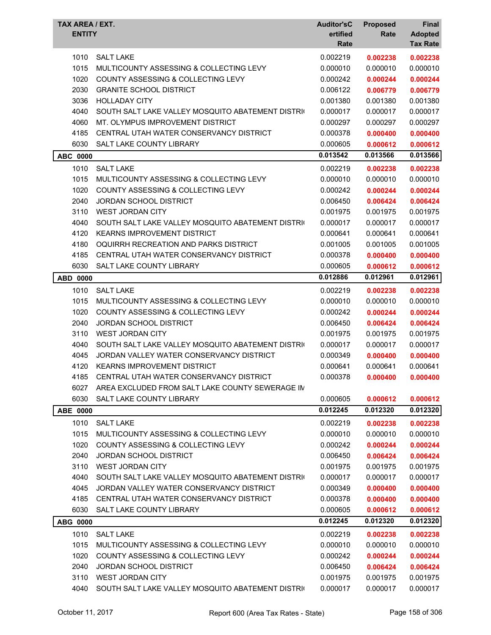| <b>TAX AREA / EXT.</b><br><b>ENTITY</b> |                                                   | <b>Auditor'sC</b><br>ertified<br>Rate | <b>Proposed</b><br>Rate | <b>Final</b><br><b>Adopted</b><br><b>Tax Rate</b> |
|-----------------------------------------|---------------------------------------------------|---------------------------------------|-------------------------|---------------------------------------------------|
| 1010                                    | <b>SALT LAKE</b>                                  | 0.002219                              | 0.002238                | 0.002238                                          |
| 1015                                    | MULTICOUNTY ASSESSING & COLLECTING LEVY           | 0.000010                              | 0.000010                | 0.000010                                          |
| 1020                                    | <b>COUNTY ASSESSING &amp; COLLECTING LEVY</b>     | 0.000242                              | 0.000244                | 0.000244                                          |
| 2030                                    | <b>GRANITE SCHOOL DISTRICT</b>                    | 0.006122                              | 0.006779                | 0.006779                                          |
| 3036                                    | <b>HOLLADAY CITY</b>                              | 0.001380                              | 0.001380                | 0.001380                                          |
| 4040                                    | SOUTH SALT LAKE VALLEY MOSQUITO ABATEMENT DISTRIC | 0.000017                              | 0.000017                | 0.000017                                          |
| 4060                                    | MT. OLYMPUS IMPROVEMENT DISTRICT                  | 0.000297                              | 0.000297                | 0.000297                                          |
| 4185                                    | CENTRAL UTAH WATER CONSERVANCY DISTRICT           | 0.000378                              | 0.000400                | 0.000400                                          |
| 6030                                    | <b>SALT LAKE COUNTY LIBRARY</b>                   | 0.000605                              | 0.000612                | 0.000612                                          |
| <b>ABC 0000</b>                         |                                                   | 0.013542                              | 0.013566                | 0.013566                                          |
| 1010                                    | <b>SALT LAKE</b>                                  | 0.002219                              | 0.002238                | 0.002238                                          |
| 1015                                    | MULTICOUNTY ASSESSING & COLLECTING LEVY           | 0.000010                              | 0.000010                | 0.000010                                          |
| 1020                                    | COUNTY ASSESSING & COLLECTING LEVY                | 0.000242                              | 0.000244                | 0.000244                                          |
| 2040                                    | JORDAN SCHOOL DISTRICT                            | 0.006450                              | 0.006424                | 0.006424                                          |
| 3110                                    | <b>WEST JORDAN CITY</b>                           | 0.001975                              | 0.001975                | 0.001975                                          |
| 4040                                    | SOUTH SALT LAKE VALLEY MOSQUITO ABATEMENT DISTRIC | 0.000017                              | 0.000017                | 0.000017                                          |
| 4120                                    | KEARNS IMPROVEMENT DISTRICT                       | 0.000641                              | 0.000641                | 0.000641                                          |
| 4180                                    | OQUIRRH RECREATION AND PARKS DISTRICT             | 0.001005                              | 0.001005                | 0.001005                                          |
| 4185                                    | CENTRAL UTAH WATER CONSERVANCY DISTRICT           | 0.000378                              | 0.000400                | 0.000400                                          |
| 6030                                    | SALT LAKE COUNTY LIBRARY                          | 0.000605                              | 0.000612                | 0.000612                                          |
| ABD 0000                                |                                                   | 0.012886                              | 0.012961                | 0.012961                                          |
| 1010                                    | <b>SALT LAKE</b>                                  | 0.002219                              | 0.002238                | 0.002238                                          |
| 1015                                    | MULTICOUNTY ASSESSING & COLLECTING LEVY           | 0.000010                              | 0.000010                | 0.000010                                          |
| 1020                                    | <b>COUNTY ASSESSING &amp; COLLECTING LEVY</b>     | 0.000242                              | 0.000244                | 0.000244                                          |
| 2040                                    | JORDAN SCHOOL DISTRICT                            | 0.006450                              | 0.006424                | 0.006424                                          |
| 3110                                    | <b>WEST JORDAN CITY</b>                           | 0.001975                              | 0.001975                | 0.001975                                          |
| 4040                                    | SOUTH SALT LAKE VALLEY MOSQUITO ABATEMENT DISTRIC | 0.000017                              | 0.000017                | 0.000017                                          |
| 4045                                    | JORDAN VALLEY WATER CONSERVANCY DISTRICT          | 0.000349                              | 0.000400                | 0.000400                                          |
| 4120                                    | <b>KEARNS IMPROVEMENT DISTRICT</b>                | 0.000641                              | 0.000641                | 0.000641                                          |
|                                         | 4185 CENTRAL UTAH WATER CONSERVANCY DISTRICT      | 0.000378                              | 0.000400                | 0.000400                                          |
| 6027                                    | AREA EXCLUDED FROM SALT LAKE COUNTY SEWERAGE IN   |                                       |                         |                                                   |
| 6030                                    | SALT LAKE COUNTY LIBRARY                          | 0.000605                              | 0.000612                | 0.000612                                          |
| ABE 0000                                |                                                   | 0.012245                              | 0.012320                | 0.012320                                          |
| 1010                                    | <b>SALT LAKE</b>                                  | 0.002219                              | 0.002238                | 0.002238                                          |
| 1015                                    | MULTICOUNTY ASSESSING & COLLECTING LEVY           | 0.000010                              | 0.000010                | 0.000010                                          |
| 1020                                    | COUNTY ASSESSING & COLLECTING LEVY                | 0.000242                              | 0.000244                | 0.000244                                          |
| 2040                                    | <b>JORDAN SCHOOL DISTRICT</b>                     | 0.006450                              | 0.006424                | 0.006424                                          |
| 3110                                    | WEST JORDAN CITY                                  | 0.001975                              | 0.001975                | 0.001975                                          |
| 4040                                    | SOUTH SALT LAKE VALLEY MOSQUITO ABATEMENT DISTRIC | 0.000017                              | 0.000017                | 0.000017                                          |
| 4045                                    | JORDAN VALLEY WATER CONSERVANCY DISTRICT          | 0.000349                              | 0.000400                | 0.000400                                          |
| 4185                                    | CENTRAL UTAH WATER CONSERVANCY DISTRICT           | 0.000378                              | 0.000400                | 0.000400                                          |
| 6030                                    | SALT LAKE COUNTY LIBRARY                          | 0.000605                              | 0.000612                | 0.000612                                          |
| ABG 0000                                |                                                   | 0.012245                              | 0.012320                | 0.012320                                          |
| 1010                                    | <b>SALT LAKE</b>                                  | 0.002219                              | 0.002238                | 0.002238                                          |
| 1015                                    | MULTICOUNTY ASSESSING & COLLECTING LEVY           | 0.000010                              | 0.000010                | 0.000010                                          |
| 1020                                    | COUNTY ASSESSING & COLLECTING LEVY                | 0.000242                              | 0.000244                | 0.000244                                          |
| 2040                                    | JORDAN SCHOOL DISTRICT                            | 0.006450                              | 0.006424                | 0.006424                                          |
| 3110                                    | <b>WEST JORDAN CITY</b>                           | 0.001975                              | 0.001975                | 0.001975                                          |
| 4040                                    | SOUTH SALT LAKE VALLEY MOSQUITO ABATEMENT DISTRIC | 0.000017                              | 0.000017                | 0.000017                                          |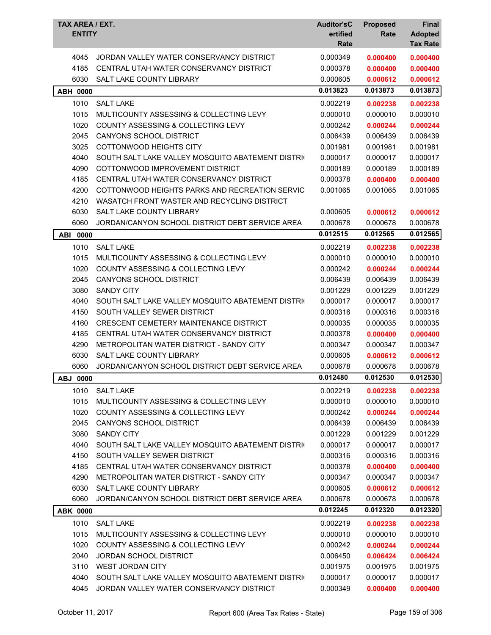| <b>TAX AREA / EXT.</b><br><b>ENTITY</b> |                                                   | <b>Auditor'sC</b><br>ertified<br>Rate | <b>Proposed</b><br>Rate | <b>Final</b><br><b>Adopted</b><br><b>Tax Rate</b> |
|-----------------------------------------|---------------------------------------------------|---------------------------------------|-------------------------|---------------------------------------------------|
|                                         |                                                   |                                       |                         |                                                   |
| 4045                                    | JORDAN VALLEY WATER CONSERVANCY DISTRICT          | 0.000349                              | 0.000400                | 0.000400                                          |
| 4185                                    | CENTRAL UTAH WATER CONSERVANCY DISTRICT           | 0.000378                              | 0.000400                | 0.000400                                          |
| 6030                                    | <b>SALT LAKE COUNTY LIBRARY</b>                   | 0.000605                              | 0.000612                | 0.000612                                          |
| <b>ABH 0000</b>                         |                                                   | 0.013823                              | 0.013873                | 0.013873                                          |
| 1010                                    | <b>SALT LAKE</b>                                  | 0.002219                              | 0.002238                | 0.002238                                          |
| 1015                                    | MULTICOUNTY ASSESSING & COLLECTING LEVY           | 0.000010                              | 0.000010                | 0.000010                                          |
| 1020                                    | COUNTY ASSESSING & COLLECTING LEVY                | 0.000242                              | 0.000244                | 0.000244                                          |
| 2045                                    | CANYONS SCHOOL DISTRICT                           | 0.006439                              | 0.006439                | 0.006439                                          |
| 3025                                    | COTTONWOOD HEIGHTS CITY                           | 0.001981                              | 0.001981                | 0.001981                                          |
| 4040                                    | SOUTH SALT LAKE VALLEY MOSQUITO ABATEMENT DISTRIC | 0.000017                              | 0.000017                | 0.000017                                          |
| 4090                                    | COTTONWOOD IMPROVEMENT DISTRICT                   | 0.000189                              | 0.000189                | 0.000189                                          |
| 4185                                    | CENTRAL UTAH WATER CONSERVANCY DISTRICT           | 0.000378                              | 0.000400                | 0.000400                                          |
| 4200                                    | COTTONWOOD HEIGHTS PARKS AND RECREATION SERVIC    | 0.001065                              | 0.001065                | 0.001065                                          |
| 4210                                    | WASATCH FRONT WASTER AND RECYCLING DISTRICT       |                                       |                         |                                                   |
| 6030                                    | SALT LAKE COUNTY LIBRARY                          | 0.000605                              | 0.000612                | 0.000612                                          |
| 6060                                    | JORDAN/CANYON SCHOOL DISTRICT DEBT SERVICE AREA   | 0.000678                              | 0.000678                | 0.000678                                          |
| ABI 0000                                |                                                   | 0.012515                              | 0.012565                | 0.012565                                          |
| 1010                                    | <b>SALT LAKE</b>                                  | 0.002219                              | 0.002238                | 0.002238                                          |
| 1015                                    | MULTICOUNTY ASSESSING & COLLECTING LEVY           | 0.000010                              | 0.000010                | 0.000010                                          |
| 1020                                    | COUNTY ASSESSING & COLLECTING LEVY                | 0.000242                              | 0.000244                | 0.000244                                          |
| 2045                                    | CANYONS SCHOOL DISTRICT                           | 0.006439                              | 0.006439                | 0.006439                                          |
| 3080                                    | <b>SANDY CITY</b>                                 | 0.001229                              | 0.001229                | 0.001229                                          |
| 4040                                    | SOUTH SALT LAKE VALLEY MOSQUITO ABATEMENT DISTRIC | 0.000017                              | 0.000017                | 0.000017                                          |
| 4150                                    | SOUTH VALLEY SEWER DISTRICT                       | 0.000316                              | 0.000316                | 0.000316                                          |
| 4160                                    | <b>CRESCENT CEMETERY MAINTENANCE DISTRICT</b>     | 0.000035                              | 0.000035                | 0.000035                                          |
| 4185                                    | CENTRAL UTAH WATER CONSERVANCY DISTRICT           | 0.000378                              | 0.000400                | 0.000400                                          |
| 4290                                    | METROPOLITAN WATER DISTRICT - SANDY CITY          | 0.000347                              | 0.000347                | 0.000347                                          |
| 6030                                    | SALT LAKE COUNTY LIBRARY                          | 0.000605                              | 0.000612                | 0.000612                                          |
| 6060                                    | JORDAN/CANYON SCHOOL DISTRICT DEBT SERVICE AREA   | 0.000678                              | 0.000678                | 0.000678                                          |
| ABJ 0000                                |                                                   | 0.012480                              | 0.012530                | 0.012530                                          |
| 1010                                    | <b>SALT LAKE</b>                                  | 0.002219                              | 0.002238                | 0.002238                                          |
| 1015                                    | MULTICOUNTY ASSESSING & COLLECTING LEVY           | 0.000010                              | 0.000010                | 0.000010                                          |
| 1020                                    | COUNTY ASSESSING & COLLECTING LEVY                | 0.000242                              | 0.000244                | 0.000244                                          |
| 2045                                    | CANYONS SCHOOL DISTRICT                           | 0.006439                              | 0.006439                | 0.006439                                          |
| 3080                                    | <b>SANDY CITY</b>                                 | 0.001229                              | 0.001229                | 0.001229                                          |
| 4040                                    | SOUTH SALT LAKE VALLEY MOSQUITO ABATEMENT DISTRIC | 0.000017                              | 0.000017                | 0.000017                                          |
| 4150                                    | SOUTH VALLEY SEWER DISTRICT                       | 0.000316                              | 0.000316                | 0.000316                                          |
| 4185                                    | CENTRAL UTAH WATER CONSERVANCY DISTRICT           | 0.000378                              | 0.000400                | 0.000400                                          |
| 4290                                    | METROPOLITAN WATER DISTRICT - SANDY CITY          | 0.000347                              | 0.000347                | 0.000347                                          |
| 6030                                    | SALT LAKE COUNTY LIBRARY                          | 0.000605                              | 0.000612                | 0.000612                                          |
| 6060                                    | JORDAN/CANYON SCHOOL DISTRICT DEBT SERVICE AREA   | 0.000678                              | 0.000678                | 0.000678                                          |
| <b>ABK 0000</b>                         |                                                   | 0.012245                              | 0.012320                | 0.012320                                          |
| 1010                                    | <b>SALT LAKE</b>                                  | 0.002219                              | 0.002238                | 0.002238                                          |
| 1015                                    | MULTICOUNTY ASSESSING & COLLECTING LEVY           | 0.000010                              | 0.000010                | 0.000010                                          |
| 1020                                    | COUNTY ASSESSING & COLLECTING LEVY                | 0.000242                              | 0.000244                | 0.000244                                          |
| 2040                                    | <b>JORDAN SCHOOL DISTRICT</b>                     | 0.006450                              | 0.006424                | 0.006424                                          |
| 3110                                    | <b>WEST JORDAN CITY</b>                           | 0.001975                              | 0.001975                | 0.001975                                          |
| 4040                                    | SOUTH SALT LAKE VALLEY MOSQUITO ABATEMENT DISTRIC | 0.000017                              | 0.000017                | 0.000017                                          |
| 4045                                    | JORDAN VALLEY WATER CONSERVANCY DISTRICT          | 0.000349                              | 0.000400                | 0.000400                                          |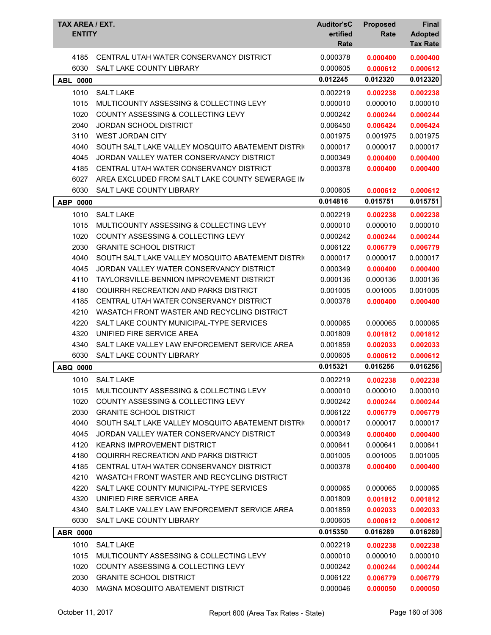| <b>TAX AREA / EXT.</b><br><b>ENTITY</b> |                                                   | <b>Auditor'sC</b><br>ertified<br>Rate | <b>Proposed</b><br>Rate | <b>Final</b><br><b>Adopted</b><br><b>Tax Rate</b> |
|-----------------------------------------|---------------------------------------------------|---------------------------------------|-------------------------|---------------------------------------------------|
| 4185                                    | CENTRAL UTAH WATER CONSERVANCY DISTRICT           | 0.000378                              | 0.000400                | 0.000400                                          |
| 6030                                    | <b>SALT LAKE COUNTY LIBRARY</b>                   | 0.000605                              | 0.000612                | 0.000612                                          |
| <b>ABL 0000</b>                         |                                                   | 0.012245                              | 0.012320                | 0.012320                                          |
| 1010                                    | <b>SALT LAKE</b>                                  | 0.002219                              | 0.002238                | 0.002238                                          |
| 1015                                    | MULTICOUNTY ASSESSING & COLLECTING LEVY           | 0.000010                              | 0.000010                | 0.000010                                          |
| 1020                                    | <b>COUNTY ASSESSING &amp; COLLECTING LEVY</b>     | 0.000242                              | 0.000244                | 0.000244                                          |
| 2040                                    | <b>JORDAN SCHOOL DISTRICT</b>                     | 0.006450                              | 0.006424                | 0.006424                                          |
| 3110                                    | <b>WEST JORDAN CITY</b>                           | 0.001975                              | 0.001975                | 0.001975                                          |
| 4040                                    | SOUTH SALT LAKE VALLEY MOSQUITO ABATEMENT DISTRIC | 0.000017                              | 0.000017                | 0.000017                                          |
| 4045                                    | JORDAN VALLEY WATER CONSERVANCY DISTRICT          | 0.000349                              | 0.000400                | 0.000400                                          |
| 4185                                    | CENTRAL UTAH WATER CONSERVANCY DISTRICT           | 0.000378                              | 0.000400                | 0.000400                                          |
| 6027                                    | AREA EXCLUDED FROM SALT LAKE COUNTY SEWERAGE IN   |                                       |                         |                                                   |
| 6030                                    | SALT LAKE COUNTY LIBRARY                          | 0.000605                              | 0.000612                | 0.000612                                          |
| ABP 0000                                |                                                   | 0.014816                              | 0.015751                | 0.015751                                          |
| 1010                                    | <b>SALT LAKE</b>                                  | 0.002219                              | 0.002238                | 0.002238                                          |
| 1015                                    | MULTICOUNTY ASSESSING & COLLECTING LEVY           | 0.000010                              | 0.000010                | 0.000010                                          |
| 1020                                    | <b>COUNTY ASSESSING &amp; COLLECTING LEVY</b>     | 0.000242                              | 0.000244                | 0.000244                                          |
| 2030                                    | <b>GRANITE SCHOOL DISTRICT</b>                    | 0.006122                              | 0.006779                | 0.006779                                          |
| 4040                                    | SOUTH SALT LAKE VALLEY MOSQUITO ABATEMENT DISTRIC | 0.000017                              | 0.000017                | 0.000017                                          |
| 4045                                    | JORDAN VALLEY WATER CONSERVANCY DISTRICT          | 0.000349                              | 0.000400                | 0.000400                                          |
| 4110                                    | TAYLORSVILLE-BENNION IMPROVEMENT DISTRICT         | 0.000136                              | 0.000136                | 0.000136                                          |
| 4180                                    | OQUIRRH RECREATION AND PARKS DISTRICT             | 0.001005                              | 0.001005                | 0.001005                                          |
| 4185                                    | CENTRAL UTAH WATER CONSERVANCY DISTRICT           | 0.000378                              | 0.000400                | 0.000400                                          |
| 4210                                    | WASATCH FRONT WASTER AND RECYCLING DISTRICT       |                                       |                         |                                                   |
| 4220                                    | SALT LAKE COUNTY MUNICIPAL-TYPE SERVICES          | 0.000065                              | 0.000065                | 0.000065                                          |
| 4320                                    | UNIFIED FIRE SERVICE AREA                         | 0.001809                              | 0.001812                | 0.001812                                          |
| 4340                                    | SALT LAKE VALLEY LAW ENFORCEMENT SERVICE AREA     | 0.001859                              | 0.002033                | 0.002033                                          |
| 6030                                    | SALT LAKE COUNTY LIBRARY                          | 0.000605                              | 0.000612                | 0.000612                                          |
| ABQ 0000                                |                                                   | 0.015321                              | 0.016256                | 0.016256                                          |
| 1010                                    | <b>SALT LAKE</b>                                  | 0.002219                              | 0.002238                | 0.002238                                          |
| 1015                                    | MULTICOUNTY ASSESSING & COLLECTING LEVY           | 0.000010                              | 0.000010                | 0.000010                                          |
| 1020                                    | COUNTY ASSESSING & COLLECTING LEVY                | 0.000242                              | 0.000244                | 0.000244                                          |
| 2030                                    | <b>GRANITE SCHOOL DISTRICT</b>                    | 0.006122                              | 0.006779                | 0.006779                                          |
| 4040                                    | SOUTH SALT LAKE VALLEY MOSQUITO ABATEMENT DISTRIC | 0.000017                              | 0.000017                | 0.000017                                          |
| 4045                                    | JORDAN VALLEY WATER CONSERVANCY DISTRICT          | 0.000349                              | 0.000400                | 0.000400                                          |
| 4120                                    | <b>KEARNS IMPROVEMENT DISTRICT</b>                | 0.000641                              | 0.000641                | 0.000641                                          |
| 4180                                    | OQUIRRH RECREATION AND PARKS DISTRICT             | 0.001005                              | 0.001005                | 0.001005                                          |
| 4185                                    | CENTRAL UTAH WATER CONSERVANCY DISTRICT           | 0.000378                              | 0.000400                | 0.000400                                          |
| 4210                                    | WASATCH FRONT WASTER AND RECYCLING DISTRICT       |                                       |                         |                                                   |
| 4220                                    | SALT LAKE COUNTY MUNICIPAL-TYPE SERVICES          | 0.000065                              | 0.000065                | 0.000065                                          |
| 4320                                    | UNIFIED FIRE SERVICE AREA                         | 0.001809                              | 0.001812                | 0.001812                                          |
| 4340                                    | SALT LAKE VALLEY LAW ENFORCEMENT SERVICE AREA     | 0.001859                              | 0.002033                | 0.002033                                          |
| 6030                                    | SALT LAKE COUNTY LIBRARY                          | 0.000605                              | 0.000612                | 0.000612                                          |
| <b>ABR 0000</b>                         |                                                   | 0.015350                              | 0.016289                | 0.016289                                          |
| 1010                                    | <b>SALT LAKE</b>                                  | 0.002219                              | 0.002238                | 0.002238                                          |
| 1015                                    | MULTICOUNTY ASSESSING & COLLECTING LEVY           | 0.000010                              | 0.000010                | 0.000010                                          |
| 1020                                    | COUNTY ASSESSING & COLLECTING LEVY                | 0.000242                              | 0.000244                | 0.000244                                          |
| 2030                                    | <b>GRANITE SCHOOL DISTRICT</b>                    | 0.006122                              | 0.006779                | 0.006779                                          |
| 4030                                    | MAGNA MOSQUITO ABATEMENT DISTRICT                 | 0.000046                              | 0.000050                | 0.000050                                          |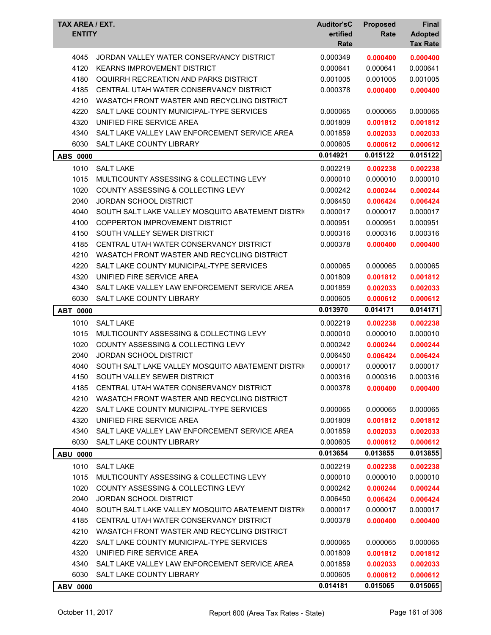| TAX AREA / EXT.<br><b>ENTITY</b> |                                                   | <b>Auditor'sC</b><br>ertified<br>Rate | <b>Proposed</b><br>Rate | <b>Final</b><br><b>Adopted</b><br><b>Tax Rate</b> |
|----------------------------------|---------------------------------------------------|---------------------------------------|-------------------------|---------------------------------------------------|
| 4045                             | JORDAN VALLEY WATER CONSERVANCY DISTRICT          | 0.000349                              | 0.000400                | 0.000400                                          |
| 4120                             | <b>KEARNS IMPROVEMENT DISTRICT</b>                | 0.000641                              | 0.000641                | 0.000641                                          |
| 4180                             | OQUIRRH RECREATION AND PARKS DISTRICT             | 0.001005                              | 0.001005                | 0.001005                                          |
| 4185                             | CENTRAL UTAH WATER CONSERVANCY DISTRICT           | 0.000378                              | 0.000400                | 0.000400                                          |
| 4210                             | WASATCH FRONT WASTER AND RECYCLING DISTRICT       |                                       |                         |                                                   |
| 4220                             | SALT LAKE COUNTY MUNICIPAL-TYPE SERVICES          | 0.000065                              | 0.000065                | 0.000065                                          |
| 4320                             | UNIFIED FIRE SERVICE AREA                         | 0.001809                              | 0.001812                | 0.001812                                          |
| 4340                             | SALT LAKE VALLEY LAW ENFORCEMENT SERVICE AREA     | 0.001859                              | 0.002033                | 0.002033                                          |
| 6030                             | <b>SALT LAKE COUNTY LIBRARY</b>                   | 0.000605                              | 0.000612                | 0.000612                                          |
| <b>ABS 0000</b>                  |                                                   | 0.014921                              | 0.015122                | 0.015122                                          |
| 1010                             | <b>SALT LAKE</b>                                  | 0.002219                              | 0.002238                | 0.002238                                          |
| 1015                             | MULTICOUNTY ASSESSING & COLLECTING LEVY           | 0.000010                              | 0.000010                | 0.000010                                          |
| 1020                             | <b>COUNTY ASSESSING &amp; COLLECTING LEVY</b>     | 0.000242                              | 0.000244                | 0.000244                                          |
| 2040                             | JORDAN SCHOOL DISTRICT                            | 0.006450                              | 0.006424                | 0.006424                                          |
| 4040                             | SOUTH SALT LAKE VALLEY MOSQUITO ABATEMENT DISTRIC | 0.000017                              | 0.000017                | 0.000017                                          |
| 4100                             | COPPERTON IMPROVEMENT DISTRICT                    | 0.000951                              | 0.000951                | 0.000951                                          |
| 4150                             | SOUTH VALLEY SEWER DISTRICT                       | 0.000316                              | 0.000316                | 0.000316                                          |
| 4185                             | CENTRAL UTAH WATER CONSERVANCY DISTRICT           | 0.000378                              | 0.000400                | 0.000400                                          |
| 4210                             | WASATCH FRONT WASTER AND RECYCLING DISTRICT       |                                       |                         |                                                   |
| 4220                             | SALT LAKE COUNTY MUNICIPAL-TYPE SERVICES          | 0.000065                              | 0.000065                | 0.000065                                          |
| 4320                             | UNIFIED FIRE SERVICE AREA                         | 0.001809                              | 0.001812                | 0.001812                                          |
| 4340                             | SALT LAKE VALLEY LAW ENFORCEMENT SERVICE AREA     | 0.001859                              | 0.002033                | 0.002033                                          |
| 6030                             | SALT LAKE COUNTY LIBRARY                          | 0.000605                              | 0.000612                | 0.000612                                          |
| <b>ABT 0000</b>                  |                                                   | 0.013970                              | 0.014171                | 0.014171                                          |
| 1010                             | <b>SALT LAKE</b>                                  | 0.002219                              | 0.002238                | 0.002238                                          |
| 1015                             | MULTICOUNTY ASSESSING & COLLECTING LEVY           | 0.000010                              | 0.000010                | 0.000010                                          |
| 1020                             | COUNTY ASSESSING & COLLECTING LEVY                | 0.000242                              | 0.000244                | 0.000244                                          |
| 2040                             | <b>JORDAN SCHOOL DISTRICT</b>                     | 0.006450                              | 0.006424                | 0.006424                                          |
| 4040                             | SOUTH SALT LAKE VALLEY MOSQUITO ABATEMENT DISTRIC | 0.000017                              | 0.000017                | 0.000017                                          |
| 4150                             | SOUTH VALLEY SEWER DISTRICT                       | 0.000316                              | 0.000316                | 0.000316                                          |
| 4185                             | CENTRAL UTAH WATER CONSERVANCY DISTRICT           | 0.000378                              | 0.000400                | 0.000400                                          |
| 4210                             | WASATCH FRONT WASTER AND RECYCLING DISTRICT       |                                       |                         |                                                   |
| 4220                             | SALT LAKE COUNTY MUNICIPAL-TYPE SERVICES          | 0.000065                              | 0.000065                | 0.000065                                          |
| 4320                             | UNIFIED FIRE SERVICE AREA                         | 0.001809                              | 0.001812                | 0.001812                                          |
| 4340                             | SALT LAKE VALLEY LAW ENFORCEMENT SERVICE AREA     | 0.001859                              | 0.002033                | 0.002033                                          |
| 6030                             | SALT LAKE COUNTY LIBRARY                          | 0.000605                              | 0.000612                | 0.000612                                          |
| <b>ABU 0000</b>                  |                                                   | 0.013654                              | 0.013855                | 0.013855                                          |
| 1010                             | <b>SALT LAKE</b>                                  | 0.002219                              | 0.002238                | 0.002238                                          |
| 1015                             | MULTICOUNTY ASSESSING & COLLECTING LEVY           | 0.000010                              | 0.000010                | 0.000010                                          |
| 1020                             | COUNTY ASSESSING & COLLECTING LEVY                | 0.000242                              | 0.000244                | 0.000244                                          |
| 2040                             | JORDAN SCHOOL DISTRICT                            | 0.006450                              | 0.006424                | 0.006424                                          |
| 4040                             | SOUTH SALT LAKE VALLEY MOSQUITO ABATEMENT DISTRIC | 0.000017                              | 0.000017                | 0.000017                                          |
| 4185                             | CENTRAL UTAH WATER CONSERVANCY DISTRICT           | 0.000378                              | 0.000400                | 0.000400                                          |
| 4210                             | WASATCH FRONT WASTER AND RECYCLING DISTRICT       |                                       |                         |                                                   |
| 4220                             | SALT LAKE COUNTY MUNICIPAL-TYPE SERVICES          | 0.000065                              | 0.000065                | 0.000065                                          |
| 4320                             | UNIFIED FIRE SERVICE AREA                         | 0.001809                              | 0.001812                | 0.001812                                          |
| 4340                             | SALT LAKE VALLEY LAW ENFORCEMENT SERVICE AREA     | 0.001859                              | 0.002033                | 0.002033                                          |
| 6030                             | SALT LAKE COUNTY LIBRARY                          | 0.000605                              | 0.000612                | 0.000612                                          |
| ABV 0000                         |                                                   | 0.014181                              | 0.015065                | 0.015065                                          |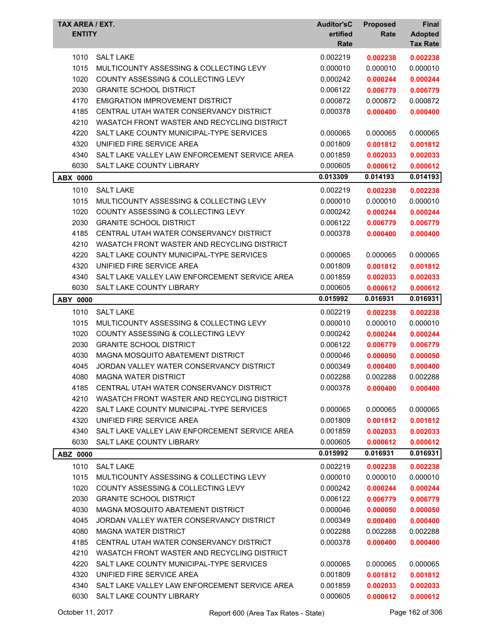| TAX AREA / EXT.<br><b>ENTITY</b> |                                               | <b>Auditor'sC</b><br>ertified<br>Rate | <b>Proposed</b><br>Rate | Final<br><b>Adopted</b><br><b>Tax Rate</b> |
|----------------------------------|-----------------------------------------------|---------------------------------------|-------------------------|--------------------------------------------|
| 1010                             | <b>SALT LAKE</b>                              | 0.002219                              | 0.002238                | 0.002238                                   |
| 1015                             | MULTICOUNTY ASSESSING & COLLECTING LEVY       | 0.000010                              | 0.000010                | 0.000010                                   |
| 1020                             | COUNTY ASSESSING & COLLECTING LEVY            | 0.000242                              | 0.000244                | 0.000244                                   |
| 2030                             | <b>GRANITE SCHOOL DISTRICT</b>                | 0.006122                              | 0.006779                | 0.006779                                   |
| 4170                             | <b>EMIGRATION IMPROVEMENT DISTRICT</b>        | 0.000872                              | 0.000872                | 0.000872                                   |
| 4185                             | CENTRAL UTAH WATER CONSERVANCY DISTRICT       | 0.000378                              | 0.000400                | 0.000400                                   |
| 4210                             | WASATCH FRONT WASTER AND RECYCLING DISTRICT   |                                       |                         |                                            |
| 4220                             | SALT LAKE COUNTY MUNICIPAL-TYPE SERVICES      | 0.000065                              | 0.000065                | 0.000065                                   |
| 4320                             | UNIFIED FIRE SERVICE AREA                     | 0.001809                              | 0.001812                | 0.001812                                   |
| 4340                             | SALT LAKE VALLEY LAW ENFORCEMENT SERVICE AREA | 0.001859                              | 0.002033                | 0.002033                                   |
| 6030                             | <b>SALT LAKE COUNTY LIBRARY</b>               | 0.000605                              | 0.000612                | 0.000612                                   |
| <b>ABX 0000</b>                  |                                               | 0.013309                              | 0.014193                | 0.014193                                   |
| 1010                             | <b>SALT LAKE</b>                              | 0.002219                              | 0.002238                | 0.002238                                   |
| 1015                             | MULTICOUNTY ASSESSING & COLLECTING LEVY       | 0.000010                              | 0.000010                | 0.000010                                   |
| 1020                             | <b>COUNTY ASSESSING &amp; COLLECTING LEVY</b> | 0.000242                              | 0.000244                | 0.000244                                   |
| 2030                             | <b>GRANITE SCHOOL DISTRICT</b>                | 0.006122                              | 0.006779                | 0.006779                                   |
| 4185                             | CENTRAL UTAH WATER CONSERVANCY DISTRICT       | 0.000378                              | 0.000400                | 0.000400                                   |
| 4210                             | WASATCH FRONT WASTER AND RECYCLING DISTRICT   |                                       |                         |                                            |
| 4220                             | SALT LAKE COUNTY MUNICIPAL-TYPE SERVICES      | 0.000065                              | 0.000065                | 0.000065                                   |
| 4320                             | UNIFIED FIRE SERVICE AREA                     | 0.001809                              | 0.001812                | 0.001812                                   |
| 4340                             | SALT LAKE VALLEY LAW ENFORCEMENT SERVICE AREA | 0.001859                              | 0.002033                | 0.002033                                   |
| 6030                             | SALT LAKE COUNTY LIBRARY                      | 0.000605                              | 0.000612                | 0.000612                                   |
|                                  |                                               | 0.015992                              | 0.016931                | 0.016931                                   |
| <b>ABY 0000</b>                  |                                               |                                       |                         |                                            |
| 1010                             | <b>SALT LAKE</b>                              | 0.002219                              | 0.002238                | 0.002238                                   |
| 1015                             | MULTICOUNTY ASSESSING & COLLECTING LEVY       | 0.000010                              | 0.000010                | 0.000010                                   |
| 1020                             | COUNTY ASSESSING & COLLECTING LEVY            | 0.000242                              | 0.000244                | 0.000244                                   |
| 2030                             | <b>GRANITE SCHOOL DISTRICT</b>                | 0.006122                              | 0.006779                | 0.006779                                   |
| 4030                             | MAGNA MOSQUITO ABATEMENT DISTRICT             | 0.000046                              | 0.000050                | 0.000050                                   |
| 4045                             | JORDAN VALLEY WATER CONSERVANCY DISTRICT      | 0.000349                              | 0.000400                | 0.000400                                   |
| 4080                             | <b>MAGNA WATER DISTRICT</b>                   | 0.002288                              | 0.002288                | 0.002288                                   |
| 4185                             | CENTRAL UTAH WATER CONSERVANCY DISTRICT       | 0.000378                              | 0.000400                | 0.000400                                   |
| 4210                             | WASATCH FRONT WASTER AND RECYCLING DISTRICT   |                                       |                         |                                            |
| 4220                             | SALT LAKE COUNTY MUNICIPAL-TYPE SERVICES      | 0.000065                              | 0.000065                | 0.000065                                   |
| 4320                             | UNIFIED FIRE SERVICE AREA                     | 0.001809                              | 0.001812                | 0.001812                                   |
| 4340                             | SALT LAKE VALLEY LAW ENFORCEMENT SERVICE AREA | 0.001859                              | 0.002033                | 0.002033                                   |
| 6030                             | SALT LAKE COUNTY LIBRARY                      | 0.000605                              | 0.000612                | 0.000612                                   |
| ABZ 0000                         |                                               | 0.015992                              | 0.016931                | 0.016931                                   |
| 1010                             | <b>SALT LAKE</b>                              | 0.002219                              | 0.002238                | 0.002238                                   |
| 1015                             | MULTICOUNTY ASSESSING & COLLECTING LEVY       | 0.000010                              | 0.000010                | 0.000010                                   |
| 1020                             | COUNTY ASSESSING & COLLECTING LEVY            | 0.000242                              | 0.000244                | 0.000244                                   |
| 2030                             | <b>GRANITE SCHOOL DISTRICT</b>                | 0.006122                              | 0.006779                | 0.006779                                   |
| 4030                             | MAGNA MOSQUITO ABATEMENT DISTRICT             | 0.000046                              | 0.000050                | 0.000050                                   |
| 4045                             | JORDAN VALLEY WATER CONSERVANCY DISTRICT      | 0.000349                              | 0.000400                | 0.000400                                   |
| 4080                             | <b>MAGNA WATER DISTRICT</b>                   | 0.002288                              | 0.002288                | 0.002288                                   |
| 4185                             | CENTRAL UTAH WATER CONSERVANCY DISTRICT       | 0.000378                              | 0.000400                | 0.000400                                   |
| 4210                             | WASATCH FRONT WASTER AND RECYCLING DISTRICT   |                                       |                         |                                            |
| 4220                             | SALT LAKE COUNTY MUNICIPAL-TYPE SERVICES      | 0.000065                              | 0.000065                | 0.000065                                   |
| 4320                             | UNIFIED FIRE SERVICE AREA                     | 0.001809                              | 0.001812                | 0.001812                                   |
| 4340                             | SALT LAKE VALLEY LAW ENFORCEMENT SERVICE AREA | 0.001859                              | 0.002033                | 0.002033                                   |
| 6030                             | SALT LAKE COUNTY LIBRARY                      | 0.000605                              | 0.000612                | 0.000612                                   |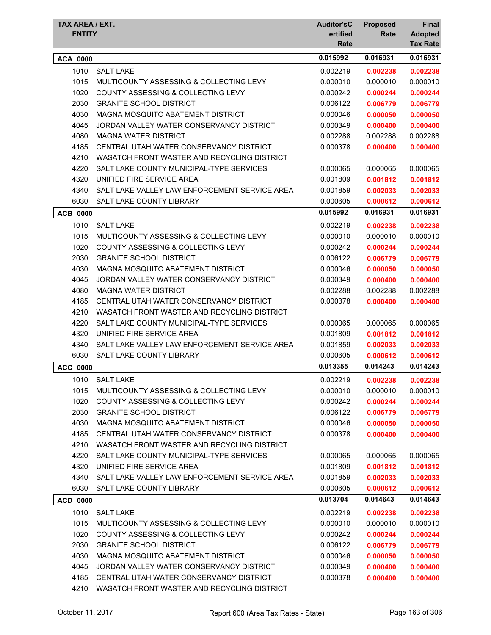| TAX AREA / EXT.<br><b>ENTITY</b> |                                               | <b>Auditor'sC</b><br>ertified | <b>Proposed</b><br>Rate | <b>Final</b>                      |
|----------------------------------|-----------------------------------------------|-------------------------------|-------------------------|-----------------------------------|
|                                  |                                               | Rate                          |                         | <b>Adopted</b><br><b>Tax Rate</b> |
| <b>ACA 0000</b>                  |                                               | 0.015992                      | 0.016931                | 0.016931                          |
| 1010                             | <b>SALT LAKE</b>                              | 0.002219                      | 0.002238                | 0.002238                          |
| 1015                             | MULTICOUNTY ASSESSING & COLLECTING LEVY       | 0.000010                      | 0.000010                | 0.000010                          |
| 1020                             | <b>COUNTY ASSESSING &amp; COLLECTING LEVY</b> | 0.000242                      | 0.000244                | 0.000244                          |
| 2030                             | <b>GRANITE SCHOOL DISTRICT</b>                | 0.006122                      | 0.006779                | 0.006779                          |
| 4030                             | MAGNA MOSQUITO ABATEMENT DISTRICT             | 0.000046                      | 0.000050                | 0.000050                          |
| 4045                             | JORDAN VALLEY WATER CONSERVANCY DISTRICT      | 0.000349                      | 0.000400                | 0.000400                          |
| 4080                             | <b>MAGNA WATER DISTRICT</b>                   | 0.002288                      | 0.002288                | 0.002288                          |
| 4185                             | CENTRAL UTAH WATER CONSERVANCY DISTRICT       | 0.000378                      | 0.000400                | 0.000400                          |
| 4210                             | WASATCH FRONT WASTER AND RECYCLING DISTRICT   |                               |                         |                                   |
| 4220                             | SALT LAKE COUNTY MUNICIPAL-TYPE SERVICES      | 0.000065                      | 0.000065                | 0.000065                          |
| 4320                             | UNIFIED FIRE SERVICE AREA                     | 0.001809                      | 0.001812                | 0.001812                          |
| 4340                             | SALT LAKE VALLEY LAW ENFORCEMENT SERVICE AREA | 0.001859                      | 0.002033                | 0.002033                          |
| 6030                             | <b>SALT LAKE COUNTY LIBRARY</b>               | 0.000605                      | 0.000612                | 0.000612                          |
| <b>ACB 0000</b>                  |                                               | 0.015992                      | 0.016931                | 0.016931                          |
| 1010                             | <b>SALT LAKE</b>                              | 0.002219                      | 0.002238                | 0.002238                          |
| 1015                             | MULTICOUNTY ASSESSING & COLLECTING LEVY       | 0.000010                      | 0.000010                | 0.000010                          |
| 1020                             | <b>COUNTY ASSESSING &amp; COLLECTING LEVY</b> | 0.000242                      | 0.000244                | 0.000244                          |
| 2030                             | <b>GRANITE SCHOOL DISTRICT</b>                | 0.006122                      | 0.006779                | 0.006779                          |
| 4030                             | MAGNA MOSQUITO ABATEMENT DISTRICT             | 0.000046                      | 0.000050                | 0.000050                          |
| 4045                             | JORDAN VALLEY WATER CONSERVANCY DISTRICT      | 0.000349                      | 0.000400                | 0.000400                          |
| 4080                             | <b>MAGNA WATER DISTRICT</b>                   | 0.002288                      | 0.002288                | 0.002288                          |
| 4185                             | CENTRAL UTAH WATER CONSERVANCY DISTRICT       | 0.000378                      | 0.000400                | 0.000400                          |
| 4210                             | WASATCH FRONT WASTER AND RECYCLING DISTRICT   |                               |                         |                                   |
| 4220                             | SALT LAKE COUNTY MUNICIPAL-TYPE SERVICES      | 0.000065                      | 0.000065                | 0.000065                          |
| 4320                             | UNIFIED FIRE SERVICE AREA                     | 0.001809                      | 0.001812                | 0.001812                          |
| 4340                             | SALT LAKE VALLEY LAW ENFORCEMENT SERVICE AREA | 0.001859                      | 0.002033                | 0.002033                          |
| 6030                             | SALT LAKE COUNTY LIBRARY                      | 0.000605                      | 0.000612                | 0.000612                          |
| <b>ACC 0000</b>                  |                                               | 0.013355                      | 0.014243                | 0.014243                          |
| 1010                             | <b>SALT LAKE</b>                              | 0.002219                      | 0.002238                | 0.002238                          |
| 1015                             | MULTICOUNTY ASSESSING & COLLECTING LEVY       | 0.000010                      | 0.000010                | 0.000010                          |
| 1020                             | <b>COUNTY ASSESSING &amp; COLLECTING LEVY</b> | 0.000242                      | 0.000244                | 0.000244                          |
| 2030                             | <b>GRANITE SCHOOL DISTRICT</b>                | 0.006122                      | 0.006779                | 0.006779                          |
| 4030                             | MAGNA MOSQUITO ABATEMENT DISTRICT             | 0.000046                      | 0.000050                | 0.000050                          |
| 4185                             | CENTRAL UTAH WATER CONSERVANCY DISTRICT       | 0.000378                      | 0.000400                | 0.000400                          |
| 4210                             | WASATCH FRONT WASTER AND RECYCLING DISTRICT   |                               |                         |                                   |
| 4220                             | SALT LAKE COUNTY MUNICIPAL-TYPE SERVICES      | 0.000065                      | 0.000065                | 0.000065                          |
| 4320                             | UNIFIED FIRE SERVICE AREA                     | 0.001809                      | 0.001812                | 0.001812                          |
| 4340                             | SALT LAKE VALLEY LAW ENFORCEMENT SERVICE AREA | 0.001859                      | 0.002033                | 0.002033                          |
| 6030                             | SALT LAKE COUNTY LIBRARY                      | 0.000605                      | 0.000612                | 0.000612                          |
| <b>ACD 0000</b>                  |                                               | 0.013704                      | 0.014643                | 0.014643                          |
| 1010                             | <b>SALT LAKE</b>                              | 0.002219                      | 0.002238                | 0.002238                          |
| 1015                             | MULTICOUNTY ASSESSING & COLLECTING LEVY       | 0.000010                      | 0.000010                | 0.000010                          |
| 1020                             | COUNTY ASSESSING & COLLECTING LEVY            | 0.000242                      | 0.000244                | 0.000244                          |
| 2030                             | <b>GRANITE SCHOOL DISTRICT</b>                | 0.006122                      | 0.006779                | 0.006779                          |
| 4030                             | MAGNA MOSQUITO ABATEMENT DISTRICT             | 0.000046                      | 0.000050                | 0.000050                          |
| 4045                             | JORDAN VALLEY WATER CONSERVANCY DISTRICT      | 0.000349                      | 0.000400                | 0.000400                          |
| 4185                             | CENTRAL UTAH WATER CONSERVANCY DISTRICT       | 0.000378                      | 0.000400                | 0.000400                          |
| 4210                             | WASATCH FRONT WASTER AND RECYCLING DISTRICT   |                               |                         |                                   |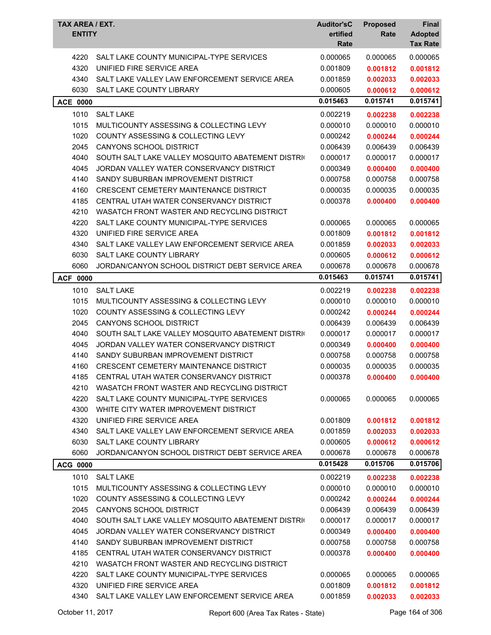| <b>TAX AREA / EXT.</b><br><b>ENTITY</b> |                                                   | <b>Auditor'sC</b><br>ertified<br>Rate | <b>Proposed</b><br>Rate | <b>Final</b><br><b>Adopted</b><br><b>Tax Rate</b> |
|-----------------------------------------|---------------------------------------------------|---------------------------------------|-------------------------|---------------------------------------------------|
| 4220                                    | SALT LAKE COUNTY MUNICIPAL-TYPE SERVICES          | 0.000065                              | 0.000065                | 0.000065                                          |
| 4320                                    | UNIFIED FIRE SERVICE AREA                         | 0.001809                              | 0.001812                | 0.001812                                          |
| 4340                                    | SALT LAKE VALLEY LAW ENFORCEMENT SERVICE AREA     | 0.001859                              | 0.002033                | 0.002033                                          |
| 6030                                    | SALT LAKE COUNTY LIBRARY                          | 0.000605                              | 0.000612                | 0.000612                                          |
| <b>ACE 0000</b>                         |                                                   | 0.015463                              | 0.015741                | 0.015741                                          |
| 1010                                    | <b>SALT LAKE</b>                                  | 0.002219                              | 0.002238                | 0.002238                                          |
| 1015                                    | MULTICOUNTY ASSESSING & COLLECTING LEVY           | 0.000010                              | 0.000010                | 0.000010                                          |
| 1020                                    | COUNTY ASSESSING & COLLECTING LEVY                | 0.000242                              | 0.000244                | 0.000244                                          |
| 2045                                    | <b>CANYONS SCHOOL DISTRICT</b>                    | 0.006439                              | 0.006439                | 0.006439                                          |
| 4040                                    | SOUTH SALT LAKE VALLEY MOSQUITO ABATEMENT DISTRIC | 0.000017                              | 0.000017                | 0.000017                                          |
| 4045                                    | JORDAN VALLEY WATER CONSERVANCY DISTRICT          | 0.000349                              | 0.000400                | 0.000400                                          |
| 4140                                    | SANDY SUBURBAN IMPROVEMENT DISTRICT               | 0.000758                              | 0.000758                | 0.000758                                          |
| 4160                                    | <b>CRESCENT CEMETERY MAINTENANCE DISTRICT</b>     | 0.000035                              | 0.000035                | 0.000035                                          |
| 4185                                    | CENTRAL UTAH WATER CONSERVANCY DISTRICT           | 0.000378                              | 0.000400                | 0.000400                                          |
| 4210                                    | WASATCH FRONT WASTER AND RECYCLING DISTRICT       |                                       |                         |                                                   |
| 4220                                    | SALT LAKE COUNTY MUNICIPAL-TYPE SERVICES          | 0.000065                              | 0.000065                | 0.000065                                          |
| 4320                                    | UNIFIED FIRE SERVICE AREA                         | 0.001809                              | 0.001812                | 0.001812                                          |
| 4340                                    | SALT LAKE VALLEY LAW ENFORCEMENT SERVICE AREA     | 0.001859                              | 0.002033                | 0.002033                                          |
| 6030                                    | <b>SALT LAKE COUNTY LIBRARY</b>                   | 0.000605                              | 0.000612                | 0.000612                                          |
| 6060                                    | JORDAN/CANYON SCHOOL DISTRICT DEBT SERVICE AREA   | 0.000678                              | 0.000678                | 0.000678                                          |
| <b>ACF 0000</b>                         |                                                   | 0.015463                              | 0.015741                | 0.015741                                          |
| 1010                                    | <b>SALT LAKE</b>                                  | 0.002219                              | 0.002238                | 0.002238                                          |
| 1015                                    | MULTICOUNTY ASSESSING & COLLECTING LEVY           | 0.000010                              | 0.000010                | 0.000010                                          |
| 1020                                    | COUNTY ASSESSING & COLLECTING LEVY                | 0.000242                              | 0.000244                | 0.000244                                          |
| 2045                                    | CANYONS SCHOOL DISTRICT                           | 0.006439                              | 0.006439                | 0.006439                                          |
| 4040                                    | SOUTH SALT LAKE VALLEY MOSQUITO ABATEMENT DISTRIC | 0.000017                              | 0.000017                | 0.000017                                          |
| 4045                                    | JORDAN VALLEY WATER CONSERVANCY DISTRICT          | 0.000349                              | 0.000400                | 0.000400                                          |
| 4140                                    | SANDY SUBURBAN IMPROVEMENT DISTRICT               | 0.000758                              | 0.000758                | 0.000758                                          |
| 4160                                    | CRESCENT CEMETERY MAINTENANCE DISTRICT            | 0.000035                              | 0.000035                | 0.000035                                          |
|                                         | 4185 CENTRAL UTAH WATER CONSERVANCY DISTRICT      | 0.000378                              | 0.000400                | 0.000400                                          |
| 4210                                    | WASATCH FRONT WASTER AND RECYCLING DISTRICT       |                                       |                         |                                                   |
| 4220                                    | SALT LAKE COUNTY MUNICIPAL-TYPE SERVICES          | 0.000065                              | 0.000065                | 0.000065                                          |
| 4300                                    | WHITE CITY WATER IMPROVEMENT DISTRICT             |                                       |                         |                                                   |
| 4320                                    | UNIFIED FIRE SERVICE AREA                         | 0.001809                              | 0.001812                | 0.001812                                          |
| 4340                                    | SALT LAKE VALLEY LAW ENFORCEMENT SERVICE AREA     | 0.001859                              | 0.002033                | 0.002033                                          |
| 6030                                    | SALT LAKE COUNTY LIBRARY                          | 0.000605                              | 0.000612                | 0.000612                                          |
| 6060                                    | JORDAN/CANYON SCHOOL DISTRICT DEBT SERVICE AREA   | 0.000678                              | 0.000678                | 0.000678                                          |
| <b>ACG 0000</b>                         |                                                   | 0.015428                              | 0.015706                | 0.015706                                          |
| 1010                                    | <b>SALT LAKE</b>                                  | 0.002219                              | 0.002238                | 0.002238                                          |
| 1015                                    | MULTICOUNTY ASSESSING & COLLECTING LEVY           | 0.000010                              | 0.000010                | 0.000010                                          |
| 1020                                    | COUNTY ASSESSING & COLLECTING LEVY                | 0.000242                              | 0.000244                | 0.000244                                          |
| 2045                                    | <b>CANYONS SCHOOL DISTRICT</b>                    | 0.006439                              | 0.006439                | 0.006439                                          |
| 4040                                    | SOUTH SALT LAKE VALLEY MOSQUITO ABATEMENT DISTRIC | 0.000017                              | 0.000017                | 0.000017                                          |
| 4045                                    | JORDAN VALLEY WATER CONSERVANCY DISTRICT          | 0.000349                              | 0.000400                | 0.000400                                          |
| 4140                                    | SANDY SUBURBAN IMPROVEMENT DISTRICT               | 0.000758                              | 0.000758                | 0.000758                                          |
| 4185                                    | CENTRAL UTAH WATER CONSERVANCY DISTRICT           | 0.000378                              | 0.000400                | 0.000400                                          |
| 4210                                    | WASATCH FRONT WASTER AND RECYCLING DISTRICT       |                                       |                         |                                                   |
| 4220                                    | SALT LAKE COUNTY MUNICIPAL-TYPE SERVICES          | 0.000065                              | 0.000065                | 0.000065                                          |
| 4320                                    | UNIFIED FIRE SERVICE AREA                         | 0.001809                              | 0.001812                | 0.001812                                          |
| 4340                                    | SALT LAKE VALLEY LAW ENFORCEMENT SERVICE AREA     | 0.001859                              | 0.002033                | 0.002033                                          |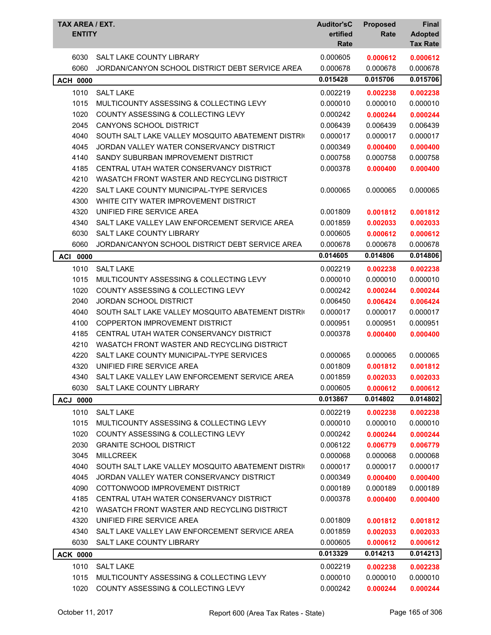| <b>TAX AREA / EXT.</b><br><b>ENTITY</b> |                                                   | <b>Auditor'sC</b><br>ertified<br>Rate | <b>Proposed</b><br>Rate | <b>Final</b><br><b>Adopted</b><br><b>Tax Rate</b> |
|-----------------------------------------|---------------------------------------------------|---------------------------------------|-------------------------|---------------------------------------------------|
| 6030                                    | SALT LAKE COUNTY LIBRARY                          | 0.000605                              | 0.000612                | 0.000612                                          |
| 6060                                    | JORDAN/CANYON SCHOOL DISTRICT DEBT SERVICE AREA   | 0.000678                              | 0.000678                | 0.000678                                          |
| <b>ACH 0000</b>                         |                                                   | 0.015428                              | 0.015706                | 0.015706                                          |
| 1010                                    | <b>SALT LAKE</b>                                  | 0.002219                              | 0.002238                | 0.002238                                          |
| 1015                                    | MULTICOUNTY ASSESSING & COLLECTING LEVY           | 0.000010                              | 0.000010                | 0.000010                                          |
| 1020                                    | COUNTY ASSESSING & COLLECTING LEVY                | 0.000242                              | 0.000244                | 0.000244                                          |
| 2045                                    | CANYONS SCHOOL DISTRICT                           | 0.006439                              | 0.006439                | 0.006439                                          |
| 4040                                    | SOUTH SALT LAKE VALLEY MOSQUITO ABATEMENT DISTRIC | 0.000017                              | 0.000017                | 0.000017                                          |
| 4045                                    | JORDAN VALLEY WATER CONSERVANCY DISTRICT          | 0.000349                              | 0.000400                | 0.000400                                          |
| 4140                                    | SANDY SUBURBAN IMPROVEMENT DISTRICT               | 0.000758                              | 0.000758                | 0.000758                                          |
| 4185                                    | CENTRAL UTAH WATER CONSERVANCY DISTRICT           | 0.000378                              | 0.000400                | 0.000400                                          |
| 4210                                    | WASATCH FRONT WASTER AND RECYCLING DISTRICT       |                                       |                         |                                                   |
| 4220                                    | SALT LAKE COUNTY MUNICIPAL-TYPE SERVICES          | 0.000065                              | 0.000065                | 0.000065                                          |
| 4300                                    | WHITE CITY WATER IMPROVEMENT DISTRICT             |                                       |                         |                                                   |
| 4320                                    | UNIFIED FIRE SERVICE AREA                         | 0.001809                              | 0.001812                | 0.001812                                          |
| 4340                                    | SALT LAKE VALLEY LAW ENFORCEMENT SERVICE AREA     | 0.001859                              | 0.002033                | 0.002033                                          |
| 6030                                    | <b>SALT LAKE COUNTY LIBRARY</b>                   | 0.000605                              | 0.000612                | 0.000612                                          |
| 6060                                    | JORDAN/CANYON SCHOOL DISTRICT DEBT SERVICE AREA   | 0.000678                              | 0.000678                | 0.000678                                          |
| <b>ACI 0000</b>                         |                                                   | 0.014605                              | 0.014806                | 0.014806                                          |
| 1010                                    | <b>SALT LAKE</b>                                  | 0.002219                              | 0.002238                | 0.002238                                          |
| 1015                                    | MULTICOUNTY ASSESSING & COLLECTING LEVY           | 0.000010                              | 0.000010                | 0.000010                                          |
| 1020                                    | <b>COUNTY ASSESSING &amp; COLLECTING LEVY</b>     | 0.000242                              | 0.000244                | 0.000244                                          |
| 2040                                    | <b>JORDAN SCHOOL DISTRICT</b>                     | 0.006450                              | 0.006424                | 0.006424                                          |
| 4040                                    | SOUTH SALT LAKE VALLEY MOSQUITO ABATEMENT DISTRIC | 0.000017                              | 0.000017                | 0.000017                                          |
| 4100                                    | <b>COPPERTON IMPROVEMENT DISTRICT</b>             | 0.000951                              | 0.000951                | 0.000951                                          |
| 4185                                    | CENTRAL UTAH WATER CONSERVANCY DISTRICT           | 0.000378                              | 0.000400                | 0.000400                                          |
| 4210                                    | WASATCH FRONT WASTER AND RECYCLING DISTRICT       |                                       |                         |                                                   |
| 4220                                    | SALT LAKE COUNTY MUNICIPAL-TYPE SERVICES          | 0.000065                              | 0.000065                | 0.000065                                          |
| 4320                                    | UNIFIED FIRE SERVICE AREA                         | 0.001809                              | 0.001812                | 0.001812                                          |
| 4340                                    | SALT LAKE VALLEY LAW ENFORCEMENT SERVICE AREA     | 0.001859                              | 0.002033                | 0.002033                                          |
| 6030                                    | SALT LAKE COUNTY LIBRARY                          | 0.000605                              | 0.000612                | 0.000612                                          |
| <b>ACJ 0000</b>                         |                                                   | 0.013867                              | 0.014802                | 0.014802                                          |
| 1010                                    | <b>SALT LAKE</b>                                  | 0.002219                              | 0.002238                | 0.002238                                          |
| 1015                                    | MULTICOUNTY ASSESSING & COLLECTING LEVY           | 0.000010                              | 0.000010                | 0.000010                                          |
| 1020                                    | <b>COUNTY ASSESSING &amp; COLLECTING LEVY</b>     | 0.000242                              | 0.000244                | 0.000244                                          |
| 2030                                    | <b>GRANITE SCHOOL DISTRICT</b>                    | 0.006122                              | 0.006779                | 0.006779                                          |
| 3045                                    | <b>MILLCREEK</b>                                  | 0.000068                              | 0.000068                | 0.000068                                          |
| 4040                                    | SOUTH SALT LAKE VALLEY MOSQUITO ABATEMENT DISTRIC | 0.000017                              | 0.000017                | 0.000017                                          |
| 4045                                    | JORDAN VALLEY WATER CONSERVANCY DISTRICT          | 0.000349                              | 0.000400                | 0.000400                                          |
| 4090                                    | COTTONWOOD IMPROVEMENT DISTRICT                   | 0.000189                              | 0.000189                | 0.000189                                          |
| 4185                                    | CENTRAL UTAH WATER CONSERVANCY DISTRICT           | 0.000378                              | 0.000400                | 0.000400                                          |
| 4210                                    | WASATCH FRONT WASTER AND RECYCLING DISTRICT       |                                       |                         |                                                   |
| 4320                                    | UNIFIED FIRE SERVICE AREA                         | 0.001809                              | 0.001812                | 0.001812                                          |
| 4340                                    | SALT LAKE VALLEY LAW ENFORCEMENT SERVICE AREA     | 0.001859                              | 0.002033                | 0.002033                                          |
| 6030                                    | SALT LAKE COUNTY LIBRARY                          | 0.000605                              | 0.000612                | 0.000612                                          |
| <b>ACK 0000</b>                         |                                                   | 0.013329                              | 0.014213                | 0.014213                                          |
| 1010                                    | <b>SALT LAKE</b>                                  | 0.002219                              | 0.002238                | 0.002238                                          |
| 1015                                    | MULTICOUNTY ASSESSING & COLLECTING LEVY           | 0.000010                              | 0.000010                | 0.000010                                          |
| 1020                                    | COUNTY ASSESSING & COLLECTING LEVY                | 0.000242                              | 0.000244                | 0.000244                                          |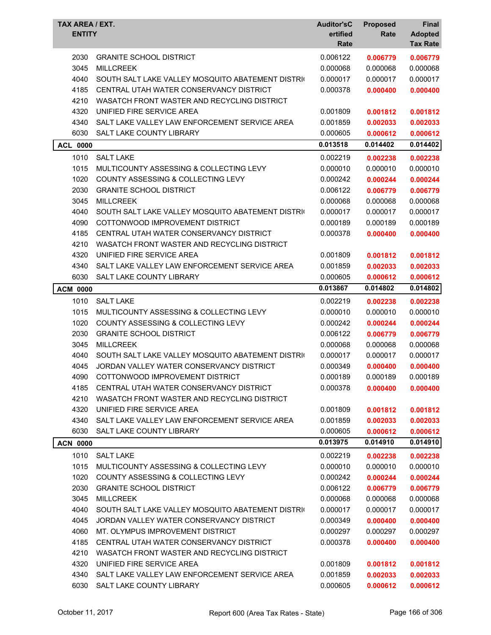| TAX AREA / EXT.<br><b>ENTITY</b> |                                                   | <b>Auditor'sC</b><br>ertified<br>Rate | <b>Proposed</b><br>Rate | Final<br><b>Adopted</b><br><b>Tax Rate</b> |
|----------------------------------|---------------------------------------------------|---------------------------------------|-------------------------|--------------------------------------------|
| 2030                             | <b>GRANITE SCHOOL DISTRICT</b>                    | 0.006122                              | 0.006779                | 0.006779                                   |
| 3045                             | <b>MILLCREEK</b>                                  | 0.000068                              | 0.000068                | 0.000068                                   |
| 4040                             | SOUTH SALT LAKE VALLEY MOSQUITO ABATEMENT DISTRIC | 0.000017                              | 0.000017                | 0.000017                                   |
| 4185                             | CENTRAL UTAH WATER CONSERVANCY DISTRICT           | 0.000378                              | 0.000400                | 0.000400                                   |
| 4210                             | WASATCH FRONT WASTER AND RECYCLING DISTRICT       |                                       |                         |                                            |
| 4320                             | UNIFIED FIRE SERVICE AREA                         | 0.001809                              | 0.001812                | 0.001812                                   |
| 4340                             | SALT LAKE VALLEY LAW ENFORCEMENT SERVICE AREA     | 0.001859                              | 0.002033                | 0.002033                                   |
| 6030                             | SALT LAKE COUNTY LIBRARY                          | 0.000605                              | 0.000612                | 0.000612                                   |
| <b>ACL 0000</b>                  |                                                   | 0.013518                              | 0.014402                | 0.014402                                   |
| 1010                             | <b>SALT LAKE</b>                                  | 0.002219                              | 0.002238                | 0.002238                                   |
| 1015                             | MULTICOUNTY ASSESSING & COLLECTING LEVY           | 0.000010                              | 0.000010                | 0.000010                                   |
| 1020                             | COUNTY ASSESSING & COLLECTING LEVY                | 0.000242                              | 0.000244                | 0.000244                                   |
| 2030                             | <b>GRANITE SCHOOL DISTRICT</b>                    | 0.006122                              | 0.006779                | 0.006779                                   |
| 3045                             | <b>MILLCREEK</b>                                  | 0.000068                              | 0.000068                | 0.000068                                   |
| 4040                             | SOUTH SALT LAKE VALLEY MOSQUITO ABATEMENT DISTRIC | 0.000017                              | 0.000017                | 0.000017                                   |
| 4090                             | COTTONWOOD IMPROVEMENT DISTRICT                   | 0.000189                              | 0.000189                | 0.000189                                   |
| 4185                             | CENTRAL UTAH WATER CONSERVANCY DISTRICT           | 0.000378                              | 0.000400                | 0.000400                                   |
| 4210                             | WASATCH FRONT WASTER AND RECYCLING DISTRICT       |                                       |                         |                                            |
| 4320                             | UNIFIED FIRE SERVICE AREA                         | 0.001809                              | 0.001812                | 0.001812                                   |
| 4340                             | SALT LAKE VALLEY LAW ENFORCEMENT SERVICE AREA     | 0.001859                              | 0.002033                | 0.002033                                   |
| 6030                             | SALT LAKE COUNTY LIBRARY                          | 0.000605                              | 0.000612                | 0.000612                                   |
|                                  |                                                   | 0.013867                              | 0.014802                | 0.014802                                   |
| <b>ACM 0000</b>                  |                                                   |                                       |                         |                                            |
| 1010                             | <b>SALT LAKE</b>                                  | 0.002219                              | 0.002238                | 0.002238                                   |
| 1015                             | MULTICOUNTY ASSESSING & COLLECTING LEVY           | 0.000010                              | 0.000010                | 0.000010                                   |
| 1020                             | <b>COUNTY ASSESSING &amp; COLLECTING LEVY</b>     | 0.000242                              | 0.000244                | 0.000244                                   |
| 2030                             | <b>GRANITE SCHOOL DISTRICT</b>                    | 0.006122                              | 0.006779                | 0.006779                                   |
| 3045                             | <b>MILLCREEK</b>                                  | 0.000068                              | 0.000068                | 0.000068                                   |
| 4040                             | SOUTH SALT LAKE VALLEY MOSQUITO ABATEMENT DISTRIC | 0.000017                              | 0.000017                | 0.000017                                   |
| 4045                             | JORDAN VALLEY WATER CONSERVANCY DISTRICT          | 0.000349                              | 0.000400                | 0.000400                                   |
| 4090                             | COTTONWOOD IMPROVEMENT DISTRICT                   | 0.000189                              | 0.000189                | 0.000189                                   |
| 4185                             | CENTRAL UTAH WATER CONSERVANCY DISTRICT           | 0.000378                              | 0.000400                | 0.000400                                   |
| 4210                             | WASATCH FRONT WASTER AND RECYCLING DISTRICT       |                                       |                         |                                            |
| 4320                             | UNIFIED FIRE SERVICE AREA                         | 0.001809                              | 0.001812                | 0.001812                                   |
| 4340                             | SALT LAKE VALLEY LAW ENFORCEMENT SERVICE AREA     | 0.001859                              | 0.002033                | 0.002033                                   |
| 6030                             | SALT LAKE COUNTY LIBRARY                          | 0.000605                              | 0.000612                | 0.000612                                   |
| <b>ACN 0000</b>                  |                                                   | 0.013975                              | 0.014910                | 0.014910                                   |
| 1010                             | <b>SALT LAKE</b>                                  | 0.002219                              | 0.002238                | 0.002238                                   |
| 1015                             | MULTICOUNTY ASSESSING & COLLECTING LEVY           | 0.000010                              | 0.000010                | 0.000010                                   |
| 1020                             | COUNTY ASSESSING & COLLECTING LEVY                | 0.000242                              | 0.000244                | 0.000244                                   |
| 2030                             | <b>GRANITE SCHOOL DISTRICT</b>                    | 0.006122                              | 0.006779                | 0.006779                                   |
| 3045                             | <b>MILLCREEK</b>                                  | 0.000068                              | 0.000068                | 0.000068                                   |
| 4040                             | SOUTH SALT LAKE VALLEY MOSQUITO ABATEMENT DISTRIC | 0.000017                              | 0.000017                | 0.000017                                   |
| 4045                             | JORDAN VALLEY WATER CONSERVANCY DISTRICT          | 0.000349                              | 0.000400                | 0.000400                                   |
| 4060                             | MT. OLYMPUS IMPROVEMENT DISTRICT                  | 0.000297                              | 0.000297                | 0.000297                                   |
| 4185                             | CENTRAL UTAH WATER CONSERVANCY DISTRICT           | 0.000378                              | 0.000400                | 0.000400                                   |
| 4210                             | WASATCH FRONT WASTER AND RECYCLING DISTRICT       |                                       |                         |                                            |
| 4320                             | UNIFIED FIRE SERVICE AREA                         | 0.001809                              | 0.001812                | 0.001812                                   |
| 4340                             | SALT LAKE VALLEY LAW ENFORCEMENT SERVICE AREA     | 0.001859                              | 0.002033                | 0.002033                                   |
| 6030                             | SALT LAKE COUNTY LIBRARY                          | 0.000605                              | 0.000612                | 0.000612                                   |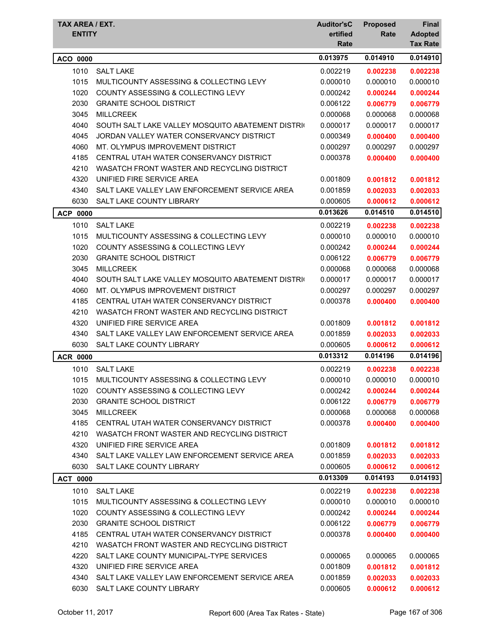| TAX AREA / EXT.<br><b>ENTITY</b> |                                                   | <b>Auditor'sC</b><br>ertified<br>Rate | <b>Proposed</b><br>Rate | <b>Final</b><br><b>Adopted</b><br><b>Tax Rate</b> |
|----------------------------------|---------------------------------------------------|---------------------------------------|-------------------------|---------------------------------------------------|
| ACO 0000                         |                                                   | 0.013975                              | 0.014910                | 0.014910                                          |
| 1010                             | <b>SALT LAKE</b>                                  | 0.002219                              | 0.002238                | 0.002238                                          |
| 1015                             | MULTICOUNTY ASSESSING & COLLECTING LEVY           | 0.000010                              | 0.000010                | 0.000010                                          |
| 1020                             | <b>COUNTY ASSESSING &amp; COLLECTING LEVY</b>     | 0.000242                              | 0.000244                | 0.000244                                          |
| 2030                             | <b>GRANITE SCHOOL DISTRICT</b>                    | 0.006122                              | 0.006779                | 0.006779                                          |
| 3045                             | <b>MILLCREEK</b>                                  | 0.000068                              | 0.000068                | 0.000068                                          |
| 4040                             | SOUTH SALT LAKE VALLEY MOSQUITO ABATEMENT DISTRIC | 0.000017                              | 0.000017                | 0.000017                                          |
| 4045                             | JORDAN VALLEY WATER CONSERVANCY DISTRICT          | 0.000349                              | 0.000400                | 0.000400                                          |
| 4060                             | MT. OLYMPUS IMPROVEMENT DISTRICT                  | 0.000297                              | 0.000297                | 0.000297                                          |
| 4185                             | CENTRAL UTAH WATER CONSERVANCY DISTRICT           | 0.000378                              | 0.000400                | 0.000400                                          |
| 4210                             | WASATCH FRONT WASTER AND RECYCLING DISTRICT       |                                       |                         |                                                   |
| 4320                             | UNIFIED FIRE SERVICE AREA                         | 0.001809                              | 0.001812                | 0.001812                                          |
| 4340                             | SALT LAKE VALLEY LAW ENFORCEMENT SERVICE AREA     | 0.001859                              | 0.002033                | 0.002033                                          |
| 6030                             | SALT LAKE COUNTY LIBRARY                          | 0.000605                              | 0.000612                | 0.000612                                          |
| <b>ACP 0000</b>                  |                                                   | 0.013626                              | 0.014510                | 0.014510                                          |
| 1010                             | <b>SALT LAKE</b>                                  | 0.002219                              | 0.002238                | 0.002238                                          |
| 1015                             | MULTICOUNTY ASSESSING & COLLECTING LEVY           | 0.000010                              | 0.000010                | 0.000010                                          |
| 1020                             | <b>COUNTY ASSESSING &amp; COLLECTING LEVY</b>     | 0.000242                              | 0.000244                | 0.000244                                          |
| 2030                             | <b>GRANITE SCHOOL DISTRICT</b>                    | 0.006122                              | 0.006779                | 0.006779                                          |
| 3045                             | <b>MILLCREEK</b>                                  | 0.000068                              | 0.000068                | 0.000068                                          |
| 4040                             | SOUTH SALT LAKE VALLEY MOSQUITO ABATEMENT DISTRIC | 0.000017                              | 0.000017                | 0.000017                                          |
| 4060                             | MT. OLYMPUS IMPROVEMENT DISTRICT                  | 0.000297                              | 0.000297                | 0.000297                                          |
| 4185                             | CENTRAL UTAH WATER CONSERVANCY DISTRICT           | 0.000378                              | 0.000400                | 0.000400                                          |
| 4210                             | WASATCH FRONT WASTER AND RECYCLING DISTRICT       |                                       |                         |                                                   |
| 4320                             | UNIFIED FIRE SERVICE AREA                         | 0.001809                              | 0.001812                | 0.001812                                          |
| 4340                             | SALT LAKE VALLEY LAW ENFORCEMENT SERVICE AREA     | 0.001859                              | 0.002033                | 0.002033                                          |
| 6030                             | SALT LAKE COUNTY LIBRARY                          | 0.000605                              | 0.000612                | 0.000612                                          |
| <b>ACR 0000</b>                  |                                                   | 0.013312                              | 0.014196                | 0.014196                                          |
| 1010                             | <b>SALT LAKE</b>                                  | 0.002219                              | 0.002238                | 0.002238                                          |
| 1015                             | MULTICOUNTY ASSESSING & COLLECTING LEVY           | 0.000010                              | 0.000010                | 0.000010                                          |
| 1020                             | COUNTY ASSESSING & COLLECTING LEVY                | 0.000242                              | 0.000244                | 0.000244                                          |
| 2030                             | <b>GRANITE SCHOOL DISTRICT</b>                    | 0.006122                              | 0.006779                | 0.006779                                          |
| 3045                             | <b>MILLCREEK</b>                                  | 0.000068                              | 0.000068                | 0.000068                                          |
| 4185                             | CENTRAL UTAH WATER CONSERVANCY DISTRICT           | 0.000378                              | 0.000400                | 0.000400                                          |
| 4210                             | WASATCH FRONT WASTER AND RECYCLING DISTRICT       |                                       |                         |                                                   |
| 4320                             | UNIFIED FIRE SERVICE AREA                         | 0.001809                              | 0.001812                | 0.001812                                          |
| 4340                             | SALT LAKE VALLEY LAW ENFORCEMENT SERVICE AREA     | 0.001859                              | 0.002033                | 0.002033                                          |
| 6030                             | SALT LAKE COUNTY LIBRARY                          | 0.000605                              | 0.000612                | 0.000612                                          |
| <b>ACT 0000</b>                  |                                                   | 0.013309                              | 0.014193                | 0.014193                                          |
| 1010                             | <b>SALT LAKE</b>                                  | 0.002219                              | 0.002238                | 0.002238                                          |
| 1015                             | MULTICOUNTY ASSESSING & COLLECTING LEVY           | 0.000010                              | 0.000010                | 0.000010                                          |
| 1020                             | COUNTY ASSESSING & COLLECTING LEVY                | 0.000242                              | 0.000244                | 0.000244                                          |
| 2030                             | <b>GRANITE SCHOOL DISTRICT</b>                    | 0.006122                              | 0.006779                | 0.006779                                          |
| 4185                             | CENTRAL UTAH WATER CONSERVANCY DISTRICT           | 0.000378                              | 0.000400                | 0.000400                                          |
| 4210                             | WASATCH FRONT WASTER AND RECYCLING DISTRICT       |                                       |                         |                                                   |
| 4220                             | SALT LAKE COUNTY MUNICIPAL-TYPE SERVICES          | 0.000065                              | 0.000065                | 0.000065                                          |
| 4320                             | UNIFIED FIRE SERVICE AREA                         | 0.001809                              | 0.001812                | 0.001812                                          |
| 4340                             | SALT LAKE VALLEY LAW ENFORCEMENT SERVICE AREA     | 0.001859                              | 0.002033                | 0.002033                                          |
| 6030                             | SALT LAKE COUNTY LIBRARY                          | 0.000605                              | 0.000612                | 0.000612                                          |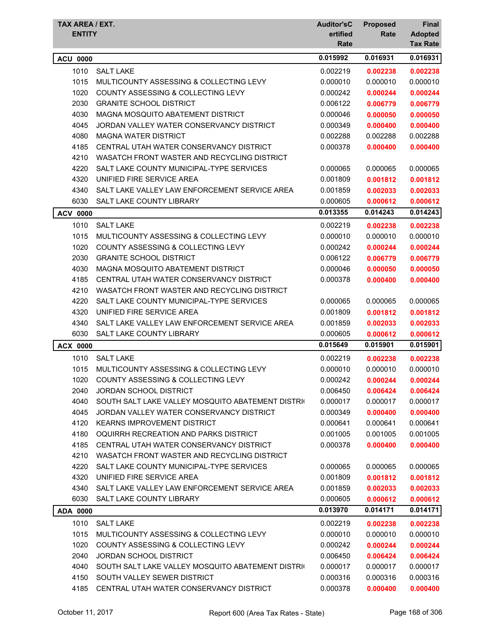| TAX AREA / EXT.<br><b>ENTITY</b> |                                                   | <b>Auditor'sC</b><br>ertified<br>Rate | <b>Proposed</b><br>Rate | Final<br><b>Adopted</b><br><b>Tax Rate</b> |
|----------------------------------|---------------------------------------------------|---------------------------------------|-------------------------|--------------------------------------------|
| <b>ACU 0000</b>                  |                                                   | 0.015992                              | 0.016931                | 0.016931                                   |
| 1010                             | <b>SALT LAKE</b>                                  | 0.002219                              | 0.002238                | 0.002238                                   |
| 1015                             | MULTICOUNTY ASSESSING & COLLECTING LEVY           | 0.000010                              | 0.000010                | 0.000010                                   |
| 1020                             | <b>COUNTY ASSESSING &amp; COLLECTING LEVY</b>     | 0.000242                              | 0.000244                | 0.000244                                   |
| 2030                             | <b>GRANITE SCHOOL DISTRICT</b>                    | 0.006122                              | 0.006779                | 0.006779                                   |
| 4030                             | MAGNA MOSQUITO ABATEMENT DISTRICT                 | 0.000046                              | 0.000050                | 0.000050                                   |
| 4045                             | JORDAN VALLEY WATER CONSERVANCY DISTRICT          | 0.000349                              | 0.000400                | 0.000400                                   |
| 4080                             | <b>MAGNA WATER DISTRICT</b>                       | 0.002288                              | 0.002288                | 0.002288                                   |
| 4185                             | CENTRAL UTAH WATER CONSERVANCY DISTRICT           | 0.000378                              | 0.000400                | 0.000400                                   |
| 4210                             | WASATCH FRONT WASTER AND RECYCLING DISTRICT       |                                       |                         |                                            |
| 4220                             | SALT LAKE COUNTY MUNICIPAL-TYPE SERVICES          | 0.000065                              | 0.000065                | 0.000065                                   |
| 4320                             | UNIFIED FIRE SERVICE AREA                         | 0.001809                              | 0.001812                | 0.001812                                   |
| 4340                             | SALT LAKE VALLEY LAW ENFORCEMENT SERVICE AREA     | 0.001859                              | 0.002033                | 0.002033                                   |
| 6030                             | SALT LAKE COUNTY LIBRARY                          | 0.000605                              | 0.000612                | 0.000612                                   |
| <b>ACV 0000</b>                  |                                                   | 0.013355                              | 0.014243                | 0.014243                                   |
| 1010                             | <b>SALT LAKE</b>                                  | 0.002219                              | 0.002238                | 0.002238                                   |
| 1015                             | MULTICOUNTY ASSESSING & COLLECTING LEVY           | 0.000010                              | 0.000010                | 0.000010                                   |
| 1020                             | <b>COUNTY ASSESSING &amp; COLLECTING LEVY</b>     | 0.000242                              | 0.000244                | 0.000244                                   |
| 2030                             | <b>GRANITE SCHOOL DISTRICT</b>                    | 0.006122                              | 0.006779                | 0.006779                                   |
| 4030                             | MAGNA MOSQUITO ABATEMENT DISTRICT                 | 0.000046                              | 0.000050                | 0.000050                                   |
| 4185                             | CENTRAL UTAH WATER CONSERVANCY DISTRICT           | 0.000378                              | 0.000400                | 0.000400                                   |
| 4210                             | WASATCH FRONT WASTER AND RECYCLING DISTRICT       |                                       |                         |                                            |
| 4220                             | SALT LAKE COUNTY MUNICIPAL-TYPE SERVICES          | 0.000065                              | 0.000065                | 0.000065                                   |
| 4320                             | UNIFIED FIRE SERVICE AREA                         | 0.001809                              | 0.001812                | 0.001812                                   |
| 4340                             | SALT LAKE VALLEY LAW ENFORCEMENT SERVICE AREA     | 0.001859                              | 0.002033                | 0.002033                                   |
| 6030                             | SALT LAKE COUNTY LIBRARY                          | 0.000605                              | 0.000612                | 0.000612                                   |
| <b>ACX 0000</b>                  |                                                   | 0.015649                              | 0.015901                | 0.015901                                   |
| 1010                             | <b>SALT LAKE</b>                                  | 0.002219                              | 0.002238                | 0.002238                                   |
| 1015                             | MULTICOUNTY ASSESSING & COLLECTING LEVY           | 0.000010                              | 0.000010                | 0.000010                                   |
| 1020                             | COUNTY ASSESSING & COLLECTING LEVY                | 0.000242                              | 0.000244                | 0.000244                                   |
| 2040                             | <b>JORDAN SCHOOL DISTRICT</b>                     | 0.006450                              | 0.006424                | 0.006424                                   |
| 4040                             | SOUTH SALT LAKE VALLEY MOSQUITO ABATEMENT DISTRIC | 0.000017                              | 0.000017                | 0.000017                                   |
| 4045                             | JORDAN VALLEY WATER CONSERVANCY DISTRICT          | 0.000349                              | 0.000400                | 0.000400                                   |
| 4120                             | <b>KEARNS IMPROVEMENT DISTRICT</b>                | 0.000641                              | 0.000641                | 0.000641                                   |
| 4180                             | OQUIRRH RECREATION AND PARKS DISTRICT             | 0.001005                              | 0.001005                | 0.001005                                   |
| 4185                             | CENTRAL UTAH WATER CONSERVANCY DISTRICT           | 0.000378                              | 0.000400                | 0.000400                                   |
| 4210                             | WASATCH FRONT WASTER AND RECYCLING DISTRICT       |                                       |                         |                                            |
| 4220                             | SALT LAKE COUNTY MUNICIPAL-TYPE SERVICES          | 0.000065                              | 0.000065                | 0.000065                                   |
| 4320                             | UNIFIED FIRE SERVICE AREA                         | 0.001809                              | 0.001812                | 0.001812                                   |
| 4340                             | SALT LAKE VALLEY LAW ENFORCEMENT SERVICE AREA     | 0.001859                              | 0.002033                | 0.002033                                   |
| 6030                             | SALT LAKE COUNTY LIBRARY                          | 0.000605                              | 0.000612                | 0.000612                                   |
| ADA 0000                         |                                                   | 0.013970                              | 0.014171                | 0.014171                                   |
| 1010                             | <b>SALT LAKE</b>                                  | 0.002219                              | 0.002238                | 0.002238                                   |
| 1015                             | MULTICOUNTY ASSESSING & COLLECTING LEVY           | 0.000010                              | 0.000010                | 0.000010                                   |
| 1020                             | COUNTY ASSESSING & COLLECTING LEVY                | 0.000242                              | 0.000244                | 0.000244                                   |
| 2040                             | <b>JORDAN SCHOOL DISTRICT</b>                     | 0.006450                              | 0.006424                | 0.006424                                   |
| 4040                             | SOUTH SALT LAKE VALLEY MOSQUITO ABATEMENT DISTRIC | 0.000017                              | 0.000017                | 0.000017                                   |
| 4150                             | SOUTH VALLEY SEWER DISTRICT                       | 0.000316                              | 0.000316                | 0.000316                                   |
| 4185                             | CENTRAL UTAH WATER CONSERVANCY DISTRICT           | 0.000378                              | 0.000400                | 0.000400                                   |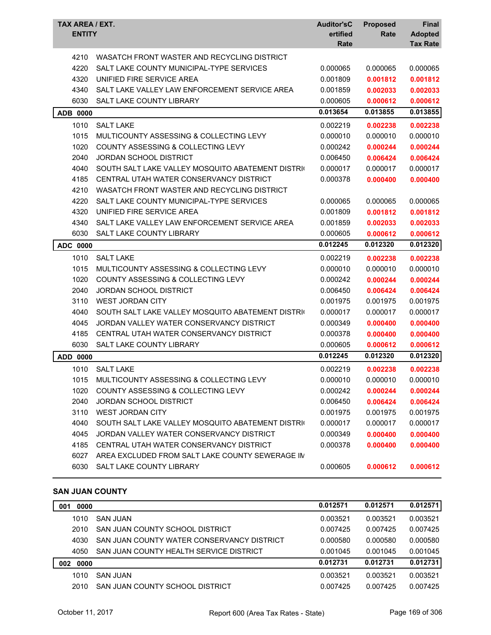| TAX AREA / EXT.<br><b>ENTITY</b> |                                                   | <b>Auditor'sC</b><br>ertified<br>Rate | <b>Proposed</b><br>Rate | <b>Final</b><br><b>Adopted</b><br><b>Tax Rate</b> |
|----------------------------------|---------------------------------------------------|---------------------------------------|-------------------------|---------------------------------------------------|
| 4210                             | WASATCH FRONT WASTER AND RECYCLING DISTRICT       |                                       |                         |                                                   |
| 4220                             | SALT LAKE COUNTY MUNICIPAL-TYPE SERVICES          | 0.000065                              | 0.000065                | 0.000065                                          |
| 4320                             | UNIFIED FIRE SERVICE AREA                         | 0.001809                              | 0.001812                | 0.001812                                          |
| 4340                             | SALT LAKE VALLEY LAW ENFORCEMENT SERVICE AREA     | 0.001859                              | 0.002033                | 0.002033                                          |
| 6030                             | SALT LAKE COUNTY LIBRARY                          | 0.000605                              | 0.000612                | 0.000612                                          |
| <b>ADB 0000</b>                  |                                                   | 0.013654                              | 0.013855                | 0.013855                                          |
| 1010                             | <b>SALT LAKE</b>                                  | 0.002219                              | 0.002238                | 0.002238                                          |
| 1015                             | MULTICOUNTY ASSESSING & COLLECTING LEVY           | 0.000010                              | 0.000010                | 0.000010                                          |
| 1020                             | <b>COUNTY ASSESSING &amp; COLLECTING LEVY</b>     | 0.000242                              | 0.000244                | 0.000244                                          |
| 2040                             | <b>JORDAN SCHOOL DISTRICT</b>                     | 0.006450                              | 0.006424                | 0.006424                                          |
| 4040                             | SOUTH SALT LAKE VALLEY MOSQUITO ABATEMENT DISTRIC | 0.000017                              | 0.000017                | 0.000017                                          |
| 4185                             | CENTRAL UTAH WATER CONSERVANCY DISTRICT           | 0.000378                              | 0.000400                | 0.000400                                          |
| 4210                             | WASATCH FRONT WASTER AND RECYCLING DISTRICT       |                                       |                         |                                                   |
| 4220                             | SALT LAKE COUNTY MUNICIPAL-TYPE SERVICES          | 0.000065                              | 0.000065                | 0.000065                                          |
| 4320                             | UNIFIED FIRE SERVICE AREA                         | 0.001809                              | 0.001812                | 0.001812                                          |
| 4340                             | SALT LAKE VALLEY LAW ENFORCEMENT SERVICE AREA     | 0.001859                              | 0.002033                | 0.002033                                          |
| 6030                             | SALT LAKE COUNTY LIBRARY                          | 0.000605                              | 0.000612                | 0.000612                                          |
| ADC 0000                         |                                                   | 0.012245                              | 0.012320                | 0.012320                                          |
| 1010                             | <b>SALT LAKE</b>                                  | 0.002219                              | 0.002238                | 0.002238                                          |
| 1015                             | MULTICOUNTY ASSESSING & COLLECTING LEVY           | 0.000010                              | 0.000010                | 0.000010                                          |
| 1020                             | COUNTY ASSESSING & COLLECTING LEVY                | 0.000242                              | 0.000244                | 0.000244                                          |
| 2040                             | <b>JORDAN SCHOOL DISTRICT</b>                     | 0.006450                              | 0.006424                | 0.006424                                          |
| 3110                             | <b>WEST JORDAN CITY</b>                           | 0.001975                              | 0.001975                | 0.001975                                          |
| 4040                             | SOUTH SALT LAKE VALLEY MOSQUITO ABATEMENT DISTRIC | 0.000017                              | 0.000017                | 0.000017                                          |
| 4045                             | JORDAN VALLEY WATER CONSERVANCY DISTRICT          | 0.000349                              | 0.000400                | 0.000400                                          |
| 4185                             | CENTRAL UTAH WATER CONSERVANCY DISTRICT           | 0.000378                              | 0.000400                | 0.000400                                          |
| 6030                             | SALT LAKE COUNTY LIBRARY                          | 0.000605                              | 0.000612                | 0.000612                                          |
| ADD 0000                         |                                                   | 0.012245                              | 0.012320                | 0.012320                                          |
| 1010                             | <b>SALT LAKE</b>                                  | 0.002219                              | 0.002238                | 0.002238                                          |
| 1015                             | MULTICOUNTY ASSESSING & COLLECTING LEVY           | 0.000010                              | 0.000010                | 0.000010                                          |
| 1020                             | COUNTY ASSESSING & COLLECTING LEVY                | 0.000242                              | 0.000244                | 0.000244                                          |
| 2040                             | <b>JORDAN SCHOOL DISTRICT</b>                     | 0.006450                              | 0.006424                | 0.006424                                          |
| 3110                             | <b>WEST JORDAN CITY</b>                           | 0.001975                              | 0.001975                | 0.001975                                          |
| 4040                             | SOUTH SALT LAKE VALLEY MOSQUITO ABATEMENT DISTRIC | 0.000017                              | 0.000017                | 0.000017                                          |
| 4045                             | JORDAN VALLEY WATER CONSERVANCY DISTRICT          | 0.000349                              | 0.000400                | 0.000400                                          |
| 4185                             | CENTRAL UTAH WATER CONSERVANCY DISTRICT           | 0.000378                              | 0.000400                | 0.000400                                          |
| 6027                             | AREA EXCLUDED FROM SALT LAKE COUNTY SEWERAGE IN   |                                       |                         |                                                   |
| 6030                             | SALT LAKE COUNTY LIBRARY                          | 0.000605                              | 0.000612                | 0.000612                                          |

# **SAN JUAN COUNTY**

| 001<br>0000 |                                            | 0.012571 | 0.012571 | 0.012571 |
|-------------|--------------------------------------------|----------|----------|----------|
| 1010        | SAN JUAN                                   | 0.003521 | 0.003521 | 0.003521 |
| 2010        | SAN JUAN COUNTY SCHOOL DISTRICT            | 0.007425 | 0.007425 | 0.007425 |
| 4030        | SAN JUAN COUNTY WATER CONSERVANCY DISTRICT | 0.000580 | 0.000580 | 0.000580 |
| 4050        | SAN JUAN COUNTY HEALTH SERVICE DISTRICT    | 0.001045 | 0.001045 | 0.001045 |
| 0000<br>002 |                                            | 0.012731 | 0.012731 | 0.012731 |
| 1010        | SAN JUAN                                   | 0.003521 | 0.003521 | 0.003521 |
| 2010        | SAN JUAN COUNTY SCHOOL DISTRICT            | 0.007425 | 0.007425 | 0.007425 |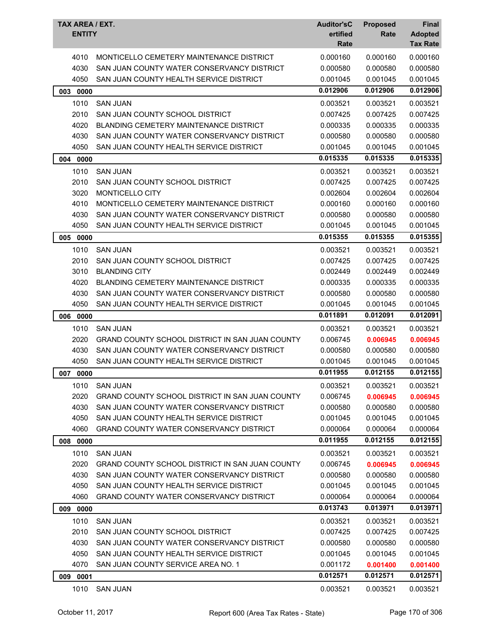| TAX AREA / EXT.<br><b>ENTITY</b> |                                                 | <b>Auditor'sC</b> | <b>Proposed</b> | Final                             |
|----------------------------------|-------------------------------------------------|-------------------|-----------------|-----------------------------------|
|                                  |                                                 | ertified<br>Rate  | Rate            | <b>Adopted</b><br><b>Tax Rate</b> |
| 4010                             | MONTICELLO CEMETERY MAINTENANCE DISTRICT        | 0.000160          | 0.000160        | 0.000160                          |
| 4030                             | SAN JUAN COUNTY WATER CONSERVANCY DISTRICT      | 0.000580          | 0.000580        | 0.000580                          |
| 4050                             | SAN JUAN COUNTY HEALTH SERVICE DISTRICT         | 0.001045          | 0.001045        | 0.001045                          |
| 003<br>0000                      |                                                 | 0.012906          | 0.012906        | 0.012906                          |
| 1010                             | <b>SAN JUAN</b>                                 | 0.003521          | 0.003521        | 0.003521                          |
| 2010                             | SAN JUAN COUNTY SCHOOL DISTRICT                 | 0.007425          | 0.007425        | 0.007425                          |
| 4020                             | BLANDING CEMETERY MAINTENANCE DISTRICT          | 0.000335          | 0.000335        | 0.000335                          |
| 4030                             | SAN JUAN COUNTY WATER CONSERVANCY DISTRICT      | 0.000580          | 0.000580        | 0.000580                          |
| 4050                             | SAN JUAN COUNTY HEALTH SERVICE DISTRICT         | 0.001045          | 0.001045        | 0.001045                          |
| 0000<br>004                      |                                                 | 0.015335          | 0.015335        | 0.015335                          |
| 1010                             | <b>SAN JUAN</b>                                 | 0.003521          | 0.003521        | 0.003521                          |
| 2010                             | SAN JUAN COUNTY SCHOOL DISTRICT                 | 0.007425          | 0.007425        | 0.007425                          |
| 3020                             | MONTICELLO CITY                                 | 0.002604          | 0.002604        | 0.002604                          |
| 4010                             | MONTICELLO CEMETERY MAINTENANCE DISTRICT        | 0.000160          | 0.000160        | 0.000160                          |
| 4030                             | SAN JUAN COUNTY WATER CONSERVANCY DISTRICT      | 0.000580          | 0.000580        | 0.000580                          |
| 4050                             | SAN JUAN COUNTY HEALTH SERVICE DISTRICT         | 0.001045          | 0.001045        | 0.001045                          |
| 005<br>0000                      |                                                 | 0.015355          | 0.015355        | 0.015355                          |
| 1010                             | <b>SAN JUAN</b>                                 | 0.003521          | 0.003521        | 0.003521                          |
| 2010                             | SAN JUAN COUNTY SCHOOL DISTRICT                 | 0.007425          | 0.007425        | 0.007425                          |
| 3010                             | <b>BLANDING CITY</b>                            | 0.002449          | 0.002449        | 0.002449                          |
| 4020                             | <b>BLANDING CEMETERY MAINTENANCE DISTRICT</b>   | 0.000335          | 0.000335        | 0.000335                          |
| 4030                             | SAN JUAN COUNTY WATER CONSERVANCY DISTRICT      | 0.000580          | 0.000580        | 0.000580                          |
| 4050                             | SAN JUAN COUNTY HEALTH SERVICE DISTRICT         | 0.001045          | 0.001045        | 0.001045                          |
| 006<br>0000                      |                                                 | 0.011891          | 0.012091        | 0.012091                          |
| 1010                             | <b>SAN JUAN</b>                                 | 0.003521          | 0.003521        | 0.003521                          |
| 2020                             | GRAND COUNTY SCHOOL DISTRICT IN SAN JUAN COUNTY | 0.006745          | 0.006945        | 0.006945                          |
| 4030                             | SAN JUAN COUNTY WATER CONSERVANCY DISTRICT      | 0.000580          | 0.000580        | 0.000580                          |
| 4050                             | SAN JUAN COUNTY HEALTH SERVICE DISTRICT         | 0.001045          | 0.001045        | 0.001045                          |
| 007<br>0000                      |                                                 | 0.011955          | 0.012155        | 0.012155                          |
| 1010                             | <b>SAN JUAN</b>                                 | 0.003521          | 0.003521        | 0.003521                          |
| 2020                             | GRAND COUNTY SCHOOL DISTRICT IN SAN JUAN COUNTY | 0.006745          | 0.006945        | 0.006945                          |
| 4030                             | SAN JUAN COUNTY WATER CONSERVANCY DISTRICT      | 0.000580          | 0.000580        | 0.000580                          |
| 4050                             | SAN JUAN COUNTY HEALTH SERVICE DISTRICT         | 0.001045          | 0.001045        | 0.001045                          |
| 4060                             | <b>GRAND COUNTY WATER CONSERVANCY DISTRICT</b>  | 0.000064          | 0.000064        | 0.000064                          |
| 008 0000                         |                                                 | 0.011955          | 0.012155        | 0.012155                          |
| 1010                             | <b>SAN JUAN</b>                                 | 0.003521          | 0.003521        | 0.003521                          |
| 2020                             | GRAND COUNTY SCHOOL DISTRICT IN SAN JUAN COUNTY | 0.006745          | 0.006945        | 0.006945                          |
| 4030                             | SAN JUAN COUNTY WATER CONSERVANCY DISTRICT      | 0.000580          | 0.000580        | 0.000580                          |
| 4050                             | SAN JUAN COUNTY HEALTH SERVICE DISTRICT         | 0.001045          | 0.001045        | 0.001045                          |
| 4060                             | <b>GRAND COUNTY WATER CONSERVANCY DISTRICT</b>  | 0.000064          | 0.000064        | 0.000064                          |
| 0000<br>009                      |                                                 | 0.013743          | 0.013971        | 0.013971                          |
| 1010                             | <b>SAN JUAN</b>                                 | 0.003521          | 0.003521        | 0.003521                          |
| 2010                             | SAN JUAN COUNTY SCHOOL DISTRICT                 | 0.007425          | 0.007425        | 0.007425                          |
| 4030                             | SAN JUAN COUNTY WATER CONSERVANCY DISTRICT      | 0.000580          | 0.000580        | 0.000580                          |
| 4050                             | SAN JUAN COUNTY HEALTH SERVICE DISTRICT         | 0.001045          | 0.001045        | 0.001045                          |
| 4070                             | SAN JUAN COUNTY SERVICE AREA NO. 1              | 0.001172          | 0.001400        | 0.001400                          |
| 009 0001                         |                                                 | 0.012571          | 0.012571        | 0.012571                          |
| 1010                             | <b>SAN JUAN</b>                                 | 0.003521          | 0.003521        | 0.003521                          |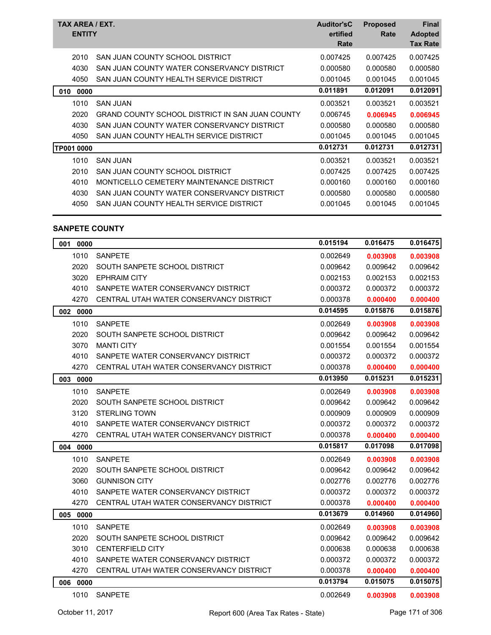| TAX AREA / EXT.<br><b>ENTITY</b> |                                                 | <b>Auditor'sC</b><br>ertified<br>Rate | <b>Proposed</b><br>Rate | <b>Final</b><br><b>Adopted</b><br><b>Tax Rate</b> |
|----------------------------------|-------------------------------------------------|---------------------------------------|-------------------------|---------------------------------------------------|
| 2010                             | SAN JUAN COUNTY SCHOOL DISTRICT                 | 0.007425                              | 0.007425                | 0.007425                                          |
| 4030                             | SAN JUAN COUNTY WATER CONSERVANCY DISTRICT      | 0.000580                              | 0.000580                | 0.000580                                          |
| 4050                             | SAN JUAN COUNTY HEALTH SERVICE DISTRICT         | 0.001045                              | 0.001045                | 0.001045                                          |
| 010<br>0000                      |                                                 | 0.011891                              | 0.012091                | 0.012091                                          |
| 1010                             | <b>SAN JUAN</b>                                 | 0.003521                              | 0.003521                | 0.003521                                          |
| 2020                             | GRAND COUNTY SCHOOL DISTRICT IN SAN JUAN COUNTY | 0.006745                              | 0.006945                | 0.006945                                          |
| 4030                             | SAN JUAN COUNTY WATER CONSERVANCY DISTRICT      | 0.000580                              | 0.000580                | 0.000580                                          |
| 4050                             | SAN JUAN COUNTY HEALTH SERVICE DISTRICT         | 0.001045                              | 0.001045                | 0.001045                                          |
| <b>TP001 0000</b>                |                                                 | 0.012731                              | 0.012731                | 0.012731                                          |
| 1010                             | <b>SAN JUAN</b>                                 | 0.003521                              | 0.003521                | 0.003521                                          |
| 2010                             | SAN JUAN COUNTY SCHOOL DISTRICT                 | 0.007425                              | 0.007425                | 0.007425                                          |
| 4010                             | MONTICELLO CEMETERY MAINTENANCE DISTRICT        | 0.000160                              | 0.000160                | 0.000160                                          |
| 4030                             | SAN JUAN COUNTY WATER CONSERVANCY DISTRICT      | 0.000580                              | 0.000580                | 0.000580                                          |
| 4050                             | SAN JUAN COUNTY HEALTH SERVICE DISTRICT         | 0.001045                              | 0.001045                | 0.001045                                          |
|                                  |                                                 |                                       |                         |                                                   |

## **SANPETE COUNTY**

| 001<br>0000 |                                         | 0.015194 | 0.016475 | 0.016475 |
|-------------|-----------------------------------------|----------|----------|----------|
| 1010        | <b>SANPETE</b>                          | 0.002649 | 0.003908 | 0.003908 |
| 2020        | SOUTH SANPETE SCHOOL DISTRICT           | 0.009642 | 0.009642 | 0.009642 |
| 3020        | <b>EPHRAIM CITY</b>                     | 0.002153 | 0.002153 | 0.002153 |
| 4010        | SANPETE WATER CONSERVANCY DISTRICT      | 0.000372 | 0.000372 | 0.000372 |
| 4270        | CENTRAL UTAH WATER CONSERVANCY DISTRICT | 0.000378 | 0.000400 | 0.000400 |
| 002 0000    |                                         | 0.014595 | 0.015876 | 0.015876 |
| 1010        | <b>SANPETE</b>                          | 0.002649 | 0.003908 | 0.003908 |
| 2020        | SOUTH SANPETE SCHOOL DISTRICT           | 0.009642 | 0.009642 | 0.009642 |
| 3070        | <b>MANTI CITY</b>                       | 0.001554 | 0.001554 | 0.001554 |
| 4010        | SANPETE WATER CONSERVANCY DISTRICT      | 0.000372 | 0.000372 | 0.000372 |
| 4270        | CENTRAL UTAH WATER CONSERVANCY DISTRICT | 0.000378 | 0.000400 | 0.000400 |
| 003<br>0000 |                                         | 0.013950 | 0.015231 | 0.015231 |
| 1010        | <b>SANPETE</b>                          | 0.002649 | 0.003908 | 0.003908 |
| 2020        | SOUTH SANPETE SCHOOL DISTRICT           | 0.009642 | 0.009642 | 0.009642 |
| 3120        | <b>STERLING TOWN</b>                    | 0.000909 | 0.000909 | 0.000909 |
| 4010        | SANPETE WATER CONSERVANCY DISTRICT      | 0.000372 | 0.000372 | 0.000372 |
| 4270        | CENTRAL UTAH WATER CONSERVANCY DISTRICT | 0.000378 | 0.000400 | 0.000400 |
| 0000<br>004 |                                         | 0.015817 | 0.017098 | 0.017098 |
| 1010        | <b>SANPETE</b>                          | 0.002649 | 0.003908 | 0.003908 |
| 2020        | SOUTH SANPETE SCHOOL DISTRICT           | 0.009642 | 0.009642 | 0.009642 |
| 3060        | <b>GUNNISON CITY</b>                    | 0.002776 | 0.002776 | 0.002776 |
| 4010        | SANPETE WATER CONSERVANCY DISTRICT      | 0.000372 | 0.000372 | 0.000372 |
| 4270        | CENTRAL UTAH WATER CONSERVANCY DISTRICT | 0.000378 | 0.000400 | 0.000400 |
| 005 0000    |                                         | 0.013679 | 0.014960 | 0.014960 |
| 1010        | <b>SANPETE</b>                          | 0.002649 | 0.003908 | 0.003908 |
| 2020        | SOUTH SANPETE SCHOOL DISTRICT           | 0.009642 | 0.009642 | 0.009642 |
| 3010        | <b>CENTERFIELD CITY</b>                 | 0.000638 | 0.000638 | 0.000638 |
| 4010        | SANPETE WATER CONSERVANCY DISTRICT      | 0.000372 | 0.000372 | 0.000372 |
| 4270        | CENTRAL UTAH WATER CONSERVANCY DISTRICT | 0.000378 | 0.000400 | 0.000400 |
| 006<br>0000 |                                         | 0.013794 | 0.015075 | 0.015075 |
| 1010        | <b>SANPETE</b>                          | 0.002649 | 0.003908 | 0.003908 |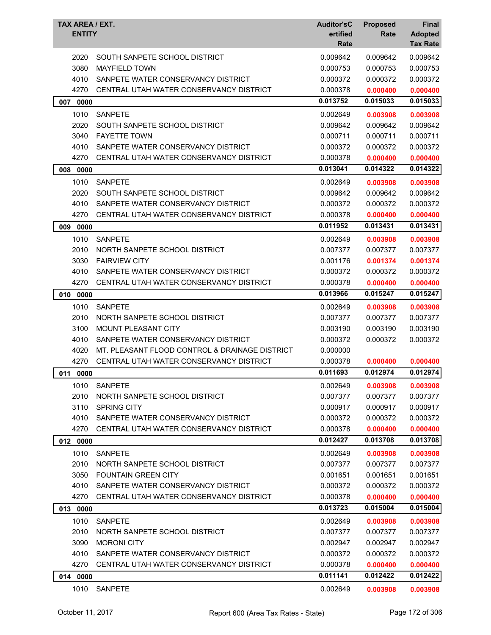| TAX AREA / EXT.<br><b>ENTITY</b> |                                                | <b>Auditor'sC</b><br>ertified<br>Rate | <b>Proposed</b><br>Rate | <b>Final</b><br><b>Adopted</b><br><b>Tax Rate</b> |
|----------------------------------|------------------------------------------------|---------------------------------------|-------------------------|---------------------------------------------------|
| 2020                             | SOUTH SANPETE SCHOOL DISTRICT                  | 0.009642                              | 0.009642                | 0.009642                                          |
| 3080                             | <b>MAYFIELD TOWN</b>                           | 0.000753                              | 0.000753                | 0.000753                                          |
| 4010                             | SANPETE WATER CONSERVANCY DISTRICT             | 0.000372                              | 0.000372                | 0.000372                                          |
| 4270                             | CENTRAL UTAH WATER CONSERVANCY DISTRICT        | 0.000378                              | 0.000400                | 0.000400                                          |
| 007 0000                         |                                                | 0.013752                              | 0.015033                | 0.015033                                          |
| 1010                             | <b>SANPETE</b>                                 | 0.002649                              | 0.003908                | 0.003908                                          |
| 2020                             | SOUTH SANPETE SCHOOL DISTRICT                  | 0.009642                              | 0.009642                | 0.009642                                          |
| 3040                             | <b>FAYETTE TOWN</b>                            | 0.000711                              | 0.000711                | 0.000711                                          |
| 4010                             | SANPETE WATER CONSERVANCY DISTRICT             | 0.000372                              | 0.000372                | 0.000372                                          |
| 4270                             | CENTRAL UTAH WATER CONSERVANCY DISTRICT        | 0.000378                              | 0.000400                | 0.000400                                          |
| 008 0000                         |                                                | 0.013041                              | 0.014322                | 0.014322                                          |
| 1010                             | <b>SANPETE</b>                                 | 0.002649                              | 0.003908                | 0.003908                                          |
| 2020                             | SOUTH SANPETE SCHOOL DISTRICT                  | 0.009642                              | 0.009642                | 0.009642                                          |
| 4010                             | SANPETE WATER CONSERVANCY DISTRICT             | 0.000372                              | 0.000372                | 0.000372                                          |
| 4270                             | CENTRAL UTAH WATER CONSERVANCY DISTRICT        | 0.000378                              | 0.000400                | 0.000400                                          |
| 0000<br>009                      |                                                | 0.011952                              | 0.013431                | 0.013431                                          |
| 1010                             | <b>SANPETE</b>                                 | 0.002649                              | 0.003908                | 0.003908                                          |
| 2010                             | NORTH SANPETE SCHOOL DISTRICT                  | 0.007377                              | 0.007377                | 0.007377                                          |
| 3030                             | <b>FAIRVIEW CITY</b>                           | 0.001176                              | 0.001374                | 0.001374                                          |
| 4010                             | SANPETE WATER CONSERVANCY DISTRICT             | 0.000372                              | 0.000372                | 0.000372                                          |
| 4270                             | CENTRAL UTAH WATER CONSERVANCY DISTRICT        | 0.000378                              | 0.000400                | 0.000400                                          |
| 010 0000                         |                                                | 0.013966                              | 0.015247                | 0.015247                                          |
| 1010                             | <b>SANPETE</b>                                 | 0.002649                              | 0.003908                | 0.003908                                          |
| 2010                             | NORTH SANPETE SCHOOL DISTRICT                  | 0.007377                              | 0.007377                | 0.007377                                          |
| 3100                             | MOUNT PLEASANT CITY                            | 0.003190                              | 0.003190                | 0.003190                                          |
| 4010                             | SANPETE WATER CONSERVANCY DISTRICT             | 0.000372                              | 0.000372                | 0.000372                                          |
| 4020                             | MT. PLEASANT FLOOD CONTROL & DRAINAGE DISTRICT | 0.000000                              |                         |                                                   |
| 4270                             | CENTRAL UTAH WATER CONSERVANCY DISTRICT        | 0.000378                              | 0.000400                | 0.000400                                          |
| 011<br>0000                      |                                                | 0.011693                              | 0.012974                | 0.012974                                          |
| 1010                             | <b>SANPETE</b>                                 | 0.002649                              | 0.003908                | 0.003908                                          |
| 2010                             | NORTH SANPETE SCHOOL DISTRICT                  | 0.007377                              | 0.007377                | 0.007377                                          |
| 3110                             | <b>SPRING CITY</b>                             | 0.000917                              | 0.000917                | 0.000917                                          |
| 4010                             | SANPETE WATER CONSERVANCY DISTRICT             | 0.000372                              | 0.000372                | 0.000372                                          |
| 4270                             | CENTRAL UTAH WATER CONSERVANCY DISTRICT        | 0.000378                              | 0.000400                | 0.000400                                          |
| 012 0000                         |                                                | 0.012427                              | 0.013708                | 0.013708                                          |
| 1010                             | <b>SANPETE</b>                                 | 0.002649                              | 0.003908                | 0.003908                                          |
| 2010                             | NORTH SANPETE SCHOOL DISTRICT                  | 0.007377                              | 0.007377                | 0.007377                                          |
| 3050                             | <b>FOUNTAIN GREEN CITY</b>                     | 0.001651                              | 0.001651                | 0.001651                                          |
| 4010                             | SANPETE WATER CONSERVANCY DISTRICT             | 0.000372                              | 0.000372                | 0.000372                                          |
| 4270                             | CENTRAL UTAH WATER CONSERVANCY DISTRICT        | 0.000378                              | 0.000400                | 0.000400                                          |
| 013 0000                         |                                                | 0.013723                              | 0.015004                | 0.015004                                          |
| 1010                             | <b>SANPETE</b>                                 | 0.002649                              | 0.003908                | 0.003908                                          |
| 2010                             | NORTH SANPETE SCHOOL DISTRICT                  | 0.007377                              | 0.007377                | 0.007377                                          |
| 3090                             | <b>MORONI CITY</b>                             | 0.002947                              | 0.002947                | 0.002947                                          |
| 4010                             | SANPETE WATER CONSERVANCY DISTRICT             | 0.000372                              | 0.000372                | 0.000372                                          |
| 4270                             | CENTRAL UTAH WATER CONSERVANCY DISTRICT        | 0.000378                              | 0.000400                | 0.000400                                          |
| 014 0000                         |                                                | 0.011141                              | 0.012422                | 0.012422                                          |
| 1010                             | <b>SANPETE</b>                                 | 0.002649                              | 0.003908                | 0.003908                                          |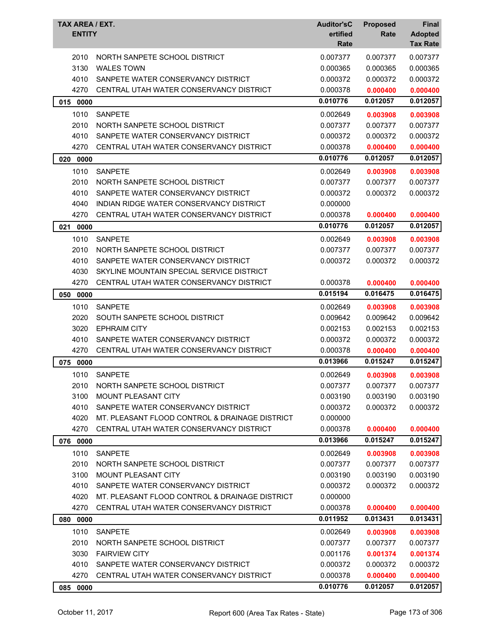| TAX AREA / EXT.<br><b>ENTITY</b> |                                                | <b>Auditor'sC</b><br>ertified<br>Rate | <b>Proposed</b><br>Rate | <b>Final</b><br><b>Adopted</b><br><b>Tax Rate</b> |
|----------------------------------|------------------------------------------------|---------------------------------------|-------------------------|---------------------------------------------------|
| 2010                             | NORTH SANPETE SCHOOL DISTRICT                  | 0.007377                              | 0.007377                | 0.007377                                          |
| 3130                             | <b>WALES TOWN</b>                              | 0.000365                              | 0.000365                | 0.000365                                          |
| 4010                             | SANPETE WATER CONSERVANCY DISTRICT             | 0.000372                              | 0.000372                | 0.000372                                          |
| 4270                             | CENTRAL UTAH WATER CONSERVANCY DISTRICT        | 0.000378                              | 0.000400                | 0.000400                                          |
| 015 0000                         |                                                | 0.010776                              | 0.012057                | 0.012057                                          |
| 1010                             | <b>SANPETE</b>                                 | 0.002649                              | 0.003908                | 0.003908                                          |
| 2010                             | NORTH SANPETE SCHOOL DISTRICT                  | 0.007377                              | 0.007377                | 0.007377                                          |
| 4010                             | SANPETE WATER CONSERVANCY DISTRICT             | 0.000372                              | 0.000372                | 0.000372                                          |
| 4270                             | CENTRAL UTAH WATER CONSERVANCY DISTRICT        | 0.000378                              | 0.000400                | 0.000400                                          |
| 020 0000                         |                                                | 0.010776                              | 0.012057                | 0.012057                                          |
| 1010                             | <b>SANPETE</b>                                 | 0.002649                              | 0.003908                | 0.003908                                          |
| 2010                             | NORTH SANPETE SCHOOL DISTRICT                  | 0.007377                              | 0.007377                | 0.007377                                          |
| 4010                             | SANPETE WATER CONSERVANCY DISTRICT             | 0.000372                              | 0.000372                | 0.000372                                          |
| 4040                             | INDIAN RIDGE WATER CONSERVANCY DISTRICT        | 0.000000                              |                         |                                                   |
| 4270                             | CENTRAL UTAH WATER CONSERVANCY DISTRICT        | 0.000378                              | 0.000400                | 0.000400                                          |
| 021 0000                         |                                                | 0.010776                              | 0.012057                | 0.012057                                          |
| 1010                             | <b>SANPETE</b>                                 | 0.002649                              | 0.003908                | 0.003908                                          |
| 2010                             | NORTH SANPETE SCHOOL DISTRICT                  | 0.007377                              | 0.007377                | 0.007377                                          |
| 4010                             | SANPETE WATER CONSERVANCY DISTRICT             | 0.000372                              | 0.000372                | 0.000372                                          |
| 4030                             | SKYLINE MOUNTAIN SPECIAL SERVICE DISTRICT      |                                       |                         |                                                   |
| 4270                             | CENTRAL UTAH WATER CONSERVANCY DISTRICT        | 0.000378                              | 0.000400                | 0.000400                                          |
| 050<br>0000                      |                                                | 0.015194                              | 0.016475                | 0.016475                                          |
| 1010                             | <b>SANPETE</b>                                 | 0.002649                              | 0.003908                | 0.003908                                          |
| 2020                             | SOUTH SANPETE SCHOOL DISTRICT                  | 0.009642                              | 0.009642                | 0.009642                                          |
| 3020                             | <b>EPHRAIM CITY</b>                            | 0.002153                              | 0.002153                | 0.002153                                          |
| 4010                             | SANPETE WATER CONSERVANCY DISTRICT             | 0.000372                              | 0.000372                | 0.000372                                          |
| 4270                             | CENTRAL UTAH WATER CONSERVANCY DISTRICT        | 0.000378                              | 0.000400                | 0.000400                                          |
| 075<br>0000                      |                                                | 0.013966                              | 0.015247                | 0.015247                                          |
| 1010                             | <b>SANPETE</b>                                 | 0.002649                              | 0.003908                | 0.003908                                          |
| 2010                             | NORTH SANPETE SCHOOL DISTRICT                  | 0.007377                              | 0.007377                | 0.007377                                          |
| 3100                             | <b>MOUNT PLEASANT CITY</b>                     | 0.003190                              | 0.003190                | 0.003190                                          |
| 4010                             | SANPETE WATER CONSERVANCY DISTRICT             | 0.000372                              | 0.000372                | 0.000372                                          |
| 4020                             | MT. PLEASANT FLOOD CONTROL & DRAINAGE DISTRICT | 0.000000                              |                         |                                                   |
| 4270                             | CENTRAL UTAH WATER CONSERVANCY DISTRICT        | 0.000378                              | 0.000400                | 0.000400                                          |
| 076 0000                         |                                                | 0.013966                              | 0.015247                | 0.015247                                          |
| 1010                             | <b>SANPETE</b>                                 | 0.002649                              | 0.003908                | 0.003908                                          |
| 2010                             | NORTH SANPETE SCHOOL DISTRICT                  | 0.007377                              | 0.007377                | 0.007377                                          |
| 3100                             | MOUNT PLEASANT CITY                            | 0.003190                              | 0.003190                | 0.003190                                          |
| 4010                             | SANPETE WATER CONSERVANCY DISTRICT             | 0.000372                              | 0.000372                | 0.000372                                          |
| 4020                             | MT. PLEASANT FLOOD CONTROL & DRAINAGE DISTRICT | 0.000000                              |                         |                                                   |
| 4270                             | CENTRAL UTAH WATER CONSERVANCY DISTRICT        | 0.000378                              | 0.000400                | 0.000400                                          |
| 080 0000                         |                                                | 0.011952                              | 0.013431                | 0.013431                                          |
| 1010                             | <b>SANPETE</b>                                 | 0.002649                              | 0.003908                | 0.003908                                          |
| 2010                             | NORTH SANPETE SCHOOL DISTRICT                  | 0.007377                              | 0.007377                | 0.007377                                          |
| 3030                             | <b>FAIRVIEW CITY</b>                           | 0.001176                              | 0.001374                | 0.001374                                          |
| 4010                             | SANPETE WATER CONSERVANCY DISTRICT             | 0.000372                              | 0.000372                | 0.000372                                          |
| 4270                             | CENTRAL UTAH WATER CONSERVANCY DISTRICT        | 0.000378                              | 0.000400                | 0.000400                                          |
| 085 0000                         |                                                | 0.010776                              | 0.012057                | 0.012057                                          |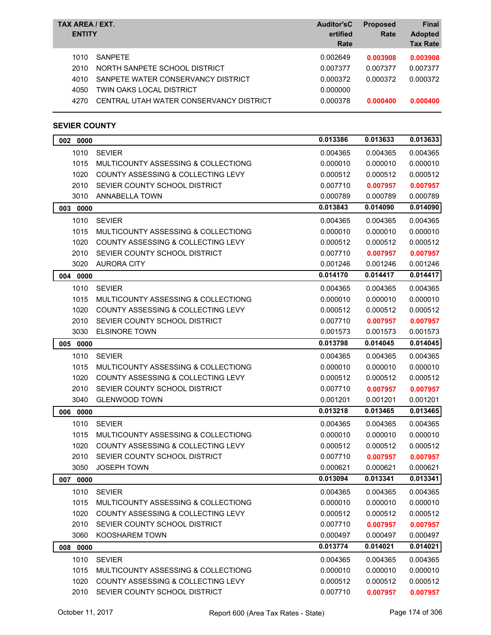| TAX AREA / EXT.<br><b>ENTITY</b> |                                                                                       | <b>Auditor'sC</b><br>ertified<br>Rate | <b>Proposed</b><br>Rate          | <b>Final</b><br><b>Adopted</b><br><b>Tax Rate</b> |
|----------------------------------|---------------------------------------------------------------------------------------|---------------------------------------|----------------------------------|---------------------------------------------------|
| 1010<br>2010<br>4010             | <b>SANPETE</b><br>NORTH SANPETE SCHOOL DISTRICT<br>SANPETE WATER CONSERVANCY DISTRICT | 0.002649<br>0.007377<br>0.000372      | 0.003908<br>0.007377<br>0.000372 | 0.003908<br>0.007377<br>0.000372                  |
| 4050<br>4270                     | TWIN OAKS LOCAL DISTRICT<br>CENTRAL UTAH WATER CONSERVANCY DISTRICT                   | 0.000000<br>0.000378                  | 0.000400                         | 0.000400                                          |

# **SEVIER COUNTY**

| 002 0000    |                                               | 0.013386 | 0.013633 | 0.013633 |
|-------------|-----------------------------------------------|----------|----------|----------|
| 1010        | <b>SEVIER</b>                                 | 0.004365 | 0.004365 | 0.004365 |
| 1015        | MULTICOUNTY ASSESSING & COLLECTIONG           | 0.000010 | 0.000010 | 0.000010 |
| 1020        | COUNTY ASSESSING & COLLECTING LEVY            | 0.000512 | 0.000512 | 0.000512 |
| 2010        | SEVIER COUNTY SCHOOL DISTRICT                 | 0.007710 | 0.007957 | 0.007957 |
| 3010        | ANNABELLA TOWN                                | 0.000789 | 0.000789 | 0.000789 |
| 003 0000    |                                               | 0.013843 | 0.014090 | 0.014090 |
| 1010        | <b>SEVIER</b>                                 | 0.004365 | 0.004365 | 0.004365 |
| 1015        | MULTICOUNTY ASSESSING & COLLECTIONG           | 0.000010 | 0.000010 | 0.000010 |
| 1020        | COUNTY ASSESSING & COLLECTING LEVY            | 0.000512 | 0.000512 | 0.000512 |
| 2010        | SEVIER COUNTY SCHOOL DISTRICT                 | 0.007710 | 0.007957 | 0.007957 |
| 3020        | AURORA CITY                                   | 0.001246 | 0.001246 | 0.001246 |
| 004 0000    |                                               | 0.014170 | 0.014417 | 0.014417 |
| 1010        | <b>SEVIER</b>                                 | 0.004365 | 0.004365 | 0.004365 |
| 1015        | MULTICOUNTY ASSESSING & COLLECTIONG           | 0.000010 | 0.000010 | 0.000010 |
| 1020        | <b>COUNTY ASSESSING &amp; COLLECTING LEVY</b> | 0.000512 | 0.000512 | 0.000512 |
| 2010        | SEVIER COUNTY SCHOOL DISTRICT                 | 0.007710 | 0.007957 | 0.007957 |
| 3030        | <b>ELSINORE TOWN</b>                          | 0.001573 | 0.001573 | 0.001573 |
| 005 0000    |                                               | 0.013798 | 0.014045 | 0.014045 |
| 1010        | <b>SEVIER</b>                                 | 0.004365 | 0.004365 | 0.004365 |
| 1015        | MULTICOUNTY ASSESSING & COLLECTIONG           | 0.000010 | 0.000010 | 0.000010 |
| 1020        | COUNTY ASSESSING & COLLECTING LEVY            | 0.000512 | 0.000512 | 0.000512 |
| 2010        | SEVIER COUNTY SCHOOL DISTRICT                 | 0.007710 | 0.007957 | 0.007957 |
| 3040        | <b>GLENWOOD TOWN</b>                          | 0.001201 | 0.001201 | 0.001201 |
| 006<br>0000 |                                               | 0.013218 | 0.013465 | 0.013465 |
| 1010        | <b>SEVIER</b>                                 | 0.004365 | 0.004365 | 0.004365 |
| 1015        | MULTICOUNTY ASSESSING & COLLECTIONG           | 0.000010 | 0.000010 | 0.000010 |
| 1020        | <b>COUNTY ASSESSING &amp; COLLECTING LEVY</b> | 0.000512 | 0.000512 | 0.000512 |
| 2010        | SEVIER COUNTY SCHOOL DISTRICT                 | 0.007710 | 0.007957 | 0.007957 |
| 3050        | <b>JOSEPH TOWN</b>                            | 0.000621 | 0.000621 | 0.000621 |
| 007<br>0000 |                                               | 0.013094 | 0.013341 | 0.013341 |
|             | 1010 SEVIER                                   | 0.004365 | 0.004365 | 0.004365 |
| 1015        | MULTICOUNTY ASSESSING & COLLECTIONG           | 0.000010 | 0.000010 | 0.000010 |
| 1020        | COUNTY ASSESSING & COLLECTING LEVY            | 0.000512 | 0.000512 | 0.000512 |
| 2010        | SEVIER COUNTY SCHOOL DISTRICT                 | 0.007710 | 0.007957 | 0.007957 |
| 3060        | KOOSHAREM TOWN                                | 0.000497 | 0.000497 | 0.000497 |
| 008 0000    |                                               | 0.013774 | 0.014021 | 0.014021 |
| 1010        | <b>SEVIER</b>                                 | 0.004365 | 0.004365 | 0.004365 |
| 1015        | MULTICOUNTY ASSESSING & COLLECTIONG           | 0.000010 | 0.000010 | 0.000010 |
| 1020        | COUNTY ASSESSING & COLLECTING LEVY            | 0.000512 | 0.000512 | 0.000512 |
| 2010        | SEVIER COUNTY SCHOOL DISTRICT                 | 0.007710 | 0.007957 | 0.007957 |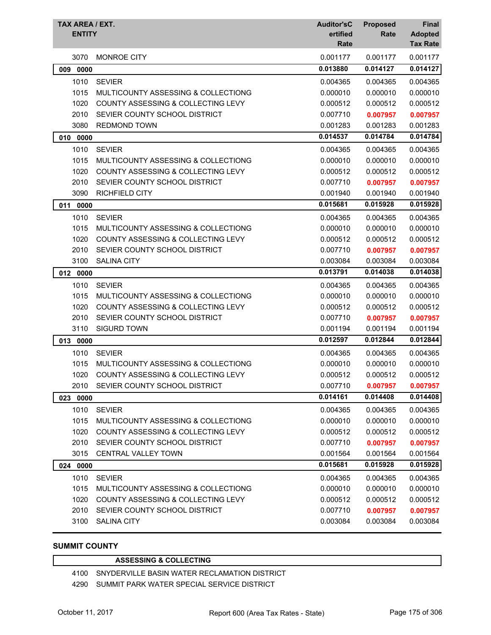| TAX AREA / EXT.<br><b>ENTITY</b> |                                               | <b>Auditor'sC</b><br>ertified<br>Rate | <b>Proposed</b><br>Rate | <b>Final</b><br><b>Adopted</b><br><b>Tax Rate</b> |
|----------------------------------|-----------------------------------------------|---------------------------------------|-------------------------|---------------------------------------------------|
| 3070                             | <b>MONROE CITY</b>                            | 0.001177                              | 0.001177                | 0.001177                                          |
| 009 0000                         |                                               | 0.013880                              | 0.014127                | 0.014127                                          |
| 1010                             | <b>SEVIER</b>                                 | 0.004365                              | 0.004365                | 0.004365                                          |
| 1015                             | MULTICOUNTY ASSESSING & COLLECTIONG           | 0.000010                              | 0.000010                | 0.000010                                          |
| 1020                             | <b>COUNTY ASSESSING &amp; COLLECTING LEVY</b> | 0.000512                              | 0.000512                | 0.000512                                          |
| 2010                             | SEVIER COUNTY SCHOOL DISTRICT                 | 0.007710                              | 0.007957                | 0.007957                                          |
| 3080                             | <b>REDMOND TOWN</b>                           | 0.001283                              | 0.001283                | 0.001283                                          |
| 010 0000                         |                                               | 0.014537                              | 0.014784                | 0.014784                                          |
| 1010                             | <b>SEVIER</b>                                 | 0.004365                              | 0.004365                | 0.004365                                          |
| 1015                             | MULTICOUNTY ASSESSING & COLLECTIONG           | 0.000010                              | 0.000010                | 0.000010                                          |
| 1020                             | <b>COUNTY ASSESSING &amp; COLLECTING LEVY</b> | 0.000512                              | 0.000512                | 0.000512                                          |
| 2010                             | SEVIER COUNTY SCHOOL DISTRICT                 | 0.007710                              | 0.007957                | 0.007957                                          |
| 3090                             | <b>RICHFIELD CITY</b>                         | 0.001940                              | 0.001940                | 0.001940                                          |
| 011 0000                         |                                               | 0.015681                              | 0.015928                | 0.015928                                          |
| 1010                             | <b>SEVIER</b>                                 | 0.004365                              | 0.004365                | 0.004365                                          |
| 1015                             | MULTICOUNTY ASSESSING & COLLECTIONG           | 0.000010                              | 0.000010                | 0.000010                                          |
| 1020                             | COUNTY ASSESSING & COLLECTING LEVY            | 0.000512                              | 0.000512                | 0.000512                                          |
| 2010                             | SEVIER COUNTY SCHOOL DISTRICT                 | 0.007710                              | 0.007957                | 0.007957                                          |
| 3100                             | <b>SALINA CITY</b>                            | 0.003084                              | 0.003084                | 0.003084                                          |
| 012 0000                         |                                               | 0.013791                              | 0.014038                | 0.014038                                          |
| 1010                             | <b>SEVIER</b>                                 | 0.004365                              | 0.004365                | 0.004365                                          |
| 1015                             | MULTICOUNTY ASSESSING & COLLECTIONG           | 0.000010                              | 0.000010                | 0.000010                                          |
| 1020                             | COUNTY ASSESSING & COLLECTING LEVY            | 0.000512                              | 0.000512                | 0.000512                                          |
| 2010                             | SEVIER COUNTY SCHOOL DISTRICT                 | 0.007710                              | 0.007957                | 0.007957                                          |
| 3110                             | <b>SIGURD TOWN</b>                            | 0.001194                              | 0.001194                | 0.001194                                          |
| 013 0000                         |                                               | 0.012597                              | 0.012844                | 0.012844                                          |
| 1010                             | <b>SEVIER</b>                                 | 0.004365                              | 0.004365                | 0.004365                                          |
| 1015                             | MULTICOUNTY ASSESSING & COLLECTIONG           | 0.000010                              | 0.000010                | 0.000010                                          |
| 1020                             | COUNTY ASSESSING & COLLECTING LEVY            | 0.000512                              | 0.000512                | 0.000512                                          |
| 2010                             | SEVIER COUNTY SCHOOL DISTRICT                 | 0.007710                              | 0.007957                | 0.007957                                          |
| 023 0000                         |                                               | 0.014161                              | 0.014408                | 0.014408                                          |
| 1010                             | <b>SEVIER</b>                                 | 0.004365                              | 0.004365                | 0.004365                                          |
| 1015                             | MULTICOUNTY ASSESSING & COLLECTIONG           | 0.000010                              | 0.000010                | 0.000010                                          |
| 1020                             | COUNTY ASSESSING & COLLECTING LEVY            | 0.000512                              | 0.000512                | 0.000512                                          |
| 2010                             | SEVIER COUNTY SCHOOL DISTRICT                 | 0.007710                              | 0.007957                | 0.007957                                          |
| 3015                             | <b>CENTRAL VALLEY TOWN</b>                    | 0.001564                              | 0.001564                | 0.001564                                          |
| 024 0000                         |                                               | 0.015681                              | 0.015928                | 0.015928                                          |
| 1010                             | <b>SEVIER</b>                                 | 0.004365                              | 0.004365                | 0.004365                                          |
| 1015                             | MULTICOUNTY ASSESSING & COLLECTIONG           | 0.000010                              | 0.000010                | 0.000010                                          |
| 1020                             | COUNTY ASSESSING & COLLECTING LEVY            | 0.000512                              | 0.000512                | 0.000512                                          |
| 2010                             | SEVIER COUNTY SCHOOL DISTRICT                 | 0.007710                              | 0.007957                | 0.007957                                          |
| 3100                             | <b>SALINA CITY</b>                            | 0.003084                              | 0.003084                | 0.003084                                          |

### **SUMMIT COUNTY**

#### **ASSESSING & COLLECTING**

SNYDERVILLE BASIN WATER RECLAMATION DISTRICT

SUMMIT PARK WATER SPECIAL SERVICE DISTRICT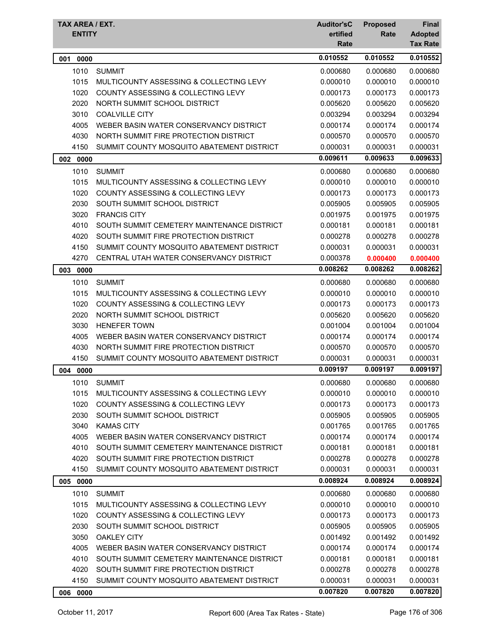| TAX AREA / EXT.<br><b>ENTITY</b> |                                               | <b>Auditor'sC</b><br>ertified<br><b>Rate</b> | <b>Proposed</b><br>Rate | <b>Final</b><br><b>Adopted</b><br><b>Tax Rate</b> |
|----------------------------------|-----------------------------------------------|----------------------------------------------|-------------------------|---------------------------------------------------|
| 0000<br>001                      |                                               | 0.010552                                     | 0.010552                | 0.010552                                          |
| 1010                             | <b>SUMMIT</b>                                 | 0.000680                                     | 0.000680                | 0.000680                                          |
| 1015                             | MULTICOUNTY ASSESSING & COLLECTING LEVY       | 0.000010                                     | 0.000010                | 0.000010                                          |
| 1020                             | COUNTY ASSESSING & COLLECTING LEVY            | 0.000173                                     | 0.000173                | 0.000173                                          |
| 2020                             | NORTH SUMMIT SCHOOL DISTRICT                  | 0.005620                                     | 0.005620                | 0.005620                                          |
| 3010                             | <b>COALVILLE CITY</b>                         | 0.003294                                     | 0.003294                | 0.003294                                          |
| 4005                             | WEBER BASIN WATER CONSERVANCY DISTRICT        | 0.000174                                     | 0.000174                | 0.000174                                          |
| 4030                             | NORTH SUMMIT FIRE PROTECTION DISTRICT         | 0.000570                                     | 0.000570                | 0.000570                                          |
| 4150                             | SUMMIT COUNTY MOSQUITO ABATEMENT DISTRICT     | 0.000031                                     | 0.000031                | 0.000031                                          |
| 0000<br>002                      |                                               | 0.009611                                     | 0.009633                | 0.009633                                          |
| 1010                             | <b>SUMMIT</b>                                 | 0.000680                                     | 0.000680                | 0.000680                                          |
| 1015                             | MULTICOUNTY ASSESSING & COLLECTING LEVY       | 0.000010                                     | 0.000010                | 0.000010                                          |
| 1020                             | COUNTY ASSESSING & COLLECTING LEVY            | 0.000173                                     | 0.000173                | 0.000173                                          |
| 2030                             | SOUTH SUMMIT SCHOOL DISTRICT                  | 0.005905                                     | 0.005905                | 0.005905                                          |
| 3020                             | <b>FRANCIS CITY</b>                           | 0.001975                                     | 0.001975                | 0.001975                                          |
| 4010                             | SOUTH SUMMIT CEMETERY MAINTENANCE DISTRICT    | 0.000181                                     | 0.000181                | 0.000181                                          |
| 4020                             | SOUTH SUMMIT FIRE PROTECTION DISTRICT         | 0.000278                                     | 0.000278                | 0.000278                                          |
| 4150                             | SUMMIT COUNTY MOSQUITO ABATEMENT DISTRICT     | 0.000031                                     | 0.000031                | 0.000031                                          |
| 4270                             | CENTRAL UTAH WATER CONSERVANCY DISTRICT       | 0.000378                                     | 0.000400                | 0.000400                                          |
| 003<br>0000                      |                                               | 0.008262                                     | 0.008262                | 0.008262                                          |
| 1010                             | <b>SUMMIT</b>                                 | 0.000680                                     | 0.000680                | 0.000680                                          |
| 1015                             | MULTICOUNTY ASSESSING & COLLECTING LEVY       | 0.000010                                     | 0.000010                | 0.000010                                          |
| 1020                             | <b>COUNTY ASSESSING &amp; COLLECTING LEVY</b> | 0.000173                                     | 0.000173                | 0.000173                                          |
| 2020                             | NORTH SUMMIT SCHOOL DISTRICT                  | 0.005620                                     | 0.005620                | 0.005620                                          |
| 3030                             | <b>HENEFER TOWN</b>                           | 0.001004                                     | 0.001004                | 0.001004                                          |
| 4005                             | WEBER BASIN WATER CONSERVANCY DISTRICT        | 0.000174                                     | 0.000174                | 0.000174                                          |
| 4030                             | NORTH SUMMIT FIRE PROTECTION DISTRICT         | 0.000570                                     | 0.000570                | 0.000570                                          |
| 4150                             | SUMMIT COUNTY MOSQUITO ABATEMENT DISTRICT     | 0.000031                                     | 0.000031                | 0.000031                                          |
| 004 0000                         |                                               | 0.009197                                     | 0.009197                | 0.009197                                          |
| 1010                             | <b>SUMMIT</b>                                 | 0.000680                                     | 0.000680                | 0.000680                                          |
| 1015                             | MULTICOUNTY ASSESSING & COLLECTING LEVY       | 0.000010                                     | 0.000010                | 0.000010                                          |
| 1020                             | <b>COUNTY ASSESSING &amp; COLLECTING LEVY</b> | 0.000173                                     | 0.000173                | 0.000173                                          |
| 2030                             | SOUTH SUMMIT SCHOOL DISTRICT                  | 0.005905                                     | 0.005905                | 0.005905                                          |
| 3040                             | <b>KAMAS CITY</b>                             | 0.001765                                     | 0.001765                | 0.001765                                          |
| 4005                             | WEBER BASIN WATER CONSERVANCY DISTRICT        | 0.000174                                     | 0.000174                | 0.000174                                          |
| 4010                             | SOUTH SUMMIT CEMETERY MAINTENANCE DISTRICT    | 0.000181                                     | 0.000181                | 0.000181                                          |
| 4020                             | SOUTH SUMMIT FIRE PROTECTION DISTRICT         | 0.000278                                     | 0.000278                | 0.000278                                          |
| 4150                             | SUMMIT COUNTY MOSQUITO ABATEMENT DISTRICT     | 0.000031                                     | 0.000031                | 0.000031                                          |
| 005 0000                         |                                               | 0.008924                                     | 0.008924                | 0.008924                                          |
| 1010                             | <b>SUMMIT</b>                                 | 0.000680                                     | 0.000680                | 0.000680                                          |
| 1015                             | MULTICOUNTY ASSESSING & COLLECTING LEVY       | 0.000010                                     | 0.000010                | 0.000010                                          |
| 1020                             | COUNTY ASSESSING & COLLECTING LEVY            | 0.000173                                     | 0.000173                | 0.000173                                          |
| 2030                             | SOUTH SUMMIT SCHOOL DISTRICT                  | 0.005905                                     | 0.005905                | 0.005905                                          |
| 3050                             | <b>OAKLEY CITY</b>                            | 0.001492                                     | 0.001492                | 0.001492                                          |
| 4005                             | WEBER BASIN WATER CONSERVANCY DISTRICT        | 0.000174                                     | 0.000174                | 0.000174                                          |
| 4010                             | SOUTH SUMMIT CEMETERY MAINTENANCE DISTRICT    | 0.000181                                     | 0.000181                | 0.000181                                          |
| 4020                             | SOUTH SUMMIT FIRE PROTECTION DISTRICT         | 0.000278                                     | 0.000278                | 0.000278                                          |
| 4150                             | SUMMIT COUNTY MOSQUITO ABATEMENT DISTRICT     | 0.000031                                     | 0.000031                | 0.000031                                          |
| 0000<br>006                      |                                               | 0.007820                                     | 0.007820                | 0.007820                                          |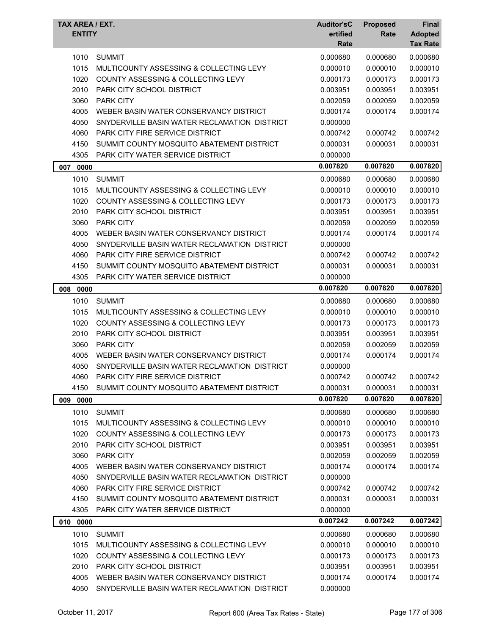| TAX AREA / EXT.<br><b>ENTITY</b> |                                                                               | <b>Auditor'sC</b><br>ertified<br>Rate | <b>Proposed</b><br>Rate | <b>Final</b><br><b>Adopted</b><br><b>Tax Rate</b> |
|----------------------------------|-------------------------------------------------------------------------------|---------------------------------------|-------------------------|---------------------------------------------------|
| 1010                             | <b>SUMMIT</b>                                                                 | 0.000680                              | 0.000680                | 0.000680                                          |
| 1015                             | MULTICOUNTY ASSESSING & COLLECTING LEVY                                       | 0.000010                              | 0.000010                | 0.000010                                          |
| 1020                             | <b>COUNTY ASSESSING &amp; COLLECTING LEVY</b>                                 | 0.000173                              | 0.000173                | 0.000173                                          |
| 2010                             | PARK CITY SCHOOL DISTRICT                                                     | 0.003951                              | 0.003951                | 0.003951                                          |
| 3060                             | <b>PARK CITY</b>                                                              | 0.002059                              | 0.002059                | 0.002059                                          |
| 4005                             | WEBER BASIN WATER CONSERVANCY DISTRICT                                        | 0.000174                              | 0.000174                | 0.000174                                          |
| 4050                             | SNYDERVILLE BASIN WATER RECLAMATION DISTRICT                                  | 0.000000                              |                         |                                                   |
| 4060                             | PARK CITY FIRE SERVICE DISTRICT                                               | 0.000742                              | 0.000742                | 0.000742                                          |
| 4150                             | SUMMIT COUNTY MOSQUITO ABATEMENT DISTRICT                                     | 0.000031                              | 0.000031                | 0.000031                                          |
| 4305                             | <b>PARK CITY WATER SERVICE DISTRICT</b>                                       | 0.000000                              |                         |                                                   |
| 007 0000                         |                                                                               | 0.007820                              | 0.007820                | 0.007820                                          |
| 1010                             | <b>SUMMIT</b>                                                                 | 0.000680                              | 0.000680                | 0.000680                                          |
| 1015                             | MULTICOUNTY ASSESSING & COLLECTING LEVY                                       | 0.000010                              | 0.000010                | 0.000010                                          |
| 1020                             | COUNTY ASSESSING & COLLECTING LEVY                                            | 0.000173                              | 0.000173                | 0.000173                                          |
| 2010                             | PARK CITY SCHOOL DISTRICT                                                     | 0.003951                              | 0.003951                | 0.003951                                          |
| 3060                             | <b>PARK CITY</b>                                                              | 0.002059                              | 0.002059                | 0.002059                                          |
| 4005                             | WEBER BASIN WATER CONSERVANCY DISTRICT                                        | 0.000174                              | 0.000174                | 0.000174                                          |
| 4050                             | SNYDERVILLE BASIN WATER RECLAMATION DISTRICT                                  | 0.000000                              |                         |                                                   |
| 4060                             | PARK CITY FIRE SERVICE DISTRICT                                               | 0.000742                              | 0.000742                | 0.000742                                          |
| 4150                             | SUMMIT COUNTY MOSQUITO ABATEMENT DISTRICT                                     | 0.000031                              | 0.000031                | 0.000031                                          |
| 4305                             | PARK CITY WATER SERVICE DISTRICT                                              | 0.000000                              |                         |                                                   |
| 008<br>0000                      |                                                                               | 0.007820                              | 0.007820                | 0.007820                                          |
| 1010                             | <b>SUMMIT</b>                                                                 | 0.000680                              | 0.000680                | 0.000680                                          |
| 1015                             | MULTICOUNTY ASSESSING & COLLECTING LEVY                                       | 0.000010                              | 0.000010                | 0.000010                                          |
| 1020                             | <b>COUNTY ASSESSING &amp; COLLECTING LEVY</b>                                 | 0.000173                              | 0.000173                | 0.000173                                          |
| 2010                             | PARK CITY SCHOOL DISTRICT                                                     | 0.003951                              | 0.003951                | 0.003951                                          |
| 3060                             | <b>PARK CITY</b>                                                              | 0.002059                              | 0.002059                | 0.002059                                          |
| 4005                             | WEBER BASIN WATER CONSERVANCY DISTRICT                                        | 0.000174                              | 0.000174                | 0.000174                                          |
| 4050                             | SNYDERVILLE BASIN WATER RECLAMATION DISTRICT                                  | 0.000000                              |                         |                                                   |
| 4060                             | <b>PARK CITY FIRE SERVICE DISTRICT</b>                                        | 0.000742                              | 0.000742                | 0.000742                                          |
| 4150                             | SUMMIT COUNTY MOSQUITO ABATEMENT DISTRICT                                     | 0.000031                              | 0.000031                | 0.000031                                          |
| 009 0000                         |                                                                               | 0.007820                              | 0.007820                | 0.007820                                          |
|                                  |                                                                               |                                       |                         |                                                   |
| 1010                             | <b>SUMMIT</b>                                                                 | 0.000680                              | 0.000680                | 0.000680                                          |
| 1015                             | MULTICOUNTY ASSESSING & COLLECTING LEVY<br>COUNTY ASSESSING & COLLECTING LEVY | 0.000010                              | 0.000010                | 0.000010                                          |
| 1020<br>2010                     | PARK CITY SCHOOL DISTRICT                                                     | 0.000173<br>0.003951                  | 0.000173<br>0.003951    | 0.000173<br>0.003951                              |
| 3060                             | <b>PARK CITY</b>                                                              |                                       |                         |                                                   |
| 4005                             | WEBER BASIN WATER CONSERVANCY DISTRICT                                        | 0.002059                              | 0.002059                | 0.002059                                          |
| 4050                             | SNYDERVILLE BASIN WATER RECLAMATION DISTRICT                                  | 0.000174                              | 0.000174                | 0.000174                                          |
| 4060                             | PARK CITY FIRE SERVICE DISTRICT                                               | 0.000000                              | 0.000742                | 0.000742                                          |
| 4150                             | SUMMIT COUNTY MOSQUITO ABATEMENT DISTRICT                                     | 0.000742<br>0.000031                  | 0.000031                | 0.000031                                          |
| 4305                             | PARK CITY WATER SERVICE DISTRICT                                              | 0.000000                              |                         |                                                   |
|                                  |                                                                               | 0.007242                              | 0.007242                | 0.007242                                          |
| 010 0000                         |                                                                               |                                       |                         |                                                   |
| 1010                             | <b>SUMMIT</b>                                                                 | 0.000680                              | 0.000680                | 0.000680                                          |
| 1015                             | MULTICOUNTY ASSESSING & COLLECTING LEVY                                       | 0.000010                              | 0.000010                | 0.000010                                          |
| 1020                             | COUNTY ASSESSING & COLLECTING LEVY                                            | 0.000173                              | 0.000173                | 0.000173                                          |
| 2010                             | PARK CITY SCHOOL DISTRICT                                                     | 0.003951                              | 0.003951                | 0.003951                                          |
| 4005<br>4050                     | WEBER BASIN WATER CONSERVANCY DISTRICT                                        | 0.000174<br>0.000000                  | 0.000174                | 0.000174                                          |
|                                  | SNYDERVILLE BASIN WATER RECLAMATION DISTRICT                                  |                                       |                         |                                                   |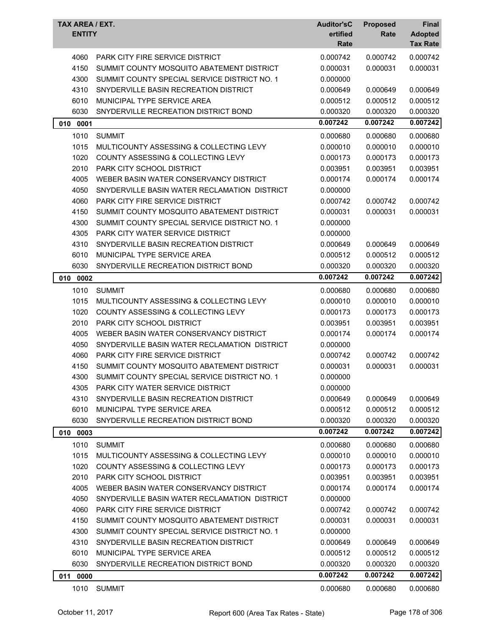| TAX AREA / EXT.<br><b>ENTITY</b> |                                               | <b>Auditor'sC</b><br>ertified<br>Rate | <b>Proposed</b><br>Rate | <b>Final</b><br><b>Adopted</b><br><b>Tax Rate</b> |
|----------------------------------|-----------------------------------------------|---------------------------------------|-------------------------|---------------------------------------------------|
| 4060                             | <b>PARK CITY FIRE SERVICE DISTRICT</b>        | 0.000742                              | 0.000742                | 0.000742                                          |
| 4150                             | SUMMIT COUNTY MOSQUITO ABATEMENT DISTRICT     | 0.000031                              | 0.000031                | 0.000031                                          |
| 4300                             | SUMMIT COUNTY SPECIAL SERVICE DISTRICT NO. 1  | 0.000000                              |                         |                                                   |
| 4310                             | SNYDERVILLE BASIN RECREATION DISTRICT         | 0.000649                              | 0.000649                | 0.000649                                          |
| 6010                             | MUNICIPAL TYPE SERVICE AREA                   | 0.000512                              | 0.000512                | 0.000512                                          |
| 6030                             | SNYDERVILLE RECREATION DISTRICT BOND          | 0.000320                              | 0.000320                | 0.000320                                          |
| 010 0001                         |                                               | 0.007242                              | 0.007242                | 0.007242                                          |
| 1010                             | <b>SUMMIT</b>                                 | 0.000680                              | 0.000680                | 0.000680                                          |
| 1015                             | MULTICOUNTY ASSESSING & COLLECTING LEVY       | 0.000010                              | 0.000010                | 0.000010                                          |
| 1020                             | COUNTY ASSESSING & COLLECTING LEVY            | 0.000173                              | 0.000173                | 0.000173                                          |
| 2010                             | <b>PARK CITY SCHOOL DISTRICT</b>              | 0.003951                              | 0.003951                | 0.003951                                          |
| 4005                             | WEBER BASIN WATER CONSERVANCY DISTRICT        | 0.000174                              | 0.000174                | 0.000174                                          |
| 4050                             | SNYDERVILLE BASIN WATER RECLAMATION DISTRICT  | 0.000000                              |                         |                                                   |
| 4060                             | PARK CITY FIRE SERVICE DISTRICT               | 0.000742                              | 0.000742                | 0.000742                                          |
| 4150                             | SUMMIT COUNTY MOSQUITO ABATEMENT DISTRICT     | 0.000031                              | 0.000031                | 0.000031                                          |
| 4300                             | SUMMIT COUNTY SPECIAL SERVICE DISTRICT NO. 1  | 0.000000                              |                         |                                                   |
| 4305                             | PARK CITY WATER SERVICE DISTRICT              | 0.000000                              |                         |                                                   |
| 4310                             | SNYDERVILLE BASIN RECREATION DISTRICT         | 0.000649                              | 0.000649                | 0.000649                                          |
| 6010                             | MUNICIPAL TYPE SERVICE AREA                   | 0.000512                              | 0.000512                | 0.000512                                          |
| 6030                             | SNYDERVILLE RECREATION DISTRICT BOND          | 0.000320                              | 0.000320                | 0.000320                                          |
| 010<br>0002                      |                                               | 0.007242                              | 0.007242                | 0.007242                                          |
| 1010                             | <b>SUMMIT</b>                                 | 0.000680                              | 0.000680                | 0.000680                                          |
| 1015                             | MULTICOUNTY ASSESSING & COLLECTING LEVY       | 0.000010                              | 0.000010                | 0.000010                                          |
| 1020                             | <b>COUNTY ASSESSING &amp; COLLECTING LEVY</b> | 0.000173                              | 0.000173                | 0.000173                                          |
| 2010                             | <b>PARK CITY SCHOOL DISTRICT</b>              | 0.003951                              | 0.003951                | 0.003951                                          |
| 4005                             | WEBER BASIN WATER CONSERVANCY DISTRICT        | 0.000174                              | 0.000174                | 0.000174                                          |
| 4050                             | SNYDERVILLE BASIN WATER RECLAMATION DISTRICT  | 0.000000                              |                         |                                                   |
| 4060                             | <b>PARK CITY FIRE SERVICE DISTRICT</b>        | 0.000742                              | 0.000742                | 0.000742                                          |
| 4150                             | SUMMIT COUNTY MOSQUITO ABATEMENT DISTRICT     | 0.000031                              | 0.000031                | 0.000031                                          |
| 4300                             | SUMMIT COUNTY SPECIAL SERVICE DISTRICT NO. 1  | 0.000000                              |                         |                                                   |
| 4305                             | PARK CITY WATER SERVICE DISTRICT              | 0.000000                              |                         |                                                   |
| 4310                             | SNYDERVILLE BASIN RECREATION DISTRICT         | 0.000649                              | 0.000649                | 0.000649                                          |
| 6010                             | MUNICIPAL TYPE SERVICE AREA                   | 0.000512                              | 0.000512                | 0.000512                                          |
| 6030                             | SNYDERVILLE RECREATION DISTRICT BOND          | 0.000320                              | 0.000320                | 0.000320                                          |
| 010 0003                         |                                               | 0.007242                              | 0.007242                | 0.007242                                          |
| 1010                             | <b>SUMMIT</b>                                 | 0.000680                              | 0.000680                | 0.000680                                          |
| 1015                             | MULTICOUNTY ASSESSING & COLLECTING LEVY       | 0.000010                              | 0.000010                | 0.000010                                          |
| 1020                             | <b>COUNTY ASSESSING &amp; COLLECTING LEVY</b> | 0.000173                              | 0.000173                | 0.000173                                          |
| 2010                             | PARK CITY SCHOOL DISTRICT                     | 0.003951                              | 0.003951                | 0.003951                                          |
| 4005                             | WEBER BASIN WATER CONSERVANCY DISTRICT        | 0.000174                              | 0.000174                | 0.000174                                          |
| 4050                             | SNYDERVILLE BASIN WATER RECLAMATION DISTRICT  | 0.000000                              |                         |                                                   |
| 4060                             | <b>PARK CITY FIRE SERVICE DISTRICT</b>        | 0.000742                              | 0.000742                | 0.000742                                          |
| 4150                             | SUMMIT COUNTY MOSQUITO ABATEMENT DISTRICT     | 0.000031                              | 0.000031                | 0.000031                                          |
| 4300                             | SUMMIT COUNTY SPECIAL SERVICE DISTRICT NO. 1  | 0.000000                              |                         |                                                   |
| 4310                             | SNYDERVILLE BASIN RECREATION DISTRICT         | 0.000649                              | 0.000649                | 0.000649                                          |
| 6010                             | MUNICIPAL TYPE SERVICE AREA                   | 0.000512                              | 0.000512                | 0.000512                                          |
| 6030                             | SNYDERVILLE RECREATION DISTRICT BOND          | 0.000320                              | 0.000320                | 0.000320                                          |
| 011 0000                         |                                               | 0.007242                              | 0.007242                | 0.007242                                          |
| 1010                             | <b>SUMMIT</b>                                 | 0.000680                              | 0.000680                | 0.000680                                          |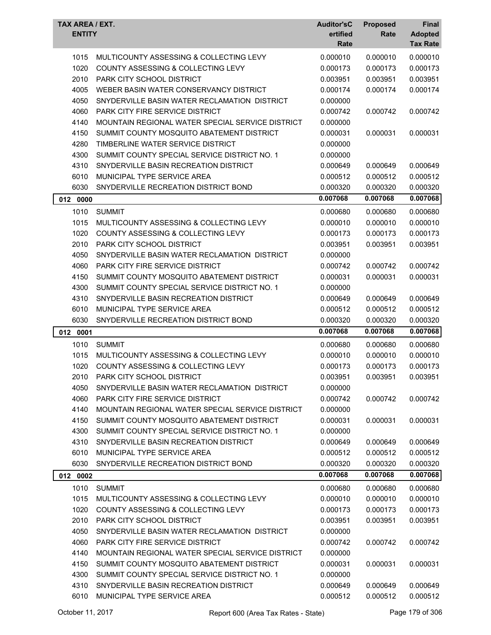| TAX AREA / EXT.<br><b>ENTITY</b> |                                                  | <b>Auditor'sC</b><br>ertified<br>Rate | <b>Proposed</b><br>Rate | <b>Final</b><br><b>Adopted</b><br><b>Tax Rate</b> |
|----------------------------------|--------------------------------------------------|---------------------------------------|-------------------------|---------------------------------------------------|
| 1015                             | MULTICOUNTY ASSESSING & COLLECTING LEVY          | 0.000010                              | 0.000010                | 0.000010                                          |
| 1020                             | <b>COUNTY ASSESSING &amp; COLLECTING LEVY</b>    | 0.000173                              | 0.000173                | 0.000173                                          |
| 2010                             | PARK CITY SCHOOL DISTRICT                        | 0.003951                              | 0.003951                | 0.003951                                          |
| 4005                             | WEBER BASIN WATER CONSERVANCY DISTRICT           | 0.000174                              | 0.000174                | 0.000174                                          |
| 4050                             | SNYDERVILLE BASIN WATER RECLAMATION DISTRICT     | 0.000000                              |                         |                                                   |
| 4060                             | <b>PARK CITY FIRE SERVICE DISTRICT</b>           | 0.000742                              | 0.000742                | 0.000742                                          |
| 4140                             | MOUNTAIN REGIONAL WATER SPECIAL SERVICE DISTRICT | 0.000000                              |                         |                                                   |
| 4150                             | SUMMIT COUNTY MOSQUITO ABATEMENT DISTRICT        | 0.000031                              | 0.000031                | 0.000031                                          |
| 4280                             | TIMBERLINE WATER SERVICE DISTRICT                | 0.000000                              |                         |                                                   |
| 4300                             | SUMMIT COUNTY SPECIAL SERVICE DISTRICT NO. 1     | 0.000000                              |                         |                                                   |
| 4310                             | SNYDERVILLE BASIN RECREATION DISTRICT            | 0.000649                              | 0.000649                | 0.000649                                          |
| 6010                             | MUNICIPAL TYPE SERVICE AREA                      | 0.000512                              | 0.000512                | 0.000512                                          |
| 6030                             | SNYDERVILLE RECREATION DISTRICT BOND             | 0.000320                              | 0.000320                | 0.000320                                          |
| 012 0000                         |                                                  | 0.007068                              | 0.007068                | 0.007068                                          |
| 1010                             | <b>SUMMIT</b>                                    | 0.000680                              | 0.000680                | 0.000680                                          |
| 1015                             | MULTICOUNTY ASSESSING & COLLECTING LEVY          | 0.000010                              | 0.000010                | 0.000010                                          |
| 1020                             | COUNTY ASSESSING & COLLECTING LEVY               | 0.000173                              | 0.000173                | 0.000173                                          |
| 2010                             | <b>PARK CITY SCHOOL DISTRICT</b>                 | 0.003951                              | 0.003951                | 0.003951                                          |
| 4050                             | SNYDERVILLE BASIN WATER RECLAMATION DISTRICT     | 0.000000                              |                         |                                                   |
| 4060                             | <b>PARK CITY FIRE SERVICE DISTRICT</b>           | 0.000742                              | 0.000742                | 0.000742                                          |
| 4150                             | SUMMIT COUNTY MOSQUITO ABATEMENT DISTRICT        | 0.000031                              | 0.000031                | 0.000031                                          |
| 4300                             | SUMMIT COUNTY SPECIAL SERVICE DISTRICT NO. 1     | 0.000000                              |                         |                                                   |
| 4310                             | SNYDERVILLE BASIN RECREATION DISTRICT            | 0.000649                              | 0.000649                | 0.000649                                          |
| 6010                             | MUNICIPAL TYPE SERVICE AREA                      | 0.000512                              | 0.000512                | 0.000512                                          |
| 6030                             | SNYDERVILLE RECREATION DISTRICT BOND             | 0.000320                              | 0.000320                | 0.000320                                          |
| 012 0001                         |                                                  | 0.007068                              | 0.007068                | 0.007068                                          |
| 1010                             | <b>SUMMIT</b>                                    | 0.000680                              | 0.000680                | 0.000680                                          |
| 1015                             | MULTICOUNTY ASSESSING & COLLECTING LEVY          | 0.000010                              | 0.000010                | 0.000010                                          |
| 1020                             | COUNTY ASSESSING & COLLECTING LEVY               | 0.000173                              | 0.000173                | 0.000173                                          |
| 2010                             | PARK CITY SCHOOL DISTRICT                        | 0.003951                              | 0.003951                | 0.003951                                          |
| 4050                             | SNYDERVILLE BASIN WATER RECLAMATION DISTRICT     | 0.000000                              |                         |                                                   |
| 4060                             | PARK CITY FIRE SERVICE DISTRICT                  | 0.000742                              | 0.000742                | 0.000742                                          |
| 4140                             | MOUNTAIN REGIONAL WATER SPECIAL SERVICE DISTRICT | 0.000000                              |                         |                                                   |
| 4150                             | SUMMIT COUNTY MOSQUITO ABATEMENT DISTRICT        | 0.000031                              | 0.000031                | 0.000031                                          |
| 4300                             | SUMMIT COUNTY SPECIAL SERVICE DISTRICT NO. 1     | 0.000000                              |                         |                                                   |
| 4310                             | SNYDERVILLE BASIN RECREATION DISTRICT            | 0.000649                              | 0.000649                | 0.000649                                          |
| 6010                             | MUNICIPAL TYPE SERVICE AREA                      | 0.000512                              | 0.000512                | 0.000512                                          |
| 6030                             | SNYDERVILLE RECREATION DISTRICT BOND             | 0.000320                              | 0.000320                | 0.000320                                          |
| 012 0002                         |                                                  | 0.007068                              | 0.007068                | 0.007068                                          |
| 1010                             | <b>SUMMIT</b>                                    | 0.000680                              | 0.000680                | 0.000680                                          |
| 1015                             | MULTICOUNTY ASSESSING & COLLECTING LEVY          | 0.000010                              | 0.000010                | 0.000010                                          |
| 1020                             | COUNTY ASSESSING & COLLECTING LEVY               | 0.000173                              | 0.000173                | 0.000173                                          |
| 2010                             | PARK CITY SCHOOL DISTRICT                        | 0.003951                              | 0.003951                | 0.003951                                          |
| 4050                             | SNYDERVILLE BASIN WATER RECLAMATION DISTRICT     | 0.000000                              |                         |                                                   |
| 4060                             | PARK CITY FIRE SERVICE DISTRICT                  | 0.000742                              | 0.000742                | 0.000742                                          |
| 4140                             | MOUNTAIN REGIONAL WATER SPECIAL SERVICE DISTRICT | 0.000000                              |                         |                                                   |
| 4150                             | SUMMIT COUNTY MOSQUITO ABATEMENT DISTRICT        | 0.000031                              | 0.000031                | 0.000031                                          |
| 4300                             | SUMMIT COUNTY SPECIAL SERVICE DISTRICT NO. 1     | 0.000000                              |                         |                                                   |
| 4310                             | SNYDERVILLE BASIN RECREATION DISTRICT            | 0.000649                              | 0.000649                | 0.000649                                          |
| 6010                             | MUNICIPAL TYPE SERVICE AREA                      | 0.000512                              | 0.000512                | 0.000512                                          |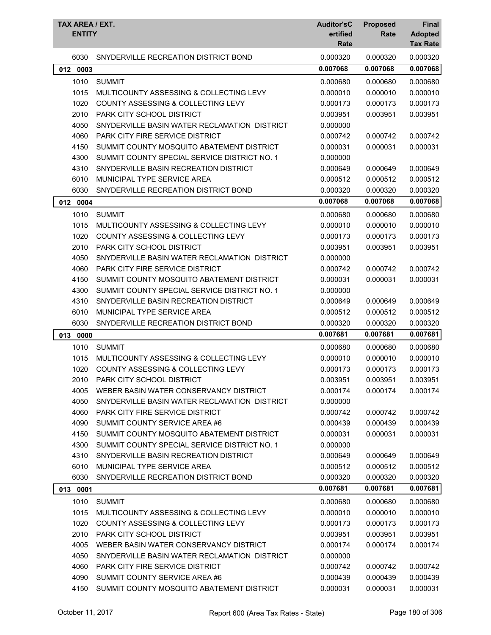| <b>TAX AREA / EXT.</b><br><b>ENTITY</b> |                                               | <b>Auditor'sC</b><br>ertified<br>Rate | <b>Proposed</b><br>Rate | Final<br><b>Adopted</b><br><b>Tax Rate</b> |
|-----------------------------------------|-----------------------------------------------|---------------------------------------|-------------------------|--------------------------------------------|
| 6030                                    | SNYDERVILLE RECREATION DISTRICT BOND          | 0.000320                              | 0.000320                | 0.000320                                   |
| 0003<br>012                             |                                               | 0.007068                              | 0.007068                | 0.007068                                   |
| 1010                                    | <b>SUMMIT</b>                                 | 0.000680                              | 0.000680                | 0.000680                                   |
| 1015                                    | MULTICOUNTY ASSESSING & COLLECTING LEVY       | 0.000010                              | 0.000010                | 0.000010                                   |
| 1020                                    | COUNTY ASSESSING & COLLECTING LEVY            | 0.000173                              | 0.000173                | 0.000173                                   |
| 2010                                    | PARK CITY SCHOOL DISTRICT                     | 0.003951                              | 0.003951                | 0.003951                                   |
| 4050                                    | SNYDERVILLE BASIN WATER RECLAMATION DISTRICT  | 0.000000                              |                         |                                            |
| 4060                                    | PARK CITY FIRE SERVICE DISTRICT               | 0.000742                              | 0.000742                | 0.000742                                   |
| 4150                                    | SUMMIT COUNTY MOSQUITO ABATEMENT DISTRICT     | 0.000031                              | 0.000031                | 0.000031                                   |
| 4300                                    | SUMMIT COUNTY SPECIAL SERVICE DISTRICT NO. 1  | 0.000000                              |                         |                                            |
| 4310                                    | SNYDERVILLE BASIN RECREATION DISTRICT         | 0.000649                              | 0.000649                | 0.000649                                   |
| 6010                                    | MUNICIPAL TYPE SERVICE AREA                   | 0.000512                              | 0.000512                | 0.000512                                   |
| 6030                                    | SNYDERVILLE RECREATION DISTRICT BOND          | 0.000320                              | 0.000320                | 0.000320                                   |
| 012 0004                                |                                               | 0.007068                              | 0.007068                | 0.007068                                   |
| 1010                                    | <b>SUMMIT</b>                                 | 0.000680                              | 0.000680                | 0.000680                                   |
| 1015                                    | MULTICOUNTY ASSESSING & COLLECTING LEVY       | 0.000010                              | 0.000010                | 0.000010                                   |
| 1020                                    | <b>COUNTY ASSESSING &amp; COLLECTING LEVY</b> | 0.000173                              | 0.000173                | 0.000173                                   |
| 2010                                    | PARK CITY SCHOOL DISTRICT                     | 0.003951                              | 0.003951                | 0.003951                                   |
| 4050                                    | SNYDERVILLE BASIN WATER RECLAMATION DISTRICT  | 0.000000                              |                         |                                            |
| 4060                                    | PARK CITY FIRE SERVICE DISTRICT               | 0.000742                              | 0.000742                | 0.000742                                   |
| 4150                                    | SUMMIT COUNTY MOSQUITO ABATEMENT DISTRICT     | 0.000031                              | 0.000031                | 0.000031                                   |
| 4300                                    | SUMMIT COUNTY SPECIAL SERVICE DISTRICT NO. 1  | 0.000000                              |                         |                                            |
| 4310                                    | SNYDERVILLE BASIN RECREATION DISTRICT         | 0.000649                              | 0.000649                | 0.000649                                   |
| 6010                                    | <b>MUNICIPAL TYPE SERVICE AREA</b>            | 0.000512                              | 0.000512                | 0.000512                                   |
| 6030                                    | SNYDERVILLE RECREATION DISTRICT BOND          | 0.000320                              | 0.000320                | 0.000320                                   |
| 013<br>0000                             |                                               | 0.007681                              | 0.007681                | 0.007681                                   |
| 1010                                    | <b>SUMMIT</b>                                 | 0.000680                              | 0.000680                | 0.000680                                   |
| 1015                                    | MULTICOUNTY ASSESSING & COLLECTING LEVY       | 0.000010                              | 0.000010                | 0.000010                                   |
| 1020                                    | <b>COUNTY ASSESSING &amp; COLLECTING LEVY</b> | 0.000173                              | 0.000173                | 0.000173                                   |
| 2010                                    | PARK CITY SCHOOL DISTRICT                     | 0.003951                              | 0.003951                | 0.003951                                   |
| 4005                                    | WEBER BASIN WATER CONSERVANCY DISTRICT        | 0.000174                              | 0.000174                | 0.000174                                   |
| 4050                                    | SNYDERVILLE BASIN WATER RECLAMATION DISTRICT  | 0.000000                              |                         |                                            |
| 4060                                    | PARK CITY FIRE SERVICE DISTRICT               | 0.000742                              | 0.000742                | 0.000742                                   |
| 4090                                    | SUMMIT COUNTY SERVICE AREA #6                 | 0.000439                              | 0.000439                | 0.000439                                   |
| 4150                                    | SUMMIT COUNTY MOSQUITO ABATEMENT DISTRICT     | 0.000031                              | 0.000031                | 0.000031                                   |
| 4300                                    | SUMMIT COUNTY SPECIAL SERVICE DISTRICT NO. 1  | 0.000000                              |                         |                                            |
| 4310                                    | SNYDERVILLE BASIN RECREATION DISTRICT         | 0.000649                              | 0.000649                | 0.000649                                   |
| 6010                                    | MUNICIPAL TYPE SERVICE AREA                   | 0.000512                              | 0.000512                | 0.000512                                   |
| 6030                                    | SNYDERVILLE RECREATION DISTRICT BOND          | 0.000320                              | 0.000320                | 0.000320                                   |
| 013 0001                                |                                               | 0.007681                              | 0.007681                | 0.007681                                   |
| 1010                                    | <b>SUMMIT</b>                                 | 0.000680                              | 0.000680                | 0.000680                                   |
| 1015                                    | MULTICOUNTY ASSESSING & COLLECTING LEVY       | 0.000010                              | 0.000010                | 0.000010                                   |
| 1020                                    | COUNTY ASSESSING & COLLECTING LEVY            | 0.000173                              | 0.000173                | 0.000173                                   |
| 2010                                    | PARK CITY SCHOOL DISTRICT                     | 0.003951                              | 0.003951                | 0.003951                                   |
| 4005                                    | WEBER BASIN WATER CONSERVANCY DISTRICT        | 0.000174                              | 0.000174                | 0.000174                                   |
| 4050                                    | SNYDERVILLE BASIN WATER RECLAMATION DISTRICT  | 0.000000                              |                         |                                            |
| 4060                                    | <b>PARK CITY FIRE SERVICE DISTRICT</b>        | 0.000742                              | 0.000742                | 0.000742                                   |
| 4090                                    | SUMMIT COUNTY SERVICE AREA #6                 | 0.000439                              | 0.000439                | 0.000439                                   |
| 4150                                    | SUMMIT COUNTY MOSQUITO ABATEMENT DISTRICT     | 0.000031                              | 0.000031                | 0.000031                                   |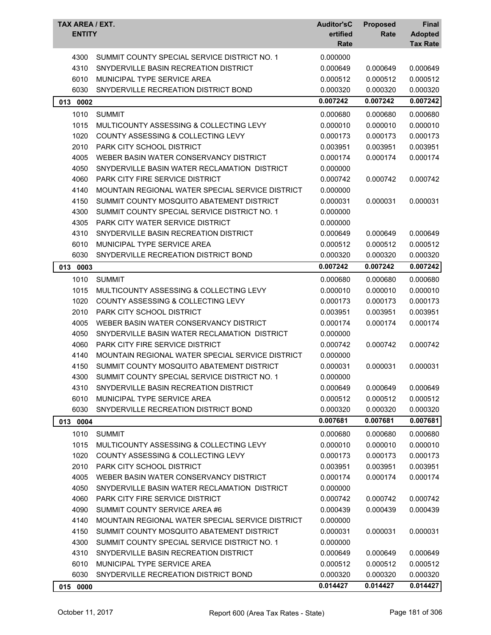| TAX AREA / EXT.<br><b>ENTITY</b> |                                                  | <b>Auditor'sC</b><br>ertified<br>Rate | <b>Proposed</b><br>Rate | Final<br><b>Adopted</b><br><b>Tax Rate</b> |
|----------------------------------|--------------------------------------------------|---------------------------------------|-------------------------|--------------------------------------------|
| 4300                             | SUMMIT COUNTY SPECIAL SERVICE DISTRICT NO. 1     | 0.000000                              |                         |                                            |
| 4310                             | SNYDERVILLE BASIN RECREATION DISTRICT            | 0.000649                              | 0.000649                | 0.000649                                   |
| 6010                             | MUNICIPAL TYPE SERVICE AREA                      | 0.000512                              | 0.000512                | 0.000512                                   |
| 6030                             | SNYDERVILLE RECREATION DISTRICT BOND             | 0.000320                              | 0.000320                | 0.000320                                   |
| 013 0002                         |                                                  | 0.007242                              | 0.007242                | 0.007242                                   |
| 1010                             | <b>SUMMIT</b>                                    | 0.000680                              | 0.000680                | 0.000680                                   |
| 1015                             | MULTICOUNTY ASSESSING & COLLECTING LEVY          | 0.000010                              | 0.000010                | 0.000010                                   |
| 1020                             | COUNTY ASSESSING & COLLECTING LEVY               | 0.000173                              | 0.000173                | 0.000173                                   |
| 2010                             | PARK CITY SCHOOL DISTRICT                        | 0.003951                              | 0.003951                | 0.003951                                   |
| 4005                             | WEBER BASIN WATER CONSERVANCY DISTRICT           | 0.000174                              | 0.000174                | 0.000174                                   |
| 4050                             | SNYDERVILLE BASIN WATER RECLAMATION DISTRICT     | 0.000000                              |                         |                                            |
| 4060                             | <b>PARK CITY FIRE SERVICE DISTRICT</b>           | 0.000742                              | 0.000742                | 0.000742                                   |
| 4140                             | MOUNTAIN REGIONAL WATER SPECIAL SERVICE DISTRICT | 0.000000                              |                         |                                            |
| 4150                             | SUMMIT COUNTY MOSQUITO ABATEMENT DISTRICT        | 0.000031                              | 0.000031                | 0.000031                                   |
| 4300                             | SUMMIT COUNTY SPECIAL SERVICE DISTRICT NO. 1     | 0.000000                              |                         |                                            |
| 4305                             | PARK CITY WATER SERVICE DISTRICT                 | 0.000000                              |                         |                                            |
| 4310                             | SNYDERVILLE BASIN RECREATION DISTRICT            | 0.000649                              | 0.000649                | 0.000649                                   |
| 6010                             | MUNICIPAL TYPE SERVICE AREA                      | 0.000512                              | 0.000512                | 0.000512                                   |
| 6030                             | SNYDERVILLE RECREATION DISTRICT BOND             | 0.000320                              | 0.000320                | 0.000320                                   |
| 013 0003                         |                                                  | 0.007242                              | 0.007242                | 0.007242                                   |
| 1010                             | <b>SUMMIT</b>                                    | 0.000680                              | 0.000680                | 0.000680                                   |
| 1015                             | MULTICOUNTY ASSESSING & COLLECTING LEVY          | 0.000010                              | 0.000010                | 0.000010                                   |
| 1020                             | <b>COUNTY ASSESSING &amp; COLLECTING LEVY</b>    | 0.000173                              | 0.000173                | 0.000173                                   |
| 2010                             | <b>PARK CITY SCHOOL DISTRICT</b>                 | 0.003951                              | 0.003951                | 0.003951                                   |
| 4005                             | WEBER BASIN WATER CONSERVANCY DISTRICT           | 0.000174                              | 0.000174                | 0.000174                                   |
| 4050                             | SNYDERVILLE BASIN WATER RECLAMATION DISTRICT     | 0.000000                              |                         |                                            |
| 4060                             | PARK CITY FIRE SERVICE DISTRICT                  | 0.000742                              | 0.000742                | 0.000742                                   |
| 4140                             | MOUNTAIN REGIONAL WATER SPECIAL SERVICE DISTRICT | 0.000000                              |                         |                                            |
| 4150                             | SUMMIT COUNTY MOSQUITO ABATEMENT DISTRICT        | 0.000031                              | 0.000031                | 0.000031                                   |
| 4300                             | SUMMIT COUNTY SPECIAL SERVICE DISTRICT NO. 1     | 0.000000                              |                         |                                            |
| 4310                             | SNYDERVILLE BASIN RECREATION DISTRICT            | 0.000649                              | 0.000649                | 0.000649                                   |
| 6010                             | MUNICIPAL TYPE SERVICE AREA                      | 0.000512                              | 0.000512                | 0.000512                                   |
| 6030                             | SNYDERVILLE RECREATION DISTRICT BOND             | 0.000320                              | 0.000320                | 0.000320                                   |
| 013 0004                         |                                                  | 0.007681                              | 0.007681                | 0.007681                                   |
| 1010                             | <b>SUMMIT</b>                                    | 0.000680                              | 0.000680                | 0.000680                                   |
| 1015                             | MULTICOUNTY ASSESSING & COLLECTING LEVY          | 0.000010                              | 0.000010                | 0.000010                                   |
| 1020                             | COUNTY ASSESSING & COLLECTING LEVY               | 0.000173                              | 0.000173                | 0.000173                                   |
| 2010                             | PARK CITY SCHOOL DISTRICT                        | 0.003951                              | 0.003951                | 0.003951                                   |
| 4005                             | WEBER BASIN WATER CONSERVANCY DISTRICT           | 0.000174                              | 0.000174                | 0.000174                                   |
| 4050                             | SNYDERVILLE BASIN WATER RECLAMATION DISTRICT     | 0.000000                              |                         |                                            |
| 4060                             | <b>PARK CITY FIRE SERVICE DISTRICT</b>           | 0.000742                              | 0.000742                | 0.000742                                   |
| 4090                             | SUMMIT COUNTY SERVICE AREA #6                    | 0.000439                              | 0.000439                | 0.000439                                   |
| 4140                             | MOUNTAIN REGIONAL WATER SPECIAL SERVICE DISTRICT | 0.000000                              |                         |                                            |
| 4150                             | SUMMIT COUNTY MOSQUITO ABATEMENT DISTRICT        | 0.000031                              | 0.000031                | 0.000031                                   |
| 4300                             | SUMMIT COUNTY SPECIAL SERVICE DISTRICT NO. 1     | 0.000000                              |                         |                                            |
| 4310                             | SNYDERVILLE BASIN RECREATION DISTRICT            | 0.000649                              | 0.000649                | 0.000649                                   |
| 6010                             | MUNICIPAL TYPE SERVICE AREA                      | 0.000512                              | 0.000512                | 0.000512                                   |
| 6030                             | SNYDERVILLE RECREATION DISTRICT BOND             | 0.000320                              | 0.000320                | 0.000320                                   |
| 015 0000                         |                                                  | 0.014427                              | 0.014427                | 0.014427                                   |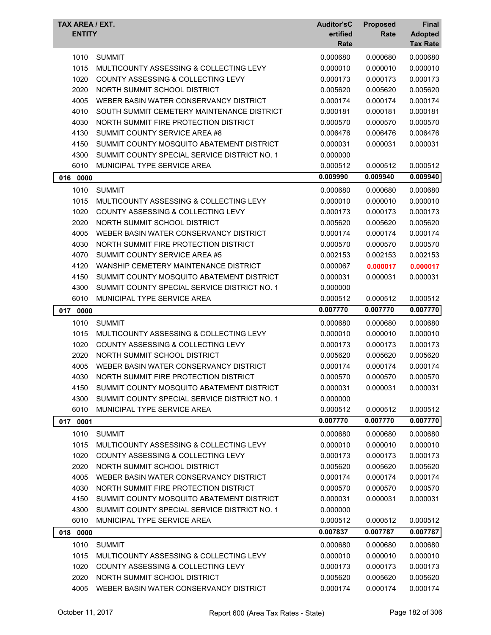| TAX AREA / EXT.<br><b>ENTITY</b> |                                                                        | <b>Auditor'sC</b><br>ertified<br>Rate | <b>Proposed</b><br>Rate | Final<br><b>Adopted</b><br><b>Tax Rate</b> |
|----------------------------------|------------------------------------------------------------------------|---------------------------------------|-------------------------|--------------------------------------------|
| 1010                             | <b>SUMMIT</b>                                                          | 0.000680                              | 0.000680                | 0.000680                                   |
| 1015                             | MULTICOUNTY ASSESSING & COLLECTING LEVY                                | 0.000010                              | 0.000010                | 0.000010                                   |
| 1020                             | <b>COUNTY ASSESSING &amp; COLLECTING LEVY</b>                          | 0.000173                              | 0.000173                | 0.000173                                   |
| 2020                             | NORTH SUMMIT SCHOOL DISTRICT                                           | 0.005620                              | 0.005620                | 0.005620                                   |
| 4005                             | WEBER BASIN WATER CONSERVANCY DISTRICT                                 | 0.000174                              | 0.000174                | 0.000174                                   |
| 4010                             | SOUTH SUMMIT CEMETERY MAINTENANCE DISTRICT                             | 0.000181                              | 0.000181                | 0.000181                                   |
| 4030                             | NORTH SUMMIT FIRE PROTECTION DISTRICT                                  | 0.000570                              | 0.000570                | 0.000570                                   |
| 4130                             | SUMMIT COUNTY SERVICE AREA #8                                          | 0.006476                              | 0.006476                | 0.006476                                   |
| 4150                             | SUMMIT COUNTY MOSQUITO ABATEMENT DISTRICT                              | 0.000031                              | 0.000031                | 0.000031                                   |
| 4300                             | SUMMIT COUNTY SPECIAL SERVICE DISTRICT NO. 1                           | 0.000000                              |                         |                                            |
| 6010                             | MUNICIPAL TYPE SERVICE AREA                                            | 0.000512                              | 0.000512                | 0.000512                                   |
| 016 0000                         |                                                                        | 0.009990                              | 0.009940                | 0.009940                                   |
|                                  |                                                                        |                                       |                         |                                            |
| 1010                             | <b>SUMMIT</b>                                                          | 0.000680                              | 0.000680                | 0.000680                                   |
| 1015                             | MULTICOUNTY ASSESSING & COLLECTING LEVY                                | 0.000010                              | 0.000010                | 0.000010                                   |
| 1020                             | COUNTY ASSESSING & COLLECTING LEVY                                     | 0.000173                              | 0.000173                | 0.000173                                   |
| 2020                             | NORTH SUMMIT SCHOOL DISTRICT<br>WEBER BASIN WATER CONSERVANCY DISTRICT | 0.005620<br>0.000174                  | 0.005620                | 0.005620                                   |
| 4005                             | NORTH SUMMIT FIRE PROTECTION DISTRICT                                  | 0.000570                              | 0.000174                | 0.000174                                   |
| 4030                             |                                                                        |                                       | 0.000570                | 0.000570                                   |
| 4070                             | SUMMIT COUNTY SERVICE AREA #5<br>WANSHIP CEMETERY MAINTENANCE DISTRICT | 0.002153                              | 0.002153                | 0.002153                                   |
| 4120                             |                                                                        | 0.000067                              | 0.000017                | 0.000017                                   |
| 4150                             | SUMMIT COUNTY MOSQUITO ABATEMENT DISTRICT                              | 0.000031                              | 0.000031                | 0.000031                                   |
| 4300                             | SUMMIT COUNTY SPECIAL SERVICE DISTRICT NO. 1                           | 0.000000                              |                         |                                            |
| 6010                             | MUNICIPAL TYPE SERVICE AREA                                            | 0.000512                              | 0.000512                | 0.000512                                   |
| 017 0000                         |                                                                        | 0.007770                              | 0.007770                | 0.007770                                   |
| 1010                             | <b>SUMMIT</b>                                                          | 0.000680                              | 0.000680                | 0.000680                                   |
| 1015                             | MULTICOUNTY ASSESSING & COLLECTING LEVY                                | 0.000010                              | 0.000010                | 0.000010                                   |
| 1020                             | COUNTY ASSESSING & COLLECTING LEVY                                     | 0.000173                              | 0.000173                | 0.000173                                   |
| 2020                             | NORTH SUMMIT SCHOOL DISTRICT                                           | 0.005620                              | 0.005620                | 0.005620                                   |
| 4005                             | WEBER BASIN WATER CONSERVANCY DISTRICT                                 | 0.000174                              | 0.000174                | 0.000174                                   |
| 4030                             | NORTH SUMMIT FIRE PROTECTION DISTRICT                                  | 0.000570                              | 0.000570                | 0.000570                                   |
| 4150                             | SUMMIT COUNTY MOSQUITO ABATEMENT DISTRICT                              | 0.000031                              | 0.000031                | 0.000031                                   |
| 4300                             | SUMMIT COUNTY SPECIAL SERVICE DISTRICT NO. 1                           | 0.000000                              |                         |                                            |
| 6010                             |                                                                        |                                       |                         |                                            |
|                                  | MUNICIPAL TYPE SERVICE AREA                                            | 0.000512                              | 0.000512                | 0.000512                                   |
| 017 0001                         |                                                                        | 0.007770                              | 0.007770                | 0.007770                                   |
| 1010                             | <b>SUMMIT</b>                                                          | 0.000680                              | 0.000680                | 0.000680                                   |
| 1015                             | MULTICOUNTY ASSESSING & COLLECTING LEVY                                | 0.000010                              | 0.000010                | 0.000010                                   |
| 1020                             | <b>COUNTY ASSESSING &amp; COLLECTING LEVY</b>                          | 0.000173                              | 0.000173                | 0.000173                                   |
| 2020                             | NORTH SUMMIT SCHOOL DISTRICT                                           | 0.005620                              | 0.005620                | 0.005620                                   |
| 4005                             | WEBER BASIN WATER CONSERVANCY DISTRICT                                 | 0.000174                              | 0.000174                | 0.000174                                   |
| 4030                             | NORTH SUMMIT FIRE PROTECTION DISTRICT                                  | 0.000570                              | 0.000570                | 0.000570                                   |
| 4150                             | SUMMIT COUNTY MOSQUITO ABATEMENT DISTRICT                              | 0.000031                              | 0.000031                | 0.000031                                   |
| 4300                             | SUMMIT COUNTY SPECIAL SERVICE DISTRICT NO. 1                           | 0.000000                              |                         |                                            |
| 6010                             | MUNICIPAL TYPE SERVICE AREA                                            | 0.000512                              | 0.000512                | 0.000512                                   |
| 018 0000                         |                                                                        | 0.007837                              | 0.007787                | 0.007787                                   |
| 1010                             | <b>SUMMIT</b>                                                          | 0.000680                              |                         | 0.000680                                   |
| 1015                             | MULTICOUNTY ASSESSING & COLLECTING LEVY                                | 0.000010                              | 0.000680<br>0.000010    |                                            |
| 1020                             | COUNTY ASSESSING & COLLECTING LEVY                                     | 0.000173                              | 0.000173                | 0.000010<br>0.000173                       |
| 2020                             | NORTH SUMMIT SCHOOL DISTRICT                                           | 0.005620                              | 0.005620                | 0.005620                                   |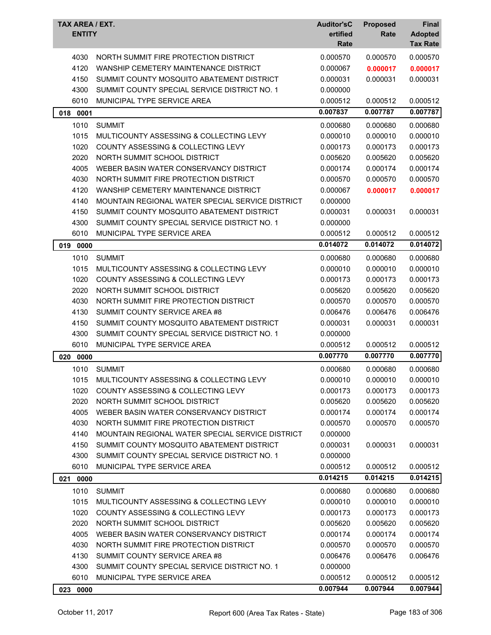| TAX AREA / EXT.<br><b>ENTITY</b> |                                                  | <b>Auditor'sC</b><br>ertified<br>Rate | <b>Proposed</b><br>Rate | <b>Final</b><br><b>Adopted</b><br><b>Tax Rate</b> |
|----------------------------------|--------------------------------------------------|---------------------------------------|-------------------------|---------------------------------------------------|
| 4030                             | NORTH SUMMIT FIRE PROTECTION DISTRICT            | 0.000570                              | 0.000570                | 0.000570                                          |
| 4120                             | WANSHIP CEMETERY MAINTENANCE DISTRICT            | 0.000067                              | 0.000017                | 0.000017                                          |
| 4150                             | SUMMIT COUNTY MOSQUITO ABATEMENT DISTRICT        | 0.000031                              | 0.000031                | 0.000031                                          |
| 4300                             | SUMMIT COUNTY SPECIAL SERVICE DISTRICT NO. 1     | 0.000000                              |                         |                                                   |
| 6010                             | MUNICIPAL TYPE SERVICE AREA                      | 0.000512                              | 0.000512                | 0.000512                                          |
| 018<br>0001                      |                                                  | 0.007837                              | 0.007787                | 0.007787                                          |
| 1010                             | <b>SUMMIT</b>                                    | 0.000680                              | 0.000680                | 0.000680                                          |
| 1015                             | MULTICOUNTY ASSESSING & COLLECTING LEVY          | 0.000010                              | 0.000010                | 0.000010                                          |
| 1020                             | COUNTY ASSESSING & COLLECTING LEVY               | 0.000173                              | 0.000173                | 0.000173                                          |
| 2020                             | NORTH SUMMIT SCHOOL DISTRICT                     | 0.005620                              | 0.005620                | 0.005620                                          |
| 4005                             | WEBER BASIN WATER CONSERVANCY DISTRICT           | 0.000174                              | 0.000174                | 0.000174                                          |
| 4030                             | NORTH SUMMIT FIRE PROTECTION DISTRICT            | 0.000570                              | 0.000570                | 0.000570                                          |
| 4120                             | WANSHIP CEMETERY MAINTENANCE DISTRICT            | 0.000067                              | 0.000017                | 0.000017                                          |
| 4140                             | MOUNTAIN REGIONAL WATER SPECIAL SERVICE DISTRICT | 0.000000                              |                         |                                                   |
| 4150                             | SUMMIT COUNTY MOSQUITO ABATEMENT DISTRICT        | 0.000031                              | 0.000031                | 0.000031                                          |
| 4300                             | SUMMIT COUNTY SPECIAL SERVICE DISTRICT NO. 1     | 0.000000                              |                         |                                                   |
| 6010                             | MUNICIPAL TYPE SERVICE AREA                      | 0.000512                              | 0.000512                | 0.000512                                          |
| 0000<br>019                      |                                                  | 0.014072                              | 0.014072                | 0.014072                                          |
| 1010                             | <b>SUMMIT</b>                                    | 0.000680                              | 0.000680                | 0.000680                                          |
| 1015                             | MULTICOUNTY ASSESSING & COLLECTING LEVY          | 0.000010                              | 0.000010                | 0.000010                                          |
| 1020                             | COUNTY ASSESSING & COLLECTING LEVY               | 0.000173                              | 0.000173                | 0.000173                                          |
| 2020                             | NORTH SUMMIT SCHOOL DISTRICT                     | 0.005620                              | 0.005620                | 0.005620                                          |
| 4030                             | NORTH SUMMIT FIRE PROTECTION DISTRICT            | 0.000570                              | 0.000570                | 0.000570                                          |
| 4130                             | SUMMIT COUNTY SERVICE AREA #8                    | 0.006476                              | 0.006476                | 0.006476                                          |
| 4150                             | SUMMIT COUNTY MOSQUITO ABATEMENT DISTRICT        | 0.000031                              | 0.000031                | 0.000031                                          |
| 4300                             | SUMMIT COUNTY SPECIAL SERVICE DISTRICT NO. 1     | 0.000000                              |                         |                                                   |
| 6010                             | MUNICIPAL TYPE SERVICE AREA                      | 0.000512                              | 0.000512                | 0.000512                                          |
| 0000<br>020                      |                                                  | 0.007770                              | 0.007770                | 0.007770                                          |
| 1010                             | <b>SUMMIT</b>                                    | 0.000680                              | 0.000680                | 0.000680                                          |
| 1015                             | MULTICOUNTY ASSESSING & COLLECTING LEVY          | 0.000010                              | 0.000010                | 0.000010                                          |
| 1020                             | COUNTY ASSESSING & COLLECTING LEVY               | 0.000173                              | 0.000173                | 0.000173                                          |
| 2020                             | NORTH SUMMIT SCHOOL DISTRICT                     | 0.005620                              | 0.005620                | 0.005620                                          |
| 4005                             | WEBER BASIN WATER CONSERVANCY DISTRICT           | 0.000174                              | 0.000174                | 0.000174                                          |
| 4030                             | NORTH SUMMIT FIRE PROTECTION DISTRICT            | 0.000570                              | 0.000570                | 0.000570                                          |
| 4140                             | MOUNTAIN REGIONAL WATER SPECIAL SERVICE DISTRICT | 0.000000                              |                         |                                                   |
| 4150                             | SUMMIT COUNTY MOSQUITO ABATEMENT DISTRICT        | 0.000031                              | 0.000031                | 0.000031                                          |
| 4300                             | SUMMIT COUNTY SPECIAL SERVICE DISTRICT NO. 1     | 0.000000                              |                         |                                                   |
| 6010                             | MUNICIPAL TYPE SERVICE AREA                      | 0.000512                              | 0.000512                | 0.000512                                          |
| 0000<br>021                      |                                                  | 0.014215                              | 0.014215                | 0.014215                                          |
| 1010                             | <b>SUMMIT</b>                                    | 0.000680                              | 0.000680                | 0.000680                                          |
| 1015                             | MULTICOUNTY ASSESSING & COLLECTING LEVY          | 0.000010                              | 0.000010                | 0.000010                                          |
| 1020                             | <b>COUNTY ASSESSING &amp; COLLECTING LEVY</b>    | 0.000173                              | 0.000173                | 0.000173                                          |
| 2020                             | NORTH SUMMIT SCHOOL DISTRICT                     | 0.005620                              | 0.005620                | 0.005620                                          |
| 4005                             | WEBER BASIN WATER CONSERVANCY DISTRICT           | 0.000174                              | 0.000174                | 0.000174                                          |
| 4030                             | NORTH SUMMIT FIRE PROTECTION DISTRICT            | 0.000570                              | 0.000570                | 0.000570                                          |
| 4130                             | SUMMIT COUNTY SERVICE AREA #8                    | 0.006476                              | 0.006476                | 0.006476                                          |
| 4300                             | SUMMIT COUNTY SPECIAL SERVICE DISTRICT NO. 1     | 0.000000                              |                         |                                                   |
| 6010                             | MUNICIPAL TYPE SERVICE AREA                      | 0.000512                              | 0.000512                | 0.000512                                          |
| 023 0000                         |                                                  | 0.007944                              | 0.007944                | 0.007944                                          |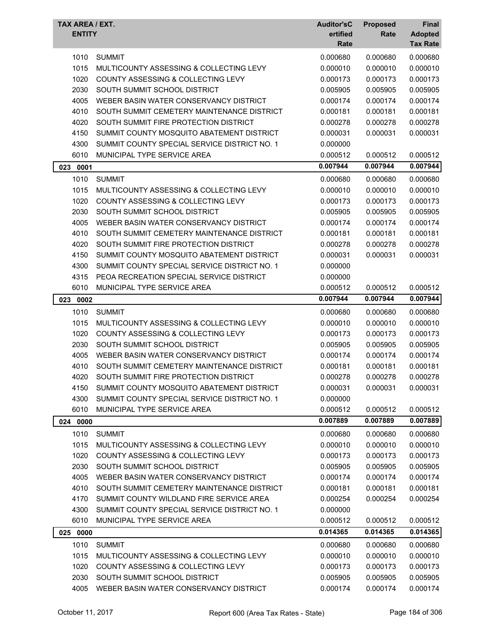| TAX AREA / EXT.<br><b>ENTITY</b> |                                               | <b>Auditor'sC</b><br>ertified<br>Rate | <b>Proposed</b><br>Rate | Final<br><b>Adopted</b><br><b>Tax Rate</b> |
|----------------------------------|-----------------------------------------------|---------------------------------------|-------------------------|--------------------------------------------|
| 1010                             | <b>SUMMIT</b>                                 | 0.000680                              | 0.000680                | 0.000680                                   |
| 1015                             | MULTICOUNTY ASSESSING & COLLECTING LEVY       | 0.000010                              | 0.000010                | 0.000010                                   |
| 1020                             | COUNTY ASSESSING & COLLECTING LEVY            | 0.000173                              | 0.000173                | 0.000173                                   |
| 2030                             | SOUTH SUMMIT SCHOOL DISTRICT                  | 0.005905                              | 0.005905                | 0.005905                                   |
| 4005                             | WEBER BASIN WATER CONSERVANCY DISTRICT        | 0.000174                              | 0.000174                | 0.000174                                   |
| 4010                             | SOUTH SUMMIT CEMETERY MAINTENANCE DISTRICT    | 0.000181                              | 0.000181                | 0.000181                                   |
| 4020                             | SOUTH SUMMIT FIRE PROTECTION DISTRICT         | 0.000278                              | 0.000278                | 0.000278                                   |
| 4150                             | SUMMIT COUNTY MOSQUITO ABATEMENT DISTRICT     | 0.000031                              | 0.000031                | 0.000031                                   |
| 4300                             | SUMMIT COUNTY SPECIAL SERVICE DISTRICT NO. 1  | 0.000000                              |                         |                                            |
| 6010                             | MUNICIPAL TYPE SERVICE AREA                   | 0.000512                              | 0.000512                | 0.000512                                   |
| 023<br>0001                      |                                               | 0.007944                              | 0.007944                | 0.007944                                   |
| 1010                             | <b>SUMMIT</b>                                 | 0.000680                              | 0.000680                | 0.000680                                   |
| 1015                             | MULTICOUNTY ASSESSING & COLLECTING LEVY       | 0.000010                              | 0.000010                | 0.000010                                   |
| 1020                             | <b>COUNTY ASSESSING &amp; COLLECTING LEVY</b> | 0.000173                              | 0.000173                | 0.000173                                   |
| 2030                             | SOUTH SUMMIT SCHOOL DISTRICT                  | 0.005905                              | 0.005905                | 0.005905                                   |
| 4005                             | WEBER BASIN WATER CONSERVANCY DISTRICT        | 0.000174                              | 0.000174                | 0.000174                                   |
| 4010                             | SOUTH SUMMIT CEMETERY MAINTENANCE DISTRICT    | 0.000181                              | 0.000181                | 0.000181                                   |
| 4020                             | SOUTH SUMMIT FIRE PROTECTION DISTRICT         | 0.000278                              | 0.000278                | 0.000278                                   |
| 4150                             | SUMMIT COUNTY MOSQUITO ABATEMENT DISTRICT     | 0.000031                              | 0.000031                | 0.000031                                   |
| 4300                             | SUMMIT COUNTY SPECIAL SERVICE DISTRICT NO. 1  | 0.000000                              |                         |                                            |
| 4315                             | PEOA RECREATION SPECIAL SERVICE DISTRICT      | 0.000000                              |                         |                                            |
| 6010                             | MUNICIPAL TYPE SERVICE AREA                   | 0.000512                              | 0.000512                | 0.000512                                   |
| 023<br>0002                      |                                               | 0.007944                              | 0.007944                | 0.007944                                   |
| 1010                             | <b>SUMMIT</b>                                 | 0.000680                              | 0.000680                | 0.000680                                   |
| 1015                             | MULTICOUNTY ASSESSING & COLLECTING LEVY       | 0.000010                              | 0.000010                | 0.000010                                   |
| 1020                             | <b>COUNTY ASSESSING &amp; COLLECTING LEVY</b> | 0.000173                              | 0.000173                | 0.000173                                   |
| 2030                             | SOUTH SUMMIT SCHOOL DISTRICT                  | 0.005905                              | 0.005905                | 0.005905                                   |
| 4005                             | WEBER BASIN WATER CONSERVANCY DISTRICT        | 0.000174                              | 0.000174                | 0.000174                                   |
| 4010                             | SOUTH SUMMIT CEMETERY MAINTENANCE DISTRICT    | 0.000181                              | 0.000181                | 0.000181                                   |
| 4020                             | SOUTH SUMMIT FIRE PROTECTION DISTRICT         | 0.000278                              | 0.000278                | 0.000278                                   |
| 4150                             | SUMMIT COUNTY MOSQUITO ABATEMENT DISTRICT     | 0.000031                              | 0.000031                | 0.000031                                   |
| 4300                             | SUMMIT COUNTY SPECIAL SERVICE DISTRICT NO. 1  | 0.000000                              |                         |                                            |
| 6010                             | MUNICIPAL TYPE SERVICE AREA                   | 0.000512                              | 0.000512                | 0.000512                                   |
| 024 0000                         |                                               | 0.007889                              | 0.007889                | 0.007889                                   |
| 1010                             | <b>SUMMIT</b>                                 | 0.000680                              | 0.000680                | 0.000680                                   |
| 1015                             | MULTICOUNTY ASSESSING & COLLECTING LEVY       | 0.000010                              | 0.000010                | 0.000010                                   |
| 1020                             | COUNTY ASSESSING & COLLECTING LEVY            | 0.000173                              | 0.000173                | 0.000173                                   |
| 2030                             | SOUTH SUMMIT SCHOOL DISTRICT                  | 0.005905                              | 0.005905                | 0.005905                                   |
| 4005                             | WEBER BASIN WATER CONSERVANCY DISTRICT        | 0.000174                              | 0.000174                | 0.000174                                   |
| 4010                             | SOUTH SUMMIT CEMETERY MAINTENANCE DISTRICT    | 0.000181                              | 0.000181                | 0.000181                                   |
| 4170                             | SUMMIT COUNTY WILDLAND FIRE SERVICE AREA      | 0.000254                              | 0.000254                | 0.000254                                   |
| 4300                             | SUMMIT COUNTY SPECIAL SERVICE DISTRICT NO. 1  | 0.000000                              |                         |                                            |
| 6010                             | MUNICIPAL TYPE SERVICE AREA                   | 0.000512                              | 0.000512                | 0.000512                                   |
| 025 0000                         |                                               | 0.014365                              | 0.014365                | 0.014365                                   |
| 1010                             | <b>SUMMIT</b>                                 | 0.000680                              | 0.000680                | 0.000680                                   |
| 1015                             | MULTICOUNTY ASSESSING & COLLECTING LEVY       | 0.000010                              | 0.000010                | 0.000010                                   |
| 1020                             | COUNTY ASSESSING & COLLECTING LEVY            | 0.000173                              | 0.000173                | 0.000173                                   |
| 2030                             | SOUTH SUMMIT SCHOOL DISTRICT                  | 0.005905                              | 0.005905                | 0.005905                                   |
| 4005                             | WEBER BASIN WATER CONSERVANCY DISTRICT        | 0.000174                              | 0.000174                | 0.000174                                   |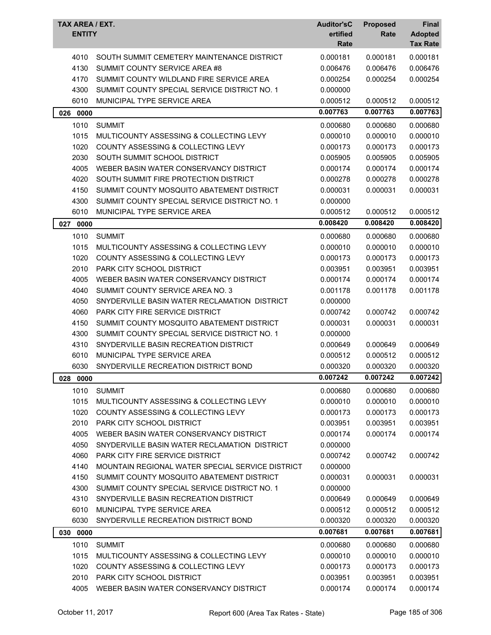| TAX AREA / EXT.<br><b>ENTITY</b> |                                                  | <b>Auditor'sC</b><br>ertified<br>Rate | <b>Proposed</b><br>Rate | <b>Final</b><br><b>Adopted</b><br><b>Tax Rate</b> |
|----------------------------------|--------------------------------------------------|---------------------------------------|-------------------------|---------------------------------------------------|
| 4010                             | SOUTH SUMMIT CEMETERY MAINTENANCE DISTRICT       | 0.000181                              | 0.000181                | 0.000181                                          |
| 4130                             | SUMMIT COUNTY SERVICE AREA #8                    | 0.006476                              | 0.006476                | 0.006476                                          |
| 4170                             | SUMMIT COUNTY WILDLAND FIRE SERVICE AREA         | 0.000254                              | 0.000254                | 0.000254                                          |
| 4300                             | SUMMIT COUNTY SPECIAL SERVICE DISTRICT NO. 1     | 0.000000                              |                         |                                                   |
| 6010                             | MUNICIPAL TYPE SERVICE AREA                      | 0.000512                              | 0.000512                | 0.000512                                          |
| 026 0000                         |                                                  | 0.007763                              | 0.007763                | 0.007763                                          |
| 1010                             | <b>SUMMIT</b>                                    | 0.000680                              | 0.000680                | 0.000680                                          |
| 1015                             | MULTICOUNTY ASSESSING & COLLECTING LEVY          | 0.000010                              | 0.000010                | 0.000010                                          |
| 1020                             | COUNTY ASSESSING & COLLECTING LEVY               | 0.000173                              | 0.000173                | 0.000173                                          |
| 2030                             | SOUTH SUMMIT SCHOOL DISTRICT                     | 0.005905                              | 0.005905                | 0.005905                                          |
| 4005                             | WEBER BASIN WATER CONSERVANCY DISTRICT           | 0.000174                              | 0.000174                | 0.000174                                          |
| 4020                             | SOUTH SUMMIT FIRE PROTECTION DISTRICT            | 0.000278                              | 0.000278                | 0.000278                                          |
| 4150                             | SUMMIT COUNTY MOSQUITO ABATEMENT DISTRICT        | 0.000031                              | 0.000031                | 0.000031                                          |
| 4300                             | SUMMIT COUNTY SPECIAL SERVICE DISTRICT NO. 1     | 0.000000                              |                         |                                                   |
| 6010                             | MUNICIPAL TYPE SERVICE AREA                      | 0.000512                              | 0.000512                | 0.000512                                          |
| 027<br>0000                      |                                                  | 0.008420                              | 0.008420                | 0.008420                                          |
| 1010                             | <b>SUMMIT</b>                                    | 0.000680                              | 0.000680                | 0.000680                                          |
| 1015                             | MULTICOUNTY ASSESSING & COLLECTING LEVY          | 0.000010                              | 0.000010                | 0.000010                                          |
| 1020                             | COUNTY ASSESSING & COLLECTING LEVY               | 0.000173                              | 0.000173                | 0.000173                                          |
| 2010                             | PARK CITY SCHOOL DISTRICT                        | 0.003951                              | 0.003951                | 0.003951                                          |
| 4005                             | WEBER BASIN WATER CONSERVANCY DISTRICT           | 0.000174                              | 0.000174                | 0.000174                                          |
| 4040                             | SUMMIT COUNTY SERVICE AREA NO. 3                 | 0.001178                              | 0.001178                | 0.001178                                          |
| 4050                             | SNYDERVILLE BASIN WATER RECLAMATION DISTRICT     | 0.000000                              |                         |                                                   |
| 4060                             | <b>PARK CITY FIRE SERVICE DISTRICT</b>           | 0.000742                              | 0.000742                | 0.000742                                          |
| 4150                             | SUMMIT COUNTY MOSQUITO ABATEMENT DISTRICT        | 0.000031                              | 0.000031                | 0.000031                                          |
| 4300                             | SUMMIT COUNTY SPECIAL SERVICE DISTRICT NO. 1     | 0.000000                              |                         |                                                   |
| 4310                             | SNYDERVILLE BASIN RECREATION DISTRICT            | 0.000649                              | 0.000649                | 0.000649                                          |
| 6010                             | MUNICIPAL TYPE SERVICE AREA                      | 0.000512                              | 0.000512                | 0.000512                                          |
| 6030                             | SNYDERVILLE RECREATION DISTRICT BOND             | 0.000320                              | 0.000320                | 0.000320                                          |
| 028 0000                         |                                                  | 0.007242                              | 0.007242                | 0.007242                                          |
| 1010                             | <b>SUMMIT</b>                                    | 0.000680                              | 0.000680                | 0.000680                                          |
| 1015                             | MULTICOUNTY ASSESSING & COLLECTING LEVY          | 0.000010                              | 0.000010                | 0.000010                                          |
| 1020                             | COUNTY ASSESSING & COLLECTING LEVY               | 0.000173                              | 0.000173                | 0.000173                                          |
| 2010                             | PARK CITY SCHOOL DISTRICT                        | 0.003951                              | 0.003951                | 0.003951                                          |
| 4005                             | WEBER BASIN WATER CONSERVANCY DISTRICT           | 0.000174                              | 0.000174                | 0.000174                                          |
| 4050                             | SNYDERVILLE BASIN WATER RECLAMATION DISTRICT     | 0.000000                              |                         |                                                   |
| 4060                             | PARK CITY FIRE SERVICE DISTRICT                  | 0.000742                              | 0.000742                | 0.000742                                          |
| 4140                             | MOUNTAIN REGIONAL WATER SPECIAL SERVICE DISTRICT | 0.000000                              |                         |                                                   |
| 4150                             | SUMMIT COUNTY MOSQUITO ABATEMENT DISTRICT        | 0.000031                              | 0.000031                | 0.000031                                          |
| 4300                             | SUMMIT COUNTY SPECIAL SERVICE DISTRICT NO. 1     | 0.000000                              |                         |                                                   |
| 4310                             | SNYDERVILLE BASIN RECREATION DISTRICT            | 0.000649                              | 0.000649                | 0.000649                                          |
| 6010                             | MUNICIPAL TYPE SERVICE AREA                      | 0.000512                              | 0.000512                | 0.000512                                          |
| 6030                             | SNYDERVILLE RECREATION DISTRICT BOND             | 0.000320                              | 0.000320                | 0.000320                                          |
| 030 0000                         |                                                  | 0.007681                              | 0.007681                | 0.007681                                          |
| 1010                             | <b>SUMMIT</b>                                    | 0.000680                              | 0.000680                | 0.000680                                          |
| 1015                             | MULTICOUNTY ASSESSING & COLLECTING LEVY          | 0.000010                              | 0.000010                | 0.000010                                          |
| 1020                             | COUNTY ASSESSING & COLLECTING LEVY               | 0.000173                              | 0.000173                | 0.000173                                          |
| 2010                             | PARK CITY SCHOOL DISTRICT                        | 0.003951                              | 0.003951                | 0.003951                                          |
| 4005                             | WEBER BASIN WATER CONSERVANCY DISTRICT           | 0.000174                              | 0.000174                | 0.000174                                          |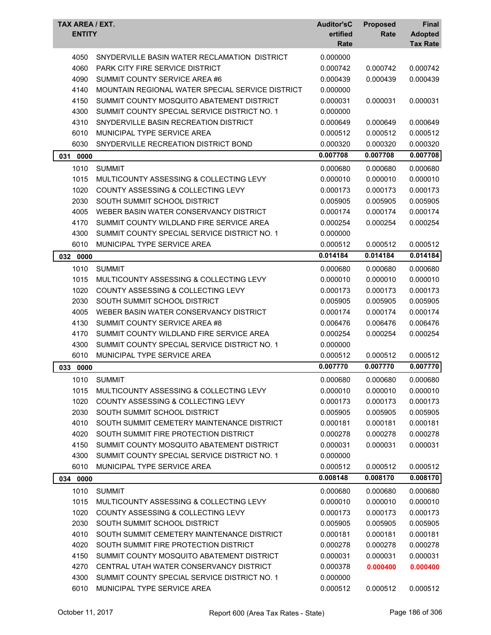| TAX AREA / EXT.<br><b>ENTITY</b> |                                                  | <b>Auditor'sC</b><br>ertified<br>Rate | <b>Proposed</b><br>Rate | Final<br><b>Adopted</b><br><b>Tax Rate</b> |
|----------------------------------|--------------------------------------------------|---------------------------------------|-------------------------|--------------------------------------------|
|                                  |                                                  |                                       |                         |                                            |
| 4050                             | SNYDERVILLE BASIN WATER RECLAMATION DISTRICT     | 0.000000                              |                         |                                            |
| 4060                             | PARK CITY FIRE SERVICE DISTRICT                  | 0.000742                              | 0.000742                | 0.000742                                   |
| 4090                             | SUMMIT COUNTY SERVICE AREA #6                    | 0.000439                              | 0.000439                | 0.000439                                   |
| 4140                             | MOUNTAIN REGIONAL WATER SPECIAL SERVICE DISTRICT | 0.000000                              |                         |                                            |
| 4150                             | SUMMIT COUNTY MOSQUITO ABATEMENT DISTRICT        | 0.000031                              | 0.000031                | 0.000031                                   |
| 4300                             | SUMMIT COUNTY SPECIAL SERVICE DISTRICT NO. 1     | 0.000000                              |                         |                                            |
| 4310                             | SNYDERVILLE BASIN RECREATION DISTRICT            | 0.000649                              | 0.000649                | 0.000649                                   |
| 6010                             | MUNICIPAL TYPE SERVICE AREA                      | 0.000512                              | 0.000512                | 0.000512                                   |
| 6030                             | SNYDERVILLE RECREATION DISTRICT BOND             | 0.000320                              | 0.000320                | 0.000320                                   |
| 031<br>0000                      |                                                  | 0.007708                              | 0.007708                | 0.007708                                   |
| 1010                             | <b>SUMMIT</b>                                    | 0.000680                              | 0.000680                | 0.000680                                   |
| 1015                             | MULTICOUNTY ASSESSING & COLLECTING LEVY          | 0.000010                              | 0.000010                | 0.000010                                   |
| 1020                             | <b>COUNTY ASSESSING &amp; COLLECTING LEVY</b>    | 0.000173                              | 0.000173                | 0.000173                                   |
| 2030                             | SOUTH SUMMIT SCHOOL DISTRICT                     | 0.005905                              | 0.005905                | 0.005905                                   |
| 4005                             | WEBER BASIN WATER CONSERVANCY DISTRICT           | 0.000174                              | 0.000174                | 0.000174                                   |
| 4170                             | SUMMIT COUNTY WILDLAND FIRE SERVICE AREA         | 0.000254                              | 0.000254                | 0.000254                                   |
| 4300                             | SUMMIT COUNTY SPECIAL SERVICE DISTRICT NO. 1     | 0.000000                              |                         |                                            |
| 6010                             | MUNICIPAL TYPE SERVICE AREA                      | 0.000512                              | 0.000512                | 0.000512                                   |
| 032 0000                         |                                                  | 0.014184                              | 0.014184                | 0.014184                                   |
| 1010                             | <b>SUMMIT</b>                                    | 0.000680                              | 0.000680                | 0.000680                                   |
| 1015                             | MULTICOUNTY ASSESSING & COLLECTING LEVY          | 0.000010                              | 0.000010                | 0.000010                                   |
| 1020                             | COUNTY ASSESSING & COLLECTING LEVY               | 0.000173                              | 0.000173                | 0.000173                                   |
| 2030                             | SOUTH SUMMIT SCHOOL DISTRICT                     | 0.005905                              | 0.005905                | 0.005905                                   |
| 4005                             | WEBER BASIN WATER CONSERVANCY DISTRICT           | 0.000174                              | 0.000174                | 0.000174                                   |
| 4130                             | SUMMIT COUNTY SERVICE AREA #8                    | 0.006476                              | 0.006476                | 0.006476                                   |
| 4170                             | SUMMIT COUNTY WILDLAND FIRE SERVICE AREA         | 0.000254                              | 0.000254                | 0.000254                                   |
| 4300                             | SUMMIT COUNTY SPECIAL SERVICE DISTRICT NO. 1     | 0.000000                              |                         |                                            |
| 6010                             | MUNICIPAL TYPE SERVICE AREA                      | 0.000512                              | 0.000512                | 0.000512                                   |
| 033<br>0000                      |                                                  | 0.007770                              | 0.007770                | 0.007770                                   |
| 1010                             | <b>SUMMIT</b>                                    | 0.000680                              | 0.000680                | 0.000680                                   |
| 1015                             | MULTICOUNTY ASSESSING & COLLECTING LEVY          | 0.000010                              | 0.000010                | 0.000010                                   |
| 1020                             | COUNTY ASSESSING & COLLECTING LEVY               | 0.000173                              | 0.000173                | 0.000173                                   |
| 2030                             | SOUTH SUMMIT SCHOOL DISTRICT                     | 0.005905                              | 0.005905                | 0.005905                                   |
| 4010                             | SOUTH SUMMIT CEMETERY MAINTENANCE DISTRICT       | 0.000181                              | 0.000181                | 0.000181                                   |
| 4020                             | SOUTH SUMMIT FIRE PROTECTION DISTRICT            | 0.000278                              | 0.000278                | 0.000278                                   |
| 4150                             | SUMMIT COUNTY MOSQUITO ABATEMENT DISTRICT        | 0.000031                              | 0.000031                | 0.000031                                   |
| 4300                             | SUMMIT COUNTY SPECIAL SERVICE DISTRICT NO. 1     | 0.000000                              |                         |                                            |
| 6010                             | MUNICIPAL TYPE SERVICE AREA                      | 0.000512                              | 0.000512                | 0.000512                                   |
| 034 0000                         |                                                  | 0.008148                              | 0.008170                | 0.008170                                   |
| 1010                             | <b>SUMMIT</b>                                    | 0.000680                              | 0.000680                | 0.000680                                   |
| 1015                             | MULTICOUNTY ASSESSING & COLLECTING LEVY          | 0.000010                              | 0.000010                | 0.000010                                   |
| 1020                             | COUNTY ASSESSING & COLLECTING LEVY               | 0.000173                              | 0.000173                | 0.000173                                   |
| 2030                             | SOUTH SUMMIT SCHOOL DISTRICT                     | 0.005905                              | 0.005905                | 0.005905                                   |
| 4010                             | SOUTH SUMMIT CEMETERY MAINTENANCE DISTRICT       | 0.000181                              | 0.000181                | 0.000181                                   |
| 4020                             | SOUTH SUMMIT FIRE PROTECTION DISTRICT            | 0.000278                              | 0.000278                | 0.000278                                   |
| 4150                             | SUMMIT COUNTY MOSQUITO ABATEMENT DISTRICT        | 0.000031                              | 0.000031                | 0.000031                                   |
| 4270                             | CENTRAL UTAH WATER CONSERVANCY DISTRICT          | 0.000378                              | 0.000400                | 0.000400                                   |
| 4300                             | SUMMIT COUNTY SPECIAL SERVICE DISTRICT NO. 1     | 0.000000                              |                         |                                            |
| 6010                             | MUNICIPAL TYPE SERVICE AREA                      | 0.000512                              | 0.000512                | 0.000512                                   |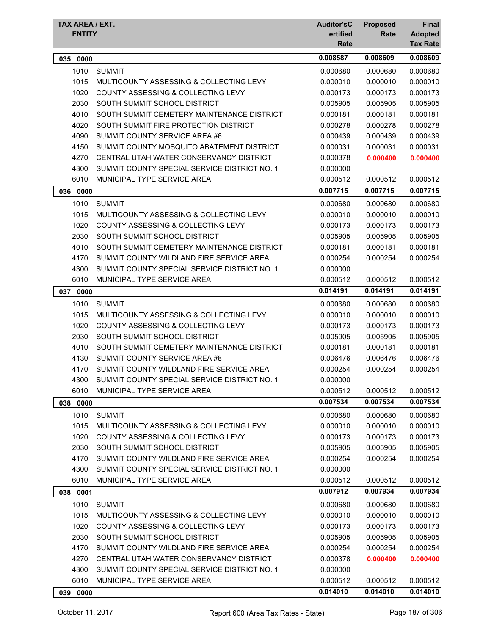| TAX AREA / EXT.<br><b>ENTITY</b> |                                               | <b>Auditor'sC</b><br>ertified<br>Rate | <b>Proposed</b><br>Rate | Final<br><b>Adopted</b><br><b>Tax Rate</b> |
|----------------------------------|-----------------------------------------------|---------------------------------------|-------------------------|--------------------------------------------|
| 0000<br>035                      |                                               | 0.008587                              | 0.008609                | 0.008609                                   |
| 1010                             | <b>SUMMIT</b>                                 | 0.000680                              | 0.000680                | 0.000680                                   |
| 1015                             | MULTICOUNTY ASSESSING & COLLECTING LEVY       | 0.000010                              | 0.000010                | 0.000010                                   |
| 1020                             | <b>COUNTY ASSESSING &amp; COLLECTING LEVY</b> | 0.000173                              | 0.000173                | 0.000173                                   |
| 2030                             | SOUTH SUMMIT SCHOOL DISTRICT                  | 0.005905                              | 0.005905                | 0.005905                                   |
| 4010                             | SOUTH SUMMIT CEMETERY MAINTENANCE DISTRICT    | 0.000181                              | 0.000181                | 0.000181                                   |
| 4020                             | SOUTH SUMMIT FIRE PROTECTION DISTRICT         | 0.000278                              | 0.000278                | 0.000278                                   |
| 4090                             | SUMMIT COUNTY SERVICE AREA #6                 | 0.000439                              | 0.000439                | 0.000439                                   |
| 4150                             | SUMMIT COUNTY MOSQUITO ABATEMENT DISTRICT     | 0.000031                              | 0.000031                | 0.000031                                   |
| 4270                             | CENTRAL UTAH WATER CONSERVANCY DISTRICT       | 0.000378                              | 0.000400                | 0.000400                                   |
| 4300                             | SUMMIT COUNTY SPECIAL SERVICE DISTRICT NO. 1  | 0.000000                              |                         |                                            |
| 6010                             | MUNICIPAL TYPE SERVICE AREA                   | 0.000512                              | 0.000512                | 0.000512                                   |
| 036 0000                         |                                               | 0.007715                              | 0.007715                | 0.007715                                   |
| 1010                             | <b>SUMMIT</b>                                 | 0.000680                              | 0.000680                | 0.000680                                   |
| 1015                             | MULTICOUNTY ASSESSING & COLLECTING LEVY       | 0.000010                              | 0.000010                | 0.000010                                   |
| 1020                             | COUNTY ASSESSING & COLLECTING LEVY            | 0.000173                              | 0.000173                | 0.000173                                   |
| 2030                             | SOUTH SUMMIT SCHOOL DISTRICT                  | 0.005905                              | 0.005905                | 0.005905                                   |
| 4010                             | SOUTH SUMMIT CEMETERY MAINTENANCE DISTRICT    | 0.000181                              | 0.000181                | 0.000181                                   |
| 4170                             | SUMMIT COUNTY WILDLAND FIRE SERVICE AREA      | 0.000254                              | 0.000254                | 0.000254                                   |
| 4300                             | SUMMIT COUNTY SPECIAL SERVICE DISTRICT NO. 1  | 0.000000                              |                         |                                            |
| 6010                             | MUNICIPAL TYPE SERVICE AREA                   | 0.000512                              | 0.000512                | 0.000512                                   |
| 037 0000                         |                                               | 0.014191                              | 0.014191                | 0.014191                                   |
| 1010                             | <b>SUMMIT</b>                                 | 0.000680                              | 0.000680                | 0.000680                                   |
| 1015                             | MULTICOUNTY ASSESSING & COLLECTING LEVY       | 0.000010                              | 0.000010                | 0.000010                                   |
| 1020                             | <b>COUNTY ASSESSING &amp; COLLECTING LEVY</b> | 0.000173                              | 0.000173                | 0.000173                                   |
| 2030                             | SOUTH SUMMIT SCHOOL DISTRICT                  | 0.005905                              | 0.005905                | 0.005905                                   |
| 4010                             | SOUTH SUMMIT CEMETERY MAINTENANCE DISTRICT    | 0.000181                              | 0.000181                | 0.000181                                   |
| 4130                             | SUMMIT COUNTY SERVICE AREA #8                 | 0.006476                              | 0.006476                | 0.006476                                   |
| 4170                             | SUMMIT COUNTY WILDLAND FIRE SERVICE AREA      | 0.000254                              | 0.000254                | 0.000254                                   |
| 4300                             | SUMMIT COUNTY SPECIAL SERVICE DISTRICT NO. 1  | 0.000000                              |                         |                                            |
| 6010                             | MUNICIPAL TYPE SERVICE AREA                   | 0.000512                              | 0.000512                | 0.000512                                   |
| 038<br>0000                      |                                               | 0.007534                              | 0.007534                | 0.007534                                   |
| 1010                             | <b>SUMMIT</b>                                 | 0.000680                              | 0.000680                | 0.000680                                   |
| 1015                             | MULTICOUNTY ASSESSING & COLLECTING LEVY       | 0.000010                              | 0.000010                | 0.000010                                   |
| 1020                             | COUNTY ASSESSING & COLLECTING LEVY            | 0.000173                              | 0.000173                | 0.000173                                   |
| 2030                             | SOUTH SUMMIT SCHOOL DISTRICT                  | 0.005905                              | 0.005905                | 0.005905                                   |
| 4170                             | SUMMIT COUNTY WILDLAND FIRE SERVICE AREA      | 0.000254                              | 0.000254                | 0.000254                                   |
| 4300                             | SUMMIT COUNTY SPECIAL SERVICE DISTRICT NO. 1  | 0.000000                              |                         |                                            |
| 6010                             | MUNICIPAL TYPE SERVICE AREA                   | 0.000512                              | 0.000512                | 0.000512                                   |
| 038 0001                         |                                               | 0.007912                              | 0.007934                | 0.007934                                   |
| 1010                             | <b>SUMMIT</b>                                 | 0.000680                              | 0.000680                | 0.000680                                   |
| 1015                             | MULTICOUNTY ASSESSING & COLLECTING LEVY       | 0.000010                              | 0.000010                | 0.000010                                   |
| 1020                             | <b>COUNTY ASSESSING &amp; COLLECTING LEVY</b> | 0.000173                              | 0.000173                | 0.000173                                   |
| 2030                             | SOUTH SUMMIT SCHOOL DISTRICT                  | 0.005905                              | 0.005905                | 0.005905                                   |
| 4170                             | SUMMIT COUNTY WILDLAND FIRE SERVICE AREA      | 0.000254                              | 0.000254                | 0.000254                                   |
| 4270                             | CENTRAL UTAH WATER CONSERVANCY DISTRICT       | 0.000378                              | 0.000400                | 0.000400                                   |
| 4300                             | SUMMIT COUNTY SPECIAL SERVICE DISTRICT NO. 1  | 0.000000                              |                         |                                            |
| 6010                             | MUNICIPAL TYPE SERVICE AREA                   | 0.000512                              | 0.000512                | 0.000512                                   |
| 039 0000                         |                                               | 0.014010                              | 0.014010                | 0.014010                                   |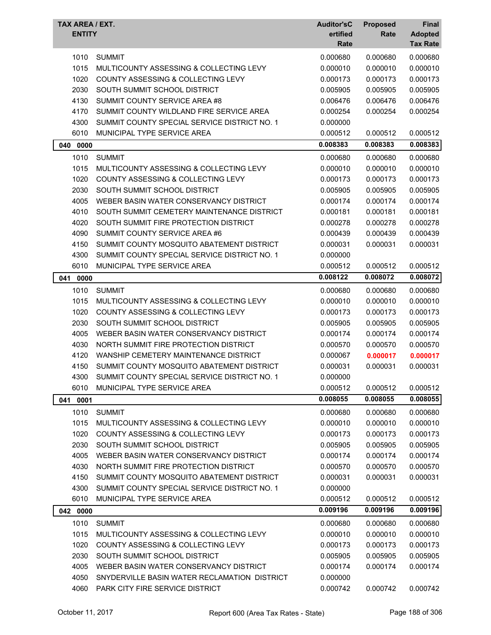| TAX AREA / EXT.<br><b>ENTITY</b> |                                               | <b>Auditor'sC</b><br>ertified<br>Rate | <b>Proposed</b><br>Rate | Final<br><b>Adopted</b><br><b>Tax Rate</b> |
|----------------------------------|-----------------------------------------------|---------------------------------------|-------------------------|--------------------------------------------|
| 1010                             | <b>SUMMIT</b>                                 | 0.000680                              | 0.000680                | 0.000680                                   |
| 1015                             | MULTICOUNTY ASSESSING & COLLECTING LEVY       | 0.000010                              | 0.000010                | 0.000010                                   |
| 1020                             | COUNTY ASSESSING & COLLECTING LEVY            | 0.000173                              | 0.000173                | 0.000173                                   |
| 2030                             | SOUTH SUMMIT SCHOOL DISTRICT                  | 0.005905                              | 0.005905                | 0.005905                                   |
| 4130                             | SUMMIT COUNTY SERVICE AREA #8                 | 0.006476                              | 0.006476                | 0.006476                                   |
| 4170                             | SUMMIT COUNTY WILDLAND FIRE SERVICE AREA      | 0.000254                              | 0.000254                | 0.000254                                   |
| 4300                             | SUMMIT COUNTY SPECIAL SERVICE DISTRICT NO. 1  | 0.000000                              |                         |                                            |
| 6010                             | MUNICIPAL TYPE SERVICE AREA                   | 0.000512                              | 0.000512                | 0.000512                                   |
| 040<br>0000                      |                                               | 0.008383                              | 0.008383                | 0.008383                                   |
| 1010                             | <b>SUMMIT</b>                                 | 0.000680                              | 0.000680                | 0.000680                                   |
| 1015                             | MULTICOUNTY ASSESSING & COLLECTING LEVY       | 0.000010                              | 0.000010                | 0.000010                                   |
| 1020                             | <b>COUNTY ASSESSING &amp; COLLECTING LEVY</b> | 0.000173                              | 0.000173                | 0.000173                                   |
| 2030                             | SOUTH SUMMIT SCHOOL DISTRICT                  | 0.005905                              | 0.005905                | 0.005905                                   |
| 4005                             | WEBER BASIN WATER CONSERVANCY DISTRICT        | 0.000174                              | 0.000174                | 0.000174                                   |
| 4010                             | SOUTH SUMMIT CEMETERY MAINTENANCE DISTRICT    | 0.000181                              | 0.000181                | 0.000181                                   |
| 4020                             | SOUTH SUMMIT FIRE PROTECTION DISTRICT         | 0.000278                              | 0.000278                | 0.000278                                   |
| 4090                             | SUMMIT COUNTY SERVICE AREA #6                 | 0.000439                              | 0.000439                | 0.000439                                   |
| 4150                             | SUMMIT COUNTY MOSQUITO ABATEMENT DISTRICT     | 0.000031                              | 0.000031                | 0.000031                                   |
| 4300                             | SUMMIT COUNTY SPECIAL SERVICE DISTRICT NO. 1  | 0.000000                              |                         |                                            |
| 6010                             | MUNICIPAL TYPE SERVICE AREA                   | 0.000512                              | 0.000512                | 0.000512                                   |
| 041<br>0000                      |                                               | 0.008122                              | 0.008072                | 0.008072                                   |
| 1010                             | <b>SUMMIT</b>                                 | 0.000680                              | 0.000680                | 0.000680                                   |
| 1015                             | MULTICOUNTY ASSESSING & COLLECTING LEVY       | 0.000010                              | 0.000010                | 0.000010                                   |
| 1020                             | <b>COUNTY ASSESSING &amp; COLLECTING LEVY</b> | 0.000173                              | 0.000173                | 0.000173                                   |
| 2030                             | SOUTH SUMMIT SCHOOL DISTRICT                  | 0.005905                              | 0.005905                | 0.005905                                   |
| 4005                             | WEBER BASIN WATER CONSERVANCY DISTRICT        | 0.000174                              | 0.000174                | 0.000174                                   |
| 4030                             | NORTH SUMMIT FIRE PROTECTION DISTRICT         | 0.000570                              | 0.000570                | 0.000570                                   |
| 4120                             | WANSHIP CEMETERY MAINTENANCE DISTRICT         | 0.000067                              | 0.000017                | 0.000017                                   |
| 4150                             | SUMMIT COUNTY MOSQUITO ABATEMENT DISTRICT     | 0.000031                              | 0.000031                | 0.000031                                   |
| 4300                             | SUMMIT COUNTY SPECIAL SERVICE DISTRICT NO. 1  | 0.000000                              |                         |                                            |
| 6010                             | MUNICIPAL TYPE SERVICE AREA                   | 0.000512                              | 0.000512                | 0.000512                                   |
| 041 0001                         |                                               | 0.008055                              | 0.008055                | 0.008055                                   |
| 1010                             | <b>SUMMIT</b>                                 | 0.000680                              | 0.000680                | 0.000680                                   |
| 1015                             | MULTICOUNTY ASSESSING & COLLECTING LEVY       | 0.000010                              | 0.000010                | 0.000010                                   |
| 1020                             | COUNTY ASSESSING & COLLECTING LEVY            | 0.000173                              | 0.000173                | 0.000173                                   |
| 2030                             | SOUTH SUMMIT SCHOOL DISTRICT                  | 0.005905                              | 0.005905                | 0.005905                                   |
| 4005                             | WEBER BASIN WATER CONSERVANCY DISTRICT        | 0.000174                              | 0.000174                | 0.000174                                   |
| 4030                             | NORTH SUMMIT FIRE PROTECTION DISTRICT         | 0.000570                              | 0.000570                | 0.000570                                   |
| 4150                             | SUMMIT COUNTY MOSQUITO ABATEMENT DISTRICT     | 0.000031                              | 0.000031                | 0.000031                                   |
| 4300                             | SUMMIT COUNTY SPECIAL SERVICE DISTRICT NO. 1  | 0.000000                              |                         |                                            |
| 6010                             | MUNICIPAL TYPE SERVICE AREA                   | 0.000512                              | 0.000512                | 0.000512                                   |
| 042 0000                         |                                               | 0.009196                              | 0.009196                | 0.009196                                   |
| 1010                             | <b>SUMMIT</b>                                 | 0.000680                              | 0.000680                | 0.000680                                   |
| 1015                             | MULTICOUNTY ASSESSING & COLLECTING LEVY       | 0.000010                              | 0.000010                | 0.000010                                   |
| 1020                             | COUNTY ASSESSING & COLLECTING LEVY            | 0.000173                              | 0.000173                | 0.000173                                   |
| 2030                             | SOUTH SUMMIT SCHOOL DISTRICT                  | 0.005905                              | 0.005905                | 0.005905                                   |
| 4005                             | WEBER BASIN WATER CONSERVANCY DISTRICT        | 0.000174                              | 0.000174                | 0.000174                                   |
| 4050                             | SNYDERVILLE BASIN WATER RECLAMATION DISTRICT  | 0.000000                              |                         |                                            |
| 4060                             | PARK CITY FIRE SERVICE DISTRICT               | 0.000742                              | 0.000742                | 0.000742                                   |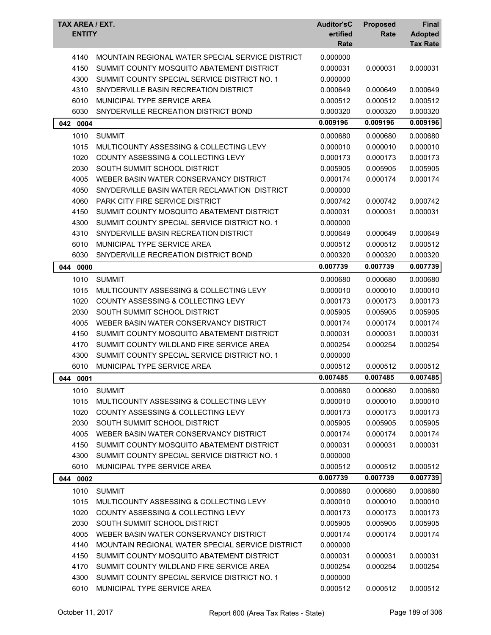| TAX AREA / EXT.<br><b>ENTITY</b> |                                                  | <b>Auditor'sC</b><br>ertified<br>Rate | <b>Proposed</b><br>Rate | Final<br><b>Adopted</b><br><b>Tax Rate</b> |
|----------------------------------|--------------------------------------------------|---------------------------------------|-------------------------|--------------------------------------------|
| 4140                             | MOUNTAIN REGIONAL WATER SPECIAL SERVICE DISTRICT | 0.000000                              |                         |                                            |
| 4150                             | SUMMIT COUNTY MOSQUITO ABATEMENT DISTRICT        | 0.000031                              | 0.000031                | 0.000031                                   |
| 4300                             | SUMMIT COUNTY SPECIAL SERVICE DISTRICT NO. 1     | 0.000000                              |                         |                                            |
| 4310                             | SNYDERVILLE BASIN RECREATION DISTRICT            | 0.000649                              | 0.000649                | 0.000649                                   |
| 6010                             | MUNICIPAL TYPE SERVICE AREA                      | 0.000512                              | 0.000512                | 0.000512                                   |
| 6030                             | SNYDERVILLE RECREATION DISTRICT BOND             | 0.000320                              | 0.000320                | 0.000320                                   |
| 042 0004                         |                                                  | 0.009196                              | 0.009196                | 0.009196                                   |
| 1010                             | <b>SUMMIT</b>                                    | 0.000680                              | 0.000680                | 0.000680                                   |
| 1015                             | MULTICOUNTY ASSESSING & COLLECTING LEVY          | 0.000010                              | 0.000010                | 0.000010                                   |
| 1020                             | COUNTY ASSESSING & COLLECTING LEVY               | 0.000173                              | 0.000173                | 0.000173                                   |
| 2030                             | SOUTH SUMMIT SCHOOL DISTRICT                     | 0.005905                              | 0.005905                | 0.005905                                   |
| 4005                             | WEBER BASIN WATER CONSERVANCY DISTRICT           | 0.000174                              | 0.000174                | 0.000174                                   |
| 4050                             | SNYDERVILLE BASIN WATER RECLAMATION DISTRICT     | 0.000000                              |                         |                                            |
| 4060                             | <b>PARK CITY FIRE SERVICE DISTRICT</b>           | 0.000742                              | 0.000742                | 0.000742                                   |
| 4150                             | SUMMIT COUNTY MOSQUITO ABATEMENT DISTRICT        | 0.000031                              | 0.000031                | 0.000031                                   |
| 4300                             | SUMMIT COUNTY SPECIAL SERVICE DISTRICT NO. 1     | 0.000000                              |                         |                                            |
| 4310                             | SNYDERVILLE BASIN RECREATION DISTRICT            | 0.000649                              | 0.000649                | 0.000649                                   |
| 6010                             | MUNICIPAL TYPE SERVICE AREA                      | 0.000512                              | 0.000512                | 0.000512                                   |
| 6030                             | SNYDERVILLE RECREATION DISTRICT BOND             | 0.000320                              | 0.000320                | 0.000320                                   |
| 044<br>0000                      |                                                  | 0.007739                              | 0.007739                | 0.007739                                   |
| 1010                             | <b>SUMMIT</b>                                    | 0.000680                              | 0.000680                | 0.000680                                   |
| 1015                             | MULTICOUNTY ASSESSING & COLLECTING LEVY          | 0.000010                              | 0.000010                | 0.000010                                   |
| 1020                             | COUNTY ASSESSING & COLLECTING LEVY               | 0.000173                              | 0.000173                | 0.000173                                   |
| 2030                             | SOUTH SUMMIT SCHOOL DISTRICT                     | 0.005905                              | 0.005905                | 0.005905                                   |
| 4005                             | WEBER BASIN WATER CONSERVANCY DISTRICT           | 0.000174                              | 0.000174                | 0.000174                                   |
| 4150                             | SUMMIT COUNTY MOSQUITO ABATEMENT DISTRICT        | 0.000031                              | 0.000031                | 0.000031                                   |
| 4170                             | SUMMIT COUNTY WILDLAND FIRE SERVICE AREA         | 0.000254                              | 0.000254                | 0.000254                                   |
| 4300                             | SUMMIT COUNTY SPECIAL SERVICE DISTRICT NO. 1     | 0.000000                              |                         |                                            |
| 6010                             | MUNICIPAL TYPE SERVICE AREA                      | 0.000512                              | 0.000512                | 0.000512                                   |
| 044<br>0001                      |                                                  | 0.007485                              | 0.007485                | 0.007485                                   |
| 1010                             | <b>SUMMIT</b>                                    | 0.000680                              | 0.000680                | 0.000680                                   |
| 1015                             | MULTICOUNTY ASSESSING & COLLECTING LEVY          | 0.000010                              | 0.000010                | 0.000010                                   |
| 1020                             | COUNTY ASSESSING & COLLECTING LEVY               | 0.000173                              | 0.000173                | 0.000173                                   |
| 2030                             | SOUTH SUMMIT SCHOOL DISTRICT                     | 0.005905                              | 0.005905                | 0.005905                                   |
| 4005                             | WEBER BASIN WATER CONSERVANCY DISTRICT           | 0.000174                              | 0.000174                | 0.000174                                   |
| 4150                             | SUMMIT COUNTY MOSQUITO ABATEMENT DISTRICT        | 0.000031                              | 0.000031                | 0.000031                                   |
| 4300                             | SUMMIT COUNTY SPECIAL SERVICE DISTRICT NO. 1     | 0.000000                              |                         |                                            |
| 6010                             | MUNICIPAL TYPE SERVICE AREA                      | 0.000512                              | 0.000512                | 0.000512                                   |
| 044 0002                         |                                                  | 0.007739                              | 0.007739                | 0.007739                                   |
| 1010                             | <b>SUMMIT</b>                                    | 0.000680                              | 0.000680                | 0.000680                                   |
| 1015                             | MULTICOUNTY ASSESSING & COLLECTING LEVY          | 0.000010                              | 0.000010                | 0.000010                                   |
| 1020                             | COUNTY ASSESSING & COLLECTING LEVY               | 0.000173                              | 0.000173                | 0.000173                                   |
| 2030                             | SOUTH SUMMIT SCHOOL DISTRICT                     | 0.005905                              | 0.005905                | 0.005905                                   |
| 4005                             | WEBER BASIN WATER CONSERVANCY DISTRICT           | 0.000174                              | 0.000174                | 0.000174                                   |
| 4140                             | MOUNTAIN REGIONAL WATER SPECIAL SERVICE DISTRICT | 0.000000                              |                         |                                            |
| 4150                             | SUMMIT COUNTY MOSQUITO ABATEMENT DISTRICT        | 0.000031                              | 0.000031                | 0.000031                                   |
| 4170                             | SUMMIT COUNTY WILDLAND FIRE SERVICE AREA         | 0.000254                              | 0.000254                | 0.000254                                   |
| 4300                             | SUMMIT COUNTY SPECIAL SERVICE DISTRICT NO. 1     | 0.000000                              |                         |                                            |
| 6010                             | MUNICIPAL TYPE SERVICE AREA                      | 0.000512                              | 0.000512                | 0.000512                                   |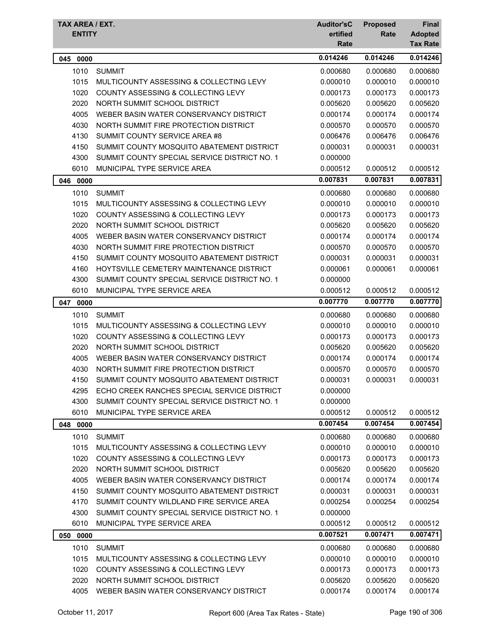| TAX AREA / EXT.<br><b>ENTITY</b> |                                               | <b>Auditor'sC</b><br>ertified<br>Rate | <b>Proposed</b><br>Rate | Final<br><b>Adopted</b><br><b>Tax Rate</b> |
|----------------------------------|-----------------------------------------------|---------------------------------------|-------------------------|--------------------------------------------|
| 045<br>0000                      |                                               | 0.014246                              | 0.014246                | 0.014246                                   |
| 1010                             | <b>SUMMIT</b>                                 | 0.000680                              | 0.000680                | 0.000680                                   |
| 1015                             | MULTICOUNTY ASSESSING & COLLECTING LEVY       | 0.000010                              | 0.000010                | 0.000010                                   |
| 1020                             | <b>COUNTY ASSESSING &amp; COLLECTING LEVY</b> | 0.000173                              | 0.000173                | 0.000173                                   |
| 2020                             | NORTH SUMMIT SCHOOL DISTRICT                  | 0.005620                              | 0.005620                | 0.005620                                   |
| 4005                             | WEBER BASIN WATER CONSERVANCY DISTRICT        | 0.000174                              | 0.000174                | 0.000174                                   |
| 4030                             | NORTH SUMMIT FIRE PROTECTION DISTRICT         | 0.000570                              | 0.000570                | 0.000570                                   |
| 4130                             | SUMMIT COUNTY SERVICE AREA #8                 | 0.006476                              | 0.006476                | 0.006476                                   |
| 4150                             | SUMMIT COUNTY MOSQUITO ABATEMENT DISTRICT     | 0.000031                              | 0.000031                | 0.000031                                   |
| 4300                             | SUMMIT COUNTY SPECIAL SERVICE DISTRICT NO. 1  | 0.000000                              |                         |                                            |
| 6010                             | MUNICIPAL TYPE SERVICE AREA                   | 0.000512                              | 0.000512                | 0.000512                                   |
| 046<br>0000                      |                                               | 0.007831                              | 0.007831                | 0.007831                                   |
| 1010                             | <b>SUMMIT</b>                                 | 0.000680                              | 0.000680                | 0.000680                                   |
| 1015                             | MULTICOUNTY ASSESSING & COLLECTING LEVY       | 0.000010                              | 0.000010                | 0.000010                                   |
| 1020                             | COUNTY ASSESSING & COLLECTING LEVY            | 0.000173                              | 0.000173                | 0.000173                                   |
| 2020                             | NORTH SUMMIT SCHOOL DISTRICT                  | 0.005620                              | 0.005620                | 0.005620                                   |
| 4005                             | WEBER BASIN WATER CONSERVANCY DISTRICT        | 0.000174                              | 0.000174                | 0.000174                                   |
| 4030                             | NORTH SUMMIT FIRE PROTECTION DISTRICT         | 0.000570                              | 0.000570                | 0.000570                                   |
| 4150                             | SUMMIT COUNTY MOSQUITO ABATEMENT DISTRICT     | 0.000031                              | 0.000031                | 0.000031                                   |
| 4160                             | HOYTSVILLE CEMETERY MAINTENANCE DISTRICT      | 0.000061                              | 0.000061                | 0.000061                                   |
| 4300                             | SUMMIT COUNTY SPECIAL SERVICE DISTRICT NO. 1  | 0.000000                              |                         |                                            |
| 6010                             | MUNICIPAL TYPE SERVICE AREA                   | 0.000512                              | 0.000512                | 0.000512                                   |
| 047<br>0000                      |                                               | 0.007770                              | 0.007770                | 0.007770                                   |
| 1010                             | <b>SUMMIT</b>                                 | 0.000680                              | 0.000680                | 0.000680                                   |
| 1015                             | MULTICOUNTY ASSESSING & COLLECTING LEVY       | 0.000010                              | 0.000010                | 0.000010                                   |
| 1020                             | <b>COUNTY ASSESSING &amp; COLLECTING LEVY</b> | 0.000173                              | 0.000173                | 0.000173                                   |
| 2020                             | NORTH SUMMIT SCHOOL DISTRICT                  | 0.005620                              | 0.005620                | 0.005620                                   |
| 4005                             | WEBER BASIN WATER CONSERVANCY DISTRICT        | 0.000174                              | 0.000174                | 0.000174                                   |
| 4030                             | NORTH SUMMIT FIRE PROTECTION DISTRICT         | 0.000570                              | 0.000570                | 0.000570                                   |
| 4150                             | SUMMIT COUNTY MOSQUITO ABATEMENT DISTRICT     | 0.000031                              | 0.000031                | 0.000031                                   |
| 4295                             | ECHO CREEK RANCHES SPECIAL SERVICE DISTRICT   | 0.000000                              |                         |                                            |
| 4300                             | SUMMIT COUNTY SPECIAL SERVICE DISTRICT NO. 1  | 0.000000                              |                         |                                            |
| 6010                             | MUNICIPAL TYPE SERVICE AREA                   | 0.000512                              | 0.000512                | 0.000512                                   |
| 048 0000                         |                                               | 0.007454                              | 0.007454                | 0.007454                                   |
| 1010                             | <b>SUMMIT</b>                                 | 0.000680                              | 0.000680                | 0.000680                                   |
| 1015                             | MULTICOUNTY ASSESSING & COLLECTING LEVY       | 0.000010                              | 0.000010                | 0.000010                                   |
| 1020                             | COUNTY ASSESSING & COLLECTING LEVY            | 0.000173                              | 0.000173                | 0.000173                                   |
| 2020                             | NORTH SUMMIT SCHOOL DISTRICT                  | 0.005620                              | 0.005620                | 0.005620                                   |
| 4005                             | WEBER BASIN WATER CONSERVANCY DISTRICT        | 0.000174                              | 0.000174                | 0.000174                                   |
| 4150                             | SUMMIT COUNTY MOSQUITO ABATEMENT DISTRICT     | 0.000031                              | 0.000031                | 0.000031                                   |
| 4170                             | SUMMIT COUNTY WILDLAND FIRE SERVICE AREA      | 0.000254                              | 0.000254                | 0.000254                                   |
| 4300                             | SUMMIT COUNTY SPECIAL SERVICE DISTRICT NO. 1  | 0.000000                              |                         |                                            |
| 6010                             | MUNICIPAL TYPE SERVICE AREA                   | 0.000512                              | 0.000512                | 0.000512                                   |
| 050 0000                         |                                               | 0.007521                              | 0.007471                | 0.007471                                   |
| 1010                             | <b>SUMMIT</b>                                 | 0.000680                              | 0.000680                | 0.000680                                   |
| 1015                             | MULTICOUNTY ASSESSING & COLLECTING LEVY       | 0.000010                              | 0.000010                | 0.000010                                   |
| 1020                             | <b>COUNTY ASSESSING &amp; COLLECTING LEVY</b> | 0.000173                              | 0.000173                | 0.000173                                   |
| 2020                             | NORTH SUMMIT SCHOOL DISTRICT                  | 0.005620                              | 0.005620                | 0.005620                                   |
| 4005                             | WEBER BASIN WATER CONSERVANCY DISTRICT        | 0.000174                              | 0.000174                | 0.000174                                   |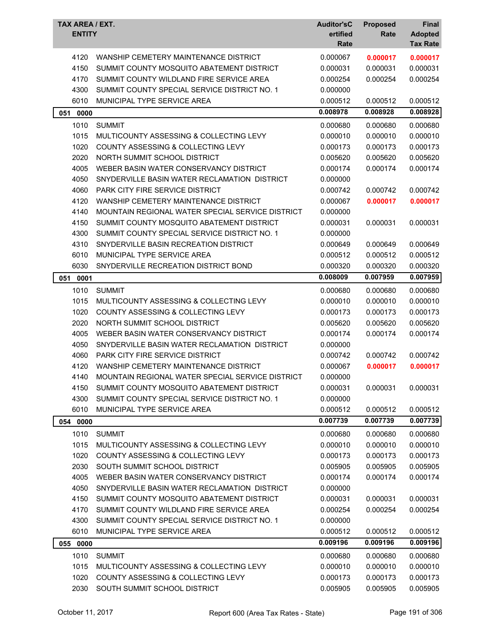| TAX AREA / EXT.<br><b>ENTITY</b> |                                                       | <b>Auditor'sC</b><br>ertified<br>Rate | <b>Proposed</b><br><b>Rate</b> | <b>Final</b><br><b>Adopted</b><br><b>Tax Rate</b> |
|----------------------------------|-------------------------------------------------------|---------------------------------------|--------------------------------|---------------------------------------------------|
| 4120                             | WANSHIP CEMETERY MAINTENANCE DISTRICT                 | 0.000067                              | 0.000017                       | 0.000017                                          |
| 4150                             | SUMMIT COUNTY MOSQUITO ABATEMENT DISTRICT             | 0.000031                              | 0.000031                       | 0.000031                                          |
| 4170                             | SUMMIT COUNTY WILDLAND FIRE SERVICE AREA              | 0.000254                              | 0.000254                       | 0.000254                                          |
| 4300                             | SUMMIT COUNTY SPECIAL SERVICE DISTRICT NO. 1          | 0.000000                              |                                |                                                   |
| 6010                             | MUNICIPAL TYPE SERVICE AREA                           | 0.000512                              | 0.000512                       | 0.000512                                          |
| 0000<br>051                      |                                                       | 0.008978                              | 0.008928                       | 0.008928                                          |
| 1010                             | <b>SUMMIT</b>                                         | 0.000680                              | 0.000680                       | 0.000680                                          |
| 1015                             | MULTICOUNTY ASSESSING & COLLECTING LEVY               | 0.000010                              | 0.000010                       | 0.000010                                          |
| 1020                             | COUNTY ASSESSING & COLLECTING LEVY                    | 0.000173                              | 0.000173                       | 0.000173                                          |
| 2020                             | NORTH SUMMIT SCHOOL DISTRICT                          | 0.005620                              | 0.005620                       | 0.005620                                          |
| 4005                             | WEBER BASIN WATER CONSERVANCY DISTRICT                | 0.000174                              | 0.000174                       | 0.000174                                          |
| 4050                             | SNYDERVILLE BASIN WATER RECLAMATION DISTRICT          | 0.000000                              |                                |                                                   |
| 4060                             | PARK CITY FIRE SERVICE DISTRICT                       | 0.000742                              | 0.000742                       | 0.000742                                          |
| 4120                             | WANSHIP CEMETERY MAINTENANCE DISTRICT                 | 0.000067                              | 0.000017                       | 0.000017                                          |
| 4140                             | MOUNTAIN REGIONAL WATER SPECIAL SERVICE DISTRICT      | 0.000000                              |                                |                                                   |
| 4150                             | SUMMIT COUNTY MOSQUITO ABATEMENT DISTRICT             | 0.000031                              | 0.000031                       | 0.000031                                          |
| 4300                             | SUMMIT COUNTY SPECIAL SERVICE DISTRICT NO. 1          | 0.000000                              |                                |                                                   |
| 4310                             | SNYDERVILLE BASIN RECREATION DISTRICT                 | 0.000649                              | 0.000649                       | 0.000649                                          |
| 6010                             | MUNICIPAL TYPE SERVICE AREA                           | 0.000512                              | 0.000512                       | 0.000512                                          |
| 6030                             | SNYDERVILLE RECREATION DISTRICT BOND                  | 0.000320                              | 0.000320                       | 0.000320                                          |
| 051<br>0001                      |                                                       | 0.008009                              | 0.007959                       | 0.007959                                          |
| 1010                             | <b>SUMMIT</b>                                         | 0.000680                              | 0.000680                       | 0.000680                                          |
| 1015                             | MULTICOUNTY ASSESSING & COLLECTING LEVY               | 0.000010                              | 0.000010                       | 0.000010                                          |
| 1020                             | <b>COUNTY ASSESSING &amp; COLLECTING LEVY</b>         | 0.000173                              | 0.000173                       | 0.000173                                          |
| 2020                             | NORTH SUMMIT SCHOOL DISTRICT                          | 0.005620                              | 0.005620                       | 0.005620                                          |
| 4005                             | WEBER BASIN WATER CONSERVANCY DISTRICT                | 0.000174                              | 0.000174                       | 0.000174                                          |
| 4050                             | SNYDERVILLE BASIN WATER RECLAMATION DISTRICT          | 0.000000                              |                                |                                                   |
| 4060                             | PARK CITY FIRE SERVICE DISTRICT                       | 0.000742                              | 0.000742                       | 0.000742                                          |
| 4120                             | WANSHIP CEMETERY MAINTENANCE DISTRICT                 | 0.000067                              | 0.000017                       | 0.000017                                          |
|                                  | 4140 MOUNTAIN REGIONAL WATER SPECIAL SERVICE DISTRICT | 0.000000                              |                                |                                                   |
| 4150                             | SUMMIT COUNTY MOSQUITO ABATEMENT DISTRICT             | 0.000031                              | 0.000031                       | 0.000031                                          |
| 4300                             | SUMMIT COUNTY SPECIAL SERVICE DISTRICT NO. 1          | 0.000000                              |                                |                                                   |
| 6010                             | MUNICIPAL TYPE SERVICE AREA                           | 0.000512                              | 0.000512                       | 0.000512                                          |
| 054 0000                         |                                                       | 0.007739                              | 0.007739                       | 0.007739                                          |
| 1010                             | <b>SUMMIT</b>                                         | 0.000680                              | 0.000680                       | 0.000680                                          |
| 1015                             | MULTICOUNTY ASSESSING & COLLECTING LEVY               | 0.000010                              | 0.000010                       | 0.000010                                          |
| 1020                             | COUNTY ASSESSING & COLLECTING LEVY                    | 0.000173                              | 0.000173                       | 0.000173                                          |
| 2030                             | SOUTH SUMMIT SCHOOL DISTRICT                          | 0.005905                              | 0.005905                       | 0.005905                                          |
| 4005                             | WEBER BASIN WATER CONSERVANCY DISTRICT                | 0.000174                              | 0.000174                       | 0.000174                                          |
| 4050                             | SNYDERVILLE BASIN WATER RECLAMATION DISTRICT          | 0.000000                              |                                |                                                   |
| 4150                             | SUMMIT COUNTY MOSQUITO ABATEMENT DISTRICT             | 0.000031                              | 0.000031                       | 0.000031                                          |
| 4170                             | SUMMIT COUNTY WILDLAND FIRE SERVICE AREA              | 0.000254                              | 0.000254                       | 0.000254                                          |
| 4300                             | SUMMIT COUNTY SPECIAL SERVICE DISTRICT NO. 1          | 0.000000                              |                                |                                                   |
| 6010                             | MUNICIPAL TYPE SERVICE AREA                           | 0.000512                              | 0.000512                       | 0.000512                                          |
| 055 0000                         |                                                       | 0.009196                              | 0.009196                       | 0.009196                                          |
| 1010                             | <b>SUMMIT</b>                                         | 0.000680                              | 0.000680                       | 0.000680                                          |
| 1015                             | MULTICOUNTY ASSESSING & COLLECTING LEVY               | 0.000010                              | 0.000010                       | 0.000010                                          |
| 1020                             | COUNTY ASSESSING & COLLECTING LEVY                    | 0.000173                              | 0.000173                       | 0.000173                                          |
| 2030                             | SOUTH SUMMIT SCHOOL DISTRICT                          | 0.005905                              | 0.005905                       | 0.005905                                          |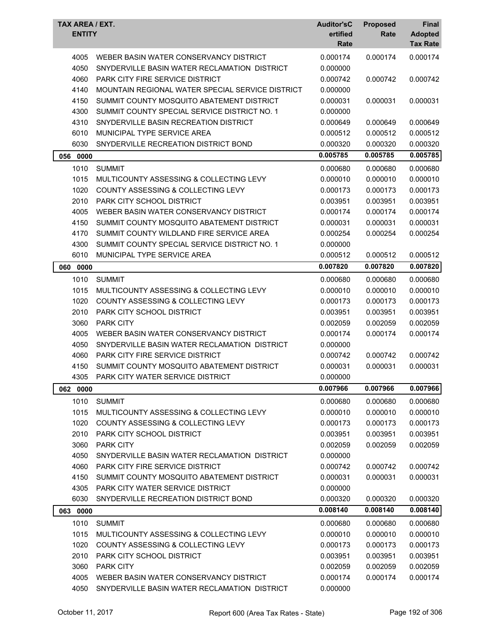| <b>TAX AREA / EXT.</b><br><b>ENTITY</b> |                                                  | <b>Auditor'sC</b><br>ertified<br>Rate | <b>Proposed</b><br>Rate | Final<br><b>Adopted</b><br><b>Tax Rate</b> |
|-----------------------------------------|--------------------------------------------------|---------------------------------------|-------------------------|--------------------------------------------|
| 4005                                    | WEBER BASIN WATER CONSERVANCY DISTRICT           | 0.000174                              | 0.000174                | 0.000174                                   |
| 4050                                    | SNYDERVILLE BASIN WATER RECLAMATION DISTRICT     | 0.000000                              |                         |                                            |
| 4060                                    | <b>PARK CITY FIRE SERVICE DISTRICT</b>           | 0.000742                              | 0.000742                | 0.000742                                   |
| 4140                                    | MOUNTAIN REGIONAL WATER SPECIAL SERVICE DISTRICT | 0.000000                              |                         |                                            |
| 4150                                    | SUMMIT COUNTY MOSQUITO ABATEMENT DISTRICT        | 0.000031                              | 0.000031                | 0.000031                                   |
| 4300                                    | SUMMIT COUNTY SPECIAL SERVICE DISTRICT NO. 1     | 0.000000                              |                         |                                            |
| 4310                                    | SNYDERVILLE BASIN RECREATION DISTRICT            | 0.000649                              | 0.000649                | 0.000649                                   |
| 6010                                    | MUNICIPAL TYPE SERVICE AREA                      | 0.000512                              | 0.000512                | 0.000512                                   |
| 6030                                    | SNYDERVILLE RECREATION DISTRICT BOND             | 0.000320                              | 0.000320                | 0.000320                                   |
| 056 0000                                |                                                  | 0.005785                              | 0.005785                | 0.005785                                   |
| 1010                                    | <b>SUMMIT</b>                                    | 0.000680                              | 0.000680                | 0.000680                                   |
| 1015                                    | MULTICOUNTY ASSESSING & COLLECTING LEVY          | 0.000010                              | 0.000010                | 0.000010                                   |
| 1020                                    | COUNTY ASSESSING & COLLECTING LEVY               | 0.000173                              | 0.000173                | 0.000173                                   |
| 2010                                    | PARK CITY SCHOOL DISTRICT                        | 0.003951                              | 0.003951                | 0.003951                                   |
| 4005                                    | WEBER BASIN WATER CONSERVANCY DISTRICT           | 0.000174                              | 0.000174                | 0.000174                                   |
| 4150                                    | SUMMIT COUNTY MOSQUITO ABATEMENT DISTRICT        | 0.000031                              | 0.000031                | 0.000031                                   |
| 4170                                    | SUMMIT COUNTY WILDLAND FIRE SERVICE AREA         | 0.000254                              | 0.000254                | 0.000254                                   |
| 4300                                    | SUMMIT COUNTY SPECIAL SERVICE DISTRICT NO. 1     | 0.000000                              |                         |                                            |
| 6010                                    | MUNICIPAL TYPE SERVICE AREA                      | 0.000512                              | 0.000512                | 0.000512                                   |
| 060 0000                                |                                                  | 0.007820                              | 0.007820                | 0.007820                                   |
| 1010                                    | <b>SUMMIT</b>                                    | 0.000680                              | 0.000680                | 0.000680                                   |
| 1015                                    | MULTICOUNTY ASSESSING & COLLECTING LEVY          | 0.000010                              | 0.000010                | 0.000010                                   |
| 1020                                    | COUNTY ASSESSING & COLLECTING LEVY               | 0.000173                              | 0.000173                | 0.000173                                   |
| 2010                                    | <b>PARK CITY SCHOOL DISTRICT</b>                 | 0.003951                              | 0.003951                | 0.003951                                   |
| 3060                                    | <b>PARK CITY</b>                                 | 0.002059                              | 0.002059                | 0.002059                                   |
| 4005                                    | WEBER BASIN WATER CONSERVANCY DISTRICT           | 0.000174                              | 0.000174                | 0.000174                                   |
| 4050                                    | SNYDERVILLE BASIN WATER RECLAMATION DISTRICT     | 0.000000                              |                         |                                            |
| 4060                                    | PARK CITY FIRE SERVICE DISTRICT                  | 0.000742                              | 0.000742                | 0.000742                                   |
| 4150                                    | SUMMIT COUNTY MOSQUITO ABATEMENT DISTRICT        | 0.000031                              | 0.000031                | 0.000031                                   |
| 4305                                    | PARK CITY WATER SERVICE DISTRICT                 | 0.000000                              |                         |                                            |
| 062 0000                                |                                                  | 0.007966                              | 0.007966                | 0.007966                                   |
| 1010                                    | <b>SUMMIT</b>                                    | 0.000680                              | 0.000680                | 0.000680                                   |
| 1015                                    | MULTICOUNTY ASSESSING & COLLECTING LEVY          | 0.000010                              | 0.000010                | 0.000010                                   |
| 1020                                    | COUNTY ASSESSING & COLLECTING LEVY               | 0.000173                              | 0.000173                | 0.000173                                   |
| 2010                                    | PARK CITY SCHOOL DISTRICT                        | 0.003951                              | 0.003951                | 0.003951                                   |
| 3060                                    | <b>PARK CITY</b>                                 | 0.002059                              | 0.002059                | 0.002059                                   |
| 4050                                    | SNYDERVILLE BASIN WATER RECLAMATION DISTRICT     | 0.000000                              |                         |                                            |
| 4060                                    | <b>PARK CITY FIRE SERVICE DISTRICT</b>           | 0.000742                              | 0.000742                | 0.000742                                   |
| 4150                                    | SUMMIT COUNTY MOSQUITO ABATEMENT DISTRICT        | 0.000031                              | 0.000031                | 0.000031                                   |
| 4305                                    | PARK CITY WATER SERVICE DISTRICT                 | 0.000000                              |                         |                                            |
| 6030                                    | SNYDERVILLE RECREATION DISTRICT BOND             | 0.000320                              | 0.000320                | 0.000320                                   |
| 063 0000                                |                                                  | 0.008140                              | 0.008140                | 0.008140                                   |
| 1010                                    | <b>SUMMIT</b>                                    | 0.000680                              | 0.000680                | 0.000680                                   |
| 1015                                    | MULTICOUNTY ASSESSING & COLLECTING LEVY          | 0.000010                              | 0.000010                | 0.000010                                   |
| 1020                                    | COUNTY ASSESSING & COLLECTING LEVY               | 0.000173                              | 0.000173                | 0.000173                                   |
| 2010                                    | PARK CITY SCHOOL DISTRICT                        | 0.003951                              | 0.003951                | 0.003951                                   |
| 3060                                    | <b>PARK CITY</b>                                 | 0.002059                              | 0.002059                | 0.002059                                   |
| 4005                                    | WEBER BASIN WATER CONSERVANCY DISTRICT           | 0.000174                              | 0.000174                | 0.000174                                   |
| 4050                                    | SNYDERVILLE BASIN WATER RECLAMATION DISTRICT     | 0.000000                              |                         |                                            |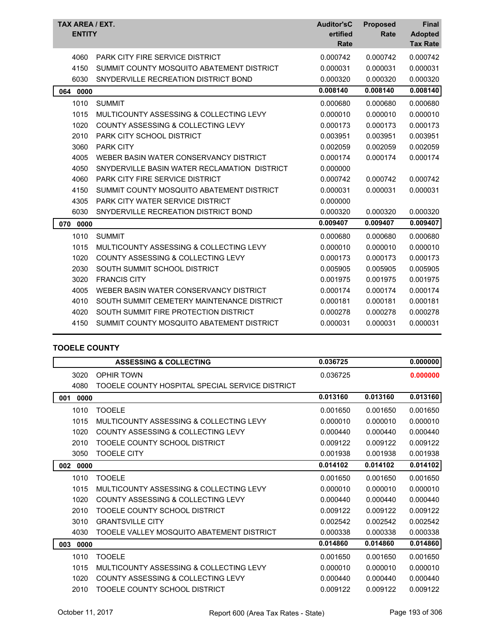| TAX AREA / EXT.<br><b>ENTITY</b> |                                               | <b>Auditor'sC</b><br>ertified<br>Rate | <b>Proposed</b><br>Rate | <b>Final</b><br><b>Adopted</b><br><b>Tax Rate</b> |
|----------------------------------|-----------------------------------------------|---------------------------------------|-------------------------|---------------------------------------------------|
| 4060                             | PARK CITY FIRE SERVICE DISTRICT               | 0.000742                              | 0.000742                | 0.000742                                          |
| 4150                             | SUMMIT COUNTY MOSQUITO ABATEMENT DISTRICT     | 0.000031                              | 0.000031                | 0.000031                                          |
| 6030                             | SNYDERVILLE RECREATION DISTRICT BOND          | 0.000320                              | 0.000320                | 0.000320                                          |
| 0000<br>064                      |                                               | 0.008140                              | 0.008140                | 0.008140                                          |
| 1010                             | <b>SUMMIT</b>                                 | 0.000680                              | 0.000680                | 0.000680                                          |
| 1015                             | MULTICOUNTY ASSESSING & COLLECTING LEVY       | 0.000010                              | 0.000010                | 0.000010                                          |
| 1020                             | <b>COUNTY ASSESSING &amp; COLLECTING LEVY</b> | 0.000173                              | 0.000173                | 0.000173                                          |
| 2010                             | <b>PARK CITY SCHOOL DISTRICT</b>              | 0.003951                              | 0.003951                | 0.003951                                          |
| 3060                             | <b>PARK CITY</b>                              | 0.002059                              | 0.002059                | 0.002059                                          |
| 4005                             | WEBER BASIN WATER CONSERVANCY DISTRICT        | 0.000174                              | 0.000174                | 0.000174                                          |
| 4050                             | SNYDERVILLE BASIN WATER RECLAMATION DISTRICT  | 0.000000                              |                         |                                                   |
| 4060                             | <b>PARK CITY FIRE SERVICE DISTRICT</b>        | 0.000742                              | 0.000742                | 0.000742                                          |
| 4150                             | SUMMIT COUNTY MOSQUITO ABATEMENT DISTRICT     | 0.000031                              | 0.000031                | 0.000031                                          |
| 4305                             | <b>PARK CITY WATER SERVICE DISTRICT</b>       | 0.000000                              |                         |                                                   |
| 6030                             | SNYDERVILLE RECREATION DISTRICT BOND          | 0.000320                              | 0.000320                | 0.000320                                          |
| 070<br>0000                      |                                               | 0.009407                              | 0.009407                | 0.009407                                          |
| 1010                             | <b>SUMMIT</b>                                 | 0.000680                              | 0.000680                | 0.000680                                          |
| 1015                             | MULTICOUNTY ASSESSING & COLLECTING LEVY       | 0.000010                              | 0.000010                | 0.000010                                          |
| 1020                             | <b>COUNTY ASSESSING &amp; COLLECTING LEVY</b> | 0.000173                              | 0.000173                | 0.000173                                          |
| 2030                             | SOUTH SUMMIT SCHOOL DISTRICT                  | 0.005905                              | 0.005905                | 0.005905                                          |
| 3020                             | <b>FRANCIS CITY</b>                           | 0.001975                              | 0.001975                | 0.001975                                          |
| 4005                             | WEBER BASIN WATER CONSERVANCY DISTRICT        | 0.000174                              | 0.000174                | 0.000174                                          |
| 4010                             | SOUTH SUMMIT CEMETERY MAINTENANCE DISTRICT    | 0.000181                              | 0.000181                | 0.000181                                          |
| 4020                             | SOUTH SUMMIT FIRE PROTECTION DISTRICT         | 0.000278                              | 0.000278                | 0.000278                                          |
| 4150                             | SUMMIT COUNTY MOSQUITO ABATEMENT DISTRICT     | 0.000031                              | 0.000031                | 0.000031                                          |
|                                  |                                               |                                       |                         |                                                   |

## **TOOELE COUNTY**

|             | <b>ASSESSING &amp; COLLECTING</b>               | 0.036725 |          | 0.000000 |
|-------------|-------------------------------------------------|----------|----------|----------|
| 3020        | <b>OPHIR TOWN</b>                               | 0.036725 |          | 0.000000 |
| 4080        | TOOELE COUNTY HOSPITAL SPECIAL SERVICE DISTRICT |          |          |          |
| 0000<br>001 |                                                 | 0.013160 | 0.013160 | 0.013160 |
| 1010        | <b>TOOELE</b>                                   | 0.001650 | 0.001650 | 0.001650 |
| 1015        | MULTICOUNTY ASSESSING & COLLECTING LEVY         | 0.000010 | 0.000010 | 0.000010 |
| 1020        | COUNTY ASSESSING & COLLECTING LEVY              | 0.000440 | 0.000440 | 0.000440 |
| 2010        | TOOELE COUNTY SCHOOL DISTRICT                   | 0.009122 | 0.009122 | 0.009122 |
| 3050        | <b>TOOELE CITY</b>                              | 0.001938 | 0.001938 | 0.001938 |
| 0000<br>002 |                                                 | 0.014102 | 0.014102 | 0.014102 |
| 1010        | <b>TOOELE</b>                                   | 0.001650 | 0.001650 | 0.001650 |
| 1015        | MULTICOUNTY ASSESSING & COLLECTING LEVY         | 0.000010 | 0.000010 | 0.000010 |
| 1020        | <b>COUNTY ASSESSING &amp; COLLECTING LEVY</b>   | 0.000440 | 0.000440 | 0.000440 |
| 2010        | TOOELE COUNTY SCHOOL DISTRICT                   | 0.009122 | 0.009122 | 0.009122 |
| 3010        | <b>GRANTSVILLE CITY</b>                         | 0.002542 | 0.002542 | 0.002542 |
| 4030        | TOOELE VALLEY MOSQUITO ABATEMENT DISTRICT       | 0.000338 | 0.000338 | 0.000338 |
| 003<br>0000 |                                                 | 0.014860 | 0.014860 | 0.014860 |
| 1010        | <b>TOOELE</b>                                   | 0.001650 | 0.001650 | 0.001650 |
| 1015        | MULTICOUNTY ASSESSING & COLLECTING LEVY         | 0.000010 | 0.000010 | 0.000010 |
| 1020        | COUNTY ASSESSING & COLLECTING LEVY              | 0.000440 | 0.000440 | 0.000440 |
| 2010        | TOOELE COUNTY SCHOOL DISTRICT                   | 0.009122 | 0.009122 | 0.009122 |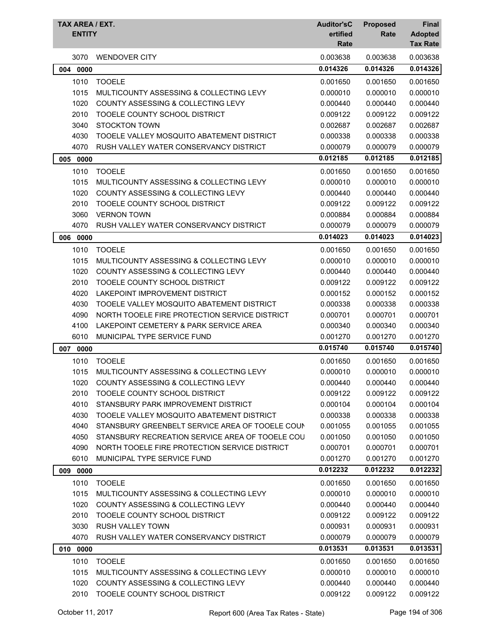| TAX AREA / EXT.<br><b>ENTITY</b> |                                                 | <b>Auditor'sC</b><br>ertified<br>Rate | <b>Proposed</b><br>Rate | <b>Final</b><br><b>Adopted</b><br><b>Tax Rate</b> |
|----------------------------------|-------------------------------------------------|---------------------------------------|-------------------------|---------------------------------------------------|
| 3070                             | <b>WENDOVER CITY</b>                            | 0.003638                              | 0.003638                | 0.003638                                          |
| 0000<br>004                      |                                                 | 0.014326                              | 0.014326                | 0.014326                                          |
| 1010                             | <b>TOOELE</b>                                   | 0.001650                              | 0.001650                | 0.001650                                          |
| 1015                             | MULTICOUNTY ASSESSING & COLLECTING LEVY         | 0.000010                              | 0.000010                | 0.000010                                          |
| 1020                             | COUNTY ASSESSING & COLLECTING LEVY              | 0.000440                              | 0.000440                | 0.000440                                          |
| 2010                             | TOOELE COUNTY SCHOOL DISTRICT                   | 0.009122                              | 0.009122                | 0.009122                                          |
| 3040                             | <b>STOCKTON TOWN</b>                            | 0.002687                              | 0.002687                | 0.002687                                          |
| 4030                             | TOOELE VALLEY MOSQUITO ABATEMENT DISTRICT       | 0.000338                              | 0.000338                | 0.000338                                          |
| 4070                             | RUSH VALLEY WATER CONSERVANCY DISTRICT          | 0.000079                              | 0.000079                | 0.000079                                          |
| 005 0000                         |                                                 | 0.012185                              | 0.012185                | 0.012185                                          |
| 1010                             | <b>TOOELE</b>                                   | 0.001650                              | 0.001650                | 0.001650                                          |
| 1015                             | MULTICOUNTY ASSESSING & COLLECTING LEVY         | 0.000010                              | 0.000010                | 0.000010                                          |
| 1020                             | COUNTY ASSESSING & COLLECTING LEVY              | 0.000440                              | 0.000440                | 0.000440                                          |
| 2010                             | TOOELE COUNTY SCHOOL DISTRICT                   | 0.009122                              | 0.009122                | 0.009122                                          |
| 3060                             | <b>VERNON TOWN</b>                              | 0.000884                              | 0.000884                | 0.000884                                          |
| 4070                             | RUSH VALLEY WATER CONSERVANCY DISTRICT          | 0.000079                              | 0.000079                | 0.000079                                          |
| 006<br>0000                      |                                                 | 0.014023                              | 0.014023                | 0.014023                                          |
| 1010                             | <b>TOOELE</b>                                   | 0.001650                              | 0.001650                | 0.001650                                          |
| 1015                             | MULTICOUNTY ASSESSING & COLLECTING LEVY         | 0.000010                              | 0.000010                | 0.000010                                          |
| 1020                             | COUNTY ASSESSING & COLLECTING LEVY              | 0.000440                              | 0.000440                | 0.000440                                          |
| 2010                             | TOOELE COUNTY SCHOOL DISTRICT                   | 0.009122                              | 0.009122                | 0.009122                                          |
| 4020                             | LAKEPOINT IMPROVEMENT DISTRICT                  | 0.000152                              | 0.000152                | 0.000152                                          |
| 4030                             | TOOELE VALLEY MOSQUITO ABATEMENT DISTRICT       | 0.000338                              | 0.000338                | 0.000338                                          |
| 4090                             | NORTH TOOELE FIRE PROTECTION SERVICE DISTRICT   | 0.000701                              | 0.000701                | 0.000701                                          |
| 4100                             | LAKEPOINT CEMETERY & PARK SERVICE AREA          | 0.000340                              | 0.000340                | 0.000340                                          |
| 6010                             | MUNICIPAL TYPE SERVICE FUND                     | 0.001270                              | 0.001270                | 0.001270                                          |
| 007<br>0000                      |                                                 | 0.015740                              | 0.015740                | 0.015740                                          |
| 1010                             | <b>TOOELE</b>                                   | 0.001650                              | 0.001650                | 0.001650                                          |
| 1015                             | MULTICOUNTY ASSESSING & COLLECTING LEVY         | 0.000010                              | 0.000010                | 0.000010                                          |
| 1020                             | COUNTY ASSESSING & COLLECTING LEVY              | 0.000440                              | 0.000440                | 0.000440                                          |
| 2010                             | TOOELE COUNTY SCHOOL DISTRICT                   | 0.009122                              | 0.009122                | 0.009122                                          |
| 4010                             | STANSBURY PARK IMPROVEMENT DISTRICT             | 0.000104                              | 0.000104                | 0.000104                                          |
| 4030                             | TOOELE VALLEY MOSQUITO ABATEMENT DISTRICT       | 0.000338                              | 0.000338                | 0.000338                                          |
| 4040                             | STANSBURY GREENBELT SERVICE AREA OF TOOELE COUN | 0.001055                              | 0.001055                | 0.001055                                          |
| 4050                             | STANSBURY RECREATION SERVICE AREA OF TOOELE COU | 0.001050                              | 0.001050                | 0.001050                                          |
| 4090                             | NORTH TOOELE FIRE PROTECTION SERVICE DISTRICT   | 0.000701                              | 0.000701                | 0.000701                                          |
| 6010                             | MUNICIPAL TYPE SERVICE FUND                     | 0.001270                              | 0.001270                | 0.001270                                          |
| 009 0000                         |                                                 | 0.012232                              | 0.012232                | 0.012232                                          |
| 1010                             | <b>TOOELE</b>                                   | 0.001650                              | 0.001650                | 0.001650                                          |
| 1015                             | MULTICOUNTY ASSESSING & COLLECTING LEVY         | 0.000010                              | 0.000010                | 0.000010                                          |
| 1020                             | COUNTY ASSESSING & COLLECTING LEVY              | 0.000440                              | 0.000440                | 0.000440                                          |
| 2010                             | TOOELE COUNTY SCHOOL DISTRICT                   | 0.009122                              | 0.009122                | 0.009122                                          |
| 3030                             | RUSH VALLEY TOWN                                | 0.000931                              | 0.000931                | 0.000931                                          |
| 4070                             | RUSH VALLEY WATER CONSERVANCY DISTRICT          | 0.000079                              | 0.000079                | 0.000079                                          |
| 010 0000                         |                                                 | 0.013531                              | 0.013531                | 0.013531                                          |
| 1010                             | <b>TOOELE</b>                                   | 0.001650                              | 0.001650                | 0.001650                                          |
| 1015                             | MULTICOUNTY ASSESSING & COLLECTING LEVY         | 0.000010                              | 0.000010                | 0.000010                                          |
| 1020                             | COUNTY ASSESSING & COLLECTING LEVY              | 0.000440                              | 0.000440                | 0.000440                                          |
| 2010                             | TOOELE COUNTY SCHOOL DISTRICT                   | 0.009122                              | 0.009122                | 0.009122                                          |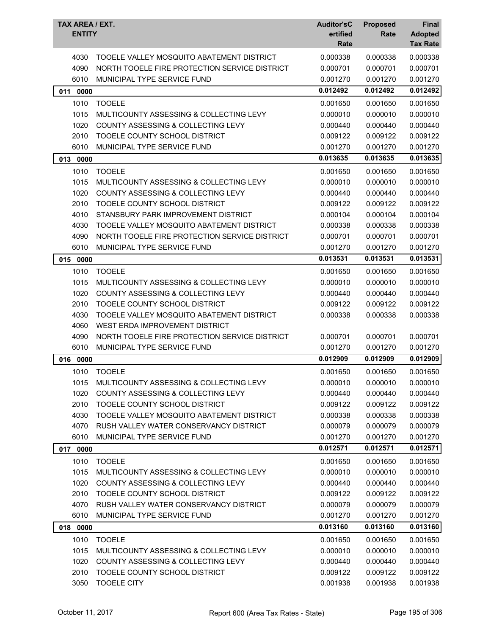| TAX AREA / EXT.<br><b>ENTITY</b> |                                               | <b>Auditor'sC</b><br>ertified<br>Rate | <b>Proposed</b><br>Rate | <b>Final</b><br><b>Adopted</b><br><b>Tax Rate</b> |
|----------------------------------|-----------------------------------------------|---------------------------------------|-------------------------|---------------------------------------------------|
| 4030                             | TOOELE VALLEY MOSQUITO ABATEMENT DISTRICT     | 0.000338                              | 0.000338                | 0.000338                                          |
| 4090                             | NORTH TOOELE FIRE PROTECTION SERVICE DISTRICT | 0.000701                              | 0.000701                | 0.000701                                          |
| 6010                             | MUNICIPAL TYPE SERVICE FUND                   | 0.001270                              | 0.001270                | 0.001270                                          |
| 011 0000                         |                                               | 0.012492                              | 0.012492                | 0.012492                                          |
| 1010                             | <b>TOOELE</b>                                 | 0.001650                              | 0.001650                | 0.001650                                          |
| 1015                             | MULTICOUNTY ASSESSING & COLLECTING LEVY       | 0.000010                              | 0.000010                | 0.000010                                          |
| 1020                             | COUNTY ASSESSING & COLLECTING LEVY            | 0.000440                              | 0.000440                | 0.000440                                          |
| 2010                             | TOOELE COUNTY SCHOOL DISTRICT                 | 0.009122                              | 0.009122                | 0.009122                                          |
| 6010                             | MUNICIPAL TYPE SERVICE FUND                   | 0.001270                              | 0.001270                | 0.001270                                          |
| 013 0000                         |                                               | 0.013635                              | 0.013635                | 0.013635                                          |
| 1010                             | <b>TOOELE</b>                                 | 0.001650                              | 0.001650                | 0.001650                                          |
| 1015                             | MULTICOUNTY ASSESSING & COLLECTING LEVY       | 0.000010                              | 0.000010                | 0.000010                                          |
| 1020                             | COUNTY ASSESSING & COLLECTING LEVY            | 0.000440                              | 0.000440                | 0.000440                                          |
| 2010                             | TOOELE COUNTY SCHOOL DISTRICT                 | 0.009122                              | 0.009122                | 0.009122                                          |
| 4010                             | STANSBURY PARK IMPROVEMENT DISTRICT           | 0.000104                              | 0.000104                | 0.000104                                          |
| 4030                             | TOOELE VALLEY MOSQUITO ABATEMENT DISTRICT     | 0.000338                              | 0.000338                | 0.000338                                          |
| 4090                             | NORTH TOOELE FIRE PROTECTION SERVICE DISTRICT | 0.000701                              | 0.000701                | 0.000701                                          |
| 6010                             | MUNICIPAL TYPE SERVICE FUND                   | 0.001270                              | 0.001270                | 0.001270                                          |
| 015<br>0000                      |                                               | 0.013531                              | 0.013531                | 0.013531                                          |
| 1010                             | <b>TOOELE</b>                                 | 0.001650                              | 0.001650                | 0.001650                                          |
| 1015                             | MULTICOUNTY ASSESSING & COLLECTING LEVY       | 0.000010                              | 0.000010                | 0.000010                                          |
| 1020                             | <b>COUNTY ASSESSING &amp; COLLECTING LEVY</b> | 0.000440                              | 0.000440                | 0.000440                                          |
| 2010                             | TOOELE COUNTY SCHOOL DISTRICT                 | 0.009122                              | 0.009122                | 0.009122                                          |
| 4030                             | TOOELE VALLEY MOSQUITO ABATEMENT DISTRICT     | 0.000338                              | 0.000338                | 0.000338                                          |
| 4060                             | WEST ERDA IMPROVEMENT DISTRICT                |                                       |                         |                                                   |
| 4090                             | NORTH TOOELE FIRE PROTECTION SERVICE DISTRICT | 0.000701                              | 0.000701                | 0.000701                                          |
| 6010                             | MUNICIPAL TYPE SERVICE FUND                   | 0.001270                              | 0.001270                | 0.001270                                          |
| 016 0000                         |                                               | 0.012909                              | 0.012909                | 0.012909                                          |
| 1010                             | <b>TOOELE</b>                                 | 0.001650                              | 0.001650                | 0.001650                                          |
| 1015                             | MULTICOUNTY ASSESSING & COLLECTING LEVY       | 0.000010                              | 0.000010                | 0.000010                                          |
| 1020                             | COUNTY ASSESSING & COLLECTING LEVY            | 0.000440                              | 0.000440                | 0.000440                                          |
| 2010                             | TOOELE COUNTY SCHOOL DISTRICT                 | 0.009122                              | 0.009122                | 0.009122                                          |
| 4030                             | TOOELE VALLEY MOSQUITO ABATEMENT DISTRICT     | 0.000338                              | 0.000338                | 0.000338                                          |
| 4070                             | RUSH VALLEY WATER CONSERVANCY DISTRICT        | 0.000079                              | 0.000079                | 0.000079                                          |
| 6010                             | MUNICIPAL TYPE SERVICE FUND                   | 0.001270                              | 0.001270                | 0.001270                                          |
| 017 0000                         |                                               | 0.012571                              | 0.012571                | 0.012571                                          |
| 1010                             | <b>TOOELE</b>                                 | 0.001650                              | 0.001650                | 0.001650                                          |
| 1015                             | MULTICOUNTY ASSESSING & COLLECTING LEVY       | 0.000010                              | 0.000010                | 0.000010                                          |
| 1020                             | COUNTY ASSESSING & COLLECTING LEVY            | 0.000440                              | 0.000440                | 0.000440                                          |
| 2010                             | TOOELE COUNTY SCHOOL DISTRICT                 | 0.009122                              | 0.009122                | 0.009122                                          |
| 4070                             | RUSH VALLEY WATER CONSERVANCY DISTRICT        | 0.000079                              | 0.000079                | 0.000079                                          |
| 6010                             | MUNICIPAL TYPE SERVICE FUND                   | 0.001270                              | 0.001270                | 0.001270                                          |
| 018 0000                         |                                               | 0.013160                              | 0.013160                | 0.013160                                          |
| 1010                             | <b>TOOELE</b>                                 | 0.001650                              | 0.001650                | 0.001650                                          |
| 1015                             | MULTICOUNTY ASSESSING & COLLECTING LEVY       | 0.000010                              | 0.000010                | 0.000010                                          |
| 1020                             | COUNTY ASSESSING & COLLECTING LEVY            | 0.000440                              | 0.000440                | 0.000440                                          |
| 2010                             | TOOELE COUNTY SCHOOL DISTRICT                 | 0.009122                              | 0.009122                | 0.009122                                          |
| 3050                             | <b>TOOELE CITY</b>                            | 0.001938                              | 0.001938                | 0.001938                                          |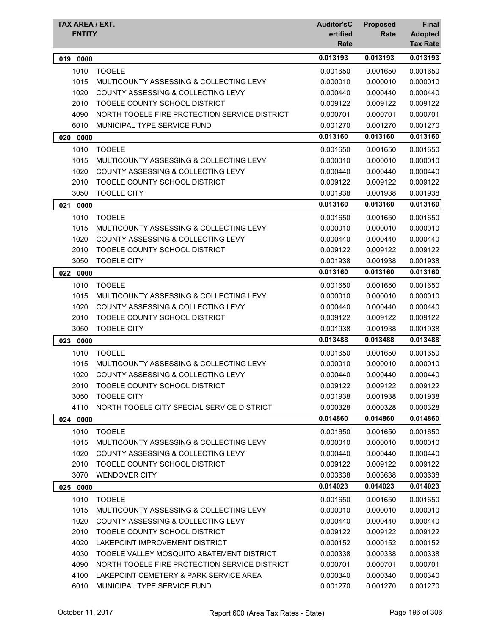| TAX AREA / EXT.<br><b>ENTITY</b> |                                               | <b>Auditor'sC</b><br>ertified<br>Rate | <b>Proposed</b><br>Rate | <b>Final</b><br><b>Adopted</b><br><b>Tax Rate</b> |
|----------------------------------|-----------------------------------------------|---------------------------------------|-------------------------|---------------------------------------------------|
| 0000<br>019                      |                                               | 0.013193                              | 0.013193                | 0.013193                                          |
| 1010                             | <b>TOOELE</b>                                 | 0.001650                              | 0.001650                | 0.001650                                          |
| 1015                             | MULTICOUNTY ASSESSING & COLLECTING LEVY       | 0.000010                              | 0.000010                | 0.000010                                          |
| 1020                             | <b>COUNTY ASSESSING &amp; COLLECTING LEVY</b> | 0.000440                              | 0.000440                | 0.000440                                          |
| 2010                             | TOOELE COUNTY SCHOOL DISTRICT                 | 0.009122                              | 0.009122                | 0.009122                                          |
| 4090                             | NORTH TOOELE FIRE PROTECTION SERVICE DISTRICT | 0.000701                              | 0.000701                | 0.000701                                          |
| 6010                             | MUNICIPAL TYPE SERVICE FUND                   | 0.001270                              | 0.001270                | 0.001270                                          |
| 020 0000                         |                                               | 0.013160                              | 0.013160                | 0.013160                                          |
| 1010                             | <b>TOOELE</b>                                 | 0.001650                              | 0.001650                | 0.001650                                          |
| 1015                             | MULTICOUNTY ASSESSING & COLLECTING LEVY       | 0.000010                              | 0.000010                | 0.000010                                          |
| 1020                             | COUNTY ASSESSING & COLLECTING LEVY            | 0.000440                              | 0.000440                | 0.000440                                          |
| 2010                             | TOOELE COUNTY SCHOOL DISTRICT                 | 0.009122                              | 0.009122                | 0.009122                                          |
| 3050                             | <b>TOOELE CITY</b>                            | 0.001938                              | 0.001938                | 0.001938                                          |
| 0000<br>021                      |                                               | 0.013160                              | 0.013160                | 0.013160                                          |
| 1010                             | <b>TOOELE</b>                                 | 0.001650                              | 0.001650                | 0.001650                                          |
| 1015                             | MULTICOUNTY ASSESSING & COLLECTING LEVY       | 0.000010                              | 0.000010                | 0.000010                                          |
| 1020                             | <b>COUNTY ASSESSING &amp; COLLECTING LEVY</b> | 0.000440                              | 0.000440                | 0.000440                                          |
| 2010                             | TOOELE COUNTY SCHOOL DISTRICT                 | 0.009122                              | 0.009122                | 0.009122                                          |
| 3050                             | <b>TOOELE CITY</b>                            | 0.001938                              | 0.001938                | 0.001938                                          |
| 022 0000                         |                                               | 0.013160                              | 0.013160                | 0.013160                                          |
| 1010                             | <b>TOOELE</b>                                 | 0.001650                              | 0.001650                | 0.001650                                          |
| 1015                             | MULTICOUNTY ASSESSING & COLLECTING LEVY       | 0.000010                              | 0.000010                | 0.000010                                          |
| 1020                             | <b>COUNTY ASSESSING &amp; COLLECTING LEVY</b> | 0.000440                              | 0.000440                | 0.000440                                          |
| 2010                             | TOOELE COUNTY SCHOOL DISTRICT                 | 0.009122                              | 0.009122                | 0.009122                                          |
| 3050                             | <b>TOOELE CITY</b>                            | 0.001938                              | 0.001938                | 0.001938                                          |
| 023<br>0000                      |                                               | 0.013488                              | 0.013488                | 0.013488                                          |
| 1010                             | <b>TOOELE</b>                                 | 0.001650                              | 0.001650                | 0.001650                                          |
| 1015                             | MULTICOUNTY ASSESSING & COLLECTING LEVY       | 0.000010                              | 0.000010                | 0.000010                                          |
| 1020                             | COUNTY ASSESSING & COLLECTING LEVY            | 0.000440                              | 0.000440                | 0.000440                                          |
| 2010                             | TOOELE COUNTY SCHOOL DISTRICT                 | 0.009122                              | 0.009122                | 0.009122                                          |
| 3050                             | <b>TOOELE CITY</b>                            | 0.001938                              | 0.001938                | 0.001938                                          |
| 4110                             | NORTH TOOELE CITY SPECIAL SERVICE DISTRICT    | 0.000328                              | 0.000328                | 0.000328                                          |
| 024 0000                         |                                               | 0.014860                              | 0.014860                | 0.014860                                          |
| 1010                             | <b>TOOELE</b>                                 | 0.001650                              | 0.001650                | 0.001650                                          |
| 1015                             | MULTICOUNTY ASSESSING & COLLECTING LEVY       | 0.000010                              | 0.000010                | 0.000010                                          |
| 1020                             | COUNTY ASSESSING & COLLECTING LEVY            | 0.000440                              | 0.000440                | 0.000440                                          |
| 2010                             | TOOELE COUNTY SCHOOL DISTRICT                 | 0.009122                              | 0.009122                | 0.009122                                          |
| 3070                             | <b>WENDOVER CITY</b>                          | 0.003638                              | 0.003638                | 0.003638                                          |
| 025 0000                         |                                               | 0.014023                              | 0.014023                | 0.014023                                          |
| 1010                             | <b>TOOELE</b>                                 | 0.001650                              | 0.001650                | 0.001650                                          |
| 1015                             | MULTICOUNTY ASSESSING & COLLECTING LEVY       | 0.000010                              | 0.000010                | 0.000010                                          |
| 1020                             | COUNTY ASSESSING & COLLECTING LEVY            | 0.000440                              | 0.000440                | 0.000440                                          |
| 2010                             | TOOELE COUNTY SCHOOL DISTRICT                 | 0.009122                              | 0.009122                | 0.009122                                          |
| 4020                             | LAKEPOINT IMPROVEMENT DISTRICT                | 0.000152                              | 0.000152                | 0.000152                                          |
| 4030                             | TOOELE VALLEY MOSQUITO ABATEMENT DISTRICT     | 0.000338                              | 0.000338                | 0.000338                                          |
| 4090                             | NORTH TOOELE FIRE PROTECTION SERVICE DISTRICT | 0.000701                              | 0.000701                | 0.000701                                          |
| 4100                             | LAKEPOINT CEMETERY & PARK SERVICE AREA        | 0.000340                              | 0.000340                | 0.000340                                          |
| 6010                             | MUNICIPAL TYPE SERVICE FUND                   | 0.001270                              | 0.001270                | 0.001270                                          |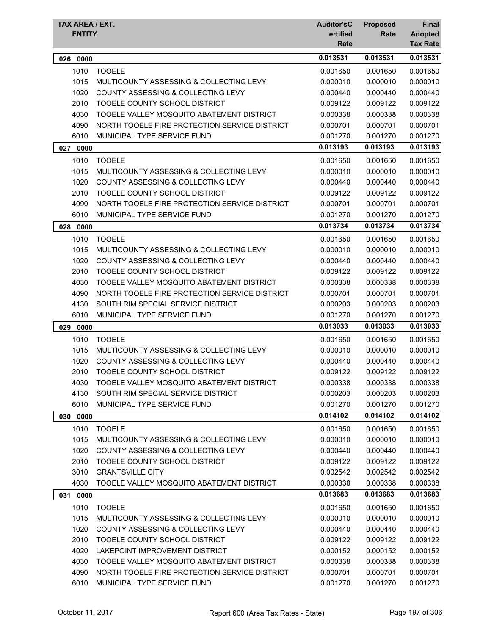| TAX AREA / EXT. |                                               | <b>Auditor'sC</b> | <b>Proposed</b> | <b>Final</b>                      |
|-----------------|-----------------------------------------------|-------------------|-----------------|-----------------------------------|
| <b>ENTITY</b>   |                                               | ertified<br>Rate  | Rate            | <b>Adopted</b><br><b>Tax Rate</b> |
| 026<br>0000     |                                               | 0.013531          | 0.013531        | 0.013531                          |
| 1010            | <b>TOOELE</b>                                 | 0.001650          | 0.001650        | 0.001650                          |
| 1015            | MULTICOUNTY ASSESSING & COLLECTING LEVY       | 0.000010          | 0.000010        | 0.000010                          |
| 1020            | <b>COUNTY ASSESSING &amp; COLLECTING LEVY</b> | 0.000440          | 0.000440        | 0.000440                          |
| 2010            | TOOELE COUNTY SCHOOL DISTRICT                 | 0.009122          | 0.009122        | 0.009122                          |
| 4030            | TOOELE VALLEY MOSQUITO ABATEMENT DISTRICT     | 0.000338          | 0.000338        | 0.000338                          |
| 4090            | NORTH TOOELE FIRE PROTECTION SERVICE DISTRICT | 0.000701          | 0.000701        | 0.000701                          |
| 6010            | MUNICIPAL TYPE SERVICE FUND                   | 0.001270          | 0.001270        | 0.001270                          |
| 027<br>0000     |                                               | 0.013193          | 0.013193        | 0.013193                          |
| 1010            | <b>TOOELE</b>                                 | 0.001650          | 0.001650        | 0.001650                          |
| 1015            | MULTICOUNTY ASSESSING & COLLECTING LEVY       | 0.000010          | 0.000010        | 0.000010                          |
| 1020            | COUNTY ASSESSING & COLLECTING LEVY            | 0.000440          | 0.000440        | 0.000440                          |
| 2010            | TOOELE COUNTY SCHOOL DISTRICT                 | 0.009122          | 0.009122        | 0.009122                          |
| 4090            | NORTH TOOELE FIRE PROTECTION SERVICE DISTRICT | 0.000701          | 0.000701        | 0.000701                          |
| 6010            | MUNICIPAL TYPE SERVICE FUND                   | 0.001270          | 0.001270        | 0.001270                          |
| 028 0000        |                                               | 0.013734          | 0.013734        | 0.013734                          |
| 1010            | <b>TOOELE</b>                                 | 0.001650          | 0.001650        | 0.001650                          |
| 1015            | MULTICOUNTY ASSESSING & COLLECTING LEVY       | 0.000010          | 0.000010        | 0.000010                          |
| 1020            | COUNTY ASSESSING & COLLECTING LEVY            | 0.000440          | 0.000440        | 0.000440                          |
| 2010            | TOOELE COUNTY SCHOOL DISTRICT                 | 0.009122          | 0.009122        | 0.009122                          |
| 4030            | TOOELE VALLEY MOSQUITO ABATEMENT DISTRICT     | 0.000338          | 0.000338        | 0.000338                          |
| 4090            | NORTH TOOELE FIRE PROTECTION SERVICE DISTRICT | 0.000701          | 0.000701        | 0.000701                          |
| 4130            | SOUTH RIM SPECIAL SERVICE DISTRICT            | 0.000203          | 0.000203        | 0.000203                          |
| 6010            | MUNICIPAL TYPE SERVICE FUND                   | 0.001270          | 0.001270        | 0.001270                          |
| 029<br>0000     |                                               | 0.013033          | 0.013033        | 0.013033                          |
| 1010            | <b>TOOELE</b>                                 | 0.001650          | 0.001650        | 0.001650                          |
| 1015            | MULTICOUNTY ASSESSING & COLLECTING LEVY       | 0.000010          | 0.000010        | 0.000010                          |
| 1020            | <b>COUNTY ASSESSING &amp; COLLECTING LEVY</b> | 0.000440          | 0.000440        | 0.000440                          |
| 2010            | TOOELE COUNTY SCHOOL DISTRICT                 | 0.009122          | 0.009122        | 0.009122                          |
| 4030            | TOOELE VALLEY MOSQUITO ABATEMENT DISTRICT     | 0.000338          | 0.000338        | 0.000338                          |
| 4130            | SOUTH RIM SPECIAL SERVICE DISTRICT            | 0.000203          | 0.000203        | 0.000203                          |
| 6010            | MUNICIPAL TYPE SERVICE FUND                   | 0.001270          | 0.001270        | 0.001270                          |
| 030 0000        |                                               | 0.014102          | 0.014102        | 0.014102                          |
| 1010            | <b>TOOELE</b>                                 | 0.001650          | 0.001650        | 0.001650                          |
| 1015            | MULTICOUNTY ASSESSING & COLLECTING LEVY       | 0.000010          | 0.000010        | 0.000010                          |
| 1020            | COUNTY ASSESSING & COLLECTING LEVY            | 0.000440          | 0.000440        | 0.000440                          |
| 2010            | TOOELE COUNTY SCHOOL DISTRICT                 | 0.009122          | 0.009122        | 0.009122                          |
| 3010            | <b>GRANTSVILLE CITY</b>                       | 0.002542          | 0.002542        | 0.002542                          |
| 4030            | TOOELE VALLEY MOSQUITO ABATEMENT DISTRICT     | 0.000338          | 0.000338        | 0.000338                          |
| 031 0000        |                                               | 0.013683          | 0.013683        | 0.013683                          |
| 1010            | <b>TOOELE</b>                                 | 0.001650          | 0.001650        | 0.001650                          |
| 1015            | MULTICOUNTY ASSESSING & COLLECTING LEVY       | 0.000010          | 0.000010        | 0.000010                          |
| 1020            | COUNTY ASSESSING & COLLECTING LEVY            | 0.000440          | 0.000440        | 0.000440                          |
| 2010            | TOOELE COUNTY SCHOOL DISTRICT                 | 0.009122          | 0.009122        | 0.009122                          |
| 4020            | LAKEPOINT IMPROVEMENT DISTRICT                | 0.000152          | 0.000152        | 0.000152                          |
| 4030            | TOOELE VALLEY MOSQUITO ABATEMENT DISTRICT     | 0.000338          | 0.000338        | 0.000338                          |
| 4090            | NORTH TOOELE FIRE PROTECTION SERVICE DISTRICT | 0.000701          | 0.000701        | 0.000701                          |
| 6010            | MUNICIPAL TYPE SERVICE FUND                   | 0.001270          | 0.001270        | 0.001270                          |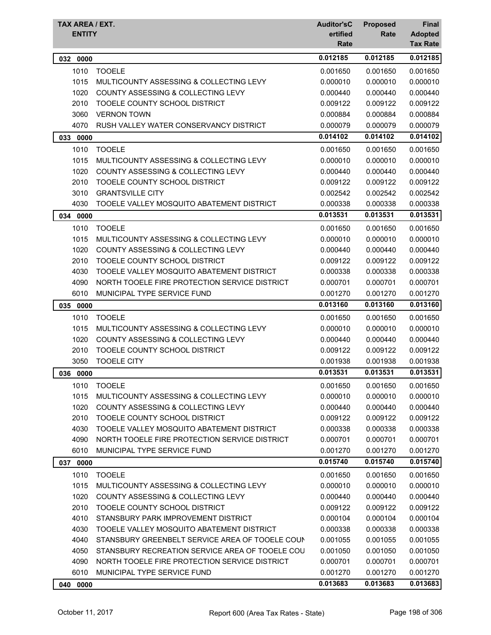| TAX AREA / EXT.<br><b>ENTITY</b> |                                                                                                  | <b>Auditor'sC</b><br>ertified | <b>Proposed</b><br>Rate | <b>Final</b>                      |
|----------------------------------|--------------------------------------------------------------------------------------------------|-------------------------------|-------------------------|-----------------------------------|
|                                  |                                                                                                  | Rate                          |                         | <b>Adopted</b><br><b>Tax Rate</b> |
| 032<br>0000                      |                                                                                                  | 0.012185                      | 0.012185                | 0.012185                          |
| 1010                             | <b>TOOELE</b>                                                                                    | 0.001650                      | 0.001650                | 0.001650                          |
| 1015                             | MULTICOUNTY ASSESSING & COLLECTING LEVY                                                          | 0.000010                      | 0.000010                | 0.000010                          |
| 1020                             | <b>COUNTY ASSESSING &amp; COLLECTING LEVY</b>                                                    | 0.000440                      | 0.000440                | 0.000440                          |
| 2010                             | TOOELE COUNTY SCHOOL DISTRICT                                                                    | 0.009122                      | 0.009122                | 0.009122                          |
| 3060                             | <b>VERNON TOWN</b>                                                                               | 0.000884                      | 0.000884                | 0.000884                          |
| 4070                             | RUSH VALLEY WATER CONSERVANCY DISTRICT                                                           | 0.000079                      | 0.000079                | 0.000079                          |
| 033<br>0000                      |                                                                                                  | 0.014102                      | 0.014102                | 0.014102                          |
| 1010                             | <b>TOOELE</b>                                                                                    | 0.001650                      | 0.001650                | 0.001650                          |
| 1015                             | MULTICOUNTY ASSESSING & COLLECTING LEVY                                                          | 0.000010                      | 0.000010                | 0.000010                          |
| 1020                             | COUNTY ASSESSING & COLLECTING LEVY                                                               | 0.000440                      | 0.000440                | 0.000440                          |
| 2010                             | TOOELE COUNTY SCHOOL DISTRICT                                                                    | 0.009122                      | 0.009122                | 0.009122                          |
| 3010                             | <b>GRANTSVILLE CITY</b>                                                                          | 0.002542                      | 0.002542                | 0.002542                          |
| 4030                             | TOOELE VALLEY MOSQUITO ABATEMENT DISTRICT                                                        | 0.000338                      | 0.000338                | 0.000338                          |
| 0000<br>034                      |                                                                                                  | 0.013531                      | 0.013531                | 0.013531                          |
| 1010                             | <b>TOOELE</b>                                                                                    | 0.001650                      | 0.001650                | 0.001650                          |
| 1015                             | MULTICOUNTY ASSESSING & COLLECTING LEVY                                                          | 0.000010                      | 0.000010                | 0.000010                          |
| 1020                             | COUNTY ASSESSING & COLLECTING LEVY                                                               | 0.000440                      | 0.000440                | 0.000440                          |
| 2010                             | TOOELE COUNTY SCHOOL DISTRICT                                                                    | 0.009122                      | 0.009122                | 0.009122                          |
| 4030                             | TOOELE VALLEY MOSQUITO ABATEMENT DISTRICT                                                        | 0.000338                      | 0.000338                | 0.000338                          |
| 4090                             | NORTH TOOELE FIRE PROTECTION SERVICE DISTRICT                                                    | 0.000701                      | 0.000701                | 0.000701                          |
| 6010                             | MUNICIPAL TYPE SERVICE FUND                                                                      | 0.001270                      | 0.001270                | 0.001270                          |
| 035<br>0000                      |                                                                                                  | 0.013160                      | 0.013160                | 0.013160                          |
| 1010                             | <b>TOOELE</b>                                                                                    | 0.001650                      | 0.001650                | 0.001650                          |
| 1015                             | MULTICOUNTY ASSESSING & COLLECTING LEVY                                                          | 0.000010                      | 0.000010                | 0.000010                          |
| 1020                             | COUNTY ASSESSING & COLLECTING LEVY                                                               | 0.000440                      | 0.000440                | 0.000440                          |
| 2010                             | TOOELE COUNTY SCHOOL DISTRICT                                                                    | 0.009122                      | 0.009122                | 0.009122                          |
| 3050                             | <b>TOOELE CITY</b>                                                                               | 0.001938                      | 0.001938                | 0.001938                          |
| 036 0000                         |                                                                                                  | 0.013531                      | 0.013531                | 0.013531                          |
| 1010                             | <b>TOOELE</b>                                                                                    | 0.001650                      | 0.001650                | 0.001650                          |
| 1015                             | MULTICOUNTY ASSESSING & COLLECTING LEVY                                                          | 0.000010                      | 0.000010                | 0.000010                          |
| 1020                             | COUNTY ASSESSING & COLLECTING LEVY                                                               | 0.000440                      | 0.000440                | 0.000440                          |
| 2010                             | TOOELE COUNTY SCHOOL DISTRICT                                                                    | 0.009122                      | 0.009122                | 0.009122                          |
| 4030                             | TOOELE VALLEY MOSQUITO ABATEMENT DISTRICT                                                        | 0.000338                      | 0.000338                | 0.000338                          |
| 4090                             | NORTH TOOELE FIRE PROTECTION SERVICE DISTRICT                                                    | 0.000701                      | 0.000701                | 0.000701                          |
| 6010                             | MUNICIPAL TYPE SERVICE FUND                                                                      | 0.001270                      | 0.001270                | 0.001270                          |
| 037 0000                         |                                                                                                  | 0.015740                      | 0.015740                | 0.015740                          |
| 1010                             | <b>TOOELE</b>                                                                                    | 0.001650                      | 0.001650                | 0.001650                          |
| 1015                             | MULTICOUNTY ASSESSING & COLLECTING LEVY                                                          | 0.000010                      | 0.000010                | 0.000010                          |
| 1020                             | COUNTY ASSESSING & COLLECTING LEVY                                                               | 0.000440                      | 0.000440                | 0.000440                          |
| 2010                             | TOOELE COUNTY SCHOOL DISTRICT                                                                    | 0.009122                      | 0.009122                | 0.009122                          |
| 4010                             | STANSBURY PARK IMPROVEMENT DISTRICT                                                              | 0.000104                      | 0.000104                | 0.000104                          |
| 4030                             | TOOELE VALLEY MOSQUITO ABATEMENT DISTRICT                                                        | 0.000338                      | 0.000338                | 0.000338                          |
| 4040                             | STANSBURY GREENBELT SERVICE AREA OF TOOELE COUN                                                  | 0.001055                      | 0.001055                | 0.001055                          |
| 4050<br>4090                     | STANSBURY RECREATION SERVICE AREA OF TOOELE COU<br>NORTH TOOELE FIRE PROTECTION SERVICE DISTRICT | 0.001050<br>0.000701          | 0.001050<br>0.000701    | 0.001050<br>0.000701              |
| 6010                             | MUNICIPAL TYPE SERVICE FUND                                                                      | 0.001270                      | 0.001270                | 0.001270                          |
| 0000<br>040                      |                                                                                                  | 0.013683                      | 0.013683                | 0.013683                          |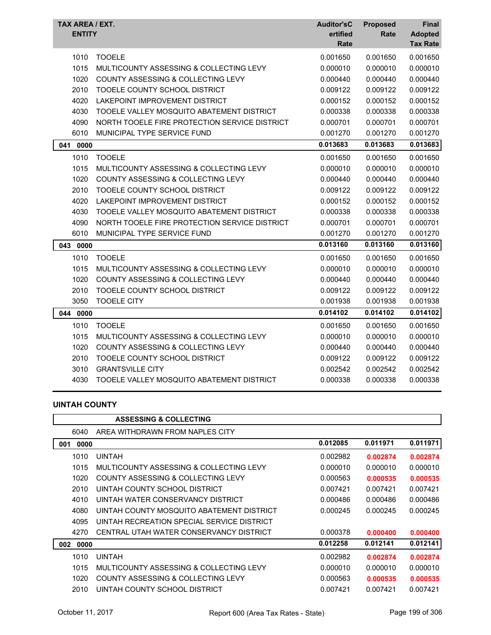| TAX AREA / EXT.<br><b>ENTITY</b> |                                               | <b>Auditor'sC</b><br>ertified<br>Rate | <b>Proposed</b><br>Rate | <b>Final</b><br><b>Adopted</b><br><b>Tax Rate</b> |
|----------------------------------|-----------------------------------------------|---------------------------------------|-------------------------|---------------------------------------------------|
| 1010                             | <b>TOOELE</b>                                 | 0.001650                              | 0.001650                | 0.001650                                          |
| 1015                             | MULTICOUNTY ASSESSING & COLLECTING LEVY       | 0.000010                              | 0.000010                | 0.000010                                          |
| 1020                             | COUNTY ASSESSING & COLLECTING LEVY            | 0.000440                              | 0.000440                | 0.000440                                          |
| 2010                             | TOOELE COUNTY SCHOOL DISTRICT                 | 0.009122                              | 0.009122                | 0.009122                                          |
| 4020                             | LAKEPOINT IMPROVEMENT DISTRICT                | 0.000152                              | 0.000152                | 0.000152                                          |
| 4030                             | TOOELE VALLEY MOSQUITO ABATEMENT DISTRICT     | 0.000338                              | 0.000338                | 0.000338                                          |
| 4090                             | NORTH TOOELE FIRE PROTECTION SERVICE DISTRICT | 0.000701                              | 0.000701                | 0.000701                                          |
| 6010                             | MUNICIPAL TYPE SERVICE FUND                   | 0.001270                              | 0.001270                | 0.001270                                          |
| 041<br>0000                      |                                               | 0.013683                              | 0.013683                | 0.013683                                          |
| 1010                             | <b>TOOELE</b>                                 | 0.001650                              | 0.001650                | 0.001650                                          |
| 1015                             | MULTICOUNTY ASSESSING & COLLECTING LEVY       | 0.000010                              | 0.000010                | 0.000010                                          |
| 1020                             | <b>COUNTY ASSESSING &amp; COLLECTING LEVY</b> | 0.000440                              | 0.000440                | 0.000440                                          |
| 2010                             | TOOELE COUNTY SCHOOL DISTRICT                 | 0.009122                              | 0.009122                | 0.009122                                          |
| 4020                             | LAKEPOINT IMPROVEMENT DISTRICT                | 0.000152                              | 0.000152                | 0.000152                                          |
| 4030                             | TOOELE VALLEY MOSQUITO ABATEMENT DISTRICT     | 0.000338                              | 0.000338                | 0.000338                                          |
| 4090                             | NORTH TOOELE FIRE PROTECTION SERVICE DISTRICT | 0.000701                              | 0.000701                | 0.000701                                          |
| 6010                             | MUNICIPAL TYPE SERVICE FUND                   | 0.001270                              | 0.001270                | 0.001270                                          |
| 0000<br>043                      |                                               | 0.013160                              | 0.013160                | 0.013160                                          |
| 1010                             | <b>TOOELE</b>                                 | 0.001650                              | 0.001650                | 0.001650                                          |
| 1015                             | MULTICOUNTY ASSESSING & COLLECTING LEVY       | 0.000010                              | 0.000010                | 0.000010                                          |
| 1020                             | <b>COUNTY ASSESSING &amp; COLLECTING LEVY</b> | 0.000440                              | 0.000440                | 0.000440                                          |
| 2010                             | TOOELE COUNTY SCHOOL DISTRICT                 | 0.009122                              | 0.009122                | 0.009122                                          |
| 3050                             | <b>TOOELE CITY</b>                            | 0.001938                              | 0.001938                | 0.001938                                          |
| 044 0000                         |                                               | 0.014102                              | 0.014102                | 0.014102                                          |
| 1010                             | <b>TOOELE</b>                                 | 0.001650                              | 0.001650                | 0.001650                                          |
| 1015                             | MULTICOUNTY ASSESSING & COLLECTING LEVY       | 0.000010                              | 0.000010                | 0.000010                                          |
| 1020                             | COUNTY ASSESSING & COLLECTING LEVY            | 0.000440                              | 0.000440                | 0.000440                                          |
| 2010                             | TOOELE COUNTY SCHOOL DISTRICT                 | 0.009122                              | 0.009122                | 0.009122                                          |
| 3010                             | <b>GRANTSVILLE CITY</b>                       | 0.002542                              | 0.002542                | 0.002542                                          |
| 4030                             | TOOELE VALLEY MOSQUITO ABATEMENT DISTRICT     | 0.000338                              | 0.000338                | 0.000338                                          |

## **UINTAH COUNTY**

|             | <b>ASSESSING &amp; COLLECTING</b>          |          |          |          |
|-------------|--------------------------------------------|----------|----------|----------|
| 6040        | AREA WITHDRAWN FROM NAPLES CITY            |          |          |          |
| 0000<br>001 |                                            | 0.012085 | 0.011971 | 0.011971 |
| 1010        | <b>UINTAH</b>                              | 0.002982 | 0.002874 | 0.002874 |
| 1015        | MULTICOUNTY ASSESSING & COLLECTING LEVY    | 0.000010 | 0.000010 | 0.000010 |
| 1020        | COUNTY ASSESSING & COLLECTING LEVY         | 0.000563 | 0.000535 | 0.000535 |
| 2010        | UINTAH COUNTY SCHOOL DISTRICT              | 0.007421 | 0.007421 | 0.007421 |
| 4010        | UINTAH WATER CONSERVANCY DISTRICT          | 0.000486 | 0.000486 | 0.000486 |
| 4080        | UINTAH COUNTY MOSQUITO ABATEMENT DISTRICT  | 0.000245 | 0.000245 | 0.000245 |
| 4095        | UINTAH RECREATION SPECIAL SERVICE DISTRICT |          |          |          |
| 4270        | CENTRAL UTAH WATER CONSERVANCY DISTRICT    | 0.000378 | 0.000400 | 0.000400 |
| 0000<br>002 |                                            | 0.012258 | 0.012141 | 0.012141 |
| 1010        | <b>UINTAH</b>                              | 0.002982 | 0.002874 | 0.002874 |
| 1015        | MULTICOUNTY ASSESSING & COLLECTING LEVY    | 0.000010 | 0.000010 | 0.000010 |
| 1020        | COUNTY ASSESSING & COLLECTING LEVY         | 0.000563 | 0.000535 | 0.000535 |
| 2010        | UINTAH COUNTY SCHOOL DISTRICT              | 0.007421 | 0.007421 | 0.007421 |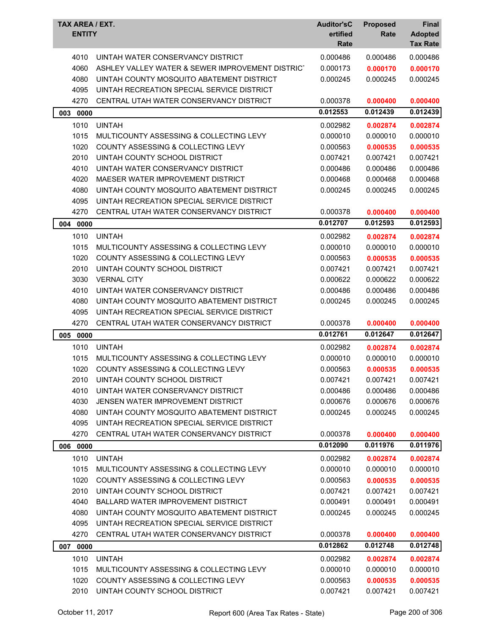| TAX AREA / EXT.<br><b>ENTITY</b> |                                                  | <b>Auditor'sC</b><br>ertified<br>Rate | <b>Proposed</b><br>Rate | Final<br><b>Adopted</b><br><b>Tax Rate</b> |
|----------------------------------|--------------------------------------------------|---------------------------------------|-------------------------|--------------------------------------------|
| 4010                             | UINTAH WATER CONSERVANCY DISTRICT                | 0.000486                              | 0.000486                | 0.000486                                   |
| 4060                             | ASHLEY VALLEY WATER & SEWER IMPROVEMENT DISTRICT | 0.000173                              | 0.000170                | 0.000170                                   |
| 4080                             | UINTAH COUNTY MOSQUITO ABATEMENT DISTRICT        | 0.000245                              | 0.000245                | 0.000245                                   |
| 4095                             | UINTAH RECREATION SPECIAL SERVICE DISTRICT       |                                       |                         |                                            |
| 4270                             | CENTRAL UTAH WATER CONSERVANCY DISTRICT          | 0.000378                              | 0.000400                | 0.000400                                   |
| 003<br>0000                      |                                                  | 0.012553                              | 0.012439                | 0.012439                                   |
| 1010                             | <b>UINTAH</b>                                    | 0.002982                              | 0.002874                | 0.002874                                   |
| 1015                             | MULTICOUNTY ASSESSING & COLLECTING LEVY          | 0.000010                              | 0.000010                | 0.000010                                   |
| 1020                             | COUNTY ASSESSING & COLLECTING LEVY               | 0.000563                              | 0.000535                | 0.000535                                   |
| 2010                             | UINTAH COUNTY SCHOOL DISTRICT                    | 0.007421                              | 0.007421                | 0.007421                                   |
| 4010                             | UINTAH WATER CONSERVANCY DISTRICT                | 0.000486                              | 0.000486                | 0.000486                                   |
| 4020                             | MAESER WATER IMPROVEMENT DISTRICT                | 0.000468                              | 0.000468                | 0.000468                                   |
| 4080                             | UINTAH COUNTY MOSQUITO ABATEMENT DISTRICT        | 0.000245                              | 0.000245                | 0.000245                                   |
| 4095                             | UINTAH RECREATION SPECIAL SERVICE DISTRICT       |                                       |                         |                                            |
| 4270                             | CENTRAL UTAH WATER CONSERVANCY DISTRICT          | 0.000378                              | 0.000400                | 0.000400                                   |
| 004 0000                         |                                                  | 0.012707                              | 0.012593                | 0.012593                                   |
| 1010                             | <b>UINTAH</b>                                    | 0.002982                              | 0.002874                | 0.002874                                   |
| 1015                             | MULTICOUNTY ASSESSING & COLLECTING LEVY          | 0.000010                              | 0.000010                | 0.000010                                   |
| 1020                             | COUNTY ASSESSING & COLLECTING LEVY               | 0.000563                              | 0.000535                | 0.000535                                   |
| 2010                             | UINTAH COUNTY SCHOOL DISTRICT                    | 0.007421                              | 0.007421                | 0.007421                                   |
| 3030                             | <b>VERNAL CITY</b>                               | 0.000622                              | 0.000622                | 0.000622                                   |
| 4010                             | UINTAH WATER CONSERVANCY DISTRICT                | 0.000486                              | 0.000486                | 0.000486                                   |
| 4080                             | UINTAH COUNTY MOSQUITO ABATEMENT DISTRICT        | 0.000245                              | 0.000245                | 0.000245                                   |
| 4095                             | UINTAH RECREATION SPECIAL SERVICE DISTRICT       |                                       |                         |                                            |
| 4270                             | CENTRAL UTAH WATER CONSERVANCY DISTRICT          | 0.000378                              | 0.000400                | 0.000400                                   |
| 005 0000                         |                                                  | 0.012761                              | 0.012647                | 0.012647                                   |
| 1010                             | <b>UINTAH</b>                                    | 0.002982                              | 0.002874                | 0.002874                                   |
| 1015                             | MULTICOUNTY ASSESSING & COLLECTING LEVY          | 0.000010                              | 0.000010                | 0.000010                                   |
| 1020                             | COUNTY ASSESSING & COLLECTING LEVY               | 0.000563                              | 0.000535                | 0.000535                                   |
| 2010                             | UINTAH COUNTY SCHOOL DISTRICT                    | 0.007421                              | 0.007421                | 0.007421                                   |
| 4010                             | UINTAH WATER CONSERVANCY DISTRICT                | 0.000486                              | 0.000486                | 0.000486                                   |
| 4030                             | JENSEN WATER IMPROVEMENT DISTRICT                | 0.000676                              | 0.000676                | 0.000676                                   |
| 4080                             | UINTAH COUNTY MOSQUITO ABATEMENT DISTRICT        | 0.000245                              | 0.000245                | 0.000245                                   |
| 4095                             | UINTAH RECREATION SPECIAL SERVICE DISTRICT       |                                       |                         |                                            |
| 4270                             | CENTRAL UTAH WATER CONSERVANCY DISTRICT          | 0.000378                              | 0.000400                | 0.000400                                   |
| 006<br>0000                      |                                                  | 0.012090                              | 0.011976                | 0.011976                                   |
| 1010                             | <b>UINTAH</b>                                    | 0.002982                              | 0.002874                | 0.002874                                   |
| 1015                             | MULTICOUNTY ASSESSING & COLLECTING LEVY          | 0.000010                              | 0.000010                | 0.000010                                   |
| 1020                             | <b>COUNTY ASSESSING &amp; COLLECTING LEVY</b>    | 0.000563                              | 0.000535                | 0.000535                                   |
| 2010                             | UINTAH COUNTY SCHOOL DISTRICT                    | 0.007421                              | 0.007421                | 0.007421                                   |
| 4040                             | <b>BALLARD WATER IMPROVEMENT DISTRICT</b>        | 0.000491                              | 0.000491                | 0.000491                                   |
| 4080                             | UINTAH COUNTY MOSQUITO ABATEMENT DISTRICT        | 0.000245                              | 0.000245                | 0.000245                                   |
| 4095                             | UINTAH RECREATION SPECIAL SERVICE DISTRICT       |                                       |                         |                                            |
| 4270                             | CENTRAL UTAH WATER CONSERVANCY DISTRICT          | 0.000378                              | 0.000400                | 0.000400                                   |
| 0000<br>007                      |                                                  | 0.012862                              | 0.012748                | 0.012748                                   |
| 1010                             | <b>UINTAH</b>                                    | 0.002982                              | 0.002874                | 0.002874                                   |
| 1015                             | MULTICOUNTY ASSESSING & COLLECTING LEVY          | 0.000010                              | 0.000010                | 0.000010                                   |
| 1020                             | COUNTY ASSESSING & COLLECTING LEVY               | 0.000563                              | 0.000535                | 0.000535                                   |
| 2010                             | UINTAH COUNTY SCHOOL DISTRICT                    | 0.007421                              | 0.007421                | 0.007421                                   |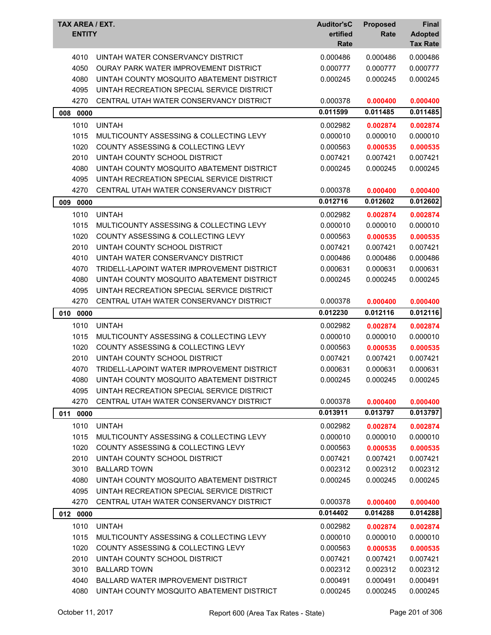| TAX AREA / EXT.<br><b>ENTITY</b> |                                               | <b>Auditor'sC</b><br>ertified<br>Rate | <b>Proposed</b><br>Rate | <b>Final</b><br><b>Adopted</b><br><b>Tax Rate</b> |
|----------------------------------|-----------------------------------------------|---------------------------------------|-------------------------|---------------------------------------------------|
| 4010                             | UINTAH WATER CONSERVANCY DISTRICT             | 0.000486                              | 0.000486                | 0.000486                                          |
| 4050                             | <b>OURAY PARK WATER IMPROVEMENT DISTRICT</b>  | 0.000777                              | 0.000777                | 0.000777                                          |
| 4080                             | UINTAH COUNTY MOSQUITO ABATEMENT DISTRICT     | 0.000245                              | 0.000245                | 0.000245                                          |
| 4095                             | UINTAH RECREATION SPECIAL SERVICE DISTRICT    |                                       |                         |                                                   |
| 4270                             | CENTRAL UTAH WATER CONSERVANCY DISTRICT       | 0.000378                              | 0.000400                | 0.000400                                          |
| 008<br>0000                      |                                               | 0.011599                              | 0.011485                | 0.011485                                          |
| 1010                             | <b>UINTAH</b>                                 | 0.002982                              | 0.002874                | 0.002874                                          |
| 1015                             | MULTICOUNTY ASSESSING & COLLECTING LEVY       | 0.000010                              | 0.000010                | 0.000010                                          |
| 1020                             | COUNTY ASSESSING & COLLECTING LEVY            | 0.000563                              | 0.000535                | 0.000535                                          |
| 2010                             | UINTAH COUNTY SCHOOL DISTRICT                 | 0.007421                              | 0.007421                | 0.007421                                          |
| 4080                             | UINTAH COUNTY MOSQUITO ABATEMENT DISTRICT     | 0.000245                              | 0.000245                | 0.000245                                          |
| 4095                             | UINTAH RECREATION SPECIAL SERVICE DISTRICT    |                                       |                         |                                                   |
| 4270                             | CENTRAL UTAH WATER CONSERVANCY DISTRICT       | 0.000378                              | 0.000400                | 0.000400                                          |
| 009<br>0000                      |                                               | 0.012716                              | 0.012602                | 0.012602                                          |
| 1010                             | <b>UINTAH</b>                                 | 0.002982                              | 0.002874                | 0.002874                                          |
| 1015                             | MULTICOUNTY ASSESSING & COLLECTING LEVY       | 0.000010                              | 0.000010                | 0.000010                                          |
| 1020                             | <b>COUNTY ASSESSING &amp; COLLECTING LEVY</b> | 0.000563                              | 0.000535                | 0.000535                                          |
| 2010                             | UINTAH COUNTY SCHOOL DISTRICT                 | 0.007421                              | 0.007421                | 0.007421                                          |
| 4010                             | UINTAH WATER CONSERVANCY DISTRICT             | 0.000486                              | 0.000486                | 0.000486                                          |
| 4070                             | TRIDELL-LAPOINT WATER IMPROVEMENT DISTRICT    | 0.000631                              | 0.000631                | 0.000631                                          |
| 4080                             | UINTAH COUNTY MOSQUITO ABATEMENT DISTRICT     | 0.000245                              | 0.000245                | 0.000245                                          |
| 4095                             | UINTAH RECREATION SPECIAL SERVICE DISTRICT    |                                       |                         |                                                   |
| 4270                             | CENTRAL UTAH WATER CONSERVANCY DISTRICT       | 0.000378                              | 0.000400                | 0.000400                                          |
| 010 0000                         |                                               | 0.012230                              | 0.012116                | 0.012116                                          |
| 1010                             | <b>UINTAH</b>                                 | 0.002982                              | 0.002874                | 0.002874                                          |
| 1015                             | MULTICOUNTY ASSESSING & COLLECTING LEVY       | 0.000010                              | 0.000010                | 0.000010                                          |
| 1020                             | COUNTY ASSESSING & COLLECTING LEVY            | 0.000563                              | 0.000535                | 0.000535                                          |
| 2010                             | UINTAH COUNTY SCHOOL DISTRICT                 | 0.007421                              | 0.007421                | 0.007421                                          |
| 4070                             | TRIDELL-LAPOINT WATER IMPROVEMENT DISTRICT    | 0.000631                              | 0.000631                | 0.000631                                          |
| 4080                             | UINTAH COUNTY MOSQUITO ABATEMENT DISTRICT     | 0.000245                              | 0.000245                | 0.000245                                          |
| 4095                             | UINTAH RECREATION SPECIAL SERVICE DISTRICT    |                                       |                         |                                                   |
| 4270                             | CENTRAL UTAH WATER CONSERVANCY DISTRICT       | 0.000378                              | 0.000400                | 0.000400                                          |
| 0000<br>011                      |                                               | 0.013911                              | 0.013797                | 0.013797                                          |
| 1010                             | <b>UINTAH</b>                                 | 0.002982                              | 0.002874                | 0.002874                                          |
| 1015                             | MULTICOUNTY ASSESSING & COLLECTING LEVY       | 0.000010                              | 0.000010                | 0.000010                                          |
| 1020                             | COUNTY ASSESSING & COLLECTING LEVY            | 0.000563                              | 0.000535                | 0.000535                                          |
| 2010                             | UINTAH COUNTY SCHOOL DISTRICT                 | 0.007421                              | 0.007421                | 0.007421                                          |
| 3010                             | <b>BALLARD TOWN</b>                           | 0.002312                              | 0.002312                | 0.002312                                          |
| 4080                             | UINTAH COUNTY MOSQUITO ABATEMENT DISTRICT     | 0.000245                              | 0.000245                | 0.000245                                          |
| 4095                             | UINTAH RECREATION SPECIAL SERVICE DISTRICT    |                                       |                         |                                                   |
| 4270                             | CENTRAL UTAH WATER CONSERVANCY DISTRICT       | 0.000378                              | 0.000400                | 0.000400                                          |
| 012 0000                         |                                               | 0.014402                              | 0.014288                | 0.014288                                          |
| 1010                             | <b>UINTAH</b>                                 | 0.002982                              | 0.002874                | 0.002874                                          |
| 1015                             | MULTICOUNTY ASSESSING & COLLECTING LEVY       | 0.000010                              | 0.000010                | 0.000010                                          |
| 1020                             | COUNTY ASSESSING & COLLECTING LEVY            | 0.000563                              | 0.000535                | 0.000535                                          |
| 2010                             | UINTAH COUNTY SCHOOL DISTRICT                 | 0.007421                              | 0.007421                | 0.007421                                          |
| 3010                             | <b>BALLARD TOWN</b>                           | 0.002312                              | 0.002312                | 0.002312                                          |
| 4040                             | BALLARD WATER IMPROVEMENT DISTRICT            | 0.000491                              | 0.000491                | 0.000491                                          |
| 4080                             | UINTAH COUNTY MOSQUITO ABATEMENT DISTRICT     | 0.000245                              | 0.000245                | 0.000245                                          |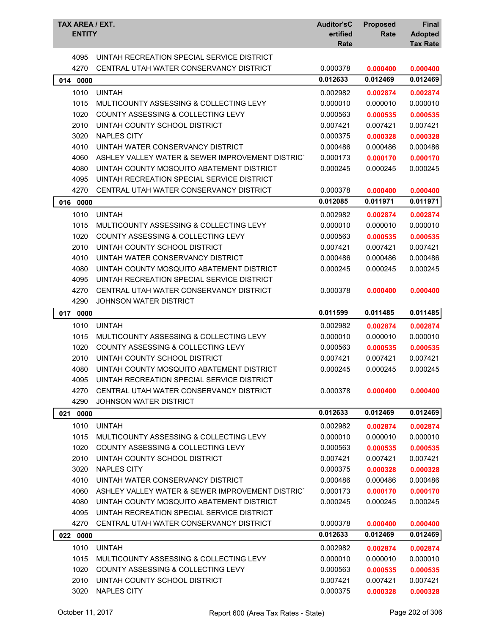| TAX AREA / EXT.<br><b>ENTITY</b> |                                                   | <b>Auditor'sC</b><br>ertified<br>Rate | <b>Proposed</b><br>Rate | <b>Final</b><br><b>Adopted</b><br><b>Tax Rate</b> |
|----------------------------------|---------------------------------------------------|---------------------------------------|-------------------------|---------------------------------------------------|
| 4095                             | UINTAH RECREATION SPECIAL SERVICE DISTRICT        |                                       |                         |                                                   |
| 4270                             | CENTRAL UTAH WATER CONSERVANCY DISTRICT           | 0.000378                              | 0.000400                | 0.000400                                          |
| 014 0000                         |                                                   | 0.012633                              | 0.012469                | 0.012469                                          |
| 1010                             | <b>UINTAH</b>                                     | 0.002982                              | 0.002874                | 0.002874                                          |
| 1015                             | MULTICOUNTY ASSESSING & COLLECTING LEVY           | 0.000010                              | 0.000010                | 0.000010                                          |
| 1020                             | COUNTY ASSESSING & COLLECTING LEVY                | 0.000563                              | 0.000535                | 0.000535                                          |
| 2010                             | UINTAH COUNTY SCHOOL DISTRICT                     | 0.007421                              | 0.007421                | 0.007421                                          |
| 3020                             | <b>NAPLES CITY</b>                                | 0.000375                              | 0.000328                | 0.000328                                          |
| 4010                             | UINTAH WATER CONSERVANCY DISTRICT                 | 0.000486                              | 0.000486                | 0.000486                                          |
| 4060                             | ASHLEY VALLEY WATER & SEWER IMPROVEMENT DISTRICT  | 0.000173                              | 0.000170                | 0.000170                                          |
| 4080                             | UINTAH COUNTY MOSQUITO ABATEMENT DISTRICT         | 0.000245                              | 0.000245                | 0.000245                                          |
| 4095                             | UINTAH RECREATION SPECIAL SERVICE DISTRICT        |                                       |                         |                                                   |
| 4270                             | CENTRAL UTAH WATER CONSERVANCY DISTRICT           | 0.000378                              | 0.000400                | 0.000400                                          |
| 016<br>0000                      |                                                   | 0.012085                              | 0.011971                | 0.011971                                          |
| 1010                             | <b>UINTAH</b>                                     | 0.002982                              | 0.002874                | 0.002874                                          |
| 1015                             | MULTICOUNTY ASSESSING & COLLECTING LEVY           | 0.000010                              | 0.000010                | 0.000010                                          |
| 1020                             | COUNTY ASSESSING & COLLECTING LEVY                | 0.000563                              | 0.000535                | 0.000535                                          |
| 2010                             | UINTAH COUNTY SCHOOL DISTRICT                     | 0.007421                              | 0.007421                | 0.007421                                          |
| 4010                             | UINTAH WATER CONSERVANCY DISTRICT                 | 0.000486                              | 0.000486                | 0.000486                                          |
| 4080                             | UINTAH COUNTY MOSQUITO ABATEMENT DISTRICT         | 0.000245                              | 0.000245                | 0.000245                                          |
| 4095                             | UINTAH RECREATION SPECIAL SERVICE DISTRICT        |                                       |                         |                                                   |
| 4270                             | CENTRAL UTAH WATER CONSERVANCY DISTRICT           | 0.000378                              | 0.000400                | 0.000400                                          |
| 4290                             | <b>JOHNSON WATER DISTRICT</b>                     |                                       |                         |                                                   |
|                                  |                                                   | 0.011599                              | 0.011485                | 0.011485                                          |
| 017<br>0000                      |                                                   |                                       |                         |                                                   |
| 1010                             | <b>UINTAH</b>                                     | 0.002982                              | 0.002874                | 0.002874                                          |
| 1015                             | MULTICOUNTY ASSESSING & COLLECTING LEVY           | 0.000010                              | 0.000010                | 0.000010                                          |
| 1020                             | COUNTY ASSESSING & COLLECTING LEVY                | 0.000563                              | 0.000535                | 0.000535                                          |
| 2010                             | UINTAH COUNTY SCHOOL DISTRICT                     | 0.007421                              | 0.007421                | 0.007421                                          |
| 4080                             | UINTAH COUNTY MOSQUITO ABATEMENT DISTRICT         | 0.000245                              | 0.000245                | 0.000245                                          |
| 4095                             | <b>UINTAH RECREATION SPECIAL SERVICE DISTRICT</b> |                                       |                         |                                                   |
| 4270                             | CENTRAL UTAH WATER CONSERVANCY DISTRICT           | 0.000378                              | 0.000400                | 0.000400                                          |
| 4290                             | JOHNSON WATER DISTRICT                            |                                       |                         |                                                   |
| 021 0000                         |                                                   | 0.012633                              | 0.012469                | 0.012469                                          |
| 1010                             | <b>UINTAH</b>                                     | 0.002982                              | 0.002874                | 0.002874                                          |
| 1015                             | MULTICOUNTY ASSESSING & COLLECTING LEVY           | 0.000010                              | 0.000010                | 0.000010                                          |
| 1020                             | COUNTY ASSESSING & COLLECTING LEVY                | 0.000563                              | 0.000535                | 0.000535                                          |
| 2010                             | UINTAH COUNTY SCHOOL DISTRICT                     | 0.007421                              | 0.007421                | 0.007421                                          |
| 3020                             | <b>NAPLES CITY</b>                                | 0.000375                              | 0.000328                | 0.000328                                          |
| 4010                             | UINTAH WATER CONSERVANCY DISTRICT                 | 0.000486                              | 0.000486                | 0.000486                                          |
| 4060                             | ASHLEY VALLEY WATER & SEWER IMPROVEMENT DISTRICT  | 0.000173                              | 0.000170                | 0.000170                                          |
| 4080                             | UINTAH COUNTY MOSQUITO ABATEMENT DISTRICT         | 0.000245                              | 0.000245                | 0.000245                                          |
| 4095                             | UINTAH RECREATION SPECIAL SERVICE DISTRICT        |                                       |                         |                                                   |
| 4270                             | CENTRAL UTAH WATER CONSERVANCY DISTRICT           | 0.000378                              | 0.000400                | 0.000400                                          |
| 022 0000                         |                                                   | 0.012633                              | 0.012469                | 0.012469                                          |
| 1010                             | <b>UINTAH</b>                                     | 0.002982                              | 0.002874                | 0.002874                                          |
| 1015                             | MULTICOUNTY ASSESSING & COLLECTING LEVY           | 0.000010                              | 0.000010                | 0.000010                                          |
| 1020                             | COUNTY ASSESSING & COLLECTING LEVY                | 0.000563                              | 0.000535                | 0.000535                                          |
| 2010                             | UINTAH COUNTY SCHOOL DISTRICT                     | 0.007421<br>0.000375                  | 0.007421                | 0.007421                                          |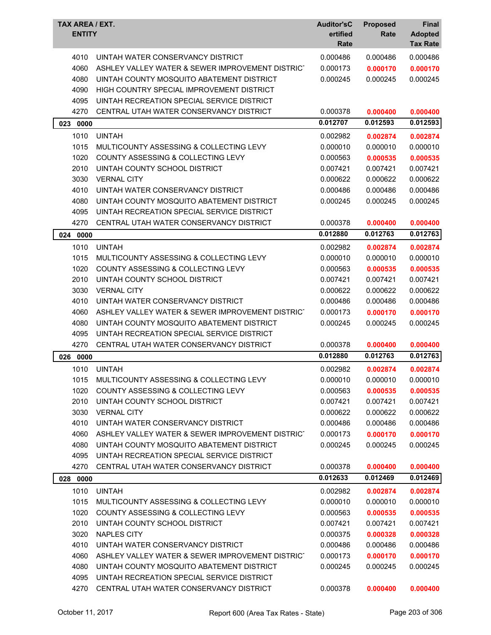| 0.000486<br>0.000486<br>4010<br>UINTAH WATER CONSERVANCY DISTRICT<br>0.000486<br>4060<br>ASHLEY VALLEY WATER & SEWER IMPROVEMENT DISTRICT<br>0.000173<br>0.000170<br>0.000170<br>4080<br>UINTAH COUNTY MOSQUITO ABATEMENT DISTRICT<br>0.000245<br>0.000245<br>0.000245<br>4090<br>HIGH COUNTRY SPECIAL IMPROVEMENT DISTRICT<br>4095<br>UINTAH RECREATION SPECIAL SERVICE DISTRICT<br>4270<br>CENTRAL UTAH WATER CONSERVANCY DISTRICT<br>0.000378<br>0.000400<br>0.000400<br>0.012593<br>0.012707<br>0.012593<br>023<br>0000<br>1010<br><b>UINTAH</b><br>0.002982<br>0.002874<br>0.002874<br>0.000010<br>1015<br>MULTICOUNTY ASSESSING & COLLECTING LEVY<br>0.000010<br>0.000010<br>1020<br>COUNTY ASSESSING & COLLECTING LEVY<br>0.000563<br>0.000535<br>0.000535<br>2010<br>UINTAH COUNTY SCHOOL DISTRICT<br>0.007421<br>0.007421<br>0.007421<br>3030<br><b>VERNAL CITY</b><br>0.000622<br>0.000622<br>0.000622<br>4010<br>UINTAH WATER CONSERVANCY DISTRICT<br>0.000486<br>0.000486<br>0.000486<br>4080<br>UINTAH COUNTY MOSQUITO ABATEMENT DISTRICT<br>0.000245<br>0.000245<br>0.000245<br>4095<br>UINTAH RECREATION SPECIAL SERVICE DISTRICT<br>4270<br>CENTRAL UTAH WATER CONSERVANCY DISTRICT<br>0.000378<br>0.000400<br>0.000400<br>0.012763<br>0.012880<br>0.012763<br>024<br>0000<br>1010<br><b>UINTAH</b><br>0.002982<br>0.002874<br>0.002874<br>1015<br>MULTICOUNTY ASSESSING & COLLECTING LEVY<br>0.000010<br>0.000010<br>0.000010<br>1020<br>COUNTY ASSESSING & COLLECTING LEVY<br>0.000563<br>0.000535<br>0.000535<br>2010<br>UINTAH COUNTY SCHOOL DISTRICT<br>0.007421<br>0.007421<br>0.007421<br>3030<br>0.000622<br><b>VERNAL CITY</b><br>0.000622<br>0.000622<br>4010<br>UINTAH WATER CONSERVANCY DISTRICT<br>0.000486<br>0.000486<br>0.000486<br>4060<br>ASHLEY VALLEY WATER & SEWER IMPROVEMENT DISTRICT<br>0.000173<br>0.000170<br>0.000170<br>4080<br>UINTAH COUNTY MOSQUITO ABATEMENT DISTRICT<br>0.000245<br>0.000245<br>0.000245<br>4095<br>UINTAH RECREATION SPECIAL SERVICE DISTRICT<br>4270<br>CENTRAL UTAH WATER CONSERVANCY DISTRICT<br>0.000378<br>0.000400<br>0.000400<br>0.012763<br>0.012763<br>0.012880<br>026<br>0000<br>1010<br><b>UINTAH</b><br>0.002982<br>0.002874<br>0.002874<br>MULTICOUNTY ASSESSING & COLLECTING LEVY<br>1015<br>0.000010<br>0.000010<br>0.000010<br>1020<br>COUNTY ASSESSING & COLLECTING LEVY<br>0.000563<br>0.000535<br>0.000535<br>2010<br>UINTAH COUNTY SCHOOL DISTRICT<br>0.007421<br>0.007421<br>0.007421<br>3030<br><b>VERNAL CITY</b><br>0.000622<br>0.000622<br>0.000622<br>4010<br>UINTAH WATER CONSERVANCY DISTRICT<br>0.000486<br>0.000486<br>0.000486<br>ASHLEY VALLEY WATER & SEWER IMPROVEMENT DISTRICT<br>4060<br>0.000173<br>0.000170<br>0.000170<br>4080<br>UINTAH COUNTY MOSQUITO ABATEMENT DISTRICT<br>0.000245<br>0.000245<br>0.000245<br>4095<br>UINTAH RECREATION SPECIAL SERVICE DISTRICT<br>4270<br>CENTRAL UTAH WATER CONSERVANCY DISTRICT<br>0.000378<br>0.000400<br>0.000400<br>0.012633<br>0.012469<br>0.012469<br>028<br>0000<br><b>UINTAH</b><br>1010<br>0.002982<br>0.002874<br>0.002874<br>1015<br>MULTICOUNTY ASSESSING & COLLECTING LEVY<br>0.000010<br>0.000010<br>0.000010<br>1020<br>COUNTY ASSESSING & COLLECTING LEVY<br>0.000563<br>0.000535<br>0.000535<br>2010<br>UINTAH COUNTY SCHOOL DISTRICT<br>0.007421<br>0.007421<br>0.007421<br>3020<br><b>NAPLES CITY</b><br>0.000375<br>0.000328<br>0.000328<br>UINTAH WATER CONSERVANCY DISTRICT<br>4010<br>0.000486<br>0.000486<br>0.000486<br>4060<br>ASHLEY VALLEY WATER & SEWER IMPROVEMENT DISTRICT<br>0.000173<br>0.000170<br>0.000170<br>UINTAH COUNTY MOSQUITO ABATEMENT DISTRICT<br>4080<br>0.000245<br>0.000245<br>0.000245<br>4095<br>UINTAH RECREATION SPECIAL SERVICE DISTRICT | TAX AREA / EXT.<br><b>ENTITY</b> |                                         | <b>Auditor'sC</b><br>ertified<br>Rate | <b>Proposed</b><br>Rate | Final<br><b>Adopted</b><br><b>Tax Rate</b> |
|-----------------------------------------------------------------------------------------------------------------------------------------------------------------------------------------------------------------------------------------------------------------------------------------------------------------------------------------------------------------------------------------------------------------------------------------------------------------------------------------------------------------------------------------------------------------------------------------------------------------------------------------------------------------------------------------------------------------------------------------------------------------------------------------------------------------------------------------------------------------------------------------------------------------------------------------------------------------------------------------------------------------------------------------------------------------------------------------------------------------------------------------------------------------------------------------------------------------------------------------------------------------------------------------------------------------------------------------------------------------------------------------------------------------------------------------------------------------------------------------------------------------------------------------------------------------------------------------------------------------------------------------------------------------------------------------------------------------------------------------------------------------------------------------------------------------------------------------------------------------------------------------------------------------------------------------------------------------------------------------------------------------------------------------------------------------------------------------------------------------------------------------------------------------------------------------------------------------------------------------------------------------------------------------------------------------------------------------------------------------------------------------------------------------------------------------------------------------------------------------------------------------------------------------------------------------------------------------------------------------------------------------------------------------------------------------------------------------------------------------------------------------------------------------------------------------------------------------------------------------------------------------------------------------------------------------------------------------------------------------------------------------------------------------------------------------------------------------------------------------------------------------------------------------------------------------------------------------------------------------------------------------------------------------------------------------------------------------------------------------------------------------------------------------------------------------------------------------------------------------------------------------------------------------------------------------------------------------------------------------------------------------------------------------------------------------------------------------------------------------------|----------------------------------|-----------------------------------------|---------------------------------------|-------------------------|--------------------------------------------|
|                                                                                                                                                                                                                                                                                                                                                                                                                                                                                                                                                                                                                                                                                                                                                                                                                                                                                                                                                                                                                                                                                                                                                                                                                                                                                                                                                                                                                                                                                                                                                                                                                                                                                                                                                                                                                                                                                                                                                                                                                                                                                                                                                                                                                                                                                                                                                                                                                                                                                                                                                                                                                                                                                                                                                                                                                                                                                                                                                                                                                                                                                                                                                                                                                                                                                                                                                                                                                                                                                                                                                                                                                                                                                                                                               |                                  |                                         |                                       |                         |                                            |
|                                                                                                                                                                                                                                                                                                                                                                                                                                                                                                                                                                                                                                                                                                                                                                                                                                                                                                                                                                                                                                                                                                                                                                                                                                                                                                                                                                                                                                                                                                                                                                                                                                                                                                                                                                                                                                                                                                                                                                                                                                                                                                                                                                                                                                                                                                                                                                                                                                                                                                                                                                                                                                                                                                                                                                                                                                                                                                                                                                                                                                                                                                                                                                                                                                                                                                                                                                                                                                                                                                                                                                                                                                                                                                                                               |                                  |                                         |                                       |                         |                                            |
|                                                                                                                                                                                                                                                                                                                                                                                                                                                                                                                                                                                                                                                                                                                                                                                                                                                                                                                                                                                                                                                                                                                                                                                                                                                                                                                                                                                                                                                                                                                                                                                                                                                                                                                                                                                                                                                                                                                                                                                                                                                                                                                                                                                                                                                                                                                                                                                                                                                                                                                                                                                                                                                                                                                                                                                                                                                                                                                                                                                                                                                                                                                                                                                                                                                                                                                                                                                                                                                                                                                                                                                                                                                                                                                                               |                                  |                                         |                                       |                         |                                            |
|                                                                                                                                                                                                                                                                                                                                                                                                                                                                                                                                                                                                                                                                                                                                                                                                                                                                                                                                                                                                                                                                                                                                                                                                                                                                                                                                                                                                                                                                                                                                                                                                                                                                                                                                                                                                                                                                                                                                                                                                                                                                                                                                                                                                                                                                                                                                                                                                                                                                                                                                                                                                                                                                                                                                                                                                                                                                                                                                                                                                                                                                                                                                                                                                                                                                                                                                                                                                                                                                                                                                                                                                                                                                                                                                               |                                  |                                         |                                       |                         |                                            |
|                                                                                                                                                                                                                                                                                                                                                                                                                                                                                                                                                                                                                                                                                                                                                                                                                                                                                                                                                                                                                                                                                                                                                                                                                                                                                                                                                                                                                                                                                                                                                                                                                                                                                                                                                                                                                                                                                                                                                                                                                                                                                                                                                                                                                                                                                                                                                                                                                                                                                                                                                                                                                                                                                                                                                                                                                                                                                                                                                                                                                                                                                                                                                                                                                                                                                                                                                                                                                                                                                                                                                                                                                                                                                                                                               |                                  |                                         |                                       |                         |                                            |
|                                                                                                                                                                                                                                                                                                                                                                                                                                                                                                                                                                                                                                                                                                                                                                                                                                                                                                                                                                                                                                                                                                                                                                                                                                                                                                                                                                                                                                                                                                                                                                                                                                                                                                                                                                                                                                                                                                                                                                                                                                                                                                                                                                                                                                                                                                                                                                                                                                                                                                                                                                                                                                                                                                                                                                                                                                                                                                                                                                                                                                                                                                                                                                                                                                                                                                                                                                                                                                                                                                                                                                                                                                                                                                                                               |                                  |                                         |                                       |                         |                                            |
|                                                                                                                                                                                                                                                                                                                                                                                                                                                                                                                                                                                                                                                                                                                                                                                                                                                                                                                                                                                                                                                                                                                                                                                                                                                                                                                                                                                                                                                                                                                                                                                                                                                                                                                                                                                                                                                                                                                                                                                                                                                                                                                                                                                                                                                                                                                                                                                                                                                                                                                                                                                                                                                                                                                                                                                                                                                                                                                                                                                                                                                                                                                                                                                                                                                                                                                                                                                                                                                                                                                                                                                                                                                                                                                                               |                                  |                                         |                                       |                         |                                            |
|                                                                                                                                                                                                                                                                                                                                                                                                                                                                                                                                                                                                                                                                                                                                                                                                                                                                                                                                                                                                                                                                                                                                                                                                                                                                                                                                                                                                                                                                                                                                                                                                                                                                                                                                                                                                                                                                                                                                                                                                                                                                                                                                                                                                                                                                                                                                                                                                                                                                                                                                                                                                                                                                                                                                                                                                                                                                                                                                                                                                                                                                                                                                                                                                                                                                                                                                                                                                                                                                                                                                                                                                                                                                                                                                               |                                  |                                         |                                       |                         |                                            |
|                                                                                                                                                                                                                                                                                                                                                                                                                                                                                                                                                                                                                                                                                                                                                                                                                                                                                                                                                                                                                                                                                                                                                                                                                                                                                                                                                                                                                                                                                                                                                                                                                                                                                                                                                                                                                                                                                                                                                                                                                                                                                                                                                                                                                                                                                                                                                                                                                                                                                                                                                                                                                                                                                                                                                                                                                                                                                                                                                                                                                                                                                                                                                                                                                                                                                                                                                                                                                                                                                                                                                                                                                                                                                                                                               |                                  |                                         |                                       |                         |                                            |
|                                                                                                                                                                                                                                                                                                                                                                                                                                                                                                                                                                                                                                                                                                                                                                                                                                                                                                                                                                                                                                                                                                                                                                                                                                                                                                                                                                                                                                                                                                                                                                                                                                                                                                                                                                                                                                                                                                                                                                                                                                                                                                                                                                                                                                                                                                                                                                                                                                                                                                                                                                                                                                                                                                                                                                                                                                                                                                                                                                                                                                                                                                                                                                                                                                                                                                                                                                                                                                                                                                                                                                                                                                                                                                                                               |                                  |                                         |                                       |                         |                                            |
|                                                                                                                                                                                                                                                                                                                                                                                                                                                                                                                                                                                                                                                                                                                                                                                                                                                                                                                                                                                                                                                                                                                                                                                                                                                                                                                                                                                                                                                                                                                                                                                                                                                                                                                                                                                                                                                                                                                                                                                                                                                                                                                                                                                                                                                                                                                                                                                                                                                                                                                                                                                                                                                                                                                                                                                                                                                                                                                                                                                                                                                                                                                                                                                                                                                                                                                                                                                                                                                                                                                                                                                                                                                                                                                                               |                                  |                                         |                                       |                         |                                            |
|                                                                                                                                                                                                                                                                                                                                                                                                                                                                                                                                                                                                                                                                                                                                                                                                                                                                                                                                                                                                                                                                                                                                                                                                                                                                                                                                                                                                                                                                                                                                                                                                                                                                                                                                                                                                                                                                                                                                                                                                                                                                                                                                                                                                                                                                                                                                                                                                                                                                                                                                                                                                                                                                                                                                                                                                                                                                                                                                                                                                                                                                                                                                                                                                                                                                                                                                                                                                                                                                                                                                                                                                                                                                                                                                               |                                  |                                         |                                       |                         |                                            |
|                                                                                                                                                                                                                                                                                                                                                                                                                                                                                                                                                                                                                                                                                                                                                                                                                                                                                                                                                                                                                                                                                                                                                                                                                                                                                                                                                                                                                                                                                                                                                                                                                                                                                                                                                                                                                                                                                                                                                                                                                                                                                                                                                                                                                                                                                                                                                                                                                                                                                                                                                                                                                                                                                                                                                                                                                                                                                                                                                                                                                                                                                                                                                                                                                                                                                                                                                                                                                                                                                                                                                                                                                                                                                                                                               |                                  |                                         |                                       |                         |                                            |
|                                                                                                                                                                                                                                                                                                                                                                                                                                                                                                                                                                                                                                                                                                                                                                                                                                                                                                                                                                                                                                                                                                                                                                                                                                                                                                                                                                                                                                                                                                                                                                                                                                                                                                                                                                                                                                                                                                                                                                                                                                                                                                                                                                                                                                                                                                                                                                                                                                                                                                                                                                                                                                                                                                                                                                                                                                                                                                                                                                                                                                                                                                                                                                                                                                                                                                                                                                                                                                                                                                                                                                                                                                                                                                                                               |                                  |                                         |                                       |                         |                                            |
|                                                                                                                                                                                                                                                                                                                                                                                                                                                                                                                                                                                                                                                                                                                                                                                                                                                                                                                                                                                                                                                                                                                                                                                                                                                                                                                                                                                                                                                                                                                                                                                                                                                                                                                                                                                                                                                                                                                                                                                                                                                                                                                                                                                                                                                                                                                                                                                                                                                                                                                                                                                                                                                                                                                                                                                                                                                                                                                                                                                                                                                                                                                                                                                                                                                                                                                                                                                                                                                                                                                                                                                                                                                                                                                                               |                                  |                                         |                                       |                         |                                            |
|                                                                                                                                                                                                                                                                                                                                                                                                                                                                                                                                                                                                                                                                                                                                                                                                                                                                                                                                                                                                                                                                                                                                                                                                                                                                                                                                                                                                                                                                                                                                                                                                                                                                                                                                                                                                                                                                                                                                                                                                                                                                                                                                                                                                                                                                                                                                                                                                                                                                                                                                                                                                                                                                                                                                                                                                                                                                                                                                                                                                                                                                                                                                                                                                                                                                                                                                                                                                                                                                                                                                                                                                                                                                                                                                               |                                  |                                         |                                       |                         |                                            |
|                                                                                                                                                                                                                                                                                                                                                                                                                                                                                                                                                                                                                                                                                                                                                                                                                                                                                                                                                                                                                                                                                                                                                                                                                                                                                                                                                                                                                                                                                                                                                                                                                                                                                                                                                                                                                                                                                                                                                                                                                                                                                                                                                                                                                                                                                                                                                                                                                                                                                                                                                                                                                                                                                                                                                                                                                                                                                                                                                                                                                                                                                                                                                                                                                                                                                                                                                                                                                                                                                                                                                                                                                                                                                                                                               |                                  |                                         |                                       |                         |                                            |
|                                                                                                                                                                                                                                                                                                                                                                                                                                                                                                                                                                                                                                                                                                                                                                                                                                                                                                                                                                                                                                                                                                                                                                                                                                                                                                                                                                                                                                                                                                                                                                                                                                                                                                                                                                                                                                                                                                                                                                                                                                                                                                                                                                                                                                                                                                                                                                                                                                                                                                                                                                                                                                                                                                                                                                                                                                                                                                                                                                                                                                                                                                                                                                                                                                                                                                                                                                                                                                                                                                                                                                                                                                                                                                                                               |                                  |                                         |                                       |                         |                                            |
|                                                                                                                                                                                                                                                                                                                                                                                                                                                                                                                                                                                                                                                                                                                                                                                                                                                                                                                                                                                                                                                                                                                                                                                                                                                                                                                                                                                                                                                                                                                                                                                                                                                                                                                                                                                                                                                                                                                                                                                                                                                                                                                                                                                                                                                                                                                                                                                                                                                                                                                                                                                                                                                                                                                                                                                                                                                                                                                                                                                                                                                                                                                                                                                                                                                                                                                                                                                                                                                                                                                                                                                                                                                                                                                                               |                                  |                                         |                                       |                         |                                            |
|                                                                                                                                                                                                                                                                                                                                                                                                                                                                                                                                                                                                                                                                                                                                                                                                                                                                                                                                                                                                                                                                                                                                                                                                                                                                                                                                                                                                                                                                                                                                                                                                                                                                                                                                                                                                                                                                                                                                                                                                                                                                                                                                                                                                                                                                                                                                                                                                                                                                                                                                                                                                                                                                                                                                                                                                                                                                                                                                                                                                                                                                                                                                                                                                                                                                                                                                                                                                                                                                                                                                                                                                                                                                                                                                               |                                  |                                         |                                       |                         |                                            |
|                                                                                                                                                                                                                                                                                                                                                                                                                                                                                                                                                                                                                                                                                                                                                                                                                                                                                                                                                                                                                                                                                                                                                                                                                                                                                                                                                                                                                                                                                                                                                                                                                                                                                                                                                                                                                                                                                                                                                                                                                                                                                                                                                                                                                                                                                                                                                                                                                                                                                                                                                                                                                                                                                                                                                                                                                                                                                                                                                                                                                                                                                                                                                                                                                                                                                                                                                                                                                                                                                                                                                                                                                                                                                                                                               |                                  |                                         |                                       |                         |                                            |
|                                                                                                                                                                                                                                                                                                                                                                                                                                                                                                                                                                                                                                                                                                                                                                                                                                                                                                                                                                                                                                                                                                                                                                                                                                                                                                                                                                                                                                                                                                                                                                                                                                                                                                                                                                                                                                                                                                                                                                                                                                                                                                                                                                                                                                                                                                                                                                                                                                                                                                                                                                                                                                                                                                                                                                                                                                                                                                                                                                                                                                                                                                                                                                                                                                                                                                                                                                                                                                                                                                                                                                                                                                                                                                                                               |                                  |                                         |                                       |                         |                                            |
|                                                                                                                                                                                                                                                                                                                                                                                                                                                                                                                                                                                                                                                                                                                                                                                                                                                                                                                                                                                                                                                                                                                                                                                                                                                                                                                                                                                                                                                                                                                                                                                                                                                                                                                                                                                                                                                                                                                                                                                                                                                                                                                                                                                                                                                                                                                                                                                                                                                                                                                                                                                                                                                                                                                                                                                                                                                                                                                                                                                                                                                                                                                                                                                                                                                                                                                                                                                                                                                                                                                                                                                                                                                                                                                                               |                                  |                                         |                                       |                         |                                            |
|                                                                                                                                                                                                                                                                                                                                                                                                                                                                                                                                                                                                                                                                                                                                                                                                                                                                                                                                                                                                                                                                                                                                                                                                                                                                                                                                                                                                                                                                                                                                                                                                                                                                                                                                                                                                                                                                                                                                                                                                                                                                                                                                                                                                                                                                                                                                                                                                                                                                                                                                                                                                                                                                                                                                                                                                                                                                                                                                                                                                                                                                                                                                                                                                                                                                                                                                                                                                                                                                                                                                                                                                                                                                                                                                               |                                  |                                         |                                       |                         |                                            |
|                                                                                                                                                                                                                                                                                                                                                                                                                                                                                                                                                                                                                                                                                                                                                                                                                                                                                                                                                                                                                                                                                                                                                                                                                                                                                                                                                                                                                                                                                                                                                                                                                                                                                                                                                                                                                                                                                                                                                                                                                                                                                                                                                                                                                                                                                                                                                                                                                                                                                                                                                                                                                                                                                                                                                                                                                                                                                                                                                                                                                                                                                                                                                                                                                                                                                                                                                                                                                                                                                                                                                                                                                                                                                                                                               |                                  |                                         |                                       |                         |                                            |
|                                                                                                                                                                                                                                                                                                                                                                                                                                                                                                                                                                                                                                                                                                                                                                                                                                                                                                                                                                                                                                                                                                                                                                                                                                                                                                                                                                                                                                                                                                                                                                                                                                                                                                                                                                                                                                                                                                                                                                                                                                                                                                                                                                                                                                                                                                                                                                                                                                                                                                                                                                                                                                                                                                                                                                                                                                                                                                                                                                                                                                                                                                                                                                                                                                                                                                                                                                                                                                                                                                                                                                                                                                                                                                                                               |                                  |                                         |                                       |                         |                                            |
|                                                                                                                                                                                                                                                                                                                                                                                                                                                                                                                                                                                                                                                                                                                                                                                                                                                                                                                                                                                                                                                                                                                                                                                                                                                                                                                                                                                                                                                                                                                                                                                                                                                                                                                                                                                                                                                                                                                                                                                                                                                                                                                                                                                                                                                                                                                                                                                                                                                                                                                                                                                                                                                                                                                                                                                                                                                                                                                                                                                                                                                                                                                                                                                                                                                                                                                                                                                                                                                                                                                                                                                                                                                                                                                                               |                                  |                                         |                                       |                         |                                            |
|                                                                                                                                                                                                                                                                                                                                                                                                                                                                                                                                                                                                                                                                                                                                                                                                                                                                                                                                                                                                                                                                                                                                                                                                                                                                                                                                                                                                                                                                                                                                                                                                                                                                                                                                                                                                                                                                                                                                                                                                                                                                                                                                                                                                                                                                                                                                                                                                                                                                                                                                                                                                                                                                                                                                                                                                                                                                                                                                                                                                                                                                                                                                                                                                                                                                                                                                                                                                                                                                                                                                                                                                                                                                                                                                               |                                  |                                         |                                       |                         |                                            |
|                                                                                                                                                                                                                                                                                                                                                                                                                                                                                                                                                                                                                                                                                                                                                                                                                                                                                                                                                                                                                                                                                                                                                                                                                                                                                                                                                                                                                                                                                                                                                                                                                                                                                                                                                                                                                                                                                                                                                                                                                                                                                                                                                                                                                                                                                                                                                                                                                                                                                                                                                                                                                                                                                                                                                                                                                                                                                                                                                                                                                                                                                                                                                                                                                                                                                                                                                                                                                                                                                                                                                                                                                                                                                                                                               |                                  |                                         |                                       |                         |                                            |
|                                                                                                                                                                                                                                                                                                                                                                                                                                                                                                                                                                                                                                                                                                                                                                                                                                                                                                                                                                                                                                                                                                                                                                                                                                                                                                                                                                                                                                                                                                                                                                                                                                                                                                                                                                                                                                                                                                                                                                                                                                                                                                                                                                                                                                                                                                                                                                                                                                                                                                                                                                                                                                                                                                                                                                                                                                                                                                                                                                                                                                                                                                                                                                                                                                                                                                                                                                                                                                                                                                                                                                                                                                                                                                                                               |                                  |                                         |                                       |                         |                                            |
|                                                                                                                                                                                                                                                                                                                                                                                                                                                                                                                                                                                                                                                                                                                                                                                                                                                                                                                                                                                                                                                                                                                                                                                                                                                                                                                                                                                                                                                                                                                                                                                                                                                                                                                                                                                                                                                                                                                                                                                                                                                                                                                                                                                                                                                                                                                                                                                                                                                                                                                                                                                                                                                                                                                                                                                                                                                                                                                                                                                                                                                                                                                                                                                                                                                                                                                                                                                                                                                                                                                                                                                                                                                                                                                                               |                                  |                                         |                                       |                         |                                            |
|                                                                                                                                                                                                                                                                                                                                                                                                                                                                                                                                                                                                                                                                                                                                                                                                                                                                                                                                                                                                                                                                                                                                                                                                                                                                                                                                                                                                                                                                                                                                                                                                                                                                                                                                                                                                                                                                                                                                                                                                                                                                                                                                                                                                                                                                                                                                                                                                                                                                                                                                                                                                                                                                                                                                                                                                                                                                                                                                                                                                                                                                                                                                                                                                                                                                                                                                                                                                                                                                                                                                                                                                                                                                                                                                               |                                  |                                         |                                       |                         |                                            |
|                                                                                                                                                                                                                                                                                                                                                                                                                                                                                                                                                                                                                                                                                                                                                                                                                                                                                                                                                                                                                                                                                                                                                                                                                                                                                                                                                                                                                                                                                                                                                                                                                                                                                                                                                                                                                                                                                                                                                                                                                                                                                                                                                                                                                                                                                                                                                                                                                                                                                                                                                                                                                                                                                                                                                                                                                                                                                                                                                                                                                                                                                                                                                                                                                                                                                                                                                                                                                                                                                                                                                                                                                                                                                                                                               |                                  |                                         |                                       |                         |                                            |
|                                                                                                                                                                                                                                                                                                                                                                                                                                                                                                                                                                                                                                                                                                                                                                                                                                                                                                                                                                                                                                                                                                                                                                                                                                                                                                                                                                                                                                                                                                                                                                                                                                                                                                                                                                                                                                                                                                                                                                                                                                                                                                                                                                                                                                                                                                                                                                                                                                                                                                                                                                                                                                                                                                                                                                                                                                                                                                                                                                                                                                                                                                                                                                                                                                                                                                                                                                                                                                                                                                                                                                                                                                                                                                                                               |                                  |                                         |                                       |                         |                                            |
|                                                                                                                                                                                                                                                                                                                                                                                                                                                                                                                                                                                                                                                                                                                                                                                                                                                                                                                                                                                                                                                                                                                                                                                                                                                                                                                                                                                                                                                                                                                                                                                                                                                                                                                                                                                                                                                                                                                                                                                                                                                                                                                                                                                                                                                                                                                                                                                                                                                                                                                                                                                                                                                                                                                                                                                                                                                                                                                                                                                                                                                                                                                                                                                                                                                                                                                                                                                                                                                                                                                                                                                                                                                                                                                                               |                                  |                                         |                                       |                         |                                            |
|                                                                                                                                                                                                                                                                                                                                                                                                                                                                                                                                                                                                                                                                                                                                                                                                                                                                                                                                                                                                                                                                                                                                                                                                                                                                                                                                                                                                                                                                                                                                                                                                                                                                                                                                                                                                                                                                                                                                                                                                                                                                                                                                                                                                                                                                                                                                                                                                                                                                                                                                                                                                                                                                                                                                                                                                                                                                                                                                                                                                                                                                                                                                                                                                                                                                                                                                                                                                                                                                                                                                                                                                                                                                                                                                               |                                  |                                         |                                       |                         |                                            |
|                                                                                                                                                                                                                                                                                                                                                                                                                                                                                                                                                                                                                                                                                                                                                                                                                                                                                                                                                                                                                                                                                                                                                                                                                                                                                                                                                                                                                                                                                                                                                                                                                                                                                                                                                                                                                                                                                                                                                                                                                                                                                                                                                                                                                                                                                                                                                                                                                                                                                                                                                                                                                                                                                                                                                                                                                                                                                                                                                                                                                                                                                                                                                                                                                                                                                                                                                                                                                                                                                                                                                                                                                                                                                                                                               |                                  |                                         |                                       |                         |                                            |
|                                                                                                                                                                                                                                                                                                                                                                                                                                                                                                                                                                                                                                                                                                                                                                                                                                                                                                                                                                                                                                                                                                                                                                                                                                                                                                                                                                                                                                                                                                                                                                                                                                                                                                                                                                                                                                                                                                                                                                                                                                                                                                                                                                                                                                                                                                                                                                                                                                                                                                                                                                                                                                                                                                                                                                                                                                                                                                                                                                                                                                                                                                                                                                                                                                                                                                                                                                                                                                                                                                                                                                                                                                                                                                                                               |                                  |                                         |                                       |                         |                                            |
|                                                                                                                                                                                                                                                                                                                                                                                                                                                                                                                                                                                                                                                                                                                                                                                                                                                                                                                                                                                                                                                                                                                                                                                                                                                                                                                                                                                                                                                                                                                                                                                                                                                                                                                                                                                                                                                                                                                                                                                                                                                                                                                                                                                                                                                                                                                                                                                                                                                                                                                                                                                                                                                                                                                                                                                                                                                                                                                                                                                                                                                                                                                                                                                                                                                                                                                                                                                                                                                                                                                                                                                                                                                                                                                                               |                                  |                                         |                                       |                         |                                            |
|                                                                                                                                                                                                                                                                                                                                                                                                                                                                                                                                                                                                                                                                                                                                                                                                                                                                                                                                                                                                                                                                                                                                                                                                                                                                                                                                                                                                                                                                                                                                                                                                                                                                                                                                                                                                                                                                                                                                                                                                                                                                                                                                                                                                                                                                                                                                                                                                                                                                                                                                                                                                                                                                                                                                                                                                                                                                                                                                                                                                                                                                                                                                                                                                                                                                                                                                                                                                                                                                                                                                                                                                                                                                                                                                               |                                  |                                         |                                       |                         |                                            |
|                                                                                                                                                                                                                                                                                                                                                                                                                                                                                                                                                                                                                                                                                                                                                                                                                                                                                                                                                                                                                                                                                                                                                                                                                                                                                                                                                                                                                                                                                                                                                                                                                                                                                                                                                                                                                                                                                                                                                                                                                                                                                                                                                                                                                                                                                                                                                                                                                                                                                                                                                                                                                                                                                                                                                                                                                                                                                                                                                                                                                                                                                                                                                                                                                                                                                                                                                                                                                                                                                                                                                                                                                                                                                                                                               |                                  |                                         |                                       |                         |                                            |
|                                                                                                                                                                                                                                                                                                                                                                                                                                                                                                                                                                                                                                                                                                                                                                                                                                                                                                                                                                                                                                                                                                                                                                                                                                                                                                                                                                                                                                                                                                                                                                                                                                                                                                                                                                                                                                                                                                                                                                                                                                                                                                                                                                                                                                                                                                                                                                                                                                                                                                                                                                                                                                                                                                                                                                                                                                                                                                                                                                                                                                                                                                                                                                                                                                                                                                                                                                                                                                                                                                                                                                                                                                                                                                                                               |                                  |                                         |                                       |                         |                                            |
|                                                                                                                                                                                                                                                                                                                                                                                                                                                                                                                                                                                                                                                                                                                                                                                                                                                                                                                                                                                                                                                                                                                                                                                                                                                                                                                                                                                                                                                                                                                                                                                                                                                                                                                                                                                                                                                                                                                                                                                                                                                                                                                                                                                                                                                                                                                                                                                                                                                                                                                                                                                                                                                                                                                                                                                                                                                                                                                                                                                                                                                                                                                                                                                                                                                                                                                                                                                                                                                                                                                                                                                                                                                                                                                                               |                                  |                                         |                                       |                         |                                            |
|                                                                                                                                                                                                                                                                                                                                                                                                                                                                                                                                                                                                                                                                                                                                                                                                                                                                                                                                                                                                                                                                                                                                                                                                                                                                                                                                                                                                                                                                                                                                                                                                                                                                                                                                                                                                                                                                                                                                                                                                                                                                                                                                                                                                                                                                                                                                                                                                                                                                                                                                                                                                                                                                                                                                                                                                                                                                                                                                                                                                                                                                                                                                                                                                                                                                                                                                                                                                                                                                                                                                                                                                                                                                                                                                               |                                  |                                         |                                       |                         |                                            |
|                                                                                                                                                                                                                                                                                                                                                                                                                                                                                                                                                                                                                                                                                                                                                                                                                                                                                                                                                                                                                                                                                                                                                                                                                                                                                                                                                                                                                                                                                                                                                                                                                                                                                                                                                                                                                                                                                                                                                                                                                                                                                                                                                                                                                                                                                                                                                                                                                                                                                                                                                                                                                                                                                                                                                                                                                                                                                                                                                                                                                                                                                                                                                                                                                                                                                                                                                                                                                                                                                                                                                                                                                                                                                                                                               |                                  |                                         |                                       |                         |                                            |
|                                                                                                                                                                                                                                                                                                                                                                                                                                                                                                                                                                                                                                                                                                                                                                                                                                                                                                                                                                                                                                                                                                                                                                                                                                                                                                                                                                                                                                                                                                                                                                                                                                                                                                                                                                                                                                                                                                                                                                                                                                                                                                                                                                                                                                                                                                                                                                                                                                                                                                                                                                                                                                                                                                                                                                                                                                                                                                                                                                                                                                                                                                                                                                                                                                                                                                                                                                                                                                                                                                                                                                                                                                                                                                                                               |                                  |                                         |                                       |                         |                                            |
|                                                                                                                                                                                                                                                                                                                                                                                                                                                                                                                                                                                                                                                                                                                                                                                                                                                                                                                                                                                                                                                                                                                                                                                                                                                                                                                                                                                                                                                                                                                                                                                                                                                                                                                                                                                                                                                                                                                                                                                                                                                                                                                                                                                                                                                                                                                                                                                                                                                                                                                                                                                                                                                                                                                                                                                                                                                                                                                                                                                                                                                                                                                                                                                                                                                                                                                                                                                                                                                                                                                                                                                                                                                                                                                                               |                                  |                                         |                                       |                         |                                            |
|                                                                                                                                                                                                                                                                                                                                                                                                                                                                                                                                                                                                                                                                                                                                                                                                                                                                                                                                                                                                                                                                                                                                                                                                                                                                                                                                                                                                                                                                                                                                                                                                                                                                                                                                                                                                                                                                                                                                                                                                                                                                                                                                                                                                                                                                                                                                                                                                                                                                                                                                                                                                                                                                                                                                                                                                                                                                                                                                                                                                                                                                                                                                                                                                                                                                                                                                                                                                                                                                                                                                                                                                                                                                                                                                               |                                  |                                         |                                       |                         |                                            |
|                                                                                                                                                                                                                                                                                                                                                                                                                                                                                                                                                                                                                                                                                                                                                                                                                                                                                                                                                                                                                                                                                                                                                                                                                                                                                                                                                                                                                                                                                                                                                                                                                                                                                                                                                                                                                                                                                                                                                                                                                                                                                                                                                                                                                                                                                                                                                                                                                                                                                                                                                                                                                                                                                                                                                                                                                                                                                                                                                                                                                                                                                                                                                                                                                                                                                                                                                                                                                                                                                                                                                                                                                                                                                                                                               | 4270                             | CENTRAL UTAH WATER CONSERVANCY DISTRICT | 0.000378                              | 0.000400                | 0.000400                                   |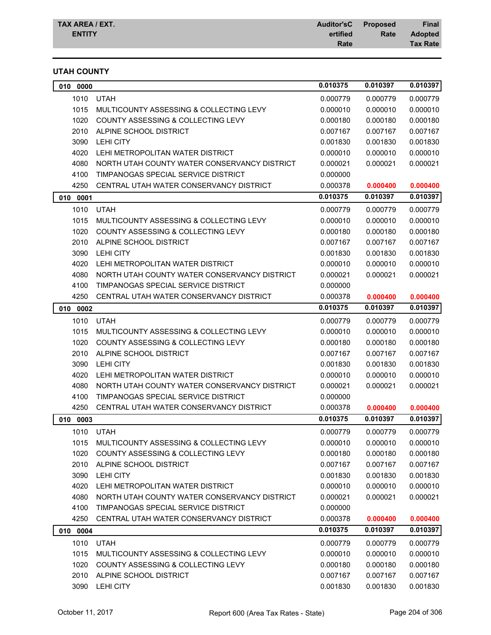## **UTAH COUNTY**

| 0000<br>010 |                                              | 0.010375 | 0.010397 | 0.010397 |
|-------------|----------------------------------------------|----------|----------|----------|
| 1010        | <b>UTAH</b>                                  | 0.000779 | 0.000779 | 0.000779 |
| 1015        | MULTICOUNTY ASSESSING & COLLECTING LEVY      | 0.000010 | 0.000010 | 0.000010 |
| 1020        | COUNTY ASSESSING & COLLECTING LEVY           | 0.000180 | 0.000180 | 0.000180 |
| 2010        | ALPINE SCHOOL DISTRICT                       | 0.007167 | 0.007167 | 0.007167 |
| 3090        | <b>LEHI CITY</b>                             | 0.001830 | 0.001830 | 0.001830 |
| 4020        | LEHI METROPOLITAN WATER DISTRICT             | 0.000010 | 0.000010 | 0.000010 |
| 4080        | NORTH UTAH COUNTY WATER CONSERVANCY DISTRICT | 0.000021 | 0.000021 | 0.000021 |
| 4100        | TIMPANOGAS SPECIAL SERVICE DISTRICT          | 0.000000 |          |          |
| 4250        | CENTRAL UTAH WATER CONSERVANCY DISTRICT      | 0.000378 | 0.000400 | 0.000400 |
| 010<br>0001 |                                              | 0.010375 | 0.010397 | 0.010397 |
| 1010        | <b>UTAH</b>                                  | 0.000779 | 0.000779 | 0.000779 |
| 1015        | MULTICOUNTY ASSESSING & COLLECTING LEVY      | 0.000010 | 0.000010 | 0.000010 |
| 1020        | COUNTY ASSESSING & COLLECTING LEVY           | 0.000180 | 0.000180 | 0.000180 |
| 2010        | ALPINE SCHOOL DISTRICT                       | 0.007167 | 0.007167 | 0.007167 |
| 3090        | <b>LEHI CITY</b>                             | 0.001830 | 0.001830 | 0.001830 |
| 4020        | LEHI METROPOLITAN WATER DISTRICT             | 0.000010 | 0.000010 | 0.000010 |
| 4080        | NORTH UTAH COUNTY WATER CONSERVANCY DISTRICT | 0.000021 | 0.000021 | 0.000021 |
| 4100        | TIMPANOGAS SPECIAL SERVICE DISTRICT          | 0.000000 |          |          |
| 4250        | CENTRAL UTAH WATER CONSERVANCY DISTRICT      | 0.000378 | 0.000400 | 0.000400 |
| 0002<br>010 |                                              | 0.010375 | 0.010397 | 0.010397 |
| 1010        | <b>UTAH</b>                                  | 0.000779 | 0.000779 | 0.000779 |
| 1015        | MULTICOUNTY ASSESSING & COLLECTING LEVY      | 0.000010 | 0.000010 | 0.000010 |
| 1020        | COUNTY ASSESSING & COLLECTING LEVY           | 0.000180 | 0.000180 | 0.000180 |
| 2010        | ALPINE SCHOOL DISTRICT                       | 0.007167 | 0.007167 | 0.007167 |
| 3090        | <b>LEHI CITY</b>                             | 0.001830 | 0.001830 | 0.001830 |
| 4020        | LEHI METROPOLITAN WATER DISTRICT             | 0.000010 | 0.000010 | 0.000010 |
| 4080        | NORTH UTAH COUNTY WATER CONSERVANCY DISTRICT | 0.000021 | 0.000021 | 0.000021 |
| 4100        | TIMPANOGAS SPECIAL SERVICE DISTRICT          | 0.000000 |          |          |
| 4250        | CENTRAL UTAH WATER CONSERVANCY DISTRICT      | 0.000378 | 0.000400 | 0.000400 |
| 0003<br>010 |                                              | 0.010375 | 0.010397 | 0.010397 |
| 1010        | <b>UTAH</b>                                  | 0.000779 | 0.000779 | 0.000779 |
| 1015        | MULTICOUNTY ASSESSING & COLLECTING LEVY      | 0.000010 | 0.000010 | 0.000010 |
| 1020        | COUNTY ASSESSING & COLLECTING LEVY           | 0.000180 | 0.000180 | 0.000180 |
| 2010        | ALPINE SCHOOL DISTRICT                       | 0.007167 | 0.007167 | 0.007167 |
| 3090        | <b>LEHI CITY</b>                             | 0.001830 | 0.001830 | 0.001830 |
| 4020        | LEHI METROPOLITAN WATER DISTRICT             | 0.000010 | 0.000010 | 0.000010 |
| 4080        | NORTH UTAH COUNTY WATER CONSERVANCY DISTRICT | 0.000021 | 0.000021 | 0.000021 |
| 4100        | TIMPANOGAS SPECIAL SERVICE DISTRICT          | 0.000000 |          |          |
| 4250        | CENTRAL UTAH WATER CONSERVANCY DISTRICT      | 0.000378 | 0.000400 | 0.000400 |
| 010 0004    |                                              | 0.010375 | 0.010397 | 0.010397 |
| 1010        | <b>UTAH</b>                                  | 0.000779 | 0.000779 | 0.000779 |
| 1015        | MULTICOUNTY ASSESSING & COLLECTING LEVY      | 0.000010 | 0.000010 | 0.000010 |
| 1020        | COUNTY ASSESSING & COLLECTING LEVY           | 0.000180 | 0.000180 | 0.000180 |
| 2010        | ALPINE SCHOOL DISTRICT                       | 0.007167 | 0.007167 | 0.007167 |
| 3090        | LEHI CITY                                    | 0.001830 | 0.001830 | 0.001830 |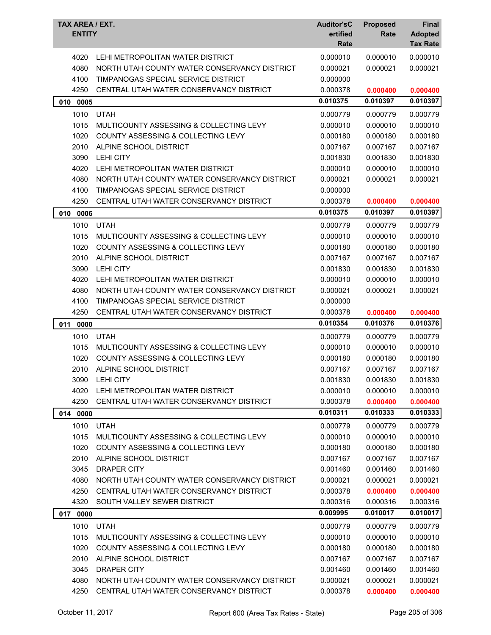| TAX AREA / EXT.<br><b>ENTITY</b> |                                               | <b>Auditor'sC</b><br>ertified<br>Rate | <b>Proposed</b><br>Rate | <b>Final</b><br><b>Adopted</b><br><b>Tax Rate</b> |
|----------------------------------|-----------------------------------------------|---------------------------------------|-------------------------|---------------------------------------------------|
| 4020                             | LEHI METROPOLITAN WATER DISTRICT              | 0.000010                              | 0.000010                | 0.000010                                          |
| 4080                             | NORTH UTAH COUNTY WATER CONSERVANCY DISTRICT  | 0.000021                              | 0.000021                | 0.000021                                          |
| 4100                             | TIMPANOGAS SPECIAL SERVICE DISTRICT           | 0.000000                              |                         |                                                   |
| 4250                             | CENTRAL UTAH WATER CONSERVANCY DISTRICT       | 0.000378                              | 0.000400                | 0.000400                                          |
| 010 0005                         |                                               | 0.010375                              | 0.010397                | 0.010397                                          |
| 1010                             | <b>UTAH</b>                                   | 0.000779                              | 0.000779                | 0.000779                                          |
| 1015                             | MULTICOUNTY ASSESSING & COLLECTING LEVY       | 0.000010                              | 0.000010                | 0.000010                                          |
| 1020                             | COUNTY ASSESSING & COLLECTING LEVY            | 0.000180                              | 0.000180                | 0.000180                                          |
| 2010                             | ALPINE SCHOOL DISTRICT                        | 0.007167                              | 0.007167                | 0.007167                                          |
| 3090                             | <b>LEHI CITY</b>                              | 0.001830                              | 0.001830                | 0.001830                                          |
| 4020                             | LEHI METROPOLITAN WATER DISTRICT              | 0.000010                              | 0.000010                | 0.000010                                          |
| 4080                             | NORTH UTAH COUNTY WATER CONSERVANCY DISTRICT  | 0.000021                              | 0.000021                | 0.000021                                          |
| 4100                             | TIMPANOGAS SPECIAL SERVICE DISTRICT           | 0.000000                              |                         |                                                   |
| 4250                             | CENTRAL UTAH WATER CONSERVANCY DISTRICT       | 0.000378                              | 0.000400                | 0.000400                                          |
| 010<br>0006                      |                                               | 0.010375                              | 0.010397                | 0.010397                                          |
| 1010                             | <b>UTAH</b>                                   | 0.000779                              | 0.000779                | 0.000779                                          |
| 1015                             | MULTICOUNTY ASSESSING & COLLECTING LEVY       | 0.000010                              | 0.000010                | 0.000010                                          |
| 1020                             | <b>COUNTY ASSESSING &amp; COLLECTING LEVY</b> | 0.000180                              | 0.000180                | 0.000180                                          |
| 2010                             | ALPINE SCHOOL DISTRICT                        | 0.007167                              | 0.007167                | 0.007167                                          |
| 3090                             | <b>LEHI CITY</b>                              | 0.001830                              | 0.001830                | 0.001830                                          |
| 4020                             | LEHI METROPOLITAN WATER DISTRICT              | 0.000010                              | 0.000010                | 0.000010                                          |
| 4080                             | NORTH UTAH COUNTY WATER CONSERVANCY DISTRICT  | 0.000021                              | 0.000021                | 0.000021                                          |
| 4100                             | TIMPANOGAS SPECIAL SERVICE DISTRICT           | 0.000000                              |                         |                                                   |
| 4250                             | CENTRAL UTAH WATER CONSERVANCY DISTRICT       | 0.000378                              | 0.000400                | 0.000400                                          |
| 011<br>0000                      |                                               | 0.010354                              | 0.010376                | 0.010376                                          |
| 1010                             | <b>UTAH</b>                                   | 0.000779                              | 0.000779                | 0.000779                                          |
| 1015                             | MULTICOUNTY ASSESSING & COLLECTING LEVY       | 0.000010                              | 0.000010                | 0.000010                                          |
| 1020                             | COUNTY ASSESSING & COLLECTING LEVY            | 0.000180                              | 0.000180                | 0.000180                                          |
| 2010                             | ALPINE SCHOOL DISTRICT                        | 0.007167                              | 0.007167                | 0.007167                                          |
| 3090                             | <b>LEHI CITY</b>                              | 0.001830                              | 0.001830                | 0.001830                                          |
| 4020                             | LEHI METROPOLITAN WATER DISTRICT              | 0.000010                              | 0.000010                | 0.000010                                          |
| 4250                             | CENTRAL UTAH WATER CONSERVANCY DISTRICT       | 0.000378                              | 0.000400                | 0.000400                                          |
| 014 0000                         |                                               | 0.010311                              | 0.010333                | 0.010333                                          |
| 1010                             | <b>UTAH</b>                                   | 0.000779                              | 0.000779                | 0.000779                                          |
| 1015                             | MULTICOUNTY ASSESSING & COLLECTING LEVY       | 0.000010                              | 0.000010                | 0.000010                                          |
| 1020                             | COUNTY ASSESSING & COLLECTING LEVY            |                                       | 0.000180                | 0.000180                                          |
| 2010                             |                                               | 0.000180                              |                         |                                                   |
|                                  | ALPINE SCHOOL DISTRICT                        | 0.007167                              | 0.007167                | 0.007167                                          |
| 3045                             | DRAPER CITY                                   | 0.001460                              | 0.001460                | 0.001460                                          |
| 4080                             | NORTH UTAH COUNTY WATER CONSERVANCY DISTRICT  | 0.000021                              | 0.000021                | 0.000021                                          |
| 4250                             | CENTRAL UTAH WATER CONSERVANCY DISTRICT       | 0.000378                              | 0.000400                | 0.000400                                          |
| 4320                             | SOUTH VALLEY SEWER DISTRICT                   | 0.000316                              | 0.000316                | 0.000316                                          |
| 0000<br>017                      |                                               | 0.009995                              | 0.010017                | 0.010017                                          |
| 1010                             | <b>UTAH</b>                                   | 0.000779                              | 0.000779                | 0.000779                                          |
| 1015                             | MULTICOUNTY ASSESSING & COLLECTING LEVY       | 0.000010                              | 0.000010                | 0.000010                                          |
| 1020                             | <b>COUNTY ASSESSING &amp; COLLECTING LEVY</b> | 0.000180                              | 0.000180                | 0.000180                                          |
| 2010                             | ALPINE SCHOOL DISTRICT                        | 0.007167                              | 0.007167                | 0.007167                                          |
| 3045                             | <b>DRAPER CITY</b>                            | 0.001460                              | 0.001460                | 0.001460                                          |
| 4080                             | NORTH UTAH COUNTY WATER CONSERVANCY DISTRICT  | 0.000021                              | 0.000021                | 0.000021                                          |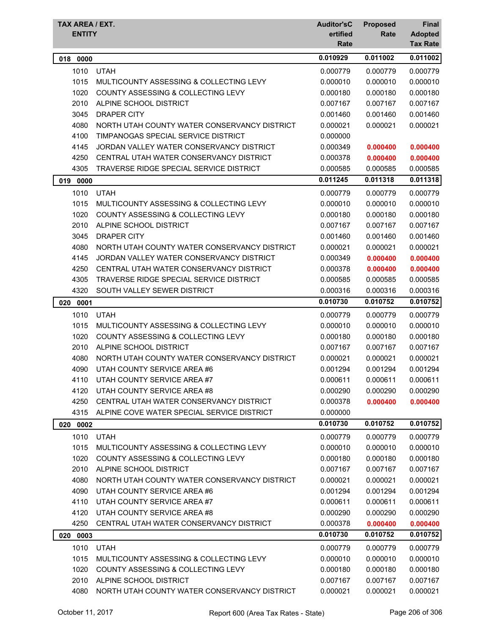| TAX AREA / EXT.<br><b>ENTITY</b> |                                               | <b>Auditor'sC</b><br>ertified<br>Rate | <b>Proposed</b><br>Rate | Final<br><b>Adopted</b><br><b>Tax Rate</b> |
|----------------------------------|-----------------------------------------------|---------------------------------------|-------------------------|--------------------------------------------|
| 0000<br>018                      |                                               | 0.010929                              | 0.011002                | 0.011002                                   |
| 1010                             | <b>UTAH</b>                                   | 0.000779                              | 0.000779                | 0.000779                                   |
| 1015                             | MULTICOUNTY ASSESSING & COLLECTING LEVY       | 0.000010                              | 0.000010                | 0.000010                                   |
| 1020                             | <b>COUNTY ASSESSING &amp; COLLECTING LEVY</b> | 0.000180                              | 0.000180                | 0.000180                                   |
| 2010                             | ALPINE SCHOOL DISTRICT                        | 0.007167                              | 0.007167                | 0.007167                                   |
| 3045                             | <b>DRAPER CITY</b>                            | 0.001460                              | 0.001460                | 0.001460                                   |
| 4080                             | NORTH UTAH COUNTY WATER CONSERVANCY DISTRICT  | 0.000021                              | 0.000021                | 0.000021                                   |
| 4100                             | TIMPANOGAS SPECIAL SERVICE DISTRICT           | 0.000000                              |                         |                                            |
| 4145                             | JORDAN VALLEY WATER CONSERVANCY DISTRICT      | 0.000349                              | 0.000400                | 0.000400                                   |
| 4250                             | CENTRAL UTAH WATER CONSERVANCY DISTRICT       | 0.000378                              | 0.000400                | 0.000400                                   |
| 4305                             | TRAVERSE RIDGE SPECIAL SERVICE DISTRICT       | 0.000585                              | 0.000585                | 0.000585                                   |
| 019<br>0000                      |                                               | 0.011245                              | 0.011318                | 0.011318                                   |
| 1010                             | <b>UTAH</b>                                   | 0.000779                              | 0.000779                | 0.000779                                   |
| 1015                             | MULTICOUNTY ASSESSING & COLLECTING LEVY       | 0.000010                              | 0.000010                | 0.000010                                   |
| 1020                             | COUNTY ASSESSING & COLLECTING LEVY            | 0.000180                              | 0.000180                | 0.000180                                   |
| 2010                             | ALPINE SCHOOL DISTRICT                        | 0.007167                              | 0.007167                | 0.007167                                   |
| 3045                             | <b>DRAPER CITY</b>                            | 0.001460                              | 0.001460                | 0.001460                                   |
| 4080                             | NORTH UTAH COUNTY WATER CONSERVANCY DISTRICT  | 0.000021                              | 0.000021                | 0.000021                                   |
| 4145                             | JORDAN VALLEY WATER CONSERVANCY DISTRICT      | 0.000349                              | 0.000400                | 0.000400                                   |
| 4250                             | CENTRAL UTAH WATER CONSERVANCY DISTRICT       | 0.000378                              | 0.000400                | 0.000400                                   |
| 4305                             | TRAVERSE RIDGE SPECIAL SERVICE DISTRICT       | 0.000585                              | 0.000585                | 0.000585                                   |
| 4320                             | SOUTH VALLEY SEWER DISTRICT                   | 0.000316                              | 0.000316                | 0.000316                                   |
| 020<br>0001                      |                                               | 0.010730                              | 0.010752                | 0.010752                                   |
| 1010                             | <b>UTAH</b>                                   | 0.000779                              | 0.000779                | 0.000779                                   |
| 1015                             | MULTICOUNTY ASSESSING & COLLECTING LEVY       | 0.000010                              | 0.000010                | 0.000010                                   |
| 1020                             | COUNTY ASSESSING & COLLECTING LEVY            | 0.000180                              | 0.000180                | 0.000180                                   |
| 2010                             | ALPINE SCHOOL DISTRICT                        | 0.007167                              | 0.007167                | 0.007167                                   |
| 4080                             | NORTH UTAH COUNTY WATER CONSERVANCY DISTRICT  | 0.000021                              | 0.000021                | 0.000021                                   |
| 4090                             | UTAH COUNTY SERVICE AREA #6                   | 0.001294                              | 0.001294                | 0.001294                                   |
| 4110                             | UTAH COUNTY SERVICE AREA #7                   | 0.000611                              | 0.000611                | 0.000611                                   |
| 4120                             | UTAH COUNTY SERVICE AREA #8                   | 0.000290                              | 0.000290                | 0.000290                                   |
| 4250                             | CENTRAL UTAH WATER CONSERVANCY DISTRICT       | 0.000378                              | 0.000400                | 0.000400                                   |
| 4315                             | ALPINE COVE WATER SPECIAL SERVICE DISTRICT    | 0.000000                              |                         |                                            |
| 020 0002                         |                                               | 0.010730                              | 0.010752                | 0.010752                                   |
| 1010                             | <b>UTAH</b>                                   | 0.000779                              | 0.000779                | 0.000779                                   |
| 1015                             | MULTICOUNTY ASSESSING & COLLECTING LEVY       | 0.000010                              | 0.000010                | 0.000010                                   |
| 1020                             | COUNTY ASSESSING & COLLECTING LEVY            | 0.000180                              | 0.000180                | 0.000180                                   |
| 2010                             | ALPINE SCHOOL DISTRICT                        | 0.007167                              | 0.007167                | 0.007167                                   |
| 4080                             | NORTH UTAH COUNTY WATER CONSERVANCY DISTRICT  | 0.000021                              | 0.000021                | 0.000021                                   |
| 4090                             | UTAH COUNTY SERVICE AREA #6                   | 0.001294                              | 0.001294                | 0.001294                                   |
| 4110                             | UTAH COUNTY SERVICE AREA #7                   | 0.000611                              | 0.000611                | 0.000611                                   |
| 4120                             | UTAH COUNTY SERVICE AREA #8                   | 0.000290                              | 0.000290                | 0.000290                                   |
| 4250                             | CENTRAL UTAH WATER CONSERVANCY DISTRICT       | 0.000378                              | 0.000400                | 0.000400                                   |
| 0003<br>020                      |                                               | 0.010730                              | 0.010752                | 0.010752                                   |
| 1010                             | <b>UTAH</b>                                   | 0.000779                              | 0.000779                | 0.000779                                   |
| 1015                             | MULTICOUNTY ASSESSING & COLLECTING LEVY       | 0.000010                              | 0.000010                | 0.000010                                   |
| 1020                             | <b>COUNTY ASSESSING &amp; COLLECTING LEVY</b> | 0.000180                              | 0.000180                | 0.000180                                   |
| 2010                             | ALPINE SCHOOL DISTRICT                        | 0.007167                              | 0.007167                | 0.007167                                   |
| 4080                             | NORTH UTAH COUNTY WATER CONSERVANCY DISTRICT  | 0.000021                              | 0.000021                | 0.000021                                   |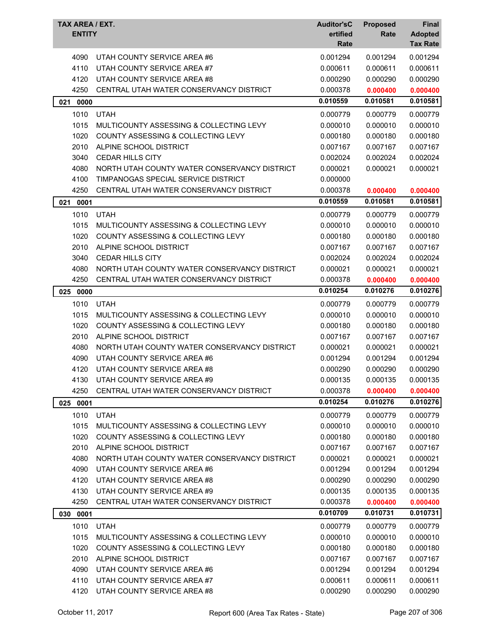| TAX AREA / EXT.<br><b>ENTITY</b> |                                               | <b>Auditor'sC</b><br>ertified<br>Rate | <b>Proposed</b><br>Rate | <b>Final</b><br><b>Adopted</b><br><b>Tax Rate</b> |
|----------------------------------|-----------------------------------------------|---------------------------------------|-------------------------|---------------------------------------------------|
| 4090                             | UTAH COUNTY SERVICE AREA #6                   | 0.001294                              | 0.001294                | 0.001294                                          |
| 4110                             | UTAH COUNTY SERVICE AREA #7                   | 0.000611                              | 0.000611                | 0.000611                                          |
| 4120                             | UTAH COUNTY SERVICE AREA #8                   | 0.000290                              | 0.000290                | 0.000290                                          |
| 4250                             | CENTRAL UTAH WATER CONSERVANCY DISTRICT       | 0.000378                              | 0.000400                | 0.000400                                          |
| 021<br>0000                      |                                               | 0.010559                              | 0.010581                | 0.010581                                          |
| 1010                             | <b>UTAH</b>                                   | 0.000779                              | 0.000779                | 0.000779                                          |
| 1015                             | MULTICOUNTY ASSESSING & COLLECTING LEVY       | 0.000010                              | 0.000010                | 0.000010                                          |
| 1020                             | COUNTY ASSESSING & COLLECTING LEVY            | 0.000180                              | 0.000180                | 0.000180                                          |
| 2010                             | ALPINE SCHOOL DISTRICT                        | 0.007167                              | 0.007167                | 0.007167                                          |
| 3040                             | <b>CEDAR HILLS CITY</b>                       | 0.002024                              | 0.002024                | 0.002024                                          |
| 4080                             | NORTH UTAH COUNTY WATER CONSERVANCY DISTRICT  | 0.000021                              | 0.000021                | 0.000021                                          |
| 4100                             | TIMPANOGAS SPECIAL SERVICE DISTRICT           | 0.000000                              |                         |                                                   |
| 4250                             | CENTRAL UTAH WATER CONSERVANCY DISTRICT       | 0.000378                              | 0.000400                | 0.000400                                          |
| 021<br>0001                      |                                               | 0.010559                              | 0.010581                | 0.010581                                          |
| 1010                             | <b>UTAH</b>                                   | 0.000779                              | 0.000779                | 0.000779                                          |
| 1015                             | MULTICOUNTY ASSESSING & COLLECTING LEVY       | 0.000010                              | 0.000010                | 0.000010                                          |
| 1020                             | <b>COUNTY ASSESSING &amp; COLLECTING LEVY</b> | 0.000180                              | 0.000180                | 0.000180                                          |
| 2010                             | ALPINE SCHOOL DISTRICT                        | 0.007167                              | 0.007167                | 0.007167                                          |
| 3040                             | <b>CEDAR HILLS CITY</b>                       | 0.002024                              | 0.002024                | 0.002024                                          |
| 4080                             | NORTH UTAH COUNTY WATER CONSERVANCY DISTRICT  | 0.000021                              | 0.000021                | 0.000021                                          |
| 4250                             | CENTRAL UTAH WATER CONSERVANCY DISTRICT       | 0.000378                              | 0.000400                | 0.000400                                          |
| 025 0000                         |                                               | 0.010254                              | 0.010276                | 0.010276                                          |
| 1010                             | <b>UTAH</b>                                   | 0.000779                              | 0.000779                | 0.000779                                          |
| 1015                             | MULTICOUNTY ASSESSING & COLLECTING LEVY       | 0.000010                              | 0.000010                | 0.000010                                          |
| 1020                             | COUNTY ASSESSING & COLLECTING LEVY            | 0.000180                              | 0.000180                | 0.000180                                          |
| 2010                             | ALPINE SCHOOL DISTRICT                        | 0.007167                              | 0.007167                | 0.007167                                          |
| 4080                             | NORTH UTAH COUNTY WATER CONSERVANCY DISTRICT  | 0.000021                              | 0.000021                | 0.000021                                          |
| 4090                             | UTAH COUNTY SERVICE AREA #6                   | 0.001294                              | 0.001294                | 0.001294                                          |
| 4120                             | UTAH COUNTY SERVICE AREA #8                   | 0.000290                              | 0.000290                | 0.000290                                          |
| 4130                             | UTAH COUNTY SERVICE AREA #9                   | 0.000135                              | 0.000135                | 0.000135                                          |
| 4250                             | CENTRAL UTAH WATER CONSERVANCY DISTRICT       | 0.000378                              | 0.000400                | 0.000400                                          |
| 0001<br>025                      |                                               | 0.010254                              | 0.010276                | 0.010276                                          |
|                                  | <b>UTAH</b>                                   |                                       |                         | 0.000779                                          |
| 1010<br>1015                     | MULTICOUNTY ASSESSING & COLLECTING LEVY       | 0.000779<br>0.000010                  | 0.000779<br>0.000010    | 0.000010                                          |
| 1020                             | <b>COUNTY ASSESSING &amp; COLLECTING LEVY</b> | 0.000180                              | 0.000180                | 0.000180                                          |
| 2010                             | ALPINE SCHOOL DISTRICT                        | 0.007167                              | 0.007167                | 0.007167                                          |
| 4080                             | NORTH UTAH COUNTY WATER CONSERVANCY DISTRICT  | 0.000021                              | 0.000021                | 0.000021                                          |
| 4090                             | UTAH COUNTY SERVICE AREA #6                   | 0.001294                              | 0.001294                | 0.001294                                          |
| 4120                             | UTAH COUNTY SERVICE AREA #8                   | 0.000290                              | 0.000290                | 0.000290                                          |
| 4130                             | UTAH COUNTY SERVICE AREA #9                   | 0.000135                              | 0.000135                | 0.000135                                          |
| 4250                             | CENTRAL UTAH WATER CONSERVANCY DISTRICT       | 0.000378                              | 0.000400                | 0.000400                                          |
| 0001<br>030                      |                                               | 0.010709                              | 0.010731                | 0.010731                                          |
| 1010                             | <b>UTAH</b>                                   | 0.000779                              | 0.000779                | 0.000779                                          |
| 1015                             | MULTICOUNTY ASSESSING & COLLECTING LEVY       | 0.000010                              | 0.000010                | 0.000010                                          |
| 1020                             | <b>COUNTY ASSESSING &amp; COLLECTING LEVY</b> | 0.000180                              | 0.000180                | 0.000180                                          |
| 2010                             | ALPINE SCHOOL DISTRICT                        | 0.007167                              | 0.007167                | 0.007167                                          |
| 4090                             | UTAH COUNTY SERVICE AREA #6                   | 0.001294                              | 0.001294                | 0.001294                                          |
| 4110                             | UTAH COUNTY SERVICE AREA #7                   | 0.000611                              | 0.000611                | 0.000611                                          |
| 4120                             | UTAH COUNTY SERVICE AREA #8                   | 0.000290                              | 0.000290                | 0.000290                                          |
|                                  |                                               |                                       |                         |                                                   |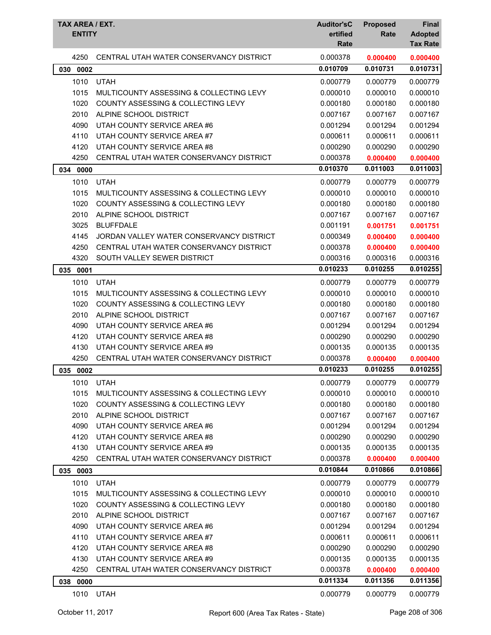| TAX AREA / EXT.<br><b>ENTITY</b> |                                               | <b>Auditor'sC</b><br>ertified<br>Rate | <b>Proposed</b><br>Rate | <b>Final</b><br><b>Adopted</b><br><b>Tax Rate</b> |
|----------------------------------|-----------------------------------------------|---------------------------------------|-------------------------|---------------------------------------------------|
| 4250                             | CENTRAL UTAH WATER CONSERVANCY DISTRICT       | 0.000378                              | 0.000400                | 0.000400                                          |
| 030<br>0002                      |                                               | 0.010709                              | 0.010731                | 0.010731                                          |
| 1010                             | <b>UTAH</b>                                   | 0.000779                              | 0.000779                | 0.000779                                          |
| 1015                             | MULTICOUNTY ASSESSING & COLLECTING LEVY       | 0.000010                              | 0.000010                | 0.000010                                          |
| 1020                             | COUNTY ASSESSING & COLLECTING LEVY            | 0.000180                              | 0.000180                | 0.000180                                          |
| 2010                             | ALPINE SCHOOL DISTRICT                        | 0.007167                              | 0.007167                | 0.007167                                          |
| 4090                             | UTAH COUNTY SERVICE AREA #6                   | 0.001294                              | 0.001294                | 0.001294                                          |
| 4110                             | UTAH COUNTY SERVICE AREA #7                   | 0.000611                              | 0.000611                | 0.000611                                          |
| 4120                             | UTAH COUNTY SERVICE AREA #8                   | 0.000290                              | 0.000290                | 0.000290                                          |
| 4250                             | CENTRAL UTAH WATER CONSERVANCY DISTRICT       | 0.000378                              | 0.000400                | 0.000400                                          |
| 034 0000                         |                                               | 0.010370                              | 0.011003                | 0.011003                                          |
| 1010                             | <b>UTAH</b>                                   | 0.000779                              | 0.000779                | 0.000779                                          |
| 1015                             | MULTICOUNTY ASSESSING & COLLECTING LEVY       | 0.000010                              | 0.000010                | 0.000010                                          |
| 1020                             | COUNTY ASSESSING & COLLECTING LEVY            | 0.000180                              | 0.000180                | 0.000180                                          |
| 2010                             | ALPINE SCHOOL DISTRICT                        | 0.007167                              | 0.007167                | 0.007167                                          |
| 3025                             | <b>BLUFFDALE</b>                              | 0.001191                              | 0.001751                | 0.001751                                          |
| 4145                             | JORDAN VALLEY WATER CONSERVANCY DISTRICT      | 0.000349                              | 0.000400                | 0.000400                                          |
| 4250                             | CENTRAL UTAH WATER CONSERVANCY DISTRICT       | 0.000378                              | 0.000400                | 0.000400                                          |
| 4320                             | SOUTH VALLEY SEWER DISTRICT                   | 0.000316                              | 0.000316                | 0.000316                                          |
| 035 0001                         |                                               | 0.010233                              | 0.010255                | 0.010255                                          |
| 1010                             | <b>UTAH</b>                                   | 0.000779                              | 0.000779                | 0.000779                                          |
| 1015                             | MULTICOUNTY ASSESSING & COLLECTING LEVY       | 0.000010                              | 0.000010                | 0.000010                                          |
| 1020                             | COUNTY ASSESSING & COLLECTING LEVY            | 0.000180                              | 0.000180                | 0.000180                                          |
| 2010                             | ALPINE SCHOOL DISTRICT                        | 0.007167                              | 0.007167                | 0.007167                                          |
| 4090                             | UTAH COUNTY SERVICE AREA #6                   | 0.001294                              | 0.001294                | 0.001294                                          |
| 4120                             | UTAH COUNTY SERVICE AREA #8                   | 0.000290                              | 0.000290                | 0.000290                                          |
| 4130                             | UTAH COUNTY SERVICE AREA #9                   | 0.000135                              | 0.000135                | 0.000135                                          |
| 4250                             | CENTRAL UTAH WATER CONSERVANCY DISTRICT       | 0.000378                              | 0.000400                | 0.000400                                          |
| 035<br>0002                      |                                               | 0.010233                              | 0.010255                | 0.010255                                          |
| 1010                             | <b>UTAH</b>                                   | 0.000779                              | 0.000779                | 0.000779                                          |
| 1015                             | MULTICOUNTY ASSESSING & COLLECTING LEVY       | 0.000010                              | 0.000010                | 0.000010                                          |
| 1020                             | <b>COUNTY ASSESSING &amp; COLLECTING LEVY</b> | 0.000180                              | 0.000180                | 0.000180                                          |
| 2010                             | ALPINE SCHOOL DISTRICT                        | 0.007167                              | 0.007167                | 0.007167                                          |
| 4090                             | UTAH COUNTY SERVICE AREA #6                   | 0.001294                              | 0.001294                | 0.001294                                          |
| 4120                             | UTAH COUNTY SERVICE AREA #8                   | 0.000290                              | 0.000290                | 0.000290                                          |
| 4130                             | UTAH COUNTY SERVICE AREA #9                   | 0.000135                              | 0.000135                | 0.000135                                          |
| 4250                             | CENTRAL UTAH WATER CONSERVANCY DISTRICT       | 0.000378                              | 0.000400                | 0.000400                                          |
| 035 0003                         |                                               | 0.010844                              | 0.010866                | 0.010866                                          |
| 1010                             | <b>UTAH</b>                                   | 0.000779                              | 0.000779                | 0.000779                                          |
| 1015                             | MULTICOUNTY ASSESSING & COLLECTING LEVY       | 0.000010                              | 0.000010                | 0.000010                                          |
| 1020                             | COUNTY ASSESSING & COLLECTING LEVY            | 0.000180                              | 0.000180                | 0.000180                                          |
| 2010                             | ALPINE SCHOOL DISTRICT                        | 0.007167                              | 0.007167                | 0.007167                                          |
| 4090                             | UTAH COUNTY SERVICE AREA #6                   | 0.001294                              | 0.001294                | 0.001294                                          |
| 4110                             | UTAH COUNTY SERVICE AREA #7                   | 0.000611                              | 0.000611                | 0.000611                                          |
| 4120                             | UTAH COUNTY SERVICE AREA #8                   | 0.000290                              | 0.000290                | 0.000290                                          |
| 4130                             | UTAH COUNTY SERVICE AREA #9                   | 0.000135                              | 0.000135                | 0.000135                                          |
| 4250                             | CENTRAL UTAH WATER CONSERVANCY DISTRICT       | 0.000378                              | 0.000400                | 0.000400                                          |
| 038 0000                         |                                               | 0.011334                              | 0.011356                | 0.011356                                          |
| 1010                             | <b>UTAH</b>                                   | 0.000779                              | 0.000779                | 0.000779                                          |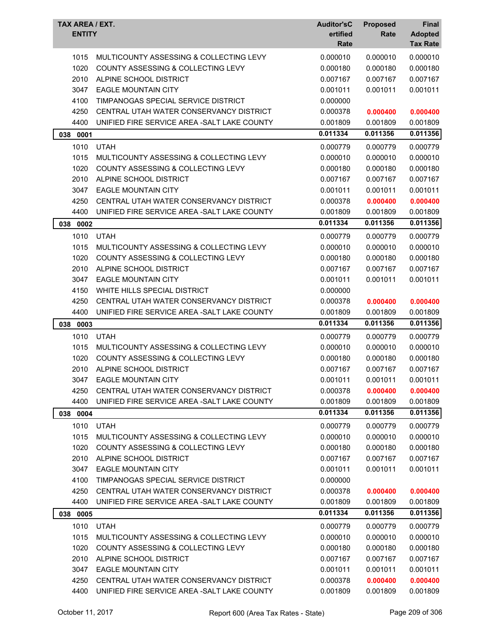| TAX AREA / EXT.<br><b>ENTITY</b> |                                              | <b>Auditor'sC</b><br>ertified<br>Rate | <b>Proposed</b><br>Rate | Final<br><b>Adopted</b><br><b>Tax Rate</b> |
|----------------------------------|----------------------------------------------|---------------------------------------|-------------------------|--------------------------------------------|
| 1015                             | MULTICOUNTY ASSESSING & COLLECTING LEVY      | 0.000010                              | 0.000010                | 0.000010                                   |
| 1020                             | COUNTY ASSESSING & COLLECTING LEVY           | 0.000180                              | 0.000180                | 0.000180                                   |
| 2010                             | ALPINE SCHOOL DISTRICT                       | 0.007167                              | 0.007167                | 0.007167                                   |
| 3047                             | <b>EAGLE MOUNTAIN CITY</b>                   | 0.001011                              | 0.001011                | 0.001011                                   |
| 4100                             | TIMPANOGAS SPECIAL SERVICE DISTRICT          | 0.000000                              |                         |                                            |
| 4250                             | CENTRAL UTAH WATER CONSERVANCY DISTRICT      | 0.000378                              | 0.000400                | 0.000400                                   |
| 4400                             | UNIFIED FIRE SERVICE AREA - SALT LAKE COUNTY | 0.001809                              | 0.001809                | 0.001809                                   |
| 038<br>0001                      |                                              | 0.011334                              | 0.011356                | 0.011356                                   |
| 1010                             | <b>UTAH</b>                                  | 0.000779                              | 0.000779                | 0.000779                                   |
| 1015                             | MULTICOUNTY ASSESSING & COLLECTING LEVY      | 0.000010                              | 0.000010                | 0.000010                                   |
| 1020                             | COUNTY ASSESSING & COLLECTING LEVY           | 0.000180                              | 0.000180                | 0.000180                                   |
| 2010                             | ALPINE SCHOOL DISTRICT                       | 0.007167                              | 0.007167                | 0.007167                                   |
| 3047                             | <b>EAGLE MOUNTAIN CITY</b>                   | 0.001011                              | 0.001011                | 0.001011                                   |
| 4250                             | CENTRAL UTAH WATER CONSERVANCY DISTRICT      | 0.000378                              | 0.000400                | 0.000400                                   |
| 4400                             | UNIFIED FIRE SERVICE AREA - SALT LAKE COUNTY | 0.001809                              | 0.001809                | 0.001809                                   |
| 038<br>0002                      |                                              | 0.011334                              | 0.011356                | 0.011356                                   |
| 1010                             | <b>UTAH</b>                                  | 0.000779                              | 0.000779                | 0.000779                                   |
| 1015                             | MULTICOUNTY ASSESSING & COLLECTING LEVY      | 0.000010                              | 0.000010                | 0.000010                                   |
| 1020                             | COUNTY ASSESSING & COLLECTING LEVY           | 0.000180                              | 0.000180                | 0.000180                                   |
| 2010                             | ALPINE SCHOOL DISTRICT                       | 0.007167                              | 0.007167                | 0.007167                                   |
| 3047                             | <b>EAGLE MOUNTAIN CITY</b>                   | 0.001011                              | 0.001011                | 0.001011                                   |
| 4150                             | WHITE HILLS SPECIAL DISTRICT                 | 0.000000                              |                         |                                            |
| 4250                             | CENTRAL UTAH WATER CONSERVANCY DISTRICT      | 0.000378                              | 0.000400                | 0.000400                                   |
| 4400                             | UNIFIED FIRE SERVICE AREA - SALT LAKE COUNTY | 0.001809                              | 0.001809                | 0.001809                                   |
|                                  |                                              | 0.011334                              | 0.011356                | 0.011356                                   |
| 038<br>0003                      |                                              |                                       |                         |                                            |
| 1010                             | <b>UTAH</b>                                  | 0.000779                              | 0.000779                | 0.000779                                   |
| 1015                             | MULTICOUNTY ASSESSING & COLLECTING LEVY      | 0.000010                              | 0.000010                | 0.000010                                   |
| 1020                             | COUNTY ASSESSING & COLLECTING LEVY           | 0.000180                              | 0.000180                | 0.000180                                   |
| 2010                             | ALPINE SCHOOL DISTRICT                       | 0.007167                              | 0.007167                | 0.007167                                   |
| 3047                             | <b>EAGLE MOUNTAIN CITY</b>                   | 0.001011                              | 0.001011                | 0.001011                                   |
| 4250                             | CENTRAL UTAH WATER CONSERVANCY DISTRICT      | 0.000378                              | 0.000400                | 0.000400                                   |
| 4400                             | UNIFIED FIRE SERVICE AREA - SALT LAKE COUNTY | 0.001809                              | 0.001809                | 0.001809                                   |
| 038 0004                         |                                              | 0.011334                              | 0.011356                | 0.011356                                   |
| 1010                             | <b>UTAH</b>                                  | 0.000779                              | 0.000779                | 0.000779                                   |
| 1015                             | MULTICOUNTY ASSESSING & COLLECTING LEVY      | 0.000010                              | 0.000010                | 0.000010                                   |
| 1020                             | COUNTY ASSESSING & COLLECTING LEVY           | 0.000180                              | 0.000180                | 0.000180                                   |
| 2010                             | ALPINE SCHOOL DISTRICT                       | 0.007167                              | 0.007167                | 0.007167                                   |
| 3047                             | <b>EAGLE MOUNTAIN CITY</b>                   | 0.001011                              | 0.001011                | 0.001011                                   |
| 4100                             | TIMPANOGAS SPECIAL SERVICE DISTRICT          | 0.000000                              |                         |                                            |
| 4250                             | CENTRAL UTAH WATER CONSERVANCY DISTRICT      | 0.000378                              | 0.000400                | 0.000400                                   |
| 4400                             | UNIFIED FIRE SERVICE AREA -SALT LAKE COUNTY  | 0.001809                              | 0.001809                | 0.001809                                   |
| 038 0005                         |                                              | 0.011334                              | 0.011356                | 0.011356                                   |
| 1010                             | <b>UTAH</b>                                  | 0.000779                              | 0.000779                | 0.000779                                   |
| 1015                             | MULTICOUNTY ASSESSING & COLLECTING LEVY      | 0.000010                              | 0.000010                | 0.000010                                   |
| 1020                             | COUNTY ASSESSING & COLLECTING LEVY           | 0.000180                              | 0.000180                | 0.000180                                   |
| 2010                             | ALPINE SCHOOL DISTRICT                       | 0.007167                              | 0.007167                | 0.007167                                   |
| 3047                             | <b>EAGLE MOUNTAIN CITY</b>                   | 0.001011                              | 0.001011                | 0.001011                                   |
| 4250                             | CENTRAL UTAH WATER CONSERVANCY DISTRICT      | 0.000378                              | 0.000400                | 0.000400                                   |
| 4400                             | UNIFIED FIRE SERVICE AREA - SALT LAKE COUNTY | 0.001809                              | 0.001809                | 0.001809                                   |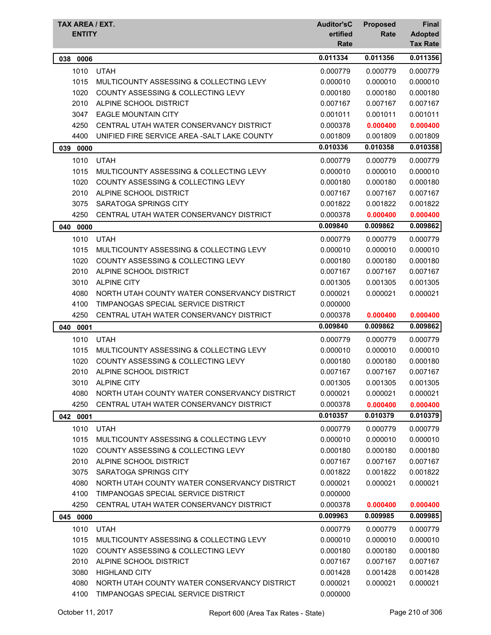| TAX AREA / EXT.<br><b>ENTITY</b> |                                               | <b>Auditor'sC</b><br>ertified<br>Rate | <b>Proposed</b><br>Rate | <b>Final</b><br><b>Adopted</b><br><b>Tax Rate</b> |
|----------------------------------|-----------------------------------------------|---------------------------------------|-------------------------|---------------------------------------------------|
| 0006<br>038                      |                                               | 0.011334                              | 0.011356                | 0.011356                                          |
| 1010                             | <b>UTAH</b>                                   | 0.000779                              | 0.000779                | 0.000779                                          |
| 1015                             | MULTICOUNTY ASSESSING & COLLECTING LEVY       | 0.000010                              | 0.000010                | 0.000010                                          |
| 1020                             | <b>COUNTY ASSESSING &amp; COLLECTING LEVY</b> | 0.000180                              | 0.000180                | 0.000180                                          |
| 2010                             | ALPINE SCHOOL DISTRICT                        | 0.007167                              | 0.007167                | 0.007167                                          |
| 3047                             | <b>EAGLE MOUNTAIN CITY</b>                    | 0.001011                              | 0.001011                | 0.001011                                          |
| 4250                             | CENTRAL UTAH WATER CONSERVANCY DISTRICT       | 0.000378                              | 0.000400                | 0.000400                                          |
| 4400                             | UNIFIED FIRE SERVICE AREA - SALT LAKE COUNTY  | 0.001809                              | 0.001809                | 0.001809                                          |
| 039<br>0000                      |                                               | 0.010336                              | 0.010358                | 0.010358                                          |
| 1010                             | <b>UTAH</b>                                   | 0.000779                              | 0.000779                | 0.000779                                          |
| 1015                             | MULTICOUNTY ASSESSING & COLLECTING LEVY       | 0.000010                              | 0.000010                | 0.000010                                          |
| 1020                             | <b>COUNTY ASSESSING &amp; COLLECTING LEVY</b> | 0.000180                              | 0.000180                | 0.000180                                          |
| 2010                             | ALPINE SCHOOL DISTRICT                        | 0.007167                              | 0.007167                | 0.007167                                          |
| 3075                             | SARATOGA SPRINGS CITY                         | 0.001822                              | 0.001822                | 0.001822                                          |
| 4250                             | CENTRAL UTAH WATER CONSERVANCY DISTRICT       | 0.000378                              | 0.000400                | 0.000400                                          |
| 040<br>0000                      |                                               | 0.009840                              | 0.009862                | 0.009862                                          |
| 1010                             | <b>UTAH</b>                                   | 0.000779                              | 0.000779                | 0.000779                                          |
| 1015                             | MULTICOUNTY ASSESSING & COLLECTING LEVY       | 0.000010                              | 0.000010                | 0.000010                                          |
| 1020                             | COUNTY ASSESSING & COLLECTING LEVY            | 0.000180                              | 0.000180                | 0.000180                                          |
| 2010                             | ALPINE SCHOOL DISTRICT                        | 0.007167                              | 0.007167                | 0.007167                                          |
| 3010                             | <b>ALPINE CITY</b>                            | 0.001305                              | 0.001305                | 0.001305                                          |
| 4080                             | NORTH UTAH COUNTY WATER CONSERVANCY DISTRICT  | 0.000021                              | 0.000021                | 0.000021                                          |
| 4100                             | TIMPANOGAS SPECIAL SERVICE DISTRICT           | 0.000000                              |                         |                                                   |
| 4250                             | CENTRAL UTAH WATER CONSERVANCY DISTRICT       | 0.000378                              | 0.000400                | 0.000400                                          |
| 040<br>0001                      |                                               | 0.009840                              | 0.009862                | 0.009862                                          |
| 1010                             | <b>UTAH</b>                                   | 0.000779                              | 0.000779                | 0.000779                                          |
| 1015                             | MULTICOUNTY ASSESSING & COLLECTING LEVY       | 0.000010                              | 0.000010                | 0.000010                                          |
| 1020                             | <b>COUNTY ASSESSING &amp; COLLECTING LEVY</b> | 0.000180                              | 0.000180                | 0.000180                                          |
| 2010                             | ALPINE SCHOOL DISTRICT                        | 0.007167                              | 0.007167                | 0.007167                                          |
| 3010                             | <b>ALPINE CITY</b>                            | 0.001305                              | 0.001305                | 0.001305                                          |
| 4080                             | NORTH UTAH COUNTY WATER CONSERVANCY DISTRICT  | 0.000021                              | 0.000021                | 0.000021                                          |
| 4250                             | CENTRAL UTAH WATER CONSERVANCY DISTRICT       | 0.000378                              | 0.000400                | 0.000400                                          |
| 042 0001                         |                                               | 0.010357                              | 0.010379                | 0.010379                                          |
| 1010                             | <b>UTAH</b>                                   | 0.000779                              | 0.000779                | 0.000779                                          |
| 1015                             | MULTICOUNTY ASSESSING & COLLECTING LEVY       | 0.000010                              | 0.000010                | 0.000010                                          |
| 1020                             | COUNTY ASSESSING & COLLECTING LEVY            | 0.000180                              | 0.000180                | 0.000180                                          |
| 2010                             | ALPINE SCHOOL DISTRICT                        | 0.007167                              | 0.007167                | 0.007167                                          |
| 3075                             | SARATOGA SPRINGS CITY                         | 0.001822                              | 0.001822                | 0.001822                                          |
| 4080                             | NORTH UTAH COUNTY WATER CONSERVANCY DISTRICT  | 0.000021                              | 0.000021                | 0.000021                                          |
| 4100                             | TIMPANOGAS SPECIAL SERVICE DISTRICT           | 0.000000                              |                         |                                                   |
| 4250                             | CENTRAL UTAH WATER CONSERVANCY DISTRICT       | 0.000378                              | 0.000400                | 0.000400                                          |
| 045<br>0000                      |                                               | 0.009963                              | 0.009985                | 0.009985                                          |
| 1010                             | <b>UTAH</b>                                   | 0.000779                              | 0.000779                | 0.000779                                          |
| 1015                             | MULTICOUNTY ASSESSING & COLLECTING LEVY       | 0.000010                              | 0.000010                | 0.000010                                          |
| 1020                             | COUNTY ASSESSING & COLLECTING LEVY            | 0.000180                              | 0.000180                | 0.000180                                          |
| 2010                             | ALPINE SCHOOL DISTRICT                        | 0.007167                              | 0.007167                | 0.007167                                          |
| 3080                             | <b>HIGHLAND CITY</b>                          | 0.001428                              | 0.001428                | 0.001428                                          |
| 4080                             | NORTH UTAH COUNTY WATER CONSERVANCY DISTRICT  | 0.000021                              | 0.000021                | 0.000021                                          |
| 4100                             | TIMPANOGAS SPECIAL SERVICE DISTRICT           | 0.000000                              |                         |                                                   |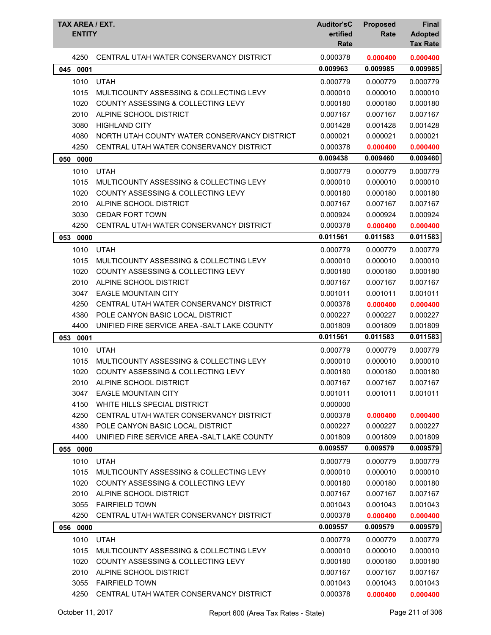| <b>TAX AREA / EXT.</b><br><b>ENTITY</b> |                                              | <b>Auditor'sC</b><br>ertified<br>Rate | <b>Proposed</b><br>Rate | <b>Final</b><br><b>Adopted</b><br><b>Tax Rate</b> |
|-----------------------------------------|----------------------------------------------|---------------------------------------|-------------------------|---------------------------------------------------|
| 4250                                    | CENTRAL UTAH WATER CONSERVANCY DISTRICT      | 0.000378                              | 0.000400                | 0.000400                                          |
| 045<br>0001                             |                                              | 0.009963                              | 0.009985                | 0.009985                                          |
| 1010                                    | <b>UTAH</b>                                  | 0.000779                              | 0.000779                | 0.000779                                          |
| 1015                                    | MULTICOUNTY ASSESSING & COLLECTING LEVY      | 0.000010                              | 0.000010                | 0.000010                                          |
| 1020                                    | COUNTY ASSESSING & COLLECTING LEVY           | 0.000180                              | 0.000180                | 0.000180                                          |
| 2010                                    | ALPINE SCHOOL DISTRICT                       | 0.007167                              | 0.007167                | 0.007167                                          |
| 3080                                    | <b>HIGHLAND CITY</b>                         | 0.001428                              | 0.001428                | 0.001428                                          |
| 4080                                    | NORTH UTAH COUNTY WATER CONSERVANCY DISTRICT | 0.000021                              | 0.000021                | 0.000021                                          |
| 4250                                    | CENTRAL UTAH WATER CONSERVANCY DISTRICT      | 0.000378                              | 0.000400                | 0.000400                                          |
| 050 0000                                |                                              | 0.009438                              | 0.009460                | 0.009460                                          |
| 1010                                    | <b>UTAH</b>                                  | 0.000779                              | 0.000779                | 0.000779                                          |
| 1015                                    | MULTICOUNTY ASSESSING & COLLECTING LEVY      | 0.000010                              | 0.000010                | 0.000010                                          |
| 1020                                    | COUNTY ASSESSING & COLLECTING LEVY           | 0.000180                              | 0.000180                | 0.000180                                          |
| 2010                                    | ALPINE SCHOOL DISTRICT                       | 0.007167                              | 0.007167                | 0.007167                                          |
| 3030                                    | <b>CEDAR FORT TOWN</b>                       | 0.000924                              | 0.000924                | 0.000924                                          |
| 4250                                    | CENTRAL UTAH WATER CONSERVANCY DISTRICT      | 0.000378                              | 0.000400                | 0.000400                                          |
| 053<br>0000                             |                                              | 0.011561                              | 0.011583                | 0.011583                                          |
| 1010                                    | <b>UTAH</b>                                  | 0.000779                              | 0.000779                | 0.000779                                          |
| 1015                                    | MULTICOUNTY ASSESSING & COLLECTING LEVY      | 0.000010                              | 0.000010                | 0.000010                                          |
| 1020                                    | COUNTY ASSESSING & COLLECTING LEVY           | 0.000180                              | 0.000180                | 0.000180                                          |
| 2010                                    | ALPINE SCHOOL DISTRICT                       | 0.007167                              | 0.007167                | 0.007167                                          |
| 3047                                    | <b>EAGLE MOUNTAIN CITY</b>                   | 0.001011                              | 0.001011                | 0.001011                                          |
| 4250                                    | CENTRAL UTAH WATER CONSERVANCY DISTRICT      | 0.000378                              | 0.000400                | 0.000400                                          |
| 4380                                    | POLE CANYON BASIC LOCAL DISTRICT             | 0.000227                              | 0.000227                | 0.000227                                          |
| 4400                                    | UNIFIED FIRE SERVICE AREA - SALT LAKE COUNTY | 0.001809                              | 0.001809                | 0.001809                                          |
| 053<br>0001                             |                                              | 0.011561                              | 0.011583                | 0.011583                                          |
| 1010                                    | <b>UTAH</b>                                  | 0.000779                              | 0.000779                | 0.000779                                          |
| 1015                                    | MULTICOUNTY ASSESSING & COLLECTING LEVY      | 0.000010                              | 0.000010                | 0.000010                                          |
| 1020                                    | COUNTY ASSESSING & COLLECTING LEVY           | 0.000180                              | 0.000180                | 0.000180                                          |
| 2010                                    | ALPINE SCHOOL DISTRICT                       | 0.007167                              | 0.007167                | 0.007167                                          |
| 3047                                    | <b>EAGLE MOUNTAIN CITY</b>                   | 0.001011                              | 0.001011                | 0.001011                                          |
| 4150                                    | WHITE HILLS SPECIAL DISTRICT                 | 0.000000                              |                         |                                                   |
| 4250                                    | CENTRAL UTAH WATER CONSERVANCY DISTRICT      | 0.000378                              | 0.000400                | 0.000400                                          |
| 4380                                    | POLE CANYON BASIC LOCAL DISTRICT             | 0.000227                              | 0.000227                | 0.000227                                          |
| 4400                                    | UNIFIED FIRE SERVICE AREA - SALT LAKE COUNTY | 0.001809                              | 0.001809                | 0.001809                                          |
| 055 0000                                |                                              | 0.009557                              | 0.009579                | 0.009579                                          |
| 1010                                    | <b>UTAH</b>                                  | 0.000779                              | 0.000779                | 0.000779                                          |
| 1015                                    | MULTICOUNTY ASSESSING & COLLECTING LEVY      | 0.000010                              | 0.000010                | 0.000010                                          |
| 1020                                    | COUNTY ASSESSING & COLLECTING LEVY           | 0.000180                              | 0.000180                | 0.000180                                          |
| 2010                                    | ALPINE SCHOOL DISTRICT                       | 0.007167                              | 0.007167                | 0.007167                                          |
| 3055                                    | <b>FAIRFIELD TOWN</b>                        | 0.001043                              | 0.001043                | 0.001043                                          |
| 4250                                    | CENTRAL UTAH WATER CONSERVANCY DISTRICT      | 0.000378                              | 0.000400                | 0.000400                                          |
| 056 0000                                |                                              | 0.009557                              | 0.009579                | 0.009579                                          |
| 1010                                    | <b>UTAH</b>                                  | 0.000779                              | 0.000779                | 0.000779                                          |
| 1015                                    | MULTICOUNTY ASSESSING & COLLECTING LEVY      | 0.000010                              | 0.000010                | 0.000010                                          |
| 1020                                    | COUNTY ASSESSING & COLLECTING LEVY           | 0.000180                              | 0.000180                | 0.000180                                          |
| 2010                                    | ALPINE SCHOOL DISTRICT                       | 0.007167                              | 0.007167                | 0.007167                                          |
| 3055                                    | <b>FAIRFIELD TOWN</b>                        | 0.001043                              | 0.001043                | 0.001043                                          |
| 4250                                    | CENTRAL UTAH WATER CONSERVANCY DISTRICT      | 0.000378                              | 0.000400                | 0.000400                                          |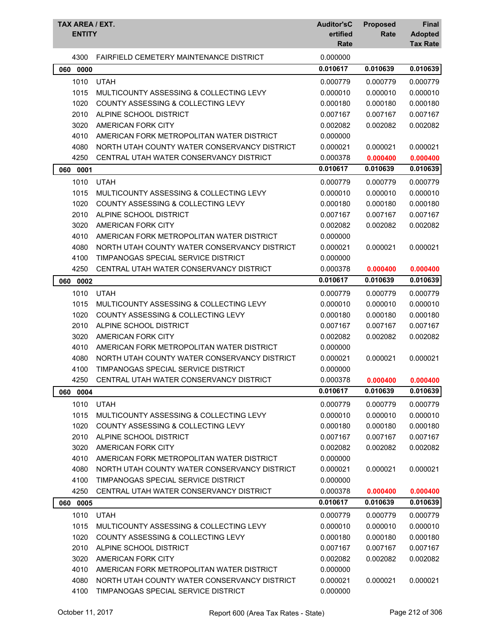| TAX AREA / EXT.<br><b>ENTITY</b> |                                                | <b>Auditor'sC</b><br>ertified<br>Rate | <b>Proposed</b><br>Rate | Final<br><b>Adopted</b><br><b>Tax Rate</b> |
|----------------------------------|------------------------------------------------|---------------------------------------|-------------------------|--------------------------------------------|
| 4300                             | <b>FAIRFIELD CEMETERY MAINTENANCE DISTRICT</b> | 0.000000                              |                         |                                            |
| 060<br>0000                      |                                                | 0.010617                              | 0.010639                | 0.010639                                   |
| 1010                             | <b>UTAH</b>                                    | 0.000779                              | 0.000779                | 0.000779                                   |
| 1015                             | MULTICOUNTY ASSESSING & COLLECTING LEVY        | 0.000010                              | 0.000010                | 0.000010                                   |
| 1020                             | COUNTY ASSESSING & COLLECTING LEVY             | 0.000180                              | 0.000180                | 0.000180                                   |
| 2010                             | ALPINE SCHOOL DISTRICT                         | 0.007167                              | 0.007167                | 0.007167                                   |
| 3020                             | AMERICAN FORK CITY                             | 0.002082                              | 0.002082                | 0.002082                                   |
| 4010                             | AMERICAN FORK METROPOLITAN WATER DISTRICT      | 0.000000                              |                         |                                            |
| 4080                             | NORTH UTAH COUNTY WATER CONSERVANCY DISTRICT   | 0.000021                              | 0.000021                | 0.000021                                   |
| 4250                             | CENTRAL UTAH WATER CONSERVANCY DISTRICT        | 0.000378                              | 0.000400                | 0.000400                                   |
| 060<br>0001                      |                                                | 0.010617                              | 0.010639                | 0.010639                                   |
| 1010                             | <b>UTAH</b>                                    | 0.000779                              | 0.000779                | 0.000779                                   |
| 1015                             | MULTICOUNTY ASSESSING & COLLECTING LEVY        | 0.000010                              | 0.000010                | 0.000010                                   |
| 1020                             | COUNTY ASSESSING & COLLECTING LEVY             | 0.000180                              | 0.000180                | 0.000180                                   |
| 2010                             | ALPINE SCHOOL DISTRICT                         | 0.007167                              | 0.007167                | 0.007167                                   |
| 3020                             | AMERICAN FORK CITY                             | 0.002082                              | 0.002082                | 0.002082                                   |
| 4010                             | AMERICAN FORK METROPOLITAN WATER DISTRICT      | 0.000000                              |                         |                                            |
| 4080                             | NORTH UTAH COUNTY WATER CONSERVANCY DISTRICT   | 0.000021                              | 0.000021                | 0.000021                                   |
| 4100                             | TIMPANOGAS SPECIAL SERVICE DISTRICT            | 0.000000                              |                         |                                            |
| 4250                             | CENTRAL UTAH WATER CONSERVANCY DISTRICT        | 0.000378                              | 0.000400                | 0.000400                                   |
| 060<br>0002                      |                                                | 0.010617                              | 0.010639                | 0.010639                                   |
| 1010                             | <b>UTAH</b>                                    | 0.000779                              | 0.000779                | 0.000779                                   |
| 1015                             | MULTICOUNTY ASSESSING & COLLECTING LEVY        | 0.000010                              | 0.000010                | 0.000010                                   |
| 1020                             | COUNTY ASSESSING & COLLECTING LEVY             | 0.000180                              | 0.000180                | 0.000180                                   |
| 2010                             | ALPINE SCHOOL DISTRICT                         | 0.007167                              | 0.007167                | 0.007167                                   |
| 3020                             | AMERICAN FORK CITY                             | 0.002082                              | 0.002082                | 0.002082                                   |
| 4010                             | AMERICAN FORK METROPOLITAN WATER DISTRICT      | 0.000000                              |                         |                                            |
| 4080                             | NORTH UTAH COUNTY WATER CONSERVANCY DISTRICT   | 0.000021                              | 0.000021                | 0.000021                                   |
| 4100                             | TIMPANOGAS SPECIAL SERVICE DISTRICT            | 0.000000                              |                         |                                            |
| 4250                             | CENTRAL UTAH WATER CONSERVANCY DISTRICT        | 0.000378                              | 0.000400                | 0.000400                                   |
| 0004<br>060                      |                                                | 0.010617                              | 0.010639                | 0.010639                                   |
| 1010                             | <b>UTAH</b>                                    | 0.000779                              | 0.000779                | 0.000779                                   |
| 1015                             | MULTICOUNTY ASSESSING & COLLECTING LEVY        | 0.000010                              | 0.000010                | 0.000010                                   |
| 1020                             | COUNTY ASSESSING & COLLECTING LEVY             | 0.000180                              | 0.000180                | 0.000180                                   |
| 2010                             | ALPINE SCHOOL DISTRICT                         | 0.007167                              | 0.007167                | 0.007167                                   |
| 3020                             | AMERICAN FORK CITY                             | 0.002082                              | 0.002082                | 0.002082                                   |
| 4010                             | AMERICAN FORK METROPOLITAN WATER DISTRICT      | 0.000000                              |                         |                                            |
| 4080                             | NORTH UTAH COUNTY WATER CONSERVANCY DISTRICT   | 0.000021                              | 0.000021                | 0.000021                                   |
| 4100                             | TIMPANOGAS SPECIAL SERVICE DISTRICT            | 0.000000                              |                         |                                            |
| 4250                             | CENTRAL UTAH WATER CONSERVANCY DISTRICT        | 0.000378                              | 0.000400                | 0.000400                                   |
| 060 0005                         |                                                | 0.010617                              | 0.010639                | 0.010639                                   |
| 1010                             | <b>UTAH</b>                                    | 0.000779                              | 0.000779                | 0.000779                                   |
| 1015                             | MULTICOUNTY ASSESSING & COLLECTING LEVY        | 0.000010                              | 0.000010                | 0.000010                                   |
| 1020                             | COUNTY ASSESSING & COLLECTING LEVY             | 0.000180                              | 0.000180                | 0.000180                                   |
| 2010                             | ALPINE SCHOOL DISTRICT                         | 0.007167                              | 0.007167                | 0.007167                                   |
| 3020                             | AMERICAN FORK CITY                             | 0.002082                              | 0.002082                | 0.002082                                   |
| 4010                             | AMERICAN FORK METROPOLITAN WATER DISTRICT      | 0.000000                              |                         |                                            |
| 4080                             | NORTH UTAH COUNTY WATER CONSERVANCY DISTRICT   | 0.000021                              | 0.000021                | 0.000021                                   |
| 4100                             | TIMPANOGAS SPECIAL SERVICE DISTRICT            | 0.000000                              |                         |                                            |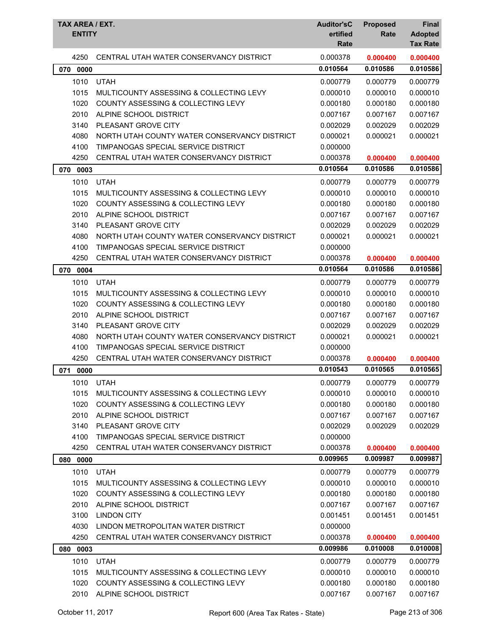| <b>TAX AREA / EXT.</b><br><b>ENTITY</b> |                                               | <b>Auditor'sC</b><br>ertified<br>Rate | <b>Proposed</b><br>Rate | Final<br><b>Adopted</b><br><b>Tax Rate</b> |
|-----------------------------------------|-----------------------------------------------|---------------------------------------|-------------------------|--------------------------------------------|
| 4250                                    | CENTRAL UTAH WATER CONSERVANCY DISTRICT       | 0.000378                              | 0.000400                | 0.000400                                   |
| 070<br>0000                             |                                               | 0.010564                              | 0.010586                | 0.010586                                   |
| 1010                                    | <b>UTAH</b>                                   | 0.000779                              | 0.000779                | 0.000779                                   |
| 1015                                    | MULTICOUNTY ASSESSING & COLLECTING LEVY       | 0.000010                              | 0.000010                | 0.000010                                   |
| 1020                                    | COUNTY ASSESSING & COLLECTING LEVY            | 0.000180                              | 0.000180                | 0.000180                                   |
| 2010                                    | ALPINE SCHOOL DISTRICT                        | 0.007167                              | 0.007167                | 0.007167                                   |
| 3140                                    | PLEASANT GROVE CITY                           | 0.002029                              | 0.002029                | 0.002029                                   |
| 4080                                    | NORTH UTAH COUNTY WATER CONSERVANCY DISTRICT  | 0.000021                              | 0.000021                | 0.000021                                   |
| 4100                                    | TIMPANOGAS SPECIAL SERVICE DISTRICT           | 0.000000                              |                         |                                            |
| 4250                                    | CENTRAL UTAH WATER CONSERVANCY DISTRICT       | 0.000378                              | 0.000400                | 0.000400                                   |
| 0003<br>070                             |                                               | 0.010564                              | 0.010586                | 0.010586                                   |
| 1010                                    | <b>UTAH</b>                                   | 0.000779                              | 0.000779                | 0.000779                                   |
| 1015                                    | MULTICOUNTY ASSESSING & COLLECTING LEVY       | 0.000010                              | 0.000010                | 0.000010                                   |
| 1020                                    | COUNTY ASSESSING & COLLECTING LEVY            | 0.000180                              | 0.000180                | 0.000180                                   |
| 2010                                    | ALPINE SCHOOL DISTRICT                        | 0.007167                              | 0.007167                | 0.007167                                   |
| 3140                                    | PLEASANT GROVE CITY                           | 0.002029                              | 0.002029                | 0.002029                                   |
| 4080                                    | NORTH UTAH COUNTY WATER CONSERVANCY DISTRICT  | 0.000021                              | 0.000021                | 0.000021                                   |
| 4100                                    | TIMPANOGAS SPECIAL SERVICE DISTRICT           | 0.000000                              |                         |                                            |
| 4250                                    | CENTRAL UTAH WATER CONSERVANCY DISTRICT       | 0.000378                              | 0.000400                | 0.000400                                   |
| 070<br>0004                             |                                               | 0.010564                              | 0.010586                | 0.010586                                   |
| 1010                                    | <b>UTAH</b>                                   | 0.000779                              | 0.000779                | 0.000779                                   |
| 1015                                    | MULTICOUNTY ASSESSING & COLLECTING LEVY       | 0.000010                              | 0.000010                | 0.000010                                   |
| 1020                                    | <b>COUNTY ASSESSING &amp; COLLECTING LEVY</b> | 0.000180                              | 0.000180                | 0.000180                                   |
| 2010                                    | ALPINE SCHOOL DISTRICT                        | 0.007167                              | 0.007167                | 0.007167                                   |
| 3140                                    | PLEASANT GROVE CITY                           | 0.002029                              | 0.002029                | 0.002029                                   |
| 4080                                    | NORTH UTAH COUNTY WATER CONSERVANCY DISTRICT  | 0.000021                              | 0.000021                | 0.000021                                   |
| 4100                                    | TIMPANOGAS SPECIAL SERVICE DISTRICT           | 0.000000                              |                         |                                            |
| 4250                                    | CENTRAL UTAH WATER CONSERVANCY DISTRICT       | 0.000378                              | 0.000400                | 0.000400                                   |
| 0000<br>071                             |                                               | 0.010543                              | 0.010565                | 0.010565                                   |
| 1010                                    | <b>UTAH</b>                                   | 0.000779                              | 0.000779                | 0.000779                                   |
| 1015                                    | MULTICOUNTY ASSESSING & COLLECTING LEVY       | 0.000010                              | 0.000010                | 0.000010                                   |
| 1020                                    | COUNTY ASSESSING & COLLECTING LEVY            | 0.000180                              | 0.000180                | 0.000180                                   |
| 2010                                    | ALPINE SCHOOL DISTRICT                        | 0.007167                              | 0.007167                | 0.007167                                   |
| 3140                                    | PLEASANT GROVE CITY                           | 0.002029                              | 0.002029                | 0.002029                                   |
| 4100                                    | TIMPANOGAS SPECIAL SERVICE DISTRICT           | 0.000000                              |                         |                                            |
| 4250                                    | CENTRAL UTAH WATER CONSERVANCY DISTRICT       | 0.000378                              | 0.000400                | 0.000400                                   |
| 0000<br>080                             |                                               | 0.009965                              | 0.009987                | 0.009987                                   |
| 1010                                    | <b>UTAH</b>                                   | 0.000779                              | 0.000779                | 0.000779                                   |
| 1015                                    | MULTICOUNTY ASSESSING & COLLECTING LEVY       | 0.000010                              | 0.000010                | 0.000010                                   |
| 1020                                    | COUNTY ASSESSING & COLLECTING LEVY            | 0.000180                              | 0.000180                | 0.000180                                   |
| 2010                                    | ALPINE SCHOOL DISTRICT                        | 0.007167                              | 0.007167                | 0.007167                                   |
| 3100                                    | <b>LINDON CITY</b>                            | 0.001451                              | 0.001451                | 0.001451                                   |
| 4030                                    | LINDON METROPOLITAN WATER DISTRICT            | 0.000000                              |                         |                                            |
| 4250                                    | CENTRAL UTAH WATER CONSERVANCY DISTRICT       | 0.000378                              | 0.000400                | 0.000400                                   |
| 080 0003                                |                                               | 0.009986                              | 0.010008                | 0.010008                                   |
| 1010                                    | <b>UTAH</b>                                   | 0.000779                              | 0.000779                | 0.000779                                   |
| 1015                                    | MULTICOUNTY ASSESSING & COLLECTING LEVY       | 0.000010                              | 0.000010                | 0.000010                                   |
| 1020                                    | COUNTY ASSESSING & COLLECTING LEVY            | 0.000180                              | 0.000180                | 0.000180                                   |
| 2010                                    | ALPINE SCHOOL DISTRICT                        | 0.007167                              | 0.007167                | 0.007167                                   |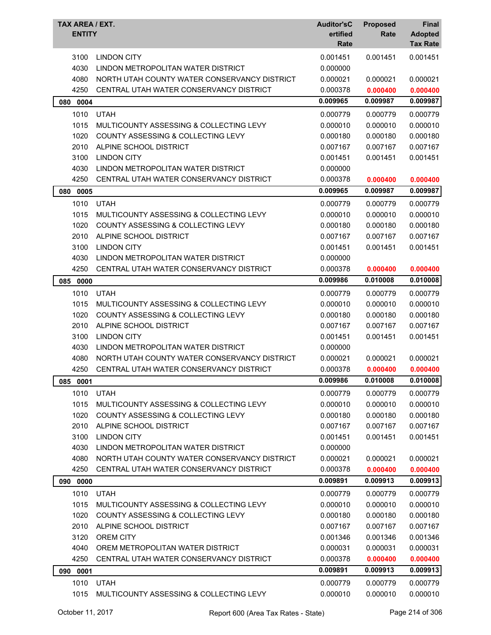| TAX AREA / EXT.<br><b>ENTITY</b> |                                               | <b>Auditor'sC</b><br>ertified<br>Rate | <b>Proposed</b><br>Rate | <b>Final</b><br><b>Adopted</b><br><b>Tax Rate</b> |
|----------------------------------|-----------------------------------------------|---------------------------------------|-------------------------|---------------------------------------------------|
| 3100                             | <b>LINDON CITY</b>                            | 0.001451                              | 0.001451                | 0.001451                                          |
| 4030                             | LINDON METROPOLITAN WATER DISTRICT            | 0.000000                              |                         |                                                   |
| 4080                             | NORTH UTAH COUNTY WATER CONSERVANCY DISTRICT  | 0.000021                              | 0.000021                | 0.000021                                          |
| 4250                             | CENTRAL UTAH WATER CONSERVANCY DISTRICT       | 0.000378                              | 0.000400                | 0.000400                                          |
| 080 0004                         |                                               | 0.009965                              | 0.009987                | 0.009987                                          |
| 1010                             | <b>UTAH</b>                                   | 0.000779                              | 0.000779                | 0.000779                                          |
| 1015                             | MULTICOUNTY ASSESSING & COLLECTING LEVY       | 0.000010                              | 0.000010                | 0.000010                                          |
| 1020                             | COUNTY ASSESSING & COLLECTING LEVY            | 0.000180                              | 0.000180                | 0.000180                                          |
| 2010                             | ALPINE SCHOOL DISTRICT                        | 0.007167                              | 0.007167                | 0.007167                                          |
| 3100                             | <b>LINDON CITY</b>                            | 0.001451                              | 0.001451                | 0.001451                                          |
| 4030                             | LINDON METROPOLITAN WATER DISTRICT            | 0.000000                              |                         |                                                   |
| 4250                             | CENTRAL UTAH WATER CONSERVANCY DISTRICT       | 0.000378                              | 0.000400                | 0.000400                                          |
| 080 0005                         |                                               | 0.009965                              | 0.009987                | 0.009987                                          |
| 1010                             | <b>UTAH</b>                                   | 0.000779                              | 0.000779                | 0.000779                                          |
| 1015                             | MULTICOUNTY ASSESSING & COLLECTING LEVY       | 0.000010                              | 0.000010                | 0.000010                                          |
| 1020                             | COUNTY ASSESSING & COLLECTING LEVY            | 0.000180                              | 0.000180                | 0.000180                                          |
| 2010                             | ALPINE SCHOOL DISTRICT                        | 0.007167                              | 0.007167                | 0.007167                                          |
| 3100                             | <b>LINDON CITY</b>                            | 0.001451                              | 0.001451                | 0.001451                                          |
| 4030                             | LINDON METROPOLITAN WATER DISTRICT            | 0.000000                              |                         |                                                   |
| 4250                             | CENTRAL UTAH WATER CONSERVANCY DISTRICT       | 0.000378                              | 0.000400                | 0.000400                                          |
| 085<br>0000                      |                                               | 0.009986                              | 0.010008                | 0.010008                                          |
| 1010                             | <b>UTAH</b>                                   | 0.000779                              | 0.000779                | 0.000779                                          |
| 1015                             | MULTICOUNTY ASSESSING & COLLECTING LEVY       | 0.000010                              | 0.000010                | 0.000010                                          |
| 1020                             | <b>COUNTY ASSESSING &amp; COLLECTING LEVY</b> | 0.000180                              | 0.000180                | 0.000180                                          |
| 2010                             | ALPINE SCHOOL DISTRICT                        | 0.007167                              | 0.007167                | 0.007167                                          |
| 3100                             | <b>LINDON CITY</b>                            | 0.001451                              | 0.001451                | 0.001451                                          |
| 4030                             | LINDON METROPOLITAN WATER DISTRICT            | 0.000000                              |                         |                                                   |
| 4080                             | NORTH UTAH COUNTY WATER CONSERVANCY DISTRICT  | 0.000021                              | 0.000021                | 0.000021                                          |
| 4250                             | CENTRAL UTAH WATER CONSERVANCY DISTRICT       | 0.000378                              | 0.000400                | 0.000400                                          |
| 085<br>0001                      |                                               | 0.009986                              | 0.010008                | 0.010008                                          |
| 1010                             | <b>UTAH</b>                                   | 0.000779                              | 0.000779                | 0.000779                                          |
| 1015                             | MULTICOUNTY ASSESSING & COLLECTING LEVY       | 0.000010                              | 0.000010                | 0.000010                                          |
| 1020                             | <b>COUNTY ASSESSING &amp; COLLECTING LEVY</b> | 0.000180                              | 0.000180                | 0.000180                                          |
| 2010                             | ALPINE SCHOOL DISTRICT                        | 0.007167                              | 0.007167                | 0.007167                                          |
| 3100                             | <b>LINDON CITY</b>                            | 0.001451                              | 0.001451                | 0.001451                                          |
| 4030                             | LINDON METROPOLITAN WATER DISTRICT            | 0.000000                              |                         |                                                   |
| 4080                             | NORTH UTAH COUNTY WATER CONSERVANCY DISTRICT  | 0.000021                              | 0.000021                | 0.000021                                          |
| 4250                             | CENTRAL UTAH WATER CONSERVANCY DISTRICT       | 0.000378                              | 0.000400                | 0.000400                                          |
| 0000<br>090                      |                                               | 0.009891                              | 0.009913                | 0.009913                                          |
| 1010                             | <b>UTAH</b>                                   | 0.000779                              | 0.000779                | 0.000779                                          |
| 1015                             | MULTICOUNTY ASSESSING & COLLECTING LEVY       | 0.000010                              | 0.000010                | 0.000010                                          |
| 1020                             | COUNTY ASSESSING & COLLECTING LEVY            | 0.000180                              | 0.000180                | 0.000180                                          |
| 2010                             | ALPINE SCHOOL DISTRICT                        | 0.007167                              | 0.007167                | 0.007167                                          |
| 3120                             | <b>OREM CITY</b>                              | 0.001346                              | 0.001346                | 0.001346                                          |
| 4040                             | OREM METROPOLITAN WATER DISTRICT              | 0.000031                              | 0.000031                | 0.000031                                          |
| 4250                             | CENTRAL UTAH WATER CONSERVANCY DISTRICT       | 0.000378                              | 0.000400                | 0.000400                                          |
| 090 0001                         |                                               | 0.009891                              | 0.009913                | 0.009913                                          |
| 1010                             | <b>UTAH</b>                                   | 0.000779                              | 0.000779                | 0.000779                                          |
| 1015                             | MULTICOUNTY ASSESSING & COLLECTING LEVY       | 0.000010                              | 0.000010                | 0.000010                                          |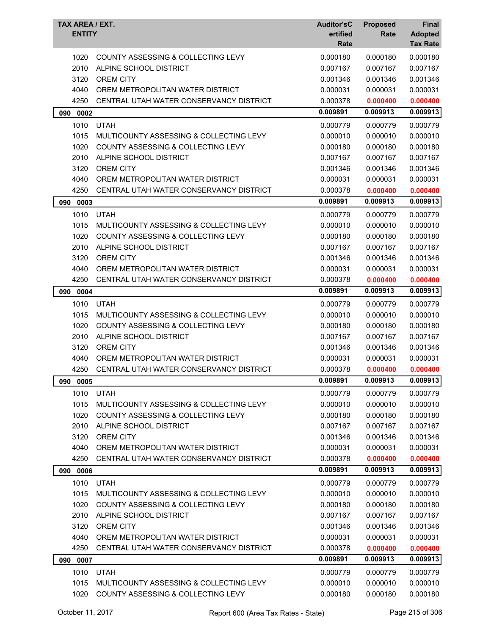| <b>COUNTY ASSESSING &amp; COLLECTING LEVY</b><br>0.000180<br>0.000180<br>1020<br>0.000180<br>2010<br>ALPINE SCHOOL DISTRICT<br>0.007167<br>0.007167<br>0.007167<br>3120<br><b>OREM CITY</b><br>0.001346<br>0.001346<br>0.001346<br>4040<br>0.000031<br>0.000031<br>OREM METROPOLITAN WATER DISTRICT<br>0.000031<br>4250<br>CENTRAL UTAH WATER CONSERVANCY DISTRICT<br>0.000378<br>0.000400<br>0.000400<br>0.009913<br>0.009891<br>0.009913<br>0002<br>090<br>1010<br><b>UTAH</b><br>0.000779<br>0.000779<br>0.000779<br>1015<br>0.000010<br>MULTICOUNTY ASSESSING & COLLECTING LEVY<br>0.000010<br>0.000010<br>1020<br>COUNTY ASSESSING & COLLECTING LEVY<br>0.000180<br>0.000180<br>0.000180<br>2010<br>ALPINE SCHOOL DISTRICT<br>0.007167<br>0.007167<br>0.007167<br>3120<br><b>OREM CITY</b><br>0.001346<br>0.001346<br>0.001346<br>4040<br>0.000031<br>OREM METROPOLITAN WATER DISTRICT<br>0.000031<br>0.000031<br>4250<br>CENTRAL UTAH WATER CONSERVANCY DISTRICT<br>0.000378<br>0.000400<br>0.000400<br>0.009891<br>0.009913<br>0.009913<br>0003<br>090<br>1010<br><b>UTAH</b><br>0.000779<br>0.000779<br>0.000779<br>1015<br>0.000010<br>MULTICOUNTY ASSESSING & COLLECTING LEVY<br>0.000010<br>0.000010<br>1020<br><b>COUNTY ASSESSING &amp; COLLECTING LEVY</b><br>0.000180<br>0.000180<br>0.000180<br>2010<br>ALPINE SCHOOL DISTRICT<br>0.007167<br>0.007167<br>0.007167<br>3120<br><b>OREM CITY</b><br>0.001346<br>0.001346<br>0.001346<br>4040<br>OREM METROPOLITAN WATER DISTRICT<br>0.000031<br>0.000031<br>0.000031<br>4250<br>CENTRAL UTAH WATER CONSERVANCY DISTRICT<br>0.000378<br>0.000400<br>0.000400<br>0.009913<br>0.009891<br>0.009913<br>090 0004<br>1010<br><b>UTAH</b><br>0.000779<br>0.000779<br>0.000779<br>1015<br>0.000010<br>0.000010<br>MULTICOUNTY ASSESSING & COLLECTING LEVY<br>0.000010<br>1020<br>COUNTY ASSESSING & COLLECTING LEVY<br>0.000180<br>0.000180<br>0.000180<br>2010<br>ALPINE SCHOOL DISTRICT<br>0.007167<br>0.007167<br>0.007167<br>3120<br><b>OREM CITY</b><br>0.001346<br>0.001346<br>0.001346<br>4040<br>OREM METROPOLITAN WATER DISTRICT<br>0.000031<br>0.000031<br>0.000031<br>4250<br>CENTRAL UTAH WATER CONSERVANCY DISTRICT<br>0.000378<br>0.000400<br>0.000400<br>0.009891<br>0.009913<br>0.009913<br>090<br>0005<br>1010<br><b>UTAH</b><br>0.000779<br>0.000779<br>0.000779<br>1015<br>0.000010<br>0.000010<br>0.000010<br>MULTICOUNTY ASSESSING & COLLECTING LEVY<br>1020<br><b>COUNTY ASSESSING &amp; COLLECTING LEVY</b><br>0.000180<br>0.000180<br>0.000180<br>2010<br>ALPINE SCHOOL DISTRICT<br>0.007167<br>0.007167<br>0.007167<br>3120<br><b>OREM CITY</b><br>0.001346<br>0.001346<br>0.001346<br>4040<br>0.000031<br>OREM METROPOLITAN WATER DISTRICT<br>0.000031<br>0.000031<br>4250<br>CENTRAL UTAH WATER CONSERVANCY DISTRICT<br>0.000378<br>0.000400<br>0.000400<br>0.009913<br>0.009891<br>0.009913<br>0006<br>090<br>1010<br><b>UTAH</b><br>0.000779<br>0.000779<br>0.000779<br>1015<br>MULTICOUNTY ASSESSING & COLLECTING LEVY<br>0.000010<br>0.000010<br>0.000010<br>1020<br>COUNTY ASSESSING & COLLECTING LEVY<br>0.000180<br>0.000180<br>0.000180<br>2010<br>ALPINE SCHOOL DISTRICT<br>0.007167<br>0.007167<br>0.007167<br>3120<br><b>OREM CITY</b><br>0.001346<br>0.001346<br>0.001346<br>4040<br>0.000031<br>OREM METROPOLITAN WATER DISTRICT<br>0.000031<br>0.000031<br>4250<br>CENTRAL UTAH WATER CONSERVANCY DISTRICT<br>0.000378<br>0.000400<br>0.000400<br>0.009913<br>0.009891<br>0.009913<br>090 0007<br>1010<br><b>UTAH</b><br>0.000779<br>0.000779<br>0.000779<br>1015<br>MULTICOUNTY ASSESSING & COLLECTING LEVY<br>0.000010<br>0.000010<br>0.000010 | <b>Auditor'sC</b><br><b>TAX AREA / EXT.</b><br><b>ENTITY</b><br>ertified<br>Rate |                                    | <b>Proposed</b><br>Rate | <b>Final</b><br><b>Adopted</b><br><b>Tax Rate</b> |          |
|-------------------------------------------------------------------------------------------------------------------------------------------------------------------------------------------------------------------------------------------------------------------------------------------------------------------------------------------------------------------------------------------------------------------------------------------------------------------------------------------------------------------------------------------------------------------------------------------------------------------------------------------------------------------------------------------------------------------------------------------------------------------------------------------------------------------------------------------------------------------------------------------------------------------------------------------------------------------------------------------------------------------------------------------------------------------------------------------------------------------------------------------------------------------------------------------------------------------------------------------------------------------------------------------------------------------------------------------------------------------------------------------------------------------------------------------------------------------------------------------------------------------------------------------------------------------------------------------------------------------------------------------------------------------------------------------------------------------------------------------------------------------------------------------------------------------------------------------------------------------------------------------------------------------------------------------------------------------------------------------------------------------------------------------------------------------------------------------------------------------------------------------------------------------------------------------------------------------------------------------------------------------------------------------------------------------------------------------------------------------------------------------------------------------------------------------------------------------------------------------------------------------------------------------------------------------------------------------------------------------------------------------------------------------------------------------------------------------------------------------------------------------------------------------------------------------------------------------------------------------------------------------------------------------------------------------------------------------------------------------------------------------------------------------------------------------------------------------------------------------------------------------------------------------------------------------------------------------------------------------------------------------------------------------------------------------------------------------------------------------------------------------------------------------------------------------------------------------------------------------------------------------------------------------------------------------------------------------------------------------------------------------------|----------------------------------------------------------------------------------|------------------------------------|-------------------------|---------------------------------------------------|----------|
|                                                                                                                                                                                                                                                                                                                                                                                                                                                                                                                                                                                                                                                                                                                                                                                                                                                                                                                                                                                                                                                                                                                                                                                                                                                                                                                                                                                                                                                                                                                                                                                                                                                                                                                                                                                                                                                                                                                                                                                                                                                                                                                                                                                                                                                                                                                                                                                                                                                                                                                                                                                                                                                                                                                                                                                                                                                                                                                                                                                                                                                                                                                                                                                                                                                                                                                                                                                                                                                                                                                                                                                                                                                 |                                                                                  |                                    |                         |                                                   |          |
|                                                                                                                                                                                                                                                                                                                                                                                                                                                                                                                                                                                                                                                                                                                                                                                                                                                                                                                                                                                                                                                                                                                                                                                                                                                                                                                                                                                                                                                                                                                                                                                                                                                                                                                                                                                                                                                                                                                                                                                                                                                                                                                                                                                                                                                                                                                                                                                                                                                                                                                                                                                                                                                                                                                                                                                                                                                                                                                                                                                                                                                                                                                                                                                                                                                                                                                                                                                                                                                                                                                                                                                                                                                 |                                                                                  |                                    |                         |                                                   |          |
|                                                                                                                                                                                                                                                                                                                                                                                                                                                                                                                                                                                                                                                                                                                                                                                                                                                                                                                                                                                                                                                                                                                                                                                                                                                                                                                                                                                                                                                                                                                                                                                                                                                                                                                                                                                                                                                                                                                                                                                                                                                                                                                                                                                                                                                                                                                                                                                                                                                                                                                                                                                                                                                                                                                                                                                                                                                                                                                                                                                                                                                                                                                                                                                                                                                                                                                                                                                                                                                                                                                                                                                                                                                 |                                                                                  |                                    |                         |                                                   |          |
|                                                                                                                                                                                                                                                                                                                                                                                                                                                                                                                                                                                                                                                                                                                                                                                                                                                                                                                                                                                                                                                                                                                                                                                                                                                                                                                                                                                                                                                                                                                                                                                                                                                                                                                                                                                                                                                                                                                                                                                                                                                                                                                                                                                                                                                                                                                                                                                                                                                                                                                                                                                                                                                                                                                                                                                                                                                                                                                                                                                                                                                                                                                                                                                                                                                                                                                                                                                                                                                                                                                                                                                                                                                 |                                                                                  |                                    |                         |                                                   |          |
|                                                                                                                                                                                                                                                                                                                                                                                                                                                                                                                                                                                                                                                                                                                                                                                                                                                                                                                                                                                                                                                                                                                                                                                                                                                                                                                                                                                                                                                                                                                                                                                                                                                                                                                                                                                                                                                                                                                                                                                                                                                                                                                                                                                                                                                                                                                                                                                                                                                                                                                                                                                                                                                                                                                                                                                                                                                                                                                                                                                                                                                                                                                                                                                                                                                                                                                                                                                                                                                                                                                                                                                                                                                 |                                                                                  |                                    |                         |                                                   |          |
|                                                                                                                                                                                                                                                                                                                                                                                                                                                                                                                                                                                                                                                                                                                                                                                                                                                                                                                                                                                                                                                                                                                                                                                                                                                                                                                                                                                                                                                                                                                                                                                                                                                                                                                                                                                                                                                                                                                                                                                                                                                                                                                                                                                                                                                                                                                                                                                                                                                                                                                                                                                                                                                                                                                                                                                                                                                                                                                                                                                                                                                                                                                                                                                                                                                                                                                                                                                                                                                                                                                                                                                                                                                 |                                                                                  |                                    |                         |                                                   |          |
|                                                                                                                                                                                                                                                                                                                                                                                                                                                                                                                                                                                                                                                                                                                                                                                                                                                                                                                                                                                                                                                                                                                                                                                                                                                                                                                                                                                                                                                                                                                                                                                                                                                                                                                                                                                                                                                                                                                                                                                                                                                                                                                                                                                                                                                                                                                                                                                                                                                                                                                                                                                                                                                                                                                                                                                                                                                                                                                                                                                                                                                                                                                                                                                                                                                                                                                                                                                                                                                                                                                                                                                                                                                 |                                                                                  |                                    |                         |                                                   |          |
|                                                                                                                                                                                                                                                                                                                                                                                                                                                                                                                                                                                                                                                                                                                                                                                                                                                                                                                                                                                                                                                                                                                                                                                                                                                                                                                                                                                                                                                                                                                                                                                                                                                                                                                                                                                                                                                                                                                                                                                                                                                                                                                                                                                                                                                                                                                                                                                                                                                                                                                                                                                                                                                                                                                                                                                                                                                                                                                                                                                                                                                                                                                                                                                                                                                                                                                                                                                                                                                                                                                                                                                                                                                 |                                                                                  |                                    |                         |                                                   |          |
|                                                                                                                                                                                                                                                                                                                                                                                                                                                                                                                                                                                                                                                                                                                                                                                                                                                                                                                                                                                                                                                                                                                                                                                                                                                                                                                                                                                                                                                                                                                                                                                                                                                                                                                                                                                                                                                                                                                                                                                                                                                                                                                                                                                                                                                                                                                                                                                                                                                                                                                                                                                                                                                                                                                                                                                                                                                                                                                                                                                                                                                                                                                                                                                                                                                                                                                                                                                                                                                                                                                                                                                                                                                 |                                                                                  |                                    |                         |                                                   |          |
|                                                                                                                                                                                                                                                                                                                                                                                                                                                                                                                                                                                                                                                                                                                                                                                                                                                                                                                                                                                                                                                                                                                                                                                                                                                                                                                                                                                                                                                                                                                                                                                                                                                                                                                                                                                                                                                                                                                                                                                                                                                                                                                                                                                                                                                                                                                                                                                                                                                                                                                                                                                                                                                                                                                                                                                                                                                                                                                                                                                                                                                                                                                                                                                                                                                                                                                                                                                                                                                                                                                                                                                                                                                 |                                                                                  |                                    |                         |                                                   |          |
|                                                                                                                                                                                                                                                                                                                                                                                                                                                                                                                                                                                                                                                                                                                                                                                                                                                                                                                                                                                                                                                                                                                                                                                                                                                                                                                                                                                                                                                                                                                                                                                                                                                                                                                                                                                                                                                                                                                                                                                                                                                                                                                                                                                                                                                                                                                                                                                                                                                                                                                                                                                                                                                                                                                                                                                                                                                                                                                                                                                                                                                                                                                                                                                                                                                                                                                                                                                                                                                                                                                                                                                                                                                 |                                                                                  |                                    |                         |                                                   |          |
|                                                                                                                                                                                                                                                                                                                                                                                                                                                                                                                                                                                                                                                                                                                                                                                                                                                                                                                                                                                                                                                                                                                                                                                                                                                                                                                                                                                                                                                                                                                                                                                                                                                                                                                                                                                                                                                                                                                                                                                                                                                                                                                                                                                                                                                                                                                                                                                                                                                                                                                                                                                                                                                                                                                                                                                                                                                                                                                                                                                                                                                                                                                                                                                                                                                                                                                                                                                                                                                                                                                                                                                                                                                 |                                                                                  |                                    |                         |                                                   |          |
|                                                                                                                                                                                                                                                                                                                                                                                                                                                                                                                                                                                                                                                                                                                                                                                                                                                                                                                                                                                                                                                                                                                                                                                                                                                                                                                                                                                                                                                                                                                                                                                                                                                                                                                                                                                                                                                                                                                                                                                                                                                                                                                                                                                                                                                                                                                                                                                                                                                                                                                                                                                                                                                                                                                                                                                                                                                                                                                                                                                                                                                                                                                                                                                                                                                                                                                                                                                                                                                                                                                                                                                                                                                 |                                                                                  |                                    |                         |                                                   |          |
|                                                                                                                                                                                                                                                                                                                                                                                                                                                                                                                                                                                                                                                                                                                                                                                                                                                                                                                                                                                                                                                                                                                                                                                                                                                                                                                                                                                                                                                                                                                                                                                                                                                                                                                                                                                                                                                                                                                                                                                                                                                                                                                                                                                                                                                                                                                                                                                                                                                                                                                                                                                                                                                                                                                                                                                                                                                                                                                                                                                                                                                                                                                                                                                                                                                                                                                                                                                                                                                                                                                                                                                                                                                 |                                                                                  |                                    |                         |                                                   |          |
|                                                                                                                                                                                                                                                                                                                                                                                                                                                                                                                                                                                                                                                                                                                                                                                                                                                                                                                                                                                                                                                                                                                                                                                                                                                                                                                                                                                                                                                                                                                                                                                                                                                                                                                                                                                                                                                                                                                                                                                                                                                                                                                                                                                                                                                                                                                                                                                                                                                                                                                                                                                                                                                                                                                                                                                                                                                                                                                                                                                                                                                                                                                                                                                                                                                                                                                                                                                                                                                                                                                                                                                                                                                 |                                                                                  |                                    |                         |                                                   |          |
|                                                                                                                                                                                                                                                                                                                                                                                                                                                                                                                                                                                                                                                                                                                                                                                                                                                                                                                                                                                                                                                                                                                                                                                                                                                                                                                                                                                                                                                                                                                                                                                                                                                                                                                                                                                                                                                                                                                                                                                                                                                                                                                                                                                                                                                                                                                                                                                                                                                                                                                                                                                                                                                                                                                                                                                                                                                                                                                                                                                                                                                                                                                                                                                                                                                                                                                                                                                                                                                                                                                                                                                                                                                 |                                                                                  |                                    |                         |                                                   |          |
|                                                                                                                                                                                                                                                                                                                                                                                                                                                                                                                                                                                                                                                                                                                                                                                                                                                                                                                                                                                                                                                                                                                                                                                                                                                                                                                                                                                                                                                                                                                                                                                                                                                                                                                                                                                                                                                                                                                                                                                                                                                                                                                                                                                                                                                                                                                                                                                                                                                                                                                                                                                                                                                                                                                                                                                                                                                                                                                                                                                                                                                                                                                                                                                                                                                                                                                                                                                                                                                                                                                                                                                                                                                 |                                                                                  |                                    |                         |                                                   |          |
|                                                                                                                                                                                                                                                                                                                                                                                                                                                                                                                                                                                                                                                                                                                                                                                                                                                                                                                                                                                                                                                                                                                                                                                                                                                                                                                                                                                                                                                                                                                                                                                                                                                                                                                                                                                                                                                                                                                                                                                                                                                                                                                                                                                                                                                                                                                                                                                                                                                                                                                                                                                                                                                                                                                                                                                                                                                                                                                                                                                                                                                                                                                                                                                                                                                                                                                                                                                                                                                                                                                                                                                                                                                 |                                                                                  |                                    |                         |                                                   |          |
|                                                                                                                                                                                                                                                                                                                                                                                                                                                                                                                                                                                                                                                                                                                                                                                                                                                                                                                                                                                                                                                                                                                                                                                                                                                                                                                                                                                                                                                                                                                                                                                                                                                                                                                                                                                                                                                                                                                                                                                                                                                                                                                                                                                                                                                                                                                                                                                                                                                                                                                                                                                                                                                                                                                                                                                                                                                                                                                                                                                                                                                                                                                                                                                                                                                                                                                                                                                                                                                                                                                                                                                                                                                 |                                                                                  |                                    |                         |                                                   |          |
|                                                                                                                                                                                                                                                                                                                                                                                                                                                                                                                                                                                                                                                                                                                                                                                                                                                                                                                                                                                                                                                                                                                                                                                                                                                                                                                                                                                                                                                                                                                                                                                                                                                                                                                                                                                                                                                                                                                                                                                                                                                                                                                                                                                                                                                                                                                                                                                                                                                                                                                                                                                                                                                                                                                                                                                                                                                                                                                                                                                                                                                                                                                                                                                                                                                                                                                                                                                                                                                                                                                                                                                                                                                 |                                                                                  |                                    |                         |                                                   |          |
|                                                                                                                                                                                                                                                                                                                                                                                                                                                                                                                                                                                                                                                                                                                                                                                                                                                                                                                                                                                                                                                                                                                                                                                                                                                                                                                                                                                                                                                                                                                                                                                                                                                                                                                                                                                                                                                                                                                                                                                                                                                                                                                                                                                                                                                                                                                                                                                                                                                                                                                                                                                                                                                                                                                                                                                                                                                                                                                                                                                                                                                                                                                                                                                                                                                                                                                                                                                                                                                                                                                                                                                                                                                 |                                                                                  |                                    |                         |                                                   |          |
|                                                                                                                                                                                                                                                                                                                                                                                                                                                                                                                                                                                                                                                                                                                                                                                                                                                                                                                                                                                                                                                                                                                                                                                                                                                                                                                                                                                                                                                                                                                                                                                                                                                                                                                                                                                                                                                                                                                                                                                                                                                                                                                                                                                                                                                                                                                                                                                                                                                                                                                                                                                                                                                                                                                                                                                                                                                                                                                                                                                                                                                                                                                                                                                                                                                                                                                                                                                                                                                                                                                                                                                                                                                 |                                                                                  |                                    |                         |                                                   |          |
|                                                                                                                                                                                                                                                                                                                                                                                                                                                                                                                                                                                                                                                                                                                                                                                                                                                                                                                                                                                                                                                                                                                                                                                                                                                                                                                                                                                                                                                                                                                                                                                                                                                                                                                                                                                                                                                                                                                                                                                                                                                                                                                                                                                                                                                                                                                                                                                                                                                                                                                                                                                                                                                                                                                                                                                                                                                                                                                                                                                                                                                                                                                                                                                                                                                                                                                                                                                                                                                                                                                                                                                                                                                 |                                                                                  |                                    |                         |                                                   |          |
|                                                                                                                                                                                                                                                                                                                                                                                                                                                                                                                                                                                                                                                                                                                                                                                                                                                                                                                                                                                                                                                                                                                                                                                                                                                                                                                                                                                                                                                                                                                                                                                                                                                                                                                                                                                                                                                                                                                                                                                                                                                                                                                                                                                                                                                                                                                                                                                                                                                                                                                                                                                                                                                                                                                                                                                                                                                                                                                                                                                                                                                                                                                                                                                                                                                                                                                                                                                                                                                                                                                                                                                                                                                 |                                                                                  |                                    |                         |                                                   |          |
|                                                                                                                                                                                                                                                                                                                                                                                                                                                                                                                                                                                                                                                                                                                                                                                                                                                                                                                                                                                                                                                                                                                                                                                                                                                                                                                                                                                                                                                                                                                                                                                                                                                                                                                                                                                                                                                                                                                                                                                                                                                                                                                                                                                                                                                                                                                                                                                                                                                                                                                                                                                                                                                                                                                                                                                                                                                                                                                                                                                                                                                                                                                                                                                                                                                                                                                                                                                                                                                                                                                                                                                                                                                 |                                                                                  |                                    |                         |                                                   |          |
|                                                                                                                                                                                                                                                                                                                                                                                                                                                                                                                                                                                                                                                                                                                                                                                                                                                                                                                                                                                                                                                                                                                                                                                                                                                                                                                                                                                                                                                                                                                                                                                                                                                                                                                                                                                                                                                                                                                                                                                                                                                                                                                                                                                                                                                                                                                                                                                                                                                                                                                                                                                                                                                                                                                                                                                                                                                                                                                                                                                                                                                                                                                                                                                                                                                                                                                                                                                                                                                                                                                                                                                                                                                 |                                                                                  |                                    |                         |                                                   |          |
|                                                                                                                                                                                                                                                                                                                                                                                                                                                                                                                                                                                                                                                                                                                                                                                                                                                                                                                                                                                                                                                                                                                                                                                                                                                                                                                                                                                                                                                                                                                                                                                                                                                                                                                                                                                                                                                                                                                                                                                                                                                                                                                                                                                                                                                                                                                                                                                                                                                                                                                                                                                                                                                                                                                                                                                                                                                                                                                                                                                                                                                                                                                                                                                                                                                                                                                                                                                                                                                                                                                                                                                                                                                 |                                                                                  |                                    |                         |                                                   |          |
|                                                                                                                                                                                                                                                                                                                                                                                                                                                                                                                                                                                                                                                                                                                                                                                                                                                                                                                                                                                                                                                                                                                                                                                                                                                                                                                                                                                                                                                                                                                                                                                                                                                                                                                                                                                                                                                                                                                                                                                                                                                                                                                                                                                                                                                                                                                                                                                                                                                                                                                                                                                                                                                                                                                                                                                                                                                                                                                                                                                                                                                                                                                                                                                                                                                                                                                                                                                                                                                                                                                                                                                                                                                 |                                                                                  |                                    |                         |                                                   |          |
|                                                                                                                                                                                                                                                                                                                                                                                                                                                                                                                                                                                                                                                                                                                                                                                                                                                                                                                                                                                                                                                                                                                                                                                                                                                                                                                                                                                                                                                                                                                                                                                                                                                                                                                                                                                                                                                                                                                                                                                                                                                                                                                                                                                                                                                                                                                                                                                                                                                                                                                                                                                                                                                                                                                                                                                                                                                                                                                                                                                                                                                                                                                                                                                                                                                                                                                                                                                                                                                                                                                                                                                                                                                 |                                                                                  |                                    |                         |                                                   |          |
|                                                                                                                                                                                                                                                                                                                                                                                                                                                                                                                                                                                                                                                                                                                                                                                                                                                                                                                                                                                                                                                                                                                                                                                                                                                                                                                                                                                                                                                                                                                                                                                                                                                                                                                                                                                                                                                                                                                                                                                                                                                                                                                                                                                                                                                                                                                                                                                                                                                                                                                                                                                                                                                                                                                                                                                                                                                                                                                                                                                                                                                                                                                                                                                                                                                                                                                                                                                                                                                                                                                                                                                                                                                 |                                                                                  |                                    |                         |                                                   |          |
|                                                                                                                                                                                                                                                                                                                                                                                                                                                                                                                                                                                                                                                                                                                                                                                                                                                                                                                                                                                                                                                                                                                                                                                                                                                                                                                                                                                                                                                                                                                                                                                                                                                                                                                                                                                                                                                                                                                                                                                                                                                                                                                                                                                                                                                                                                                                                                                                                                                                                                                                                                                                                                                                                                                                                                                                                                                                                                                                                                                                                                                                                                                                                                                                                                                                                                                                                                                                                                                                                                                                                                                                                                                 |                                                                                  |                                    |                         |                                                   |          |
|                                                                                                                                                                                                                                                                                                                                                                                                                                                                                                                                                                                                                                                                                                                                                                                                                                                                                                                                                                                                                                                                                                                                                                                                                                                                                                                                                                                                                                                                                                                                                                                                                                                                                                                                                                                                                                                                                                                                                                                                                                                                                                                                                                                                                                                                                                                                                                                                                                                                                                                                                                                                                                                                                                                                                                                                                                                                                                                                                                                                                                                                                                                                                                                                                                                                                                                                                                                                                                                                                                                                                                                                                                                 |                                                                                  |                                    |                         |                                                   |          |
|                                                                                                                                                                                                                                                                                                                                                                                                                                                                                                                                                                                                                                                                                                                                                                                                                                                                                                                                                                                                                                                                                                                                                                                                                                                                                                                                                                                                                                                                                                                                                                                                                                                                                                                                                                                                                                                                                                                                                                                                                                                                                                                                                                                                                                                                                                                                                                                                                                                                                                                                                                                                                                                                                                                                                                                                                                                                                                                                                                                                                                                                                                                                                                                                                                                                                                                                                                                                                                                                                                                                                                                                                                                 |                                                                                  |                                    |                         |                                                   |          |
|                                                                                                                                                                                                                                                                                                                                                                                                                                                                                                                                                                                                                                                                                                                                                                                                                                                                                                                                                                                                                                                                                                                                                                                                                                                                                                                                                                                                                                                                                                                                                                                                                                                                                                                                                                                                                                                                                                                                                                                                                                                                                                                                                                                                                                                                                                                                                                                                                                                                                                                                                                                                                                                                                                                                                                                                                                                                                                                                                                                                                                                                                                                                                                                                                                                                                                                                                                                                                                                                                                                                                                                                                                                 |                                                                                  |                                    |                         |                                                   |          |
|                                                                                                                                                                                                                                                                                                                                                                                                                                                                                                                                                                                                                                                                                                                                                                                                                                                                                                                                                                                                                                                                                                                                                                                                                                                                                                                                                                                                                                                                                                                                                                                                                                                                                                                                                                                                                                                                                                                                                                                                                                                                                                                                                                                                                                                                                                                                                                                                                                                                                                                                                                                                                                                                                                                                                                                                                                                                                                                                                                                                                                                                                                                                                                                                                                                                                                                                                                                                                                                                                                                                                                                                                                                 |                                                                                  |                                    |                         |                                                   |          |
|                                                                                                                                                                                                                                                                                                                                                                                                                                                                                                                                                                                                                                                                                                                                                                                                                                                                                                                                                                                                                                                                                                                                                                                                                                                                                                                                                                                                                                                                                                                                                                                                                                                                                                                                                                                                                                                                                                                                                                                                                                                                                                                                                                                                                                                                                                                                                                                                                                                                                                                                                                                                                                                                                                                                                                                                                                                                                                                                                                                                                                                                                                                                                                                                                                                                                                                                                                                                                                                                                                                                                                                                                                                 |                                                                                  |                                    |                         |                                                   |          |
|                                                                                                                                                                                                                                                                                                                                                                                                                                                                                                                                                                                                                                                                                                                                                                                                                                                                                                                                                                                                                                                                                                                                                                                                                                                                                                                                                                                                                                                                                                                                                                                                                                                                                                                                                                                                                                                                                                                                                                                                                                                                                                                                                                                                                                                                                                                                                                                                                                                                                                                                                                                                                                                                                                                                                                                                                                                                                                                                                                                                                                                                                                                                                                                                                                                                                                                                                                                                                                                                                                                                                                                                                                                 |                                                                                  |                                    |                         |                                                   |          |
|                                                                                                                                                                                                                                                                                                                                                                                                                                                                                                                                                                                                                                                                                                                                                                                                                                                                                                                                                                                                                                                                                                                                                                                                                                                                                                                                                                                                                                                                                                                                                                                                                                                                                                                                                                                                                                                                                                                                                                                                                                                                                                                                                                                                                                                                                                                                                                                                                                                                                                                                                                                                                                                                                                                                                                                                                                                                                                                                                                                                                                                                                                                                                                                                                                                                                                                                                                                                                                                                                                                                                                                                                                                 |                                                                                  |                                    |                         |                                                   |          |
|                                                                                                                                                                                                                                                                                                                                                                                                                                                                                                                                                                                                                                                                                                                                                                                                                                                                                                                                                                                                                                                                                                                                                                                                                                                                                                                                                                                                                                                                                                                                                                                                                                                                                                                                                                                                                                                                                                                                                                                                                                                                                                                                                                                                                                                                                                                                                                                                                                                                                                                                                                                                                                                                                                                                                                                                                                                                                                                                                                                                                                                                                                                                                                                                                                                                                                                                                                                                                                                                                                                                                                                                                                                 |                                                                                  |                                    |                         |                                                   |          |
|                                                                                                                                                                                                                                                                                                                                                                                                                                                                                                                                                                                                                                                                                                                                                                                                                                                                                                                                                                                                                                                                                                                                                                                                                                                                                                                                                                                                                                                                                                                                                                                                                                                                                                                                                                                                                                                                                                                                                                                                                                                                                                                                                                                                                                                                                                                                                                                                                                                                                                                                                                                                                                                                                                                                                                                                                                                                                                                                                                                                                                                                                                                                                                                                                                                                                                                                                                                                                                                                                                                                                                                                                                                 |                                                                                  |                                    |                         |                                                   |          |
|                                                                                                                                                                                                                                                                                                                                                                                                                                                                                                                                                                                                                                                                                                                                                                                                                                                                                                                                                                                                                                                                                                                                                                                                                                                                                                                                                                                                                                                                                                                                                                                                                                                                                                                                                                                                                                                                                                                                                                                                                                                                                                                                                                                                                                                                                                                                                                                                                                                                                                                                                                                                                                                                                                                                                                                                                                                                                                                                                                                                                                                                                                                                                                                                                                                                                                                                                                                                                                                                                                                                                                                                                                                 |                                                                                  |                                    |                         |                                                   |          |
|                                                                                                                                                                                                                                                                                                                                                                                                                                                                                                                                                                                                                                                                                                                                                                                                                                                                                                                                                                                                                                                                                                                                                                                                                                                                                                                                                                                                                                                                                                                                                                                                                                                                                                                                                                                                                                                                                                                                                                                                                                                                                                                                                                                                                                                                                                                                                                                                                                                                                                                                                                                                                                                                                                                                                                                                                                                                                                                                                                                                                                                                                                                                                                                                                                                                                                                                                                                                                                                                                                                                                                                                                                                 |                                                                                  |                                    |                         |                                                   |          |
|                                                                                                                                                                                                                                                                                                                                                                                                                                                                                                                                                                                                                                                                                                                                                                                                                                                                                                                                                                                                                                                                                                                                                                                                                                                                                                                                                                                                                                                                                                                                                                                                                                                                                                                                                                                                                                                                                                                                                                                                                                                                                                                                                                                                                                                                                                                                                                                                                                                                                                                                                                                                                                                                                                                                                                                                                                                                                                                                                                                                                                                                                                                                                                                                                                                                                                                                                                                                                                                                                                                                                                                                                                                 |                                                                                  |                                    |                         |                                                   |          |
|                                                                                                                                                                                                                                                                                                                                                                                                                                                                                                                                                                                                                                                                                                                                                                                                                                                                                                                                                                                                                                                                                                                                                                                                                                                                                                                                                                                                                                                                                                                                                                                                                                                                                                                                                                                                                                                                                                                                                                                                                                                                                                                                                                                                                                                                                                                                                                                                                                                                                                                                                                                                                                                                                                                                                                                                                                                                                                                                                                                                                                                                                                                                                                                                                                                                                                                                                                                                                                                                                                                                                                                                                                                 |                                                                                  |                                    |                         |                                                   |          |
|                                                                                                                                                                                                                                                                                                                                                                                                                                                                                                                                                                                                                                                                                                                                                                                                                                                                                                                                                                                                                                                                                                                                                                                                                                                                                                                                                                                                                                                                                                                                                                                                                                                                                                                                                                                                                                                                                                                                                                                                                                                                                                                                                                                                                                                                                                                                                                                                                                                                                                                                                                                                                                                                                                                                                                                                                                                                                                                                                                                                                                                                                                                                                                                                                                                                                                                                                                                                                                                                                                                                                                                                                                                 |                                                                                  |                                    |                         |                                                   |          |
|                                                                                                                                                                                                                                                                                                                                                                                                                                                                                                                                                                                                                                                                                                                                                                                                                                                                                                                                                                                                                                                                                                                                                                                                                                                                                                                                                                                                                                                                                                                                                                                                                                                                                                                                                                                                                                                                                                                                                                                                                                                                                                                                                                                                                                                                                                                                                                                                                                                                                                                                                                                                                                                                                                                                                                                                                                                                                                                                                                                                                                                                                                                                                                                                                                                                                                                                                                                                                                                                                                                                                                                                                                                 |                                                                                  |                                    |                         |                                                   |          |
|                                                                                                                                                                                                                                                                                                                                                                                                                                                                                                                                                                                                                                                                                                                                                                                                                                                                                                                                                                                                                                                                                                                                                                                                                                                                                                                                                                                                                                                                                                                                                                                                                                                                                                                                                                                                                                                                                                                                                                                                                                                                                                                                                                                                                                                                                                                                                                                                                                                                                                                                                                                                                                                                                                                                                                                                                                                                                                                                                                                                                                                                                                                                                                                                                                                                                                                                                                                                                                                                                                                                                                                                                                                 |                                                                                  |                                    |                         |                                                   |          |
|                                                                                                                                                                                                                                                                                                                                                                                                                                                                                                                                                                                                                                                                                                                                                                                                                                                                                                                                                                                                                                                                                                                                                                                                                                                                                                                                                                                                                                                                                                                                                                                                                                                                                                                                                                                                                                                                                                                                                                                                                                                                                                                                                                                                                                                                                                                                                                                                                                                                                                                                                                                                                                                                                                                                                                                                                                                                                                                                                                                                                                                                                                                                                                                                                                                                                                                                                                                                                                                                                                                                                                                                                                                 |                                                                                  |                                    |                         |                                                   |          |
|                                                                                                                                                                                                                                                                                                                                                                                                                                                                                                                                                                                                                                                                                                                                                                                                                                                                                                                                                                                                                                                                                                                                                                                                                                                                                                                                                                                                                                                                                                                                                                                                                                                                                                                                                                                                                                                                                                                                                                                                                                                                                                                                                                                                                                                                                                                                                                                                                                                                                                                                                                                                                                                                                                                                                                                                                                                                                                                                                                                                                                                                                                                                                                                                                                                                                                                                                                                                                                                                                                                                                                                                                                                 | 1020                                                                             | COUNTY ASSESSING & COLLECTING LEVY | 0.000180                | 0.000180                                          | 0.000180 |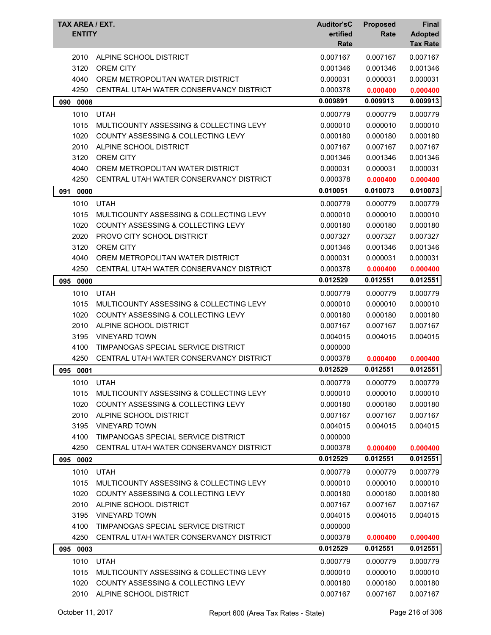| TAX AREA / EXT.<br><b>ENTITY</b> |                                         | <b>Auditor'sC</b><br>ertified<br>Rate | <b>Proposed</b><br>Rate | Final<br><b>Adopted</b><br><b>Tax Rate</b> |
|----------------------------------|-----------------------------------------|---------------------------------------|-------------------------|--------------------------------------------|
| 2010                             | ALPINE SCHOOL DISTRICT                  | 0.007167                              | 0.007167                | 0.007167                                   |
| 3120                             | <b>OREM CITY</b>                        | 0.001346                              | 0.001346                | 0.001346                                   |
| 4040                             | OREM METROPOLITAN WATER DISTRICT        | 0.000031                              | 0.000031                | 0.000031                                   |
| 4250                             | CENTRAL UTAH WATER CONSERVANCY DISTRICT | 0.000378                              | 0.000400                | 0.000400                                   |
| 090<br>0008                      |                                         | 0.009891                              | 0.009913                | 0.009913                                   |
| 1010                             | <b>UTAH</b>                             | 0.000779                              | 0.000779                | 0.000779                                   |
| 1015                             | MULTICOUNTY ASSESSING & COLLECTING LEVY | 0.000010                              | 0.000010                | 0.000010                                   |
| 1020                             | COUNTY ASSESSING & COLLECTING LEVY      | 0.000180                              | 0.000180                | 0.000180                                   |
| 2010                             | ALPINE SCHOOL DISTRICT                  | 0.007167                              | 0.007167                | 0.007167                                   |
| 3120                             | <b>OREM CITY</b>                        | 0.001346                              | 0.001346                | 0.001346                                   |
| 4040                             | OREM METROPOLITAN WATER DISTRICT        | 0.000031                              | 0.000031                | 0.000031                                   |
| 4250                             | CENTRAL UTAH WATER CONSERVANCY DISTRICT | 0.000378                              | 0.000400                | 0.000400                                   |
| 091<br>0000                      |                                         | 0.010051                              | 0.010073                | 0.010073                                   |
| 1010                             | <b>UTAH</b>                             | 0.000779                              | 0.000779                | 0.000779                                   |
| 1015                             | MULTICOUNTY ASSESSING & COLLECTING LEVY | 0.000010                              | 0.000010                | 0.000010                                   |
| 1020                             | COUNTY ASSESSING & COLLECTING LEVY      | 0.000180                              | 0.000180                | 0.000180                                   |
| 2020                             | PROVO CITY SCHOOL DISTRICT              | 0.007327                              | 0.007327                | 0.007327                                   |
| 3120                             | <b>OREM CITY</b>                        | 0.001346                              | 0.001346                | 0.001346                                   |
| 4040                             | OREM METROPOLITAN WATER DISTRICT        | 0.000031                              | 0.000031                | 0.000031                                   |
| 4250                             | CENTRAL UTAH WATER CONSERVANCY DISTRICT | 0.000378                              | 0.000400                | 0.000400                                   |
| 095<br>0000                      |                                         | 0.012529                              | 0.012551                | 0.012551                                   |
| 1010                             | <b>UTAH</b>                             | 0.000779                              | 0.000779                | 0.000779                                   |
| 1015                             | MULTICOUNTY ASSESSING & COLLECTING LEVY | 0.000010                              | 0.000010                | 0.000010                                   |
| 1020                             | COUNTY ASSESSING & COLLECTING LEVY      | 0.000180                              | 0.000180                | 0.000180                                   |
| 2010                             | ALPINE SCHOOL DISTRICT                  | 0.007167                              | 0.007167                | 0.007167                                   |
| 3195                             | <b>VINEYARD TOWN</b>                    | 0.004015                              | 0.004015                | 0.004015                                   |
| 4100                             | TIMPANOGAS SPECIAL SERVICE DISTRICT     | 0.000000                              |                         |                                            |
| 4250                             | CENTRAL UTAH WATER CONSERVANCY DISTRICT | 0.000378                              | 0.000400                | 0.000400                                   |
| 095 0001                         |                                         | 0.012529                              | 0.012551                | 0.012551                                   |
| 1010                             | <b>UTAH</b>                             | 0.000779                              | 0.000779                | 0.000779                                   |
| 1015                             | MULTICOUNTY ASSESSING & COLLECTING LEVY | 0.000010                              | 0.000010                | 0.000010                                   |
| 1020                             | COUNTY ASSESSING & COLLECTING LEVY      | 0.000180                              | 0.000180                | 0.000180                                   |
| 2010                             | ALPINE SCHOOL DISTRICT                  | 0.007167                              | 0.007167                | 0.007167                                   |
| 3195                             | <b>VINEYARD TOWN</b>                    | 0.004015                              | 0.004015                | 0.004015                                   |
| 4100                             | TIMPANOGAS SPECIAL SERVICE DISTRICT     | 0.000000                              |                         |                                            |
| 4250                             | CENTRAL UTAH WATER CONSERVANCY DISTRICT | 0.000378                              | 0.000400                | 0.000400                                   |
| 095 0002                         |                                         | 0.012529                              | 0.012551                | 0.012551                                   |
| 1010                             | <b>UTAH</b>                             | 0.000779                              | 0.000779                | 0.000779                                   |
| 1015                             | MULTICOUNTY ASSESSING & COLLECTING LEVY | 0.000010                              | 0.000010                | 0.000010                                   |
| 1020                             | COUNTY ASSESSING & COLLECTING LEVY      | 0.000180                              | 0.000180                | 0.000180                                   |
| 2010                             | ALPINE SCHOOL DISTRICT                  | 0.007167                              | 0.007167                | 0.007167                                   |
| 3195                             | <b>VINEYARD TOWN</b>                    | 0.004015                              | 0.004015                | 0.004015                                   |
| 4100                             | TIMPANOGAS SPECIAL SERVICE DISTRICT     | 0.000000                              |                         |                                            |
| 4250                             | CENTRAL UTAH WATER CONSERVANCY DISTRICT | 0.000378                              | 0.000400                | 0.000400                                   |
| 095 0003                         |                                         | 0.012529                              | 0.012551                | 0.012551                                   |
| 1010                             | <b>UTAH</b>                             | 0.000779                              | 0.000779                | 0.000779                                   |
| 1015                             | MULTICOUNTY ASSESSING & COLLECTING LEVY | 0.000010                              | 0.000010                | 0.000010                                   |
| 1020                             | COUNTY ASSESSING & COLLECTING LEVY      | 0.000180                              | 0.000180                | 0.000180                                   |
| 2010                             | ALPINE SCHOOL DISTRICT                  | 0.007167                              | 0.007167                | 0.007167                                   |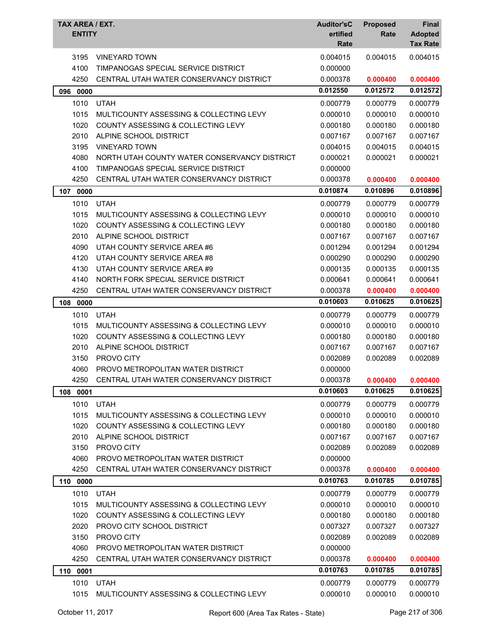| TAX AREA / EXT.<br><b>ENTITY</b> |                                               | <b>Auditor'sC</b><br>ertified<br>Rate | <b>Proposed</b><br>Rate | Final<br><b>Adopted</b><br><b>Tax Rate</b> |
|----------------------------------|-----------------------------------------------|---------------------------------------|-------------------------|--------------------------------------------|
| 3195                             | <b>VINEYARD TOWN</b>                          | 0.004015                              | 0.004015                | 0.004015                                   |
| 4100                             | TIMPANOGAS SPECIAL SERVICE DISTRICT           | 0.000000                              |                         |                                            |
| 4250                             | CENTRAL UTAH WATER CONSERVANCY DISTRICT       | 0.000378                              | 0.000400                | 0.000400                                   |
| 096 0000                         |                                               | 0.012550                              | 0.012572                | 0.012572                                   |
| 1010                             | <b>UTAH</b>                                   | 0.000779                              | 0.000779                | 0.000779                                   |
| 1015                             | MULTICOUNTY ASSESSING & COLLECTING LEVY       | 0.000010                              | 0.000010                | 0.000010                                   |
| 1020                             | <b>COUNTY ASSESSING &amp; COLLECTING LEVY</b> | 0.000180                              | 0.000180                | 0.000180                                   |
| 2010                             | ALPINE SCHOOL DISTRICT                        | 0.007167                              | 0.007167                | 0.007167                                   |
| 3195                             | <b>VINEYARD TOWN</b>                          | 0.004015                              | 0.004015                | 0.004015                                   |
| 4080                             | NORTH UTAH COUNTY WATER CONSERVANCY DISTRICT  | 0.000021                              | 0.000021                | 0.000021                                   |
| 4100                             | TIMPANOGAS SPECIAL SERVICE DISTRICT           | 0.000000                              |                         |                                            |
| 4250                             | CENTRAL UTAH WATER CONSERVANCY DISTRICT       | 0.000378                              | 0.000400                | 0.000400                                   |
| 107<br>0000                      |                                               | 0.010874                              | 0.010896                | 0.010896                                   |
| 1010                             | <b>UTAH</b>                                   | 0.000779                              | 0.000779                | 0.000779                                   |
| 1015                             | MULTICOUNTY ASSESSING & COLLECTING LEVY       | 0.000010                              | 0.000010                | 0.000010                                   |
| 1020                             | <b>COUNTY ASSESSING &amp; COLLECTING LEVY</b> | 0.000180                              | 0.000180                | 0.000180                                   |
| 2010                             | ALPINE SCHOOL DISTRICT                        | 0.007167                              | 0.007167                | 0.007167                                   |
| 4090                             | UTAH COUNTY SERVICE AREA #6                   | 0.001294                              | 0.001294                | 0.001294                                   |
| 4120                             | UTAH COUNTY SERVICE AREA #8                   | 0.000290                              | 0.000290                | 0.000290                                   |
| 4130                             | UTAH COUNTY SERVICE AREA #9                   | 0.000135                              | 0.000135                | 0.000135                                   |
| 4140                             | NORTH FORK SPECIAL SERVICE DISTRICT           | 0.000641                              | 0.000641                | 0.000641                                   |
| 4250                             | CENTRAL UTAH WATER CONSERVANCY DISTRICT       | 0.000378                              | 0.000400                | 0.000400                                   |
| 108 0000                         |                                               | 0.010603                              | 0.010625                | 0.010625                                   |
| 1010                             | <b>UTAH</b>                                   | 0.000779                              | 0.000779                | 0.000779                                   |
| 1015                             | MULTICOUNTY ASSESSING & COLLECTING LEVY       | 0.000010                              | 0.000010                | 0.000010                                   |
| 1020                             | <b>COUNTY ASSESSING &amp; COLLECTING LEVY</b> | 0.000180                              | 0.000180                | 0.000180                                   |
| 2010                             | ALPINE SCHOOL DISTRICT                        | 0.007167                              | 0.007167                | 0.007167                                   |
| 3150                             | PROVO CITY                                    | 0.002089                              | 0.002089                | 0.002089                                   |
| 4060                             | PROVO METROPOLITAN WATER DISTRICT             | 0.000000                              |                         |                                            |
| 4250                             | CENTRAL UTAH WATER CONSERVANCY DISTRICT       | 0.000378                              | 0.000400                | 0.000400                                   |
| 108<br>0001                      |                                               | 0.010603                              | 0.010625                | 0.010625                                   |
| 1010                             | <b>UTAH</b>                                   | 0.000779                              | 0.000779                | 0.000779                                   |
| 1015                             | MULTICOUNTY ASSESSING & COLLECTING LEVY       | 0.000010                              | 0.000010                | 0.000010                                   |
| 1020                             | <b>COUNTY ASSESSING &amp; COLLECTING LEVY</b> | 0.000180                              | 0.000180                | 0.000180                                   |
| 2010                             | ALPINE SCHOOL DISTRICT                        | 0.007167                              | 0.007167                | 0.007167                                   |
| 3150                             | PROVO CITY                                    | 0.002089                              | 0.002089                | 0.002089                                   |
| 4060                             | PROVO METROPOLITAN WATER DISTRICT             | 0.000000                              |                         |                                            |
| 4250                             | CENTRAL UTAH WATER CONSERVANCY DISTRICT       | 0.000378                              | 0.000400                | 0.000400                                   |
| 110 0000                         |                                               | 0.010763                              | 0.010785                | 0.010785                                   |
| 1010                             | <b>UTAH</b>                                   | 0.000779                              | 0.000779                | 0.000779                                   |
| 1015                             | MULTICOUNTY ASSESSING & COLLECTING LEVY       | 0.000010                              | 0.000010                | 0.000010                                   |
| 1020                             | COUNTY ASSESSING & COLLECTING LEVY            | 0.000180                              | 0.000180                | 0.000180                                   |
| 2020                             | PROVO CITY SCHOOL DISTRICT                    | 0.007327                              | 0.007327                | 0.007327                                   |
| 3150                             | PROVO CITY                                    | 0.002089                              | 0.002089                | 0.002089                                   |
| 4060                             | PROVO METROPOLITAN WATER DISTRICT             | 0.000000                              |                         |                                            |
| 4250                             | CENTRAL UTAH WATER CONSERVANCY DISTRICT       | 0.000378                              | 0.000400                | 0.000400                                   |
| 0001<br>110                      |                                               | 0.010763                              | 0.010785                | 0.010785                                   |
| 1010                             | <b>UTAH</b>                                   | 0.000779                              | 0.000779                | 0.000779                                   |
| 1015                             | MULTICOUNTY ASSESSING & COLLECTING LEVY       | 0.000010                              | 0.000010                | 0.000010                                   |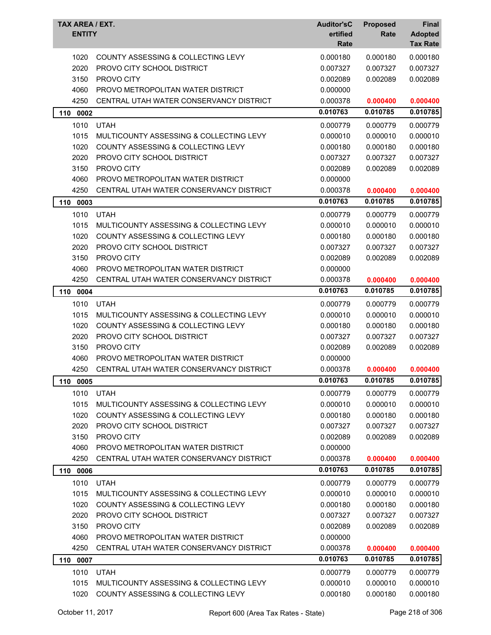| TAX AREA / EXT.<br><b>ENTITY</b> |                                               | <b>Auditor'sC</b><br>ertified<br>Rate | <b>Proposed</b><br>Rate | <b>Final</b><br><b>Adopted</b><br><b>Tax Rate</b> |
|----------------------------------|-----------------------------------------------|---------------------------------------|-------------------------|---------------------------------------------------|
| 1020                             | <b>COUNTY ASSESSING &amp; COLLECTING LEVY</b> | 0.000180                              | 0.000180                | 0.000180                                          |
| 2020                             | PROVO CITY SCHOOL DISTRICT                    | 0.007327                              | 0.007327                | 0.007327                                          |
| 3150                             | PROVO CITY                                    | 0.002089                              | 0.002089                | 0.002089                                          |
| 4060                             | PROVO METROPOLITAN WATER DISTRICT             | 0.000000                              |                         |                                                   |
| 4250                             | CENTRAL UTAH WATER CONSERVANCY DISTRICT       | 0.000378                              | 0.000400                | 0.000400                                          |
| 110 0002                         |                                               | 0.010763                              | 0.010785                | 0.010785                                          |
| 1010                             | <b>UTAH</b>                                   | 0.000779                              | 0.000779                | 0.000779                                          |
| 1015                             | MULTICOUNTY ASSESSING & COLLECTING LEVY       | 0.000010                              | 0.000010                | 0.000010                                          |
| 1020                             | COUNTY ASSESSING & COLLECTING LEVY            | 0.000180                              | 0.000180                | 0.000180                                          |
| 2020                             | PROVO CITY SCHOOL DISTRICT                    | 0.007327                              | 0.007327                | 0.007327                                          |
| 3150                             | PROVO CITY                                    | 0.002089                              | 0.002089                | 0.002089                                          |
| 4060                             | PROVO METROPOLITAN WATER DISTRICT             | 0.000000                              |                         |                                                   |
| 4250                             | CENTRAL UTAH WATER CONSERVANCY DISTRICT       | 0.000378                              | 0.000400                | 0.000400                                          |
| 110<br>0003                      |                                               | 0.010763                              | 0.010785                | 0.010785                                          |
| 1010                             | <b>UTAH</b>                                   | 0.000779                              | 0.000779                | 0.000779                                          |
| 1015                             | MULTICOUNTY ASSESSING & COLLECTING LEVY       | 0.000010                              | 0.000010                | 0.000010                                          |
| 1020                             | COUNTY ASSESSING & COLLECTING LEVY            | 0.000180                              | 0.000180                | 0.000180                                          |
| 2020                             | PROVO CITY SCHOOL DISTRICT                    | 0.007327                              | 0.007327                | 0.007327                                          |
| 3150                             | PROVO CITY                                    | 0.002089                              | 0.002089                | 0.002089                                          |
| 4060                             | PROVO METROPOLITAN WATER DISTRICT             | 0.000000                              |                         |                                                   |
| 4250                             | CENTRAL UTAH WATER CONSERVANCY DISTRICT       | 0.000378                              | 0.000400                | 0.000400                                          |
| 110 0004                         |                                               | 0.010763                              | 0.010785                | 0.010785                                          |
| 1010                             | <b>UTAH</b>                                   | 0.000779                              | 0.000779                | 0.000779                                          |
| 1015                             | MULTICOUNTY ASSESSING & COLLECTING LEVY       | 0.000010                              | 0.000010                | 0.000010                                          |
| 1020                             | COUNTY ASSESSING & COLLECTING LEVY            | 0.000180                              | 0.000180                | 0.000180                                          |
| 2020                             | PROVO CITY SCHOOL DISTRICT                    | 0.007327                              | 0.007327                | 0.007327                                          |
| 3150                             | PROVO CITY                                    | 0.002089                              | 0.002089                | 0.002089                                          |
| 4060                             | PROVO METROPOLITAN WATER DISTRICT             | 0.000000                              |                         |                                                   |
| 4250                             | CENTRAL UTAH WATER CONSERVANCY DISTRICT       | 0.000378                              | 0.000400                | 0.000400                                          |
| 110<br>0005                      |                                               | 0.010763                              | 0.010785                | 0.010785                                          |
| 1010                             | <b>UTAH</b>                                   | 0.000779                              | 0.000779                | 0.000779                                          |
| 1015                             | MULTICOUNTY ASSESSING & COLLECTING LEVY       | 0.000010                              | 0.000010                | 0.000010                                          |
| 1020                             | <b>COUNTY ASSESSING &amp; COLLECTING LEVY</b> | 0.000180                              | 0.000180                | 0.000180                                          |
| 2020                             | PROVO CITY SCHOOL DISTRICT                    | 0.007327                              | 0.007327                | 0.007327                                          |
| 3150                             | PROVO CITY                                    | 0.002089                              | 0.002089                | 0.002089                                          |
| 4060                             | PROVO METROPOLITAN WATER DISTRICT             | 0.000000                              |                         |                                                   |
| 4250                             | CENTRAL UTAH WATER CONSERVANCY DISTRICT       | 0.000378                              | 0.000400                | 0.000400                                          |
| 0006<br>110                      |                                               | 0.010763                              | 0.010785                | 0.010785                                          |
| 1010                             | <b>UTAH</b>                                   | 0.000779                              | 0.000779                | 0.000779                                          |
| 1015                             |                                               |                                       |                         |                                                   |
|                                  | MULTICOUNTY ASSESSING & COLLECTING LEVY       | 0.000010                              | 0.000010                | 0.000010                                          |
| 1020                             | COUNTY ASSESSING & COLLECTING LEVY            | 0.000180                              | 0.000180                | 0.000180                                          |
| 2020                             | PROVO CITY SCHOOL DISTRICT                    | 0.007327                              | 0.007327                | 0.007327                                          |
| 3150                             | PROVO CITY                                    | 0.002089                              | 0.002089                | 0.002089                                          |
| 4060                             | PROVO METROPOLITAN WATER DISTRICT             | 0.000000                              |                         |                                                   |
| 4250                             | CENTRAL UTAH WATER CONSERVANCY DISTRICT       | 0.000378                              | 0.000400                | 0.000400                                          |
| 110 0007                         |                                               | 0.010763                              | 0.010785                | 0.010785                                          |
| 1010                             | <b>UTAH</b>                                   | 0.000779                              | 0.000779                | 0.000779                                          |
| 1015                             | MULTICOUNTY ASSESSING & COLLECTING LEVY       | 0.000010                              | 0.000010                | 0.000010                                          |
| 1020                             | COUNTY ASSESSING & COLLECTING LEVY            | 0.000180                              | 0.000180                | 0.000180                                          |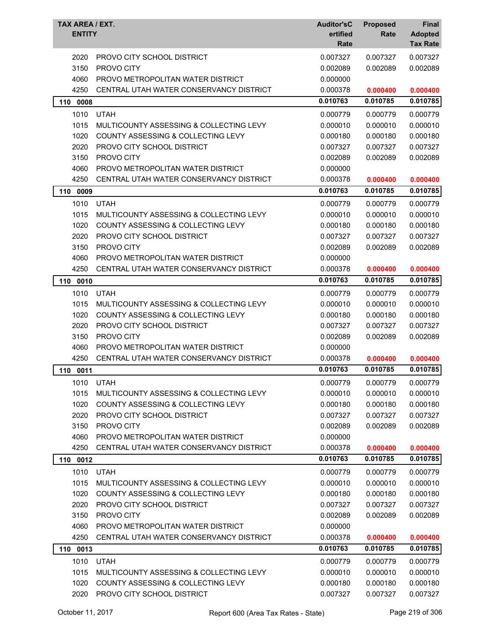| TAX AREA / EXT.<br><b>ENTITY</b> |                                               | <b>Auditor'sC</b><br>ertified<br>Rate | <b>Proposed</b><br>Rate | <b>Final</b><br><b>Adopted</b><br><b>Tax Rate</b> |
|----------------------------------|-----------------------------------------------|---------------------------------------|-------------------------|---------------------------------------------------|
| 2020                             | PROVO CITY SCHOOL DISTRICT                    | 0.007327                              | 0.007327                | 0.007327                                          |
| 3150                             | PROVO CITY                                    | 0.002089                              | 0.002089                | 0.002089                                          |
| 4060                             | PROVO METROPOLITAN WATER DISTRICT             | 0.000000                              |                         |                                                   |
| 4250                             | CENTRAL UTAH WATER CONSERVANCY DISTRICT       | 0.000378                              | 0.000400                | 0.000400                                          |
| 110 0008                         |                                               | 0.010763                              | 0.010785                | 0.010785                                          |
| 1010                             | <b>UTAH</b>                                   | 0.000779                              | 0.000779                | 0.000779                                          |
| 1015                             | MULTICOUNTY ASSESSING & COLLECTING LEVY       | 0.000010                              | 0.000010                | 0.000010                                          |
| 1020                             | COUNTY ASSESSING & COLLECTING LEVY            | 0.000180                              | 0.000180                | 0.000180                                          |
| 2020                             | PROVO CITY SCHOOL DISTRICT                    | 0.007327                              | 0.007327                | 0.007327                                          |
| 3150                             | PROVO CITY                                    | 0.002089                              | 0.002089                | 0.002089                                          |
| 4060                             | PROVO METROPOLITAN WATER DISTRICT             | 0.000000                              |                         |                                                   |
| 4250                             | CENTRAL UTAH WATER CONSERVANCY DISTRICT       | 0.000378                              | 0.000400                | 0.000400                                          |
| 110<br>0009                      |                                               | 0.010763                              | 0.010785                | 0.010785                                          |
| 1010                             | <b>UTAH</b>                                   | 0.000779                              | 0.000779                | 0.000779                                          |
| 1015                             | MULTICOUNTY ASSESSING & COLLECTING LEVY       | 0.000010                              | 0.000010                | 0.000010                                          |
| 1020                             | <b>COUNTY ASSESSING &amp; COLLECTING LEVY</b> | 0.000180                              | 0.000180                | 0.000180                                          |
| 2020                             | PROVO CITY SCHOOL DISTRICT                    | 0.007327                              | 0.007327                | 0.007327                                          |
| 3150                             | PROVO CITY                                    | 0.002089                              | 0.002089                | 0.002089                                          |
| 4060                             | PROVO METROPOLITAN WATER DISTRICT             | 0.000000                              |                         |                                                   |
| 4250                             | CENTRAL UTAH WATER CONSERVANCY DISTRICT       | 0.000378                              | 0.000400                | 0.000400                                          |
| 0010<br>110                      |                                               | 0.010763                              | 0.010785                | 0.010785                                          |
| 1010                             | <b>UTAH</b>                                   | 0.000779                              | 0.000779                | 0.000779                                          |
| 1015                             | MULTICOUNTY ASSESSING & COLLECTING LEVY       | 0.000010                              | 0.000010                | 0.000010                                          |
| 1020                             | COUNTY ASSESSING & COLLECTING LEVY            | 0.000180                              | 0.000180                | 0.000180                                          |
| 2020                             | PROVO CITY SCHOOL DISTRICT                    | 0.007327                              | 0.007327                | 0.007327                                          |
| 3150                             | PROVO CITY                                    | 0.002089                              | 0.002089                | 0.002089                                          |
| 4060                             | PROVO METROPOLITAN WATER DISTRICT             | 0.000000                              |                         |                                                   |
| 4250                             | CENTRAL UTAH WATER CONSERVANCY DISTRICT       | 0.000378                              | 0.000400                | 0.000400                                          |
| 110 0011                         |                                               | 0.010763                              | 0.010785                | 0.010785                                          |
| 1010                             | <b>UTAH</b>                                   | 0.000779                              | 0.000779                | 0.000779                                          |
| 1015                             | MULTICOUNTY ASSESSING & COLLECTING LEVY       | 0.000010                              | 0.000010                | 0.000010                                          |
| 1020                             | COUNTY ASSESSING & COLLECTING LEVY            | 0.000180                              | 0.000180                | 0.000180                                          |
| 2020                             | PROVO CITY SCHOOL DISTRICT                    | 0.007327                              | 0.007327                | 0.007327                                          |
| 3150                             | PROVO CITY                                    | 0.002089                              | 0.002089                | 0.002089                                          |
| 4060                             | PROVO METROPOLITAN WATER DISTRICT             | 0.000000                              |                         |                                                   |
| 4250                             | CENTRAL UTAH WATER CONSERVANCY DISTRICT       | 0.000378                              | 0.000400                | 0.000400                                          |
| 110 0012                         |                                               | 0.010763                              | 0.010785                | 0.010785                                          |
| 1010                             | <b>UTAH</b>                                   | 0.000779                              | 0.000779                | 0.000779                                          |
| 1015                             | MULTICOUNTY ASSESSING & COLLECTING LEVY       | 0.000010                              | 0.000010                | 0.000010                                          |
| 1020                             | <b>COUNTY ASSESSING &amp; COLLECTING LEVY</b> | 0.000180                              | 0.000180                | 0.000180                                          |
| 2020                             | PROVO CITY SCHOOL DISTRICT                    | 0.007327                              | 0.007327                | 0.007327                                          |
| 3150                             | PROVO CITY                                    | 0.002089                              | 0.002089                | 0.002089                                          |
| 4060                             | PROVO METROPOLITAN WATER DISTRICT             | 0.000000                              |                         |                                                   |
| 4250                             | CENTRAL UTAH WATER CONSERVANCY DISTRICT       | 0.000378                              | 0.000400                | 0.000400                                          |
| 110 0013                         |                                               | 0.010763                              | 0.010785                | 0.010785                                          |
| 1010                             | <b>UTAH</b>                                   | 0.000779                              | 0.000779                | 0.000779                                          |
| 1015                             | MULTICOUNTY ASSESSING & COLLECTING LEVY       | 0.000010                              | 0.000010                | 0.000010                                          |
| 1020                             | COUNTY ASSESSING & COLLECTING LEVY            | 0.000180                              | 0.000180                | 0.000180                                          |
| 2020                             | PROVO CITY SCHOOL DISTRICT                    | 0.007327                              | 0.007327                | 0.007327                                          |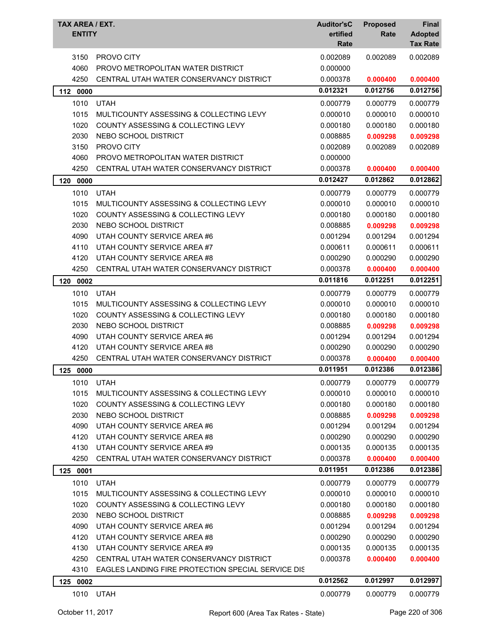| TAX AREA / EXT.<br><b>ENTITY</b> |                                                                        | <b>Auditor'sC</b><br>ertified<br>Rate | <b>Proposed</b><br>Rate | <b>Final</b><br><b>Adopted</b><br><b>Tax Rate</b> |
|----------------------------------|------------------------------------------------------------------------|---------------------------------------|-------------------------|---------------------------------------------------|
| 3150                             | PROVO CITY                                                             | 0.002089                              | 0.002089                | 0.002089                                          |
| 4060                             | PROVO METROPOLITAN WATER DISTRICT                                      | 0.000000                              |                         |                                                   |
| 4250                             | CENTRAL UTAH WATER CONSERVANCY DISTRICT                                | 0.000378                              | 0.000400                | 0.000400                                          |
| 112 0000                         |                                                                        | 0.012321                              | 0.012756                | 0.012756                                          |
| 1010                             | <b>UTAH</b>                                                            | 0.000779                              | 0.000779                | 0.000779                                          |
| 1015                             | MULTICOUNTY ASSESSING & COLLECTING LEVY                                | 0.000010                              | 0.000010                | 0.000010                                          |
| 1020                             | COUNTY ASSESSING & COLLECTING LEVY                                     | 0.000180                              | 0.000180                | 0.000180                                          |
| 2030                             | NEBO SCHOOL DISTRICT                                                   | 0.008885                              | 0.009298                | 0.009298                                          |
| 3150                             | PROVO CITY                                                             | 0.002089                              | 0.002089                | 0.002089                                          |
| 4060                             | PROVO METROPOLITAN WATER DISTRICT                                      | 0.000000                              |                         |                                                   |
| 4250                             | CENTRAL UTAH WATER CONSERVANCY DISTRICT                                | 0.000378                              | 0.000400                | 0.000400                                          |
| 120<br>0000                      |                                                                        | 0.012427                              | 0.012862                | 0.012862                                          |
| 1010                             | <b>UTAH</b>                                                            | 0.000779                              | 0.000779                | 0.000779                                          |
| 1015                             | MULTICOUNTY ASSESSING & COLLECTING LEVY                                | 0.000010                              | 0.000010                | 0.000010                                          |
| 1020                             | COUNTY ASSESSING & COLLECTING LEVY                                     | 0.000180                              | 0.000180                | 0.000180                                          |
| 2030                             | NEBO SCHOOL DISTRICT                                                   | 0.008885                              | 0.009298                | 0.009298                                          |
| 4090                             | UTAH COUNTY SERVICE AREA #6                                            | 0.001294                              | 0.001294                | 0.001294                                          |
| 4110                             | UTAH COUNTY SERVICE AREA #7                                            | 0.000611                              | 0.000611                | 0.000611                                          |
| 4120                             | UTAH COUNTY SERVICE AREA #8                                            | 0.000290                              | 0.000290                | 0.000290                                          |
| 4250                             | CENTRAL UTAH WATER CONSERVANCY DISTRICT                                | 0.000378                              | 0.000400                | 0.000400                                          |
| 120<br>0002                      |                                                                        | 0.011816                              | 0.012251                | 0.012251                                          |
|                                  |                                                                        |                                       |                         |                                                   |
| 1010                             | <b>UTAH</b>                                                            | 0.000779                              | 0.000779                | 0.000779                                          |
| 1015                             | MULTICOUNTY ASSESSING & COLLECTING LEVY                                | 0.000010                              | 0.000010                | 0.000010                                          |
| 1020                             | COUNTY ASSESSING & COLLECTING LEVY                                     | 0.000180                              | 0.000180                | 0.000180                                          |
| 2030                             | NEBO SCHOOL DISTRICT                                                   | 0.008885                              | 0.009298                | 0.009298                                          |
| 4090                             | UTAH COUNTY SERVICE AREA #6                                            | 0.001294                              | 0.001294                | 0.001294                                          |
| 4120<br>4250                     | UTAH COUNTY SERVICE AREA #8<br>CENTRAL UTAH WATER CONSERVANCY DISTRICT | 0.000290                              | 0.000290                | 0.000290                                          |
|                                  |                                                                        | 0.000378<br>0.011951                  | 0.000400<br>0.012386    | 0.000400<br>0.012386                              |
| 125 0000                         |                                                                        |                                       |                         |                                                   |
| 1010                             | <b>UTAH</b>                                                            | 0.000779                              | 0.000779                | 0.000779                                          |
| 1015                             | MULTICOUNTY ASSESSING & COLLECTING LEVY                                | 0.000010                              | 0.000010                | 0.000010                                          |
| 1020                             | COUNTY ASSESSING & COLLECTING LEVY                                     | 0.000180                              | 0.000180                | 0.000180                                          |
| 2030                             | NEBO SCHOOL DISTRICT                                                   | 0.008885                              | 0.009298                | 0.009298                                          |
| 4090                             | UTAH COUNTY SERVICE AREA #6                                            | 0.001294                              | 0.001294                | 0.001294                                          |
| 4120                             | UTAH COUNTY SERVICE AREA #8                                            | 0.000290                              | 0.000290                | 0.000290                                          |
| 4130                             | UTAH COUNTY SERVICE AREA #9                                            | 0.000135                              | 0.000135                | 0.000135                                          |
| 4250                             | CENTRAL UTAH WATER CONSERVANCY DISTRICT                                | 0.000378                              | 0.000400                | 0.000400                                          |
| 125 0001                         |                                                                        | 0.011951                              | 0.012386                | 0.012386                                          |
| 1010                             | <b>UTAH</b>                                                            | 0.000779                              | 0.000779                | 0.000779                                          |
| 1015                             | MULTICOUNTY ASSESSING & COLLECTING LEVY                                | 0.000010                              | 0.000010                | 0.000010                                          |
| 1020                             | COUNTY ASSESSING & COLLECTING LEVY                                     | 0.000180                              | 0.000180                | 0.000180                                          |
| 2030                             | NEBO SCHOOL DISTRICT                                                   | 0.008885                              | 0.009298                | 0.009298                                          |
| 4090                             | UTAH COUNTY SERVICE AREA #6                                            | 0.001294                              | 0.001294                | 0.001294                                          |
| 4120                             | UTAH COUNTY SERVICE AREA #8                                            | 0.000290                              | 0.000290                | 0.000290                                          |
| 4130                             | UTAH COUNTY SERVICE AREA #9                                            | 0.000135                              | 0.000135                | 0.000135                                          |
| 4250                             | CENTRAL UTAH WATER CONSERVANCY DISTRICT                                | 0.000378                              | 0.000400                | 0.000400                                          |
| 4310                             | EAGLES LANDING FIRE PROTECTION SPECIAL SERVICE DIS                     |                                       |                         |                                                   |
| 125 0002                         |                                                                        | 0.012562                              | 0.012997                | 0.012997                                          |
| 1010                             | <b>UTAH</b>                                                            | 0.000779                              | 0.000779                | 0.000779                                          |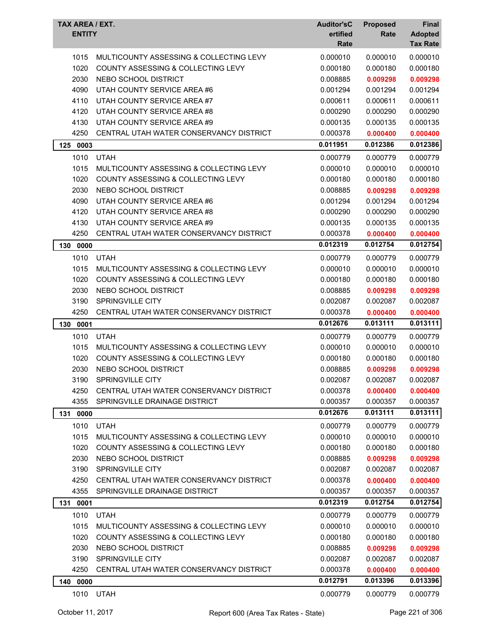| TAX AREA / EXT.<br><b>ENTITY</b> |                                               | <b>Auditor'sC</b><br>ertified | <b>Proposed</b><br>Rate | <b>Final</b><br><b>Adopted</b> |
|----------------------------------|-----------------------------------------------|-------------------------------|-------------------------|--------------------------------|
|                                  |                                               | Rate                          |                         | <b>Tax Rate</b>                |
| 1015                             | MULTICOUNTY ASSESSING & COLLECTING LEVY       | 0.000010                      | 0.000010                | 0.000010                       |
| 1020                             | <b>COUNTY ASSESSING &amp; COLLECTING LEVY</b> | 0.000180                      | 0.000180                | 0.000180                       |
| 2030                             | NEBO SCHOOL DISTRICT                          | 0.008885                      | 0.009298                | 0.009298                       |
| 4090                             | UTAH COUNTY SERVICE AREA #6                   | 0.001294                      | 0.001294                | 0.001294                       |
| 4110                             | UTAH COUNTY SERVICE AREA #7                   | 0.000611                      | 0.000611                | 0.000611                       |
| 4120                             | UTAH COUNTY SERVICE AREA #8                   | 0.000290                      | 0.000290                | 0.000290                       |
| 4130                             | UTAH COUNTY SERVICE AREA #9                   | 0.000135                      | 0.000135                | 0.000135                       |
| 4250                             | CENTRAL UTAH WATER CONSERVANCY DISTRICT       | 0.000378                      | 0.000400                | 0.000400                       |
| 125 0003                         |                                               | 0.011951                      | 0.012386                | 0.012386                       |
| 1010                             | <b>UTAH</b>                                   | 0.000779                      | 0.000779                | 0.000779                       |
| 1015                             | MULTICOUNTY ASSESSING & COLLECTING LEVY       | 0.000010                      | 0.000010                | 0.000010                       |
| 1020                             | COUNTY ASSESSING & COLLECTING LEVY            | 0.000180                      | 0.000180                | 0.000180                       |
| 2030                             | NEBO SCHOOL DISTRICT                          | 0.008885                      | 0.009298                | 0.009298                       |
| 4090                             | UTAH COUNTY SERVICE AREA #6                   | 0.001294                      | 0.001294                | 0.001294                       |
| 4120                             | UTAH COUNTY SERVICE AREA #8                   | 0.000290                      | 0.000290                | 0.000290                       |
| 4130                             | UTAH COUNTY SERVICE AREA #9                   | 0.000135                      | 0.000135                | 0.000135                       |
| 4250                             | CENTRAL UTAH WATER CONSERVANCY DISTRICT       | 0.000378                      | 0.000400                | 0.000400                       |
| 130<br>0000                      |                                               | 0.012319                      | 0.012754                | 0.012754                       |
| 1010                             | <b>UTAH</b>                                   | 0.000779                      | 0.000779                | 0.000779                       |
| 1015                             | MULTICOUNTY ASSESSING & COLLECTING LEVY       | 0.000010                      | 0.000010                | 0.000010                       |
| 1020                             | COUNTY ASSESSING & COLLECTING LEVY            | 0.000180                      | 0.000180                | 0.000180                       |
| 2030                             | NEBO SCHOOL DISTRICT                          | 0.008885                      | 0.009298                | 0.009298                       |
| 3190                             | SPRINGVILLE CITY                              | 0.002087                      | 0.002087                | 0.002087                       |
| 4250                             | CENTRAL UTAH WATER CONSERVANCY DISTRICT       | 0.000378                      | 0.000400                | 0.000400                       |
| 130 0001                         |                                               | 0.012676                      | 0.013111                | 0.013111                       |
| 1010                             | <b>UTAH</b>                                   | 0.000779                      | 0.000779                | 0.000779                       |
| 1015                             | MULTICOUNTY ASSESSING & COLLECTING LEVY       | 0.000010                      | 0.000010                | 0.000010                       |
| 1020                             | COUNTY ASSESSING & COLLECTING LEVY            | 0.000180                      | 0.000180                | 0.000180                       |
| 2030                             | NEBO SCHOOL DISTRICT                          | 0.008885                      | 0.009298                | 0.009298                       |
| 3190                             | SPRINGVILLE CITY                              | 0.002087                      | 0.002087                | 0.002087                       |
| 4250                             | CENTRAL UTAH WATER CONSERVANCY DISTRICT       | 0.000378                      | 0.000400                | 0.000400                       |
| 4355                             | SPRINGVILLE DRAINAGE DISTRICT                 | 0.000357                      | 0.000357                | 0.000357                       |
| 0000<br>131                      |                                               | 0.012676                      | 0.013111                | 0.013111                       |
| 1010                             | <b>UTAH</b>                                   | 0.000779                      | 0.000779                | 0.000779                       |
| 1015                             | MULTICOUNTY ASSESSING & COLLECTING LEVY       | 0.000010                      | 0.000010                | 0.000010                       |
| 1020                             | COUNTY ASSESSING & COLLECTING LEVY            | 0.000180                      | 0.000180                | 0.000180                       |
| 2030                             | NEBO SCHOOL DISTRICT                          | 0.008885                      | 0.009298                | 0.009298                       |
| 3190                             | SPRINGVILLE CITY                              | 0.002087                      | 0.002087                | 0.002087                       |
| 4250                             | CENTRAL UTAH WATER CONSERVANCY DISTRICT       | 0.000378                      | 0.000400                | 0.000400                       |
| 4355                             | SPRINGVILLE DRAINAGE DISTRICT                 | 0.000357                      | 0.000357                | 0.000357                       |
| 131 0001                         |                                               | 0.012319                      | 0.012754                | 0.012754                       |
| 1010                             | <b>UTAH</b>                                   | 0.000779                      | 0.000779                | 0.000779                       |
| 1015                             | MULTICOUNTY ASSESSING & COLLECTING LEVY       | 0.000010                      | 0.000010                | 0.000010                       |
| 1020                             | COUNTY ASSESSING & COLLECTING LEVY            | 0.000180                      | 0.000180                | 0.000180                       |
| 2030                             | NEBO SCHOOL DISTRICT                          | 0.008885                      | 0.009298                | 0.009298                       |
| 3190                             | SPRINGVILLE CITY                              | 0.002087                      | 0.002087                | 0.002087                       |
| 4250                             | CENTRAL UTAH WATER CONSERVANCY DISTRICT       | 0.000378                      | 0.000400                | 0.000400                       |
| 140 0000                         |                                               | 0.012791                      | 0.013396                | 0.013396                       |
| 1010                             | UTAH                                          | 0.000779                      | 0.000779                | 0.000779                       |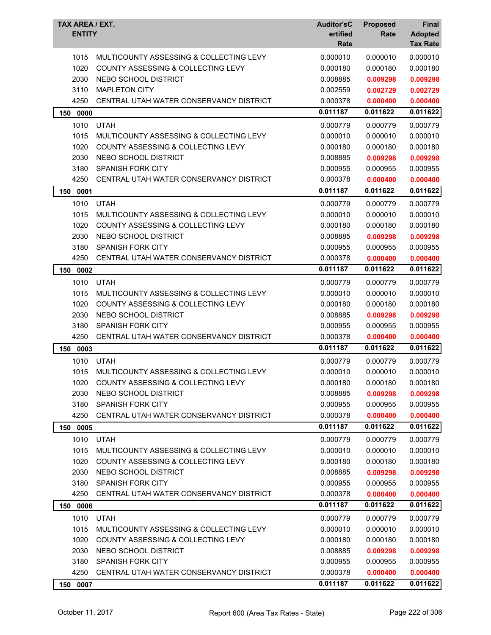| TAX AREA / EXT.<br><b>ENTITY</b> |                                               | <b>Auditor'sC</b><br>ertified<br>Rate | <b>Proposed</b><br>Rate | <b>Final</b><br><b>Adopted</b><br><b>Tax Rate</b> |
|----------------------------------|-----------------------------------------------|---------------------------------------|-------------------------|---------------------------------------------------|
| 1015                             | MULTICOUNTY ASSESSING & COLLECTING LEVY       | 0.000010                              | 0.000010                | 0.000010                                          |
| 1020                             | COUNTY ASSESSING & COLLECTING LEVY            | 0.000180                              | 0.000180                | 0.000180                                          |
| 2030                             | NEBO SCHOOL DISTRICT                          | 0.008885                              | 0.009298                | 0.009298                                          |
| 3110                             | <b>MAPLETON CITY</b>                          | 0.002559                              | 0.002729                | 0.002729                                          |
| 4250                             | CENTRAL UTAH WATER CONSERVANCY DISTRICT       | 0.000378                              | 0.000400                | 0.000400                                          |
| 150<br>0000                      |                                               | 0.011187                              | 0.011622                | 0.011622                                          |
| 1010                             | <b>UTAH</b>                                   | 0.000779                              | 0.000779                | 0.000779                                          |
| 1015                             | MULTICOUNTY ASSESSING & COLLECTING LEVY       | 0.000010                              | 0.000010                | 0.000010                                          |
| 1020                             | COUNTY ASSESSING & COLLECTING LEVY            | 0.000180                              | 0.000180                | 0.000180                                          |
| 2030                             | NEBO SCHOOL DISTRICT                          | 0.008885                              | 0.009298                | 0.009298                                          |
| 3180                             | <b>SPANISH FORK CITY</b>                      | 0.000955                              | 0.000955                | 0.000955                                          |
| 4250                             | CENTRAL UTAH WATER CONSERVANCY DISTRICT       | 0.000378                              | 0.000400                | 0.000400                                          |
| 150<br>0001                      |                                               | 0.011187                              | 0.011622                | 0.011622                                          |
| 1010                             | <b>UTAH</b>                                   | 0.000779                              | 0.000779                | 0.000779                                          |
| 1015                             | MULTICOUNTY ASSESSING & COLLECTING LEVY       | 0.000010                              | 0.000010                | 0.000010                                          |
| 1020                             | COUNTY ASSESSING & COLLECTING LEVY            | 0.000180                              | 0.000180                | 0.000180                                          |
| 2030                             | NEBO SCHOOL DISTRICT                          | 0.008885                              | 0.009298                | 0.009298                                          |
| 3180                             | <b>SPANISH FORK CITY</b>                      | 0.000955                              | 0.000955                | 0.000955                                          |
| 4250                             | CENTRAL UTAH WATER CONSERVANCY DISTRICT       | 0.000378                              | 0.000400                | 0.000400                                          |
| 150<br>0002                      |                                               | 0.011187                              | 0.011622                | 0.011622                                          |
| 1010                             | <b>UTAH</b>                                   | 0.000779                              | 0.000779                | 0.000779                                          |
| 1015                             | MULTICOUNTY ASSESSING & COLLECTING LEVY       | 0.000010                              | 0.000010                | 0.000010                                          |
| 1020                             | COUNTY ASSESSING & COLLECTING LEVY            | 0.000180                              | 0.000180                | 0.000180                                          |
| 2030                             | NEBO SCHOOL DISTRICT                          | 0.008885                              | 0.009298                | 0.009298                                          |
| 3180                             | SPANISH FORK CITY                             | 0.000955                              | 0.000955                | 0.000955                                          |
| 4250                             | CENTRAL UTAH WATER CONSERVANCY DISTRICT       | 0.000378                              | 0.000400                | 0.000400                                          |
| 150<br>0003                      |                                               | 0.011187                              | 0.011622                | 0.011622                                          |
| 1010                             | <b>UTAH</b>                                   | 0.000779                              | 0.000779                | 0.000779                                          |
| 1015                             | MULTICOUNTY ASSESSING & COLLECTING LEVY       | 0.000010                              | 0.000010                | 0.000010                                          |
| 1020                             | COUNTY ASSESSING & COLLECTING LEVY            | 0.000180                              | 0.000180                | 0.000180                                          |
| 2030                             | NEBO SCHOOL DISTRICT                          | 0.008885                              | 0.009298                | 0.009298                                          |
| 3180                             | <b>SPANISH FORK CITY</b>                      | 0.000955                              | 0.000955                | 0.000955                                          |
| 4250                             | CENTRAL UTAH WATER CONSERVANCY DISTRICT       | 0.000378                              | 0.000400                | 0.000400                                          |
| 150 0005                         |                                               | 0.011187                              | 0.011622                | 0.011622                                          |
| 1010                             | <b>UTAH</b>                                   | 0.000779                              | 0.000779                | 0.000779                                          |
| 1015                             | MULTICOUNTY ASSESSING & COLLECTING LEVY       | 0.000010                              | 0.000010                | 0.000010                                          |
| 1020                             | <b>COUNTY ASSESSING &amp; COLLECTING LEVY</b> | 0.000180                              | 0.000180                | 0.000180                                          |
| 2030                             | NEBO SCHOOL DISTRICT                          | 0.008885                              | 0.009298                | 0.009298                                          |
| 3180                             | <b>SPANISH FORK CITY</b>                      | 0.000955                              | 0.000955                | 0.000955                                          |
| 4250                             | CENTRAL UTAH WATER CONSERVANCY DISTRICT       | 0.000378                              | 0.000400                | 0.000400                                          |
| 150 0006                         |                                               | 0.011187                              | 0.011622                | 0.011622                                          |
| 1010                             | <b>UTAH</b>                                   | 0.000779                              | 0.000779                | 0.000779                                          |
| 1015                             | MULTICOUNTY ASSESSING & COLLECTING LEVY       | 0.000010                              | 0.000010                | 0.000010                                          |
| 1020                             | COUNTY ASSESSING & COLLECTING LEVY            | 0.000180                              | 0.000180                | 0.000180                                          |
| 2030                             | NEBO SCHOOL DISTRICT                          | 0.008885                              | 0.009298                | 0.009298                                          |
| 3180                             | <b>SPANISH FORK CITY</b>                      | 0.000955                              | 0.000955                | 0.000955                                          |
| 4250                             | CENTRAL UTAH WATER CONSERVANCY DISTRICT       | 0.000378                              | 0.000400                | 0.000400                                          |
| 150 0007                         |                                               | 0.011187                              | 0.011622                | 0.011622                                          |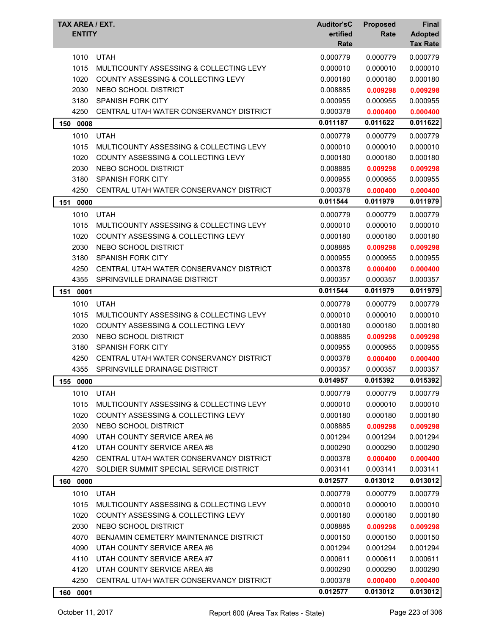| <b>ENTITY</b><br>ertified<br>Rate                                 | <b>Adopted</b><br>Rate<br><b>Tax Rate</b> |
|-------------------------------------------------------------------|-------------------------------------------|
| <b>UTAH</b><br>1010<br>0.000779                                   | 0.000779<br>0.000779                      |
| 1015<br>MULTICOUNTY ASSESSING & COLLECTING LEVY<br>0.000010       | 0.000010<br>0.000010                      |
| 1020<br>COUNTY ASSESSING & COLLECTING LEVY<br>0.000180            | 0.000180<br>0.000180                      |
| 2030<br>NEBO SCHOOL DISTRICT<br>0.008885                          | 0.009298<br>0.009298                      |
| 3180<br><b>SPANISH FORK CITY</b><br>0.000955                      | 0.000955<br>0.000955                      |
| 4250<br>CENTRAL UTAH WATER CONSERVANCY DISTRICT<br>0.000378       | 0.000400<br>0.000400                      |
| 0.011187<br>150 0008                                              | 0.011622<br>0.011622                      |
| 1010<br><b>UTAH</b><br>0.000779                                   | 0.000779<br>0.000779                      |
| 1015<br>MULTICOUNTY ASSESSING & COLLECTING LEVY<br>0.000010       | 0.000010<br>0.000010                      |
| 1020<br><b>COUNTY ASSESSING &amp; COLLECTING LEVY</b><br>0.000180 | 0.000180<br>0.000180                      |
| 2030<br>NEBO SCHOOL DISTRICT<br>0.008885                          | 0.009298<br>0.009298                      |
| 3180<br><b>SPANISH FORK CITY</b><br>0.000955                      | 0.000955<br>0.000955                      |
| 4250<br>CENTRAL UTAH WATER CONSERVANCY DISTRICT<br>0.000378       | 0.000400<br>0.000400                      |
| 0.011544<br>151<br>0000                                           | 0.011979<br>0.011979                      |
| 1010<br><b>UTAH</b><br>0.000779                                   | 0.000779<br>0.000779                      |
| 1015<br>MULTICOUNTY ASSESSING & COLLECTING LEVY<br>0.000010       | 0.000010<br>0.000010                      |
| 1020<br>COUNTY ASSESSING & COLLECTING LEVY<br>0.000180            | 0.000180<br>0.000180                      |
| 2030<br>NEBO SCHOOL DISTRICT<br>0.008885                          | 0.009298<br>0.009298                      |
| 3180<br><b>SPANISH FORK CITY</b><br>0.000955                      | 0.000955<br>0.000955                      |
| 4250<br>CENTRAL UTAH WATER CONSERVANCY DISTRICT<br>0.000378       | 0.000400<br>0.000400                      |
| 4355<br>SPRINGVILLE DRAINAGE DISTRICT<br>0.000357                 | 0.000357<br>0.000357                      |
| 0.011544<br>0001<br>151                                           | 0.011979<br>0.011979                      |
| 1010<br><b>UTAH</b><br>0.000779                                   | 0.000779<br>0.000779                      |
| 1015<br>MULTICOUNTY ASSESSING & COLLECTING LEVY<br>0.000010       | 0.000010<br>0.000010                      |
| 1020<br>COUNTY ASSESSING & COLLECTING LEVY<br>0.000180            | 0.000180<br>0.000180                      |
| 2030<br>NEBO SCHOOL DISTRICT<br>0.008885                          | 0.009298<br>0.009298                      |
| 3180<br><b>SPANISH FORK CITY</b><br>0.000955                      | 0.000955<br>0.000955                      |
| 4250<br>CENTRAL UTAH WATER CONSERVANCY DISTRICT<br>0.000378       | 0.000400<br>0.000400                      |
| 4355<br>SPRINGVILLE DRAINAGE DISTRICT<br>0.000357                 | 0.000357<br>0.000357                      |
| 0.014957<br>155 0000                                              | 0.015392<br>0.015392                      |
| 1010<br><b>UTAH</b><br>0.000779                                   | 0.000779<br>0.000779                      |
| 1015<br>MULTICOUNTY ASSESSING & COLLECTING LEVY<br>0.000010       | 0.000010<br>0.000010                      |
| 1020<br>COUNTY ASSESSING & COLLECTING LEVY<br>0.000180            | 0.000180<br>0.000180                      |
| 2030<br>NEBO SCHOOL DISTRICT<br>0.008885                          | 0.009298<br>0.009298                      |
| UTAH COUNTY SERVICE AREA #6<br>4090<br>0.001294                   | 0.001294<br>0.001294                      |
| 4120<br>UTAH COUNTY SERVICE AREA #8<br>0.000290                   | 0.000290<br>0.000290                      |
| CENTRAL UTAH WATER CONSERVANCY DISTRICT<br>4250<br>0.000378       | 0.000400<br>0.000400                      |
| SOLDIER SUMMIT SPECIAL SERVICE DISTRICT<br>4270<br>0.003141       | 0.003141<br>0.003141                      |
| 0.012577<br>160 0000                                              | 0.013012<br>0.013012                      |
| 1010<br><b>UTAH</b><br>0.000779                                   | 0.000779<br>0.000779                      |
| 1015<br>MULTICOUNTY ASSESSING & COLLECTING LEVY<br>0.000010       | 0.000010<br>0.000010                      |
| 1020<br><b>COUNTY ASSESSING &amp; COLLECTING LEVY</b><br>0.000180 | 0.000180<br>0.000180                      |
| 2030<br>NEBO SCHOOL DISTRICT<br>0.008885                          | 0.009298<br>0.009298                      |
| 4070<br>BENJAMIN CEMETERY MAINTENANCE DISTRICT<br>0.000150        | 0.000150<br>0.000150                      |
| 4090<br>UTAH COUNTY SERVICE AREA #6<br>0.001294                   | 0.001294<br>0.001294                      |
| UTAH COUNTY SERVICE AREA #7<br>4110<br>0.000611                   | 0.000611<br>0.000611                      |
| UTAH COUNTY SERVICE AREA #8<br>4120<br>0.000290                   | 0.000290<br>0.000290                      |
| 4250<br>CENTRAL UTAH WATER CONSERVANCY DISTRICT<br>0.000378       | 0.000400<br>0.000400                      |
| 0.012577<br>0001<br>160                                           | 0.013012<br>0.013012                      |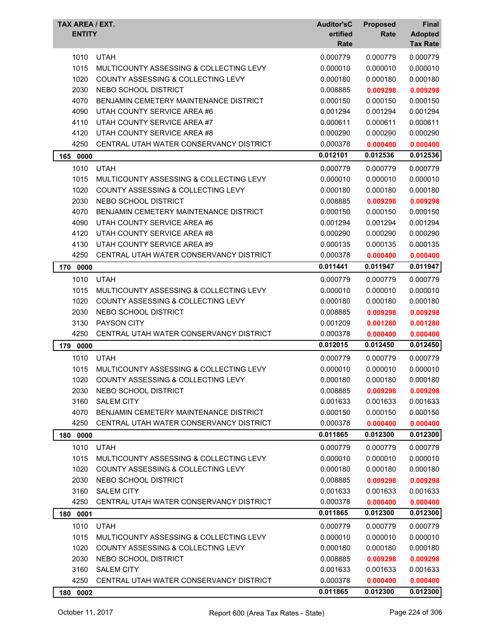| <b>TAX AREA / EXT.</b><br><b>ENTITY</b> |                                               | <b>Auditor'sC</b><br>ertified<br>Rate | <b>Proposed</b><br>Rate | Final<br><b>Adopted</b><br><b>Tax Rate</b> |
|-----------------------------------------|-----------------------------------------------|---------------------------------------|-------------------------|--------------------------------------------|
| 1010                                    | <b>UTAH</b>                                   | 0.000779                              | 0.000779                | 0.000779                                   |
| 1015                                    | MULTICOUNTY ASSESSING & COLLECTING LEVY       | 0.000010                              | 0.000010                | 0.000010                                   |
| 1020                                    | COUNTY ASSESSING & COLLECTING LEVY            | 0.000180                              | 0.000180                | 0.000180                                   |
| 2030                                    | NEBO SCHOOL DISTRICT                          | 0.008885                              | 0.009298                | 0.009298                                   |
| 4070                                    | BENJAMIN CEMETERY MAINTENANCE DISTRICT        | 0.000150                              | 0.000150                | 0.000150                                   |
| 4090                                    | UTAH COUNTY SERVICE AREA #6                   | 0.001294                              | 0.001294                | 0.001294                                   |
| 4110                                    | UTAH COUNTY SERVICE AREA #7                   | 0.000611                              | 0.000611                | 0.000611                                   |
| 4120                                    | UTAH COUNTY SERVICE AREA #8                   | 0.000290                              | 0.000290                | 0.000290                                   |
| 4250                                    | CENTRAL UTAH WATER CONSERVANCY DISTRICT       | 0.000378                              | 0.000400                | 0.000400                                   |
| 165<br>0000                             |                                               | 0.012101                              | 0.012536                | 0.012536                                   |
| 1010                                    | <b>UTAH</b>                                   | 0.000779                              | 0.000779                | 0.000779                                   |
| 1015                                    | MULTICOUNTY ASSESSING & COLLECTING LEVY       | 0.000010                              | 0.000010                | 0.000010                                   |
| 1020                                    | COUNTY ASSESSING & COLLECTING LEVY            | 0.000180                              | 0.000180                | 0.000180                                   |
| 2030                                    | NEBO SCHOOL DISTRICT                          | 0.008885                              | 0.009298                | 0.009298                                   |
| 4070                                    | BENJAMIN CEMETERY MAINTENANCE DISTRICT        | 0.000150                              | 0.000150                | 0.000150                                   |
| 4090                                    | UTAH COUNTY SERVICE AREA #6                   | 0.001294                              | 0.001294                | 0.001294                                   |
| 4120                                    | UTAH COUNTY SERVICE AREA #8                   | 0.000290                              | 0.000290                | 0.000290                                   |
| 4130                                    | UTAH COUNTY SERVICE AREA #9                   | 0.000135                              | 0.000135                | 0.000135                                   |
| 4250                                    | CENTRAL UTAH WATER CONSERVANCY DISTRICT       | 0.000378                              | 0.000400                | 0.000400                                   |
| 170<br>0000                             |                                               | 0.011441                              | 0.011947                | 0.011947                                   |
| 1010                                    | <b>UTAH</b>                                   | 0.000779                              | 0.000779                | 0.000779                                   |
| 1015                                    | MULTICOUNTY ASSESSING & COLLECTING LEVY       | 0.000010                              | 0.000010                | 0.000010                                   |
| 1020                                    | COUNTY ASSESSING & COLLECTING LEVY            | 0.000180                              | 0.000180                | 0.000180                                   |
| 2030                                    | NEBO SCHOOL DISTRICT                          | 0.008885                              | 0.009298                | 0.009298                                   |
| 3130                                    | <b>PAYSON CITY</b>                            | 0.001209                              | 0.001280                | 0.001280                                   |
| 4250                                    | CENTRAL UTAH WATER CONSERVANCY DISTRICT       | 0.000378                              | 0.000400                | 0.000400                                   |
| 179<br>0000                             |                                               | 0.012015                              | 0.012450                | 0.012450                                   |
| 1010                                    | <b>UTAH</b>                                   | 0.000779                              | 0.000779                | 0.000779                                   |
| 1015                                    | MULTICOUNTY ASSESSING & COLLECTING LEVY       | 0.000010                              | 0.000010                | 0.000010                                   |
| 1020                                    | COUNTY ASSESSING & COLLECTING LEVY            | 0.000180                              | 0.000180                | 0.000180                                   |
| 2030                                    | NEBO SCHOOL DISTRICT                          | 0.008885                              | 0.009298                | 0.009298                                   |
| 3160                                    | <b>SALEM CITY</b>                             | 0.001633                              | 0.001633                | 0.001633                                   |
| 4070                                    | <b>BENJAMIN CEMETERY MAINTENANCE DISTRICT</b> | 0.000150                              | 0.000150                | 0.000150                                   |
| 4250                                    | CENTRAL UTAH WATER CONSERVANCY DISTRICT       | 0.000378                              | 0.000400                | 0.000400                                   |
| 180<br>0000                             |                                               | 0.011865                              | 0.012300                | 0.012300                                   |
| 1010                                    | <b>UTAH</b>                                   | 0.000779                              | 0.000779                | 0.000779                                   |
| 1015                                    | MULTICOUNTY ASSESSING & COLLECTING LEVY       | 0.000010                              | 0.000010                | 0.000010                                   |
| 1020                                    | COUNTY ASSESSING & COLLECTING LEVY            | 0.000180                              | 0.000180                | 0.000180                                   |
| 2030                                    | NEBO SCHOOL DISTRICT                          | 0.008885                              | 0.009298                | 0.009298                                   |
| 3160                                    | <b>SALEM CITY</b>                             | 0.001633                              | 0.001633                | 0.001633                                   |
| 4250                                    | CENTRAL UTAH WATER CONSERVANCY DISTRICT       | 0.000378                              | 0.000400                | 0.000400                                   |
| 0001<br>180                             |                                               | 0.011865                              | 0.012300                | 0.012300                                   |
| 1010                                    | <b>UTAH</b>                                   | 0.000779                              | 0.000779                | 0.000779                                   |
| 1015                                    | MULTICOUNTY ASSESSING & COLLECTING LEVY       | 0.000010                              | 0.000010                | 0.000010                                   |
| 1020                                    | COUNTY ASSESSING & COLLECTING LEVY            | 0.000180                              | 0.000180                | 0.000180                                   |
| 2030                                    | NEBO SCHOOL DISTRICT                          | 0.008885                              | 0.009298                | 0.009298                                   |
| 3160                                    | <b>SALEM CITY</b>                             | 0.001633                              | 0.001633                | 0.001633                                   |
| 4250                                    | CENTRAL UTAH WATER CONSERVANCY DISTRICT       | 0.000378                              | 0.000400                | 0.000400                                   |
| 180<br>0002                             |                                               | 0.011865                              | 0.012300                | 0.012300                                   |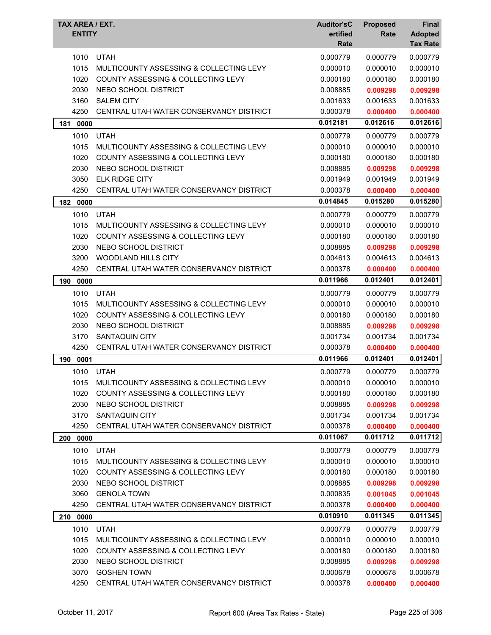| TAX AREA / EXT.<br><b>ENTITY</b> |                                               | <b>Auditor'sC</b><br>ertified<br>Rate | <b>Proposed</b><br>Rate | <b>Final</b><br><b>Adopted</b><br><b>Tax Rate</b> |
|----------------------------------|-----------------------------------------------|---------------------------------------|-------------------------|---------------------------------------------------|
| 1010                             | <b>UTAH</b>                                   | 0.000779                              | 0.000779                | 0.000779                                          |
| 1015                             | MULTICOUNTY ASSESSING & COLLECTING LEVY       | 0.000010                              | 0.000010                | 0.000010                                          |
| 1020                             | COUNTY ASSESSING & COLLECTING LEVY            | 0.000180                              | 0.000180                | 0.000180                                          |
| 2030                             | NEBO SCHOOL DISTRICT                          | 0.008885                              | 0.009298                | 0.009298                                          |
| 3160                             | <b>SALEM CITY</b>                             | 0.001633                              | 0.001633                | 0.001633                                          |
| 4250                             | CENTRAL UTAH WATER CONSERVANCY DISTRICT       | 0.000378                              | 0.000400                | 0.000400                                          |
| 181<br>0000                      |                                               | 0.012181                              | 0.012616                | 0.012616                                          |
| 1010                             | <b>UTAH</b>                                   | 0.000779                              | 0.000779                | 0.000779                                          |
| 1015                             | MULTICOUNTY ASSESSING & COLLECTING LEVY       | 0.000010                              | 0.000010                | 0.000010                                          |
| 1020                             | <b>COUNTY ASSESSING &amp; COLLECTING LEVY</b> | 0.000180                              | 0.000180                | 0.000180                                          |
| 2030                             | NEBO SCHOOL DISTRICT                          | 0.008885                              | 0.009298                | 0.009298                                          |
| 3050                             | <b>ELK RIDGE CITY</b>                         | 0.001949                              | 0.001949                | 0.001949                                          |
| 4250                             | CENTRAL UTAH WATER CONSERVANCY DISTRICT       | 0.000378                              | 0.000400                | 0.000400                                          |
| 182<br>0000                      |                                               | 0.014845                              | 0.015280                | 0.015280                                          |
| 1010                             | <b>UTAH</b>                                   | 0.000779                              | 0.000779                | 0.000779                                          |
| 1015                             | MULTICOUNTY ASSESSING & COLLECTING LEVY       | 0.000010                              | 0.000010                | 0.000010                                          |
| 1020                             | COUNTY ASSESSING & COLLECTING LEVY            | 0.000180                              | 0.000180                | 0.000180                                          |
| 2030                             | NEBO SCHOOL DISTRICT                          | 0.008885                              | 0.009298                | 0.009298                                          |
| 3200                             | WOODLAND HILLS CITY                           | 0.004613                              | 0.004613                | 0.004613                                          |
| 4250                             | CENTRAL UTAH WATER CONSERVANCY DISTRICT       | 0.000378                              | 0.000400                | 0.000400                                          |
| 190<br>0000                      |                                               | 0.011966                              | 0.012401                | 0.012401                                          |
| 1010                             | <b>UTAH</b>                                   | 0.000779                              | 0.000779                | 0.000779                                          |
| 1015                             | MULTICOUNTY ASSESSING & COLLECTING LEVY       | 0.000010                              | 0.000010                | 0.000010                                          |
| 1020                             | COUNTY ASSESSING & COLLECTING LEVY            | 0.000180                              | 0.000180                | 0.000180                                          |
| 2030                             | NEBO SCHOOL DISTRICT                          | 0.008885                              | 0.009298                | 0.009298                                          |
| 3170                             | <b>SANTAQUIN CITY</b>                         | 0.001734                              | 0.001734                | 0.001734                                          |
| 4250                             | CENTRAL UTAH WATER CONSERVANCY DISTRICT       | 0.000378                              | 0.000400                | 0.000400                                          |
| 190<br>0001                      |                                               | 0.011966                              | 0.012401                | 0.012401                                          |
| 1010                             | <b>UTAH</b>                                   | 0.000779                              | 0.000779                | 0.000779                                          |
| 1015                             | MULTICOUNTY ASSESSING & COLLECTING LEVY       | 0.000010                              | 0.000010                | 0.000010                                          |
| 1020                             | <b>COUNTY ASSESSING &amp; COLLECTING LEVY</b> | 0.000180                              | 0.000180                | 0.000180                                          |
| 2030                             | NEBO SCHOOL DISTRICT                          | 0.008885                              | 0.009298                | 0.009298                                          |
| 3170                             | SANTAQUIN CITY                                | 0.001734                              | 0.001734                | 0.001734                                          |
| 4250                             | CENTRAL UTAH WATER CONSERVANCY DISTRICT       | 0.000378                              | 0.000400                | 0.000400                                          |
| 200 0000                         |                                               | 0.011067                              | 0.011712                | 0.011712                                          |
| 1010                             | <b>UTAH</b>                                   | 0.000779                              | 0.000779                | 0.000779                                          |
| 1015                             | MULTICOUNTY ASSESSING & COLLECTING LEVY       | 0.000010                              | 0.000010                | 0.000010                                          |
| 1020                             | COUNTY ASSESSING & COLLECTING LEVY            | 0.000180                              | 0.000180                | 0.000180                                          |
| 2030                             | NEBO SCHOOL DISTRICT                          | 0.008885                              | 0.009298                | 0.009298                                          |
| 3060                             | <b>GENOLA TOWN</b>                            | 0.000835                              | 0.001045                | 0.001045                                          |
| 4250                             | CENTRAL UTAH WATER CONSERVANCY DISTRICT       | 0.000378                              | 0.000400                | 0.000400                                          |
| 210 0000                         |                                               | 0.010910                              | 0.011345                | 0.011345                                          |
| 1010                             | <b>UTAH</b>                                   | 0.000779                              | 0.000779                | 0.000779                                          |
| 1015                             | MULTICOUNTY ASSESSING & COLLECTING LEVY       | 0.000010                              | 0.000010                | 0.000010                                          |
| 1020                             | COUNTY ASSESSING & COLLECTING LEVY            | 0.000180                              | 0.000180                | 0.000180                                          |
| 2030                             | NEBO SCHOOL DISTRICT                          | 0.008885                              | 0.009298                | 0.009298                                          |
| 3070                             | <b>GOSHEN TOWN</b>                            | 0.000678                              | 0.000678                | 0.000678                                          |
| 4250                             | CENTRAL UTAH WATER CONSERVANCY DISTRICT       | 0.000378                              | 0.000400                | 0.000400                                          |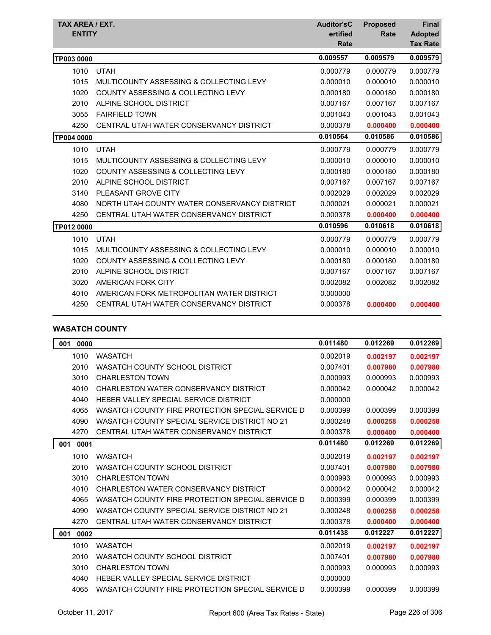| TAX AREA / EXT.<br><b>ENTITY</b> |                                               | <b>Auditor'sC</b><br>ertified<br>Rate | <b>Proposed</b><br><b>Rate</b> | <b>Final</b><br><b>Adopted</b><br><b>Tax Rate</b> |
|----------------------------------|-----------------------------------------------|---------------------------------------|--------------------------------|---------------------------------------------------|
| TP003 0000                       |                                               | 0.009557                              | 0.009579                       | 0.009579                                          |
| 1010                             | <b>UTAH</b>                                   | 0.000779                              | 0.000779                       | 0.000779                                          |
| 1015                             | MULTICOUNTY ASSESSING & COLLECTING LEVY       | 0.000010                              | 0.000010                       | 0.000010                                          |
| 1020                             | COUNTY ASSESSING & COLLECTING LEVY            | 0.000180                              | 0.000180                       | 0.000180                                          |
| 2010                             | ALPINE SCHOOL DISTRICT                        | 0.007167                              | 0.007167                       | 0.007167                                          |
| 3055                             | <b>FAIRFIELD TOWN</b>                         | 0.001043                              | 0.001043                       | 0.001043                                          |
| 4250                             | CENTRAL UTAH WATER CONSERVANCY DISTRICT       | 0.000378                              | 0.000400                       | 0.000400                                          |
| TP004 0000                       |                                               | 0.010564                              | 0.010586                       | 0.010586                                          |
| 1010                             | <b>UTAH</b>                                   | 0.000779                              | 0.000779                       | 0.000779                                          |
| 1015                             | MULTICOUNTY ASSESSING & COLLECTING LEVY       | 0.000010                              | 0.000010                       | 0.000010                                          |
| 1020                             | <b>COUNTY ASSESSING &amp; COLLECTING LEVY</b> | 0.000180                              | 0.000180                       | 0.000180                                          |
| 2010                             | ALPINE SCHOOL DISTRICT                        | 0.007167                              | 0.007167                       | 0.007167                                          |
| 3140                             | PLEASANT GROVE CITY                           | 0.002029                              | 0.002029                       | 0.002029                                          |
| 4080                             | NORTH UTAH COUNTY WATER CONSERVANCY DISTRICT  | 0.000021                              | 0.000021                       | 0.000021                                          |
| 4250                             | CENTRAL UTAH WATER CONSERVANCY DISTRICT       | 0.000378                              | 0.000400                       | 0.000400                                          |
| TP012 0000                       |                                               | 0.010596                              | 0.010618                       | 0.010618                                          |
| 1010                             | <b>UTAH</b>                                   | 0.000779                              | 0.000779                       | 0.000779                                          |
| 1015                             | MULTICOUNTY ASSESSING & COLLECTING LEVY       | 0.000010                              | 0.000010                       | 0.000010                                          |
| 1020                             | COUNTY ASSESSING & COLLECTING LEVY            | 0.000180                              | 0.000180                       | 0.000180                                          |
| 2010                             | ALPINE SCHOOL DISTRICT                        | 0.007167                              | 0.007167                       | 0.007167                                          |
| 3020                             | AMERICAN FORK CITY                            | 0.002082                              | 0.002082                       | 0.002082                                          |
| 4010                             | AMERICAN FORK METROPOLITAN WATER DISTRICT     | 0.000000                              |                                |                                                   |
| 4250                             | CENTRAL UTAH WATER CONSERVANCY DISTRICT       | 0.000378                              | 0.000400                       | 0.000400                                          |

## **WASATCH COUNTY**

| 0000<br>001 |                                                  | 0.011480 | 0.012269 | 0.012269 |
|-------------|--------------------------------------------------|----------|----------|----------|
| 1010        | <b>WASATCH</b>                                   | 0.002019 | 0.002197 | 0.002197 |
| 2010        | <b>WASATCH COUNTY SCHOOL DISTRICT</b>            | 0.007401 | 0.007980 | 0.007980 |
| 3010        | <b>CHARLESTON TOWN</b>                           | 0.000993 | 0.000993 | 0.000993 |
| 4010        | CHARLESTON WATER CONSERVANCY DISTRICT            | 0.000042 | 0.000042 | 0.000042 |
| 4040        | HEBER VALLEY SPECIAL SERVICE DISTRICT            | 0.000000 |          |          |
| 4065        | WASATCH COUNTY FIRE PROTECTION SPECIAL SERVICE D | 0.000399 | 0.000399 | 0.000399 |
| 4090        | WASATCH COUNTY SPECIAL SERVICE DISTRICT NO 21    | 0.000248 | 0.000258 | 0.000258 |
| 4270        | CENTRAL UTAH WATER CONSERVANCY DISTRICT          | 0.000378 | 0.000400 | 0.000400 |
| 0001<br>001 |                                                  | 0.011480 | 0.012269 | 0.012269 |
| 1010        | <b>WASATCH</b>                                   | 0.002019 | 0.002197 | 0.002197 |
| 2010        | WASATCH COUNTY SCHOOL DISTRICT                   | 0.007401 | 0.007980 | 0.007980 |
| 3010        | <b>CHARLESTON TOWN</b>                           | 0.000993 | 0.000993 | 0.000993 |
| 4010        | CHARLESTON WATER CONSERVANCY DISTRICT            | 0.000042 | 0.000042 | 0.000042 |
| 4065        | WASATCH COUNTY FIRE PROTECTION SPECIAL SERVICE D | 0.000399 | 0.000399 | 0.000399 |
| 4090        | WASATCH COUNTY SPECIAL SERVICE DISTRICT NO 21    | 0.000248 | 0.000258 | 0.000258 |
| 4270        | CENTRAL UTAH WATER CONSERVANCY DISTRICT          | 0.000378 | 0.000400 | 0.000400 |
| 0002<br>001 |                                                  | 0.011438 | 0.012227 | 0.012227 |
| 1010        | <b>WASATCH</b>                                   | 0.002019 | 0.002197 | 0.002197 |
| 2010        | WASATCH COUNTY SCHOOL DISTRICT                   | 0.007401 | 0.007980 | 0.007980 |
| 3010        | <b>CHARLESTON TOWN</b>                           | 0.000993 | 0.000993 | 0.000993 |
| 4040        | HEBER VALLEY SPECIAL SERVICE DISTRICT            | 0.000000 |          |          |
| 4065        | WASATCH COUNTY FIRE PROTECTION SPECIAL SERVICE D | 0.000399 | 0.000399 | 0.000399 |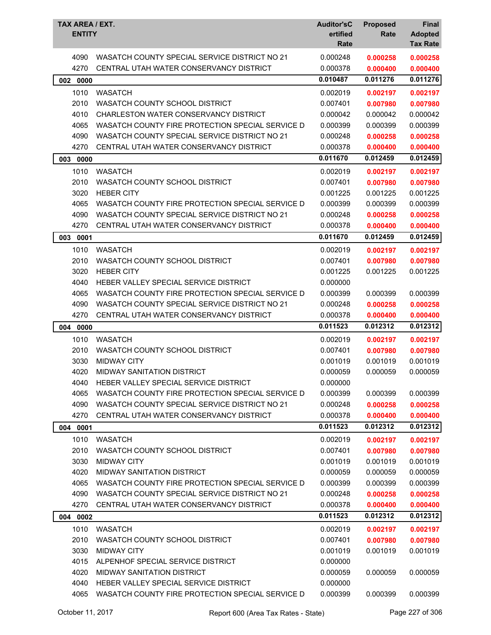| TAX AREA / EXT.<br><b>ENTITY</b> |                                                  | <b>Auditor'sC</b><br>ertified<br>Rate | <b>Proposed</b><br>Rate | Final<br><b>Adopted</b><br><b>Tax Rate</b> |
|----------------------------------|--------------------------------------------------|---------------------------------------|-------------------------|--------------------------------------------|
| 4090                             | WASATCH COUNTY SPECIAL SERVICE DISTRICT NO 21    | 0.000248                              | 0.000258                | 0.000258                                   |
| 4270                             | CENTRAL UTAH WATER CONSERVANCY DISTRICT          | 0.000378                              | 0.000400                | 0.000400                                   |
| 002<br>0000                      |                                                  | 0.010487                              | 0.011276                | 0.011276                                   |
| 1010                             | <b>WASATCH</b>                                   | 0.002019                              | 0.002197                | 0.002197                                   |
| 2010                             | WASATCH COUNTY SCHOOL DISTRICT                   | 0.007401                              | 0.007980                | 0.007980                                   |
| 4010                             | CHARLESTON WATER CONSERVANCY DISTRICT            | 0.000042                              | 0.000042                | 0.000042                                   |
| 4065                             | WASATCH COUNTY FIRE PROTECTION SPECIAL SERVICE D | 0.000399                              | 0.000399                | 0.000399                                   |
| 4090                             | WASATCH COUNTY SPECIAL SERVICE DISTRICT NO 21    | 0.000248                              | 0.000258                | 0.000258                                   |
| 4270                             | CENTRAL UTAH WATER CONSERVANCY DISTRICT          | 0.000378                              | 0.000400                | 0.000400                                   |
| 003 0000                         |                                                  | 0.011670                              | 0.012459                | 0.012459                                   |
| 1010                             | <b>WASATCH</b>                                   | 0.002019                              | 0.002197                | 0.002197                                   |
| 2010                             | WASATCH COUNTY SCHOOL DISTRICT                   | 0.007401                              | 0.007980                | 0.007980                                   |
| 3020                             | <b>HEBER CITY</b>                                | 0.001225                              | 0.001225                | 0.001225                                   |
| 4065                             | WASATCH COUNTY FIRE PROTECTION SPECIAL SERVICE D | 0.000399                              | 0.000399                | 0.000399                                   |
| 4090                             | WASATCH COUNTY SPECIAL SERVICE DISTRICT NO 21    | 0.000248                              | 0.000258                | 0.000258                                   |
| 4270                             | CENTRAL UTAH WATER CONSERVANCY DISTRICT          | 0.000378                              | 0.000400                | 0.000400                                   |
| 003 0001                         |                                                  | 0.011670                              | 0.012459                | 0.012459                                   |
| 1010                             | <b>WASATCH</b>                                   | 0.002019                              | 0.002197                | 0.002197                                   |
| 2010                             | WASATCH COUNTY SCHOOL DISTRICT                   | 0.007401                              | 0.007980                | 0.007980                                   |
| 3020                             | <b>HEBER CITY</b>                                | 0.001225                              | 0.001225                | 0.001225                                   |
| 4040                             | HEBER VALLEY SPECIAL SERVICE DISTRICT            | 0.000000                              |                         |                                            |
| 4065                             | WASATCH COUNTY FIRE PROTECTION SPECIAL SERVICE D | 0.000399                              | 0.000399                | 0.000399                                   |
| 4090                             | WASATCH COUNTY SPECIAL SERVICE DISTRICT NO 21    | 0.000248                              | 0.000258                | 0.000258                                   |
| 4270                             | CENTRAL UTAH WATER CONSERVANCY DISTRICT          | 0.000378                              | 0.000400                | 0.000400                                   |
| 004<br>0000                      |                                                  | 0.011523                              | 0.012312                | 0.012312                                   |
| 1010                             | <b>WASATCH</b>                                   | 0.002019                              | 0.002197                | 0.002197                                   |
| 2010                             | WASATCH COUNTY SCHOOL DISTRICT                   | 0.007401                              | 0.007980                | 0.007980                                   |
| 3030                             | <b>MIDWAY CITY</b>                               | 0.001019                              | 0.001019                | 0.001019                                   |
| 4020                             | <b>MIDWAY SANITATION DISTRICT</b>                | 0.000059                              | 0.000059                | 0.000059                                   |
| 4040                             | HEBER VALLEY SPECIAL SERVICE DISTRICT            | 0.000000                              |                         |                                            |
| 4065                             | WASATCH COUNTY FIRE PROTECTION SPECIAL SERVICE D | 0.000399                              | 0.000399                | 0.000399                                   |
| 4090                             | WASATCH COUNTY SPECIAL SERVICE DISTRICT NO 21    | 0.000248                              | 0.000258                | 0.000258                                   |
| 4270                             | CENTRAL UTAH WATER CONSERVANCY DISTRICT          | 0.000378                              | 0.000400                | 0.000400                                   |
| 004 0001                         |                                                  | 0.011523                              | 0.012312                | 0.012312                                   |
| 1010                             | <b>WASATCH</b>                                   | 0.002019                              | 0.002197                | 0.002197                                   |
| 2010                             | WASATCH COUNTY SCHOOL DISTRICT                   | 0.007401                              | 0.007980                | 0.007980                                   |
| 3030                             | <b>MIDWAY CITY</b>                               | 0.001019                              | 0.001019                | 0.001019                                   |
| 4020                             | <b>MIDWAY SANITATION DISTRICT</b>                | 0.000059                              | 0.000059                | 0.000059                                   |
| 4065                             | WASATCH COUNTY FIRE PROTECTION SPECIAL SERVICE D | 0.000399                              | 0.000399                | 0.000399                                   |
| 4090                             | WASATCH COUNTY SPECIAL SERVICE DISTRICT NO 21    | 0.000248                              | 0.000258                | 0.000258                                   |
| 4270                             | CENTRAL UTAH WATER CONSERVANCY DISTRICT          | 0.000378                              | 0.000400                | 0.000400                                   |
| 004 0002                         |                                                  | 0.011523                              | 0.012312                | 0.012312                                   |
| 1010                             | <b>WASATCH</b>                                   | 0.002019                              | 0.002197                | 0.002197                                   |
| 2010                             | WASATCH COUNTY SCHOOL DISTRICT                   | 0.007401                              | 0.007980                | 0.007980                                   |
| 3030                             | <b>MIDWAY CITY</b>                               | 0.001019                              | 0.001019                | 0.001019                                   |
| 4015                             | ALPENHOF SPECIAL SERVICE DISTRICT                | 0.000000                              |                         |                                            |
| 4020                             | <b>MIDWAY SANITATION DISTRICT</b>                | 0.000059                              | 0.000059                | 0.000059                                   |
| 4040                             | HEBER VALLEY SPECIAL SERVICE DISTRICT            | 0.000000                              |                         |                                            |
| 4065                             | WASATCH COUNTY FIRE PROTECTION SPECIAL SERVICE D | 0.000399                              | 0.000399                | 0.000399                                   |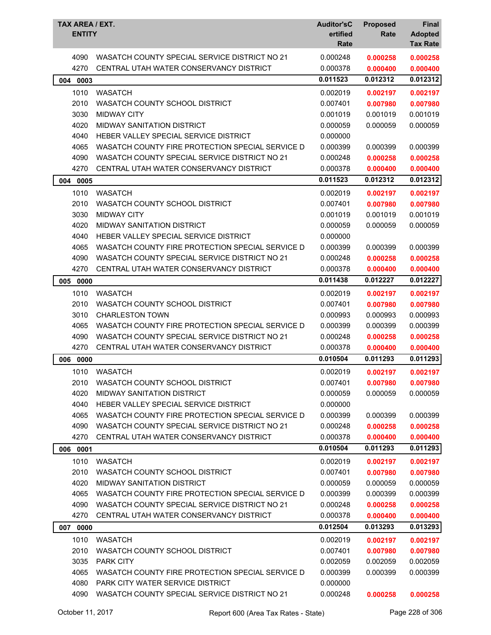| TAX AREA / EXT.<br><b>ENTITY</b> |                                                                                          | <b>Auditor'sC</b><br>ertified<br>Rate | <b>Proposed</b><br>Rate | Final<br><b>Adopted</b><br><b>Tax Rate</b> |
|----------------------------------|------------------------------------------------------------------------------------------|---------------------------------------|-------------------------|--------------------------------------------|
| 4090<br>4270                     | WASATCH COUNTY SPECIAL SERVICE DISTRICT NO 21<br>CENTRAL UTAH WATER CONSERVANCY DISTRICT | 0.000248<br>0.000378                  | 0.000258<br>0.000400    | 0.000258<br>0.000400                       |
| 0003<br>004                      |                                                                                          | 0.011523                              | 0.012312                | 0.012312                                   |
| 1010                             | <b>WASATCH</b>                                                                           | 0.002019                              | 0.002197                | 0.002197                                   |
| 2010                             | WASATCH COUNTY SCHOOL DISTRICT                                                           | 0.007401                              | 0.007980                | 0.007980                                   |
| 3030                             | <b>MIDWAY CITY</b>                                                                       | 0.001019                              | 0.001019                | 0.001019                                   |
| 4020                             | <b>MIDWAY SANITATION DISTRICT</b>                                                        | 0.000059                              | 0.000059                | 0.000059                                   |
| 4040                             | HEBER VALLEY SPECIAL SERVICE DISTRICT                                                    | 0.000000                              |                         |                                            |
| 4065                             | WASATCH COUNTY FIRE PROTECTION SPECIAL SERVICE D                                         | 0.000399                              | 0.000399                | 0.000399                                   |
| 4090                             | WASATCH COUNTY SPECIAL SERVICE DISTRICT NO 21                                            | 0.000248                              | 0.000258                | 0.000258                                   |
| 4270                             | CENTRAL UTAH WATER CONSERVANCY DISTRICT                                                  | 0.000378                              | 0.000400                | 0.000400                                   |
| 0005<br>004                      |                                                                                          | 0.011523                              | 0.012312                | 0.012312                                   |
| 1010                             | <b>WASATCH</b>                                                                           | 0.002019                              | 0.002197                | 0.002197                                   |
| 2010                             | WASATCH COUNTY SCHOOL DISTRICT                                                           | 0.007401                              | 0.007980                | 0.007980                                   |
| 3030                             | <b>MIDWAY CITY</b>                                                                       | 0.001019                              | 0.001019                | 0.001019                                   |
| 4020                             | MIDWAY SANITATION DISTRICT                                                               | 0.000059                              | 0.000059                | 0.000059                                   |
| 4040                             | HEBER VALLEY SPECIAL SERVICE DISTRICT                                                    | 0.000000                              |                         |                                            |
| 4065                             | WASATCH COUNTY FIRE PROTECTION SPECIAL SERVICE D                                         | 0.000399                              | 0.000399                | 0.000399                                   |
| 4090                             | WASATCH COUNTY SPECIAL SERVICE DISTRICT NO 21                                            | 0.000248                              | 0.000258                | 0.000258                                   |
| 4270                             | CENTRAL UTAH WATER CONSERVANCY DISTRICT                                                  | 0.000378                              | 0.000400                | 0.000400                                   |
| 005<br>0000                      |                                                                                          | 0.011438                              | 0.012227                | 0.012227                                   |
| 1010                             | <b>WASATCH</b>                                                                           | 0.002019                              | 0.002197                | 0.002197                                   |
| 2010                             | WASATCH COUNTY SCHOOL DISTRICT                                                           | 0.007401                              | 0.007980                | 0.007980                                   |
| 3010                             | <b>CHARLESTON TOWN</b>                                                                   | 0.000993                              | 0.000993                | 0.000993                                   |
| 4065                             | WASATCH COUNTY FIRE PROTECTION SPECIAL SERVICE D                                         | 0.000399                              | 0.000399                | 0.000399                                   |
| 4090                             | WASATCH COUNTY SPECIAL SERVICE DISTRICT NO 21                                            | 0.000248                              | 0.000258                | 0.000258                                   |
| 4270                             | CENTRAL UTAH WATER CONSERVANCY DISTRICT                                                  | 0.000378                              | 0.000400                | 0.000400                                   |
| 006 0000                         |                                                                                          | 0.010504                              | 0.011293                | 0.011293                                   |
| 1010                             | WASATCH                                                                                  | 0.002019                              | 0.002197                | 0.002197                                   |
| 2010                             | WASATCH COUNTY SCHOOL DISTRICT                                                           | 0.007401                              | 0.007980                | 0.007980                                   |
| 4020                             | MIDWAY SANITATION DISTRICT                                                               | 0.000059                              | 0.000059                | 0.000059                                   |
| 4040                             | HEBER VALLEY SPECIAL SERVICE DISTRICT                                                    | 0.000000                              |                         |                                            |
| 4065                             | WASATCH COUNTY FIRE PROTECTION SPECIAL SERVICE D                                         | 0.000399                              | 0.000399                | 0.000399                                   |
| 4090                             | WASATCH COUNTY SPECIAL SERVICE DISTRICT NO 21                                            | 0.000248                              | 0.000258                | 0.000258                                   |
| 4270                             | CENTRAL UTAH WATER CONSERVANCY DISTRICT                                                  | 0.000378                              | 0.000400                | 0.000400                                   |
| 006<br>0001                      |                                                                                          | 0.010504                              | 0.011293                | 0.011293                                   |
| 1010                             | <b>WASATCH</b>                                                                           | 0.002019                              | 0.002197                | 0.002197                                   |
| 2010                             | WASATCH COUNTY SCHOOL DISTRICT                                                           | 0.007401                              | 0.007980                | 0.007980                                   |
| 4020                             | <b>MIDWAY SANITATION DISTRICT</b>                                                        | 0.000059                              | 0.000059                | 0.000059                                   |
| 4065                             | WASATCH COUNTY FIRE PROTECTION SPECIAL SERVICE D                                         | 0.000399                              | 0.000399                | 0.000399                                   |
| 4090                             | WASATCH COUNTY SPECIAL SERVICE DISTRICT NO 21                                            | 0.000248                              | 0.000258                | 0.000258                                   |
| 4270                             | CENTRAL UTAH WATER CONSERVANCY DISTRICT                                                  | 0.000378                              | 0.000400                | 0.000400                                   |
| 0000<br>007                      |                                                                                          | 0.012504                              | 0.013293                | 0.013293                                   |
| 1010                             | <b>WASATCH</b>                                                                           | 0.002019                              | 0.002197                | 0.002197                                   |
| 2010                             | WASATCH COUNTY SCHOOL DISTRICT                                                           | 0.007401                              | 0.007980                | 0.007980                                   |
| 3035                             | PARK CITY                                                                                | 0.002059                              | 0.002059                | 0.002059                                   |
| 4065                             | WASATCH COUNTY FIRE PROTECTION SPECIAL SERVICE D                                         | 0.000399                              | 0.000399                | 0.000399                                   |
| 4080                             | PARK CITY WATER SERVICE DISTRICT                                                         | 0.000000                              |                         |                                            |
| 4090                             | WASATCH COUNTY SPECIAL SERVICE DISTRICT NO 21                                            | 0.000248                              | 0.000258                | 0.000258                                   |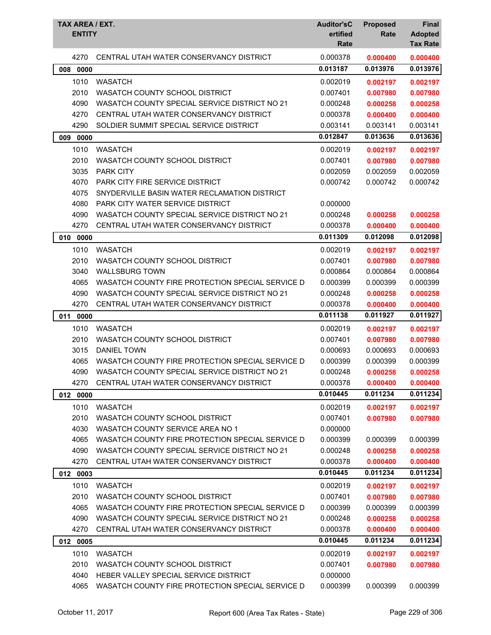| TAX AREA / EXT.<br><b>ENTITY</b> |                                                  | <b>Auditor'sC</b><br>ertified<br>Rate | <b>Proposed</b><br>Rate | <b>Final</b><br><b>Adopted</b><br><b>Tax Rate</b> |
|----------------------------------|--------------------------------------------------|---------------------------------------|-------------------------|---------------------------------------------------|
| 4270                             | CENTRAL UTAH WATER CONSERVANCY DISTRICT          | 0.000378                              | 0.000400                | 0.000400                                          |
| 008<br>0000                      |                                                  | 0.013187                              | 0.013976                | 0.013976                                          |
| 1010                             | <b>WASATCH</b>                                   | 0.002019                              | 0.002197                | 0.002197                                          |
| 2010                             | WASATCH COUNTY SCHOOL DISTRICT                   | 0.007401                              | 0.007980                | 0.007980                                          |
| 4090                             | WASATCH COUNTY SPECIAL SERVICE DISTRICT NO 21    | 0.000248                              | 0.000258                | 0.000258                                          |
| 4270                             | CENTRAL UTAH WATER CONSERVANCY DISTRICT          | 0.000378                              | 0.000400                | 0.000400                                          |
| 4290                             | SOLDIER SUMMIT SPECIAL SERVICE DISTRICT          | 0.003141                              | 0.003141                | 0.003141                                          |
| 0000<br>009                      |                                                  | 0.012847                              | 0.013636                | 0.013636                                          |
| 1010                             | <b>WASATCH</b>                                   | 0.002019                              | 0.002197                | 0.002197                                          |
| 2010                             | WASATCH COUNTY SCHOOL DISTRICT                   | 0.007401                              | 0.007980                | 0.007980                                          |
| 3035                             | <b>PARK CITY</b>                                 | 0.002059                              | 0.002059                | 0.002059                                          |
| 4070                             | <b>PARK CITY FIRE SERVICE DISTRICT</b>           | 0.000742                              | 0.000742                | 0.000742                                          |
| 4075                             | SNYDERVILLE BASIN WATER RECLAMATION DISTRICT     |                                       |                         |                                                   |
| 4080                             | <b>PARK CITY WATER SERVICE DISTRICT</b>          | 0.000000                              |                         |                                                   |
| 4090                             | WASATCH COUNTY SPECIAL SERVICE DISTRICT NO 21    | 0.000248                              | 0.000258                | 0.000258                                          |
| 4270                             | CENTRAL UTAH WATER CONSERVANCY DISTRICT          | 0.000378                              | 0.000400                | 0.000400                                          |
| 010 0000                         |                                                  | 0.011309                              | 0.012098                | 0.012098                                          |
| 1010                             | <b>WASATCH</b>                                   | 0.002019                              | 0.002197                | 0.002197                                          |
| 2010                             | WASATCH COUNTY SCHOOL DISTRICT                   | 0.007401                              | 0.007980                | 0.007980                                          |
| 3040                             | <b>WALLSBURG TOWN</b>                            | 0.000864                              | 0.000864                | 0.000864                                          |
| 4065                             | WASATCH COUNTY FIRE PROTECTION SPECIAL SERVICE D | 0.000399                              | 0.000399                | 0.000399                                          |
| 4090                             | WASATCH COUNTY SPECIAL SERVICE DISTRICT NO 21    | 0.000248                              | 0.000258                | 0.000258                                          |
| 4270                             | CENTRAL UTAH WATER CONSERVANCY DISTRICT          | 0.000378                              | 0.000400                | 0.000400                                          |
| 011<br>0000                      |                                                  | 0.011138                              | 0.011927                | 0.011927                                          |
| 1010                             | <b>WASATCH</b>                                   | 0.002019                              | 0.002197                | 0.002197                                          |
| 2010                             | WASATCH COUNTY SCHOOL DISTRICT                   | 0.007401                              | 0.007980                | 0.007980                                          |
| 3015                             | <b>DANIEL TOWN</b>                               | 0.000693                              | 0.000693                | 0.000693                                          |
| 4065                             | WASATCH COUNTY FIRE PROTECTION SPECIAL SERVICE D | 0.000399                              | 0.000399                | 0.000399                                          |
| 4090                             | WASATCH COUNTY SPECIAL SERVICE DISTRICT NO 21    | 0.000248                              | 0.000258                | 0.000258                                          |
| 4270                             | CENTRAL UTAH WATER CONSERVANCY DISTRICT          | 0.000378                              | 0.000400                | 0.000400                                          |
| 012 0000                         |                                                  | 0.010445                              | 0.011234                | 0.011234                                          |
| 1010                             | <b>WASATCH</b>                                   | 0.002019                              | 0.002197                | 0.002197                                          |
| 2010                             | WASATCH COUNTY SCHOOL DISTRICT                   | 0.007401                              | 0.007980                | 0.007980                                          |
| 4030                             | WASATCH COUNTY SERVICE AREA NO 1                 | 0.000000                              |                         |                                                   |
| 4065                             | WASATCH COUNTY FIRE PROTECTION SPECIAL SERVICE D | 0.000399                              | 0.000399                | 0.000399                                          |
| 4090                             | WASATCH COUNTY SPECIAL SERVICE DISTRICT NO 21    | 0.000248                              | 0.000258                | 0.000258                                          |
| 4270                             | CENTRAL UTAH WATER CONSERVANCY DISTRICT          | 0.000378                              | 0.000400                | 0.000400                                          |
| 012 0003                         |                                                  | 0.010445                              | 0.011234                | 0.011234                                          |
| 1010                             | <b>WASATCH</b>                                   | 0.002019                              | 0.002197                | 0.002197                                          |
| 2010                             | WASATCH COUNTY SCHOOL DISTRICT                   | 0.007401                              | 0.007980                | 0.007980                                          |
| 4065                             | WASATCH COUNTY FIRE PROTECTION SPECIAL SERVICE D | 0.000399                              | 0.000399                | 0.000399                                          |
| 4090                             | WASATCH COUNTY SPECIAL SERVICE DISTRICT NO 21    | 0.000248                              | 0.000258                | 0.000258                                          |
| 4270                             | CENTRAL UTAH WATER CONSERVANCY DISTRICT          | 0.000378                              | 0.000400                | 0.000400                                          |
| 012 0005                         |                                                  | 0.010445                              | 0.011234                | 0.011234                                          |
| 1010                             | <b>WASATCH</b>                                   | 0.002019                              | 0.002197                | 0.002197                                          |
| 2010                             | WASATCH COUNTY SCHOOL DISTRICT                   | 0.007401                              | 0.007980                | 0.007980                                          |
| 4040                             | HEBER VALLEY SPECIAL SERVICE DISTRICT            | 0.000000                              |                         |                                                   |
| 4065                             | WASATCH COUNTY FIRE PROTECTION SPECIAL SERVICE D | 0.000399                              | 0.000399                | 0.000399                                          |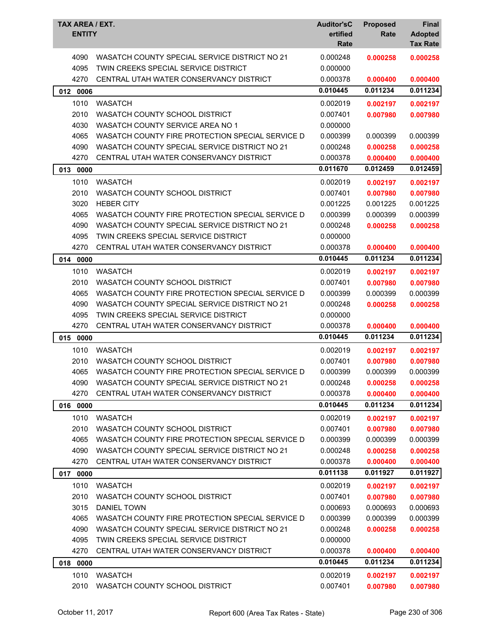| TAX AREA / EXT.<br><b>ENTITY</b> |                                                                                       | <b>Auditor'sC</b><br>ertified<br>Rate | <b>Proposed</b><br>Rate | <b>Final</b><br><b>Adopted</b><br><b>Tax Rate</b> |
|----------------------------------|---------------------------------------------------------------------------------------|---------------------------------------|-------------------------|---------------------------------------------------|
| 4090<br>4095                     | WASATCH COUNTY SPECIAL SERVICE DISTRICT NO 21<br>TWIN CREEKS SPECIAL SERVICE DISTRICT | 0.000248<br>0.000000                  | 0.000258                | 0.000258                                          |
| 4270                             | CENTRAL UTAH WATER CONSERVANCY DISTRICT                                               | 0.000378                              | 0.000400                | 0.000400                                          |
| 012 0006                         |                                                                                       | 0.010445                              | 0.011234                | 0.011234                                          |
| 1010                             | <b>WASATCH</b>                                                                        |                                       |                         |                                                   |
|                                  | WASATCH COUNTY SCHOOL DISTRICT                                                        | 0.002019                              | 0.002197                | 0.002197                                          |
| 2010<br>4030                     | WASATCH COUNTY SERVICE AREA NO 1                                                      | 0.007401<br>0.000000                  | 0.007980                | 0.007980                                          |
| 4065                             | WASATCH COUNTY FIRE PROTECTION SPECIAL SERVICE D                                      | 0.000399                              | 0.000399                | 0.000399                                          |
| 4090                             | WASATCH COUNTY SPECIAL SERVICE DISTRICT NO 21                                         | 0.000248                              | 0.000258                | 0.000258                                          |
| 4270                             | CENTRAL UTAH WATER CONSERVANCY DISTRICT                                               | 0.000378                              | 0.000400                | 0.000400                                          |
| 013 0000                         |                                                                                       | 0.011670                              | 0.012459                | 0.012459                                          |
|                                  | <b>WASATCH</b>                                                                        |                                       |                         |                                                   |
| 1010<br>2010                     |                                                                                       | 0.002019<br>0.007401                  | 0.002197                | 0.002197                                          |
| 3020                             | WASATCH COUNTY SCHOOL DISTRICT<br><b>HEBER CITY</b>                                   | 0.001225                              | 0.007980<br>0.001225    | 0.007980<br>0.001225                              |
| 4065                             | WASATCH COUNTY FIRE PROTECTION SPECIAL SERVICE D                                      | 0.000399                              | 0.000399                | 0.000399                                          |
| 4090                             | WASATCH COUNTY SPECIAL SERVICE DISTRICT NO 21                                         | 0.000248                              | 0.000258                | 0.000258                                          |
| 4095                             | TWIN CREEKS SPECIAL SERVICE DISTRICT                                                  | 0.000000                              |                         |                                                   |
| 4270                             | CENTRAL UTAH WATER CONSERVANCY DISTRICT                                               | 0.000378                              | 0.000400                | 0.000400                                          |
| 014<br>0000                      |                                                                                       | 0.010445                              | 0.011234                | 0.011234                                          |
| 1010                             | <b>WASATCH</b>                                                                        | 0.002019                              | 0.002197                | 0.002197                                          |
| 2010                             | WASATCH COUNTY SCHOOL DISTRICT                                                        | 0.007401                              | 0.007980                | 0.007980                                          |
| 4065                             | WASATCH COUNTY FIRE PROTECTION SPECIAL SERVICE D                                      | 0.000399                              | 0.000399                | 0.000399                                          |
| 4090                             | WASATCH COUNTY SPECIAL SERVICE DISTRICT NO 21                                         | 0.000248                              | 0.000258                | 0.000258                                          |
| 4095                             | TWIN CREEKS SPECIAL SERVICE DISTRICT                                                  | 0.000000                              |                         |                                                   |
| 4270                             | CENTRAL UTAH WATER CONSERVANCY DISTRICT                                               | 0.000378                              | 0.000400                | 0.000400                                          |
| 015 0000                         |                                                                                       | 0.010445                              | 0.011234                | 0.011234                                          |
| 1010                             | <b>WASATCH</b>                                                                        | 0.002019                              | 0.002197                | 0.002197                                          |
| 2010                             | WASATCH COUNTY SCHOOL DISTRICT                                                        | 0.007401                              | 0.007980                | 0.007980                                          |
| 4065                             | WASATCH COUNTY FIRE PROTECTION SPECIAL SERVICE D                                      | 0.000399                              | 0.000399                | 0.000399                                          |
| 4090                             | WASATCH COUNTY SPECIAL SERVICE DISTRICT NO 21                                         | 0.000248                              | 0.000258                | 0.000258                                          |
| 4270                             | CENTRAL UTAH WATER CONSERVANCY DISTRICT                                               | 0.000378                              | 0.000400                | 0.000400                                          |
| 016 0000                         |                                                                                       | 0.010445                              | 0.011234                | 0.011234                                          |
| 1010                             | <b>WASATCH</b>                                                                        | 0.002019                              | 0.002197                | 0.002197                                          |
| 2010                             | WASATCH COUNTY SCHOOL DISTRICT                                                        | 0.007401                              | 0.007980                | 0.007980                                          |
| 4065                             | WASATCH COUNTY FIRE PROTECTION SPECIAL SERVICE D                                      | 0.000399                              | 0.000399                | 0.000399                                          |
| 4090                             | WASATCH COUNTY SPECIAL SERVICE DISTRICT NO 21                                         | 0.000248                              | 0.000258                | 0.000258                                          |
| 4270                             | CENTRAL UTAH WATER CONSERVANCY DISTRICT                                               | 0.000378                              | 0.000400                | 0.000400                                          |
| 017 0000                         |                                                                                       | 0.011138                              | 0.011927                | 0.011927                                          |
| 1010                             | <b>WASATCH</b>                                                                        | 0.002019                              | 0.002197                | 0.002197                                          |
| 2010                             | WASATCH COUNTY SCHOOL DISTRICT                                                        | 0.007401                              | 0.007980                | 0.007980                                          |
| 3015                             | <b>DANIEL TOWN</b>                                                                    | 0.000693                              | 0.000693                | 0.000693                                          |
| 4065                             | WASATCH COUNTY FIRE PROTECTION SPECIAL SERVICE D                                      | 0.000399                              | 0.000399                | 0.000399                                          |
| 4090                             | WASATCH COUNTY SPECIAL SERVICE DISTRICT NO 21                                         | 0.000248                              | 0.000258                | 0.000258                                          |
| 4095                             | TWIN CREEKS SPECIAL SERVICE DISTRICT                                                  | 0.000000                              |                         |                                                   |
| 4270                             | CENTRAL UTAH WATER CONSERVANCY DISTRICT                                               | 0.000378                              | 0.000400                | 0.000400                                          |
| 0000<br>018                      |                                                                                       | 0.010445                              | 0.011234                | 0.011234                                          |
| 1010                             | <b>WASATCH</b>                                                                        | 0.002019                              | 0.002197                | 0.002197                                          |
| 2010                             | WASATCH COUNTY SCHOOL DISTRICT                                                        | 0.007401                              | 0.007980                | 0.007980                                          |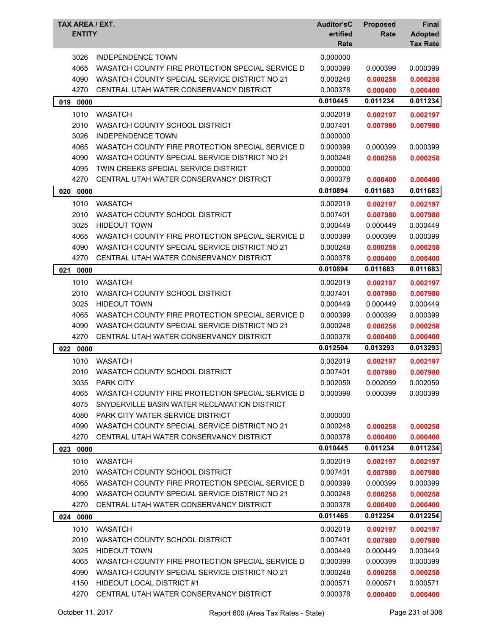| TAX AREA / EXT.<br><b>ENTITY</b> |                                                  | <b>Auditor'sC</b><br>ertified<br>Rate | <b>Proposed</b><br>Rate | <b>Final</b><br><b>Adopted</b><br><b>Tax Rate</b> |
|----------------------------------|--------------------------------------------------|---------------------------------------|-------------------------|---------------------------------------------------|
| 3026                             | <b>INDEPENDENCE TOWN</b>                         | 0.000000                              |                         |                                                   |
| 4065                             | WASATCH COUNTY FIRE PROTECTION SPECIAL SERVICE D | 0.000399                              | 0.000399                | 0.000399                                          |
| 4090                             | WASATCH COUNTY SPECIAL SERVICE DISTRICT NO 21    | 0.000248                              | 0.000258                | 0.000258                                          |
| 4270                             | CENTRAL UTAH WATER CONSERVANCY DISTRICT          | 0.000378                              | 0.000400                | 0.000400                                          |
| 0000<br>019                      |                                                  | 0.010445                              | 0.011234                | 0.011234                                          |
| 1010                             | <b>WASATCH</b>                                   | 0.002019                              | 0.002197                | 0.002197                                          |
| 2010                             | WASATCH COUNTY SCHOOL DISTRICT                   | 0.007401                              | 0.007980                | 0.007980                                          |
| 3026                             | <b>INDEPENDENCE TOWN</b>                         | 0.000000                              |                         |                                                   |
| 4065                             | WASATCH COUNTY FIRE PROTECTION SPECIAL SERVICE D | 0.000399                              | 0.000399                | 0.000399                                          |
| 4090                             | WASATCH COUNTY SPECIAL SERVICE DISTRICT NO 21    | 0.000248                              | 0.000258                | 0.000258                                          |
| 4095                             | TWIN CREEKS SPECIAL SERVICE DISTRICT             | 0.000000                              |                         |                                                   |
| 4270                             | CENTRAL UTAH WATER CONSERVANCY DISTRICT          | 0.000378                              | 0.000400                | 0.000400                                          |
| 020<br>0000                      |                                                  | 0.010894                              | 0.011683                | 0.011683                                          |
| 1010                             | <b>WASATCH</b>                                   | 0.002019                              | 0.002197                | 0.002197                                          |
| 2010                             | WASATCH COUNTY SCHOOL DISTRICT                   | 0.007401                              | 0.007980                | 0.007980                                          |
| 3025                             | <b>HIDEOUT TOWN</b>                              | 0.000449                              | 0.000449                | 0.000449                                          |
| 4065                             | WASATCH COUNTY FIRE PROTECTION SPECIAL SERVICE D | 0.000399                              | 0.000399                | 0.000399                                          |
| 4090                             | WASATCH COUNTY SPECIAL SERVICE DISTRICT NO 21    | 0.000248                              | 0.000258                | 0.000258                                          |
| 4270                             | CENTRAL UTAH WATER CONSERVANCY DISTRICT          | 0.000378                              | 0.000400                | 0.000400                                          |
| 021<br>0000                      |                                                  | 0.010894                              | 0.011683                | 0.011683                                          |
| 1010                             | <b>WASATCH</b>                                   | 0.002019                              | 0.002197                | 0.002197                                          |
| 2010                             | WASATCH COUNTY SCHOOL DISTRICT                   | 0.007401                              | 0.007980                | 0.007980                                          |
| 3025                             | <b>HIDEOUT TOWN</b>                              | 0.000449                              | 0.000449                | 0.000449                                          |
| 4065                             | WASATCH COUNTY FIRE PROTECTION SPECIAL SERVICE D | 0.000399                              | 0.000399                | 0.000399                                          |
| 4090                             | WASATCH COUNTY SPECIAL SERVICE DISTRICT NO 21    | 0.000248                              | 0.000258                | 0.000258                                          |
| 4270                             | CENTRAL UTAH WATER CONSERVANCY DISTRICT          | 0.000378                              | 0.000400                | 0.000400                                          |
| 022 0000                         |                                                  | 0.012504                              | 0.013293                | 0.013293                                          |
| 1010                             | <b>WASATCH</b>                                   | 0.002019                              | 0.002197                | 0.002197                                          |
| 2010                             | WASATCH COUNTY SCHOOL DISTRICT                   | 0.007401                              | 0.007980                | 0.007980                                          |
| 3035                             | <b>PARK CITY</b>                                 | 0.002059                              | 0.002059                | 0.002059                                          |
| 4065                             | WASATCH COUNTY FIRE PROTECTION SPECIAL SERVICE D | 0.000399                              | 0.000399                | 0.000399                                          |
| 4075                             | SNYDERVILLE BASIN WATER RECLAMATION DISTRICT     |                                       |                         |                                                   |
| 4080                             | <b>PARK CITY WATER SERVICE DISTRICT</b>          | 0.000000                              |                         |                                                   |
| 4090                             | WASATCH COUNTY SPECIAL SERVICE DISTRICT NO 21    | 0.000248                              | 0.000258                | 0.000258                                          |
| 4270                             | CENTRAL UTAH WATER CONSERVANCY DISTRICT          | 0.000378                              | 0.000400                | 0.000400                                          |
| 023 0000                         |                                                  | 0.010445                              | 0.011234                | 0.011234                                          |
| 1010                             | <b>WASATCH</b>                                   | 0.002019                              | 0.002197                | 0.002197                                          |
| 2010                             | WASATCH COUNTY SCHOOL DISTRICT                   | 0.007401                              | 0.007980                | 0.007980                                          |
| 4065                             | WASATCH COUNTY FIRE PROTECTION SPECIAL SERVICE D | 0.000399                              | 0.000399                | 0.000399                                          |
| 4090                             | WASATCH COUNTY SPECIAL SERVICE DISTRICT NO 21    | 0.000248                              | 0.000258                | 0.000258                                          |
| 4270                             | CENTRAL UTAH WATER CONSERVANCY DISTRICT          | 0.000378                              | 0.000400                | 0.000400                                          |
| 024 0000                         |                                                  | 0.011465                              | 0.012254                | 0.012254                                          |
| 1010                             | <b>WASATCH</b>                                   | 0.002019                              | 0.002197                | 0.002197                                          |
| 2010                             | WASATCH COUNTY SCHOOL DISTRICT                   | 0.007401                              | 0.007980                | 0.007980                                          |
| 3025                             | <b>HIDEOUT TOWN</b>                              | 0.000449                              | 0.000449                | 0.000449                                          |
| 4065                             | WASATCH COUNTY FIRE PROTECTION SPECIAL SERVICE D | 0.000399                              | 0.000399                | 0.000399                                          |
| 4090                             | WASATCH COUNTY SPECIAL SERVICE DISTRICT NO 21    | 0.000248                              | 0.000258                | 0.000258                                          |
| 4150                             | <b>HIDEOUT LOCAL DISTRICT #1</b>                 | 0.000571                              | 0.000571                | 0.000571                                          |
| 4270                             | CENTRAL UTAH WATER CONSERVANCY DISTRICT          | 0.000378                              | 0.000400                | 0.000400                                          |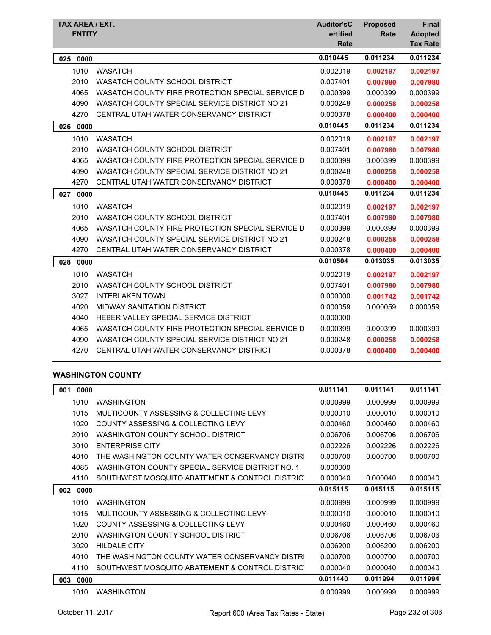| TAX AREA / EXT.<br><b>ENTITY</b> |                                                  | <b>Auditor'sC</b><br>ertified<br>Rate | <b>Proposed</b><br>Rate | <b>Final</b><br><b>Adopted</b><br><b>Tax Rate</b> |
|----------------------------------|--------------------------------------------------|---------------------------------------|-------------------------|---------------------------------------------------|
| 025<br>0000                      |                                                  | 0.010445                              | 0.011234                | 0.011234                                          |
| 1010                             | <b>WASATCH</b>                                   | 0.002019                              | 0.002197                | 0.002197                                          |
| 2010                             | WASATCH COUNTY SCHOOL DISTRICT                   | 0.007401                              | 0.007980                | 0.007980                                          |
| 4065                             | WASATCH COUNTY FIRE PROTECTION SPECIAL SERVICE D | 0.000399                              | 0.000399                | 0.000399                                          |
| 4090                             | WASATCH COUNTY SPECIAL SERVICE DISTRICT NO 21    | 0.000248                              | 0.000258                | 0.000258                                          |
| 4270                             | CENTRAL UTAH WATER CONSERVANCY DISTRICT          | 0.000378                              | 0.000400                | 0.000400                                          |
| 0000<br>026                      |                                                  | 0.010445                              | 0.011234                | 0.011234                                          |
| 1010                             | <b>WASATCH</b>                                   | 0.002019                              | 0.002197                | 0.002197                                          |
| 2010                             | WASATCH COUNTY SCHOOL DISTRICT                   | 0.007401                              | 0.007980                | 0.007980                                          |
| 4065                             | WASATCH COUNTY FIRE PROTECTION SPECIAL SERVICE D | 0.000399                              | 0.000399                | 0.000399                                          |
| 4090                             | WASATCH COUNTY SPECIAL SERVICE DISTRICT NO 21    | 0.000248                              | 0.000258                | 0.000258                                          |
| 4270                             | CENTRAL UTAH WATER CONSERVANCY DISTRICT          | 0.000378                              | 0.000400                | 0.000400                                          |
| 0000<br>027                      |                                                  | 0.010445                              | 0.011234                | 0.011234                                          |
| 1010                             | <b>WASATCH</b>                                   | 0.002019                              | 0.002197                | 0.002197                                          |
| 2010                             | WASATCH COUNTY SCHOOL DISTRICT                   | 0.007401                              | 0.007980                | 0.007980                                          |
| 4065                             | WASATCH COUNTY FIRE PROTECTION SPECIAL SERVICE D | 0.000399                              | 0.000399                | 0.000399                                          |
| 4090                             | WASATCH COUNTY SPECIAL SERVICE DISTRICT NO 21    | 0.000248                              | 0.000258                | 0.000258                                          |
| 4270                             | CENTRAL UTAH WATER CONSERVANCY DISTRICT          | 0.000378                              | 0.000400                | 0.000400                                          |
| 0000<br>028                      |                                                  | 0.010504                              | 0.013035                | 0.013035                                          |
| 1010                             | <b>WASATCH</b>                                   | 0.002019                              | 0.002197                | 0.002197                                          |
| 2010                             | WASATCH COUNTY SCHOOL DISTRICT                   | 0.007401                              | 0.007980                | 0.007980                                          |
| 3027                             | <b>INTERLAKEN TOWN</b>                           | 0.000000                              | 0.001742                | 0.001742                                          |
| 4020                             | <b>MIDWAY SANITATION DISTRICT</b>                | 0.000059                              | 0.000059                | 0.000059                                          |
| 4040                             | HEBER VALLEY SPECIAL SERVICE DISTRICT            | 0.000000                              |                         |                                                   |
| 4065                             | WASATCH COUNTY FIRE PROTECTION SPECIAL SERVICE D | 0.000399                              | 0.000399                | 0.000399                                          |
| 4090                             | WASATCH COUNTY SPECIAL SERVICE DISTRICT NO 21    | 0.000248                              | 0.000258                | 0.000258                                          |
| 4270                             | CENTRAL UTAH WATER CONSERVANCY DISTRICT          | 0.000378                              | 0.000400                | 0.000400                                          |

## **WASHINGTON COUNTY**

| 0000<br>001 |                                                  | 0.011141 | 0.011141 | 0.011141 |
|-------------|--------------------------------------------------|----------|----------|----------|
| 1010        | <b>WASHINGTON</b>                                | 0.000999 | 0.000999 | 0.000999 |
| 1015        | MULTICOUNTY ASSESSING & COLLECTING LEVY          | 0.000010 | 0.000010 | 0.000010 |
| 1020        | COUNTY ASSESSING & COLLECTING LEVY               | 0.000460 | 0.000460 | 0.000460 |
| 2010        | WASHINGTON COUNTY SCHOOL DISTRICT                | 0.006706 | 0.006706 | 0.006706 |
| 3010        | <b>ENTERPRISE CITY</b>                           | 0.002226 | 0.002226 | 0.002226 |
| 4010        | THE WASHINGTON COUNTY WATER CONSERVANCY DISTRI   | 0.000700 | 0.000700 | 0.000700 |
| 4085        | WASHINGTON COUNTY SPECIAL SERVICE DISTRICT NO. 1 | 0.000000 |          |          |
| 4110        | SOUTHWEST MOSQUITO ABATEMENT & CONTROL DISTRIC   | 0.000040 | 0.000040 | 0.000040 |
| 0000<br>002 |                                                  | 0.015115 | 0.015115 | 0.015115 |
| 1010        | <b>WASHINGTON</b>                                | 0.000999 | 0.000999 | 0.000999 |
| 1015        | MULTICOUNTY ASSESSING & COLLECTING LEVY          | 0.000010 | 0.000010 | 0.000010 |
| 1020        | COUNTY ASSESSING & COLLECTING LEVY               | 0.000460 | 0.000460 | 0.000460 |
| 2010        | <b>WASHINGTON COUNTY SCHOOL DISTRICT</b>         | 0.006706 | 0.006706 | 0.006706 |
| 3020        | <b>HILDALE CITY</b>                              | 0.006200 | 0.006200 | 0.006200 |
| 4010        | THE WASHINGTON COUNTY WATER CONSERVANCY DISTRI   | 0.000700 | 0.000700 | 0.000700 |
| 4110        | SOUTHWEST MOSQUITO ABATEMENT & CONTROL DISTRIC   | 0.000040 | 0.000040 | 0.000040 |
| 0000<br>003 |                                                  | 0.011440 | 0.011994 | 0.011994 |
| 1010        | <b>WASHINGTON</b>                                | 0.000999 | 0.000999 | 0.000999 |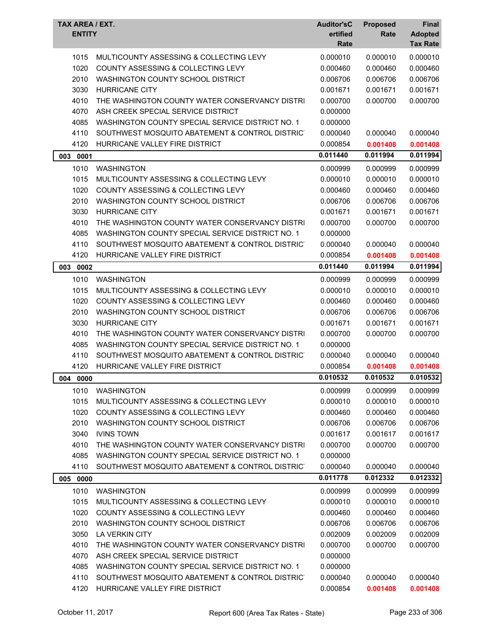| MULTICOUNTY ASSESSING & COLLECTING LEVY<br>0.000010<br>0.000010<br>1015<br>0.000010<br>1020<br>COUNTY ASSESSING & COLLECTING LEVY<br>0.000460<br>0.000460<br>0.000460<br>2010<br>WASHINGTON COUNTY SCHOOL DISTRICT<br>0.006706<br>0.006706<br>0.006706<br>3030<br><b>HURRICANE CITY</b><br>0.001671<br>0.001671<br>0.001671<br>4010<br>0.000700<br>0.000700<br>0.000700<br>THE WASHINGTON COUNTY WATER CONSERVANCY DISTRI<br>4070<br>ASH CREEK SPECIAL SERVICE DISTRICT<br>0.000000<br>4085<br>WASHINGTON COUNTY SPECIAL SERVICE DISTRICT NO. 1<br>0.000000<br>4110<br>SOUTHWEST MOSQUITO ABATEMENT & CONTROL DISTRICT<br>0.000040<br>0.000040<br>0.000040<br>4120<br>HURRICANE VALLEY FIRE DISTRICT<br>0.000854<br>0.001408<br>0.001408<br>0.011440<br>0.011994<br>0.011994<br>003<br>0001<br>1010<br><b>WASHINGTON</b><br>0.000999<br>0.000999<br>0.000999<br>1015<br>MULTICOUNTY ASSESSING & COLLECTING LEVY<br>0.000010<br>0.000010<br>0.000010<br>1020<br>COUNTY ASSESSING & COLLECTING LEVY<br>0.000460<br>0.000460<br>0.000460<br>2010<br>WASHINGTON COUNTY SCHOOL DISTRICT<br>0.006706<br>0.006706<br>0.006706<br>3030<br><b>HURRICANE CITY</b><br>0.001671<br>0.001671<br>0.001671<br>4010<br>THE WASHINGTON COUNTY WATER CONSERVANCY DISTRI<br>0.000700<br>0.000700<br>0.000700<br>4085<br>WASHINGTON COUNTY SPECIAL SERVICE DISTRICT NO. 1<br>0.000000<br>4110<br>SOUTHWEST MOSQUITO ABATEMENT & CONTROL DISTRICT<br>0.000040<br>0.000040<br>0.000040<br>4120<br>HURRICANE VALLEY FIRE DISTRICT<br>0.000854<br>0.001408<br>0.001408<br>0.011440<br>0.011994<br>0.011994<br>003 0002<br>1010<br><b>WASHINGTON</b><br>0.000999<br>0.000999<br>0.000999<br>0.000010<br>1015<br>MULTICOUNTY ASSESSING & COLLECTING LEVY<br>0.000010<br>0.000010<br>1020<br>COUNTY ASSESSING & COLLECTING LEVY<br>0.000460<br>0.000460<br>0.000460<br>2010<br>WASHINGTON COUNTY SCHOOL DISTRICT<br>0.006706<br>0.006706<br>0.006706<br>3030<br><b>HURRICANE CITY</b><br>0.001671<br>0.001671<br>0.001671<br>4010<br>THE WASHINGTON COUNTY WATER CONSERVANCY DISTRI<br>0.000700<br>0.000700<br>0.000700<br>4085<br>WASHINGTON COUNTY SPECIAL SERVICE DISTRICT NO. 1<br>0.000000<br>4110<br>SOUTHWEST MOSQUITO ABATEMENT & CONTROL DISTRICT<br>0.000040<br>0.000040<br>0.000040<br>4120<br>HURRICANE VALLEY FIRE DISTRICT<br>0.000854<br>0.001408<br>0.001408<br>0.010532<br>0.010532<br>0.010532<br>004 0000<br>1010<br><b>WASHINGTON</b><br>0.000999<br>0.000999<br>0.000999<br>1015<br>MULTICOUNTY ASSESSING & COLLECTING LEVY<br>0.000010<br>0.000010<br>0.000010<br>1020<br><b>COUNTY ASSESSING &amp; COLLECTING LEVY</b><br>0.000460<br>0.000460<br>0.000460<br>2010<br>WASHINGTON COUNTY SCHOOL DISTRICT<br>0.006706<br>0.006706<br>0.006706<br>3040<br><b>IVINS TOWN</b><br>0.001617<br>0.001617<br>0.001617<br>4010<br>THE WASHINGTON COUNTY WATER CONSERVANCY DISTRI<br>0.000700<br>0.000700<br>0.000700<br>4085<br>WASHINGTON COUNTY SPECIAL SERVICE DISTRICT NO. 1<br>0.000000<br>4110<br>SOUTHWEST MOSQUITO ABATEMENT & CONTROL DISTRIC<br>0.000040<br>0.000040<br>0.000040<br>0.011778<br>0.012332<br>0.012332<br>005 0000<br>0.000999<br>1010<br><b>WASHINGTON</b><br>0.000999<br>0.000999<br>MULTICOUNTY ASSESSING & COLLECTING LEVY<br>0.000010<br>0.000010<br>1015<br>0.000010<br>1020<br>COUNTY ASSESSING & COLLECTING LEVY<br>0.000460<br>0.000460<br>0.000460<br>2010<br>WASHINGTON COUNTY SCHOOL DISTRICT<br>0.006706<br>0.006706<br>0.006706<br>3050<br>LA VERKIN CITY<br>0.002009<br>0.002009<br>0.002009<br>THE WASHINGTON COUNTY WATER CONSERVANCY DISTRI<br>0.000700<br>4010<br>0.000700<br>0.000700<br>4070<br>ASH CREEK SPECIAL SERVICE DISTRICT<br>0.000000<br>4085<br>WASHINGTON COUNTY SPECIAL SERVICE DISTRICT NO. 1<br>0.000000<br>4110<br>SOUTHWEST MOSQUITO ABATEMENT & CONTROL DISTRICT<br>0.000040<br>0.000040<br>0.000040<br>4120<br>HURRICANE VALLEY FIRE DISTRICT<br>0.000854<br>0.001408<br>0.001408 | TAX AREA / EXT.<br><b>ENTITY</b> | <b>Auditor'sC</b><br>ertified<br>Rate | <b>Proposed</b><br>Rate | <b>Final</b><br><b>Adopted</b><br><b>Tax Rate</b> |
|------------------------------------------------------------------------------------------------------------------------------------------------------------------------------------------------------------------------------------------------------------------------------------------------------------------------------------------------------------------------------------------------------------------------------------------------------------------------------------------------------------------------------------------------------------------------------------------------------------------------------------------------------------------------------------------------------------------------------------------------------------------------------------------------------------------------------------------------------------------------------------------------------------------------------------------------------------------------------------------------------------------------------------------------------------------------------------------------------------------------------------------------------------------------------------------------------------------------------------------------------------------------------------------------------------------------------------------------------------------------------------------------------------------------------------------------------------------------------------------------------------------------------------------------------------------------------------------------------------------------------------------------------------------------------------------------------------------------------------------------------------------------------------------------------------------------------------------------------------------------------------------------------------------------------------------------------------------------------------------------------------------------------------------------------------------------------------------------------------------------------------------------------------------------------------------------------------------------------------------------------------------------------------------------------------------------------------------------------------------------------------------------------------------------------------------------------------------------------------------------------------------------------------------------------------------------------------------------------------------------------------------------------------------------------------------------------------------------------------------------------------------------------------------------------------------------------------------------------------------------------------------------------------------------------------------------------------------------------------------------------------------------------------------------------------------------------------------------------------------------------------------------------------------------------------------------------------------------------------------------------------------------------------------------------------------------------------------------------------------------------------------------------------------------------------------------------------------------------------------------------------------------------------------------------------------------------------------------------------------------------------------------------------------------------------------------------------------------------------------------------------------------------------------------------------------------------------------------------------------------------------------------------------------------------------|----------------------------------|---------------------------------------|-------------------------|---------------------------------------------------|
|                                                                                                                                                                                                                                                                                                                                                                                                                                                                                                                                                                                                                                                                                                                                                                                                                                                                                                                                                                                                                                                                                                                                                                                                                                                                                                                                                                                                                                                                                                                                                                                                                                                                                                                                                                                                                                                                                                                                                                                                                                                                                                                                                                                                                                                                                                                                                                                                                                                                                                                                                                                                                                                                                                                                                                                                                                                                                                                                                                                                                                                                                                                                                                                                                                                                                                                                                                                                                                                                                                                                                                                                                                                                                                                                                                                                                                                                                                                                    |                                  |                                       |                         |                                                   |
|                                                                                                                                                                                                                                                                                                                                                                                                                                                                                                                                                                                                                                                                                                                                                                                                                                                                                                                                                                                                                                                                                                                                                                                                                                                                                                                                                                                                                                                                                                                                                                                                                                                                                                                                                                                                                                                                                                                                                                                                                                                                                                                                                                                                                                                                                                                                                                                                                                                                                                                                                                                                                                                                                                                                                                                                                                                                                                                                                                                                                                                                                                                                                                                                                                                                                                                                                                                                                                                                                                                                                                                                                                                                                                                                                                                                                                                                                                                                    |                                  |                                       |                         |                                                   |
|                                                                                                                                                                                                                                                                                                                                                                                                                                                                                                                                                                                                                                                                                                                                                                                                                                                                                                                                                                                                                                                                                                                                                                                                                                                                                                                                                                                                                                                                                                                                                                                                                                                                                                                                                                                                                                                                                                                                                                                                                                                                                                                                                                                                                                                                                                                                                                                                                                                                                                                                                                                                                                                                                                                                                                                                                                                                                                                                                                                                                                                                                                                                                                                                                                                                                                                                                                                                                                                                                                                                                                                                                                                                                                                                                                                                                                                                                                                                    |                                  |                                       |                         |                                                   |
|                                                                                                                                                                                                                                                                                                                                                                                                                                                                                                                                                                                                                                                                                                                                                                                                                                                                                                                                                                                                                                                                                                                                                                                                                                                                                                                                                                                                                                                                                                                                                                                                                                                                                                                                                                                                                                                                                                                                                                                                                                                                                                                                                                                                                                                                                                                                                                                                                                                                                                                                                                                                                                                                                                                                                                                                                                                                                                                                                                                                                                                                                                                                                                                                                                                                                                                                                                                                                                                                                                                                                                                                                                                                                                                                                                                                                                                                                                                                    |                                  |                                       |                         |                                                   |
|                                                                                                                                                                                                                                                                                                                                                                                                                                                                                                                                                                                                                                                                                                                                                                                                                                                                                                                                                                                                                                                                                                                                                                                                                                                                                                                                                                                                                                                                                                                                                                                                                                                                                                                                                                                                                                                                                                                                                                                                                                                                                                                                                                                                                                                                                                                                                                                                                                                                                                                                                                                                                                                                                                                                                                                                                                                                                                                                                                                                                                                                                                                                                                                                                                                                                                                                                                                                                                                                                                                                                                                                                                                                                                                                                                                                                                                                                                                                    |                                  |                                       |                         |                                                   |
|                                                                                                                                                                                                                                                                                                                                                                                                                                                                                                                                                                                                                                                                                                                                                                                                                                                                                                                                                                                                                                                                                                                                                                                                                                                                                                                                                                                                                                                                                                                                                                                                                                                                                                                                                                                                                                                                                                                                                                                                                                                                                                                                                                                                                                                                                                                                                                                                                                                                                                                                                                                                                                                                                                                                                                                                                                                                                                                                                                                                                                                                                                                                                                                                                                                                                                                                                                                                                                                                                                                                                                                                                                                                                                                                                                                                                                                                                                                                    |                                  |                                       |                         |                                                   |
|                                                                                                                                                                                                                                                                                                                                                                                                                                                                                                                                                                                                                                                                                                                                                                                                                                                                                                                                                                                                                                                                                                                                                                                                                                                                                                                                                                                                                                                                                                                                                                                                                                                                                                                                                                                                                                                                                                                                                                                                                                                                                                                                                                                                                                                                                                                                                                                                                                                                                                                                                                                                                                                                                                                                                                                                                                                                                                                                                                                                                                                                                                                                                                                                                                                                                                                                                                                                                                                                                                                                                                                                                                                                                                                                                                                                                                                                                                                                    |                                  |                                       |                         |                                                   |
|                                                                                                                                                                                                                                                                                                                                                                                                                                                                                                                                                                                                                                                                                                                                                                                                                                                                                                                                                                                                                                                                                                                                                                                                                                                                                                                                                                                                                                                                                                                                                                                                                                                                                                                                                                                                                                                                                                                                                                                                                                                                                                                                                                                                                                                                                                                                                                                                                                                                                                                                                                                                                                                                                                                                                                                                                                                                                                                                                                                                                                                                                                                                                                                                                                                                                                                                                                                                                                                                                                                                                                                                                                                                                                                                                                                                                                                                                                                                    |                                  |                                       |                         |                                                   |
|                                                                                                                                                                                                                                                                                                                                                                                                                                                                                                                                                                                                                                                                                                                                                                                                                                                                                                                                                                                                                                                                                                                                                                                                                                                                                                                                                                                                                                                                                                                                                                                                                                                                                                                                                                                                                                                                                                                                                                                                                                                                                                                                                                                                                                                                                                                                                                                                                                                                                                                                                                                                                                                                                                                                                                                                                                                                                                                                                                                                                                                                                                                                                                                                                                                                                                                                                                                                                                                                                                                                                                                                                                                                                                                                                                                                                                                                                                                                    |                                  |                                       |                         |                                                   |
|                                                                                                                                                                                                                                                                                                                                                                                                                                                                                                                                                                                                                                                                                                                                                                                                                                                                                                                                                                                                                                                                                                                                                                                                                                                                                                                                                                                                                                                                                                                                                                                                                                                                                                                                                                                                                                                                                                                                                                                                                                                                                                                                                                                                                                                                                                                                                                                                                                                                                                                                                                                                                                                                                                                                                                                                                                                                                                                                                                                                                                                                                                                                                                                                                                                                                                                                                                                                                                                                                                                                                                                                                                                                                                                                                                                                                                                                                                                                    |                                  |                                       |                         |                                                   |
|                                                                                                                                                                                                                                                                                                                                                                                                                                                                                                                                                                                                                                                                                                                                                                                                                                                                                                                                                                                                                                                                                                                                                                                                                                                                                                                                                                                                                                                                                                                                                                                                                                                                                                                                                                                                                                                                                                                                                                                                                                                                                                                                                                                                                                                                                                                                                                                                                                                                                                                                                                                                                                                                                                                                                                                                                                                                                                                                                                                                                                                                                                                                                                                                                                                                                                                                                                                                                                                                                                                                                                                                                                                                                                                                                                                                                                                                                                                                    |                                  |                                       |                         |                                                   |
|                                                                                                                                                                                                                                                                                                                                                                                                                                                                                                                                                                                                                                                                                                                                                                                                                                                                                                                                                                                                                                                                                                                                                                                                                                                                                                                                                                                                                                                                                                                                                                                                                                                                                                                                                                                                                                                                                                                                                                                                                                                                                                                                                                                                                                                                                                                                                                                                                                                                                                                                                                                                                                                                                                                                                                                                                                                                                                                                                                                                                                                                                                                                                                                                                                                                                                                                                                                                                                                                                                                                                                                                                                                                                                                                                                                                                                                                                                                                    |                                  |                                       |                         |                                                   |
|                                                                                                                                                                                                                                                                                                                                                                                                                                                                                                                                                                                                                                                                                                                                                                                                                                                                                                                                                                                                                                                                                                                                                                                                                                                                                                                                                                                                                                                                                                                                                                                                                                                                                                                                                                                                                                                                                                                                                                                                                                                                                                                                                                                                                                                                                                                                                                                                                                                                                                                                                                                                                                                                                                                                                                                                                                                                                                                                                                                                                                                                                                                                                                                                                                                                                                                                                                                                                                                                                                                                                                                                                                                                                                                                                                                                                                                                                                                                    |                                  |                                       |                         |                                                   |
|                                                                                                                                                                                                                                                                                                                                                                                                                                                                                                                                                                                                                                                                                                                                                                                                                                                                                                                                                                                                                                                                                                                                                                                                                                                                                                                                                                                                                                                                                                                                                                                                                                                                                                                                                                                                                                                                                                                                                                                                                                                                                                                                                                                                                                                                                                                                                                                                                                                                                                                                                                                                                                                                                                                                                                                                                                                                                                                                                                                                                                                                                                                                                                                                                                                                                                                                                                                                                                                                                                                                                                                                                                                                                                                                                                                                                                                                                                                                    |                                  |                                       |                         |                                                   |
|                                                                                                                                                                                                                                                                                                                                                                                                                                                                                                                                                                                                                                                                                                                                                                                                                                                                                                                                                                                                                                                                                                                                                                                                                                                                                                                                                                                                                                                                                                                                                                                                                                                                                                                                                                                                                                                                                                                                                                                                                                                                                                                                                                                                                                                                                                                                                                                                                                                                                                                                                                                                                                                                                                                                                                                                                                                                                                                                                                                                                                                                                                                                                                                                                                                                                                                                                                                                                                                                                                                                                                                                                                                                                                                                                                                                                                                                                                                                    |                                  |                                       |                         |                                                   |
|                                                                                                                                                                                                                                                                                                                                                                                                                                                                                                                                                                                                                                                                                                                                                                                                                                                                                                                                                                                                                                                                                                                                                                                                                                                                                                                                                                                                                                                                                                                                                                                                                                                                                                                                                                                                                                                                                                                                                                                                                                                                                                                                                                                                                                                                                                                                                                                                                                                                                                                                                                                                                                                                                                                                                                                                                                                                                                                                                                                                                                                                                                                                                                                                                                                                                                                                                                                                                                                                                                                                                                                                                                                                                                                                                                                                                                                                                                                                    |                                  |                                       |                         |                                                   |
|                                                                                                                                                                                                                                                                                                                                                                                                                                                                                                                                                                                                                                                                                                                                                                                                                                                                                                                                                                                                                                                                                                                                                                                                                                                                                                                                                                                                                                                                                                                                                                                                                                                                                                                                                                                                                                                                                                                                                                                                                                                                                                                                                                                                                                                                                                                                                                                                                                                                                                                                                                                                                                                                                                                                                                                                                                                                                                                                                                                                                                                                                                                                                                                                                                                                                                                                                                                                                                                                                                                                                                                                                                                                                                                                                                                                                                                                                                                                    |                                  |                                       |                         |                                                   |
|                                                                                                                                                                                                                                                                                                                                                                                                                                                                                                                                                                                                                                                                                                                                                                                                                                                                                                                                                                                                                                                                                                                                                                                                                                                                                                                                                                                                                                                                                                                                                                                                                                                                                                                                                                                                                                                                                                                                                                                                                                                                                                                                                                                                                                                                                                                                                                                                                                                                                                                                                                                                                                                                                                                                                                                                                                                                                                                                                                                                                                                                                                                                                                                                                                                                                                                                                                                                                                                                                                                                                                                                                                                                                                                                                                                                                                                                                                                                    |                                  |                                       |                         |                                                   |
|                                                                                                                                                                                                                                                                                                                                                                                                                                                                                                                                                                                                                                                                                                                                                                                                                                                                                                                                                                                                                                                                                                                                                                                                                                                                                                                                                                                                                                                                                                                                                                                                                                                                                                                                                                                                                                                                                                                                                                                                                                                                                                                                                                                                                                                                                                                                                                                                                                                                                                                                                                                                                                                                                                                                                                                                                                                                                                                                                                                                                                                                                                                                                                                                                                                                                                                                                                                                                                                                                                                                                                                                                                                                                                                                                                                                                                                                                                                                    |                                  |                                       |                         |                                                   |
|                                                                                                                                                                                                                                                                                                                                                                                                                                                                                                                                                                                                                                                                                                                                                                                                                                                                                                                                                                                                                                                                                                                                                                                                                                                                                                                                                                                                                                                                                                                                                                                                                                                                                                                                                                                                                                                                                                                                                                                                                                                                                                                                                                                                                                                                                                                                                                                                                                                                                                                                                                                                                                                                                                                                                                                                                                                                                                                                                                                                                                                                                                                                                                                                                                                                                                                                                                                                                                                                                                                                                                                                                                                                                                                                                                                                                                                                                                                                    |                                  |                                       |                         |                                                   |
|                                                                                                                                                                                                                                                                                                                                                                                                                                                                                                                                                                                                                                                                                                                                                                                                                                                                                                                                                                                                                                                                                                                                                                                                                                                                                                                                                                                                                                                                                                                                                                                                                                                                                                                                                                                                                                                                                                                                                                                                                                                                                                                                                                                                                                                                                                                                                                                                                                                                                                                                                                                                                                                                                                                                                                                                                                                                                                                                                                                                                                                                                                                                                                                                                                                                                                                                                                                                                                                                                                                                                                                                                                                                                                                                                                                                                                                                                                                                    |                                  |                                       |                         |                                                   |
|                                                                                                                                                                                                                                                                                                                                                                                                                                                                                                                                                                                                                                                                                                                                                                                                                                                                                                                                                                                                                                                                                                                                                                                                                                                                                                                                                                                                                                                                                                                                                                                                                                                                                                                                                                                                                                                                                                                                                                                                                                                                                                                                                                                                                                                                                                                                                                                                                                                                                                                                                                                                                                                                                                                                                                                                                                                                                                                                                                                                                                                                                                                                                                                                                                                                                                                                                                                                                                                                                                                                                                                                                                                                                                                                                                                                                                                                                                                                    |                                  |                                       |                         |                                                   |
|                                                                                                                                                                                                                                                                                                                                                                                                                                                                                                                                                                                                                                                                                                                                                                                                                                                                                                                                                                                                                                                                                                                                                                                                                                                                                                                                                                                                                                                                                                                                                                                                                                                                                                                                                                                                                                                                                                                                                                                                                                                                                                                                                                                                                                                                                                                                                                                                                                                                                                                                                                                                                                                                                                                                                                                                                                                                                                                                                                                                                                                                                                                                                                                                                                                                                                                                                                                                                                                                                                                                                                                                                                                                                                                                                                                                                                                                                                                                    |                                  |                                       |                         |                                                   |
|                                                                                                                                                                                                                                                                                                                                                                                                                                                                                                                                                                                                                                                                                                                                                                                                                                                                                                                                                                                                                                                                                                                                                                                                                                                                                                                                                                                                                                                                                                                                                                                                                                                                                                                                                                                                                                                                                                                                                                                                                                                                                                                                                                                                                                                                                                                                                                                                                                                                                                                                                                                                                                                                                                                                                                                                                                                                                                                                                                                                                                                                                                                                                                                                                                                                                                                                                                                                                                                                                                                                                                                                                                                                                                                                                                                                                                                                                                                                    |                                  |                                       |                         |                                                   |
|                                                                                                                                                                                                                                                                                                                                                                                                                                                                                                                                                                                                                                                                                                                                                                                                                                                                                                                                                                                                                                                                                                                                                                                                                                                                                                                                                                                                                                                                                                                                                                                                                                                                                                                                                                                                                                                                                                                                                                                                                                                                                                                                                                                                                                                                                                                                                                                                                                                                                                                                                                                                                                                                                                                                                                                                                                                                                                                                                                                                                                                                                                                                                                                                                                                                                                                                                                                                                                                                                                                                                                                                                                                                                                                                                                                                                                                                                                                                    |                                  |                                       |                         |                                                   |
|                                                                                                                                                                                                                                                                                                                                                                                                                                                                                                                                                                                                                                                                                                                                                                                                                                                                                                                                                                                                                                                                                                                                                                                                                                                                                                                                                                                                                                                                                                                                                                                                                                                                                                                                                                                                                                                                                                                                                                                                                                                                                                                                                                                                                                                                                                                                                                                                                                                                                                                                                                                                                                                                                                                                                                                                                                                                                                                                                                                                                                                                                                                                                                                                                                                                                                                                                                                                                                                                                                                                                                                                                                                                                                                                                                                                                                                                                                                                    |                                  |                                       |                         |                                                   |
|                                                                                                                                                                                                                                                                                                                                                                                                                                                                                                                                                                                                                                                                                                                                                                                                                                                                                                                                                                                                                                                                                                                                                                                                                                                                                                                                                                                                                                                                                                                                                                                                                                                                                                                                                                                                                                                                                                                                                                                                                                                                                                                                                                                                                                                                                                                                                                                                                                                                                                                                                                                                                                                                                                                                                                                                                                                                                                                                                                                                                                                                                                                                                                                                                                                                                                                                                                                                                                                                                                                                                                                                                                                                                                                                                                                                                                                                                                                                    |                                  |                                       |                         |                                                   |
|                                                                                                                                                                                                                                                                                                                                                                                                                                                                                                                                                                                                                                                                                                                                                                                                                                                                                                                                                                                                                                                                                                                                                                                                                                                                                                                                                                                                                                                                                                                                                                                                                                                                                                                                                                                                                                                                                                                                                                                                                                                                                                                                                                                                                                                                                                                                                                                                                                                                                                                                                                                                                                                                                                                                                                                                                                                                                                                                                                                                                                                                                                                                                                                                                                                                                                                                                                                                                                                                                                                                                                                                                                                                                                                                                                                                                                                                                                                                    |                                  |                                       |                         |                                                   |
|                                                                                                                                                                                                                                                                                                                                                                                                                                                                                                                                                                                                                                                                                                                                                                                                                                                                                                                                                                                                                                                                                                                                                                                                                                                                                                                                                                                                                                                                                                                                                                                                                                                                                                                                                                                                                                                                                                                                                                                                                                                                                                                                                                                                                                                                                                                                                                                                                                                                                                                                                                                                                                                                                                                                                                                                                                                                                                                                                                                                                                                                                                                                                                                                                                                                                                                                                                                                                                                                                                                                                                                                                                                                                                                                                                                                                                                                                                                                    |                                  |                                       |                         |                                                   |
|                                                                                                                                                                                                                                                                                                                                                                                                                                                                                                                                                                                                                                                                                                                                                                                                                                                                                                                                                                                                                                                                                                                                                                                                                                                                                                                                                                                                                                                                                                                                                                                                                                                                                                                                                                                                                                                                                                                                                                                                                                                                                                                                                                                                                                                                                                                                                                                                                                                                                                                                                                                                                                                                                                                                                                                                                                                                                                                                                                                                                                                                                                                                                                                                                                                                                                                                                                                                                                                                                                                                                                                                                                                                                                                                                                                                                                                                                                                                    |                                  |                                       |                         |                                                   |
|                                                                                                                                                                                                                                                                                                                                                                                                                                                                                                                                                                                                                                                                                                                                                                                                                                                                                                                                                                                                                                                                                                                                                                                                                                                                                                                                                                                                                                                                                                                                                                                                                                                                                                                                                                                                                                                                                                                                                                                                                                                                                                                                                                                                                                                                                                                                                                                                                                                                                                                                                                                                                                                                                                                                                                                                                                                                                                                                                                                                                                                                                                                                                                                                                                                                                                                                                                                                                                                                                                                                                                                                                                                                                                                                                                                                                                                                                                                                    |                                  |                                       |                         |                                                   |
|                                                                                                                                                                                                                                                                                                                                                                                                                                                                                                                                                                                                                                                                                                                                                                                                                                                                                                                                                                                                                                                                                                                                                                                                                                                                                                                                                                                                                                                                                                                                                                                                                                                                                                                                                                                                                                                                                                                                                                                                                                                                                                                                                                                                                                                                                                                                                                                                                                                                                                                                                                                                                                                                                                                                                                                                                                                                                                                                                                                                                                                                                                                                                                                                                                                                                                                                                                                                                                                                                                                                                                                                                                                                                                                                                                                                                                                                                                                                    |                                  |                                       |                         |                                                   |
|                                                                                                                                                                                                                                                                                                                                                                                                                                                                                                                                                                                                                                                                                                                                                                                                                                                                                                                                                                                                                                                                                                                                                                                                                                                                                                                                                                                                                                                                                                                                                                                                                                                                                                                                                                                                                                                                                                                                                                                                                                                                                                                                                                                                                                                                                                                                                                                                                                                                                                                                                                                                                                                                                                                                                                                                                                                                                                                                                                                                                                                                                                                                                                                                                                                                                                                                                                                                                                                                                                                                                                                                                                                                                                                                                                                                                                                                                                                                    |                                  |                                       |                         |                                                   |
|                                                                                                                                                                                                                                                                                                                                                                                                                                                                                                                                                                                                                                                                                                                                                                                                                                                                                                                                                                                                                                                                                                                                                                                                                                                                                                                                                                                                                                                                                                                                                                                                                                                                                                                                                                                                                                                                                                                                                                                                                                                                                                                                                                                                                                                                                                                                                                                                                                                                                                                                                                                                                                                                                                                                                                                                                                                                                                                                                                                                                                                                                                                                                                                                                                                                                                                                                                                                                                                                                                                                                                                                                                                                                                                                                                                                                                                                                                                                    |                                  |                                       |                         |                                                   |
|                                                                                                                                                                                                                                                                                                                                                                                                                                                                                                                                                                                                                                                                                                                                                                                                                                                                                                                                                                                                                                                                                                                                                                                                                                                                                                                                                                                                                                                                                                                                                                                                                                                                                                                                                                                                                                                                                                                                                                                                                                                                                                                                                                                                                                                                                                                                                                                                                                                                                                                                                                                                                                                                                                                                                                                                                                                                                                                                                                                                                                                                                                                                                                                                                                                                                                                                                                                                                                                                                                                                                                                                                                                                                                                                                                                                                                                                                                                                    |                                  |                                       |                         |                                                   |
|                                                                                                                                                                                                                                                                                                                                                                                                                                                                                                                                                                                                                                                                                                                                                                                                                                                                                                                                                                                                                                                                                                                                                                                                                                                                                                                                                                                                                                                                                                                                                                                                                                                                                                                                                                                                                                                                                                                                                                                                                                                                                                                                                                                                                                                                                                                                                                                                                                                                                                                                                                                                                                                                                                                                                                                                                                                                                                                                                                                                                                                                                                                                                                                                                                                                                                                                                                                                                                                                                                                                                                                                                                                                                                                                                                                                                                                                                                                                    |                                  |                                       |                         |                                                   |
|                                                                                                                                                                                                                                                                                                                                                                                                                                                                                                                                                                                                                                                                                                                                                                                                                                                                                                                                                                                                                                                                                                                                                                                                                                                                                                                                                                                                                                                                                                                                                                                                                                                                                                                                                                                                                                                                                                                                                                                                                                                                                                                                                                                                                                                                                                                                                                                                                                                                                                                                                                                                                                                                                                                                                                                                                                                                                                                                                                                                                                                                                                                                                                                                                                                                                                                                                                                                                                                                                                                                                                                                                                                                                                                                                                                                                                                                                                                                    |                                  |                                       |                         |                                                   |
|                                                                                                                                                                                                                                                                                                                                                                                                                                                                                                                                                                                                                                                                                                                                                                                                                                                                                                                                                                                                                                                                                                                                                                                                                                                                                                                                                                                                                                                                                                                                                                                                                                                                                                                                                                                                                                                                                                                                                                                                                                                                                                                                                                                                                                                                                                                                                                                                                                                                                                                                                                                                                                                                                                                                                                                                                                                                                                                                                                                                                                                                                                                                                                                                                                                                                                                                                                                                                                                                                                                                                                                                                                                                                                                                                                                                                                                                                                                                    |                                  |                                       |                         |                                                   |
|                                                                                                                                                                                                                                                                                                                                                                                                                                                                                                                                                                                                                                                                                                                                                                                                                                                                                                                                                                                                                                                                                                                                                                                                                                                                                                                                                                                                                                                                                                                                                                                                                                                                                                                                                                                                                                                                                                                                                                                                                                                                                                                                                                                                                                                                                                                                                                                                                                                                                                                                                                                                                                                                                                                                                                                                                                                                                                                                                                                                                                                                                                                                                                                                                                                                                                                                                                                                                                                                                                                                                                                                                                                                                                                                                                                                                                                                                                                                    |                                  |                                       |                         |                                                   |
|                                                                                                                                                                                                                                                                                                                                                                                                                                                                                                                                                                                                                                                                                                                                                                                                                                                                                                                                                                                                                                                                                                                                                                                                                                                                                                                                                                                                                                                                                                                                                                                                                                                                                                                                                                                                                                                                                                                                                                                                                                                                                                                                                                                                                                                                                                                                                                                                                                                                                                                                                                                                                                                                                                                                                                                                                                                                                                                                                                                                                                                                                                                                                                                                                                                                                                                                                                                                                                                                                                                                                                                                                                                                                                                                                                                                                                                                                                                                    |                                  |                                       |                         |                                                   |
|                                                                                                                                                                                                                                                                                                                                                                                                                                                                                                                                                                                                                                                                                                                                                                                                                                                                                                                                                                                                                                                                                                                                                                                                                                                                                                                                                                                                                                                                                                                                                                                                                                                                                                                                                                                                                                                                                                                                                                                                                                                                                                                                                                                                                                                                                                                                                                                                                                                                                                                                                                                                                                                                                                                                                                                                                                                                                                                                                                                                                                                                                                                                                                                                                                                                                                                                                                                                                                                                                                                                                                                                                                                                                                                                                                                                                                                                                                                                    |                                  |                                       |                         |                                                   |
|                                                                                                                                                                                                                                                                                                                                                                                                                                                                                                                                                                                                                                                                                                                                                                                                                                                                                                                                                                                                                                                                                                                                                                                                                                                                                                                                                                                                                                                                                                                                                                                                                                                                                                                                                                                                                                                                                                                                                                                                                                                                                                                                                                                                                                                                                                                                                                                                                                                                                                                                                                                                                                                                                                                                                                                                                                                                                                                                                                                                                                                                                                                                                                                                                                                                                                                                                                                                                                                                                                                                                                                                                                                                                                                                                                                                                                                                                                                                    |                                  |                                       |                         |                                                   |
|                                                                                                                                                                                                                                                                                                                                                                                                                                                                                                                                                                                                                                                                                                                                                                                                                                                                                                                                                                                                                                                                                                                                                                                                                                                                                                                                                                                                                                                                                                                                                                                                                                                                                                                                                                                                                                                                                                                                                                                                                                                                                                                                                                                                                                                                                                                                                                                                                                                                                                                                                                                                                                                                                                                                                                                                                                                                                                                                                                                                                                                                                                                                                                                                                                                                                                                                                                                                                                                                                                                                                                                                                                                                                                                                                                                                                                                                                                                                    |                                  |                                       |                         |                                                   |
|                                                                                                                                                                                                                                                                                                                                                                                                                                                                                                                                                                                                                                                                                                                                                                                                                                                                                                                                                                                                                                                                                                                                                                                                                                                                                                                                                                                                                                                                                                                                                                                                                                                                                                                                                                                                                                                                                                                                                                                                                                                                                                                                                                                                                                                                                                                                                                                                                                                                                                                                                                                                                                                                                                                                                                                                                                                                                                                                                                                                                                                                                                                                                                                                                                                                                                                                                                                                                                                                                                                                                                                                                                                                                                                                                                                                                                                                                                                                    |                                  |                                       |                         |                                                   |
|                                                                                                                                                                                                                                                                                                                                                                                                                                                                                                                                                                                                                                                                                                                                                                                                                                                                                                                                                                                                                                                                                                                                                                                                                                                                                                                                                                                                                                                                                                                                                                                                                                                                                                                                                                                                                                                                                                                                                                                                                                                                                                                                                                                                                                                                                                                                                                                                                                                                                                                                                                                                                                                                                                                                                                                                                                                                                                                                                                                                                                                                                                                                                                                                                                                                                                                                                                                                                                                                                                                                                                                                                                                                                                                                                                                                                                                                                                                                    |                                  |                                       |                         |                                                   |
|                                                                                                                                                                                                                                                                                                                                                                                                                                                                                                                                                                                                                                                                                                                                                                                                                                                                                                                                                                                                                                                                                                                                                                                                                                                                                                                                                                                                                                                                                                                                                                                                                                                                                                                                                                                                                                                                                                                                                                                                                                                                                                                                                                                                                                                                                                                                                                                                                                                                                                                                                                                                                                                                                                                                                                                                                                                                                                                                                                                                                                                                                                                                                                                                                                                                                                                                                                                                                                                                                                                                                                                                                                                                                                                                                                                                                                                                                                                                    |                                  |                                       |                         |                                                   |
|                                                                                                                                                                                                                                                                                                                                                                                                                                                                                                                                                                                                                                                                                                                                                                                                                                                                                                                                                                                                                                                                                                                                                                                                                                                                                                                                                                                                                                                                                                                                                                                                                                                                                                                                                                                                                                                                                                                                                                                                                                                                                                                                                                                                                                                                                                                                                                                                                                                                                                                                                                                                                                                                                                                                                                                                                                                                                                                                                                                                                                                                                                                                                                                                                                                                                                                                                                                                                                                                                                                                                                                                                                                                                                                                                                                                                                                                                                                                    |                                  |                                       |                         |                                                   |
|                                                                                                                                                                                                                                                                                                                                                                                                                                                                                                                                                                                                                                                                                                                                                                                                                                                                                                                                                                                                                                                                                                                                                                                                                                                                                                                                                                                                                                                                                                                                                                                                                                                                                                                                                                                                                                                                                                                                                                                                                                                                                                                                                                                                                                                                                                                                                                                                                                                                                                                                                                                                                                                                                                                                                                                                                                                                                                                                                                                                                                                                                                                                                                                                                                                                                                                                                                                                                                                                                                                                                                                                                                                                                                                                                                                                                                                                                                                                    |                                  |                                       |                         |                                                   |
|                                                                                                                                                                                                                                                                                                                                                                                                                                                                                                                                                                                                                                                                                                                                                                                                                                                                                                                                                                                                                                                                                                                                                                                                                                                                                                                                                                                                                                                                                                                                                                                                                                                                                                                                                                                                                                                                                                                                                                                                                                                                                                                                                                                                                                                                                                                                                                                                                                                                                                                                                                                                                                                                                                                                                                                                                                                                                                                                                                                                                                                                                                                                                                                                                                                                                                                                                                                                                                                                                                                                                                                                                                                                                                                                                                                                                                                                                                                                    |                                  |                                       |                         |                                                   |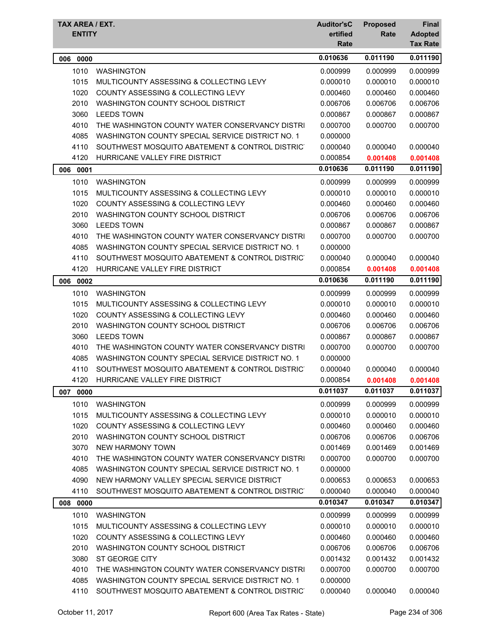| TAX AREA / EXT.<br><b>ENTITY</b> |                                                  | <b>Auditor'sC</b><br>ertified<br>Rate | <b>Proposed</b><br>Rate | <b>Final</b><br><b>Adopted</b><br><b>Tax Rate</b> |
|----------------------------------|--------------------------------------------------|---------------------------------------|-------------------------|---------------------------------------------------|
| 0000<br>006                      |                                                  | 0.010636                              | 0.011190                | 0.011190                                          |
| 1010                             | <b>WASHINGTON</b>                                | 0.000999                              | 0.000999                | 0.000999                                          |
| 1015                             | MULTICOUNTY ASSESSING & COLLECTING LEVY          | 0.000010                              | 0.000010                | 0.000010                                          |
| 1020                             | <b>COUNTY ASSESSING &amp; COLLECTING LEVY</b>    | 0.000460                              | 0.000460                | 0.000460                                          |
| 2010                             | WASHINGTON COUNTY SCHOOL DISTRICT                | 0.006706                              | 0.006706                | 0.006706                                          |
| 3060                             | <b>LEEDS TOWN</b>                                | 0.000867                              | 0.000867                | 0.000867                                          |
| 4010                             | THE WASHINGTON COUNTY WATER CONSERVANCY DISTRI   | 0.000700                              | 0.000700                | 0.000700                                          |
| 4085                             | WASHINGTON COUNTY SPECIAL SERVICE DISTRICT NO. 1 | 0.000000                              |                         |                                                   |
| 4110                             | SOUTHWEST MOSQUITO ABATEMENT & CONTROL DISTRICT  | 0.000040                              | 0.000040                | 0.000040                                          |
| 4120                             | HURRICANE VALLEY FIRE DISTRICT                   | 0.000854                              | 0.001408                | 0.001408                                          |
| 0001<br>006                      |                                                  | 0.010636                              | 0.011190                | 0.011190                                          |
| 1010                             | <b>WASHINGTON</b>                                | 0.000999                              | 0.000999                | 0.000999                                          |
| 1015                             | MULTICOUNTY ASSESSING & COLLECTING LEVY          | 0.000010                              | 0.000010                | 0.000010                                          |
| 1020                             | COUNTY ASSESSING & COLLECTING LEVY               | 0.000460                              | 0.000460                | 0.000460                                          |
| 2010                             | WASHINGTON COUNTY SCHOOL DISTRICT                | 0.006706                              | 0.006706                | 0.006706                                          |
| 3060                             | <b>LEEDS TOWN</b>                                | 0.000867                              | 0.000867                | 0.000867                                          |
| 4010                             | THE WASHINGTON COUNTY WATER CONSERVANCY DISTRI   | 0.000700                              | 0.000700                | 0.000700                                          |
| 4085                             | WASHINGTON COUNTY SPECIAL SERVICE DISTRICT NO. 1 | 0.000000                              |                         |                                                   |
| 4110                             | SOUTHWEST MOSQUITO ABATEMENT & CONTROL DISTRICT  | 0.000040                              | 0.000040                | 0.000040                                          |
| 4120                             | HURRICANE VALLEY FIRE DISTRICT                   | 0.000854                              | 0.001408                | 0.001408                                          |
| 006<br>0002                      |                                                  | 0.010636                              | 0.011190                | 0.011190                                          |
| 1010                             | <b>WASHINGTON</b>                                | 0.000999                              | 0.000999                | 0.000999                                          |
| 1015                             | MULTICOUNTY ASSESSING & COLLECTING LEVY          | 0.000010                              | 0.000010                | 0.000010                                          |
| 1020                             | COUNTY ASSESSING & COLLECTING LEVY               | 0.000460                              | 0.000460                | 0.000460                                          |
| 2010                             | WASHINGTON COUNTY SCHOOL DISTRICT                | 0.006706                              | 0.006706                | 0.006706                                          |
| 3060                             | <b>LEEDS TOWN</b>                                | 0.000867                              | 0.000867                | 0.000867                                          |
| 4010                             | THE WASHINGTON COUNTY WATER CONSERVANCY DISTRI   | 0.000700                              | 0.000700                | 0.000700                                          |
| 4085                             | WASHINGTON COUNTY SPECIAL SERVICE DISTRICT NO. 1 | 0.000000                              |                         |                                                   |
| 4110                             | SOUTHWEST MOSQUITO ABATEMENT & CONTROL DISTRICT  | 0.000040                              | 0.000040                | 0.000040                                          |
| 4120                             | HURRICANE VALLEY FIRE DISTRICT                   | 0.000854                              | 0.001408                | 0.001408                                          |
| 007<br>0000                      |                                                  | 0.011037                              | 0.011037                | 0.011037                                          |
| 1010                             | <b>WASHINGTON</b>                                | 0.000999                              | 0.000999                | 0.000999                                          |
| 1015                             | MULTICOUNTY ASSESSING & COLLECTING LEVY          | 0.000010                              | 0.000010                | 0.000010                                          |
| 1020                             | <b>COUNTY ASSESSING &amp; COLLECTING LEVY</b>    | 0.000460                              | 0.000460                | 0.000460                                          |
| 2010                             | WASHINGTON COUNTY SCHOOL DISTRICT                | 0.006706                              | 0.006706                | 0.006706                                          |
| 3070                             | <b>NEW HARMONY TOWN</b>                          | 0.001469                              | 0.001469                | 0.001469                                          |
| 4010                             | THE WASHINGTON COUNTY WATER CONSERVANCY DISTRI   | 0.000700                              | 0.000700                | 0.000700                                          |
| 4085                             | WASHINGTON COUNTY SPECIAL SERVICE DISTRICT NO. 1 | 0.000000                              |                         |                                                   |
| 4090                             | NEW HARMONY VALLEY SPECIAL SERVICE DISTRICT      | 0.000653                              | 0.000653                | 0.000653                                          |
| 4110                             | SOUTHWEST MOSQUITO ABATEMENT & CONTROL DISTRICT  | 0.000040                              | 0.000040                | 0.000040                                          |
| 008 0000                         |                                                  | 0.010347                              | 0.010347                | 0.010347                                          |
| 1010                             | <b>WASHINGTON</b>                                | 0.000999                              | 0.000999                | 0.000999                                          |
| 1015                             | MULTICOUNTY ASSESSING & COLLECTING LEVY          | 0.000010                              | 0.000010                | 0.000010                                          |
| 1020                             | <b>COUNTY ASSESSING &amp; COLLECTING LEVY</b>    | 0.000460                              | 0.000460                | 0.000460                                          |
| 2010                             | WASHINGTON COUNTY SCHOOL DISTRICT                | 0.006706                              | 0.006706                | 0.006706                                          |
| 3080                             | ST GEORGE CITY                                   | 0.001432                              | 0.001432                | 0.001432                                          |
| 4010                             | THE WASHINGTON COUNTY WATER CONSERVANCY DISTRI   | 0.000700                              | 0.000700                | 0.000700                                          |
| 4085                             | WASHINGTON COUNTY SPECIAL SERVICE DISTRICT NO. 1 | 0.000000                              |                         |                                                   |
| 4110                             | SOUTHWEST MOSQUITO ABATEMENT & CONTROL DISTRICT  | 0.000040                              | 0.000040                | 0.000040                                          |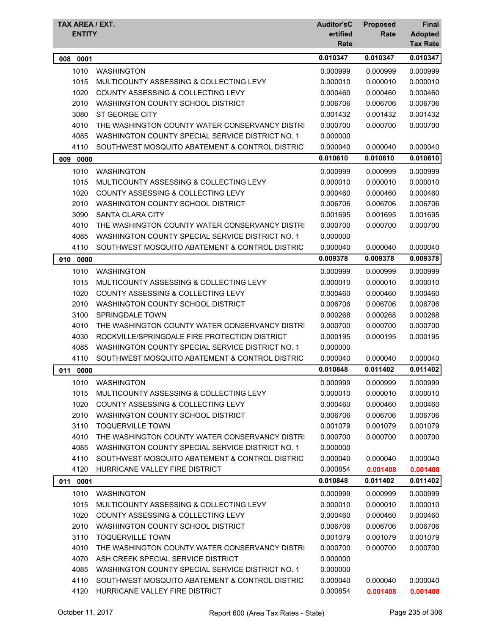| TAX AREA / EXT.<br><b>ENTITY</b> |                                                  | <b>Auditor'sC</b><br>ertified<br>Rate | <b>Proposed</b><br>Rate | <b>Final</b><br><b>Adopted</b><br><b>Tax Rate</b> |
|----------------------------------|--------------------------------------------------|---------------------------------------|-------------------------|---------------------------------------------------|
| 008 0001                         |                                                  | 0.010347                              | 0.010347                | 0.010347                                          |
| 1010                             | <b>WASHINGTON</b>                                | 0.000999                              | 0.000999                | 0.000999                                          |
| 1015                             | MULTICOUNTY ASSESSING & COLLECTING LEVY          | 0.000010                              | 0.000010                | 0.000010                                          |
| 1020                             | COUNTY ASSESSING & COLLECTING LEVY               | 0.000460                              | 0.000460                | 0.000460                                          |
| 2010                             | WASHINGTON COUNTY SCHOOL DISTRICT                | 0.006706                              | 0.006706                | 0.006706                                          |
| 3080                             | ST GEORGE CITY                                   | 0.001432                              | 0.001432                | 0.001432                                          |
| 4010                             | THE WASHINGTON COUNTY WATER CONSERVANCY DISTRI   | 0.000700                              | 0.000700                | 0.000700                                          |
| 4085                             | WASHINGTON COUNTY SPECIAL SERVICE DISTRICT NO. 1 | 0.000000                              |                         |                                                   |
| 4110                             | SOUTHWEST MOSQUITO ABATEMENT & CONTROL DISTRICT  | 0.000040                              | 0.000040                | 0.000040                                          |
| 0000<br>009                      |                                                  | 0.010610                              | 0.010610                | 0.010610                                          |
| 1010                             | <b>WASHINGTON</b>                                | 0.000999                              | 0.000999                | 0.000999                                          |
| 1015                             | MULTICOUNTY ASSESSING & COLLECTING LEVY          | 0.000010                              | 0.000010                | 0.000010                                          |
| 1020                             | COUNTY ASSESSING & COLLECTING LEVY               | 0.000460                              | 0.000460                | 0.000460                                          |
| 2010                             | WASHINGTON COUNTY SCHOOL DISTRICT                | 0.006706                              | 0.006706                | 0.006706                                          |
| 3090                             | <b>SANTA CLARA CITY</b>                          | 0.001695                              | 0.001695                | 0.001695                                          |
| 4010                             | THE WASHINGTON COUNTY WATER CONSERVANCY DISTRI   | 0.000700                              | 0.000700                | 0.000700                                          |
| 4085                             | WASHINGTON COUNTY SPECIAL SERVICE DISTRICT NO. 1 | 0.000000                              |                         |                                                   |
| 4110                             | SOUTHWEST MOSQUITO ABATEMENT & CONTROL DISTRICT  | 0.000040                              | 0.000040                | 0.000040                                          |
| 010<br>0000                      |                                                  | 0.009378                              | 0.009378                | 0.009378                                          |
| 1010                             | <b>WASHINGTON</b>                                | 0.000999                              | 0.000999                | 0.000999                                          |
| 1015                             | MULTICOUNTY ASSESSING & COLLECTING LEVY          | 0.000010                              | 0.000010                | 0.000010                                          |
| 1020                             | COUNTY ASSESSING & COLLECTING LEVY               | 0.000460                              | 0.000460                | 0.000460                                          |
| 2010                             | WASHINGTON COUNTY SCHOOL DISTRICT                | 0.006706                              | 0.006706                | 0.006706                                          |
| 3100                             | SPRINGDALE TOWN                                  | 0.000268                              | 0.000268                | 0.000268                                          |
| 4010                             | THE WASHINGTON COUNTY WATER CONSERVANCY DISTRI   | 0.000700                              | 0.000700                | 0.000700                                          |
| 4030                             | ROCKVILLE/SPRINGDALE FIRE PROTECTION DISTRICT    | 0.000195                              | 0.000195                | 0.000195                                          |
| 4085                             | WASHINGTON COUNTY SPECIAL SERVICE DISTRICT NO. 1 | 0.000000                              |                         |                                                   |
| 4110                             | SOUTHWEST MOSQUITO ABATEMENT & CONTROL DISTRICT  | 0.000040                              | 0.000040                | 0.000040                                          |
| 011 0000                         |                                                  | 0.010848                              | 0.011402                | 0.011402                                          |
| 1010                             | <b>WASHINGTON</b>                                | 0.000999                              | 0.000999                | 0.000999                                          |
| 1015                             | MULTICOUNTY ASSESSING & COLLECTING LEVY          | 0.000010                              | 0.000010                | 0.000010                                          |
| 1020                             | COUNTY ASSESSING & COLLECTING LEVY               | 0.000460                              | 0.000460                | 0.000460                                          |
| 2010                             | WASHINGTON COUNTY SCHOOL DISTRICT                | 0.006706                              | 0.006706                | 0.006706                                          |
| 3110                             | <b>TOQUERVILLE TOWN</b>                          | 0.001079                              | 0.001079                | 0.001079                                          |
| 4010                             | THE WASHINGTON COUNTY WATER CONSERVANCY DISTRI   | 0.000700                              | 0.000700                | 0.000700                                          |
| 4085                             | WASHINGTON COUNTY SPECIAL SERVICE DISTRICT NO. 1 | 0.000000                              |                         |                                                   |
| 4110                             | SOUTHWEST MOSQUITO ABATEMENT & CONTROL DISTRICT  | 0.000040                              | 0.000040                | 0.000040                                          |
| 4120                             | HURRICANE VALLEY FIRE DISTRICT                   | 0.000854                              | 0.001408                | 0.001408                                          |
| 011<br>0001                      |                                                  | 0.010848                              | 0.011402                | 0.011402                                          |
| 1010                             | <b>WASHINGTON</b>                                | 0.000999                              | 0.000999                | 0.000999                                          |
| 1015                             | MULTICOUNTY ASSESSING & COLLECTING LEVY          | 0.000010                              | 0.000010                | 0.000010                                          |
| 1020                             | COUNTY ASSESSING & COLLECTING LEVY               | 0.000460                              | 0.000460                | 0.000460                                          |
| 2010                             | WASHINGTON COUNTY SCHOOL DISTRICT                | 0.006706                              | 0.006706                | 0.006706                                          |
| 3110                             | <b>TOQUERVILLE TOWN</b>                          | 0.001079                              | 0.001079                | 0.001079                                          |
| 4010                             | THE WASHINGTON COUNTY WATER CONSERVANCY DISTRI   | 0.000700                              | 0.000700                | 0.000700                                          |
| 4070                             | ASH CREEK SPECIAL SERVICE DISTRICT               | 0.000000                              |                         |                                                   |
| 4085                             | WASHINGTON COUNTY SPECIAL SERVICE DISTRICT NO. 1 | 0.000000                              |                         |                                                   |
| 4110                             | SOUTHWEST MOSQUITO ABATEMENT & CONTROL DISTRICT  | 0.000040                              | 0.000040                | 0.000040                                          |
| 4120                             | HURRICANE VALLEY FIRE DISTRICT                   | 0.000854                              | 0.001408                | 0.001408                                          |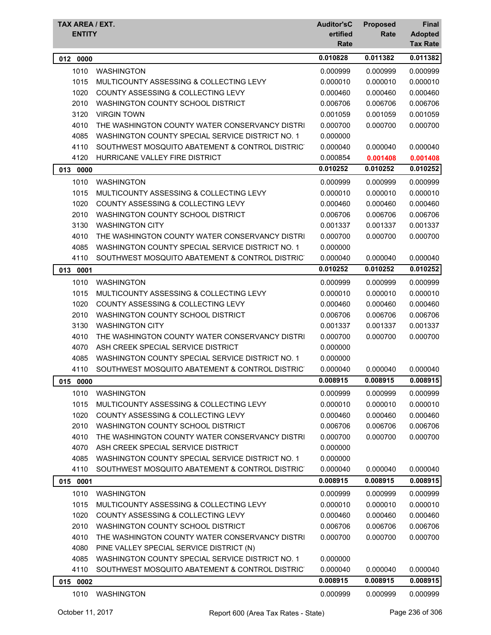| TAX AREA / EXT.<br><b>ENTITY</b> |                                                  | <b>Auditor'sC</b><br>ertified<br>Rate | <b>Proposed</b><br>Rate | <b>Final</b><br><b>Adopted</b><br><b>Tax Rate</b> |
|----------------------------------|--------------------------------------------------|---------------------------------------|-------------------------|---------------------------------------------------|
| 012<br>0000                      |                                                  | 0.010828                              | 0.011382                | 0.011382                                          |
| 1010                             | <b>WASHINGTON</b>                                | 0.000999                              | 0.000999                | 0.000999                                          |
| 1015                             | MULTICOUNTY ASSESSING & COLLECTING LEVY          | 0.000010                              | 0.000010                | 0.000010                                          |
| 1020                             | <b>COUNTY ASSESSING &amp; COLLECTING LEVY</b>    | 0.000460                              | 0.000460                | 0.000460                                          |
| 2010                             | WASHINGTON COUNTY SCHOOL DISTRICT                | 0.006706                              | 0.006706                | 0.006706                                          |
| 3120                             | <b>VIRGIN TOWN</b>                               | 0.001059                              | 0.001059                | 0.001059                                          |
| 4010                             | THE WASHINGTON COUNTY WATER CONSERVANCY DISTRI   | 0.000700                              | 0.000700                | 0.000700                                          |
| 4085                             | WASHINGTON COUNTY SPECIAL SERVICE DISTRICT NO. 1 | 0.000000                              |                         |                                                   |
| 4110                             | SOUTHWEST MOSQUITO ABATEMENT & CONTROL DISTRICT  | 0.000040                              | 0.000040                | 0.000040                                          |
| 4120                             | HURRICANE VALLEY FIRE DISTRICT                   | 0.000854                              | 0.001408                | 0.001408                                          |
| 013<br>0000                      |                                                  | 0.010252                              | 0.010252                | 0.010252                                          |
| 1010                             | <b>WASHINGTON</b>                                | 0.000999                              | 0.000999                | 0.000999                                          |
| 1015                             | MULTICOUNTY ASSESSING & COLLECTING LEVY          | 0.000010                              | 0.000010                | 0.000010                                          |
| 1020                             | COUNTY ASSESSING & COLLECTING LEVY               | 0.000460                              | 0.000460                | 0.000460                                          |
| 2010                             | WASHINGTON COUNTY SCHOOL DISTRICT                | 0.006706                              | 0.006706                | 0.006706                                          |
| 3130                             | <b>WASHINGTON CITY</b>                           | 0.001337                              | 0.001337                | 0.001337                                          |
| 4010                             | THE WASHINGTON COUNTY WATER CONSERVANCY DISTRI   | 0.000700                              | 0.000700                | 0.000700                                          |
| 4085                             | WASHINGTON COUNTY SPECIAL SERVICE DISTRICT NO. 1 | 0.000000                              |                         |                                                   |
| 4110                             | SOUTHWEST MOSQUITO ABATEMENT & CONTROL DISTRICT  | 0.000040                              | 0.000040                | 0.000040                                          |
| 013<br>0001                      |                                                  | 0.010252                              | 0.010252                | 0.010252                                          |
| 1010                             | <b>WASHINGTON</b>                                | 0.000999                              | 0.000999                | 0.000999                                          |
| 1015                             | MULTICOUNTY ASSESSING & COLLECTING LEVY          | 0.000010                              | 0.000010                | 0.000010                                          |
| 1020                             | COUNTY ASSESSING & COLLECTING LEVY               | 0.000460                              | 0.000460                | 0.000460                                          |
| 2010                             | WASHINGTON COUNTY SCHOOL DISTRICT                | 0.006706                              | 0.006706                | 0.006706                                          |
| 3130                             | <b>WASHINGTON CITY</b>                           | 0.001337                              | 0.001337                | 0.001337                                          |
| 4010                             | THE WASHINGTON COUNTY WATER CONSERVANCY DISTRI   | 0.000700                              | 0.000700                | 0.000700                                          |
| 4070                             | ASH CREEK SPECIAL SERVICE DISTRICT               | 0.000000                              |                         |                                                   |
| 4085                             | WASHINGTON COUNTY SPECIAL SERVICE DISTRICT NO. 1 | 0.000000                              |                         |                                                   |
| 4110                             | SOUTHWEST MOSQUITO ABATEMENT & CONTROL DISTRICT  | 0.000040                              | 0.000040                | 0.000040                                          |
| 0000<br>015                      |                                                  | 0.008915                              | 0.008915                | 0.008915                                          |
| 1010                             | <b>WASHINGTON</b>                                | 0.000999                              | 0.000999                | 0.000999                                          |
| 1015                             | MULTICOUNTY ASSESSING & COLLECTING LEVY          | 0.000010                              | 0.000010                | 0.000010                                          |
| 1020                             | <b>COUNTY ASSESSING &amp; COLLECTING LEVY</b>    | 0.000460                              | 0.000460                | 0.000460                                          |
| 2010                             | WASHINGTON COUNTY SCHOOL DISTRICT                | 0.006706                              | 0.006706                | 0.006706                                          |
| 4010                             | THE WASHINGTON COUNTY WATER CONSERVANCY DISTRI   | 0.000700                              | 0.000700                | 0.000700                                          |
| 4070                             | ASH CREEK SPECIAL SERVICE DISTRICT               | 0.000000                              |                         |                                                   |
| 4085                             | WASHINGTON COUNTY SPECIAL SERVICE DISTRICT NO. 1 | 0.000000                              |                         |                                                   |
| 4110                             | SOUTHWEST MOSQUITO ABATEMENT & CONTROL DISTRICT  | 0.000040                              | 0.000040                | 0.000040                                          |
| 015 0001                         |                                                  | 0.008915                              | 0.008915                | 0.008915                                          |
| 1010                             | <b>WASHINGTON</b>                                | 0.000999                              | 0.000999                | 0.000999                                          |
| 1015                             | MULTICOUNTY ASSESSING & COLLECTING LEVY          | 0.000010                              | 0.000010                | 0.000010                                          |
| 1020                             | COUNTY ASSESSING & COLLECTING LEVY               | 0.000460                              | 0.000460                | 0.000460                                          |
| 2010                             | WASHINGTON COUNTY SCHOOL DISTRICT                | 0.006706                              | 0.006706                | 0.006706                                          |
| 4010                             | THE WASHINGTON COUNTY WATER CONSERVANCY DISTRI   | 0.000700                              | 0.000700                | 0.000700                                          |
| 4080                             | PINE VALLEY SPECIAL SERVICE DISTRICT (N)         |                                       |                         |                                                   |
| 4085                             | WASHINGTON COUNTY SPECIAL SERVICE DISTRICT NO. 1 | 0.000000                              |                         |                                                   |
| 4110                             | SOUTHWEST MOSQUITO ABATEMENT & CONTROL DISTRICT  | 0.000040                              | 0.000040                | 0.000040                                          |
| 015 0002                         |                                                  | 0.008915                              | 0.008915                | 0.008915                                          |
| 1010                             | <b>WASHINGTON</b>                                | 0.000999                              | 0.000999                | 0.000999                                          |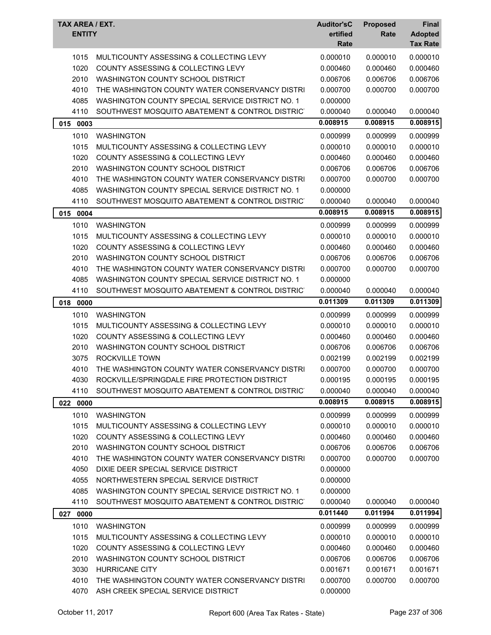| TAX AREA / EXT.<br><b>ENTITY</b> |                                                                  | <b>Auditor'sC</b><br>ertified<br>Rate | <b>Proposed</b><br>Rate | <b>Final</b><br><b>Adopted</b><br><b>Tax Rate</b> |
|----------------------------------|------------------------------------------------------------------|---------------------------------------|-------------------------|---------------------------------------------------|
| 1015                             | MULTICOUNTY ASSESSING & COLLECTING LEVY                          | 0.000010                              | 0.000010                | 0.000010                                          |
| 1020                             | COUNTY ASSESSING & COLLECTING LEVY                               | 0.000460                              | 0.000460                | 0.000460                                          |
| 2010                             | WASHINGTON COUNTY SCHOOL DISTRICT                                | 0.006706                              | 0.006706                | 0.006706                                          |
| 4010                             | THE WASHINGTON COUNTY WATER CONSERVANCY DISTRI                   | 0.000700                              | 0.000700                | 0.000700                                          |
| 4085                             | WASHINGTON COUNTY SPECIAL SERVICE DISTRICT NO. 1                 | 0.000000                              |                         |                                                   |
| 4110                             | SOUTHWEST MOSQUITO ABATEMENT & CONTROL DISTRICT                  | 0.000040                              | 0.000040                | 0.000040                                          |
| 015 0003                         |                                                                  | 0.008915                              | 0.008915                | 0.008915                                          |
| 1010                             | <b>WASHINGTON</b>                                                | 0.000999                              | 0.000999                | 0.000999                                          |
| 1015                             | MULTICOUNTY ASSESSING & COLLECTING LEVY                          | 0.000010                              | 0.000010                | 0.000010                                          |
| 1020                             | COUNTY ASSESSING & COLLECTING LEVY                               | 0.000460                              | 0.000460                | 0.000460                                          |
| 2010                             | WASHINGTON COUNTY SCHOOL DISTRICT                                | 0.006706                              | 0.006706                | 0.006706                                          |
| 4010                             | THE WASHINGTON COUNTY WATER CONSERVANCY DISTRI                   | 0.000700                              | 0.000700                | 0.000700                                          |
| 4085                             | WASHINGTON COUNTY SPECIAL SERVICE DISTRICT NO. 1                 | 0.000000                              |                         |                                                   |
| 4110                             | SOUTHWEST MOSQUITO ABATEMENT & CONTROL DISTRICT                  | 0.000040                              | 0.000040                | 0.000040                                          |
| 015<br>0004                      |                                                                  | 0.008915                              | 0.008915                | 0.008915                                          |
|                                  | <b>WASHINGTON</b>                                                | 0.000999                              |                         |                                                   |
| 1010                             | MULTICOUNTY ASSESSING & COLLECTING LEVY                          |                                       | 0.000999                | 0.000999                                          |
| 1015<br>1020                     | <b>COUNTY ASSESSING &amp; COLLECTING LEVY</b>                    | 0.000010                              | 0.000010                | 0.000010                                          |
| 2010                             | WASHINGTON COUNTY SCHOOL DISTRICT                                | 0.000460<br>0.006706                  | 0.000460<br>0.006706    | 0.000460<br>0.006706                              |
| 4010                             | THE WASHINGTON COUNTY WATER CONSERVANCY DISTRI                   | 0.000700                              | 0.000700                | 0.000700                                          |
| 4085                             | WASHINGTON COUNTY SPECIAL SERVICE DISTRICT NO. 1                 | 0.000000                              |                         |                                                   |
| 4110                             | SOUTHWEST MOSQUITO ABATEMENT & CONTROL DISTRICT                  | 0.000040                              | 0.000040                | 0.000040                                          |
|                                  |                                                                  | 0.011309                              | 0.011309                | 0.011309                                          |
| 018<br>0000                      |                                                                  |                                       |                         |                                                   |
| 1010                             | <b>WASHINGTON</b>                                                | 0.000999                              | 0.000999                | 0.000999                                          |
| 1015                             | MULTICOUNTY ASSESSING & COLLECTING LEVY                          | 0.000010                              | 0.000010                | 0.000010                                          |
| 1020                             | COUNTY ASSESSING & COLLECTING LEVY                               | 0.000460                              | 0.000460                | 0.000460                                          |
| 2010                             | WASHINGTON COUNTY SCHOOL DISTRICT                                | 0.006706                              | 0.006706                | 0.006706                                          |
| 3075                             | ROCKVILLE TOWN<br>THE WASHINGTON COUNTY WATER CONSERVANCY DISTRI | 0.002199                              | 0.002199                | 0.002199<br>0.000700                              |
| 4010<br>4030                     | ROCKVILLE/SPRINGDALE FIRE PROTECTION DISTRICT                    | 0.000700<br>0.000195                  | 0.000700<br>0.000195    | 0.000195                                          |
| 4110                             | SOUTHWEST MOSQUITO ABATEMENT & CONTROL DISTRIC                   | 0.000040                              | 0.000040                | 0.000040                                          |
|                                  |                                                                  | 0.008915                              | 0.008915                | 0.008915                                          |
| 022 0000                         |                                                                  |                                       |                         |                                                   |
| 1010                             | <b>WASHINGTON</b>                                                | 0.000999                              | 0.000999                | 0.000999                                          |
| 1015                             | MULTICOUNTY ASSESSING & COLLECTING LEVY                          | 0.000010                              | 0.000010                | 0.000010                                          |
| 1020                             | COUNTY ASSESSING & COLLECTING LEVY                               | 0.000460                              | 0.000460                | 0.000460                                          |
| 2010                             | WASHINGTON COUNTY SCHOOL DISTRICT                                | 0.006706                              | 0.006706                | 0.006706                                          |
| 4010                             | THE WASHINGTON COUNTY WATER CONSERVANCY DISTRI                   | 0.000700                              | 0.000700                | 0.000700                                          |
| 4050                             | DIXIE DEER SPECIAL SERVICE DISTRICT                              | 0.000000                              |                         |                                                   |
| 4055                             | NORTHWESTERN SPECIAL SERVICE DISTRICT                            | 0.000000                              |                         |                                                   |
| 4085                             | WASHINGTON COUNTY SPECIAL SERVICE DISTRICT NO. 1                 | 0.000000                              |                         |                                                   |
| 4110                             | SOUTHWEST MOSQUITO ABATEMENT & CONTROL DISTRIC                   | 0.000040                              | 0.000040                | 0.000040                                          |
| 027<br>0000                      |                                                                  | 0.011440                              | 0.011994                | 0.011994                                          |
| 1010                             | <b>WASHINGTON</b>                                                | 0.000999                              | 0.000999                | 0.000999                                          |
| 1015                             | MULTICOUNTY ASSESSING & COLLECTING LEVY                          | 0.000010                              | 0.000010                | 0.000010                                          |
| 1020                             | COUNTY ASSESSING & COLLECTING LEVY                               | 0.000460                              | 0.000460                | 0.000460                                          |
| 2010                             | WASHINGTON COUNTY SCHOOL DISTRICT                                | 0.006706                              | 0.006706                | 0.006706                                          |
| 3030                             | HURRICANE CITY                                                   | 0.001671                              | 0.001671                | 0.001671                                          |
| 4010                             | THE WASHINGTON COUNTY WATER CONSERVANCY DISTRI                   | 0.000700                              | 0.000700                | 0.000700                                          |
| 4070                             | ASH CREEK SPECIAL SERVICE DISTRICT                               | 0.000000                              |                         |                                                   |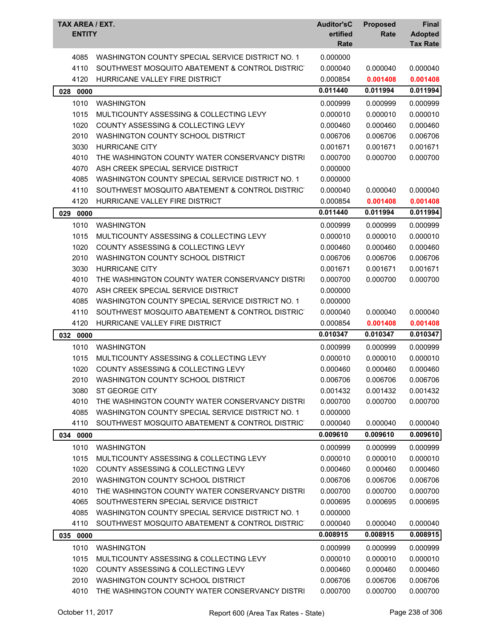| TAX AREA / EXT.<br><b>ENTITY</b> |                                                  | <b>Auditor'sC</b><br>ertified | <b>Proposed</b><br>Rate | Final<br><b>Adopted</b> |
|----------------------------------|--------------------------------------------------|-------------------------------|-------------------------|-------------------------|
|                                  |                                                  | Rate                          |                         | <b>Tax Rate</b>         |
| 4085                             | WASHINGTON COUNTY SPECIAL SERVICE DISTRICT NO. 1 | 0.000000                      |                         |                         |
| 4110                             | SOUTHWEST MOSQUITO ABATEMENT & CONTROL DISTRICT  | 0.000040                      | 0.000040                | 0.000040                |
| 4120                             | HURRICANE VALLEY FIRE DISTRICT                   | 0.000854                      | 0.001408                | 0.001408                |
| 028 0000                         |                                                  | 0.011440                      | 0.011994                | 0.011994                |
| 1010                             | <b>WASHINGTON</b>                                | 0.000999                      | 0.000999                | 0.000999                |
| 1015                             | MULTICOUNTY ASSESSING & COLLECTING LEVY          | 0.000010                      | 0.000010                | 0.000010                |
| 1020                             | COUNTY ASSESSING & COLLECTING LEVY               | 0.000460                      | 0.000460                | 0.000460                |
| 2010                             | WASHINGTON COUNTY SCHOOL DISTRICT                | 0.006706                      | 0.006706                | 0.006706                |
| 3030                             | <b>HURRICANE CITY</b>                            | 0.001671                      | 0.001671                | 0.001671                |
| 4010                             | THE WASHINGTON COUNTY WATER CONSERVANCY DISTRI   | 0.000700                      | 0.000700                | 0.000700                |
| 4070                             | ASH CREEK SPECIAL SERVICE DISTRICT               | 0.000000                      |                         |                         |
| 4085                             | WASHINGTON COUNTY SPECIAL SERVICE DISTRICT NO. 1 | 0.000000                      |                         |                         |
| 4110                             | SOUTHWEST MOSQUITO ABATEMENT & CONTROL DISTRICT  | 0.000040                      | 0.000040                | 0.000040                |
| 4120                             | HURRICANE VALLEY FIRE DISTRICT                   | 0.000854                      | 0.001408                | 0.001408                |
| 029<br>0000                      |                                                  | 0.011440                      | 0.011994                | 0.011994                |
| 1010                             | <b>WASHINGTON</b>                                | 0.000999                      | 0.000999                | 0.000999                |
| 1015                             | MULTICOUNTY ASSESSING & COLLECTING LEVY          | 0.000010                      | 0.000010                | 0.000010                |
| 1020                             | <b>COUNTY ASSESSING &amp; COLLECTING LEVY</b>    | 0.000460                      | 0.000460                | 0.000460                |
| 2010                             | WASHINGTON COUNTY SCHOOL DISTRICT                | 0.006706                      | 0.006706                | 0.006706                |
| 3030                             | <b>HURRICANE CITY</b>                            | 0.001671                      | 0.001671                | 0.001671                |
| 4010                             | THE WASHINGTON COUNTY WATER CONSERVANCY DISTRI   | 0.000700                      | 0.000700                | 0.000700                |
| 4070                             | ASH CREEK SPECIAL SERVICE DISTRICT               | 0.000000                      |                         |                         |
| 4085                             | WASHINGTON COUNTY SPECIAL SERVICE DISTRICT NO. 1 | 0.000000                      |                         |                         |
| 4110                             | SOUTHWEST MOSQUITO ABATEMENT & CONTROL DISTRICT  | 0.000040                      | 0.000040                | 0.000040                |
| 4120                             | HURRICANE VALLEY FIRE DISTRICT                   | 0.000854                      | 0.001408                | 0.001408                |
| 032 0000                         |                                                  | 0.010347                      | 0.010347                | 0.010347                |
| 1010                             | <b>WASHINGTON</b>                                | 0.000999                      | 0.000999                | 0.000999                |
| 1015                             | MULTICOUNTY ASSESSING & COLLECTING LEVY          | 0.000010                      | 0.000010                | 0.000010                |
| 1020                             | COUNTY ASSESSING & COLLECTING LEVY               | 0.000460                      | 0.000460                | 0.000460                |
| 2010                             | WASHINGTON COUNTY SCHOOL DISTRICT                | 0.006706                      | 0.006706                | 0.006706                |
| 3080                             | ST GEORGE CITY                                   | 0.001432                      | 0.001432                | 0.001432                |
| 4010                             | THE WASHINGTON COUNTY WATER CONSERVANCY DISTRI   | 0.000700                      | 0.000700                | 0.000700                |
| 4085                             | WASHINGTON COUNTY SPECIAL SERVICE DISTRICT NO. 1 | 0.000000                      |                         |                         |
| 4110                             | SOUTHWEST MOSQUITO ABATEMENT & CONTROL DISTRICT  | 0.000040                      | 0.000040                | 0.000040                |
| 034 0000                         |                                                  | 0.009610                      | 0.009610                | 0.009610                |
| 1010                             | <b>WASHINGTON</b>                                | 0.000999                      | 0.000999                | 0.000999                |
| 1015                             | MULTICOUNTY ASSESSING & COLLECTING LEVY          | 0.000010                      | 0.000010                | 0.000010                |
| 1020                             | COUNTY ASSESSING & COLLECTING LEVY               | 0.000460                      | 0.000460                | 0.000460                |
| 2010                             | WASHINGTON COUNTY SCHOOL DISTRICT                | 0.006706                      | 0.006706                | 0.006706                |
| 4010                             | THE WASHINGTON COUNTY WATER CONSERVANCY DISTRI   | 0.000700                      | 0.000700                | 0.000700                |
| 4065                             | SOUTHWESTERN SPECIAL SERVICE DISTRICT            | 0.000695                      | 0.000695                | 0.000695                |
| 4085                             | WASHINGTON COUNTY SPECIAL SERVICE DISTRICT NO. 1 | 0.000000                      |                         |                         |
| 4110                             | SOUTHWEST MOSQUITO ABATEMENT & CONTROL DISTRICT  | 0.000040                      | 0.000040                | 0.000040                |
| 0000<br>035                      |                                                  | 0.008915                      | 0.008915                | 0.008915                |
| 1010                             | <b>WASHINGTON</b>                                | 0.000999                      | 0.000999                | 0.000999                |
| 1015                             | MULTICOUNTY ASSESSING & COLLECTING LEVY          | 0.000010                      | 0.000010                | 0.000010                |
| 1020                             | <b>COUNTY ASSESSING &amp; COLLECTING LEVY</b>    | 0.000460                      | 0.000460                | 0.000460                |
| 2010                             | WASHINGTON COUNTY SCHOOL DISTRICT                | 0.006706                      | 0.006706                | 0.006706                |
| 4010                             | THE WASHINGTON COUNTY WATER CONSERVANCY DISTRI   | 0.000700                      | 0.000700                | 0.000700                |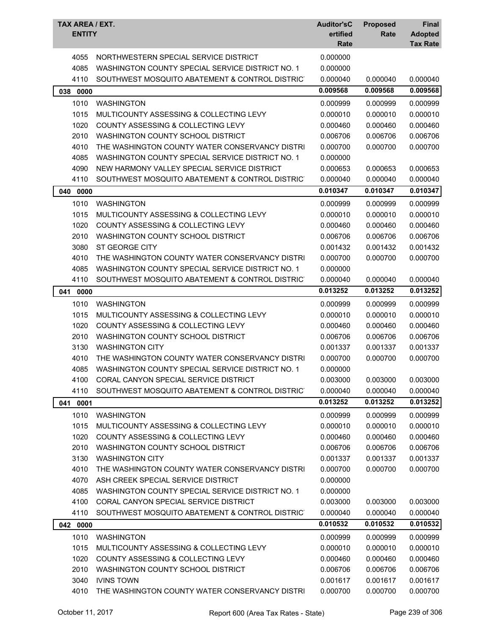| TAX AREA / EXT.<br><b>ENTITY</b> |                                                  | <b>Auditor'sC</b><br>ertified<br>Rate | <b>Proposed</b><br>Rate | <b>Final</b><br><b>Adopted</b><br><b>Tax Rate</b> |
|----------------------------------|--------------------------------------------------|---------------------------------------|-------------------------|---------------------------------------------------|
|                                  |                                                  |                                       |                         |                                                   |
| 4055                             | NORTHWESTERN SPECIAL SERVICE DISTRICT            | 0.000000                              |                         |                                                   |
| 4085                             | WASHINGTON COUNTY SPECIAL SERVICE DISTRICT NO. 1 | 0.000000                              |                         |                                                   |
| 4110                             | SOUTHWEST MOSQUITO ABATEMENT & CONTROL DISTRICT  | 0.000040                              | 0.000040                | 0.000040                                          |
| 038 0000                         |                                                  | 0.009568                              | 0.009568                | 0.009568                                          |
| 1010                             | <b>WASHINGTON</b>                                | 0.000999                              | 0.000999                | 0.000999                                          |
| 1015                             | MULTICOUNTY ASSESSING & COLLECTING LEVY          | 0.000010                              | 0.000010                | 0.000010                                          |
| 1020                             | COUNTY ASSESSING & COLLECTING LEVY               | 0.000460                              | 0.000460                | 0.000460                                          |
| 2010                             | WASHINGTON COUNTY SCHOOL DISTRICT                | 0.006706                              | 0.006706                | 0.006706                                          |
| 4010                             | THE WASHINGTON COUNTY WATER CONSERVANCY DISTRI   | 0.000700                              | 0.000700                | 0.000700                                          |
| 4085                             | WASHINGTON COUNTY SPECIAL SERVICE DISTRICT NO. 1 | 0.000000                              |                         |                                                   |
| 4090                             | NEW HARMONY VALLEY SPECIAL SERVICE DISTRICT      | 0.000653                              | 0.000653                | 0.000653                                          |
| 4110                             | SOUTHWEST MOSQUITO ABATEMENT & CONTROL DISTRICT  | 0.000040                              | 0.000040                | 0.000040                                          |
| 040<br>0000                      |                                                  | 0.010347                              | 0.010347                | 0.010347                                          |
| 1010                             | <b>WASHINGTON</b>                                | 0.000999                              | 0.000999                | 0.000999                                          |
| 1015                             | MULTICOUNTY ASSESSING & COLLECTING LEVY          | 0.000010                              | 0.000010                | 0.000010                                          |
| 1020                             | COUNTY ASSESSING & COLLECTING LEVY               | 0.000460                              | 0.000460                | 0.000460                                          |
| 2010                             | WASHINGTON COUNTY SCHOOL DISTRICT                | 0.006706                              | 0.006706                | 0.006706                                          |
| 3080                             | ST GEORGE CITY                                   | 0.001432                              | 0.001432                | 0.001432                                          |
| 4010                             | THE WASHINGTON COUNTY WATER CONSERVANCY DISTRI   | 0.000700                              | 0.000700                | 0.000700                                          |
| 4085                             | WASHINGTON COUNTY SPECIAL SERVICE DISTRICT NO. 1 | 0.000000                              |                         |                                                   |
| 4110                             | SOUTHWEST MOSQUITO ABATEMENT & CONTROL DISTRICT  | 0.000040                              | 0.000040                | 0.000040                                          |
| 041 0000                         |                                                  | 0.013252                              | 0.013252                | 0.013252                                          |
| 1010                             | <b>WASHINGTON</b>                                | 0.000999                              | 0.000999                | 0.000999                                          |
| 1015                             | MULTICOUNTY ASSESSING & COLLECTING LEVY          | 0.000010                              | 0.000010                | 0.000010                                          |
| 1020                             | COUNTY ASSESSING & COLLECTING LEVY               | 0.000460                              | 0.000460                | 0.000460                                          |
| 2010                             | WASHINGTON COUNTY SCHOOL DISTRICT                | 0.006706                              | 0.006706                | 0.006706                                          |
| 3130                             | <b>WASHINGTON CITY</b>                           | 0.001337                              | 0.001337                | 0.001337                                          |
| 4010                             | THE WASHINGTON COUNTY WATER CONSERVANCY DISTRI   | 0.000700                              | 0.000700                | 0.000700                                          |
| 4085                             | WASHINGTON COUNTY SPECIAL SERVICE DISTRICT NO. 1 | 0.000000                              |                         |                                                   |
| 4100                             | CORAL CANYON SPECIAL SERVICE DISTRICT            | 0.003000                              | 0.003000                | 0.003000                                          |
| 4110                             | SOUTHWEST MOSQUITO ABATEMENT & CONTROL DISTRIC   | 0.000040                              | 0.000040                | 0.000040                                          |
| 041<br>0001                      |                                                  | 0.013252                              | 0.013252                | 0.013252                                          |
| 1010                             | <b>WASHINGTON</b>                                | 0.000999                              | 0.000999                | 0.000999                                          |
| 1015                             | MULTICOUNTY ASSESSING & COLLECTING LEVY          | 0.000010                              | 0.000010                | 0.000010                                          |
| 1020                             | COUNTY ASSESSING & COLLECTING LEVY               | 0.000460                              | 0.000460                | 0.000460                                          |
| 2010                             | WASHINGTON COUNTY SCHOOL DISTRICT                | 0.006706                              | 0.006706                | 0.006706                                          |
| 3130                             | <b>WASHINGTON CITY</b>                           | 0.001337                              | 0.001337                | 0.001337                                          |
| 4010                             | THE WASHINGTON COUNTY WATER CONSERVANCY DISTRI   | 0.000700                              | 0.000700                | 0.000700                                          |
| 4070                             | ASH CREEK SPECIAL SERVICE DISTRICT               | 0.000000                              |                         |                                                   |
| 4085                             | WASHINGTON COUNTY SPECIAL SERVICE DISTRICT NO. 1 | 0.000000                              |                         |                                                   |
| 4100                             | CORAL CANYON SPECIAL SERVICE DISTRICT            | 0.003000                              | 0.003000                | 0.003000                                          |
| 4110                             | SOUTHWEST MOSQUITO ABATEMENT & CONTROL DISTRICT  | 0.000040                              | 0.000040                | 0.000040                                          |
| 042 0000                         |                                                  | 0.010532                              | 0.010532                | 0.010532                                          |
| 1010                             | <b>WASHINGTON</b>                                | 0.000999                              | 0.000999                | 0.000999                                          |
| 1015                             | MULTICOUNTY ASSESSING & COLLECTING LEVY          | 0.000010                              | 0.000010                | 0.000010                                          |
| 1020                             | <b>COUNTY ASSESSING &amp; COLLECTING LEVY</b>    | 0.000460                              | 0.000460                | 0.000460                                          |
| 2010                             | WASHINGTON COUNTY SCHOOL DISTRICT                | 0.006706                              | 0.006706                | 0.006706                                          |
| 3040                             | <b>IVINS TOWN</b>                                | 0.001617                              | 0.001617                | 0.001617                                          |
| 4010                             | THE WASHINGTON COUNTY WATER CONSERVANCY DISTRI   | 0.000700                              | 0.000700                | 0.000700                                          |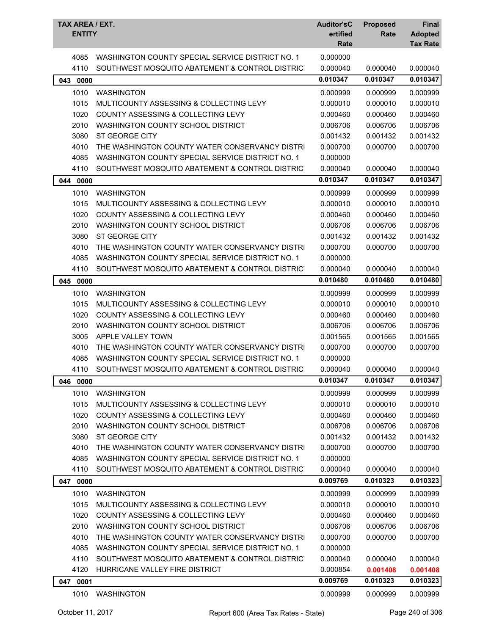| WASHINGTON COUNTY SPECIAL SERVICE DISTRICT NO. 1<br>0.000000<br>4085<br>4110<br>SOUTHWEST MOSQUITO ABATEMENT & CONTROL DISTRICT<br>0.000040<br>0.000040<br>0.000040<br>0.010347<br>0.010347<br>0.010347<br>043<br>0000<br>1010<br><b>WASHINGTON</b><br>0.000999<br>0.000999<br>0.000999<br>1015<br>MULTICOUNTY ASSESSING & COLLECTING LEVY<br>0.000010<br>0.000010<br>0.000010<br>1020<br>COUNTY ASSESSING & COLLECTING LEVY<br>0.000460<br>0.000460<br>0.000460<br>2010<br>WASHINGTON COUNTY SCHOOL DISTRICT<br>0.006706<br>0.006706<br>0.006706<br>3080<br>ST GEORGE CITY<br>0.001432<br>0.001432<br>0.001432<br>4010<br>THE WASHINGTON COUNTY WATER CONSERVANCY DISTRI<br>0.000700<br>0.000700<br>0.000700<br>4085<br>WASHINGTON COUNTY SPECIAL SERVICE DISTRICT NO. 1<br>0.000000<br>4110<br>SOUTHWEST MOSQUITO ABATEMENT & CONTROL DISTRICT<br>0.000040<br>0.000040<br>0.000040<br>0.010347<br>0.010347<br>0.010347<br>0000<br>044<br>1010<br><b>WASHINGTON</b><br>0.000999<br>0.000999<br>0.000999<br>0.000010<br>1015<br>MULTICOUNTY ASSESSING & COLLECTING LEVY<br>0.000010<br>0.000010<br>1020<br>COUNTY ASSESSING & COLLECTING LEVY<br>0.000460<br>0.000460<br>0.000460<br>2010<br>WASHINGTON COUNTY SCHOOL DISTRICT<br>0.006706<br>0.006706<br>0.006706<br>3080<br><b>ST GEORGE CITY</b><br>0.001432<br>0.001432<br>0.001432<br>4010<br>THE WASHINGTON COUNTY WATER CONSERVANCY DISTRI<br>0.000700<br>0.000700<br>0.000700<br>4085<br>WASHINGTON COUNTY SPECIAL SERVICE DISTRICT NO. 1<br>0.000000<br>4110<br>SOUTHWEST MOSQUITO ABATEMENT & CONTROL DISTRICT<br>0.000040<br>0.000040<br>0.000040<br>0.010480<br>0.010480<br>0.010480<br>045<br>0000<br>1010<br><b>WASHINGTON</b><br>0.000999<br>0.000999<br>0.000999<br>1015<br>MULTICOUNTY ASSESSING & COLLECTING LEVY<br>0.000010<br>0.000010<br>0.000010<br>1020<br>COUNTY ASSESSING & COLLECTING LEVY<br>0.000460<br>0.000460<br>0.000460<br>2010<br>WASHINGTON COUNTY SCHOOL DISTRICT<br>0.006706<br>0.006706<br>0.006706<br>3005<br>APPLE VALLEY TOWN<br>0.001565<br>0.001565<br>0.001565<br>4010<br>THE WASHINGTON COUNTY WATER CONSERVANCY DISTRI<br>0.000700<br>0.000700<br>0.000700<br>WASHINGTON COUNTY SPECIAL SERVICE DISTRICT NO. 1<br>4085<br>0.000000<br>4110<br>SOUTHWEST MOSQUITO ABATEMENT & CONTROL DISTRICT<br>0.000040<br>0.000040<br>0.000040<br>0.010347<br>046<br>0000<br>0.010347<br>0.010347<br>1010<br>0.000999<br><b>WASHINGTON</b><br>0.000999<br>0.000999<br>1015<br>0.000010<br>0.000010<br>MULTICOUNTY ASSESSING & COLLECTING LEVY<br>0.000010<br>1020<br><b>COUNTY ASSESSING &amp; COLLECTING LEVY</b><br>0.000460<br>0.000460<br>0.000460<br>2010<br>WASHINGTON COUNTY SCHOOL DISTRICT<br>0.006706<br>0.006706<br>0.006706<br>3080<br>ST GEORGE CITY<br>0.001432<br>0.001432<br>0.001432<br>4010<br>THE WASHINGTON COUNTY WATER CONSERVANCY DISTRI<br>0.000700<br>0.000700<br>0.000700<br>WASHINGTON COUNTY SPECIAL SERVICE DISTRICT NO. 1<br>4085<br>0.000000<br>0.000040<br>4110<br>SOUTHWEST MOSQUITO ABATEMENT & CONTROL DISTRICT<br>0.000040<br>0.000040<br>0.009769<br>0.010323<br>0.010323<br>0000<br>047<br>1010<br>0.000999<br><b>WASHINGTON</b><br>0.000999<br>0.000999<br>1015<br>MULTICOUNTY ASSESSING & COLLECTING LEVY<br>0.000010<br>0.000010<br>0.000010<br><b>COUNTY ASSESSING &amp; COLLECTING LEVY</b><br>0.000460<br>1020<br>0.000460<br>0.000460<br>2010<br>WASHINGTON COUNTY SCHOOL DISTRICT<br>0.006706<br>0.006706<br>0.006706<br>4010<br>THE WASHINGTON COUNTY WATER CONSERVANCY DISTRI<br>0.000700<br>0.000700<br>0.000700<br>4085<br>WASHINGTON COUNTY SPECIAL SERVICE DISTRICT NO. 1<br>0.000000<br>4110<br>SOUTHWEST MOSQUITO ABATEMENT & CONTROL DISTRICT<br>0.000040<br>0.000040<br>0.000040<br>4120<br>HURRICANE VALLEY FIRE DISTRICT<br>0.000854<br>0.001408<br>0.001408<br>0.009769<br>0.010323<br>0.010323<br>0001<br>047<br>1010<br><b>WASHINGTON</b><br>0.000999<br>0.000999<br>0.000999 | TAX AREA / EXT.<br><b>ENTITY</b> | <b>Auditor'sC</b><br>ertified<br>Rate | <b>Proposed</b><br>Rate | <b>Final</b><br><b>Adopted</b><br><b>Tax Rate</b> |
|------------------------------------------------------------------------------------------------------------------------------------------------------------------------------------------------------------------------------------------------------------------------------------------------------------------------------------------------------------------------------------------------------------------------------------------------------------------------------------------------------------------------------------------------------------------------------------------------------------------------------------------------------------------------------------------------------------------------------------------------------------------------------------------------------------------------------------------------------------------------------------------------------------------------------------------------------------------------------------------------------------------------------------------------------------------------------------------------------------------------------------------------------------------------------------------------------------------------------------------------------------------------------------------------------------------------------------------------------------------------------------------------------------------------------------------------------------------------------------------------------------------------------------------------------------------------------------------------------------------------------------------------------------------------------------------------------------------------------------------------------------------------------------------------------------------------------------------------------------------------------------------------------------------------------------------------------------------------------------------------------------------------------------------------------------------------------------------------------------------------------------------------------------------------------------------------------------------------------------------------------------------------------------------------------------------------------------------------------------------------------------------------------------------------------------------------------------------------------------------------------------------------------------------------------------------------------------------------------------------------------------------------------------------------------------------------------------------------------------------------------------------------------------------------------------------------------------------------------------------------------------------------------------------------------------------------------------------------------------------------------------------------------------------------------------------------------------------------------------------------------------------------------------------------------------------------------------------------------------------------------------------------------------------------------------------------------------------------------------------------------------------------------------------------------------------------------------------------------------------------------------------------------------------------------------------------------------------------------------------------------------------------------------------------------------------------------------------------------------------------------------------------------------------------------------------------------------------------------------------------------------------------------------------------------|----------------------------------|---------------------------------------|-------------------------|---------------------------------------------------|
|                                                                                                                                                                                                                                                                                                                                                                                                                                                                                                                                                                                                                                                                                                                                                                                                                                                                                                                                                                                                                                                                                                                                                                                                                                                                                                                                                                                                                                                                                                                                                                                                                                                                                                                                                                                                                                                                                                                                                                                                                                                                                                                                                                                                                                                                                                                                                                                                                                                                                                                                                                                                                                                                                                                                                                                                                                                                                                                                                                                                                                                                                                                                                                                                                                                                                                                                                                                                                                                                                                                                                                                                                                                                                                                                                                                                                                                                                                                              |                                  |                                       |                         |                                                   |
|                                                                                                                                                                                                                                                                                                                                                                                                                                                                                                                                                                                                                                                                                                                                                                                                                                                                                                                                                                                                                                                                                                                                                                                                                                                                                                                                                                                                                                                                                                                                                                                                                                                                                                                                                                                                                                                                                                                                                                                                                                                                                                                                                                                                                                                                                                                                                                                                                                                                                                                                                                                                                                                                                                                                                                                                                                                                                                                                                                                                                                                                                                                                                                                                                                                                                                                                                                                                                                                                                                                                                                                                                                                                                                                                                                                                                                                                                                                              |                                  |                                       |                         |                                                   |
|                                                                                                                                                                                                                                                                                                                                                                                                                                                                                                                                                                                                                                                                                                                                                                                                                                                                                                                                                                                                                                                                                                                                                                                                                                                                                                                                                                                                                                                                                                                                                                                                                                                                                                                                                                                                                                                                                                                                                                                                                                                                                                                                                                                                                                                                                                                                                                                                                                                                                                                                                                                                                                                                                                                                                                                                                                                                                                                                                                                                                                                                                                                                                                                                                                                                                                                                                                                                                                                                                                                                                                                                                                                                                                                                                                                                                                                                                                                              |                                  |                                       |                         |                                                   |
|                                                                                                                                                                                                                                                                                                                                                                                                                                                                                                                                                                                                                                                                                                                                                                                                                                                                                                                                                                                                                                                                                                                                                                                                                                                                                                                                                                                                                                                                                                                                                                                                                                                                                                                                                                                                                                                                                                                                                                                                                                                                                                                                                                                                                                                                                                                                                                                                                                                                                                                                                                                                                                                                                                                                                                                                                                                                                                                                                                                                                                                                                                                                                                                                                                                                                                                                                                                                                                                                                                                                                                                                                                                                                                                                                                                                                                                                                                                              |                                  |                                       |                         |                                                   |
|                                                                                                                                                                                                                                                                                                                                                                                                                                                                                                                                                                                                                                                                                                                                                                                                                                                                                                                                                                                                                                                                                                                                                                                                                                                                                                                                                                                                                                                                                                                                                                                                                                                                                                                                                                                                                                                                                                                                                                                                                                                                                                                                                                                                                                                                                                                                                                                                                                                                                                                                                                                                                                                                                                                                                                                                                                                                                                                                                                                                                                                                                                                                                                                                                                                                                                                                                                                                                                                                                                                                                                                                                                                                                                                                                                                                                                                                                                                              |                                  |                                       |                         |                                                   |
|                                                                                                                                                                                                                                                                                                                                                                                                                                                                                                                                                                                                                                                                                                                                                                                                                                                                                                                                                                                                                                                                                                                                                                                                                                                                                                                                                                                                                                                                                                                                                                                                                                                                                                                                                                                                                                                                                                                                                                                                                                                                                                                                                                                                                                                                                                                                                                                                                                                                                                                                                                                                                                                                                                                                                                                                                                                                                                                                                                                                                                                                                                                                                                                                                                                                                                                                                                                                                                                                                                                                                                                                                                                                                                                                                                                                                                                                                                                              |                                  |                                       |                         |                                                   |
|                                                                                                                                                                                                                                                                                                                                                                                                                                                                                                                                                                                                                                                                                                                                                                                                                                                                                                                                                                                                                                                                                                                                                                                                                                                                                                                                                                                                                                                                                                                                                                                                                                                                                                                                                                                                                                                                                                                                                                                                                                                                                                                                                                                                                                                                                                                                                                                                                                                                                                                                                                                                                                                                                                                                                                                                                                                                                                                                                                                                                                                                                                                                                                                                                                                                                                                                                                                                                                                                                                                                                                                                                                                                                                                                                                                                                                                                                                                              |                                  |                                       |                         |                                                   |
|                                                                                                                                                                                                                                                                                                                                                                                                                                                                                                                                                                                                                                                                                                                                                                                                                                                                                                                                                                                                                                                                                                                                                                                                                                                                                                                                                                                                                                                                                                                                                                                                                                                                                                                                                                                                                                                                                                                                                                                                                                                                                                                                                                                                                                                                                                                                                                                                                                                                                                                                                                                                                                                                                                                                                                                                                                                                                                                                                                                                                                                                                                                                                                                                                                                                                                                                                                                                                                                                                                                                                                                                                                                                                                                                                                                                                                                                                                                              |                                  |                                       |                         |                                                   |
|                                                                                                                                                                                                                                                                                                                                                                                                                                                                                                                                                                                                                                                                                                                                                                                                                                                                                                                                                                                                                                                                                                                                                                                                                                                                                                                                                                                                                                                                                                                                                                                                                                                                                                                                                                                                                                                                                                                                                                                                                                                                                                                                                                                                                                                                                                                                                                                                                                                                                                                                                                                                                                                                                                                                                                                                                                                                                                                                                                                                                                                                                                                                                                                                                                                                                                                                                                                                                                                                                                                                                                                                                                                                                                                                                                                                                                                                                                                              |                                  |                                       |                         |                                                   |
|                                                                                                                                                                                                                                                                                                                                                                                                                                                                                                                                                                                                                                                                                                                                                                                                                                                                                                                                                                                                                                                                                                                                                                                                                                                                                                                                                                                                                                                                                                                                                                                                                                                                                                                                                                                                                                                                                                                                                                                                                                                                                                                                                                                                                                                                                                                                                                                                                                                                                                                                                                                                                                                                                                                                                                                                                                                                                                                                                                                                                                                                                                                                                                                                                                                                                                                                                                                                                                                                                                                                                                                                                                                                                                                                                                                                                                                                                                                              |                                  |                                       |                         |                                                   |
|                                                                                                                                                                                                                                                                                                                                                                                                                                                                                                                                                                                                                                                                                                                                                                                                                                                                                                                                                                                                                                                                                                                                                                                                                                                                                                                                                                                                                                                                                                                                                                                                                                                                                                                                                                                                                                                                                                                                                                                                                                                                                                                                                                                                                                                                                                                                                                                                                                                                                                                                                                                                                                                                                                                                                                                                                                                                                                                                                                                                                                                                                                                                                                                                                                                                                                                                                                                                                                                                                                                                                                                                                                                                                                                                                                                                                                                                                                                              |                                  |                                       |                         |                                                   |
|                                                                                                                                                                                                                                                                                                                                                                                                                                                                                                                                                                                                                                                                                                                                                                                                                                                                                                                                                                                                                                                                                                                                                                                                                                                                                                                                                                                                                                                                                                                                                                                                                                                                                                                                                                                                                                                                                                                                                                                                                                                                                                                                                                                                                                                                                                                                                                                                                                                                                                                                                                                                                                                                                                                                                                                                                                                                                                                                                                                                                                                                                                                                                                                                                                                                                                                                                                                                                                                                                                                                                                                                                                                                                                                                                                                                                                                                                                                              |                                  |                                       |                         |                                                   |
|                                                                                                                                                                                                                                                                                                                                                                                                                                                                                                                                                                                                                                                                                                                                                                                                                                                                                                                                                                                                                                                                                                                                                                                                                                                                                                                                                                                                                                                                                                                                                                                                                                                                                                                                                                                                                                                                                                                                                                                                                                                                                                                                                                                                                                                                                                                                                                                                                                                                                                                                                                                                                                                                                                                                                                                                                                                                                                                                                                                                                                                                                                                                                                                                                                                                                                                                                                                                                                                                                                                                                                                                                                                                                                                                                                                                                                                                                                                              |                                  |                                       |                         |                                                   |
|                                                                                                                                                                                                                                                                                                                                                                                                                                                                                                                                                                                                                                                                                                                                                                                                                                                                                                                                                                                                                                                                                                                                                                                                                                                                                                                                                                                                                                                                                                                                                                                                                                                                                                                                                                                                                                                                                                                                                                                                                                                                                                                                                                                                                                                                                                                                                                                                                                                                                                                                                                                                                                                                                                                                                                                                                                                                                                                                                                                                                                                                                                                                                                                                                                                                                                                                                                                                                                                                                                                                                                                                                                                                                                                                                                                                                                                                                                                              |                                  |                                       |                         |                                                   |
|                                                                                                                                                                                                                                                                                                                                                                                                                                                                                                                                                                                                                                                                                                                                                                                                                                                                                                                                                                                                                                                                                                                                                                                                                                                                                                                                                                                                                                                                                                                                                                                                                                                                                                                                                                                                                                                                                                                                                                                                                                                                                                                                                                                                                                                                                                                                                                                                                                                                                                                                                                                                                                                                                                                                                                                                                                                                                                                                                                                                                                                                                                                                                                                                                                                                                                                                                                                                                                                                                                                                                                                                                                                                                                                                                                                                                                                                                                                              |                                  |                                       |                         |                                                   |
|                                                                                                                                                                                                                                                                                                                                                                                                                                                                                                                                                                                                                                                                                                                                                                                                                                                                                                                                                                                                                                                                                                                                                                                                                                                                                                                                                                                                                                                                                                                                                                                                                                                                                                                                                                                                                                                                                                                                                                                                                                                                                                                                                                                                                                                                                                                                                                                                                                                                                                                                                                                                                                                                                                                                                                                                                                                                                                                                                                                                                                                                                                                                                                                                                                                                                                                                                                                                                                                                                                                                                                                                                                                                                                                                                                                                                                                                                                                              |                                  |                                       |                         |                                                   |
|                                                                                                                                                                                                                                                                                                                                                                                                                                                                                                                                                                                                                                                                                                                                                                                                                                                                                                                                                                                                                                                                                                                                                                                                                                                                                                                                                                                                                                                                                                                                                                                                                                                                                                                                                                                                                                                                                                                                                                                                                                                                                                                                                                                                                                                                                                                                                                                                                                                                                                                                                                                                                                                                                                                                                                                                                                                                                                                                                                                                                                                                                                                                                                                                                                                                                                                                                                                                                                                                                                                                                                                                                                                                                                                                                                                                                                                                                                                              |                                  |                                       |                         |                                                   |
|                                                                                                                                                                                                                                                                                                                                                                                                                                                                                                                                                                                                                                                                                                                                                                                                                                                                                                                                                                                                                                                                                                                                                                                                                                                                                                                                                                                                                                                                                                                                                                                                                                                                                                                                                                                                                                                                                                                                                                                                                                                                                                                                                                                                                                                                                                                                                                                                                                                                                                                                                                                                                                                                                                                                                                                                                                                                                                                                                                                                                                                                                                                                                                                                                                                                                                                                                                                                                                                                                                                                                                                                                                                                                                                                                                                                                                                                                                                              |                                  |                                       |                         |                                                   |
|                                                                                                                                                                                                                                                                                                                                                                                                                                                                                                                                                                                                                                                                                                                                                                                                                                                                                                                                                                                                                                                                                                                                                                                                                                                                                                                                                                                                                                                                                                                                                                                                                                                                                                                                                                                                                                                                                                                                                                                                                                                                                                                                                                                                                                                                                                                                                                                                                                                                                                                                                                                                                                                                                                                                                                                                                                                                                                                                                                                                                                                                                                                                                                                                                                                                                                                                                                                                                                                                                                                                                                                                                                                                                                                                                                                                                                                                                                                              |                                  |                                       |                         |                                                   |
|                                                                                                                                                                                                                                                                                                                                                                                                                                                                                                                                                                                                                                                                                                                                                                                                                                                                                                                                                                                                                                                                                                                                                                                                                                                                                                                                                                                                                                                                                                                                                                                                                                                                                                                                                                                                                                                                                                                                                                                                                                                                                                                                                                                                                                                                                                                                                                                                                                                                                                                                                                                                                                                                                                                                                                                                                                                                                                                                                                                                                                                                                                                                                                                                                                                                                                                                                                                                                                                                                                                                                                                                                                                                                                                                                                                                                                                                                                                              |                                  |                                       |                         |                                                   |
|                                                                                                                                                                                                                                                                                                                                                                                                                                                                                                                                                                                                                                                                                                                                                                                                                                                                                                                                                                                                                                                                                                                                                                                                                                                                                                                                                                                                                                                                                                                                                                                                                                                                                                                                                                                                                                                                                                                                                                                                                                                                                                                                                                                                                                                                                                                                                                                                                                                                                                                                                                                                                                                                                                                                                                                                                                                                                                                                                                                                                                                                                                                                                                                                                                                                                                                                                                                                                                                                                                                                                                                                                                                                                                                                                                                                                                                                                                                              |                                  |                                       |                         |                                                   |
|                                                                                                                                                                                                                                                                                                                                                                                                                                                                                                                                                                                                                                                                                                                                                                                                                                                                                                                                                                                                                                                                                                                                                                                                                                                                                                                                                                                                                                                                                                                                                                                                                                                                                                                                                                                                                                                                                                                                                                                                                                                                                                                                                                                                                                                                                                                                                                                                                                                                                                                                                                                                                                                                                                                                                                                                                                                                                                                                                                                                                                                                                                                                                                                                                                                                                                                                                                                                                                                                                                                                                                                                                                                                                                                                                                                                                                                                                                                              |                                  |                                       |                         |                                                   |
|                                                                                                                                                                                                                                                                                                                                                                                                                                                                                                                                                                                                                                                                                                                                                                                                                                                                                                                                                                                                                                                                                                                                                                                                                                                                                                                                                                                                                                                                                                                                                                                                                                                                                                                                                                                                                                                                                                                                                                                                                                                                                                                                                                                                                                                                                                                                                                                                                                                                                                                                                                                                                                                                                                                                                                                                                                                                                                                                                                                                                                                                                                                                                                                                                                                                                                                                                                                                                                                                                                                                                                                                                                                                                                                                                                                                                                                                                                                              |                                  |                                       |                         |                                                   |
|                                                                                                                                                                                                                                                                                                                                                                                                                                                                                                                                                                                                                                                                                                                                                                                                                                                                                                                                                                                                                                                                                                                                                                                                                                                                                                                                                                                                                                                                                                                                                                                                                                                                                                                                                                                                                                                                                                                                                                                                                                                                                                                                                                                                                                                                                                                                                                                                                                                                                                                                                                                                                                                                                                                                                                                                                                                                                                                                                                                                                                                                                                                                                                                                                                                                                                                                                                                                                                                                                                                                                                                                                                                                                                                                                                                                                                                                                                                              |                                  |                                       |                         |                                                   |
|                                                                                                                                                                                                                                                                                                                                                                                                                                                                                                                                                                                                                                                                                                                                                                                                                                                                                                                                                                                                                                                                                                                                                                                                                                                                                                                                                                                                                                                                                                                                                                                                                                                                                                                                                                                                                                                                                                                                                                                                                                                                                                                                                                                                                                                                                                                                                                                                                                                                                                                                                                                                                                                                                                                                                                                                                                                                                                                                                                                                                                                                                                                                                                                                                                                                                                                                                                                                                                                                                                                                                                                                                                                                                                                                                                                                                                                                                                                              |                                  |                                       |                         |                                                   |
|                                                                                                                                                                                                                                                                                                                                                                                                                                                                                                                                                                                                                                                                                                                                                                                                                                                                                                                                                                                                                                                                                                                                                                                                                                                                                                                                                                                                                                                                                                                                                                                                                                                                                                                                                                                                                                                                                                                                                                                                                                                                                                                                                                                                                                                                                                                                                                                                                                                                                                                                                                                                                                                                                                                                                                                                                                                                                                                                                                                                                                                                                                                                                                                                                                                                                                                                                                                                                                                                                                                                                                                                                                                                                                                                                                                                                                                                                                                              |                                  |                                       |                         |                                                   |
|                                                                                                                                                                                                                                                                                                                                                                                                                                                                                                                                                                                                                                                                                                                                                                                                                                                                                                                                                                                                                                                                                                                                                                                                                                                                                                                                                                                                                                                                                                                                                                                                                                                                                                                                                                                                                                                                                                                                                                                                                                                                                                                                                                                                                                                                                                                                                                                                                                                                                                                                                                                                                                                                                                                                                                                                                                                                                                                                                                                                                                                                                                                                                                                                                                                                                                                                                                                                                                                                                                                                                                                                                                                                                                                                                                                                                                                                                                                              |                                  |                                       |                         |                                                   |
|                                                                                                                                                                                                                                                                                                                                                                                                                                                                                                                                                                                                                                                                                                                                                                                                                                                                                                                                                                                                                                                                                                                                                                                                                                                                                                                                                                                                                                                                                                                                                                                                                                                                                                                                                                                                                                                                                                                                                                                                                                                                                                                                                                                                                                                                                                                                                                                                                                                                                                                                                                                                                                                                                                                                                                                                                                                                                                                                                                                                                                                                                                                                                                                                                                                                                                                                                                                                                                                                                                                                                                                                                                                                                                                                                                                                                                                                                                                              |                                  |                                       |                         |                                                   |
|                                                                                                                                                                                                                                                                                                                                                                                                                                                                                                                                                                                                                                                                                                                                                                                                                                                                                                                                                                                                                                                                                                                                                                                                                                                                                                                                                                                                                                                                                                                                                                                                                                                                                                                                                                                                                                                                                                                                                                                                                                                                                                                                                                                                                                                                                                                                                                                                                                                                                                                                                                                                                                                                                                                                                                                                                                                                                                                                                                                                                                                                                                                                                                                                                                                                                                                                                                                                                                                                                                                                                                                                                                                                                                                                                                                                                                                                                                                              |                                  |                                       |                         |                                                   |
|                                                                                                                                                                                                                                                                                                                                                                                                                                                                                                                                                                                                                                                                                                                                                                                                                                                                                                                                                                                                                                                                                                                                                                                                                                                                                                                                                                                                                                                                                                                                                                                                                                                                                                                                                                                                                                                                                                                                                                                                                                                                                                                                                                                                                                                                                                                                                                                                                                                                                                                                                                                                                                                                                                                                                                                                                                                                                                                                                                                                                                                                                                                                                                                                                                                                                                                                                                                                                                                                                                                                                                                                                                                                                                                                                                                                                                                                                                                              |                                  |                                       |                         |                                                   |
|                                                                                                                                                                                                                                                                                                                                                                                                                                                                                                                                                                                                                                                                                                                                                                                                                                                                                                                                                                                                                                                                                                                                                                                                                                                                                                                                                                                                                                                                                                                                                                                                                                                                                                                                                                                                                                                                                                                                                                                                                                                                                                                                                                                                                                                                                                                                                                                                                                                                                                                                                                                                                                                                                                                                                                                                                                                                                                                                                                                                                                                                                                                                                                                                                                                                                                                                                                                                                                                                                                                                                                                                                                                                                                                                                                                                                                                                                                                              |                                  |                                       |                         |                                                   |
|                                                                                                                                                                                                                                                                                                                                                                                                                                                                                                                                                                                                                                                                                                                                                                                                                                                                                                                                                                                                                                                                                                                                                                                                                                                                                                                                                                                                                                                                                                                                                                                                                                                                                                                                                                                                                                                                                                                                                                                                                                                                                                                                                                                                                                                                                                                                                                                                                                                                                                                                                                                                                                                                                                                                                                                                                                                                                                                                                                                                                                                                                                                                                                                                                                                                                                                                                                                                                                                                                                                                                                                                                                                                                                                                                                                                                                                                                                                              |                                  |                                       |                         |                                                   |
|                                                                                                                                                                                                                                                                                                                                                                                                                                                                                                                                                                                                                                                                                                                                                                                                                                                                                                                                                                                                                                                                                                                                                                                                                                                                                                                                                                                                                                                                                                                                                                                                                                                                                                                                                                                                                                                                                                                                                                                                                                                                                                                                                                                                                                                                                                                                                                                                                                                                                                                                                                                                                                                                                                                                                                                                                                                                                                                                                                                                                                                                                                                                                                                                                                                                                                                                                                                                                                                                                                                                                                                                                                                                                                                                                                                                                                                                                                                              |                                  |                                       |                         |                                                   |
|                                                                                                                                                                                                                                                                                                                                                                                                                                                                                                                                                                                                                                                                                                                                                                                                                                                                                                                                                                                                                                                                                                                                                                                                                                                                                                                                                                                                                                                                                                                                                                                                                                                                                                                                                                                                                                                                                                                                                                                                                                                                                                                                                                                                                                                                                                                                                                                                                                                                                                                                                                                                                                                                                                                                                                                                                                                                                                                                                                                                                                                                                                                                                                                                                                                                                                                                                                                                                                                                                                                                                                                                                                                                                                                                                                                                                                                                                                                              |                                  |                                       |                         |                                                   |
|                                                                                                                                                                                                                                                                                                                                                                                                                                                                                                                                                                                                                                                                                                                                                                                                                                                                                                                                                                                                                                                                                                                                                                                                                                                                                                                                                                                                                                                                                                                                                                                                                                                                                                                                                                                                                                                                                                                                                                                                                                                                                                                                                                                                                                                                                                                                                                                                                                                                                                                                                                                                                                                                                                                                                                                                                                                                                                                                                                                                                                                                                                                                                                                                                                                                                                                                                                                                                                                                                                                                                                                                                                                                                                                                                                                                                                                                                                                              |                                  |                                       |                         |                                                   |
|                                                                                                                                                                                                                                                                                                                                                                                                                                                                                                                                                                                                                                                                                                                                                                                                                                                                                                                                                                                                                                                                                                                                                                                                                                                                                                                                                                                                                                                                                                                                                                                                                                                                                                                                                                                                                                                                                                                                                                                                                                                                                                                                                                                                                                                                                                                                                                                                                                                                                                                                                                                                                                                                                                                                                                                                                                                                                                                                                                                                                                                                                                                                                                                                                                                                                                                                                                                                                                                                                                                                                                                                                                                                                                                                                                                                                                                                                                                              |                                  |                                       |                         |                                                   |
|                                                                                                                                                                                                                                                                                                                                                                                                                                                                                                                                                                                                                                                                                                                                                                                                                                                                                                                                                                                                                                                                                                                                                                                                                                                                                                                                                                                                                                                                                                                                                                                                                                                                                                                                                                                                                                                                                                                                                                                                                                                                                                                                                                                                                                                                                                                                                                                                                                                                                                                                                                                                                                                                                                                                                                                                                                                                                                                                                                                                                                                                                                                                                                                                                                                                                                                                                                                                                                                                                                                                                                                                                                                                                                                                                                                                                                                                                                                              |                                  |                                       |                         |                                                   |
|                                                                                                                                                                                                                                                                                                                                                                                                                                                                                                                                                                                                                                                                                                                                                                                                                                                                                                                                                                                                                                                                                                                                                                                                                                                                                                                                                                                                                                                                                                                                                                                                                                                                                                                                                                                                                                                                                                                                                                                                                                                                                                                                                                                                                                                                                                                                                                                                                                                                                                                                                                                                                                                                                                                                                                                                                                                                                                                                                                                                                                                                                                                                                                                                                                                                                                                                                                                                                                                                                                                                                                                                                                                                                                                                                                                                                                                                                                                              |                                  |                                       |                         |                                                   |
|                                                                                                                                                                                                                                                                                                                                                                                                                                                                                                                                                                                                                                                                                                                                                                                                                                                                                                                                                                                                                                                                                                                                                                                                                                                                                                                                                                                                                                                                                                                                                                                                                                                                                                                                                                                                                                                                                                                                                                                                                                                                                                                                                                                                                                                                                                                                                                                                                                                                                                                                                                                                                                                                                                                                                                                                                                                                                                                                                                                                                                                                                                                                                                                                                                                                                                                                                                                                                                                                                                                                                                                                                                                                                                                                                                                                                                                                                                                              |                                  |                                       |                         |                                                   |
|                                                                                                                                                                                                                                                                                                                                                                                                                                                                                                                                                                                                                                                                                                                                                                                                                                                                                                                                                                                                                                                                                                                                                                                                                                                                                                                                                                                                                                                                                                                                                                                                                                                                                                                                                                                                                                                                                                                                                                                                                                                                                                                                                                                                                                                                                                                                                                                                                                                                                                                                                                                                                                                                                                                                                                                                                                                                                                                                                                                                                                                                                                                                                                                                                                                                                                                                                                                                                                                                                                                                                                                                                                                                                                                                                                                                                                                                                                                              |                                  |                                       |                         |                                                   |
|                                                                                                                                                                                                                                                                                                                                                                                                                                                                                                                                                                                                                                                                                                                                                                                                                                                                                                                                                                                                                                                                                                                                                                                                                                                                                                                                                                                                                                                                                                                                                                                                                                                                                                                                                                                                                                                                                                                                                                                                                                                                                                                                                                                                                                                                                                                                                                                                                                                                                                                                                                                                                                                                                                                                                                                                                                                                                                                                                                                                                                                                                                                                                                                                                                                                                                                                                                                                                                                                                                                                                                                                                                                                                                                                                                                                                                                                                                                              |                                  |                                       |                         |                                                   |
|                                                                                                                                                                                                                                                                                                                                                                                                                                                                                                                                                                                                                                                                                                                                                                                                                                                                                                                                                                                                                                                                                                                                                                                                                                                                                                                                                                                                                                                                                                                                                                                                                                                                                                                                                                                                                                                                                                                                                                                                                                                                                                                                                                                                                                                                                                                                                                                                                                                                                                                                                                                                                                                                                                                                                                                                                                                                                                                                                                                                                                                                                                                                                                                                                                                                                                                                                                                                                                                                                                                                                                                                                                                                                                                                                                                                                                                                                                                              |                                  |                                       |                         |                                                   |
|                                                                                                                                                                                                                                                                                                                                                                                                                                                                                                                                                                                                                                                                                                                                                                                                                                                                                                                                                                                                                                                                                                                                                                                                                                                                                                                                                                                                                                                                                                                                                                                                                                                                                                                                                                                                                                                                                                                                                                                                                                                                                                                                                                                                                                                                                                                                                                                                                                                                                                                                                                                                                                                                                                                                                                                                                                                                                                                                                                                                                                                                                                                                                                                                                                                                                                                                                                                                                                                                                                                                                                                                                                                                                                                                                                                                                                                                                                                              |                                  |                                       |                         |                                                   |
|                                                                                                                                                                                                                                                                                                                                                                                                                                                                                                                                                                                                                                                                                                                                                                                                                                                                                                                                                                                                                                                                                                                                                                                                                                                                                                                                                                                                                                                                                                                                                                                                                                                                                                                                                                                                                                                                                                                                                                                                                                                                                                                                                                                                                                                                                                                                                                                                                                                                                                                                                                                                                                                                                                                                                                                                                                                                                                                                                                                                                                                                                                                                                                                                                                                                                                                                                                                                                                                                                                                                                                                                                                                                                                                                                                                                                                                                                                                              |                                  |                                       |                         |                                                   |
|                                                                                                                                                                                                                                                                                                                                                                                                                                                                                                                                                                                                                                                                                                                                                                                                                                                                                                                                                                                                                                                                                                                                                                                                                                                                                                                                                                                                                                                                                                                                                                                                                                                                                                                                                                                                                                                                                                                                                                                                                                                                                                                                                                                                                                                                                                                                                                                                                                                                                                                                                                                                                                                                                                                                                                                                                                                                                                                                                                                                                                                                                                                                                                                                                                                                                                                                                                                                                                                                                                                                                                                                                                                                                                                                                                                                                                                                                                                              |                                  |                                       |                         |                                                   |
|                                                                                                                                                                                                                                                                                                                                                                                                                                                                                                                                                                                                                                                                                                                                                                                                                                                                                                                                                                                                                                                                                                                                                                                                                                                                                                                                                                                                                                                                                                                                                                                                                                                                                                                                                                                                                                                                                                                                                                                                                                                                                                                                                                                                                                                                                                                                                                                                                                                                                                                                                                                                                                                                                                                                                                                                                                                                                                                                                                                                                                                                                                                                                                                                                                                                                                                                                                                                                                                                                                                                                                                                                                                                                                                                                                                                                                                                                                                              |                                  |                                       |                         |                                                   |
|                                                                                                                                                                                                                                                                                                                                                                                                                                                                                                                                                                                                                                                                                                                                                                                                                                                                                                                                                                                                                                                                                                                                                                                                                                                                                                                                                                                                                                                                                                                                                                                                                                                                                                                                                                                                                                                                                                                                                                                                                                                                                                                                                                                                                                                                                                                                                                                                                                                                                                                                                                                                                                                                                                                                                                                                                                                                                                                                                                                                                                                                                                                                                                                                                                                                                                                                                                                                                                                                                                                                                                                                                                                                                                                                                                                                                                                                                                                              |                                  |                                       |                         |                                                   |
|                                                                                                                                                                                                                                                                                                                                                                                                                                                                                                                                                                                                                                                                                                                                                                                                                                                                                                                                                                                                                                                                                                                                                                                                                                                                                                                                                                                                                                                                                                                                                                                                                                                                                                                                                                                                                                                                                                                                                                                                                                                                                                                                                                                                                                                                                                                                                                                                                                                                                                                                                                                                                                                                                                                                                                                                                                                                                                                                                                                                                                                                                                                                                                                                                                                                                                                                                                                                                                                                                                                                                                                                                                                                                                                                                                                                                                                                                                                              |                                  |                                       |                         |                                                   |
|                                                                                                                                                                                                                                                                                                                                                                                                                                                                                                                                                                                                                                                                                                                                                                                                                                                                                                                                                                                                                                                                                                                                                                                                                                                                                                                                                                                                                                                                                                                                                                                                                                                                                                                                                                                                                                                                                                                                                                                                                                                                                                                                                                                                                                                                                                                                                                                                                                                                                                                                                                                                                                                                                                                                                                                                                                                                                                                                                                                                                                                                                                                                                                                                                                                                                                                                                                                                                                                                                                                                                                                                                                                                                                                                                                                                                                                                                                                              |                                  |                                       |                         |                                                   |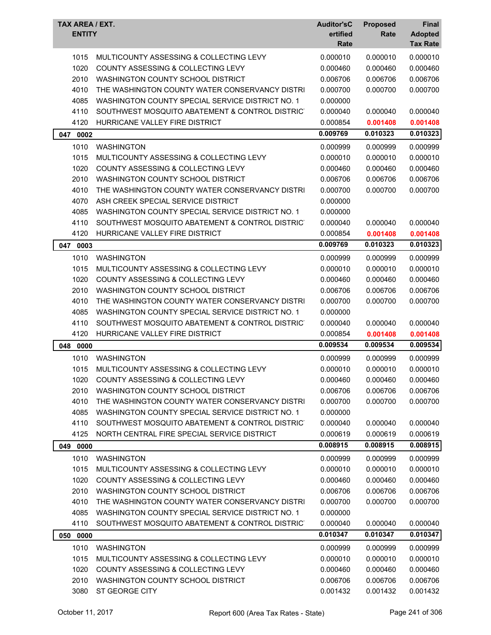| 0.000010<br>0.000010<br>1015<br>MULTICOUNTY ASSESSING & COLLECTING LEVY<br>0.000010<br>1020<br>COUNTY ASSESSING & COLLECTING LEVY<br>0.000460<br>0.000460<br>0.000460<br>0.006706<br>2010<br><b>WASHINGTON COUNTY SCHOOL DISTRICT</b><br>0.006706<br>0.006706<br>4010<br>THE WASHINGTON COUNTY WATER CONSERVANCY DISTRI<br>0.000700<br>0.000700<br>0.000700<br>4085<br>WASHINGTON COUNTY SPECIAL SERVICE DISTRICT NO. 1<br>0.000000<br>4110<br>SOUTHWEST MOSQUITO ABATEMENT & CONTROL DISTRICT<br>0.000040<br>0.000040<br>0.000040<br>4120<br>HURRICANE VALLEY FIRE DISTRICT<br>0.000854<br>0.001408<br>0.001408<br>0.010323<br>0.009769<br>0.010323<br>0002<br>047<br>1010<br><b>WASHINGTON</b><br>0.000999<br>0.000999<br>0.000999<br>1015<br>0.000010<br>0.000010<br>MULTICOUNTY ASSESSING & COLLECTING LEVY<br>0.000010<br>1020<br>COUNTY ASSESSING & COLLECTING LEVY<br>0.000460<br>0.000460<br>0.000460<br>2010<br><b>WASHINGTON COUNTY SCHOOL DISTRICT</b><br>0.006706<br>0.006706<br>0.006706<br>4010<br>THE WASHINGTON COUNTY WATER CONSERVANCY DISTRI<br>0.000700<br>0.000700<br>0.000700<br>4070<br>ASH CREEK SPECIAL SERVICE DISTRICT<br>0.000000<br>4085<br>WASHINGTON COUNTY SPECIAL SERVICE DISTRICT NO. 1<br>0.000000<br>4110<br>SOUTHWEST MOSQUITO ABATEMENT & CONTROL DISTRICT<br>0.000040<br>0.000040<br>0.000040<br>4120<br>HURRICANE VALLEY FIRE DISTRICT<br>0.000854<br>0.001408<br>0.001408<br>0.010323<br>0.009769<br>0.010323<br>047 0003<br>1010<br>0.000999<br><b>WASHINGTON</b><br>0.000999<br>0.000999<br>0.000010<br>1015<br>MULTICOUNTY ASSESSING & COLLECTING LEVY<br>0.000010<br>0.000010<br>1020<br>COUNTY ASSESSING & COLLECTING LEVY<br>0.000460<br>0.000460<br>0.000460<br>2010<br>WASHINGTON COUNTY SCHOOL DISTRICT<br>0.006706<br>0.006706<br>0.006706<br>4010<br>THE WASHINGTON COUNTY WATER CONSERVANCY DISTRI<br>0.000700<br>0.000700<br>0.000700<br>4085<br>WASHINGTON COUNTY SPECIAL SERVICE DISTRICT NO. 1<br>0.000000<br>4110<br>SOUTHWEST MOSQUITO ABATEMENT & CONTROL DISTRICT<br>0.000040<br>0.000040<br>0.000040<br>4120<br>HURRICANE VALLEY FIRE DISTRICT<br>0.000854<br>0.001408<br>0.001408<br>0.009534<br>0.009534<br>0.009534<br>048<br>0000<br>1010<br>0.000999<br>0.000999<br><b>WASHINGTON</b><br>0.000999<br>MULTICOUNTY ASSESSING & COLLECTING LEVY<br>0.000010<br>1015<br>0.000010<br>0.000010<br>1020<br>COUNTY ASSESSING & COLLECTING LEVY<br>0.000460<br>0.000460<br>0.000460<br>2010<br>WASHINGTON COUNTY SCHOOL DISTRICT<br>0.006706<br>0.006706<br>0.006706<br>4010<br>THE WASHINGTON COUNTY WATER CONSERVANCY DISTRI<br>0.000700<br>0.000700<br>0.000700<br>4085<br>WASHINGTON COUNTY SPECIAL SERVICE DISTRICT NO. 1<br>0.000000<br>4110<br>SOUTHWEST MOSQUITO ABATEMENT & CONTROL DISTRICT<br>0.000040<br>0.000040<br>0.000040<br>4125<br>NORTH CENTRAL FIRE SPECIAL SERVICE DISTRICT<br>0.000619<br>0.000619<br>0.000619<br>0.008915<br>0.008915<br>0.008915<br>049 0000<br>1010<br><b>WASHINGTON</b><br>0.000999<br>0.000999<br>0.000999<br>1015<br>MULTICOUNTY ASSESSING & COLLECTING LEVY<br>0.000010<br>0.000010<br>0.000010<br>1020<br>COUNTY ASSESSING & COLLECTING LEVY<br>0.000460<br>0.000460<br>0.000460<br>2010<br>WASHINGTON COUNTY SCHOOL DISTRICT<br>0.006706<br>0.006706<br>0.006706<br>4010<br>THE WASHINGTON COUNTY WATER CONSERVANCY DISTRI<br>0.000700<br>0.000700<br>0.000700<br>4085<br>WASHINGTON COUNTY SPECIAL SERVICE DISTRICT NO. 1<br>0.000000<br>4110<br>SOUTHWEST MOSQUITO ABATEMENT & CONTROL DISTRICT<br>0.000040<br>0.000040<br>0.000040<br>0.010347<br>0.010347<br>0.010347<br>050<br>0000<br>1010<br><b>WASHINGTON</b><br>0.000999<br>0.000999<br>0.000999<br>0.000010<br>1015<br>MULTICOUNTY ASSESSING & COLLECTING LEVY<br>0.000010<br>0.000010<br>1020<br>COUNTY ASSESSING & COLLECTING LEVY<br>0.000460<br>0.000460<br>0.000460 | <b>TAX AREA / EXT.</b><br><b>ENTITY</b>   | <b>Auditor'sC</b><br>ertified<br>Rate | <b>Proposed</b><br>Rate | Final<br><b>Adopted</b><br><b>Tax Rate</b> |
|---------------------------------------------------------------------------------------------------------------------------------------------------------------------------------------------------------------------------------------------------------------------------------------------------------------------------------------------------------------------------------------------------------------------------------------------------------------------------------------------------------------------------------------------------------------------------------------------------------------------------------------------------------------------------------------------------------------------------------------------------------------------------------------------------------------------------------------------------------------------------------------------------------------------------------------------------------------------------------------------------------------------------------------------------------------------------------------------------------------------------------------------------------------------------------------------------------------------------------------------------------------------------------------------------------------------------------------------------------------------------------------------------------------------------------------------------------------------------------------------------------------------------------------------------------------------------------------------------------------------------------------------------------------------------------------------------------------------------------------------------------------------------------------------------------------------------------------------------------------------------------------------------------------------------------------------------------------------------------------------------------------------------------------------------------------------------------------------------------------------------------------------------------------------------------------------------------------------------------------------------------------------------------------------------------------------------------------------------------------------------------------------------------------------------------------------------------------------------------------------------------------------------------------------------------------------------------------------------------------------------------------------------------------------------------------------------------------------------------------------------------------------------------------------------------------------------------------------------------------------------------------------------------------------------------------------------------------------------------------------------------------------------------------------------------------------------------------------------------------------------------------------------------------------------------------------------------------------------------------------------------------------------------------------------------------------------------------------------------------------------------------------------------------------------------------------------------------------------------------------------------------------------------------------------------------------------------------------------------------------------------------------------------------------------------------------------------------------------------------------------------------------------------------------------------------------------------------------|-------------------------------------------|---------------------------------------|-------------------------|--------------------------------------------|
|                                                                                                                                                                                                                                                                                                                                                                                                                                                                                                                                                                                                                                                                                                                                                                                                                                                                                                                                                                                                                                                                                                                                                                                                                                                                                                                                                                                                                                                                                                                                                                                                                                                                                                                                                                                                                                                                                                                                                                                                                                                                                                                                                                                                                                                                                                                                                                                                                                                                                                                                                                                                                                                                                                                                                                                                                                                                                                                                                                                                                                                                                                                                                                                                                                                                                                                                                                                                                                                                                                                                                                                                                                                                                                                                                                                                                                             |                                           |                                       |                         |                                            |
|                                                                                                                                                                                                                                                                                                                                                                                                                                                                                                                                                                                                                                                                                                                                                                                                                                                                                                                                                                                                                                                                                                                                                                                                                                                                                                                                                                                                                                                                                                                                                                                                                                                                                                                                                                                                                                                                                                                                                                                                                                                                                                                                                                                                                                                                                                                                                                                                                                                                                                                                                                                                                                                                                                                                                                                                                                                                                                                                                                                                                                                                                                                                                                                                                                                                                                                                                                                                                                                                                                                                                                                                                                                                                                                                                                                                                                             |                                           |                                       |                         |                                            |
|                                                                                                                                                                                                                                                                                                                                                                                                                                                                                                                                                                                                                                                                                                                                                                                                                                                                                                                                                                                                                                                                                                                                                                                                                                                                                                                                                                                                                                                                                                                                                                                                                                                                                                                                                                                                                                                                                                                                                                                                                                                                                                                                                                                                                                                                                                                                                                                                                                                                                                                                                                                                                                                                                                                                                                                                                                                                                                                                                                                                                                                                                                                                                                                                                                                                                                                                                                                                                                                                                                                                                                                                                                                                                                                                                                                                                                             |                                           |                                       |                         |                                            |
|                                                                                                                                                                                                                                                                                                                                                                                                                                                                                                                                                                                                                                                                                                                                                                                                                                                                                                                                                                                                                                                                                                                                                                                                                                                                                                                                                                                                                                                                                                                                                                                                                                                                                                                                                                                                                                                                                                                                                                                                                                                                                                                                                                                                                                                                                                                                                                                                                                                                                                                                                                                                                                                                                                                                                                                                                                                                                                                                                                                                                                                                                                                                                                                                                                                                                                                                                                                                                                                                                                                                                                                                                                                                                                                                                                                                                                             |                                           |                                       |                         |                                            |
|                                                                                                                                                                                                                                                                                                                                                                                                                                                                                                                                                                                                                                                                                                                                                                                                                                                                                                                                                                                                                                                                                                                                                                                                                                                                                                                                                                                                                                                                                                                                                                                                                                                                                                                                                                                                                                                                                                                                                                                                                                                                                                                                                                                                                                                                                                                                                                                                                                                                                                                                                                                                                                                                                                                                                                                                                                                                                                                                                                                                                                                                                                                                                                                                                                                                                                                                                                                                                                                                                                                                                                                                                                                                                                                                                                                                                                             |                                           |                                       |                         |                                            |
|                                                                                                                                                                                                                                                                                                                                                                                                                                                                                                                                                                                                                                                                                                                                                                                                                                                                                                                                                                                                                                                                                                                                                                                                                                                                                                                                                                                                                                                                                                                                                                                                                                                                                                                                                                                                                                                                                                                                                                                                                                                                                                                                                                                                                                                                                                                                                                                                                                                                                                                                                                                                                                                                                                                                                                                                                                                                                                                                                                                                                                                                                                                                                                                                                                                                                                                                                                                                                                                                                                                                                                                                                                                                                                                                                                                                                                             |                                           |                                       |                         |                                            |
|                                                                                                                                                                                                                                                                                                                                                                                                                                                                                                                                                                                                                                                                                                                                                                                                                                                                                                                                                                                                                                                                                                                                                                                                                                                                                                                                                                                                                                                                                                                                                                                                                                                                                                                                                                                                                                                                                                                                                                                                                                                                                                                                                                                                                                                                                                                                                                                                                                                                                                                                                                                                                                                                                                                                                                                                                                                                                                                                                                                                                                                                                                                                                                                                                                                                                                                                                                                                                                                                                                                                                                                                                                                                                                                                                                                                                                             |                                           |                                       |                         |                                            |
|                                                                                                                                                                                                                                                                                                                                                                                                                                                                                                                                                                                                                                                                                                                                                                                                                                                                                                                                                                                                                                                                                                                                                                                                                                                                                                                                                                                                                                                                                                                                                                                                                                                                                                                                                                                                                                                                                                                                                                                                                                                                                                                                                                                                                                                                                                                                                                                                                                                                                                                                                                                                                                                                                                                                                                                                                                                                                                                                                                                                                                                                                                                                                                                                                                                                                                                                                                                                                                                                                                                                                                                                                                                                                                                                                                                                                                             |                                           |                                       |                         |                                            |
|                                                                                                                                                                                                                                                                                                                                                                                                                                                                                                                                                                                                                                                                                                                                                                                                                                                                                                                                                                                                                                                                                                                                                                                                                                                                                                                                                                                                                                                                                                                                                                                                                                                                                                                                                                                                                                                                                                                                                                                                                                                                                                                                                                                                                                                                                                                                                                                                                                                                                                                                                                                                                                                                                                                                                                                                                                                                                                                                                                                                                                                                                                                                                                                                                                                                                                                                                                                                                                                                                                                                                                                                                                                                                                                                                                                                                                             |                                           |                                       |                         |                                            |
|                                                                                                                                                                                                                                                                                                                                                                                                                                                                                                                                                                                                                                                                                                                                                                                                                                                                                                                                                                                                                                                                                                                                                                                                                                                                                                                                                                                                                                                                                                                                                                                                                                                                                                                                                                                                                                                                                                                                                                                                                                                                                                                                                                                                                                                                                                                                                                                                                                                                                                                                                                                                                                                                                                                                                                                                                                                                                                                                                                                                                                                                                                                                                                                                                                                                                                                                                                                                                                                                                                                                                                                                                                                                                                                                                                                                                                             |                                           |                                       |                         |                                            |
|                                                                                                                                                                                                                                                                                                                                                                                                                                                                                                                                                                                                                                                                                                                                                                                                                                                                                                                                                                                                                                                                                                                                                                                                                                                                                                                                                                                                                                                                                                                                                                                                                                                                                                                                                                                                                                                                                                                                                                                                                                                                                                                                                                                                                                                                                                                                                                                                                                                                                                                                                                                                                                                                                                                                                                                                                                                                                                                                                                                                                                                                                                                                                                                                                                                                                                                                                                                                                                                                                                                                                                                                                                                                                                                                                                                                                                             |                                           |                                       |                         |                                            |
|                                                                                                                                                                                                                                                                                                                                                                                                                                                                                                                                                                                                                                                                                                                                                                                                                                                                                                                                                                                                                                                                                                                                                                                                                                                                                                                                                                                                                                                                                                                                                                                                                                                                                                                                                                                                                                                                                                                                                                                                                                                                                                                                                                                                                                                                                                                                                                                                                                                                                                                                                                                                                                                                                                                                                                                                                                                                                                                                                                                                                                                                                                                                                                                                                                                                                                                                                                                                                                                                                                                                                                                                                                                                                                                                                                                                                                             |                                           |                                       |                         |                                            |
|                                                                                                                                                                                                                                                                                                                                                                                                                                                                                                                                                                                                                                                                                                                                                                                                                                                                                                                                                                                                                                                                                                                                                                                                                                                                                                                                                                                                                                                                                                                                                                                                                                                                                                                                                                                                                                                                                                                                                                                                                                                                                                                                                                                                                                                                                                                                                                                                                                                                                                                                                                                                                                                                                                                                                                                                                                                                                                                                                                                                                                                                                                                                                                                                                                                                                                                                                                                                                                                                                                                                                                                                                                                                                                                                                                                                                                             |                                           |                                       |                         |                                            |
|                                                                                                                                                                                                                                                                                                                                                                                                                                                                                                                                                                                                                                                                                                                                                                                                                                                                                                                                                                                                                                                                                                                                                                                                                                                                                                                                                                                                                                                                                                                                                                                                                                                                                                                                                                                                                                                                                                                                                                                                                                                                                                                                                                                                                                                                                                                                                                                                                                                                                                                                                                                                                                                                                                                                                                                                                                                                                                                                                                                                                                                                                                                                                                                                                                                                                                                                                                                                                                                                                                                                                                                                                                                                                                                                                                                                                                             |                                           |                                       |                         |                                            |
|                                                                                                                                                                                                                                                                                                                                                                                                                                                                                                                                                                                                                                                                                                                                                                                                                                                                                                                                                                                                                                                                                                                                                                                                                                                                                                                                                                                                                                                                                                                                                                                                                                                                                                                                                                                                                                                                                                                                                                                                                                                                                                                                                                                                                                                                                                                                                                                                                                                                                                                                                                                                                                                                                                                                                                                                                                                                                                                                                                                                                                                                                                                                                                                                                                                                                                                                                                                                                                                                                                                                                                                                                                                                                                                                                                                                                                             |                                           |                                       |                         |                                            |
|                                                                                                                                                                                                                                                                                                                                                                                                                                                                                                                                                                                                                                                                                                                                                                                                                                                                                                                                                                                                                                                                                                                                                                                                                                                                                                                                                                                                                                                                                                                                                                                                                                                                                                                                                                                                                                                                                                                                                                                                                                                                                                                                                                                                                                                                                                                                                                                                                                                                                                                                                                                                                                                                                                                                                                                                                                                                                                                                                                                                                                                                                                                                                                                                                                                                                                                                                                                                                                                                                                                                                                                                                                                                                                                                                                                                                                             |                                           |                                       |                         |                                            |
|                                                                                                                                                                                                                                                                                                                                                                                                                                                                                                                                                                                                                                                                                                                                                                                                                                                                                                                                                                                                                                                                                                                                                                                                                                                                                                                                                                                                                                                                                                                                                                                                                                                                                                                                                                                                                                                                                                                                                                                                                                                                                                                                                                                                                                                                                                                                                                                                                                                                                                                                                                                                                                                                                                                                                                                                                                                                                                                                                                                                                                                                                                                                                                                                                                                                                                                                                                                                                                                                                                                                                                                                                                                                                                                                                                                                                                             |                                           |                                       |                         |                                            |
|                                                                                                                                                                                                                                                                                                                                                                                                                                                                                                                                                                                                                                                                                                                                                                                                                                                                                                                                                                                                                                                                                                                                                                                                                                                                                                                                                                                                                                                                                                                                                                                                                                                                                                                                                                                                                                                                                                                                                                                                                                                                                                                                                                                                                                                                                                                                                                                                                                                                                                                                                                                                                                                                                                                                                                                                                                                                                                                                                                                                                                                                                                                                                                                                                                                                                                                                                                                                                                                                                                                                                                                                                                                                                                                                                                                                                                             |                                           |                                       |                         |                                            |
|                                                                                                                                                                                                                                                                                                                                                                                                                                                                                                                                                                                                                                                                                                                                                                                                                                                                                                                                                                                                                                                                                                                                                                                                                                                                                                                                                                                                                                                                                                                                                                                                                                                                                                                                                                                                                                                                                                                                                                                                                                                                                                                                                                                                                                                                                                                                                                                                                                                                                                                                                                                                                                                                                                                                                                                                                                                                                                                                                                                                                                                                                                                                                                                                                                                                                                                                                                                                                                                                                                                                                                                                                                                                                                                                                                                                                                             |                                           |                                       |                         |                                            |
|                                                                                                                                                                                                                                                                                                                                                                                                                                                                                                                                                                                                                                                                                                                                                                                                                                                                                                                                                                                                                                                                                                                                                                                                                                                                                                                                                                                                                                                                                                                                                                                                                                                                                                                                                                                                                                                                                                                                                                                                                                                                                                                                                                                                                                                                                                                                                                                                                                                                                                                                                                                                                                                                                                                                                                                                                                                                                                                                                                                                                                                                                                                                                                                                                                                                                                                                                                                                                                                                                                                                                                                                                                                                                                                                                                                                                                             |                                           |                                       |                         |                                            |
|                                                                                                                                                                                                                                                                                                                                                                                                                                                                                                                                                                                                                                                                                                                                                                                                                                                                                                                                                                                                                                                                                                                                                                                                                                                                                                                                                                                                                                                                                                                                                                                                                                                                                                                                                                                                                                                                                                                                                                                                                                                                                                                                                                                                                                                                                                                                                                                                                                                                                                                                                                                                                                                                                                                                                                                                                                                                                                                                                                                                                                                                                                                                                                                                                                                                                                                                                                                                                                                                                                                                                                                                                                                                                                                                                                                                                                             |                                           |                                       |                         |                                            |
|                                                                                                                                                                                                                                                                                                                                                                                                                                                                                                                                                                                                                                                                                                                                                                                                                                                                                                                                                                                                                                                                                                                                                                                                                                                                                                                                                                                                                                                                                                                                                                                                                                                                                                                                                                                                                                                                                                                                                                                                                                                                                                                                                                                                                                                                                                                                                                                                                                                                                                                                                                                                                                                                                                                                                                                                                                                                                                                                                                                                                                                                                                                                                                                                                                                                                                                                                                                                                                                                                                                                                                                                                                                                                                                                                                                                                                             |                                           |                                       |                         |                                            |
|                                                                                                                                                                                                                                                                                                                                                                                                                                                                                                                                                                                                                                                                                                                                                                                                                                                                                                                                                                                                                                                                                                                                                                                                                                                                                                                                                                                                                                                                                                                                                                                                                                                                                                                                                                                                                                                                                                                                                                                                                                                                                                                                                                                                                                                                                                                                                                                                                                                                                                                                                                                                                                                                                                                                                                                                                                                                                                                                                                                                                                                                                                                                                                                                                                                                                                                                                                                                                                                                                                                                                                                                                                                                                                                                                                                                                                             |                                           |                                       |                         |                                            |
|                                                                                                                                                                                                                                                                                                                                                                                                                                                                                                                                                                                                                                                                                                                                                                                                                                                                                                                                                                                                                                                                                                                                                                                                                                                                                                                                                                                                                                                                                                                                                                                                                                                                                                                                                                                                                                                                                                                                                                                                                                                                                                                                                                                                                                                                                                                                                                                                                                                                                                                                                                                                                                                                                                                                                                                                                                                                                                                                                                                                                                                                                                                                                                                                                                                                                                                                                                                                                                                                                                                                                                                                                                                                                                                                                                                                                                             |                                           |                                       |                         |                                            |
|                                                                                                                                                                                                                                                                                                                                                                                                                                                                                                                                                                                                                                                                                                                                                                                                                                                                                                                                                                                                                                                                                                                                                                                                                                                                                                                                                                                                                                                                                                                                                                                                                                                                                                                                                                                                                                                                                                                                                                                                                                                                                                                                                                                                                                                                                                                                                                                                                                                                                                                                                                                                                                                                                                                                                                                                                                                                                                                                                                                                                                                                                                                                                                                                                                                                                                                                                                                                                                                                                                                                                                                                                                                                                                                                                                                                                                             |                                           |                                       |                         |                                            |
|                                                                                                                                                                                                                                                                                                                                                                                                                                                                                                                                                                                                                                                                                                                                                                                                                                                                                                                                                                                                                                                                                                                                                                                                                                                                                                                                                                                                                                                                                                                                                                                                                                                                                                                                                                                                                                                                                                                                                                                                                                                                                                                                                                                                                                                                                                                                                                                                                                                                                                                                                                                                                                                                                                                                                                                                                                                                                                                                                                                                                                                                                                                                                                                                                                                                                                                                                                                                                                                                                                                                                                                                                                                                                                                                                                                                                                             |                                           |                                       |                         |                                            |
|                                                                                                                                                                                                                                                                                                                                                                                                                                                                                                                                                                                                                                                                                                                                                                                                                                                                                                                                                                                                                                                                                                                                                                                                                                                                                                                                                                                                                                                                                                                                                                                                                                                                                                                                                                                                                                                                                                                                                                                                                                                                                                                                                                                                                                                                                                                                                                                                                                                                                                                                                                                                                                                                                                                                                                                                                                                                                                                                                                                                                                                                                                                                                                                                                                                                                                                                                                                                                                                                                                                                                                                                                                                                                                                                                                                                                                             |                                           |                                       |                         |                                            |
|                                                                                                                                                                                                                                                                                                                                                                                                                                                                                                                                                                                                                                                                                                                                                                                                                                                                                                                                                                                                                                                                                                                                                                                                                                                                                                                                                                                                                                                                                                                                                                                                                                                                                                                                                                                                                                                                                                                                                                                                                                                                                                                                                                                                                                                                                                                                                                                                                                                                                                                                                                                                                                                                                                                                                                                                                                                                                                                                                                                                                                                                                                                                                                                                                                                                                                                                                                                                                                                                                                                                                                                                                                                                                                                                                                                                                                             |                                           |                                       |                         |                                            |
|                                                                                                                                                                                                                                                                                                                                                                                                                                                                                                                                                                                                                                                                                                                                                                                                                                                                                                                                                                                                                                                                                                                                                                                                                                                                                                                                                                                                                                                                                                                                                                                                                                                                                                                                                                                                                                                                                                                                                                                                                                                                                                                                                                                                                                                                                                                                                                                                                                                                                                                                                                                                                                                                                                                                                                                                                                                                                                                                                                                                                                                                                                                                                                                                                                                                                                                                                                                                                                                                                                                                                                                                                                                                                                                                                                                                                                             |                                           |                                       |                         |                                            |
|                                                                                                                                                                                                                                                                                                                                                                                                                                                                                                                                                                                                                                                                                                                                                                                                                                                                                                                                                                                                                                                                                                                                                                                                                                                                                                                                                                                                                                                                                                                                                                                                                                                                                                                                                                                                                                                                                                                                                                                                                                                                                                                                                                                                                                                                                                                                                                                                                                                                                                                                                                                                                                                                                                                                                                                                                                                                                                                                                                                                                                                                                                                                                                                                                                                                                                                                                                                                                                                                                                                                                                                                                                                                                                                                                                                                                                             |                                           |                                       |                         |                                            |
|                                                                                                                                                                                                                                                                                                                                                                                                                                                                                                                                                                                                                                                                                                                                                                                                                                                                                                                                                                                                                                                                                                                                                                                                                                                                                                                                                                                                                                                                                                                                                                                                                                                                                                                                                                                                                                                                                                                                                                                                                                                                                                                                                                                                                                                                                                                                                                                                                                                                                                                                                                                                                                                                                                                                                                                                                                                                                                                                                                                                                                                                                                                                                                                                                                                                                                                                                                                                                                                                                                                                                                                                                                                                                                                                                                                                                                             |                                           |                                       |                         |                                            |
|                                                                                                                                                                                                                                                                                                                                                                                                                                                                                                                                                                                                                                                                                                                                                                                                                                                                                                                                                                                                                                                                                                                                                                                                                                                                                                                                                                                                                                                                                                                                                                                                                                                                                                                                                                                                                                                                                                                                                                                                                                                                                                                                                                                                                                                                                                                                                                                                                                                                                                                                                                                                                                                                                                                                                                                                                                                                                                                                                                                                                                                                                                                                                                                                                                                                                                                                                                                                                                                                                                                                                                                                                                                                                                                                                                                                                                             |                                           |                                       |                         |                                            |
|                                                                                                                                                                                                                                                                                                                                                                                                                                                                                                                                                                                                                                                                                                                                                                                                                                                                                                                                                                                                                                                                                                                                                                                                                                                                                                                                                                                                                                                                                                                                                                                                                                                                                                                                                                                                                                                                                                                                                                                                                                                                                                                                                                                                                                                                                                                                                                                                                                                                                                                                                                                                                                                                                                                                                                                                                                                                                                                                                                                                                                                                                                                                                                                                                                                                                                                                                                                                                                                                                                                                                                                                                                                                                                                                                                                                                                             |                                           |                                       |                         |                                            |
|                                                                                                                                                                                                                                                                                                                                                                                                                                                                                                                                                                                                                                                                                                                                                                                                                                                                                                                                                                                                                                                                                                                                                                                                                                                                                                                                                                                                                                                                                                                                                                                                                                                                                                                                                                                                                                                                                                                                                                                                                                                                                                                                                                                                                                                                                                                                                                                                                                                                                                                                                                                                                                                                                                                                                                                                                                                                                                                                                                                                                                                                                                                                                                                                                                                                                                                                                                                                                                                                                                                                                                                                                                                                                                                                                                                                                                             |                                           |                                       |                         |                                            |
|                                                                                                                                                                                                                                                                                                                                                                                                                                                                                                                                                                                                                                                                                                                                                                                                                                                                                                                                                                                                                                                                                                                                                                                                                                                                                                                                                                                                                                                                                                                                                                                                                                                                                                                                                                                                                                                                                                                                                                                                                                                                                                                                                                                                                                                                                                                                                                                                                                                                                                                                                                                                                                                                                                                                                                                                                                                                                                                                                                                                                                                                                                                                                                                                                                                                                                                                                                                                                                                                                                                                                                                                                                                                                                                                                                                                                                             |                                           |                                       |                         |                                            |
|                                                                                                                                                                                                                                                                                                                                                                                                                                                                                                                                                                                                                                                                                                                                                                                                                                                                                                                                                                                                                                                                                                                                                                                                                                                                                                                                                                                                                                                                                                                                                                                                                                                                                                                                                                                                                                                                                                                                                                                                                                                                                                                                                                                                                                                                                                                                                                                                                                                                                                                                                                                                                                                                                                                                                                                                                                                                                                                                                                                                                                                                                                                                                                                                                                                                                                                                                                                                                                                                                                                                                                                                                                                                                                                                                                                                                                             |                                           |                                       |                         |                                            |
|                                                                                                                                                                                                                                                                                                                                                                                                                                                                                                                                                                                                                                                                                                                                                                                                                                                                                                                                                                                                                                                                                                                                                                                                                                                                                                                                                                                                                                                                                                                                                                                                                                                                                                                                                                                                                                                                                                                                                                                                                                                                                                                                                                                                                                                                                                                                                                                                                                                                                                                                                                                                                                                                                                                                                                                                                                                                                                                                                                                                                                                                                                                                                                                                                                                                                                                                                                                                                                                                                                                                                                                                                                                                                                                                                                                                                                             |                                           |                                       |                         |                                            |
|                                                                                                                                                                                                                                                                                                                                                                                                                                                                                                                                                                                                                                                                                                                                                                                                                                                                                                                                                                                                                                                                                                                                                                                                                                                                                                                                                                                                                                                                                                                                                                                                                                                                                                                                                                                                                                                                                                                                                                                                                                                                                                                                                                                                                                                                                                                                                                                                                                                                                                                                                                                                                                                                                                                                                                                                                                                                                                                                                                                                                                                                                                                                                                                                                                                                                                                                                                                                                                                                                                                                                                                                                                                                                                                                                                                                                                             |                                           |                                       |                         |                                            |
|                                                                                                                                                                                                                                                                                                                                                                                                                                                                                                                                                                                                                                                                                                                                                                                                                                                                                                                                                                                                                                                                                                                                                                                                                                                                                                                                                                                                                                                                                                                                                                                                                                                                                                                                                                                                                                                                                                                                                                                                                                                                                                                                                                                                                                                                                                                                                                                                                                                                                                                                                                                                                                                                                                                                                                                                                                                                                                                                                                                                                                                                                                                                                                                                                                                                                                                                                                                                                                                                                                                                                                                                                                                                                                                                                                                                                                             |                                           |                                       |                         |                                            |
|                                                                                                                                                                                                                                                                                                                                                                                                                                                                                                                                                                                                                                                                                                                                                                                                                                                                                                                                                                                                                                                                                                                                                                                                                                                                                                                                                                                                                                                                                                                                                                                                                                                                                                                                                                                                                                                                                                                                                                                                                                                                                                                                                                                                                                                                                                                                                                                                                                                                                                                                                                                                                                                                                                                                                                                                                                                                                                                                                                                                                                                                                                                                                                                                                                                                                                                                                                                                                                                                                                                                                                                                                                                                                                                                                                                                                                             |                                           |                                       |                         |                                            |
|                                                                                                                                                                                                                                                                                                                                                                                                                                                                                                                                                                                                                                                                                                                                                                                                                                                                                                                                                                                                                                                                                                                                                                                                                                                                                                                                                                                                                                                                                                                                                                                                                                                                                                                                                                                                                                                                                                                                                                                                                                                                                                                                                                                                                                                                                                                                                                                                                                                                                                                                                                                                                                                                                                                                                                                                                                                                                                                                                                                                                                                                                                                                                                                                                                                                                                                                                                                                                                                                                                                                                                                                                                                                                                                                                                                                                                             |                                           |                                       |                         |                                            |
|                                                                                                                                                                                                                                                                                                                                                                                                                                                                                                                                                                                                                                                                                                                                                                                                                                                                                                                                                                                                                                                                                                                                                                                                                                                                                                                                                                                                                                                                                                                                                                                                                                                                                                                                                                                                                                                                                                                                                                                                                                                                                                                                                                                                                                                                                                                                                                                                                                                                                                                                                                                                                                                                                                                                                                                                                                                                                                                                                                                                                                                                                                                                                                                                                                                                                                                                                                                                                                                                                                                                                                                                                                                                                                                                                                                                                                             |                                           |                                       |                         |                                            |
|                                                                                                                                                                                                                                                                                                                                                                                                                                                                                                                                                                                                                                                                                                                                                                                                                                                                                                                                                                                                                                                                                                                                                                                                                                                                                                                                                                                                                                                                                                                                                                                                                                                                                                                                                                                                                                                                                                                                                                                                                                                                                                                                                                                                                                                                                                                                                                                                                                                                                                                                                                                                                                                                                                                                                                                                                                                                                                                                                                                                                                                                                                                                                                                                                                                                                                                                                                                                                                                                                                                                                                                                                                                                                                                                                                                                                                             |                                           |                                       |                         |                                            |
|                                                                                                                                                                                                                                                                                                                                                                                                                                                                                                                                                                                                                                                                                                                                                                                                                                                                                                                                                                                                                                                                                                                                                                                                                                                                                                                                                                                                                                                                                                                                                                                                                                                                                                                                                                                                                                                                                                                                                                                                                                                                                                                                                                                                                                                                                                                                                                                                                                                                                                                                                                                                                                                                                                                                                                                                                                                                                                                                                                                                                                                                                                                                                                                                                                                                                                                                                                                                                                                                                                                                                                                                                                                                                                                                                                                                                                             |                                           |                                       |                         |                                            |
|                                                                                                                                                                                                                                                                                                                                                                                                                                                                                                                                                                                                                                                                                                                                                                                                                                                                                                                                                                                                                                                                                                                                                                                                                                                                                                                                                                                                                                                                                                                                                                                                                                                                                                                                                                                                                                                                                                                                                                                                                                                                                                                                                                                                                                                                                                                                                                                                                                                                                                                                                                                                                                                                                                                                                                                                                                                                                                                                                                                                                                                                                                                                                                                                                                                                                                                                                                                                                                                                                                                                                                                                                                                                                                                                                                                                                                             |                                           |                                       |                         |                                            |
|                                                                                                                                                                                                                                                                                                                                                                                                                                                                                                                                                                                                                                                                                                                                                                                                                                                                                                                                                                                                                                                                                                                                                                                                                                                                                                                                                                                                                                                                                                                                                                                                                                                                                                                                                                                                                                                                                                                                                                                                                                                                                                                                                                                                                                                                                                                                                                                                                                                                                                                                                                                                                                                                                                                                                                                                                                                                                                                                                                                                                                                                                                                                                                                                                                                                                                                                                                                                                                                                                                                                                                                                                                                                                                                                                                                                                                             |                                           |                                       |                         |                                            |
|                                                                                                                                                                                                                                                                                                                                                                                                                                                                                                                                                                                                                                                                                                                                                                                                                                                                                                                                                                                                                                                                                                                                                                                                                                                                                                                                                                                                                                                                                                                                                                                                                                                                                                                                                                                                                                                                                                                                                                                                                                                                                                                                                                                                                                                                                                                                                                                                                                                                                                                                                                                                                                                                                                                                                                                                                                                                                                                                                                                                                                                                                                                                                                                                                                                                                                                                                                                                                                                                                                                                                                                                                                                                                                                                                                                                                                             |                                           |                                       |                         |                                            |
|                                                                                                                                                                                                                                                                                                                                                                                                                                                                                                                                                                                                                                                                                                                                                                                                                                                                                                                                                                                                                                                                                                                                                                                                                                                                                                                                                                                                                                                                                                                                                                                                                                                                                                                                                                                                                                                                                                                                                                                                                                                                                                                                                                                                                                                                                                                                                                                                                                                                                                                                                                                                                                                                                                                                                                                                                                                                                                                                                                                                                                                                                                                                                                                                                                                                                                                                                                                                                                                                                                                                                                                                                                                                                                                                                                                                                                             |                                           |                                       |                         |                                            |
| 3080<br>ST GEORGE CITY<br>0.001432<br>0.001432<br>0.001432                                                                                                                                                                                                                                                                                                                                                                                                                                                                                                                                                                                                                                                                                                                                                                                                                                                                                                                                                                                                                                                                                                                                                                                                                                                                                                                                                                                                                                                                                                                                                                                                                                                                                                                                                                                                                                                                                                                                                                                                                                                                                                                                                                                                                                                                                                                                                                                                                                                                                                                                                                                                                                                                                                                                                                                                                                                                                                                                                                                                                                                                                                                                                                                                                                                                                                                                                                                                                                                                                                                                                                                                                                                                                                                                                                                  | 2010<br>WASHINGTON COUNTY SCHOOL DISTRICT | 0.006706                              | 0.006706                | 0.006706                                   |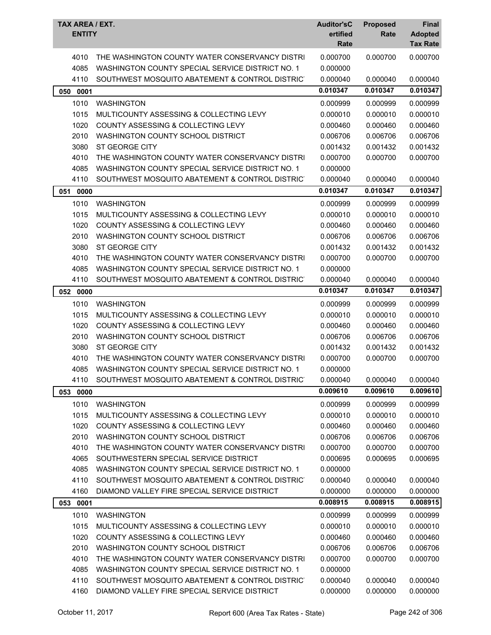| TAX AREA / EXT.<br><b>ENTITY</b> |                                                                                                    | <b>Auditor'sC</b><br>ertified<br>Rate | <b>Proposed</b><br>Rate | <b>Final</b><br><b>Adopted</b><br><b>Tax Rate</b> |
|----------------------------------|----------------------------------------------------------------------------------------------------|---------------------------------------|-------------------------|---------------------------------------------------|
| 4010<br>4085                     | THE WASHINGTON COUNTY WATER CONSERVANCY DISTRI<br>WASHINGTON COUNTY SPECIAL SERVICE DISTRICT NO. 1 | 0.000700<br>0.000000                  | 0.000700                | 0.000700                                          |
| 4110                             | SOUTHWEST MOSQUITO ABATEMENT & CONTROL DISTRICT                                                    | 0.000040                              | 0.000040                | 0.000040                                          |
| 050 0001                         |                                                                                                    | 0.010347                              | 0.010347                | 0.010347                                          |
| 1010                             | <b>WASHINGTON</b>                                                                                  | 0.000999                              | 0.000999                | 0.000999                                          |
| 1015                             | MULTICOUNTY ASSESSING & COLLECTING LEVY                                                            | 0.000010                              | 0.000010                | 0.000010                                          |
| 1020                             | COUNTY ASSESSING & COLLECTING LEVY                                                                 | 0.000460                              | 0.000460                | 0.000460                                          |
| 2010                             | WASHINGTON COUNTY SCHOOL DISTRICT                                                                  | 0.006706                              | 0.006706                | 0.006706                                          |
| 3080                             | ST GEORGE CITY                                                                                     | 0.001432                              | 0.001432                | 0.001432                                          |
| 4010                             | THE WASHINGTON COUNTY WATER CONSERVANCY DISTRI                                                     | 0.000700                              | 0.000700                | 0.000700                                          |
| 4085                             | WASHINGTON COUNTY SPECIAL SERVICE DISTRICT NO. 1                                                   | 0.000000                              |                         |                                                   |
| 4110                             | SOUTHWEST MOSQUITO ABATEMENT & CONTROL DISTRICT                                                    | 0.000040                              | 0.000040                | 0.000040                                          |
| 051<br>0000                      |                                                                                                    | 0.010347                              | 0.010347                | 0.010347                                          |
| 1010                             | <b>WASHINGTON</b>                                                                                  | 0.000999                              | 0.000999                | 0.000999                                          |
| 1015                             | MULTICOUNTY ASSESSING & COLLECTING LEVY                                                            | 0.000010                              | 0.000010                | 0.000010                                          |
| 1020                             | <b>COUNTY ASSESSING &amp; COLLECTING LEVY</b>                                                      | 0.000460                              | 0.000460                | 0.000460                                          |
| 2010                             | WASHINGTON COUNTY SCHOOL DISTRICT                                                                  | 0.006706                              | 0.006706                | 0.006706                                          |
| 3080                             | ST GEORGE CITY                                                                                     | 0.001432                              | 0.001432                | 0.001432                                          |
| 4010                             | THE WASHINGTON COUNTY WATER CONSERVANCY DISTRI                                                     | 0.000700                              | 0.000700                | 0.000700                                          |
| 4085                             | WASHINGTON COUNTY SPECIAL SERVICE DISTRICT NO. 1                                                   | 0.000000                              |                         |                                                   |
| 4110                             | SOUTHWEST MOSQUITO ABATEMENT & CONTROL DISTRICT                                                    | 0.000040                              | 0.000040                | 0.000040                                          |
| 052 0000                         |                                                                                                    | 0.010347                              | 0.010347                | 0.010347                                          |
| 1010                             | <b>WASHINGTON</b>                                                                                  | 0.000999                              | 0.000999                | 0.000999                                          |
| 1015                             | MULTICOUNTY ASSESSING & COLLECTING LEVY                                                            | 0.000010                              | 0.000010                | 0.000010                                          |
| 1020                             | COUNTY ASSESSING & COLLECTING LEVY                                                                 | 0.000460                              | 0.000460                | 0.000460                                          |
| 2010                             | WASHINGTON COUNTY SCHOOL DISTRICT                                                                  | 0.006706                              | 0.006706                | 0.006706                                          |
| 3080                             | ST GEORGE CITY                                                                                     | 0.001432                              | 0.001432                | 0.001432                                          |
| 4010                             | THE WASHINGTON COUNTY WATER CONSERVANCY DISTRI                                                     | 0.000700                              | 0.000700                | 0.000700                                          |
| 4085                             | WASHINGTON COUNTY SPECIAL SERVICE DISTRICT NO. 1                                                   | 0.000000                              |                         |                                                   |
| 4110                             | SOUTHWEST MOSQUITO ABATEMENT & CONTROL DISTRIC                                                     | 0.000040                              | 0.000040                | 0.000040                                          |
| 053<br>0000                      |                                                                                                    | 0.009610                              | 0.009610                | 0.009610                                          |
| 1010                             | <b>WASHINGTON</b>                                                                                  | 0.000999                              | 0.000999                | 0.000999                                          |
| 1015                             | MULTICOUNTY ASSESSING & COLLECTING LEVY                                                            | 0.000010                              | 0.000010                | 0.000010                                          |
| 1020                             | COUNTY ASSESSING & COLLECTING LEVY                                                                 | 0.000460                              | 0.000460                | 0.000460                                          |
| 2010                             | WASHINGTON COUNTY SCHOOL DISTRICT                                                                  | 0.006706                              | 0.006706                | 0.006706                                          |
| 4010                             | THE WASHINGTON COUNTY WATER CONSERVANCY DISTRI                                                     | 0.000700                              | 0.000700                | 0.000700                                          |
| 4065                             | SOUTHWESTERN SPECIAL SERVICE DISTRICT                                                              | 0.000695                              | 0.000695                | 0.000695                                          |
| 4085                             | WASHINGTON COUNTY SPECIAL SERVICE DISTRICT NO. 1                                                   | 0.000000                              |                         |                                                   |
| 4110                             | SOUTHWEST MOSQUITO ABATEMENT & CONTROL DISTRICT                                                    | 0.000040                              | 0.000040                | 0.000040                                          |
| 4160                             | DIAMOND VALLEY FIRE SPECIAL SERVICE DISTRICT                                                       | 0.000000                              | 0.000000                | 0.000000                                          |
| 053 0001                         |                                                                                                    | 0.008915                              | 0.008915                | 0.008915                                          |
| 1010                             | <b>WASHINGTON</b>                                                                                  | 0.000999                              | 0.000999                | 0.000999                                          |
| 1015                             | MULTICOUNTY ASSESSING & COLLECTING LEVY                                                            | 0.000010                              | 0.000010                | 0.000010                                          |
| 1020                             | COUNTY ASSESSING & COLLECTING LEVY                                                                 | 0.000460                              | 0.000460                | 0.000460                                          |
| 2010                             | WASHINGTON COUNTY SCHOOL DISTRICT                                                                  | 0.006706                              | 0.006706                | 0.006706                                          |
| 4010                             | THE WASHINGTON COUNTY WATER CONSERVANCY DISTRI                                                     | 0.000700                              | 0.000700                | 0.000700                                          |
| 4085                             | WASHINGTON COUNTY SPECIAL SERVICE DISTRICT NO. 1                                                   | 0.000000                              |                         |                                                   |
| 4110                             | SOUTHWEST MOSQUITO ABATEMENT & CONTROL DISTRIC                                                     | 0.000040                              | 0.000040                | 0.000040                                          |
| 4160                             | DIAMOND VALLEY FIRE SPECIAL SERVICE DISTRICT                                                       | 0.000000                              | 0.000000                | 0.000000                                          |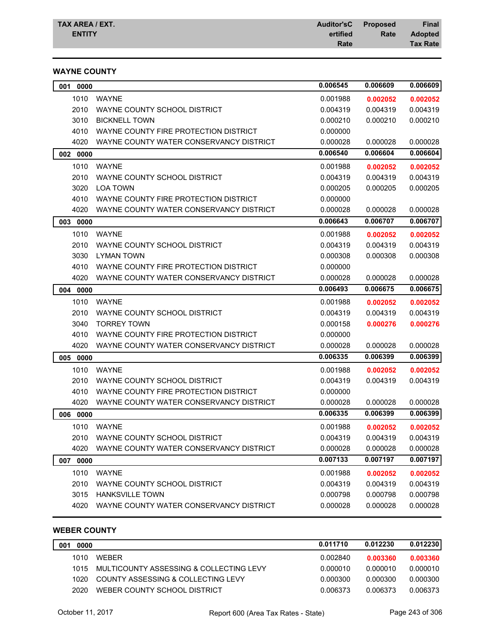## **WAYNE COUNTY**

| 0.006545<br>0.006609<br>001<br>0000                                     | 0.006609 |
|-------------------------------------------------------------------------|----------|
| 1010<br><b>WAYNE</b><br>0.001988<br>0.002052                            | 0.002052 |
| 2010<br>0.004319<br>WAYNE COUNTY SCHOOL DISTRICT<br>0.004319            | 0.004319 |
| 3010<br><b>BICKNELL TOWN</b><br>0.000210<br>0.000210                    | 0.000210 |
| 4010<br>WAYNE COUNTY FIRE PROTECTION DISTRICT<br>0.000000               |          |
| 4020<br>WAYNE COUNTY WATER CONSERVANCY DISTRICT<br>0.000028<br>0.000028 | 0.000028 |
| 0.006604<br>0.006540<br>002 0000                                        | 0.006604 |
| 1010<br><b>WAYNE</b><br>0.001988<br>0.002052                            | 0.002052 |
| 2010<br>WAYNE COUNTY SCHOOL DISTRICT<br>0.004319<br>0.004319            | 0.004319 |
| 3020<br><b>LOA TOWN</b><br>0.000205<br>0.000205                         | 0.000205 |
| 4010<br>WAYNE COUNTY FIRE PROTECTION DISTRICT<br>0.000000               |          |
| 4020<br>WAYNE COUNTY WATER CONSERVANCY DISTRICT<br>0.000028<br>0.000028 | 0.000028 |
| 0.006707<br>0.006643<br>003<br>0000                                     | 0.006707 |
| 1010<br><b>WAYNE</b><br>0.001988<br>0.002052                            | 0.002052 |
| 2010<br>WAYNE COUNTY SCHOOL DISTRICT<br>0.004319<br>0.004319            | 0.004319 |
| 3030<br><b>LYMAN TOWN</b><br>0.000308<br>0.000308                       | 0.000308 |
| 4010<br>WAYNE COUNTY FIRE PROTECTION DISTRICT<br>0.000000               |          |
| 4020<br>WAYNE COUNTY WATER CONSERVANCY DISTRICT<br>0.000028<br>0.000028 | 0.000028 |
| 0.006493<br>0.006675                                                    | 0.006675 |
| 004<br>0000                                                             |          |
| 1010<br><b>WAYNE</b><br>0.001988<br>0.002052                            | 0.002052 |
| 2010<br>WAYNE COUNTY SCHOOL DISTRICT<br>0.004319<br>0.004319            | 0.004319 |
| 3040<br><b>TORREY TOWN</b><br>0.000158<br>0.000276                      | 0.000276 |
| 4010<br>WAYNE COUNTY FIRE PROTECTION DISTRICT<br>0.000000               |          |
| 4020<br>WAYNE COUNTY WATER CONSERVANCY DISTRICT<br>0.000028<br>0.000028 | 0.000028 |
| 0.006335<br>0.006399<br>0000<br>005                                     | 0.006399 |
| 1010<br><b>WAYNE</b><br>0.001988<br>0.002052                            | 0.002052 |
| 2010<br>WAYNE COUNTY SCHOOL DISTRICT<br>0.004319<br>0.004319            | 0.004319 |
| 4010<br>WAYNE COUNTY FIRE PROTECTION DISTRICT<br>0.000000               |          |
| 4020<br>WAYNE COUNTY WATER CONSERVANCY DISTRICT<br>0.000028<br>0.000028 | 0.000028 |
| 0.006335<br>0.006399<br>0000<br>006                                     | 0.006399 |
| 1010<br><b>WAYNE</b><br>0.002052<br>0.001988                            | 0.002052 |
| 2010 WAYNE COUNTY SCHOOL DISTRICT<br>0.004319<br>0.004319               | 0.004319 |
| 4020<br>WAYNE COUNTY WATER CONSERVANCY DISTRICT<br>0.000028<br>0.000028 | 0.000028 |
|                                                                         | 0.007197 |
| 0.007133<br>0.007197<br>007<br>0000                                     |          |
| 1010<br><b>WAYNE</b><br>0.001988<br>0.002052                            | 0.002052 |
| 2010<br>WAYNE COUNTY SCHOOL DISTRICT<br>0.004319<br>0.004319            | 0.004319 |
| 3015<br><b>HANKSVILLE TOWN</b><br>0.000798<br>0.000798                  | 0.000798 |

## **WEBER COUNTY**

| 001 | 0000  |                                         | 0.011710 | 0.012230 | 0.012230 |
|-----|-------|-----------------------------------------|----------|----------|----------|
|     | 1010  | <b>WFBFR</b>                            | 0.002840 | 0.003360 | 0.003360 |
|     | 1015  | MULTICOUNTY ASSESSING & COLLECTING LEVY | 0.000010 | 0.000010 | 0.000010 |
|     | 1020. | COUNTY ASSESSING & COLLECTING LEVY      | 0.000300 | 0.000300 | 0.000300 |
|     | 2020  | WEBER COUNTY SCHOOL DISTRICT            | 0.006373 | 0.006373 | 0.006373 |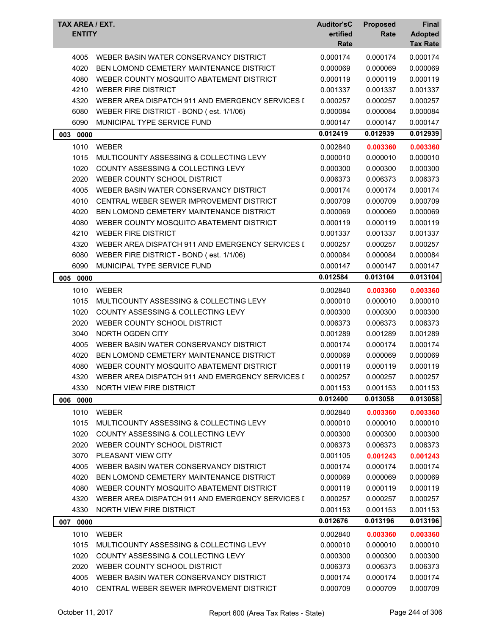| TAX AREA / EXT.<br><b>ENTITY</b> |                                                  | <b>Auditor'sC</b><br>ertified<br>Rate | <b>Proposed</b><br>Rate | Final<br><b>Adopted</b><br><b>Tax Rate</b> |
|----------------------------------|--------------------------------------------------|---------------------------------------|-------------------------|--------------------------------------------|
| 4005                             | WEBER BASIN WATER CONSERVANCY DISTRICT           | 0.000174                              | 0.000174                | 0.000174                                   |
| 4020                             | BEN LOMOND CEMETERY MAINTENANCE DISTRICT         | 0.000069                              | 0.000069                | 0.000069                                   |
| 4080                             | WEBER COUNTY MOSQUITO ABATEMENT DISTRICT         | 0.000119                              | 0.000119                | 0.000119                                   |
| 4210                             | <b>WEBER FIRE DISTRICT</b>                       | 0.001337                              | 0.001337                | 0.001337                                   |
| 4320                             | WEBER AREA DISPATCH 911 AND EMERGENCY SERVICES I | 0.000257                              | 0.000257                | 0.000257                                   |
| 6080                             | WEBER FIRE DISTRICT - BOND (est. 1/1/06)         | 0.000084                              | 0.000084                | 0.000084                                   |
| 6090                             | MUNICIPAL TYPE SERVICE FUND                      | 0.000147                              | 0.000147                | 0.000147                                   |
| 003 0000                         |                                                  | 0.012419                              | 0.012939                | 0.012939                                   |
| 1010                             | <b>WEBER</b>                                     | 0.002840                              | 0.003360                | 0.003360                                   |
| 1015                             | MULTICOUNTY ASSESSING & COLLECTING LEVY          | 0.000010                              | 0.000010                | 0.000010                                   |
| 1020                             | <b>COUNTY ASSESSING &amp; COLLECTING LEVY</b>    | 0.000300                              | 0.000300                | 0.000300                                   |
| 2020                             | WEBER COUNTY SCHOOL DISTRICT                     | 0.006373                              | 0.006373                | 0.006373                                   |
| 4005                             | WEBER BASIN WATER CONSERVANCY DISTRICT           | 0.000174                              | 0.000174                | 0.000174                                   |
| 4010                             | CENTRAL WEBER SEWER IMPROVEMENT DISTRICT         | 0.000709                              | 0.000709                | 0.000709                                   |
| 4020                             | BEN LOMOND CEMETERY MAINTENANCE DISTRICT         | 0.000069                              | 0.000069                | 0.000069                                   |
| 4080                             | WEBER COUNTY MOSQUITO ABATEMENT DISTRICT         | 0.000119                              | 0.000119                | 0.000119                                   |
| 4210                             | <b>WEBER FIRE DISTRICT</b>                       | 0.001337                              | 0.001337                | 0.001337                                   |
| 4320                             | WEBER AREA DISPATCH 911 AND EMERGENCY SERVICES I | 0.000257                              | 0.000257                | 0.000257                                   |
| 6080                             | WEBER FIRE DISTRICT - BOND (est. 1/1/06)         | 0.000084                              | 0.000084                | 0.000084                                   |
| 6090                             | MUNICIPAL TYPE SERVICE FUND                      | 0.000147                              | 0.000147                | 0.000147                                   |
| 005 0000                         |                                                  | 0.012584                              | 0.013104                | 0.013104                                   |
| 1010                             | <b>WEBER</b>                                     | 0.002840                              | 0.003360                | 0.003360                                   |
| 1015                             | MULTICOUNTY ASSESSING & COLLECTING LEVY          | 0.000010                              | 0.000010                | 0.000010                                   |
| 1020                             | COUNTY ASSESSING & COLLECTING LEVY               | 0.000300                              | 0.000300                | 0.000300                                   |
| 2020                             | WEBER COUNTY SCHOOL DISTRICT                     | 0.006373                              | 0.006373                | 0.006373                                   |
| 3040                             | NORTH OGDEN CITY                                 | 0.001289                              | 0.001289                | 0.001289                                   |
| 4005                             | WEBER BASIN WATER CONSERVANCY DISTRICT           | 0.000174                              | 0.000174                | 0.000174                                   |
| 4020                             | BEN LOMOND CEMETERY MAINTENANCE DISTRICT         | 0.000069                              | 0.000069                | 0.000069                                   |
| 4080                             | WEBER COUNTY MOSQUITO ABATEMENT DISTRICT         | 0.000119                              | 0.000119                | 0.000119                                   |
| 4320                             | WEBER AREA DISPATCH 911 AND EMERGENCY SERVICES I | 0.000257                              | 0.000257                | 0.000257                                   |
| 4330                             | NORTH VIEW FIRE DISTRICT                         | 0.001153                              | 0.001153                | 0.001153                                   |
| 006 0000                         |                                                  | 0.012400                              | 0.013058                | 0.013058                                   |
| 1010                             | <b>WEBER</b>                                     | 0.002840                              | 0.003360                | 0.003360                                   |
| 1015                             | MULTICOUNTY ASSESSING & COLLECTING LEVY          | 0.000010                              | 0.000010                | 0.000010                                   |
| 1020                             | <b>COUNTY ASSESSING &amp; COLLECTING LEVY</b>    | 0.000300                              | 0.000300                | 0.000300                                   |
| 2020                             | WEBER COUNTY SCHOOL DISTRICT                     | 0.006373                              | 0.006373                | 0.006373                                   |
| 3070                             | PLEASANT VIEW CITY                               | 0.001105                              | 0.001243                | 0.001243                                   |
| 4005                             | WEBER BASIN WATER CONSERVANCY DISTRICT           | 0.000174                              | 0.000174                | 0.000174                                   |
| 4020                             | BEN LOMOND CEMETERY MAINTENANCE DISTRICT         | 0.000069                              | 0.000069                | 0.000069                                   |
| 4080                             | WEBER COUNTY MOSQUITO ABATEMENT DISTRICT         | 0.000119                              | 0.000119                | 0.000119                                   |
| 4320                             | WEBER AREA DISPATCH 911 AND EMERGENCY SERVICES I | 0.000257                              | 0.000257                | 0.000257                                   |
| 4330                             | NORTH VIEW FIRE DISTRICT                         | 0.001153                              | 0.001153                | 0.001153                                   |
| 007 0000                         |                                                  | 0.012676                              | 0.013196                | 0.013196                                   |
| 1010                             | <b>WEBER</b>                                     | 0.002840                              | 0.003360                | 0.003360                                   |
| 1015                             | MULTICOUNTY ASSESSING & COLLECTING LEVY          | 0.000010                              | 0.000010                | 0.000010                                   |
| 1020                             | COUNTY ASSESSING & COLLECTING LEVY               | 0.000300                              | 0.000300                | 0.000300                                   |
| 2020                             | WEBER COUNTY SCHOOL DISTRICT                     | 0.006373                              | 0.006373                | 0.006373                                   |
| 4005                             | WEBER BASIN WATER CONSERVANCY DISTRICT           | 0.000174                              | 0.000174                | 0.000174                                   |
| 4010                             | CENTRAL WEBER SEWER IMPROVEMENT DISTRICT         | 0.000709                              | 0.000709                | 0.000709                                   |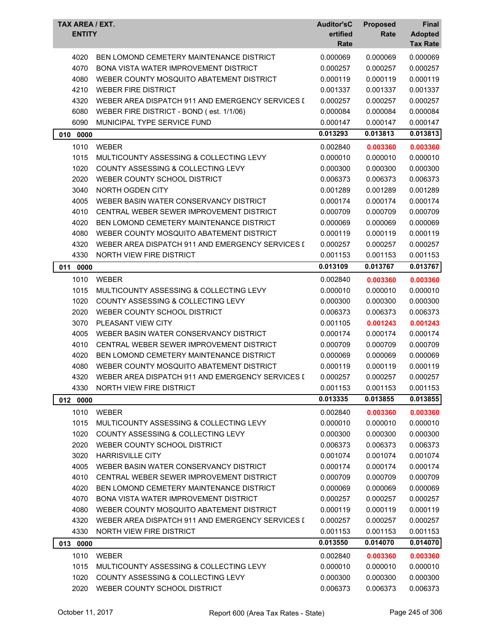| TAX AREA / EXT.<br><b>ENTITY</b> |                                                                    | <b>Auditor'sC</b><br>ertified<br>Rate | <b>Proposed</b><br>Rate | Final<br><b>Adopted</b><br><b>Tax Rate</b> |
|----------------------------------|--------------------------------------------------------------------|---------------------------------------|-------------------------|--------------------------------------------|
| 4020                             | BEN LOMOND CEMETERY MAINTENANCE DISTRICT                           | 0.000069                              | 0.000069                | 0.000069                                   |
| 4070                             | <b>BONA VISTA WATER IMPROVEMENT DISTRICT</b>                       | 0.000257                              | 0.000257                | 0.000257                                   |
| 4080                             | WEBER COUNTY MOSQUITO ABATEMENT DISTRICT                           | 0.000119                              | 0.000119                | 0.000119                                   |
| 4210                             | <b>WEBER FIRE DISTRICT</b>                                         | 0.001337                              | 0.001337                | 0.001337                                   |
| 4320                             | WEBER AREA DISPATCH 911 AND EMERGENCY SERVICES I                   | 0.000257                              | 0.000257                | 0.000257                                   |
| 6080                             | WEBER FIRE DISTRICT - BOND (est. 1/1/06)                           | 0.000084                              | 0.000084                | 0.000084                                   |
| 6090                             | MUNICIPAL TYPE SERVICE FUND                                        | 0.000147                              | 0.000147                | 0.000147                                   |
| 010 0000                         |                                                                    | 0.013293                              | 0.013813                | 0.013813                                   |
| 1010                             | <b>WEBER</b>                                                       | 0.002840                              | 0.003360                | 0.003360                                   |
| 1015                             | MULTICOUNTY ASSESSING & COLLECTING LEVY                            | 0.000010                              | 0.000010                | 0.000010                                   |
| 1020                             | COUNTY ASSESSING & COLLECTING LEVY                                 | 0.000300                              | 0.000300                | 0.000300                                   |
| 2020                             | WEBER COUNTY SCHOOL DISTRICT                                       | 0.006373                              | 0.006373                | 0.006373                                   |
| 3040                             | NORTH OGDEN CITY                                                   | 0.001289                              | 0.001289                | 0.001289                                   |
| 4005                             | WEBER BASIN WATER CONSERVANCY DISTRICT                             | 0.000174                              | 0.000174                | 0.000174                                   |
| 4010                             | CENTRAL WEBER SEWER IMPROVEMENT DISTRICT                           | 0.000709                              | 0.000709                | 0.000709                                   |
| 4020                             | BEN LOMOND CEMETERY MAINTENANCE DISTRICT                           | 0.000069                              | 0.000069                | 0.000069                                   |
| 4080                             | WEBER COUNTY MOSQUITO ABATEMENT DISTRICT                           | 0.000119                              | 0.000119                | 0.000119                                   |
| 4320                             | WEBER AREA DISPATCH 911 AND EMERGENCY SERVICES I                   | 0.000257                              | 0.000257                | 0.000257                                   |
| 4330                             | NORTH VIEW FIRE DISTRICT                                           | 0.001153                              | 0.001153                | 0.001153                                   |
| 0000<br>011                      |                                                                    | 0.013109                              | 0.013767                | 0.013767                                   |
| 1010                             | <b>WEBER</b>                                                       | 0.002840                              | 0.003360                | 0.003360                                   |
| 1015                             | MULTICOUNTY ASSESSING & COLLECTING LEVY                            | 0.000010                              | 0.000010                | 0.000010                                   |
| 1020                             | COUNTY ASSESSING & COLLECTING LEVY                                 | 0.000300                              | 0.000300                | 0.000300                                   |
| 2020                             | WEBER COUNTY SCHOOL DISTRICT                                       | 0.006373                              | 0.006373                | 0.006373                                   |
| 3070                             | PLEASANT VIEW CITY                                                 | 0.001105                              | 0.001243                | 0.001243                                   |
| 4005                             | WEBER BASIN WATER CONSERVANCY DISTRICT                             | 0.000174                              | 0.000174                | 0.000174                                   |
| 4010                             | CENTRAL WEBER SEWER IMPROVEMENT DISTRICT                           | 0.000709                              | 0.000709                | 0.000709                                   |
| 4020                             | BEN LOMOND CEMETERY MAINTENANCE DISTRICT                           | 0.000069                              | 0.000069                | 0.000069                                   |
| 4080                             | WEBER COUNTY MOSQUITO ABATEMENT DISTRICT                           | 0.000119                              | 0.000119                | 0.000119                                   |
| 4320                             | WEBER AREA DISPATCH 911 AND EMERGENCY SERVICES I                   | 0.000257                              | 0.000257                | 0.000257                                   |
| 4330                             | NORTH VIEW FIRE DISTRICT                                           | 0.001153                              | 0.001153                | 0.001153                                   |
| 012 0000                         |                                                                    | 0.013335                              | 0.013855                | 0.013855                                   |
|                                  |                                                                    |                                       |                         |                                            |
| 1010                             | <b>WEBER</b>                                                       | 0.002840                              | 0.003360                | 0.003360                                   |
| 1015                             | MULTICOUNTY ASSESSING & COLLECTING LEVY                            | 0.000010                              | 0.000010<br>0.000300    | 0.000010                                   |
| 1020                             | COUNTY ASSESSING & COLLECTING LEVY                                 | 0.000300                              |                         | 0.000300                                   |
| 2020<br>3020                     | WEBER COUNTY SCHOOL DISTRICT<br><b>HARRISVILLE CITY</b>            | 0.006373                              | 0.006373<br>0.001074    | 0.006373                                   |
| 4005                             | WEBER BASIN WATER CONSERVANCY DISTRICT                             | 0.001074<br>0.000174                  | 0.000174                | 0.001074<br>0.000174                       |
| 4010                             | CENTRAL WEBER SEWER IMPROVEMENT DISTRICT                           | 0.000709                              | 0.000709                | 0.000709                                   |
| 4020                             | BEN LOMOND CEMETERY MAINTENANCE DISTRICT                           | 0.000069                              | 0.000069                | 0.000069                                   |
| 4070                             | <b>BONA VISTA WATER IMPROVEMENT DISTRICT</b>                       | 0.000257                              | 0.000257                | 0.000257                                   |
| 4080                             | WEBER COUNTY MOSQUITO ABATEMENT DISTRICT                           | 0.000119                              | 0.000119                | 0.000119                                   |
| 4320                             | WEBER AREA DISPATCH 911 AND EMERGENCY SERVICES I                   | 0.000257                              | 0.000257                | 0.000257                                   |
| 4330                             | NORTH VIEW FIRE DISTRICT                                           | 0.001153                              | 0.001153                | 0.001153                                   |
| 013 0000                         |                                                                    | 0.013550                              | 0.014070                | 0.014070                                   |
|                                  |                                                                    |                                       |                         |                                            |
| 1010                             | <b>WEBER</b>                                                       | 0.002840                              | 0.003360                | 0.003360                                   |
| 1015                             | MULTICOUNTY ASSESSING & COLLECTING LEVY                            | 0.000010                              | 0.000010                | 0.000010                                   |
| 1020<br>2020                     | COUNTY ASSESSING & COLLECTING LEVY<br>WEBER COUNTY SCHOOL DISTRICT | 0.000300                              | 0.000300                | 0.000300                                   |
|                                  |                                                                    | 0.006373                              | 0.006373                | 0.006373                                   |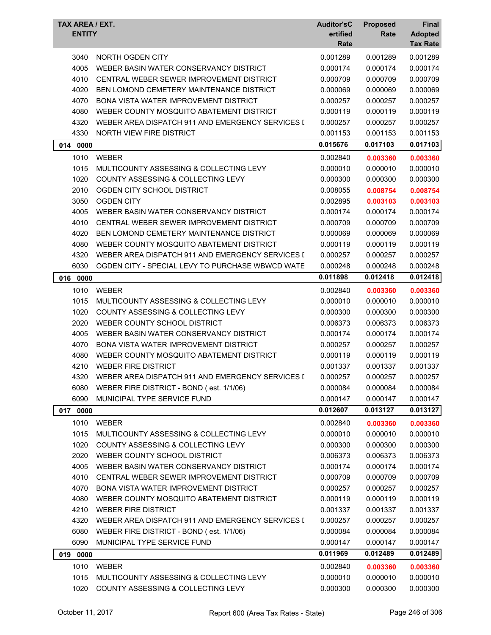| <b>TAX AREA / EXT.</b><br><b>ENTITY</b> |                                                         | <b>Auditor'sC</b><br>ertified<br>Rate | <b>Proposed</b><br>Rate | <b>Final</b><br><b>Adopted</b><br><b>Tax Rate</b> |
|-----------------------------------------|---------------------------------------------------------|---------------------------------------|-------------------------|---------------------------------------------------|
| 3040                                    | NORTH OGDEN CITY                                        | 0.001289                              | 0.001289                | 0.001289                                          |
| 4005                                    | WEBER BASIN WATER CONSERVANCY DISTRICT                  | 0.000174                              | 0.000174                | 0.000174                                          |
| 4010                                    | CENTRAL WEBER SEWER IMPROVEMENT DISTRICT                | 0.000709                              | 0.000709                | 0.000709                                          |
| 4020                                    | BEN LOMOND CEMETERY MAINTENANCE DISTRICT                | 0.000069                              | 0.000069                | 0.000069                                          |
| 4070                                    | <b>BONA VISTA WATER IMPROVEMENT DISTRICT</b>            | 0.000257                              | 0.000257                | 0.000257                                          |
| 4080                                    | WEBER COUNTY MOSQUITO ABATEMENT DISTRICT                | 0.000119                              | 0.000119                | 0.000119                                          |
| 4320                                    | WEBER AREA DISPATCH 911 AND EMERGENCY SERVICES I        | 0.000257                              | 0.000257                | 0.000257                                          |
| 4330                                    | NORTH VIEW FIRE DISTRICT                                | 0.001153                              | 0.001153                | 0.001153                                          |
| 0000<br>014                             |                                                         | 0.015676                              | 0.017103                | 0.017103                                          |
| 1010                                    | <b>WEBER</b>                                            | 0.002840                              | 0.003360                | 0.003360                                          |
| 1015                                    | MULTICOUNTY ASSESSING & COLLECTING LEVY                 | 0.000010                              | 0.000010                | 0.000010                                          |
| 1020                                    | COUNTY ASSESSING & COLLECTING LEVY                      | 0.000300                              | 0.000300                | 0.000300                                          |
| 2010                                    | OGDEN CITY SCHOOL DISTRICT                              | 0.008055                              | 0.008754                | 0.008754                                          |
| 3050                                    | <b>OGDEN CITY</b>                                       | 0.002895                              | 0.003103                | 0.003103                                          |
| 4005                                    | WEBER BASIN WATER CONSERVANCY DISTRICT                  | 0.000174                              | 0.000174                | 0.000174                                          |
| 4010                                    | CENTRAL WEBER SEWER IMPROVEMENT DISTRICT                | 0.000709                              | 0.000709                | 0.000709                                          |
| 4020                                    | BEN LOMOND CEMETERY MAINTENANCE DISTRICT                | 0.000069                              | 0.000069                | 0.000069                                          |
| 4080                                    | WEBER COUNTY MOSQUITO ABATEMENT DISTRICT                | 0.000119                              | 0.000119                | 0.000119                                          |
| 4320                                    | WEBER AREA DISPATCH 911 AND EMERGENCY SERVICES I        | 0.000257                              | 0.000257                | 0.000257                                          |
| 6030                                    | OGDEN CITY - SPECIAL LEVY TO PURCHASE WBWCD WATE        | 0.000248                              | 0.000248                | 0.000248                                          |
| 016<br>0000                             |                                                         | 0.011898                              | 0.012418                | 0.012418                                          |
| 1010                                    | <b>WEBER</b>                                            | 0.002840                              | 0.003360                | 0.003360                                          |
| 1015                                    | MULTICOUNTY ASSESSING & COLLECTING LEVY                 | 0.000010                              | 0.000010                | 0.000010                                          |
| 1020                                    | <b>COUNTY ASSESSING &amp; COLLECTING LEVY</b>           | 0.000300                              | 0.000300                | 0.000300                                          |
| 2020                                    | WEBER COUNTY SCHOOL DISTRICT                            | 0.006373                              | 0.006373                | 0.006373                                          |
| 4005                                    | WEBER BASIN WATER CONSERVANCY DISTRICT                  | 0.000174                              | 0.000174                | 0.000174                                          |
| 4070                                    | BONA VISTA WATER IMPROVEMENT DISTRICT                   | 0.000257                              | 0.000257                | 0.000257                                          |
| 4080                                    | WEBER COUNTY MOSQUITO ABATEMENT DISTRICT                | 0.000119                              | 0.000119                | 0.000119                                          |
| 4210                                    | <b>WEBER FIRE DISTRICT</b>                              | 0.001337                              | 0.001337                | 0.001337                                          |
| 4320                                    | WEBER AREA DISPATCH 911 AND EMERGENCY SERVICES I        | 0.000257                              | 0.000257                | 0.000257                                          |
| 6080                                    | WEBER FIRE DISTRICT - BOND (est. 1/1/06)                | 0.000084                              | 0.000084                | 0.000084                                          |
| 6090                                    | MUNICIPAL TYPE SERVICE FUND                             | 0.000147                              | 0.000147                | 0.000147                                          |
| 0000<br>017                             |                                                         | 0.012607                              | 0.013127                | 0.013127                                          |
| 1010                                    | WEBER                                                   | 0.002840                              | 0.003360                | 0.003360                                          |
| 1015                                    | MULTICOUNTY ASSESSING & COLLECTING LEVY                 | 0.000010                              | 0.000010                | 0.000010                                          |
| 1020                                    | COUNTY ASSESSING & COLLECTING LEVY                      | 0.000300                              | 0.000300                | 0.000300                                          |
| 2020                                    | WEBER COUNTY SCHOOL DISTRICT                            | 0.006373                              | 0.006373                | 0.006373                                          |
| 4005                                    | WEBER BASIN WATER CONSERVANCY DISTRICT                  | 0.000174                              | 0.000174                | 0.000174                                          |
| 4010                                    | CENTRAL WEBER SEWER IMPROVEMENT DISTRICT                | 0.000709                              | 0.000709                | 0.000709                                          |
| 4070                                    | BONA VISTA WATER IMPROVEMENT DISTRICT                   | 0.000257                              | 0.000257                | 0.000257                                          |
| 4080                                    | WEBER COUNTY MOSQUITO ABATEMENT DISTRICT                | 0.000119                              | 0.000119                | 0.000119                                          |
| 4210                                    | <b>WEBER FIRE DISTRICT</b>                              | 0.001337                              | 0.001337                | 0.001337                                          |
| 4320                                    | WEBER AREA DISPATCH 911 AND EMERGENCY SERVICES I        | 0.000257                              | 0.000257                | 0.000257                                          |
| 6080                                    | WEBER FIRE DISTRICT - BOND (est. 1/1/06)                | 0.000084                              | 0.000084                | 0.000084                                          |
| 6090                                    | MUNICIPAL TYPE SERVICE FUND                             | 0.000147                              | 0.000147                | 0.000147                                          |
| 019 0000                                |                                                         | 0.011969                              | 0.012489                | 0.012489                                          |
|                                         |                                                         |                                       |                         |                                                   |
| 1010<br>1015                            | <b>WEBER</b><br>MULTICOUNTY ASSESSING & COLLECTING LEVY | 0.002840                              | 0.003360<br>0.000010    | 0.003360                                          |
| 1020                                    | COUNTY ASSESSING & COLLECTING LEVY                      | 0.000010<br>0.000300                  | 0.000300                | 0.000010<br>0.000300                              |
|                                         |                                                         |                                       |                         |                                                   |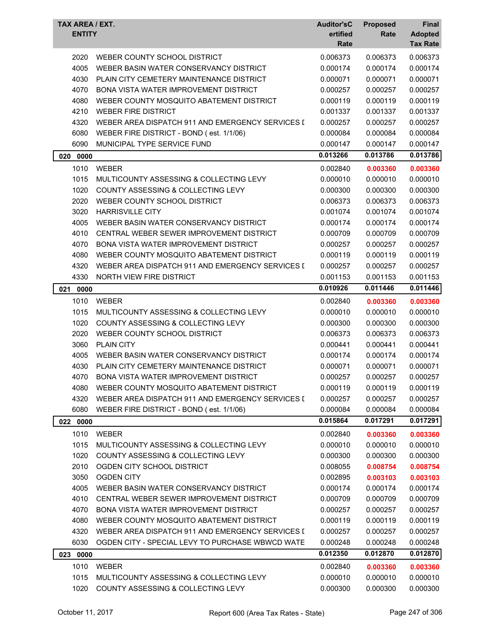| TAX AREA / EXT.<br><b>ENTITY</b> |                                                  | <b>Auditor'sC</b><br>ertified<br>Rate | <b>Proposed</b><br>Rate | Final<br><b>Adopted</b><br><b>Tax Rate</b> |
|----------------------------------|--------------------------------------------------|---------------------------------------|-------------------------|--------------------------------------------|
|                                  |                                                  |                                       |                         |                                            |
| 2020                             | WEBER COUNTY SCHOOL DISTRICT                     | 0.006373                              | 0.006373                | 0.006373                                   |
| 4005                             | WEBER BASIN WATER CONSERVANCY DISTRICT           | 0.000174                              | 0.000174                | 0.000174                                   |
| 4030                             | PLAIN CITY CEMETERY MAINTENANCE DISTRICT         | 0.000071                              | 0.000071                | 0.000071                                   |
| 4070                             | <b>BONA VISTA WATER IMPROVEMENT DISTRICT</b>     | 0.000257                              | 0.000257                | 0.000257                                   |
| 4080                             | WEBER COUNTY MOSQUITO ABATEMENT DISTRICT         | 0.000119                              | 0.000119                | 0.000119                                   |
| 4210                             | <b>WEBER FIRE DISTRICT</b>                       | 0.001337                              | 0.001337                | 0.001337                                   |
| 4320                             | WEBER AREA DISPATCH 911 AND EMERGENCY SERVICES I | 0.000257                              | 0.000257                | 0.000257                                   |
| 6080                             | WEBER FIRE DISTRICT - BOND (est. 1/1/06)         | 0.000084                              | 0.000084                | 0.000084                                   |
| 6090                             | MUNICIPAL TYPE SERVICE FUND                      | 0.000147                              | 0.000147                | 0.000147                                   |
| 020<br>0000                      |                                                  | 0.013266                              | 0.013786                | 0.013786                                   |
| 1010                             | <b>WEBER</b>                                     | 0.002840                              | 0.003360                | 0.003360                                   |
| 1015                             | MULTICOUNTY ASSESSING & COLLECTING LEVY          | 0.000010                              | 0.000010                | 0.000010                                   |
| 1020                             | COUNTY ASSESSING & COLLECTING LEVY               | 0.000300                              | 0.000300                | 0.000300                                   |
| 2020                             | WEBER COUNTY SCHOOL DISTRICT                     | 0.006373                              | 0.006373                | 0.006373                                   |
| 3020                             | <b>HARRISVILLE CITY</b>                          | 0.001074                              | 0.001074                | 0.001074                                   |
| 4005                             | WEBER BASIN WATER CONSERVANCY DISTRICT           | 0.000174                              | 0.000174                | 0.000174                                   |
| 4010                             | CENTRAL WEBER SEWER IMPROVEMENT DISTRICT         | 0.000709                              | 0.000709                | 0.000709                                   |
| 4070                             | <b>BONA VISTA WATER IMPROVEMENT DISTRICT</b>     | 0.000257                              | 0.000257                | 0.000257                                   |
| 4080                             | WEBER COUNTY MOSQUITO ABATEMENT DISTRICT         | 0.000119                              | 0.000119                | 0.000119                                   |
| 4320                             | WEBER AREA DISPATCH 911 AND EMERGENCY SERVICES I | 0.000257                              | 0.000257                | 0.000257                                   |
| 4330                             | <b>NORTH VIEW FIRE DISTRICT</b>                  | 0.001153                              | 0.001153                | 0.001153                                   |
| 021<br>0000                      |                                                  | 0.010926                              | 0.011446                | 0.011446                                   |
| 1010                             | <b>WEBER</b>                                     | 0.002840                              | 0.003360                | 0.003360                                   |
| 1015                             | MULTICOUNTY ASSESSING & COLLECTING LEVY          | 0.000010                              | 0.000010                | 0.000010                                   |
| 1020                             | COUNTY ASSESSING & COLLECTING LEVY               | 0.000300                              | 0.000300                | 0.000300                                   |
| 2020                             | WEBER COUNTY SCHOOL DISTRICT                     | 0.006373                              | 0.006373                | 0.006373                                   |
| 3060                             | <b>PLAIN CITY</b>                                | 0.000441                              | 0.000441                | 0.000441                                   |
| 4005                             | WEBER BASIN WATER CONSERVANCY DISTRICT           | 0.000174                              | 0.000174                | 0.000174                                   |
| 4030                             | PLAIN CITY CEMETERY MAINTENANCE DISTRICT         | 0.000071                              | 0.000071                | 0.000071                                   |
| 4070                             | BONA VISTA WATER IMPROVEMENT DISTRICT            | 0.000257                              | 0.000257                | 0.000257                                   |
| 4080                             | WEBER COUNTY MOSQUITO ABATEMENT DISTRICT         | 0.000119                              | 0.000119                | 0.000119                                   |
| 4320                             | WEBER AREA DISPATCH 911 AND EMERGENCY SERVICES I | 0.000257                              | 0.000257                | 0.000257                                   |
| 6080                             | WEBER FIRE DISTRICT - BOND (est. 1/1/06)         | 0.000084                              | 0.000084                | 0.000084                                   |
| 022 0000                         |                                                  | 0.015864                              | 0.017291                | 0.017291                                   |
|                                  |                                                  |                                       |                         |                                            |
| 1010                             | <b>WEBER</b>                                     | 0.002840                              | 0.003360                | 0.003360                                   |
| 1015                             | MULTICOUNTY ASSESSING & COLLECTING LEVY          | 0.000010                              | 0.000010                | 0.000010                                   |
| 1020                             | COUNTY ASSESSING & COLLECTING LEVY               | 0.000300                              | 0.000300                | 0.000300                                   |
| 2010                             | OGDEN CITY SCHOOL DISTRICT                       | 0.008055                              | 0.008754                | 0.008754                                   |
| 3050                             | <b>OGDEN CITY</b>                                | 0.002895                              | 0.003103                | 0.003103                                   |
| 4005                             | WEBER BASIN WATER CONSERVANCY DISTRICT           | 0.000174                              | 0.000174                | 0.000174                                   |
| 4010                             | CENTRAL WEBER SEWER IMPROVEMENT DISTRICT         | 0.000709                              | 0.000709                | 0.000709                                   |
| 4070                             | <b>BONA VISTA WATER IMPROVEMENT DISTRICT</b>     | 0.000257                              | 0.000257                | 0.000257                                   |
| 4080                             | WEBER COUNTY MOSQUITO ABATEMENT DISTRICT         | 0.000119                              | 0.000119                | 0.000119                                   |
| 4320                             | WEBER AREA DISPATCH 911 AND EMERGENCY SERVICES I | 0.000257                              | 0.000257                | 0.000257                                   |
| 6030                             | OGDEN CITY - SPECIAL LEVY TO PURCHASE WBWCD WATE | 0.000248                              | 0.000248                | 0.000248                                   |
| 023 0000                         |                                                  | 0.012350                              | 0.012870                | 0.012870                                   |
| 1010                             | <b>WEBER</b>                                     | 0.002840                              | 0.003360                | 0.003360                                   |
| 1015                             | MULTICOUNTY ASSESSING & COLLECTING LEVY          | 0.000010                              | 0.000010                | 0.000010                                   |
| 1020                             | COUNTY ASSESSING & COLLECTING LEVY               | 0.000300                              | 0.000300                | 0.000300                                   |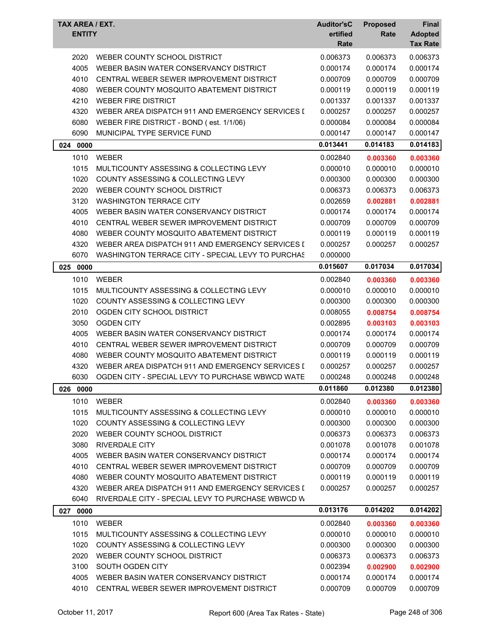| TAX AREA / EXT.<br><b>ENTITY</b> |                                                   | <b>Auditor'sC</b><br>ertified<br>Rate | <b>Proposed</b><br>Rate | <b>Final</b><br><b>Adopted</b><br><b>Tax Rate</b> |
|----------------------------------|---------------------------------------------------|---------------------------------------|-------------------------|---------------------------------------------------|
| 2020                             | WEBER COUNTY SCHOOL DISTRICT                      | 0.006373                              | 0.006373                | 0.006373                                          |
| 4005                             | WEBER BASIN WATER CONSERVANCY DISTRICT            | 0.000174                              | 0.000174                | 0.000174                                          |
| 4010                             | CENTRAL WEBER SEWER IMPROVEMENT DISTRICT          | 0.000709                              | 0.000709                | 0.000709                                          |
| 4080                             | WEBER COUNTY MOSQUITO ABATEMENT DISTRICT          | 0.000119                              | 0.000119                | 0.000119                                          |
| 4210                             | <b>WEBER FIRE DISTRICT</b>                        | 0.001337                              | 0.001337                | 0.001337                                          |
| 4320                             | WEBER AREA DISPATCH 911 AND EMERGENCY SERVICES I  | 0.000257                              | 0.000257                | 0.000257                                          |
| 6080                             | WEBER FIRE DISTRICT - BOND (est. 1/1/06)          | 0.000084                              | 0.000084                | 0.000084                                          |
| 6090                             | MUNICIPAL TYPE SERVICE FUND                       | 0.000147                              | 0.000147                | 0.000147                                          |
| 0000<br>024                      |                                                   | 0.013441                              | 0.014183                | 0.014183                                          |
| 1010                             | <b>WEBER</b>                                      | 0.002840                              | 0.003360                | 0.003360                                          |
| 1015                             | MULTICOUNTY ASSESSING & COLLECTING LEVY           | 0.000010                              | 0.000010                | 0.000010                                          |
| 1020                             | <b>COUNTY ASSESSING &amp; COLLECTING LEVY</b>     | 0.000300                              | 0.000300                | 0.000300                                          |
| 2020                             | WEBER COUNTY SCHOOL DISTRICT                      | 0.006373                              | 0.006373                | 0.006373                                          |
| 3120                             | <b>WASHINGTON TERRACE CITY</b>                    | 0.002659                              | 0.002881                | 0.002881                                          |
| 4005                             | WEBER BASIN WATER CONSERVANCY DISTRICT            | 0.000174                              | 0.000174                | 0.000174                                          |
| 4010                             | CENTRAL WEBER SEWER IMPROVEMENT DISTRICT          | 0.000709                              | 0.000709                | 0.000709                                          |
| 4080                             | WEBER COUNTY MOSQUITO ABATEMENT DISTRICT          | 0.000119                              | 0.000119                | 0.000119                                          |
| 4320                             | WEBER AREA DISPATCH 911 AND EMERGENCY SERVICES I  | 0.000257                              | 0.000257                | 0.000257                                          |
| 6070                             | WASHINGTON TERRACE CITY - SPECIAL LEVY TO PURCHAS | 0.000000                              |                         |                                                   |
| 025 0000                         |                                                   | 0.015607                              | 0.017034                | 0.017034                                          |
| 1010                             | <b>WEBER</b>                                      | 0.002840                              | 0.003360                | 0.003360                                          |
| 1015                             | MULTICOUNTY ASSESSING & COLLECTING LEVY           | 0.000010                              | 0.000010                | 0.000010                                          |
| 1020                             | COUNTY ASSESSING & COLLECTING LEVY                | 0.000300                              | 0.000300                | 0.000300                                          |
| 2010                             | OGDEN CITY SCHOOL DISTRICT                        | 0.008055                              | 0.008754                | 0.008754                                          |
| 3050                             | <b>OGDEN CITY</b>                                 | 0.002895                              | 0.003103                | 0.003103                                          |
| 4005                             | WEBER BASIN WATER CONSERVANCY DISTRICT            | 0.000174                              | 0.000174                | 0.000174                                          |
| 4010                             | CENTRAL WEBER SEWER IMPROVEMENT DISTRICT          | 0.000709                              | 0.000709                | 0.000709                                          |
| 4080                             | WEBER COUNTY MOSQUITO ABATEMENT DISTRICT          | 0.000119                              | 0.000119                | 0.000119                                          |
| 4320                             | WEBER AREA DISPATCH 911 AND EMERGENCY SERVICES I  | 0.000257                              | 0.000257                | 0.000257                                          |
| 6030                             | OGDEN CITY - SPECIAL LEVY TO PURCHASE WBWCD WATE  | 0.000248                              | 0.000248                | 0.000248                                          |
| 026 0000                         |                                                   | 0.011860                              | 0.012380                | 0.012380                                          |
| 1010                             | <b>WEBER</b>                                      | 0.002840                              | 0.003360                | 0.003360                                          |
| 1015                             | MULTICOUNTY ASSESSING & COLLECTING LEVY           | 0.000010                              | 0.000010                | 0.000010                                          |
| 1020                             | COUNTY ASSESSING & COLLECTING LEVY                | 0.000300                              | 0.000300                | 0.000300                                          |
| 2020                             | WEBER COUNTY SCHOOL DISTRICT                      | 0.006373                              | 0.006373                | 0.006373                                          |
| 3080                             | <b>RIVERDALE CITY</b>                             | 0.001078                              | 0.001078                | 0.001078                                          |
| 4005                             | WEBER BASIN WATER CONSERVANCY DISTRICT            | 0.000174                              | 0.000174                | 0.000174                                          |
| 4010                             | CENTRAL WEBER SEWER IMPROVEMENT DISTRICT          | 0.000709                              | 0.000709                | 0.000709                                          |
| 4080                             | WEBER COUNTY MOSQUITO ABATEMENT DISTRICT          | 0.000119                              | 0.000119                | 0.000119                                          |
| 4320                             | WEBER AREA DISPATCH 911 AND EMERGENCY SERVICES I  | 0.000257                              | 0.000257                | 0.000257                                          |
| 6040                             | RIVERDALE CITY - SPECIAL LEVY TO PURCHASE WBWCD W |                                       |                         |                                                   |
| 027 0000                         |                                                   | 0.013176                              | 0.014202                | 0.014202                                          |
| 1010                             | <b>WEBER</b>                                      | 0.002840                              | 0.003360                | 0.003360                                          |
| 1015                             | MULTICOUNTY ASSESSING & COLLECTING LEVY           | 0.000010                              | 0.000010                | 0.000010                                          |
| 1020                             | <b>COUNTY ASSESSING &amp; COLLECTING LEVY</b>     | 0.000300                              | 0.000300                | 0.000300                                          |
| 2020                             | WEBER COUNTY SCHOOL DISTRICT                      | 0.006373                              | 0.006373                | 0.006373                                          |
| 3100                             | SOUTH OGDEN CITY                                  | 0.002394                              | 0.002900                | 0.002900                                          |
| 4005                             | WEBER BASIN WATER CONSERVANCY DISTRICT            | 0.000174                              | 0.000174                | 0.000174                                          |
| 4010                             | CENTRAL WEBER SEWER IMPROVEMENT DISTRICT          | 0.000709                              | 0.000709                | 0.000709                                          |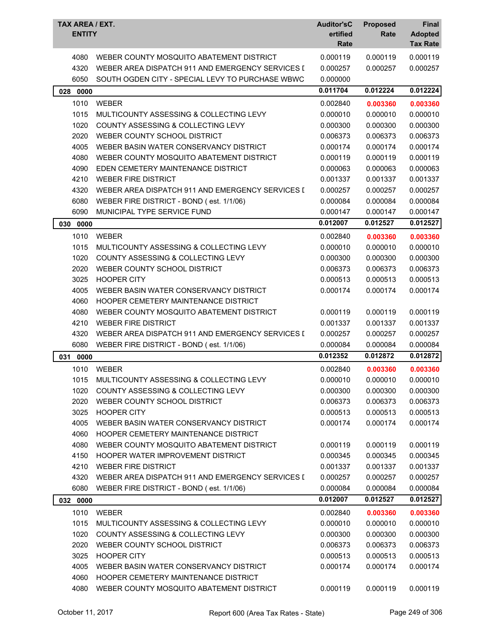| TAX AREA / EXT.<br><b>ENTITY</b> |                                                                        | <b>Auditor'sC</b><br>ertified<br>Rate | <b>Proposed</b><br>Rate | Final<br><b>Adopted</b><br><b>Tax Rate</b> |
|----------------------------------|------------------------------------------------------------------------|---------------------------------------|-------------------------|--------------------------------------------|
| 4080                             | WEBER COUNTY MOSQUITO ABATEMENT DISTRICT                               | 0.000119                              | 0.000119                | 0.000119                                   |
| 4320                             | WEBER AREA DISPATCH 911 AND EMERGENCY SERVICES I                       | 0.000257                              | 0.000257                | 0.000257                                   |
| 6050                             | SOUTH OGDEN CITY - SPECIAL LEVY TO PURCHASE WBWC                       | 0.000000                              |                         |                                            |
| 028 0000                         |                                                                        | 0.011704                              | 0.012224                | 0.012224                                   |
| 1010                             | <b>WEBER</b>                                                           | 0.002840                              | 0.003360                | 0.003360                                   |
| 1015                             | MULTICOUNTY ASSESSING & COLLECTING LEVY                                | 0.000010                              | 0.000010                | 0.000010                                   |
| 1020                             | COUNTY ASSESSING & COLLECTING LEVY                                     | 0.000300                              | 0.000300                | 0.000300                                   |
| 2020                             | WEBER COUNTY SCHOOL DISTRICT                                           | 0.006373                              | 0.006373                | 0.006373                                   |
| 4005                             | WEBER BASIN WATER CONSERVANCY DISTRICT                                 | 0.000174                              | 0.000174                | 0.000174                                   |
| 4080                             | WEBER COUNTY MOSQUITO ABATEMENT DISTRICT                               | 0.000119                              | 0.000119                | 0.000119                                   |
| 4090                             | EDEN CEMETERY MAINTENANCE DISTRICT                                     | 0.000063                              | 0.000063                | 0.000063                                   |
| 4210                             | <b>WEBER FIRE DISTRICT</b>                                             | 0.001337                              | 0.001337                | 0.001337                                   |
| 4320                             | WEBER AREA DISPATCH 911 AND EMERGENCY SERVICES I                       | 0.000257                              | 0.000257                | 0.000257                                   |
| 6080                             | WEBER FIRE DISTRICT - BOND (est. 1/1/06)                               | 0.000084                              | 0.000084                | 0.000084                                   |
| 6090                             | MUNICIPAL TYPE SERVICE FUND                                            | 0.000147                              | 0.000147                | 0.000147                                   |
| 0000<br>030                      |                                                                        | 0.012007                              | 0.012527                | 0.012527                                   |
| 1010                             | <b>WEBER</b>                                                           | 0.002840                              | 0.003360                | 0.003360                                   |
| 1015                             | MULTICOUNTY ASSESSING & COLLECTING LEVY                                | 0.000010                              | 0.000010                | 0.000010                                   |
| 1020                             | COUNTY ASSESSING & COLLECTING LEVY                                     | 0.000300                              | 0.000300                | 0.000300                                   |
|                                  |                                                                        |                                       |                         |                                            |
| 2020                             | WEBER COUNTY SCHOOL DISTRICT<br><b>HOOPER CITY</b>                     | 0.006373                              | 0.006373                | 0.006373                                   |
| 3025<br>4005                     | WEBER BASIN WATER CONSERVANCY DISTRICT                                 | 0.000513                              | 0.000513                | 0.000513                                   |
|                                  | HOOPER CEMETERY MAINTENANCE DISTRICT                                   | 0.000174                              | 0.000174                | 0.000174                                   |
| 4060                             |                                                                        |                                       |                         |                                            |
| 4080<br>4210                     | WEBER COUNTY MOSQUITO ABATEMENT DISTRICT<br><b>WEBER FIRE DISTRICT</b> | 0.000119<br>0.001337                  | 0.000119                | 0.000119                                   |
|                                  | WEBER AREA DISPATCH 911 AND EMERGENCY SERVICES I                       |                                       | 0.001337                | 0.001337                                   |
| 4320                             |                                                                        | 0.000257                              | 0.000257                | 0.000257                                   |
| 6080                             | WEBER FIRE DISTRICT - BOND (est. 1/1/06)                               | 0.000084<br>0.012352                  | 0.000084                | 0.000084                                   |
| 031<br>0000                      |                                                                        |                                       | 0.012872                | 0.012872                                   |
| 1010                             | WEBER                                                                  | 0.002840                              | 0.003360                | 0.003360                                   |
| 1015                             | MULTICOUNTY ASSESSING & COLLECTING LEVY                                | 0.000010                              | 0.000010                | 0.000010                                   |
| 1020                             | COUNTY ASSESSING & COLLECTING LEVY                                     | 0.000300                              | 0.000300                | 0.000300                                   |
| 2020                             | WEBER COUNTY SCHOOL DISTRICT                                           | 0.006373                              | 0.006373                | 0.006373                                   |
| 3025                             | <b>HOOPER CITY</b>                                                     | 0.000513                              | 0.000513                | 0.000513                                   |
| 4005                             | WEBER BASIN WATER CONSERVANCY DISTRICT                                 | 0.000174                              | 0.000174                | 0.000174                                   |
| 4060                             | <b>HOOPER CEMETERY MAINTENANCE DISTRICT</b>                            |                                       |                         |                                            |
| 4080                             | WEBER COUNTY MOSQUITO ABATEMENT DISTRICT                               | 0.000119                              | 0.000119                | 0.000119                                   |
| 4150                             | HOOPER WATER IMPROVEMENT DISTRICT                                      | 0.000345                              | 0.000345                | 0.000345                                   |
| 4210                             | <b>WEBER FIRE DISTRICT</b>                                             | 0.001337                              | 0.001337                | 0.001337                                   |
| 4320                             | WEBER AREA DISPATCH 911 AND EMERGENCY SERVICES I                       | 0.000257                              | 0.000257                | 0.000257                                   |
| 6080                             | WEBER FIRE DISTRICT - BOND (est. 1/1/06)                               | 0.000084                              | 0.000084                | 0.000084                                   |
| 032 0000                         |                                                                        | 0.012007                              | 0.012527                | 0.012527                                   |
| 1010                             | <b>WEBER</b>                                                           | 0.002840                              | 0.003360                | 0.003360                                   |
| 1015                             | MULTICOUNTY ASSESSING & COLLECTING LEVY                                | 0.000010                              | 0.000010                | 0.000010                                   |
| 1020                             | COUNTY ASSESSING & COLLECTING LEVY                                     | 0.000300                              | 0.000300                | 0.000300                                   |
| 2020                             | WEBER COUNTY SCHOOL DISTRICT                                           | 0.006373                              | 0.006373                | 0.006373                                   |
| 3025                             | <b>HOOPER CITY</b>                                                     | 0.000513                              | 0.000513                | 0.000513                                   |
| 4005                             | WEBER BASIN WATER CONSERVANCY DISTRICT                                 | 0.000174                              | 0.000174                | 0.000174                                   |
| 4060                             | HOOPER CEMETERY MAINTENANCE DISTRICT                                   |                                       |                         |                                            |
| 4080                             | WEBER COUNTY MOSQUITO ABATEMENT DISTRICT                               | 0.000119                              | 0.000119                | 0.000119                                   |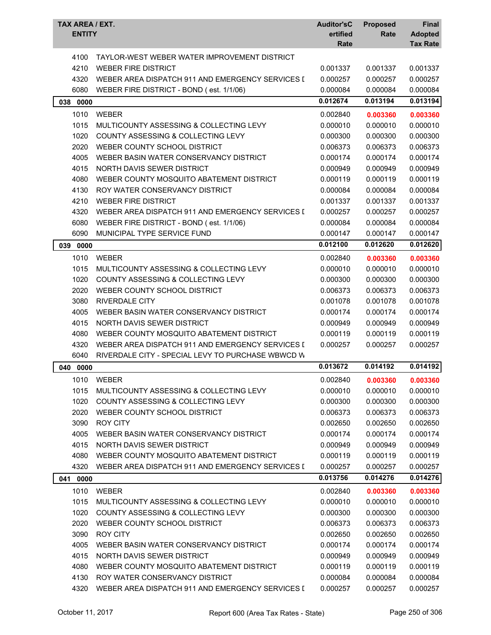| <b>TAX AREA / EXT.</b><br><b>ENTITY</b> |                                                   | <b>Auditor'sC</b><br>ertified<br>Rate | <b>Proposed</b><br>Rate | Final<br><b>Adopted</b><br><b>Tax Rate</b> |
|-----------------------------------------|---------------------------------------------------|---------------------------------------|-------------------------|--------------------------------------------|
| 4100                                    | TAYLOR-WEST WEBER WATER IMPROVEMENT DISTRICT      |                                       |                         |                                            |
| 4210                                    | <b>WEBER FIRE DISTRICT</b>                        | 0.001337                              | 0.001337                | 0.001337                                   |
| 4320                                    | WEBER AREA DISPATCH 911 AND EMERGENCY SERVICES I  | 0.000257                              | 0.000257                | 0.000257                                   |
| 6080                                    | WEBER FIRE DISTRICT - BOND (est. 1/1/06)          | 0.000084                              | 0.000084                | 0.000084                                   |
| 038<br>0000                             |                                                   | 0.012674                              | 0.013194                | 0.013194                                   |
| 1010                                    | WEBER                                             | 0.002840                              | 0.003360                | 0.003360                                   |
| 1015                                    | MULTICOUNTY ASSESSING & COLLECTING LEVY           | 0.000010                              | 0.000010                | 0.000010                                   |
| 1020                                    | COUNTY ASSESSING & COLLECTING LEVY                | 0.000300                              | 0.000300                | 0.000300                                   |
| 2020                                    | WEBER COUNTY SCHOOL DISTRICT                      | 0.006373                              | 0.006373                | 0.006373                                   |
| 4005                                    | WEBER BASIN WATER CONSERVANCY DISTRICT            | 0.000174                              | 0.000174                | 0.000174                                   |
| 4015                                    | NORTH DAVIS SEWER DISTRICT                        | 0.000949                              | 0.000949                | 0.000949                                   |
| 4080                                    | WEBER COUNTY MOSQUITO ABATEMENT DISTRICT          | 0.000119                              | 0.000119                | 0.000119                                   |
| 4130                                    | ROY WATER CONSERVANCY DISTRICT                    | 0.000084                              | 0.000084                | 0.000084                                   |
| 4210                                    | <b>WEBER FIRE DISTRICT</b>                        | 0.001337                              | 0.001337                | 0.001337                                   |
| 4320                                    | WEBER AREA DISPATCH 911 AND EMERGENCY SERVICES I  | 0.000257                              | 0.000257                | 0.000257                                   |
| 6080                                    | WEBER FIRE DISTRICT - BOND (est. 1/1/06)          | 0.000084                              | 0.000084                | 0.000084                                   |
| 6090                                    | MUNICIPAL TYPE SERVICE FUND                       | 0.000147                              | 0.000147                | 0.000147                                   |
| 0000<br>039                             |                                                   | 0.012100                              | 0.012620                | 0.012620                                   |
| 1010                                    | <b>WEBER</b>                                      | 0.002840                              | 0.003360                | 0.003360                                   |
| 1015                                    | MULTICOUNTY ASSESSING & COLLECTING LEVY           | 0.000010                              | 0.000010                | 0.000010                                   |
| 1020                                    | COUNTY ASSESSING & COLLECTING LEVY                | 0.000300                              | 0.000300                | 0.000300                                   |
| 2020                                    | WEBER COUNTY SCHOOL DISTRICT                      | 0.006373                              | 0.006373                | 0.006373                                   |
| 3080                                    | <b>RIVERDALE CITY</b>                             | 0.001078                              | 0.001078                | 0.001078                                   |
| 4005                                    | WEBER BASIN WATER CONSERVANCY DISTRICT            | 0.000174                              | 0.000174                | 0.000174                                   |
| 4015                                    | <b>NORTH DAVIS SEWER DISTRICT</b>                 | 0.000949                              | 0.000949                | 0.000949                                   |
| 4080                                    | WEBER COUNTY MOSQUITO ABATEMENT DISTRICT          | 0.000119                              | 0.000119                | 0.000119                                   |
| 4320                                    | WEBER AREA DISPATCH 911 AND EMERGENCY SERVICES I  | 0.000257                              | 0.000257                | 0.000257                                   |
| 6040                                    | RIVERDALE CITY - SPECIAL LEVY TO PURCHASE WBWCD W |                                       |                         |                                            |
| 040<br>0000                             |                                                   | 0.013672                              | 0.014192                | 0.014192                                   |
| 1010                                    | WEBER                                             | 0.002840                              | 0.003360                | 0.003360                                   |
| 1015                                    | MULTICOUNTY ASSESSING & COLLECTING LEVY           | 0.000010                              | 0.000010                | 0.000010                                   |
| 1020                                    | COUNTY ASSESSING & COLLECTING LEVY                | 0.000300                              | 0.000300                | 0.000300                                   |
| 2020                                    | WEBER COUNTY SCHOOL DISTRICT                      | 0.006373                              | 0.006373                | 0.006373                                   |
| 3090                                    | <b>ROY CITY</b>                                   | 0.002650                              | 0.002650                | 0.002650                                   |
| 4005                                    | WEBER BASIN WATER CONSERVANCY DISTRICT            | 0.000174                              | 0.000174                | 0.000174                                   |
| 4015                                    | NORTH DAVIS SEWER DISTRICT                        | 0.000949                              | 0.000949                | 0.000949                                   |
| 4080                                    | WEBER COUNTY MOSQUITO ABATEMENT DISTRICT          | 0.000119                              | 0.000119                | 0.000119                                   |
| 4320                                    | WEBER AREA DISPATCH 911 AND EMERGENCY SERVICES I  | 0.000257                              | 0.000257                | 0.000257                                   |
| 0000<br>041                             |                                                   | 0.013756                              | 0.014276                | 0.014276                                   |
| 1010                                    | <b>WEBER</b>                                      | 0.002840                              | 0.003360                | 0.003360                                   |
| 1015                                    | MULTICOUNTY ASSESSING & COLLECTING LEVY           | 0.000010                              | 0.000010                | 0.000010                                   |
| 1020                                    | <b>COUNTY ASSESSING &amp; COLLECTING LEVY</b>     | 0.000300                              | 0.000300                | 0.000300                                   |
| 2020                                    | WEBER COUNTY SCHOOL DISTRICT                      | 0.006373                              | 0.006373                | 0.006373                                   |
| 3090                                    | <b>ROY CITY</b>                                   | 0.002650                              | 0.002650                | 0.002650                                   |
| 4005                                    | WEBER BASIN WATER CONSERVANCY DISTRICT            | 0.000174                              | 0.000174                | 0.000174                                   |
| 4015                                    | NORTH DAVIS SEWER DISTRICT                        | 0.000949                              | 0.000949                | 0.000949                                   |
| 4080                                    | WEBER COUNTY MOSQUITO ABATEMENT DISTRICT          | 0.000119                              | 0.000119                | 0.000119                                   |
| 4130                                    | ROY WATER CONSERVANCY DISTRICT                    | 0.000084                              | 0.000084                | 0.000084                                   |
| 4320                                    | WEBER AREA DISPATCH 911 AND EMERGENCY SERVICES I  | 0.000257                              | 0.000257                | 0.000257                                   |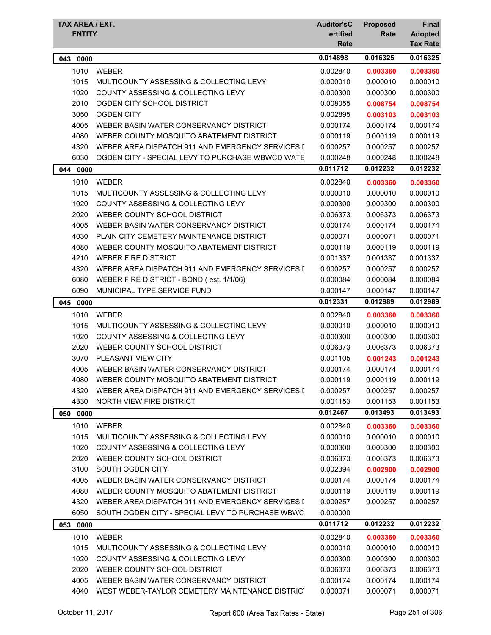| TAX AREA / EXT.<br><b>ENTITY</b> |                                                  | <b>Auditor'sC</b><br>ertified<br>Rate | <b>Proposed</b><br>Rate | Final<br><b>Adopted</b><br><b>Tax Rate</b> |
|----------------------------------|--------------------------------------------------|---------------------------------------|-------------------------|--------------------------------------------|
| 043<br>0000                      |                                                  | 0.014898                              | 0.016325                | 0.016325                                   |
| 1010                             | <b>WEBER</b>                                     | 0.002840                              | 0.003360                | 0.003360                                   |
| 1015                             | MULTICOUNTY ASSESSING & COLLECTING LEVY          | 0.000010                              | 0.000010                | 0.000010                                   |
| 1020                             | <b>COUNTY ASSESSING &amp; COLLECTING LEVY</b>    | 0.000300                              | 0.000300                | 0.000300                                   |
| 2010                             | OGDEN CITY SCHOOL DISTRICT                       | 0.008055                              | 0.008754                | 0.008754                                   |
| 3050                             | <b>OGDEN CITY</b>                                | 0.002895                              | 0.003103                | 0.003103                                   |
| 4005                             | WEBER BASIN WATER CONSERVANCY DISTRICT           | 0.000174                              | 0.000174                | 0.000174                                   |
| 4080                             | WEBER COUNTY MOSQUITO ABATEMENT DISTRICT         | 0.000119                              | 0.000119                | 0.000119                                   |
| 4320                             | WEBER AREA DISPATCH 911 AND EMERGENCY SERVICES I | 0.000257                              | 0.000257                | 0.000257                                   |
| 6030                             | OGDEN CITY - SPECIAL LEVY TO PURCHASE WBWCD WATE | 0.000248                              | 0.000248                | 0.000248                                   |
| 044 0000                         |                                                  | 0.011712                              | 0.012232                | 0.012232                                   |
| 1010                             | <b>WEBER</b>                                     | 0.002840                              | 0.003360                | 0.003360                                   |
| 1015                             | MULTICOUNTY ASSESSING & COLLECTING LEVY          | 0.000010                              | 0.000010                | 0.000010                                   |
| 1020                             | COUNTY ASSESSING & COLLECTING LEVY               | 0.000300                              | 0.000300                | 0.000300                                   |
| 2020                             | WEBER COUNTY SCHOOL DISTRICT                     | 0.006373                              | 0.006373                | 0.006373                                   |
| 4005                             | WEBER BASIN WATER CONSERVANCY DISTRICT           | 0.000174                              | 0.000174                | 0.000174                                   |
| 4030                             | PLAIN CITY CEMETERY MAINTENANCE DISTRICT         | 0.000071                              | 0.000071                | 0.000071                                   |
| 4080                             | WEBER COUNTY MOSQUITO ABATEMENT DISTRICT         | 0.000119                              | 0.000119                | 0.000119                                   |
| 4210                             | <b>WEBER FIRE DISTRICT</b>                       | 0.001337                              | 0.001337                | 0.001337                                   |
| 4320                             | WEBER AREA DISPATCH 911 AND EMERGENCY SERVICES I | 0.000257                              | 0.000257                | 0.000257                                   |
| 6080                             | WEBER FIRE DISTRICT - BOND (est. 1/1/06)         | 0.000084                              | 0.000084                | 0.000084                                   |
| 6090                             | MUNICIPAL TYPE SERVICE FUND                      | 0.000147                              | 0.000147                | 0.000147                                   |
| 045 0000                         |                                                  | 0.012331                              | 0.012989                | 0.012989                                   |
| 1010                             | <b>WEBER</b>                                     | 0.002840                              | 0.003360                | 0.003360                                   |
| 1015                             | MULTICOUNTY ASSESSING & COLLECTING LEVY          | 0.000010                              | 0.000010                | 0.000010                                   |
| 1020                             | <b>COUNTY ASSESSING &amp; COLLECTING LEVY</b>    | 0.000300                              | 0.000300                | 0.000300                                   |
| 2020                             | WEBER COUNTY SCHOOL DISTRICT                     | 0.006373                              | 0.006373                | 0.006373                                   |
| 3070                             | <b>PLEASANT VIEW CITY</b>                        | 0.001105                              | 0.001243                | 0.001243                                   |
| 4005                             | WEBER BASIN WATER CONSERVANCY DISTRICT           | 0.000174                              | 0.000174                | 0.000174                                   |
| 4080                             | WEBER COUNTY MOSQUITO ABATEMENT DISTRICT         | 0.000119                              | 0.000119                | 0.000119                                   |
| 4320                             | WEBER AREA DISPATCH 911 AND EMERGENCY SERVICES [ | 0.000257                              | 0.000257                | 0.000257                                   |
| 4330                             | NORTH VIEW FIRE DISTRICT                         | 0.001153                              | 0.001153                | 0.001153                                   |
| 0000<br>050                      |                                                  | 0.012467                              | 0.013493                | 0.013493                                   |
| 1010                             | <b>WEBER</b>                                     | 0.002840                              | 0.003360                | 0.003360                                   |
| 1015                             | MULTICOUNTY ASSESSING & COLLECTING LEVY          | 0.000010                              | 0.000010                | 0.000010                                   |
| 1020                             | COUNTY ASSESSING & COLLECTING LEVY               | 0.000300                              | 0.000300                | 0.000300                                   |
| 2020                             | WEBER COUNTY SCHOOL DISTRICT                     | 0.006373                              | 0.006373                | 0.006373                                   |
| 3100                             | SOUTH OGDEN CITY                                 | 0.002394                              | 0.002900                | 0.002900                                   |
| 4005                             | WEBER BASIN WATER CONSERVANCY DISTRICT           | 0.000174                              | 0.000174                | 0.000174                                   |
| 4080                             | WEBER COUNTY MOSQUITO ABATEMENT DISTRICT         | 0.000119                              | 0.000119                | 0.000119                                   |
| 4320                             | WEBER AREA DISPATCH 911 AND EMERGENCY SERVICES I | 0.000257                              | 0.000257                | 0.000257                                   |
| 6050                             | SOUTH OGDEN CITY - SPECIAL LEVY TO PURCHASE WBWC | 0.000000                              |                         |                                            |
| 053<br>0000                      |                                                  | 0.011712                              | 0.012232                | 0.012232                                   |
| 1010                             | <b>WEBER</b>                                     | 0.002840                              | 0.003360                | 0.003360                                   |
| 1015                             | MULTICOUNTY ASSESSING & COLLECTING LEVY          | 0.000010                              | 0.000010                | 0.000010                                   |
| 1020                             | COUNTY ASSESSING & COLLECTING LEVY               | 0.000300                              | 0.000300                | 0.000300                                   |
| 2020                             | WEBER COUNTY SCHOOL DISTRICT                     | 0.006373                              | 0.006373                | 0.006373                                   |
| 4005                             | WEBER BASIN WATER CONSERVANCY DISTRICT           | 0.000174                              | 0.000174                | 0.000174                                   |
| 4040                             | WEST WEBER-TAYLOR CEMETERY MAINTENANCE DISTRICT  | 0.000071                              | 0.000071                | 0.000071                                   |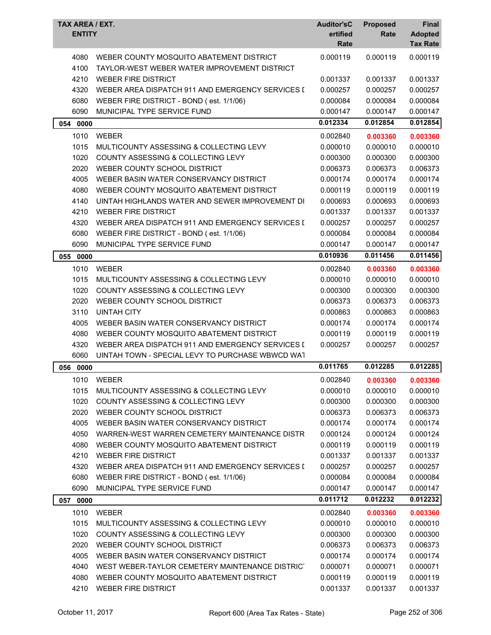| TAX AREA / EXT.<br><b>ENTITY</b> |                                                                                          | <b>Auditor'sC</b><br>ertified<br>Rate | <b>Proposed</b><br>Rate | Final<br><b>Adopted</b><br><b>Tax Rate</b> |
|----------------------------------|------------------------------------------------------------------------------------------|---------------------------------------|-------------------------|--------------------------------------------|
| 4080<br>4100                     | WEBER COUNTY MOSQUITO ABATEMENT DISTRICT<br>TAYLOR-WEST WEBER WATER IMPROVEMENT DISTRICT | 0.000119                              | 0.000119                | 0.000119                                   |
| 4210                             | <b>WEBER FIRE DISTRICT</b>                                                               | 0.001337                              | 0.001337                | 0.001337                                   |
| 4320                             | WEBER AREA DISPATCH 911 AND EMERGENCY SERVICES I                                         | 0.000257                              | 0.000257                | 0.000257                                   |
| 6080                             | WEBER FIRE DISTRICT - BOND (est. 1/1/06)                                                 | 0.000084                              | 0.000084                | 0.000084                                   |
| 6090                             | MUNICIPAL TYPE SERVICE FUND                                                              | 0.000147                              | 0.000147                | 0.000147                                   |
|                                  |                                                                                          | 0.012334                              | 0.012854                | 0.012854                                   |
| 054 0000                         |                                                                                          |                                       |                         |                                            |
| 1010                             | <b>WEBER</b>                                                                             | 0.002840                              | 0.003360                | 0.003360                                   |
| 1015                             | MULTICOUNTY ASSESSING & COLLECTING LEVY                                                  | 0.000010                              | 0.000010                | 0.000010                                   |
| 1020                             | COUNTY ASSESSING & COLLECTING LEVY                                                       | 0.000300                              | 0.000300                | 0.000300                                   |
| 2020                             | WEBER COUNTY SCHOOL DISTRICT                                                             | 0.006373                              | 0.006373                | 0.006373                                   |
| 4005                             | WEBER BASIN WATER CONSERVANCY DISTRICT                                                   | 0.000174                              | 0.000174                | 0.000174                                   |
| 4080                             | WEBER COUNTY MOSQUITO ABATEMENT DISTRICT                                                 | 0.000119                              | 0.000119                | 0.000119                                   |
| 4140                             | UINTAH HIGHLANDS WATER AND SEWER IMPROVEMENT DI                                          | 0.000693                              | 0.000693                | 0.000693                                   |
| 4210                             | <b>WEBER FIRE DISTRICT</b>                                                               | 0.001337                              | 0.001337                | 0.001337                                   |
| 4320                             | WEBER AREA DISPATCH 911 AND EMERGENCY SERVICES I                                         | 0.000257                              | 0.000257                | 0.000257                                   |
| 6080                             | WEBER FIRE DISTRICT - BOND (est. 1/1/06)                                                 | 0.000084                              | 0.000084                | 0.000084                                   |
| 6090                             | MUNICIPAL TYPE SERVICE FUND                                                              | 0.000147                              | 0.000147                | 0.000147                                   |
| 055<br>0000                      |                                                                                          | 0.010936                              | 0.011456                | 0.011456                                   |
| 1010                             | <b>WEBER</b>                                                                             | 0.002840                              | 0.003360                | 0.003360                                   |
| 1015                             | MULTICOUNTY ASSESSING & COLLECTING LEVY                                                  | 0.000010                              | 0.000010                | 0.000010                                   |
| 1020                             | COUNTY ASSESSING & COLLECTING LEVY                                                       | 0.000300                              | 0.000300                | 0.000300                                   |
| 2020                             | WEBER COUNTY SCHOOL DISTRICT                                                             | 0.006373                              | 0.006373                | 0.006373                                   |
| 3110                             | <b>UINTAH CITY</b>                                                                       | 0.000863                              | 0.000863                | 0.000863                                   |
| 4005                             | WEBER BASIN WATER CONSERVANCY DISTRICT                                                   | 0.000174                              | 0.000174                | 0.000174                                   |
| 4080                             | WEBER COUNTY MOSQUITO ABATEMENT DISTRICT                                                 | 0.000119                              | 0.000119                | 0.000119                                   |
| 4320                             | WEBER AREA DISPATCH 911 AND EMERGENCY SERVICES I                                         | 0.000257                              | 0.000257                | 0.000257                                   |
| 6060                             | UINTAH TOWN - SPECIAL LEVY TO PURCHASE WBWCD WAT                                         |                                       |                         |                                            |
| 056<br>0000                      |                                                                                          | 0.011765                              | 0.012285                | 0.012285                                   |
| 1010                             | WEBER                                                                                    | 0.002840                              | 0.003360                | 0.003360                                   |
| 1015                             | MULTICOUNTY ASSESSING & COLLECTING LEVY                                                  | 0.000010                              | 0.000010                | 0.000010                                   |
| 1020                             | COUNTY ASSESSING & COLLECTING LEVY                                                       | 0.000300                              | 0.000300                | 0.000300                                   |
| 2020                             | WEBER COUNTY SCHOOL DISTRICT                                                             | 0.006373                              | 0.006373                | 0.006373                                   |
| 4005                             | WEBER BASIN WATER CONSERVANCY DISTRICT                                                   | 0.000174                              | 0.000174                | 0.000174                                   |
| 4050                             | WARREN-WEST WARREN CEMETERY MAINTENANCE DISTR                                            | 0.000124                              | 0.000124                | 0.000124                                   |
| 4080                             | WEBER COUNTY MOSQUITO ABATEMENT DISTRICT                                                 | 0.000119                              | 0.000119                | 0.000119                                   |
| 4210                             | <b>WEBER FIRE DISTRICT</b>                                                               | 0.001337                              | 0.001337                | 0.001337                                   |
| 4320                             | WEBER AREA DISPATCH 911 AND EMERGENCY SERVICES I                                         | 0.000257                              | 0.000257                | 0.000257                                   |
| 6080                             | WEBER FIRE DISTRICT - BOND (est. 1/1/06)                                                 | 0.000084                              | 0.000084                | 0.000084                                   |
| 6090                             | MUNICIPAL TYPE SERVICE FUND                                                              | 0.000147                              | 0.000147                | 0.000147                                   |
| 057 0000                         |                                                                                          | 0.011712                              | 0.012232                | 0.012232                                   |
| 1010                             | <b>WEBER</b>                                                                             | 0.002840                              | 0.003360                | 0.003360                                   |
| 1015                             | MULTICOUNTY ASSESSING & COLLECTING LEVY                                                  | 0.000010                              | 0.000010                | 0.000010                                   |
| 1020                             | COUNTY ASSESSING & COLLECTING LEVY                                                       | 0.000300                              | 0.000300                | 0.000300                                   |
| 2020                             | WEBER COUNTY SCHOOL DISTRICT                                                             | 0.006373                              | 0.006373                | 0.006373                                   |
| 4005                             | WEBER BASIN WATER CONSERVANCY DISTRICT                                                   | 0.000174                              | 0.000174                | 0.000174                                   |
| 4040                             | WEST WEBER-TAYLOR CEMETERY MAINTENANCE DISTRICT                                          | 0.000071                              | 0.000071                | 0.000071                                   |
| 4080                             | WEBER COUNTY MOSQUITO ABATEMENT DISTRICT                                                 | 0.000119                              | 0.000119                | 0.000119                                   |
| 4210                             | <b>WEBER FIRE DISTRICT</b>                                                               | 0.001337                              | 0.001337                | 0.001337                                   |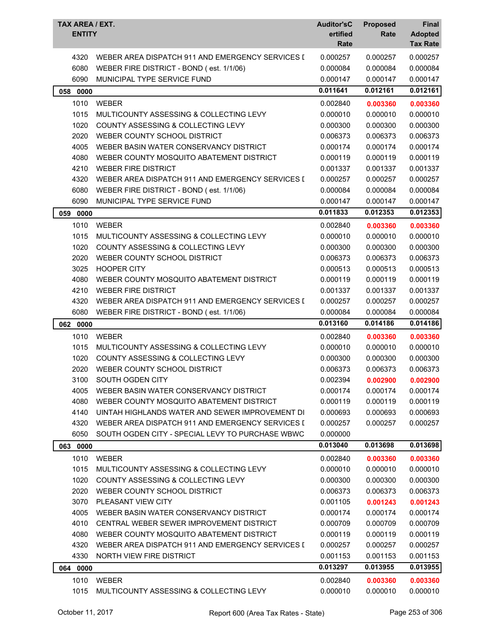| TAX AREA / EXT.<br><b>ENTITY</b> |                                                  | <b>Auditor'sC</b><br>ertified<br>Rate | <b>Proposed</b><br>Rate | Final<br><b>Adopted</b><br><b>Tax Rate</b> |
|----------------------------------|--------------------------------------------------|---------------------------------------|-------------------------|--------------------------------------------|
| 4320                             | WEBER AREA DISPATCH 911 AND EMERGENCY SERVICES [ | 0.000257                              | 0.000257                | 0.000257                                   |
| 6080                             | WEBER FIRE DISTRICT - BOND (est. 1/1/06)         | 0.000084                              | 0.000084                | 0.000084                                   |
| 6090                             | MUNICIPAL TYPE SERVICE FUND                      | 0.000147                              | 0.000147                | 0.000147                                   |
| 058 0000                         |                                                  | 0.011641                              | 0.012161                | 0.012161                                   |
| 1010                             | <b>WEBER</b>                                     | 0.002840                              | 0.003360                | 0.003360                                   |
| 1015                             | MULTICOUNTY ASSESSING & COLLECTING LEVY          | 0.000010                              | 0.000010                | 0.000010                                   |
| 1020                             | COUNTY ASSESSING & COLLECTING LEVY               | 0.000300                              | 0.000300                | 0.000300                                   |
| 2020                             | WEBER COUNTY SCHOOL DISTRICT                     | 0.006373                              | 0.006373                | 0.006373                                   |
| 4005                             | WEBER BASIN WATER CONSERVANCY DISTRICT           | 0.000174                              | 0.000174                | 0.000174                                   |
| 4080                             | WEBER COUNTY MOSQUITO ABATEMENT DISTRICT         | 0.000119                              | 0.000119                | 0.000119                                   |
| 4210                             | <b>WEBER FIRE DISTRICT</b>                       | 0.001337                              | 0.001337                | 0.001337                                   |
| 4320                             | WEBER AREA DISPATCH 911 AND EMERGENCY SERVICES I | 0.000257                              | 0.000257                | 0.000257                                   |
| 6080                             | WEBER FIRE DISTRICT - BOND (est. 1/1/06)         | 0.000084                              | 0.000084                | 0.000084                                   |
| 6090                             | MUNICIPAL TYPE SERVICE FUND                      | 0.000147                              | 0.000147                | 0.000147                                   |
| 059<br>0000                      |                                                  | 0.011833                              | 0.012353                | 0.012353                                   |
| 1010                             | <b>WEBER</b>                                     | 0.002840                              | 0.003360                | 0.003360                                   |
| 1015                             | MULTICOUNTY ASSESSING & COLLECTING LEVY          | 0.000010                              | 0.000010                | 0.000010                                   |
| 1020                             | <b>COUNTY ASSESSING &amp; COLLECTING LEVY</b>    | 0.000300                              | 0.000300                | 0.000300                                   |
| 2020                             | WEBER COUNTY SCHOOL DISTRICT                     | 0.006373                              | 0.006373                | 0.006373                                   |
| 3025                             | <b>HOOPER CITY</b>                               | 0.000513                              | 0.000513                | 0.000513                                   |
| 4080                             | WEBER COUNTY MOSQUITO ABATEMENT DISTRICT         | 0.000119                              | 0.000119                | 0.000119                                   |
| 4210                             | <b>WEBER FIRE DISTRICT</b>                       | 0.001337                              | 0.001337                | 0.001337                                   |
| 4320                             | WEBER AREA DISPATCH 911 AND EMERGENCY SERVICES I | 0.000257                              | 0.000257                | 0.000257                                   |
| 6080                             | WEBER FIRE DISTRICT - BOND (est. 1/1/06)         | 0.000084                              | 0.000084                | 0.000084                                   |
| 062 0000                         |                                                  | 0.013160                              | 0.014186                | 0.014186                                   |
| 1010                             | <b>WEBER</b>                                     | 0.002840                              | 0.003360                | 0.003360                                   |
| 1015                             | MULTICOUNTY ASSESSING & COLLECTING LEVY          | 0.000010                              | 0.000010                | 0.000010                                   |
| 1020                             | COUNTY ASSESSING & COLLECTING LEVY               | 0.000300                              | 0.000300                | 0.000300                                   |
| 2020                             | WEBER COUNTY SCHOOL DISTRICT                     | 0.006373                              | 0.006373                | 0.006373                                   |
| 3100                             | SOUTH OGDEN CITY                                 | 0.002394                              | 0.002900                | 0.002900                                   |
| 4005                             | WEBER BASIN WATER CONSERVANCY DISTRICT           | 0.000174                              | 0.000174                | 0.000174                                   |
| 4080                             | WEBER COUNTY MOSQUITO ABATEMENT DISTRICT         | 0.000119                              | 0.000119                | 0.000119                                   |
| 4140                             | UINTAH HIGHLANDS WATER AND SEWER IMPROVEMENT DI  | 0.000693                              | 0.000693                | 0.000693                                   |
| 4320                             | WEBER AREA DISPATCH 911 AND EMERGENCY SERVICES I | 0.000257                              | 0.000257                | 0.000257                                   |
| 6050                             | SOUTH OGDEN CITY - SPECIAL LEVY TO PURCHASE WBWC | 0.000000                              |                         |                                            |
| 063 0000                         |                                                  | 0.013040                              | 0.013698                | 0.013698                                   |
| 1010                             | <b>WEBER</b>                                     | 0.002840                              | 0.003360                | 0.003360                                   |
| 1015                             | MULTICOUNTY ASSESSING & COLLECTING LEVY          | 0.000010                              | 0.000010                | 0.000010                                   |
| 1020                             | <b>COUNTY ASSESSING &amp; COLLECTING LEVY</b>    | 0.000300                              | 0.000300                | 0.000300                                   |
| 2020                             | WEBER COUNTY SCHOOL DISTRICT                     | 0.006373                              | 0.006373                | 0.006373                                   |
| 3070                             | PLEASANT VIEW CITY                               | 0.001105                              | 0.001243                | 0.001243                                   |
| 4005                             | WEBER BASIN WATER CONSERVANCY DISTRICT           | 0.000174                              | 0.000174                | 0.000174                                   |
| 4010                             | CENTRAL WEBER SEWER IMPROVEMENT DISTRICT         | 0.000709                              | 0.000709                | 0.000709                                   |
| 4080                             | WEBER COUNTY MOSQUITO ABATEMENT DISTRICT         | 0.000119                              | 0.000119                | 0.000119                                   |
| 4320                             | WEBER AREA DISPATCH 911 AND EMERGENCY SERVICES I | 0.000257                              | 0.000257                | 0.000257                                   |
| 4330                             | NORTH VIEW FIRE DISTRICT                         | 0.001153                              | 0.001153                | 0.001153                                   |
| 064 0000                         |                                                  | 0.013297                              | 0.013955                | 0.013955                                   |
| 1010                             | WEBER                                            | 0.002840                              | 0.003360                | 0.003360                                   |
| 1015                             | MULTICOUNTY ASSESSING & COLLECTING LEVY          | 0.000010                              | 0.000010                | 0.000010                                   |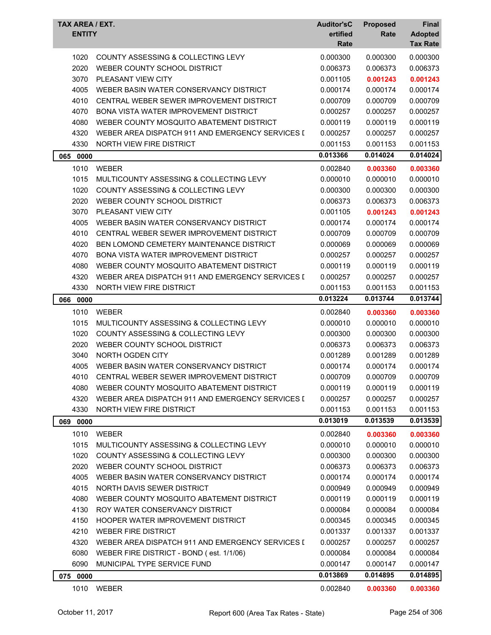| TAX AREA / EXT.<br><b>ENTITY</b> |                                                  | <b>Auditor'sC</b><br>ertified<br>Rate | <b>Proposed</b><br>Rate | Final<br><b>Adopted</b><br><b>Tax Rate</b> |
|----------------------------------|--------------------------------------------------|---------------------------------------|-------------------------|--------------------------------------------|
|                                  |                                                  |                                       |                         |                                            |
| 1020                             | COUNTY ASSESSING & COLLECTING LEVY               | 0.000300                              | 0.000300                | 0.000300                                   |
| 2020                             | WEBER COUNTY SCHOOL DISTRICT                     | 0.006373                              | 0.006373                | 0.006373                                   |
| 3070                             | PLEASANT VIEW CITY                               | 0.001105                              | 0.001243                | 0.001243                                   |
| 4005                             | WEBER BASIN WATER CONSERVANCY DISTRICT           | 0.000174                              | 0.000174                | 0.000174                                   |
| 4010                             | CENTRAL WEBER SEWER IMPROVEMENT DISTRICT         | 0.000709                              | 0.000709                | 0.000709                                   |
| 4070                             | <b>BONA VISTA WATER IMPROVEMENT DISTRICT</b>     | 0.000257                              | 0.000257                | 0.000257                                   |
| 4080                             | WEBER COUNTY MOSQUITO ABATEMENT DISTRICT         | 0.000119                              | 0.000119                | 0.000119                                   |
| 4320                             | WEBER AREA DISPATCH 911 AND EMERGENCY SERVICES I | 0.000257                              | 0.000257                | 0.000257                                   |
| 4330                             | NORTH VIEW FIRE DISTRICT                         | 0.001153                              | 0.001153                | 0.001153                                   |
| 065 0000                         |                                                  | 0.013366                              | 0.014024                | 0.014024                                   |
| 1010                             | <b>WEBER</b>                                     | 0.002840                              | 0.003360                | 0.003360                                   |
| 1015                             | MULTICOUNTY ASSESSING & COLLECTING LEVY          | 0.000010                              | 0.000010                | 0.000010                                   |
| 1020                             | COUNTY ASSESSING & COLLECTING LEVY               | 0.000300                              | 0.000300                | 0.000300                                   |
| 2020                             | WEBER COUNTY SCHOOL DISTRICT                     | 0.006373                              | 0.006373                | 0.006373                                   |
| 3070                             | <b>PLEASANT VIEW CITY</b>                        | 0.001105                              | 0.001243                | 0.001243                                   |
| 4005                             | WEBER BASIN WATER CONSERVANCY DISTRICT           | 0.000174                              | 0.000174                | 0.000174                                   |
| 4010                             | CENTRAL WEBER SEWER IMPROVEMENT DISTRICT         | 0.000709                              | 0.000709                | 0.000709                                   |
| 4020                             | BEN LOMOND CEMETERY MAINTENANCE DISTRICT         | 0.000069                              | 0.000069                | 0.000069                                   |
| 4070                             | <b>BONA VISTA WATER IMPROVEMENT DISTRICT</b>     | 0.000257                              | 0.000257                | 0.000257                                   |
| 4080                             | WEBER COUNTY MOSQUITO ABATEMENT DISTRICT         | 0.000119                              | 0.000119                | 0.000119                                   |
| 4320                             | WEBER AREA DISPATCH 911 AND EMERGENCY SERVICES I | 0.000257                              | 0.000257                | 0.000257                                   |
| 4330                             | NORTH VIEW FIRE DISTRICT                         | 0.001153                              | 0.001153                | 0.001153                                   |
| 066<br>0000                      |                                                  | 0.013224                              | 0.013744                | 0.013744                                   |
| 1010                             | <b>WEBER</b>                                     | 0.002840                              | 0.003360                | 0.003360                                   |
| 1015                             | MULTICOUNTY ASSESSING & COLLECTING LEVY          | 0.000010                              | 0.000010                | 0.000010                                   |
| 1020                             | <b>COUNTY ASSESSING &amp; COLLECTING LEVY</b>    | 0.000300                              | 0.000300                | 0.000300                                   |
| 2020                             | WEBER COUNTY SCHOOL DISTRICT                     | 0.006373                              | 0.006373                | 0.006373                                   |
| 3040                             | NORTH OGDEN CITY                                 | 0.001289                              | 0.001289                | 0.001289                                   |
| 4005                             | WEBER BASIN WATER CONSERVANCY DISTRICT           | 0.000174                              | 0.000174                | 0.000174                                   |
| 4010                             | CENTRAL WEBER SEWER IMPROVEMENT DISTRICT         | 0.000709                              | 0.000709                | 0.000709                                   |
| 4080                             | WEBER COUNTY MOSQUITO ABATEMENT DISTRICT         | 0.000119                              | 0.000119                | 0.000119                                   |
| 4320                             | WEBER AREA DISPATCH 911 AND EMERGENCY SERVICES I | 0.000257                              | 0.000257                | 0.000257                                   |
| 4330                             | NORTH VIEW FIRE DISTRICT                         | 0.001153                              | 0.001153                | 0.001153                                   |
| 069 0000                         |                                                  | 0.013019                              | 0.013539                | 0.013539                                   |
| 1010                             | <b>WEBER</b>                                     | 0.002840                              | 0.003360                | 0.003360                                   |
| 1015                             | MULTICOUNTY ASSESSING & COLLECTING LEVY          | 0.000010                              | 0.000010                | 0.000010                                   |
| 1020                             | COUNTY ASSESSING & COLLECTING LEVY               | 0.000300                              | 0.000300                | 0.000300                                   |
| 2020                             | WEBER COUNTY SCHOOL DISTRICT                     | 0.006373                              | 0.006373                | 0.006373                                   |
| 4005                             | WEBER BASIN WATER CONSERVANCY DISTRICT           | 0.000174                              | 0.000174                | 0.000174                                   |
| 4015                             | NORTH DAVIS SEWER DISTRICT                       | 0.000949                              | 0.000949                | 0.000949                                   |
| 4080                             | WEBER COUNTY MOSQUITO ABATEMENT DISTRICT         | 0.000119                              | 0.000119                | 0.000119                                   |
| 4130                             | ROY WATER CONSERVANCY DISTRICT                   | 0.000084                              | 0.000084                | 0.000084                                   |
| 4150                             | HOOPER WATER IMPROVEMENT DISTRICT                | 0.000345                              | 0.000345                | 0.000345                                   |
| 4210                             | <b>WEBER FIRE DISTRICT</b>                       | 0.001337                              | 0.001337                | 0.001337                                   |
| 4320                             | WEBER AREA DISPATCH 911 AND EMERGENCY SERVICES I | 0.000257                              | 0.000257                | 0.000257                                   |
| 6080                             | WEBER FIRE DISTRICT - BOND (est. 1/1/06)         | 0.000084                              | 0.000084                | 0.000084                                   |
| 6090                             | MUNICIPAL TYPE SERVICE FUND                      | 0.000147                              | 0.000147                | 0.000147                                   |
|                                  |                                                  | 0.013869                              | 0.014895                | 0.014895                                   |
| 075 0000                         |                                                  |                                       |                         |                                            |
| 1010                             | WEBER                                            | 0.002840                              | 0.003360                | 0.003360                                   |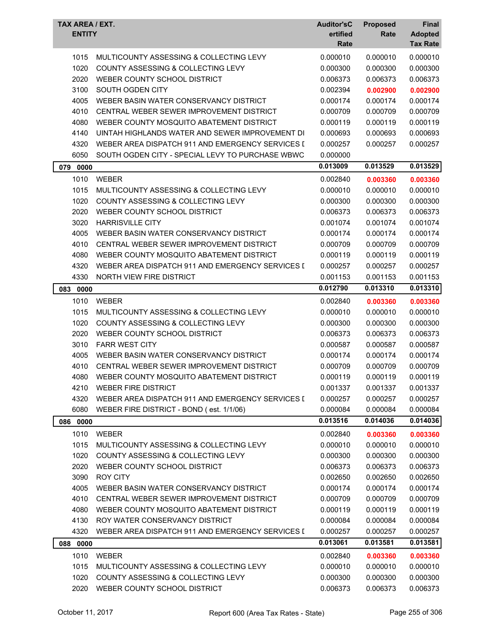| TAX AREA / EXT.<br><b>ENTITY</b> |                                                  | <b>Auditor'sC</b><br>ertified<br>Rate | <b>Proposed</b><br>Rate | Final<br><b>Adopted</b><br><b>Tax Rate</b> |
|----------------------------------|--------------------------------------------------|---------------------------------------|-------------------------|--------------------------------------------|
|                                  |                                                  |                                       |                         |                                            |
| 1015                             | MULTICOUNTY ASSESSING & COLLECTING LEVY          | 0.000010                              | 0.000010                | 0.000010                                   |
| 1020                             | COUNTY ASSESSING & COLLECTING LEVY               | 0.000300                              | 0.000300                | 0.000300                                   |
| 2020                             | WEBER COUNTY SCHOOL DISTRICT                     | 0.006373                              | 0.006373                | 0.006373                                   |
| 3100                             | SOUTH OGDEN CITY                                 | 0.002394                              | 0.002900                | 0.002900                                   |
| 4005                             | WEBER BASIN WATER CONSERVANCY DISTRICT           | 0.000174                              | 0.000174                | 0.000174                                   |
| 4010                             | CENTRAL WEBER SEWER IMPROVEMENT DISTRICT         | 0.000709                              | 0.000709                | 0.000709                                   |
| 4080                             | WEBER COUNTY MOSQUITO ABATEMENT DISTRICT         | 0.000119                              | 0.000119                | 0.000119                                   |
| 4140                             | UINTAH HIGHLANDS WATER AND SEWER IMPROVEMENT DI  | 0.000693                              | 0.000693                | 0.000693                                   |
| 4320                             | WEBER AREA DISPATCH 911 AND EMERGENCY SERVICES I | 0.000257                              | 0.000257                | 0.000257                                   |
| 6050                             | SOUTH OGDEN CITY - SPECIAL LEVY TO PURCHASE WBWC | 0.000000                              |                         |                                            |
| 079 0000                         |                                                  | 0.013009                              | 0.013529                | 0.013529                                   |
| 1010                             | <b>WEBER</b>                                     | 0.002840                              | 0.003360                | 0.003360                                   |
| 1015                             | MULTICOUNTY ASSESSING & COLLECTING LEVY          | 0.000010                              | 0.000010                | 0.000010                                   |
| 1020                             | COUNTY ASSESSING & COLLECTING LEVY               | 0.000300                              | 0.000300                | 0.000300                                   |
| 2020                             | WEBER COUNTY SCHOOL DISTRICT                     | 0.006373                              | 0.006373                | 0.006373                                   |
| 3020                             | <b>HARRISVILLE CITY</b>                          | 0.001074                              | 0.001074                | 0.001074                                   |
| 4005                             | WEBER BASIN WATER CONSERVANCY DISTRICT           | 0.000174                              | 0.000174                | 0.000174                                   |
| 4010                             | CENTRAL WEBER SEWER IMPROVEMENT DISTRICT         | 0.000709                              | 0.000709                | 0.000709                                   |
| 4080                             | WEBER COUNTY MOSQUITO ABATEMENT DISTRICT         | 0.000119                              | 0.000119                | 0.000119                                   |
| 4320                             | WEBER AREA DISPATCH 911 AND EMERGENCY SERVICES I | 0.000257                              | 0.000257                | 0.000257                                   |
| 4330                             | NORTH VIEW FIRE DISTRICT                         | 0.001153                              | 0.001153                | 0.001153                                   |
| 083<br>0000                      |                                                  | 0.012790                              | 0.013310                | 0.013310                                   |
| 1010                             | <b>WEBER</b>                                     | 0.002840                              | 0.003360                | 0.003360                                   |
| 1015                             | MULTICOUNTY ASSESSING & COLLECTING LEVY          | 0.000010                              | 0.000010                | 0.000010                                   |
| 1020                             | COUNTY ASSESSING & COLLECTING LEVY               | 0.000300                              | 0.000300                | 0.000300                                   |
| 2020                             | WEBER COUNTY SCHOOL DISTRICT                     | 0.006373                              | 0.006373                | 0.006373                                   |
| 3010                             | <b>FARR WEST CITY</b>                            | 0.000587                              | 0.000587                | 0.000587                                   |
| 4005                             | WEBER BASIN WATER CONSERVANCY DISTRICT           | 0.000174                              | 0.000174                | 0.000174                                   |
| 4010                             | CENTRAL WEBER SEWER IMPROVEMENT DISTRICT         | 0.000709                              | 0.000709                | 0.000709                                   |
| 4080                             | WEBER COUNTY MOSQUITO ABATEMENT DISTRICT         | 0.000119                              | 0.000119                | 0.000119                                   |
| 4210                             | WEBER FIRE DISTRICT                              | 0.001337                              | 0.001337                | 0.001337                                   |
| 4320                             | WEBER AREA DISPATCH 911 AND EMERGENCY SERVICES I | 0.000257                              | 0.000257                | 0.000257                                   |
| 6080                             | WEBER FIRE DISTRICT - BOND (est. 1/1/06)         | 0.000084                              | 0.000084                | 0.000084                                   |
| 086 0000                         |                                                  | 0.013516                              | 0.014036                | 0.014036                                   |
|                                  |                                                  |                                       |                         |                                            |
| 1010                             | <b>WEBER</b>                                     | 0.002840                              | 0.003360                | 0.003360                                   |
| 1015                             | MULTICOUNTY ASSESSING & COLLECTING LEVY          | 0.000010                              | 0.000010                | 0.000010                                   |
| 1020                             | COUNTY ASSESSING & COLLECTING LEVY               | 0.000300                              | 0.000300                | 0.000300                                   |
| 2020                             | WEBER COUNTY SCHOOL DISTRICT                     | 0.006373                              | 0.006373                | 0.006373                                   |
| 3090                             | <b>ROY CITY</b>                                  | 0.002650                              | 0.002650                | 0.002650                                   |
| 4005                             | WEBER BASIN WATER CONSERVANCY DISTRICT           | 0.000174                              | 0.000174                | 0.000174                                   |
| 4010                             | CENTRAL WEBER SEWER IMPROVEMENT DISTRICT         | 0.000709                              | 0.000709                | 0.000709                                   |
| 4080                             | WEBER COUNTY MOSQUITO ABATEMENT DISTRICT         | 0.000119                              | 0.000119                | 0.000119                                   |
| 4130                             | ROY WATER CONSERVANCY DISTRICT                   | 0.000084                              | 0.000084                | 0.000084                                   |
| 4320                             | WEBER AREA DISPATCH 911 AND EMERGENCY SERVICES I | 0.000257                              | 0.000257                | 0.000257                                   |
| 088 0000                         |                                                  | 0.013061                              | 0.013581                | 0.013581                                   |
| 1010                             | <b>WEBER</b>                                     | 0.002840                              | 0.003360                | 0.003360                                   |
| 1015                             | MULTICOUNTY ASSESSING & COLLECTING LEVY          | 0.000010                              | 0.000010                | 0.000010                                   |
| 1020                             | COUNTY ASSESSING & COLLECTING LEVY               | 0.000300                              | 0.000300                | 0.000300                                   |
| 2020                             | WEBER COUNTY SCHOOL DISTRICT                     | 0.006373                              | 0.006373                | 0.006373                                   |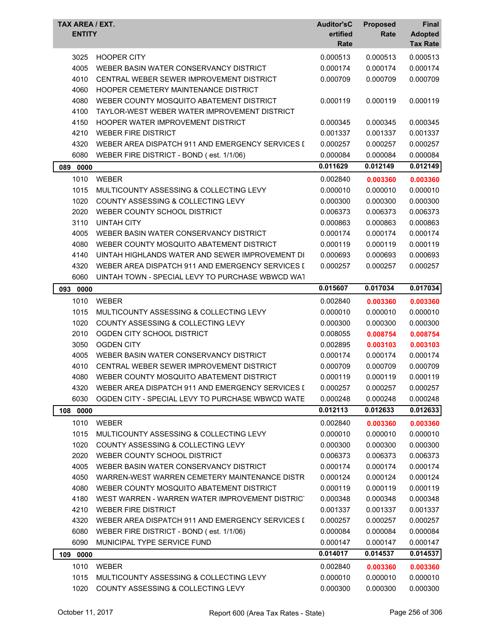| <b>TAX AREA / EXT.</b><br><b>ENTITY</b> |                                                  | <b>Auditor'sC</b><br>ertified<br>Rate | <b>Proposed</b><br>Rate | <b>Final</b><br><b>Adopted</b><br><b>Tax Rate</b> |
|-----------------------------------------|--------------------------------------------------|---------------------------------------|-------------------------|---------------------------------------------------|
| 3025                                    | <b>HOOPER CITY</b>                               | 0.000513                              | 0.000513                | 0.000513                                          |
| 4005                                    | WEBER BASIN WATER CONSERVANCY DISTRICT           | 0.000174                              | 0.000174                | 0.000174                                          |
| 4010                                    | CENTRAL WEBER SEWER IMPROVEMENT DISTRICT         | 0.000709                              | 0.000709                | 0.000709                                          |
| 4060                                    | HOOPER CEMETERY MAINTENANCE DISTRICT             |                                       |                         |                                                   |
| 4080                                    | WEBER COUNTY MOSQUITO ABATEMENT DISTRICT         | 0.000119                              | 0.000119                | 0.000119                                          |
| 4100                                    | TAYLOR-WEST WEBER WATER IMPROVEMENT DISTRICT     |                                       |                         |                                                   |
| 4150                                    | HOOPER WATER IMPROVEMENT DISTRICT                | 0.000345                              | 0.000345                | 0.000345                                          |
| 4210                                    | <b>WEBER FIRE DISTRICT</b>                       | 0.001337                              | 0.001337                | 0.001337                                          |
| 4320                                    | WEBER AREA DISPATCH 911 AND EMERGENCY SERVICES I | 0.000257                              | 0.000257                | 0.000257                                          |
| 6080                                    | WEBER FIRE DISTRICT - BOND (est. 1/1/06)         | 0.000084                              | 0.000084                | 0.000084                                          |
| 089 0000                                |                                                  | 0.011629                              | 0.012149                | 0.012149                                          |
| 1010                                    | <b>WEBER</b>                                     | 0.002840                              | 0.003360                | 0.003360                                          |
| 1015                                    | MULTICOUNTY ASSESSING & COLLECTING LEVY          | 0.000010                              | 0.000010                | 0.000010                                          |
| 1020                                    | COUNTY ASSESSING & COLLECTING LEVY               | 0.000300                              | 0.000300                | 0.000300                                          |
| 2020                                    | WEBER COUNTY SCHOOL DISTRICT                     | 0.006373                              | 0.006373                | 0.006373                                          |
| 3110                                    | <b>UINTAH CITY</b>                               | 0.000863                              | 0.000863                | 0.000863                                          |
| 4005                                    | WEBER BASIN WATER CONSERVANCY DISTRICT           | 0.000174                              | 0.000174                | 0.000174                                          |
| 4080                                    | WEBER COUNTY MOSQUITO ABATEMENT DISTRICT         | 0.000119                              | 0.000119                | 0.000119                                          |
| 4140                                    | UINTAH HIGHLANDS WATER AND SEWER IMPROVEMENT DI  | 0.000693                              | 0.000693                | 0.000693                                          |
| 4320                                    | WEBER AREA DISPATCH 911 AND EMERGENCY SERVICES I | 0.000257                              | 0.000257                | 0.000257                                          |
| 6060                                    | UINTAH TOWN - SPECIAL LEVY TO PURCHASE WBWCD WAT |                                       |                         |                                                   |
| 093<br>0000                             |                                                  | 0.015607                              | 0.017034                | 0.017034                                          |
| 1010                                    | <b>WEBER</b>                                     | 0.002840                              | 0.003360                | 0.003360                                          |
| 1015                                    | MULTICOUNTY ASSESSING & COLLECTING LEVY          | 0.000010                              | 0.000010                | 0.000010                                          |
| 1020                                    | <b>COUNTY ASSESSING &amp; COLLECTING LEVY</b>    | 0.000300                              | 0.000300                | 0.000300                                          |
| 2010                                    | OGDEN CITY SCHOOL DISTRICT                       | 0.008055                              | 0.008754                | 0.008754                                          |
| 3050                                    | <b>OGDEN CITY</b>                                | 0.002895                              | 0.003103                | 0.003103                                          |
| 4005                                    | WEBER BASIN WATER CONSERVANCY DISTRICT           | 0.000174                              | 0.000174                | 0.000174                                          |
| 4010                                    | CENTRAL WEBER SEWER IMPROVEMENT DISTRICT         | 0.000709                              | 0.000709                | 0.000709                                          |
| 4080                                    | WEBER COUNTY MOSQUITO ABATEMENT DISTRICT         | 0.000119                              | 0.000119                | 0.000119                                          |
| 4320                                    | WEBER AREA DISPATCH 911 AND EMERGENCY SERVICES I | 0.000257                              | 0.000257                | 0.000257                                          |
| 6030                                    | OGDEN CITY - SPECIAL LEVY TO PURCHASE WBWCD WATE | 0.000248                              | 0.000248                | 0.000248                                          |
| 108 0000                                |                                                  | 0.012113                              | 0.012633                | 0.012633                                          |
| 1010                                    | <b>WEBER</b>                                     | 0.002840                              | 0.003360                | 0.003360                                          |
| 1015                                    | MULTICOUNTY ASSESSING & COLLECTING LEVY          | 0.000010                              | 0.000010                | 0.000010                                          |
| 1020                                    | COUNTY ASSESSING & COLLECTING LEVY               | 0.000300                              | 0.000300                | 0.000300                                          |
| 2020                                    | WEBER COUNTY SCHOOL DISTRICT                     | 0.006373                              | 0.006373                | 0.006373                                          |
| 4005                                    | WEBER BASIN WATER CONSERVANCY DISTRICT           | 0.000174                              | 0.000174                | 0.000174                                          |
| 4050                                    | WARREN-WEST WARREN CEMETERY MAINTENANCE DISTR    | 0.000124                              | 0.000124                | 0.000124                                          |
| 4080                                    | WEBER COUNTY MOSQUITO ABATEMENT DISTRICT         | 0.000119                              | 0.000119                | 0.000119                                          |
| 4180                                    | WEST WARREN - WARREN WATER IMPROVEMENT DISTRICT  | 0.000348                              | 0.000348                | 0.000348                                          |
| 4210                                    | <b>WEBER FIRE DISTRICT</b>                       | 0.001337                              | 0.001337                | 0.001337                                          |
| 4320                                    | WEBER AREA DISPATCH 911 AND EMERGENCY SERVICES I | 0.000257                              | 0.000257                | 0.000257                                          |
| 6080                                    | WEBER FIRE DISTRICT - BOND (est. 1/1/06)         | 0.000084                              | 0.000084                | 0.000084                                          |
| 6090                                    | MUNICIPAL TYPE SERVICE FUND                      | 0.000147                              | 0.000147                | 0.000147                                          |
| 109 0000                                |                                                  | 0.014017                              | 0.014537                | 0.014537                                          |
| 1010                                    | <b>WEBER</b>                                     | 0.002840                              | 0.003360                | 0.003360                                          |
| 1015                                    | MULTICOUNTY ASSESSING & COLLECTING LEVY          | 0.000010                              | 0.000010                | 0.000010                                          |
| 1020                                    | COUNTY ASSESSING & COLLECTING LEVY               | 0.000300                              | 0.000300                | 0.000300                                          |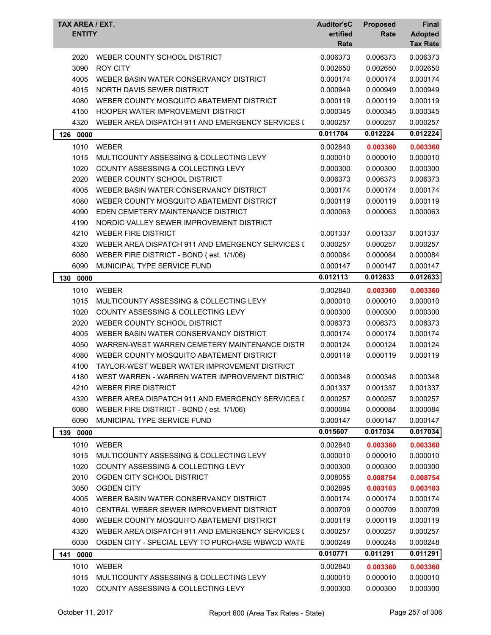| TAX AREA / EXT.<br><b>ENTITY</b> |                                                  | <b>Auditor'sC</b><br>ertified<br>Rate | <b>Proposed</b><br>Rate | Final<br><b>Adopted</b><br><b>Tax Rate</b> |
|----------------------------------|--------------------------------------------------|---------------------------------------|-------------------------|--------------------------------------------|
| 2020                             | WEBER COUNTY SCHOOL DISTRICT                     | 0.006373                              | 0.006373                | 0.006373                                   |
| 3090                             | <b>ROY CITY</b>                                  | 0.002650                              | 0.002650                | 0.002650                                   |
| 4005                             | WEBER BASIN WATER CONSERVANCY DISTRICT           | 0.000174                              | 0.000174                | 0.000174                                   |
| 4015                             | NORTH DAVIS SEWER DISTRICT                       | 0.000949                              | 0.000949                | 0.000949                                   |
| 4080                             | WEBER COUNTY MOSQUITO ABATEMENT DISTRICT         | 0.000119                              | 0.000119                | 0.000119                                   |
| 4150                             | HOOPER WATER IMPROVEMENT DISTRICT                | 0.000345                              | 0.000345                | 0.000345                                   |
| 4320                             | WEBER AREA DISPATCH 911 AND EMERGENCY SERVICES I | 0.000257                              | 0.000257                | 0.000257                                   |
| 126<br>0000                      |                                                  | 0.011704                              | 0.012224                | 0.012224                                   |
| 1010                             | <b>WEBER</b>                                     | 0.002840                              | 0.003360                | 0.003360                                   |
| 1015                             | MULTICOUNTY ASSESSING & COLLECTING LEVY          | 0.000010                              | 0.000010                | 0.000010                                   |
| 1020                             | COUNTY ASSESSING & COLLECTING LEVY               | 0.000300                              | 0.000300                | 0.000300                                   |
| 2020                             | WEBER COUNTY SCHOOL DISTRICT                     | 0.006373                              | 0.006373                | 0.006373                                   |
| 4005                             | WEBER BASIN WATER CONSERVANCY DISTRICT           | 0.000174                              | 0.000174                | 0.000174                                   |
| 4080                             | WEBER COUNTY MOSQUITO ABATEMENT DISTRICT         | 0.000119                              | 0.000119                | 0.000119                                   |
| 4090                             | EDEN CEMETERY MAINTENANCE DISTRICT               | 0.000063                              | 0.000063                | 0.000063                                   |
| 4190                             | NORDIC VALLEY SEWER IMPROVEMENT DISTRICT         |                                       |                         |                                            |
| 4210                             | <b>WEBER FIRE DISTRICT</b>                       | 0.001337                              | 0.001337                | 0.001337                                   |
| 4320                             | WEBER AREA DISPATCH 911 AND EMERGENCY SERVICES I | 0.000257                              | 0.000257                | 0.000257                                   |
| 6080                             | WEBER FIRE DISTRICT - BOND (est. 1/1/06)         | 0.000084                              | 0.000084                | 0.000084                                   |
| 6090                             | MUNICIPAL TYPE SERVICE FUND                      | 0.000147                              | 0.000147                | 0.000147                                   |
| 0000<br>130                      |                                                  | 0.012113                              | 0.012633                | 0.012633                                   |
| 1010                             | <b>WEBER</b>                                     | 0.002840                              | 0.003360                | 0.003360                                   |
| 1015                             | MULTICOUNTY ASSESSING & COLLECTING LEVY          | 0.000010                              | 0.000010                | 0.000010                                   |
| 1020                             | COUNTY ASSESSING & COLLECTING LEVY               | 0.000300                              | 0.000300                | 0.000300                                   |
| 2020                             | WEBER COUNTY SCHOOL DISTRICT                     | 0.006373                              | 0.006373                | 0.006373                                   |
| 4005                             | WEBER BASIN WATER CONSERVANCY DISTRICT           | 0.000174                              | 0.000174                | 0.000174                                   |
| 4050                             | WARREN-WEST WARREN CEMETERY MAINTENANCE DISTR    | 0.000124                              | 0.000124                | 0.000124                                   |
| 4080                             | WEBER COUNTY MOSQUITO ABATEMENT DISTRICT         | 0.000119                              | 0.000119                | 0.000119                                   |
| 4100                             | TAYLOR-WEST WEBER WATER IMPROVEMENT DISTRICT     |                                       |                         |                                            |
| 4180                             | WEST WARREN - WARREN WATER IMPROVEMENT DISTRICT  | 0.000348                              | 0.000348                | 0.000348                                   |
| 4210                             | <b>WEBER FIRE DISTRICT</b>                       | 0.001337                              | 0.001337                | 0.001337                                   |
| 4320                             | WEBER AREA DISPATCH 911 AND EMERGENCY SERVICES I | 0.000257                              | 0.000257                | 0.000257                                   |
| 6080                             | WEBER FIRE DISTRICT - BOND (est. 1/1/06)         | 0.000084                              | 0.000084                | 0.000084                                   |
| 6090                             | MUNICIPAL TYPE SERVICE FUND                      | 0.000147                              | 0.000147                | 0.000147                                   |
| 139 0000                         |                                                  | 0.015607                              | 0.017034                | 0.017034                                   |
| 1010                             | WEBER                                            | 0.002840                              | 0.003360                | 0.003360                                   |
| 1015                             | MULTICOUNTY ASSESSING & COLLECTING LEVY          | 0.000010                              | 0.000010                | 0.000010                                   |
| 1020                             | COUNTY ASSESSING & COLLECTING LEVY               | 0.000300                              | 0.000300                | 0.000300                                   |
| 2010                             | OGDEN CITY SCHOOL DISTRICT                       | 0.008055                              | 0.008754                | 0.008754                                   |
| 3050                             | <b>OGDEN CITY</b>                                | 0.002895                              | 0.003103                | 0.003103                                   |
| 4005                             | WEBER BASIN WATER CONSERVANCY DISTRICT           | 0.000174                              | 0.000174                | 0.000174                                   |
| 4010                             | CENTRAL WEBER SEWER IMPROVEMENT DISTRICT         | 0.000709                              | 0.000709                | 0.000709                                   |
| 4080                             | WEBER COUNTY MOSQUITO ABATEMENT DISTRICT         | 0.000119                              | 0.000119                | 0.000119                                   |
| 4320                             | WEBER AREA DISPATCH 911 AND EMERGENCY SERVICES I | 0.000257                              | 0.000257                | 0.000257                                   |
| 6030                             | OGDEN CITY - SPECIAL LEVY TO PURCHASE WBWCD WATE | 0.000248                              | 0.000248                | 0.000248                                   |
| 141<br>0000                      |                                                  | 0.010771                              | 0.011291                | 0.011291                                   |
| 1010                             | WEBER                                            | 0.002840                              | 0.003360                | 0.003360                                   |
| 1015                             | MULTICOUNTY ASSESSING & COLLECTING LEVY          | 0.000010                              | 0.000010                | 0.000010                                   |
| 1020                             | COUNTY ASSESSING & COLLECTING LEVY               | 0.000300                              | 0.000300                | 0.000300                                   |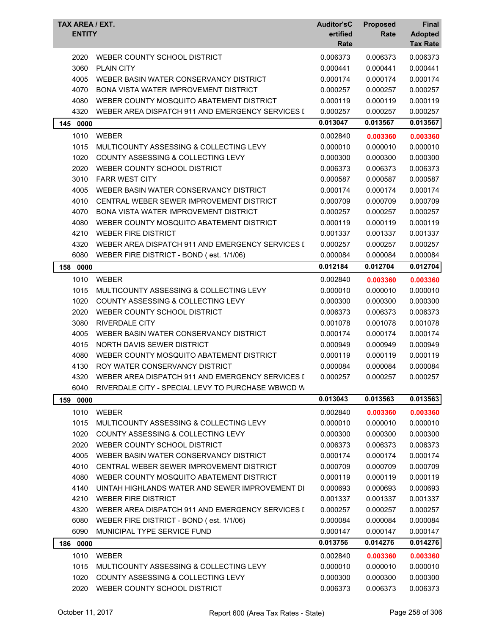| <b>TAX AREA / EXT.</b><br><b>ENTITY</b> |                                                       | <b>Auditor'sC</b><br>ertified<br>Rate | <b>Proposed</b><br>Rate | Final<br><b>Adopted</b><br><b>Tax Rate</b> |
|-----------------------------------------|-------------------------------------------------------|---------------------------------------|-------------------------|--------------------------------------------|
| 2020                                    | WEBER COUNTY SCHOOL DISTRICT                          | 0.006373                              | 0.006373                | 0.006373                                   |
| 3060                                    | <b>PLAIN CITY</b>                                     | 0.000441                              | 0.000441                | 0.000441                                   |
| 4005                                    | WEBER BASIN WATER CONSERVANCY DISTRICT                | 0.000174                              | 0.000174                | 0.000174                                   |
| 4070                                    | <b>BONA VISTA WATER IMPROVEMENT DISTRICT</b>          | 0.000257                              | 0.000257                | 0.000257                                   |
| 4080                                    | WEBER COUNTY MOSQUITO ABATEMENT DISTRICT              | 0.000119                              | 0.000119                | 0.000119                                   |
| 4320                                    | WEBER AREA DISPATCH 911 AND EMERGENCY SERVICES I      | 0.000257                              | 0.000257                | 0.000257                                   |
| 145<br>0000                             |                                                       | 0.013047                              | 0.013567                | 0.013567                                   |
| 1010                                    | WEBER                                                 | 0.002840                              | 0.003360                | 0.003360                                   |
| 1015                                    | MULTICOUNTY ASSESSING & COLLECTING LEVY               | 0.000010                              | 0.000010                | 0.000010                                   |
| 1020                                    | COUNTY ASSESSING & COLLECTING LEVY                    | 0.000300                              | 0.000300                | 0.000300                                   |
| 2020                                    | WEBER COUNTY SCHOOL DISTRICT                          | 0.006373                              | 0.006373                | 0.006373                                   |
| 3010                                    | <b>FARR WEST CITY</b>                                 | 0.000587                              | 0.000587                | 0.000587                                   |
| 4005                                    | WEBER BASIN WATER CONSERVANCY DISTRICT                | 0.000174                              | 0.000174                | 0.000174                                   |
| 4010                                    | CENTRAL WEBER SEWER IMPROVEMENT DISTRICT              | 0.000709                              | 0.000709                | 0.000709                                   |
| 4070                                    | BONA VISTA WATER IMPROVEMENT DISTRICT                 | 0.000257                              | 0.000257                | 0.000257                                   |
| 4080                                    | WEBER COUNTY MOSQUITO ABATEMENT DISTRICT              | 0.000119                              | 0.000119                | 0.000119                                   |
| 4210                                    | <b>WEBER FIRE DISTRICT</b>                            | 0.001337                              | 0.001337                | 0.001337                                   |
| 4320                                    | WEBER AREA DISPATCH 911 AND EMERGENCY SERVICES I      | 0.000257                              | 0.000257                | 0.000257                                   |
| 6080                                    | WEBER FIRE DISTRICT - BOND (est. 1/1/06)              | 0.000084                              | 0.000084                | 0.000084                                   |
| 158<br>0000                             |                                                       | 0.012184                              | 0.012704                | 0.012704                                   |
| 1010                                    | <b>WEBER</b>                                          | 0.002840                              | 0.003360                | 0.003360                                   |
| 1015                                    | MULTICOUNTY ASSESSING & COLLECTING LEVY               | 0.000010                              | 0.000010                | 0.000010                                   |
| 1020                                    | COUNTY ASSESSING & COLLECTING LEVY                    | 0.000300                              | 0.000300                | 0.000300                                   |
| 2020                                    | WEBER COUNTY SCHOOL DISTRICT                          | 0.006373                              | 0.006373                | 0.006373                                   |
| 3080                                    | <b>RIVERDALE CITY</b>                                 | 0.001078                              | 0.001078                | 0.001078                                   |
| 4005                                    | WEBER BASIN WATER CONSERVANCY DISTRICT                | 0.000174                              | 0.000174                | 0.000174                                   |
| 4015                                    | NORTH DAVIS SEWER DISTRICT                            | 0.000949                              | 0.000949                | 0.000949                                   |
| 4080                                    | WEBER COUNTY MOSQUITO ABATEMENT DISTRICT              | 0.000119                              | 0.000119                | 0.000119                                   |
| 4130                                    | ROY WATER CONSERVANCY DISTRICT                        | 0.000084                              | 0.000084                | 0.000084                                   |
|                                         | 4320 WEBER AREA DISPATCH 911 AND EMERGENCY SERVICES I | 0.000257                              | 0.000257                | 0.000257                                   |
| 6040                                    | RIVERDALE CITY - SPECIAL LEVY TO PURCHASE WBWCD W     |                                       |                         |                                            |
| 159<br>0000                             |                                                       | 0.013043                              | 0.013563                | 0.013563                                   |
| 1010                                    | WEBER                                                 | 0.002840                              | 0.003360                | 0.003360                                   |
| 1015                                    | MULTICOUNTY ASSESSING & COLLECTING LEVY               | 0.000010                              | 0.000010                | 0.000010                                   |
| 1020                                    | COUNTY ASSESSING & COLLECTING LEVY                    | 0.000300                              | 0.000300                | 0.000300                                   |
| 2020                                    | WEBER COUNTY SCHOOL DISTRICT                          | 0.006373                              | 0.006373                | 0.006373                                   |
| 4005                                    | WEBER BASIN WATER CONSERVANCY DISTRICT                | 0.000174                              | 0.000174                | 0.000174                                   |
| 4010                                    | CENTRAL WEBER SEWER IMPROVEMENT DISTRICT              | 0.000709                              | 0.000709                | 0.000709                                   |
| 4080                                    | WEBER COUNTY MOSQUITO ABATEMENT DISTRICT              | 0.000119                              | 0.000119                | 0.000119                                   |
| 4140                                    | UINTAH HIGHLANDS WATER AND SEWER IMPROVEMENT DI       | 0.000693                              | 0.000693                | 0.000693                                   |
| 4210                                    | <b>WEBER FIRE DISTRICT</b>                            | 0.001337                              | 0.001337                | 0.001337                                   |
| 4320                                    | WEBER AREA DISPATCH 911 AND EMERGENCY SERVICES I      | 0.000257                              | 0.000257                | 0.000257                                   |
| 6080                                    | WEBER FIRE DISTRICT - BOND (est. 1/1/06)              | 0.000084                              | 0.000084                | 0.000084                                   |
| 6090                                    | MUNICIPAL TYPE SERVICE FUND                           | 0.000147                              | 0.000147                | 0.000147                                   |
| 186 0000                                |                                                       | 0.013756                              | 0.014276                | 0.014276                                   |
| 1010                                    | WEBER                                                 | 0.002840                              | 0.003360                | 0.003360                                   |
| 1015                                    | MULTICOUNTY ASSESSING & COLLECTING LEVY               | 0.000010                              | 0.000010                | 0.000010                                   |
| 1020                                    | COUNTY ASSESSING & COLLECTING LEVY                    | 0.000300                              | 0.000300                | 0.000300                                   |
| 2020                                    | WEBER COUNTY SCHOOL DISTRICT                          | 0.006373                              | 0.006373                | 0.006373                                   |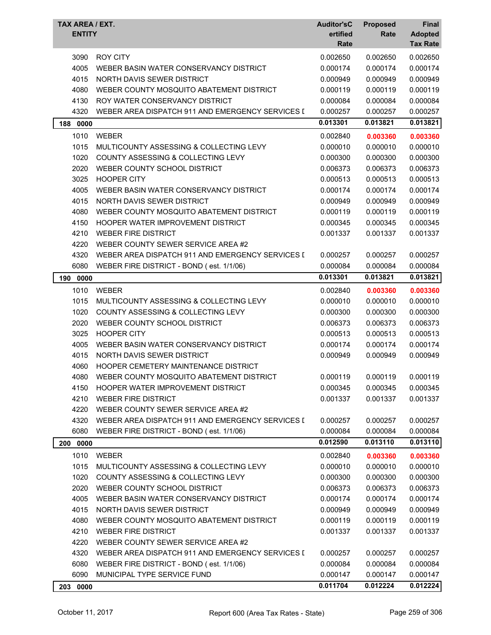| <b>TAX AREA / EXT.</b><br><b>ENTITY</b> |                                                  | <b>Auditor'sC</b><br>ertified<br>Rate | <b>Proposed</b><br>Rate | <b>Final</b><br><b>Adopted</b><br><b>Tax Rate</b> |
|-----------------------------------------|--------------------------------------------------|---------------------------------------|-------------------------|---------------------------------------------------|
| 3090                                    | <b>ROY CITY</b>                                  | 0.002650                              | 0.002650                | 0.002650                                          |
| 4005                                    | WEBER BASIN WATER CONSERVANCY DISTRICT           | 0.000174                              | 0.000174                | 0.000174                                          |
| 4015                                    | NORTH DAVIS SEWER DISTRICT                       | 0.000949                              | 0.000949                | 0.000949                                          |
| 4080                                    | WEBER COUNTY MOSQUITO ABATEMENT DISTRICT         | 0.000119                              | 0.000119                | 0.000119                                          |
| 4130                                    | ROY WATER CONSERVANCY DISTRICT                   | 0.000084                              | 0.000084                | 0.000084                                          |
| 4320                                    | WEBER AREA DISPATCH 911 AND EMERGENCY SERVICES I | 0.000257                              | 0.000257                | 0.000257                                          |
| 188<br>0000                             |                                                  | 0.013301                              | 0.013821                | 0.013821                                          |
| 1010                                    | <b>WEBER</b>                                     | 0.002840                              | 0.003360                | 0.003360                                          |
| 1015                                    | MULTICOUNTY ASSESSING & COLLECTING LEVY          | 0.000010                              | 0.000010                | 0.000010                                          |
| 1020                                    | COUNTY ASSESSING & COLLECTING LEVY               | 0.000300                              | 0.000300                | 0.000300                                          |
| 2020                                    | WEBER COUNTY SCHOOL DISTRICT                     | 0.006373                              | 0.006373                | 0.006373                                          |
| 3025                                    | <b>HOOPER CITY</b>                               | 0.000513                              | 0.000513                | 0.000513                                          |
| 4005                                    | WEBER BASIN WATER CONSERVANCY DISTRICT           | 0.000174                              | 0.000174                | 0.000174                                          |
| 4015                                    | NORTH DAVIS SEWER DISTRICT                       | 0.000949                              | 0.000949                | 0.000949                                          |
| 4080                                    | WEBER COUNTY MOSQUITO ABATEMENT DISTRICT         | 0.000119                              | 0.000119                | 0.000119                                          |
| 4150                                    | HOOPER WATER IMPROVEMENT DISTRICT                | 0.000345                              | 0.000345                | 0.000345                                          |
| 4210                                    | <b>WEBER FIRE DISTRICT</b>                       | 0.001337                              | 0.001337                | 0.001337                                          |
| 4220                                    | WEBER COUNTY SEWER SERVICE AREA #2               |                                       |                         |                                                   |
| 4320                                    | WEBER AREA DISPATCH 911 AND EMERGENCY SERVICES I | 0.000257                              | 0.000257                | 0.000257                                          |
| 6080                                    | WEBER FIRE DISTRICT - BOND (est. 1/1/06)         | 0.000084                              | 0.000084                | 0.000084                                          |
| 190<br>0000                             |                                                  | 0.013301                              | 0.013821                | 0.013821                                          |
| 1010                                    | <b>WEBER</b>                                     | 0.002840                              | 0.003360                | 0.003360                                          |
| 1015                                    | MULTICOUNTY ASSESSING & COLLECTING LEVY          | 0.000010                              | 0.000010                | 0.000010                                          |
| 1020                                    | COUNTY ASSESSING & COLLECTING LEVY               | 0.000300                              | 0.000300                | 0.000300                                          |
| 2020                                    | WEBER COUNTY SCHOOL DISTRICT                     | 0.006373                              | 0.006373                | 0.006373                                          |
| 3025                                    | <b>HOOPER CITY</b>                               | 0.000513                              | 0.000513                | 0.000513                                          |
| 4005                                    | WEBER BASIN WATER CONSERVANCY DISTRICT           | 0.000174                              | 0.000174                | 0.000174                                          |
| 4015                                    | NORTH DAVIS SEWER DISTRICT                       | 0.000949                              | 0.000949                | 0.000949                                          |
| 4060                                    | HOOPER CEMETERY MAINTENANCE DISTRICT             |                                       |                         |                                                   |
| 4080                                    | WEBER COUNTY MOSQUITO ABATEMENT DISTRICT         | 0.000119                              | 0.000119                | 0.000119                                          |
| 4150                                    | HOOPER WATER IMPROVEMENT DISTRICT                | 0.000345                              | 0.000345                | 0.000345                                          |
| 4210                                    | <b>WEBER FIRE DISTRICT</b>                       | 0.001337                              | 0.001337                | 0.001337                                          |
| 4220                                    | WEBER COUNTY SEWER SERVICE AREA #2               |                                       |                         |                                                   |
| 4320                                    | WEBER AREA DISPATCH 911 AND EMERGENCY SERVICES I | 0.000257                              | 0.000257                | 0.000257                                          |
| 6080                                    | WEBER FIRE DISTRICT - BOND (est. 1/1/06)         | 0.000084                              | 0.000084                | 0.000084                                          |
| 200 0000                                |                                                  | 0.012590                              | 0.013110                | 0.013110                                          |
| 1010                                    | WEBER                                            | 0.002840                              | 0.003360                | 0.003360                                          |
| 1015                                    | MULTICOUNTY ASSESSING & COLLECTING LEVY          | 0.000010                              | 0.000010                | 0.000010                                          |
| 1020                                    | COUNTY ASSESSING & COLLECTING LEVY               | 0.000300                              | 0.000300                | 0.000300                                          |
| 2020                                    | WEBER COUNTY SCHOOL DISTRICT                     | 0.006373                              | 0.006373                | 0.006373                                          |
| 4005                                    | WEBER BASIN WATER CONSERVANCY DISTRICT           | 0.000174                              | 0.000174                | 0.000174                                          |
| 4015                                    | NORTH DAVIS SEWER DISTRICT                       | 0.000949                              | 0.000949                | 0.000949                                          |
| 4080                                    | WEBER COUNTY MOSQUITO ABATEMENT DISTRICT         | 0.000119                              | 0.000119                | 0.000119                                          |
| 4210                                    | <b>WEBER FIRE DISTRICT</b>                       | 0.001337                              | 0.001337                | 0.001337                                          |
| 4220                                    | WEBER COUNTY SEWER SERVICE AREA #2               |                                       |                         |                                                   |
| 4320                                    | WEBER AREA DISPATCH 911 AND EMERGENCY SERVICES I | 0.000257                              | 0.000257                | 0.000257                                          |
| 6080                                    | WEBER FIRE DISTRICT - BOND (est. 1/1/06)         | 0.000084                              | 0.000084                | 0.000084                                          |
| 6090                                    | MUNICIPAL TYPE SERVICE FUND                      | 0.000147                              | 0.000147                | 0.000147                                          |
| 203 0000                                |                                                  | 0.011704                              | 0.012224                | 0.012224                                          |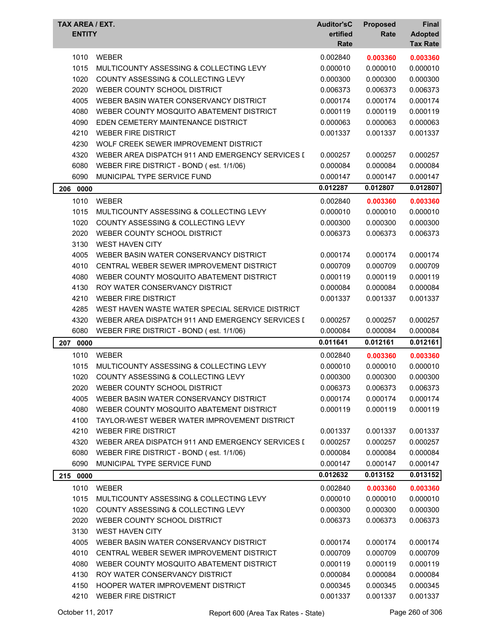| TAX AREA / EXT.<br><b>ENTITY</b> |                                                  | <b>Auditor'sC</b><br>ertified<br>Rate | <b>Proposed</b><br>Rate | Final<br><b>Adopted</b><br><b>Tax Rate</b> |
|----------------------------------|--------------------------------------------------|---------------------------------------|-------------------------|--------------------------------------------|
| 1010                             | <b>WEBER</b>                                     | 0.002840                              | 0.003360                | 0.003360                                   |
| 1015                             | MULTICOUNTY ASSESSING & COLLECTING LEVY          | 0.000010                              | 0.000010                | 0.000010                                   |
| 1020                             | COUNTY ASSESSING & COLLECTING LEVY               | 0.000300                              | 0.000300                | 0.000300                                   |
| 2020                             | WEBER COUNTY SCHOOL DISTRICT                     | 0.006373                              | 0.006373                | 0.006373                                   |
| 4005                             | WEBER BASIN WATER CONSERVANCY DISTRICT           | 0.000174                              | 0.000174                | 0.000174                                   |
| 4080                             | WEBER COUNTY MOSQUITO ABATEMENT DISTRICT         | 0.000119                              | 0.000119                | 0.000119                                   |
| 4090                             | EDEN CEMETERY MAINTENANCE DISTRICT               | 0.000063                              | 0.000063                | 0.000063                                   |
| 4210                             | <b>WEBER FIRE DISTRICT</b>                       | 0.001337                              | 0.001337                | 0.001337                                   |
| 4230                             | WOLF CREEK SEWER IMPROVEMENT DISTRICT            |                                       |                         |                                            |
| 4320                             | WEBER AREA DISPATCH 911 AND EMERGENCY SERVICES I | 0.000257                              | 0.000257                | 0.000257                                   |
| 6080                             | WEBER FIRE DISTRICT - BOND (est. 1/1/06)         | 0.000084                              | 0.000084                | 0.000084                                   |
| 6090                             | MUNICIPAL TYPE SERVICE FUND                      | 0.000147                              | 0.000147                | 0.000147                                   |
| 206 0000                         |                                                  | 0.012287                              | 0.012807                | 0.012807                                   |
| 1010                             | <b>WEBER</b>                                     | 0.002840                              | 0.003360                | 0.003360                                   |
| 1015                             | MULTICOUNTY ASSESSING & COLLECTING LEVY          | 0.000010                              | 0.000010                | 0.000010                                   |
| 1020                             | COUNTY ASSESSING & COLLECTING LEVY               | 0.000300                              | 0.000300                | 0.000300                                   |
| 2020                             | WEBER COUNTY SCHOOL DISTRICT                     | 0.006373                              | 0.006373                | 0.006373                                   |
| 3130                             | <b>WEST HAVEN CITY</b>                           |                                       |                         |                                            |
| 4005                             | WEBER BASIN WATER CONSERVANCY DISTRICT           | 0.000174                              | 0.000174                | 0.000174                                   |
| 4010                             | CENTRAL WEBER SEWER IMPROVEMENT DISTRICT         | 0.000709                              | 0.000709                | 0.000709                                   |
| 4080                             | WEBER COUNTY MOSQUITO ABATEMENT DISTRICT         | 0.000119                              | 0.000119                | 0.000119                                   |
| 4130                             | ROY WATER CONSERVANCY DISTRICT                   | 0.000084                              | 0.000084                | 0.000084                                   |
| 4210                             | <b>WEBER FIRE DISTRICT</b>                       | 0.001337                              | 0.001337                | 0.001337                                   |
| 4285                             | WEST HAVEN WASTE WATER SPECIAL SERVICE DISTRICT  |                                       |                         |                                            |
| 4320                             | WEBER AREA DISPATCH 911 AND EMERGENCY SERVICES I | 0.000257                              | 0.000257                | 0.000257                                   |
| 6080                             | WEBER FIRE DISTRICT - BOND (est. 1/1/06)         | 0.000084                              | 0.000084                | 0.000084                                   |
| 207<br>0000                      |                                                  | 0.011641                              | 0.012161                | 0.012161                                   |
| 1010                             | <b>WEBER</b>                                     | 0.002840                              | 0.003360                | 0.003360                                   |
| 1015                             | MULTICOUNTY ASSESSING & COLLECTING LEVY          | 0.000010                              | 0.000010                | 0.000010                                   |
| 1020                             | COUNTY ASSESSING & COLLECTING LEVY               | 0.000300                              | 0.000300                | 0.000300                                   |
| 2020                             | WEBER COUNTY SCHOOL DISTRICT                     | 0.006373                              | 0.006373                | 0.006373                                   |
| 4005                             | WEBER BASIN WATER CONSERVANCY DISTRICT           | 0.000174                              | 0.000174                | 0.000174                                   |
| 4080                             | WEBER COUNTY MOSQUITO ABATEMENT DISTRICT         | 0.000119                              | 0.000119                | 0.000119                                   |
| 4100                             | TAYLOR-WEST WEBER WATER IMPROVEMENT DISTRICT     |                                       |                         |                                            |
| 4210                             | <b>WEBER FIRE DISTRICT</b>                       | 0.001337                              | 0.001337                | 0.001337                                   |
| 4320                             | WEBER AREA DISPATCH 911 AND EMERGENCY SERVICES I | 0.000257                              | 0.000257                | 0.000257                                   |
| 6080                             | WEBER FIRE DISTRICT - BOND (est. 1/1/06)         | 0.000084                              | 0.000084                | 0.000084                                   |
| 6090                             | MUNICIPAL TYPE SERVICE FUND                      | 0.000147                              | 0.000147                | 0.000147                                   |
| 215 0000                         |                                                  | 0.012632                              | 0.013152                | 0.013152                                   |
| 1010                             | WEBER                                            | 0.002840                              | 0.003360                | 0.003360                                   |
| 1015                             | MULTICOUNTY ASSESSING & COLLECTING LEVY          | 0.000010                              | 0.000010                | 0.000010                                   |
| 1020                             | COUNTY ASSESSING & COLLECTING LEVY               | 0.000300                              | 0.000300                | 0.000300                                   |
| 2020                             | WEBER COUNTY SCHOOL DISTRICT                     | 0.006373                              | 0.006373                | 0.006373                                   |
| 3130                             | <b>WEST HAVEN CITY</b>                           |                                       |                         |                                            |
| 4005                             | WEBER BASIN WATER CONSERVANCY DISTRICT           | 0.000174                              | 0.000174                | 0.000174                                   |
| 4010                             | CENTRAL WEBER SEWER IMPROVEMENT DISTRICT         | 0.000709                              | 0.000709                | 0.000709                                   |
| 4080                             | WEBER COUNTY MOSQUITO ABATEMENT DISTRICT         | 0.000119                              | 0.000119                | 0.000119                                   |
| 4130                             | ROY WATER CONSERVANCY DISTRICT                   | 0.000084                              | 0.000084                | 0.000084                                   |
| 4150                             | HOOPER WATER IMPROVEMENT DISTRICT                | 0.000345                              | 0.000345                | 0.000345                                   |
| 4210                             | <b>WEBER FIRE DISTRICT</b>                       | 0.001337                              | 0.001337                | 0.001337                                   |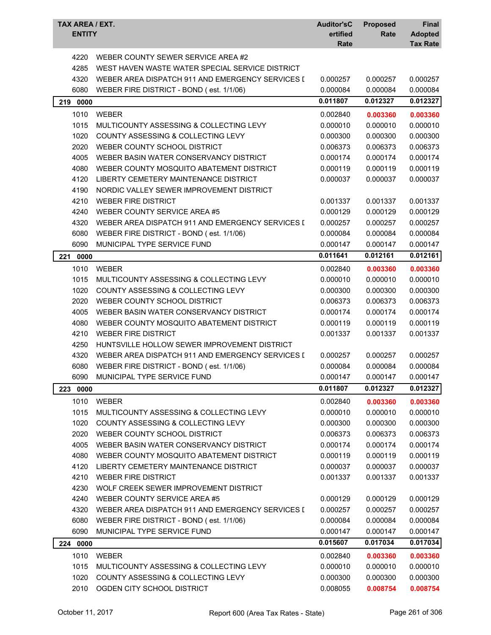| TAX AREA / EXT.<br><b>ENTITY</b> |                                                  | <b>Auditor'sC</b><br>ertified<br>Rate | <b>Proposed</b><br>Rate | Final<br><b>Adopted</b><br><b>Tax Rate</b> |
|----------------------------------|--------------------------------------------------|---------------------------------------|-------------------------|--------------------------------------------|
| 4220                             | WEBER COUNTY SEWER SERVICE AREA #2               |                                       |                         |                                            |
| 4285                             | WEST HAVEN WASTE WATER SPECIAL SERVICE DISTRICT  |                                       |                         |                                            |
| 4320                             | WEBER AREA DISPATCH 911 AND EMERGENCY SERVICES I | 0.000257                              | 0.000257                | 0.000257                                   |
| 6080                             | WEBER FIRE DISTRICT - BOND (est. 1/1/06)         | 0.000084                              | 0.000084                | 0.000084                                   |
| 219 0000                         |                                                  | 0.011807                              | 0.012327                | 0.012327                                   |
| 1010                             | <b>WEBER</b>                                     | 0.002840                              | 0.003360                | 0.003360                                   |
| 1015                             | MULTICOUNTY ASSESSING & COLLECTING LEVY          | 0.000010                              | 0.000010                | 0.000010                                   |
| 1020                             | <b>COUNTY ASSESSING &amp; COLLECTING LEVY</b>    | 0.000300                              | 0.000300                | 0.000300                                   |
| 2020                             | WEBER COUNTY SCHOOL DISTRICT                     | 0.006373                              | 0.006373                | 0.006373                                   |
| 4005                             | WEBER BASIN WATER CONSERVANCY DISTRICT           | 0.000174                              | 0.000174                | 0.000174                                   |
| 4080                             | WEBER COUNTY MOSQUITO ABATEMENT DISTRICT         | 0.000119                              | 0.000119                | 0.000119                                   |
| 4120                             | LIBERTY CEMETERY MAINTENANCE DISTRICT            | 0.000037                              | 0.000037                | 0.000037                                   |
| 4190                             | NORDIC VALLEY SEWER IMPROVEMENT DISTRICT         |                                       |                         |                                            |
| 4210                             | <b>WEBER FIRE DISTRICT</b>                       | 0.001337                              | 0.001337                | 0.001337                                   |
| 4240                             | WEBER COUNTY SERVICE AREA #5                     | 0.000129                              | 0.000129                | 0.000129                                   |
| 4320                             | WEBER AREA DISPATCH 911 AND EMERGENCY SERVICES I | 0.000257                              | 0.000257                | 0.000257                                   |
| 6080                             | WEBER FIRE DISTRICT - BOND (est. 1/1/06)         | 0.000084                              | 0.000084                | 0.000084                                   |
| 6090                             | MUNICIPAL TYPE SERVICE FUND                      | 0.000147                              | 0.000147                | 0.000147                                   |
| 221<br>0000                      |                                                  | 0.011641                              | 0.012161                | 0.012161                                   |
| 1010                             | <b>WEBER</b>                                     | 0.002840                              | 0.003360                | 0.003360                                   |
| 1015                             | MULTICOUNTY ASSESSING & COLLECTING LEVY          | 0.000010                              | 0.000010                | 0.000010                                   |
| 1020                             | <b>COUNTY ASSESSING &amp; COLLECTING LEVY</b>    | 0.000300                              | 0.000300                | 0.000300                                   |
| 2020                             | WEBER COUNTY SCHOOL DISTRICT                     | 0.006373                              | 0.006373                | 0.006373                                   |
| 4005                             | WEBER BASIN WATER CONSERVANCY DISTRICT           | 0.000174                              | 0.000174                | 0.000174                                   |
| 4080                             | WEBER COUNTY MOSQUITO ABATEMENT DISTRICT         | 0.000119                              | 0.000119                | 0.000119                                   |
| 4210                             | <b>WEBER FIRE DISTRICT</b>                       | 0.001337                              | 0.001337                | 0.001337                                   |
| 4250                             | HUNTSVILLE HOLLOW SEWER IMPROVEMENT DISTRICT     |                                       |                         |                                            |
| 4320                             | WEBER AREA DISPATCH 911 AND EMERGENCY SERVICES I | 0.000257                              | 0.000257                | 0.000257                                   |
| 6080                             | WEBER FIRE DISTRICT - BOND (est. 1/1/06)         | 0.000084                              | 0.000084                | 0.000084                                   |
| 6090                             | MUNICIPAL TYPE SERVICE FUND                      | 0.000147                              | 0.000147                | 0.000147                                   |
| 223<br>0000                      |                                                  | 0.011807                              | 0.012327                | 0.012327                                   |
| 1010                             | <b>WEBER</b>                                     | 0.002840                              | 0.003360                | 0.003360                                   |
| 1015                             | MULTICOUNTY ASSESSING & COLLECTING LEVY          | 0.000010                              | 0.000010                | 0.000010                                   |
| 1020                             | <b>COUNTY ASSESSING &amp; COLLECTING LEVY</b>    | 0.000300                              | 0.000300                | 0.000300                                   |
| 2020                             | WEBER COUNTY SCHOOL DISTRICT                     | 0.006373                              | 0.006373                | 0.006373                                   |
| 4005                             | WEBER BASIN WATER CONSERVANCY DISTRICT           | 0.000174                              | 0.000174                | 0.000174                                   |
| 4080                             | WEBER COUNTY MOSQUITO ABATEMENT DISTRICT         | 0.000119                              | 0.000119                | 0.000119                                   |
| 4120                             | <b>LIBERTY CEMETERY MAINTENANCE DISTRICT</b>     | 0.000037                              | 0.000037                | 0.000037                                   |
| 4210                             | <b>WEBER FIRE DISTRICT</b>                       | 0.001337                              | 0.001337                | 0.001337                                   |
| 4230                             | WOLF CREEK SEWER IMPROVEMENT DISTRICT            |                                       |                         |                                            |
| 4240                             | WEBER COUNTY SERVICE AREA #5                     | 0.000129                              | 0.000129                | 0.000129                                   |
| 4320                             | WEBER AREA DISPATCH 911 AND EMERGENCY SERVICES I | 0.000257                              | 0.000257                | 0.000257                                   |
| 6080                             | WEBER FIRE DISTRICT - BOND (est. 1/1/06)         | 0.000084                              | 0.000084                | 0.000084                                   |
| 6090                             | MUNICIPAL TYPE SERVICE FUND                      | 0.000147                              | 0.000147                | 0.000147                                   |
| 224 0000                         |                                                  | 0.015607                              | 0.017034                | 0.017034                                   |
| 1010                             | <b>WEBER</b>                                     | 0.002840                              | 0.003360                | 0.003360                                   |
| 1015                             | MULTICOUNTY ASSESSING & COLLECTING LEVY          | 0.000010                              | 0.000010                | 0.000010                                   |
| 1020                             | COUNTY ASSESSING & COLLECTING LEVY               | 0.000300                              | 0.000300                | 0.000300                                   |
| 2010                             | OGDEN CITY SCHOOL DISTRICT                       | 0.008055                              | 0.008754                | 0.008754                                   |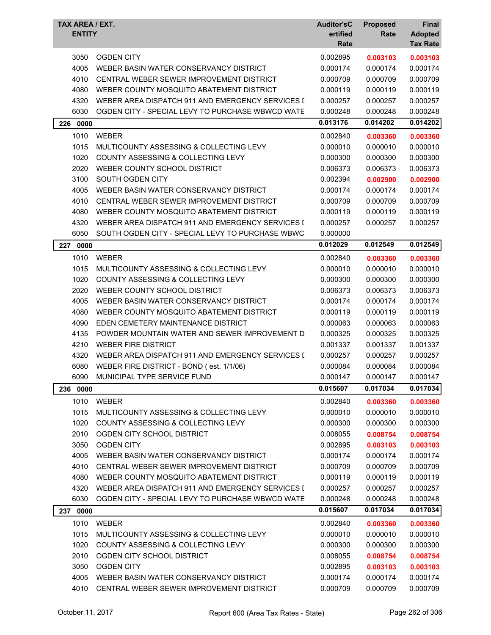| TAX AREA / EXT.<br><b>ENTITY</b> |                                                  | <b>Auditor'sC</b><br>ertified<br>Rate | <b>Proposed</b><br>Rate | Final<br><b>Adopted</b><br><b>Tax Rate</b> |
|----------------------------------|--------------------------------------------------|---------------------------------------|-------------------------|--------------------------------------------|
| 3050                             | <b>OGDEN CITY</b>                                | 0.002895                              | 0.003103                | 0.003103                                   |
| 4005                             | WEBER BASIN WATER CONSERVANCY DISTRICT           | 0.000174                              | 0.000174                | 0.000174                                   |
| 4010                             | CENTRAL WEBER SEWER IMPROVEMENT DISTRICT         | 0.000709                              | 0.000709                | 0.000709                                   |
| 4080                             | WEBER COUNTY MOSQUITO ABATEMENT DISTRICT         | 0.000119                              | 0.000119                | 0.000119                                   |
| 4320                             | WEBER AREA DISPATCH 911 AND EMERGENCY SERVICES I | 0.000257                              | 0.000257                | 0.000257                                   |
| 6030                             | OGDEN CITY - SPECIAL LEVY TO PURCHASE WBWCD WATE | 0.000248                              | 0.000248                | 0.000248                                   |
| 0000<br>226                      |                                                  | 0.013176                              | 0.014202                | 0.014202                                   |
| 1010                             | <b>WEBER</b>                                     | 0.002840                              | 0.003360                | 0.003360                                   |
| 1015                             | MULTICOUNTY ASSESSING & COLLECTING LEVY          | 0.000010                              | 0.000010                | 0.000010                                   |
| 1020                             | <b>COUNTY ASSESSING &amp; COLLECTING LEVY</b>    | 0.000300                              | 0.000300                | 0.000300                                   |
| 2020                             | WEBER COUNTY SCHOOL DISTRICT                     | 0.006373                              | 0.006373                | 0.006373                                   |
| 3100                             | SOUTH OGDEN CITY                                 | 0.002394                              | 0.002900                | 0.002900                                   |
| 4005                             | WEBER BASIN WATER CONSERVANCY DISTRICT           | 0.000174                              | 0.000174                | 0.000174                                   |
| 4010                             | CENTRAL WEBER SEWER IMPROVEMENT DISTRICT         | 0.000709                              | 0.000709                | 0.000709                                   |
| 4080                             | WEBER COUNTY MOSQUITO ABATEMENT DISTRICT         | 0.000119                              | 0.000119                | 0.000119                                   |
| 4320                             | WEBER AREA DISPATCH 911 AND EMERGENCY SERVICES I | 0.000257                              | 0.000257                | 0.000257                                   |
| 6050                             | SOUTH OGDEN CITY - SPECIAL LEVY TO PURCHASE WBWC | 0.000000                              |                         |                                            |
| 227 0000                         |                                                  | 0.012029                              | 0.012549                | 0.012549                                   |
| 1010                             | <b>WEBER</b>                                     | 0.002840                              | 0.003360                | 0.003360                                   |
| 1015                             | MULTICOUNTY ASSESSING & COLLECTING LEVY          | 0.000010                              | 0.000010                | 0.000010                                   |
| 1020                             | COUNTY ASSESSING & COLLECTING LEVY               | 0.000300                              | 0.000300                | 0.000300                                   |
| 2020                             | WEBER COUNTY SCHOOL DISTRICT                     | 0.006373                              | 0.006373                | 0.006373                                   |
| 4005                             | WEBER BASIN WATER CONSERVANCY DISTRICT           | 0.000174                              | 0.000174                | 0.000174                                   |
| 4080                             | WEBER COUNTY MOSQUITO ABATEMENT DISTRICT         | 0.000119                              | 0.000119                | 0.000119                                   |
| 4090                             | EDEN CEMETERY MAINTENANCE DISTRICT               | 0.000063                              | 0.000063                | 0.000063                                   |
| 4135                             | POWDER MOUNTAIN WATER AND SEWER IMPROVEMENT D    | 0.000325                              | 0.000325                | 0.000325                                   |
| 4210                             | <b>WEBER FIRE DISTRICT</b>                       | 0.001337                              | 0.001337                | 0.001337                                   |
| 4320                             | WEBER AREA DISPATCH 911 AND EMERGENCY SERVICES I | 0.000257                              | 0.000257                | 0.000257                                   |
| 6080                             | WEBER FIRE DISTRICT - BOND (est. 1/1/06)         | 0.000084                              | 0.000084                | 0.000084                                   |
| 6090                             | MUNICIPAL TYPE SERVICE FUND                      | 0.000147                              | 0.000147                | 0.000147                                   |
| 236 0000                         |                                                  | 0.015607                              | 0.017034                | 0.017034                                   |
| 1010                             | <b>WEBER</b>                                     | 0.002840                              | 0.003360                | 0.003360                                   |
| 1015                             | MULTICOUNTY ASSESSING & COLLECTING LEVY          | 0.000010                              | 0.000010                | 0.000010                                   |
| 1020                             | COUNTY ASSESSING & COLLECTING LEVY               | 0.000300                              | 0.000300                | 0.000300                                   |
| 2010                             | OGDEN CITY SCHOOL DISTRICT                       | 0.008055                              | 0.008754                | 0.008754                                   |
| 3050                             | <b>OGDEN CITY</b>                                | 0.002895                              | 0.003103                | 0.003103                                   |
| 4005                             | WEBER BASIN WATER CONSERVANCY DISTRICT           | 0.000174                              | 0.000174                | 0.000174                                   |
| 4010                             | CENTRAL WEBER SEWER IMPROVEMENT DISTRICT         | 0.000709                              | 0.000709                | 0.000709                                   |
| 4080                             | WEBER COUNTY MOSQUITO ABATEMENT DISTRICT         | 0.000119                              | 0.000119                | 0.000119                                   |
| 4320                             | WEBER AREA DISPATCH 911 AND EMERGENCY SERVICES I | 0.000257                              | 0.000257                | 0.000257                                   |
| 6030                             | OGDEN CITY - SPECIAL LEVY TO PURCHASE WBWCD WATE | 0.000248                              | 0.000248                | 0.000248                                   |
| 237 0000                         |                                                  | 0.015607                              | 0.017034                | 0.017034                                   |
| 1010                             | <b>WEBER</b>                                     | 0.002840                              | 0.003360                | 0.003360                                   |
| 1015                             | MULTICOUNTY ASSESSING & COLLECTING LEVY          | 0.000010                              | 0.000010                | 0.000010                                   |
| 1020                             | COUNTY ASSESSING & COLLECTING LEVY               | 0.000300                              | 0.000300                | 0.000300                                   |
| 2010                             | OGDEN CITY SCHOOL DISTRICT                       | 0.008055                              | 0.008754                | 0.008754                                   |
| 3050                             | <b>OGDEN CITY</b>                                | 0.002895                              | 0.003103                | 0.003103                                   |
| 4005                             | WEBER BASIN WATER CONSERVANCY DISTRICT           | 0.000174                              | 0.000174                | 0.000174                                   |
| 4010                             | CENTRAL WEBER SEWER IMPROVEMENT DISTRICT         | 0.000709                              | 0.000709                | 0.000709                                   |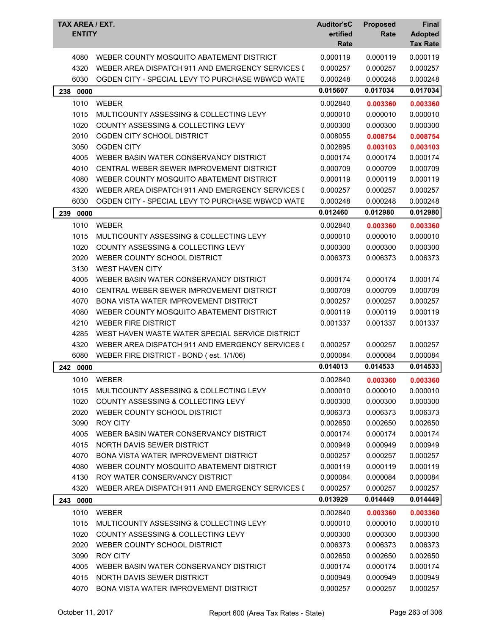| TAX AREA / EXT.<br><b>ENTITY</b> |                                                  | <b>Auditor'sC</b><br>ertified<br>Rate | <b>Proposed</b><br>Rate | <b>Final</b><br><b>Adopted</b><br><b>Tax Rate</b> |
|----------------------------------|--------------------------------------------------|---------------------------------------|-------------------------|---------------------------------------------------|
| 4080                             | WEBER COUNTY MOSQUITO ABATEMENT DISTRICT         | 0.000119                              | 0.000119                | 0.000119                                          |
| 4320                             | WEBER AREA DISPATCH 911 AND EMERGENCY SERVICES I | 0.000257                              | 0.000257                | 0.000257                                          |
| 6030                             | OGDEN CITY - SPECIAL LEVY TO PURCHASE WBWCD WATE | 0.000248                              | 0.000248                | 0.000248                                          |
| 238 0000                         |                                                  | 0.015607                              | 0.017034                | 0.017034                                          |
| 1010                             | <b>WEBER</b>                                     | 0.002840                              | 0.003360                | 0.003360                                          |
| 1015                             | MULTICOUNTY ASSESSING & COLLECTING LEVY          | 0.000010                              | 0.000010                | 0.000010                                          |
| 1020                             | COUNTY ASSESSING & COLLECTING LEVY               | 0.000300                              | 0.000300                | 0.000300                                          |
| 2010                             | OGDEN CITY SCHOOL DISTRICT                       | 0.008055                              | 0.008754                | 0.008754                                          |
| 3050                             | <b>OGDEN CITY</b>                                | 0.002895                              | 0.003103                | 0.003103                                          |
| 4005                             | WEBER BASIN WATER CONSERVANCY DISTRICT           | 0.000174                              | 0.000174                | 0.000174                                          |
| 4010                             | CENTRAL WEBER SEWER IMPROVEMENT DISTRICT         | 0.000709                              | 0.000709                | 0.000709                                          |
| 4080                             | WEBER COUNTY MOSQUITO ABATEMENT DISTRICT         | 0.000119                              | 0.000119                | 0.000119                                          |
| 4320                             | WEBER AREA DISPATCH 911 AND EMERGENCY SERVICES I | 0.000257                              | 0.000257                | 0.000257                                          |
| 6030                             | OGDEN CITY - SPECIAL LEVY TO PURCHASE WBWCD WATE | 0.000248                              | 0.000248                | 0.000248                                          |
| 239<br>0000                      |                                                  | 0.012460                              | 0.012980                | 0.012980                                          |
| 1010                             | <b>WEBER</b>                                     | 0.002840                              | 0.003360                | 0.003360                                          |
| 1015                             | MULTICOUNTY ASSESSING & COLLECTING LEVY          | 0.000010                              | 0.000010                | 0.000010                                          |
| 1020                             | COUNTY ASSESSING & COLLECTING LEVY               | 0.000300                              | 0.000300                | 0.000300                                          |
| 2020                             | WEBER COUNTY SCHOOL DISTRICT                     | 0.006373                              | 0.006373                | 0.006373                                          |
| 3130                             | <b>WEST HAVEN CITY</b>                           |                                       |                         |                                                   |
| 4005                             | WEBER BASIN WATER CONSERVANCY DISTRICT           | 0.000174                              | 0.000174                | 0.000174                                          |
| 4010                             | CENTRAL WEBER SEWER IMPROVEMENT DISTRICT         | 0.000709                              | 0.000709                | 0.000709                                          |
| 4070                             | BONA VISTA WATER IMPROVEMENT DISTRICT            | 0.000257                              | 0.000257                | 0.000257                                          |
| 4080                             | WEBER COUNTY MOSQUITO ABATEMENT DISTRICT         | 0.000119                              | 0.000119                | 0.000119                                          |
| 4210                             | <b>WEBER FIRE DISTRICT</b>                       | 0.001337                              | 0.001337                | 0.001337                                          |
| 4285                             | WEST HAVEN WASTE WATER SPECIAL SERVICE DISTRICT  |                                       |                         |                                                   |
| 4320                             | WEBER AREA DISPATCH 911 AND EMERGENCY SERVICES I | 0.000257                              | 0.000257                | 0.000257                                          |
| 6080                             | WEBER FIRE DISTRICT - BOND (est. 1/1/06)         | 0.000084                              | 0.000084                | 0.000084                                          |
| 242<br>0000                      |                                                  | 0.014013                              | 0.014533                | 0.014533                                          |
| 1010                             | WEBER                                            | 0.002840                              | 0.003360                | 0.003360                                          |
| 1015                             | MULTICOUNTY ASSESSING & COLLECTING LEVY          | 0.000010                              | 0.000010                | 0.000010                                          |
| 1020                             | COUNTY ASSESSING & COLLECTING LEVY               | 0.000300                              | 0.000300                | 0.000300                                          |
| 2020                             | WEBER COUNTY SCHOOL DISTRICT                     | 0.006373                              | 0.006373                | 0.006373                                          |
| 3090                             | <b>ROY CITY</b>                                  | 0.002650                              | 0.002650                | 0.002650                                          |
| 4005                             | WEBER BASIN WATER CONSERVANCY DISTRICT           | 0.000174                              | 0.000174                | 0.000174                                          |
| 4015                             | NORTH DAVIS SEWER DISTRICT                       | 0.000949                              | 0.000949                | 0.000949                                          |
| 4070                             | BONA VISTA WATER IMPROVEMENT DISTRICT            | 0.000257                              | 0.000257                | 0.000257                                          |
| 4080                             | WEBER COUNTY MOSQUITO ABATEMENT DISTRICT         | 0.000119                              | 0.000119                | 0.000119                                          |
| 4130                             | ROY WATER CONSERVANCY DISTRICT                   | 0.000084                              | 0.000084                | 0.000084                                          |
| 4320                             | WEBER AREA DISPATCH 911 AND EMERGENCY SERVICES I | 0.000257                              | 0.000257                | 0.000257                                          |
| 243 0000                         |                                                  | 0.013929                              | 0.014449                | 0.014449                                          |
| 1010                             | <b>WEBER</b>                                     | 0.002840                              | 0.003360                | 0.003360                                          |
| 1015                             | MULTICOUNTY ASSESSING & COLLECTING LEVY          | 0.000010                              | 0.000010                | 0.000010                                          |
| 1020                             | COUNTY ASSESSING & COLLECTING LEVY               | 0.000300                              | 0.000300                | 0.000300                                          |
| 2020                             | WEBER COUNTY SCHOOL DISTRICT                     | 0.006373                              | 0.006373                | 0.006373                                          |
| 3090                             | <b>ROY CITY</b>                                  | 0.002650                              | 0.002650                | 0.002650                                          |
| 4005                             | WEBER BASIN WATER CONSERVANCY DISTRICT           | 0.000174                              | 0.000174                | 0.000174                                          |
| 4015                             | NORTH DAVIS SEWER DISTRICT                       | 0.000949                              | 0.000949                | 0.000949                                          |
| 4070                             | BONA VISTA WATER IMPROVEMENT DISTRICT            | 0.000257                              | 0.000257                | 0.000257                                          |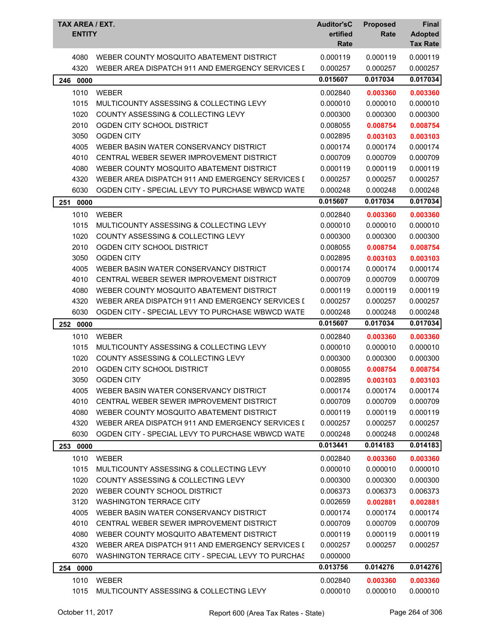| TAX AREA / EXT.<br><b>ENTITY</b> |                                                   | <b>Auditor'sC</b><br>ertified<br>Rate | <b>Proposed</b><br>Rate | <b>Final</b><br><b>Adopted</b><br><b>Tax Rate</b> |
|----------------------------------|---------------------------------------------------|---------------------------------------|-------------------------|---------------------------------------------------|
| 4080                             | WEBER COUNTY MOSQUITO ABATEMENT DISTRICT          | 0.000119                              | 0.000119                | 0.000119                                          |
| 4320                             | WEBER AREA DISPATCH 911 AND EMERGENCY SERVICES I  | 0.000257                              | 0.000257                | 0.000257                                          |
| 0000<br>246                      |                                                   | 0.015607                              | 0.017034                | 0.017034                                          |
| 1010                             | <b>WEBER</b>                                      | 0.002840                              | 0.003360                | 0.003360                                          |
| 1015                             | MULTICOUNTY ASSESSING & COLLECTING LEVY           | 0.000010                              | 0.000010                | 0.000010                                          |
| 1020                             | COUNTY ASSESSING & COLLECTING LEVY                | 0.000300                              | 0.000300                | 0.000300                                          |
| 2010                             | OGDEN CITY SCHOOL DISTRICT                        | 0.008055                              | 0.008754                | 0.008754                                          |
| 3050                             | <b>OGDEN CITY</b>                                 | 0.002895                              | 0.003103                | 0.003103                                          |
| 4005                             | WEBER BASIN WATER CONSERVANCY DISTRICT            | 0.000174                              | 0.000174                | 0.000174                                          |
| 4010                             | CENTRAL WEBER SEWER IMPROVEMENT DISTRICT          | 0.000709                              | 0.000709                | 0.000709                                          |
| 4080                             | WEBER COUNTY MOSQUITO ABATEMENT DISTRICT          | 0.000119                              | 0.000119                | 0.000119                                          |
| 4320                             | WEBER AREA DISPATCH 911 AND EMERGENCY SERVICES I  | 0.000257                              | 0.000257                | 0.000257                                          |
| 6030                             | OGDEN CITY - SPECIAL LEVY TO PURCHASE WBWCD WATE  | 0.000248                              | 0.000248                | 0.000248                                          |
| 251<br>0000                      |                                                   | 0.015607                              | 0.017034                | 0.017034                                          |
| 1010                             | <b>WEBER</b>                                      | 0.002840                              | 0.003360                | 0.003360                                          |
| 1015                             | MULTICOUNTY ASSESSING & COLLECTING LEVY           | 0.000010                              | 0.000010                | 0.000010                                          |
| 1020                             | COUNTY ASSESSING & COLLECTING LEVY                | 0.000300                              | 0.000300                | 0.000300                                          |
| 2010                             | OGDEN CITY SCHOOL DISTRICT                        | 0.008055                              | 0.008754                | 0.008754                                          |
| 3050                             | <b>OGDEN CITY</b>                                 | 0.002895                              | 0.003103                | 0.003103                                          |
| 4005                             | WEBER BASIN WATER CONSERVANCY DISTRICT            | 0.000174                              | 0.000174                | 0.000174                                          |
| 4010                             | CENTRAL WEBER SEWER IMPROVEMENT DISTRICT          | 0.000709                              | 0.000709                | 0.000709                                          |
| 4080                             | WEBER COUNTY MOSQUITO ABATEMENT DISTRICT          | 0.000119                              | 0.000119                | 0.000119                                          |
| 4320                             | WEBER AREA DISPATCH 911 AND EMERGENCY SERVICES I  | 0.000257                              | 0.000257                | 0.000257                                          |
| 6030                             | OGDEN CITY - SPECIAL LEVY TO PURCHASE WBWCD WATE  | 0.000248                              | 0.000248                | 0.000248                                          |
| 252<br>0000                      |                                                   | 0.015607                              | 0.017034                | 0.017034                                          |
| 1010                             | WEBER                                             | 0.002840                              | 0.003360                | 0.003360                                          |
| 1015                             | MULTICOUNTY ASSESSING & COLLECTING LEVY           | 0.000010                              | 0.000010                | 0.000010                                          |
| 1020                             | COUNTY ASSESSING & COLLECTING LEVY                | 0.000300                              | 0.000300                | 0.000300                                          |
| 2010                             | OGDEN CITY SCHOOL DISTRICT                        | 0.008055                              | 0.008754                | 0.008754                                          |
| 3050                             | OGDEN CITY                                        | 0.002895                              | 0.003103                | 0.003103                                          |
| 4005                             | WEBER BASIN WATER CONSERVANCY DISTRICT            | 0.000174                              | 0.000174                | 0.000174                                          |
| 4010                             | CENTRAL WEBER SEWER IMPROVEMENT DISTRICT          | 0.000709                              | 0.000709                | 0.000709                                          |
| 4080                             | WEBER COUNTY MOSQUITO ABATEMENT DISTRICT          | 0.000119                              | 0.000119                | 0.000119                                          |
| 4320                             | WEBER AREA DISPATCH 911 AND EMERGENCY SERVICES I  | 0.000257                              | 0.000257                | 0.000257                                          |
| 6030                             | OGDEN CITY - SPECIAL LEVY TO PURCHASE WBWCD WATE  | 0.000248                              | 0.000248                | 0.000248                                          |
| 253 0000                         |                                                   | 0.013441                              | 0.014183                | 0.014183                                          |
| 1010                             | <b>WEBER</b>                                      | 0.002840                              | 0.003360                | 0.003360                                          |
| 1015                             | MULTICOUNTY ASSESSING & COLLECTING LEVY           | 0.000010                              | 0.000010                | 0.000010                                          |
| 1020                             | COUNTY ASSESSING & COLLECTING LEVY                | 0.000300                              | 0.000300                | 0.000300                                          |
| 2020                             | WEBER COUNTY SCHOOL DISTRICT                      | 0.006373                              | 0.006373                | 0.006373                                          |
| 3120                             | <b>WASHINGTON TERRACE CITY</b>                    | 0.002659                              | 0.002881                | 0.002881                                          |
| 4005                             | WEBER BASIN WATER CONSERVANCY DISTRICT            | 0.000174                              | 0.000174                | 0.000174                                          |
| 4010                             | CENTRAL WEBER SEWER IMPROVEMENT DISTRICT          | 0.000709                              | 0.000709                | 0.000709                                          |
| 4080                             | WEBER COUNTY MOSQUITO ABATEMENT DISTRICT          | 0.000119                              | 0.000119                | 0.000119                                          |
| 4320                             | WEBER AREA DISPATCH 911 AND EMERGENCY SERVICES I  | 0.000257                              | 0.000257                | 0.000257                                          |
| 6070                             | WASHINGTON TERRACE CITY - SPECIAL LEVY TO PURCHAS | 0.000000                              |                         |                                                   |
| 0000<br>254                      |                                                   | 0.013756                              | 0.014276                | 0.014276                                          |
| 1010                             | WEBER                                             | 0.002840                              | 0.003360                | 0.003360                                          |
| 1015                             | MULTICOUNTY ASSESSING & COLLECTING LEVY           | 0.000010                              | 0.000010                | 0.000010                                          |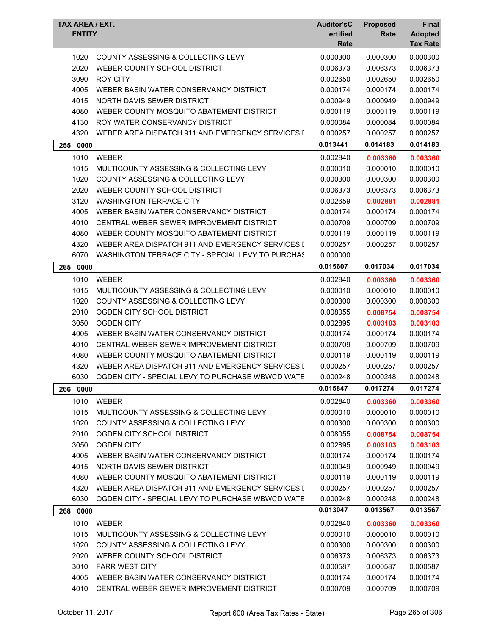| TAX AREA / EXT.<br><b>ENTITY</b> |                                                   | <b>Auditor'sC</b><br>ertified<br>Rate | <b>Proposed</b><br>Rate | Final<br><b>Adopted</b><br><b>Tax Rate</b> |
|----------------------------------|---------------------------------------------------|---------------------------------------|-------------------------|--------------------------------------------|
| 1020                             | COUNTY ASSESSING & COLLECTING LEVY                | 0.000300                              | 0.000300                | 0.000300                                   |
| 2020                             | WEBER COUNTY SCHOOL DISTRICT                      | 0.006373                              | 0.006373                | 0.006373                                   |
| 3090                             | <b>ROY CITY</b>                                   | 0.002650                              | 0.002650                | 0.002650                                   |
| 4005                             | WEBER BASIN WATER CONSERVANCY DISTRICT            | 0.000174                              | 0.000174                | 0.000174                                   |
| 4015                             | NORTH DAVIS SEWER DISTRICT                        | 0.000949                              | 0.000949                | 0.000949                                   |
| 4080                             | WEBER COUNTY MOSQUITO ABATEMENT DISTRICT          | 0.000119                              | 0.000119                | 0.000119                                   |
| 4130                             | ROY WATER CONSERVANCY DISTRICT                    | 0.000084                              | 0.000084                | 0.000084                                   |
| 4320                             | WEBER AREA DISPATCH 911 AND EMERGENCY SERVICES I  | 0.000257                              | 0.000257                | 0.000257                                   |
| 255 0000                         |                                                   | 0.013441                              | 0.014183                | 0.014183                                   |
| 1010                             | <b>WEBER</b>                                      | 0.002840                              | 0.003360                | 0.003360                                   |
| 1015                             | MULTICOUNTY ASSESSING & COLLECTING LEVY           | 0.000010                              | 0.000010                | 0.000010                                   |
| 1020                             | <b>COUNTY ASSESSING &amp; COLLECTING LEVY</b>     | 0.000300                              | 0.000300                | 0.000300                                   |
| 2020                             | WEBER COUNTY SCHOOL DISTRICT                      | 0.006373                              | 0.006373                | 0.006373                                   |
| 3120                             | <b>WASHINGTON TERRACE CITY</b>                    | 0.002659                              |                         |                                            |
|                                  | WEBER BASIN WATER CONSERVANCY DISTRICT            |                                       | 0.002881<br>0.000174    | 0.002881<br>0.000174                       |
| 4005                             | CENTRAL WEBER SEWER IMPROVEMENT DISTRICT          | 0.000174<br>0.000709                  |                         | 0.000709                                   |
| 4010                             |                                                   |                                       | 0.000709                |                                            |
| 4080                             | WEBER COUNTY MOSQUITO ABATEMENT DISTRICT          | 0.000119                              | 0.000119                | 0.000119                                   |
| 4320                             | WEBER AREA DISPATCH 911 AND EMERGENCY SERVICES I  | 0.000257                              | 0.000257                | 0.000257                                   |
| 6070                             | WASHINGTON TERRACE CITY - SPECIAL LEVY TO PURCHAS | 0.000000                              |                         |                                            |
| 265 0000                         |                                                   | 0.015607                              | 0.017034                | 0.017034                                   |
| 1010                             | <b>WEBER</b>                                      | 0.002840                              | 0.003360                | 0.003360                                   |
| 1015                             | MULTICOUNTY ASSESSING & COLLECTING LEVY           | 0.000010                              | 0.000010                | 0.000010                                   |
| 1020                             | COUNTY ASSESSING & COLLECTING LEVY                | 0.000300                              | 0.000300                | 0.000300                                   |
| 2010                             | OGDEN CITY SCHOOL DISTRICT                        | 0.008055                              | 0.008754                | 0.008754                                   |
| 3050                             | <b>OGDEN CITY</b>                                 | 0.002895                              | 0.003103                | 0.003103                                   |
| 4005                             | WEBER BASIN WATER CONSERVANCY DISTRICT            | 0.000174                              | 0.000174                | 0.000174                                   |
| 4010                             | CENTRAL WEBER SEWER IMPROVEMENT DISTRICT          | 0.000709                              | 0.000709                | 0.000709                                   |
| 4080                             | WEBER COUNTY MOSQUITO ABATEMENT DISTRICT          | 0.000119                              | 0.000119                | 0.000119                                   |
| 4320                             | WEBER AREA DISPATCH 911 AND EMERGENCY SERVICES I  | 0.000257                              | 0.000257                | 0.000257                                   |
| 6030                             | OGDEN CITY - SPECIAL LEVY TO PURCHASE WBWCD WATE  | 0.000248                              | 0.000248                | 0.000248                                   |
| 266<br>0000                      |                                                   | 0.015847                              | 0.017274                | 0.017274                                   |
| 1010                             | <b>WEBER</b>                                      | 0.002840                              | 0.003360                | 0.003360                                   |
| 1015                             | MULTICOUNTY ASSESSING & COLLECTING LEVY           | 0.000010                              | 0.000010                | 0.000010                                   |
| 1020                             | COUNTY ASSESSING & COLLECTING LEVY                | 0.000300                              | 0.000300                | 0.000300                                   |
| 2010                             | OGDEN CITY SCHOOL DISTRICT                        | 0.008055                              | 0.008754                | 0.008754                                   |
| 3050                             | <b>OGDEN CITY</b>                                 | 0.002895                              | 0.003103                | 0.003103                                   |
| 4005                             | WEBER BASIN WATER CONSERVANCY DISTRICT            | 0.000174                              | 0.000174                | 0.000174                                   |
| 4015                             | NORTH DAVIS SEWER DISTRICT                        | 0.000949                              | 0.000949                | 0.000949                                   |
| 4080                             | WEBER COUNTY MOSQUITO ABATEMENT DISTRICT          | 0.000119                              | 0.000119                | 0.000119                                   |
| 4320                             | WEBER AREA DISPATCH 911 AND EMERGENCY SERVICES I  | 0.000257                              | 0.000257                | 0.000257                                   |
| 6030                             | OGDEN CITY - SPECIAL LEVY TO PURCHASE WBWCD WATE  | 0.000248                              | 0.000248                | 0.000248                                   |
| 268 0000                         |                                                   | 0.013047                              | 0.013567                | 0.013567                                   |
| 1010                             | <b>WEBER</b>                                      | 0.002840                              | 0.003360                | 0.003360                                   |
| 1015                             | MULTICOUNTY ASSESSING & COLLECTING LEVY           | 0.000010                              | 0.000010                | 0.000010                                   |
| 1020                             | COUNTY ASSESSING & COLLECTING LEVY                | 0.000300                              | 0.000300                | 0.000300                                   |
| 2020                             | WEBER COUNTY SCHOOL DISTRICT                      | 0.006373                              | 0.006373                | 0.006373                                   |
| 3010                             | <b>FARR WEST CITY</b>                             | 0.000587                              | 0.000587                | 0.000587                                   |
| 4005                             | WEBER BASIN WATER CONSERVANCY DISTRICT            | 0.000174                              | 0.000174                | 0.000174                                   |
| 4010                             | CENTRAL WEBER SEWER IMPROVEMENT DISTRICT          | 0.000709                              | 0.000709                | 0.000709                                   |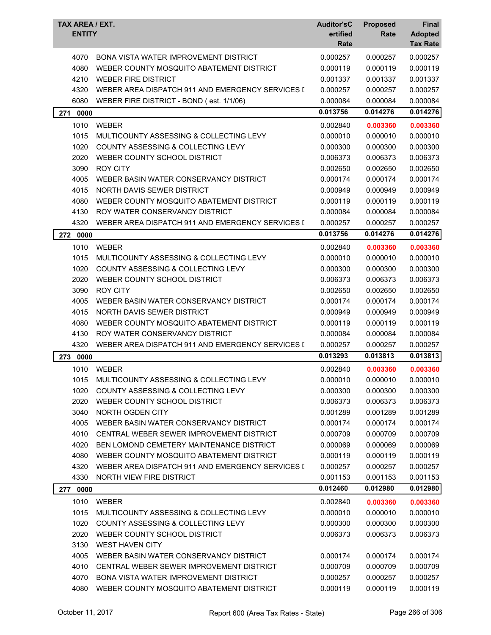| TAX AREA / EXT.<br><b>ENTITY</b> |                                                  | <b>Auditor'sC</b><br>ertified<br>Rate | <b>Proposed</b><br>Rate | <b>Final</b><br><b>Adopted</b><br><b>Tax Rate</b> |
|----------------------------------|--------------------------------------------------|---------------------------------------|-------------------------|---------------------------------------------------|
| 4070                             | <b>BONA VISTA WATER IMPROVEMENT DISTRICT</b>     | 0.000257                              | 0.000257                | 0.000257                                          |
| 4080                             | WEBER COUNTY MOSQUITO ABATEMENT DISTRICT         | 0.000119                              | 0.000119                | 0.000119                                          |
| 4210                             | <b>WEBER FIRE DISTRICT</b>                       | 0.001337                              | 0.001337                | 0.001337                                          |
| 4320                             | WEBER AREA DISPATCH 911 AND EMERGENCY SERVICES I | 0.000257                              | 0.000257                | 0.000257                                          |
| 6080                             | WEBER FIRE DISTRICT - BOND (est. 1/1/06)         | 0.000084                              | 0.000084                | 0.000084                                          |
| 271<br>0000                      |                                                  | 0.013756                              | 0.014276                | 0.014276                                          |
| 1010                             | <b>WEBER</b>                                     | 0.002840                              | 0.003360                | 0.003360                                          |
| 1015                             | MULTICOUNTY ASSESSING & COLLECTING LEVY          | 0.000010                              | 0.000010                | 0.000010                                          |
| 1020                             | COUNTY ASSESSING & COLLECTING LEVY               | 0.000300                              | 0.000300                | 0.000300                                          |
| 2020                             | WEBER COUNTY SCHOOL DISTRICT                     | 0.006373                              | 0.006373                | 0.006373                                          |
| 3090                             | <b>ROY CITY</b>                                  | 0.002650                              | 0.002650                | 0.002650                                          |
| 4005                             | WEBER BASIN WATER CONSERVANCY DISTRICT           | 0.000174                              | 0.000174                | 0.000174                                          |
| 4015                             | NORTH DAVIS SEWER DISTRICT                       | 0.000949                              | 0.000949                | 0.000949                                          |
| 4080                             | WEBER COUNTY MOSQUITO ABATEMENT DISTRICT         | 0.000119                              | 0.000119                | 0.000119                                          |
| 4130                             | ROY WATER CONSERVANCY DISTRICT                   | 0.000084                              | 0.000084                | 0.000084                                          |
| 4320                             | WEBER AREA DISPATCH 911 AND EMERGENCY SERVICES I | 0.000257                              | 0.000257                | 0.000257                                          |
| 272 0000                         |                                                  | 0.013756                              | 0.014276                | 0.014276                                          |
| 1010                             | <b>WEBER</b>                                     | 0.002840                              | 0.003360                | 0.003360                                          |
| 1015                             | MULTICOUNTY ASSESSING & COLLECTING LEVY          | 0.000010                              | 0.000010                | 0.000010                                          |
| 1020                             | COUNTY ASSESSING & COLLECTING LEVY               | 0.000300                              | 0.000300                | 0.000300                                          |
| 2020                             | WEBER COUNTY SCHOOL DISTRICT                     | 0.006373                              | 0.006373                | 0.006373                                          |
| 3090                             | <b>ROY CITY</b>                                  | 0.002650                              | 0.002650                | 0.002650                                          |
| 4005                             | WEBER BASIN WATER CONSERVANCY DISTRICT           | 0.000174                              | 0.000174                | 0.000174                                          |
| 4015                             | NORTH DAVIS SEWER DISTRICT                       | 0.000949                              | 0.000949                | 0.000949                                          |
| 4080                             | WEBER COUNTY MOSQUITO ABATEMENT DISTRICT         | 0.000119                              | 0.000119                | 0.000119                                          |
| 4130                             | ROY WATER CONSERVANCY DISTRICT                   | 0.000084                              | 0.000084                | 0.000084                                          |
| 4320                             | WEBER AREA DISPATCH 911 AND EMERGENCY SERVICES I | 0.000257                              | 0.000257                | 0.000257                                          |
| 273 0000                         |                                                  | 0.013293                              | 0.013813                | 0.013813                                          |
| 1010                             | WEBER                                            | 0.002840                              | 0.003360                | 0.003360                                          |
| 1015                             | MULTICOUNTY ASSESSING & COLLECTING LEVY          | 0.000010                              | 0.000010                | 0.000010                                          |
| 1020                             | COUNTY ASSESSING & COLLECTING LEVY               | 0.000300                              | 0.000300                | 0.000300                                          |
| 2020                             | WEBER COUNTY SCHOOL DISTRICT                     | 0.006373                              | 0.006373                | 0.006373                                          |
| 3040                             | NORTH OGDEN CITY                                 | 0.001289                              | 0.001289                | 0.001289                                          |
| 4005                             | WEBER BASIN WATER CONSERVANCY DISTRICT           | 0.000174                              | 0.000174                | 0.000174                                          |
| 4010                             | CENTRAL WEBER SEWER IMPROVEMENT DISTRICT         | 0.000709                              | 0.000709                | 0.000709                                          |
| 4020                             | BEN LOMOND CEMETERY MAINTENANCE DISTRICT         | 0.000069                              | 0.000069                | 0.000069                                          |
| 4080                             | WEBER COUNTY MOSQUITO ABATEMENT DISTRICT         | 0.000119                              | 0.000119                | 0.000119                                          |
| 4320                             | WEBER AREA DISPATCH 911 AND EMERGENCY SERVICES I | 0.000257                              | 0.000257                | 0.000257                                          |
| 4330                             | NORTH VIEW FIRE DISTRICT                         | 0.001153                              | 0.001153                | 0.001153                                          |
| 277<br>0000                      |                                                  | 0.012460                              | 0.012980                | 0.012980                                          |
| 1010                             | <b>WEBER</b>                                     | 0.002840                              | 0.003360                | 0.003360                                          |
| 1015                             | MULTICOUNTY ASSESSING & COLLECTING LEVY          | 0.000010                              | 0.000010                | 0.000010                                          |
| 1020                             | COUNTY ASSESSING & COLLECTING LEVY               | 0.000300                              | 0.000300                | 0.000300                                          |
| 2020                             | WEBER COUNTY SCHOOL DISTRICT                     | 0.006373                              | 0.006373                | 0.006373                                          |
| 3130                             | <b>WEST HAVEN CITY</b>                           |                                       |                         |                                                   |
| 4005                             | WEBER BASIN WATER CONSERVANCY DISTRICT           | 0.000174                              | 0.000174                | 0.000174                                          |
| 4010                             | CENTRAL WEBER SEWER IMPROVEMENT DISTRICT         | 0.000709                              | 0.000709                | 0.000709                                          |
| 4070                             | <b>BONA VISTA WATER IMPROVEMENT DISTRICT</b>     | 0.000257                              | 0.000257                | 0.000257                                          |
| 4080                             | WEBER COUNTY MOSQUITO ABATEMENT DISTRICT         | 0.000119                              | 0.000119                | 0.000119                                          |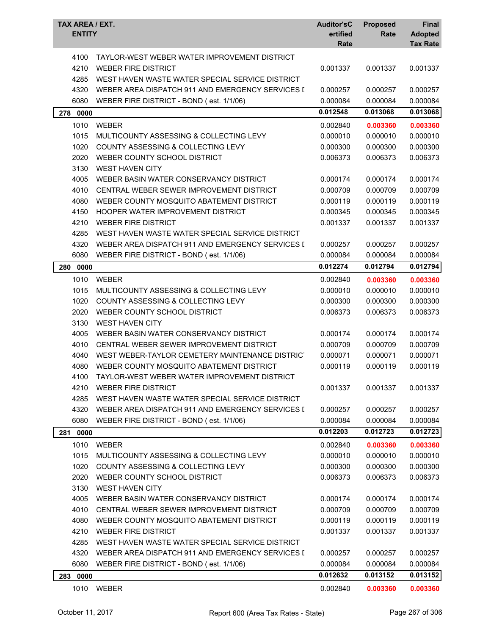| TAYLOR-WEST WEBER WATER IMPROVEMENT DISTRICT<br>4100<br>4210<br><b>WEBER FIRE DISTRICT</b><br>0.001337<br>0.001337<br>0.001337<br>4285<br>WEST HAVEN WASTE WATER SPECIAL SERVICE DISTRICT<br>4320<br>WEBER AREA DISPATCH 911 AND EMERGENCY SERVICES I<br>0.000257<br>0.000257<br>0.000257<br>6080<br>WEBER FIRE DISTRICT - BOND (est. 1/1/06)<br>0.000084<br>0.000084<br>0.000084<br>0.013068<br>0.012548<br>0.013068<br>278 0000<br>1010<br><b>WEBER</b><br>0.002840<br>0.003360<br>0.003360<br>0.000010<br>1015<br>MULTICOUNTY ASSESSING & COLLECTING LEVY<br>0.000010<br>0.000010<br>1020<br>COUNTY ASSESSING & COLLECTING LEVY<br>0.000300<br>0.000300<br>0.000300<br>2020<br>0.006373<br>WEBER COUNTY SCHOOL DISTRICT<br>0.006373<br>0.006373<br>3130<br><b>WEST HAVEN CITY</b><br>4005<br>WEBER BASIN WATER CONSERVANCY DISTRICT<br>0.000174<br>0.000174<br>0.000174<br>4010<br>CENTRAL WEBER SEWER IMPROVEMENT DISTRICT<br>0.000709<br>0.000709<br>0.000709<br>4080<br>WEBER COUNTY MOSQUITO ABATEMENT DISTRICT<br>0.000119<br>0.000119<br>0.000119<br>4150<br>HOOPER WATER IMPROVEMENT DISTRICT<br>0.000345<br>0.000345<br>0.000345<br>4210<br><b>WEBER FIRE DISTRICT</b><br>0.001337<br>0.001337<br>0.001337<br>4285<br>WEST HAVEN WASTE WATER SPECIAL SERVICE DISTRICT<br>4320<br>WEBER AREA DISPATCH 911 AND EMERGENCY SERVICES I<br>0.000257<br>0.000257<br>0.000257<br>6080<br>WEBER FIRE DISTRICT - BOND (est. 1/1/06)<br>0.000084<br>0.000084<br>0.000084<br>0.012794<br>0.012274<br>0.012794<br>280<br>0000<br>1010<br><b>WEBER</b><br>0.002840<br>0.003360<br>0.003360<br>1015<br>0.000010<br>MULTICOUNTY ASSESSING & COLLECTING LEVY<br>0.000010<br>0.000010<br>1020<br><b>COUNTY ASSESSING &amp; COLLECTING LEVY</b><br>0.000300<br>0.000300<br>0.000300<br>2020<br>WEBER COUNTY SCHOOL DISTRICT<br>0.006373<br>0.006373<br>0.006373<br>3130<br><b>WEST HAVEN CITY</b><br>4005<br>WEBER BASIN WATER CONSERVANCY DISTRICT<br>0.000174<br>0.000174<br>0.000174<br>4010<br>CENTRAL WEBER SEWER IMPROVEMENT DISTRICT<br>0.000709<br>0.000709<br>0.000709<br>4040<br>WEST WEBER-TAYLOR CEMETERY MAINTENANCE DISTRICT<br>0.000071<br>0.000071<br>0.000071<br>4080<br>WEBER COUNTY MOSQUITO ABATEMENT DISTRICT<br>0.000119<br>0.000119<br>0.000119<br>4100 TAYLOR-WEST WEBER WATER IMPROVEMENT DISTRICT<br>4210<br><b>WEBER FIRE DISTRICT</b><br>0.001337<br>0.001337<br>0.001337<br>4285<br>WEST HAVEN WASTE WATER SPECIAL SERVICE DISTRICT<br>4320<br>WEBER AREA DISPATCH 911 AND EMERGENCY SERVICES I<br>0.000257<br>0.000257<br>0.000257<br>6080<br>0.000084<br>0.000084<br>WEBER FIRE DISTRICT - BOND (est. 1/1/06)<br>0.000084<br>0.012203<br>0.012723<br>0.012723<br>0000<br>281<br>1010<br><b>WEBER</b><br>0.002840<br>0.003360<br>0.003360<br>1015<br>MULTICOUNTY ASSESSING & COLLECTING LEVY<br>0.000010<br>0.000010<br>0.000010<br>1020<br>COUNTY ASSESSING & COLLECTING LEVY<br>0.000300<br>0.000300<br>0.000300<br>2020<br>WEBER COUNTY SCHOOL DISTRICT<br>0.006373<br>0.006373<br>0.006373<br>3130<br><b>WEST HAVEN CITY</b><br>4005<br>WEBER BASIN WATER CONSERVANCY DISTRICT<br>0.000174<br>0.000174<br>0.000174<br>4010<br>CENTRAL WEBER SEWER IMPROVEMENT DISTRICT<br>0.000709<br>0.000709<br>0.000709<br>4080<br>WEBER COUNTY MOSQUITO ABATEMENT DISTRICT<br>0.000119<br>0.000119<br>0.000119<br>4210<br><b>WEBER FIRE DISTRICT</b><br>0.001337<br>0.001337<br>0.001337<br>4285<br>WEST HAVEN WASTE WATER SPECIAL SERVICE DISTRICT<br>4320<br>WEBER AREA DISPATCH 911 AND EMERGENCY SERVICES I<br>0.000257<br>0.000257<br>0.000257<br>6080<br>WEBER FIRE DISTRICT - BOND (est. 1/1/06)<br>0.000084<br>0.000084<br>0.000084<br>0.012632<br>0.013152<br>0.013152<br>283 0000<br>1010<br><b>WEBER</b><br>0.002840<br>0.003360<br>0.003360 | <b>TAX AREA / EXT.</b><br><b>ENTITY</b> | <b>Auditor'sC</b><br>ertified<br>Rate | <b>Proposed</b><br>Rate | <b>Final</b><br><b>Adopted</b><br><b>Tax Rate</b> |
|-----------------------------------------------------------------------------------------------------------------------------------------------------------------------------------------------------------------------------------------------------------------------------------------------------------------------------------------------------------------------------------------------------------------------------------------------------------------------------------------------------------------------------------------------------------------------------------------------------------------------------------------------------------------------------------------------------------------------------------------------------------------------------------------------------------------------------------------------------------------------------------------------------------------------------------------------------------------------------------------------------------------------------------------------------------------------------------------------------------------------------------------------------------------------------------------------------------------------------------------------------------------------------------------------------------------------------------------------------------------------------------------------------------------------------------------------------------------------------------------------------------------------------------------------------------------------------------------------------------------------------------------------------------------------------------------------------------------------------------------------------------------------------------------------------------------------------------------------------------------------------------------------------------------------------------------------------------------------------------------------------------------------------------------------------------------------------------------------------------------------------------------------------------------------------------------------------------------------------------------------------------------------------------------------------------------------------------------------------------------------------------------------------------------------------------------------------------------------------------------------------------------------------------------------------------------------------------------------------------------------------------------------------------------------------------------------------------------------------------------------------------------------------------------------------------------------------------------------------------------------------------------------------------------------------------------------------------------------------------------------------------------------------------------------------------------------------------------------------------------------------------------------------------------------------------------------------------------------------------------------------------------------------------------------------------------------------------------------------------------------------------------------------------------------------------------------------------------------------------------------------------------------------------------------------------------------------------------------------------------------------------------------------------------------------------------------------------------------------------------------------------------------|-----------------------------------------|---------------------------------------|-------------------------|---------------------------------------------------|
|                                                                                                                                                                                                                                                                                                                                                                                                                                                                                                                                                                                                                                                                                                                                                                                                                                                                                                                                                                                                                                                                                                                                                                                                                                                                                                                                                                                                                                                                                                                                                                                                                                                                                                                                                                                                                                                                                                                                                                                                                                                                                                                                                                                                                                                                                                                                                                                                                                                                                                                                                                                                                                                                                                                                                                                                                                                                                                                                                                                                                                                                                                                                                                                                                                                                                                                                                                                                                                                                                                                                                                                                                                                                                                                                                                       |                                         |                                       |                         |                                                   |
|                                                                                                                                                                                                                                                                                                                                                                                                                                                                                                                                                                                                                                                                                                                                                                                                                                                                                                                                                                                                                                                                                                                                                                                                                                                                                                                                                                                                                                                                                                                                                                                                                                                                                                                                                                                                                                                                                                                                                                                                                                                                                                                                                                                                                                                                                                                                                                                                                                                                                                                                                                                                                                                                                                                                                                                                                                                                                                                                                                                                                                                                                                                                                                                                                                                                                                                                                                                                                                                                                                                                                                                                                                                                                                                                                                       |                                         |                                       |                         |                                                   |
|                                                                                                                                                                                                                                                                                                                                                                                                                                                                                                                                                                                                                                                                                                                                                                                                                                                                                                                                                                                                                                                                                                                                                                                                                                                                                                                                                                                                                                                                                                                                                                                                                                                                                                                                                                                                                                                                                                                                                                                                                                                                                                                                                                                                                                                                                                                                                                                                                                                                                                                                                                                                                                                                                                                                                                                                                                                                                                                                                                                                                                                                                                                                                                                                                                                                                                                                                                                                                                                                                                                                                                                                                                                                                                                                                                       |                                         |                                       |                         |                                                   |
|                                                                                                                                                                                                                                                                                                                                                                                                                                                                                                                                                                                                                                                                                                                                                                                                                                                                                                                                                                                                                                                                                                                                                                                                                                                                                                                                                                                                                                                                                                                                                                                                                                                                                                                                                                                                                                                                                                                                                                                                                                                                                                                                                                                                                                                                                                                                                                                                                                                                                                                                                                                                                                                                                                                                                                                                                                                                                                                                                                                                                                                                                                                                                                                                                                                                                                                                                                                                                                                                                                                                                                                                                                                                                                                                                                       |                                         |                                       |                         |                                                   |
|                                                                                                                                                                                                                                                                                                                                                                                                                                                                                                                                                                                                                                                                                                                                                                                                                                                                                                                                                                                                                                                                                                                                                                                                                                                                                                                                                                                                                                                                                                                                                                                                                                                                                                                                                                                                                                                                                                                                                                                                                                                                                                                                                                                                                                                                                                                                                                                                                                                                                                                                                                                                                                                                                                                                                                                                                                                                                                                                                                                                                                                                                                                                                                                                                                                                                                                                                                                                                                                                                                                                                                                                                                                                                                                                                                       |                                         |                                       |                         |                                                   |
|                                                                                                                                                                                                                                                                                                                                                                                                                                                                                                                                                                                                                                                                                                                                                                                                                                                                                                                                                                                                                                                                                                                                                                                                                                                                                                                                                                                                                                                                                                                                                                                                                                                                                                                                                                                                                                                                                                                                                                                                                                                                                                                                                                                                                                                                                                                                                                                                                                                                                                                                                                                                                                                                                                                                                                                                                                                                                                                                                                                                                                                                                                                                                                                                                                                                                                                                                                                                                                                                                                                                                                                                                                                                                                                                                                       |                                         |                                       |                         |                                                   |
|                                                                                                                                                                                                                                                                                                                                                                                                                                                                                                                                                                                                                                                                                                                                                                                                                                                                                                                                                                                                                                                                                                                                                                                                                                                                                                                                                                                                                                                                                                                                                                                                                                                                                                                                                                                                                                                                                                                                                                                                                                                                                                                                                                                                                                                                                                                                                                                                                                                                                                                                                                                                                                                                                                                                                                                                                                                                                                                                                                                                                                                                                                                                                                                                                                                                                                                                                                                                                                                                                                                                                                                                                                                                                                                                                                       |                                         |                                       |                         |                                                   |
|                                                                                                                                                                                                                                                                                                                                                                                                                                                                                                                                                                                                                                                                                                                                                                                                                                                                                                                                                                                                                                                                                                                                                                                                                                                                                                                                                                                                                                                                                                                                                                                                                                                                                                                                                                                                                                                                                                                                                                                                                                                                                                                                                                                                                                                                                                                                                                                                                                                                                                                                                                                                                                                                                                                                                                                                                                                                                                                                                                                                                                                                                                                                                                                                                                                                                                                                                                                                                                                                                                                                                                                                                                                                                                                                                                       |                                         |                                       |                         |                                                   |
|                                                                                                                                                                                                                                                                                                                                                                                                                                                                                                                                                                                                                                                                                                                                                                                                                                                                                                                                                                                                                                                                                                                                                                                                                                                                                                                                                                                                                                                                                                                                                                                                                                                                                                                                                                                                                                                                                                                                                                                                                                                                                                                                                                                                                                                                                                                                                                                                                                                                                                                                                                                                                                                                                                                                                                                                                                                                                                                                                                                                                                                                                                                                                                                                                                                                                                                                                                                                                                                                                                                                                                                                                                                                                                                                                                       |                                         |                                       |                         |                                                   |
|                                                                                                                                                                                                                                                                                                                                                                                                                                                                                                                                                                                                                                                                                                                                                                                                                                                                                                                                                                                                                                                                                                                                                                                                                                                                                                                                                                                                                                                                                                                                                                                                                                                                                                                                                                                                                                                                                                                                                                                                                                                                                                                                                                                                                                                                                                                                                                                                                                                                                                                                                                                                                                                                                                                                                                                                                                                                                                                                                                                                                                                                                                                                                                                                                                                                                                                                                                                                                                                                                                                                                                                                                                                                                                                                                                       |                                         |                                       |                         |                                                   |
|                                                                                                                                                                                                                                                                                                                                                                                                                                                                                                                                                                                                                                                                                                                                                                                                                                                                                                                                                                                                                                                                                                                                                                                                                                                                                                                                                                                                                                                                                                                                                                                                                                                                                                                                                                                                                                                                                                                                                                                                                                                                                                                                                                                                                                                                                                                                                                                                                                                                                                                                                                                                                                                                                                                                                                                                                                                                                                                                                                                                                                                                                                                                                                                                                                                                                                                                                                                                                                                                                                                                                                                                                                                                                                                                                                       |                                         |                                       |                         |                                                   |
|                                                                                                                                                                                                                                                                                                                                                                                                                                                                                                                                                                                                                                                                                                                                                                                                                                                                                                                                                                                                                                                                                                                                                                                                                                                                                                                                                                                                                                                                                                                                                                                                                                                                                                                                                                                                                                                                                                                                                                                                                                                                                                                                                                                                                                                                                                                                                                                                                                                                                                                                                                                                                                                                                                                                                                                                                                                                                                                                                                                                                                                                                                                                                                                                                                                                                                                                                                                                                                                                                                                                                                                                                                                                                                                                                                       |                                         |                                       |                         |                                                   |
|                                                                                                                                                                                                                                                                                                                                                                                                                                                                                                                                                                                                                                                                                                                                                                                                                                                                                                                                                                                                                                                                                                                                                                                                                                                                                                                                                                                                                                                                                                                                                                                                                                                                                                                                                                                                                                                                                                                                                                                                                                                                                                                                                                                                                                                                                                                                                                                                                                                                                                                                                                                                                                                                                                                                                                                                                                                                                                                                                                                                                                                                                                                                                                                                                                                                                                                                                                                                                                                                                                                                                                                                                                                                                                                                                                       |                                         |                                       |                         |                                                   |
|                                                                                                                                                                                                                                                                                                                                                                                                                                                                                                                                                                                                                                                                                                                                                                                                                                                                                                                                                                                                                                                                                                                                                                                                                                                                                                                                                                                                                                                                                                                                                                                                                                                                                                                                                                                                                                                                                                                                                                                                                                                                                                                                                                                                                                                                                                                                                                                                                                                                                                                                                                                                                                                                                                                                                                                                                                                                                                                                                                                                                                                                                                                                                                                                                                                                                                                                                                                                                                                                                                                                                                                                                                                                                                                                                                       |                                         |                                       |                         |                                                   |
|                                                                                                                                                                                                                                                                                                                                                                                                                                                                                                                                                                                                                                                                                                                                                                                                                                                                                                                                                                                                                                                                                                                                                                                                                                                                                                                                                                                                                                                                                                                                                                                                                                                                                                                                                                                                                                                                                                                                                                                                                                                                                                                                                                                                                                                                                                                                                                                                                                                                                                                                                                                                                                                                                                                                                                                                                                                                                                                                                                                                                                                                                                                                                                                                                                                                                                                                                                                                                                                                                                                                                                                                                                                                                                                                                                       |                                         |                                       |                         |                                                   |
|                                                                                                                                                                                                                                                                                                                                                                                                                                                                                                                                                                                                                                                                                                                                                                                                                                                                                                                                                                                                                                                                                                                                                                                                                                                                                                                                                                                                                                                                                                                                                                                                                                                                                                                                                                                                                                                                                                                                                                                                                                                                                                                                                                                                                                                                                                                                                                                                                                                                                                                                                                                                                                                                                                                                                                                                                                                                                                                                                                                                                                                                                                                                                                                                                                                                                                                                                                                                                                                                                                                                                                                                                                                                                                                                                                       |                                         |                                       |                         |                                                   |
|                                                                                                                                                                                                                                                                                                                                                                                                                                                                                                                                                                                                                                                                                                                                                                                                                                                                                                                                                                                                                                                                                                                                                                                                                                                                                                                                                                                                                                                                                                                                                                                                                                                                                                                                                                                                                                                                                                                                                                                                                                                                                                                                                                                                                                                                                                                                                                                                                                                                                                                                                                                                                                                                                                                                                                                                                                                                                                                                                                                                                                                                                                                                                                                                                                                                                                                                                                                                                                                                                                                                                                                                                                                                                                                                                                       |                                         |                                       |                         |                                                   |
|                                                                                                                                                                                                                                                                                                                                                                                                                                                                                                                                                                                                                                                                                                                                                                                                                                                                                                                                                                                                                                                                                                                                                                                                                                                                                                                                                                                                                                                                                                                                                                                                                                                                                                                                                                                                                                                                                                                                                                                                                                                                                                                                                                                                                                                                                                                                                                                                                                                                                                                                                                                                                                                                                                                                                                                                                                                                                                                                                                                                                                                                                                                                                                                                                                                                                                                                                                                                                                                                                                                                                                                                                                                                                                                                                                       |                                         |                                       |                         |                                                   |
|                                                                                                                                                                                                                                                                                                                                                                                                                                                                                                                                                                                                                                                                                                                                                                                                                                                                                                                                                                                                                                                                                                                                                                                                                                                                                                                                                                                                                                                                                                                                                                                                                                                                                                                                                                                                                                                                                                                                                                                                                                                                                                                                                                                                                                                                                                                                                                                                                                                                                                                                                                                                                                                                                                                                                                                                                                                                                                                                                                                                                                                                                                                                                                                                                                                                                                                                                                                                                                                                                                                                                                                                                                                                                                                                                                       |                                         |                                       |                         |                                                   |
|                                                                                                                                                                                                                                                                                                                                                                                                                                                                                                                                                                                                                                                                                                                                                                                                                                                                                                                                                                                                                                                                                                                                                                                                                                                                                                                                                                                                                                                                                                                                                                                                                                                                                                                                                                                                                                                                                                                                                                                                                                                                                                                                                                                                                                                                                                                                                                                                                                                                                                                                                                                                                                                                                                                                                                                                                                                                                                                                                                                                                                                                                                                                                                                                                                                                                                                                                                                                                                                                                                                                                                                                                                                                                                                                                                       |                                         |                                       |                         |                                                   |
|                                                                                                                                                                                                                                                                                                                                                                                                                                                                                                                                                                                                                                                                                                                                                                                                                                                                                                                                                                                                                                                                                                                                                                                                                                                                                                                                                                                                                                                                                                                                                                                                                                                                                                                                                                                                                                                                                                                                                                                                                                                                                                                                                                                                                                                                                                                                                                                                                                                                                                                                                                                                                                                                                                                                                                                                                                                                                                                                                                                                                                                                                                                                                                                                                                                                                                                                                                                                                                                                                                                                                                                                                                                                                                                                                                       |                                         |                                       |                         |                                                   |
|                                                                                                                                                                                                                                                                                                                                                                                                                                                                                                                                                                                                                                                                                                                                                                                                                                                                                                                                                                                                                                                                                                                                                                                                                                                                                                                                                                                                                                                                                                                                                                                                                                                                                                                                                                                                                                                                                                                                                                                                                                                                                                                                                                                                                                                                                                                                                                                                                                                                                                                                                                                                                                                                                                                                                                                                                                                                                                                                                                                                                                                                                                                                                                                                                                                                                                                                                                                                                                                                                                                                                                                                                                                                                                                                                                       |                                         |                                       |                         |                                                   |
|                                                                                                                                                                                                                                                                                                                                                                                                                                                                                                                                                                                                                                                                                                                                                                                                                                                                                                                                                                                                                                                                                                                                                                                                                                                                                                                                                                                                                                                                                                                                                                                                                                                                                                                                                                                                                                                                                                                                                                                                                                                                                                                                                                                                                                                                                                                                                                                                                                                                                                                                                                                                                                                                                                                                                                                                                                                                                                                                                                                                                                                                                                                                                                                                                                                                                                                                                                                                                                                                                                                                                                                                                                                                                                                                                                       |                                         |                                       |                         |                                                   |
|                                                                                                                                                                                                                                                                                                                                                                                                                                                                                                                                                                                                                                                                                                                                                                                                                                                                                                                                                                                                                                                                                                                                                                                                                                                                                                                                                                                                                                                                                                                                                                                                                                                                                                                                                                                                                                                                                                                                                                                                                                                                                                                                                                                                                                                                                                                                                                                                                                                                                                                                                                                                                                                                                                                                                                                                                                                                                                                                                                                                                                                                                                                                                                                                                                                                                                                                                                                                                                                                                                                                                                                                                                                                                                                                                                       |                                         |                                       |                         |                                                   |
|                                                                                                                                                                                                                                                                                                                                                                                                                                                                                                                                                                                                                                                                                                                                                                                                                                                                                                                                                                                                                                                                                                                                                                                                                                                                                                                                                                                                                                                                                                                                                                                                                                                                                                                                                                                                                                                                                                                                                                                                                                                                                                                                                                                                                                                                                                                                                                                                                                                                                                                                                                                                                                                                                                                                                                                                                                                                                                                                                                                                                                                                                                                                                                                                                                                                                                                                                                                                                                                                                                                                                                                                                                                                                                                                                                       |                                         |                                       |                         |                                                   |
|                                                                                                                                                                                                                                                                                                                                                                                                                                                                                                                                                                                                                                                                                                                                                                                                                                                                                                                                                                                                                                                                                                                                                                                                                                                                                                                                                                                                                                                                                                                                                                                                                                                                                                                                                                                                                                                                                                                                                                                                                                                                                                                                                                                                                                                                                                                                                                                                                                                                                                                                                                                                                                                                                                                                                                                                                                                                                                                                                                                                                                                                                                                                                                                                                                                                                                                                                                                                                                                                                                                                                                                                                                                                                                                                                                       |                                         |                                       |                         |                                                   |
|                                                                                                                                                                                                                                                                                                                                                                                                                                                                                                                                                                                                                                                                                                                                                                                                                                                                                                                                                                                                                                                                                                                                                                                                                                                                                                                                                                                                                                                                                                                                                                                                                                                                                                                                                                                                                                                                                                                                                                                                                                                                                                                                                                                                                                                                                                                                                                                                                                                                                                                                                                                                                                                                                                                                                                                                                                                                                                                                                                                                                                                                                                                                                                                                                                                                                                                                                                                                                                                                                                                                                                                                                                                                                                                                                                       |                                         |                                       |                         |                                                   |
|                                                                                                                                                                                                                                                                                                                                                                                                                                                                                                                                                                                                                                                                                                                                                                                                                                                                                                                                                                                                                                                                                                                                                                                                                                                                                                                                                                                                                                                                                                                                                                                                                                                                                                                                                                                                                                                                                                                                                                                                                                                                                                                                                                                                                                                                                                                                                                                                                                                                                                                                                                                                                                                                                                                                                                                                                                                                                                                                                                                                                                                                                                                                                                                                                                                                                                                                                                                                                                                                                                                                                                                                                                                                                                                                                                       |                                         |                                       |                         |                                                   |
|                                                                                                                                                                                                                                                                                                                                                                                                                                                                                                                                                                                                                                                                                                                                                                                                                                                                                                                                                                                                                                                                                                                                                                                                                                                                                                                                                                                                                                                                                                                                                                                                                                                                                                                                                                                                                                                                                                                                                                                                                                                                                                                                                                                                                                                                                                                                                                                                                                                                                                                                                                                                                                                                                                                                                                                                                                                                                                                                                                                                                                                                                                                                                                                                                                                                                                                                                                                                                                                                                                                                                                                                                                                                                                                                                                       |                                         |                                       |                         |                                                   |
|                                                                                                                                                                                                                                                                                                                                                                                                                                                                                                                                                                                                                                                                                                                                                                                                                                                                                                                                                                                                                                                                                                                                                                                                                                                                                                                                                                                                                                                                                                                                                                                                                                                                                                                                                                                                                                                                                                                                                                                                                                                                                                                                                                                                                                                                                                                                                                                                                                                                                                                                                                                                                                                                                                                                                                                                                                                                                                                                                                                                                                                                                                                                                                                                                                                                                                                                                                                                                                                                                                                                                                                                                                                                                                                                                                       |                                         |                                       |                         |                                                   |
|                                                                                                                                                                                                                                                                                                                                                                                                                                                                                                                                                                                                                                                                                                                                                                                                                                                                                                                                                                                                                                                                                                                                                                                                                                                                                                                                                                                                                                                                                                                                                                                                                                                                                                                                                                                                                                                                                                                                                                                                                                                                                                                                                                                                                                                                                                                                                                                                                                                                                                                                                                                                                                                                                                                                                                                                                                                                                                                                                                                                                                                                                                                                                                                                                                                                                                                                                                                                                                                                                                                                                                                                                                                                                                                                                                       |                                         |                                       |                         |                                                   |
|                                                                                                                                                                                                                                                                                                                                                                                                                                                                                                                                                                                                                                                                                                                                                                                                                                                                                                                                                                                                                                                                                                                                                                                                                                                                                                                                                                                                                                                                                                                                                                                                                                                                                                                                                                                                                                                                                                                                                                                                                                                                                                                                                                                                                                                                                                                                                                                                                                                                                                                                                                                                                                                                                                                                                                                                                                                                                                                                                                                                                                                                                                                                                                                                                                                                                                                                                                                                                                                                                                                                                                                                                                                                                                                                                                       |                                         |                                       |                         |                                                   |
|                                                                                                                                                                                                                                                                                                                                                                                                                                                                                                                                                                                                                                                                                                                                                                                                                                                                                                                                                                                                                                                                                                                                                                                                                                                                                                                                                                                                                                                                                                                                                                                                                                                                                                                                                                                                                                                                                                                                                                                                                                                                                                                                                                                                                                                                                                                                                                                                                                                                                                                                                                                                                                                                                                                                                                                                                                                                                                                                                                                                                                                                                                                                                                                                                                                                                                                                                                                                                                                                                                                                                                                                                                                                                                                                                                       |                                         |                                       |                         |                                                   |
|                                                                                                                                                                                                                                                                                                                                                                                                                                                                                                                                                                                                                                                                                                                                                                                                                                                                                                                                                                                                                                                                                                                                                                                                                                                                                                                                                                                                                                                                                                                                                                                                                                                                                                                                                                                                                                                                                                                                                                                                                                                                                                                                                                                                                                                                                                                                                                                                                                                                                                                                                                                                                                                                                                                                                                                                                                                                                                                                                                                                                                                                                                                                                                                                                                                                                                                                                                                                                                                                                                                                                                                                                                                                                                                                                                       |                                         |                                       |                         |                                                   |
|                                                                                                                                                                                                                                                                                                                                                                                                                                                                                                                                                                                                                                                                                                                                                                                                                                                                                                                                                                                                                                                                                                                                                                                                                                                                                                                                                                                                                                                                                                                                                                                                                                                                                                                                                                                                                                                                                                                                                                                                                                                                                                                                                                                                                                                                                                                                                                                                                                                                                                                                                                                                                                                                                                                                                                                                                                                                                                                                                                                                                                                                                                                                                                                                                                                                                                                                                                                                                                                                                                                                                                                                                                                                                                                                                                       |                                         |                                       |                         |                                                   |
|                                                                                                                                                                                                                                                                                                                                                                                                                                                                                                                                                                                                                                                                                                                                                                                                                                                                                                                                                                                                                                                                                                                                                                                                                                                                                                                                                                                                                                                                                                                                                                                                                                                                                                                                                                                                                                                                                                                                                                                                                                                                                                                                                                                                                                                                                                                                                                                                                                                                                                                                                                                                                                                                                                                                                                                                                                                                                                                                                                                                                                                                                                                                                                                                                                                                                                                                                                                                                                                                                                                                                                                                                                                                                                                                                                       |                                         |                                       |                         |                                                   |
|                                                                                                                                                                                                                                                                                                                                                                                                                                                                                                                                                                                                                                                                                                                                                                                                                                                                                                                                                                                                                                                                                                                                                                                                                                                                                                                                                                                                                                                                                                                                                                                                                                                                                                                                                                                                                                                                                                                                                                                                                                                                                                                                                                                                                                                                                                                                                                                                                                                                                                                                                                                                                                                                                                                                                                                                                                                                                                                                                                                                                                                                                                                                                                                                                                                                                                                                                                                                                                                                                                                                                                                                                                                                                                                                                                       |                                         |                                       |                         |                                                   |
|                                                                                                                                                                                                                                                                                                                                                                                                                                                                                                                                                                                                                                                                                                                                                                                                                                                                                                                                                                                                                                                                                                                                                                                                                                                                                                                                                                                                                                                                                                                                                                                                                                                                                                                                                                                                                                                                                                                                                                                                                                                                                                                                                                                                                                                                                                                                                                                                                                                                                                                                                                                                                                                                                                                                                                                                                                                                                                                                                                                                                                                                                                                                                                                                                                                                                                                                                                                                                                                                                                                                                                                                                                                                                                                                                                       |                                         |                                       |                         |                                                   |
|                                                                                                                                                                                                                                                                                                                                                                                                                                                                                                                                                                                                                                                                                                                                                                                                                                                                                                                                                                                                                                                                                                                                                                                                                                                                                                                                                                                                                                                                                                                                                                                                                                                                                                                                                                                                                                                                                                                                                                                                                                                                                                                                                                                                                                                                                                                                                                                                                                                                                                                                                                                                                                                                                                                                                                                                                                                                                                                                                                                                                                                                                                                                                                                                                                                                                                                                                                                                                                                                                                                                                                                                                                                                                                                                                                       |                                         |                                       |                         |                                                   |
|                                                                                                                                                                                                                                                                                                                                                                                                                                                                                                                                                                                                                                                                                                                                                                                                                                                                                                                                                                                                                                                                                                                                                                                                                                                                                                                                                                                                                                                                                                                                                                                                                                                                                                                                                                                                                                                                                                                                                                                                                                                                                                                                                                                                                                                                                                                                                                                                                                                                                                                                                                                                                                                                                                                                                                                                                                                                                                                                                                                                                                                                                                                                                                                                                                                                                                                                                                                                                                                                                                                                                                                                                                                                                                                                                                       |                                         |                                       |                         |                                                   |
|                                                                                                                                                                                                                                                                                                                                                                                                                                                                                                                                                                                                                                                                                                                                                                                                                                                                                                                                                                                                                                                                                                                                                                                                                                                                                                                                                                                                                                                                                                                                                                                                                                                                                                                                                                                                                                                                                                                                                                                                                                                                                                                                                                                                                                                                                                                                                                                                                                                                                                                                                                                                                                                                                                                                                                                                                                                                                                                                                                                                                                                                                                                                                                                                                                                                                                                                                                                                                                                                                                                                                                                                                                                                                                                                                                       |                                         |                                       |                         |                                                   |
|                                                                                                                                                                                                                                                                                                                                                                                                                                                                                                                                                                                                                                                                                                                                                                                                                                                                                                                                                                                                                                                                                                                                                                                                                                                                                                                                                                                                                                                                                                                                                                                                                                                                                                                                                                                                                                                                                                                                                                                                                                                                                                                                                                                                                                                                                                                                                                                                                                                                                                                                                                                                                                                                                                                                                                                                                                                                                                                                                                                                                                                                                                                                                                                                                                                                                                                                                                                                                                                                                                                                                                                                                                                                                                                                                                       |                                         |                                       |                         |                                                   |
|                                                                                                                                                                                                                                                                                                                                                                                                                                                                                                                                                                                                                                                                                                                                                                                                                                                                                                                                                                                                                                                                                                                                                                                                                                                                                                                                                                                                                                                                                                                                                                                                                                                                                                                                                                                                                                                                                                                                                                                                                                                                                                                                                                                                                                                                                                                                                                                                                                                                                                                                                                                                                                                                                                                                                                                                                                                                                                                                                                                                                                                                                                                                                                                                                                                                                                                                                                                                                                                                                                                                                                                                                                                                                                                                                                       |                                         |                                       |                         |                                                   |
|                                                                                                                                                                                                                                                                                                                                                                                                                                                                                                                                                                                                                                                                                                                                                                                                                                                                                                                                                                                                                                                                                                                                                                                                                                                                                                                                                                                                                                                                                                                                                                                                                                                                                                                                                                                                                                                                                                                                                                                                                                                                                                                                                                                                                                                                                                                                                                                                                                                                                                                                                                                                                                                                                                                                                                                                                                                                                                                                                                                                                                                                                                                                                                                                                                                                                                                                                                                                                                                                                                                                                                                                                                                                                                                                                                       |                                         |                                       |                         |                                                   |
|                                                                                                                                                                                                                                                                                                                                                                                                                                                                                                                                                                                                                                                                                                                                                                                                                                                                                                                                                                                                                                                                                                                                                                                                                                                                                                                                                                                                                                                                                                                                                                                                                                                                                                                                                                                                                                                                                                                                                                                                                                                                                                                                                                                                                                                                                                                                                                                                                                                                                                                                                                                                                                                                                                                                                                                                                                                                                                                                                                                                                                                                                                                                                                                                                                                                                                                                                                                                                                                                                                                                                                                                                                                                                                                                                                       |                                         |                                       |                         |                                                   |
|                                                                                                                                                                                                                                                                                                                                                                                                                                                                                                                                                                                                                                                                                                                                                                                                                                                                                                                                                                                                                                                                                                                                                                                                                                                                                                                                                                                                                                                                                                                                                                                                                                                                                                                                                                                                                                                                                                                                                                                                                                                                                                                                                                                                                                                                                                                                                                                                                                                                                                                                                                                                                                                                                                                                                                                                                                                                                                                                                                                                                                                                                                                                                                                                                                                                                                                                                                                                                                                                                                                                                                                                                                                                                                                                                                       |                                         |                                       |                         |                                                   |
|                                                                                                                                                                                                                                                                                                                                                                                                                                                                                                                                                                                                                                                                                                                                                                                                                                                                                                                                                                                                                                                                                                                                                                                                                                                                                                                                                                                                                                                                                                                                                                                                                                                                                                                                                                                                                                                                                                                                                                                                                                                                                                                                                                                                                                                                                                                                                                                                                                                                                                                                                                                                                                                                                                                                                                                                                                                                                                                                                                                                                                                                                                                                                                                                                                                                                                                                                                                                                                                                                                                                                                                                                                                                                                                                                                       |                                         |                                       |                         |                                                   |
|                                                                                                                                                                                                                                                                                                                                                                                                                                                                                                                                                                                                                                                                                                                                                                                                                                                                                                                                                                                                                                                                                                                                                                                                                                                                                                                                                                                                                                                                                                                                                                                                                                                                                                                                                                                                                                                                                                                                                                                                                                                                                                                                                                                                                                                                                                                                                                                                                                                                                                                                                                                                                                                                                                                                                                                                                                                                                                                                                                                                                                                                                                                                                                                                                                                                                                                                                                                                                                                                                                                                                                                                                                                                                                                                                                       |                                         |                                       |                         |                                                   |
|                                                                                                                                                                                                                                                                                                                                                                                                                                                                                                                                                                                                                                                                                                                                                                                                                                                                                                                                                                                                                                                                                                                                                                                                                                                                                                                                                                                                                                                                                                                                                                                                                                                                                                                                                                                                                                                                                                                                                                                                                                                                                                                                                                                                                                                                                                                                                                                                                                                                                                                                                                                                                                                                                                                                                                                                                                                                                                                                                                                                                                                                                                                                                                                                                                                                                                                                                                                                                                                                                                                                                                                                                                                                                                                                                                       |                                         |                                       |                         |                                                   |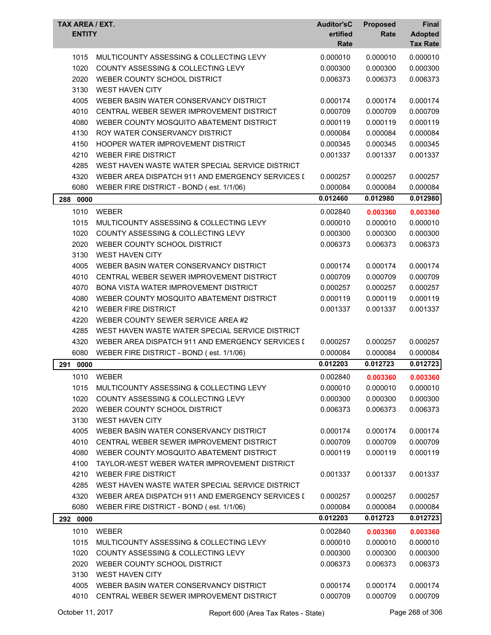| TAX AREA / EXT.<br><b>ENTITY</b> |                                                  | <b>Auditor'sC</b><br>ertified<br>Rate | <b>Proposed</b><br>Rate | Final<br><b>Adopted</b><br><b>Tax Rate</b> |
|----------------------------------|--------------------------------------------------|---------------------------------------|-------------------------|--------------------------------------------|
| 1015                             | MULTICOUNTY ASSESSING & COLLECTING LEVY          | 0.000010                              | 0.000010                | 0.000010                                   |
| 1020                             | COUNTY ASSESSING & COLLECTING LEVY               | 0.000300                              | 0.000300                | 0.000300                                   |
| 2020                             | WEBER COUNTY SCHOOL DISTRICT                     | 0.006373                              | 0.006373                | 0.006373                                   |
| 3130                             | <b>WEST HAVEN CITY</b>                           |                                       |                         |                                            |
| 4005                             | WEBER BASIN WATER CONSERVANCY DISTRICT           | 0.000174                              | 0.000174                | 0.000174                                   |
| 4010                             | CENTRAL WEBER SEWER IMPROVEMENT DISTRICT         | 0.000709                              | 0.000709                | 0.000709                                   |
| 4080                             | WEBER COUNTY MOSQUITO ABATEMENT DISTRICT         | 0.000119                              | 0.000119                | 0.000119                                   |
| 4130                             | ROY WATER CONSERVANCY DISTRICT                   | 0.000084                              | 0.000084                | 0.000084                                   |
| 4150                             | HOOPER WATER IMPROVEMENT DISTRICT                | 0.000345                              | 0.000345                | 0.000345                                   |
| 4210                             | <b>WEBER FIRE DISTRICT</b>                       | 0.001337                              | 0.001337                | 0.001337                                   |
| 4285                             | WEST HAVEN WASTE WATER SPECIAL SERVICE DISTRICT  |                                       |                         |                                            |
| 4320                             | WEBER AREA DISPATCH 911 AND EMERGENCY SERVICES I | 0.000257                              | 0.000257                | 0.000257                                   |
| 6080                             | WEBER FIRE DISTRICT - BOND (est. 1/1/06)         | 0.000084                              | 0.000084                | 0.000084                                   |
| 0000<br>288                      |                                                  | 0.012460                              | 0.012980                | 0.012980                                   |
| 1010                             | <b>WEBER</b>                                     | 0.002840                              | 0.003360                | 0.003360                                   |
| 1015                             | MULTICOUNTY ASSESSING & COLLECTING LEVY          | 0.000010                              | 0.000010                | 0.000010                                   |
| 1020                             | COUNTY ASSESSING & COLLECTING LEVY               | 0.000300                              | 0.000300                | 0.000300                                   |
| 2020                             | WEBER COUNTY SCHOOL DISTRICT                     | 0.006373                              | 0.006373                | 0.006373                                   |
| 3130                             | <b>WEST HAVEN CITY</b>                           |                                       |                         |                                            |
| 4005                             | WEBER BASIN WATER CONSERVANCY DISTRICT           | 0.000174                              | 0.000174                | 0.000174                                   |
| 4010                             | CENTRAL WEBER SEWER IMPROVEMENT DISTRICT         | 0.000709                              | 0.000709                | 0.000709                                   |
| 4070                             | BONA VISTA WATER IMPROVEMENT DISTRICT            | 0.000257                              | 0.000257                | 0.000257                                   |
| 4080                             | WEBER COUNTY MOSQUITO ABATEMENT DISTRICT         | 0.000119                              | 0.000119                | 0.000119                                   |
| 4210                             | <b>WEBER FIRE DISTRICT</b>                       | 0.001337                              | 0.001337                | 0.001337                                   |
| 4220                             | WEBER COUNTY SEWER SERVICE AREA #2               |                                       |                         |                                            |
| 4285                             | WEST HAVEN WASTE WATER SPECIAL SERVICE DISTRICT  |                                       |                         |                                            |
| 4320                             | WEBER AREA DISPATCH 911 AND EMERGENCY SERVICES I | 0.000257                              | 0.000257                | 0.000257                                   |
| 6080                             | WEBER FIRE DISTRICT - BOND (est. 1/1/06)         | 0.000084                              | 0.000084                | 0.000084                                   |
| 291<br>0000                      |                                                  | 0.012203                              | 0.012723                | 0.012723                                   |
|                                  | 1010 WEBER                                       | 0.002840                              | 0.003360                | 0.003360                                   |
| 1015                             | MULTICOUNTY ASSESSING & COLLECTING LEVY          | 0.000010                              | 0.000010                | 0.000010                                   |
| 1020                             | COUNTY ASSESSING & COLLECTING LEVY               | 0.000300                              | 0.000300                | 0.000300                                   |
| 2020                             | WEBER COUNTY SCHOOL DISTRICT                     | 0.006373                              | 0.006373                | 0.006373                                   |
| 3130                             | <b>WEST HAVEN CITY</b>                           |                                       |                         |                                            |
| 4005                             | WEBER BASIN WATER CONSERVANCY DISTRICT           | 0.000174                              | 0.000174                | 0.000174                                   |
| 4010                             | CENTRAL WEBER SEWER IMPROVEMENT DISTRICT         | 0.000709                              | 0.000709                | 0.000709                                   |
| 4080                             | WEBER COUNTY MOSQUITO ABATEMENT DISTRICT         | 0.000119                              | 0.000119                | 0.000119                                   |
| 4100                             | TAYLOR-WEST WEBER WATER IMPROVEMENT DISTRICT     |                                       |                         |                                            |
| 4210                             | <b>WEBER FIRE DISTRICT</b>                       | 0.001337                              | 0.001337                | 0.001337                                   |
| 4285                             | WEST HAVEN WASTE WATER SPECIAL SERVICE DISTRICT  |                                       |                         |                                            |
| 4320                             | WEBER AREA DISPATCH 911 AND EMERGENCY SERVICES I | 0.000257                              | 0.000257                | 0.000257                                   |
| 6080                             | WEBER FIRE DISTRICT - BOND (est. 1/1/06)         | 0.000084                              | 0.000084                | 0.000084                                   |
| 292 0000                         |                                                  | 0.012203                              | 0.012723                | 0.012723                                   |
| 1010                             | <b>WEBER</b>                                     | 0.002840                              | 0.003360                | 0.003360                                   |
| 1015                             | MULTICOUNTY ASSESSING & COLLECTING LEVY          | 0.000010                              | 0.000010                | 0.000010                                   |
| 1020                             | COUNTY ASSESSING & COLLECTING LEVY               | 0.000300                              | 0.000300                | 0.000300                                   |
| 2020                             | WEBER COUNTY SCHOOL DISTRICT                     | 0.006373                              | 0.006373                | 0.006373                                   |
| 3130                             | <b>WEST HAVEN CITY</b>                           |                                       |                         |                                            |
| 4005                             | WEBER BASIN WATER CONSERVANCY DISTRICT           | 0.000174                              | 0.000174                | 0.000174                                   |
| 4010                             | CENTRAL WEBER SEWER IMPROVEMENT DISTRICT         | 0.000709                              | 0.000709                | 0.000709                                   |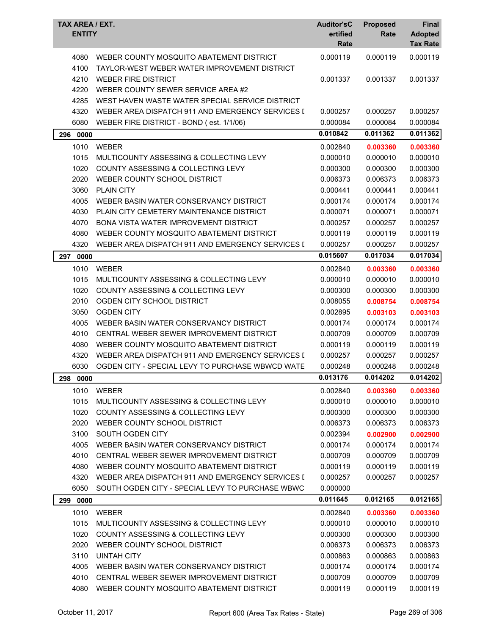| TAX AREA / EXT.<br><b>ENTITY</b> |                                                                                          | <b>Auditor'sC</b><br>ertified<br>Rate | <b>Proposed</b><br>Rate | Final<br><b>Adopted</b><br><b>Tax Rate</b> |
|----------------------------------|------------------------------------------------------------------------------------------|---------------------------------------|-------------------------|--------------------------------------------|
| 4080<br>4100                     | WEBER COUNTY MOSQUITO ABATEMENT DISTRICT<br>TAYLOR-WEST WEBER WATER IMPROVEMENT DISTRICT | 0.000119                              | 0.000119                | 0.000119                                   |
| 4210                             | <b>WEBER FIRE DISTRICT</b>                                                               | 0.001337                              | 0.001337                | 0.001337                                   |
| 4220                             | WEBER COUNTY SEWER SERVICE AREA #2                                                       |                                       |                         |                                            |
| 4285                             | WEST HAVEN WASTE WATER SPECIAL SERVICE DISTRICT                                          |                                       |                         |                                            |
| 4320                             | WEBER AREA DISPATCH 911 AND EMERGENCY SERVICES I                                         | 0.000257                              | 0.000257                | 0.000257                                   |
| 6080                             | WEBER FIRE DISTRICT - BOND (est. 1/1/06)                                                 | 0.000084                              | 0.000084                | 0.000084                                   |
| 0000<br>296                      |                                                                                          | 0.010842                              | 0.011362                | 0.011362                                   |
| 1010                             | <b>WEBER</b>                                                                             | 0.002840                              | 0.003360                | 0.003360                                   |
| 1015                             | MULTICOUNTY ASSESSING & COLLECTING LEVY                                                  | 0.000010                              | 0.000010                | 0.000010                                   |
| 1020                             | COUNTY ASSESSING & COLLECTING LEVY                                                       | 0.000300                              | 0.000300                | 0.000300                                   |
| 2020                             | WEBER COUNTY SCHOOL DISTRICT                                                             | 0.006373                              | 0.006373                | 0.006373                                   |
| 3060                             | <b>PLAIN CITY</b>                                                                        | 0.000441                              | 0.000441                | 0.000441                                   |
| 4005                             | WEBER BASIN WATER CONSERVANCY DISTRICT                                                   | 0.000174                              | 0.000174                | 0.000174                                   |
| 4030                             | PLAIN CITY CEMETERY MAINTENANCE DISTRICT                                                 | 0.000071                              | 0.000071                | 0.000071                                   |
| 4070                             | <b>BONA VISTA WATER IMPROVEMENT DISTRICT</b>                                             | 0.000257                              | 0.000257                | 0.000257                                   |
| 4080                             | WEBER COUNTY MOSQUITO ABATEMENT DISTRICT                                                 | 0.000119                              | 0.000119                | 0.000119                                   |
| 4320                             | WEBER AREA DISPATCH 911 AND EMERGENCY SERVICES I                                         | 0.000257                              | 0.000257                | 0.000257                                   |
|                                  |                                                                                          | 0.015607                              | 0.017034                | 0.017034                                   |
| 297<br>0000                      |                                                                                          |                                       |                         |                                            |
| 1010                             | <b>WEBER</b>                                                                             | 0.002840                              | 0.003360                | 0.003360                                   |
| 1015                             | MULTICOUNTY ASSESSING & COLLECTING LEVY                                                  | 0.000010                              | 0.000010                | 0.000010                                   |
| 1020                             | COUNTY ASSESSING & COLLECTING LEVY                                                       | 0.000300                              | 0.000300                | 0.000300                                   |
| 2010                             | OGDEN CITY SCHOOL DISTRICT                                                               | 0.008055                              | 0.008754                | 0.008754                                   |
| 3050                             | <b>OGDEN CITY</b>                                                                        | 0.002895                              | 0.003103                | 0.003103                                   |
| 4005                             | WEBER BASIN WATER CONSERVANCY DISTRICT                                                   | 0.000174                              | 0.000174                | 0.000174                                   |
| 4010                             | CENTRAL WEBER SEWER IMPROVEMENT DISTRICT                                                 | 0.000709                              | 0.000709                | 0.000709                                   |
| 4080                             | WEBER COUNTY MOSQUITO ABATEMENT DISTRICT                                                 | 0.000119                              | 0.000119                | 0.000119                                   |
| 4320                             | WEBER AREA DISPATCH 911 AND EMERGENCY SERVICES I                                         | 0.000257                              | 0.000257                | 0.000257                                   |
| 6030                             | OGDEN CITY - SPECIAL LEVY TO PURCHASE WBWCD WATE                                         | 0.000248                              | 0.000248                | 0.000248                                   |
| 298 0000                         |                                                                                          | 0.013176                              | 0.014202                | 0.014202                                   |
| 1010                             | <b>WEBER</b>                                                                             | 0.002840                              | 0.003360                | 0.003360                                   |
| 1015                             | MULTICOUNTY ASSESSING & COLLECTING LEVY                                                  | 0.000010                              | 0.000010                | 0.000010                                   |
| 1020                             | COUNTY ASSESSING & COLLECTING LEVY                                                       | 0.000300                              | 0.000300                | 0.000300                                   |
| 2020                             | WEBER COUNTY SCHOOL DISTRICT                                                             | 0.006373                              | 0.006373                | 0.006373                                   |
| 3100                             | SOUTH OGDEN CITY                                                                         | 0.002394                              | 0.002900                | 0.002900                                   |
| 4005                             | WEBER BASIN WATER CONSERVANCY DISTRICT                                                   | 0.000174                              | 0.000174                | 0.000174                                   |
| 4010                             | CENTRAL WEBER SEWER IMPROVEMENT DISTRICT                                                 | 0.000709                              | 0.000709                | 0.000709                                   |
| 4080                             | WEBER COUNTY MOSQUITO ABATEMENT DISTRICT                                                 | 0.000119                              | 0.000119                | 0.000119                                   |
| 4320                             | WEBER AREA DISPATCH 911 AND EMERGENCY SERVICES I                                         | 0.000257                              | 0.000257                | 0.000257                                   |
| 6050                             | SOUTH OGDEN CITY - SPECIAL LEVY TO PURCHASE WBWC                                         | 0.000000                              |                         |                                            |
| 299 0000                         |                                                                                          | 0.011645                              | 0.012165                | 0.012165                                   |
| 1010                             | <b>WEBER</b>                                                                             | 0.002840                              | 0.003360                | 0.003360                                   |
| 1015                             | MULTICOUNTY ASSESSING & COLLECTING LEVY                                                  | 0.000010                              | 0.000010                | 0.000010                                   |
| 1020                             | COUNTY ASSESSING & COLLECTING LEVY                                                       | 0.000300                              | 0.000300                | 0.000300                                   |
| 2020                             | WEBER COUNTY SCHOOL DISTRICT                                                             | 0.006373                              | 0.006373                | 0.006373                                   |
| 3110                             | <b>UINTAH CITY</b>                                                                       | 0.000863                              | 0.000863                | 0.000863                                   |
| 4005                             | WEBER BASIN WATER CONSERVANCY DISTRICT                                                   | 0.000174                              | 0.000174                | 0.000174                                   |
| 4010                             | CENTRAL WEBER SEWER IMPROVEMENT DISTRICT                                                 | 0.000709                              | 0.000709                | 0.000709                                   |
| 4080                             | WEBER COUNTY MOSQUITO ABATEMENT DISTRICT                                                 | 0.000119                              | 0.000119                | 0.000119                                   |
|                                  |                                                                                          |                                       |                         |                                            |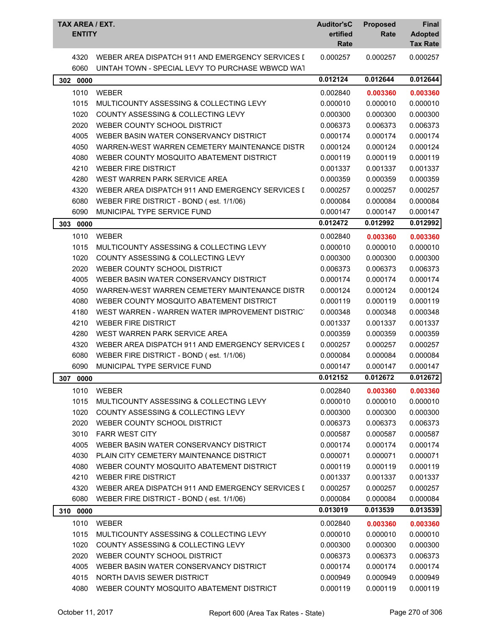| TAX AREA / EXT.<br><b>ENTITY</b> |                                                  | <b>Auditor'sC</b><br>ertified<br>Rate | <b>Proposed</b><br>Rate | <b>Final</b><br><b>Adopted</b><br><b>Tax Rate</b> |
|----------------------------------|--------------------------------------------------|---------------------------------------|-------------------------|---------------------------------------------------|
| 4320                             | WEBER AREA DISPATCH 911 AND EMERGENCY SERVICES I | 0.000257                              | 0.000257                | 0.000257                                          |
| 6060                             | UINTAH TOWN - SPECIAL LEVY TO PURCHASE WBWCD WAT |                                       |                         |                                                   |
| 302 0000                         |                                                  | 0.012124                              | 0.012644                | 0.012644                                          |
| 1010                             | <b>WEBER</b>                                     | 0.002840                              | 0.003360                | 0.003360                                          |
| 1015                             | MULTICOUNTY ASSESSING & COLLECTING LEVY          | 0.000010                              | 0.000010                | 0.000010                                          |
| 1020                             | COUNTY ASSESSING & COLLECTING LEVY               | 0.000300                              | 0.000300                | 0.000300                                          |
| 2020                             | WEBER COUNTY SCHOOL DISTRICT                     | 0.006373                              | 0.006373                | 0.006373                                          |
| 4005                             | WEBER BASIN WATER CONSERVANCY DISTRICT           | 0.000174                              | 0.000174                | 0.000174                                          |
| 4050                             | WARREN-WEST WARREN CEMETERY MAINTENANCE DISTR    | 0.000124                              | 0.000124                | 0.000124                                          |
| 4080                             | WEBER COUNTY MOSQUITO ABATEMENT DISTRICT         | 0.000119                              | 0.000119                | 0.000119                                          |
| 4210                             | <b>WEBER FIRE DISTRICT</b>                       | 0.001337                              | 0.001337                | 0.001337                                          |
| 4280                             | WEST WARREN PARK SERVICE AREA                    | 0.000359                              | 0.000359                | 0.000359                                          |
| 4320                             | WEBER AREA DISPATCH 911 AND EMERGENCY SERVICES I | 0.000257                              | 0.000257                | 0.000257                                          |
| 6080                             | WEBER FIRE DISTRICT - BOND (est. 1/1/06)         | 0.000084                              | 0.000084                | 0.000084                                          |
| 6090                             | MUNICIPAL TYPE SERVICE FUND                      | 0.000147                              | 0.000147                | 0.000147                                          |
| 303<br>0000                      |                                                  | 0.012472                              | 0.012992                | 0.012992                                          |
| 1010                             | <b>WEBER</b>                                     | 0.002840                              | 0.003360                | 0.003360                                          |
| 1015                             | MULTICOUNTY ASSESSING & COLLECTING LEVY          | 0.000010                              | 0.000010                | 0.000010                                          |
| 1020                             | <b>COUNTY ASSESSING &amp; COLLECTING LEVY</b>    | 0.000300                              | 0.000300                | 0.000300                                          |
| 2020                             | WEBER COUNTY SCHOOL DISTRICT                     | 0.006373                              | 0.006373                | 0.006373                                          |
| 4005                             | WEBER BASIN WATER CONSERVANCY DISTRICT           | 0.000174                              | 0.000174                | 0.000174                                          |
| 4050                             | WARREN-WEST WARREN CEMETERY MAINTENANCE DISTR    | 0.000124                              | 0.000124                | 0.000124                                          |
| 4080                             | WEBER COUNTY MOSQUITO ABATEMENT DISTRICT         | 0.000119                              | 0.000119                | 0.000119                                          |
| 4180                             | WEST WARREN - WARREN WATER IMPROVEMENT DISTRICT  | 0.000348                              | 0.000348                | 0.000348                                          |
| 4210                             | <b>WEBER FIRE DISTRICT</b>                       | 0.001337                              | 0.001337                | 0.001337                                          |
| 4280                             | WEST WARREN PARK SERVICE AREA                    | 0.000359                              | 0.000359                | 0.000359                                          |
| 4320                             | WEBER AREA DISPATCH 911 AND EMERGENCY SERVICES I | 0.000257                              | 0.000257                | 0.000257                                          |
| 6080                             | WEBER FIRE DISTRICT - BOND (est. 1/1/06)         | 0.000084                              | 0.000084                | 0.000084                                          |
| 6090                             | MUNICIPAL TYPE SERVICE FUND                      | 0.000147                              | 0.000147                | 0.000147                                          |
| 307 0000                         |                                                  | 0.012152                              | 0.012672                | 0.012672                                          |
| 1010                             | WEBER                                            | 0.002840                              | 0.003360                | 0.003360                                          |
| 1015                             | MULTICOUNTY ASSESSING & COLLECTING LEVY          | 0.000010                              | 0.000010                | 0.000010                                          |
| 1020                             | COUNTY ASSESSING & COLLECTING LEVY               | 0.000300                              | 0.000300                | 0.000300                                          |
| 2020                             | WEBER COUNTY SCHOOL DISTRICT                     | 0.006373                              | 0.006373                | 0.006373                                          |
| 3010                             | <b>FARR WEST CITY</b>                            | 0.000587                              | 0.000587                | 0.000587                                          |
| 4005                             | WEBER BASIN WATER CONSERVANCY DISTRICT           | 0.000174                              | 0.000174                | 0.000174                                          |
| 4030                             | PLAIN CITY CEMETERY MAINTENANCE DISTRICT         | 0.000071                              | 0.000071                | 0.000071                                          |
| 4080                             | WEBER COUNTY MOSQUITO ABATEMENT DISTRICT         | 0.000119                              | 0.000119                | 0.000119                                          |
| 4210                             | <b>WEBER FIRE DISTRICT</b>                       | 0.001337                              | 0.001337                | 0.001337                                          |
| 4320                             | WEBER AREA DISPATCH 911 AND EMERGENCY SERVICES I | 0.000257                              | 0.000257                | 0.000257                                          |
| 6080                             | WEBER FIRE DISTRICT - BOND (est. 1/1/06)         | 0.000084                              | 0.000084                | 0.000084                                          |
| 310 0000                         |                                                  | 0.013019                              | 0.013539                | $\overline{0.013539}$                             |
| 1010                             | <b>WEBER</b>                                     | 0.002840                              | 0.003360                | 0.003360                                          |
| 1015                             | MULTICOUNTY ASSESSING & COLLECTING LEVY          | 0.000010                              | 0.000010                | 0.000010                                          |
| 1020                             | COUNTY ASSESSING & COLLECTING LEVY               | 0.000300                              | 0.000300                | 0.000300                                          |
| 2020                             | WEBER COUNTY SCHOOL DISTRICT                     | 0.006373                              | 0.006373                | 0.006373                                          |
| 4005                             | WEBER BASIN WATER CONSERVANCY DISTRICT           | 0.000174                              | 0.000174                | 0.000174                                          |
| 4015                             | NORTH DAVIS SEWER DISTRICT                       | 0.000949                              | 0.000949                | 0.000949                                          |
| 4080                             | WEBER COUNTY MOSQUITO ABATEMENT DISTRICT         | 0.000119                              | 0.000119                | 0.000119                                          |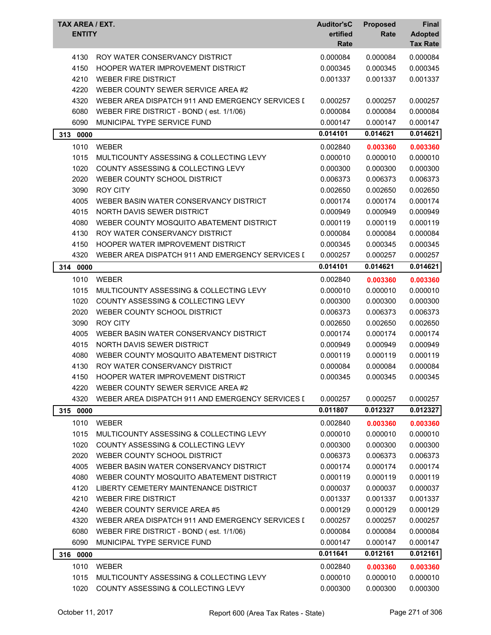| TAX AREA / EXT.<br><b>ENTITY</b> |                                                  | <b>Auditor'sC</b><br>ertified<br>Rate | <b>Proposed</b><br>Rate | Final<br><b>Adopted</b><br><b>Tax Rate</b> |
|----------------------------------|--------------------------------------------------|---------------------------------------|-------------------------|--------------------------------------------|
| 4130                             | ROY WATER CONSERVANCY DISTRICT                   | 0.000084                              | 0.000084                | 0.000084                                   |
| 4150                             | HOOPER WATER IMPROVEMENT DISTRICT                | 0.000345                              | 0.000345                | 0.000345                                   |
| 4210                             | <b>WEBER FIRE DISTRICT</b>                       | 0.001337                              | 0.001337                | 0.001337                                   |
| 4220                             | WEBER COUNTY SEWER SERVICE AREA #2               |                                       |                         |                                            |
| 4320                             | WEBER AREA DISPATCH 911 AND EMERGENCY SERVICES I | 0.000257                              | 0.000257                | 0.000257                                   |
| 6080                             | WEBER FIRE DISTRICT - BOND (est. 1/1/06)         | 0.000084                              | 0.000084                | 0.000084                                   |
| 6090                             | MUNICIPAL TYPE SERVICE FUND                      | 0.000147                              | 0.000147                | 0.000147                                   |
| 313<br>0000                      |                                                  | 0.014101                              | 0.014621                | 0.014621                                   |
| 1010                             | <b>WEBER</b>                                     | 0.002840                              | 0.003360                | 0.003360                                   |
| 1015                             | MULTICOUNTY ASSESSING & COLLECTING LEVY          | 0.000010                              | 0.000010                | 0.000010                                   |
| 1020                             | COUNTY ASSESSING & COLLECTING LEVY               | 0.000300                              | 0.000300                | 0.000300                                   |
| 2020                             | WEBER COUNTY SCHOOL DISTRICT                     | 0.006373                              | 0.006373                | 0.006373                                   |
| 3090                             | <b>ROY CITY</b>                                  | 0.002650                              | 0.002650                | 0.002650                                   |
| 4005                             | WEBER BASIN WATER CONSERVANCY DISTRICT           | 0.000174                              | 0.000174                | 0.000174                                   |
| 4015                             | NORTH DAVIS SEWER DISTRICT                       | 0.000949                              | 0.000949                | 0.000949                                   |
| 4080                             | WEBER COUNTY MOSQUITO ABATEMENT DISTRICT         | 0.000119                              | 0.000119                | 0.000119                                   |
| 4130                             | ROY WATER CONSERVANCY DISTRICT                   | 0.000084                              | 0.000084                | 0.000084                                   |
| 4150                             | HOOPER WATER IMPROVEMENT DISTRICT                | 0.000345                              | 0.000345                | 0.000345                                   |
| 4320                             | WEBER AREA DISPATCH 911 AND EMERGENCY SERVICES I | 0.000257                              | 0.000257                | 0.000257                                   |
| 314 0000                         |                                                  | 0.014101                              | 0.014621                | 0.014621                                   |
| 1010                             | <b>WEBER</b>                                     | 0.002840                              | 0.003360                | 0.003360                                   |
| 1015                             | MULTICOUNTY ASSESSING & COLLECTING LEVY          | 0.000010                              | 0.000010                | 0.000010                                   |
| 1020                             | COUNTY ASSESSING & COLLECTING LEVY               | 0.000300                              | 0.000300                | 0.000300                                   |
| 2020                             | WEBER COUNTY SCHOOL DISTRICT                     | 0.006373                              | 0.006373                | 0.006373                                   |
| 3090                             | <b>ROY CITY</b>                                  | 0.002650                              | 0.002650                | 0.002650                                   |
| 4005                             | WEBER BASIN WATER CONSERVANCY DISTRICT           | 0.000174                              | 0.000174                | 0.000174                                   |
| 4015                             | NORTH DAVIS SEWER DISTRICT                       | 0.000949                              | 0.000949                | 0.000949                                   |
| 4080                             | WEBER COUNTY MOSQUITO ABATEMENT DISTRICT         | 0.000119                              | 0.000119                | 0.000119                                   |
| 4130                             | ROY WATER CONSERVANCY DISTRICT                   | 0.000084                              | 0.000084                | 0.000084                                   |
| 4150                             | HOOPER WATER IMPROVEMENT DISTRICT                | 0.000345                              | 0.000345                | 0.000345                                   |
| 4220                             | WEBER COUNTY SEWER SERVICE AREA #2               |                                       |                         |                                            |
| 4320                             | WEBER AREA DISPATCH 911 AND EMERGENCY SERVICES I | 0.000257                              | 0.000257                | 0.000257                                   |
| 315 0000                         |                                                  | 0.011807                              | 0.012327                | 0.012327                                   |
| 1010                             | <b>WEBER</b>                                     | 0.002840                              | 0.003360                | 0.003360                                   |
| 1015                             | MULTICOUNTY ASSESSING & COLLECTING LEVY          | 0.000010                              | 0.000010                | 0.000010                                   |
| 1020                             | COUNTY ASSESSING & COLLECTING LEVY               | 0.000300                              | 0.000300                | 0.000300                                   |
| 2020                             | WEBER COUNTY SCHOOL DISTRICT                     | 0.006373                              | 0.006373                | 0.006373                                   |
| 4005                             | WEBER BASIN WATER CONSERVANCY DISTRICT           | 0.000174                              | 0.000174                | 0.000174                                   |
| 4080                             | WEBER COUNTY MOSQUITO ABATEMENT DISTRICT         | 0.000119                              | 0.000119                | 0.000119                                   |
| 4120                             | LIBERTY CEMETERY MAINTENANCE DISTRICT            | 0.000037                              | 0.000037                | 0.000037                                   |
| 4210                             | <b>WEBER FIRE DISTRICT</b>                       | 0.001337                              | 0.001337                | 0.001337                                   |
| 4240                             | WEBER COUNTY SERVICE AREA #5                     | 0.000129                              | 0.000129                | 0.000129                                   |
| 4320                             | WEBER AREA DISPATCH 911 AND EMERGENCY SERVICES I | 0.000257                              | 0.000257                | 0.000257                                   |
| 6080                             | WEBER FIRE DISTRICT - BOND (est. 1/1/06)         | 0.000084                              | 0.000084                | 0.000084                                   |
| 6090                             | MUNICIPAL TYPE SERVICE FUND                      | 0.000147                              | 0.000147                | 0.000147                                   |
| 316 0000                         |                                                  | 0.011641                              | 0.012161                | 0.012161                                   |
| 1010                             | <b>WEBER</b>                                     | 0.002840                              | 0.003360                | 0.003360                                   |
| 1015                             | MULTICOUNTY ASSESSING & COLLECTING LEVY          | 0.000010                              | 0.000010                | 0.000010                                   |
| 1020                             | COUNTY ASSESSING & COLLECTING LEVY               | 0.000300                              | 0.000300                | 0.000300                                   |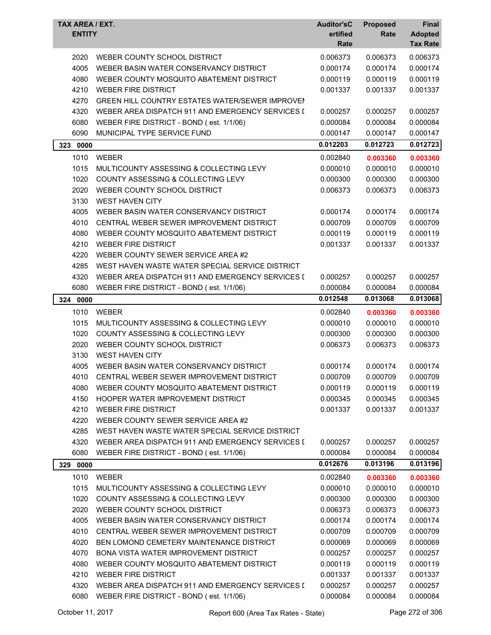| TAX AREA / EXT.<br><b>ENTITY</b> |                                                        | <b>Auditor'sC</b><br>ertified<br>Rate | <b>Proposed</b><br>Rate | Final<br><b>Adopted</b><br><b>Tax Rate</b> |
|----------------------------------|--------------------------------------------------------|---------------------------------------|-------------------------|--------------------------------------------|
| 2020                             | WEBER COUNTY SCHOOL DISTRICT                           | 0.006373                              | 0.006373                | 0.006373                                   |
| 4005                             | WEBER BASIN WATER CONSERVANCY DISTRICT                 | 0.000174                              | 0.000174                | 0.000174                                   |
| 4080                             | WEBER COUNTY MOSQUITO ABATEMENT DISTRICT               | 0.000119                              | 0.000119                | 0.000119                                   |
| 4210                             | <b>WEBER FIRE DISTRICT</b>                             | 0.001337                              | 0.001337                | 0.001337                                   |
| 4270                             | <b>GREEN HILL COUNTRY ESTATES WATER/SEWER IMPROVE!</b> |                                       |                         |                                            |
| 4320                             | WEBER AREA DISPATCH 911 AND EMERGENCY SERVICES I       | 0.000257                              | 0.000257                | 0.000257                                   |
| 6080                             | WEBER FIRE DISTRICT - BOND (est. 1/1/06)               | 0.000084                              | 0.000084                | 0.000084                                   |
| 6090                             | MUNICIPAL TYPE SERVICE FUND                            | 0.000147                              | 0.000147                | 0.000147                                   |
| 323<br>0000                      |                                                        | 0.012203                              | 0.012723                | 0.012723                                   |
| 1010                             | <b>WEBER</b>                                           | 0.002840                              | 0.003360                | 0.003360                                   |
| 1015                             | MULTICOUNTY ASSESSING & COLLECTING LEVY                | 0.000010                              | 0.000010                | 0.000010                                   |
| 1020                             | COUNTY ASSESSING & COLLECTING LEVY                     | 0.000300                              | 0.000300                | 0.000300                                   |
| 2020                             | WEBER COUNTY SCHOOL DISTRICT                           | 0.006373                              | 0.006373                | 0.006373                                   |
| 3130                             | <b>WEST HAVEN CITY</b>                                 |                                       |                         |                                            |
| 4005                             | WEBER BASIN WATER CONSERVANCY DISTRICT                 | 0.000174                              | 0.000174                | 0.000174                                   |
| 4010                             | CENTRAL WEBER SEWER IMPROVEMENT DISTRICT               | 0.000709                              | 0.000709                | 0.000709                                   |
| 4080                             | WEBER COUNTY MOSQUITO ABATEMENT DISTRICT               | 0.000119                              | 0.000119                | 0.000119                                   |
| 4210                             | <b>WEBER FIRE DISTRICT</b>                             | 0.001337                              | 0.001337                | 0.001337                                   |
| 4220                             | WEBER COUNTY SEWER SERVICE AREA #2                     |                                       |                         |                                            |
| 4285                             | WEST HAVEN WASTE WATER SPECIAL SERVICE DISTRICT        |                                       |                         |                                            |
| 4320                             | WEBER AREA DISPATCH 911 AND EMERGENCY SERVICES I       | 0.000257                              | 0.000257                | 0.000257                                   |
| 6080                             | WEBER FIRE DISTRICT - BOND (est. 1/1/06)               | 0.000084                              | 0.000084                | 0.000084                                   |
| 324<br>0000                      |                                                        | 0.012548                              | 0.013068                | 0.013068                                   |
| 1010                             | <b>WEBER</b>                                           | 0.002840                              | 0.003360                | 0.003360                                   |
| 1015                             | MULTICOUNTY ASSESSING & COLLECTING LEVY                | 0.000010                              | 0.000010                | 0.000010                                   |
| 1020                             | <b>COUNTY ASSESSING &amp; COLLECTING LEVY</b>          | 0.000300                              | 0.000300                | 0.000300                                   |
| 2020                             | WEBER COUNTY SCHOOL DISTRICT                           | 0.006373                              | 0.006373                | 0.006373                                   |
| 3130                             | <b>WEST HAVEN CITY</b>                                 |                                       |                         |                                            |
| 4005                             | WEBER BASIN WATER CONSERVANCY DISTRICT                 | 0.000174                              | 0.000174                | 0.000174                                   |
|                                  | 4010 CENTRAL WEBER SEWER IMPROVEMENT DISTRICT          | 0.000709                              | 0.000709                | 0.000709                                   |
| 4080                             | WEBER COUNTY MOSQUITO ABATEMENT DISTRICT               | 0.000119                              | 0.000119                | 0.000119                                   |
| 4150                             | HOOPER WATER IMPROVEMENT DISTRICT                      | 0.000345                              | 0.000345                | 0.000345                                   |
| 4210                             | <b>WEBER FIRE DISTRICT</b>                             | 0.001337                              | 0.001337                | 0.001337                                   |
| 4220                             | WEBER COUNTY SEWER SERVICE AREA #2                     |                                       |                         |                                            |
| 4285                             | WEST HAVEN WASTE WATER SPECIAL SERVICE DISTRICT        |                                       |                         |                                            |
| 4320                             | WEBER AREA DISPATCH 911 AND EMERGENCY SERVICES [       | 0.000257                              | 0.000257                | 0.000257                                   |
| 6080                             | WEBER FIRE DISTRICT - BOND (est. 1/1/06)               | 0.000084                              | 0.000084                | 0.000084                                   |
| 329 0000                         |                                                        | 0.012676                              | 0.013196                | $\overline{0.013196}$                      |
| 1010                             | <b>WEBER</b>                                           | 0.002840                              | 0.003360                | 0.003360                                   |
| 1015                             | MULTICOUNTY ASSESSING & COLLECTING LEVY                | 0.000010                              | 0.000010                | 0.000010                                   |
| 1020                             | COUNTY ASSESSING & COLLECTING LEVY                     | 0.000300                              | 0.000300                | 0.000300                                   |
| 2020                             | WEBER COUNTY SCHOOL DISTRICT                           | 0.006373                              | 0.006373                | 0.006373                                   |
| 4005                             | WEBER BASIN WATER CONSERVANCY DISTRICT                 | 0.000174                              | 0.000174                | 0.000174                                   |
| 4010                             | CENTRAL WEBER SEWER IMPROVEMENT DISTRICT               | 0.000709                              | 0.000709                | 0.000709                                   |
| 4020                             | BEN LOMOND CEMETERY MAINTENANCE DISTRICT               | 0.000069                              | 0.000069                | 0.000069                                   |
| 4070                             | BONA VISTA WATER IMPROVEMENT DISTRICT                  | 0.000257                              | 0.000257                | 0.000257                                   |
| 4080                             | WEBER COUNTY MOSQUITO ABATEMENT DISTRICT               | 0.000119                              | 0.000119                | 0.000119                                   |
| 4210                             | <b>WEBER FIRE DISTRICT</b>                             | 0.001337                              | 0.001337                | 0.001337                                   |
| 4320                             | WEBER AREA DISPATCH 911 AND EMERGENCY SERVICES I       | 0.000257                              | 0.000257                | 0.000257                                   |
| 6080                             | WEBER FIRE DISTRICT - BOND (est. 1/1/06)               | 0.000084                              | 0.000084                | 0.000084                                   |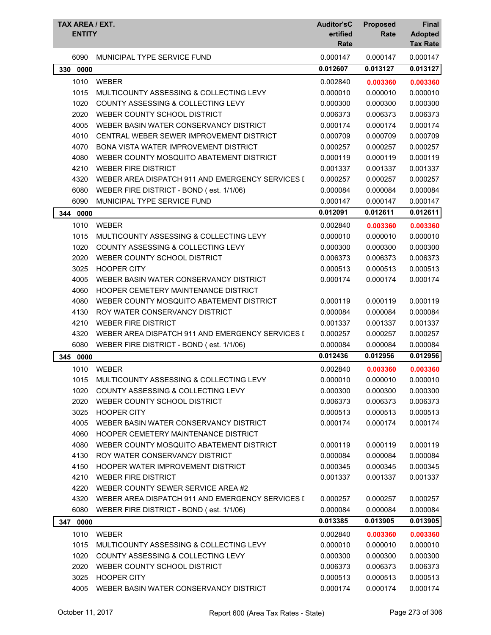| TAX AREA / EXT.<br><b>ENTITY</b> |                                                  | <b>Auditor'sC</b><br>ertified<br>Rate | <b>Proposed</b><br>Rate | <b>Final</b><br><b>Adopted</b><br><b>Tax Rate</b> |
|----------------------------------|--------------------------------------------------|---------------------------------------|-------------------------|---------------------------------------------------|
| 6090                             | MUNICIPAL TYPE SERVICE FUND                      | 0.000147                              | 0.000147                | 0.000147                                          |
| 330<br>0000                      |                                                  | 0.012607                              | 0.013127                | 0.013127                                          |
| 1010                             | <b>WEBER</b>                                     | 0.002840                              | 0.003360                | 0.003360                                          |
| 1015                             | MULTICOUNTY ASSESSING & COLLECTING LEVY          | 0.000010                              | 0.000010                | 0.000010                                          |
| 1020                             | COUNTY ASSESSING & COLLECTING LEVY               | 0.000300                              | 0.000300                | 0.000300                                          |
| 2020                             | WEBER COUNTY SCHOOL DISTRICT                     | 0.006373                              | 0.006373                | 0.006373                                          |
| 4005                             | WEBER BASIN WATER CONSERVANCY DISTRICT           | 0.000174                              | 0.000174                | 0.000174                                          |
| 4010                             | CENTRAL WEBER SEWER IMPROVEMENT DISTRICT         | 0.000709                              | 0.000709                | 0.000709                                          |
| 4070                             | <b>BONA VISTA WATER IMPROVEMENT DISTRICT</b>     | 0.000257                              | 0.000257                | 0.000257                                          |
| 4080                             | WEBER COUNTY MOSQUITO ABATEMENT DISTRICT         | 0.000119                              | 0.000119                | 0.000119                                          |
| 4210                             | <b>WEBER FIRE DISTRICT</b>                       | 0.001337                              | 0.001337                | 0.001337                                          |
| 4320                             | WEBER AREA DISPATCH 911 AND EMERGENCY SERVICES I | 0.000257                              | 0.000257                | 0.000257                                          |
| 6080                             | WEBER FIRE DISTRICT - BOND (est. 1/1/06)         | 0.000084                              | 0.000084                | 0.000084                                          |
| 6090                             | MUNICIPAL TYPE SERVICE FUND                      | 0.000147                              | 0.000147                | 0.000147                                          |
| 344<br>0000                      |                                                  | 0.012091                              | 0.012611                | 0.012611                                          |
| 1010                             | <b>WEBER</b>                                     | 0.002840                              | 0.003360                | 0.003360                                          |
| 1015                             | MULTICOUNTY ASSESSING & COLLECTING LEVY          | 0.000010                              | 0.000010                | 0.000010                                          |
| 1020                             | COUNTY ASSESSING & COLLECTING LEVY               | 0.000300                              | 0.000300                | 0.000300                                          |
| 2020                             | WEBER COUNTY SCHOOL DISTRICT                     | 0.006373                              | 0.006373                | 0.006373                                          |
| 3025                             | <b>HOOPER CITY</b>                               | 0.000513                              | 0.000513                | 0.000513                                          |
| 4005                             | WEBER BASIN WATER CONSERVANCY DISTRICT           | 0.000174                              | 0.000174                | 0.000174                                          |
| 4060                             | HOOPER CEMETERY MAINTENANCE DISTRICT             |                                       |                         |                                                   |
| 4080                             | WEBER COUNTY MOSQUITO ABATEMENT DISTRICT         | 0.000119                              | 0.000119                | 0.000119                                          |
| 4130                             | ROY WATER CONSERVANCY DISTRICT                   | 0.000084                              | 0.000084                | 0.000084                                          |
| 4210                             | <b>WEBER FIRE DISTRICT</b>                       | 0.001337                              | 0.001337                | 0.001337                                          |
| 4320                             | WEBER AREA DISPATCH 911 AND EMERGENCY SERVICES I | 0.000257                              | 0.000257                | 0.000257                                          |
| 6080                             | WEBER FIRE DISTRICT - BOND (est. 1/1/06)         | 0.000084                              | 0.000084                | 0.000084                                          |
| 345<br>0000                      |                                                  | 0.012436                              | 0.012956                | 0.012956                                          |
| 1010                             | WEBER                                            | 0.002840                              | 0.003360                | 0.003360                                          |
| 1015                             | MULTICOUNTY ASSESSING & COLLECTING LEVY          | 0.000010                              | 0.000010                | 0.000010                                          |
| 1020                             | COUNTY ASSESSING & COLLECTING LEVY               | 0.000300                              | 0.000300                | 0.000300                                          |
| 2020                             | WEBER COUNTY SCHOOL DISTRICT                     | 0.006373                              | 0.006373                | 0.006373                                          |
| 3025                             | <b>HOOPER CITY</b>                               | 0.000513                              | 0.000513                | 0.000513                                          |
| 4005                             | WEBER BASIN WATER CONSERVANCY DISTRICT           | 0.000174                              | 0.000174                | 0.000174                                          |
| 4060                             | HOOPER CEMETERY MAINTENANCE DISTRICT             |                                       |                         |                                                   |
| 4080                             | WEBER COUNTY MOSQUITO ABATEMENT DISTRICT         | 0.000119                              | 0.000119                | 0.000119                                          |
| 4130                             | ROY WATER CONSERVANCY DISTRICT                   | 0.000084                              | 0.000084                | 0.000084                                          |
| 4150                             | HOOPER WATER IMPROVEMENT DISTRICT                | 0.000345                              | 0.000345                | 0.000345                                          |
| 4210                             | <b>WEBER FIRE DISTRICT</b>                       | 0.001337                              | 0.001337                | 0.001337                                          |
| 4220                             | WEBER COUNTY SEWER SERVICE AREA #2               |                                       |                         |                                                   |
| 4320                             | WEBER AREA DISPATCH 911 AND EMERGENCY SERVICES I | 0.000257                              | 0.000257                | 0.000257                                          |
| 6080                             | WEBER FIRE DISTRICT - BOND (est. 1/1/06)         | 0.000084                              | 0.000084                | 0.000084                                          |
| 347 0000                         |                                                  | 0.013385                              | 0.013905                | 0.013905                                          |
| 1010                             | WEBER                                            | 0.002840                              |                         | 0.003360                                          |
| 1015                             | MULTICOUNTY ASSESSING & COLLECTING LEVY          | 0.000010                              | 0.003360<br>0.000010    | 0.000010                                          |
| 1020                             | COUNTY ASSESSING & COLLECTING LEVY               | 0.000300                              | 0.000300                | 0.000300                                          |
| 2020                             | WEBER COUNTY SCHOOL DISTRICT                     | 0.006373                              | 0.006373                | 0.006373                                          |
| 3025                             | <b>HOOPER CITY</b>                               | 0.000513                              | 0.000513                | 0.000513                                          |
| 4005                             | WEBER BASIN WATER CONSERVANCY DISTRICT           | 0.000174                              | 0.000174                | 0.000174                                          |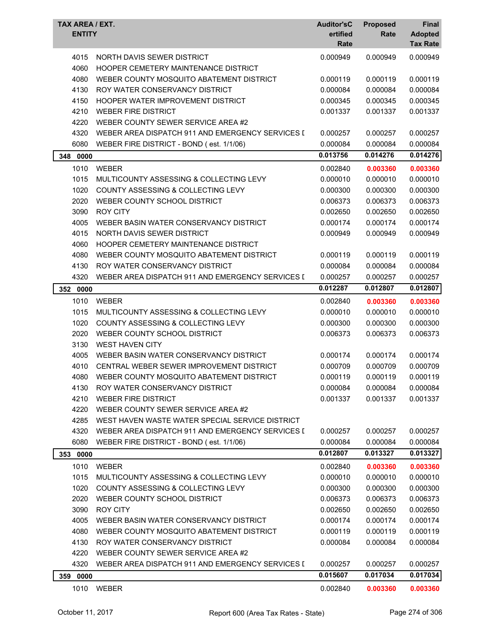| TAX AREA / EXT.<br><b>ENTITY</b> |                                                                    | <b>Auditor'sC</b><br>ertified<br>Rate | <b>Proposed</b><br>Rate | Final<br><b>Adopted</b><br><b>Tax Rate</b> |
|----------------------------------|--------------------------------------------------------------------|---------------------------------------|-------------------------|--------------------------------------------|
| 4015<br>4060                     | NORTH DAVIS SEWER DISTRICT<br>HOOPER CEMETERY MAINTENANCE DISTRICT | 0.000949                              | 0.000949                | 0.000949                                   |
| 4080                             | WEBER COUNTY MOSQUITO ABATEMENT DISTRICT                           | 0.000119                              | 0.000119                | 0.000119                                   |
| 4130                             | ROY WATER CONSERVANCY DISTRICT                                     | 0.000084                              | 0.000084                | 0.000084                                   |
| 4150                             | HOOPER WATER IMPROVEMENT DISTRICT                                  | 0.000345                              | 0.000345                | 0.000345                                   |
| 4210                             | <b>WEBER FIRE DISTRICT</b>                                         | 0.001337                              | 0.001337                | 0.001337                                   |
| 4220                             | WEBER COUNTY SEWER SERVICE AREA #2                                 |                                       |                         |                                            |
| 4320                             | WEBER AREA DISPATCH 911 AND EMERGENCY SERVICES I                   | 0.000257                              | 0.000257                | 0.000257                                   |
| 6080                             | WEBER FIRE DISTRICT - BOND (est. 1/1/06)                           | 0.000084                              | 0.000084                | 0.000084                                   |
| 348<br>0000                      |                                                                    | 0.013756                              | 0.014276                | 0.014276                                   |
| 1010                             | <b>WEBER</b>                                                       | 0.002840                              | 0.003360                | 0.003360                                   |
| 1015                             | MULTICOUNTY ASSESSING & COLLECTING LEVY                            | 0.000010                              | 0.000010                | 0.000010                                   |
| 1020                             | COUNTY ASSESSING & COLLECTING LEVY                                 | 0.000300                              | 0.000300                | 0.000300                                   |
| 2020                             | WEBER COUNTY SCHOOL DISTRICT                                       | 0.006373                              | 0.006373                | 0.006373                                   |
| 3090                             | <b>ROY CITY</b>                                                    | 0.002650                              | 0.002650                | 0.002650                                   |
| 4005                             | WEBER BASIN WATER CONSERVANCY DISTRICT                             | 0.000174                              | 0.000174                | 0.000174                                   |
| 4015                             | NORTH DAVIS SEWER DISTRICT                                         | 0.000949                              | 0.000949                | 0.000949                                   |
| 4060                             | HOOPER CEMETERY MAINTENANCE DISTRICT                               |                                       |                         |                                            |
| 4080                             | WEBER COUNTY MOSQUITO ABATEMENT DISTRICT                           | 0.000119                              | 0.000119                | 0.000119                                   |
| 4130                             | ROY WATER CONSERVANCY DISTRICT                                     | 0.000084                              | 0.000084                | 0.000084                                   |
| 4320                             | WEBER AREA DISPATCH 911 AND EMERGENCY SERVICES I                   | 0.000257                              | 0.000257                | 0.000257                                   |
| 352 0000                         |                                                                    | 0.012287                              | 0.012807                | 0.012807                                   |
| 1010                             | <b>WEBER</b>                                                       | 0.002840                              | 0.003360                | 0.003360                                   |
| 1015                             | MULTICOUNTY ASSESSING & COLLECTING LEVY                            | 0.000010                              | 0.000010                | 0.000010                                   |
| 1020                             | COUNTY ASSESSING & COLLECTING LEVY                                 | 0.000300                              | 0.000300                | 0.000300                                   |
| 2020                             | WEBER COUNTY SCHOOL DISTRICT                                       | 0.006373                              | 0.006373                | 0.006373                                   |
| 3130                             | <b>WEST HAVEN CITY</b>                                             |                                       |                         |                                            |
| 4005                             | WEBER BASIN WATER CONSERVANCY DISTRICT                             | 0.000174                              | 0.000174                | 0.000174                                   |
| 4010                             | CENTRAL WEBER SEWER IMPROVEMENT DISTRICT                           | 0.000709                              | 0.000709                | 0.000709                                   |
| 4080                             | WEBER COUNTY MOSQUITO ABATEMENT DISTRICT                           | 0.000119                              | 0.000119                | 0.000119                                   |
| 4130                             | ROY WATER CONSERVANCY DISTRICT                                     | 0.000084                              | 0.000084                | 0.000084                                   |
| 4210                             | <b>WEBER FIRE DISTRICT</b>                                         | 0.001337                              | 0.001337                | 0.001337                                   |
| 4220                             | WEBER COUNTY SEWER SERVICE AREA #2                                 |                                       |                         |                                            |
| 4285                             | WEST HAVEN WASTE WATER SPECIAL SERVICE DISTRICT                    |                                       |                         |                                            |
| 4320                             | WEBER AREA DISPATCH 911 AND EMERGENCY SERVICES I                   | 0.000257                              | 0.000257                | 0.000257                                   |
| 6080                             | WEBER FIRE DISTRICT - BOND (est. 1/1/06)                           | 0.000084                              | 0.000084                | 0.000084                                   |
| 353 0000                         |                                                                    | 0.012807                              | 0.013327                | 0.013327                                   |
| 1010                             | <b>WEBER</b>                                                       | 0.002840                              | 0.003360                | 0.003360                                   |
| 1015                             | MULTICOUNTY ASSESSING & COLLECTING LEVY                            | 0.000010                              | 0.000010                | 0.000010                                   |
| 1020                             | COUNTY ASSESSING & COLLECTING LEVY                                 | 0.000300                              | 0.000300                | 0.000300                                   |
| 2020                             | WEBER COUNTY SCHOOL DISTRICT                                       | 0.006373                              | 0.006373                | 0.006373                                   |
| 3090                             | <b>ROY CITY</b>                                                    | 0.002650                              | 0.002650                | 0.002650                                   |
| 4005                             | WEBER BASIN WATER CONSERVANCY DISTRICT                             | 0.000174                              | 0.000174                | 0.000174                                   |
| 4080                             | WEBER COUNTY MOSQUITO ABATEMENT DISTRICT                           | 0.000119                              | 0.000119                | 0.000119                                   |
| 4130                             | ROY WATER CONSERVANCY DISTRICT                                     | 0.000084                              | 0.000084                | 0.000084                                   |
| 4220                             | WEBER COUNTY SEWER SERVICE AREA #2                                 |                                       |                         |                                            |
| 4320                             | WEBER AREA DISPATCH 911 AND EMERGENCY SERVICES I                   | 0.000257                              | 0.000257                | 0.000257                                   |
| 359 0000                         |                                                                    | 0.015607                              | 0.017034                | 0.017034                                   |
| 1010                             | WEBER                                                              | 0.002840                              | 0.003360                | 0.003360                                   |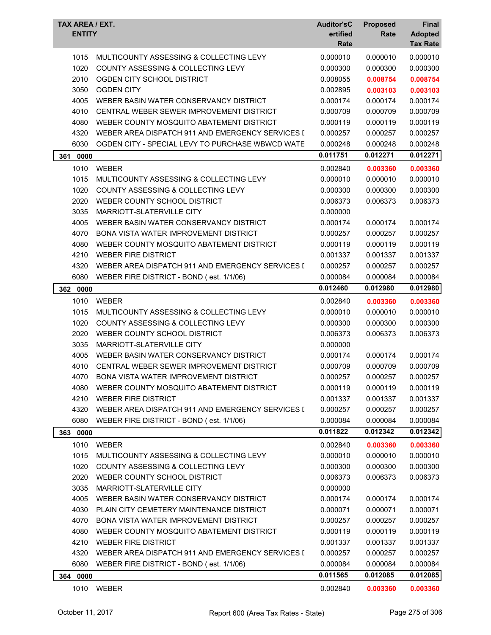| TAX AREA / EXT.<br><b>ENTITY</b> |                                                  | <b>Auditor'sC</b><br>ertified<br>Rate | <b>Proposed</b><br>Rate | <b>Final</b><br><b>Adopted</b><br><b>Tax Rate</b> |
|----------------------------------|--------------------------------------------------|---------------------------------------|-------------------------|---------------------------------------------------|
| 1015                             | MULTICOUNTY ASSESSING & COLLECTING LEVY          | 0.000010                              | 0.000010                | 0.000010                                          |
| 1020                             | COUNTY ASSESSING & COLLECTING LEVY               | 0.000300                              | 0.000300                | 0.000300                                          |
| 2010                             | OGDEN CITY SCHOOL DISTRICT                       | 0.008055                              | 0.008754                | 0.008754                                          |
| 3050                             | <b>OGDEN CITY</b>                                | 0.002895                              | 0.003103                | 0.003103                                          |
| 4005                             | WEBER BASIN WATER CONSERVANCY DISTRICT           | 0.000174                              | 0.000174                | 0.000174                                          |
| 4010                             | CENTRAL WEBER SEWER IMPROVEMENT DISTRICT         | 0.000709                              | 0.000709                | 0.000709                                          |
| 4080                             | WEBER COUNTY MOSQUITO ABATEMENT DISTRICT         | 0.000119                              | 0.000119                | 0.000119                                          |
| 4320                             | WEBER AREA DISPATCH 911 AND EMERGENCY SERVICES I | 0.000257                              | 0.000257                | 0.000257                                          |
| 6030                             | OGDEN CITY - SPECIAL LEVY TO PURCHASE WBWCD WATE | 0.000248                              | 0.000248                | 0.000248                                          |
| 0000<br>361                      |                                                  | 0.011751                              | 0.012271                | 0.012271                                          |
| 1010                             | <b>WEBER</b>                                     | 0.002840                              | 0.003360                | 0.003360                                          |
| 1015                             | MULTICOUNTY ASSESSING & COLLECTING LEVY          | 0.000010                              | 0.000010                | 0.000010                                          |
| 1020                             | COUNTY ASSESSING & COLLECTING LEVY               | 0.000300                              | 0.000300                | 0.000300                                          |
| 2020                             | WEBER COUNTY SCHOOL DISTRICT                     | 0.006373                              | 0.006373                | 0.006373                                          |
| 3035                             | MARRIOTT-SLATERVILLE CITY                        | 0.000000                              |                         |                                                   |
| 4005                             | WEBER BASIN WATER CONSERVANCY DISTRICT           | 0.000174                              | 0.000174                | 0.000174                                          |
| 4070                             | <b>BONA VISTA WATER IMPROVEMENT DISTRICT</b>     | 0.000257                              | 0.000257                | 0.000257                                          |
| 4080                             | WEBER COUNTY MOSQUITO ABATEMENT DISTRICT         | 0.000119                              | 0.000119                | 0.000119                                          |
| 4210                             | <b>WEBER FIRE DISTRICT</b>                       | 0.001337                              | 0.001337                | 0.001337                                          |
| 4320                             | WEBER AREA DISPATCH 911 AND EMERGENCY SERVICES I | 0.000257                              | 0.000257                | 0.000257                                          |
| 6080                             | WEBER FIRE DISTRICT - BOND (est. 1/1/06)         | 0.000084                              | 0.000084                | 0.000084                                          |
| 362<br>0000                      |                                                  | 0.012460                              | 0.012980                | 0.012980                                          |
| 1010                             | <b>WEBER</b>                                     | 0.002840                              | 0.003360                | 0.003360                                          |
| 1015                             | MULTICOUNTY ASSESSING & COLLECTING LEVY          | 0.000010                              | 0.000010                | 0.000010                                          |
| 1020                             | <b>COUNTY ASSESSING &amp; COLLECTING LEVY</b>    | 0.000300                              | 0.000300                | 0.000300                                          |
| 2020                             | WEBER COUNTY SCHOOL DISTRICT                     | 0.006373                              | 0.006373                | 0.006373                                          |
| 3035                             | MARRIOTT-SLATERVILLE CITY                        | 0.000000                              |                         |                                                   |
| 4005                             | WEBER BASIN WATER CONSERVANCY DISTRICT           | 0.000174                              | 0.000174                | 0.000174                                          |
| 4010                             | CENTRAL WEBER SEWER IMPROVEMENT DISTRICT         | 0.000709                              | 0.000709                | 0.000709                                          |
| 4070                             | BONA VISTA WATER IMPROVEMENT DISTRICT            | 0.000257                              | 0.000257                | 0.000257                                          |
| 4080                             | WEBER COUNTY MOSQUITO ABATEMENT DISTRICT         | 0.000119                              | 0.000119                | 0.000119                                          |
| 4210                             | <b>WEBER FIRE DISTRICT</b>                       | 0.001337                              | 0.001337                | 0.001337                                          |
| 4320                             | WEBER AREA DISPATCH 911 AND EMERGENCY SERVICES I | 0.000257                              | 0.000257                | 0.000257                                          |
| 6080                             | WEBER FIRE DISTRICT - BOND (est. 1/1/06)         | 0.000084                              | 0.000084                | 0.000084                                          |
| 363<br>0000                      |                                                  | 0.011822                              | 0.012342                | 0.012342                                          |
| 1010                             | <b>WEBER</b>                                     | 0.002840                              | 0.003360                | 0.003360                                          |
| 1015                             | MULTICOUNTY ASSESSING & COLLECTING LEVY          | 0.000010                              | 0.000010                | 0.000010                                          |
| 1020                             | COUNTY ASSESSING & COLLECTING LEVY               | 0.000300                              | 0.000300                | 0.000300                                          |
| 2020                             | WEBER COUNTY SCHOOL DISTRICT                     | 0.006373                              | 0.006373                | 0.006373                                          |
| 3035                             | MARRIOTT-SLATERVILLE CITY                        | 0.000000                              |                         |                                                   |
| 4005                             | WEBER BASIN WATER CONSERVANCY DISTRICT           | 0.000174                              | 0.000174                | 0.000174                                          |
| 4030                             | PLAIN CITY CEMETERY MAINTENANCE DISTRICT         | 0.000071                              | 0.000071                | 0.000071                                          |
| 4070                             | <b>BONA VISTA WATER IMPROVEMENT DISTRICT</b>     | 0.000257                              | 0.000257                | 0.000257                                          |
| 4080                             | WEBER COUNTY MOSQUITO ABATEMENT DISTRICT         | 0.000119                              | 0.000119                | 0.000119                                          |
| 4210                             | <b>WEBER FIRE DISTRICT</b>                       | 0.001337                              | 0.001337                | 0.001337                                          |
| 4320                             | WEBER AREA DISPATCH 911 AND EMERGENCY SERVICES I | 0.000257                              | 0.000257                | 0.000257                                          |
| 6080                             | WEBER FIRE DISTRICT - BOND (est. 1/1/06)         | 0.000084                              | 0.000084                | 0.000084                                          |
| 364 0000                         |                                                  | 0.011565                              | 0.012085                | 0.012085                                          |
| 1010                             | WEBER                                            | 0.002840                              | 0.003360                | 0.003360                                          |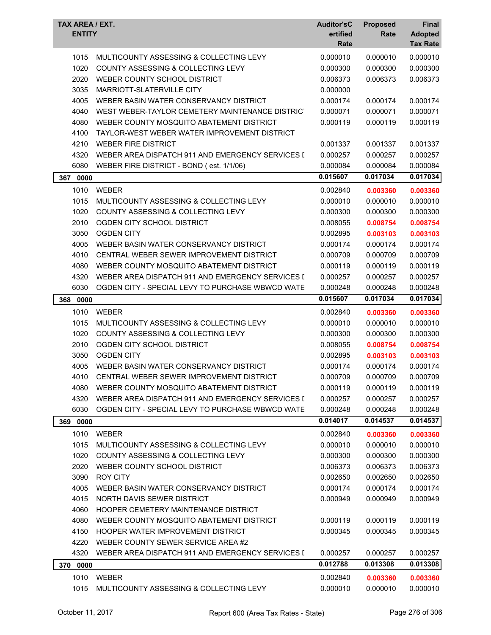| TAX AREA / EXT.<br><b>ENTITY</b> |                                                  | <b>Auditor'sC</b><br>ertified<br>Rate | <b>Proposed</b><br>Rate | Final<br><b>Adopted</b><br><b>Tax Rate</b> |
|----------------------------------|--------------------------------------------------|---------------------------------------|-------------------------|--------------------------------------------|
| 1015                             | MULTICOUNTY ASSESSING & COLLECTING LEVY          | 0.000010                              | 0.000010                | 0.000010                                   |
| 1020                             | COUNTY ASSESSING & COLLECTING LEVY               | 0.000300                              | 0.000300                | 0.000300                                   |
| 2020                             | WEBER COUNTY SCHOOL DISTRICT                     | 0.006373                              | 0.006373                | 0.006373                                   |
| 3035                             | MARRIOTT-SLATERVILLE CITY                        | 0.000000                              |                         |                                            |
| 4005                             | WEBER BASIN WATER CONSERVANCY DISTRICT           | 0.000174                              | 0.000174                | 0.000174                                   |
| 4040                             | WEST WEBER-TAYLOR CEMETERY MAINTENANCE DISTRICT  | 0.000071                              | 0.000071                | 0.000071                                   |
| 4080                             | WEBER COUNTY MOSQUITO ABATEMENT DISTRICT         | 0.000119                              | 0.000119                | 0.000119                                   |
| 4100                             | TAYLOR-WEST WEBER WATER IMPROVEMENT DISTRICT     |                                       |                         |                                            |
| 4210                             | <b>WEBER FIRE DISTRICT</b>                       | 0.001337                              | 0.001337                | 0.001337                                   |
| 4320                             | WEBER AREA DISPATCH 911 AND EMERGENCY SERVICES I | 0.000257                              | 0.000257                | 0.000257                                   |
| 6080                             | WEBER FIRE DISTRICT - BOND (est. 1/1/06)         | 0.000084                              | 0.000084                | 0.000084                                   |
| 367 0000                         |                                                  | 0.015607                              | 0.017034                | 0.017034                                   |
| 1010                             | <b>WEBER</b>                                     | 0.002840                              | 0.003360                | 0.003360                                   |
| 1015                             | MULTICOUNTY ASSESSING & COLLECTING LEVY          | 0.000010                              | 0.000010                | 0.000010                                   |
| 1020                             | <b>COUNTY ASSESSING &amp; COLLECTING LEVY</b>    | 0.000300                              | 0.000300                | 0.000300                                   |
| 2010                             | OGDEN CITY SCHOOL DISTRICT                       | 0.008055                              | 0.008754                | 0.008754                                   |
| 3050                             | <b>OGDEN CITY</b>                                | 0.002895                              | 0.003103                | 0.003103                                   |
| 4005                             | WEBER BASIN WATER CONSERVANCY DISTRICT           | 0.000174                              | 0.000174                | 0.000174                                   |
| 4010                             | CENTRAL WEBER SEWER IMPROVEMENT DISTRICT         | 0.000709                              | 0.000709                | 0.000709                                   |
| 4080                             | WEBER COUNTY MOSQUITO ABATEMENT DISTRICT         | 0.000119                              | 0.000119                | 0.000119                                   |
| 4320                             | WEBER AREA DISPATCH 911 AND EMERGENCY SERVICES I | 0.000257                              | 0.000257                | 0.000257                                   |
| 6030                             | OGDEN CITY - SPECIAL LEVY TO PURCHASE WBWCD WATE | 0.000248                              | 0.000248                | 0.000248                                   |
| 368<br>0000                      |                                                  | 0.015607                              | 0.017034                | 0.017034                                   |
| 1010                             | <b>WEBER</b>                                     | 0.002840                              | 0.003360                | 0.003360                                   |
| 1015                             | MULTICOUNTY ASSESSING & COLLECTING LEVY          | 0.000010                              | 0.000010                | 0.000010                                   |
| 1020                             | <b>COUNTY ASSESSING &amp; COLLECTING LEVY</b>    | 0.000300                              | 0.000300                | 0.000300                                   |
| 2010                             | OGDEN CITY SCHOOL DISTRICT                       | 0.008055                              | 0.008754                | 0.008754                                   |
| 3050                             | <b>OGDEN CITY</b>                                | 0.002895                              | 0.003103                | 0.003103                                   |
| 4005                             | WEBER BASIN WATER CONSERVANCY DISTRICT           | 0.000174                              | 0.000174                | 0.000174                                   |
| 4010                             | CENTRAL WEBER SEWER IMPROVEMENT DISTRICT         | 0.000709                              | 0.000709                | 0.000709                                   |
| 4080                             | WEBER COUNTY MOSQUITO ABATEMENT DISTRICT         | 0.000119                              | 0.000119                | 0.000119                                   |
| 4320                             | WEBER AREA DISPATCH 911 AND EMERGENCY SERVICES I | 0.000257                              | 0.000257                | 0.000257                                   |
| 6030                             | OGDEN CITY - SPECIAL LEVY TO PURCHASE WBWCD WATE | 0.000248                              | 0.000248                | 0.000248                                   |
| 369 0000                         |                                                  | 0.014017                              | 0.014537                | 0.014537                                   |
| 1010                             | <b>WEBER</b>                                     | 0.002840                              | 0.003360                | 0.003360                                   |
| 1015                             | MULTICOUNTY ASSESSING & COLLECTING LEVY          | 0.000010                              | 0.000010                | 0.000010                                   |
| 1020                             | COUNTY ASSESSING & COLLECTING LEVY               | 0.000300                              | 0.000300                | 0.000300                                   |
| 2020                             | WEBER COUNTY SCHOOL DISTRICT                     | 0.006373                              | 0.006373                | 0.006373                                   |
| 3090                             | <b>ROY CITY</b>                                  | 0.002650                              | 0.002650                | 0.002650                                   |
| 4005                             | WEBER BASIN WATER CONSERVANCY DISTRICT           | 0.000174                              | 0.000174                | 0.000174                                   |
| 4015                             | NORTH DAVIS SEWER DISTRICT                       | 0.000949                              | 0.000949                | 0.000949                                   |
| 4060                             | HOOPER CEMETERY MAINTENANCE DISTRICT             |                                       |                         |                                            |
| 4080                             | WEBER COUNTY MOSQUITO ABATEMENT DISTRICT         | 0.000119                              | 0.000119                | 0.000119                                   |
| 4150                             | <b>HOOPER WATER IMPROVEMENT DISTRICT</b>         | 0.000345                              | 0.000345                | 0.000345                                   |
| 4220                             | WEBER COUNTY SEWER SERVICE AREA #2               |                                       |                         |                                            |
| 4320                             | WEBER AREA DISPATCH 911 AND EMERGENCY SERVICES I | 0.000257                              | 0.000257                | 0.000257                                   |
| 370 0000                         |                                                  | 0.012788                              | 0.013308                | 0.013308                                   |
| 1010                             | <b>WEBER</b>                                     | 0.002840                              | 0.003360                | 0.003360                                   |
| 1015                             | MULTICOUNTY ASSESSING & COLLECTING LEVY          | 0.000010                              | 0.000010                | 0.000010                                   |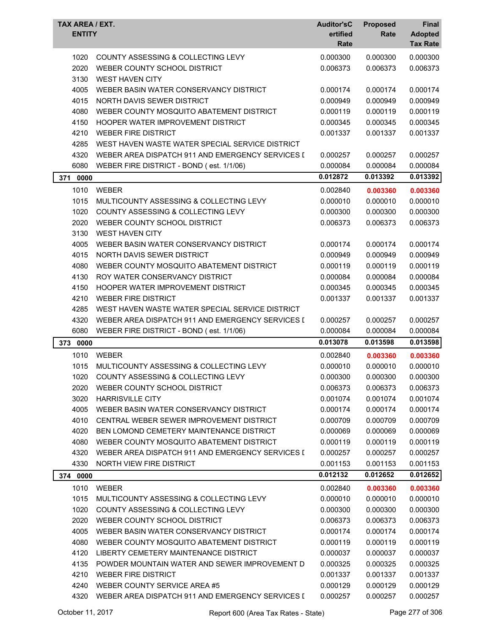| TAX AREA / EXT.<br><b>ENTITY</b> |                                                                               | <b>Auditor'sC</b><br>ertified<br>Rate | <b>Proposed</b><br>Rate | <b>Final</b><br><b>Adopted</b><br><b>Tax Rate</b> |
|----------------------------------|-------------------------------------------------------------------------------|---------------------------------------|-------------------------|---------------------------------------------------|
|                                  |                                                                               |                                       |                         |                                                   |
| 1020<br>2020                     | COUNTY ASSESSING & COLLECTING LEVY<br>WEBER COUNTY SCHOOL DISTRICT            | 0.000300<br>0.006373                  | 0.000300<br>0.006373    | 0.000300                                          |
| 3130                             | <b>WEST HAVEN CITY</b>                                                        |                                       |                         | 0.006373                                          |
|                                  |                                                                               |                                       |                         |                                                   |
| 4005<br>4015                     | WEBER BASIN WATER CONSERVANCY DISTRICT<br>NORTH DAVIS SEWER DISTRICT          | 0.000174                              | 0.000174                | 0.000174                                          |
|                                  | WEBER COUNTY MOSQUITO ABATEMENT DISTRICT                                      | 0.000949                              | 0.000949<br>0.000119    | 0.000949                                          |
| 4080                             | <b>HOOPER WATER IMPROVEMENT DISTRICT</b>                                      | 0.000119<br>0.000345                  |                         | 0.000119                                          |
| 4150                             |                                                                               |                                       | 0.000345                | 0.000345                                          |
| 4210                             | <b>WEBER FIRE DISTRICT</b><br>WEST HAVEN WASTE WATER SPECIAL SERVICE DISTRICT | 0.001337                              | 0.001337                | 0.001337                                          |
| 4285                             | WEBER AREA DISPATCH 911 AND EMERGENCY SERVICES I                              |                                       |                         |                                                   |
| 4320                             |                                                                               | 0.000257                              | 0.000257                | 0.000257                                          |
| 6080                             | WEBER FIRE DISTRICT - BOND (est. 1/1/06)                                      | 0.000084                              | 0.000084                | 0.000084                                          |
| 0000<br>371                      |                                                                               | 0.012872                              | 0.013392                | 0.013392                                          |
| 1010                             | <b>WEBER</b>                                                                  | 0.002840                              | 0.003360                | 0.003360                                          |
| 1015                             | MULTICOUNTY ASSESSING & COLLECTING LEVY                                       | 0.000010                              | 0.000010                | 0.000010                                          |
| 1020                             | COUNTY ASSESSING & COLLECTING LEVY                                            | 0.000300                              | 0.000300                | 0.000300                                          |
| 2020                             | WEBER COUNTY SCHOOL DISTRICT                                                  | 0.006373                              | 0.006373                | 0.006373                                          |
| 3130                             | <b>WEST HAVEN CITY</b>                                                        |                                       |                         |                                                   |
| 4005                             | WEBER BASIN WATER CONSERVANCY DISTRICT                                        | 0.000174                              | 0.000174                | 0.000174                                          |
| 4015                             | NORTH DAVIS SEWER DISTRICT                                                    | 0.000949                              | 0.000949                | 0.000949                                          |
| 4080                             | WEBER COUNTY MOSQUITO ABATEMENT DISTRICT                                      | 0.000119                              | 0.000119                | 0.000119                                          |
| 4130                             | ROY WATER CONSERVANCY DISTRICT                                                | 0.000084                              | 0.000084                | 0.000084                                          |
| 4150                             | HOOPER WATER IMPROVEMENT DISTRICT                                             | 0.000345                              | 0.000345                | 0.000345                                          |
| 4210                             | <b>WEBER FIRE DISTRICT</b>                                                    | 0.001337                              | 0.001337                | 0.001337                                          |
| 4285                             | WEST HAVEN WASTE WATER SPECIAL SERVICE DISTRICT                               |                                       |                         |                                                   |
| 4320                             | WEBER AREA DISPATCH 911 AND EMERGENCY SERVICES [                              | 0.000257                              | 0.000257                | 0.000257                                          |
| 6080                             | WEBER FIRE DISTRICT - BOND (est. 1/1/06)                                      | 0.000084                              | 0.000084                | 0.000084                                          |
| 373 0000                         |                                                                               | 0.013078                              | 0.013598                | 0.013598                                          |
| 1010                             | WEBER                                                                         | 0.002840                              | 0.003360                | 0.003360                                          |
| 1015                             | MULTICOUNTY ASSESSING & COLLECTING LEVY                                       | 0.000010                              | 0.000010                | 0.000010                                          |
| 1020                             | COUNTY ASSESSING & COLLECTING LEVY                                            | 0.000300                              | 0.000300                | 0.000300                                          |
| 2020                             | WEBER COUNTY SCHOOL DISTRICT                                                  | 0.006373                              | 0.006373                | 0.006373                                          |
| 3020                             | <b>HARRISVILLE CITY</b>                                                       | 0.001074                              | 0.001074                | 0.001074                                          |
| 4005                             | WEBER BASIN WATER CONSERVANCY DISTRICT                                        | 0.000174                              | 0.000174                | 0.000174                                          |
| 4010                             | CENTRAL WEBER SEWER IMPROVEMENT DISTRICT                                      | 0.000709                              | 0.000709                | 0.000709                                          |
| 4020                             | BEN LOMOND CEMETERY MAINTENANCE DISTRICT                                      | 0.000069                              | 0.000069                | 0.000069                                          |
| 4080                             | WEBER COUNTY MOSQUITO ABATEMENT DISTRICT                                      | 0.000119                              | 0.000119                | 0.000119                                          |
| 4320                             | WEBER AREA DISPATCH 911 AND EMERGENCY SERVICES I                              | 0.000257                              | 0.000257                | 0.000257                                          |
| 4330                             | NORTH VIEW FIRE DISTRICT                                                      | 0.001153                              | 0.001153                | 0.001153                                          |
| 374 0000                         |                                                                               | 0.012132                              | 0.012652                | 0.012652                                          |
| 1010                             | <b>WEBER</b>                                                                  | 0.002840                              | 0.003360                | 0.003360                                          |
| 1015                             | MULTICOUNTY ASSESSING & COLLECTING LEVY                                       | 0.000010                              | 0.000010                | 0.000010                                          |
| 1020                             | COUNTY ASSESSING & COLLECTING LEVY                                            | 0.000300                              | 0.000300                | 0.000300                                          |
| 2020                             | WEBER COUNTY SCHOOL DISTRICT                                                  | 0.006373                              | 0.006373                | 0.006373                                          |
| 4005                             | WEBER BASIN WATER CONSERVANCY DISTRICT                                        | 0.000174                              | 0.000174                | 0.000174                                          |
| 4080                             | WEBER COUNTY MOSQUITO ABATEMENT DISTRICT                                      | 0.000119                              | 0.000119                | 0.000119                                          |
| 4120                             | LIBERTY CEMETERY MAINTENANCE DISTRICT                                         | 0.000037                              | 0.000037                | 0.000037                                          |
| 4135                             | POWDER MOUNTAIN WATER AND SEWER IMPROVEMENT D                                 | 0.000325                              | 0.000325                | 0.000325                                          |
| 4210                             | <b>WEBER FIRE DISTRICT</b>                                                    | 0.001337                              | 0.001337                | 0.001337                                          |
| 4240                             | WEBER COUNTY SERVICE AREA #5                                                  | 0.000129                              | 0.000129                | 0.000129                                          |
| 4320                             | WEBER AREA DISPATCH 911 AND EMERGENCY SERVICES I                              | 0.000257                              | 0.000257                | 0.000257                                          |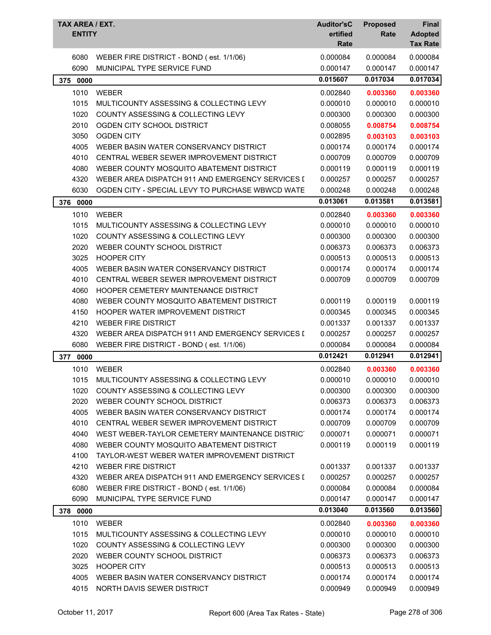| TAX AREA / EXT.<br><b>ENTITY</b> |                                                  | <b>Auditor'sC</b><br>ertified<br>Rate | <b>Proposed</b><br>Rate | Final<br><b>Adopted</b><br><b>Tax Rate</b> |
|----------------------------------|--------------------------------------------------|---------------------------------------|-------------------------|--------------------------------------------|
| 6080                             | WEBER FIRE DISTRICT - BOND (est. 1/1/06)         | 0.000084                              | 0.000084                | 0.000084                                   |
| 6090                             | MUNICIPAL TYPE SERVICE FUND                      | 0.000147                              | 0.000147                | 0.000147                                   |
| 0000<br>375                      |                                                  | 0.015607                              | 0.017034                | 0.017034                                   |
| 1010                             | <b>WEBER</b>                                     | 0.002840                              | 0.003360                | 0.003360                                   |
| 1015                             | MULTICOUNTY ASSESSING & COLLECTING LEVY          | 0.000010                              | 0.000010                | 0.000010                                   |
| 1020                             | COUNTY ASSESSING & COLLECTING LEVY               | 0.000300                              | 0.000300                | 0.000300                                   |
| 2010                             | OGDEN CITY SCHOOL DISTRICT                       | 0.008055                              | 0.008754                | 0.008754                                   |
| 3050                             | <b>OGDEN CITY</b>                                | 0.002895                              | 0.003103                | 0.003103                                   |
| 4005                             | WEBER BASIN WATER CONSERVANCY DISTRICT           | 0.000174                              | 0.000174                | 0.000174                                   |
| 4010                             | CENTRAL WEBER SEWER IMPROVEMENT DISTRICT         | 0.000709                              | 0.000709                | 0.000709                                   |
| 4080                             | WEBER COUNTY MOSQUITO ABATEMENT DISTRICT         | 0.000119                              | 0.000119                | 0.000119                                   |
| 4320                             | WEBER AREA DISPATCH 911 AND EMERGENCY SERVICES I | 0.000257                              | 0.000257                | 0.000257                                   |
| 6030                             | OGDEN CITY - SPECIAL LEVY TO PURCHASE WBWCD WATE | 0.000248                              | 0.000248                | 0.000248                                   |
| 376<br>0000                      |                                                  | 0.013061                              | 0.013581                | 0.013581                                   |
| 1010                             | <b>WEBER</b>                                     | 0.002840                              | 0.003360                | 0.003360                                   |
| 1015                             | MULTICOUNTY ASSESSING & COLLECTING LEVY          | 0.000010                              | 0.000010                | 0.000010                                   |
| 1020                             | COUNTY ASSESSING & COLLECTING LEVY               | 0.000300                              | 0.000300                | 0.000300                                   |
| 2020                             | WEBER COUNTY SCHOOL DISTRICT                     | 0.006373                              | 0.006373                | 0.006373                                   |
| 3025                             | <b>HOOPER CITY</b>                               | 0.000513                              | 0.000513                | 0.000513                                   |
| 4005                             | WEBER BASIN WATER CONSERVANCY DISTRICT           | 0.000174                              | 0.000174                | 0.000174                                   |
| 4010                             | CENTRAL WEBER SEWER IMPROVEMENT DISTRICT         | 0.000709                              | 0.000709                | 0.000709                                   |
| 4060                             | HOOPER CEMETERY MAINTENANCE DISTRICT             |                                       |                         |                                            |
| 4080                             | WEBER COUNTY MOSQUITO ABATEMENT DISTRICT         | 0.000119                              | 0.000119                | 0.000119                                   |
| 4150                             | HOOPER WATER IMPROVEMENT DISTRICT                | 0.000345                              | 0.000345                | 0.000345                                   |
| 4210                             | <b>WEBER FIRE DISTRICT</b>                       | 0.001337                              | 0.001337                | 0.001337                                   |
| 4320                             | WEBER AREA DISPATCH 911 AND EMERGENCY SERVICES I | 0.000257                              | 0.000257                | 0.000257                                   |
| 6080                             | WEBER FIRE DISTRICT - BOND (est. 1/1/06)         | 0.000084                              | 0.000084                | 0.000084                                   |
| 0000<br>377                      |                                                  | 0.012421                              | 0.012941                | 0.012941                                   |
| 1010                             | WEBER                                            | 0.002840                              | 0.003360                | 0.003360                                   |
| 1015                             | MULTICOUNTY ASSESSING & COLLECTING LEVY          | 0.000010                              | 0.000010                | 0.000010                                   |
| 1020                             | COUNTY ASSESSING & COLLECTING LEVY               | 0.000300                              | 0.000300                | 0.000300                                   |
| 2020                             | WEBER COUNTY SCHOOL DISTRICT                     | 0.006373                              | 0.006373                | 0.006373                                   |
| 4005                             | WEBER BASIN WATER CONSERVANCY DISTRICT           | 0.000174                              | 0.000174                | 0.000174                                   |
| 4010                             | CENTRAL WEBER SEWER IMPROVEMENT DISTRICT         | 0.000709                              | 0.000709                | 0.000709                                   |
| 4040                             | WEST WEBER-TAYLOR CEMETERY MAINTENANCE DISTRICT  | 0.000071                              | 0.000071                | 0.000071                                   |
| 4080                             | WEBER COUNTY MOSQUITO ABATEMENT DISTRICT         | 0.000119                              | 0.000119                | 0.000119                                   |
| 4100                             | TAYLOR-WEST WEBER WATER IMPROVEMENT DISTRICT     |                                       |                         |                                            |
| 4210                             | <b>WEBER FIRE DISTRICT</b>                       | 0.001337                              | 0.001337                | 0.001337                                   |
| 4320                             | WEBER AREA DISPATCH 911 AND EMERGENCY SERVICES I | 0.000257                              | 0.000257                | 0.000257                                   |
| 6080                             | WEBER FIRE DISTRICT - BOND (est. 1/1/06)         | 0.000084                              | 0.000084                | 0.000084                                   |
| 6090                             | MUNICIPAL TYPE SERVICE FUND                      | 0.000147                              | 0.000147                | 0.000147                                   |
| 378 0000                         |                                                  | 0.013040                              | 0.013560                | 0.013560                                   |
| 1010                             | <b>WEBER</b>                                     | 0.002840                              | 0.003360                | 0.003360                                   |
| 1015                             | MULTICOUNTY ASSESSING & COLLECTING LEVY          | 0.000010                              | 0.000010                | 0.000010                                   |
| 1020                             | COUNTY ASSESSING & COLLECTING LEVY               | 0.000300                              | 0.000300                | 0.000300                                   |
| 2020                             | WEBER COUNTY SCHOOL DISTRICT                     | 0.006373                              | 0.006373                | 0.006373                                   |
| 3025                             | <b>HOOPER CITY</b>                               | 0.000513                              | 0.000513                | 0.000513                                   |
| 4005                             | WEBER BASIN WATER CONSERVANCY DISTRICT           | 0.000174                              | 0.000174                | 0.000174                                   |
| 4015                             | NORTH DAVIS SEWER DISTRICT                       | 0.000949                              | 0.000949                | 0.000949                                   |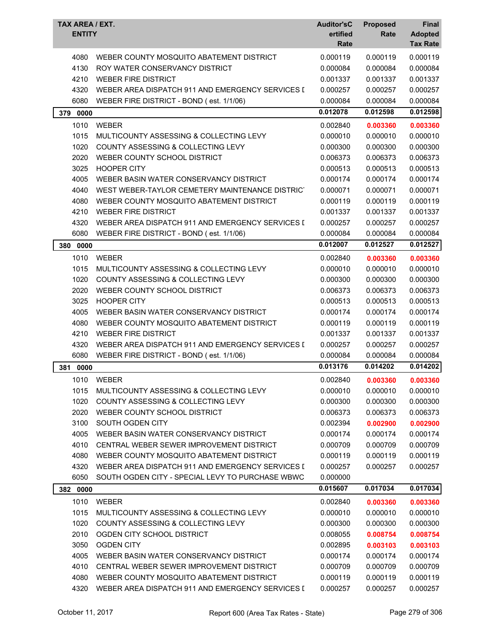| TAX AREA / EXT.<br><b>ENTITY</b> |                                                  | <b>Auditor'sC</b><br>ertified | <b>Proposed</b> | <b>Final</b>                      |
|----------------------------------|--------------------------------------------------|-------------------------------|-----------------|-----------------------------------|
|                                  |                                                  | Rate                          | Rate            | <b>Adopted</b><br><b>Tax Rate</b> |
| 4080                             | WEBER COUNTY MOSQUITO ABATEMENT DISTRICT         | 0.000119                      | 0.000119        | 0.000119                          |
| 4130                             | ROY WATER CONSERVANCY DISTRICT                   | 0.000084                      | 0.000084        | 0.000084                          |
| 4210                             | <b>WEBER FIRE DISTRICT</b>                       | 0.001337                      | 0.001337        | 0.001337                          |
| 4320                             | WEBER AREA DISPATCH 911 AND EMERGENCY SERVICES I | 0.000257                      | 0.000257        | 0.000257                          |
| 6080                             | WEBER FIRE DISTRICT - BOND (est. 1/1/06)         | 0.000084                      | 0.000084        | 0.000084                          |
| 379<br>0000                      |                                                  | 0.012078                      | 0.012598        | 0.012598                          |
| 1010                             | <b>WEBER</b>                                     | 0.002840                      | 0.003360        | 0.003360                          |
| 1015                             | MULTICOUNTY ASSESSING & COLLECTING LEVY          | 0.000010                      | 0.000010        | 0.000010                          |
| 1020                             | COUNTY ASSESSING & COLLECTING LEVY               | 0.000300                      | 0.000300        | 0.000300                          |
| 2020                             | WEBER COUNTY SCHOOL DISTRICT                     | 0.006373                      | 0.006373        | 0.006373                          |
| 3025                             | <b>HOOPER CITY</b>                               | 0.000513                      | 0.000513        | 0.000513                          |
| 4005                             | WEBER BASIN WATER CONSERVANCY DISTRICT           | 0.000174                      | 0.000174        | 0.000174                          |
| 4040                             | WEST WEBER-TAYLOR CEMETERY MAINTENANCE DISTRICT  | 0.000071                      | 0.000071        | 0.000071                          |
| 4080                             | WEBER COUNTY MOSQUITO ABATEMENT DISTRICT         | 0.000119                      | 0.000119        | 0.000119                          |
| 4210                             | <b>WEBER FIRE DISTRICT</b>                       | 0.001337                      | 0.001337        | 0.001337                          |
| 4320                             | WEBER AREA DISPATCH 911 AND EMERGENCY SERVICES I | 0.000257                      | 0.000257        | 0.000257                          |
| 6080                             | WEBER FIRE DISTRICT - BOND (est. 1/1/06)         | 0.000084                      | 0.000084        | 0.000084                          |
| 380<br>0000                      |                                                  | 0.012007                      | 0.012527        | 0.012527                          |
| 1010                             | <b>WEBER</b>                                     | 0.002840                      | 0.003360        | 0.003360                          |
| 1015                             | MULTICOUNTY ASSESSING & COLLECTING LEVY          | 0.000010                      | 0.000010        | 0.000010                          |
| 1020                             | COUNTY ASSESSING & COLLECTING LEVY               | 0.000300                      | 0.000300        | 0.000300                          |
| 2020                             | WEBER COUNTY SCHOOL DISTRICT                     | 0.006373                      | 0.006373        | 0.006373                          |
| 3025                             | <b>HOOPER CITY</b>                               | 0.000513                      | 0.000513        | 0.000513                          |
| 4005                             | WEBER BASIN WATER CONSERVANCY DISTRICT           | 0.000174                      | 0.000174        | 0.000174                          |
| 4080                             | WEBER COUNTY MOSQUITO ABATEMENT DISTRICT         | 0.000119                      | 0.000119        | 0.000119                          |
| 4210                             | <b>WEBER FIRE DISTRICT</b>                       | 0.001337                      | 0.001337        | 0.001337                          |
| 4320                             | WEBER AREA DISPATCH 911 AND EMERGENCY SERVICES I | 0.000257                      | 0.000257        | 0.000257                          |
| 6080                             | WEBER FIRE DISTRICT - BOND (est. 1/1/06)         | 0.000084                      | 0.000084        | 0.000084                          |
| 381<br>0000                      |                                                  | 0.013176                      | 0.014202        | 0.014202                          |
| 1010                             | <b>WEBER</b>                                     | 0.002840                      | 0.003360        | 0.003360                          |
| 1015                             | MULTICOUNTY ASSESSING & COLLECTING LEVY          | 0.000010                      | 0.000010        | 0.000010                          |
| 1020                             | COUNTY ASSESSING & COLLECTING LEVY               | 0.000300                      | 0.000300        | 0.000300                          |
| 2020                             | WEBER COUNTY SCHOOL DISTRICT                     | 0.006373                      | 0.006373        | 0.006373                          |
| 3100                             | SOUTH OGDEN CITY                                 | 0.002394                      | 0.002900        | 0.002900                          |
| 4005                             | WEBER BASIN WATER CONSERVANCY DISTRICT           | 0.000174                      | 0.000174        | 0.000174                          |
| 4010                             | CENTRAL WEBER SEWER IMPROVEMENT DISTRICT         | 0.000709                      | 0.000709        | 0.000709                          |
| 4080                             | WEBER COUNTY MOSQUITO ABATEMENT DISTRICT         | 0.000119                      | 0.000119        | 0.000119                          |
| 4320                             | WEBER AREA DISPATCH 911 AND EMERGENCY SERVICES I | 0.000257                      | 0.000257        | 0.000257                          |
| 6050                             | SOUTH OGDEN CITY - SPECIAL LEVY TO PURCHASE WBWC | 0.000000                      |                 |                                   |
| 382 0000                         |                                                  | 0.015607                      | 0.017034        | 0.017034                          |
| 1010                             | <b>WEBER</b>                                     | 0.002840                      | 0.003360        | 0.003360                          |
| 1015                             | MULTICOUNTY ASSESSING & COLLECTING LEVY          | 0.000010                      | 0.000010        | 0.000010                          |
| 1020                             | COUNTY ASSESSING & COLLECTING LEVY               | 0.000300                      | 0.000300        | 0.000300                          |
| 2010                             | OGDEN CITY SCHOOL DISTRICT                       | 0.008055                      | 0.008754        | 0.008754                          |
| 3050                             | <b>OGDEN CITY</b>                                | 0.002895                      | 0.003103        | 0.003103                          |
| 4005                             | WEBER BASIN WATER CONSERVANCY DISTRICT           | 0.000174                      | 0.000174        | 0.000174                          |
| 4010                             | CENTRAL WEBER SEWER IMPROVEMENT DISTRICT         | 0.000709                      | 0.000709        | 0.000709                          |
| 4080                             | WEBER COUNTY MOSQUITO ABATEMENT DISTRICT         | 0.000119                      | 0.000119        | 0.000119                          |
| 4320                             | WEBER AREA DISPATCH 911 AND EMERGENCY SERVICES I | 0.000257                      | 0.000257        | 0.000257                          |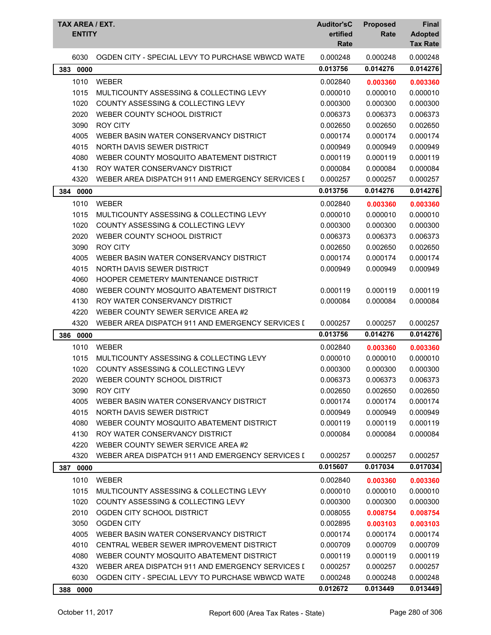| TAX AREA / EXT.<br><b>ENTITY</b> |                                                  | <b>Auditor'sC</b><br>ertified<br>Rate | <b>Proposed</b><br>Rate | <b>Final</b><br><b>Adopted</b><br><b>Tax Rate</b> |
|----------------------------------|--------------------------------------------------|---------------------------------------|-------------------------|---------------------------------------------------|
| 6030                             | OGDEN CITY - SPECIAL LEVY TO PURCHASE WBWCD WATE | 0.000248                              | 0.000248                | 0.000248                                          |
| 383 0000                         |                                                  | 0.013756                              | 0.014276                | 0.014276                                          |
| 1010                             | <b>WEBER</b>                                     | 0.002840                              | 0.003360                | 0.003360                                          |
| 1015                             | MULTICOUNTY ASSESSING & COLLECTING LEVY          | 0.000010                              | 0.000010                | 0.000010                                          |
| 1020                             | COUNTY ASSESSING & COLLECTING LEVY               | 0.000300                              | 0.000300                | 0.000300                                          |
| 2020                             | WEBER COUNTY SCHOOL DISTRICT                     | 0.006373                              | 0.006373                | 0.006373                                          |
| 3090                             | <b>ROY CITY</b>                                  | 0.002650                              | 0.002650                | 0.002650                                          |
| 4005                             | WEBER BASIN WATER CONSERVANCY DISTRICT           | 0.000174                              | 0.000174                | 0.000174                                          |
| 4015                             | NORTH DAVIS SEWER DISTRICT                       | 0.000949                              | 0.000949                | 0.000949                                          |
| 4080                             | WEBER COUNTY MOSQUITO ABATEMENT DISTRICT         | 0.000119                              | 0.000119                | 0.000119                                          |
| 4130                             | ROY WATER CONSERVANCY DISTRICT                   | 0.000084                              | 0.000084                | 0.000084                                          |
| 4320                             | WEBER AREA DISPATCH 911 AND EMERGENCY SERVICES I | 0.000257                              | 0.000257                | 0.000257                                          |
| 384<br>0000                      |                                                  | 0.013756                              | 0.014276                | 0.014276                                          |
| 1010                             | <b>WEBER</b>                                     | 0.002840                              | 0.003360                | 0.003360                                          |
| 1015                             | MULTICOUNTY ASSESSING & COLLECTING LEVY          | 0.000010                              | 0.000010                | 0.000010                                          |
| 1020                             | <b>COUNTY ASSESSING &amp; COLLECTING LEVY</b>    | 0.000300                              | 0.000300                | 0.000300                                          |
| 2020                             | WEBER COUNTY SCHOOL DISTRICT                     | 0.006373                              | 0.006373                | 0.006373                                          |
| 3090                             | <b>ROY CITY</b>                                  | 0.002650                              | 0.002650                | 0.002650                                          |
| 4005                             | WEBER BASIN WATER CONSERVANCY DISTRICT           | 0.000174                              | 0.000174                | 0.000174                                          |
| 4015                             | NORTH DAVIS SEWER DISTRICT                       | 0.000949                              | 0.000949                | 0.000949                                          |
| 4060                             | HOOPER CEMETERY MAINTENANCE DISTRICT             |                                       |                         |                                                   |
| 4080                             | WEBER COUNTY MOSQUITO ABATEMENT DISTRICT         | 0.000119                              | 0.000119                | 0.000119                                          |
| 4130                             | ROY WATER CONSERVANCY DISTRICT                   | 0.000084                              | 0.000084                | 0.000084                                          |
| 4220                             | WEBER COUNTY SEWER SERVICE AREA #2               |                                       |                         |                                                   |
| 4320                             | WEBER AREA DISPATCH 911 AND EMERGENCY SERVICES I | 0.000257                              | 0.000257                | 0.000257                                          |
| 386<br>0000                      |                                                  | 0.013756                              | 0.014276                | 0.014276                                          |
| 1010                             | <b>WEBER</b>                                     | 0.002840                              | 0.003360                | 0.003360                                          |
| 1015                             | MULTICOUNTY ASSESSING & COLLECTING LEVY          | 0.000010                              | 0.000010                | 0.000010                                          |
| 1020                             | COUNTY ASSESSING & COLLECTING LEVY               | 0.000300                              | 0.000300                | 0.000300                                          |
| 2020                             | WEBER COUNTY SCHOOL DISTRICT                     | 0.006373                              | 0.006373                | 0.006373                                          |
| 3090                             | <b>ROY CITY</b>                                  | 0.002650                              | 0.002650                | 0.002650                                          |
| 4005                             | WEBER BASIN WATER CONSERVANCY DISTRICT           | 0.000174                              | 0.000174                | 0.000174                                          |
| 4015                             | NORTH DAVIS SEWER DISTRICT                       | 0.000949                              | 0.000949                | 0.000949                                          |
| 4080                             | WEBER COUNTY MOSQUITO ABATEMENT DISTRICT         | 0.000119                              | 0.000119                | 0.000119                                          |
| 4130                             | ROY WATER CONSERVANCY DISTRICT                   | 0.000084                              | 0.000084                | 0.000084                                          |
| 4220                             | WEBER COUNTY SEWER SERVICE AREA #2               |                                       |                         |                                                   |
| 4320                             | WEBER AREA DISPATCH 911 AND EMERGENCY SERVICES I | 0.000257                              | 0.000257                | 0.000257                                          |
| 0000<br>387                      |                                                  | 0.015607                              | 0.017034                | 0.017034                                          |
| 1010                             | <b>WEBER</b>                                     | 0.002840                              | 0.003360                | 0.003360                                          |
| 1015                             | MULTICOUNTY ASSESSING & COLLECTING LEVY          | 0.000010                              | 0.000010                | 0.000010                                          |
| 1020                             | COUNTY ASSESSING & COLLECTING LEVY               | 0.000300                              | 0.000300                | 0.000300                                          |
| 2010                             | OGDEN CITY SCHOOL DISTRICT                       | 0.008055                              | 0.008754                | 0.008754                                          |
| 3050                             | <b>OGDEN CITY</b>                                | 0.002895                              | 0.003103                | 0.003103                                          |
| 4005                             | WEBER BASIN WATER CONSERVANCY DISTRICT           | 0.000174                              | 0.000174                | 0.000174                                          |
| 4010                             | CENTRAL WEBER SEWER IMPROVEMENT DISTRICT         | 0.000709                              | 0.000709                | 0.000709                                          |
| 4080                             | WEBER COUNTY MOSQUITO ABATEMENT DISTRICT         | 0.000119                              | 0.000119                | 0.000119                                          |
| 4320                             | WEBER AREA DISPATCH 911 AND EMERGENCY SERVICES I | 0.000257                              | 0.000257                | 0.000257                                          |
| 6030                             | OGDEN CITY - SPECIAL LEVY TO PURCHASE WBWCD WATE | 0.000248                              | 0.000248                | 0.000248                                          |
| 388 0000                         |                                                  | 0.012672                              | 0.013449                | 0.013449                                          |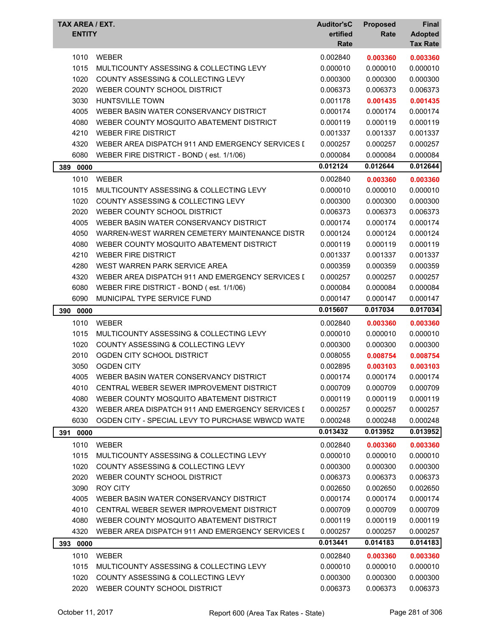|              | TAX AREA / EXT.<br><b>ENTITY</b>                                               | <b>Auditor'sC</b><br>ertified<br>Rate | <b>Proposed</b><br>Rate | <b>Final</b><br><b>Adopted</b><br><b>Tax Rate</b> |
|--------------|--------------------------------------------------------------------------------|---------------------------------------|-------------------------|---------------------------------------------------|
|              |                                                                                |                                       |                         |                                                   |
| 1010<br>1015 | <b>WEBER</b>                                                                   | 0.002840<br>0.000010                  | 0.003360                | 0.003360                                          |
|              | MULTICOUNTY ASSESSING & COLLECTING LEVY                                        |                                       | 0.000010                | 0.000010                                          |
| 1020         | COUNTY ASSESSING & COLLECTING LEVY                                             | 0.000300                              | 0.000300                | 0.000300                                          |
| 2020         | WEBER COUNTY SCHOOL DISTRICT                                                   | 0.006373                              | 0.006373                | 0.006373                                          |
| 3030         | <b>HUNTSVILLE TOWN</b><br>WEBER BASIN WATER CONSERVANCY DISTRICT               | 0.001178                              | 0.001435                | 0.001435                                          |
| 4005         |                                                                                | 0.000174                              | 0.000174                | 0.000174<br>0.000119                              |
| 4080         | WEBER COUNTY MOSQUITO ABATEMENT DISTRICT                                       | 0.000119                              | 0.000119                | 0.001337                                          |
| 4210<br>4320 | <b>WEBER FIRE DISTRICT</b><br>WEBER AREA DISPATCH 911 AND EMERGENCY SERVICES I | 0.001337<br>0.000257                  | 0.001337<br>0.000257    | 0.000257                                          |
| 6080         | WEBER FIRE DISTRICT - BOND (est. 1/1/06)                                       | 0.000084                              | 0.000084                | 0.000084                                          |
|              |                                                                                | 0.012124                              | 0.012644                | 0.012644                                          |
| 389 0000     |                                                                                |                                       |                         |                                                   |
| 1010         | <b>WEBER</b>                                                                   | 0.002840                              | 0.003360                | 0.003360                                          |
| 1015         | MULTICOUNTY ASSESSING & COLLECTING LEVY                                        | 0.000010                              | 0.000010                | 0.000010                                          |
| 1020         | COUNTY ASSESSING & COLLECTING LEVY                                             | 0.000300                              | 0.000300                | 0.000300                                          |
| 2020         | WEBER COUNTY SCHOOL DISTRICT                                                   | 0.006373                              | 0.006373                | 0.006373                                          |
| 4005         | WEBER BASIN WATER CONSERVANCY DISTRICT                                         | 0.000174                              | 0.000174                | 0.000174                                          |
| 4050         | WARREN-WEST WARREN CEMETERY MAINTENANCE DISTR                                  | 0.000124                              | 0.000124                | 0.000124                                          |
| 4080         | WEBER COUNTY MOSQUITO ABATEMENT DISTRICT                                       | 0.000119                              | 0.000119                | 0.000119                                          |
| 4210         | <b>WEBER FIRE DISTRICT</b>                                                     | 0.001337                              | 0.001337                | 0.001337                                          |
| 4280         | WEST WARREN PARK SERVICE AREA                                                  | 0.000359                              | 0.000359                | 0.000359                                          |
| 4320         | WEBER AREA DISPATCH 911 AND EMERGENCY SERVICES I                               | 0.000257                              | 0.000257                | 0.000257                                          |
| 6080         | WEBER FIRE DISTRICT - BOND (est. 1/1/06)                                       | 0.000084                              | 0.000084                | 0.000084                                          |
| 6090         | MUNICIPAL TYPE SERVICE FUND                                                    | 0.000147                              | 0.000147                | 0.000147                                          |
| 390<br>0000  |                                                                                | 0.015607                              | 0.017034                | 0.017034                                          |
| 1010         | <b>WEBER</b>                                                                   | 0.002840                              | 0.003360                | 0.003360                                          |
| 1015         | MULTICOUNTY ASSESSING & COLLECTING LEVY                                        | 0.000010                              | 0.000010                | 0.000010                                          |
| 1020         | COUNTY ASSESSING & COLLECTING LEVY                                             | 0.000300                              | 0.000300                | 0.000300                                          |
| 2010         | OGDEN CITY SCHOOL DISTRICT                                                     | 0.008055                              | 0.008754                | 0.008754                                          |
| 3050         | <b>OGDEN CITY</b>                                                              |                                       |                         |                                                   |
|              |                                                                                | 0.002895                              | 0.003103                | 0.003103                                          |
| 4005         | WEBER BASIN WATER CONSERVANCY DISTRICT                                         | 0.000174                              | 0.000174                | 0.000174                                          |
| 4010         | CENTRAL WEBER SEWER IMPROVEMENT DISTRICT                                       | 0.000709                              | 0.000709                | 0.000709                                          |
| 4080         | WEBER COUNTY MOSQUITO ABATEMENT DISTRICT                                       | 0.000119                              | 0.000119                | 0.000119                                          |
| 4320         | WEBER AREA DISPATCH 911 AND EMERGENCY SERVICES I                               | 0.000257                              | 0.000257                | 0.000257                                          |
| 6030         | OGDEN CITY - SPECIAL LEVY TO PURCHASE WBWCD WATE                               | 0.000248                              | 0.000248                | 0.000248                                          |
| 391 0000     |                                                                                | 0.013432                              | 0.013952                | 0.013952                                          |
| 1010         | <b>WEBER</b>                                                                   | 0.002840                              | 0.003360                | 0.003360                                          |
| 1015         | MULTICOUNTY ASSESSING & COLLECTING LEVY                                        | 0.000010                              | 0.000010                | 0.000010                                          |
| 1020         | COUNTY ASSESSING & COLLECTING LEVY                                             | 0.000300                              | 0.000300                | 0.000300                                          |
| 2020         | WEBER COUNTY SCHOOL DISTRICT                                                   | 0.006373                              | 0.006373                | 0.006373                                          |
| 3090         | <b>ROY CITY</b>                                                                | 0.002650                              | 0.002650                | 0.002650                                          |
| 4005         | WEBER BASIN WATER CONSERVANCY DISTRICT                                         | 0.000174                              | 0.000174                | 0.000174                                          |
| 4010         | CENTRAL WEBER SEWER IMPROVEMENT DISTRICT                                       | 0.000709                              | 0.000709                | 0.000709                                          |
| 4080         | WEBER COUNTY MOSQUITO ABATEMENT DISTRICT                                       | 0.000119                              | 0.000119                | 0.000119                                          |
| 4320         | WEBER AREA DISPATCH 911 AND EMERGENCY SERVICES I                               | 0.000257                              | 0.000257                | 0.000257                                          |
| 393 0000     |                                                                                | 0.013441                              | 0.014183                | 0.014183                                          |
|              |                                                                                |                                       |                         |                                                   |
| 1010<br>1015 | <b>WEBER</b><br>MULTICOUNTY ASSESSING & COLLECTING LEVY                        | 0.002840<br>0.000010                  | 0.003360                | 0.003360                                          |
| 1020         | COUNTY ASSESSING & COLLECTING LEVY                                             | 0.000300                              | 0.000010<br>0.000300    | 0.000010<br>0.000300                              |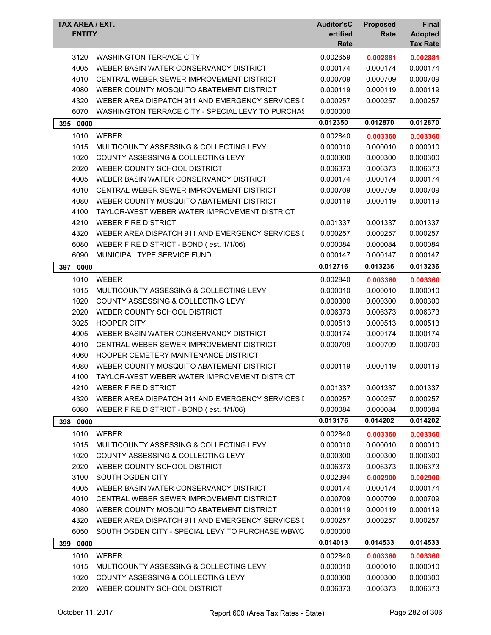| TAX AREA / EXT.<br><b>ENTITY</b> |                                                   | <b>Auditor'sC</b><br>ertified<br>Rate | <b>Proposed</b><br>Rate | Final<br><b>Adopted</b><br><b>Tax Rate</b> |
|----------------------------------|---------------------------------------------------|---------------------------------------|-------------------------|--------------------------------------------|
| 3120                             | <b>WASHINGTON TERRACE CITY</b>                    | 0.002659                              | 0.002881                | 0.002881                                   |
| 4005                             | WEBER BASIN WATER CONSERVANCY DISTRICT            | 0.000174                              | 0.000174                | 0.000174                                   |
| 4010                             | CENTRAL WEBER SEWER IMPROVEMENT DISTRICT          | 0.000709                              | 0.000709                | 0.000709                                   |
| 4080                             | WEBER COUNTY MOSQUITO ABATEMENT DISTRICT          | 0.000119                              | 0.000119                | 0.000119                                   |
| 4320                             | WEBER AREA DISPATCH 911 AND EMERGENCY SERVICES I  | 0.000257                              | 0.000257                | 0.000257                                   |
| 6070                             | WASHINGTON TERRACE CITY - SPECIAL LEVY TO PURCHAS | 0.000000                              |                         |                                            |
| 395 0000                         |                                                   | 0.012350                              | 0.012870                | 0.012870                                   |
| 1010                             | <b>WEBER</b>                                      | 0.002840                              | 0.003360                | 0.003360                                   |
| 1015                             | MULTICOUNTY ASSESSING & COLLECTING LEVY           | 0.000010                              | 0.000010                | 0.000010                                   |
| 1020                             | COUNTY ASSESSING & COLLECTING LEVY                | 0.000300                              | 0.000300                | 0.000300                                   |
| 2020                             | WEBER COUNTY SCHOOL DISTRICT                      | 0.006373                              | 0.006373                | 0.006373                                   |
| 4005                             | WEBER BASIN WATER CONSERVANCY DISTRICT            | 0.000174                              | 0.000174                | 0.000174                                   |
| 4010                             | CENTRAL WEBER SEWER IMPROVEMENT DISTRICT          | 0.000709                              | 0.000709                | 0.000709                                   |
| 4080                             | WEBER COUNTY MOSQUITO ABATEMENT DISTRICT          | 0.000119                              | 0.000119                | 0.000119                                   |
| 4100                             | TAYLOR-WEST WEBER WATER IMPROVEMENT DISTRICT      |                                       |                         |                                            |
| 4210                             | <b>WEBER FIRE DISTRICT</b>                        | 0.001337                              | 0.001337                | 0.001337                                   |
| 4320                             | WEBER AREA DISPATCH 911 AND EMERGENCY SERVICES I  | 0.000257                              | 0.000257                | 0.000257                                   |
| 6080                             | WEBER FIRE DISTRICT - BOND (est. 1/1/06)          | 0.000084                              | 0.000084                | 0.000084                                   |
| 6090                             | MUNICIPAL TYPE SERVICE FUND                       | 0.000147                              | 0.000147                | 0.000147                                   |
| 397<br>0000                      |                                                   | 0.012716                              | 0.013236                | 0.013236                                   |
| 1010                             | <b>WEBER</b>                                      | 0.002840                              | 0.003360                | 0.003360                                   |
| 1015                             | MULTICOUNTY ASSESSING & COLLECTING LEVY           | 0.000010                              | 0.000010                | 0.000010                                   |
| 1020                             | COUNTY ASSESSING & COLLECTING LEVY                | 0.000300                              | 0.000300                | 0.000300                                   |
| 2020                             | WEBER COUNTY SCHOOL DISTRICT                      | 0.006373                              | 0.006373                | 0.006373                                   |
| 3025                             | <b>HOOPER CITY</b>                                | 0.000513                              | 0.000513                | 0.000513                                   |
| 4005                             | WEBER BASIN WATER CONSERVANCY DISTRICT            | 0.000174                              | 0.000174                | 0.000174                                   |
| 4010                             | CENTRAL WEBER SEWER IMPROVEMENT DISTRICT          | 0.000709                              | 0.000709                | 0.000709                                   |
| 4060                             | <b>HOOPER CEMETERY MAINTENANCE DISTRICT</b>       |                                       |                         |                                            |
| 4080                             | WEBER COUNTY MOSQUITO ABATEMENT DISTRICT          | 0.000119                              | 0.000119                | 0.000119                                   |
| 4100                             | TAYLOR-WEST WEBER WATER IMPROVEMENT DISTRICT      |                                       |                         |                                            |
| 4210                             | <b>WEBER FIRE DISTRICT</b>                        | 0.001337                              | 0.001337                | 0.001337                                   |
| 4320                             | WEBER AREA DISPATCH 911 AND EMERGENCY SERVICES I  | 0.000257                              | 0.000257                | 0.000257                                   |
| 6080                             | WEBER FIRE DISTRICT - BOND (est. 1/1/06)          | 0.000084                              | 0.000084                | 0.000084                                   |
| 398 0000                         |                                                   | 0.013176                              | 0.014202                | 0.014202                                   |
| 1010                             | WEBER                                             | 0.002840                              | 0.003360                |                                            |
|                                  |                                                   |                                       |                         | 0.003360                                   |
| 1015                             | MULTICOUNTY ASSESSING & COLLECTING LEVY           | 0.000010                              | 0.000010                | 0.000010                                   |
| 1020                             | COUNTY ASSESSING & COLLECTING LEVY                | 0.000300                              | 0.000300                | 0.000300                                   |
| 2020                             | WEBER COUNTY SCHOOL DISTRICT                      | 0.006373                              | 0.006373                | 0.006373                                   |
| 3100                             | SOUTH OGDEN CITY                                  | 0.002394                              | 0.002900                | 0.002900                                   |
| 4005                             | WEBER BASIN WATER CONSERVANCY DISTRICT            | 0.000174                              | 0.000174                | 0.000174                                   |
| 4010                             | CENTRAL WEBER SEWER IMPROVEMENT DISTRICT          | 0.000709                              | 0.000709                | 0.000709                                   |
| 4080                             | WEBER COUNTY MOSQUITO ABATEMENT DISTRICT          | 0.000119                              | 0.000119                | 0.000119                                   |
| 4320                             | WEBER AREA DISPATCH 911 AND EMERGENCY SERVICES I  | 0.000257                              | 0.000257                | 0.000257                                   |
| 6050                             | SOUTH OGDEN CITY - SPECIAL LEVY TO PURCHASE WBWC  | 0.000000                              |                         |                                            |
| 0000<br>399                      |                                                   | 0.014013                              | 0.014533                | 0.014533                                   |
| 1010                             | WEBER                                             | 0.002840                              | 0.003360                | 0.003360                                   |
| 1015                             | MULTICOUNTY ASSESSING & COLLECTING LEVY           | 0.000010                              | 0.000010                | 0.000010                                   |
| 1020                             | COUNTY ASSESSING & COLLECTING LEVY                | 0.000300                              | 0.000300                | 0.000300                                   |
| 2020                             | WEBER COUNTY SCHOOL DISTRICT                      | 0.006373                              | 0.006373                | 0.006373                                   |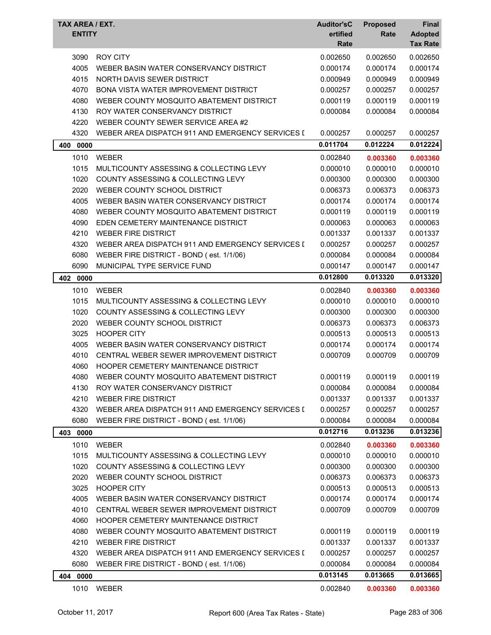| TAX AREA / EXT.<br><b>ENTITY</b> |                                                  | <b>Auditor'sC</b><br>ertified<br>Rate | <b>Proposed</b><br>Rate | Final<br><b>Adopted</b><br><b>Tax Rate</b> |
|----------------------------------|--------------------------------------------------|---------------------------------------|-------------------------|--------------------------------------------|
| 3090                             | <b>ROY CITY</b>                                  | 0.002650                              | 0.002650                | 0.002650                                   |
| 4005                             | WEBER BASIN WATER CONSERVANCY DISTRICT           | 0.000174                              | 0.000174                | 0.000174                                   |
| 4015                             | NORTH DAVIS SEWER DISTRICT                       | 0.000949                              | 0.000949                | 0.000949                                   |
| 4070                             | BONA VISTA WATER IMPROVEMENT DISTRICT            | 0.000257                              | 0.000257                | 0.000257                                   |
| 4080                             | WEBER COUNTY MOSQUITO ABATEMENT DISTRICT         | 0.000119                              | 0.000119                | 0.000119                                   |
| 4130                             | ROY WATER CONSERVANCY DISTRICT                   | 0.000084                              | 0.000084                | 0.000084                                   |
| 4220                             | WEBER COUNTY SEWER SERVICE AREA #2               |                                       |                         |                                            |
| 4320                             | WEBER AREA DISPATCH 911 AND EMERGENCY SERVICES I | 0.000257                              | 0.000257                | 0.000257                                   |
| 400<br>0000                      |                                                  | 0.011704                              | 0.012224                | 0.012224                                   |
| 1010                             | <b>WEBER</b>                                     | 0.002840                              | 0.003360                | 0.003360                                   |
| 1015                             | MULTICOUNTY ASSESSING & COLLECTING LEVY          | 0.000010                              | 0.000010                | 0.000010                                   |
| 1020                             | <b>COUNTY ASSESSING &amp; COLLECTING LEVY</b>    | 0.000300                              | 0.000300                | 0.000300                                   |
| 2020                             | WEBER COUNTY SCHOOL DISTRICT                     | 0.006373                              | 0.006373                | 0.006373                                   |
| 4005                             | WEBER BASIN WATER CONSERVANCY DISTRICT           | 0.000174                              | 0.000174                | 0.000174                                   |
| 4080                             | WEBER COUNTY MOSQUITO ABATEMENT DISTRICT         | 0.000119                              | 0.000119                | 0.000119                                   |
| 4090                             | EDEN CEMETERY MAINTENANCE DISTRICT               | 0.000063                              | 0.000063                | 0.000063                                   |
| 4210                             | <b>WEBER FIRE DISTRICT</b>                       | 0.001337                              | 0.001337                | 0.001337                                   |
| 4320                             | WEBER AREA DISPATCH 911 AND EMERGENCY SERVICES I | 0.000257                              | 0.000257                | 0.000257                                   |
| 6080                             | WEBER FIRE DISTRICT - BOND (est. 1/1/06)         | 0.000084                              | 0.000084                | 0.000084                                   |
| 6090                             | MUNICIPAL TYPE SERVICE FUND                      | 0.000147                              | 0.000147                | 0.000147                                   |
| 402 0000                         |                                                  | 0.012800                              | 0.013320                | 0.013320                                   |
| 1010                             | <b>WEBER</b>                                     | 0.002840                              | 0.003360                | 0.003360                                   |
| 1015                             | MULTICOUNTY ASSESSING & COLLECTING LEVY          | 0.000010                              | 0.000010                | 0.000010                                   |
| 1020                             | <b>COUNTY ASSESSING &amp; COLLECTING LEVY</b>    | 0.000300                              | 0.000300                | 0.000300                                   |
| 2020                             | WEBER COUNTY SCHOOL DISTRICT                     | 0.006373                              | 0.006373                | 0.006373                                   |
| 3025                             | <b>HOOPER CITY</b>                               | 0.000513                              | 0.000513                | 0.000513                                   |
| 4005                             | WEBER BASIN WATER CONSERVANCY DISTRICT           | 0.000174                              | 0.000174                | 0.000174                                   |
| 4010                             | CENTRAL WEBER SEWER IMPROVEMENT DISTRICT         | 0.000709                              | 0.000709                | 0.000709                                   |
| 4060                             | HOOPER CEMETERY MAINTENANCE DISTRICT             |                                       |                         |                                            |
| 4080                             | WEBER COUNTY MOSQUITO ABATEMENT DISTRICT         | 0.000119                              | 0.000119                | 0.000119                                   |
| 4130                             | ROY WATER CONSERVANCY DISTRICT                   | 0.000084                              | 0.000084                | 0.000084                                   |
| 4210                             | <b>WEBER FIRE DISTRICT</b>                       | 0.001337                              | 0.001337                | 0.001337                                   |
| 4320                             | WEBER AREA DISPATCH 911 AND EMERGENCY SERVICES I | 0.000257                              | 0.000257                | 0.000257                                   |
| 6080                             | WEBER FIRE DISTRICT - BOND (est. 1/1/06)         | 0.000084                              | 0.000084                | 0.000084                                   |
| 403 0000                         |                                                  | 0.012716                              | 0.013236                | 0.013236                                   |
| 1010                             | <b>WEBER</b>                                     | 0.002840                              | 0.003360                | 0.003360                                   |
| 1015                             | MULTICOUNTY ASSESSING & COLLECTING LEVY          | 0.000010                              | 0.000010                | 0.000010                                   |
| 1020                             | COUNTY ASSESSING & COLLECTING LEVY               | 0.000300                              | 0.000300                | 0.000300                                   |
| 2020                             | WEBER COUNTY SCHOOL DISTRICT                     | 0.006373                              | 0.006373                | 0.006373                                   |
| 3025                             | <b>HOOPER CITY</b>                               | 0.000513                              | 0.000513                | 0.000513                                   |
| 4005                             | WEBER BASIN WATER CONSERVANCY DISTRICT           | 0.000174                              | 0.000174                | 0.000174                                   |
| 4010                             | CENTRAL WEBER SEWER IMPROVEMENT DISTRICT         | 0.000709                              | 0.000709                | 0.000709                                   |
| 4060                             | HOOPER CEMETERY MAINTENANCE DISTRICT             |                                       |                         |                                            |
| 4080                             | WEBER COUNTY MOSQUITO ABATEMENT DISTRICT         | 0.000119                              | 0.000119                | 0.000119                                   |
| 4210                             | <b>WEBER FIRE DISTRICT</b>                       | 0.001337                              | 0.001337                | 0.001337                                   |
| 4320                             | WEBER AREA DISPATCH 911 AND EMERGENCY SERVICES I | 0.000257                              | 0.000257                | 0.000257                                   |
| 6080                             | WEBER FIRE DISTRICT - BOND (est. 1/1/06)         | 0.000084                              | 0.000084                | 0.000084                                   |
| 404 0000                         |                                                  | 0.013145                              | 0.013665                | 0.013665                                   |
| 1010                             | WEBER                                            | 0.002840                              | 0.003360                | 0.003360                                   |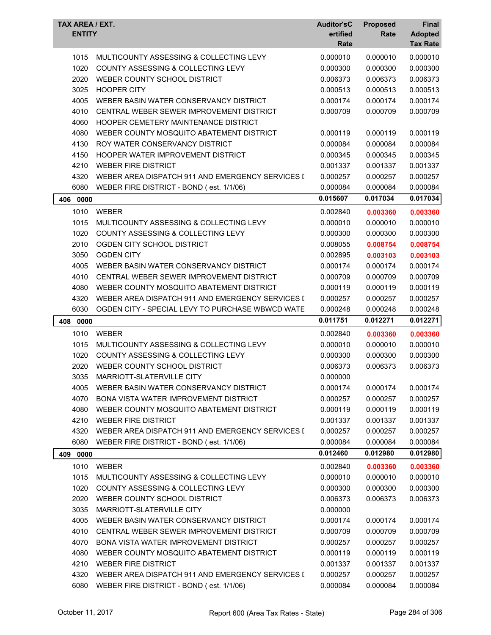| TAX AREA / EXT.<br><b>ENTITY</b> |                                                  | <b>Auditor'sC</b><br>ertified<br>Rate | <b>Proposed</b><br>Rate | Final<br><b>Adopted</b><br><b>Tax Rate</b> |
|----------------------------------|--------------------------------------------------|---------------------------------------|-------------------------|--------------------------------------------|
| 1015                             | MULTICOUNTY ASSESSING & COLLECTING LEVY          | 0.000010                              | 0.000010                | 0.000010                                   |
| 1020                             | COUNTY ASSESSING & COLLECTING LEVY               | 0.000300                              | 0.000300                | 0.000300                                   |
| 2020                             | WEBER COUNTY SCHOOL DISTRICT                     | 0.006373                              | 0.006373                | 0.006373                                   |
| 3025                             | <b>HOOPER CITY</b>                               | 0.000513                              | 0.000513                | 0.000513                                   |
| 4005                             | WEBER BASIN WATER CONSERVANCY DISTRICT           | 0.000174                              | 0.000174                | 0.000174                                   |
| 4010                             | CENTRAL WEBER SEWER IMPROVEMENT DISTRICT         | 0.000709                              | 0.000709                | 0.000709                                   |
| 4060                             | HOOPER CEMETERY MAINTENANCE DISTRICT             |                                       |                         |                                            |
| 4080                             | WEBER COUNTY MOSQUITO ABATEMENT DISTRICT         | 0.000119                              | 0.000119                | 0.000119                                   |
| 4130                             | ROY WATER CONSERVANCY DISTRICT                   | 0.000084                              | 0.000084                | 0.000084                                   |
| 4150                             | HOOPER WATER IMPROVEMENT DISTRICT                | 0.000345                              | 0.000345                | 0.000345                                   |
| 4210                             | <b>WEBER FIRE DISTRICT</b>                       | 0.001337                              | 0.001337                | 0.001337                                   |
| 4320                             | WEBER AREA DISPATCH 911 AND EMERGENCY SERVICES I | 0.000257                              | 0.000257                | 0.000257                                   |
| 6080                             | WEBER FIRE DISTRICT - BOND (est. 1/1/06)         | 0.000084                              | 0.000084                | 0.000084                                   |
| 406 0000                         |                                                  | 0.015607                              | 0.017034                | 0.017034                                   |
| 1010                             | <b>WEBER</b>                                     | 0.002840                              | 0.003360                | 0.003360                                   |
| 1015                             | MULTICOUNTY ASSESSING & COLLECTING LEVY          | 0.000010                              | 0.000010                | 0.000010                                   |
| 1020                             | COUNTY ASSESSING & COLLECTING LEVY               | 0.000300                              | 0.000300                | 0.000300                                   |
| 2010                             | OGDEN CITY SCHOOL DISTRICT                       | 0.008055                              | 0.008754                | 0.008754                                   |
| 3050                             | <b>OGDEN CITY</b>                                | 0.002895                              | 0.003103                | 0.003103                                   |
| 4005                             | WEBER BASIN WATER CONSERVANCY DISTRICT           | 0.000174                              | 0.000174                | 0.000174                                   |
| 4010                             | CENTRAL WEBER SEWER IMPROVEMENT DISTRICT         | 0.000709                              | 0.000709                | 0.000709                                   |
| 4080                             | WEBER COUNTY MOSQUITO ABATEMENT DISTRICT         | 0.000119                              | 0.000119                | 0.000119                                   |
| 4320                             | WEBER AREA DISPATCH 911 AND EMERGENCY SERVICES I | 0.000257                              | 0.000257                | 0.000257                                   |
| 6030                             | OGDEN CITY - SPECIAL LEVY TO PURCHASE WBWCD WATE | 0.000248                              | 0.000248                | 0.000248                                   |
| 408 0000                         |                                                  | 0.011751                              | 0.012271                | 0.012271                                   |
| 1010                             | <b>WEBER</b>                                     | 0.002840                              | 0.003360                | 0.003360                                   |
| 1015                             | MULTICOUNTY ASSESSING & COLLECTING LEVY          | 0.000010                              | 0.000010                | 0.000010                                   |
| 1020                             | COUNTY ASSESSING & COLLECTING LEVY               | 0.000300                              | 0.000300                | 0.000300                                   |
| 2020                             | WEBER COUNTY SCHOOL DISTRICT                     | 0.006373                              | 0.006373                | 0.006373                                   |
| 3035                             | MARRIOTT-SLATERVILLE CITY                        | 0.000000                              |                         |                                            |
| 4005                             | WEBER BASIN WATER CONSERVANCY DISTRICT           | 0.000174                              | 0.000174                | 0.000174                                   |
| 4070                             | BONA VISTA WATER IMPROVEMENT DISTRICT            | 0.000257                              | 0.000257                | 0.000257                                   |
| 4080                             | WEBER COUNTY MOSQUITO ABATEMENT DISTRICT         | 0.000119                              | 0.000119                | 0.000119                                   |
| 4210                             | <b>WEBER FIRE DISTRICT</b>                       | 0.001337                              | 0.001337                | 0.001337                                   |
| 4320                             | WEBER AREA DISPATCH 911 AND EMERGENCY SERVICES I | 0.000257                              | 0.000257                | 0.000257                                   |
| 6080                             | WEBER FIRE DISTRICT - BOND (est. 1/1/06)         | 0.000084                              | 0.000084                | 0.000084                                   |
| 409 0000                         |                                                  | 0.012460                              | 0.012980                | 0.012980                                   |
| 1010                             | <b>WEBER</b>                                     | 0.002840                              | 0.003360                | 0.003360                                   |
| 1015                             | MULTICOUNTY ASSESSING & COLLECTING LEVY          | 0.000010                              | 0.000010                | 0.000010                                   |
| 1020                             | COUNTY ASSESSING & COLLECTING LEVY               | 0.000300                              | 0.000300                | 0.000300                                   |
| 2020                             | WEBER COUNTY SCHOOL DISTRICT                     | 0.006373                              | 0.006373                | 0.006373                                   |
| 3035                             | MARRIOTT-SLATERVILLE CITY                        | 0.000000                              |                         |                                            |
| 4005                             | WEBER BASIN WATER CONSERVANCY DISTRICT           | 0.000174                              | 0.000174                | 0.000174                                   |
| 4010                             | CENTRAL WEBER SEWER IMPROVEMENT DISTRICT         | 0.000709                              | 0.000709                | 0.000709                                   |
| 4070                             | <b>BONA VISTA WATER IMPROVEMENT DISTRICT</b>     | 0.000257                              | 0.000257                | 0.000257                                   |
| 4080                             | WEBER COUNTY MOSQUITO ABATEMENT DISTRICT         | 0.000119                              | 0.000119                | 0.000119                                   |
| 4210                             | <b>WEBER FIRE DISTRICT</b>                       | 0.001337                              | 0.001337                | 0.001337                                   |
| 4320                             | WEBER AREA DISPATCH 911 AND EMERGENCY SERVICES I | 0.000257                              | 0.000257                | 0.000257                                   |
| 6080                             | WEBER FIRE DISTRICT - BOND (est. 1/1/06)         | 0.000084                              | 0.000084                | 0.000084                                   |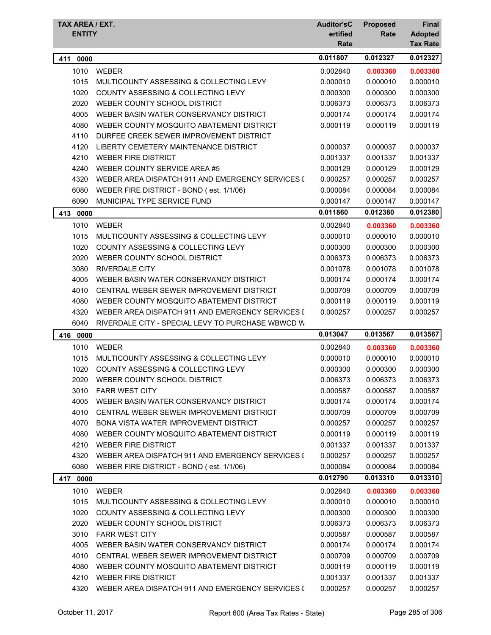| TAX AREA / EXT.<br><b>ENTITY</b> |                                                   | <b>Auditor'sC</b><br>ertified<br>Rate | <b>Proposed</b><br>Rate | Final<br><b>Adopted</b><br><b>Tax Rate</b> |
|----------------------------------|---------------------------------------------------|---------------------------------------|-------------------------|--------------------------------------------|
| 411<br>0000                      |                                                   | 0.011807                              | 0.012327                | 0.012327                                   |
| 1010                             | <b>WEBER</b>                                      | 0.002840                              | 0.003360                | 0.003360                                   |
| 1015                             | MULTICOUNTY ASSESSING & COLLECTING LEVY           | 0.000010                              | 0.000010                | 0.000010                                   |
| 1020                             | COUNTY ASSESSING & COLLECTING LEVY                | 0.000300                              | 0.000300                | 0.000300                                   |
| 2020                             | WEBER COUNTY SCHOOL DISTRICT                      | 0.006373                              | 0.006373                | 0.006373                                   |
| 4005                             | WEBER BASIN WATER CONSERVANCY DISTRICT            | 0.000174                              | 0.000174                | 0.000174                                   |
| 4080                             | WEBER COUNTY MOSQUITO ABATEMENT DISTRICT          | 0.000119                              | 0.000119                | 0.000119                                   |
| 4110                             | DURFEE CREEK SEWER IMPROVEMENT DISTRICT           |                                       |                         |                                            |
| 4120                             | LIBERTY CEMETERY MAINTENANCE DISTRICT             | 0.000037                              | 0.000037                | 0.000037                                   |
| 4210                             | <b>WEBER FIRE DISTRICT</b>                        | 0.001337                              | 0.001337                | 0.001337                                   |
| 4240                             | WEBER COUNTY SERVICE AREA #5                      | 0.000129                              | 0.000129                | 0.000129                                   |
| 4320                             | WEBER AREA DISPATCH 911 AND EMERGENCY SERVICES I  | 0.000257                              | 0.000257                | 0.000257                                   |
| 6080                             | WEBER FIRE DISTRICT - BOND (est. 1/1/06)          | 0.000084                              | 0.000084                | 0.000084                                   |
| 6090                             | MUNICIPAL TYPE SERVICE FUND                       | 0.000147                              | 0.000147                | 0.000147                                   |
| 413<br>0000                      |                                                   | 0.011860                              | 0.012380                | 0.012380                                   |
| 1010                             | <b>WEBER</b>                                      | 0.002840                              | 0.003360                | 0.003360                                   |
| 1015                             | MULTICOUNTY ASSESSING & COLLECTING LEVY           | 0.000010                              | 0.000010                | 0.000010                                   |
| 1020                             | <b>COUNTY ASSESSING &amp; COLLECTING LEVY</b>     | 0.000300                              | 0.000300                | 0.000300                                   |
| 2020                             | WEBER COUNTY SCHOOL DISTRICT                      | 0.006373                              | 0.006373                | 0.006373                                   |
| 3080                             | <b>RIVERDALE CITY</b>                             | 0.001078                              | 0.001078                | 0.001078                                   |
| 4005                             | WEBER BASIN WATER CONSERVANCY DISTRICT            | 0.000174                              | 0.000174                | 0.000174                                   |
| 4010                             | CENTRAL WEBER SEWER IMPROVEMENT DISTRICT          | 0.000709                              | 0.000709                | 0.000709                                   |
| 4080                             | WEBER COUNTY MOSQUITO ABATEMENT DISTRICT          | 0.000119                              | 0.000119                | 0.000119                                   |
| 4320                             | WEBER AREA DISPATCH 911 AND EMERGENCY SERVICES I  | 0.000257                              | 0.000257                | 0.000257                                   |
| 6040                             | RIVERDALE CITY - SPECIAL LEVY TO PURCHASE WBWCD W |                                       |                         |                                            |
| 416 0000                         |                                                   | 0.013047                              | 0.013567                | 0.013567                                   |
| 1010                             | <b>WEBER</b>                                      | 0.002840                              | 0.003360                | 0.003360                                   |
| 1015                             | MULTICOUNTY ASSESSING & COLLECTING LEVY           | 0.000010                              | 0.000010                | 0.000010                                   |
| 1020                             | COUNTY ASSESSING & COLLECTING LEVY                | 0.000300                              | 0.000300                | 0.000300                                   |
| 2020                             | WEBER COUNTY SCHOOL DISTRICT                      | 0.006373                              | 0.006373                | 0.006373                                   |
| 3010                             | <b>FARR WEST CITY</b>                             | 0.000587                              | 0.000587                | 0.000587                                   |
| 4005                             | WEBER BASIN WATER CONSERVANCY DISTRICT            | 0.000174                              | 0.000174                | 0.000174                                   |
| 4010                             | CENTRAL WEBER SEWER IMPROVEMENT DISTRICT          | 0.000709                              | 0.000709                | 0.000709                                   |
| 4070                             | <b>BONA VISTA WATER IMPROVEMENT DISTRICT</b>      | 0.000257                              | 0.000257                | 0.000257                                   |
| 4080                             | WEBER COUNTY MOSQUITO ABATEMENT DISTRICT          | 0.000119                              | 0.000119                | 0.000119                                   |
| 4210                             | <b>WEBER FIRE DISTRICT</b>                        | 0.001337                              | 0.001337                | 0.001337                                   |
| 4320                             | WEBER AREA DISPATCH 911 AND EMERGENCY SERVICES I  | 0.000257                              | 0.000257                | 0.000257                                   |
| 6080                             | WEBER FIRE DISTRICT - BOND (est. 1/1/06)          | 0.000084                              | 0.000084                | 0.000084                                   |
| 0000<br>417                      |                                                   | 0.012790                              | 0.013310                | 0.013310                                   |
| 1010                             | <b>WEBER</b>                                      | 0.002840                              | 0.003360                | 0.003360                                   |
| 1015                             | MULTICOUNTY ASSESSING & COLLECTING LEVY           | 0.000010                              | 0.000010                | 0.000010                                   |
| 1020                             | COUNTY ASSESSING & COLLECTING LEVY                | 0.000300                              | 0.000300                | 0.000300                                   |
| 2020                             | WEBER COUNTY SCHOOL DISTRICT                      | 0.006373                              | 0.006373                | 0.006373                                   |
| 3010                             | <b>FARR WEST CITY</b>                             | 0.000587                              | 0.000587                | 0.000587                                   |
| 4005                             | WEBER BASIN WATER CONSERVANCY DISTRICT            | 0.000174                              | 0.000174                | 0.000174                                   |
| 4010                             | CENTRAL WEBER SEWER IMPROVEMENT DISTRICT          | 0.000709                              | 0.000709                | 0.000709                                   |
| 4080                             | WEBER COUNTY MOSQUITO ABATEMENT DISTRICT          | 0.000119                              | 0.000119                | 0.000119                                   |
| 4210                             | <b>WEBER FIRE DISTRICT</b>                        | 0.001337                              | 0.001337                | 0.001337                                   |
| 4320                             | WEBER AREA DISPATCH 911 AND EMERGENCY SERVICES I  | 0.000257                              | 0.000257                | 0.000257                                   |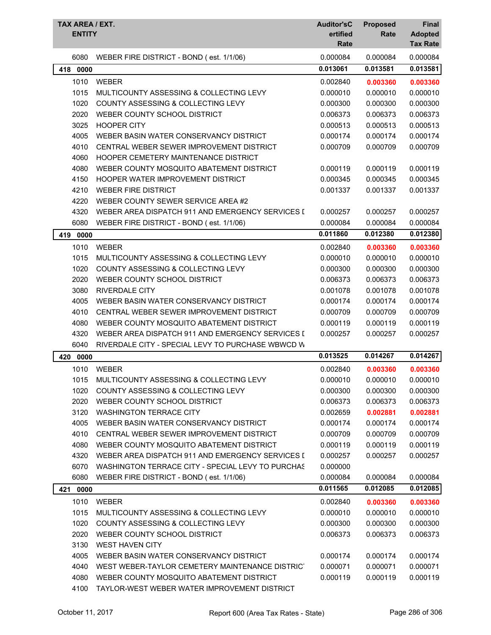| TAX AREA / EXT.<br><b>ENTITY</b> |                                                   | <b>Auditor'sC</b><br>ertified<br>Rate | <b>Proposed</b><br>Rate | Final<br><b>Adopted</b><br><b>Tax Rate</b> |
|----------------------------------|---------------------------------------------------|---------------------------------------|-------------------------|--------------------------------------------|
| 6080                             | WEBER FIRE DISTRICT - BOND (est. 1/1/06)          | 0.000084                              | 0.000084                | 0.000084                                   |
| 0000<br>418                      |                                                   | 0.013061                              | 0.013581                | 0.013581                                   |
| 1010                             | <b>WEBER</b>                                      | 0.002840                              | 0.003360                | 0.003360                                   |
| 1015                             | MULTICOUNTY ASSESSING & COLLECTING LEVY           | 0.000010                              | 0.000010                | 0.000010                                   |
| 1020                             | COUNTY ASSESSING & COLLECTING LEVY                | 0.000300                              | 0.000300                | 0.000300                                   |
| 2020                             | WEBER COUNTY SCHOOL DISTRICT                      | 0.006373                              | 0.006373                | 0.006373                                   |
| 3025                             | <b>HOOPER CITY</b>                                | 0.000513                              | 0.000513                | 0.000513                                   |
| 4005                             | WEBER BASIN WATER CONSERVANCY DISTRICT            | 0.000174                              | 0.000174                | 0.000174                                   |
| 4010                             | CENTRAL WEBER SEWER IMPROVEMENT DISTRICT          | 0.000709                              | 0.000709                | 0.000709                                   |
| 4060                             | HOOPER CEMETERY MAINTENANCE DISTRICT              |                                       |                         |                                            |
| 4080                             | WEBER COUNTY MOSQUITO ABATEMENT DISTRICT          | 0.000119                              | 0.000119                | 0.000119                                   |
| 4150                             | HOOPER WATER IMPROVEMENT DISTRICT                 | 0.000345                              | 0.000345                | 0.000345                                   |
| 4210                             | <b>WEBER FIRE DISTRICT</b>                        | 0.001337                              | 0.001337                | 0.001337                                   |
| 4220                             | WEBER COUNTY SEWER SERVICE AREA #2                |                                       |                         |                                            |
| 4320                             | WEBER AREA DISPATCH 911 AND EMERGENCY SERVICES I  | 0.000257                              | 0.000257                | 0.000257                                   |
| 6080                             | WEBER FIRE DISTRICT - BOND (est. 1/1/06)          | 0.000084                              | 0.000084                | 0.000084                                   |
| 0000<br>419                      |                                                   | 0.011860                              | 0.012380                | 0.012380                                   |
| 1010                             | <b>WEBER</b>                                      | 0.002840                              | 0.003360                | 0.003360                                   |
| 1015                             | MULTICOUNTY ASSESSING & COLLECTING LEVY           | 0.000010                              | 0.000010                | 0.000010                                   |
| 1020                             | COUNTY ASSESSING & COLLECTING LEVY                | 0.000300                              | 0.000300                | 0.000300                                   |
| 2020                             | WEBER COUNTY SCHOOL DISTRICT                      | 0.006373                              | 0.006373                | 0.006373                                   |
| 3080                             | <b>RIVERDALE CITY</b>                             | 0.001078                              | 0.001078                | 0.001078                                   |
| 4005                             | WEBER BASIN WATER CONSERVANCY DISTRICT            | 0.000174                              | 0.000174                | 0.000174                                   |
| 4010                             | CENTRAL WEBER SEWER IMPROVEMENT DISTRICT          | 0.000709                              | 0.000709                | 0.000709                                   |
| 4080                             | WEBER COUNTY MOSQUITO ABATEMENT DISTRICT          | 0.000119                              | 0.000119                | 0.000119                                   |
| 4320                             | WEBER AREA DISPATCH 911 AND EMERGENCY SERVICES I  | 0.000257                              | 0.000257                | 0.000257                                   |
| 6040                             | RIVERDALE CITY - SPECIAL LEVY TO PURCHASE WBWCD W |                                       |                         |                                            |
| 420<br>0000                      |                                                   | 0.013525                              | 0.014267                | 0.014267                                   |
| 1010                             | WEBER                                             | 0.002840                              | 0.003360                | 0.003360                                   |
| 1015                             | MULTICOUNTY ASSESSING & COLLECTING LEVY           | 0.000010                              | 0.000010                | 0.000010                                   |
| 1020                             | COUNTY ASSESSING & COLLECTING LEVY                | 0.000300                              | 0.000300                | 0.000300                                   |
| 2020                             | WEBER COUNTY SCHOOL DISTRICT                      | 0.006373                              | 0.006373                | 0.006373                                   |
| 3120                             | <b>WASHINGTON TERRACE CITY</b>                    | 0.002659                              | 0.002881                | 0.002881                                   |
| 4005                             | WEBER BASIN WATER CONSERVANCY DISTRICT            | 0.000174                              | 0.000174                | 0.000174                                   |
| 4010                             | CENTRAL WEBER SEWER IMPROVEMENT DISTRICT          | 0.000709                              | 0.000709                | 0.000709                                   |
| 4080                             | WEBER COUNTY MOSQUITO ABATEMENT DISTRICT          | 0.000119                              | 0.000119                | 0.000119                                   |
| 4320                             | WEBER AREA DISPATCH 911 AND EMERGENCY SERVICES I  | 0.000257                              | 0.000257                | 0.000257                                   |
| 6070                             | WASHINGTON TERRACE CITY - SPECIAL LEVY TO PURCHAS | 0.000000                              |                         |                                            |
| 6080                             | WEBER FIRE DISTRICT - BOND (est. 1/1/06)          | 0.000084                              | 0.000084                | 0.000084                                   |
| 0000<br>421                      |                                                   | 0.011565                              | 0.012085                | 0.012085                                   |
| 1010                             | <b>WEBER</b>                                      | 0.002840                              | 0.003360                | 0.003360                                   |
| 1015                             | MULTICOUNTY ASSESSING & COLLECTING LEVY           | 0.000010                              | 0.000010                | 0.000010                                   |
| 1020                             | COUNTY ASSESSING & COLLECTING LEVY                | 0.000300                              | 0.000300                | 0.000300                                   |
| 2020                             | WEBER COUNTY SCHOOL DISTRICT                      | 0.006373                              | 0.006373                | 0.006373                                   |
| 3130                             | <b>WEST HAVEN CITY</b>                            |                                       |                         |                                            |
| 4005                             | WEBER BASIN WATER CONSERVANCY DISTRICT            | 0.000174                              | 0.000174                | 0.000174                                   |
| 4040                             | WEST WEBER-TAYLOR CEMETERY MAINTENANCE DISTRICT   | 0.000071                              | 0.000071                | 0.000071                                   |
| 4080                             | WEBER COUNTY MOSQUITO ABATEMENT DISTRICT          | 0.000119                              | 0.000119                | 0.000119                                   |
| 4100                             | TAYLOR-WEST WEBER WATER IMPROVEMENT DISTRICT      |                                       |                         |                                            |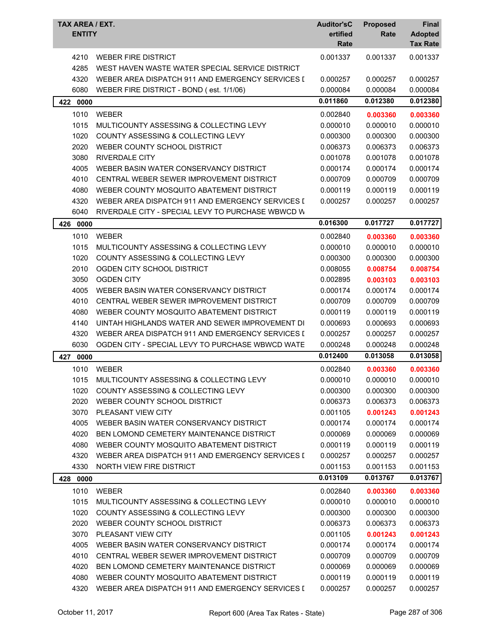| TAX AREA / EXT.<br><b>ENTITY</b> |                                                                               | <b>Auditor'sC</b><br>ertified<br>Rate | <b>Proposed</b><br>Rate | <b>Final</b><br><b>Adopted</b><br><b>Tax Rate</b> |
|----------------------------------|-------------------------------------------------------------------------------|---------------------------------------|-------------------------|---------------------------------------------------|
| 4210<br>4285                     | <b>WEBER FIRE DISTRICT</b><br>WEST HAVEN WASTE WATER SPECIAL SERVICE DISTRICT | 0.001337                              | 0.001337                | 0.001337                                          |
|                                  |                                                                               |                                       |                         |                                                   |
| 4320                             | WEBER AREA DISPATCH 911 AND EMERGENCY SERVICES I                              | 0.000257                              | 0.000257                | 0.000257                                          |
| 6080                             | WEBER FIRE DISTRICT - BOND (est. 1/1/06)                                      | 0.000084                              | 0.000084                | 0.000084                                          |
| 422 0000                         |                                                                               | 0.011860                              | 0.012380                | 0.012380                                          |
| 1010                             | <b>WEBER</b>                                                                  | 0.002840                              | 0.003360                | 0.003360                                          |
| 1015                             | MULTICOUNTY ASSESSING & COLLECTING LEVY                                       | 0.000010                              | 0.000010                | 0.000010                                          |
| 1020                             | COUNTY ASSESSING & COLLECTING LEVY                                            | 0.000300                              | 0.000300                | 0.000300                                          |
| 2020                             | WEBER COUNTY SCHOOL DISTRICT                                                  | 0.006373                              | 0.006373                | 0.006373                                          |
| 3080                             | <b>RIVERDALE CITY</b>                                                         | 0.001078                              | 0.001078                | 0.001078                                          |
| 4005                             | WEBER BASIN WATER CONSERVANCY DISTRICT                                        | 0.000174                              | 0.000174                | 0.000174                                          |
| 4010                             | CENTRAL WEBER SEWER IMPROVEMENT DISTRICT                                      | 0.000709                              | 0.000709                | 0.000709                                          |
| 4080                             | WEBER COUNTY MOSQUITO ABATEMENT DISTRICT                                      | 0.000119                              | 0.000119                | 0.000119                                          |
| 4320                             | WEBER AREA DISPATCH 911 AND EMERGENCY SERVICES I                              | 0.000257                              | 0.000257                | 0.000257                                          |
| 6040                             | RIVERDALE CITY - SPECIAL LEVY TO PURCHASE WBWCD W                             |                                       |                         |                                                   |
| 426<br>0000                      |                                                                               | 0.016300                              | 0.017727                | 0.017727                                          |
| 1010                             | <b>WEBER</b>                                                                  | 0.002840                              | 0.003360                | 0.003360                                          |
| 1015                             | MULTICOUNTY ASSESSING & COLLECTING LEVY                                       | 0.000010                              | 0.000010                | 0.000010                                          |
| 1020                             | COUNTY ASSESSING & COLLECTING LEVY                                            | 0.000300                              | 0.000300                | 0.000300                                          |
| 2010                             | OGDEN CITY SCHOOL DISTRICT                                                    | 0.008055                              | 0.008754                | 0.008754                                          |
| 3050                             | <b>OGDEN CITY</b>                                                             | 0.002895                              | 0.003103                | 0.003103                                          |
| 4005                             | WEBER BASIN WATER CONSERVANCY DISTRICT                                        | 0.000174                              | 0.000174                | 0.000174                                          |
| 4010                             | CENTRAL WEBER SEWER IMPROVEMENT DISTRICT                                      | 0.000709                              | 0.000709                | 0.000709                                          |
| 4080                             | WEBER COUNTY MOSQUITO ABATEMENT DISTRICT                                      | 0.000119                              | 0.000119                | 0.000119                                          |
| 4140                             | UINTAH HIGHLANDS WATER AND SEWER IMPROVEMENT DI                               | 0.000693                              | 0.000693                | 0.000693                                          |
| 4320                             | WEBER AREA DISPATCH 911 AND EMERGENCY SERVICES I                              | 0.000257                              | 0.000257                | 0.000257                                          |
| 6030                             | OGDEN CITY - SPECIAL LEVY TO PURCHASE WBWCD WATE                              | 0.000248                              | 0.000248                | 0.000248                                          |
| 0000<br>427                      |                                                                               | 0.012400                              | 0.013058                | 0.013058                                          |
| 1010                             | WEBER                                                                         | 0.002840                              | 0.003360                | 0.003360                                          |
| 1015                             | MULTICOUNTY ASSESSING & COLLECTING LEVY                                       | 0.000010                              | 0.000010                | 0.000010                                          |
| 1020                             | <b>COUNTY ASSESSING &amp; COLLECTING LEVY</b>                                 | 0.000300                              | 0.000300                | 0.000300                                          |
| 2020                             | WEBER COUNTY SCHOOL DISTRICT                                                  | 0.006373                              | 0.006373                | 0.006373                                          |
| 3070                             | PLEASANT VIEW CITY                                                            | 0.001105                              | 0.001243                | 0.001243                                          |
| 4005                             | WEBER BASIN WATER CONSERVANCY DISTRICT                                        | 0.000174                              | 0.000174                | 0.000174                                          |
| 4020                             | BEN LOMOND CEMETERY MAINTENANCE DISTRICT                                      | 0.000069                              | 0.000069                | 0.000069                                          |
| 4080                             | WEBER COUNTY MOSQUITO ABATEMENT DISTRICT                                      | 0.000119                              | 0.000119                | 0.000119                                          |
| 4320                             | WEBER AREA DISPATCH 911 AND EMERGENCY SERVICES I                              | 0.000257                              | 0.000257                | 0.000257                                          |
| 4330                             | <b>NORTH VIEW FIRE DISTRICT</b>                                               | 0.001153                              | 0.001153                | 0.001153                                          |
| 428<br>0000                      |                                                                               | 0.013109                              | 0.013767                | 0.013767                                          |
| 1010                             | <b>WEBER</b>                                                                  | 0.002840                              | 0.003360                | 0.003360                                          |
| 1015                             | MULTICOUNTY ASSESSING & COLLECTING LEVY                                       | 0.000010                              | 0.000010                | 0.000010                                          |
| 1020                             | COUNTY ASSESSING & COLLECTING LEVY                                            | 0.000300                              | 0.000300                | 0.000300                                          |
| 2020                             | WEBER COUNTY SCHOOL DISTRICT                                                  | 0.006373                              | 0.006373                | 0.006373                                          |
| 3070                             | PLEASANT VIEW CITY                                                            | 0.001105                              | 0.001243                | 0.001243                                          |
| 4005                             | WEBER BASIN WATER CONSERVANCY DISTRICT                                        | 0.000174                              | 0.000174                | 0.000174                                          |
| 4010                             | CENTRAL WEBER SEWER IMPROVEMENT DISTRICT                                      | 0.000709                              | 0.000709                | 0.000709                                          |
| 4020                             | BEN LOMOND CEMETERY MAINTENANCE DISTRICT                                      | 0.000069                              | 0.000069                | 0.000069                                          |
| 4080                             | WEBER COUNTY MOSQUITO ABATEMENT DISTRICT                                      | 0.000119                              | 0.000119                | 0.000119                                          |
| 4320                             | WEBER AREA DISPATCH 911 AND EMERGENCY SERVICES I                              | 0.000257                              | 0.000257                | 0.000257                                          |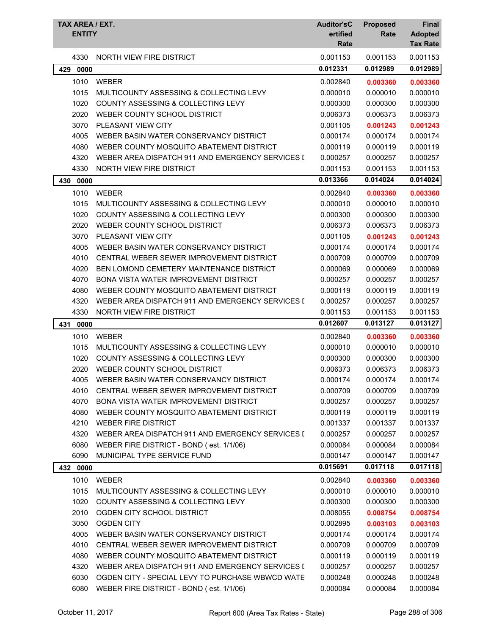| TAX AREA / EXT.<br><b>ENTITY</b> |                                                  | <b>Auditor'sC</b><br>ertified<br>Rate | <b>Proposed</b><br>Rate | <b>Final</b><br><b>Adopted</b><br><b>Tax Rate</b> |
|----------------------------------|--------------------------------------------------|---------------------------------------|-------------------------|---------------------------------------------------|
| 4330                             | NORTH VIEW FIRE DISTRICT                         | 0.001153                              | 0.001153                | 0.001153                                          |
| 429<br>0000                      |                                                  | 0.012331                              | 0.012989                | 0.012989                                          |
| 1010                             | <b>WEBER</b>                                     | 0.002840                              | 0.003360                | 0.003360                                          |
| 1015                             | MULTICOUNTY ASSESSING & COLLECTING LEVY          | 0.000010                              | 0.000010                | 0.000010                                          |
| 1020                             | COUNTY ASSESSING & COLLECTING LEVY               | 0.000300                              | 0.000300                | 0.000300                                          |
| 2020                             | WEBER COUNTY SCHOOL DISTRICT                     | 0.006373                              | 0.006373                | 0.006373                                          |
| 3070                             | PLEASANT VIEW CITY                               | 0.001105                              | 0.001243                | 0.001243                                          |
| 4005                             | WEBER BASIN WATER CONSERVANCY DISTRICT           | 0.000174                              | 0.000174                | 0.000174                                          |
| 4080                             | WEBER COUNTY MOSQUITO ABATEMENT DISTRICT         | 0.000119                              | 0.000119                | 0.000119                                          |
| 4320                             | WEBER AREA DISPATCH 911 AND EMERGENCY SERVICES I | 0.000257                              | 0.000257                | 0.000257                                          |
| 4330                             | NORTH VIEW FIRE DISTRICT                         | 0.001153                              | 0.001153                | 0.001153                                          |
| 430<br>0000                      |                                                  | 0.013366                              | 0.014024                | 0.014024                                          |
| 1010                             | <b>WEBER</b>                                     | 0.002840                              | 0.003360                | 0.003360                                          |
| 1015                             | MULTICOUNTY ASSESSING & COLLECTING LEVY          | 0.000010                              | 0.000010                | 0.000010                                          |
| 1020                             | <b>COUNTY ASSESSING &amp; COLLECTING LEVY</b>    | 0.000300                              | 0.000300                | 0.000300                                          |
| 2020                             | WEBER COUNTY SCHOOL DISTRICT                     | 0.006373                              | 0.006373                | 0.006373                                          |
| 3070                             | <b>PLEASANT VIEW CITY</b>                        | 0.001105                              | 0.001243                | 0.001243                                          |
| 4005                             | WEBER BASIN WATER CONSERVANCY DISTRICT           | 0.000174                              | 0.000174                | 0.000174                                          |
| 4010                             | CENTRAL WEBER SEWER IMPROVEMENT DISTRICT         | 0.000709                              | 0.000709                | 0.000709                                          |
| 4020                             | BEN LOMOND CEMETERY MAINTENANCE DISTRICT         | 0.000069                              | 0.000069                | 0.000069                                          |
| 4070                             | <b>BONA VISTA WATER IMPROVEMENT DISTRICT</b>     | 0.000257                              | 0.000257                | 0.000257                                          |
| 4080                             | WEBER COUNTY MOSQUITO ABATEMENT DISTRICT         | 0.000119                              | 0.000119                | 0.000119                                          |
| 4320                             | WEBER AREA DISPATCH 911 AND EMERGENCY SERVICES I | 0.000257                              | 0.000257                | 0.000257                                          |
| 4330                             | NORTH VIEW FIRE DISTRICT                         | 0.001153                              | 0.001153                | 0.001153                                          |
| 0000<br>431                      |                                                  | 0.012607                              | 0.013127                | 0.013127                                          |
| 1010                             | <b>WEBER</b>                                     | 0.002840                              | 0.003360                | 0.003360                                          |
| 1015                             | MULTICOUNTY ASSESSING & COLLECTING LEVY          | 0.000010                              | 0.000010                | 0.000010                                          |
| 1020                             | COUNTY ASSESSING & COLLECTING LEVY               | 0.000300                              | 0.000300                | 0.000300                                          |
| 2020                             | WEBER COUNTY SCHOOL DISTRICT                     | 0.006373                              | 0.006373                | 0.006373                                          |
| 4005                             | WEBER BASIN WATER CONSERVANCY DISTRICT           | 0.000174                              | 0.000174                | 0.000174                                          |
| 4010                             | CENTRAL WEBER SEWER IMPROVEMENT DISTRICT         | 0.000709                              | 0.000709                | 0.000709                                          |
| 4070                             | BONA VISTA WATER IMPROVEMENT DISTRICT            | 0.000257                              | 0.000257                | 0.000257                                          |
| 4080                             | WEBER COUNTY MOSQUITO ABATEMENT DISTRICT         | 0.000119                              | 0.000119                | 0.000119                                          |
| 4210                             | <b>WEBER FIRE DISTRICT</b>                       | 0.001337                              | 0.001337                | 0.001337                                          |
| 4320                             | WEBER AREA DISPATCH 911 AND EMERGENCY SERVICES I | 0.000257                              | 0.000257                | 0.000257                                          |
| 6080                             | WEBER FIRE DISTRICT - BOND (est. 1/1/06)         | 0.000084                              | 0.000084                | 0.000084                                          |
| 6090                             | MUNICIPAL TYPE SERVICE FUND                      | 0.000147                              | 0.000147                | 0.000147                                          |
| 432 0000                         |                                                  | 0.015691                              | 0.017118                | 0.017118                                          |
| 1010                             | <b>WEBER</b>                                     | 0.002840                              | 0.003360                | 0.003360                                          |
| 1015                             | MULTICOUNTY ASSESSING & COLLECTING LEVY          | 0.000010                              | 0.000010                | 0.000010                                          |
| 1020                             | COUNTY ASSESSING & COLLECTING LEVY               | 0.000300                              | 0.000300                | 0.000300                                          |
| 2010                             | OGDEN CITY SCHOOL DISTRICT                       | 0.008055                              | 0.008754                | 0.008754                                          |
| 3050                             | <b>OGDEN CITY</b>                                | 0.002895                              | 0.003103                | 0.003103                                          |
| 4005                             | WEBER BASIN WATER CONSERVANCY DISTRICT           | 0.000174                              | 0.000174                | 0.000174                                          |
| 4010                             | CENTRAL WEBER SEWER IMPROVEMENT DISTRICT         | 0.000709                              | 0.000709                | 0.000709                                          |
| 4080                             | WEBER COUNTY MOSQUITO ABATEMENT DISTRICT         | 0.000119                              | 0.000119                | 0.000119                                          |
| 4320                             | WEBER AREA DISPATCH 911 AND EMERGENCY SERVICES I | 0.000257                              | 0.000257                | 0.000257                                          |
| 6030                             | OGDEN CITY - SPECIAL LEVY TO PURCHASE WBWCD WATE | 0.000248                              | 0.000248                | 0.000248                                          |
| 6080                             | WEBER FIRE DISTRICT - BOND (est. 1/1/06)         | 0.000084                              | 0.000084                | 0.000084                                          |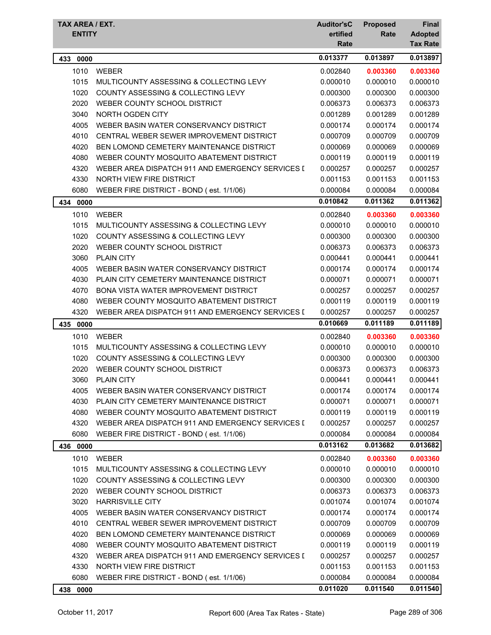| TAX AREA / EXT.<br><b>ENTITY</b> |                                                  | <b>Auditor'sC</b><br>ertified | <b>Proposed</b><br>Rate | Final<br><b>Adopted</b> |
|----------------------------------|--------------------------------------------------|-------------------------------|-------------------------|-------------------------|
|                                  |                                                  | Rate                          |                         | <b>Tax Rate</b>         |
| 433 0000                         |                                                  | 0.013377                      | 0.013897                | 0.013897                |
| 1010                             | <b>WEBER</b>                                     | 0.002840                      | 0.003360                | 0.003360                |
| 1015                             | MULTICOUNTY ASSESSING & COLLECTING LEVY          | 0.000010                      | 0.000010                | 0.000010                |
| 1020                             | COUNTY ASSESSING & COLLECTING LEVY               | 0.000300                      | 0.000300                | 0.000300                |
| 2020                             | WEBER COUNTY SCHOOL DISTRICT                     | 0.006373                      | 0.006373                | 0.006373                |
| 3040                             | NORTH OGDEN CITY                                 | 0.001289                      | 0.001289                | 0.001289                |
| 4005                             | WEBER BASIN WATER CONSERVANCY DISTRICT           | 0.000174                      | 0.000174                | 0.000174                |
| 4010                             | CENTRAL WEBER SEWER IMPROVEMENT DISTRICT         | 0.000709                      | 0.000709                | 0.000709                |
| 4020                             | BEN LOMOND CEMETERY MAINTENANCE DISTRICT         | 0.000069                      | 0.000069                | 0.000069                |
| 4080                             | WEBER COUNTY MOSQUITO ABATEMENT DISTRICT         | 0.000119                      | 0.000119                | 0.000119                |
| 4320                             | WEBER AREA DISPATCH 911 AND EMERGENCY SERVICES I | 0.000257                      | 0.000257                | 0.000257                |
| 4330                             | <b>NORTH VIEW FIRE DISTRICT</b>                  | 0.001153                      | 0.001153                | 0.001153                |
| 6080                             | WEBER FIRE DISTRICT - BOND (est. 1/1/06)         | 0.000084                      | 0.000084                | 0.000084                |
| 434<br>0000                      |                                                  | 0.010842                      | 0.011362                | 0.011362                |
| 1010                             | <b>WEBER</b>                                     | 0.002840                      | 0.003360                | 0.003360                |
| 1015                             | MULTICOUNTY ASSESSING & COLLECTING LEVY          | 0.000010                      | 0.000010                | 0.000010                |
| 1020                             | COUNTY ASSESSING & COLLECTING LEVY               | 0.000300                      | 0.000300                | 0.000300                |
| 2020                             | WEBER COUNTY SCHOOL DISTRICT                     | 0.006373                      | 0.006373                | 0.006373                |
| 3060                             | <b>PLAIN CITY</b>                                | 0.000441                      | 0.000441                | 0.000441                |
| 4005                             | WEBER BASIN WATER CONSERVANCY DISTRICT           | 0.000174                      | 0.000174                | 0.000174                |
| 4030                             | PLAIN CITY CEMETERY MAINTENANCE DISTRICT         | 0.000071                      | 0.000071                | 0.000071                |
| 4070                             | <b>BONA VISTA WATER IMPROVEMENT DISTRICT</b>     | 0.000257                      | 0.000257                | 0.000257                |
| 4080                             | WEBER COUNTY MOSQUITO ABATEMENT DISTRICT         | 0.000119                      | 0.000119                | 0.000119                |
| 4320                             | WEBER AREA DISPATCH 911 AND EMERGENCY SERVICES I | 0.000257                      | 0.000257                | 0.000257                |
| 435 0000                         |                                                  | 0.010669                      | 0.011189                | 0.011189                |
| 1010                             | <b>WEBER</b>                                     | 0.002840                      | 0.003360                | 0.003360                |
| 1015                             | MULTICOUNTY ASSESSING & COLLECTING LEVY          | 0.000010                      | 0.000010                | 0.000010                |
| 1020                             | COUNTY ASSESSING & COLLECTING LEVY               | 0.000300                      | 0.000300                | 0.000300                |
| 2020                             | WEBER COUNTY SCHOOL DISTRICT                     | 0.006373                      | 0.006373                | 0.006373                |
| 3060                             | PLAIN CITY                                       | 0.000441                      | 0.000441                | 0.000441                |
| 4005                             | WEBER BASIN WATER CONSERVANCY DISTRICT           | 0.000174                      | 0.000174                | 0.000174                |
| 4030                             | PLAIN CITY CEMETERY MAINTENANCE DISTRICT         | 0.000071                      | 0.000071                | 0.000071                |
| 4080                             | WEBER COUNTY MOSQUITO ABATEMENT DISTRICT         | 0.000119                      | 0.000119                | 0.000119                |
| 4320                             | WEBER AREA DISPATCH 911 AND EMERGENCY SERVICES I | 0.000257                      | 0.000257                | 0.000257                |
| 6080                             | WEBER FIRE DISTRICT - BOND (est. 1/1/06)         | 0.000084                      | 0.000084                | 0.000084                |
| 436 0000                         |                                                  | 0.013162                      | 0.013682                | 0.013682                |
| 1010                             | <b>WEBER</b>                                     | 0.002840                      | 0.003360                | 0.003360                |
| 1015                             | MULTICOUNTY ASSESSING & COLLECTING LEVY          | 0.000010                      | 0.000010                | 0.000010                |
| 1020                             | COUNTY ASSESSING & COLLECTING LEVY               | 0.000300                      | 0.000300                | 0.000300                |
| 2020                             | WEBER COUNTY SCHOOL DISTRICT                     | 0.006373                      | 0.006373                | 0.006373                |
| 3020                             | <b>HARRISVILLE CITY</b>                          | 0.001074                      | 0.001074                | 0.001074                |
| 4005                             | WEBER BASIN WATER CONSERVANCY DISTRICT           | 0.000174                      | 0.000174                | 0.000174                |
| 4010                             | CENTRAL WEBER SEWER IMPROVEMENT DISTRICT         | 0.000709                      | 0.000709                | 0.000709                |
| 4020                             | BEN LOMOND CEMETERY MAINTENANCE DISTRICT         | 0.000069                      | 0.000069                | 0.000069                |
| 4080                             | WEBER COUNTY MOSQUITO ABATEMENT DISTRICT         | 0.000119                      | 0.000119                | 0.000119                |
| 4320                             | WEBER AREA DISPATCH 911 AND EMERGENCY SERVICES I | 0.000257                      | 0.000257                | 0.000257                |
| 4330                             | NORTH VIEW FIRE DISTRICT                         | 0.001153                      | 0.001153                | 0.001153                |
| 6080                             | WEBER FIRE DISTRICT - BOND (est. 1/1/06)         | 0.000084                      | 0.000084                | 0.000084                |
| 438 0000                         |                                                  | 0.011020                      | 0.011540                | 0.011540                |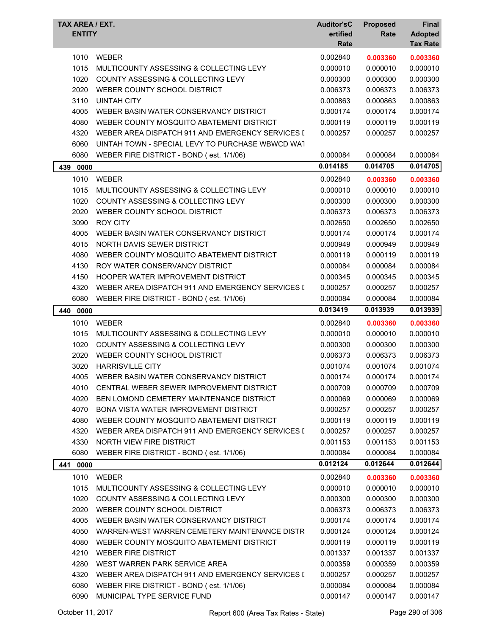| TAX AREA / EXT.<br><b>ENTITY</b> |                                                  | <b>Auditor'sC</b><br>ertified<br>Rate | <b>Proposed</b><br>Rate | Final<br><b>Adopted</b><br><b>Tax Rate</b> |
|----------------------------------|--------------------------------------------------|---------------------------------------|-------------------------|--------------------------------------------|
| 1010                             | WEBER                                            | 0.002840                              | 0.003360                | 0.003360                                   |
| 1015                             | MULTICOUNTY ASSESSING & COLLECTING LEVY          | 0.000010                              | 0.000010                | 0.000010                                   |
| 1020                             | COUNTY ASSESSING & COLLECTING LEVY               | 0.000300                              | 0.000300                | 0.000300                                   |
| 2020                             | WEBER COUNTY SCHOOL DISTRICT                     | 0.006373                              | 0.006373                | 0.006373                                   |
| 3110                             | <b>UINTAH CITY</b>                               | 0.000863                              | 0.000863                | 0.000863                                   |
| 4005                             | WEBER BASIN WATER CONSERVANCY DISTRICT           | 0.000174                              | 0.000174                | 0.000174                                   |
| 4080                             | WEBER COUNTY MOSQUITO ABATEMENT DISTRICT         | 0.000119                              | 0.000119                | 0.000119                                   |
| 4320                             | WEBER AREA DISPATCH 911 AND EMERGENCY SERVICES I | 0.000257                              | 0.000257                | 0.000257                                   |
| 6060                             | UINTAH TOWN - SPECIAL LEVY TO PURCHASE WBWCD WAT |                                       |                         |                                            |
| 6080                             | WEBER FIRE DISTRICT - BOND (est. 1/1/06)         | 0.000084                              | 0.000084                | 0.000084                                   |
| 439<br>0000                      |                                                  | 0.014185                              | 0.014705                | 0.014705                                   |
| 1010                             | <b>WEBER</b>                                     | 0.002840                              | 0.003360                | 0.003360                                   |
| 1015                             | MULTICOUNTY ASSESSING & COLLECTING LEVY          | 0.000010                              | 0.000010                | 0.000010                                   |
| 1020                             | <b>COUNTY ASSESSING &amp; COLLECTING LEVY</b>    | 0.000300                              | 0.000300                | 0.000300                                   |
| 2020                             | WEBER COUNTY SCHOOL DISTRICT                     | 0.006373                              | 0.006373                | 0.006373                                   |
| 3090                             | <b>ROY CITY</b>                                  | 0.002650                              | 0.002650                | 0.002650                                   |
| 4005                             | WEBER BASIN WATER CONSERVANCY DISTRICT           | 0.000174                              | 0.000174                | 0.000174                                   |
| 4015                             | NORTH DAVIS SEWER DISTRICT                       | 0.000949                              | 0.000949                | 0.000949                                   |
| 4080                             | WEBER COUNTY MOSQUITO ABATEMENT DISTRICT         | 0.000119                              | 0.000119                | 0.000119                                   |
| 4130                             | ROY WATER CONSERVANCY DISTRICT                   | 0.000084                              | 0.000084                | 0.000084                                   |
| 4150                             | HOOPER WATER IMPROVEMENT DISTRICT                | 0.000345                              | 0.000345                | 0.000345                                   |
| 4320                             | WEBER AREA DISPATCH 911 AND EMERGENCY SERVICES I | 0.000257                              | 0.000257                | 0.000257                                   |
| 6080                             | WEBER FIRE DISTRICT - BOND (est. 1/1/06)         | 0.000084                              | 0.000084                | 0.000084                                   |
| 440 0000                         |                                                  | 0.013419                              | 0.013939                | 0.013939                                   |
| 1010                             | WEBER                                            | 0.002840                              | 0.003360                | 0.003360                                   |
| 1015                             | MULTICOUNTY ASSESSING & COLLECTING LEVY          | 0.000010                              | 0.000010                | 0.000010                                   |
| 1020                             | COUNTY ASSESSING & COLLECTING LEVY               | 0.000300                              | 0.000300                | 0.000300                                   |
| 2020                             | WEBER COUNTY SCHOOL DISTRICT                     | 0.006373                              | 0.006373                | 0.006373                                   |
| 3020                             | <b>HARRISVILLE CITY</b>                          | 0.001074                              | 0.001074                | 0.001074                                   |
| 4005                             | WEBER BASIN WATER CONSERVANCY DISTRICT           | 0.000174                              | 0.000174                | 0.000174                                   |
| 4010                             | CENTRAL WEBER SEWER IMPROVEMENT DISTRICT         | 0.000709                              | 0.000709                | 0.000709                                   |
| 4020                             | BEN LOMOND CEMETERY MAINTENANCE DISTRICT         | 0.000069                              | 0.000069                | 0.000069                                   |
| 4070                             | BONA VISTA WATER IMPROVEMENT DISTRICT            | 0.000257                              | 0.000257                | 0.000257                                   |
| 4080                             | WEBER COUNTY MOSQUITO ABATEMENT DISTRICT         | 0.000119                              | 0.000119                | 0.000119                                   |
| 4320                             | WEBER AREA DISPATCH 911 AND EMERGENCY SERVICES I | 0.000257                              | 0.000257                | 0.000257                                   |
| 4330                             | NORTH VIEW FIRE DISTRICT                         | 0.001153                              | 0.001153                | 0.001153                                   |
| 6080                             | WEBER FIRE DISTRICT - BOND (est. 1/1/06)         | 0.000084                              | 0.000084                | 0.000084                                   |
| 441 0000                         |                                                  | 0.012124                              | 0.012644                | 0.012644                                   |
| 1010                             | <b>WEBER</b>                                     | 0.002840                              | 0.003360                | 0.003360                                   |
| 1015                             | MULTICOUNTY ASSESSING & COLLECTING LEVY          | 0.000010                              | 0.000010                | 0.000010                                   |
| 1020                             | COUNTY ASSESSING & COLLECTING LEVY               | 0.000300                              | 0.000300                | 0.000300                                   |
| 2020                             | WEBER COUNTY SCHOOL DISTRICT                     | 0.006373                              | 0.006373                | 0.006373                                   |
| 4005                             | WEBER BASIN WATER CONSERVANCY DISTRICT           | 0.000174                              | 0.000174                | 0.000174                                   |
| 4050                             | WARREN-WEST WARREN CEMETERY MAINTENANCE DISTR    | 0.000124                              | 0.000124                | 0.000124                                   |
| 4080                             | WEBER COUNTY MOSQUITO ABATEMENT DISTRICT         | 0.000119                              | 0.000119                | 0.000119                                   |
| 4210                             | <b>WEBER FIRE DISTRICT</b>                       | 0.001337                              | 0.001337                | 0.001337                                   |
| 4280                             | WEST WARREN PARK SERVICE AREA                    | 0.000359                              | 0.000359                | 0.000359                                   |
| 4320                             | WEBER AREA DISPATCH 911 AND EMERGENCY SERVICES I | 0.000257                              | 0.000257                | 0.000257                                   |
| 6080                             | WEBER FIRE DISTRICT - BOND (est. 1/1/06)         | 0.000084                              | 0.000084                | 0.000084                                   |
| 6090                             | MUNICIPAL TYPE SERVICE FUND                      | 0.000147                              | 0.000147                | 0.000147                                   |
|                                  |                                                  |                                       |                         |                                            |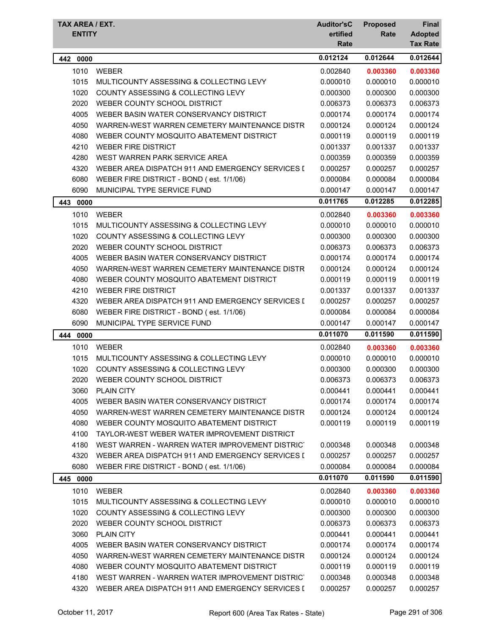| TAX AREA / EXT. |                                                  | <b>Auditor'sC</b> | <b>Proposed</b> | Final                             |
|-----------------|--------------------------------------------------|-------------------|-----------------|-----------------------------------|
| <b>ENTITY</b>   |                                                  | ertified<br>Rate  | Rate            | <b>Adopted</b><br><b>Tax Rate</b> |
| 442 0000        |                                                  | 0.012124          | 0.012644        | 0.012644                          |
| 1010            | <b>WEBER</b>                                     | 0.002840          | 0.003360        | 0.003360                          |
| 1015            | MULTICOUNTY ASSESSING & COLLECTING LEVY          | 0.000010          | 0.000010        | 0.000010                          |
| 1020            | COUNTY ASSESSING & COLLECTING LEVY               | 0.000300          | 0.000300        | 0.000300                          |
| 2020            | WEBER COUNTY SCHOOL DISTRICT                     | 0.006373          | 0.006373        | 0.006373                          |
| 4005            | WEBER BASIN WATER CONSERVANCY DISTRICT           | 0.000174          | 0.000174        | 0.000174                          |
| 4050            | WARREN-WEST WARREN CEMETERY MAINTENANCE DISTR    | 0.000124          | 0.000124        | 0.000124                          |
| 4080            | WEBER COUNTY MOSQUITO ABATEMENT DISTRICT         | 0.000119          | 0.000119        | 0.000119                          |
| 4210            | <b>WEBER FIRE DISTRICT</b>                       | 0.001337          | 0.001337        | 0.001337                          |
| 4280            | WEST WARREN PARK SERVICE AREA                    | 0.000359          | 0.000359        | 0.000359                          |
| 4320            | WEBER AREA DISPATCH 911 AND EMERGENCY SERVICES I | 0.000257          | 0.000257        | 0.000257                          |
| 6080            | WEBER FIRE DISTRICT - BOND (est. 1/1/06)         | 0.000084          | 0.000084        | 0.000084                          |
| 6090            | MUNICIPAL TYPE SERVICE FUND                      | 0.000147          | 0.000147        | 0.000147                          |
| 443<br>0000     |                                                  | 0.011765          | 0.012285        | 0.012285                          |
| 1010            | <b>WEBER</b>                                     | 0.002840          | 0.003360        | 0.003360                          |
| 1015            | MULTICOUNTY ASSESSING & COLLECTING LEVY          | 0.000010          | 0.000010        | 0.000010                          |
| 1020            | <b>COUNTY ASSESSING &amp; COLLECTING LEVY</b>    | 0.000300          | 0.000300        | 0.000300                          |
| 2020            | WEBER COUNTY SCHOOL DISTRICT                     | 0.006373          | 0.006373        | 0.006373                          |
| 4005            | WEBER BASIN WATER CONSERVANCY DISTRICT           | 0.000174          | 0.000174        | 0.000174                          |
| 4050            | WARREN-WEST WARREN CEMETERY MAINTENANCE DISTR    | 0.000124          | 0.000124        | 0.000124                          |
| 4080            | WEBER COUNTY MOSQUITO ABATEMENT DISTRICT         | 0.000119          | 0.000119        | 0.000119                          |
| 4210            | <b>WEBER FIRE DISTRICT</b>                       | 0.001337          | 0.001337        | 0.001337                          |
| 4320            | WEBER AREA DISPATCH 911 AND EMERGENCY SERVICES I | 0.000257          | 0.000257        | 0.000257                          |
| 6080            | WEBER FIRE DISTRICT - BOND (est. 1/1/06)         | 0.000084          | 0.000084        | 0.000084                          |
| 6090            | MUNICIPAL TYPE SERVICE FUND                      | 0.000147          | 0.000147        | 0.000147                          |
| 444 0000        |                                                  | 0.011070          | 0.011590        | 0.011590                          |
| 1010            | <b>WEBER</b>                                     | 0.002840          | 0.003360        | 0.003360                          |
| 1015            | MULTICOUNTY ASSESSING & COLLECTING LEVY          | 0.000010          | 0.000010        | 0.000010                          |
| 1020            | COUNTY ASSESSING & COLLECTING LEVY               | 0.000300          | 0.000300        | 0.000300                          |
| 2020            | WEBER COUNTY SCHOOL DISTRICT                     | 0.006373          | 0.006373        | 0.006373                          |
| 3060            | <b>PLAIN CITY</b>                                | 0.000441          | 0.000441        | 0.000441                          |
| 4005            | WEBER BASIN WATER CONSERVANCY DISTRICT           | 0.000174          | 0.000174        | 0.000174                          |
| 4050            | WARREN-WEST WARREN CEMETERY MAINTENANCE DISTR    | 0.000124          | 0.000124        | 0.000124                          |
| 4080            | WEBER COUNTY MOSQUITO ABATEMENT DISTRICT         | 0.000119          | 0.000119        | 0.000119                          |
| 4100            | TAYLOR-WEST WEBER WATER IMPROVEMENT DISTRICT     |                   |                 |                                   |
| 4180            | WEST WARREN - WARREN WATER IMPROVEMENT DISTRICT  | 0.000348          | 0.000348        | 0.000348                          |
| 4320            | WEBER AREA DISPATCH 911 AND EMERGENCY SERVICES I | 0.000257          | 0.000257        | 0.000257                          |
| 6080            | WEBER FIRE DISTRICT - BOND (est. 1/1/06)         | 0.000084          | 0.000084        | 0.000084                          |
| 445<br>0000     |                                                  | 0.011070          | 0.011590        | 0.011590                          |
| 1010            | WEBER                                            | 0.002840          | 0.003360        | 0.003360                          |
| 1015            | MULTICOUNTY ASSESSING & COLLECTING LEVY          | 0.000010          | 0.000010        | 0.000010                          |
| 1020            | COUNTY ASSESSING & COLLECTING LEVY               | 0.000300          | 0.000300        | 0.000300                          |
| 2020            | WEBER COUNTY SCHOOL DISTRICT                     | 0.006373          | 0.006373        | 0.006373                          |
| 3060            | PLAIN CITY                                       | 0.000441          | 0.000441        | 0.000441                          |
| 4005            | WEBER BASIN WATER CONSERVANCY DISTRICT           | 0.000174          | 0.000174        | 0.000174                          |
| 4050            | WARREN-WEST WARREN CEMETERY MAINTENANCE DISTR    | 0.000124          | 0.000124        | 0.000124                          |
| 4080            | WEBER COUNTY MOSQUITO ABATEMENT DISTRICT         | 0.000119          | 0.000119        | 0.000119                          |
| 4180            | WEST WARREN - WARREN WATER IMPROVEMENT DISTRICT  | 0.000348          | 0.000348        | 0.000348                          |
| 4320            | WEBER AREA DISPATCH 911 AND EMERGENCY SERVICES I | 0.000257          | 0.000257        | 0.000257                          |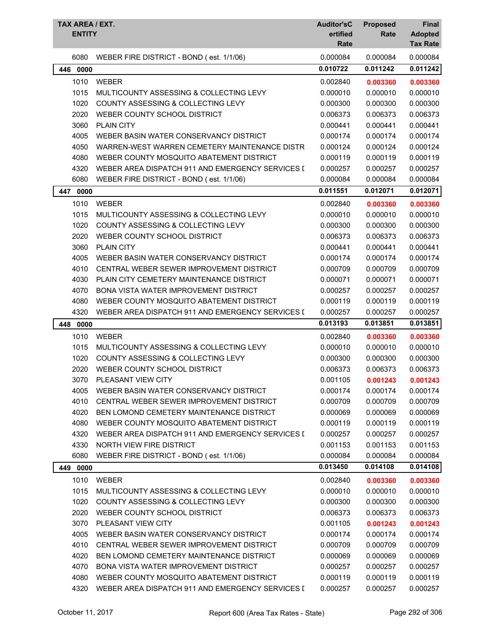| TAX AREA / EXT.<br><b>ENTITY</b> |                                                  | <b>Auditor'sC</b><br>ertified<br>Rate | <b>Proposed</b><br>Rate | Final<br><b>Adopted</b><br><b>Tax Rate</b> |
|----------------------------------|--------------------------------------------------|---------------------------------------|-------------------------|--------------------------------------------|
| 6080                             | WEBER FIRE DISTRICT - BOND (est. 1/1/06)         | 0.000084                              | 0.000084                | 0.000084                                   |
| 0000<br>446                      |                                                  | 0.010722                              | 0.011242                | 0.011242                                   |
| 1010                             | <b>WEBER</b>                                     | 0.002840                              | 0.003360                | 0.003360                                   |
| 1015                             | MULTICOUNTY ASSESSING & COLLECTING LEVY          | 0.000010                              | 0.000010                | 0.000010                                   |
| 1020                             | COUNTY ASSESSING & COLLECTING LEVY               | 0.000300                              | 0.000300                | 0.000300                                   |
| 2020                             | WEBER COUNTY SCHOOL DISTRICT                     | 0.006373                              | 0.006373                | 0.006373                                   |
| 3060                             | <b>PLAIN CITY</b>                                | 0.000441                              | 0.000441                | 0.000441                                   |
| 4005                             | WEBER BASIN WATER CONSERVANCY DISTRICT           | 0.000174                              | 0.000174                | 0.000174                                   |
| 4050                             | WARREN-WEST WARREN CEMETERY MAINTENANCE DISTR    | 0.000124                              | 0.000124                | 0.000124                                   |
| 4080                             | WEBER COUNTY MOSQUITO ABATEMENT DISTRICT         | 0.000119                              | 0.000119                | 0.000119                                   |
| 4320                             | WEBER AREA DISPATCH 911 AND EMERGENCY SERVICES I | 0.000257                              | 0.000257                | 0.000257                                   |
| 6080                             | WEBER FIRE DISTRICT - BOND (est. 1/1/06)         | 0.000084                              | 0.000084                | 0.000084                                   |
| 447<br>0000                      |                                                  | 0.011551                              | 0.012071                | 0.012071                                   |
| 1010                             | <b>WEBER</b>                                     | 0.002840                              | 0.003360                | 0.003360                                   |
| 1015                             | MULTICOUNTY ASSESSING & COLLECTING LEVY          | 0.000010                              | 0.000010                | 0.000010                                   |
| 1020                             | COUNTY ASSESSING & COLLECTING LEVY               | 0.000300                              | 0.000300                | 0.000300                                   |
| 2020                             | WEBER COUNTY SCHOOL DISTRICT                     | 0.006373                              | 0.006373                | 0.006373                                   |
| 3060                             | <b>PLAIN CITY</b>                                | 0.000441                              | 0.000441                | 0.000441                                   |
| 4005                             | WEBER BASIN WATER CONSERVANCY DISTRICT           | 0.000174                              | 0.000174                | 0.000174                                   |
| 4010                             | CENTRAL WEBER SEWER IMPROVEMENT DISTRICT         | 0.000709                              | 0.000709                | 0.000709                                   |
| 4030                             | PLAIN CITY CEMETERY MAINTENANCE DISTRICT         | 0.000071                              | 0.000071                | 0.000071                                   |
| 4070                             | BONA VISTA WATER IMPROVEMENT DISTRICT            | 0.000257                              | 0.000257                | 0.000257                                   |
| 4080                             | WEBER COUNTY MOSQUITO ABATEMENT DISTRICT         | 0.000119                              | 0.000119                | 0.000119                                   |
| 4320                             | WEBER AREA DISPATCH 911 AND EMERGENCY SERVICES I | 0.000257                              | 0.000257                | 0.000257                                   |
| 448<br>0000                      |                                                  | 0.013193                              | 0.013851                | 0.013851                                   |
| 1010                             | <b>WEBER</b>                                     | 0.002840                              | 0.003360                | 0.003360                                   |
| 1015                             | MULTICOUNTY ASSESSING & COLLECTING LEVY          | 0.000010                              | 0.000010                | 0.000010                                   |
| 1020                             | COUNTY ASSESSING & COLLECTING LEVY               | 0.000300                              | 0.000300                | 0.000300                                   |
| 2020                             | WEBER COUNTY SCHOOL DISTRICT                     | 0.006373                              | 0.006373                | 0.006373                                   |
| 3070                             | PLEASANT VIEW CITY                               | 0.001105                              | 0.001243                | 0.001243                                   |
| 4005                             | WEBER BASIN WATER CONSERVANCY DISTRICT           | 0.000174                              | 0.000174                | 0.000174                                   |
| 4010                             | CENTRAL WEBER SEWER IMPROVEMENT DISTRICT         | 0.000709                              | 0.000709                | 0.000709                                   |
| 4020                             | BEN LOMOND CEMETERY MAINTENANCE DISTRICT         | 0.000069                              | 0.000069                | 0.000069                                   |
| 4080                             | WEBER COUNTY MOSQUITO ABATEMENT DISTRICT         | 0.000119                              | 0.000119                | 0.000119                                   |
| 4320                             | WEBER AREA DISPATCH 911 AND EMERGENCY SERVICES I | 0.000257                              | 0.000257                | 0.000257                                   |
| 4330                             | NORTH VIEW FIRE DISTRICT                         | 0.001153                              | 0.001153                | 0.001153                                   |
| 6080                             | WEBER FIRE DISTRICT - BOND (est. 1/1/06)         | 0.000084                              | 0.000084                | 0.000084                                   |
| 449<br>0000                      |                                                  | 0.013450                              | 0.014108                | 0.014108                                   |
| 1010                             | <b>WEBER</b>                                     | 0.002840                              | 0.003360                | 0.003360                                   |
| 1015                             | MULTICOUNTY ASSESSING & COLLECTING LEVY          | 0.000010                              | 0.000010                | 0.000010                                   |
| 1020                             | COUNTY ASSESSING & COLLECTING LEVY               | 0.000300                              | 0.000300                | 0.000300                                   |
| 2020                             | WEBER COUNTY SCHOOL DISTRICT                     | 0.006373                              | 0.006373                | 0.006373                                   |
| 3070                             | PLEASANT VIEW CITY                               | 0.001105                              | 0.001243                | 0.001243                                   |
| 4005                             | WEBER BASIN WATER CONSERVANCY DISTRICT           | 0.000174                              | 0.000174                | 0.000174                                   |
| 4010                             | CENTRAL WEBER SEWER IMPROVEMENT DISTRICT         | 0.000709                              | 0.000709                | 0.000709                                   |
| 4020                             | BEN LOMOND CEMETERY MAINTENANCE DISTRICT         | 0.000069                              | 0.000069                | 0.000069                                   |
| 4070                             | BONA VISTA WATER IMPROVEMENT DISTRICT            | 0.000257                              | 0.000257                | 0.000257                                   |
| 4080                             | WEBER COUNTY MOSQUITO ABATEMENT DISTRICT         | 0.000119                              | 0.000119                | 0.000119                                   |
| 4320                             | WEBER AREA DISPATCH 911 AND EMERGENCY SERVICES I | 0.000257                              | 0.000257                | 0.000257                                   |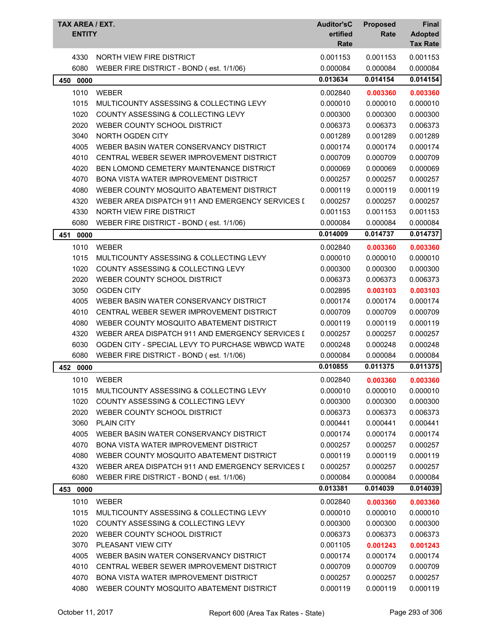| TAX AREA / EXT.<br><b>ENTITY</b> |                                                                               | <b>Auditor'sC</b><br>ertified<br>Rate | <b>Proposed</b><br>Rate | Final<br><b>Adopted</b><br><b>Tax Rate</b> |
|----------------------------------|-------------------------------------------------------------------------------|---------------------------------------|-------------------------|--------------------------------------------|
| 4330                             | NORTH VIEW FIRE DISTRICT                                                      | 0.001153                              | 0.001153                | 0.001153                                   |
| 6080                             | WEBER FIRE DISTRICT - BOND (est. 1/1/06)                                      | 0.000084                              | 0.000084                | 0.000084                                   |
| 450 0000                         |                                                                               | 0.013634                              | 0.014154                | 0.014154                                   |
| 1010                             | WEBER                                                                         | 0.002840                              | 0.003360                | 0.003360                                   |
| 1015                             | MULTICOUNTY ASSESSING & COLLECTING LEVY                                       | 0.000010                              | 0.000010                | 0.000010                                   |
| 1020                             | COUNTY ASSESSING & COLLECTING LEVY                                            | 0.000300                              | 0.000300                | 0.000300                                   |
| 2020                             | WEBER COUNTY SCHOOL DISTRICT                                                  | 0.006373                              | 0.006373                | 0.006373                                   |
| 3040                             | NORTH OGDEN CITY                                                              | 0.001289                              | 0.001289                | 0.001289                                   |
| 4005                             | WEBER BASIN WATER CONSERVANCY DISTRICT                                        | 0.000174                              | 0.000174                | 0.000174                                   |
| 4010                             | CENTRAL WEBER SEWER IMPROVEMENT DISTRICT                                      | 0.000709                              | 0.000709                | 0.000709                                   |
| 4020                             | BEN LOMOND CEMETERY MAINTENANCE DISTRICT                                      | 0.000069                              | 0.000069                | 0.000069                                   |
| 4070                             | <b>BONA VISTA WATER IMPROVEMENT DISTRICT</b>                                  | 0.000257                              | 0.000257                | 0.000257                                   |
| 4080                             | WEBER COUNTY MOSQUITO ABATEMENT DISTRICT                                      | 0.000119                              | 0.000119                | 0.000119                                   |
| 4320                             | WEBER AREA DISPATCH 911 AND EMERGENCY SERVICES I                              | 0.000257                              | 0.000257                | 0.000257                                   |
| 4330                             | NORTH VIEW FIRE DISTRICT                                                      | 0.001153                              | 0.001153                | 0.001153                                   |
| 6080                             | WEBER FIRE DISTRICT - BOND (est. 1/1/06)                                      | 0.000084                              | 0.000084                | 0.000084                                   |
| 451<br>0000                      |                                                                               | 0.014009                              | 0.014737                | 0.014737                                   |
| 1010                             | WEBER                                                                         | 0.002840                              | 0.003360                | 0.003360                                   |
| 1015                             | MULTICOUNTY ASSESSING & COLLECTING LEVY                                       | 0.000010                              | 0.000010                | 0.000010                                   |
| 1020                             | COUNTY ASSESSING & COLLECTING LEVY                                            | 0.000300                              | 0.000300                | 0.000300                                   |
| 2020                             | WEBER COUNTY SCHOOL DISTRICT                                                  | 0.006373                              | 0.006373                | 0.006373                                   |
| 3050                             | <b>OGDEN CITY</b>                                                             | 0.002895                              | 0.003103                | 0.003103                                   |
| 4005                             | WEBER BASIN WATER CONSERVANCY DISTRICT                                        | 0.000174                              | 0.000174                | 0.000174                                   |
| 4010                             | CENTRAL WEBER SEWER IMPROVEMENT DISTRICT                                      | 0.000709                              | 0.000709                | 0.000709                                   |
| 4080                             | WEBER COUNTY MOSQUITO ABATEMENT DISTRICT                                      | 0.000119                              | 0.000119                | 0.000119                                   |
| 4320                             | WEBER AREA DISPATCH 911 AND EMERGENCY SERVICES I                              | 0.000257                              | 0.000257                | 0.000257                                   |
| 6030                             | OGDEN CITY - SPECIAL LEVY TO PURCHASE WBWCD WATE                              | 0.000248                              | 0.000248                | 0.000248                                   |
| 6080                             | WEBER FIRE DISTRICT - BOND (est. 1/1/06)                                      | 0.000084                              | 0.000084                | 0.000084                                   |
| 452<br>0000                      |                                                                               | 0.010855                              | 0.011375                | 0.011375                                   |
| 1010                             | WEBER                                                                         | 0.002840                              | 0.003360                | 0.003360                                   |
| 1015                             | MULTICOUNTY ASSESSING & COLLECTING LEVY                                       | 0.000010                              | 0.000010                | 0.000010                                   |
| 1020                             | COUNTY ASSESSING & COLLECTING LEVY                                            | 0.000300                              | 0.000300                | 0.000300                                   |
| 2020                             | WEBER COUNTY SCHOOL DISTRICT                                                  | 0.006373                              | 0.006373                | 0.006373                                   |
| 3060                             | <b>PLAIN CITY</b>                                                             | 0.000441                              | 0.000441                | 0.000441                                   |
| 4005                             | WEBER BASIN WATER CONSERVANCY DISTRICT                                        | 0.000174                              | 0.000174                | 0.000174                                   |
| 4070                             | <b>BONA VISTA WATER IMPROVEMENT DISTRICT</b>                                  | 0.000257                              | 0.000257                | 0.000257                                   |
| 4080                             | WEBER COUNTY MOSQUITO ABATEMENT DISTRICT                                      | 0.000119                              | 0.000119                | 0.000119                                   |
| 4320                             | WEBER AREA DISPATCH 911 AND EMERGENCY SERVICES I                              | 0.000257                              | 0.000257                | 0.000257                                   |
| 6080                             | WEBER FIRE DISTRICT - BOND (est. 1/1/06)                                      | 0.000084                              | 0.000084                | 0.000084                                   |
| 453 0000                         |                                                                               | 0.013381                              | 0.014039                | 0.014039                                   |
| 1010                             | WEBER                                                                         | 0.002840                              |                         |                                            |
|                                  |                                                                               |                                       | 0.003360                | 0.003360                                   |
| 1015<br>1020                     | MULTICOUNTY ASSESSING & COLLECTING LEVY<br>COUNTY ASSESSING & COLLECTING LEVY | 0.000010                              | 0.000010                | 0.000010                                   |
| 2020                             | WEBER COUNTY SCHOOL DISTRICT                                                  | 0.000300<br>0.006373                  | 0.000300                | 0.000300<br>0.006373                       |
| 3070                             | PLEASANT VIEW CITY                                                            |                                       | 0.006373                |                                            |
| 4005                             | WEBER BASIN WATER CONSERVANCY DISTRICT                                        | 0.001105<br>0.000174                  | 0.001243<br>0.000174    | 0.001243<br>0.000174                       |
| 4010                             | CENTRAL WEBER SEWER IMPROVEMENT DISTRICT                                      | 0.000709                              | 0.000709                | 0.000709                                   |
| 4070                             | <b>BONA VISTA WATER IMPROVEMENT DISTRICT</b>                                  | 0.000257                              | 0.000257                | 0.000257                                   |
| 4080                             | WEBER COUNTY MOSQUITO ABATEMENT DISTRICT                                      | 0.000119                              | 0.000119                | 0.000119                                   |
|                                  |                                                                               |                                       |                         |                                            |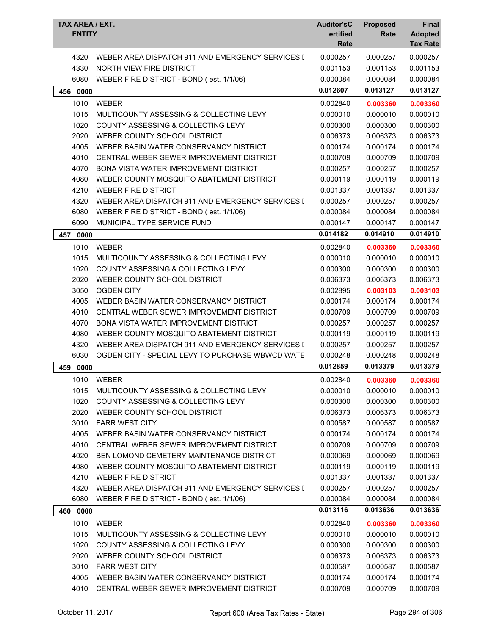| TAX AREA / EXT.<br><b>ENTITY</b> |                                                  | <b>Auditor'sC</b><br>ertified<br>Rate | <b>Proposed</b><br>Rate | Final<br><b>Adopted</b><br><b>Tax Rate</b> |
|----------------------------------|--------------------------------------------------|---------------------------------------|-------------------------|--------------------------------------------|
| 4320                             | WEBER AREA DISPATCH 911 AND EMERGENCY SERVICES I | 0.000257                              | 0.000257                | 0.000257                                   |
| 4330                             | NORTH VIEW FIRE DISTRICT                         | 0.001153                              | 0.001153                | 0.001153                                   |
| 6080                             | WEBER FIRE DISTRICT - BOND (est. 1/1/06)         | 0.000084                              | 0.000084                | 0.000084                                   |
| 0000<br>456                      |                                                  | 0.012607                              | 0.013127                | 0.013127                                   |
| 1010                             | <b>WEBER</b>                                     | 0.002840                              | 0.003360                | 0.003360                                   |
| 1015                             | MULTICOUNTY ASSESSING & COLLECTING LEVY          | 0.000010                              | 0.000010                | 0.000010                                   |
| 1020                             | COUNTY ASSESSING & COLLECTING LEVY               | 0.000300                              | 0.000300                | 0.000300                                   |
| 2020                             | WEBER COUNTY SCHOOL DISTRICT                     | 0.006373                              | 0.006373                | 0.006373                                   |
| 4005                             | WEBER BASIN WATER CONSERVANCY DISTRICT           | 0.000174                              | 0.000174                | 0.000174                                   |
| 4010                             | CENTRAL WEBER SEWER IMPROVEMENT DISTRICT         | 0.000709                              | 0.000709                | 0.000709                                   |
| 4070                             | BONA VISTA WATER IMPROVEMENT DISTRICT            | 0.000257                              | 0.000257                | 0.000257                                   |
| 4080                             | WEBER COUNTY MOSQUITO ABATEMENT DISTRICT         | 0.000119                              | 0.000119                | 0.000119                                   |
| 4210                             | <b>WEBER FIRE DISTRICT</b>                       | 0.001337                              | 0.001337                | 0.001337                                   |
| 4320                             | WEBER AREA DISPATCH 911 AND EMERGENCY SERVICES I | 0.000257                              | 0.000257                | 0.000257                                   |
| 6080                             | WEBER FIRE DISTRICT - BOND (est. 1/1/06)         | 0.000084                              | 0.000084                | 0.000084                                   |
| 6090                             | MUNICIPAL TYPE SERVICE FUND                      | 0.000147                              | 0.000147                | 0.000147                                   |
| 457<br>0000                      |                                                  | 0.014182                              | 0.014910                | 0.014910                                   |
| 1010                             | <b>WEBER</b>                                     | 0.002840                              | 0.003360                | 0.003360                                   |
| 1015                             | MULTICOUNTY ASSESSING & COLLECTING LEVY          | 0.000010                              | 0.000010                | 0.000010                                   |
| 1020                             | COUNTY ASSESSING & COLLECTING LEVY               | 0.000300                              | 0.000300                | 0.000300                                   |
| 2020                             | WEBER COUNTY SCHOOL DISTRICT                     | 0.006373                              | 0.006373                | 0.006373                                   |
| 3050                             | <b>OGDEN CITY</b>                                | 0.002895                              | 0.003103                | 0.003103                                   |
| 4005                             | WEBER BASIN WATER CONSERVANCY DISTRICT           | 0.000174                              | 0.000174                | 0.000174                                   |
| 4010                             | CENTRAL WEBER SEWER IMPROVEMENT DISTRICT         | 0.000709                              | 0.000709                | 0.000709                                   |
| 4070                             | <b>BONA VISTA WATER IMPROVEMENT DISTRICT</b>     | 0.000257                              | 0.000257                | 0.000257                                   |
| 4080                             | WEBER COUNTY MOSQUITO ABATEMENT DISTRICT         | 0.000119                              | 0.000119                | 0.000119                                   |
| 4320                             | WEBER AREA DISPATCH 911 AND EMERGENCY SERVICES I | 0.000257                              | 0.000257                | 0.000257                                   |
| 6030                             | OGDEN CITY - SPECIAL LEVY TO PURCHASE WBWCD WATE | 0.000248                              | 0.000248                | 0.000248                                   |
| 459<br>0000                      |                                                  | 0.012859                              | 0.013379                | 0.013379                                   |
| 1010                             | <b>WEBER</b>                                     | 0.002840                              | 0.003360                | 0.003360                                   |
| 1015                             | MULTICOUNTY ASSESSING & COLLECTING LEVY          | 0.000010                              | 0.000010                | 0.000010                                   |
| 1020                             | <b>COUNTY ASSESSING &amp; COLLECTING LEVY</b>    | 0.000300                              | 0.000300                | 0.000300                                   |
| 2020                             | WEBER COUNTY SCHOOL DISTRICT                     | 0.006373                              | 0.006373                | 0.006373                                   |
| 3010                             | <b>FARR WEST CITY</b>                            | 0.000587                              | 0.000587                | 0.000587                                   |
| 4005                             | WEBER BASIN WATER CONSERVANCY DISTRICT           | 0.000174                              | 0.000174                | 0.000174                                   |
| 4010                             | CENTRAL WEBER SEWER IMPROVEMENT DISTRICT         | 0.000709                              | 0.000709                | 0.000709                                   |
| 4020                             | BEN LOMOND CEMETERY MAINTENANCE DISTRICT         | 0.000069                              | 0.000069                | 0.000069                                   |
| 4080                             | WEBER COUNTY MOSQUITO ABATEMENT DISTRICT         | 0.000119                              | 0.000119                | 0.000119                                   |
| 4210                             | <b>WEBER FIRE DISTRICT</b>                       | 0.001337                              | 0.001337                | 0.001337                                   |
| 4320                             | WEBER AREA DISPATCH 911 AND EMERGENCY SERVICES I | 0.000257                              | 0.000257                | 0.000257                                   |
| 6080                             | WEBER FIRE DISTRICT - BOND (est. 1/1/06)         | 0.000084                              | 0.000084                | 0.000084                                   |
| 0000<br>460                      |                                                  | 0.013116                              | 0.013636                | 0.013636                                   |
| 1010                             | <b>WEBER</b>                                     | 0.002840                              | 0.003360                | 0.003360                                   |
| 1015                             | MULTICOUNTY ASSESSING & COLLECTING LEVY          | 0.000010                              | 0.000010                | 0.000010                                   |
| 1020                             | COUNTY ASSESSING & COLLECTING LEVY               | 0.000300                              | 0.000300                | 0.000300                                   |
| 2020                             | WEBER COUNTY SCHOOL DISTRICT                     | 0.006373                              | 0.006373                | 0.006373                                   |
| 3010                             | <b>FARR WEST CITY</b>                            | 0.000587                              | 0.000587                | 0.000587                                   |
| 4005                             | WEBER BASIN WATER CONSERVANCY DISTRICT           | 0.000174                              | 0.000174                | 0.000174                                   |
| 4010                             | CENTRAL WEBER SEWER IMPROVEMENT DISTRICT         | 0.000709                              | 0.000709                | 0.000709                                   |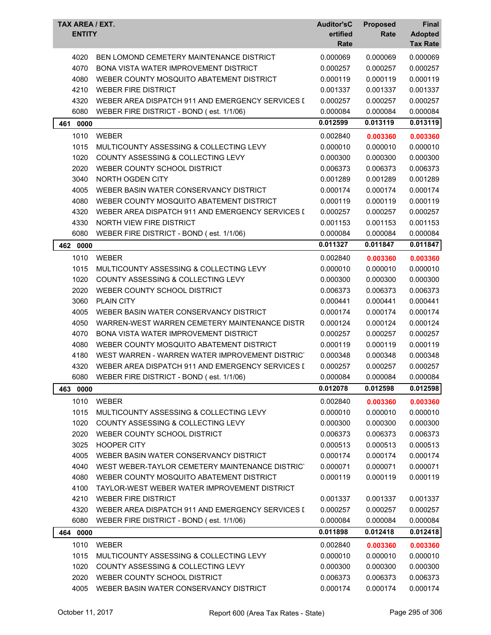| <b>TAX AREA / EXT.</b><br><b>ENTITY</b> |                                                  | <b>Auditor'sC</b><br>ertified<br>Rate | <b>Proposed</b><br>Rate | Final<br><b>Adopted</b><br><b>Tax Rate</b> |
|-----------------------------------------|--------------------------------------------------|---------------------------------------|-------------------------|--------------------------------------------|
| 4020                                    | BEN LOMOND CEMETERY MAINTENANCE DISTRICT         | 0.000069                              | 0.000069                | 0.000069                                   |
| 4070                                    | BONA VISTA WATER IMPROVEMENT DISTRICT            | 0.000257                              | 0.000257                | 0.000257                                   |
| 4080                                    | WEBER COUNTY MOSQUITO ABATEMENT DISTRICT         | 0.000119                              | 0.000119                | 0.000119                                   |
| 4210                                    | <b>WEBER FIRE DISTRICT</b>                       | 0.001337                              | 0.001337                | 0.001337                                   |
| 4320                                    | WEBER AREA DISPATCH 911 AND EMERGENCY SERVICES I | 0.000257                              | 0.000257                | 0.000257                                   |
| 6080                                    | WEBER FIRE DISTRICT - BOND (est. 1/1/06)         | 0.000084                              | 0.000084                | 0.000084                                   |
| 0000<br>461                             |                                                  | 0.012599                              | 0.013119                | 0.013119                                   |
| 1010                                    | <b>WEBER</b>                                     | 0.002840                              | 0.003360                | 0.003360                                   |
| 1015                                    | MULTICOUNTY ASSESSING & COLLECTING LEVY          | 0.000010                              | 0.000010                | 0.000010                                   |
| 1020                                    | COUNTY ASSESSING & COLLECTING LEVY               | 0.000300                              | 0.000300                | 0.000300                                   |
| 2020                                    | WEBER COUNTY SCHOOL DISTRICT                     | 0.006373                              | 0.006373                | 0.006373                                   |
| 3040                                    | NORTH OGDEN CITY                                 | 0.001289                              | 0.001289                | 0.001289                                   |
| 4005                                    | WEBER BASIN WATER CONSERVANCY DISTRICT           | 0.000174                              | 0.000174                | 0.000174                                   |
| 4080                                    | WEBER COUNTY MOSQUITO ABATEMENT DISTRICT         | 0.000119                              | 0.000119                | 0.000119                                   |
| 4320                                    | WEBER AREA DISPATCH 911 AND EMERGENCY SERVICES I | 0.000257                              | 0.000257                | 0.000257                                   |
| 4330                                    | <b>NORTH VIEW FIRE DISTRICT</b>                  | 0.001153                              | 0.001153                | 0.001153                                   |
| 6080                                    | WEBER FIRE DISTRICT - BOND (est. 1/1/06)         | 0.000084                              | 0.000084                | 0.000084                                   |
| 462<br>0000                             |                                                  | 0.011327                              | 0.011847                | 0.011847                                   |
| 1010                                    | <b>WEBER</b>                                     | 0.002840                              | 0.003360                | 0.003360                                   |
| 1015                                    | MULTICOUNTY ASSESSING & COLLECTING LEVY          | 0.000010                              | 0.000010                | 0.000010                                   |
| 1020                                    | COUNTY ASSESSING & COLLECTING LEVY               | 0.000300                              | 0.000300                | 0.000300                                   |
| 2020                                    | WEBER COUNTY SCHOOL DISTRICT                     | 0.006373                              | 0.006373                | 0.006373                                   |
| 3060                                    | <b>PLAIN CITY</b>                                | 0.000441                              | 0.000441                | 0.000441                                   |
| 4005                                    | WEBER BASIN WATER CONSERVANCY DISTRICT           | 0.000174                              | 0.000174                | 0.000174                                   |
| 4050                                    | WARREN-WEST WARREN CEMETERY MAINTENANCE DISTR    | 0.000124                              | 0.000124                | 0.000124                                   |
| 4070                                    | <b>BONA VISTA WATER IMPROVEMENT DISTRICT</b>     | 0.000257                              | 0.000257                | 0.000257                                   |
| 4080                                    | WEBER COUNTY MOSQUITO ABATEMENT DISTRICT         | 0.000119                              | 0.000119                | 0.000119                                   |
| 4180                                    | WEST WARREN - WARREN WATER IMPROVEMENT DISTRICT  | 0.000348                              | 0.000348                | 0.000348                                   |
| 4320                                    | WEBER AREA DISPATCH 911 AND EMERGENCY SERVICES I | 0.000257                              | 0.000257                | 0.000257                                   |
| 6080                                    | WEBER FIRE DISTRICT - BOND (est. 1/1/06)         | 0.000084                              | 0.000084                | 0.000084                                   |
| 463<br>0000                             |                                                  | 0.012078                              | 0.012598                | 0.012598                                   |
| 1010                                    | <b>WEBER</b>                                     | 0.002840                              | 0.003360                | 0.003360                                   |
| 1015                                    | MULTICOUNTY ASSESSING & COLLECTING LEVY          | 0.000010                              | 0.000010                | 0.000010                                   |
| 1020                                    | COUNTY ASSESSING & COLLECTING LEVY               | 0.000300                              | 0.000300                | 0.000300                                   |
| 2020                                    | WEBER COUNTY SCHOOL DISTRICT                     | 0.006373                              | 0.006373                | 0.006373                                   |
| 3025                                    | <b>HOOPER CITY</b>                               | 0.000513                              | 0.000513                | 0.000513                                   |
| 4005                                    | WEBER BASIN WATER CONSERVANCY DISTRICT           | 0.000174                              | 0.000174                | 0.000174                                   |
| 4040                                    | WEST WEBER-TAYLOR CEMETERY MAINTENANCE DISTRICT  | 0.000071                              | 0.000071                | 0.000071                                   |
| 4080                                    | WEBER COUNTY MOSQUITO ABATEMENT DISTRICT         | 0.000119                              | 0.000119                | 0.000119                                   |
| 4100                                    | TAYLOR-WEST WEBER WATER IMPROVEMENT DISTRICT     |                                       |                         |                                            |
| 4210                                    | <b>WEBER FIRE DISTRICT</b>                       | 0.001337                              | 0.001337                | 0.001337                                   |
| 4320                                    | WEBER AREA DISPATCH 911 AND EMERGENCY SERVICES I | 0.000257                              | 0.000257                | 0.000257                                   |
| 6080                                    | WEBER FIRE DISTRICT - BOND (est. 1/1/06)         | 0.000084                              | 0.000084                | 0.000084                                   |
| 464 0000                                |                                                  | 0.011898                              | 0.012418                | 0.012418                                   |
| 1010                                    | <b>WEBER</b>                                     | 0.002840                              | 0.003360                | 0.003360                                   |
| 1015                                    | MULTICOUNTY ASSESSING & COLLECTING LEVY          | 0.000010                              | 0.000010                | 0.000010                                   |
| 1020                                    | COUNTY ASSESSING & COLLECTING LEVY               | 0.000300                              | 0.000300                | 0.000300                                   |
| 2020                                    | WEBER COUNTY SCHOOL DISTRICT                     | 0.006373                              | 0.006373                | 0.006373                                   |
| 4005                                    | WEBER BASIN WATER CONSERVANCY DISTRICT           | 0.000174                              | 0.000174                | 0.000174                                   |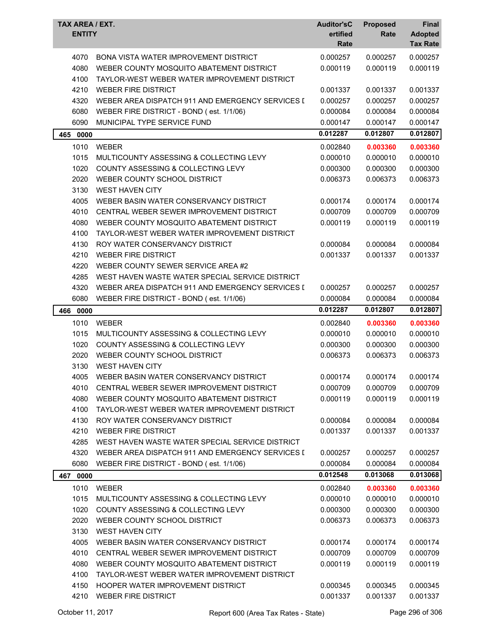| TAX AREA / EXT.<br><b>ENTITY</b> |                                                  | <b>Auditor'sC</b><br>ertified<br>Rate | <b>Proposed</b><br>Rate | Final<br><b>Adopted</b><br><b>Tax Rate</b> |
|----------------------------------|--------------------------------------------------|---------------------------------------|-------------------------|--------------------------------------------|
| 4070                             | <b>BONA VISTA WATER IMPROVEMENT DISTRICT</b>     | 0.000257                              | 0.000257                | 0.000257                                   |
| 4080                             | WEBER COUNTY MOSQUITO ABATEMENT DISTRICT         | 0.000119                              | 0.000119                | 0.000119                                   |
| 4100                             | TAYLOR-WEST WEBER WATER IMPROVEMENT DISTRICT     |                                       |                         |                                            |
| 4210                             | <b>WEBER FIRE DISTRICT</b>                       | 0.001337                              | 0.001337                | 0.001337                                   |
| 4320                             | WEBER AREA DISPATCH 911 AND EMERGENCY SERVICES I | 0.000257                              | 0.000257                | 0.000257                                   |
| 6080                             | WEBER FIRE DISTRICT - BOND (est. 1/1/06)         | 0.000084                              | 0.000084                | 0.000084                                   |
| 6090                             | MUNICIPAL TYPE SERVICE FUND                      | 0.000147                              | 0.000147                | 0.000147                                   |
| 0000<br>465                      |                                                  | 0.012287                              | 0.012807                | 0.012807                                   |
| 1010                             | <b>WEBER</b>                                     | 0.002840                              | 0.003360                | 0.003360                                   |
| 1015                             | MULTICOUNTY ASSESSING & COLLECTING LEVY          | 0.000010                              | 0.000010                | 0.000010                                   |
| 1020                             | COUNTY ASSESSING & COLLECTING LEVY               | 0.000300                              | 0.000300                | 0.000300                                   |
| 2020                             | WEBER COUNTY SCHOOL DISTRICT                     | 0.006373                              | 0.006373                | 0.006373                                   |
| 3130                             | <b>WEST HAVEN CITY</b>                           |                                       |                         |                                            |
| 4005                             | WEBER BASIN WATER CONSERVANCY DISTRICT           | 0.000174                              | 0.000174                | 0.000174                                   |
| 4010                             | CENTRAL WEBER SEWER IMPROVEMENT DISTRICT         | 0.000709                              | 0.000709                | 0.000709                                   |
| 4080                             | WEBER COUNTY MOSQUITO ABATEMENT DISTRICT         | 0.000119                              | 0.000119                | 0.000119                                   |
| 4100                             | TAYLOR-WEST WEBER WATER IMPROVEMENT DISTRICT     |                                       |                         |                                            |
| 4130                             | ROY WATER CONSERVANCY DISTRICT                   | 0.000084                              | 0.000084                | 0.000084                                   |
| 4210                             | <b>WEBER FIRE DISTRICT</b>                       | 0.001337                              | 0.001337                | 0.001337                                   |
| 4220                             | WEBER COUNTY SEWER SERVICE AREA #2               |                                       |                         |                                            |
| 4285                             | WEST HAVEN WASTE WATER SPECIAL SERVICE DISTRICT  |                                       |                         |                                            |
| 4320                             | WEBER AREA DISPATCH 911 AND EMERGENCY SERVICES I | 0.000257                              | 0.000257                | 0.000257                                   |
| 6080                             | WEBER FIRE DISTRICT - BOND (est. 1/1/06)         | 0.000084                              | 0.000084                | 0.000084                                   |
| 466 0000                         |                                                  | 0.012287                              | 0.012807                | 0.012807                                   |
| 1010                             | <b>WEBER</b>                                     | 0.002840                              | 0.003360                | 0.003360                                   |
| 1015                             | MULTICOUNTY ASSESSING & COLLECTING LEVY          | 0.000010                              | 0.000010                | 0.000010                                   |
| 1020                             | COUNTY ASSESSING & COLLECTING LEVY               | 0.000300                              | 0.000300                | 0.000300                                   |
| 2020                             | WEBER COUNTY SCHOOL DISTRICT                     | 0.006373                              | 0.006373                | 0.006373                                   |
| 3130                             | <b>WEST HAVEN CITY</b>                           |                                       |                         |                                            |
|                                  | 4005 WEBER BASIN WATER CONSERVANCY DISTRICT      | 0.000174                              | 0.000174                | 0.000174                                   |
| 4010                             | CENTRAL WEBER SEWER IMPROVEMENT DISTRICT         | 0.000709                              | 0.000709                | 0.000709                                   |
| 4080                             | WEBER COUNTY MOSQUITO ABATEMENT DISTRICT         | 0.000119                              | 0.000119                | 0.000119                                   |
| 4100                             | TAYLOR-WEST WEBER WATER IMPROVEMENT DISTRICT     |                                       |                         |                                            |
| 4130                             | ROY WATER CONSERVANCY DISTRICT                   | 0.000084                              | 0.000084                | 0.000084                                   |
| 4210                             | <b>WEBER FIRE DISTRICT</b>                       | 0.001337                              | 0.001337                | 0.001337                                   |
| 4285                             | WEST HAVEN WASTE WATER SPECIAL SERVICE DISTRICT  |                                       |                         |                                            |
| 4320                             | WEBER AREA DISPATCH 911 AND EMERGENCY SERVICES I | 0.000257                              | 0.000257                | 0.000257                                   |
| 6080                             | WEBER FIRE DISTRICT - BOND (est. 1/1/06)         | 0.000084                              | 0.000084                | 0.000084                                   |
| 467 0000                         |                                                  | 0.012548                              | 0.013068                | 0.013068                                   |
| 1010                             | <b>WEBER</b>                                     | 0.002840                              | 0.003360                | 0.003360                                   |
| 1015                             | MULTICOUNTY ASSESSING & COLLECTING LEVY          | 0.000010                              | 0.000010                | 0.000010                                   |
| 1020                             | COUNTY ASSESSING & COLLECTING LEVY               | 0.000300                              | 0.000300                | 0.000300                                   |
| 2020                             | WEBER COUNTY SCHOOL DISTRICT                     | 0.006373                              | 0.006373                | 0.006373                                   |
| 3130                             | <b>WEST HAVEN CITY</b>                           |                                       |                         |                                            |
| 4005                             | WEBER BASIN WATER CONSERVANCY DISTRICT           | 0.000174                              | 0.000174                | 0.000174                                   |
| 4010                             | CENTRAL WEBER SEWER IMPROVEMENT DISTRICT         | 0.000709                              | 0.000709                | 0.000709                                   |
| 4080                             | WEBER COUNTY MOSQUITO ABATEMENT DISTRICT         | 0.000119                              | 0.000119                | 0.000119                                   |
| 4100                             | TAYLOR-WEST WEBER WATER IMPROVEMENT DISTRICT     |                                       |                         |                                            |
| 4150                             | HOOPER WATER IMPROVEMENT DISTRICT                | 0.000345                              | 0.000345                | 0.000345                                   |
| 4210                             | <b>WEBER FIRE DISTRICT</b>                       | 0.001337                              | 0.001337                | 0.001337                                   |
|                                  |                                                  |                                       |                         |                                            |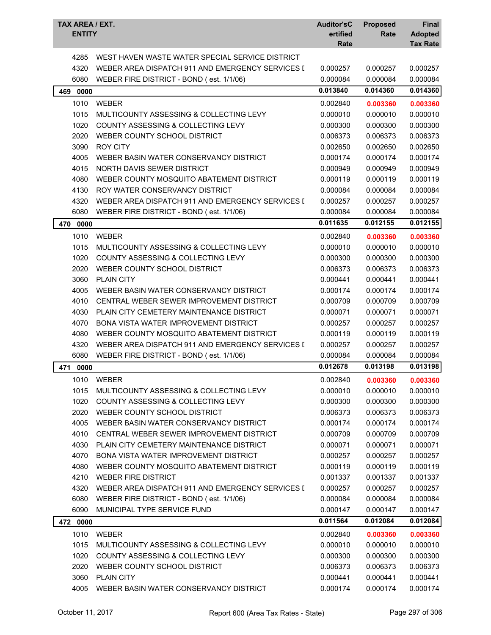| <b>TAX AREA / EXT.</b><br><b>ENTITY</b> |                                                         | <b>Auditor'sC</b><br>ertified<br>Rate | <b>Proposed</b><br>Rate | Final<br><b>Adopted</b><br><b>Tax Rate</b> |
|-----------------------------------------|---------------------------------------------------------|---------------------------------------|-------------------------|--------------------------------------------|
| 4285                                    | WEST HAVEN WASTE WATER SPECIAL SERVICE DISTRICT         |                                       |                         |                                            |
| 4320                                    | WEBER AREA DISPATCH 911 AND EMERGENCY SERVICES I        | 0.000257                              | 0.000257                | 0.000257                                   |
| 6080                                    | WEBER FIRE DISTRICT - BOND (est. 1/1/06)                | 0.000084                              | 0.000084                | 0.000084                                   |
| 469<br>0000                             |                                                         | 0.013840                              | 0.014360                | 0.014360                                   |
| 1010                                    |                                                         |                                       |                         |                                            |
| 1015                                    | <b>WEBER</b><br>MULTICOUNTY ASSESSING & COLLECTING LEVY | 0.002840<br>0.000010                  | 0.003360<br>0.000010    | 0.003360<br>0.000010                       |
| 1020                                    | COUNTY ASSESSING & COLLECTING LEVY                      | 0.000300                              | 0.000300                | 0.000300                                   |
| 2020                                    | WEBER COUNTY SCHOOL DISTRICT                            | 0.006373                              | 0.006373                | 0.006373                                   |
| 3090                                    | <b>ROY CITY</b>                                         | 0.002650                              | 0.002650                | 0.002650                                   |
| 4005                                    | WEBER BASIN WATER CONSERVANCY DISTRICT                  | 0.000174                              | 0.000174                | 0.000174                                   |
| 4015                                    | NORTH DAVIS SEWER DISTRICT                              | 0.000949                              | 0.000949                | 0.000949                                   |
| 4080                                    | WEBER COUNTY MOSQUITO ABATEMENT DISTRICT                |                                       |                         |                                            |
|                                         |                                                         | 0.000119                              | 0.000119                | 0.000119                                   |
| 4130                                    | ROY WATER CONSERVANCY DISTRICT                          | 0.000084                              | 0.000084                | 0.000084                                   |
| 4320                                    | WEBER AREA DISPATCH 911 AND EMERGENCY SERVICES I        | 0.000257                              | 0.000257                | 0.000257                                   |
| 6080                                    | WEBER FIRE DISTRICT - BOND (est. 1/1/06)                | 0.000084                              | 0.000084                | 0.000084                                   |
| 470 0000                                |                                                         | 0.011635                              | 0.012155                | 0.012155                                   |
| 1010                                    | <b>WEBER</b>                                            | 0.002840                              | 0.003360                | 0.003360                                   |
| 1015                                    | MULTICOUNTY ASSESSING & COLLECTING LEVY                 | 0.000010                              | 0.000010                | 0.000010                                   |
| 1020                                    | COUNTY ASSESSING & COLLECTING LEVY                      | 0.000300                              | 0.000300                | 0.000300                                   |
| 2020                                    | WEBER COUNTY SCHOOL DISTRICT                            | 0.006373                              | 0.006373                | 0.006373                                   |
| 3060                                    | <b>PLAIN CITY</b>                                       | 0.000441                              | 0.000441                | 0.000441                                   |
| 4005                                    | WEBER BASIN WATER CONSERVANCY DISTRICT                  | 0.000174                              | 0.000174                | 0.000174                                   |
| 4010                                    | CENTRAL WEBER SEWER IMPROVEMENT DISTRICT                | 0.000709                              | 0.000709                | 0.000709                                   |
| 4030                                    | PLAIN CITY CEMETERY MAINTENANCE DISTRICT                | 0.000071                              | 0.000071                | 0.000071                                   |
| 4070                                    | <b>BONA VISTA WATER IMPROVEMENT DISTRICT</b>            | 0.000257                              | 0.000257                | 0.000257                                   |
| 4080                                    | WEBER COUNTY MOSQUITO ABATEMENT DISTRICT                | 0.000119                              | 0.000119                | 0.000119                                   |
| 4320                                    | WEBER AREA DISPATCH 911 AND EMERGENCY SERVICES I        | 0.000257                              | 0.000257                | 0.000257                                   |
| 6080                                    | WEBER FIRE DISTRICT - BOND (est. 1/1/06)                | 0.000084                              | 0.000084                | 0.000084                                   |
| 471 0000                                |                                                         | 0.012678                              | 0.013198                | 0.013198                                   |
| 1010                                    | <b>WEBER</b>                                            | 0.002840                              | 0.003360                | 0.003360                                   |
| 1015                                    | MULTICOUNTY ASSESSING & COLLECTING LEVY                 | 0.000010                              | 0.000010                | 0.000010                                   |
| 1020                                    | COUNTY ASSESSING & COLLECTING LEVY                      | 0.000300                              | 0.000300                | 0.000300                                   |
| 2020                                    | WEBER COUNTY SCHOOL DISTRICT                            | 0.006373                              | 0.006373                | 0.006373                                   |
| 4005                                    | WEBER BASIN WATER CONSERVANCY DISTRICT                  | 0.000174                              | 0.000174                | 0.000174                                   |
| 4010                                    | CENTRAL WEBER SEWER IMPROVEMENT DISTRICT                | 0.000709                              | 0.000709                | 0.000709                                   |
| 4030                                    | PLAIN CITY CEMETERY MAINTENANCE DISTRICT                | 0.000071                              | 0.000071                | 0.000071                                   |
| 4070                                    | <b>BONA VISTA WATER IMPROVEMENT DISTRICT</b>            | 0.000257                              | 0.000257                | 0.000257                                   |
| 4080                                    | WEBER COUNTY MOSQUITO ABATEMENT DISTRICT                | 0.000119                              | 0.000119                | 0.000119                                   |
| 4210                                    | <b>WEBER FIRE DISTRICT</b>                              | 0.001337                              | 0.001337                | 0.001337                                   |
| 4320                                    | WEBER AREA DISPATCH 911 AND EMERGENCY SERVICES I        | 0.000257                              | 0.000257                | 0.000257                                   |
| 6080                                    | WEBER FIRE DISTRICT - BOND (est. 1/1/06)                | 0.000084                              | 0.000084                | 0.000084                                   |
| 6090                                    | MUNICIPAL TYPE SERVICE FUND                             | 0.000147                              | 0.000147                | 0.000147                                   |
| 472 0000                                |                                                         | 0.011564                              | 0.012084                | 0.012084                                   |
| 1010                                    | <b>WEBER</b>                                            | 0.002840                              | 0.003360                | 0.003360                                   |
| 1015                                    | MULTICOUNTY ASSESSING & COLLECTING LEVY                 | 0.000010                              | 0.000010                | 0.000010                                   |
| 1020                                    | <b>COUNTY ASSESSING &amp; COLLECTING LEVY</b>           | 0.000300                              | 0.000300                | 0.000300                                   |
| 2020                                    | WEBER COUNTY SCHOOL DISTRICT                            | 0.006373                              | 0.006373                | 0.006373                                   |
| 3060                                    | <b>PLAIN CITY</b>                                       | 0.000441                              | 0.000441                | 0.000441                                   |
| 4005                                    | WEBER BASIN WATER CONSERVANCY DISTRICT                  | 0.000174                              | 0.000174                | 0.000174                                   |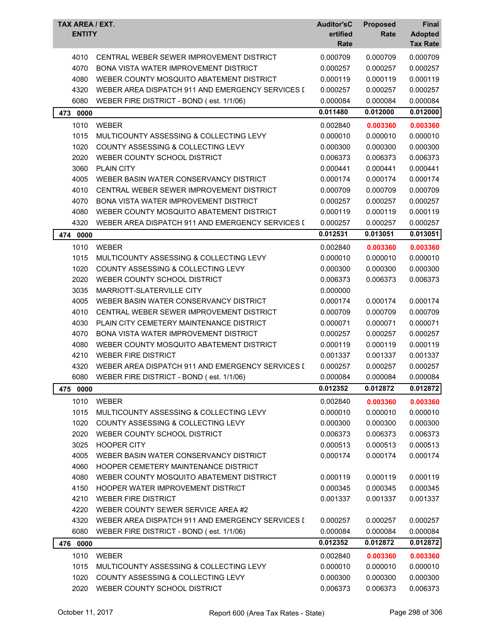| TAX AREA / EXT.<br><b>ENTITY</b> |                                                  | <b>Auditor'sC</b><br>ertified | <b>Proposed</b><br>Rate | Final<br><b>Adopted</b> |
|----------------------------------|--------------------------------------------------|-------------------------------|-------------------------|-------------------------|
|                                  |                                                  | Rate                          |                         | <b>Tax Rate</b>         |
| 4010                             | CENTRAL WEBER SEWER IMPROVEMENT DISTRICT         | 0.000709                      | 0.000709                | 0.000709                |
| 4070                             | <b>BONA VISTA WATER IMPROVEMENT DISTRICT</b>     | 0.000257                      | 0.000257                | 0.000257                |
| 4080                             | WEBER COUNTY MOSQUITO ABATEMENT DISTRICT         | 0.000119                      | 0.000119                | 0.000119                |
| 4320                             | WEBER AREA DISPATCH 911 AND EMERGENCY SERVICES I | 0.000257                      | 0.000257                | 0.000257                |
| 6080                             | WEBER FIRE DISTRICT - BOND (est. 1/1/06)         | 0.000084                      | 0.000084                | 0.000084                |
| 473 0000                         |                                                  | 0.011480                      | 0.012000                | 0.012000                |
| 1010                             | <b>WEBER</b>                                     | 0.002840                      | 0.003360                | 0.003360                |
| 1015                             | MULTICOUNTY ASSESSING & COLLECTING LEVY          | 0.000010                      | 0.000010                | 0.000010                |
| 1020                             | COUNTY ASSESSING & COLLECTING LEVY               | 0.000300                      | 0.000300                | 0.000300                |
| 2020                             | WEBER COUNTY SCHOOL DISTRICT                     | 0.006373                      | 0.006373                | 0.006373                |
| 3060                             | <b>PLAIN CITY</b>                                | 0.000441                      | 0.000441                | 0.000441                |
| 4005                             | WEBER BASIN WATER CONSERVANCY DISTRICT           | 0.000174                      | 0.000174                | 0.000174                |
| 4010                             | CENTRAL WEBER SEWER IMPROVEMENT DISTRICT         | 0.000709                      | 0.000709                | 0.000709                |
| 4070                             | <b>BONA VISTA WATER IMPROVEMENT DISTRICT</b>     | 0.000257                      | 0.000257                | 0.000257                |
| 4080                             | WEBER COUNTY MOSQUITO ABATEMENT DISTRICT         | 0.000119                      | 0.000119                | 0.000119                |
| 4320                             | WEBER AREA DISPATCH 911 AND EMERGENCY SERVICES I | 0.000257                      | 0.000257                | 0.000257                |
| 474<br>0000                      |                                                  | 0.012531                      | 0.013051                | 0.013051                |
| 1010                             | WEBER                                            | 0.002840                      | 0.003360                | 0.003360                |
| 1015                             | MULTICOUNTY ASSESSING & COLLECTING LEVY          | 0.000010                      | 0.000010                | 0.000010                |
| 1020                             | COUNTY ASSESSING & COLLECTING LEVY               | 0.000300                      | 0.000300                | 0.000300                |
| 2020                             | WEBER COUNTY SCHOOL DISTRICT                     | 0.006373                      | 0.006373                | 0.006373                |
| 3035                             | MARRIOTT-SLATERVILLE CITY                        | 0.000000                      |                         |                         |
| 4005                             | WEBER BASIN WATER CONSERVANCY DISTRICT           | 0.000174                      | 0.000174                | 0.000174                |
| 4010                             | CENTRAL WEBER SEWER IMPROVEMENT DISTRICT         | 0.000709                      | 0.000709                | 0.000709                |
| 4030                             | PLAIN CITY CEMETERY MAINTENANCE DISTRICT         | 0.000071                      | 0.000071                | 0.000071                |
| 4070                             | <b>BONA VISTA WATER IMPROVEMENT DISTRICT</b>     | 0.000257                      | 0.000257                | 0.000257                |
| 4080                             | WEBER COUNTY MOSQUITO ABATEMENT DISTRICT         | 0.000119                      | 0.000119                | 0.000119                |
| 4210                             | <b>WEBER FIRE DISTRICT</b>                       | 0.001337                      | 0.001337                | 0.001337                |
| 4320                             | WEBER AREA DISPATCH 911 AND EMERGENCY SERVICES I | 0.000257                      | 0.000257                | 0.000257                |
| 6080                             | WEBER FIRE DISTRICT - BOND (est. 1/1/06)         | 0.000084                      | 0.000084                | 0.000084                |
| 475 0000                         |                                                  | 0.012352                      | 0.012872                | 0.012872                |
| 1010                             | <b>WEBER</b>                                     | 0.002840                      | 0.003360                | 0.003360                |
| 1015                             | MULTICOUNTY ASSESSING & COLLECTING LEVY          | 0.000010                      | 0.000010                | 0.000010                |
| 1020                             | COUNTY ASSESSING & COLLECTING LEVY               | 0.000300                      | 0.000300                | 0.000300                |
| 2020                             | WEBER COUNTY SCHOOL DISTRICT                     | 0.006373                      | 0.006373                | 0.006373                |
| 3025                             | <b>HOOPER CITY</b>                               | 0.000513                      | 0.000513                | 0.000513                |
| 4005                             | WEBER BASIN WATER CONSERVANCY DISTRICT           | 0.000174                      | 0.000174                | 0.000174                |
| 4060                             | HOOPER CEMETERY MAINTENANCE DISTRICT             |                               |                         |                         |
| 4080                             | WEBER COUNTY MOSQUITO ABATEMENT DISTRICT         | 0.000119                      | 0.000119                | 0.000119                |
| 4150                             | HOOPER WATER IMPROVEMENT DISTRICT                | 0.000345                      | 0.000345                | 0.000345                |
| 4210                             | <b>WEBER FIRE DISTRICT</b>                       | 0.001337                      | 0.001337                | 0.001337                |
| 4220                             | WEBER COUNTY SEWER SERVICE AREA #2               |                               |                         |                         |
| 4320                             | WEBER AREA DISPATCH 911 AND EMERGENCY SERVICES I | 0.000257                      | 0.000257                | 0.000257                |
| 6080                             | WEBER FIRE DISTRICT - BOND (est. 1/1/06)         | 0.000084                      | 0.000084                | 0.000084                |
| 476 0000                         |                                                  | 0.012352                      | 0.012872                | 0.012872                |
| 1010                             | <b>WEBER</b>                                     | 0.002840                      | 0.003360                | 0.003360                |
| 1015                             | MULTICOUNTY ASSESSING & COLLECTING LEVY          | 0.000010                      | 0.000010                | 0.000010                |
| 1020                             | COUNTY ASSESSING & COLLECTING LEVY               | 0.000300                      | 0.000300                | 0.000300                |
| 2020                             | WEBER COUNTY SCHOOL DISTRICT                     | 0.006373                      | 0.006373                | 0.006373                |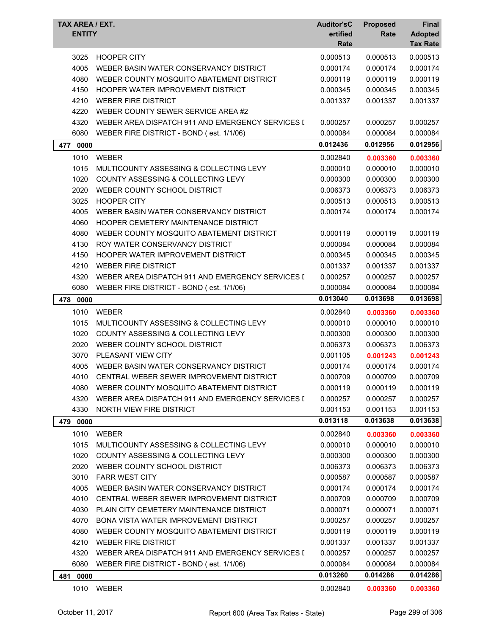| TAX AREA / EXT.<br><b>ENTITY</b> |                                                  | <b>Auditor'sC</b><br>ertified<br>Rate | <b>Proposed</b><br>Rate | Final<br><b>Adopted</b><br><b>Tax Rate</b> |
|----------------------------------|--------------------------------------------------|---------------------------------------|-------------------------|--------------------------------------------|
| 3025                             | <b>HOOPER CITY</b>                               | 0.000513                              | 0.000513                | 0.000513                                   |
| 4005                             | WEBER BASIN WATER CONSERVANCY DISTRICT           | 0.000174                              | 0.000174                | 0.000174                                   |
| 4080                             | WEBER COUNTY MOSQUITO ABATEMENT DISTRICT         | 0.000119                              | 0.000119                | 0.000119                                   |
| 4150                             | HOOPER WATER IMPROVEMENT DISTRICT                | 0.000345                              | 0.000345                | 0.000345                                   |
| 4210                             | <b>WEBER FIRE DISTRICT</b>                       | 0.001337                              | 0.001337                | 0.001337                                   |
| 4220                             | WEBER COUNTY SEWER SERVICE AREA #2               |                                       |                         |                                            |
| 4320                             | WEBER AREA DISPATCH 911 AND EMERGENCY SERVICES I | 0.000257                              | 0.000257                | 0.000257                                   |
| 6080                             | WEBER FIRE DISTRICT - BOND (est. 1/1/06)         | 0.000084                              | 0.000084                | 0.000084                                   |
| 477<br>0000                      |                                                  | 0.012436                              | 0.012956                | 0.012956                                   |
| 1010                             | WEBER                                            | 0.002840                              | 0.003360                | 0.003360                                   |
| 1015                             | MULTICOUNTY ASSESSING & COLLECTING LEVY          | 0.000010                              | 0.000010                | 0.000010                                   |
| 1020                             | COUNTY ASSESSING & COLLECTING LEVY               | 0.000300                              | 0.000300                | 0.000300                                   |
| 2020                             | WEBER COUNTY SCHOOL DISTRICT                     | 0.006373                              | 0.006373                | 0.006373                                   |
| 3025                             | <b>HOOPER CITY</b>                               | 0.000513                              | 0.000513                | 0.000513                                   |
| 4005                             | WEBER BASIN WATER CONSERVANCY DISTRICT           | 0.000174                              | 0.000174                | 0.000174                                   |
| 4060                             | HOOPER CEMETERY MAINTENANCE DISTRICT             |                                       |                         |                                            |
| 4080                             | WEBER COUNTY MOSQUITO ABATEMENT DISTRICT         | 0.000119                              | 0.000119                | 0.000119                                   |
| 4130                             | ROY WATER CONSERVANCY DISTRICT                   | 0.000084                              | 0.000084                | 0.000084                                   |
| 4150                             | <b>HOOPER WATER IMPROVEMENT DISTRICT</b>         | 0.000345                              | 0.000345                | 0.000345                                   |
| 4210                             | <b>WEBER FIRE DISTRICT</b>                       | 0.001337                              | 0.001337                | 0.001337                                   |
| 4320                             | WEBER AREA DISPATCH 911 AND EMERGENCY SERVICES [ | 0.000257                              | 0.000257                | 0.000257                                   |
| 6080                             | WEBER FIRE DISTRICT - BOND (est. 1/1/06)         | 0.000084                              | 0.000084                | 0.000084                                   |
| 478<br>0000                      |                                                  | 0.013040                              | 0.013698                | 0.013698                                   |
| 1010                             | <b>WEBER</b>                                     | 0.002840                              | 0.003360                | 0.003360                                   |
| 1015                             | MULTICOUNTY ASSESSING & COLLECTING LEVY          | 0.000010                              | 0.000010                | 0.000010                                   |
| 1020                             | COUNTY ASSESSING & COLLECTING LEVY               | 0.000300                              | 0.000300                | 0.000300                                   |
| 2020                             | WEBER COUNTY SCHOOL DISTRICT                     | 0.006373                              | 0.006373                | 0.006373                                   |
| 3070                             | PLEASANT VIEW CITY                               | 0.001105                              | 0.001243                | 0.001243                                   |
| 4005                             | WEBER BASIN WATER CONSERVANCY DISTRICT           | 0.000174                              | 0.000174                | 0.000174                                   |
| 4010                             | CENTRAL WEBER SEWER IMPROVEMENT DISTRICT         | 0.000709                              | 0.000709                | 0.000709                                   |
| 4080                             | WEBER COUNTY MOSQUITO ABATEMENT DISTRICT         | 0.000119                              | 0.000119                | 0.000119                                   |
| 4320                             | WEBER AREA DISPATCH 911 AND EMERGENCY SERVICES I | 0.000257                              | 0.000257                | 0.000257                                   |
| 4330                             | NORTH VIEW FIRE DISTRICT                         | 0.001153                              | 0.001153                | 0.001153                                   |
| 479 0000                         |                                                  | 0.013118                              | 0.013638                | 0.013638                                   |
| 1010                             | <b>WEBER</b>                                     | 0.002840                              | 0.003360                | 0.003360                                   |
| 1015                             | MULTICOUNTY ASSESSING & COLLECTING LEVY          | 0.000010                              | 0.000010                | 0.000010                                   |
| 1020                             | COUNTY ASSESSING & COLLECTING LEVY               | 0.000300                              | 0.000300                | 0.000300                                   |
| 2020                             | WEBER COUNTY SCHOOL DISTRICT                     | 0.006373                              | 0.006373                | 0.006373                                   |
| 3010                             | <b>FARR WEST CITY</b>                            | 0.000587                              | 0.000587                | 0.000587                                   |
| 4005                             | WEBER BASIN WATER CONSERVANCY DISTRICT           | 0.000174                              | 0.000174                | 0.000174                                   |
| 4010                             | CENTRAL WEBER SEWER IMPROVEMENT DISTRICT         | 0.000709                              | 0.000709                | 0.000709                                   |
| 4030                             | PLAIN CITY CEMETERY MAINTENANCE DISTRICT         | 0.000071                              | 0.000071                | 0.000071                                   |
| 4070                             | <b>BONA VISTA WATER IMPROVEMENT DISTRICT</b>     | 0.000257                              | 0.000257                | 0.000257                                   |
| 4080                             | WEBER COUNTY MOSQUITO ABATEMENT DISTRICT         | 0.000119                              | 0.000119                | 0.000119                                   |
| 4210                             | <b>WEBER FIRE DISTRICT</b>                       | 0.001337                              | 0.001337                | 0.001337                                   |
| 4320                             | WEBER AREA DISPATCH 911 AND EMERGENCY SERVICES I | 0.000257                              | 0.000257                | 0.000257                                   |
| 6080                             | WEBER FIRE DISTRICT - BOND (est. 1/1/06)         | 0.000084                              | 0.000084                | 0.000084                                   |
| 0000<br>481                      |                                                  | 0.013260                              | 0.014286                | 0.014286                                   |
| 1010                             | WEBER                                            | 0.002840                              | 0.003360                | 0.003360                                   |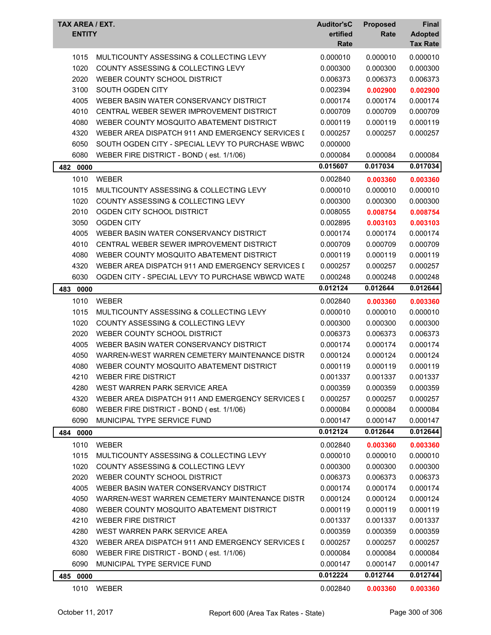| TAX AREA / EXT.<br><b>ENTITY</b> |                                                  | <b>Auditor'sC</b><br>ertified<br>Rate | <b>Proposed</b><br>Rate | Final<br><b>Adopted</b><br><b>Tax Rate</b> |
|----------------------------------|--------------------------------------------------|---------------------------------------|-------------------------|--------------------------------------------|
| 1015                             | MULTICOUNTY ASSESSING & COLLECTING LEVY          | 0.000010                              | 0.000010                | 0.000010                                   |
| 1020                             | COUNTY ASSESSING & COLLECTING LEVY               | 0.000300                              | 0.000300                | 0.000300                                   |
| 2020                             | WEBER COUNTY SCHOOL DISTRICT                     | 0.006373                              | 0.006373                | 0.006373                                   |
| 3100                             | SOUTH OGDEN CITY                                 | 0.002394                              | 0.002900                | 0.002900                                   |
| 4005                             | WEBER BASIN WATER CONSERVANCY DISTRICT           | 0.000174                              | 0.000174                | 0.000174                                   |
| 4010                             | CENTRAL WEBER SEWER IMPROVEMENT DISTRICT         | 0.000709                              | 0.000709                | 0.000709                                   |
| 4080                             | WEBER COUNTY MOSQUITO ABATEMENT DISTRICT         | 0.000119                              | 0.000119                | 0.000119                                   |
| 4320                             | WEBER AREA DISPATCH 911 AND EMERGENCY SERVICES I | 0.000257                              | 0.000257                | 0.000257                                   |
| 6050                             | SOUTH OGDEN CITY - SPECIAL LEVY TO PURCHASE WBWC | 0.000000                              |                         |                                            |
| 6080                             | WEBER FIRE DISTRICT - BOND (est. 1/1/06)         | 0.000084                              | 0.000084                | 0.000084                                   |
| 482 0000                         |                                                  | 0.015607                              | 0.017034                | 0.017034                                   |
| 1010                             | <b>WEBER</b>                                     | 0.002840                              | 0.003360                | 0.003360                                   |
| 1015                             | MULTICOUNTY ASSESSING & COLLECTING LEVY          | 0.000010                              | 0.000010                | 0.000010                                   |
| 1020                             | COUNTY ASSESSING & COLLECTING LEVY               | 0.000300                              | 0.000300                | 0.000300                                   |
| 2010                             | OGDEN CITY SCHOOL DISTRICT                       | 0.008055                              | 0.008754                | 0.008754                                   |
| 3050                             | <b>OGDEN CITY</b>                                | 0.002895                              | 0.003103                | 0.003103                                   |
| 4005                             | WEBER BASIN WATER CONSERVANCY DISTRICT           | 0.000174                              | 0.000174                | 0.000174                                   |
| 4010                             | CENTRAL WEBER SEWER IMPROVEMENT DISTRICT         | 0.000709                              | 0.000709                | 0.000709                                   |
| 4080                             | WEBER COUNTY MOSQUITO ABATEMENT DISTRICT         | 0.000119                              | 0.000119                | 0.000119                                   |
| 4320                             | WEBER AREA DISPATCH 911 AND EMERGENCY SERVICES I | 0.000257                              | 0.000257                | 0.000257                                   |
| 6030                             | OGDEN CITY - SPECIAL LEVY TO PURCHASE WBWCD WATE | 0.000248                              | 0.000248                | 0.000248                                   |
| 483<br>0000                      |                                                  | 0.012124                              | 0.012644                | 0.012644                                   |
| 1010                             | <b>WEBER</b>                                     | 0.002840                              | 0.003360                | 0.003360                                   |
| 1015                             | MULTICOUNTY ASSESSING & COLLECTING LEVY          | 0.000010                              | 0.000010                | 0.000010                                   |
| 1020                             | COUNTY ASSESSING & COLLECTING LEVY               | 0.000300                              | 0.000300                | 0.000300                                   |
| 2020                             | WEBER COUNTY SCHOOL DISTRICT                     | 0.006373                              | 0.006373                | 0.006373                                   |
| 4005                             | WEBER BASIN WATER CONSERVANCY DISTRICT           | 0.000174                              | 0.000174                | 0.000174                                   |
| 4050                             | WARREN-WEST WARREN CEMETERY MAINTENANCE DISTR    | 0.000124                              | 0.000124                | 0.000124                                   |
| 4080                             | WEBER COUNTY MOSQUITO ABATEMENT DISTRICT         | 0.000119                              | 0.000119                | 0.000119                                   |
| 4210                             | WEBER FIRE DISTRICT                              | 0.001337                              | 0.001337                | 0.001337                                   |
| 4280                             | WEST WARREN PARK SERVICE AREA                    | 0.000359                              | 0.000359                | 0.000359                                   |
| 4320                             | WEBER AREA DISPATCH 911 AND EMERGENCY SERVICES I | 0.000257                              | 0.000257                | 0.000257                                   |
| 6080                             | WEBER FIRE DISTRICT - BOND (est. 1/1/06)         | 0.000084                              | 0.000084                | 0.000084                                   |
| 6090                             | MUNICIPAL TYPE SERVICE FUND                      | 0.000147                              | 0.000147                | 0.000147                                   |
| 484 0000                         |                                                  | 0.012124                              | 0.012644                | 0.012644                                   |
| 1010                             | <b>WEBER</b>                                     | 0.002840                              | 0.003360                | 0.003360                                   |
| 1015                             | MULTICOUNTY ASSESSING & COLLECTING LEVY          | 0.000010                              | 0.000010                | 0.000010                                   |
| 1020                             | <b>COUNTY ASSESSING &amp; COLLECTING LEVY</b>    | 0.000300                              | 0.000300                | 0.000300                                   |
| 2020                             | WEBER COUNTY SCHOOL DISTRICT                     | 0.006373                              | 0.006373                | 0.006373                                   |
| 4005                             | WEBER BASIN WATER CONSERVANCY DISTRICT           | 0.000174                              | 0.000174                | 0.000174                                   |
| 4050                             | WARREN-WEST WARREN CEMETERY MAINTENANCE DISTR    | 0.000124                              | 0.000124                | 0.000124                                   |
| 4080                             | WEBER COUNTY MOSQUITO ABATEMENT DISTRICT         | 0.000119                              | 0.000119                | 0.000119                                   |
| 4210                             | <b>WEBER FIRE DISTRICT</b>                       | 0.001337                              | 0.001337                | 0.001337                                   |
| 4280                             | WEST WARREN PARK SERVICE AREA                    | 0.000359                              | 0.000359                | 0.000359                                   |
| 4320                             | WEBER AREA DISPATCH 911 AND EMERGENCY SERVICES I | 0.000257                              | 0.000257                | 0.000257                                   |
| 6080                             | WEBER FIRE DISTRICT - BOND (est. 1/1/06)         | 0.000084                              | 0.000084                | 0.000084                                   |
| 6090                             | MUNICIPAL TYPE SERVICE FUND                      | 0.000147                              | 0.000147                | 0.000147                                   |
| 485 0000                         |                                                  | 0.012224                              | 0.012744                | 0.012744                                   |
| 1010                             | WEBER                                            | 0.002840                              | 0.003360                | 0.003360                                   |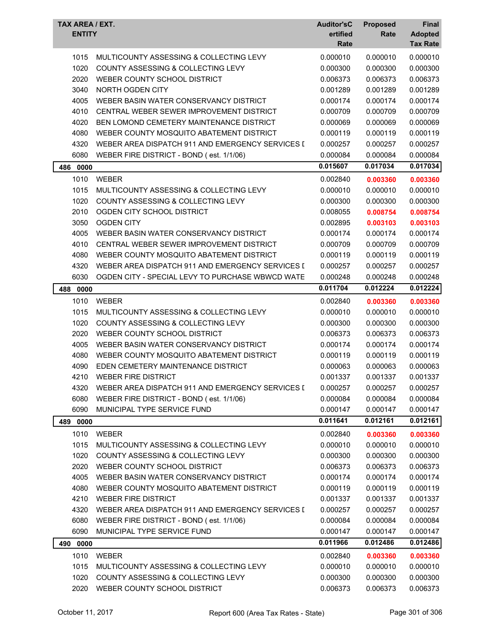| TAX AREA / EXT.<br><b>ENTITY</b> |                                                  | <b>Auditor'sC</b><br>ertified<br>Rate | <b>Proposed</b><br>Rate | Final<br><b>Adopted</b><br><b>Tax Rate</b> |
|----------------------------------|--------------------------------------------------|---------------------------------------|-------------------------|--------------------------------------------|
| 1015                             | MULTICOUNTY ASSESSING & COLLECTING LEVY          | 0.000010                              | 0.000010                | 0.000010                                   |
| 1020                             | COUNTY ASSESSING & COLLECTING LEVY               | 0.000300                              | 0.000300                | 0.000300                                   |
| 2020                             | WEBER COUNTY SCHOOL DISTRICT                     | 0.006373                              | 0.006373                | 0.006373                                   |
| 3040                             | NORTH OGDEN CITY                                 | 0.001289                              | 0.001289                | 0.001289                                   |
| 4005                             | WEBER BASIN WATER CONSERVANCY DISTRICT           | 0.000174                              | 0.000174                | 0.000174                                   |
| 4010                             | CENTRAL WEBER SEWER IMPROVEMENT DISTRICT         | 0.000709                              | 0.000709                | 0.000709                                   |
| 4020                             | BEN LOMOND CEMETERY MAINTENANCE DISTRICT         | 0.000069                              | 0.000069                | 0.000069                                   |
| 4080                             | WEBER COUNTY MOSQUITO ABATEMENT DISTRICT         | 0.000119                              | 0.000119                | 0.000119                                   |
| 4320                             | WEBER AREA DISPATCH 911 AND EMERGENCY SERVICES I | 0.000257                              | 0.000257                | 0.000257                                   |
| 6080                             | WEBER FIRE DISTRICT - BOND (est. 1/1/06)         | 0.000084                              | 0.000084                | 0.000084                                   |
|                                  |                                                  | 0.015607                              | 0.017034                | 0.017034                                   |
| 486 0000                         |                                                  |                                       |                         |                                            |
| 1010                             | <b>WEBER</b>                                     | 0.002840                              | 0.003360                | 0.003360                                   |
| 1015                             | MULTICOUNTY ASSESSING & COLLECTING LEVY          | 0.000010                              | 0.000010                | 0.000010                                   |
| 1020                             | COUNTY ASSESSING & COLLECTING LEVY               | 0.000300                              | 0.000300                | 0.000300                                   |
| 2010                             | OGDEN CITY SCHOOL DISTRICT                       | 0.008055                              | 0.008754                | 0.008754                                   |
| 3050                             | <b>OGDEN CITY</b>                                | 0.002895                              | 0.003103                | 0.003103                                   |
| 4005                             | WEBER BASIN WATER CONSERVANCY DISTRICT           | 0.000174                              | 0.000174                | 0.000174                                   |
| 4010                             | CENTRAL WEBER SEWER IMPROVEMENT DISTRICT         | 0.000709                              | 0.000709                | 0.000709                                   |
| 4080                             | WEBER COUNTY MOSQUITO ABATEMENT DISTRICT         | 0.000119                              | 0.000119                | 0.000119                                   |
| 4320                             | WEBER AREA DISPATCH 911 AND EMERGENCY SERVICES I | 0.000257                              | 0.000257                | 0.000257                                   |
| 6030                             | OGDEN CITY - SPECIAL LEVY TO PURCHASE WBWCD WATE | 0.000248                              | 0.000248                | 0.000248                                   |
| 488<br>0000                      |                                                  | 0.011704                              | 0.012224                | 0.012224                                   |
| 1010                             | <b>WEBER</b>                                     | 0.002840                              | 0.003360                | 0.003360                                   |
| 1015                             | MULTICOUNTY ASSESSING & COLLECTING LEVY          | 0.000010                              | 0.000010                | 0.000010                                   |
| 1020                             | <b>COUNTY ASSESSING &amp; COLLECTING LEVY</b>    | 0.000300                              | 0.000300                | 0.000300                                   |
| 2020                             | WEBER COUNTY SCHOOL DISTRICT                     | 0.006373                              | 0.006373                | 0.006373                                   |
| 4005                             | WEBER BASIN WATER CONSERVANCY DISTRICT           | 0.000174                              | 0.000174                | 0.000174                                   |
| 4080                             | WEBER COUNTY MOSQUITO ABATEMENT DISTRICT         | 0.000119                              | 0.000119                | 0.000119                                   |
| 4090                             | EDEN CEMETERY MAINTENANCE DISTRICT               | 0.000063                              | 0.000063                | 0.000063                                   |
| 4210                             | WEBER FIRE DISTRICT                              | 0.001337                              | 0.001337                | 0.001337                                   |
| 4320                             | WEBER AREA DISPATCH 911 AND EMERGENCY SERVICES I | 0.000257                              | 0.000257                | 0.000257                                   |
| 6080                             | WEBER FIRE DISTRICT - BOND (est. 1/1/06)         | 0.000084                              | 0.000084                | 0.000084                                   |
| 6090                             | MUNICIPAL TYPE SERVICE FUND                      | 0.000147                              | 0.000147                | 0.000147                                   |
| 489 0000                         |                                                  | 0.011641                              | 0.012161                | 0.012161                                   |
| 1010                             | <b>WEBER</b>                                     | 0.002840                              | 0.003360                | 0.003360                                   |
| 1015                             | MULTICOUNTY ASSESSING & COLLECTING LEVY          | 0.000010                              | 0.000010                | 0.000010                                   |
| 1020                             | COUNTY ASSESSING & COLLECTING LEVY               | 0.000300                              | 0.000300                | 0.000300                                   |
| 2020                             | WEBER COUNTY SCHOOL DISTRICT                     | 0.006373                              | 0.006373                | 0.006373                                   |
| 4005                             | WEBER BASIN WATER CONSERVANCY DISTRICT           | 0.000174                              | 0.000174                | 0.000174                                   |
| 4080                             | WEBER COUNTY MOSQUITO ABATEMENT DISTRICT         | 0.000119                              | 0.000119                | 0.000119                                   |
| 4210                             | <b>WEBER FIRE DISTRICT</b>                       | 0.001337                              | 0.001337                | 0.001337                                   |
| 4320                             | WEBER AREA DISPATCH 911 AND EMERGENCY SERVICES I | 0.000257                              | 0.000257                | 0.000257                                   |
| 6080                             | WEBER FIRE DISTRICT - BOND (est. 1/1/06)         | 0.000084                              | 0.000084                | 0.000084                                   |
| 6090                             | MUNICIPAL TYPE SERVICE FUND                      | 0.000147                              | 0.000147                | 0.000147                                   |
| 490 0000                         |                                                  | 0.011966                              | 0.012486                | 0.012486                                   |
| 1010                             | <b>WEBER</b>                                     | 0.002840                              | 0.003360                | 0.003360                                   |
| 1015                             | MULTICOUNTY ASSESSING & COLLECTING LEVY          | 0.000010                              | 0.000010                | 0.000010                                   |
| 1020                             | COUNTY ASSESSING & COLLECTING LEVY               | 0.000300                              | 0.000300                | 0.000300                                   |
| 2020                             | WEBER COUNTY SCHOOL DISTRICT                     | 0.006373                              | 0.006373                | 0.006373                                   |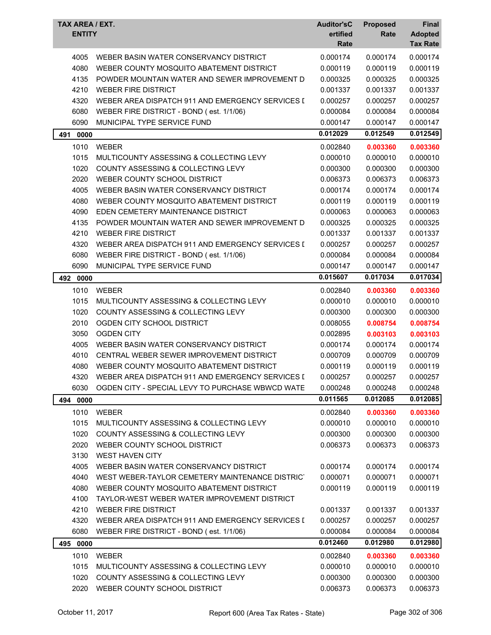| TAX AREA / EXT.<br><b>ENTITY</b> |                                                  | <b>Auditor'sC</b><br>ertified<br>Rate | <b>Proposed</b><br>Rate | Final<br><b>Adopted</b><br><b>Tax Rate</b> |
|----------------------------------|--------------------------------------------------|---------------------------------------|-------------------------|--------------------------------------------|
| 4005                             | WEBER BASIN WATER CONSERVANCY DISTRICT           | 0.000174                              | 0.000174                | 0.000174                                   |
| 4080                             | WEBER COUNTY MOSQUITO ABATEMENT DISTRICT         | 0.000119                              | 0.000119                | 0.000119                                   |
| 4135                             | POWDER MOUNTAIN WATER AND SEWER IMPROVEMENT D    | 0.000325                              | 0.000325                | 0.000325                                   |
| 4210                             | <b>WEBER FIRE DISTRICT</b>                       | 0.001337                              | 0.001337                | 0.001337                                   |
| 4320                             | WEBER AREA DISPATCH 911 AND EMERGENCY SERVICES I | 0.000257                              | 0.000257                | 0.000257                                   |
| 6080                             | WEBER FIRE DISTRICT - BOND (est. 1/1/06)         | 0.000084                              | 0.000084                | 0.000084                                   |
| 6090                             | MUNICIPAL TYPE SERVICE FUND                      | 0.000147                              | 0.000147                | 0.000147                                   |
| 491<br>0000                      |                                                  | 0.012029                              | 0.012549                | 0.012549                                   |
| 1010                             | <b>WEBER</b>                                     | 0.002840                              | 0.003360                | 0.003360                                   |
| 1015                             | MULTICOUNTY ASSESSING & COLLECTING LEVY          | 0.000010                              | 0.000010                | 0.000010                                   |
| 1020                             | <b>COUNTY ASSESSING &amp; COLLECTING LEVY</b>    | 0.000300                              | 0.000300                | 0.000300                                   |
| 2020                             | WEBER COUNTY SCHOOL DISTRICT                     | 0.006373                              | 0.006373                | 0.006373                                   |
| 4005                             | WEBER BASIN WATER CONSERVANCY DISTRICT           | 0.000174                              | 0.000174                | 0.000174                                   |
| 4080                             | WEBER COUNTY MOSQUITO ABATEMENT DISTRICT         | 0.000119                              | 0.000119                | 0.000119                                   |
| 4090                             | EDEN CEMETERY MAINTENANCE DISTRICT               | 0.000063                              | 0.000063                | 0.000063                                   |
| 4135                             | POWDER MOUNTAIN WATER AND SEWER IMPROVEMENT D    | 0.000325                              | 0.000325                | 0.000325                                   |
| 4210                             | <b>WEBER FIRE DISTRICT</b>                       | 0.001337                              | 0.001337                | 0.001337                                   |
| 4320                             | WEBER AREA DISPATCH 911 AND EMERGENCY SERVICES I | 0.000257                              | 0.000257                | 0.000257                                   |
| 6080                             | WEBER FIRE DISTRICT - BOND (est. 1/1/06)         | 0.000084                              | 0.000084                | 0.000084                                   |
| 6090                             | MUNICIPAL TYPE SERVICE FUND                      | 0.000147                              | 0.000147                | 0.000147                                   |
| 492<br>0000                      |                                                  | 0.015607                              | 0.017034                | 0.017034                                   |
| 1010                             | <b>WEBER</b>                                     | 0.002840                              | 0.003360                | 0.003360                                   |
| 1015                             | MULTICOUNTY ASSESSING & COLLECTING LEVY          | 0.000010                              | 0.000010                | 0.000010                                   |
| 1020                             | COUNTY ASSESSING & COLLECTING LEVY               | 0.000300                              | 0.000300                | 0.000300                                   |
| 2010                             | OGDEN CITY SCHOOL DISTRICT                       | 0.008055                              | 0.008754                | 0.008754                                   |
| 3050                             | <b>OGDEN CITY</b>                                | 0.002895                              | 0.003103                | 0.003103                                   |
| 4005                             | WEBER BASIN WATER CONSERVANCY DISTRICT           | 0.000174                              | 0.000174                | 0.000174                                   |
| 4010                             | CENTRAL WEBER SEWER IMPROVEMENT DISTRICT         | 0.000709                              | 0.000709                | 0.000709                                   |
| 4080                             | WEBER COUNTY MOSQUITO ABATEMENT DISTRICT         | 0.000119                              | 0.000119                | 0.000119                                   |
| 4320                             | WEBER AREA DISPATCH 911 AND EMERGENCY SERVICES I | 0.000257                              | 0.000257                | 0.000257                                   |
| 6030                             | OGDEN CITY - SPECIAL LEVY TO PURCHASE WBWCD WATE | 0.000248                              | 0.000248                | 0.000248                                   |
| 494 0000                         |                                                  | 0.011565                              | 0.012085                | 0.012085                                   |
| 1010                             | <b>WEBER</b>                                     | 0.002840                              | 0.003360                | 0.003360                                   |
| 1015                             | MULTICOUNTY ASSESSING & COLLECTING LEVY          | 0.000010                              | 0.000010                | 0.000010                                   |
| 1020                             | COUNTY ASSESSING & COLLECTING LEVY               | 0.000300                              | 0.000300                | 0.000300                                   |
| 2020                             | WEBER COUNTY SCHOOL DISTRICT                     | 0.006373                              | 0.006373                | 0.006373                                   |
| 3130                             | <b>WEST HAVEN CITY</b>                           |                                       |                         |                                            |
| 4005                             | WEBER BASIN WATER CONSERVANCY DISTRICT           | 0.000174                              | 0.000174                | 0.000174                                   |
| 4040                             | WEST WEBER-TAYLOR CEMETERY MAINTENANCE DISTRICT  | 0.000071                              | 0.000071                | 0.000071                                   |
| 4080                             | WEBER COUNTY MOSQUITO ABATEMENT DISTRICT         | 0.000119                              | 0.000119                | 0.000119                                   |
| 4100                             | TAYLOR-WEST WEBER WATER IMPROVEMENT DISTRICT     |                                       |                         |                                            |
| 4210                             | <b>WEBER FIRE DISTRICT</b>                       | 0.001337                              | 0.001337                | 0.001337                                   |
| 4320                             | WEBER AREA DISPATCH 911 AND EMERGENCY SERVICES I | 0.000257                              | 0.000257                | 0.000257                                   |
| 6080                             | WEBER FIRE DISTRICT - BOND (est. 1/1/06)         | 0.000084                              | 0.000084                | 0.000084                                   |
| 495 0000                         |                                                  | 0.012460                              | 0.012980                | 0.012980                                   |
| 1010                             | <b>WEBER</b>                                     | 0.002840                              | 0.003360                | 0.003360                                   |
| 1015                             | MULTICOUNTY ASSESSING & COLLECTING LEVY          | 0.000010                              | 0.000010                | 0.000010                                   |
| 1020                             | COUNTY ASSESSING & COLLECTING LEVY               | 0.000300                              | 0.000300                | 0.000300                                   |
| 2020                             | WEBER COUNTY SCHOOL DISTRICT                     | 0.006373                              | 0.006373                | 0.006373                                   |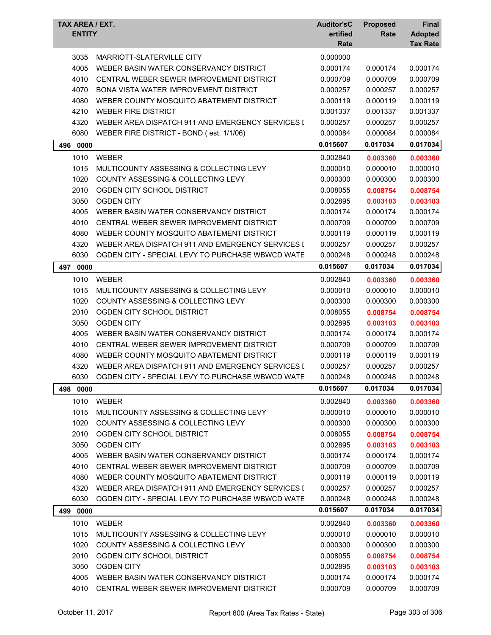| TAX AREA / EXT.<br><b>ENTITY</b> |                                                  | <b>Auditor'sC</b><br>ertified<br>Rate | <b>Proposed</b><br>Rate | Final<br><b>Adopted</b><br><b>Tax Rate</b> |
|----------------------------------|--------------------------------------------------|---------------------------------------|-------------------------|--------------------------------------------|
| 3035                             | MARRIOTT-SLATERVILLE CITY                        | 0.000000                              |                         |                                            |
| 4005                             | WEBER BASIN WATER CONSERVANCY DISTRICT           | 0.000174                              | 0.000174                | 0.000174                                   |
| 4010                             | CENTRAL WEBER SEWER IMPROVEMENT DISTRICT         | 0.000709                              | 0.000709                | 0.000709                                   |
| 4070                             | <b>BONA VISTA WATER IMPROVEMENT DISTRICT</b>     | 0.000257                              | 0.000257                | 0.000257                                   |
| 4080                             | WEBER COUNTY MOSQUITO ABATEMENT DISTRICT         | 0.000119                              | 0.000119                | 0.000119                                   |
| 4210                             | <b>WEBER FIRE DISTRICT</b>                       | 0.001337                              | 0.001337                | 0.001337                                   |
| 4320                             | WEBER AREA DISPATCH 911 AND EMERGENCY SERVICES I | 0.000257                              | 0.000257                | 0.000257                                   |
| 6080                             | WEBER FIRE DISTRICT - BOND (est. 1/1/06)         | 0.000084                              | 0.000084                | 0.000084                                   |
| 496<br>0000                      |                                                  | 0.015607                              | 0.017034                | 0.017034                                   |
| 1010                             | <b>WEBER</b>                                     | 0.002840                              | 0.003360                | 0.003360                                   |
| 1015                             | MULTICOUNTY ASSESSING & COLLECTING LEVY          | 0.000010                              | 0.000010                | 0.000010                                   |
| 1020                             | COUNTY ASSESSING & COLLECTING LEVY               | 0.000300                              | 0.000300                | 0.000300                                   |
| 2010                             | OGDEN CITY SCHOOL DISTRICT                       | 0.008055                              | 0.008754                | 0.008754                                   |
| 3050                             | <b>OGDEN CITY</b>                                | 0.002895                              | 0.003103                | 0.003103                                   |
| 4005                             | WEBER BASIN WATER CONSERVANCY DISTRICT           | 0.000174                              | 0.000174                | 0.000174                                   |
| 4010                             | CENTRAL WEBER SEWER IMPROVEMENT DISTRICT         | 0.000709                              | 0.000709                | 0.000709                                   |
| 4080                             | WEBER COUNTY MOSQUITO ABATEMENT DISTRICT         | 0.000119                              | 0.000119                | 0.000119                                   |
| 4320                             | WEBER AREA DISPATCH 911 AND EMERGENCY SERVICES I | 0.000257                              | 0.000257                | 0.000257                                   |
| 6030                             | OGDEN CITY - SPECIAL LEVY TO PURCHASE WBWCD WATE | 0.000248                              | 0.000248                | 0.000248                                   |
| 497 0000                         |                                                  | 0.015607                              | 0.017034                | 0.017034                                   |
| 1010                             | <b>WEBER</b>                                     | 0.002840                              | 0.003360                | 0.003360                                   |
| 1015                             | MULTICOUNTY ASSESSING & COLLECTING LEVY          | 0.000010                              | 0.000010                | 0.000010                                   |
| 1020                             | COUNTY ASSESSING & COLLECTING LEVY               | 0.000300                              | 0.000300                | 0.000300                                   |
| 2010                             | OGDEN CITY SCHOOL DISTRICT                       | 0.008055                              | 0.008754                | 0.008754                                   |
| 3050                             | <b>OGDEN CITY</b>                                | 0.002895                              | 0.003103                | 0.003103                                   |
| 4005                             | WEBER BASIN WATER CONSERVANCY DISTRICT           | 0.000174                              | 0.000174                | 0.000174                                   |
| 4010                             | CENTRAL WEBER SEWER IMPROVEMENT DISTRICT         | 0.000709                              | 0.000709                | 0.000709                                   |
| 4080                             | WEBER COUNTY MOSQUITO ABATEMENT DISTRICT         | 0.000119                              | 0.000119                | 0.000119                                   |
| 4320                             | WEBER AREA DISPATCH 911 AND EMERGENCY SERVICES I | 0.000257                              | 0.000257                | 0.000257                                   |
| 6030                             | OGDEN CITY - SPECIAL LEVY TO PURCHASE WBWCD WATE | 0.000248                              | 0.000248                | 0.000248                                   |
| 498<br>0000                      |                                                  | 0.015607                              | 0.017034                | 0.017034                                   |
| 1010                             | <b>WEBER</b>                                     | 0.002840                              | 0.003360                | 0.003360                                   |
| 1015                             | MULTICOUNTY ASSESSING & COLLECTING LEVY          | 0.000010                              | 0.000010                | 0.000010                                   |
| 1020                             | COUNTY ASSESSING & COLLECTING LEVY               | 0.000300                              | 0.000300                | 0.000300                                   |
| 2010                             | OGDEN CITY SCHOOL DISTRICT                       | 0.008055                              | 0.008754                | 0.008754                                   |
| 3050                             | <b>OGDEN CITY</b>                                | 0.002895                              | 0.003103                | 0.003103                                   |
| 4005                             | WEBER BASIN WATER CONSERVANCY DISTRICT           | 0.000174                              | 0.000174                | 0.000174                                   |
| 4010                             | CENTRAL WEBER SEWER IMPROVEMENT DISTRICT         | 0.000709                              | 0.000709                | 0.000709                                   |
| 4080                             | WEBER COUNTY MOSQUITO ABATEMENT DISTRICT         | 0.000119                              | 0.000119                | 0.000119                                   |
| 4320                             | WEBER AREA DISPATCH 911 AND EMERGENCY SERVICES I | 0.000257                              | 0.000257                | 0.000257                                   |
| 6030                             | OGDEN CITY - SPECIAL LEVY TO PURCHASE WBWCD WATE | 0.000248                              | 0.000248                | 0.000248                                   |
| 499 0000                         |                                                  | 0.015607                              | 0.017034                | 0.017034                                   |
| 1010                             | <b>WEBER</b>                                     | 0.002840                              | 0.003360                | 0.003360                                   |
| 1015                             | MULTICOUNTY ASSESSING & COLLECTING LEVY          | 0.000010                              | 0.000010                | 0.000010                                   |
| 1020                             | COUNTY ASSESSING & COLLECTING LEVY               | 0.000300                              | 0.000300                | 0.000300                                   |
| 2010                             | OGDEN CITY SCHOOL DISTRICT                       | 0.008055                              | 0.008754                | 0.008754                                   |
| 3050                             | <b>OGDEN CITY</b>                                | 0.002895                              | 0.003103                | 0.003103                                   |
| 4005                             | WEBER BASIN WATER CONSERVANCY DISTRICT           | 0.000174                              | 0.000174                | 0.000174                                   |
| 4010                             | CENTRAL WEBER SEWER IMPROVEMENT DISTRICT         | 0.000709                              | 0.000709                | 0.000709                                   |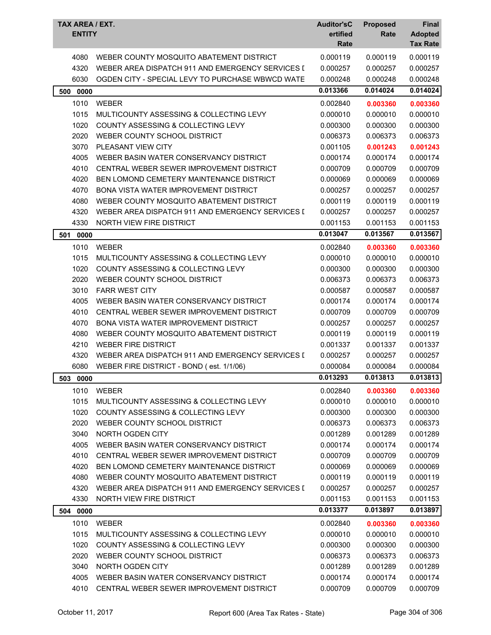| <b>TAX AREA / EXT.</b><br><b>ENTITY</b> |                                                  | <b>Auditor'sC</b><br>ertified<br>Rate | <b>Proposed</b><br>Rate | <b>Final</b><br><b>Adopted</b><br><b>Tax Rate</b> |
|-----------------------------------------|--------------------------------------------------|---------------------------------------|-------------------------|---------------------------------------------------|
| 4080                                    | WEBER COUNTY MOSQUITO ABATEMENT DISTRICT         | 0.000119                              | 0.000119                | 0.000119                                          |
| 4320                                    | WEBER AREA DISPATCH 911 AND EMERGENCY SERVICES I | 0.000257                              | 0.000257                | 0.000257                                          |
| 6030                                    | OGDEN CITY - SPECIAL LEVY TO PURCHASE WBWCD WATE | 0.000248                              | 0.000248                | 0.000248                                          |
| 500<br>0000                             |                                                  | 0.013366                              | 0.014024                | 0.014024                                          |
| 1010                                    | WEBER                                            | 0.002840                              | 0.003360                | 0.003360                                          |
| 1015                                    | MULTICOUNTY ASSESSING & COLLECTING LEVY          | 0.000010                              | 0.000010                | 0.000010                                          |
| 1020                                    | COUNTY ASSESSING & COLLECTING LEVY               | 0.000300                              | 0.000300                | 0.000300                                          |
| 2020                                    | WEBER COUNTY SCHOOL DISTRICT                     | 0.006373                              | 0.006373                | 0.006373                                          |
| 3070                                    | PLEASANT VIEW CITY                               | 0.001105                              | 0.001243                | 0.001243                                          |
| 4005                                    | WEBER BASIN WATER CONSERVANCY DISTRICT           | 0.000174                              | 0.000174                | 0.000174                                          |
| 4010                                    | CENTRAL WEBER SEWER IMPROVEMENT DISTRICT         | 0.000709                              | 0.000709                | 0.000709                                          |
| 4020                                    | BEN LOMOND CEMETERY MAINTENANCE DISTRICT         | 0.000069                              | 0.000069                | 0.000069                                          |
| 4070                                    | <b>BONA VISTA WATER IMPROVEMENT DISTRICT</b>     | 0.000257                              | 0.000257                | 0.000257                                          |
| 4080                                    | WEBER COUNTY MOSQUITO ABATEMENT DISTRICT         | 0.000119                              | 0.000119                | 0.000119                                          |
| 4320                                    | WEBER AREA DISPATCH 911 AND EMERGENCY SERVICES I | 0.000257                              | 0.000257                | 0.000257                                          |
| 4330                                    | NORTH VIEW FIRE DISTRICT                         | 0.001153                              | 0.001153                | 0.001153                                          |
| 0000<br>501                             |                                                  | 0.013047                              | 0.013567                | 0.013567                                          |
| 1010                                    | WEBER                                            | 0.002840                              | 0.003360                | 0.003360                                          |
| 1015                                    | MULTICOUNTY ASSESSING & COLLECTING LEVY          | 0.000010                              | 0.000010                | 0.000010                                          |
| 1020                                    | COUNTY ASSESSING & COLLECTING LEVY               | 0.000300                              | 0.000300                | 0.000300                                          |
| 2020                                    | WEBER COUNTY SCHOOL DISTRICT                     | 0.006373                              | 0.006373                | 0.006373                                          |
| 3010                                    | <b>FARR WEST CITY</b>                            | 0.000587                              | 0.000587                | 0.000587                                          |
| 4005                                    | WEBER BASIN WATER CONSERVANCY DISTRICT           | 0.000174                              | 0.000174                | 0.000174                                          |
| 4010                                    | CENTRAL WEBER SEWER IMPROVEMENT DISTRICT         | 0.000709                              | 0.000709                | 0.000709                                          |
| 4070                                    | <b>BONA VISTA WATER IMPROVEMENT DISTRICT</b>     | 0.000257                              | 0.000257                | 0.000257                                          |
| 4080                                    | WEBER COUNTY MOSQUITO ABATEMENT DISTRICT         | 0.000119                              | 0.000119                | 0.000119                                          |
| 4210                                    | <b>WEBER FIRE DISTRICT</b>                       | 0.001337                              | 0.001337                | 0.001337                                          |
| 4320                                    | WEBER AREA DISPATCH 911 AND EMERGENCY SERVICES I | 0.000257                              | 0.000257                | 0.000257                                          |
| 6080                                    | WEBER FIRE DISTRICT - BOND (est. 1/1/06)         | 0.000084                              | 0.000084                | 0.000084                                          |
| 503 0000                                |                                                  | 0.013293                              | 0.013813                | 0.013813                                          |
| 1010                                    | <b>WEBER</b>                                     | 0.002840                              | 0.003360                | 0.003360                                          |
| 1015                                    | MULTICOUNTY ASSESSING & COLLECTING LEVY          | 0.000010                              | 0.000010                | 0.000010                                          |
| 1020                                    | COUNTY ASSESSING & COLLECTING LEVY               | 0.000300                              | 0.000300                | 0.000300                                          |
| 2020                                    | WEBER COUNTY SCHOOL DISTRICT                     | 0.006373                              | 0.006373                | 0.006373                                          |
| 3040                                    | NORTH OGDEN CITY                                 | 0.001289                              | 0.001289                | 0.001289                                          |
| 4005                                    | WEBER BASIN WATER CONSERVANCY DISTRICT           | 0.000174                              | 0.000174                | 0.000174                                          |
| 4010                                    | CENTRAL WEBER SEWER IMPROVEMENT DISTRICT         | 0.000709                              | 0.000709                | 0.000709                                          |
| 4020                                    | BEN LOMOND CEMETERY MAINTENANCE DISTRICT         | 0.000069                              | 0.000069                | 0.000069                                          |
| 4080                                    | WEBER COUNTY MOSQUITO ABATEMENT DISTRICT         | 0.000119                              | 0.000119                | 0.000119                                          |
| 4320                                    | WEBER AREA DISPATCH 911 AND EMERGENCY SERVICES I | 0.000257                              | 0.000257                | 0.000257                                          |
| 4330                                    | NORTH VIEW FIRE DISTRICT                         | 0.001153                              | 0.001153                | 0.001153                                          |
| 504 0000                                |                                                  | 0.013377                              | 0.013897                | 0.013897                                          |
| 1010                                    | WEBER                                            | 0.002840                              | 0.003360                | 0.003360                                          |
| 1015                                    | MULTICOUNTY ASSESSING & COLLECTING LEVY          | 0.000010                              | 0.000010                | 0.000010                                          |
| 1020                                    | COUNTY ASSESSING & COLLECTING LEVY               | 0.000300                              | 0.000300                | 0.000300                                          |
| 2020                                    | WEBER COUNTY SCHOOL DISTRICT                     | 0.006373                              | 0.006373                | 0.006373                                          |
| 3040                                    | NORTH OGDEN CITY                                 | 0.001289                              | 0.001289                | 0.001289                                          |
| 4005                                    | WEBER BASIN WATER CONSERVANCY DISTRICT           | 0.000174                              | 0.000174                | 0.000174                                          |
| 4010                                    | CENTRAL WEBER SEWER IMPROVEMENT DISTRICT         | 0.000709                              | 0.000709                | 0.000709                                          |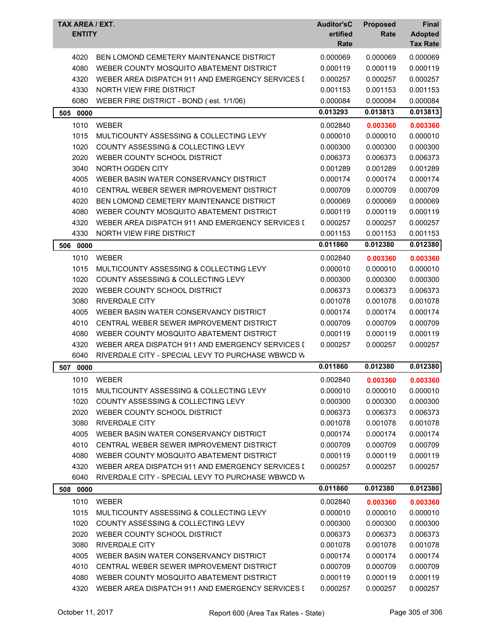| TAX AREA / EXT.<br><b>ENTITY</b> |                                                   | <b>Auditor'sC</b><br>ertified<br>Rate | <b>Proposed</b><br>Rate | <b>Final</b><br><b>Adopted</b><br><b>Tax Rate</b> |
|----------------------------------|---------------------------------------------------|---------------------------------------|-------------------------|---------------------------------------------------|
| 4020                             | BEN LOMOND CEMETERY MAINTENANCE DISTRICT          | 0.000069                              | 0.000069                | 0.000069                                          |
| 4080                             | WEBER COUNTY MOSQUITO ABATEMENT DISTRICT          | 0.000119                              | 0.000119                | 0.000119                                          |
| 4320                             | WEBER AREA DISPATCH 911 AND EMERGENCY SERVICES I  | 0.000257                              | 0.000257                | 0.000257                                          |
| 4330                             | NORTH VIEW FIRE DISTRICT                          | 0.001153                              | 0.001153                | 0.001153                                          |
| 6080                             | WEBER FIRE DISTRICT - BOND (est. 1/1/06)          | 0.000084                              | 0.000084                | 0.000084                                          |
| 505 0000                         |                                                   | 0.013293                              | 0.013813                | 0.013813                                          |
| 1010                             | WEBER                                             | 0.002840                              | 0.003360                | 0.003360                                          |
| 1015                             | MULTICOUNTY ASSESSING & COLLECTING LEVY           | 0.000010                              | 0.000010                | 0.000010                                          |
| 1020                             | COUNTY ASSESSING & COLLECTING LEVY                | 0.000300                              | 0.000300                | 0.000300                                          |
| 2020                             | WEBER COUNTY SCHOOL DISTRICT                      | 0.006373                              | 0.006373                | 0.006373                                          |
| 3040                             | NORTH OGDEN CITY                                  | 0.001289                              | 0.001289                | 0.001289                                          |
| 4005                             | WEBER BASIN WATER CONSERVANCY DISTRICT            | 0.000174                              | 0.000174                | 0.000174                                          |
| 4010                             | CENTRAL WEBER SEWER IMPROVEMENT DISTRICT          | 0.000709                              | 0.000709                | 0.000709                                          |
| 4020                             | BEN LOMOND CEMETERY MAINTENANCE DISTRICT          | 0.000069                              | 0.000069                | 0.000069                                          |
| 4080                             | WEBER COUNTY MOSQUITO ABATEMENT DISTRICT          | 0.000119                              | 0.000119                | 0.000119                                          |
| 4320                             | WEBER AREA DISPATCH 911 AND EMERGENCY SERVICES I  | 0.000257                              | 0.000257                | 0.000257                                          |
| 4330                             | NORTH VIEW FIRE DISTRICT                          | 0.001153                              | 0.001153                | 0.001153                                          |
| 506<br>0000                      |                                                   | 0.011860                              | 0.012380                | 0.012380                                          |
| 1010                             | <b>WEBER</b>                                      | 0.002840                              | 0.003360                | 0.003360                                          |
| 1015                             | MULTICOUNTY ASSESSING & COLLECTING LEVY           | 0.000010                              | 0.000010                | 0.000010                                          |
| 1020                             | COUNTY ASSESSING & COLLECTING LEVY                | 0.000300                              | 0.000300                | 0.000300                                          |
| 2020                             | WEBER COUNTY SCHOOL DISTRICT                      | 0.006373                              | 0.006373                | 0.006373                                          |
| 3080                             | <b>RIVERDALE CITY</b>                             | 0.001078                              | 0.001078                | 0.001078                                          |
| 4005                             | WEBER BASIN WATER CONSERVANCY DISTRICT            | 0.000174                              | 0.000174                | 0.000174                                          |
| 4010                             | CENTRAL WEBER SEWER IMPROVEMENT DISTRICT          | 0.000709                              | 0.000709                | 0.000709                                          |
| 4080                             | WEBER COUNTY MOSQUITO ABATEMENT DISTRICT          | 0.000119                              | 0.000119                | 0.000119                                          |
| 4320                             | WEBER AREA DISPATCH 911 AND EMERGENCY SERVICES I  | 0.000257                              | 0.000257                | 0.000257                                          |
| 6040                             | RIVERDALE CITY - SPECIAL LEVY TO PURCHASE WBWCD W |                                       |                         |                                                   |
| 507<br>0000                      |                                                   | 0.011860                              | 0.012380                | 0.012380                                          |
| 1010                             | WEBER                                             | 0.002840                              | 0.003360                | 0.003360                                          |
| 1015                             | MULTICOUNTY ASSESSING & COLLECTING LEVY           | 0.000010                              | 0.000010                | 0.000010                                          |
| 1020                             | COUNTY ASSESSING & COLLECTING LEVY                | 0.000300                              | 0.000300                | 0.000300                                          |
| 2020                             | WEBER COUNTY SCHOOL DISTRICT                      | 0.006373                              | 0.006373                | 0.006373                                          |
| 3080                             | <b>RIVERDALE CITY</b>                             | 0.001078                              | 0.001078                | 0.001078                                          |
| 4005                             | WEBER BASIN WATER CONSERVANCY DISTRICT            | 0.000174                              | 0.000174                | 0.000174                                          |
| 4010                             | CENTRAL WEBER SEWER IMPROVEMENT DISTRICT          | 0.000709                              | 0.000709                | 0.000709                                          |
| 4080                             | WEBER COUNTY MOSQUITO ABATEMENT DISTRICT          | 0.000119                              | 0.000119                | 0.000119                                          |
| 4320                             | WEBER AREA DISPATCH 911 AND EMERGENCY SERVICES I  | 0.000257                              | 0.000257                | 0.000257                                          |
| 6040                             | RIVERDALE CITY - SPECIAL LEVY TO PURCHASE WBWCD W |                                       |                         |                                                   |
| 0000<br>508                      |                                                   | 0.011860                              | 0.012380                | 0.012380                                          |
| 1010                             | <b>WEBER</b>                                      | 0.002840                              | 0.003360                | 0.003360                                          |
| 1015                             | MULTICOUNTY ASSESSING & COLLECTING LEVY           | 0.000010                              | 0.000010                | 0.000010                                          |
| 1020                             | COUNTY ASSESSING & COLLECTING LEVY                | 0.000300                              | 0.000300                | 0.000300                                          |
| 2020                             | WEBER COUNTY SCHOOL DISTRICT                      | 0.006373                              | 0.006373                | 0.006373                                          |
| 3080                             | <b>RIVERDALE CITY</b>                             | 0.001078                              | 0.001078                | 0.001078                                          |
| 4005                             | WEBER BASIN WATER CONSERVANCY DISTRICT            | 0.000174                              | 0.000174                | 0.000174                                          |
| 4010                             | CENTRAL WEBER SEWER IMPROVEMENT DISTRICT          | 0.000709                              | 0.000709                | 0.000709                                          |
| 4080                             | WEBER COUNTY MOSQUITO ABATEMENT DISTRICT          | 0.000119                              | 0.000119                | 0.000119                                          |
| 4320                             | WEBER AREA DISPATCH 911 AND EMERGENCY SERVICES I  | 0.000257                              | 0.000257                | 0.000257                                          |